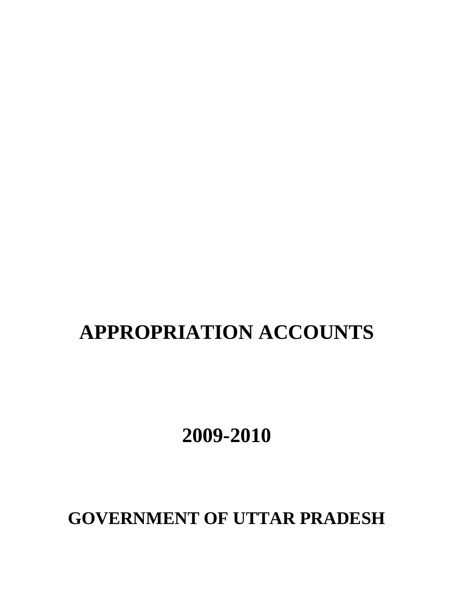# **APPROPRIATION ACCOUNTS**

**2009-2010**

**GOVERNMENT OF UTTAR PRADESH**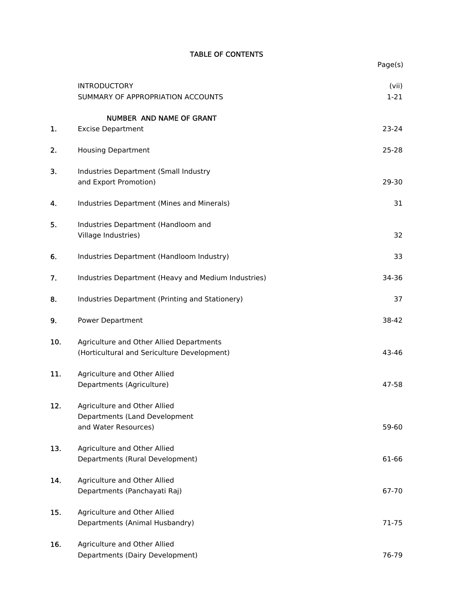# TABLE OF CONTENTS

|     |                                                                                         | Page(s)           |
|-----|-----------------------------------------------------------------------------------------|-------------------|
|     | <b>INTRODUCTORY</b><br>SUMMARY OF APPROPRIATION ACCOUNTS                                | (vii)<br>$1 - 21$ |
|     | NUMBER AND NAME OF GRANT                                                                |                   |
| 1.  | <b>Excise Department</b>                                                                | 23-24             |
| 2.  | <b>Housing Department</b>                                                               | 25-28             |
| 3.  | Industries Department (Small Industry<br>and Export Promotion)                          | 29-30             |
| 4.  | Industries Department (Mines and Minerals)                                              | 31                |
| 5.  | Industries Department (Handloom and<br>Village Industries)                              | 32                |
| 6.  | Industries Department (Handloom Industry)                                               | 33                |
| 7.  | Industries Department (Heavy and Medium Industries)                                     | 34-36             |
| 8.  | Industries Department (Printing and Stationery)                                         | 37                |
| 9.  | <b>Power Department</b>                                                                 | 38-42             |
| 10. | Agriculture and Other Allied Departments<br>(Horticultural and Sericulture Development) | 43-46             |
| 11. | Agriculture and Other Allied<br>Departments (Agriculture)                               | 47-58             |
| 12. | Agriculture and Other Allied<br>Departments (Land Development<br>and Water Resources)   | 59-60             |
| 13. | Agriculture and Other Allied<br>Departments (Rural Development)                         | 61-66             |
| 14. | Agriculture and Other Allied<br>Departments (Panchayati Raj)                            | 67-70             |
| 15. | Agriculture and Other Allied<br>Departments (Animal Husbandry)                          | 71-75             |
| 16. | Agriculture and Other Allied<br>Departments (Dairy Development)                         | 76-79             |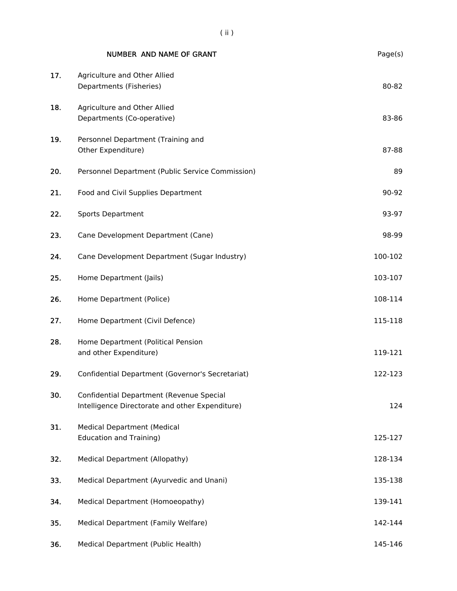|     | <b>NUMBER AND NAME OF GRANT</b>                                                             | Page(s) |
|-----|---------------------------------------------------------------------------------------------|---------|
| 17. | Agriculture and Other Allied<br>Departments (Fisheries)                                     | 80-82   |
| 18. | Agriculture and Other Allied<br>Departments (Co-operative)                                  | 83-86   |
| 19. | Personnel Department (Training and<br>Other Expenditure)                                    | 87-88   |
| 20. | Personnel Department (Public Service Commission)                                            | 89      |
| 21. | Food and Civil Supplies Department                                                          | 90-92   |
| 22. | <b>Sports Department</b>                                                                    | 93-97   |
| 23. | Cane Development Department (Cane)                                                          | 98-99   |
| 24. | Cane Development Department (Sugar Industry)                                                | 100-102 |
| 25. | Home Department (Jails)                                                                     | 103-107 |
| 26. | Home Department (Police)                                                                    | 108-114 |
| 27. | Home Department (Civil Defence)                                                             | 115-118 |
| 28. | Home Department (Political Pension<br>and other Expenditure)                                | 119-121 |
| 29. | Confidential Department (Governor's Secretariat)                                            | 122-123 |
| 30. | Confidential Department (Revenue Special<br>Intelligence Directorate and other Expenditure) | 124     |
| 31. | <b>Medical Department (Medical</b><br><b>Education and Training)</b>                        | 125-127 |
| 32. | Medical Department (Allopathy)                                                              | 128-134 |
| 33. | Medical Department (Ayurvedic and Unani)                                                    | 135-138 |
| 34. | Medical Department (Homoeopathy)                                                            | 139-141 |
| 35. | Medical Department (Family Welfare)                                                         | 142-144 |
| 36. | Medical Department (Public Health)                                                          | 145-146 |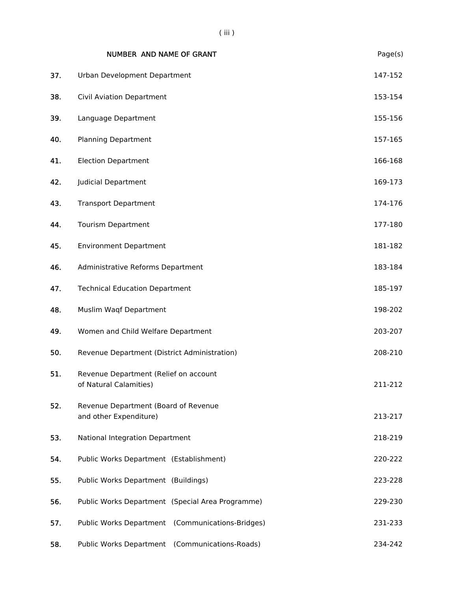|     | NUMBER AND NAME OF GRANT                                        | Page(s) |
|-----|-----------------------------------------------------------------|---------|
| 37. | Urban Development Department                                    | 147-152 |
| 38. | Civil Aviation Department                                       | 153-154 |
| 39. | Language Department                                             | 155-156 |
| 40. | <b>Planning Department</b>                                      | 157-165 |
| 41. | <b>Election Department</b>                                      | 166-168 |
| 42. | Judicial Department                                             | 169-173 |
| 43. | <b>Transport Department</b>                                     | 174-176 |
| 44. | <b>Tourism Department</b>                                       | 177-180 |
| 45. | <b>Environment Department</b>                                   | 181-182 |
| 46. | Administrative Reforms Department                               | 183-184 |
| 47. | <b>Technical Education Department</b>                           | 185-197 |
| 48. | Muslim Waqf Department                                          | 198-202 |
| 49. | Women and Child Welfare Department                              | 203-207 |
| 50. | Revenue Department (District Administration)                    | 208-210 |
| 51. | Revenue Department (Relief on account<br>of Natural Calamities) | 211-212 |
| 52. | Revenue Department (Board of Revenue<br>and other Expenditure)  | 213-217 |
| 53. | National Integration Department                                 | 218-219 |
| 54. | Public Works Department (Establishment)                         | 220-222 |
| 55. | Public Works Department (Buildings)                             | 223-228 |
| 56. | Public Works Department (Special Area Programme)                | 229-230 |
| 57. | Public Works Department (Communications-Bridges)                | 231-233 |
| 58. | Public Works Department (Communications-Roads)                  | 234-242 |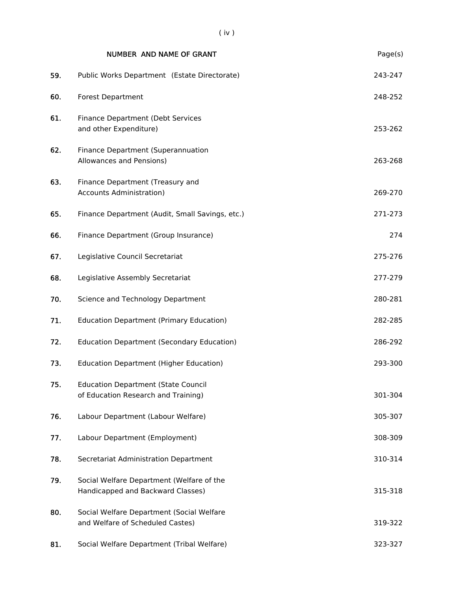|     | <b>NUMBER AND NAME OF GRANT</b>                                                   | Page(s) |
|-----|-----------------------------------------------------------------------------------|---------|
| 59. | Public Works Department (Estate Directorate)                                      | 243-247 |
| 60. | <b>Forest Department</b>                                                          | 248-252 |
| 61. | Finance Department (Debt Services<br>and other Expenditure)                       | 253-262 |
| 62. | Finance Department (Superannuation<br>Allowances and Pensions)                    | 263-268 |
| 63. | Finance Department (Treasury and<br><b>Accounts Administration)</b>               | 269-270 |
| 65. | Finance Department (Audit, Small Savings, etc.)                                   | 271-273 |
| 66. | Finance Department (Group Insurance)                                              | 274     |
| 67. | Legislative Council Secretariat                                                   | 275-276 |
| 68. | Legislative Assembly Secretariat                                                  | 277-279 |
| 70. | Science and Technology Department                                                 | 280-281 |
| 71. | <b>Education Department (Primary Education)</b>                                   | 282-285 |
| 72. | <b>Education Department (Secondary Education)</b>                                 | 286-292 |
| 73. | <b>Education Department (Higher Education)</b>                                    | 293-300 |
| 75. | <b>Education Department (State Council</b><br>of Education Research and Training) | 301-304 |
| 76. | Labour Department (Labour Welfare)                                                | 305-307 |
| 77. | Labour Department (Employment)                                                    | 308-309 |
| 78. | Secretariat Administration Department                                             | 310-314 |
| 79. | Social Welfare Department (Welfare of the<br>Handicapped and Backward Classes)    | 315-318 |
| 80. | Social Welfare Department (Social Welfare<br>and Welfare of Scheduled Castes)     | 319-322 |
| 81. | Social Welfare Department (Tribal Welfare)                                        | 323-327 |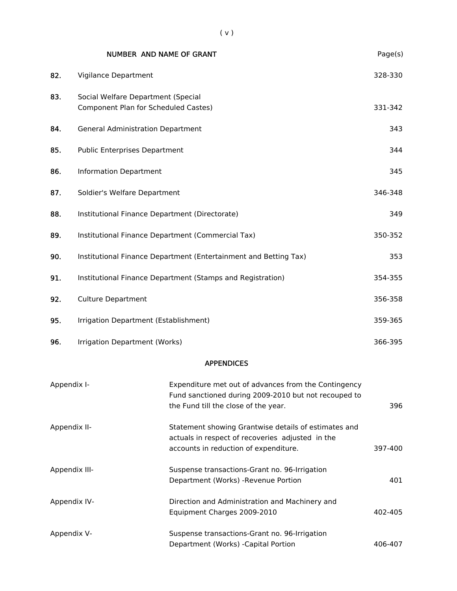|               | <b>NUMBER AND NAME OF GRANT</b>                                            |                                                                                                                                                      | Page(s) |  |
|---------------|----------------------------------------------------------------------------|------------------------------------------------------------------------------------------------------------------------------------------------------|---------|--|
| 82.           | Vigilance Department                                                       |                                                                                                                                                      | 328-330 |  |
| 83.           | Social Welfare Department (Special<br>Component Plan for Scheduled Castes) |                                                                                                                                                      |         |  |
| 84.           | <b>General Administration Department</b>                                   |                                                                                                                                                      | 343     |  |
| 85.           | <b>Public Enterprises Department</b>                                       |                                                                                                                                                      | 344     |  |
| 86.           | <b>Information Department</b>                                              |                                                                                                                                                      | 345     |  |
| 87.           | Soldier's Welfare Department                                               |                                                                                                                                                      | 346-348 |  |
| 88.           | Institutional Finance Department (Directorate)                             |                                                                                                                                                      | 349     |  |
| 89.           |                                                                            | Institutional Finance Department (Commercial Tax)                                                                                                    | 350-352 |  |
| 90.           | Institutional Finance Department (Entertainment and Betting Tax)           |                                                                                                                                                      |         |  |
| 91.           | Institutional Finance Department (Stamps and Registration)                 |                                                                                                                                                      |         |  |
| 92.           | <b>Culture Department</b>                                                  |                                                                                                                                                      |         |  |
| 95.           | Irrigation Department (Establishment)                                      |                                                                                                                                                      |         |  |
| 96.           | Irrigation Department (Works)                                              |                                                                                                                                                      | 366-395 |  |
|               |                                                                            | <b>APPENDICES</b>                                                                                                                                    |         |  |
| Appendix I-   |                                                                            | Expenditure met out of advances from the Contingency<br>Fund sanctioned during 2009-2010 but not recouped to<br>the Fund till the close of the year. | 396     |  |
| Appendix II-  |                                                                            | Statement showing Grantwise details of estimates and<br>actuals in respect of recoveries adjusted in the<br>accounts in reduction of expenditure.    | 397-400 |  |
| Appendix III- |                                                                            | Suspense transactions-Grant no. 96-Irrigation<br>Department (Works) -Revenue Portion                                                                 | 401     |  |
| Appendix IV-  |                                                                            | Direction and Administration and Machinery and<br>Equipment Charges 2009-2010                                                                        | 402-405 |  |
| Appendix V-   |                                                                            | Suspense transactions-Grant no. 96-Irrigation                                                                                                        |         |  |

Department (Works) -Capital Portion 406-407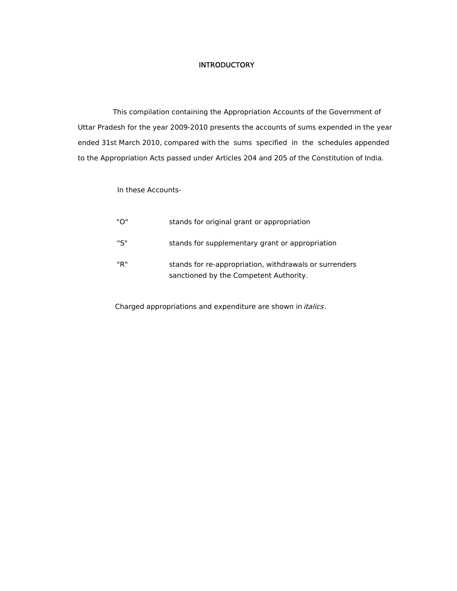#### **INTRODUCTORY**

 This compilation containing the Appropriation Accounts of the Government of Uttar Pradesh for the year 2009-2010 presents the accounts of sums expended in the year ended 31st March 2010, compared with the sums specified in the schedules appended to the Appropriation Acts passed under Articles 204 and 205 of the Constitution of India.

#### In these Accounts-

| "O" | stands for original grant or appropriation                                                       |
|-----|--------------------------------------------------------------------------------------------------|
| "S" | stands for supplementary grant or appropriation                                                  |
| "R" | stands for re-appropriation, withdrawals or surrenders<br>sanctioned by the Competent Authority. |

Charged appropriations and expenditure are shown in *italics*.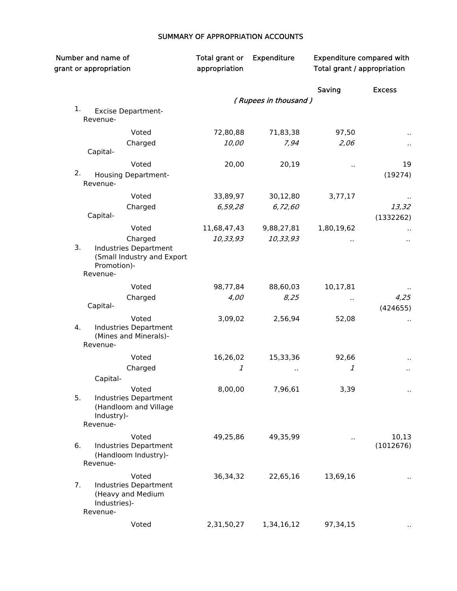# SUMMARY OF APPROPRIATION ACCOUNTS

| Number and name of<br>grant or appropriation |                                                                                           | Total grant or<br>appropriation | <b>Expenditure</b>   | <b>Expenditure compared with</b><br>Total grant / appropriation |               |
|----------------------------------------------|-------------------------------------------------------------------------------------------|---------------------------------|----------------------|-----------------------------------------------------------------|---------------|
|                                              |                                                                                           |                                 |                      | Saving                                                          | <b>Excess</b> |
|                                              |                                                                                           |                                 | (Rupees in thousand) |                                                                 |               |
| 1.                                           | <b>Excise Department-</b><br>Revenue-                                                     |                                 |                      |                                                                 |               |
|                                              | Voted                                                                                     | 72,80,88                        | 71,83,38             | 97,50                                                           |               |
|                                              | Charged<br>Capital-                                                                       | 10,00                           | 7,94                 | 2,06                                                            |               |
|                                              | Voted                                                                                     | 20,00                           | 20,19                | .,                                                              | 19            |
| 2.                                           | <b>Housing Department-</b><br>Revenue-                                                    |                                 |                      |                                                                 | (19274)       |
|                                              | Voted                                                                                     | 33,89,97                        | 30,12,80             | 3,77,17                                                         |               |
|                                              | Charged                                                                                   | 6,59,28                         | 6,72,60              |                                                                 | 13,32         |
|                                              | Capital-                                                                                  |                                 |                      |                                                                 | (1332262)     |
|                                              | Voted                                                                                     | 11,68,47,43                     | 9,88,27,81           | 1,80,19,62                                                      |               |
| 3.                                           | Charged<br>Industries Department<br>(Small Industry and Export<br>Promotion)-<br>Revenue- | 10,33,93                        | 10,33,93             |                                                                 |               |
|                                              | Voted                                                                                     | 98,77,84                        | 88,60,03             | 10,17,81                                                        |               |
|                                              | Charged                                                                                   | 4,00                            | 8,25                 |                                                                 | 4,25          |
|                                              | Capital-                                                                                  |                                 |                      |                                                                 | (424655)      |
| 4.                                           | Voted<br>Industries Department<br>(Mines and Minerals)-<br>Revenue-                       | 3,09,02                         | 2,56,94              | 52,08                                                           |               |
|                                              | Voted                                                                                     | 16,26,02                        | 15,33,36             | 92,66                                                           |               |
|                                              | Charged                                                                                   | 1                               |                      | 1                                                               | .,            |
|                                              | Capital-                                                                                  |                                 |                      |                                                                 |               |
| 5.                                           | Voted<br>Industries Department<br>(Handloom and Village<br>Industry)-<br>Revenue-         | 8,00,00                         | 7,96,61              | 3,39                                                            |               |
|                                              | Voted                                                                                     | 49,25,86                        | 49,35,99             |                                                                 | 10,13         |
| 6.                                           | Industries Department<br>(Handloom Industry)-<br>Revenue-                                 |                                 |                      | н,                                                              | (1012676)     |
|                                              | Voted                                                                                     | 36,34,32                        | 22,65,16             | 13,69,16                                                        |               |
| 7.                                           | Industries Department<br>(Heavy and Medium<br>Industries)-<br>Revenue-                    |                                 |                      |                                                                 |               |
|                                              | Voted                                                                                     | 2,31,50,27                      | 1,34,16,12           | 97,34,15                                                        |               |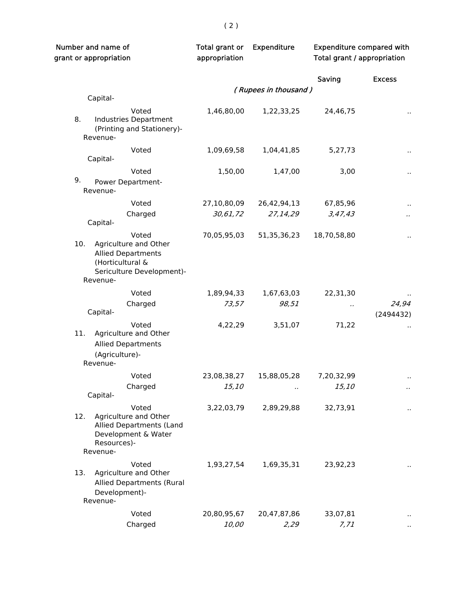| Number and name of<br>grant or appropriation                                                                                    | Total grant or<br>appropriation | Expenditure          | <b>Expenditure compared with</b><br>Total grant / appropriation |                      |
|---------------------------------------------------------------------------------------------------------------------------------|---------------------------------|----------------------|-----------------------------------------------------------------|----------------------|
|                                                                                                                                 |                                 |                      | Saving                                                          | <b>Excess</b>        |
|                                                                                                                                 |                                 | (Rupees in thousand) |                                                                 |                      |
| Capital-                                                                                                                        |                                 |                      |                                                                 |                      |
| Voted<br>8.<br>Industries Department<br>(Printing and Stationery)-<br>Revenue-                                                  | 1,46,80,00                      | 1,22,33,25           | 24,46,75                                                        | $\ddot{\phantom{1}}$ |
| Voted<br>Capital-                                                                                                               | 1,09,69,58                      | 1,04,41,85           | 5,27,73                                                         |                      |
| Voted                                                                                                                           | 1,50,00                         | 1,47,00              | 3,00                                                            |                      |
| 9.<br>Power Department-<br>Revenue-                                                                                             |                                 |                      |                                                                 |                      |
| Voted                                                                                                                           | 27,10,80,09                     | 26,42,94,13          | 67,85,96                                                        |                      |
| Charged                                                                                                                         | 30,61,72                        | 27,14,29             | 3,47,43                                                         |                      |
| Capital-                                                                                                                        |                                 |                      |                                                                 |                      |
| Voted<br>Agriculture and Other<br>10.<br><b>Allied Departments</b><br>(Horticultural &<br>Sericulture Development)-<br>Revenue- | 70,05,95,03                     | 51, 35, 36, 23       | 18,70,58,80                                                     | $\ddot{\phantom{1}}$ |
| Voted                                                                                                                           | 1,89,94,33                      | 1,67,63,03           | 22,31,30                                                        |                      |
| Charged                                                                                                                         | 73,57                           | 98,51                | .,                                                              | 24,94                |
| Capital-                                                                                                                        |                                 |                      |                                                                 | (2494432)            |
| Voted<br>11.<br>Agriculture and Other<br><b>Allied Departments</b><br>(Agriculture)-<br>Revenue-                                | 4,22,29                         | 3,51,07              | 71,22                                                           |                      |
| Voted                                                                                                                           | 23,08,38,27                     | 15,88,05,28          | 7,20,32,99                                                      |                      |
| Charged                                                                                                                         | 15,10                           | $\cdot$ .            | 15,10                                                           | .,                   |
| Capital-                                                                                                                        |                                 |                      |                                                                 |                      |
| Voted<br>Agriculture and Other<br>12.<br>Allied Departments (Land<br>Development & Water<br>Resources)-<br>Revenue-             | 3,22,03,79                      | 2,89,29,88           | 32,73,91                                                        |                      |
| Voted                                                                                                                           | 1,93,27,54                      | 1,69,35,31           | 23,92,23                                                        | $\ddot{\phantom{1}}$ |
| Agriculture and Other<br>13.<br><b>Allied Departments (Rural</b><br>Development)-<br>Revenue-                                   |                                 |                      |                                                                 |                      |
| Voted                                                                                                                           | 20,80,95,67                     | 20,47,87,86          | 33,07,81                                                        |                      |
| Charged                                                                                                                         | 10,00                           | 2,29                 | 7, 71                                                           |                      |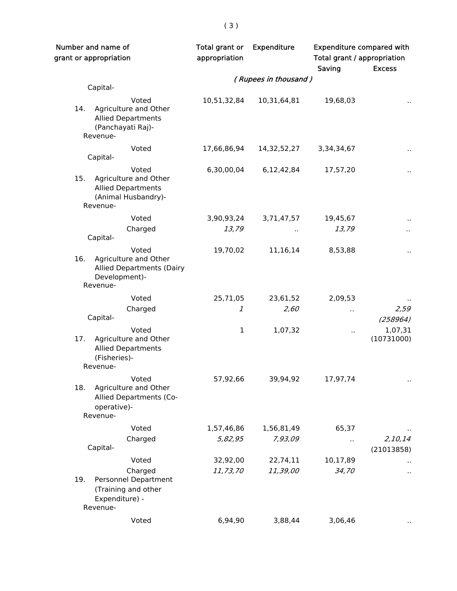| Number and name of<br>grant or appropriation |                                                                                                 | Total grant or<br>appropriation | <b>Expenditure</b>   | <b>Expenditure compared with</b><br>Total grant / appropriation<br>Saving | <b>Excess</b>         |
|----------------------------------------------|-------------------------------------------------------------------------------------------------|---------------------------------|----------------------|---------------------------------------------------------------------------|-----------------------|
|                                              |                                                                                                 |                                 | (Rupees in thousand) |                                                                           |                       |
|                                              | Capital-                                                                                        |                                 |                      |                                                                           |                       |
| 14.                                          | Voted<br>Agriculture and Other<br><b>Allied Departments</b><br>(Panchayati Raj)-<br>Revenue-    | 10,51,32,84                     | 10,31,64,81          | 19,68,03                                                                  |                       |
|                                              | Voted                                                                                           | 17,66,86,94                     | 14, 32, 52, 27       | 3,34,34,67                                                                |                       |
|                                              | Capital-                                                                                        |                                 |                      |                                                                           |                       |
| 15.                                          | Voted<br>Agriculture and Other<br><b>Allied Departments</b><br>(Animal Husbandry)-<br>Revenue-  | 6,30,00,04                      | 6, 12, 42, 84        | 17,57,20                                                                  | $\ddot{\phantom{1}}$  |
|                                              | Voted                                                                                           | 3,90,93,24                      | 3,71,47,57           | 19,45,67                                                                  |                       |
|                                              | Charged                                                                                         | 13,79                           | $\cdot$              | 13,79                                                                     |                       |
|                                              | Capital-                                                                                        |                                 |                      |                                                                           |                       |
| 16.                                          | Voted<br>Agriculture and Other<br><b>Allied Departments (Dairy</b><br>Development)-<br>Revenue- | 19,70,02                        | 11,16,14             | 8,53,88                                                                   |                       |
|                                              | Voted                                                                                           | 25,71,05                        | 23,61,52             | 2,09,53                                                                   |                       |
|                                              | Charged                                                                                         | 1                               | 2,60                 |                                                                           | 2,59                  |
|                                              | Capital-                                                                                        |                                 |                      |                                                                           | (258964)              |
| 17.                                          | Voted<br>Agriculture and Other<br><b>Allied Departments</b><br>(Fisheries)-<br>Revenue-         | $\mathbf 1$                     | 1,07,32              | $\cdot$ .                                                                 | 1,07,31<br>(10731000) |
| 18.                                          | Voted<br>Agriculture and Other<br>Allied Departments (Co-<br>operative)-<br>Revenue-            | 57,92,66                        | 39,94,92             | 17,97,74                                                                  |                       |
|                                              | Voted                                                                                           | 1,57,46,86                      | 1,56,81,49           | 65,37                                                                     |                       |
|                                              | Charged                                                                                         | 5,82,95                         | 7,93,09              | $\ddot{\phantom{0}}$                                                      | 2,10,14               |
|                                              | Capital-                                                                                        |                                 |                      |                                                                           | (21013858)            |
|                                              | Voted                                                                                           | 32,92,00                        | 22,74,11             | 10,17,89                                                                  |                       |
| 19.                                          | Charged<br>Personnel Department<br>(Training and other<br>Expenditure) -<br>Revenue-            | 11,73,70                        | 11,39,00             | 34,70                                                                     |                       |
|                                              | Voted                                                                                           | 6,94,90                         | 3,88,44              | 3,06,46                                                                   |                       |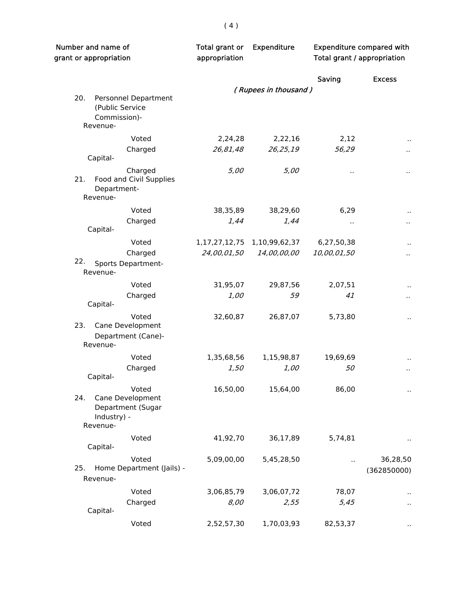| Number and name of<br>grant or appropriation                                     | Total grant or<br>appropriation | <b>Expenditure</b>   | <b>Expenditure compared with</b><br>Total grant / appropriation |                         |  |
|----------------------------------------------------------------------------------|---------------------------------|----------------------|-----------------------------------------------------------------|-------------------------|--|
|                                                                                  |                                 |                      | Saving                                                          | <b>Excess</b>           |  |
|                                                                                  |                                 | (Rupees in thousand) |                                                                 |                         |  |
| 20.<br>Personnel Department<br>(Public Service<br>Commission)-<br>Revenue-       |                                 |                      |                                                                 |                         |  |
| Voted                                                                            | 2,24,28                         | 2,22,16              | 2,12                                                            |                         |  |
| Charged<br>Capital-                                                              | 26,81,48                        | 26,25,19             | 56,29                                                           |                         |  |
| Charged<br>Food and Civil Supplies<br>21.<br>Department-<br>Revenue-             | 5,00                            | 5,00                 | $\ddot{\phantom{0}}$                                            | .,                      |  |
| Voted                                                                            | 38,35,89                        | 38,29,60             | 6,29                                                            | $\bar{\phantom{a}}$     |  |
| Charged<br>Capital-                                                              | 1,44                            | 1,44                 | .,                                                              | $\ddot{\phantom{a}}$    |  |
| Voted                                                                            | 1, 17, 27, 12, 75               | 1,10,99,62,37        | 6,27,50,38                                                      |                         |  |
| Charged                                                                          | 24,00,01,50                     | 14,00,00,00          | 10,00,01,50                                                     | $\ddot{\phantom{0}}$    |  |
| 22.<br>Sports Department-<br>Revenue-                                            |                                 |                      |                                                                 |                         |  |
| Voted                                                                            | 31,95,07                        | 29,87,56             | 2,07,51                                                         | $\ddot{\phantom{1}}$    |  |
| Charged<br>Capital-                                                              | $1,00$                          | 59                   | 41                                                              | $\cdot$ .               |  |
| Voted<br>Cane Development<br>23.<br>Department (Cane)-<br>Revenue-               | 32,60,87                        | 26,87,07             | 5,73,80                                                         | $\ddot{\phantom{1}}$    |  |
| Voted                                                                            | 1,35,68,56                      | 1,15,98,87           | 19,69,69                                                        |                         |  |
| Charged<br>Capital-                                                              | 1,50                            | 1,00                 | 50                                                              |                         |  |
| Voted<br>24.<br>Cane Development<br>Department (Sugar<br>Industry) -<br>Revenue- | 16,50,00                        | 15,64,00             | 86,00                                                           |                         |  |
| Voted<br>Capital-                                                                | 41,92,70                        | 36,17,89             | 5,74,81                                                         |                         |  |
| Voted<br>25.<br>Home Department (Jails) -<br>Revenue-                            | 5,09,00,00                      | 5,45,28,50           | Ω.                                                              | 36,28,50<br>(362850000) |  |
| Voted                                                                            | 3,06,85,79                      | 3,06,07,72           | 78,07                                                           |                         |  |
| Charged<br>Capital-                                                              | 8,00                            | 2,55                 | 5,45                                                            | $\ddot{\phantom{1}}$    |  |
| Voted                                                                            | 2,52,57,30                      | 1,70,03,93           | 82,53,37                                                        |                         |  |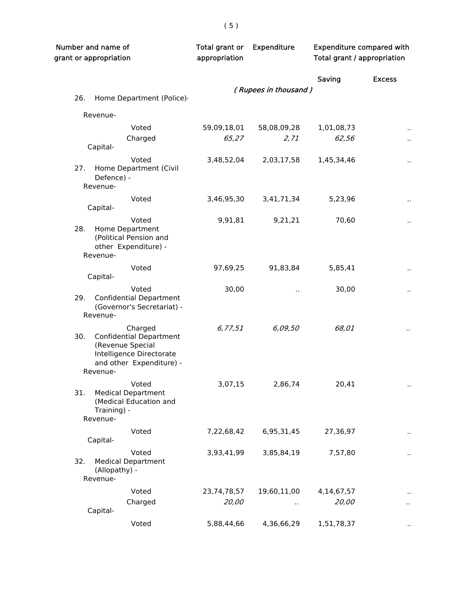| Number and name of<br>grant or appropriation |                                                                                                                                   | Total grant or<br>appropriation | Expenditure          | <b>Expenditure compared with</b><br>Total grant / appropriation |                      |
|----------------------------------------------|-----------------------------------------------------------------------------------------------------------------------------------|---------------------------------|----------------------|-----------------------------------------------------------------|----------------------|
|                                              |                                                                                                                                   |                                 |                      | Saving                                                          | <b>Excess</b>        |
| 26.                                          | Home Department (Police)-                                                                                                         |                                 | (Rupees in thousand) |                                                                 |                      |
|                                              |                                                                                                                                   |                                 |                      |                                                                 |                      |
|                                              | Revenue-                                                                                                                          |                                 |                      |                                                                 |                      |
|                                              | Voted                                                                                                                             | 59,09,18,01                     | 58,08,09,28          | 1,01,08,73                                                      | $\ddot{\phantom{1}}$ |
|                                              | Charged<br>Capital-                                                                                                               | 65,27                           | 2,71                 | 62,56                                                           | $\ddot{\phantom{a}}$ |
|                                              | Voted                                                                                                                             | 3,48,52,04                      | 2,03,17,58           | 1,45,34,46                                                      |                      |
| 27.                                          | Home Department (Civil<br>Defence) -<br>Revenue-                                                                                  |                                 |                      |                                                                 |                      |
|                                              | Voted                                                                                                                             | 3,46,95,30                      | 3,41,71,34           | 5,23,96                                                         |                      |
|                                              | Capital-                                                                                                                          |                                 |                      |                                                                 |                      |
| 28.                                          | Voted<br>Home Department<br>(Political Pension and<br>other Expenditure) -<br>Revenue-                                            | 9,91,81                         | 9,21,21              | 70,60                                                           |                      |
|                                              |                                                                                                                                   |                                 |                      |                                                                 |                      |
|                                              | Voted<br>Capital-                                                                                                                 | 97,69,25                        | 91,83,84             | 5,85,41                                                         |                      |
| 29.                                          | Voted<br><b>Confidential Department</b><br>(Governor's Secretariat) -                                                             | 30,00                           | Ω.                   | 30,00                                                           | .,                   |
|                                              | Revenue-                                                                                                                          |                                 |                      |                                                                 |                      |
| 30.                                          | Charged<br><b>Confidential Department</b><br>(Revenue Special<br>Intelligence Directorate<br>and other Expenditure) -<br>Revenue- | 6, 77, 51                       | 6,09,50              | 68,01                                                           |                      |
| 31.                                          | Voted<br><b>Medical Department</b><br>(Medical Education and<br>Training) -<br>Revenue-                                           | 3,07,15                         | 2,86,74              | 20,41                                                           |                      |
|                                              | Voted<br>Capital-                                                                                                                 | 7,22,68,42                      | 6,95,31,45           | 27,36,97                                                        |                      |
| 32.                                          | Voted<br><b>Medical Department</b><br>(Allopathy) -<br>Revenue-                                                                   | 3,93,41,99                      | 3,85,84,19           | 7,57,80                                                         |                      |
|                                              | Voted                                                                                                                             | 23,74,78,57                     | 19,60,11,00          | 4,14,67,57                                                      |                      |
|                                              | Charged<br>Capital-                                                                                                               | 20,00                           | .,                   | 20,00                                                           |                      |
|                                              | Voted                                                                                                                             | 5,88,44,66                      | 4,36,66,29           | 1,51,78,37                                                      |                      |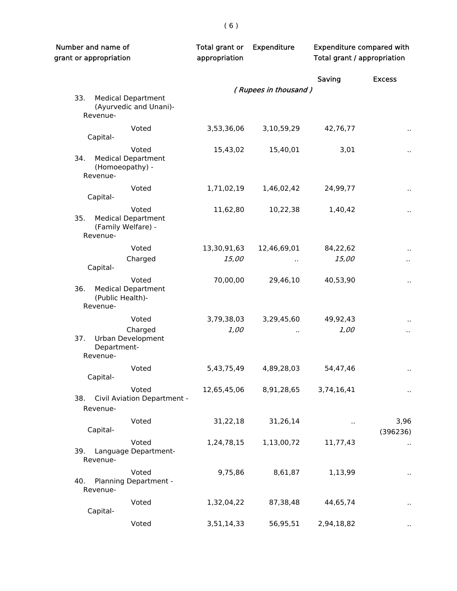| Number and name of<br>grant or appropriation                                | Total grant or<br>appropriation | Expenditure          | <b>Expenditure compared with</b><br>Total grant / appropriation |                      |
|-----------------------------------------------------------------------------|---------------------------------|----------------------|-----------------------------------------------------------------|----------------------|
|                                                                             |                                 |                      | Saving                                                          | <b>Excess</b>        |
|                                                                             |                                 | (Rupees in thousand) |                                                                 |                      |
| 33.<br><b>Medical Department</b><br>(Ayurvedic and Unani)-<br>Revenue-      |                                 |                      |                                                                 |                      |
| Voted<br>Capital-                                                           | 3,53,36,06                      | 3,10,59,29           | 42,76,77                                                        | $\ddot{\phantom{1}}$ |
| Voted<br>34.<br><b>Medical Department</b><br>(Homoeopathy) -<br>Revenue-    | 15,43,02                        | 15,40,01             | 3,01                                                            |                      |
| Voted<br>Capital-                                                           | 1,71,02,19                      | 1,46,02,42           | 24,99,77                                                        | $\ddot{\phantom{1}}$ |
| Voted<br><b>Medical Department</b><br>35.<br>(Family Welfare) -<br>Revenue- | 11,62,80                        | 10,22,38             | 1,40,42                                                         | $\ddot{\phantom{1}}$ |
| Voted                                                                       | 13,30,91,63                     | 12,46,69,01          | 84,22,62                                                        |                      |
| Charged<br>Capital-                                                         | 15,00                           |                      | 15,00                                                           | $\cdot$              |
| Voted<br><b>Medical Department</b><br>36.<br>(Public Health)-<br>Revenue-   | 70,00,00                        | 29,46,10             | 40,53,90                                                        | $\ddot{\phantom{a}}$ |
| Voted                                                                       | 3,79,38,03                      | 3,29,45,60           | 49,92,43                                                        |                      |
| Charged<br>37.<br><b>Urban Development</b><br>Department-<br>Revenue-       | 1,00                            | Ω.                   | 1,00                                                            | $\cdot$ .            |
| Voted<br>Capital-                                                           | 5,43,75,49                      | 4,89,28,03           | 54,47,46                                                        |                      |
| Voted<br>Civil Aviation Department -<br>38.<br>Revenue-                     | 12,65,45,06                     | 8,91,28,65           | 3,74,16,41                                                      |                      |
| Voted<br>Capital-                                                           | 31,22,18                        | 31,26,14             | Ω.                                                              | 3,96<br>(396236)     |
| Voted<br>39.<br>Language Department-<br>Revenue-                            | 1,24,78,15                      | 1,13,00,72           | 11,77,43                                                        |                      |
| Voted<br>40.<br>Planning Department -<br>Revenue-                           | 9,75,86                         | 8,61,87              | 1,13,99                                                         | $\ddot{\phantom{1}}$ |
| Voted<br>Capital-                                                           | 1,32,04,22                      | 87,38,48             | 44,65,74                                                        |                      |
| Voted                                                                       | 3,51,14,33                      | 56,95,51             | 2,94,18,82                                                      |                      |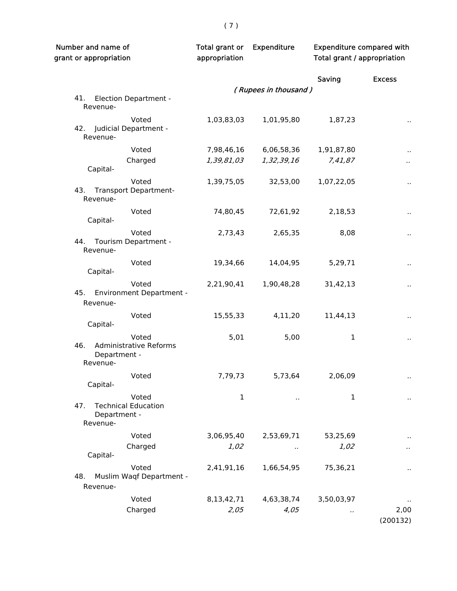| Number and name of<br>grant or appropriation                              | Total grant or<br>appropriation | <b>Expenditure</b>       | <b>Expenditure compared with</b><br>Total grant / appropriation |                     |
|---------------------------------------------------------------------------|---------------------------------|--------------------------|-----------------------------------------------------------------|---------------------|
|                                                                           |                                 |                          | Saving                                                          | <b>Excess</b>       |
|                                                                           |                                 | (Rupees in thousand)     |                                                                 |                     |
| 41.<br><b>Election Department -</b><br>Revenue-                           |                                 |                          |                                                                 |                     |
| Voted<br>42. Judicial Department -<br>Revenue-                            | 1,03,83,03                      | 1,01,95,80               | 1,87,23                                                         | $\bar{\phantom{a}}$ |
|                                                                           |                                 |                          |                                                                 |                     |
| Voted                                                                     | 7,98,46,16<br>1,39,81,03        | 6,06,58,36<br>1,32,39,16 | 1,91,87,80                                                      |                     |
| Charged<br>Capital-                                                       |                                 |                          | 7,41,87                                                         | $\cdot$             |
| Voted<br>43. Transport Department-                                        | 1,39,75,05                      | 32,53,00                 | 1,07,22,05                                                      | $\bar{\phantom{a}}$ |
| Revenue-                                                                  |                                 |                          |                                                                 |                     |
| Voted<br>Capital-                                                         | 74,80,45                        | 72,61,92                 | 2,18,53                                                         |                     |
| Voted<br>44. Tourism Department -<br>Revenue-                             | 2,73,43                         | 2,65,35                  | 8,08                                                            | $\bar{\phantom{a}}$ |
| Voted<br>Capital-                                                         | 19,34,66                        | 14,04,95                 | 5,29,71                                                         | $\bar{\phantom{a}}$ |
| Voted<br>45. Environment Department -<br>Revenue-                         | 2,21,90,41                      | 1,90,48,28               | 31,42,13                                                        | $\sim$              |
| Voted<br>Capital-                                                         | 15,55,33                        | 4,11,20                  | 11,44,13                                                        | $\sim$              |
| Voted<br>46.<br><b>Administrative Reforms</b><br>Department -<br>Revenue- | 5,01                            | 5,00                     | $\mathbf 1$                                                     | $\cdot$ .           |
| Voted<br>Capital-                                                         | 7,79,73                         | 5,73,64                  | 2,06,09                                                         | $\sim$              |
| Voted<br><b>Technical Education</b><br>47.<br>Department -<br>Revenue-    | $\mathbf 1$                     | $\sim$                   | 1                                                               |                     |
| Voted                                                                     | 3,06,95,40                      | 2,53,69,71               | 53,25,69                                                        |                     |
| Charged<br>Capital-                                                       | 1,02                            | $\cdot$                  | 1,02                                                            |                     |
| Voted<br>Muslim Waqf Department -<br>48.<br>Revenue-                      | 2,41,91,16                      | 1,66,54,95               | 75,36,21                                                        |                     |
| Voted                                                                     | 8,13,42,71                      | 4,63,38,74               | 3,50,03,97                                                      |                     |
| Charged                                                                   | 2,05                            | 4,05                     | .,                                                              | 2,00<br>(200132)    |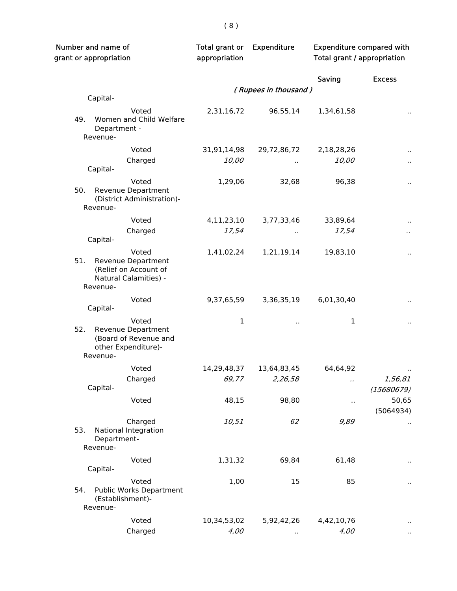| Number and name of<br>grant or appropriation                                                     | Total grant or<br>appropriation | Expenditure          | <b>Expenditure compared with</b><br>Total grant / appropriation |                      |
|--------------------------------------------------------------------------------------------------|---------------------------------|----------------------|-----------------------------------------------------------------|----------------------|
|                                                                                                  |                                 |                      | Saving                                                          | <b>Excess</b>        |
|                                                                                                  |                                 | (Rupees in thousand) |                                                                 |                      |
| Capital-                                                                                         |                                 |                      |                                                                 |                      |
| Voted<br>49.<br>Women and Child Welfare<br>Department -<br>Revenue-                              | 2,31,16,72                      | 96,55,14             | 1,34,61,58                                                      | $\ddot{\phantom{a}}$ |
| Voted                                                                                            | 31,91,14,98                     | 29,72,86,72          | 2,18,28,26                                                      |                      |
| Charged                                                                                          | 10,00                           |                      | 10,00                                                           |                      |
| Capital-                                                                                         |                                 |                      |                                                                 |                      |
| Voted<br>50.<br>Revenue Department<br>(District Administration)-<br>Revenue-                     | 1,29,06                         | 32,68                | 96,38                                                           | Ω,                   |
| Voted                                                                                            | 4,11,23,10                      | 3,77,33,46           | 33,89,64                                                        |                      |
| Charged                                                                                          | 17,54                           | $\cdot$              | 17,54                                                           | $\cdot$              |
| Capital-                                                                                         |                                 |                      |                                                                 |                      |
| Voted<br>51.<br>Revenue Department<br>(Relief on Account of<br>Natural Calamities) -<br>Revenue- | 1,41,02,24                      | 1,21,19,14           | 19,83,10                                                        |                      |
| Voted                                                                                            | 9,37,65,59                      | 3,36,35,19           | 6,01,30,40                                                      | ٠.                   |
| Capital-                                                                                         |                                 |                      |                                                                 |                      |
| Voted<br>52.<br>Revenue Department<br>(Board of Revenue and<br>other Expenditure)-<br>Revenue-   | 1                               | $\sim$               | 1                                                               | $\ddot{\phantom{1}}$ |
| Voted                                                                                            | 14,29,48,37                     | 13,64,83,45          | 64,64,92                                                        |                      |
| Charged                                                                                          | 69,77                           | 2,26,58              | .,                                                              | 1,56,81              |
| Capital-                                                                                         |                                 |                      |                                                                 | (15680679)           |
| Voted                                                                                            | 48,15                           | 98,80                | .,                                                              | 50,65<br>(5064934)   |
| Charged<br>National Integration<br>53.<br>Department-<br>Revenue-                                | 10,51                           | 62                   | 9,89                                                            |                      |
| Voted                                                                                            | 1,31,32                         | 69,84                | 61,48                                                           |                      |
| Capital-                                                                                         |                                 |                      |                                                                 |                      |
| Voted<br>Public Works Department<br>54.<br>(Establishment)-<br>Revenue-                          | 1,00                            | 15                   | 85                                                              |                      |
| Voted                                                                                            | 10,34,53,02                     | 5,92,42,26           | 4,42,10,76                                                      |                      |
| Charged                                                                                          | 4,00                            |                      | 4,00                                                            |                      |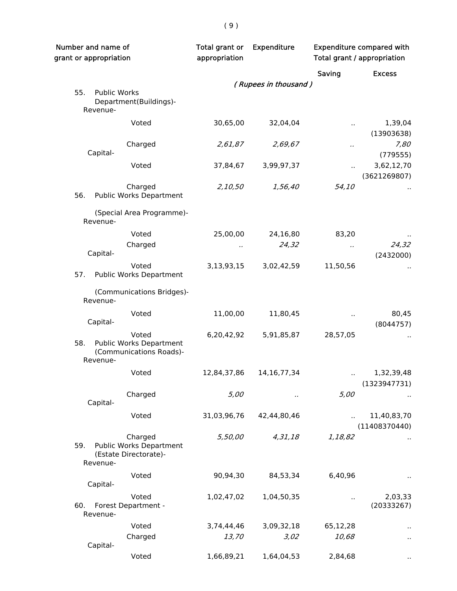| Number and name of<br>grant or appropriation                                          | Total grant or<br>appropriation | <b>Expenditure</b>   |                               | <b>Expenditure compared with</b><br><b>Total grant / appropriation</b> |
|---------------------------------------------------------------------------------------|---------------------------------|----------------------|-------------------------------|------------------------------------------------------------------------|
|                                                                                       |                                 |                      | Saving                        | <b>Excess</b>                                                          |
|                                                                                       |                                 | (Rupees in thousand) |                               |                                                                        |
| 55.<br><b>Public Works</b><br>Department(Buildings)-<br>Revenue-                      |                                 |                      |                               |                                                                        |
| Voted                                                                                 | 30,65,00                        | 32,04,04             | Ω.                            | 1,39,04<br>(13903638)                                                  |
| Charged<br>Capital-                                                                   | 2,61,87                         | 2,69,67              | $\cdot$                       | 7,80<br>(779555)                                                       |
| Voted                                                                                 | 37,84,67                        | 3,99,97,37           | ò.                            | 3,62,12,70<br>(3621269807)                                             |
| Charged<br>56.<br><b>Public Works Department</b>                                      | 2,10,50                         | 1,56,40              | 54,10                         |                                                                        |
| (Special Area Programme)-<br>Revenue-                                                 |                                 |                      |                               |                                                                        |
| Voted<br>Charged                                                                      | 25,00,00<br>.,                  | 24,16,80<br>24,32    | 83,20<br>$\ddot{\phantom{0}}$ | 24,32                                                                  |
| Capital-<br>Voted                                                                     |                                 |                      |                               | (2432000)                                                              |
| Public Works Department<br>57.                                                        | 3,13,93,15                      | 3,02,42,59           | 11,50,56                      |                                                                        |
| (Communications Bridges)-<br>Revenue-                                                 |                                 |                      |                               |                                                                        |
| Voted<br>Capital-                                                                     | 11,00,00                        | 11,80,45             |                               | 80,45<br>(8044757)                                                     |
| Voted<br><b>Public Works Department</b><br>58.<br>(Communications Roads)-<br>Revenue- | 6,20,42,92                      | 5,91,85,87           | 28,57,05                      |                                                                        |
| Voted                                                                                 | 12,84,37,86                     | 14, 16, 77, 34       |                               | 1,32,39,48<br>(1323947731)                                             |
| Charged<br>Capital-                                                                   | 5,00                            | $\cdot$ .            | 5,00                          |                                                                        |
| Voted                                                                                 | 31,03,96,76                     | 42,44,80,46          | $\ddot{\phantom{0}}$          | 11,40,83,70<br>(11408370440)                                           |
| Charged<br>Public Works Department<br>59.<br>(Estate Directorate)-<br>Revenue-        | 5,50,00                         | 4,31,18              | 1,18,82                       |                                                                        |
| Voted<br>Capital-                                                                     | 90,94,30                        | 84,53,34             | 6,40,96                       |                                                                        |
| Voted<br>60.<br>Forest Department -<br>Revenue-                                       | 1,02,47,02                      | 1,04,50,35           |                               | 2,03,33<br>(20333267)                                                  |
| Voted                                                                                 | 3,74,44,46                      | 3,09,32,18           | 65,12,28                      |                                                                        |
| Charged<br>Capital-                                                                   | 13,70                           | 3,02                 | 10,68                         | $\ddot{\phantom{1}}$                                                   |
| Voted                                                                                 | 1,66,89,21                      | 1,64,04,53           | 2,84,68                       |                                                                        |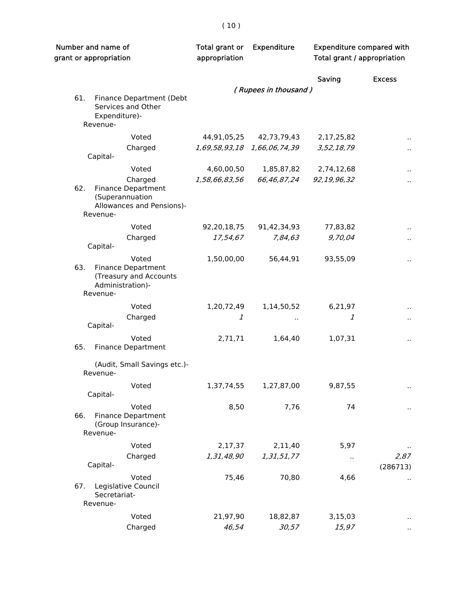| Number and name of<br>grant or appropriation |                                                                                                  | Total grant or<br>appropriation | <b>Expenditure</b>          |                      | <b>Expenditure compared with</b><br>Total grant / appropriation |  |
|----------------------------------------------|--------------------------------------------------------------------------------------------------|---------------------------------|-----------------------------|----------------------|-----------------------------------------------------------------|--|
|                                              |                                                                                                  |                                 |                             | Saving               | <b>Excess</b>                                                   |  |
|                                              |                                                                                                  |                                 | (Rupees in thousand)        |                      |                                                                 |  |
| 61.                                          | Finance Department (Debt<br>Services and Other<br>Expenditure)-<br>Revenue-                      |                                 |                             |                      |                                                                 |  |
|                                              | Voted                                                                                            | 44,91,05,25                     | 42,73,79,43                 | 2,17,25,82           |                                                                 |  |
|                                              | Charged<br>Capital-                                                                              |                                 | 1,69,58,93,18 1,66,06,74,39 | 3,52,18,79           | $\ddot{\phantom{a}}$                                            |  |
|                                              | Voted                                                                                            | 4,60,00,50                      | 1,85,87,82                  | 2,74,12,68           |                                                                 |  |
| 62.                                          | Charged<br><b>Finance Department</b><br>(Superannuation<br>Allowances and Pensions)-<br>Revenue- | 1,58,66,83,56                   | 66,46,87,24                 | 92,19,96,32          | $\ddot{\phantom{a}}$                                            |  |
|                                              | Voted                                                                                            | 92,20,18,75                     | 91,42,34,93                 | 77,83,82             |                                                                 |  |
|                                              | Charged<br>Capital-                                                                              | 17,54,67                        | 7,84,63                     | 9,70,04              | $\ddot{\phantom{a}}$                                            |  |
| 63.                                          | Voted<br><b>Finance Department</b><br>(Treasury and Accounts<br>Administration)-<br>Revenue-     | 1,50,00,00                      | 56,44,91                    | 93,55,09             | $\ddot{\phantom{0}}$                                            |  |
|                                              | Voted                                                                                            | 1,20,72,49                      | 1,14,50,52                  | 6,21,97              |                                                                 |  |
|                                              | Charged<br>Capital-                                                                              | 1                               | $\cdot$ .                   | 1                    | $\ddot{\phantom{0}}$                                            |  |
| 65.                                          | Voted<br><b>Finance Department</b>                                                               | 2,71,71                         | 1,64,40                     | 1,07,31              |                                                                 |  |
|                                              | (Audit, Small Savings etc.)-<br>Revenue-                                                         |                                 |                             |                      |                                                                 |  |
|                                              | Voted<br>Capital-                                                                                | 1,37,74,55                      | 1,27,87,00                  | 9,87,55              |                                                                 |  |
| 66.                                          | Voted<br><b>Finance Department</b><br>(Group Insurance)-<br>Revenue-                             | 8,50                            | 7,76                        | 74                   |                                                                 |  |
|                                              | Voted                                                                                            | 2,17,37                         | 2,11,40                     | 5,97                 |                                                                 |  |
|                                              | Charged<br>Capital-                                                                              | 1,31,48,90                      | 1,31,51,77                  | $\ddot{\phantom{0}}$ | 2,87<br>(286713)                                                |  |
| 67.                                          | Voted<br>Legislative Council<br>Secretariat-<br>Revenue-                                         | 75,46                           | 70,80                       | 4,66                 |                                                                 |  |
|                                              | Voted                                                                                            | 21,97,90                        | 18,82,87                    | 3,15,03              |                                                                 |  |
|                                              | Charged                                                                                          | 46,54                           | 30,57                       | 15,97                |                                                                 |  |

# $\left(\right.10\left.\right)$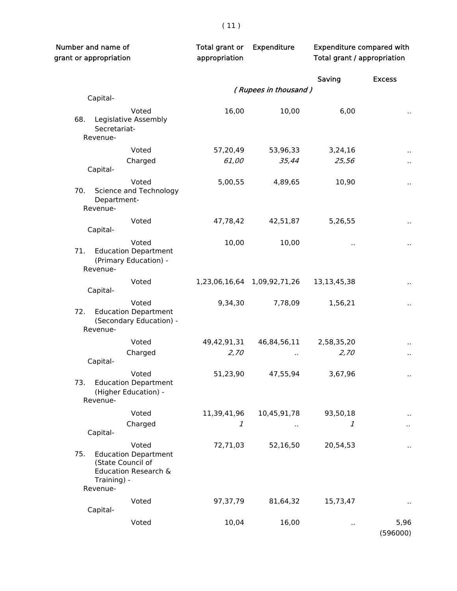| Number and name of<br>grant or appropriation |                                                                                   | Total grant or<br>appropriation | <b>Expenditure</b>          | <b>Expenditure compared with</b><br>Total grant / appropriation |                      |
|----------------------------------------------|-----------------------------------------------------------------------------------|---------------------------------|-----------------------------|-----------------------------------------------------------------|----------------------|
|                                              |                                                                                   |                                 |                             | Saving                                                          | <b>Excess</b>        |
|                                              |                                                                                   |                                 | (Rupees in thousand)        |                                                                 |                      |
| Capital-                                     |                                                                                   |                                 |                             |                                                                 |                      |
| 68.<br>Secretariat-<br>Revenue-              | Voted<br>Legislative Assembly                                                     | 16,00                           | 10,00                       | 6,00                                                            |                      |
|                                              | Voted                                                                             | 57,20,49                        | 53,96,33                    | 3,24,16                                                         | $\sim$               |
| Capital-                                     | Charged                                                                           | 61,00                           | 35,44                       | 25,56                                                           | $\ddot{\phantom{1}}$ |
| 70.                                          | Voted<br>Science and Technology                                                   | 5,00,55                         | 4,89,65                     | 10,90                                                           | $\ddot{\phantom{a}}$ |
| Department-<br>Revenue-                      |                                                                                   |                                 |                             |                                                                 |                      |
| Capital-                                     | Voted                                                                             | 47,78,42                        | 42,51,87                    | 5,26,55                                                         | $\sim$               |
| 71.<br>Revenue-                              | Voted<br><b>Education Department</b><br>(Primary Education) -                     | 10,00                           | 10,00                       | .,                                                              | $\blacksquare$       |
| Capital-                                     | Voted                                                                             |                                 | 1,23,06,16,64 1,09,92,71,26 | 13,13,45,38                                                     | $\sim$               |
| 72.<br>Revenue-                              | Voted<br><b>Education Department</b><br>(Secondary Education) -                   | 9,34,30                         | 7,78,09                     | 1,56,21                                                         | $\ddot{\phantom{1}}$ |
|                                              | Voted                                                                             | 49,42,91,31                     | 46,84,56,11                 | 2,58,35,20                                                      |                      |
| Capital-                                     | Charged                                                                           | 2,70                            |                             | 2,70                                                            | $\blacksquare$       |
| 73.<br>Revenue-                              | Voted<br><b>Education Department</b><br>(Higher Education) -                      | 51,23,90                        | 47,55,94                    | 3,67,96                                                         | $\sim$               |
|                                              | Voted                                                                             | 11,39,41,96                     | 10,45,91,78                 | 93,50,18                                                        |                      |
| Capital-                                     | Charged                                                                           | 1                               |                             | 1                                                               |                      |
| 75.<br>Training) -<br>Revenue-               | Voted<br><b>Education Department</b><br>(State Council of<br>Education Research & | 72,71,03                        | 52,16,50                    | 20,54,53                                                        | $\sim$               |
| Capital-                                     | Voted                                                                             | 97,37,79                        | 81,64,32                    | 15,73,47                                                        |                      |
|                                              | Voted                                                                             | 10,04                           | 16,00                       |                                                                 | 5,96<br>(596000)     |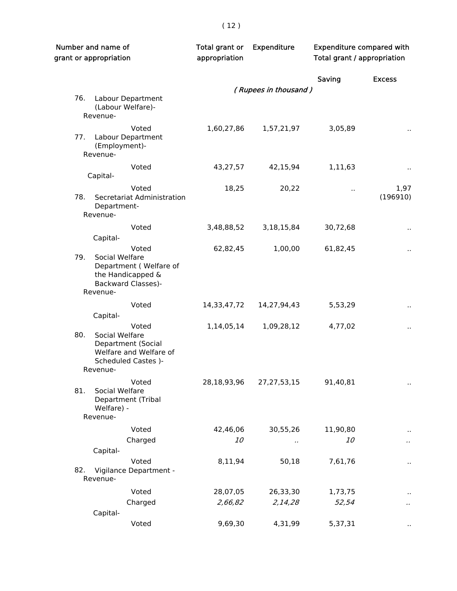| Number and name of<br>grant or appropriation |                                                                                                            | Total grant or<br>appropriation | Expenditure          | <b>Expenditure compared with</b><br>Total grant / appropriation |                      |
|----------------------------------------------|------------------------------------------------------------------------------------------------------------|---------------------------------|----------------------|-----------------------------------------------------------------|----------------------|
|                                              |                                                                                                            |                                 |                      | Saving                                                          | <b>Excess</b>        |
|                                              |                                                                                                            |                                 | (Rupees in thousand) |                                                                 |                      |
| 76.                                          | Labour Department<br>(Labour Welfare)-<br>Revenue-                                                         |                                 |                      |                                                                 |                      |
| 77.                                          | Voted<br>Labour Department<br>(Employment)-<br>Revenue-                                                    | 1,60,27,86                      | 1,57,21,97           | 3,05,89                                                         | $\ddot{\phantom{1}}$ |
|                                              | Voted                                                                                                      | 43,27,57                        | 42,15,94             | 1,11,63                                                         |                      |
|                                              | Capital-                                                                                                   |                                 |                      |                                                                 |                      |
| 78.                                          | Voted<br>Secretariat Administration<br>Department-<br>Revenue-                                             | 18,25                           | 20,22                | $\ddot{\phantom{a}}$                                            | 1,97<br>(196910)     |
|                                              | Voted                                                                                                      | 3,48,88,52                      | 3, 18, 15, 84        | 30,72,68                                                        |                      |
|                                              | Capital-                                                                                                   |                                 |                      |                                                                 | $\ddot{\phantom{0}}$ |
| 79.                                          | Voted<br>Social Welfare<br>Department (Welfare of<br>the Handicapped &<br><b>Backward Classes)-</b>        | 62,82,45                        | 1,00,00              | 61,82,45                                                        |                      |
|                                              | Revenue-                                                                                                   |                                 |                      |                                                                 |                      |
|                                              | Voted                                                                                                      | 14,33,47,72                     | 14,27,94,43          | 5,53,29                                                         | $\ddot{\phantom{0}}$ |
|                                              | Capital-                                                                                                   |                                 |                      |                                                                 |                      |
| 80.                                          | Voted<br>Social Welfare<br>Department (Social<br>Welfare and Welfare of<br>Scheduled Castes )-<br>Revenue- | 1,14,05,14                      | 1,09,28,12           | 4,77,02                                                         |                      |
| 81.                                          | Voted<br>Social Welfare<br>Department (Tribal<br>Welfare) -<br>Revenue-                                    | 28,18,93,96                     | 27, 27, 53, 15       | 91,40,81                                                        | $\ddot{\phantom{0}}$ |
|                                              | Voted                                                                                                      | 42,46,06                        | 30,55,26             | 11,90,80                                                        |                      |
|                                              | Charged                                                                                                    | 10                              | . .                  | <i>10</i>                                                       |                      |
|                                              | Capital-                                                                                                   |                                 |                      |                                                                 |                      |
| 82.                                          | Voted<br>Vigilance Department -<br>Revenue-                                                                | 8,11,94                         | 50,18                | 7,61,76                                                         |                      |
|                                              | Voted                                                                                                      | 28,07,05                        | 26,33,30             | 1,73,75                                                         |                      |
|                                              | Charged<br>Capital-                                                                                        | 2,66,82                         | 2,14,28              | 52,54                                                           |                      |
|                                              | Voted                                                                                                      | 9,69,30                         | 4,31,99              | 5,37,31                                                         |                      |
|                                              |                                                                                                            |                                 |                      |                                                                 |                      |

# ( 12 )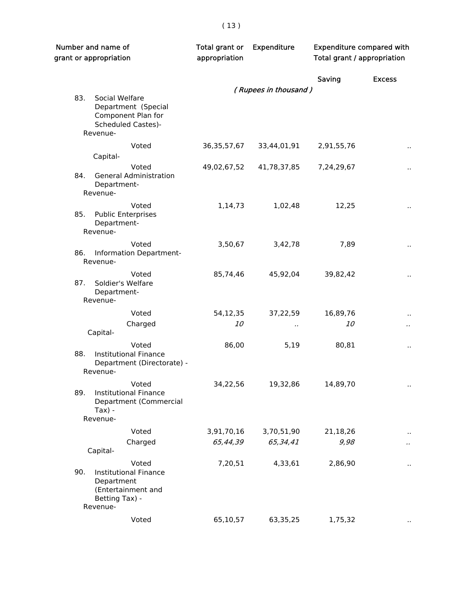|     | Number and name of<br>grant or appropriation                                                            |                | Expenditure          | <b>Expenditure compared with</b><br>Total grant / appropriation |                      |
|-----|---------------------------------------------------------------------------------------------------------|----------------|----------------------|-----------------------------------------------------------------|----------------------|
|     |                                                                                                         |                |                      | Saving                                                          | <b>Excess</b>        |
|     |                                                                                                         |                | (Rupees in thousand) |                                                                 |                      |
| 83. | Social Welfare<br>Department (Special<br>Component Plan for<br><b>Scheduled Castes)-</b><br>Revenue-    |                |                      |                                                                 |                      |
|     | Voted                                                                                                   | 36, 35, 57, 67 | 33,44,01,91          | 2,91,55,76                                                      | $\ddot{\phantom{1}}$ |
|     | Capital-                                                                                                |                |                      |                                                                 |                      |
| 84. | Voted<br><b>General Administration</b><br>Department-                                                   | 49,02,67,52    | 41,78,37,85          | 7,24,29,67                                                      |                      |
|     | Revenue-                                                                                                |                |                      |                                                                 |                      |
| 85. | Voted<br><b>Public Enterprises</b><br>Department-<br>Revenue-                                           | 1,14,73        | 1,02,48              | 12,25                                                           |                      |
|     | Voted                                                                                                   | 3,50,67        | 3,42,78              | 7,89                                                            | $\ddot{\phantom{0}}$ |
| 86. | Information Department-<br>Revenue-                                                                     |                |                      |                                                                 |                      |
| 87. | Voted<br>Soldier's Welfare<br>Department-<br>Revenue-                                                   | 85,74,46       | 45,92,04             | 39,82,42                                                        | ٠,                   |
|     | Voted                                                                                                   |                |                      |                                                                 |                      |
|     | Charged                                                                                                 | 54,12,35<br>10 | 37,22,59             | 16,89,76<br><i>10</i>                                           |                      |
|     | Capital-                                                                                                |                |                      |                                                                 |                      |
| 88. | Voted<br><b>Institutional Finance</b><br>Department (Directorate) -<br>Revenue-                         | 86,00          | 5,19                 | 80,81                                                           |                      |
| 89. | Voted<br><b>Institutional Finance</b><br>Department (Commercial<br>$Tax$ ) -                            | 34,22,56       | 19,32,86             | 14,89,70                                                        |                      |
|     | Revenue-                                                                                                |                |                      |                                                                 |                      |
|     | Voted                                                                                                   | 3,91,70,16     | 3,70,51,90           | 21,18,26                                                        |                      |
|     | Charged<br>Capital-                                                                                     | 65,44,39       | 65,34,41             | 9,98                                                            |                      |
|     |                                                                                                         |                |                      |                                                                 |                      |
| 90. | Voted<br><b>Institutional Finance</b><br>Department<br>(Entertainment and<br>Betting Tax) -<br>Revenue- | 7,20,51        | 4,33,61              | 2,86,90                                                         |                      |
|     | Voted                                                                                                   | 65,10,57       | 63,35,25             | 1,75,32                                                         |                      |
|     |                                                                                                         |                |                      |                                                                 |                      |

# ( 13 )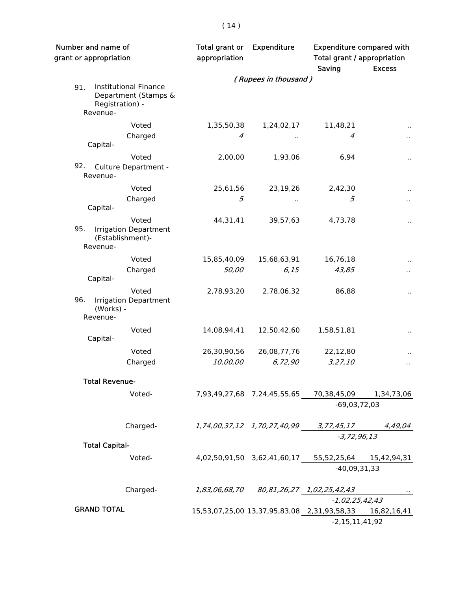|     | Number and name of<br>grant or appropriation                                        | Total grant or<br>appropriation | Expenditure                            | <b>Expenditure compared with</b><br>Total grant / appropriation<br>Saving | <b>Excess</b>        |
|-----|-------------------------------------------------------------------------------------|---------------------------------|----------------------------------------|---------------------------------------------------------------------------|----------------------|
|     |                                                                                     |                                 | (Rupees in thousand)                   |                                                                           |                      |
| 91. | <b>Institutional Finance</b><br>Department (Stamps &<br>Registration) -<br>Revenue- |                                 |                                        |                                                                           |                      |
|     | Voted                                                                               | 1,35,50,38                      | 1,24,02,17                             | 11,48,21                                                                  | $\sim$               |
|     | Charged<br>Capital-                                                                 | 4                               | .,                                     | 4                                                                         | $\epsilon$ .         |
|     | Voted                                                                               | 2,00,00                         | 1,93,06                                | 6,94                                                                      |                      |
| 92. | Culture Department -<br>Revenue-                                                    |                                 |                                        |                                                                           |                      |
|     | Voted                                                                               | 25,61,56                        | 23,19,26                               | 2,42,30                                                                   | $\ddot{\phantom{1}}$ |
|     | Charged<br>Capital-                                                                 | 5                               | .,                                     | 5                                                                         | $\epsilon$ .         |
| 95. | Voted<br><b>Irrigation Department</b><br>(Establishment)-<br>Revenue-               | 44,31,41                        | 39,57,63                               | 4,73,78                                                                   |                      |
|     | Voted                                                                               | 15,85,40,09                     | 15,68,63,91                            | 16,76,18                                                                  |                      |
|     | Charged<br>Capital-                                                                 | 50,00                           | 6,15                                   | 43,85                                                                     | $\cdot$              |
| 96. | Voted<br><b>Irrigation Department</b><br>(Works) -<br>Revenue-                      | 2,78,93,20                      | 2,78,06,32                             | 86,88                                                                     | $\ddot{\phantom{1}}$ |
|     | Voted<br>Capital-                                                                   | 14,08,94,41                     | 12,50,42,60                            | 1,58,51,81                                                                | $\ddot{\phantom{1}}$ |
|     |                                                                                     |                                 |                                        |                                                                           |                      |
|     | Voted<br>Charged                                                                    | 26,30,90,56<br>10,00,00         | 26,08,77,76<br>6,72,90                 | 22,12,80<br>3,27,10                                                       |                      |
|     | <b>Total Revenue-</b>                                                               |                                 |                                        |                                                                           |                      |
|     | Voted-                                                                              |                                 |                                        | 7,93,49,27,68 7,24,45,55,65 70,38,45,09<br>$-69,03,72,03$                 | 1,34,73,06           |
|     |                                                                                     |                                 |                                        |                                                                           |                      |
|     | Charged-                                                                            |                                 | 1,74,00,37,12 1,70,27,40,99 3,77,45,17 |                                                                           | 4,49,04              |
|     | <b>Total Capital-</b>                                                               |                                 |                                        | $-3, 72, 96, 13$                                                          |                      |
|     | Voted-                                                                              |                                 |                                        | 4,02,50,91,50 3,62,41,60,17 55,52,25,64 15,42,94,31                       |                      |
|     |                                                                                     |                                 |                                        | $-40,09,31,33$                                                            |                      |
|     | Charged-                                                                            | 1,83,06,68,70                   |                                        |                                                                           | $\cdots$             |
|     |                                                                                     |                                 |                                        | -1,02,25,42,43                                                            |                      |
|     | <b>GRAND TOTAL</b>                                                                  |                                 |                                        | 15,53,07,25,00 13,37,95,83,08 2,31,93,58,33 16,82,16,41                   |                      |
|     |                                                                                     |                                 |                                        | $-2,15,11,41,92$                                                          |                      |

# $(14)$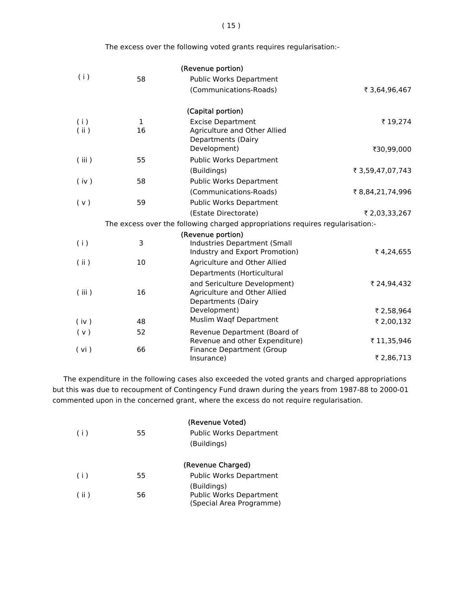The excess over the following voted grants requires regularisation:-

|       |    | (Revenue portion)                                                              |                  |
|-------|----|--------------------------------------------------------------------------------|------------------|
| (i)   | 58 | Public Works Department                                                        |                  |
|       |    | (Communications-Roads)                                                         | ₹ 3,64,96,467    |
|       |    | (Capital portion)                                                              |                  |
| (i)   | 1  | <b>Excise Department</b>                                                       | ₹19,274          |
| (i)   | 16 | Agriculture and Other Allied<br><b>Departments (Dairy</b>                      |                  |
|       |    | Development)                                                                   | ₹30,99,000       |
| (iii) | 55 | Public Works Department                                                        |                  |
|       |    | (Buildings)                                                                    | ₹ 3,59,47,07,743 |
| (iv)  | 58 | Public Works Department                                                        |                  |
|       |    | (Communications-Roads)                                                         | ₹8,84,21,74,996  |
| (v)   | 59 | Public Works Department                                                        |                  |
|       |    | (Estate Directorate)                                                           | ₹ 2,03,33,267    |
|       |    | The excess over the following charged appropriations requires regularisation:- |                  |
|       |    | (Revenue portion)                                                              |                  |
| (i)   | 3  | Industries Department (Small<br>Industry and Export Promotion)                 | ₹4,24,655        |
| (i)   | 10 | Agriculture and Other Allied                                                   |                  |
|       |    | Departments (Horticultural                                                     |                  |
|       |    | and Sericulture Development)                                                   | ₹ 24,94,432      |
| (iii) | 16 | Agriculture and Other Allied                                                   |                  |
|       |    | <b>Departments (Dairy</b><br>Development)                                      | ₹ 2,58,964       |
| (iv)  | 48 | Muslim Waqf Department                                                         | ₹ 2,00,132       |
| (v)   | 52 | Revenue Department (Board of                                                   |                  |
|       |    | Revenue and other Expenditure)                                                 | ₹11,35,946       |
| (vi)  | 66 | <b>Finance Department (Group</b>                                               |                  |
|       |    | Insurance)                                                                     | ₹ 2,86,713       |

 The expenditure in the following cases also exceeded the voted grants and charged appropriations but this was due to recoupment of Contingency Fund drawn during the years from 1987-88 to 2000-01 commented upon in the concerned grant, where the excess do not require regularisation.

| (i)  | 55 | (Revenue Voted)<br><b>Public Works Department</b><br>(Buildings)          |
|------|----|---------------------------------------------------------------------------|
|      |    | (Revenue Charged)                                                         |
| (i)  | 55 | Public Works Department                                                   |
| (ii) | 56 | (Buildings)<br><b>Public Works Department</b><br>(Special Area Programme) |

( 15 )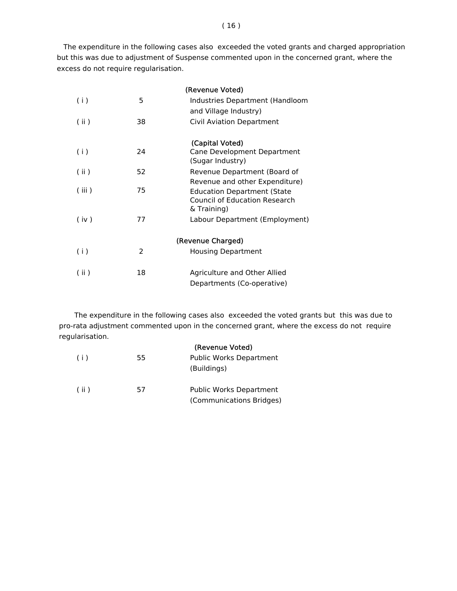The expenditure in the following cases also exceeded the voted grants and charged appropriation but this was due to adjustment of Suspense commented upon in the concerned grant, where the excess do not require regularisation.

|       |               | (Revenue Voted)                                                                                                             |
|-------|---------------|-----------------------------------------------------------------------------------------------------------------------------|
| (i)   | 5             | Industries Department (Handloom                                                                                             |
|       |               | and Village Industry)                                                                                                       |
| (ii)  | 38            | <b>Civil Aviation Department</b>                                                                                            |
| (i)   | 24            | (Capital Voted)<br>Cane Development Department<br>(Sugar Industry)                                                          |
| (i)   | 52            | Revenue Department (Board of                                                                                                |
| (iii) | 75            | Revenue and other Expenditure)<br><b>Education Department (State</b><br><b>Council of Education Research</b><br>& Training) |
| (iv)  | 77            | Labour Department (Employment)                                                                                              |
|       |               | (Revenue Charged)                                                                                                           |
| (i)   | $\mathcal{P}$ | Housing Department                                                                                                          |
| (ii)  | 18            | Agriculture and Other Allied<br>Departments (Co-operative)                                                                  |

 The expenditure in the following cases also exceeded the voted grants but this was due to pro-rata adjustment commented upon in the concerned grant, where the excess do not require regularisation.

|     |    | (Revenue Voted)                                            |
|-----|----|------------------------------------------------------------|
| (i) | 55 | <b>Public Works Department</b><br>(Buildings)              |
| (i) | 57 | <b>Public Works Department</b><br>(Communications Bridges) |

#### ( 16 )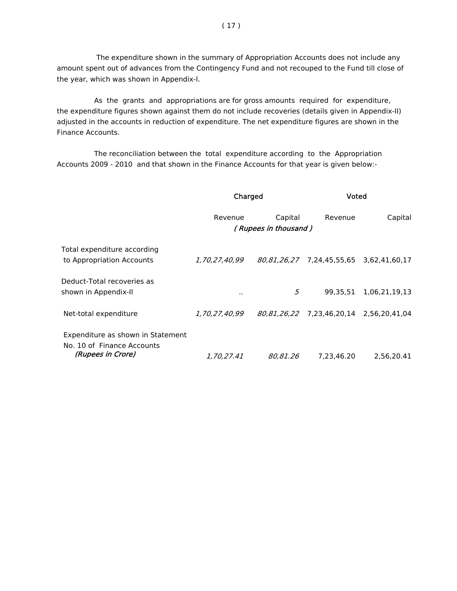The expenditure shown in the summary of Appropriation Accounts does not include any amount spent out of advances from the Contingency Fund and not recouped to the Fund till close of the year, which was shown in Appendix-I.

 As the grants and appropriations are for gross amounts required for expenditure, the expenditure figures shown against them do not include recoveries (details given in Appendix-II) adjusted in the accounts in reduction of expenditure. The net expenditure figures are shown in the Finance Accounts.

 The reconciliation between the total expenditure according to the Appropriation Accounts 2009 - 2010 and that shown in the Finance Accounts for that year is given below:-

|                                                                                      | Charged           |                                 | Voted                                   |               |
|--------------------------------------------------------------------------------------|-------------------|---------------------------------|-----------------------------------------|---------------|
|                                                                                      | Revenue           | Capital<br>(Rupees in thousand) | Revenue                                 | Capital       |
| Total expenditure according<br>to Appropriation Accounts                             | 1,70,27,40,99     |                                 | 80,81,26,27 7,24,45,55,65 3,62,41,60,17 |               |
| Deduct-Total recoveries as<br>shown in Appendix-II                                   |                   | 5                               | 99.35.51                                | 1,06,21,19,13 |
| Net-total expenditure                                                                | 1,70,27,40,99     |                                 | 80,81,26,22 7,23,46,20,14 2,56,20,41,04 |               |
| Expenditure as shown in Statement<br>No. 10 of Finance Accounts<br>(Rupees in Crore) | <i>1.70.27.41</i> | 80.81.26                        | 7.23.46.20                              | 2.56.20.41    |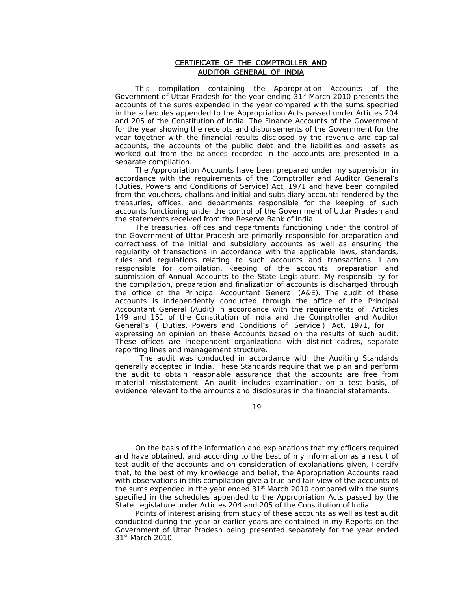#### CERTIFICATE OF THE COMPTROLLER AND AUDITOR GENERAL OF INDIA

 This compilation containing the Appropriation Accounts of the Government of Uttar Pradesh for the year ending  $31<sup>st</sup>$  March 2010 presents the accounts of the sums expended in the year compared with the sums specified in the schedules appended to the Appropriation Acts passed under Articles 204 and 205 of the Constitution of India. The Finance Accounts of the Government for the year showing the receipts and disbursements of the Government for the year together with the financial results disclosed by the revenue and capital accounts, the accounts of the public debt and the liabilities and assets as worked out from the balances recorded in the accounts are presented in a separate compilation.

 The Appropriation Accounts have been prepared under my supervision in accordance with the requirements of the Comptroller and Auditor General's (Duties, Powers and Conditions of Service) Act, 1971 and have been compiled from the vouchers, challans and initial and subsidiary accounts rendered by the treasuries, offices, and departments responsible for the keeping of such accounts functioning under the control of the Government of Uttar Pradesh and the statements received from the Reserve Bank of India.

 The treasuries, offices and departments functioning under the control of the Government of Uttar Pradesh are primarily responsible for preparation and correctness of the initial and subsidiary accounts as well as ensuring the regularity of transactions in accordance with the applicable laws, standards, rules and regulations relating to such accounts and transactions. I am responsible for compilation, keeping of the accounts, preparation and submission of Annual Accounts to the State Legislature. My responsibility for the compilation, preparation and finalization of accounts is discharged through the office of the Principal Accountant General (A&E). The audit of these accounts is independently conducted through the office of the Principal Accountant General (Audit) in accordance with the requirements of Articles 149 and 151 of the Constitution of India and the Comptroller and Auditor General's ( Duties, Powers and Conditions of Service ) Act, 1971, for expressing an opinion on these Accounts based on the results of such audit. These offices are independent organizations with distinct cadres, separate reporting lines and management structure.

 The audit was conducted in accordance with the Auditing Standards generally accepted in India. These Standards require that we plan and perform the audit to obtain reasonable assurance that the accounts are free from material misstatement. An audit includes examination, on a test basis, of evidence relevant to the amounts and disclosures in the financial statements.

#### 19

 On the basis of the information and explanations that my officers required and have obtained, and according to the best of my information as a result of test audit of the accounts and on consideration of explanations given, I certify that, to the best of my knowledge and belief, the Appropriation Accounts read with observations in this compilation give a true and fair view of the accounts of the sums expended in the year ended  $31<sup>st</sup>$  March 2010 compared with the sums specified in the schedules appended to the Appropriation Acts passed by the State Legislature under Articles 204 and 205 of the Constitution of India.

 Points of interest arising from study of these accounts as well as test audit conducted during the year or earlier years are contained in my Reports on the Government of Uttar Pradesh being presented separately for the year ended 31<sup>st</sup> March 2010.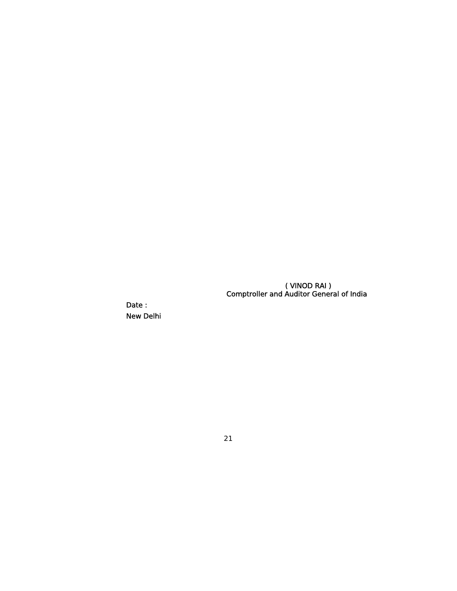( VINOD RAI ) Comptroller and Auditor General of India

> Date : New Delhi

> > 21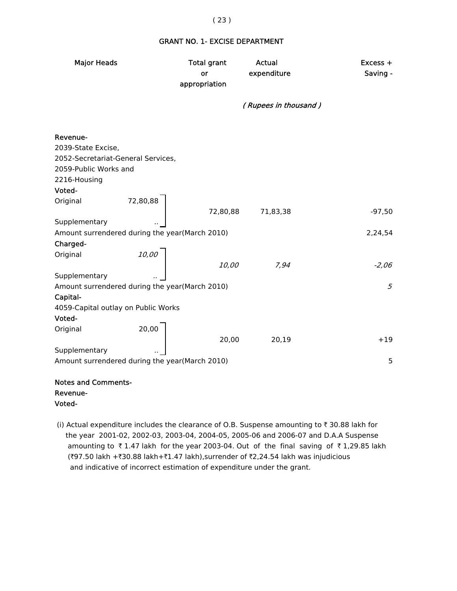## GRANT NO. 1- EXCISE DEPARTMENT

| <b>Major Heads</b>                                         |          | <b>Total grant</b><br>or<br>appropriation | <b>Actual</b><br>expenditure | Excess +<br>Saving - |
|------------------------------------------------------------|----------|-------------------------------------------|------------------------------|----------------------|
|                                                            |          |                                           | (Rupees in thousand)         |                      |
| Revenue-                                                   |          |                                           |                              |                      |
| 2039-State Excise,                                         |          |                                           |                              |                      |
| 2052-Secretariat-General Services,                         |          |                                           |                              |                      |
| 2059-Public Works and                                      |          |                                           |                              |                      |
| 2216-Housing                                               |          |                                           |                              |                      |
| Voted-                                                     |          |                                           |                              |                      |
| Original                                                   | 72,80,88 |                                           |                              |                      |
|                                                            |          | 72,80,88                                  | 71,83,38                     | $-97,50$             |
| Supplementary                                              |          |                                           |                              |                      |
| Amount surrendered during the year(March 2010)             |          |                                           |                              | 2,24,54              |
| Charged-                                                   |          |                                           |                              |                      |
| Original                                                   | 10,00    |                                           |                              |                      |
|                                                            |          | 10,00                                     | 7,94                         | $-2,06$              |
| Supplementary                                              |          |                                           |                              | 5                    |
| Amount surrendered during the year(March 2010)<br>Capital- |          |                                           |                              |                      |
| 4059-Capital outlay on Public Works                        |          |                                           |                              |                      |
| Voted-                                                     |          |                                           |                              |                      |
| Original                                                   | 20,00    |                                           |                              |                      |
|                                                            |          | 20,00                                     | 20,19                        | $+19$                |
| Supplementary                                              |          |                                           |                              |                      |
| Amount surrendered during the year(March 2010)             |          |                                           |                              | 5                    |
|                                                            |          |                                           |                              |                      |
|                                                            |          |                                           |                              |                      |

## Notes and Comments- Revenue- Voted-

(i) Actual expenditure includes the clearance of O.B. Suspense amounting to  $\bar{\tau}$  30.88 lakh for the year 2001-02, 2002-03, 2003-04, 2004-05, 2005-06 and 2006-07 and D.A.A Suspense amounting to  $\bar{\tau}$  1.47 lakh for the year 2003-04. Out of the final saving of  $\bar{\tau}$  1,29.85 lakh (₹97.50 lakh +₹30.88 lakh+₹1.47 lakh),surrender of ₹2,24.54 lakh was injudicious and indicative of incorrect estimation of expenditure under the grant.

#### ( 23 )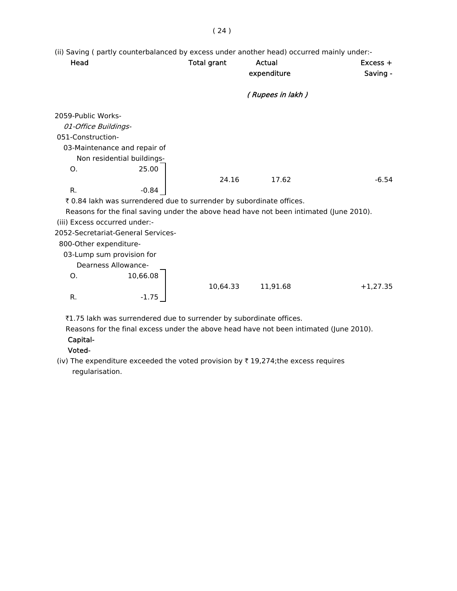(ii) Saving ( partly counterbalanced by excess under another head) occurred mainly under:-

| Head                          |                                                                                        | <b>Total grant</b> | Actual           | $Excess +$ |
|-------------------------------|----------------------------------------------------------------------------------------|--------------------|------------------|------------|
|                               |                                                                                        |                    | expenditure      | Saving -   |
|                               |                                                                                        |                    | (Rupees in lakh) |            |
| 2059-Public Works-            |                                                                                        |                    |                  |            |
| 01-Office Buildings-          |                                                                                        |                    |                  |            |
| 051-Construction-             |                                                                                        |                    |                  |            |
|                               | 03-Maintenance and repair of                                                           |                    |                  |            |
|                               | Non residential buildings-                                                             |                    |                  |            |
| O.                            | 25.00                                                                                  |                    |                  |            |
|                               |                                                                                        | 24.16              | 17.62            | $-6.54$    |
| R.                            | $-0.84$                                                                                |                    |                  |            |
|                               | ₹ 0.84 lakh was surrendered due to surrender by subordinate offices.                   |                    |                  |            |
|                               | Reasons for the final saving under the above head have not been intimated (June 2010). |                    |                  |            |
| (iii) Excess occurred under:- |                                                                                        |                    |                  |            |
|                               | 2052-Secretariat-General Services-                                                     |                    |                  |            |
| 800-Other expenditure-        |                                                                                        |                    |                  |            |
|                               | 03-Lump sum provision for                                                              |                    |                  |            |
|                               | <b>Dearness Allowance-</b>                                                             |                    |                  |            |
| О.                            | 10,66.08                                                                               |                    |                  |            |
|                               |                                                                                        | 10,64.33           | 11,91.68         | $+1,27.35$ |
| R.                            | $-1.75$                                                                                |                    |                  |            |

₹1.75 lakh was surrendered due to surrender by subordinate offices.

 Reasons for the final excess under the above head have not been intimated (June 2010). Capital-

# Voted-

(iv) The expenditure exceeded the voted provision by  $\bar{\tau}$  19,274;the excess requires regularisation.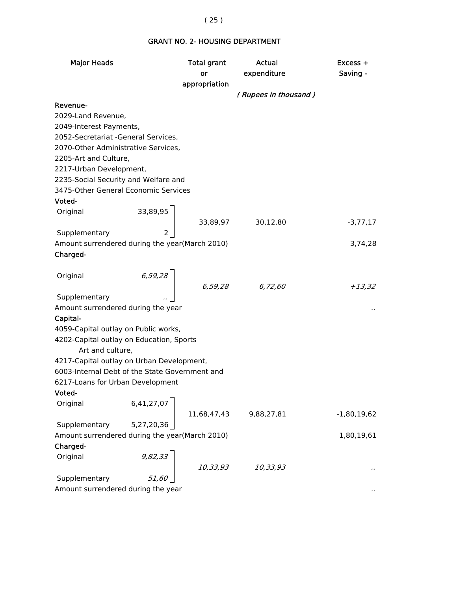# GRANT NO. 2- HOUSING DEPARTMENT

| <b>Major Heads</b>                             |                                              | <b>Total grant</b> | Actual               | Excess +      |
|------------------------------------------------|----------------------------------------------|--------------------|----------------------|---------------|
|                                                |                                              | or                 | expenditure          | Saving -      |
|                                                |                                              | appropriation      |                      |               |
|                                                |                                              |                    | (Rupees in thousand) |               |
| Revenue-                                       |                                              |                    |                      |               |
| 2029-Land Revenue,                             |                                              |                    |                      |               |
| 2049-Interest Payments,                        |                                              |                    |                      |               |
| 2052-Secretariat -General Services,            |                                              |                    |                      |               |
| 2070-Other Administrative Services,            |                                              |                    |                      |               |
| 2205-Art and Culture,                          |                                              |                    |                      |               |
| 2217-Urban Development,                        |                                              |                    |                      |               |
| 2235-Social Security and Welfare and           |                                              |                    |                      |               |
| 3475-Other General Economic Services           |                                              |                    |                      |               |
| Voted-                                         |                                              |                    |                      |               |
| Original                                       | $\begin{array}{c} 33,89,95 \\ 2 \end{array}$ |                    |                      |               |
|                                                |                                              |                    | 33,89,97 30,12,80    | $-3,77,17$    |
| Supplementary                                  |                                              |                    |                      |               |
| Amount surrendered during the year(March 2010) |                                              |                    |                      | 3,74,28       |
| Charged-                                       |                                              |                    |                      |               |
|                                                |                                              |                    |                      |               |
| Original                                       | 6,59,28                                      |                    |                      |               |
|                                                |                                              |                    | $6,59,28$ $6,72,60$  | $+13,32$      |
| Supplementary                                  |                                              |                    |                      |               |
| Amount surrendered during the year             |                                              |                    |                      |               |
| Capital-                                       |                                              |                    |                      |               |
| 4059-Capital outlay on Public works,           |                                              |                    |                      |               |
| 4202-Capital outlay on Education, Sports       |                                              |                    |                      |               |
| Art and culture,                               |                                              |                    |                      |               |
| 4217-Capital outlay on Urban Development,      |                                              |                    |                      |               |
| 6003-Internal Debt of the State Government and |                                              |                    |                      |               |
| 6217-Loans for Urban Development               |                                              |                    |                      |               |
| Voted-                                         |                                              |                    |                      |               |
| Original                                       | 6,41,27,07                                   |                    |                      |               |
|                                                |                                              | 11,68,47,43        | 9,88,27,81           | $-1,80,19,62$ |
| Supplementary                                  | 5,27,20,36                                   |                    |                      |               |
| Amount surrendered during the year(March 2010) |                                              |                    |                      | 1,80,19,61    |
| Charged-                                       |                                              |                    |                      |               |
| Original                                       |                                              |                    |                      |               |
|                                                | 9,82,33                                      | 10,33,93           | 10,33,93             |               |
| Supplementary                                  |                                              |                    |                      |               |
| Amount surrendered during the year             |                                              |                    |                      |               |

# ( 25 )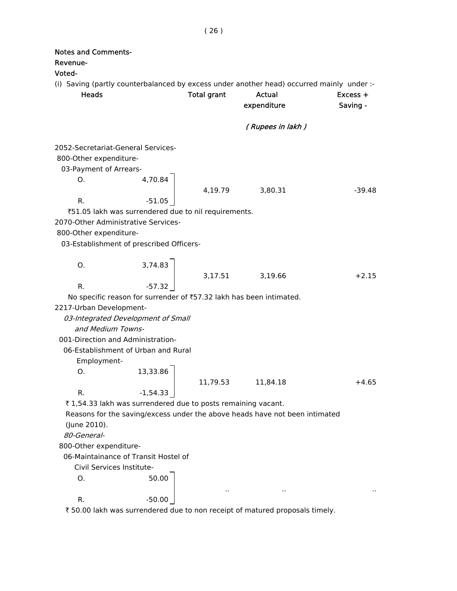| <b>Notes and Comments-</b><br>Revenue-<br>Voted-                                             |                                                                                                  |                    |                                                                                                                    |                        |
|----------------------------------------------------------------------------------------------|--------------------------------------------------------------------------------------------------|--------------------|--------------------------------------------------------------------------------------------------------------------|------------------------|
| <b>Heads</b>                                                                                 |                                                                                                  | <b>Total grant</b> | (i) Saving (partly counterbalanced by excess under another head) occurred mainly under :-<br>Actual<br>expenditure | $Excess +$<br>Saving - |
|                                                                                              |                                                                                                  |                    | (Rupees in lakh)                                                                                                   |                        |
| 2052-Secretariat-General Services-<br>800-Other expenditure-<br>03-Payment of Arrears-<br>O. | 4,70.84                                                                                          | 4,19.79            | 3,80.31                                                                                                            | $-39.48$               |
| R.                                                                                           | $-51.05$                                                                                         |                    |                                                                                                                    |                        |
| 2070-Other Administrative Services-<br>800-Other expenditure-                                | ₹51.05 lakh was surrendered due to nil requirements.<br>03-Establishment of prescribed Officers- |                    |                                                                                                                    |                        |
| О.                                                                                           | 3,74.83                                                                                          |                    |                                                                                                                    |                        |
| R.                                                                                           | $-57.32$                                                                                         |                    | 3,17.51 3,19.66                                                                                                    | $+2.15$                |
|                                                                                              |                                                                                                  |                    | No specific reason for surrender of ₹57.32 lakh has been intimated.                                                |                        |
| 2217-Urban Development-                                                                      |                                                                                                  |                    |                                                                                                                    |                        |
| and Medium Towns-                                                                            | 03-Integrated Development of Small                                                               |                    |                                                                                                                    |                        |
| 001-Direction and Administration-                                                            |                                                                                                  |                    |                                                                                                                    |                        |
|                                                                                              | 06-Establishment of Urban and Rural                                                              |                    |                                                                                                                    |                        |
| Employment-                                                                                  | $0.$ 13,33.86                                                                                    |                    |                                                                                                                    |                        |
|                                                                                              |                                                                                                  | 11,79.53           | 11,84.18                                                                                                           | $+4.65$                |
| R.                                                                                           | $-1,54.33$                                                                                       |                    |                                                                                                                    |                        |
|                                                                                              | ₹1,54.33 lakh was surrendered due to posts remaining vacant.                                     |                    |                                                                                                                    |                        |
| (June 2010).                                                                                 |                                                                                                  |                    | Reasons for the saving/excess under the above heads have not been intimated                                        |                        |
| 80-General-                                                                                  |                                                                                                  |                    |                                                                                                                    |                        |
| 800-Other expenditure-                                                                       |                                                                                                  |                    |                                                                                                                    |                        |
|                                                                                              | 06-Maintainance of Transit Hostel of                                                             |                    |                                                                                                                    |                        |
| Civil Services Institute-                                                                    |                                                                                                  |                    |                                                                                                                    |                        |
| О.                                                                                           | 50.00                                                                                            |                    |                                                                                                                    |                        |
| R.                                                                                           | $-50.00$                                                                                         |                    |                                                                                                                    |                        |

₹ 50.00 lakh was surrendered due to non receipt of matured proposals timely.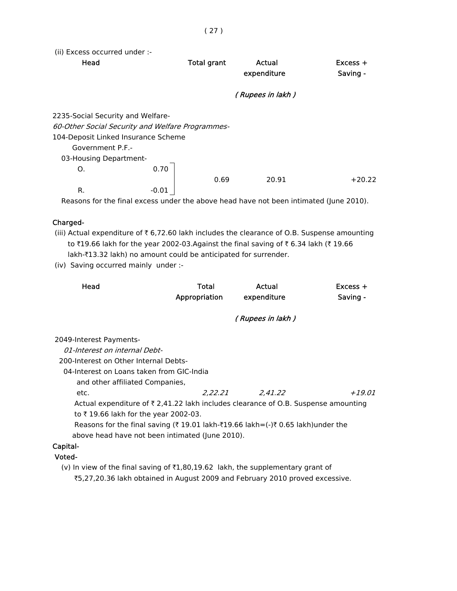(ii) Excess occurred under :-

| Head                                             | <b>Total grant</b> |      | Actual<br>expenditure | $Excess +$<br>Saving - |
|--------------------------------------------------|--------------------|------|-----------------------|------------------------|
|                                                  |                    |      | (Rupees in lakh)      |                        |
| 2235-Social Security and Welfare-                |                    |      |                       |                        |
| 60-Other Social Security and Welfare Programmes- |                    |      |                       |                        |
| 104-Deposit Linked Insurance Scheme              |                    |      |                       |                        |
| Government P.F.-                                 |                    |      |                       |                        |
| 03-Housing Department-                           |                    |      |                       |                        |
| O.                                               | 0.70               |      |                       |                        |
|                                                  |                    | 0.69 | 20.91                 | $+20.22$               |
| R.                                               | $-0.01$            |      |                       |                        |

Reasons for the final excess under the above head have not been intimated (June 2010).

#### Charged-

(iii) Actual expenditure of  $\bar{\tau}$  6,72.60 lakh includes the clearance of O.B. Suspense amounting to  $\bar{\tau}$ 19.66 lakh for the year 2002-03.Against the final saving of  $\bar{\tau}$  6.34 lakh ( $\bar{\tau}$  19.66 lakh-₹13.32 lakh) no amount could be anticipated for surrender.

(iv) Saving occurred mainly under :-

| Head | Total         | Actual      | Excess + |
|------|---------------|-------------|----------|
|      | Appropriation | expenditure | Saving - |

( Rupees in lakh )

2049-Interest Payments-

01-Interest on internal Debt-

200-Interest on Other Internal Debts-

04-Interest on Loans taken from GIC-India

and other affiliated Companies,

etc. 2,22.21 2,41.22 +19.01

Actual expenditure of ₹ 2,41.22 lakh includes clearance of O.B. Suspense amounting to ₹19.66 lakh for the year 2002-03.

Reasons for the final saving ( $\bar{\tau}$  19.01 lakh- $\bar{\tau}$ 19.66 lakh=(-) $\bar{\tau}$  0.65 lakh)under the above head have not been intimated (June 2010).

# Capital-

## Voted-

(v) In view of the final saving of  $\bar{\tau}1,80,19.62$  lakh, the supplementary grant of `5,27,20.36 lakh obtained in August 2009 and February 2010 proved excessive.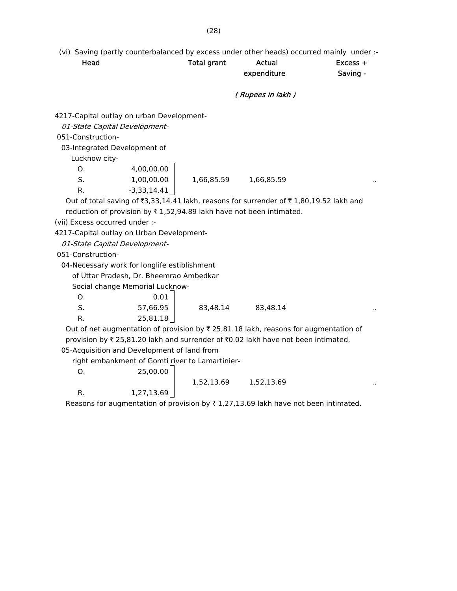(vi) Saving (partly counterbalanced by excess under other heads) occurred mainly under :-

|                                |                                                                     |                    | (VI) Saving (partly counterbalanced by excess under other heads) occurred mainly under :-       |          |
|--------------------------------|---------------------------------------------------------------------|--------------------|-------------------------------------------------------------------------------------------------|----------|
| Head                           |                                                                     | <b>Total grant</b> | Actual                                                                                          | Excess + |
|                                |                                                                     |                    | expenditure                                                                                     | Saving - |
|                                |                                                                     |                    | (Rupees in lakh)                                                                                |          |
|                                | 4217-Capital outlay on urban Development-                           |                    |                                                                                                 |          |
|                                | 01-State Capital Development-                                       |                    |                                                                                                 |          |
| 051-Construction-              |                                                                     |                    |                                                                                                 |          |
|                                | 03-Integrated Development of                                        |                    |                                                                                                 |          |
| Lucknow city-                  |                                                                     |                    |                                                                                                 |          |
| О.                             | 4,00,00.00                                                          |                    |                                                                                                 |          |
| S.                             | 1,00,00.00                                                          | 1,66,85.59         | 1,66,85.59                                                                                      |          |
| $R_{\cdot}$                    | $-3,33,14.41$                                                       |                    |                                                                                                 |          |
|                                |                                                                     |                    | Out of total saving of ₹3,33,14.41 lakh, reasons for surrender of ₹1,80,19.52 lakh and          |          |
|                                | reduction of provision by ₹1,52,94.89 lakh have not been intimated. |                    |                                                                                                 |          |
| (vii) Excess occurred under :- |                                                                     |                    |                                                                                                 |          |
|                                | 4217-Capital outlay on Urban Development-                           |                    |                                                                                                 |          |
|                                | 01-State Capital Development-                                       |                    |                                                                                                 |          |
| 051-Construction-              |                                                                     |                    |                                                                                                 |          |
|                                | 04-Necessary work for longlife estiblishment                        |                    |                                                                                                 |          |
|                                | of Uttar Pradesh, Dr. Bheemrao Ambedkar                             |                    |                                                                                                 |          |
|                                | Social change Memorial Lucknow-                                     |                    |                                                                                                 |          |
| Ο.                             | 0.01                                                                |                    |                                                                                                 |          |
| S.                             | 57,66.95                                                            | 83,48.14           | 83,48.14                                                                                        |          |
| $R_{\cdot}$                    | 25,81.18                                                            |                    |                                                                                                 |          |
|                                |                                                                     |                    | Out of net augmentation of provision by $\bar{\tau}$ 25,81.18 lakh, reasons for augmentation of |          |
|                                |                                                                     |                    | provision by ₹ 25,81.20 lakh and surrender of ₹0.02 lakh have not been intimated.               |          |
|                                | 05-Acquisition and Development of land from                         |                    |                                                                                                 |          |
|                                | right embankment of Gomti river to Lamartinier-                     |                    |                                                                                                 |          |

| O. |  |  | 25,00.00 |  |
|----|--|--|----------|--|
|    |  |  |          |  |

1,52,13.69 1,52,13.69 ..

R.  $1,27,13.69$ 

Reasons for augmentation of provision by  $\bar{\tau}$  1,27,13.69 lakh have not been intimated.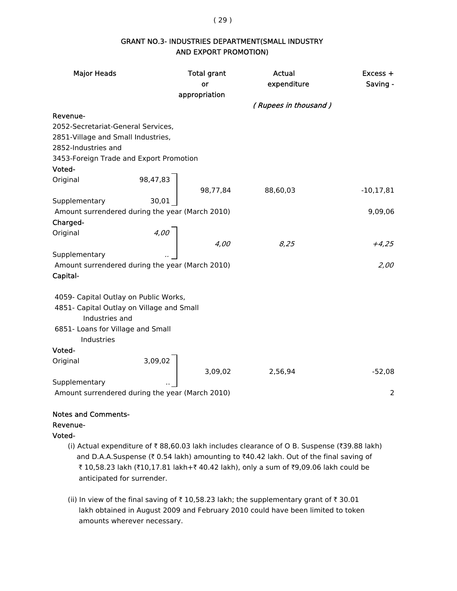( 29 )

# GRANT NO.3- INDUSTRIES DEPARTMENT(SMALL INDUSTRY AND EXPORT PROMOTION)

| <b>Major Heads</b>                                                                 |      | <b>Total grant</b><br>or | Actual<br>expenditure                                                      | $Excess +$<br>Saving - |
|------------------------------------------------------------------------------------|------|--------------------------|----------------------------------------------------------------------------|------------------------|
|                                                                                    |      | appropriation            |                                                                            |                        |
|                                                                                    |      |                          | (Rupees in thousand)                                                       |                        |
| Revenue-                                                                           |      |                          |                                                                            |                        |
| 2052-Secretariat-General Services,                                                 |      |                          |                                                                            |                        |
| 2851-Village and Small Industries,                                                 |      |                          |                                                                            |                        |
| 2852-Industries and                                                                |      |                          |                                                                            |                        |
| 3453-Foreign Trade and Export Promotion                                            |      |                          |                                                                            |                        |
| Voted-                                                                             |      |                          |                                                                            |                        |
| Original                                                                           |      |                          | $\begin{array}{c c} 98,47,83 \ \hline 30,01 \end{array}$ 98,77,84 88,60,03 |                        |
|                                                                                    |      |                          |                                                                            | $-10, 17, 81$          |
| Supplementary                                                                      |      |                          |                                                                            |                        |
| Amount surrendered during the year (March 2010)                                    |      |                          |                                                                            | 9,09,06                |
| Charged-                                                                           |      |                          |                                                                            |                        |
| Original                                                                           |      |                          |                                                                            |                        |
|                                                                                    | 4,00 | 4,00                     | 8,25                                                                       | $+4,25$                |
| Supplementary                                                                      |      |                          |                                                                            |                        |
| Amount surrendered during the year (March 2010)                                    |      |                          |                                                                            | 2,00                   |
| Capital-                                                                           |      |                          |                                                                            |                        |
|                                                                                    |      |                          |                                                                            |                        |
| 4059- Capital Outlay on Public Works,<br>4851- Capital Outlay on Village and Small |      |                          |                                                                            |                        |
| Industries and                                                                     |      |                          |                                                                            |                        |
| 6851- Loans for Village and Small                                                  |      |                          |                                                                            |                        |
| Industries                                                                         |      |                          |                                                                            |                        |
| Voted-                                                                             |      |                          |                                                                            |                        |
| Original                                                                           |      |                          |                                                                            |                        |
|                                                                                    |      |                          | 2,56,94                                                                    | $-52,08$               |
| Supplementary                                                                      |      | $3,09,02$ $3,09,02$      |                                                                            |                        |
| Amount surrendered during the year (March 2010)                                    |      |                          |                                                                            | 2                      |
|                                                                                    |      |                          |                                                                            |                        |

# Notes and Comments-

# Revenue-

## Voted-

- (i) Actual expenditure of  $\bar{\tau}$  88,60.03 lakh includes clearance of O B. Suspense ( $\bar{\tau}$ 39.88 lakh) and D.A.A.Suspense ( $\bar{\tau}$  0.54 lakh) amounting to  $\bar{\tau}$ 40.42 lakh. Out of the final saving of ₹ 10,58.23 lakh (₹10,17.81 lakh+₹ 40.42 lakh), only a sum of ₹9,09.06 lakh could be anticipated for surrender.
- (ii) In view of the final saving of  $\bar{\tau}$  10,58.23 lakh; the supplementary grant of  $\bar{\tau}$  30.01 lakh obtained in August 2009 and February 2010 could have been limited to token amounts wherever necessary.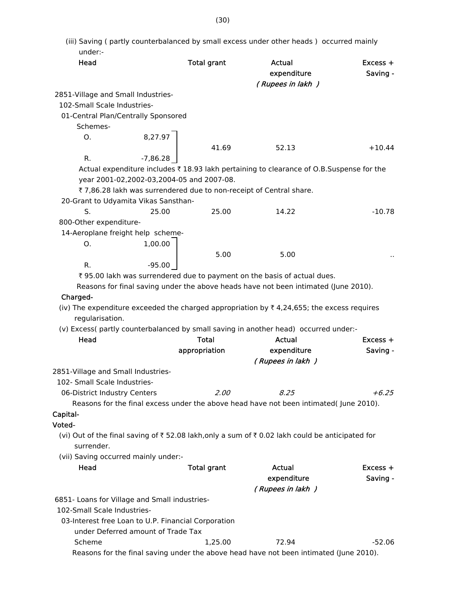| under:-                                             |                                    |                                           |                                                                                                |            |
|-----------------------------------------------------|------------------------------------|-------------------------------------------|------------------------------------------------------------------------------------------------|------------|
| Head                                                |                                    | <b>Total grant</b>                        | <b>Actual</b>                                                                                  | $Excess +$ |
|                                                     |                                    |                                           | expenditure                                                                                    | Saving -   |
|                                                     |                                    |                                           | (Rupees in lakh)                                                                               |            |
| 2851-Village and Small Industries-                  |                                    |                                           |                                                                                                |            |
| 102-Small Scale Industries-                         |                                    |                                           |                                                                                                |            |
| 01-Central Plan/Centrally Sponsored                 |                                    |                                           |                                                                                                |            |
| Schemes-                                            |                                    |                                           |                                                                                                |            |
| Ο.                                                  |                                    |                                           |                                                                                                |            |
|                                                     | 8,27.97                            | 41.69                                     | 52.13                                                                                          | $+10.44$   |
| R.                                                  | $-7,86.28$                         |                                           |                                                                                                |            |
|                                                     |                                    |                                           |                                                                                                |            |
|                                                     |                                    |                                           | Actual expenditure includes ₹ 18.93 lakh pertaining to clearance of O.B.Suspense for the       |            |
|                                                     |                                    | year 2001-02,2002-03,2004-05 and 2007-08. |                                                                                                |            |
|                                                     |                                    |                                           | ₹7,86.28 lakh was surrendered due to non-receipt of Central share.                             |            |
| 20-Grant to Udyamita Vikas Sansthan-                |                                    |                                           |                                                                                                |            |
| S.                                                  | 25.00                              | 25.00                                     | 14.22                                                                                          | $-10.78$   |
| 800-Other expenditure-                              |                                    |                                           |                                                                                                |            |
| 14-Aeroplane freight help scheme-                   |                                    |                                           |                                                                                                |            |
| O.                                                  | 1,00.00                            |                                           |                                                                                                |            |
|                                                     |                                    | 5.00                                      | 5.00                                                                                           |            |
| R.                                                  | $-95.00$                           |                                           |                                                                                                |            |
|                                                     |                                    |                                           | ₹ 95.00 lakh was surrendered due to payment on the basis of actual dues.                       |            |
|                                                     |                                    |                                           | Reasons for final saving under the above heads have not been intimated (June 2010).            |            |
| Charged-                                            |                                    |                                           |                                                                                                |            |
|                                                     |                                    |                                           | (iv) The expenditure exceeded the charged appropriation by ₹4,24,655; the excess requires      |            |
| regularisation.                                     |                                    |                                           |                                                                                                |            |
|                                                     |                                    |                                           | (v) Excess( partly counterbalanced by small saving in another head) occurred under:-           |            |
| Head                                                |                                    | <b>Total</b>                              | <b>Actual</b>                                                                                  | $Excess +$ |
|                                                     |                                    |                                           |                                                                                                |            |
|                                                     |                                    | appropriation                             | expenditure                                                                                    | Saving -   |
|                                                     |                                    |                                           | (Rupees in lakh)                                                                               |            |
| 2851-Village and Small Industries-                  |                                    |                                           |                                                                                                |            |
| 102- Small Scale Industries-                        |                                    |                                           |                                                                                                |            |
| 06-District Industry Centers                        |                                    | 2.00                                      | 8.25                                                                                           | $+6.25$    |
|                                                     |                                    |                                           | Reasons for the final excess under the above head have not been intimated( June 2010).         |            |
| Capital-                                            |                                    |                                           |                                                                                                |            |
| Voted-                                              |                                    |                                           |                                                                                                |            |
|                                                     |                                    |                                           | (vi) Out of the final saving of ₹52.08 lakh, only a sum of ₹0.02 lakh could be anticipated for |            |
| surrender.                                          |                                    |                                           |                                                                                                |            |
| (vii) Saving occurred mainly under:-                |                                    |                                           |                                                                                                |            |
| Head                                                |                                    | <b>Total grant</b>                        | <b>Actual</b>                                                                                  | Excess +   |
|                                                     |                                    |                                           | expenditure                                                                                    | Saving -   |
|                                                     |                                    |                                           | (Rupees in lakh)                                                                               |            |
| 6851- Loans for Village and Small industries-       |                                    |                                           |                                                                                                |            |
| 102-Small Scale Industries-                         |                                    |                                           |                                                                                                |            |
|                                                     |                                    |                                           |                                                                                                |            |
| 03-Interest free Loan to U.P. Financial Corporation |                                    |                                           |                                                                                                |            |
|                                                     | under Deferred amount of Trade Tax |                                           |                                                                                                |            |
| Scheme                                              |                                    | 1,25.00                                   | 72.94                                                                                          | $-52.06$   |
|                                                     |                                    |                                           | Reasons for the final saving under the above head have not been intimated (June 2010).         |            |

(iii) Saving ( partly counterbalanced by small excess under other heads ) occurred mainly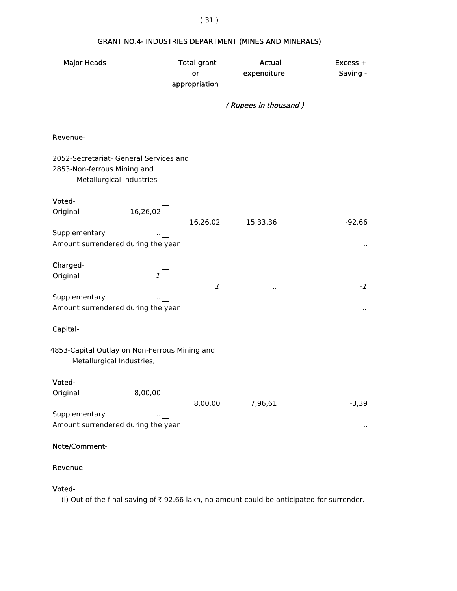# Major Heads Total grant Actual Excess + or expenditure Saving appropriation ( Rupees in thousand ) Revenue- 2052-Secretariat- General Services and 2853-Non-ferrous Mining and Metallurgical Industries Voted- Original 16,26,02 16,26,02 15,33,36 -92,66 Supplementary Amount surrendered during the year .. Charged- Original 1 1  $\cdots$   $\cdots$   $\cdots$ **Supplementary**  Amount surrendered during the year .. Capital-4853-Capital Outlay on Non-Ferrous Mining and Metallurgical Industries, Voted- Original 8,00,00 8,00,00 7,96,61 -3,39 Supplementary Amount surrendered during the year .. Note/Comment-

# Revenue-

# Voted-

(i) Out of the final saving of  $\bar{\tau}$  92.66 lakh, no amount could be anticipated for surrender.

## ( 31 )

# GRANT NO.4- INDUSTRIES DEPARTMENT (MINES AND MINERALS)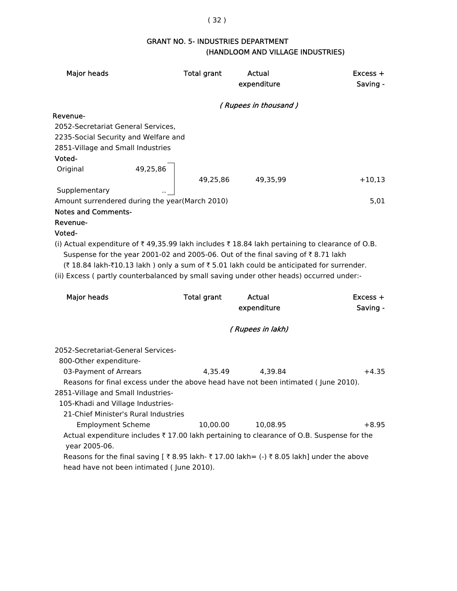# GRANT NO. 5- INDUSTRIES DEPARTMENT (HANDLOOM AND VILLAGE INDUSTRIES)

| <b>Major heads</b>                                                                                                                                                                                                                                                     | <b>Total grant</b> | Actual<br>expenditure | Excess +<br>Saving - |
|------------------------------------------------------------------------------------------------------------------------------------------------------------------------------------------------------------------------------------------------------------------------|--------------------|-----------------------|----------------------|
|                                                                                                                                                                                                                                                                        |                    | (Rupees in thousand)  |                      |
| Revenue-                                                                                                                                                                                                                                                               |                    |                       |                      |
| 2052-Secretariat General Services,                                                                                                                                                                                                                                     |                    |                       |                      |
| 2235-Social Security and Welfare and                                                                                                                                                                                                                                   |                    |                       |                      |
| 2851-Village and Small Industries                                                                                                                                                                                                                                      |                    |                       |                      |
| Voted-                                                                                                                                                                                                                                                                 |                    |                       |                      |
| 49,25,86<br>Original                                                                                                                                                                                                                                                   |                    |                       |                      |
|                                                                                                                                                                                                                                                                        | 49,25,86           | 49,35,99              | $+10,13$             |
| Supplementary                                                                                                                                                                                                                                                          |                    |                       |                      |
| Amount surrendered during the year(March 2010)<br><b>Notes and Comments-</b>                                                                                                                                                                                           |                    |                       | 5,01                 |
| Revenue-                                                                                                                                                                                                                                                               |                    |                       |                      |
| Voted-                                                                                                                                                                                                                                                                 |                    |                       |                      |
| Suspense for the year 2001-02 and 2005-06. Out of the final saving of ₹8.71 lakh<br>(₹18.84 lakh-₹10.13 lakh) only a sum of ₹5.01 lakh could be anticipated for surrender.<br>(ii) Excess ( partly counterbalanced by small saving under other heads) occurred under:- |                    |                       |                      |
| <b>Major heads</b>                                                                                                                                                                                                                                                     | <b>Total grant</b> | Actual                | $Excess +$           |
|                                                                                                                                                                                                                                                                        |                    | expenditure           | Saving -             |
|                                                                                                                                                                                                                                                                        |                    | (Rupees in lakh)      |                      |
| 2052-Secretariat-General Services-<br>800-Other expenditure-                                                                                                                                                                                                           |                    |                       |                      |
| 03-Payment of Arrears                                                                                                                                                                                                                                                  | 4,35.49            | 4,39.84               | $+4.35$              |
| Reasons for final excess under the above head have not been intimated (June 2010).                                                                                                                                                                                     |                    |                       |                      |
| 2851-Village and Small Industries-                                                                                                                                                                                                                                     |                    |                       |                      |
| 105-Khadi and Village Industries-                                                                                                                                                                                                                                      |                    |                       |                      |
| 21-Chief Minister's Rural Industries                                                                                                                                                                                                                                   |                    |                       |                      |
| <b>Employment Scheme</b>                                                                                                                                                                                                                                               | 10,00.00           | 10,08.95              | $+8.95$              |
| Actual expenditure includes ₹17.00 lakh pertaining to clearance of O.B. Suspense for the<br>year 2005-06.                                                                                                                                                              |                    |                       |                      |
| Reasons for the final saving [ ₹ 8.95 lakh- ₹ 17.00 lakh= (-) ₹ 8.05 lakh] under the above<br>head have not been intimated (June 2010).                                                                                                                                |                    |                       |                      |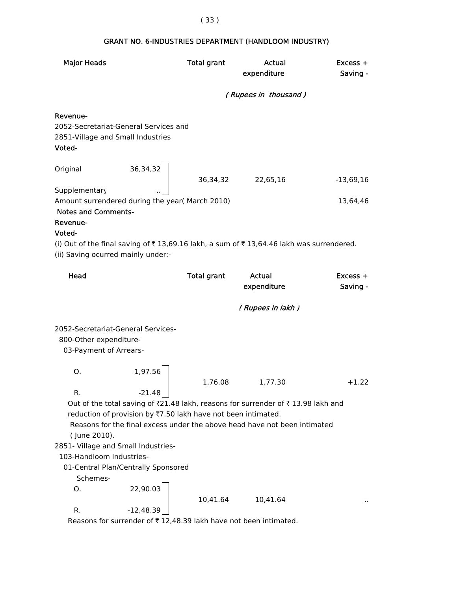# Major Heads Total grant Actual Excess + expenditure Saving - ( Rupees in thousand ) Revenue- 2052-Secretariat-General Services and 2851-Village and Small Industries Voted- Original 36,34,32 36,34,32 22,65,16 -13,69,16 Supplementary Amount surrendered during the year( March 2010) 13,64,46 Notes and Comments- Revenue- Voted- (i) Out of the final saving of  $\bar{\tau}$  13,69.16 lakh, a sum of  $\bar{\tau}$  13,64.46 lakh was surrendered. (ii) Saving ocurred mainly under:- Head Total grant Actual Excess + expenditure Saving - ( Rupees in lakh ) 2052-Secretariat-General Services- 800-Other expenditure- 03-Payment of Arrears-O. 1,97.56 1,76.08 1,77.30 +1.22 R.  $-21.48$ Out of the total saving of  $\bar{z}$ 21.48 lakh, reasons for surrender of  $\bar{z}$  13.98 lakh and reduction of provision by  $\overline{77.50}$  lakh have not been intimated. Reasons for the final excess under the above head have not been intimated ( June 2010). 2851- Village and Small Industries- 103-Handloom Industries- 01-Central Plan/Centrally Sponsored Schemes-O. 22,90.03 10,41.64 10,41.64 R.  $-12,48.39$ Reasons for surrender of  $\bar{\tau}$  12,48.39 lakh have not been intimated.

#### ( 33 )

# GRANT NO. 6-INDUSTRIES DEPARTMENT (HANDLOOM INDUSTRY)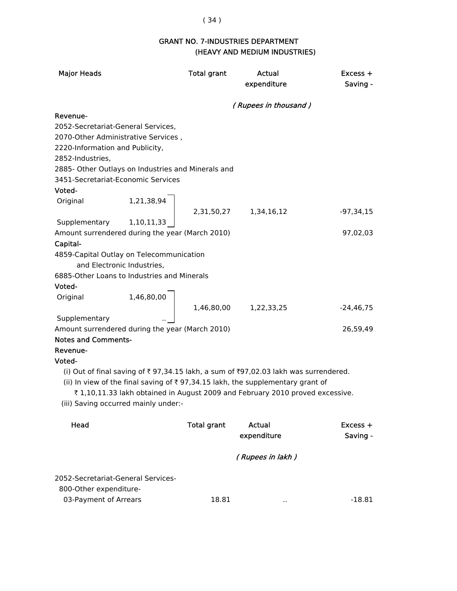# ( 34 )

# GRANT NO. 7-INDUSTRIES DEPARTMENT (HEAVY AND MEDIUM INDUSTRIES)

| <b>Major Heads</b>                                 |                                      | <b>Total grant</b> | Actual<br>expenditure                                                                      | $Excess +$<br>Saving - |
|----------------------------------------------------|--------------------------------------|--------------------|--------------------------------------------------------------------------------------------|------------------------|
|                                                    |                                      |                    | (Rupees in thousand)                                                                       |                        |
| Revenue-                                           |                                      |                    |                                                                                            |                        |
| 2052-Secretariat-General Services,                 |                                      |                    |                                                                                            |                        |
| 2070-Other Administrative Services,                |                                      |                    |                                                                                            |                        |
| 2220-Information and Publicity,                    |                                      |                    |                                                                                            |                        |
| 2852-Industries,                                   |                                      |                    |                                                                                            |                        |
| 2885- Other Outlays on Industries and Minerals and |                                      |                    |                                                                                            |                        |
| 3451-Secretariat-Economic Services                 |                                      |                    |                                                                                            |                        |
| Voted-                                             |                                      |                    |                                                                                            |                        |
| Original                                           | 1,21,38,94                           |                    |                                                                                            |                        |
|                                                    |                                      | 2,31,50,27         | 1,34,16,12                                                                                 | $-97,34,15$            |
| Supplementary                                      | 1,10,11,33                           |                    |                                                                                            |                        |
| Amount surrendered during the year (March 2010)    |                                      |                    |                                                                                            | 97,02,03               |
| Capital-                                           |                                      |                    |                                                                                            |                        |
| 4859-Capital Outlay on Telecommunication           |                                      |                    |                                                                                            |                        |
| and Electronic Industries,                         |                                      |                    |                                                                                            |                        |
| 6885-Other Loans to Industries and Minerals        |                                      |                    |                                                                                            |                        |
| Voted-                                             |                                      |                    |                                                                                            |                        |
| Original                                           | 1,46,80,00                           |                    |                                                                                            |                        |
|                                                    |                                      | 1,46,80,00         | 1,22,33,25                                                                                 | $-24,46,75$            |
| Supplementary                                      |                                      |                    |                                                                                            |                        |
| Amount surrendered during the year (March 2010)    |                                      |                    |                                                                                            | 26,59,49               |
| <b>Notes and Comments-</b>                         |                                      |                    |                                                                                            |                        |
| Revenue-                                           |                                      |                    |                                                                                            |                        |
| Voted-                                             |                                      |                    |                                                                                            |                        |
|                                                    |                                      |                    | (i) Out of final saving of ₹97,34.15 lakh, a sum of ₹97,02.03 lakh was surrendered.        |                        |
|                                                    |                                      |                    | (ii) In view of the final saving of $\bar{\tau}$ 97,34.15 lakh, the supplementary grant of |                        |
|                                                    |                                      |                    | ₹1,10,11.33 lakh obtained in August 2009 and February 2010 proved excessive.               |                        |
|                                                    | (iii) Saving occurred mainly under:- |                    |                                                                                            |                        |
| Head                                               |                                      | <b>Total grant</b> | <b>Actual</b>                                                                              | Excess +               |
|                                                    |                                      |                    | expenditure                                                                                | Saving -               |
|                                                    |                                      |                    |                                                                                            |                        |
|                                                    |                                      |                    | (Rupees in lakh)                                                                           |                        |
|                                                    |                                      |                    |                                                                                            |                        |

2052-Secretariat-General Services-

800-Other expenditure-

| 03-Payment of Arrears | 18.81 | $-18.81$ |
|-----------------------|-------|----------|
|                       |       |          |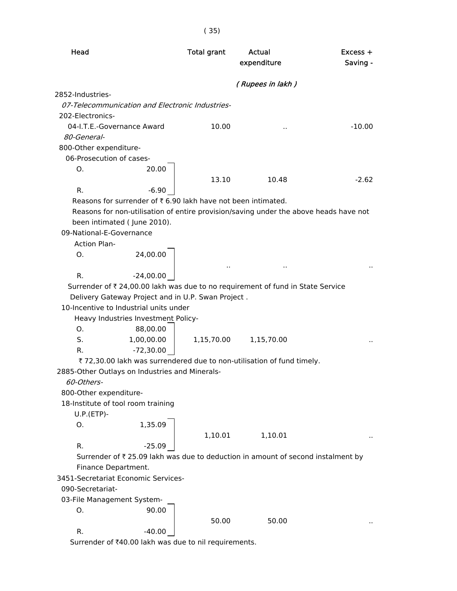| Head                                                                                  | <b>Total grant</b> | Actual<br>expenditure | Excess +<br>Saving - |
|---------------------------------------------------------------------------------------|--------------------|-----------------------|----------------------|
|                                                                                       |                    | (Rupees in lakh)      |                      |
| 2852-Industries-                                                                      |                    |                       |                      |
| 07-Telecommunication and Electronic Industries-                                       |                    |                       |                      |
| 202-Electronics-                                                                      |                    |                       |                      |
| 04-I.T.E.-Governance Award                                                            | 10.00              |                       | $-10.00$             |
| 80-General-                                                                           |                    |                       |                      |
| 800-Other expenditure-                                                                |                    |                       |                      |
| 06-Prosecution of cases-                                                              |                    |                       |                      |
| 20.00<br>Ο.                                                                           |                    |                       |                      |
|                                                                                       | 13.10              | 10.48                 | $-2.62$              |
| R.<br>$-6.90$                                                                         |                    |                       |                      |
| Reasons for surrender of ₹6.90 lakh have not been intimated.                          |                    |                       |                      |
| Reasons for non-utilisation of entire provision/saving under the above heads have not |                    |                       |                      |
| been intimated (June 2010).                                                           |                    |                       |                      |
| 09-National-E-Governance                                                              |                    |                       |                      |
| <b>Action Plan-</b>                                                                   |                    |                       |                      |
| 24,00.00<br>O.                                                                        |                    |                       |                      |
|                                                                                       |                    |                       |                      |
| R.<br>$-24,00.00$                                                                     |                    |                       |                      |
| Surrender of ₹ 24,00.00 lakh was due to no requirement of fund in State Service       |                    |                       |                      |
| Delivery Gateway Project and in U.P. Swan Project.                                    |                    |                       |                      |
| 10-Incentive to Industrial units under                                                |                    |                       |                      |
| Heavy Industries Investment Policy-                                                   |                    |                       |                      |
| Ο.<br>88,00.00                                                                        |                    |                       |                      |
| S.<br>1,00,00.00                                                                      | 1,15,70.00         | 1,15,70.00            |                      |
| $-72,30.00$<br>R.                                                                     |                    |                       |                      |
| ₹ 72,30.00 lakh was surrendered due to non-utilisation of fund timely.                |                    |                       |                      |
| 2885-Other Outlays on Industries and Minerals-                                        |                    |                       |                      |
| 60-Others-                                                                            |                    |                       |                      |
| 800-Other expenditure-                                                                |                    |                       |                      |
| 18-Institute of tool room training                                                    |                    |                       |                      |
| $U.P.(ETP)-$                                                                          |                    |                       |                      |
| 1,35.09<br>0.                                                                         |                    |                       |                      |
|                                                                                       | 1,10.01            | 1,10.01               |                      |
| R.<br>$-25.09$                                                                        |                    |                       |                      |
| Surrender of ₹ 25.09 lakh was due to deduction in amount of second instalment by      |                    |                       |                      |
| Finance Department.                                                                   |                    |                       |                      |
| 3451-Secretariat Economic Services-                                                   |                    |                       |                      |
| 090-Secretariat-                                                                      |                    |                       |                      |
| 03-File Management System-                                                            |                    |                       |                      |
| 90.00<br>Ο.                                                                           |                    |                       |                      |
|                                                                                       | 50.00              | 50.00                 |                      |
| R.<br>$-40.00$                                                                        |                    |                       |                      |
| Surrender of ₹40.00 lakh was due to nil requirements.                                 |                    |                       |                      |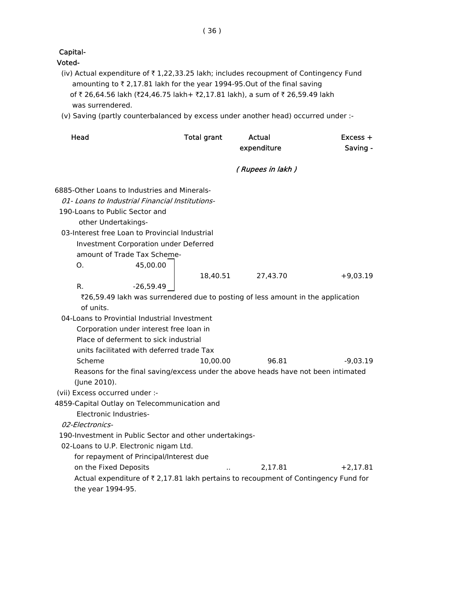# Capital-

#### Voted-

- (iv) Actual expenditure of  $\bar{\tau}$  1,22,33.25 lakh; includes recoupment of Contingency Fund amounting to  $\bar{z}$  2,17.81 lakh for the year 1994-95.Out of the final saving of ₹ 26,64.56 lakh (₹24,46.75 lakh+ ₹2,17.81 lakh), a sum of ₹ 26,59.49 lakh was surrendered.
- (v) Saving (partly counterbalanced by excess under another head) occurred under :-

| Head                           |                                                         | <b>Total grant</b> | Actual                                                                              | Excess +   |
|--------------------------------|---------------------------------------------------------|--------------------|-------------------------------------------------------------------------------------|------------|
|                                |                                                         |                    | expenditure                                                                         | Saving -   |
|                                |                                                         |                    | (Rupees in lakh)                                                                    |            |
|                                | 6885-Other Loans to Industries and Minerals-            |                    |                                                                                     |            |
|                                | 01- Loans to Industrial Financial Institutions-         |                    |                                                                                     |            |
| 190-Loans to Public Sector and |                                                         |                    |                                                                                     |            |
| other Undertakings-            |                                                         |                    |                                                                                     |            |
|                                | 03-Interest free Loan to Provincial Industrial          |                    |                                                                                     |            |
|                                | Investment Corporation under Deferred                   |                    |                                                                                     |            |
|                                | amount of Trade Tax Scheme-                             |                    |                                                                                     |            |
| O <sub>1</sub>                 | 45,00.00                                                |                    |                                                                                     |            |
|                                |                                                         | 18,40.51           | 27,43.70                                                                            | $+9,03.19$ |
| R.                             | $-26,59.49$                                             |                    |                                                                                     |            |
|                                |                                                         |                    | ₹26,59.49 lakh was surrendered due to posting of less amount in the application     |            |
| of units.                      |                                                         |                    |                                                                                     |            |
|                                | 04-Loans to Provintial Industrial Investment            |                    |                                                                                     |            |
|                                | Corporation under interest free loan in                 |                    |                                                                                     |            |
|                                | Place of deferment to sick industrial                   |                    |                                                                                     |            |
|                                | units facilitated with deferred trade Tax               |                    |                                                                                     |            |
| Scheme                         |                                                         | 10,00.00           | 96.81                                                                               | $-9,03.19$ |
|                                |                                                         |                    | Reasons for the final saving/excess under the above heads have not been intimated   |            |
| (June 2010).                   |                                                         |                    |                                                                                     |            |
| (vii) Excess occurred under :- |                                                         |                    |                                                                                     |            |
|                                | 4859-Capital Outlay on Telecommunication and            |                    |                                                                                     |            |
| Electronic Industries-         |                                                         |                    |                                                                                     |            |
| 02-Electronics-                |                                                         |                    |                                                                                     |            |
|                                | 190-Investment in Public Sector and other undertakings- |                    |                                                                                     |            |
|                                | 02-Loans to U.P. Electronic nigam Ltd.                  |                    |                                                                                     |            |
|                                | for repayment of Principal/Interest due                 |                    |                                                                                     |            |
| on the Fixed Deposits          |                                                         |                    | 2.17.81                                                                             | $+2,17.81$ |
|                                |                                                         |                    | Actual expenditure of ₹ 2,17.81 lakh pertains to recoupment of Contingency Fund for |            |
| the year 1994-95.              |                                                         |                    |                                                                                     |            |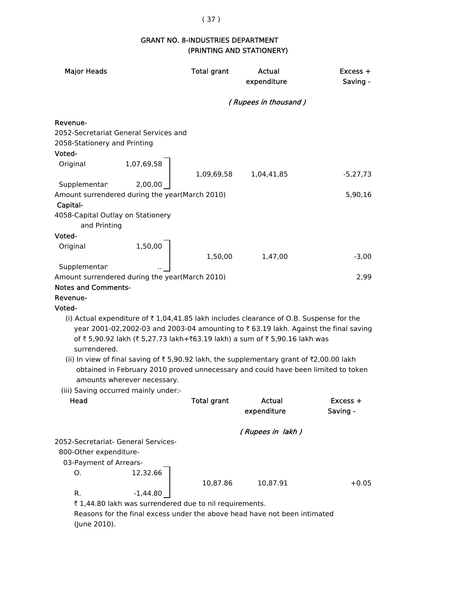# ( 37 )

### GRANT NO. 8-INDUSTRIES DEPARTMENT (PRINTING AND STATIONERY)

| <b>Major Heads</b>                                                            |                                                                                                                                                                                                                                                                                                                                                                                                                                                                                | <b>Total grant</b> | Actual<br>expenditure | $Excess +$<br>Saving -                                                              |
|-------------------------------------------------------------------------------|--------------------------------------------------------------------------------------------------------------------------------------------------------------------------------------------------------------------------------------------------------------------------------------------------------------------------------------------------------------------------------------------------------------------------------------------------------------------------------|--------------------|-----------------------|-------------------------------------------------------------------------------------|
|                                                                               |                                                                                                                                                                                                                                                                                                                                                                                                                                                                                |                    | (Rupees in thousand)  |                                                                                     |
| Revenue-<br>2058-Stationery and Printing<br>Voted-<br>Original                | 2052-Secretariat General Services and<br>1,07,69,58                                                                                                                                                                                                                                                                                                                                                                                                                            |                    |                       |                                                                                     |
|                                                                               |                                                                                                                                                                                                                                                                                                                                                                                                                                                                                | 1,09,69,58         | 1,04,41,85            | $-5,27,73$                                                                          |
| Supplementar<br>Capital-<br>4058-Capital Outlay on Stationery<br>and Printing | 2,00,00<br>Amount surrendered during the year(March 2010)                                                                                                                                                                                                                                                                                                                                                                                                                      |                    |                       | 5,90,16                                                                             |
| Voted-                                                                        |                                                                                                                                                                                                                                                                                                                                                                                                                                                                                |                    |                       |                                                                                     |
| Original                                                                      | 1,50,00                                                                                                                                                                                                                                                                                                                                                                                                                                                                        | 1,50,00            | 1,47,00               | $-3,00$                                                                             |
| Supplementar                                                                  |                                                                                                                                                                                                                                                                                                                                                                                                                                                                                |                    |                       |                                                                                     |
|                                                                               | Amount surrendered during the year(March 2010)                                                                                                                                                                                                                                                                                                                                                                                                                                 |                    |                       | 2,99                                                                                |
| <b>Notes and Comments-</b><br>Revenue-                                        |                                                                                                                                                                                                                                                                                                                                                                                                                                                                                |                    |                       |                                                                                     |
| Voted-                                                                        |                                                                                                                                                                                                                                                                                                                                                                                                                                                                                |                    |                       |                                                                                     |
| surrendered.                                                                  | (i) Actual expenditure of $\overline{\tau}$ 1,04,41.85 lakh includes clearance of O.B. Suspense for the<br>of ₹ 5,90.92 lakh (₹ 5,27.73 lakh+₹63.19 lakh) a sum of ₹ 5,90.16 lakh was<br>(ii) In view of final saving of $\overline{\tau}$ 5,90.92 lakh, the supplementary grant of $\overline{\tau}$ 2,00.00 lakh<br>obtained in February 2010 proved unnecessary and could have been limited to token<br>amounts wherever necessary.<br>(iii) Saving occurred mainly under:- |                    |                       | year 2001-02,2002-03 and 2003-04 amounting to ₹63.19 lakh. Against the final saving |
| Head                                                                          |                                                                                                                                                                                                                                                                                                                                                                                                                                                                                | <b>Total grant</b> | <b>Actual</b>         | Excess +                                                                            |
|                                                                               |                                                                                                                                                                                                                                                                                                                                                                                                                                                                                |                    | expenditure           | Saving -                                                                            |
|                                                                               | 2052-Secretariat- General Services-                                                                                                                                                                                                                                                                                                                                                                                                                                            |                    | (Rupees in lakh)      |                                                                                     |
| 800-Other expenditure-<br>03-Payment of Arrears-<br>0.                        | 12,32.66                                                                                                                                                                                                                                                                                                                                                                                                                                                                       |                    |                       |                                                                                     |
| R.                                                                            | $-1,44.80$                                                                                                                                                                                                                                                                                                                                                                                                                                                                     | 10,87.86           | 10,87.91              | $+0.05$                                                                             |
|                                                                               | ₹ 1,44.80 lakh was surrendered due to nil requirements.                                                                                                                                                                                                                                                                                                                                                                                                                        |                    |                       |                                                                                     |
|                                                                               | Reasons for the final excess under the above head have not been intimated                                                                                                                                                                                                                                                                                                                                                                                                      |                    |                       |                                                                                     |

(June 2010).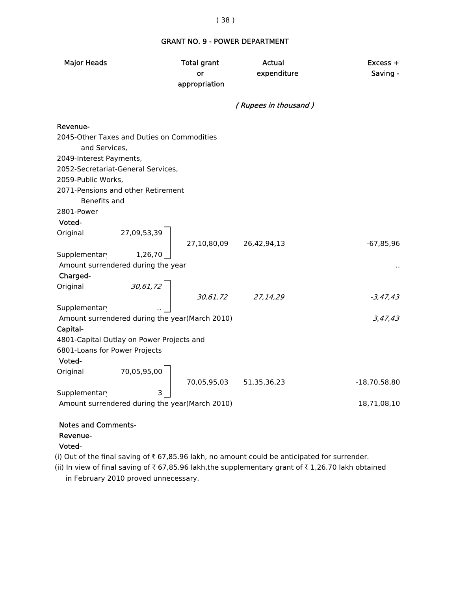#### GRANT NO. 9 - POWER DEPARTMENT

| <b>Major Heads</b>      |                                                | <b>Total grant</b><br>or<br>appropriation | <b>Actual</b><br>expenditure | Excess +<br>Saving - |
|-------------------------|------------------------------------------------|-------------------------------------------|------------------------------|----------------------|
|                         |                                                |                                           | (Rupees in thousand)         |                      |
| Revenue-                |                                                |                                           |                              |                      |
| and Services,           | 2045-Other Taxes and Duties on Commodities     |                                           |                              |                      |
| 2049-Interest Payments, |                                                |                                           |                              |                      |
|                         | 2052-Secretariat-General Services,             |                                           |                              |                      |
| 2059-Public Works,      |                                                |                                           |                              |                      |
| Benefits and            | 2071-Pensions and other Retirement             |                                           |                              |                      |
| 2801-Power              |                                                |                                           |                              |                      |
| Voted-                  |                                                |                                           |                              |                      |
|                         | Original 27,09,53,39                           |                                           |                              |                      |
| Supplementar            | 1,26,70                                        | 27,10,80,09 26,42,94,13                   |                              | $-67,85,96$          |
|                         | Amount surrendered during the year             |                                           |                              |                      |
| Charged-                |                                                |                                           |                              |                      |
| Original                |                                                |                                           |                              |                      |
|                         | 30,61,72                                       |                                           | 30,61,72 27,14,29            | $-3,47,43$           |
| Supplementary           |                                                |                                           |                              |                      |
|                         | Amount surrendered during the year(March 2010) |                                           |                              | 3,47,43              |
| Capital-                |                                                |                                           |                              |                      |
|                         | 4801-Capital Outlay on Power Projects and      |                                           |                              |                      |
|                         | 6801-Loans for Power Projects                  |                                           |                              |                      |
| Voted-                  |                                                |                                           |                              |                      |
|                         | Original 70,05,95,00                           |                                           |                              | $-18,70,58,80$       |
| Supplementary           |                                                | 70,05,95,03 51,35,36,23                   |                              |                      |
|                         | Amount surrendered during the year(March 2010) |                                           |                              | 18,71,08,10          |
|                         |                                                |                                           |                              |                      |
|                         |                                                |                                           |                              |                      |

# Notes and Comments-

#### Revenue-

#### Voted-

(i) Out of the final saving of  $\bar{\tau}$  67,85.96 lakh, no amount could be anticipated for surrender.

(ii) In view of final saving of  $\bar{\tau}$  67,85.96 lakh,the supplementary grant of  $\bar{\tau}$  1,26.70 lakh obtained in February 2010 proved unnecessary.

#### ( 38 )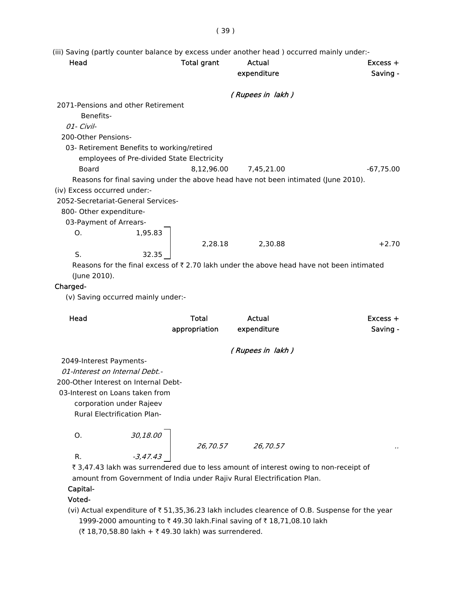( 39 )

(iii) Saving (partly counter balance by excess under another head ) occurred mainly under:-

| Head                         |                                            | <b>Total grant</b> | Actual<br>expenditure                                                              | $Excess +$<br>Saving -                                                                              |
|------------------------------|--------------------------------------------|--------------------|------------------------------------------------------------------------------------|-----------------------------------------------------------------------------------------------------|
|                              |                                            |                    | (Rupees in lakh)                                                                   |                                                                                                     |
|                              | 2071-Pensions and other Retirement         |                    |                                                                                    |                                                                                                     |
| Benefits-                    |                                            |                    |                                                                                    |                                                                                                     |
| 01- Civil-                   |                                            |                    |                                                                                    |                                                                                                     |
| 200-Other Pensions-          |                                            |                    |                                                                                    |                                                                                                     |
|                              | 03- Retirement Benefits to working/retired |                    |                                                                                    |                                                                                                     |
|                              | employees of Pre-divided State Electricity |                    |                                                                                    |                                                                                                     |
| <b>Board</b>                 |                                            | 8,12,96.00         | 7,45,21.00                                                                         | $-67,75.00$                                                                                         |
|                              |                                            |                    | Reasons for final saving under the above head have not been intimated (June 2010). |                                                                                                     |
| (iv) Excess occurred under:- |                                            |                    |                                                                                    |                                                                                                     |
|                              | 2052-Secretariat-General Services-         |                    |                                                                                    |                                                                                                     |
| 800- Other expenditure-      |                                            |                    |                                                                                    |                                                                                                     |
| 03-Payment of Arrears-       |                                            |                    |                                                                                    |                                                                                                     |
| O.                           | 1,95.83                                    |                    |                                                                                    |                                                                                                     |
|                              |                                            | 2,28.18            | 2,30.88                                                                            | $+2.70$                                                                                             |
| S.                           | 32.35                                      |                    |                                                                                    |                                                                                                     |
| (June 2010).                 |                                            |                    |                                                                                    | Reasons for the final excess of $\bar{\tau}$ 2.70 lakh under the above head have not been intimated |
| Charged-                     |                                            |                    |                                                                                    |                                                                                                     |
|                              | (v) Saving occurred mainly under:-         |                    |                                                                                    |                                                                                                     |
|                              |                                            |                    |                                                                                    |                                                                                                     |
| Head                         |                                            | <b>Total</b>       | Actual                                                                             | $Excess +$                                                                                          |
|                              |                                            | appropriation      | expenditure                                                                        | Saving -                                                                                            |
|                              |                                            |                    | (Rupees in lakh)                                                                   |                                                                                                     |
| 2049-Interest Payments-      |                                            |                    |                                                                                    |                                                                                                     |
|                              | 01-Interest on Internal Debt.-             |                    |                                                                                    |                                                                                                     |
|                              | 200-Other Interest on Internal Debt-       |                    |                                                                                    |                                                                                                     |
|                              | 03-Interest on Loans taken from            |                    |                                                                                    |                                                                                                     |
|                              | corporation under Rajeev                   |                    |                                                                                    |                                                                                                     |
|                              | <b>Rural Electrification Plan-</b>         |                    |                                                                                    |                                                                                                     |
| O.                           | 30,18.00                                   |                    |                                                                                    |                                                                                                     |
|                              |                                            | 26,70.57           | 26,70.57                                                                           |                                                                                                     |
| R.                           | $-3,47.43$                                 |                    |                                                                                    |                                                                                                     |

₹ 3,47.43 lakh was surrendered due to less amount of interest owing to non-receipt of amount from Government of India under Rajiv Rural Electrification Plan.

#### Capital-

# Voted-

(vi) Actual expenditure of  $\bar{\tau}$  51,35,36.23 lakh includes clearence of O.B. Suspense for the year 1999-2000 amounting to ₹49.30 lakh.Final saving of ₹18,71,08.10 lakh (₹ 18,70,58.80 lakh + ₹ 49.30 lakh) was surrendered.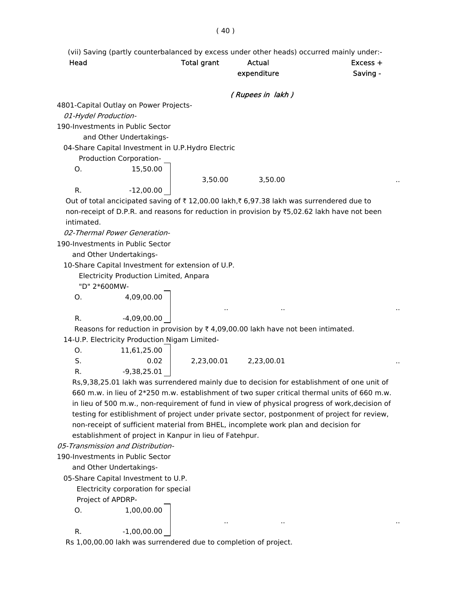(vii) Saving (partly counterbalanced by excess under other heads) occurred mainly under:-

Head **Total grant** Actual **Actual** Excess + expenditure Saving - ( Rupees in lakh ) 4801-Capital Outlay on Power Projects- 01-Hydel Production- 190-Investments in Public Sector and Other Undertakings- 04-Share Capital Investment in U.P.Hydro Electric Production Corporation-O. 15,50.00 3,50.00 3,50.00 R.  $-12,00.00$ Out of total ancicipated saving of  $\bar{x}$  12,00.00 lakh, $\bar{x}$  6,97.38 lakh was surrendered due to non-receipt of D.P.R. and reasons for reduction in provision by ₹5,02.62 lakh have not been intimated. 02-Thermal Power Generation- 190-Investments in Public Sector and Other Undertakings- 10-Share Capital Investment for extension of U.P. Electricity Production Limited, Anpara "D" 2\*600MW-O. 4,09,00.00 .. .. .. R.  $-4,09,00.00$ Reasons for reduction in provision by  $\bar{\tau}$  4,09,00.00 lakh have not been intimated. 14-U.P. Electricity Production Nigam Limited-O. 11,61,25.00  $S.$  0.02 | 2,23,00.01 2,23,00.01 ... R.  $-9,38,25.01$  Rs,9,38,25.01 lakh was surrendered mainly due to decision for establishment of one unit of 660 m.w. in lieu of 2\*250 m.w. establishment of two super critical thermal units of 660 m.w. in lieu of 500 m.w., non-requirement of fund in view of physical progress of work,decision of testing for estiblishment of project under private sector, postponment of project for review, non-receipt of sufficient material from BHEL, incomplete work plan and decision for

establishment of project in Kanpur in lieu of Fatehpur.

05-Transmission and Distribution-

190-Investments in Public Sector

and Other Undertakings-

05-Share Capital Investment to U.P.

Electricity corporation for special

Project of APDRP-

O. 1,00,00.00

R. 
$$
-1,00,00.00
$$

Rs 1,00,00.00 lakh was surrendered due to completion of project.

.. .. ..

( 40 )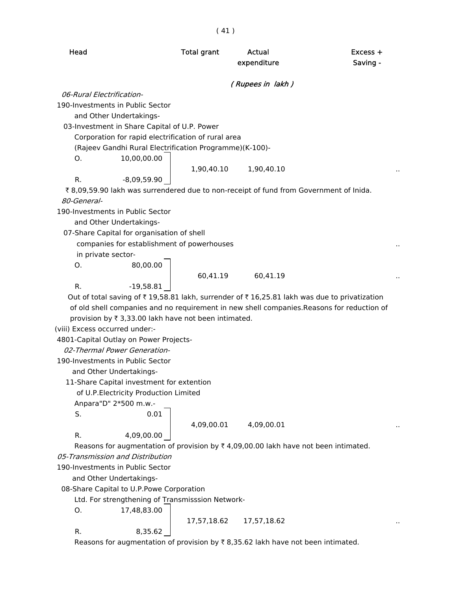| Head                           |                                                         | <b>Total grant</b> | Actual<br>expenditure                                                                                | Excess +<br>Saving -                                                                       |
|--------------------------------|---------------------------------------------------------|--------------------|------------------------------------------------------------------------------------------------------|--------------------------------------------------------------------------------------------|
|                                |                                                         |                    | (Rupees in lakh)                                                                                     |                                                                                            |
| 06-Rural Electrification-      |                                                         |                    |                                                                                                      |                                                                                            |
|                                | 190-Investments in Public Sector                        |                    |                                                                                                      |                                                                                            |
|                                | and Other Undertakings-                                 |                    |                                                                                                      |                                                                                            |
|                                | 03-Investment in Share Capital of U.P. Power            |                    |                                                                                                      |                                                                                            |
|                                | Corporation for rapid electrification of rural area     |                    |                                                                                                      |                                                                                            |
|                                | (Rajeev Gandhi Rural Electrification Programme)(K-100)- |                    |                                                                                                      |                                                                                            |
| O.                             | 10,00,00.00                                             |                    |                                                                                                      |                                                                                            |
|                                |                                                         | 1,90,40.10         | 1,90,40.10                                                                                           |                                                                                            |
| R.                             | $-8,09,59.90$                                           |                    |                                                                                                      |                                                                                            |
|                                |                                                         |                    | ₹8,09,59.90 lakh was surrendered due to non-receipt of fund from Government of Inida.                |                                                                                            |
| 80-General-                    |                                                         |                    |                                                                                                      |                                                                                            |
|                                | 190-Investments in Public Sector                        |                    |                                                                                                      |                                                                                            |
|                                | and Other Undertakings-                                 |                    |                                                                                                      |                                                                                            |
|                                | 07-Share Capital for organisation of shell              |                    |                                                                                                      |                                                                                            |
|                                | companies for establishment of powerhouses              |                    |                                                                                                      |                                                                                            |
| in private sector-             |                                                         |                    |                                                                                                      |                                                                                            |
| O.                             | 80,00.00                                                |                    |                                                                                                      |                                                                                            |
|                                |                                                         | 60,41.19           | 60,41.19                                                                                             |                                                                                            |
| R.                             | $-19,58.81$                                             |                    |                                                                                                      |                                                                                            |
|                                |                                                         |                    | Out of total saving of ₹19,58.81 lakh, surrender of ₹16,25.81 lakh was due to privatization          |                                                                                            |
|                                |                                                         |                    |                                                                                                      | of old shell companies and no requirement in new shell companies. Reasons for reduction of |
|                                | provision by ₹ 3,33.00 lakh have not been intimated.    |                    |                                                                                                      |                                                                                            |
| (viii) Excess occurred under:- |                                                         |                    |                                                                                                      |                                                                                            |
|                                | 4801-Capital Outlay on Power Projects-                  |                    |                                                                                                      |                                                                                            |
|                                | 02-Thermal Power Generation-                            |                    |                                                                                                      |                                                                                            |
|                                | 190-Investments in Public Sector                        |                    |                                                                                                      |                                                                                            |
|                                | and Other Undertakings-                                 |                    |                                                                                                      |                                                                                            |
|                                | 11-Share Capital investment for extention               |                    |                                                                                                      |                                                                                            |
|                                | of U.P. Electricity Production Limited                  |                    |                                                                                                      |                                                                                            |
|                                | Anpara"D" 2*500 m.w.-                                   |                    |                                                                                                      |                                                                                            |
| S.                             | 0.01                                                    |                    |                                                                                                      |                                                                                            |
|                                |                                                         | 4,09,00.01         | 4,09,00.01                                                                                           |                                                                                            |
| R.                             | 4,09,00.00                                              |                    |                                                                                                      |                                                                                            |
|                                |                                                         |                    | Reasons for augmentation of provision by $\overline{\zeta}$ 4,09,00.00 lakh have not been intimated. |                                                                                            |
|                                | 05-Transmission and Distribution                        |                    |                                                                                                      |                                                                                            |
|                                | 190-Investments in Public Sector                        |                    |                                                                                                      |                                                                                            |
|                                | and Other Undertakings-                                 |                    |                                                                                                      |                                                                                            |
|                                | 08-Share Capital to U.P.Powe Corporation                |                    |                                                                                                      |                                                                                            |
|                                | Ltd. For strengthening of Transmisssion Network-        |                    |                                                                                                      |                                                                                            |
| O.                             | 17,48,83.00                                             |                    |                                                                                                      |                                                                                            |
|                                |                                                         | 17,57,18.62        | 17,57,18.62                                                                                          |                                                                                            |
| R.                             | 8,35.62                                                 |                    |                                                                                                      |                                                                                            |
|                                |                                                         |                    | Reasons for augmentation of provision by ₹8,35.62 lakh have not been intimated.                      |                                                                                            |

( 41 )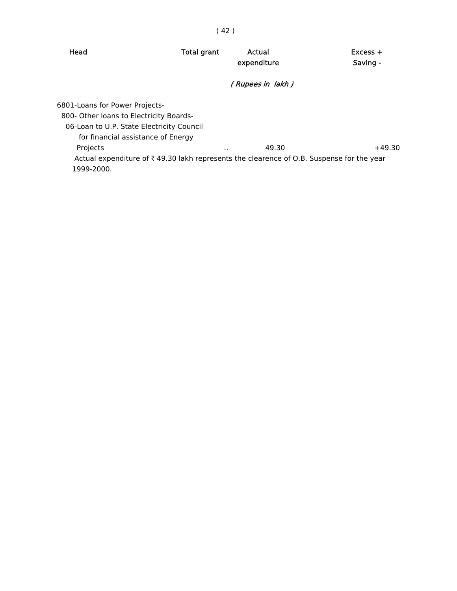| Head                                                                                                                                                         | <b>Total grant</b> | Actual<br>expenditure | $Excess +$<br>Saving - |
|--------------------------------------------------------------------------------------------------------------------------------------------------------------|--------------------|-----------------------|------------------------|
|                                                                                                                                                              |                    | (Rupees in lakh)      |                        |
| 6801-Loans for Power Projects-<br>800- Other Ioans to Electricity Boards-<br>06-Loan to U.P. State Electricity Council<br>for financial assistance of Energy |                    |                       |                        |
| Projects<br>Actual expenditure of ₹49.30 lakh represents the clearence of O.B. Suspense for the year<br>1999-2000.                                           |                    | 49.30<br>$\cdots$     | $+49.30$               |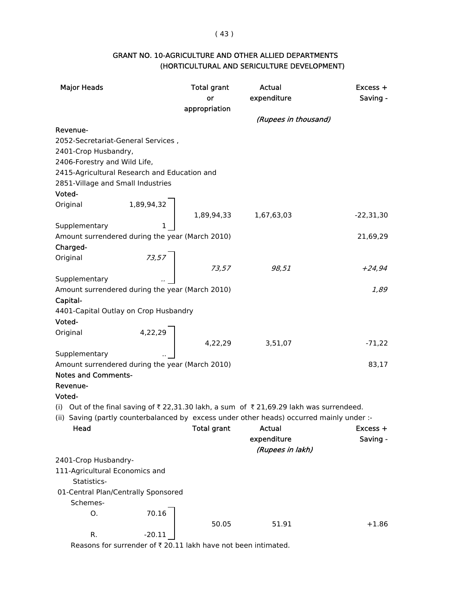( 43 )

| <b>GRANT NO. 10-AGRICULTURE AND OTHER ALLIED DEPARTMENTS</b> |  |
|--------------------------------------------------------------|--|
| (HORTICULTURAL AND SERICULTURE DEVELOPMENT)                  |  |

| <b>Major Heads</b>                                                                        | <b>Total grant</b>                                                                                                                                                             | <b>Actual</b>        | Excess +    |
|-------------------------------------------------------------------------------------------|--------------------------------------------------------------------------------------------------------------------------------------------------------------------------------|----------------------|-------------|
|                                                                                           | or                                                                                                                                                                             | expenditure          | Saving -    |
|                                                                                           | appropriation                                                                                                                                                                  |                      |             |
|                                                                                           |                                                                                                                                                                                | (Rupees in thousand) |             |
| Revenue-                                                                                  |                                                                                                                                                                                |                      |             |
| 2052-Secretariat-General Services,                                                        |                                                                                                                                                                                |                      |             |
| 2401-Crop Husbandry,                                                                      |                                                                                                                                                                                |                      |             |
| 2406-Forestry and Wild Life,                                                              |                                                                                                                                                                                |                      |             |
| 2415-Agricultural Research and Education and                                              |                                                                                                                                                                                |                      |             |
| 2851-Village and Small Industries                                                         |                                                                                                                                                                                |                      |             |
| Voted-                                                                                    |                                                                                                                                                                                |                      |             |
| Original                                                                                  |                                                                                                                                                                                |                      |             |
|                                                                                           | $\left[\begin{array}{ccc} 1,89,94,32 \\ & & 1,89,94,33 \\ & & 1 \end{array}\right]$ $\left[\begin{array}{ccc} 1,89,94,33 & 1,67,63,03 \\ & & 1,67,63,03 \\ \end{array}\right]$ |                      | $-22,31,30$ |
| Supplementary                                                                             |                                                                                                                                                                                |                      |             |
| Amount surrendered during the year (March 2010)                                           |                                                                                                                                                                                |                      | 21,69,29    |
| Charged-                                                                                  |                                                                                                                                                                                |                      |             |
| Original                                                                                  |                                                                                                                                                                                |                      |             |
|                                                                                           | $\begin{array}{c c} 73.57 & \\ 73.57 & \end{array}$                                                                                                                            | 98,51                | $+24,94$    |
| Supplementary                                                                             |                                                                                                                                                                                |                      |             |
| Amount surrendered during the year (March 2010)                                           |                                                                                                                                                                                |                      | 1,89        |
| Capital-                                                                                  |                                                                                                                                                                                |                      |             |
| 4401-Capital Outlay on Crop Husbandry                                                     |                                                                                                                                                                                |                      |             |
| Voted-                                                                                    |                                                                                                                                                                                |                      |             |
| Original                                                                                  |                                                                                                                                                                                |                      |             |
|                                                                                           | $4,22,29$ $4,22,29$ $3,51,07$                                                                                                                                                  |                      | $-71,22$    |
| Supplementary<br>Amount surrendered during the year (March 2010)                          |                                                                                                                                                                                |                      | 83,17       |
| <b>Notes and Comments-</b>                                                                |                                                                                                                                                                                |                      |             |
| Revenue-                                                                                  |                                                                                                                                                                                |                      |             |
| Voted-                                                                                    |                                                                                                                                                                                |                      |             |
| (i) Out of the final saving of ₹22,31.30 lakh, a sum of ₹21,69.29 lakh was surrendeed.    |                                                                                                                                                                                |                      |             |
| (ii) Saving (partly counterbalanced by excess under other heads) occurred mainly under :- |                                                                                                                                                                                |                      |             |
| Head                                                                                      | <b>Total grant</b>                                                                                                                                                             | Actual               | Excess +    |
|                                                                                           |                                                                                                                                                                                | expenditure          | Saving -    |
|                                                                                           |                                                                                                                                                                                | (Rupees in lakh)     |             |
| 2401-Crop Husbandry-                                                                      |                                                                                                                                                                                |                      |             |
| 111-Agricultural Economics and                                                            |                                                                                                                                                                                |                      |             |
| Statistics-                                                                               |                                                                                                                                                                                |                      |             |
| 01-Central Plan/Centrally Sponsored                                                       |                                                                                                                                                                                |                      |             |
| Schemes-                                                                                  |                                                                                                                                                                                |                      |             |
| О.                                                                                        | 70.16                                                                                                                                                                          |                      |             |
|                                                                                           | 50.05                                                                                                                                                                          | 51.91                | $+1.86$     |
| R.                                                                                        | $-20.11$                                                                                                                                                                       |                      |             |
|                                                                                           |                                                                                                                                                                                |                      |             |

Reasons for surrender of  $\bar{\tau}$  20.11 lakh have not been intimated.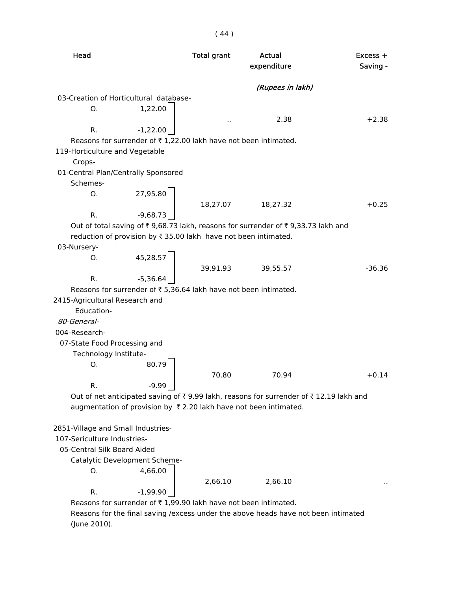| Head                                            |                               | <b>Total grant</b>                                              | Actual<br>expenditure                                                                 | $Excess +$<br>Saving - |
|-------------------------------------------------|-------------------------------|-----------------------------------------------------------------|---------------------------------------------------------------------------------------|------------------------|
|                                                 |                               |                                                                 | (Rupees in lakh)                                                                      |                        |
| 03-Creation of Horticultural database-          |                               |                                                                 |                                                                                       |                        |
| O.                                              | 1,22.00                       |                                                                 |                                                                                       |                        |
|                                                 |                               |                                                                 | 2.38                                                                                  | $+2.38$                |
| R.                                              | $-1,22.00$                    |                                                                 |                                                                                       |                        |
|                                                 |                               | Reasons for surrender of ₹1,22.00 lakh have not been intimated. |                                                                                       |                        |
| 119-Horticulture and Vegetable                  |                               |                                                                 |                                                                                       |                        |
| Crops-                                          |                               |                                                                 |                                                                                       |                        |
| 01-Central Plan/Centrally Sponsored<br>Schemes- |                               |                                                                 |                                                                                       |                        |
| 0.                                              | 27,95.80                      |                                                                 |                                                                                       |                        |
|                                                 |                               | 18,27.07                                                        | 18,27.32                                                                              | $+0.25$                |
| $R_{\cdot}$                                     | $-9,68.73$                    |                                                                 |                                                                                       |                        |
|                                                 |                               |                                                                 | Out of total saving of ₹9,68.73 lakh, reasons for surrender of ₹9,33.73 lakh and      |                        |
|                                                 |                               | reduction of provision by ₹ 35.00 lakh have not been intimated. |                                                                                       |                        |
| 03-Nursery-                                     |                               |                                                                 |                                                                                       |                        |
| Ο.                                              | 45,28.57                      |                                                                 |                                                                                       |                        |
|                                                 |                               | 39,91.93                                                        | 39,55.57                                                                              | $-36.36$               |
| R.                                              | $-5,36.64$                    |                                                                 |                                                                                       |                        |
|                                                 |                               | Reasons for surrender of ₹5,36.64 lakh have not been intimated. |                                                                                       |                        |
| 2415-Agricultural Research and                  |                               |                                                                 |                                                                                       |                        |
| Education-                                      |                               |                                                                 |                                                                                       |                        |
| 80-General-                                     |                               |                                                                 |                                                                                       |                        |
| 004-Research-                                   |                               |                                                                 |                                                                                       |                        |
| 07-State Food Processing and                    |                               |                                                                 |                                                                                       |                        |
| Technology Institute-                           |                               |                                                                 |                                                                                       |                        |
| Ο.                                              | 80.79                         |                                                                 |                                                                                       |                        |
|                                                 |                               | 70.80                                                           | 70.94                                                                                 | $+0.14$                |
| R.                                              | $-9.99$                       |                                                                 |                                                                                       |                        |
|                                                 |                               |                                                                 | Out of net anticipated saving of ₹9.99 lakh, reasons for surrender of ₹12.19 lakh and |                        |
|                                                 |                               |                                                                 | augmentation of provision by ₹2.20 lakh have not been intimated.                      |                        |
| 2851-Village and Small Industries-              |                               |                                                                 |                                                                                       |                        |
| 107-Sericulture Industries-                     |                               |                                                                 |                                                                                       |                        |
| 05-Central Silk Board Aided                     |                               |                                                                 |                                                                                       |                        |
|                                                 | Catalytic Development Scheme- |                                                                 |                                                                                       |                        |
| O.                                              | 4,66.00                       |                                                                 |                                                                                       |                        |
|                                                 |                               | 2,66.10                                                         | 2,66.10                                                                               |                        |
| R.                                              | $-1,99.90$                    |                                                                 |                                                                                       |                        |
|                                                 |                               | Reasons for surrender of ₹1,99.90 lakh have not been intimated. |                                                                                       |                        |
|                                                 |                               |                                                                 | Reasons for the final saving /excess under the above heads have not been intimated    |                        |

(June 2010).

( 44 )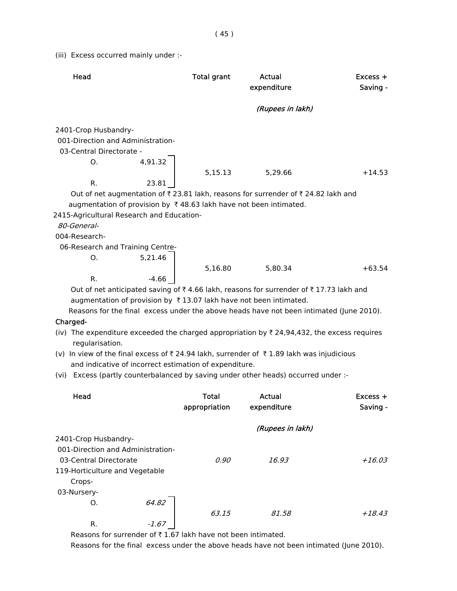(iii) Excess occurred mainly under :-

| Head                                                                                                                      |         | <b>Total grant</b> | Actual           | Excess +                                                                                |
|---------------------------------------------------------------------------------------------------------------------------|---------|--------------------|------------------|-----------------------------------------------------------------------------------------|
|                                                                                                                           |         |                    | expenditure      | Saving -                                                                                |
|                                                                                                                           |         |                    | (Rupees in lakh) |                                                                                         |
| 2401-Crop Husbandry-                                                                                                      |         |                    |                  |                                                                                         |
| 001-Direction and Administration-                                                                                         |         |                    |                  |                                                                                         |
| 03-Central Directorate -                                                                                                  |         |                    |                  |                                                                                         |
| Ο.                                                                                                                        | 4,91.32 |                    |                  |                                                                                         |
|                                                                                                                           |         | 5,15.13            | 5,29.66          | $+14.53$                                                                                |
| R.                                                                                                                        | 23.81   |                    |                  |                                                                                         |
| Out of net augmentation of ₹23.81 lakh, reasons for surrender of ₹24.82 lakh and                                          |         |                    |                  |                                                                                         |
| augmentation of provision by ₹48.63 lakh have not been intimated.                                                         |         |                    |                  |                                                                                         |
| 2415-Agricultural Research and Education-                                                                                 |         |                    |                  |                                                                                         |
| 80-General-                                                                                                               |         |                    |                  |                                                                                         |
| 004-Research-                                                                                                             |         |                    |                  |                                                                                         |
| 06-Research and Training Centre-                                                                                          |         |                    |                  |                                                                                         |
| О.                                                                                                                        | 5,21.46 |                    |                  |                                                                                         |
|                                                                                                                           |         | 5,16.80            | 5,80.34          | $+63.54$                                                                                |
| R.                                                                                                                        | $-4.66$ |                    |                  |                                                                                         |
| Out of net anticipated saving of ₹4.66 lakh, reasons for surrender of ₹17.73 lakh and                                     |         |                    |                  |                                                                                         |
| augmentation of provision by ₹13.07 lakh have not been intimated.                                                         |         |                    |                  |                                                                                         |
|                                                                                                                           |         |                    |                  | Reasons for the final excess under the above heads have not been intimated (June 2010). |
| Charged-                                                                                                                  |         |                    |                  |                                                                                         |
| (iv) The expenditure exceeded the charged appropriation by $\bar{\tau}$ 24,94,432, the excess requires<br>regularisation. |         |                    |                  |                                                                                         |
| (v) In view of the final excess of ₹ 24.94 lakh, surrender of ₹ 1.89 lakh was injudicious                                 |         |                    |                  |                                                                                         |
| and indicative of incorrect estimation of expenditure.                                                                    |         |                    |                  |                                                                                         |
| (vi) Excess (partly counterbalanced by saving under other heads) occurred under :-                                        |         |                    |                  |                                                                                         |
| Head                                                                                                                      |         | <b>Total</b>       | Actual           | $Excess +$                                                                              |
|                                                                                                                           |         | appropriation      | expenditure      | Saving -                                                                                |
|                                                                                                                           |         |                    | (Rupees in lakh) |                                                                                         |
| 2401-Crop Husbandry-                                                                                                      |         |                    |                  |                                                                                         |
| 001-Direction and Administration-                                                                                         |         |                    |                  |                                                                                         |
| 03-Central Directorate                                                                                                    |         | 0.90               | 16.93            | $+16.03$                                                                                |
| 119-Horticulture and Vegetable                                                                                            |         |                    |                  |                                                                                         |
| Crops-                                                                                                                    |         |                    |                  |                                                                                         |
| 03-Nursery-                                                                                                               |         |                    |                  |                                                                                         |
| O.                                                                                                                        | 64.82   |                    |                  |                                                                                         |
|                                                                                                                           |         | 63.15              | 81.58            | $+18.43$                                                                                |
| R.                                                                                                                        | $-1.67$ |                    |                  |                                                                                         |

Reasons for surrender of  $\bar{\tau}$  1.67 lakh have not been intimated.

Reasons for the final excess under the above heads have not been intimated (June 2010).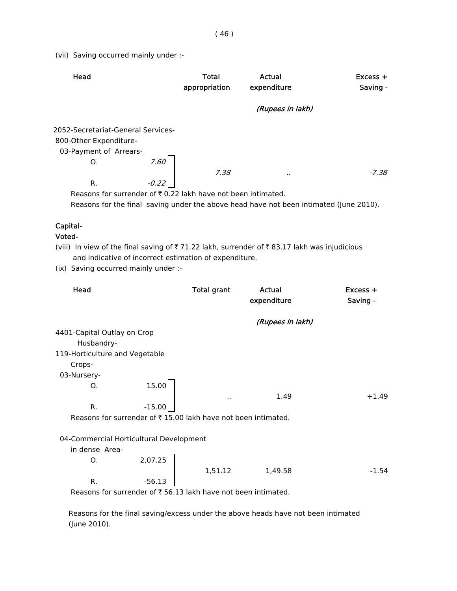(vii) Saving occurred mainly under :-

| Head                                                                     |         | Total<br>appropriation | Actual<br>expenditure | $Excess +$<br>Saving - |
|--------------------------------------------------------------------------|---------|------------------------|-----------------------|------------------------|
|                                                                          |         |                        | (Rupees in lakh)      |                        |
| 2052-Secretariat-General Services-                                       |         |                        |                       |                        |
| 800-Other Expenditure-                                                   |         |                        |                       |                        |
| 03-Payment of Arrears-                                                   |         |                        |                       |                        |
| O.                                                                       | 7.60    |                        |                       |                        |
|                                                                          |         | 7.38                   |                       | $-7.38$                |
| R.                                                                       | $-0.22$ |                        |                       |                        |
| Reasons for surrender of $\bar{\tau}$ 0.22 lakh have not been intimated. |         |                        |                       |                        |

Reasons for the final saving under the above head have not been intimated (June 2010).

# Capital-

#### Voted-

(viii) In view of the final saving of  $\bar{\tau}$  71.22 lakh, surrender of  $\bar{\tau}$  83.17 lakh was injudicious and indicative of incorrect estimation of expenditure.

(ix) Saving occurred mainly under :-

| Head                                                          |          | <b>Total grant</b> | Actual<br>expenditure | $Excess +$<br>Saving - |
|---------------------------------------------------------------|----------|--------------------|-----------------------|------------------------|
|                                                               |          |                    | (Rupees in lakh)      |                        |
| 4401-Capital Outlay on Crop                                   |          |                    |                       |                        |
| Husbandry-                                                    |          |                    |                       |                        |
| 119-Horticulture and Vegetable                                |          |                    |                       |                        |
| Crops-                                                        |          |                    |                       |                        |
| 03-Nursery-                                                   |          |                    |                       |                        |
| О.                                                            | 15.00    |                    |                       |                        |
|                                                               |          | . .                | 1.49                  | $+1.49$                |
| R.                                                            | $-15.00$ |                    |                       |                        |
| Reasons for surrender of ₹15.00 lakh have not been intimated. |          |                    |                       |                        |
|                                                               |          |                    |                       |                        |
| 04-Commercial Horticultural Development                       |          |                    |                       |                        |
| in dense Area-                                                |          |                    |                       |                        |
| О.                                                            | 2,07.25  |                    |                       |                        |
|                                                               |          | 1,51.12            | 1,49.58               | $-1.54$                |
| R.                                                            | $-56.13$ |                    |                       |                        |
| Reasons for surrender of ₹56.13 lakh have not been intimated. |          |                    |                       |                        |

 Reasons for the final saving/excess under the above heads have not been intimated (June 2010).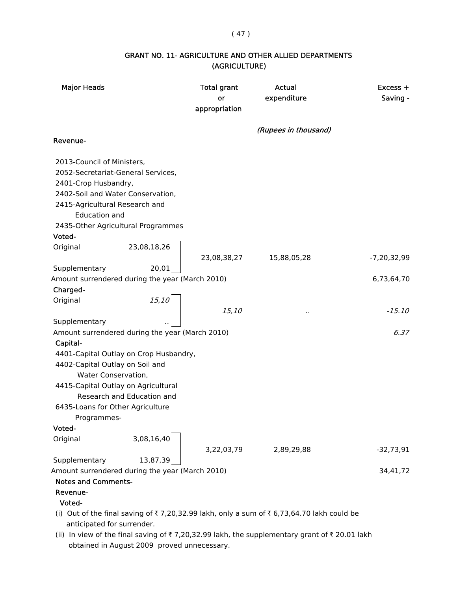### ( 47 )

# GRANT NO. 11- AGRICULTURE AND OTHER ALLIED DEPARTMENTS (AGRICULTURE)

| <b>Major Heads</b>                                                                                           |                                                                                                               | <b>Total grant</b><br>or<br>appropriation | Actual<br>expenditure                                                                    | $Excess +$<br>Saving - |
|--------------------------------------------------------------------------------------------------------------|---------------------------------------------------------------------------------------------------------------|-------------------------------------------|------------------------------------------------------------------------------------------|------------------------|
| Revenue-                                                                                                     |                                                                                                               |                                           | (Rupees in thousand)                                                                     |                        |
|                                                                                                              |                                                                                                               |                                           |                                                                                          |                        |
| 2013-Council of Ministers,<br>2401-Crop Husbandry,<br>2415-Agricultural Research and<br><b>Education and</b> | 2052-Secretariat-General Services,<br>2402-Soil and Water Conservation,<br>2435-Other Agricultural Programmes |                                           |                                                                                          |                        |
| Voted-                                                                                                       |                                                                                                               |                                           |                                                                                          |                        |
| Original<br>Supplementary                                                                                    | 23,08,18,26<br>20,01                                                                                          | 23,08,38,27                               | 15,88,05,28                                                                              | $-7,20,32,99$          |
|                                                                                                              | Amount surrendered during the year (March 2010)                                                               |                                           |                                                                                          | 6,73,64,70             |
| Charged-                                                                                                     |                                                                                                               |                                           |                                                                                          |                        |
| Original                                                                                                     | 15,10                                                                                                         |                                           |                                                                                          |                        |
|                                                                                                              |                                                                                                               | 15,10                                     | .,                                                                                       | $-15.10$               |
| Supplementary                                                                                                |                                                                                                               |                                           |                                                                                          |                        |
| Capital-<br>4402-Capital Outlay on Soil and<br>Water Conservation,                                           | Amount surrendered during the year (March 2010)<br>4401-Capital Outlay on Crop Husbandry,                     |                                           |                                                                                          | 6.37                   |
|                                                                                                              | 4415-Capital Outlay on Agricultural<br>Research and Education and                                             |                                           |                                                                                          |                        |
| 6435-Loans for Other Agriculture<br>Programmes-                                                              |                                                                                                               |                                           |                                                                                          |                        |
| Voted-                                                                                                       |                                                                                                               |                                           |                                                                                          |                        |
| Original                                                                                                     | 3,08,16,40                                                                                                    | 3,22,03,79                                | 2,89,29,88                                                                               | $-32,73,91$            |
| Supplementary                                                                                                | 13,87,39                                                                                                      |                                           |                                                                                          |                        |
| <b>Notes and Comments-</b><br>Revenue-<br>Voted-                                                             | Amount surrendered during the year (March 2010)                                                               |                                           |                                                                                          | 34,41,72               |
| anticipated for surrender.                                                                                   |                                                                                                               |                                           | (i) Out of the final saving of ₹7,20,32.99 lakh, only a sum of ₹6,73,64.70 lakh could be |                        |

(ii) In view of the final saving of  $\overline{\tau}$  7,20,32.99 lakh, the supplementary grant of  $\overline{\tau}$  20.01 lakh obtained in August 2009 proved unnecessary.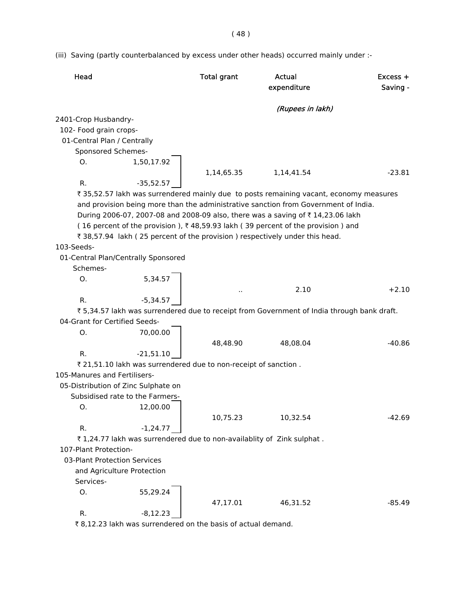( 48 )

(iii) Saving (partly counterbalanced by excess under other heads) occurred mainly under :-

| Head                                |             | <b>Total grant</b>                                              | <b>Actual</b><br>expenditure                                                              | $Excess +$<br>Saving - |
|-------------------------------------|-------------|-----------------------------------------------------------------|-------------------------------------------------------------------------------------------|------------------------|
|                                     |             |                                                                 | (Rupees in lakh)                                                                          |                        |
| 2401-Crop Husbandry-                |             |                                                                 |                                                                                           |                        |
| 102- Food grain crops-              |             |                                                                 |                                                                                           |                        |
| 01-Central Plan / Centrally         |             |                                                                 |                                                                                           |                        |
| Sponsored Schemes-                  |             |                                                                 |                                                                                           |                        |
| Ο.                                  | 1,50,17.92  |                                                                 |                                                                                           |                        |
|                                     |             | 1,14,65.35                                                      | 1,14,41.54                                                                                | $-23.81$               |
| R.                                  | $-35,52.57$ |                                                                 |                                                                                           |                        |
|                                     |             |                                                                 | ₹35,52.57 lakh was surrendered mainly due to posts remaining vacant, economy measures     |                        |
|                                     |             |                                                                 | and provision being more than the administrative sanction from Government of India.       |                        |
|                                     |             |                                                                 | During 2006-07, 2007-08 and 2008-09 also, there was a saving of ₹14,23.06 lakh            |                        |
|                                     |             |                                                                 | (16 percent of the provision), ₹48,59.93 lakh (39 percent of the provision) and           |                        |
|                                     |             |                                                                 | ₹ 38,57.94 lakh (25 percent of the provision) respectively under this head.               |                        |
| 103-Seeds-                          |             |                                                                 |                                                                                           |                        |
| 01-Central Plan/Centrally Sponsored |             |                                                                 |                                                                                           |                        |
| Schemes-                            |             |                                                                 |                                                                                           |                        |
| O.                                  | 5,34.57     |                                                                 |                                                                                           |                        |
|                                     |             |                                                                 | 2.10                                                                                      | $+2.10$                |
| R.                                  | $-5,34.57$  |                                                                 |                                                                                           |                        |
|                                     |             |                                                                 | ₹5,34.57 lakh was surrendered due to receipt from Government of India through bank draft. |                        |
| 04-Grant for Certified Seeds-       |             |                                                                 |                                                                                           |                        |
| Ο.                                  | 70,00.00    |                                                                 |                                                                                           |                        |
|                                     |             | 48,48.90                                                        | 48,08.04                                                                                  | $-40.86$               |
| R.                                  | $-21,51.10$ |                                                                 |                                                                                           |                        |
|                                     |             | ₹ 21,51.10 lakh was surrendered due to non-receipt of sanction. |                                                                                           |                        |
| 105-Manures and Fertilisers-        |             |                                                                 |                                                                                           |                        |
| 05-Distribution of Zinc Sulphate on |             |                                                                 |                                                                                           |                        |
| Subsidised rate to the Farmers-     |             |                                                                 |                                                                                           |                        |
| Ο.                                  | 12,00.00    |                                                                 |                                                                                           |                        |
|                                     |             | 10,75.23                                                        | 10,32.54                                                                                  | $-42.69$               |
| R.                                  | $-1,24.77$  |                                                                 |                                                                                           |                        |
|                                     |             |                                                                 | ₹1,24.77 lakh was surrendered due to non-availablity of Zink sulphat.                     |                        |
| 107-Plant Protection-               |             |                                                                 |                                                                                           |                        |
| 03-Plant Protection Services        |             |                                                                 |                                                                                           |                        |
| and Agriculture Protection          |             |                                                                 |                                                                                           |                        |
| Services-                           |             |                                                                 |                                                                                           |                        |
| Ο.                                  | 55,29.24    | 47,17.01                                                        | 46,31.52                                                                                  | $-85.49$               |
| R.                                  | $-8,12.23$  |                                                                 |                                                                                           |                        |
|                                     |             |                                                                 |                                                                                           |                        |

 $\bar{\tau}$  8,12.23 lakh was surrendered on the basis of actual demand.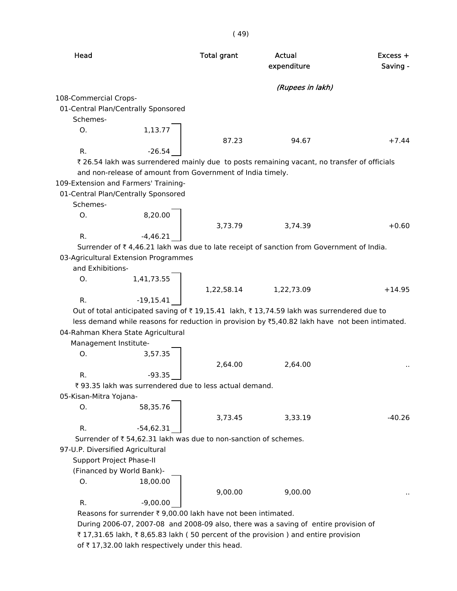| Head                             |                                                                  | <b>Total grant</b> | Actual<br>expenditure                                                                          | $Excess +$<br>Saving - |
|----------------------------------|------------------------------------------------------------------|--------------------|------------------------------------------------------------------------------------------------|------------------------|
|                                  |                                                                  |                    | (Rupees in lakh)                                                                               |                        |
| 108-Commercial Crops-            |                                                                  |                    |                                                                                                |                        |
|                                  | 01-Central Plan/Centrally Sponsored                              |                    |                                                                                                |                        |
| Schemes-                         |                                                                  |                    |                                                                                                |                        |
| Ο.                               | 1,13.77                                                          |                    |                                                                                                |                        |
|                                  |                                                                  | 87.23              | 94.67                                                                                          | $+7.44$                |
| R.                               | $-26.54$                                                         |                    |                                                                                                |                        |
|                                  |                                                                  |                    | ₹ 26.54 lakh was surrendered mainly due to posts remaining vacant, no transfer of officials    |                        |
|                                  | and non-release of amount from Government of India timely.       |                    |                                                                                                |                        |
|                                  | 109-Extension and Farmers' Training-                             |                    |                                                                                                |                        |
|                                  | 01-Central Plan/Centrally Sponsored                              |                    |                                                                                                |                        |
| Schemes-                         |                                                                  |                    |                                                                                                |                        |
| O.                               | 8,20.00                                                          |                    |                                                                                                |                        |
|                                  |                                                                  | 3,73.79            | 3,74.39                                                                                        | $+0.60$                |
| R.                               | $-4,46.21$                                                       |                    |                                                                                                |                        |
|                                  |                                                                  |                    | Surrender of ₹4,46.21 lakh was due to late receipt of sanction from Government of India.       |                        |
|                                  | 03-Agricultural Extension Programmes                             |                    |                                                                                                |                        |
| and Exhibitions-                 |                                                                  |                    |                                                                                                |                        |
| O.                               | 1,41,73.55                                                       |                    |                                                                                                |                        |
|                                  |                                                                  | 1,22,58.14         | 1,22,73.09                                                                                     | $+14.95$               |
| R.                               | $-19,15.41$                                                      |                    |                                                                                                |                        |
|                                  |                                                                  |                    | Out of total anticipated saving of ₹19,15.41 lakh, ₹13,74.59 lakh was surrendered due to       |                        |
|                                  |                                                                  |                    | less demand while reasons for reduction in provision by ₹5,40.82 lakh have not been intimated. |                        |
|                                  | 04-Rahman Khera State Agricultural                               |                    |                                                                                                |                        |
| Management Institute-            |                                                                  |                    |                                                                                                |                        |
| Ο.                               | 3,57.35                                                          |                    |                                                                                                |                        |
|                                  |                                                                  | 2,64.00            | 2,64.00                                                                                        |                        |
| R.                               | -93.35                                                           |                    |                                                                                                |                        |
|                                  | ₹ 93.35 lakh was surrendered due to less actual demand.          |                    |                                                                                                |                        |
| 05-Kisan-Mitra Yojana-           |                                                                  |                    |                                                                                                |                        |
| Ο.                               | 58,35.76                                                         |                    |                                                                                                |                        |
|                                  |                                                                  | 3,73.45            | 3,33.19                                                                                        | $-40.26$               |
| R.                               | $-54,62.31$                                                      |                    |                                                                                                |                        |
|                                  | Surrender of ₹ 54,62.31 lakh was due to non-sanction of schemes. |                    |                                                                                                |                        |
| 97-U.P. Diversified Agricultural |                                                                  |                    |                                                                                                |                        |
| Support Project Phase-II         |                                                                  |                    |                                                                                                |                        |
|                                  | (Financed by World Bank)-                                        |                    |                                                                                                |                        |
| O.                               | 18,00.00                                                         |                    |                                                                                                |                        |
|                                  |                                                                  | 9,00.00            | 9,00.00                                                                                        |                        |
| R.                               | $-9,00.00$                                                       |                    |                                                                                                |                        |
|                                  | Reasons for surrender ₹ 9,00.00 lakh have not been intimated.    |                    |                                                                                                |                        |
|                                  |                                                                  |                    | 07, 2007.00 and 2000.00 also there wes a soving of entire                                      |                        |

 During 2006-07, 2007-08 and 2008-09 also, there was a saving of entire provision of ₹ 17,31.65 lakh, ₹ 8,65.83 lakh (50 percent of the provision) and entire provision of  $\bar{\tau}$  17,32.00 lakh respectively under this head.

( 49)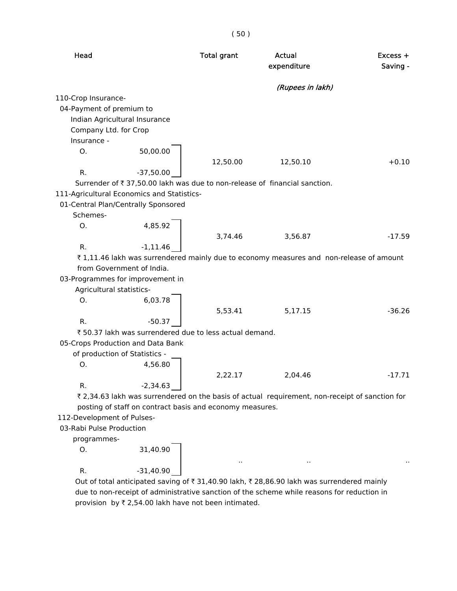|                                   |                                                          | ( JU )             |                                                                                                |                        |
|-----------------------------------|----------------------------------------------------------|--------------------|------------------------------------------------------------------------------------------------|------------------------|
| Head                              |                                                          | <b>Total grant</b> | <b>Actual</b><br>expenditure                                                                   | $Excess +$<br>Saving - |
|                                   |                                                          |                    | (Rupees in lakh)                                                                               |                        |
| 110-Crop Insurance-               |                                                          |                    |                                                                                                |                        |
| 04-Payment of premium to          |                                                          |                    |                                                                                                |                        |
| Indian Agricultural Insurance     |                                                          |                    |                                                                                                |                        |
| Company Ltd. for Crop             |                                                          |                    |                                                                                                |                        |
| Insurance -                       |                                                          |                    |                                                                                                |                        |
| Ο.                                | 50,00.00                                                 |                    |                                                                                                |                        |
|                                   |                                                          | 12,50.00           | 12,50.10                                                                                       | $+0.10$                |
| R.                                | $-37,50.00$                                              |                    |                                                                                                |                        |
|                                   |                                                          |                    | Surrender of ₹37,50.00 lakh was due to non-release of financial sanction.                      |                        |
|                                   | 111-Agricultural Economics and Statistics-               |                    |                                                                                                |                        |
|                                   | 01-Central Plan/Centrally Sponsored                      |                    |                                                                                                |                        |
| Schemes-                          |                                                          |                    |                                                                                                |                        |
| O.                                | 4,85.92                                                  |                    |                                                                                                |                        |
|                                   |                                                          | 3,74.46            | 3,56.87                                                                                        | $-17.59$               |
| R.                                | $-1, 11.46$                                              |                    | ₹1,11.46 lakh was surrendered mainly due to economy measures and non-release of amount         |                        |
|                                   | from Government of India.                                |                    |                                                                                                |                        |
| 03-Programmes for improvement in  |                                                          |                    |                                                                                                |                        |
| Agricultural statistics-          |                                                          |                    |                                                                                                |                        |
| Ο.                                | 6,03.78                                                  |                    |                                                                                                |                        |
|                                   |                                                          | 5,53.41            | 5,17.15                                                                                        | $-36.26$               |
| R.                                | $-50.37$                                                 |                    |                                                                                                |                        |
|                                   | ₹50.37 lakh was surrendered due to less actual demand.   |                    |                                                                                                |                        |
| 05-Crops Production and Data Bank |                                                          |                    |                                                                                                |                        |
| of production of Statistics -     |                                                          |                    |                                                                                                |                        |
| Ο.                                | 4,56.80                                                  |                    |                                                                                                |                        |
|                                   |                                                          | 2,22.17            | 2,04.46                                                                                        | $-17.71$               |
| R.                                | $-2,34.63$                                               |                    |                                                                                                |                        |
|                                   |                                                          |                    | ₹ 2,34.63 lakh was surrendered on the basis of actual requirement, non-receipt of sanction for |                        |
|                                   | posting of staff on contract basis and economy measures. |                    |                                                                                                |                        |
| 112-Development of Pulses-        |                                                          |                    |                                                                                                |                        |
| 03-Rabi Pulse Production          |                                                          |                    |                                                                                                |                        |
| programmes-                       |                                                          |                    |                                                                                                |                        |
| О.                                | 31,40.90                                                 |                    |                                                                                                |                        |

R.  $-31,40.90$ Out of total anticipated saving of  $\bar{\tau}$  31,40.90 lakh,  $\bar{\tau}$  28,86.90 lakh was surrendered mainly due to non-receipt of administrative sanction of the scheme while reasons for reduction in provision by  $\bar{\tau}$  2,54.00 lakh have not been intimated.

.. .. ..

 $(50)$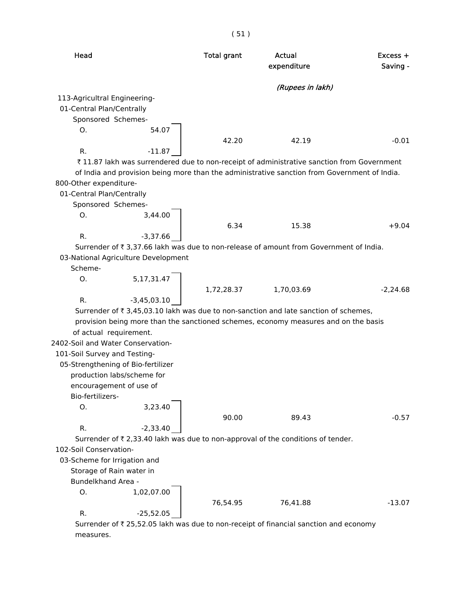|                              |                                     | (51)               |                                                                                              |                        |
|------------------------------|-------------------------------------|--------------------|----------------------------------------------------------------------------------------------|------------------------|
| Head                         |                                     | <b>Total grant</b> | Actual<br>expenditure                                                                        | $Excess +$<br>Saving - |
|                              |                                     |                    | (Rupees in lakh)                                                                             |                        |
| 113-Agricultral Engineering- |                                     |                    |                                                                                              |                        |
| 01-Central Plan/Centrally    |                                     |                    |                                                                                              |                        |
| Sponsored Schemes-           |                                     |                    |                                                                                              |                        |
| O <sub>1</sub>               | 54.07                               |                    |                                                                                              |                        |
|                              |                                     | 42.20              | 42.19                                                                                        | $-0.01$                |
| $R_{\cdot}$                  | $-11.87$                            |                    |                                                                                              |                        |
|                              |                                     |                    | ₹11.87 lakh was surrendered due to non-receipt of administrative sanction from Government    |                        |
|                              |                                     |                    | of India and provision being more than the administrative sanction from Government of India. |                        |
| 800-Other expenditure-       |                                     |                    |                                                                                              |                        |
| 01-Central Plan/Centrally    |                                     |                    |                                                                                              |                        |
| Sponsored Schemes-           |                                     |                    |                                                                                              |                        |
| Ο.                           | 3,44.00                             |                    |                                                                                              |                        |
|                              |                                     | 6.34               | 15.38                                                                                        | $+9.04$                |
| R.                           | $-3,37.66$                          |                    |                                                                                              |                        |
|                              |                                     |                    | Surrender of ₹ 3,37.66 lakh was due to non-release of amount from Government of India.       |                        |
|                              | 03-National Agriculture Development |                    |                                                                                              |                        |
| Scheme-                      |                                     |                    |                                                                                              |                        |
| O <sub>1</sub>               | 5, 17, 31. 47                       |                    |                                                                                              |                        |
|                              |                                     | 1,72,28.37         | 1,70,03.69                                                                                   | $-2,24.68$             |
| R.                           | $-3,45,03.10$                       |                    |                                                                                              |                        |
|                              |                                     |                    | Surrender of ₹3,45,03.10 lakh was due to non-sanction and late sanction of schemes,          |                        |
|                              |                                     |                    | provision being more than the sanctioned schemes, economy measures and on the basis          |                        |
|                              | of actual requirement.              |                    |                                                                                              |                        |
|                              | 2402-Soil and Water Conservation-   |                    |                                                                                              |                        |
| 101-Soil Survey and Testing- |                                     |                    |                                                                                              |                        |
|                              | OF Ctronathoning of Dio fortilizar  |                    |                                                                                              |                        |

05-Strengthening of Bio-fertilizer

production labs/scheme for

encouragement of use of

Bio-fertilizers-

O. 3,23.40 R.  $-2,33.40$ 

90.00 89.43 -0.57

Surrender of  $\bar{\tau}$  2,33.40 lakh was due to non-approval of the conditions of tender.

102-Soil Conservation-

03-Scheme for Irrigation and

Storage of Rain water in

Bundelkhand Area -

O. 1,02,07.00

R.  $-25,52.05$ 

76,54.95 76,41.88 -13.07

Surrender of  $\bar{\tau}$  25,52.05 lakh was due to non-receipt of financial sanction and economy measures.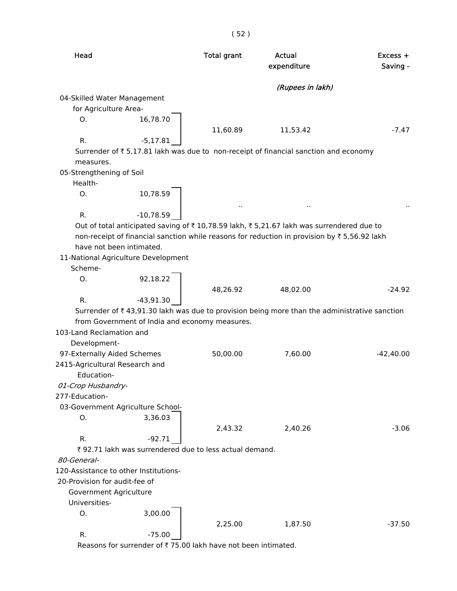| Head                           |                                                        | <b>Total grant</b> | Actual<br>expenditure                                                                                    | $Excess +$<br>Saving - |
|--------------------------------|--------------------------------------------------------|--------------------|----------------------------------------------------------------------------------------------------------|------------------------|
|                                |                                                        |                    | (Rupees in lakh)                                                                                         |                        |
| 04-Skilled Water Management    |                                                        |                    |                                                                                                          |                        |
| for Agriculture Area-          |                                                        |                    |                                                                                                          |                        |
| Ο.                             | 16,78.70                                               |                    |                                                                                                          |                        |
|                                |                                                        | 11,60.89           | 11,53.42                                                                                                 | $-7.47$                |
| R.                             | $-5,17.81$                                             |                    |                                                                                                          |                        |
|                                |                                                        |                    | Surrender of ₹ 5,17.81 lakh was due to non-receipt of financial sanction and economy                     |                        |
| measures.                      |                                                        |                    |                                                                                                          |                        |
| 05-Strengthening of Soil       |                                                        |                    |                                                                                                          |                        |
| Health-                        |                                                        |                    |                                                                                                          |                        |
| Ο.                             | 10,78.59                                               |                    |                                                                                                          |                        |
|                                |                                                        | $\sim$             |                                                                                                          |                        |
| R.                             | $-10,78.59$                                            |                    |                                                                                                          |                        |
|                                |                                                        |                    | Out of total anticipated saving of ₹10,78.59 lakh, ₹5,21.67 lakh was surrendered due to                  |                        |
|                                |                                                        |                    | non-receipt of financial sanction while reasons for reduction in provision by ₹5,56.92 lakh              |                        |
|                                | have not been intimated.                               |                    |                                                                                                          |                        |
|                                | 11-National Agriculture Development                    |                    |                                                                                                          |                        |
| Scheme-                        |                                                        |                    |                                                                                                          |                        |
| 0.                             | 92,18.22                                               |                    |                                                                                                          |                        |
|                                |                                                        | 48,26.92           | 48,02.00                                                                                                 | $-24.92$               |
| R.                             | $-43,91.30$                                            |                    |                                                                                                          |                        |
|                                |                                                        |                    | Surrender of $\bar{\tau}$ 43,91.30 lakh was due to provision being more than the administrative sanction |                        |
|                                | from Government of India and economy measures.         |                    |                                                                                                          |                        |
| 103-Land Reclamation and       |                                                        |                    |                                                                                                          |                        |
| Development-                   |                                                        |                    |                                                                                                          |                        |
| 97-Externally Aided Schemes    |                                                        | 50,00.00           | 7,60.00                                                                                                  | $-42,40.00$            |
| 2415-Agricultural Research and |                                                        |                    |                                                                                                          |                        |
| Education-                     |                                                        |                    |                                                                                                          |                        |
| 01-Crop Husbandry-             |                                                        |                    |                                                                                                          |                        |
| 277-Education-                 |                                                        |                    |                                                                                                          |                        |
|                                | 03-Government Agriculture School-                      |                    |                                                                                                          |                        |
| Ο.                             | 3,36.03                                                |                    |                                                                                                          |                        |
|                                |                                                        | 2,43.32            | 2,40.26                                                                                                  | $-3.06$                |
| R.                             | $-92.71$                                               |                    |                                                                                                          |                        |
|                                | ₹92.71 lakh was surrendered due to less actual demand. |                    |                                                                                                          |                        |
| 80-General-                    |                                                        |                    |                                                                                                          |                        |
|                                | 120-Assistance to other Institutions-                  |                    |                                                                                                          |                        |
| 20-Provision for audit-fee of  |                                                        |                    |                                                                                                          |                        |
| Government Agriculture         |                                                        |                    |                                                                                                          |                        |
| Universities-                  |                                                        |                    |                                                                                                          |                        |
| O.                             | 3,00.00                                                |                    |                                                                                                          |                        |
|                                |                                                        | 2,25.00            | 1,87.50                                                                                                  | $-37.50$               |
| R.                             | $-75.00$                                               |                    |                                                                                                          |                        |

Reasons for surrender of  $\bar{\tau}$  75.00 lakh have not been intimated.

( 52 )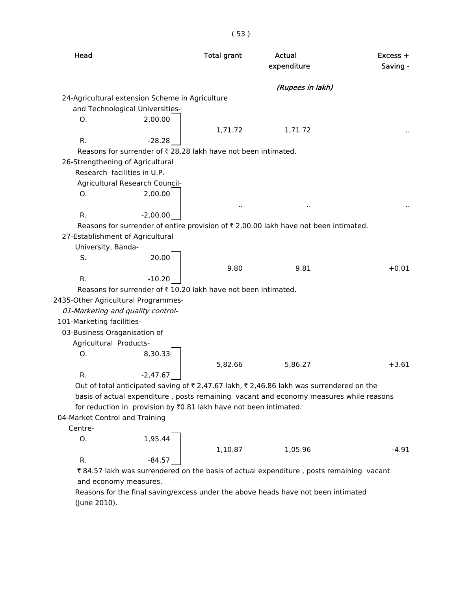| Head                                                                                     | <b>Total grant</b>   | Actual<br>expenditure | $Excess +$<br>Saving - |
|------------------------------------------------------------------------------------------|----------------------|-----------------------|------------------------|
|                                                                                          |                      | (Rupees in lakh)      |                        |
| 24-Agricultural extension Scheme in Agriculture                                          |                      |                       |                        |
| and Technological Universities-                                                          |                      |                       |                        |
| O.<br>2,00.00                                                                            |                      |                       |                        |
|                                                                                          | 1,71.72              | 1,71.72               |                        |
| $R_{\cdot}$<br>$-28.28$                                                                  |                      |                       |                        |
| Reasons for surrender of ₹ 28.28 lakh have not been intimated.                           |                      |                       |                        |
| 26-Strengthening of Agricultural                                                         |                      |                       |                        |
| Research facilities in U.P.                                                              |                      |                       |                        |
| Agricultural Research Council-                                                           |                      |                       |                        |
| Ο.<br>2,00.00                                                                            |                      |                       |                        |
|                                                                                          | $\ddot{\phantom{0}}$ |                       |                        |
| $R_{\cdot}$<br>$-2,00.00$                                                                |                      |                       |                        |
| Reasons for surrender of entire provision of ₹ 2,00.00 lakh have not been intimated.     |                      |                       |                        |
| 27-Establishment of Agricultural                                                         |                      |                       |                        |
| University, Banda-                                                                       |                      |                       |                        |
| S.<br>20.00                                                                              |                      |                       |                        |
|                                                                                          | 9.80                 | 9.81                  | $+0.01$                |
| R.<br>$-10.20$                                                                           |                      |                       |                        |
| Reasons for surrender of $\bar{\tau}$ 10.20 lakh have not been intimated.                |                      |                       |                        |
| 2435-Other Agricultural Programmes-                                                      |                      |                       |                        |
| 01-Marketing and quality control-                                                        |                      |                       |                        |
| 101-Marketing facilities-                                                                |                      |                       |                        |
| 03-Business Oraganisation of                                                             |                      |                       |                        |
| Agricultural Products-                                                                   |                      |                       |                        |
| О.<br>8,30.33                                                                            |                      |                       |                        |
|                                                                                          | 5,82.66              | 5,86.27               | $+3.61$                |
| R.<br>$-2.47.67$                                                                         |                      |                       |                        |
| Out of total anticipated saving of ₹ 2,47.67 lakh, ₹ 2,46.86 lakh was surrendered on the |                      |                       |                        |
| basis of actual expenditure, posts remaining vacant and economy measures while reasons   |                      |                       |                        |
| for reduction in provision by ₹0.81 lakh have not been intimated.                        |                      |                       |                        |
|                                                                                          |                      |                       |                        |

( 53 )

04-Market Control and Training

Centre-

O. 1,95.44

1,10.87 1,05.96 -4.91 R.  $-84.57$ 

₹84.57 lakh was surrendered on the basis of actual expenditure , posts remaining vacant and economy measures.

 Reasons for the final saving/excess under the above heads have not been intimated (June 2010).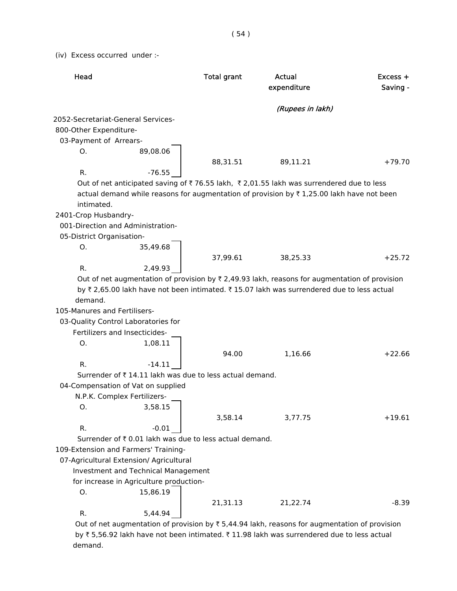(iv) Excess occurred under :-

| Head                                                                                                                 | <b>Total grant</b> | <b>Actual</b><br>expenditure | $Excess +$<br>Saving - |
|----------------------------------------------------------------------------------------------------------------------|--------------------|------------------------------|------------------------|
|                                                                                                                      |                    | (Rupees in lakh)             |                        |
| 2052-Secretariat-General Services-                                                                                   |                    |                              |                        |
| 800-Other Expenditure-                                                                                               |                    |                              |                        |
| 03-Payment of Arrears-                                                                                               |                    |                              |                        |
| 89,08.06<br>Ο.                                                                                                       |                    |                              |                        |
|                                                                                                                      | 88,31.51           | 89,11.21                     | $+79.70$               |
| R.<br>$-76.55$                                                                                                       |                    |                              |                        |
| Out of net anticipated saving of ₹ 76.55 lakh, ₹ 2,01.55 lakh was surrendered due to less                            |                    |                              |                        |
| actual demand while reasons for augmentation of provision by $\overline{\tau}$ 1,25.00 lakh have not been            |                    |                              |                        |
| intimated.                                                                                                           |                    |                              |                        |
| 2401-Crop Husbandry-                                                                                                 |                    |                              |                        |
| 001-Direction and Administration-                                                                                    |                    |                              |                        |
| 05-District Organisation-                                                                                            |                    |                              |                        |
| Ο.<br>35,49.68                                                                                                       |                    |                              |                        |
|                                                                                                                      | 37,99.61           | 38,25.33                     | $+25.72$               |
| R.<br>2,49.93                                                                                                        |                    |                              |                        |
| Out of net augmentation of provision by $\bar{\tau}$ 2,49.93 lakh, reasons for augmentation of provision             |                    |                              |                        |
|                                                                                                                      |                    |                              |                        |
| by ₹ 2,65.00 lakh have not been intimated. ₹ 15.07 lakh was surrendered due to less actual                           |                    |                              |                        |
| demand.                                                                                                              |                    |                              |                        |
| 105-Manures and Fertilisers-                                                                                         |                    |                              |                        |
| 03-Quality Control Laboratories for                                                                                  |                    |                              |                        |
| Fertilizers and Insecticides-                                                                                        |                    |                              |                        |
| 1,08.11<br>O.                                                                                                        |                    |                              |                        |
|                                                                                                                      | 94.00              | 1,16.66                      | $+22.66$               |
| R.<br>$-14.11$                                                                                                       |                    |                              |                        |
| Surrender of ₹14.11 lakh was due to less actual demand.                                                              |                    |                              |                        |
| 04-Compensation of Vat on supplied                                                                                   |                    |                              |                        |
| N.P.K. Complex Fertilizers-                                                                                          |                    |                              |                        |
| Ο.<br>3,58.15                                                                                                        |                    |                              |                        |
|                                                                                                                      | 3,58.14            | 3,77.75                      | $+19.61$               |
| R.<br>$-0.01$                                                                                                        |                    |                              |                        |
| Surrender of ₹0.01 lakh was due to less actual demand.                                                               |                    |                              |                        |
| 109-Extension and Farmers' Training-                                                                                 |                    |                              |                        |
| 07-Agricultural Extension/ Agricultural                                                                              |                    |                              |                        |
| Investment and Technical Management                                                                                  |                    |                              |                        |
| for increase in Agriculture production-                                                                              |                    |                              |                        |
| О.<br>15,86.19                                                                                                       |                    |                              |                        |
|                                                                                                                      |                    |                              | $-8.39$                |
| R.                                                                                                                   | 21,31.13           | 21,22.74                     |                        |
| 5,44.94<br>Out of net augmentation of provision by $\overline{z}$ 5 44 94 lakh reasons for augmentation of provision |                    |                              |                        |

Out of net augmentation of provision by  $\bar{\tau}$  5,44.94 lakh, reasons for augmentation of provision by ₹5,56.92 lakh have not been intimated. ₹11.98 lakh was surrendered due to less actual demand.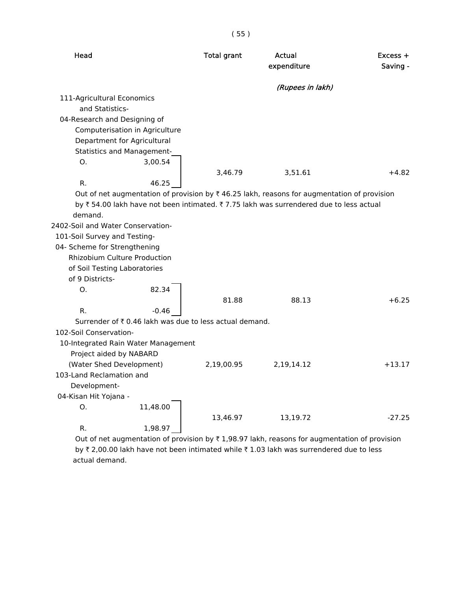|                                                                                                     |          | (55)               |                       |                        |
|-----------------------------------------------------------------------------------------------------|----------|--------------------|-----------------------|------------------------|
| Head                                                                                                |          | <b>Total grant</b> | Actual<br>expenditure | $Excess +$<br>Saving - |
|                                                                                                     |          |                    | (Rupees in lakh)      |                        |
| 111-Agricultural Economics                                                                          |          |                    |                       |                        |
| and Statistics-                                                                                     |          |                    |                       |                        |
| 04-Research and Designing of                                                                        |          |                    |                       |                        |
| Computerisation in Agriculture                                                                      |          |                    |                       |                        |
| Department for Agricultural                                                                         |          |                    |                       |                        |
| <b>Statistics and Management-</b>                                                                   |          |                    |                       |                        |
| Ο.                                                                                                  | 3,00.54  |                    |                       |                        |
|                                                                                                     |          | 3,46.79            | 3,51.61               | $+4.82$                |
| R.                                                                                                  | 46.25    |                    |                       |                        |
| Out of net augmentation of provision by $\bar{x}$ 46.25 lakh, reasons for augmentation of provision |          |                    |                       |                        |
| by ₹ 54.00 lakh have not been intimated. ₹ 7.75 lakh was surrendered due to less actual             |          |                    |                       |                        |
| demand.                                                                                             |          |                    |                       |                        |
| 2402-Soil and Water Conservation-                                                                   |          |                    |                       |                        |
| 101-Soil Survey and Testing-                                                                        |          |                    |                       |                        |
| 04- Scheme for Strengthening                                                                        |          |                    |                       |                        |
| <b>Rhizobium Culture Production</b>                                                                 |          |                    |                       |                        |
| of Soil Testing Laboratories                                                                        |          |                    |                       |                        |
| of 9 Districts-                                                                                     |          |                    |                       |                        |
| O.                                                                                                  | 82.34    |                    |                       |                        |
|                                                                                                     |          | 81.88              | 88.13                 | $+6.25$                |
| R.                                                                                                  | $-0.46$  |                    |                       |                        |
| Surrender of ₹ 0.46 lakh was due to less actual demand.                                             |          |                    |                       |                        |
| 102-Soil Conservation-                                                                              |          |                    |                       |                        |
| 10-Integrated Rain Water Management                                                                 |          |                    |                       |                        |
| Project aided by NABARD                                                                             |          |                    |                       |                        |
| (Water Shed Development)                                                                            |          | 2,19,00.95         | 2,19,14.12            | $+13.17$               |
| 103-Land Reclamation and                                                                            |          |                    |                       |                        |
| Development-                                                                                        |          |                    |                       |                        |
| 04-Kisan Hit Yojana -                                                                               |          |                    |                       |                        |
| Ο.                                                                                                  | 11,48.00 |                    |                       |                        |
|                                                                                                     |          | 13,46.97           | 13,19.72              | $-27.25$               |
| R.                                                                                                  | 1,98.97  |                    |                       |                        |

Out of net augmentation of provision by  $\bar{\tau}$  1,98.97 lakh, reasons for augmentation of provision by ₹ 2,00.00 lakh have not been intimated while ₹ 1.03 lakh was surrendered due to less actual demand.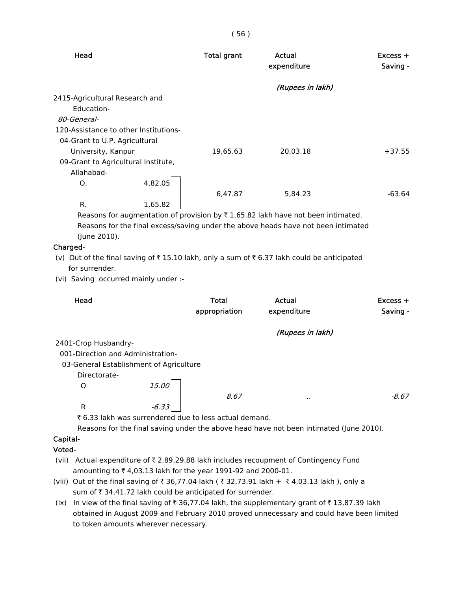| Head                                  |         | <b>Total grant</b> | Actual<br>expenditure                                                                       | $Excess +$<br>Saving - |
|---------------------------------------|---------|--------------------|---------------------------------------------------------------------------------------------|------------------------|
|                                       |         |                    | (Rupees in lakh)                                                                            |                        |
| 2415-Agricultural Research and        |         |                    |                                                                                             |                        |
| Education-                            |         |                    |                                                                                             |                        |
| 80-General-                           |         |                    |                                                                                             |                        |
| 120-Assistance to other Institutions- |         |                    |                                                                                             |                        |
| 04-Grant to U.P. Agricultural         |         |                    |                                                                                             |                        |
| University, Kanpur                    |         | 19,65.63           | 20,03.18                                                                                    | $+37.55$               |
| 09-Grant to Agricultural Institute,   |         |                    |                                                                                             |                        |
| Allahabad-                            |         |                    |                                                                                             |                        |
| O.                                    | 4,82.05 |                    |                                                                                             |                        |
|                                       |         | 6,47.87            | 5,84.23                                                                                     | $-63.64$               |
| R.                                    | 1,65.82 |                    |                                                                                             |                        |
|                                       |         |                    | Reasons for augmentation of provision by $\bar{\tau}$ 1,65.82 lakh have not been intimated. |                        |
|                                       |         |                    | Reasons for the final excess/saving under the above heads have not been intimated           |                        |

(June 2010).

#### Charged-

(v) Out of the final saving of  $\bar{\tau}$  15.10 lakh, only a sum of  $\bar{\tau}$  6.37 lakh could be anticipated for surrender.

(vi) Saving occurred mainly under :-

| Head                                    |         | <b>Total</b><br>appropriation | Actual<br>expenditure | $Excess +$<br>Saving - |
|-----------------------------------------|---------|-------------------------------|-----------------------|------------------------|
|                                         |         |                               | (Rupees in lakh)      |                        |
| 2401-Crop Husbandry-                    |         |                               |                       |                        |
| 001-Direction and Administration-       |         |                               |                       |                        |
| 03-General Establishment of Agriculture |         |                               |                       |                        |
| Directorate-                            |         |                               |                       |                        |
| O                                       | 15.00   |                               |                       |                        |
|                                         |         | 8.67                          | $\sim$                | $-8.67$                |
| R                                       | $-6.33$ |                               |                       |                        |

₹ 6.33 lakh was surrendered due to less actual demand.

Reasons for the final saving under the above head have not been intimated (June 2010).

# Capital-

#### Voted-

- (vii) Actual expenditure of  $\bar{\tau}$  2,89,29.88 lakh includes recoupment of Contingency Fund amounting to  $\bar{z}$  4,03.13 lakh for the year 1991-92 and 2000-01.
- (viii) Out of the final saving of ₹ 36,77.04 lakh ( ₹ 32,73.91 lakh + ₹ 4,03.13 lakh ), only a sum of  $\bar{\tau}$  34,41.72 lakh could be anticipated for surrender.
- (ix) In view of the final saving of  $\bar{z}$  36,77.04 lakh, the supplementary grant of  $\bar{z}$  13,87.39 lakh obtained in August 2009 and February 2010 proved unnecessary and could have been limited to token amounts wherever necessary.

( 56 )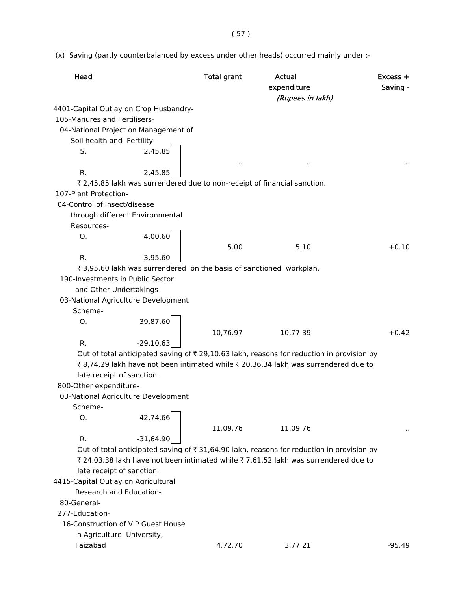( 57 )

(x) Saving (partly counterbalanced by excess under other heads) occurred mainly under :-

| Head                                   |                                                                     | <b>Total grant</b> | Actual<br>expenditure<br>(Rupees in lakh)                                                | $Excess +$<br>Saving - |
|----------------------------------------|---------------------------------------------------------------------|--------------------|------------------------------------------------------------------------------------------|------------------------|
| 4401-Capital Outlay on Crop Husbandry- |                                                                     |                    |                                                                                          |                        |
| 105-Manures and Fertilisers-           |                                                                     |                    |                                                                                          |                        |
| 04-National Project on Management of   |                                                                     |                    |                                                                                          |                        |
| Soil health and Fertility-             |                                                                     |                    |                                                                                          |                        |
| S.                                     | 2,45.85                                                             |                    |                                                                                          |                        |
|                                        |                                                                     |                    |                                                                                          |                        |
| R.                                     | $-2,45.85$                                                          |                    |                                                                                          |                        |
|                                        |                                                                     |                    | ₹ 2,45.85 lakh was surrendered due to non-receipt of financial sanction.                 |                        |
| 107-Plant Protection-                  |                                                                     |                    |                                                                                          |                        |
|                                        |                                                                     |                    |                                                                                          |                        |
| 04-Control of Insect/disease           |                                                                     |                    |                                                                                          |                        |
| through different Environmental        |                                                                     |                    |                                                                                          |                        |
| Resources-                             |                                                                     |                    |                                                                                          |                        |
| O.                                     | 4,00.60                                                             |                    |                                                                                          |                        |
|                                        |                                                                     | 5.00               | 5.10                                                                                     | $+0.10$                |
| R.                                     | $-3,95.60$                                                          |                    |                                                                                          |                        |
|                                        | ₹ 3,95.60 lakh was surrendered on the basis of sanctioned workplan. |                    |                                                                                          |                        |
| 190-Investments in Public Sector       |                                                                     |                    |                                                                                          |                        |
| and Other Undertakings-                |                                                                     |                    |                                                                                          |                        |
| 03-National Agriculture Development    |                                                                     |                    |                                                                                          |                        |
| Scheme-                                |                                                                     |                    |                                                                                          |                        |
| Ο.                                     | 39,87.60                                                            |                    |                                                                                          |                        |
|                                        |                                                                     | 10,76.97           | 10,77.39                                                                                 | $+0.42$                |
| R.                                     | $-29,10.63$                                                         |                    |                                                                                          |                        |
|                                        |                                                                     |                    | Out of total anticipated saving of ₹29,10.63 lakh, reasons for reduction in provision by |                        |
|                                        |                                                                     |                    | ₹8,74.29 lakh have not been intimated while ₹20,36.34 lakh was surrendered due to        |                        |
| late receipt of sanction.              |                                                                     |                    |                                                                                          |                        |
| 800-Other expenditure-                 |                                                                     |                    |                                                                                          |                        |
| 03-National Agriculture Development    |                                                                     |                    |                                                                                          |                        |
| Scheme-                                |                                                                     |                    |                                                                                          |                        |
| O.                                     | 42,74.66                                                            |                    |                                                                                          |                        |
|                                        |                                                                     | 11,09.76           | 11,09.76                                                                                 |                        |
| R.                                     | $-31,64.90$                                                         |                    |                                                                                          |                        |
|                                        |                                                                     |                    | Out of total anticipated saving of ₹31,64.90 lakh, reasons for reduction in provision by |                        |
|                                        |                                                                     |                    | ₹ 24,03.38 lakh have not been intimated while ₹ 7,61.52 lakh was surrendered due to      |                        |
| late receipt of sanction.              |                                                                     |                    |                                                                                          |                        |
| 4415-Capital Outlay on Agricultural    |                                                                     |                    |                                                                                          |                        |
| Research and Education-                |                                                                     |                    |                                                                                          |                        |
|                                        |                                                                     |                    |                                                                                          |                        |
| 80-General-                            |                                                                     |                    |                                                                                          |                        |
| 277-Education-                         |                                                                     |                    |                                                                                          |                        |
| 16-Construction of VIP Guest House     |                                                                     |                    |                                                                                          |                        |
| in Agriculture University,             |                                                                     |                    |                                                                                          |                        |
| Faizabad                               |                                                                     | 4,72.70            | 3,77.21                                                                                  | $-95.49$               |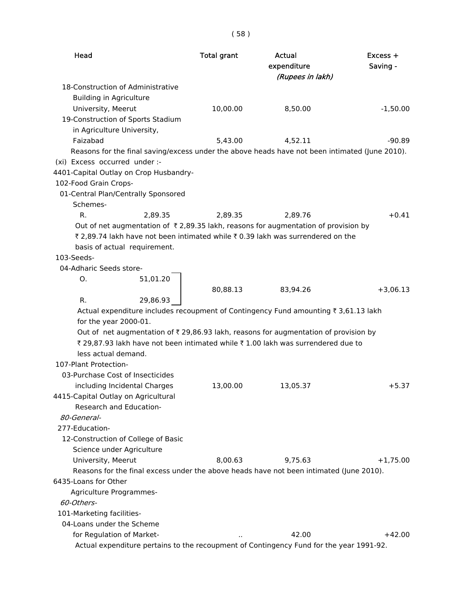| Head                                                                                           | <b>Total grant</b> | <b>Actual</b><br>expenditure<br>(Rupees in lakh)                                                | Excess +<br>Saving - |
|------------------------------------------------------------------------------------------------|--------------------|-------------------------------------------------------------------------------------------------|----------------------|
| 18-Construction of Administrative                                                              |                    |                                                                                                 |                      |
| <b>Building in Agriculture</b>                                                                 |                    |                                                                                                 |                      |
| University, Meerut                                                                             | 10,00.00           | 8,50.00                                                                                         | $-1,50.00$           |
| 19-Construction of Sports Stadium                                                              |                    |                                                                                                 |                      |
| in Agriculture University,                                                                     |                    |                                                                                                 |                      |
| Faizabad                                                                                       | 5,43.00            | 4,52.11                                                                                         | $-90.89$             |
| Reasons for the final saving/excess under the above heads have not been intimated (June 2010). |                    |                                                                                                 |                      |
| (xi) Excess occurred under :-                                                                  |                    |                                                                                                 |                      |
| 4401-Capital Outlay on Crop Husbandry-                                                         |                    |                                                                                                 |                      |
| 102-Food Grain Crops-                                                                          |                    |                                                                                                 |                      |
| 01-Central Plan/Centrally Sponsored                                                            |                    |                                                                                                 |                      |
| Schemes-                                                                                       |                    |                                                                                                 |                      |
| $R_{\cdot}$<br>2,89.35                                                                         | 2,89.35            | 2.89.76                                                                                         | $+0.41$              |
| Out of net augmentation of $\bar{\tau}$ 2,89.35 lakh, reasons for augmentation of provision by |                    |                                                                                                 |                      |
| ₹ 2,89.74 lakh have not been intimated while ₹ 0.39 lakh was surrendered on the                |                    |                                                                                                 |                      |
| basis of actual requirement.                                                                   |                    |                                                                                                 |                      |
| $103-Seeds-$                                                                                   |                    |                                                                                                 |                      |
| 04-Adharic Seeds store-                                                                        |                    |                                                                                                 |                      |
| 51,01.20<br>O.                                                                                 |                    |                                                                                                 |                      |
|                                                                                                | 80,88.13           | 83,94.26                                                                                        | $+3,06.13$           |
| R.<br>29,86.93                                                                                 |                    |                                                                                                 |                      |
|                                                                                                |                    | Actual expenditure includes recoupment of Contingency Fund amounting $\bar{\tau}$ 3,61.13 lakh  |                      |
| for the year 2000-01.                                                                          |                    |                                                                                                 |                      |
|                                                                                                |                    | Out of net augmentation of $\bar{\tau}$ 29,86.93 lakh, reasons for augmentation of provision by |                      |
|                                                                                                |                    | ₹ 29,87.93 lakh have not been intimated while ₹ 1.00 lakh was surrendered due to                |                      |
| less actual demand.                                                                            |                    |                                                                                                 |                      |
| 107-Plant Protection-                                                                          |                    |                                                                                                 |                      |
| 03-Purchase Cost of Insecticides                                                               |                    |                                                                                                 |                      |
| including Incidental Charges                                                                   | 13,00.00           | 13,05.37                                                                                        | $+5.37$              |
| 4415-Capital Outlay on Agricultural                                                            |                    |                                                                                                 |                      |
| Research and Education-                                                                        |                    |                                                                                                 |                      |
| 80-General-                                                                                    |                    |                                                                                                 |                      |
| 277-Education-                                                                                 |                    |                                                                                                 |                      |
| 12-Construction of College of Basic                                                            |                    |                                                                                                 |                      |
| Science under Agriculture                                                                      |                    |                                                                                                 |                      |
| University, Meerut                                                                             | 8,00.63            | 9,75.63                                                                                         | $+1,75.00$           |
| Reasons for the final excess under the above heads have not been intimated (June 2010).        |                    |                                                                                                 |                      |
| 6435-Loans for Other                                                                           |                    |                                                                                                 |                      |
| Agriculture Programmes-                                                                        |                    |                                                                                                 |                      |
| 60-Others-                                                                                     |                    |                                                                                                 |                      |
| 101-Marketing facilities-                                                                      |                    |                                                                                                 |                      |
| 04-Loans under the Scheme                                                                      |                    |                                                                                                 |                      |
| for Regulation of Market-                                                                      |                    | 42.00                                                                                           | $+42.00$             |
| Actual expenditure pertains to the recoupment of Contingency Fund for the year 1991-92.        |                    |                                                                                                 |                      |
|                                                                                                |                    |                                                                                                 |                      |

# ( 58 )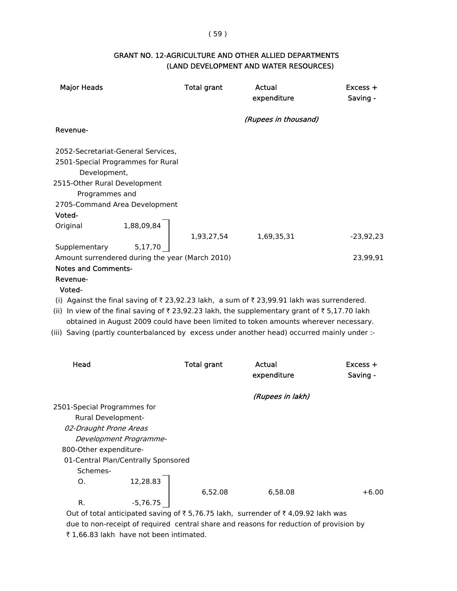#### ( 59 )

#### GRANT NO. 12-AGRICULTURE AND OTHER ALLIED DEPARTMENTS (LAND DEVELOPMENT AND WATER RESOURCES)

| <b>Major Heads</b>                                |                                     | <b>Total grant</b> | <b>Actual</b><br>expenditure                                                                                                   | Excess +<br>Saving - |
|---------------------------------------------------|-------------------------------------|--------------------|--------------------------------------------------------------------------------------------------------------------------------|----------------------|
|                                                   |                                     |                    | (Rupees in thousand)                                                                                                           |                      |
| Revenue-                                          |                                     |                    |                                                                                                                                |                      |
| 2052-Secretariat-General Services,                |                                     |                    |                                                                                                                                |                      |
| 2501-Special Programmes for Rural<br>Development, |                                     |                    |                                                                                                                                |                      |
| 2515-Other Rural Development<br>Programmes and    |                                     |                    |                                                                                                                                |                      |
| 2705-Command Area Development                     |                                     |                    |                                                                                                                                |                      |
| Voted-                                            |                                     |                    |                                                                                                                                |                      |
| Original                                          | 1,88,09,84                          | 1,93,27,54         | 1,69,35,31                                                                                                                     | $-23,92,23$          |
| Supplementary                                     | 5,17,70                             |                    |                                                                                                                                |                      |
| Amount surrendered during the year (March 2010)   |                                     |                    |                                                                                                                                | 23,99,91             |
| <b>Notes and Comments-</b>                        |                                     |                    |                                                                                                                                |                      |
| Revenue-                                          |                                     |                    |                                                                                                                                |                      |
| Voted-                                            |                                     |                    |                                                                                                                                |                      |
|                                                   |                                     |                    | (i) Against the final saving of ₹23,92.23 lakh, a sum of ₹23,99.91 lakh was surrendered.                                       |                      |
|                                                   |                                     |                    | (ii) In view of the final saving of $\overline{\tau}$ 23,92.23 lakh, the supplementary grant of $\overline{\tau}$ 5,17.70 lakh |                      |
|                                                   |                                     |                    | obtained in August 2009 could have been limited to token amounts wherever necessary.                                           |                      |
|                                                   |                                     |                    | (iii) Saving (partly counterbalanced by excess under another head) occurred mainly under :-                                    |                      |
| Head                                              |                                     | <b>Total grant</b> | Actual                                                                                                                         | $Excess +$           |
|                                                   |                                     |                    | expenditure                                                                                                                    | Saving -             |
|                                                   |                                     |                    | (Rupees in lakh)                                                                                                               |                      |
| 2501-Special Programmes for                       |                                     |                    |                                                                                                                                |                      |
| <b>Rural Development-</b>                         |                                     |                    |                                                                                                                                |                      |
| 02-Draught Prone Areas                            |                                     |                    |                                                                                                                                |                      |
|                                                   | Development Programme-              |                    |                                                                                                                                |                      |
| 800-Other expenditure-                            |                                     |                    |                                                                                                                                |                      |
| Schemes-                                          | 01-Central Plan/Centrally Sponsored |                    |                                                                                                                                |                      |
| 0.                                                | 12,28.83                            |                    |                                                                                                                                |                      |
|                                                   |                                     | 6,52.08            | 6,58.08                                                                                                                        | $+6.00$              |
| R.                                                | $-5,76.75$                          |                    |                                                                                                                                |                      |

Out of total anticipated saving of  $\bar{z}$  5,76.75 lakh, surrender of  $\bar{z}$  4,09.92 lakh was due to non-receipt of required central share and reasons for reduction of provision by ₹ 1,66.83 lakh have not been intimated.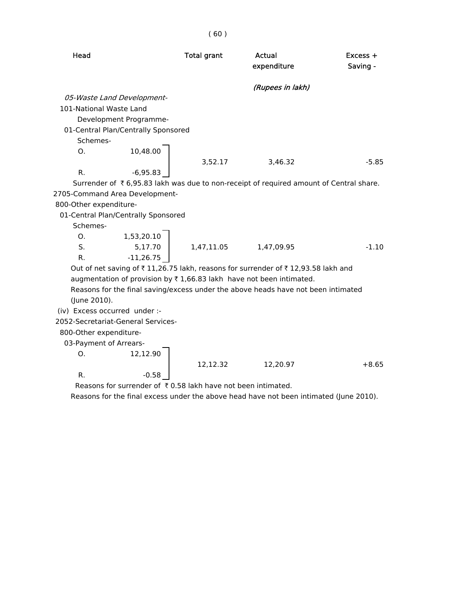Head **Total grant** Actual **Actual** Excess + expenditure Saving - (Rupees in lakh) 05-Waste Land Development- 101-National Waste Land Development Programme- 01-Central Plan/Centrally Sponsored Schemes-O. 10,48.00 3,52.17 3,46.32 -5.85 R. -6,95.83 Surrender of  $\bar{\tau}$  6,95.83 lakh was due to non-receipt of required amount of Central share. 2705-Command Area Development- 800-Other expenditure-

01-Central Plan/Centrally Sponsored

Schemes-

O. 1,53,20.10 S. 5,17.70 1,47,11.05 1,47,09.95 -1.10 R. -11,26.75

Out of net saving of  $\bar{\tau}$  11,26.75 lakh, reasons for surrender of  $\bar{\tau}$  12,93.58 lakh and augmentation of provision by  $\bar{\tau}$  1,66.83 lakh have not been intimated.

 Reasons for the final saving/excess under the above heads have not been intimated (June 2010).

(iv) Excess occurred under :-

2052-Secretariat-General Services-

R.  $-0.58$ 

800-Other expenditure-

03-Payment of Arrears-

O. 12,12.90

12,12.32 12,20.97 +8.65

Reasons for surrender of  $\bar{\tau}$  0.58 lakh have not been intimated.

Reasons for the final excess under the above head have not been intimated (June 2010).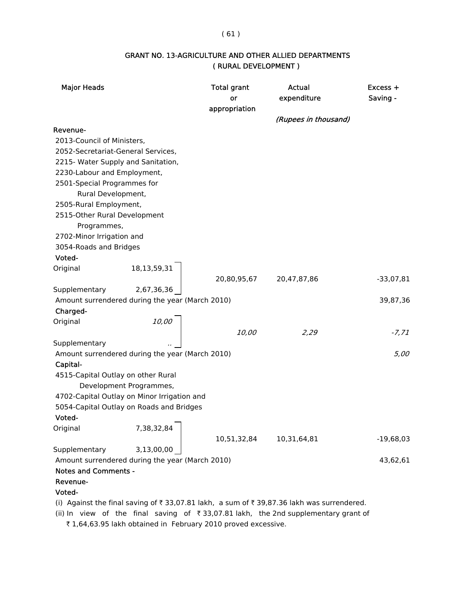#### ( 61 )

# GRANT NO. 13-AGRICULTURE AND OTHER ALLIED DEPARTMENTS ( RURAL DEVELOPMENT )

| <b>Major Heads</b>                 |                                                 | <b>Total grant</b><br>or<br>appropriation | Actual<br>expenditure<br>(Rupees in thousand) | Excess +<br>Saving - |
|------------------------------------|-------------------------------------------------|-------------------------------------------|-----------------------------------------------|----------------------|
| Revenue-                           |                                                 |                                           |                                               |                      |
| 2013-Council of Ministers,         |                                                 |                                           |                                               |                      |
| 2052-Secretariat-General Services, |                                                 |                                           |                                               |                      |
| 2215- Water Supply and Sanitation, |                                                 |                                           |                                               |                      |
| 2230-Labour and Employment,        |                                                 |                                           |                                               |                      |
| 2501-Special Programmes for        |                                                 |                                           |                                               |                      |
| Rural Development,                 |                                                 |                                           |                                               |                      |
| 2505-Rural Employment,             |                                                 |                                           |                                               |                      |
| 2515-Other Rural Development       |                                                 |                                           |                                               |                      |
| Programmes,                        |                                                 |                                           |                                               |                      |
| 2702-Minor Irrigation and          |                                                 |                                           |                                               |                      |
| 3054-Roads and Bridges             |                                                 |                                           |                                               |                      |
| Voted-                             |                                                 |                                           |                                               |                      |
| Original                           | 18, 13, 59, 31                                  |                                           |                                               |                      |
|                                    |                                                 | 20,80,95,67                               | 20,47,87,86                                   | $-33,07,81$          |
| Supplementary                      | 2,67,36,36                                      |                                           |                                               |                      |
|                                    | Amount surrendered during the year (March 2010) |                                           |                                               | 39,87,36             |
| Charged-                           |                                                 |                                           |                                               |                      |
| Original                           | 10,00                                           |                                           |                                               |                      |
|                                    |                                                 | 10,00                                     | 2,29                                          | $-7, 71$             |
| Supplementary                      |                                                 |                                           |                                               |                      |
|                                    | Amount surrendered during the year (March 2010) |                                           |                                               | 5,00                 |
| Capital-                           |                                                 |                                           |                                               |                      |
| 4515-Capital Outlay on other Rural |                                                 |                                           |                                               |                      |
|                                    | Development Programmes,                         |                                           |                                               |                      |
|                                    | 4702-Capital Outlay on Minor Irrigation and     |                                           |                                               |                      |
|                                    | 5054-Capital Outlay on Roads and Bridges        |                                           |                                               |                      |
| Voted-                             |                                                 |                                           |                                               |                      |
| Original                           | 7,38,32,84                                      |                                           |                                               |                      |
|                                    |                                                 | 10,51,32,84                               | 10,31,64,81                                   | $-19,68,03$          |
| Supplementary                      | 3,13,00,00                                      |                                           |                                               |                      |
|                                    | Amount surrendered during the year (March 2010) |                                           |                                               | 43,62,61             |
| <b>Notes and Comments -</b>        |                                                 |                                           |                                               |                      |
| Revenue-<br>Voted-                 |                                                 |                                           |                                               |                      |
|                                    |                                                 |                                           |                                               |                      |

(i) Against the final saving of  $\bar{\tau}$  33,07.81 lakh, a sum of  $\bar{\tau}$  39,87.36 lakh was surrendered.

(ii) In view of the final saving of  $\bar{\tau}$  33,07.81 lakh, the 2nd supplementary grant of

₹ 1,64,63.95 lakh obtained in February 2010 proved excessive.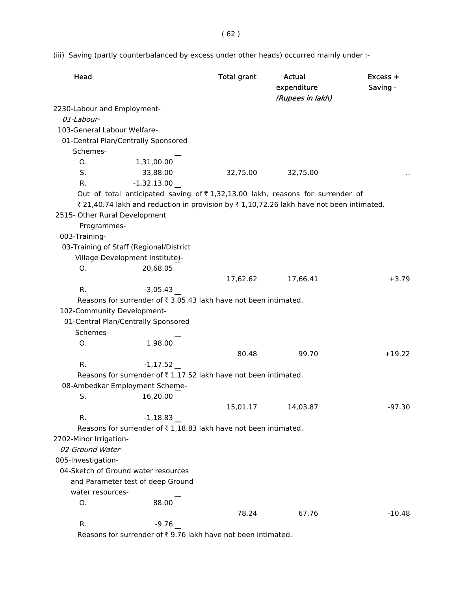( 62 )

(iii) Saving (partly counterbalanced by excess under other heads) occurred mainly under :-

| Head                          |                                                                                                | <b>Total grant</b> | Actual<br>expenditure<br>(Rupees in lakh) | Excess +<br>Saving - |
|-------------------------------|------------------------------------------------------------------------------------------------|--------------------|-------------------------------------------|----------------------|
| 2230-Labour and Employment-   |                                                                                                |                    |                                           |                      |
| 01-Labour-                    |                                                                                                |                    |                                           |                      |
| 103-General Labour Welfare-   |                                                                                                |                    |                                           |                      |
|                               | 01-Central Plan/Centrally Sponsored                                                            |                    |                                           |                      |
| Schemes-                      |                                                                                                |                    |                                           |                      |
| O.                            | 1,31,00.00                                                                                     |                    |                                           |                      |
| S.                            | 33,88.00                                                                                       | 32,75.00           | 32,75.00                                  |                      |
| R.                            | $-1,32,13.00$                                                                                  |                    |                                           |                      |
|                               | Out of total anticipated saving of $\overline{\tau}$ 1,32,13.00 lakh, reasons for surrender of |                    |                                           |                      |
|                               | ₹ 21,40.74 lakh and reduction in provision by ₹ 1,10,72.26 lakh have not been intimated.       |                    |                                           |                      |
| 2515- Other Rural Development |                                                                                                |                    |                                           |                      |
| Programmes-                   |                                                                                                |                    |                                           |                      |
| 003-Training-                 |                                                                                                |                    |                                           |                      |
|                               | 03-Training of Staff (Regional/District                                                        |                    |                                           |                      |
|                               | Village Development Institute)-                                                                |                    |                                           |                      |
| O.                            | 20,68.05                                                                                       |                    |                                           |                      |
|                               |                                                                                                | 17,62.62           | 17,66.41                                  | $+3.79$              |
| R.                            | $-3,05.43$                                                                                     |                    |                                           |                      |
|                               | Reasons for surrender of ₹ 3,05.43 lakh have not been intimated.                               |                    |                                           |                      |
| 102-Community Development-    |                                                                                                |                    |                                           |                      |
|                               | 01-Central Plan/Centrally Sponsored                                                            |                    |                                           |                      |
| Schemes-                      |                                                                                                |                    |                                           |                      |
| O.                            | 1,98.00                                                                                        |                    |                                           |                      |
|                               |                                                                                                | 80.48              | 99.70                                     | $+19.22$             |
| R.                            | $-1, 17.52$                                                                                    |                    |                                           |                      |
|                               | Reasons for surrender of ₹1,17.52 lakh have not been intimated.                                |                    |                                           |                      |
|                               | 08-Ambedkar Employment Scheme-                                                                 |                    |                                           |                      |
| S.                            | 16,20.00                                                                                       |                    |                                           |                      |
|                               |                                                                                                | 15,01.17           | 14,03.87                                  | $-97.30$             |
| R.                            | $-1,18.83$                                                                                     |                    |                                           |                      |
|                               | Reasons for surrender of ₹1,18.83 lakh have not been intimated.                                |                    |                                           |                      |
| 2702-Minor Irrigation-        |                                                                                                |                    |                                           |                      |
| 02-Ground Water-              |                                                                                                |                    |                                           |                      |
| 005-Investigation-            |                                                                                                |                    |                                           |                      |
|                               | 04-Sketch of Ground water resources                                                            |                    |                                           |                      |
|                               | and Parameter test of deep Ground                                                              |                    |                                           |                      |
| water resources-              |                                                                                                |                    |                                           |                      |
| O.                            | 88.00                                                                                          |                    |                                           |                      |
|                               |                                                                                                | 78.24              | 67.76                                     | $-10.48$             |
| R.                            | $-9.76$                                                                                        |                    |                                           |                      |

Reasons for surrender of  $\bar{\tau}$  9.76 lakh have not been intimated.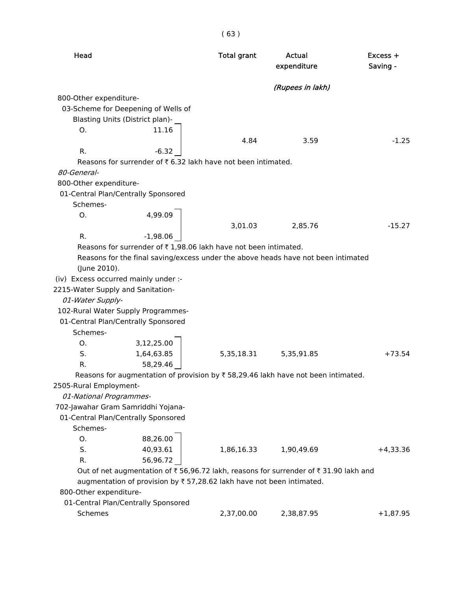| Head                              |                                                                                     | <b>Total grant</b> | Actual<br>expenditure | Excess +<br>Saving - |
|-----------------------------------|-------------------------------------------------------------------------------------|--------------------|-----------------------|----------------------|
|                                   |                                                                                     |                    | (Rupees in lakh)      |                      |
| 800-Other expenditure-            |                                                                                     |                    |                       |                      |
|                                   | 03-Scheme for Deepening of Wells of                                                 |                    |                       |                      |
|                                   | Blasting Units (District plan)-                                                     |                    |                       |                      |
| O <sub>1</sub>                    | 11.16                                                                               |                    |                       |                      |
|                                   |                                                                                     | 4.84               | 3.59                  | $-1.25$              |
| R.                                | $-6.32$                                                                             |                    |                       |                      |
|                                   | Reasons for surrender of ₹6.32 lakh have not been intimated.                        |                    |                       |                      |
| 80-General-                       |                                                                                     |                    |                       |                      |
| 800-Other expenditure-            |                                                                                     |                    |                       |                      |
|                                   | 01-Central Plan/Centrally Sponsored                                                 |                    |                       |                      |
| Schemes-                          |                                                                                     |                    |                       |                      |
| O.                                | 4,99.09                                                                             |                    |                       |                      |
|                                   |                                                                                     | 3,01.03            | 2,85.76               | $-15.27$             |
| R.                                | $-1,98.06$                                                                          |                    |                       |                      |
|                                   | Reasons for surrender of ₹1,98.06 lakh have not been intimated.                     |                    |                       |                      |
|                                   | Reasons for the final saving/excess under the above heads have not been intimated   |                    |                       |                      |
| (June 2010).                      |                                                                                     |                    |                       |                      |
|                                   | (iv) Excess occurred mainly under :-                                                |                    |                       |                      |
| 2215-Water Supply and Sanitation- |                                                                                     |                    |                       |                      |
| 01-Water Supply-                  |                                                                                     |                    |                       |                      |
|                                   | 102-Rural Water Supply Programmes-                                                  |                    |                       |                      |
|                                   | 01-Central Plan/Centrally Sponsored                                                 |                    |                       |                      |
| Schemes-                          |                                                                                     |                    |                       |                      |
| O.                                | 3,12,25.00                                                                          |                    |                       |                      |
| S.                                | 1,64,63.85                                                                          | 5,35,18.31         | 5,35,91.85            | $+73.54$             |
| R.                                | 58,29.46                                                                            |                    |                       |                      |
|                                   | Reasons for augmentation of provision by ₹ 58,29.46 lakh have not been intimated.   |                    |                       |                      |
| 2505-Rural Employment-            |                                                                                     |                    |                       |                      |
| 01-National Programmes-           |                                                                                     |                    |                       |                      |
|                                   | 702-Jawahar Gram Samriddhi Yojana-                                                  |                    |                       |                      |
|                                   | 01-Central Plan/Centrally Sponsored                                                 |                    |                       |                      |
| Schemes-                          |                                                                                     |                    |                       |                      |
| О.                                | 88,26.00                                                                            |                    |                       |                      |
| S.                                | 40,93.61                                                                            | 1,86,16.33         | 1,90,49.69            | $+4,33.36$           |
| R.                                | 56,96.72                                                                            |                    |                       |                      |
|                                   | Out of net augmentation of ₹56,96.72 lakh, reasons for surrender of ₹31.90 lakh and |                    |                       |                      |
|                                   | augmentation of provision by ₹ 57,28.62 lakh have not been intimated.               |                    |                       |                      |
| 800-Other expenditure-            |                                                                                     |                    |                       |                      |
|                                   | 01-Central Plan/Centrally Sponsored                                                 |                    |                       |                      |
| Schemes                           |                                                                                     | 2,37,00.00         | 2,38,87.95            | $+1,87.95$           |

( 63 )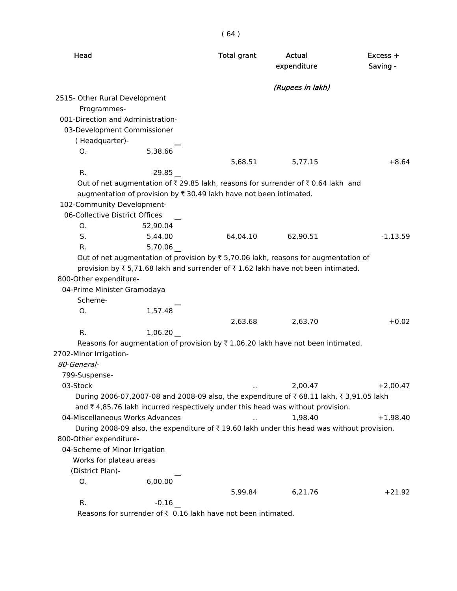| Head                              |                                                                                                         | <b>Total grant</b> | Actual<br>expenditure | Excess +<br>Saving - |
|-----------------------------------|---------------------------------------------------------------------------------------------------------|--------------------|-----------------------|----------------------|
|                                   |                                                                                                         |                    | (Rupees in lakh)      |                      |
| 2515- Other Rural Development     |                                                                                                         |                    |                       |                      |
| Programmes-                       |                                                                                                         |                    |                       |                      |
| 001-Direction and Administration- |                                                                                                         |                    |                       |                      |
| 03-Development Commissioner       |                                                                                                         |                    |                       |                      |
| (Headquarter)-                    |                                                                                                         |                    |                       |                      |
| 0.                                | 5,38.66                                                                                                 |                    |                       |                      |
|                                   |                                                                                                         | 5,68.51            | 5,77.15               | $+8.64$              |
| R.                                | 29.85                                                                                                   |                    |                       |                      |
|                                   | Out of net augmentation of $\bar{\tau}$ 29.85 lakh, reasons for surrender of $\bar{\tau}$ 0.64 lakh and |                    |                       |                      |
|                                   | augmentation of provision by ₹ 30.49 lakh have not been intimated.                                      |                    |                       |                      |
| 102-Community Development-        |                                                                                                         |                    |                       |                      |
| 06-Collective District Offices    |                                                                                                         |                    |                       |                      |
| O.                                | 52,90.04                                                                                                |                    |                       |                      |
| S.                                | 5,44.00                                                                                                 | 64,04.10           | 62,90.51              | $-1,13.59$           |
| R.                                | 5,70.06                                                                                                 |                    |                       |                      |
|                                   | Out of net augmentation of provision by ₹ 5,70.06 lakh, reasons for augmentation of                     |                    |                       |                      |
|                                   | provision by ₹5,71.68 lakh and surrender of ₹1.62 lakh have not been intimated.                         |                    |                       |                      |
| 800-Other expenditure-            |                                                                                                         |                    |                       |                      |
| 04-Prime Minister Gramodaya       |                                                                                                         |                    |                       |                      |
| Scheme-                           |                                                                                                         |                    |                       |                      |
| O.                                | 1,57.48                                                                                                 |                    |                       |                      |
|                                   |                                                                                                         | 2,63.68            | 2,63.70               | $+0.02$              |
| R.                                | 1,06.20                                                                                                 |                    |                       |                      |
|                                   | Reasons for augmentation of provision by $\overline{x}$ 1,06.20 lakh have not been intimated.           |                    |                       |                      |
| 2702-Minor Irrigation-            |                                                                                                         |                    |                       |                      |
| 80-General-                       |                                                                                                         |                    |                       |                      |
| 799-Suspense-                     |                                                                                                         |                    |                       |                      |
| 03-Stock                          |                                                                                                         |                    | 2,00.47               | $+2,00.47$           |
|                                   | During 2006-07,2007-08 and 2008-09 also, the expenditure of ₹68.11 lakh, ₹3,91.05 lakh                  |                    |                       |                      |
|                                   | and ₹4,85.76 lakh incurred respectively under this head was without provision.                          |                    |                       |                      |
| 04-Miscellaneous Works Advances   |                                                                                                         |                    | 1,98.40               | $+1,98.40$           |
|                                   | During 2008-09 also, the expenditure of ₹19.60 lakh under this head was without provision.              |                    |                       |                      |
| 800-Other expenditure-            |                                                                                                         |                    |                       |                      |
| 04-Scheme of Minor Irrigation     |                                                                                                         |                    |                       |                      |
| Works for plateau areas           |                                                                                                         |                    |                       |                      |
| (District Plan)-                  |                                                                                                         |                    |                       |                      |
| 0.                                | 6,00.00                                                                                                 |                    |                       |                      |
|                                   |                                                                                                         | 5,99.84            | 6,21.76               | $+21.92$             |
| R.                                | $-0.16$<br>Beacons for surrender of $\overline{z}$ , 0, 16, lakh have not hean intimated                |                    |                       |                      |
|                                   |                                                                                                         |                    |                       |                      |

Reasons for surrender of  $\bar{\tau}$  0.16 lakh have not been intimated.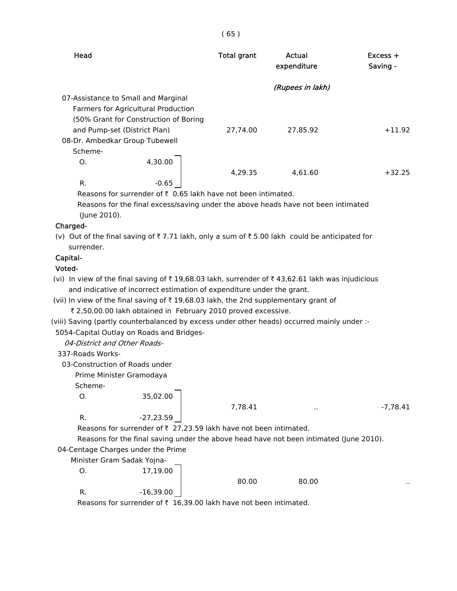| Head                                                                                                       | <b>Total grant</b> | Actual<br>expenditure | $Excess +$<br>Saving - |
|------------------------------------------------------------------------------------------------------------|--------------------|-----------------------|------------------------|
|                                                                                                            |                    | (Rupees in lakh)      |                        |
| 07-Assistance to Small and Marginal                                                                        |                    |                       |                        |
| Farmers for Agricultural Production                                                                        |                    |                       |                        |
| (50% Grant for Construction of Boring                                                                      |                    |                       |                        |
| and Pump-set (District Plan)                                                                               | 27,74.00           | 27.85.92              | $+11.92$               |
| 08-Dr. Ambedkar Group Tubewell                                                                             |                    |                       |                        |
| Scheme-                                                                                                    |                    |                       |                        |
| 4,30.00<br>O.                                                                                              |                    |                       |                        |
|                                                                                                            | 4,29.35            | 4,61.60               | $+32.25$               |
| $-0.65$<br>R.                                                                                              |                    |                       |                        |
| Reasons for surrender of $\bar{\tau}$ 0.65 lakh have not been intimated.                                   |                    |                       |                        |
| Reasons for the final excess/saving under the above heads have not been intimated                          |                    |                       |                        |
| (June 2010).                                                                                               |                    |                       |                        |
| Charged-                                                                                                   |                    |                       |                        |
| (v) Out of the final saving of ₹7.71 lakh, only a sum of ₹5.00 lakh could be anticipated for<br>surrender. |                    |                       |                        |
| Capital-                                                                                                   |                    |                       |                        |
| Voted-                                                                                                     |                    |                       |                        |
| (vi) In view of the final saving of ₹19,68.03 lakh, surrender of ₹43,62.61 lakh was injudicious            |                    |                       |                        |
| and indicative of incorrect estimation of expenditure under the grant.                                     |                    |                       |                        |
| (vii) In view of the final saving of ₹19,68.03 lakh, the 2nd supplementary grant of                        |                    |                       |                        |
|                                                                                                            |                    |                       |                        |

( 65 )

₹ 2,50,00.00 lakh obtained in February 2010 proved excessive.

(viii) Saving (partly counterbalanced by excess under other heads) occurred mainly under :-

5054-Capital Outlay on Roads and Bridges-

04-District and Other Roads-

337-Roads Works-

03-Construction of Roads under

Prime Minister Gramodaya

Scheme-

O. 35,02.00

R.  $-27,23.59$ 

7,78.41 .. -7,78.41

Reasons for surrender of  $\bar{\tau}$  27,23.59 lakh have not been intimated.

Reasons for the final saving under the above head have not been intimated (June 2010).

 04-Centage Charges under the Prime Minister Gram Sadak Yojr

|        | viinister Gram Sadak Yojna- |       |       |           |
|--------|-----------------------------|-------|-------|-----------|
| O.     | 17,19.00                    |       |       |           |
|        |                             | 80.00 | 80.00 | $\cdot$ . |
| R<br>. | $-16,39.00$                 |       |       |           |
|        |                             |       |       |           |

Reasons for surrender of  $\bar{\tau}$  16,39.00 lakh have not been intimated.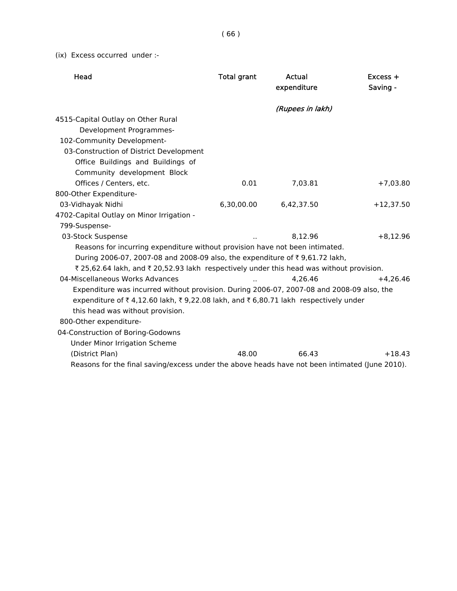( 66 )

(ix) Excess occurred under :-

| Head                                                                                           | <b>Total grant</b> | Actual<br>expenditure | $Excess +$<br>Saving - |
|------------------------------------------------------------------------------------------------|--------------------|-----------------------|------------------------|
|                                                                                                |                    | (Rupees in lakh)      |                        |
| 4515-Capital Outlay on Other Rural                                                             |                    |                       |                        |
| Development Programmes-                                                                        |                    |                       |                        |
| 102-Community Development-                                                                     |                    |                       |                        |
| 03-Construction of District Development                                                        |                    |                       |                        |
| Office Buildings and Buildings of                                                              |                    |                       |                        |
| Community development Block                                                                    |                    |                       |                        |
| Offices / Centers, etc.                                                                        | 0.01               | 7,03.81               | $+7,03.80$             |
| 800-Other Expenditure-                                                                         |                    |                       |                        |
| 03-Vidhayak Nidhi                                                                              | 6,30,00.00         | 6,42,37.50            | $+12,37.50$            |
| 4702-Capital Outlay on Minor Irrigation -                                                      |                    |                       |                        |
| 799-Suspense-                                                                                  |                    |                       |                        |
| 03-Stock Suspense                                                                              |                    | 8,12.96               | $+8,12.96$             |
| Reasons for incurring expenditure without provision have not been intimated.                   |                    |                       |                        |
| During 2006-07, 2007-08 and 2008-09 also, the expenditure of ₹9,61.72 lakh,                    |                    |                       |                        |
| ₹ 25,62.64 lakh, and ₹ 20,52.93 lakh respectively under this head was without provision.       |                    |                       |                        |
| 04-Miscellaneous Works Advances                                                                |                    | 4,26.46               | $+4,26.46$             |
| Expenditure was incurred without provision. During 2006-07, 2007-08 and 2008-09 also, the      |                    |                       |                        |
| expenditure of ₹4,12.60 lakh, ₹9,22.08 lakh, and ₹6,80.71 lakh respectively under              |                    |                       |                        |
| this head was without provision.                                                               |                    |                       |                        |
| 800-Other expenditure-                                                                         |                    |                       |                        |
| 04-Construction of Boring-Godowns                                                              |                    |                       |                        |
| <b>Under Minor Irrigation Scheme</b>                                                           |                    |                       |                        |
| (District Plan)                                                                                | 48.00              | 66.43                 | $+18.43$               |
| Reasons for the final saving/excess under the above heads have not been intimated (June 2010). |                    |                       |                        |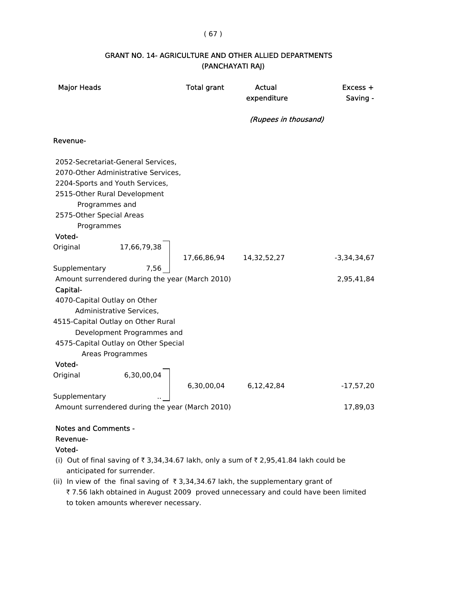#### ( 67 )

### GRANT NO. 14- AGRICULTURE AND OTHER ALLIED DEPARTMENTS (PANCHAYATI RAJ)

| <b>Major Heads</b>                                                                                                                                                                                                                                                                         | <b>Total grant</b>        | Actual<br>expenditure | $Excess +$<br>Saving - |
|--------------------------------------------------------------------------------------------------------------------------------------------------------------------------------------------------------------------------------------------------------------------------------------------|---------------------------|-----------------------|------------------------|
|                                                                                                                                                                                                                                                                                            |                           | (Rupees in thousand)  |                        |
| Revenue-                                                                                                                                                                                                                                                                                   |                           |                       |                        |
| 2052-Secretariat-General Services,<br>2070-Other Administrative Services,<br>2204-Sports and Youth Services,<br>2515-Other Rural Development<br>Programmes and<br>2575-Other Special Areas                                                                                                 |                           |                       |                        |
| Programmes                                                                                                                                                                                                                                                                                 |                           |                       |                        |
| Voted-                                                                                                                                                                                                                                                                                     |                           |                       |                        |
| 17,66,79,38<br>Original                                                                                                                                                                                                                                                                    | 17,66,86,94   14,32,52,27 |                       | $-3,34,34,67$          |
| 7,56<br>Supplementary<br>Amount surrendered during the year (March 2010)<br>Capital-<br>4070-Capital Outlay on Other<br>Administrative Services,<br>4515-Capital Outlay on Other Rural<br>Development Programmes and<br>4575-Capital Outlay on Other Special<br>Areas Programmes<br>Voted- |                           |                       | 2,95,41,84             |
| 6,30,00,04<br>Original                                                                                                                                                                                                                                                                     | 6,30,00,04                | 6,12,42,84            | $-17,57,20$            |
| Supplementary                                                                                                                                                                                                                                                                              |                           |                       |                        |
| Amount surrendered during the year (March 2010)                                                                                                                                                                                                                                            |                           |                       | 17,89,03               |
| <b>Notes and Comments -</b><br>Revenue-                                                                                                                                                                                                                                                    |                           |                       |                        |

Voted-

- (i) Out of final saving of  $\overline{\tau}$  3,34,34.67 lakh, only a sum of  $\overline{\tau}$  2,95,41.84 lakh could be anticipated for surrender.
- (ii) In view of the final saving of  $\bar{\tau}$  3,34,34.67 lakh, the supplementary grant of ₹ 7.56 lakh obtained in August 2009 proved unnecessary and could have been limited to token amounts wherever necessary.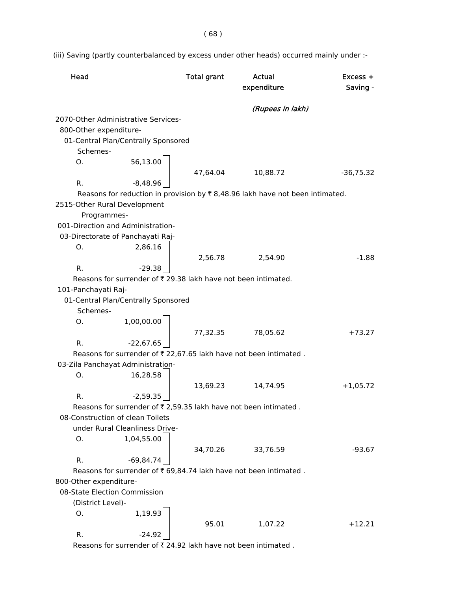( 68 )

(iii) Saving (partly counterbalanced by excess under other heads) occurred mainly under :-

| (Rupees in lakh)<br>2070-Other Administrative Services-<br>800-Other expenditure-<br>01-Central Plan/Centrally Sponsored<br>Schemes-<br>56,13.00<br>Ο.<br>47,64.04<br>10,88.72<br>$-36,75.32$<br>R.<br>$-8,48.96$<br>Reasons for reduction in provision by $\overline{\tau}$ 8,48.96 lakh have not been intimated.<br>2515-Other Rural Development<br>Programmes-<br>001-Direction and Administration-<br>03-Directorate of Panchayati Raj-<br>2,86.16<br>О.<br>2,56.78<br>2,54.90<br>$-1.88$<br>R.<br>$-29.38$<br>Reasons for surrender of ₹ 29.38 lakh have not been intimated.<br>101-Panchayati Raj-<br>01-Central Plan/Centrally Sponsored<br>Schemes-<br>1,00,00.00<br>O.<br>77,32.35<br>78,05.62<br>$+73.27$<br>R.<br>$-22,67.65$<br>Reasons for surrender of ₹ 22,67.65 lakh have not been intimated.<br>03-Zila Panchayat Administration-<br>16,28.58<br>O.<br>13,69.23<br>14,74.95<br>$+1,05.72$<br>R.<br>$-2,59.35$<br>Reasons for surrender of ₹ 2,59.35 lakh have not been intimated.<br>08-Construction of clean Toilets<br>under Rural Cleanliness Drive-<br>O.<br>1,04,55.00<br>34,70.26<br>33,76.59<br>$-93.67$<br>$-69,84.74$<br>R.<br>Reasons for surrender of ₹ 69,84.74 lakh have not been intimated.<br>800-Other expenditure-<br>08-State Election Commission<br>(District Level)-<br>1,19.93<br>O.<br>95.01<br>1,07.22<br>$+12.21$<br>R.<br>$-24.92$<br>Reasons for surrender of ₹ 24.92 lakh have not been intimated. | Head | <b>Total grant</b> | Actual<br>expenditure | Excess +<br>Saving - |
|------------------------------------------------------------------------------------------------------------------------------------------------------------------------------------------------------------------------------------------------------------------------------------------------------------------------------------------------------------------------------------------------------------------------------------------------------------------------------------------------------------------------------------------------------------------------------------------------------------------------------------------------------------------------------------------------------------------------------------------------------------------------------------------------------------------------------------------------------------------------------------------------------------------------------------------------------------------------------------------------------------------------------------------------------------------------------------------------------------------------------------------------------------------------------------------------------------------------------------------------------------------------------------------------------------------------------------------------------------------------------------------------------------------------------------------------|------|--------------------|-----------------------|----------------------|
|                                                                                                                                                                                                                                                                                                                                                                                                                                                                                                                                                                                                                                                                                                                                                                                                                                                                                                                                                                                                                                                                                                                                                                                                                                                                                                                                                                                                                                                |      |                    |                       |                      |
|                                                                                                                                                                                                                                                                                                                                                                                                                                                                                                                                                                                                                                                                                                                                                                                                                                                                                                                                                                                                                                                                                                                                                                                                                                                                                                                                                                                                                                                |      |                    |                       |                      |
|                                                                                                                                                                                                                                                                                                                                                                                                                                                                                                                                                                                                                                                                                                                                                                                                                                                                                                                                                                                                                                                                                                                                                                                                                                                                                                                                                                                                                                                |      |                    |                       |                      |
|                                                                                                                                                                                                                                                                                                                                                                                                                                                                                                                                                                                                                                                                                                                                                                                                                                                                                                                                                                                                                                                                                                                                                                                                                                                                                                                                                                                                                                                |      |                    |                       |                      |
|                                                                                                                                                                                                                                                                                                                                                                                                                                                                                                                                                                                                                                                                                                                                                                                                                                                                                                                                                                                                                                                                                                                                                                                                                                                                                                                                                                                                                                                |      |                    |                       |                      |
|                                                                                                                                                                                                                                                                                                                                                                                                                                                                                                                                                                                                                                                                                                                                                                                                                                                                                                                                                                                                                                                                                                                                                                                                                                                                                                                                                                                                                                                |      |                    |                       |                      |
|                                                                                                                                                                                                                                                                                                                                                                                                                                                                                                                                                                                                                                                                                                                                                                                                                                                                                                                                                                                                                                                                                                                                                                                                                                                                                                                                                                                                                                                |      |                    |                       |                      |
|                                                                                                                                                                                                                                                                                                                                                                                                                                                                                                                                                                                                                                                                                                                                                                                                                                                                                                                                                                                                                                                                                                                                                                                                                                                                                                                                                                                                                                                |      |                    |                       |                      |
|                                                                                                                                                                                                                                                                                                                                                                                                                                                                                                                                                                                                                                                                                                                                                                                                                                                                                                                                                                                                                                                                                                                                                                                                                                                                                                                                                                                                                                                |      |                    |                       |                      |
|                                                                                                                                                                                                                                                                                                                                                                                                                                                                                                                                                                                                                                                                                                                                                                                                                                                                                                                                                                                                                                                                                                                                                                                                                                                                                                                                                                                                                                                |      |                    |                       |                      |
|                                                                                                                                                                                                                                                                                                                                                                                                                                                                                                                                                                                                                                                                                                                                                                                                                                                                                                                                                                                                                                                                                                                                                                                                                                                                                                                                                                                                                                                |      |                    |                       |                      |
|                                                                                                                                                                                                                                                                                                                                                                                                                                                                                                                                                                                                                                                                                                                                                                                                                                                                                                                                                                                                                                                                                                                                                                                                                                                                                                                                                                                                                                                |      |                    |                       |                      |
|                                                                                                                                                                                                                                                                                                                                                                                                                                                                                                                                                                                                                                                                                                                                                                                                                                                                                                                                                                                                                                                                                                                                                                                                                                                                                                                                                                                                                                                |      |                    |                       |                      |
|                                                                                                                                                                                                                                                                                                                                                                                                                                                                                                                                                                                                                                                                                                                                                                                                                                                                                                                                                                                                                                                                                                                                                                                                                                                                                                                                                                                                                                                |      |                    |                       |                      |
|                                                                                                                                                                                                                                                                                                                                                                                                                                                                                                                                                                                                                                                                                                                                                                                                                                                                                                                                                                                                                                                                                                                                                                                                                                                                                                                                                                                                                                                |      |                    |                       |                      |
|                                                                                                                                                                                                                                                                                                                                                                                                                                                                                                                                                                                                                                                                                                                                                                                                                                                                                                                                                                                                                                                                                                                                                                                                                                                                                                                                                                                                                                                |      |                    |                       |                      |
|                                                                                                                                                                                                                                                                                                                                                                                                                                                                                                                                                                                                                                                                                                                                                                                                                                                                                                                                                                                                                                                                                                                                                                                                                                                                                                                                                                                                                                                |      |                    |                       |                      |
|                                                                                                                                                                                                                                                                                                                                                                                                                                                                                                                                                                                                                                                                                                                                                                                                                                                                                                                                                                                                                                                                                                                                                                                                                                                                                                                                                                                                                                                |      |                    |                       |                      |
|                                                                                                                                                                                                                                                                                                                                                                                                                                                                                                                                                                                                                                                                                                                                                                                                                                                                                                                                                                                                                                                                                                                                                                                                                                                                                                                                                                                                                                                |      |                    |                       |                      |
|                                                                                                                                                                                                                                                                                                                                                                                                                                                                                                                                                                                                                                                                                                                                                                                                                                                                                                                                                                                                                                                                                                                                                                                                                                                                                                                                                                                                                                                |      |                    |                       |                      |
|                                                                                                                                                                                                                                                                                                                                                                                                                                                                                                                                                                                                                                                                                                                                                                                                                                                                                                                                                                                                                                                                                                                                                                                                                                                                                                                                                                                                                                                |      |                    |                       |                      |
|                                                                                                                                                                                                                                                                                                                                                                                                                                                                                                                                                                                                                                                                                                                                                                                                                                                                                                                                                                                                                                                                                                                                                                                                                                                                                                                                                                                                                                                |      |                    |                       |                      |
|                                                                                                                                                                                                                                                                                                                                                                                                                                                                                                                                                                                                                                                                                                                                                                                                                                                                                                                                                                                                                                                                                                                                                                                                                                                                                                                                                                                                                                                |      |                    |                       |                      |
|                                                                                                                                                                                                                                                                                                                                                                                                                                                                                                                                                                                                                                                                                                                                                                                                                                                                                                                                                                                                                                                                                                                                                                                                                                                                                                                                                                                                                                                |      |                    |                       |                      |
|                                                                                                                                                                                                                                                                                                                                                                                                                                                                                                                                                                                                                                                                                                                                                                                                                                                                                                                                                                                                                                                                                                                                                                                                                                                                                                                                                                                                                                                |      |                    |                       |                      |
|                                                                                                                                                                                                                                                                                                                                                                                                                                                                                                                                                                                                                                                                                                                                                                                                                                                                                                                                                                                                                                                                                                                                                                                                                                                                                                                                                                                                                                                |      |                    |                       |                      |
|                                                                                                                                                                                                                                                                                                                                                                                                                                                                                                                                                                                                                                                                                                                                                                                                                                                                                                                                                                                                                                                                                                                                                                                                                                                                                                                                                                                                                                                |      |                    |                       |                      |
|                                                                                                                                                                                                                                                                                                                                                                                                                                                                                                                                                                                                                                                                                                                                                                                                                                                                                                                                                                                                                                                                                                                                                                                                                                                                                                                                                                                                                                                |      |                    |                       |                      |
|                                                                                                                                                                                                                                                                                                                                                                                                                                                                                                                                                                                                                                                                                                                                                                                                                                                                                                                                                                                                                                                                                                                                                                                                                                                                                                                                                                                                                                                |      |                    |                       |                      |
|                                                                                                                                                                                                                                                                                                                                                                                                                                                                                                                                                                                                                                                                                                                                                                                                                                                                                                                                                                                                                                                                                                                                                                                                                                                                                                                                                                                                                                                |      |                    |                       |                      |
|                                                                                                                                                                                                                                                                                                                                                                                                                                                                                                                                                                                                                                                                                                                                                                                                                                                                                                                                                                                                                                                                                                                                                                                                                                                                                                                                                                                                                                                |      |                    |                       |                      |
|                                                                                                                                                                                                                                                                                                                                                                                                                                                                                                                                                                                                                                                                                                                                                                                                                                                                                                                                                                                                                                                                                                                                                                                                                                                                                                                                                                                                                                                |      |                    |                       |                      |
|                                                                                                                                                                                                                                                                                                                                                                                                                                                                                                                                                                                                                                                                                                                                                                                                                                                                                                                                                                                                                                                                                                                                                                                                                                                                                                                                                                                                                                                |      |                    |                       |                      |
|                                                                                                                                                                                                                                                                                                                                                                                                                                                                                                                                                                                                                                                                                                                                                                                                                                                                                                                                                                                                                                                                                                                                                                                                                                                                                                                                                                                                                                                |      |                    |                       |                      |
|                                                                                                                                                                                                                                                                                                                                                                                                                                                                                                                                                                                                                                                                                                                                                                                                                                                                                                                                                                                                                                                                                                                                                                                                                                                                                                                                                                                                                                                |      |                    |                       |                      |
|                                                                                                                                                                                                                                                                                                                                                                                                                                                                                                                                                                                                                                                                                                                                                                                                                                                                                                                                                                                                                                                                                                                                                                                                                                                                                                                                                                                                                                                |      |                    |                       |                      |
|                                                                                                                                                                                                                                                                                                                                                                                                                                                                                                                                                                                                                                                                                                                                                                                                                                                                                                                                                                                                                                                                                                                                                                                                                                                                                                                                                                                                                                                |      |                    |                       |                      |
|                                                                                                                                                                                                                                                                                                                                                                                                                                                                                                                                                                                                                                                                                                                                                                                                                                                                                                                                                                                                                                                                                                                                                                                                                                                                                                                                                                                                                                                |      |                    |                       |                      |
|                                                                                                                                                                                                                                                                                                                                                                                                                                                                                                                                                                                                                                                                                                                                                                                                                                                                                                                                                                                                                                                                                                                                                                                                                                                                                                                                                                                                                                                |      |                    |                       |                      |
|                                                                                                                                                                                                                                                                                                                                                                                                                                                                                                                                                                                                                                                                                                                                                                                                                                                                                                                                                                                                                                                                                                                                                                                                                                                                                                                                                                                                                                                |      |                    |                       |                      |
|                                                                                                                                                                                                                                                                                                                                                                                                                                                                                                                                                                                                                                                                                                                                                                                                                                                                                                                                                                                                                                                                                                                                                                                                                                                                                                                                                                                                                                                |      |                    |                       |                      |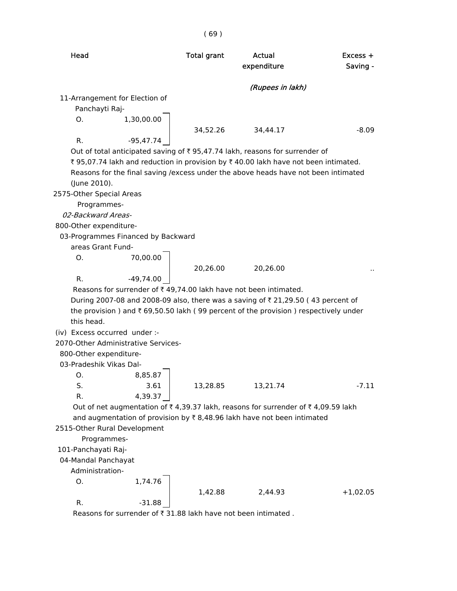|                                        |             | (69)               |                                                                                         |            |
|----------------------------------------|-------------|--------------------|-----------------------------------------------------------------------------------------|------------|
| Head                                   |             | <b>Total grant</b> | Actual                                                                                  | $Excess +$ |
|                                        |             |                    | expenditure                                                                             | Saving -   |
|                                        |             |                    | (Rupees in lakh)                                                                        |            |
| 11-Arrangement for Election of         |             |                    |                                                                                         |            |
| Panchayti Raj-                         |             |                    |                                                                                         |            |
| O.                                     | 1,30,00.00  |                    |                                                                                         |            |
|                                        |             | 34,52.26           | 34,44.17                                                                                | $-8.09$    |
| R.                                     | $-95,47.74$ |                    |                                                                                         |            |
|                                        |             |                    | Out of total anticipated saving of $\bar{\tau}$ 95,47.74 lakh, reasons for surrender of |            |
|                                        |             |                    | ₹95,07.74 lakh and reduction in provision by ₹40.00 lakh have not been intimated.       |            |
|                                        |             |                    | Reasons for the final saving / excess under the above heads have not been intimated     |            |
| (June 2010).                           |             |                    |                                                                                         |            |
| 2575-Other Special Areas               |             |                    |                                                                                         |            |
| Programmes-                            |             |                    |                                                                                         |            |
| 02-Backward Areas-                     |             |                    |                                                                                         |            |
| 800-Other expenditure-                 |             |                    |                                                                                         |            |
| 03-Programmes Financed by Backward     |             |                    |                                                                                         |            |
| areas Grant Fund-                      |             |                    |                                                                                         |            |
| O.                                     | 70,00.00    |                    |                                                                                         |            |
|                                        |             | 20,26.00           | 20,26.00                                                                                |            |
| R.                                     | $-49,74.00$ |                    |                                                                                         |            |
|                                        |             |                    | Reasons for surrender of ₹49,74.00 lakh have not been intimated.                        |            |
|                                        |             |                    | During 2007-08 and 2008-09 also, there was a saving of ₹21,29.50 (43 percent of         |            |
|                                        |             |                    | the provision) and ₹69,50.50 lakh (99 percent of the provision) respectively under      |            |
| this head.                             |             |                    |                                                                                         |            |
| (iv) Excess occurred under :-          |             |                    |                                                                                         |            |
| 2070-Other Administrative Services-    |             |                    |                                                                                         |            |
| 800-Other expenditure-                 |             |                    |                                                                                         |            |
| 03-Pradeshik Vikas Dal-                |             |                    |                                                                                         |            |
| О.                                     | 8,85.87     |                    |                                                                                         |            |
| S.                                     | 3.61        | 13,28.85           | 13,21.74                                                                                | $-7.11$    |
| R.                                     | 4,39.37     |                    |                                                                                         |            |
|                                        |             |                    | Out of net augmentation of ₹4,39.37 lakh, reasons for surrender of ₹4,09.59 lakh        |            |
|                                        |             |                    | and augmentation of provision by $\bar{\tau}$ 8,48.96 lakh have not been intimated      |            |
| 2515-Other Rural Development           |             |                    |                                                                                         |            |
| Programmes-                            |             |                    |                                                                                         |            |
| 101-Panchayati Raj-                    |             |                    |                                                                                         |            |
| 04-Mandal Panchayat<br>Administration- |             |                    |                                                                                         |            |
| O.                                     | 1,74.76     |                    |                                                                                         |            |
|                                        |             | 1,42.88            | 2,44.93                                                                                 | $+1,02.05$ |
| R.                                     | $-31.88$    |                    |                                                                                         |            |
|                                        |             |                    |                                                                                         |            |

Reasons for surrender of  $\bar{\tau}$  31.88 lakh have not been intimated .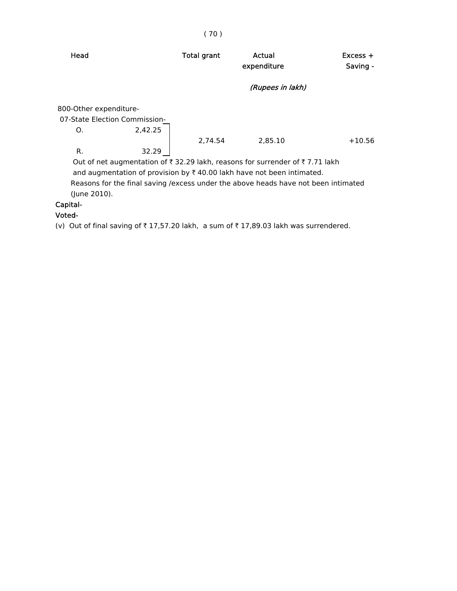| Head                                                          |         | <b>Total grant</b> | Actual<br>expenditure                                                                                                                                                                                                                                                           | $Excess +$<br>Saving - |
|---------------------------------------------------------------|---------|--------------------|---------------------------------------------------------------------------------------------------------------------------------------------------------------------------------------------------------------------------------------------------------------------------------|------------------------|
|                                                               |         |                    | (Rupees in lakh)                                                                                                                                                                                                                                                                |                        |
| 800-Other expenditure-<br>07-State Election Commission-<br>O. | 2,42.25 |                    |                                                                                                                                                                                                                                                                                 |                        |
| R.                                                            | 32.29   | 2.74.54            | 2.85.10                                                                                                                                                                                                                                                                         | $+10.56$               |
|                                                               |         |                    | Out of net augmentation of $\bar{\tau}$ 32.29 lakh, reasons for surrender of $\bar{\tau}$ 7.71 lakh<br>and augmentation of provision by $\bar{\tau}$ 40.00 lakh have not been intimated.<br>Reasons for the final saving / excess under the above heads have not been intimated |                        |

(June 2010).

# Capital-

# Voted-

(v) Out of final saving of  $\bar{\tau}$  17,57.20 lakh, a sum of  $\bar{\tau}$  17,89.03 lakh was surrendered.

## ( 70 )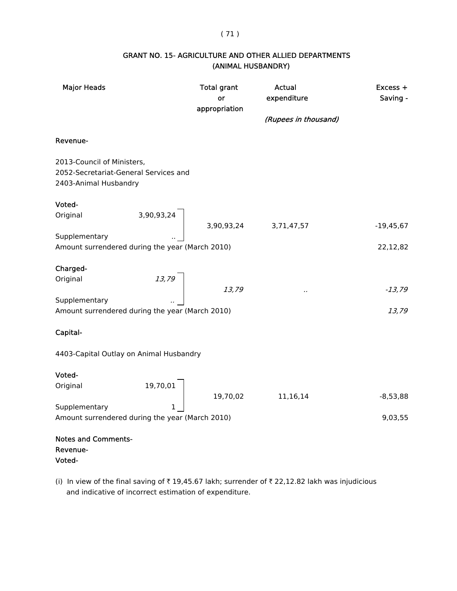## ( 71 )

| <b>GRANT NO. 15- AGRICULTURE AND OTHER ALLIED DEPARTMENTS</b> |
|---------------------------------------------------------------|
| (ANIMAL HUSBANDRY)                                            |

| <b>Major Heads</b>                                                                               | <b>Total grant</b><br>or<br>appropriation | Actual<br>expenditure<br>(Rupees in thousand) | Excess +<br>Saving - |
|--------------------------------------------------------------------------------------------------|-------------------------------------------|-----------------------------------------------|----------------------|
| Revenue-                                                                                         |                                           |                                               |                      |
| 2013-Council of Ministers,<br>2052-Secretariat-General Services and<br>2403-Animal Husbandry     |                                           |                                               |                      |
| Voted-                                                                                           |                                           |                                               |                      |
| $\begin{array}{c ccc}\n3,90,93,24 & & & \\ & 3,90,93,24 & & 3,71,47,57\n\end{array}$<br>Original |                                           |                                               | $-19,45,67$          |
| Supplementary<br>Amount surrendered during the year (March 2010)                                 |                                           |                                               | 22,12,82             |
| Charged-                                                                                         |                                           |                                               |                      |
| $\begin{array}{c} 13.79 \end{array}$<br>Original                                                 | 13,79                                     |                                               | $-13,79$             |
| Supplementary                                                                                    |                                           |                                               |                      |
| Amount surrendered during the year (March 2010)                                                  |                                           |                                               | 13,79                |
| Capital-                                                                                         |                                           |                                               |                      |
| 4403-Capital Outlay on Animal Husbandry                                                          |                                           |                                               |                      |
| Voted-                                                                                           |                                           |                                               |                      |
| 19,70,01<br>Original                                                                             |                                           | 11,16,14                                      | $-8,53,88$           |
| Supplementary                                                                                    | 19,70,02                                  |                                               |                      |
| Amount surrendered during the year (March 2010)                                                  |                                           |                                               | 9,03,55              |
| <b>Notes and Comments-</b><br>Revenue-<br>Voted-                                                 |                                           |                                               |                      |

(i) In view of the final saving of  $\bar{\tau}$  19,45.67 lakh; surrender of  $\bar{\tau}$  22,12.82 lakh was injudicious and indicative of incorrect estimation of expenditure.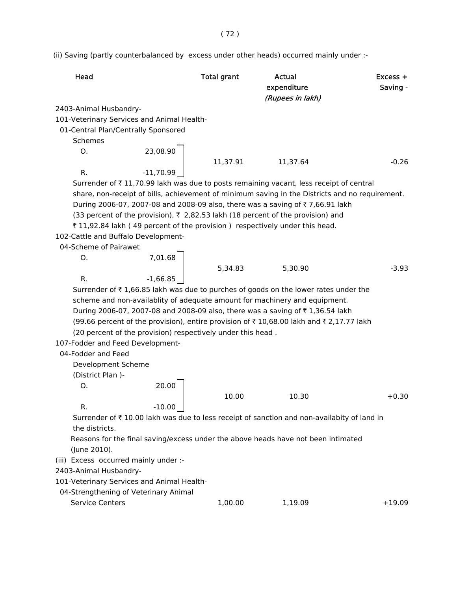(ii) Saving (partly counterbalanced by excess under other heads) occurred mainly under :-

| Head                                       |                                                             | <b>Total grant</b> | <b>Actual</b><br>expenditure<br>(Rupees in lakh)                                                | $Excess +$<br>Saving - |
|--------------------------------------------|-------------------------------------------------------------|--------------------|-------------------------------------------------------------------------------------------------|------------------------|
| 2403-Animal Husbandry-                     |                                                             |                    |                                                                                                 |                        |
| 101-Veterinary Services and Animal Health- |                                                             |                    |                                                                                                 |                        |
| 01-Central Plan/Centrally Sponsored        |                                                             |                    |                                                                                                 |                        |
| Schemes                                    |                                                             |                    |                                                                                                 |                        |
| 0.                                         |                                                             |                    |                                                                                                 |                        |
|                                            |                                                             | 11,37.91           | 11,37.64                                                                                        | $-0.26$                |
| R.                                         | $23,08.90$<br>-11,70.99                                     |                    |                                                                                                 |                        |
|                                            |                                                             |                    | Surrender of ₹11,70.99 lakh was due to posts remaining vacant, less receipt of central          |                        |
|                                            |                                                             |                    | share, non-receipt of bills, achievement of minimum saving in the Districts and no requirement. |                        |
|                                            |                                                             |                    | During 2006-07, 2007-08 and 2008-09 also, there was a saving of ₹7,66.91 lakh                   |                        |
|                                            |                                                             |                    | (33 percent of the provision), ₹ 2,82.53 lakh (18 percent of the provision) and                 |                        |
|                                            |                                                             |                    | ₹11,92.84 lakh (49 percent of the provision) respectively under this head.                      |                        |
| 102-Cattle and Buffalo Development-        |                                                             |                    |                                                                                                 |                        |
| 04-Scheme of Pairawet                      |                                                             |                    |                                                                                                 |                        |
| 0.                                         | $7,01.68$<br>$-1,66.85$                                     |                    |                                                                                                 |                        |
|                                            |                                                             | 5,34.83            | 5,30.90                                                                                         | $-3.93$                |
| R.                                         |                                                             |                    |                                                                                                 |                        |
|                                            |                                                             |                    | Surrender of ₹1,66.85 lakh was due to purches of goods on the lower rates under the             |                        |
|                                            |                                                             |                    | scheme and non-availablity of adequate amount for machinery and equipment.                      |                        |
|                                            |                                                             |                    | During 2006-07, 2007-08 and 2008-09 also, there was a saving of ₹1,36.54 lakh                   |                        |
|                                            |                                                             |                    | (99.66 percent of the provision), entire provision of ₹10,68.00 lakh and ₹2,17.77 lakh          |                        |
|                                            | (20 percent of the provision) respectively under this head. |                    |                                                                                                 |                        |
| 107-Fodder and Feed Development-           |                                                             |                    |                                                                                                 |                        |
| 04-Fodder and Feed                         |                                                             |                    |                                                                                                 |                        |
| Development Scheme                         |                                                             |                    |                                                                                                 |                        |
| (District Plan)-                           |                                                             |                    |                                                                                                 |                        |
| O.                                         | 20.00                                                       |                    |                                                                                                 |                        |
|                                            |                                                             | 10.00              | 10.30                                                                                           | $+0.30$                |
| R.                                         | $-10.00$                                                    |                    |                                                                                                 |                        |
|                                            |                                                             |                    | Surrender of ₹10.00 lakh was due to less receipt of sanction and non-availabity of land in      |                        |
| the districts.                             |                                                             |                    |                                                                                                 |                        |
|                                            |                                                             |                    | Reasons for the final saving/excess under the above heads have not been intimated               |                        |
| (June 2010).                               |                                                             |                    |                                                                                                 |                        |
| (iii) Excess occurred mainly under :-      |                                                             |                    |                                                                                                 |                        |
| 2403-Animal Husbandry-                     |                                                             |                    |                                                                                                 |                        |
| 101-Veterinary Services and Animal Health- |                                                             |                    |                                                                                                 |                        |
| 04-Strengthening of Veterinary Animal      |                                                             |                    |                                                                                                 |                        |
| Service Centers                            |                                                             | 1,00.00            | 1,19.09                                                                                         | $+19.09$               |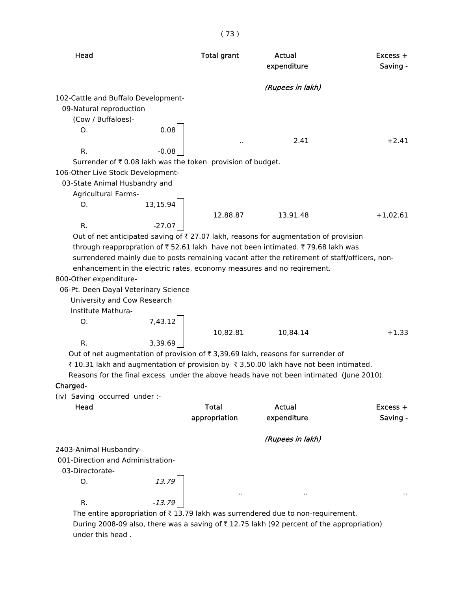| Head                                                                                          | <b>Total grant</b> | <b>Actual</b><br>expenditure | Excess +<br>Saving - |
|-----------------------------------------------------------------------------------------------|--------------------|------------------------------|----------------------|
|                                                                                               |                    | (Rupees in lakh)             |                      |
| 102-Cattle and Buffalo Development-                                                           |                    |                              |                      |
| 09-Natural reproduction                                                                       |                    |                              |                      |
| (Cow / Buffaloes)-                                                                            |                    |                              |                      |
| 0.08<br>O.                                                                                    |                    |                              |                      |
|                                                                                               |                    | 2.41                         | $+2.41$              |
| R.                                                                                            |                    |                              |                      |
| Surrender of ₹0.08 lakh was the token provision of budget.                                    |                    |                              |                      |
| 106-Other Live Stock Development-                                                             |                    |                              |                      |
| 03-State Animal Husbandry and                                                                 |                    |                              |                      |
| Agricultural Farms-                                                                           |                    |                              |                      |
| Ο.                                                                                            |                    |                              |                      |
| 13,15.94                                                                                      | 12,88.87 13,91.48  |                              | $+1,02.61$           |
| $-27.07$<br>R.                                                                                |                    |                              |                      |
| Out of net anticipated saving of ₹ 27.07 lakh, reasons for augmentation of provision          |                    |                              |                      |
| through reappropration of ₹52.61 lakh have not been intimated. ₹79.68 lakh was                |                    |                              |                      |
| surrendered mainly due to posts remaining vacant after the retirement of staff/officers, non- |                    |                              |                      |
| enhancement in the electric rates, economy measures and no reqirement.                        |                    |                              |                      |
| 800-Other expenditure-                                                                        |                    |                              |                      |
| 06-Pt. Deen Dayal Veterinary Science                                                          |                    |                              |                      |
| University and Cow Research                                                                   |                    |                              |                      |
| Institute Mathura-                                                                            |                    |                              |                      |
| 7,43.12<br>O.                                                                                 |                    |                              |                      |
|                                                                                               | 10,82.81           | 10,84.14                     | $+1.33$              |
| 3,39.69<br>R.                                                                                 |                    |                              |                      |
| Out of net augmentation of provision of ₹ 3,39.69 lakh, reasons for surrender of              |                    |                              |                      |
| ₹10.31 lakh and augmentation of provision by ₹3,50.00 lakh have not been intimated.           |                    |                              |                      |
| Reasons for the final excess under the above heads have not been intimated (June 2010).       |                    |                              |                      |
| Charged-                                                                                      |                    |                              |                      |
| (iv) Saving occurred under :-                                                                 |                    |                              |                      |
| Head                                                                                          | <b>Total</b>       | Actual                       | $Excess +$           |
|                                                                                               | appropriation      | expenditure                  | Saving -             |
|                                                                                               |                    |                              |                      |
|                                                                                               |                    | (Rupees in lakh)             |                      |
| 2403-Animal Husbandry-                                                                        |                    |                              |                      |
| 001-Direction and Administration-                                                             |                    |                              |                      |
| 03-Directorate-                                                                               |                    |                              |                      |
| 13.79<br>O.                                                                                   |                    |                              |                      |
|                                                                                               |                    |                              |                      |
| R.                                                                                            |                    |                              |                      |
| The entire appropriation of $\bar{\tau}$ 13.79 lakh was surrendered due to non-requirement.   |                    |                              |                      |

During 2008-09 also, there was a saving of  $\bar{\tau}$  12.75 lakh (92 percent of the appropriation) under this head .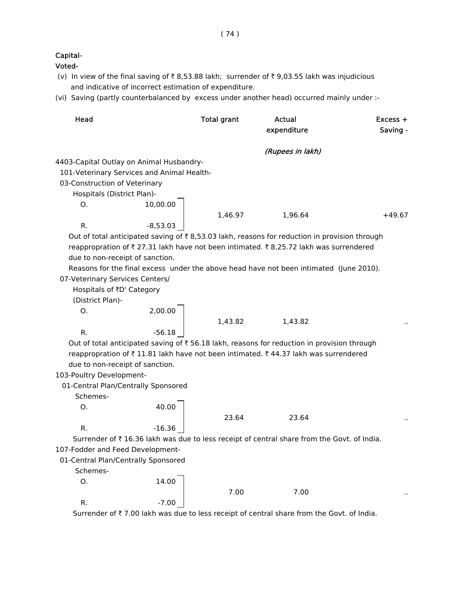## Capital-

Voted-

- (v) In view of the final saving of  $\bar{\tau}$  8,53.88 lakh; surrender of  $\bar{\tau}$  9,03.55 lakh was injudicious and indicative of incorrect estimation of expenditure.
- (vi) Saving (partly counterbalanced by excess under another head) occurred mainly under :-

| Head                                     |                                                      | <b>Total grant</b> | Actual<br>expenditure                                                                        | Excess +<br>Saving - |
|------------------------------------------|------------------------------------------------------|--------------------|----------------------------------------------------------------------------------------------|----------------------|
|                                          |                                                      |                    | (Rupees in lakh)                                                                             |                      |
| 4403-Capital Outlay on Animal Husbandry- |                                                      |                    |                                                                                              |                      |
|                                          | 101-Veterinary Services and Animal Health-           |                    |                                                                                              |                      |
| 03-Construction of Veterinary            |                                                      |                    |                                                                                              |                      |
| Hospitals (District Plan)-               |                                                      |                    |                                                                                              |                      |
| 0.                                       | $\begin{bmatrix} 10,00.00 \\ -8,53.03 \end{bmatrix}$ |                    |                                                                                              |                      |
|                                          |                                                      |                    | 1,46.97 1,96.64                                                                              | $+49.67$             |
| R.                                       |                                                      |                    |                                                                                              |                      |
|                                          |                                                      |                    | Out of total anticipated saving of ₹8,53.03 lakh, reasons for reduction in provision through |                      |
|                                          |                                                      |                    | reappropration of ₹27.31 lakh have not been intimated. ₹8,25.72 lakh was surrendered         |                      |
| due to non-receipt of sanction.          |                                                      |                    |                                                                                              |                      |
|                                          |                                                      |                    | Reasons for the final excess under the above head have not been intimated (June 2010).       |                      |
| 07-Veterinary Services Centers/          |                                                      |                    |                                                                                              |                      |
| Hospitals of ₹D' Category                |                                                      |                    |                                                                                              |                      |
| (District Plan)-                         |                                                      |                    |                                                                                              |                      |
| O.                                       |                                                      |                    |                                                                                              |                      |
|                                          | 2,00.00                                              |                    | 1,43.82 1,43.82                                                                              |                      |
| R.                                       |                                                      |                    |                                                                                              |                      |
|                                          |                                                      |                    | Out of total anticipated saving of ₹ 56.18 lakh, reasons for reduction in provision through  |                      |
|                                          |                                                      |                    | reappropration of ₹11.81 lakh have not been intimated. ₹44.37 lakh was surrendered           |                      |
| due to non-receipt of sanction.          |                                                      |                    |                                                                                              |                      |
| 103-Poultry Development-                 |                                                      |                    |                                                                                              |                      |
|                                          | 01-Central Plan/Centrally Sponsored                  |                    |                                                                                              |                      |
| Schemes-                                 |                                                      |                    |                                                                                              |                      |
| O.                                       | $\begin{array}{c} 40.00 \\ \end{array}$              |                    |                                                                                              |                      |
|                                          |                                                      | 23.64              | 23.64                                                                                        |                      |
| R.                                       | $-16.36$                                             |                    |                                                                                              |                      |
|                                          |                                                      |                    | Surrender of ₹16.36 lakh was due to less receipt of central share from the Govt. of India.   |                      |
| 107-Fodder and Feed Development-         |                                                      |                    |                                                                                              |                      |
| 01-Central Plan/Centrally Sponsored      |                                                      |                    |                                                                                              |                      |
| Schemes-                                 |                                                      |                    |                                                                                              |                      |
| O.                                       | 14.00                                                |                    |                                                                                              |                      |
|                                          |                                                      | 7.00               | 7.00                                                                                         |                      |
| R.                                       | $-7.00$                                              |                    |                                                                                              |                      |

Surrender of ₹7.00 lakh was due to less receipt of central share from the Govt. of India.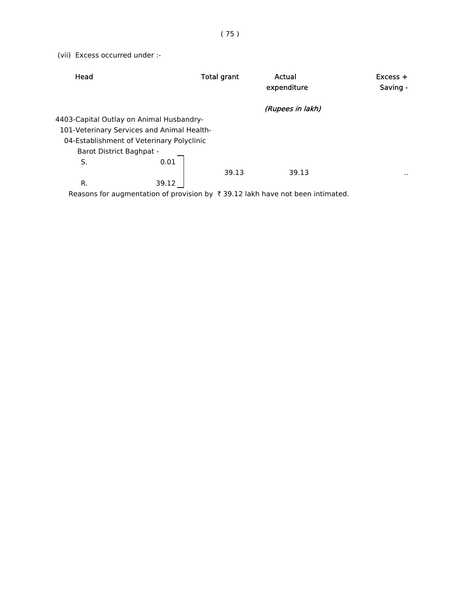(vii) Excess occurred under :-

| Head                                       | Total grant | Actual<br>expenditure | $Excess +$<br>Saving - |
|--------------------------------------------|-------------|-----------------------|------------------------|
|                                            |             | (Rupees in lakh)      |                        |
| 4403-Capital Outlay on Animal Husbandry-   |             |                       |                        |
| 101-Veterinary Services and Animal Health- |             |                       |                        |
| 04-Establishment of Veterinary Polyclinic  |             |                       |                        |
| Barot District Baghpat -                   |             |                       |                        |
| S.                                         | 0.01        |                       |                        |
|                                            | 39.13       | 39.13                 | $\sim$                 |
| R.                                         | 39.12       |                       |                        |

Reasons for augmentation of provision by  $\bar{\tau}$  39.12 lakh have not been intimated.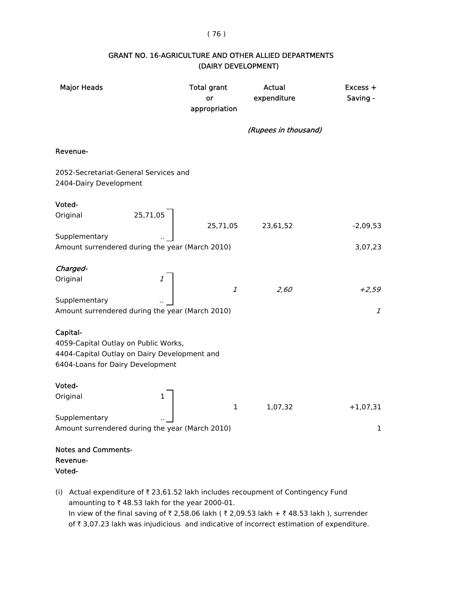#### ( 76 )

| <b>Major Heads</b>                                                                                                                   | <b>Total grant</b><br>or<br>appropriation | Actual<br>expenditure | Excess +<br>Saving - |
|--------------------------------------------------------------------------------------------------------------------------------------|-------------------------------------------|-----------------------|----------------------|
|                                                                                                                                      |                                           | (Rupees in thousand)  |                      |
| Revenue-                                                                                                                             |                                           |                       |                      |
| 2052-Secretariat-General Services and<br>2404-Dairy Development                                                                      |                                           |                       |                      |
| Voted-                                                                                                                               |                                           |                       |                      |
| 25,71,05<br>Original                                                                                                                 | 25,71,05                                  | 23,61,52              | $-2,09,53$           |
| Supplementary<br>Amount surrendered during the year (March 2010)                                                                     |                                           |                       | 3,07,23              |
| Charged-                                                                                                                             |                                           |                       |                      |
| Original                                                                                                                             | $\mathcal{I}$                             | 2,60                  | $+2,59$              |
| Supplementary<br>Amount surrendered during the year (March 2010)                                                                     |                                           |                       | $\mathcal{I}$        |
| Capital-<br>4059-Capital Outlay on Public Works,<br>4404-Capital Outlay on Dairy Development and<br>6404-Loans for Dairy Development |                                           |                       |                      |
| Voted-                                                                                                                               |                                           |                       |                      |
| Original<br>1                                                                                                                        | $\mathbf 1$                               | 1,07,32               | $+1,07,31$           |
| Supplementary                                                                                                                        |                                           |                       |                      |
| Amount surrendered during the year (March 2010)                                                                                      |                                           |                       | 1                    |
| <b>Notes and Comments-</b><br>Revenue-<br>Voted-                                                                                     |                                           |                       |                      |

### GRANT NO. 16-AGRICULTURE AND OTHER ALLIED DEPARTMENTS (DAIRY DEVELOPMENT)

(i) Actual expenditure of  $\bar{\tau}$  23,61.52 lakh includes recoupment of Contingency Fund amounting to  $\bar{\tau}$  48.53 lakh for the year 2000-01. In view of the final saving of  $\bar{\tau}$  2,58.06 lakh ( $\bar{\tau}$  2,09.53 lakh +  $\bar{\tau}$  48.53 lakh ), surrender of  $\bar{\tau}$  3,07.23 lakh was injudicious and indicative of incorrect estimation of expenditure.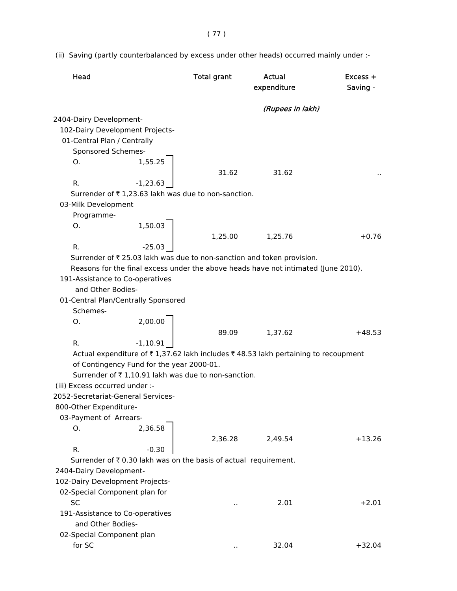( 77 )

(ii) Saving (partly counterbalanced by excess under other heads) occurred mainly under :-

| Head                                |                                                                  | <b>Total grant</b> | Actual<br>expenditure                                                              | Excess +<br>Saving - |
|-------------------------------------|------------------------------------------------------------------|--------------------|------------------------------------------------------------------------------------|----------------------|
|                                     |                                                                  |                    | (Rupees in lakh)                                                                   |                      |
| 2404-Dairy Development-             |                                                                  |                    |                                                                                    |                      |
|                                     | 102-Dairy Development Projects-                                  |                    |                                                                                    |                      |
| 01-Central Plan / Centrally         |                                                                  |                    |                                                                                    |                      |
| Sponsored Schemes-                  |                                                                  |                    |                                                                                    |                      |
| Ο.                                  | 1,55.25                                                          |                    |                                                                                    |                      |
|                                     |                                                                  | 31.62              | 31.62                                                                              |                      |
| R.                                  | $-1,23.63$                                                       |                    |                                                                                    |                      |
|                                     | Surrender of ₹1,23.63 lakh was due to non-sanction.              |                    |                                                                                    |                      |
| 03-Milk Development                 |                                                                  |                    |                                                                                    |                      |
| Programme-                          |                                                                  |                    |                                                                                    |                      |
| Ο.                                  | 1,50.03                                                          |                    |                                                                                    |                      |
|                                     |                                                                  | 1,25.00            | 1,25.76                                                                            | $+0.76$              |
| R.                                  | $-25.03$                                                         |                    |                                                                                    |                      |
|                                     |                                                                  |                    | Surrender of ₹ 25.03 lakh was due to non-sanction and token provision.             |                      |
|                                     |                                                                  |                    | Reasons for the final excess under the above heads have not intimated (June 2010). |                      |
|                                     | 191-Assistance to Co-operatives                                  |                    |                                                                                    |                      |
| and Other Bodies-                   |                                                                  |                    |                                                                                    |                      |
|                                     | 01-Central Plan/Centrally Sponsored                              |                    |                                                                                    |                      |
| Schemes-                            |                                                                  |                    |                                                                                    |                      |
| O.                                  | 2,00.00                                                          |                    |                                                                                    |                      |
|                                     |                                                                  | 89.09              | 1,37.62                                                                            | $+48.53$             |
| R.                                  | $-1,10.91$                                                       |                    |                                                                                    |                      |
|                                     |                                                                  |                    | Actual expenditure of ₹1,37.62 lakh includes ₹48.53 lakh pertaining to recoupment  |                      |
|                                     | of Contingency Fund for the year 2000-01.                        |                    |                                                                                    |                      |
|                                     | Surrender of ₹1,10.91 lakh was due to non-sanction.              |                    |                                                                                    |                      |
| (iii) Excess occurred under :-      |                                                                  |                    |                                                                                    |                      |
| 2052-Secretariat-General Services-  |                                                                  |                    |                                                                                    |                      |
| 800-Other Expenditure-              |                                                                  |                    |                                                                                    |                      |
| 03-Payment of Arrears-              |                                                                  |                    |                                                                                    |                      |
| Ο.                                  | 2,36.58                                                          |                    |                                                                                    |                      |
|                                     |                                                                  | 2,36.28            | 2,49.54                                                                            | $+13.26$             |
| R.                                  | $-0.30$                                                          |                    |                                                                                    |                      |
|                                     | Surrender of ₹ 0.30 lakh was on the basis of actual requirement. |                    |                                                                                    |                      |
| 2404-Dairy Development-             |                                                                  |                    |                                                                                    |                      |
| 102-Dairy Development Projects-     |                                                                  |                    |                                                                                    |                      |
| 02-Special Component plan for       |                                                                  |                    |                                                                                    |                      |
| <b>SC</b>                           |                                                                  |                    | 2.01                                                                               | $+2.01$              |
| and Other Bodies-                   | 191-Assistance to Co-operatives                                  |                    |                                                                                    |                      |
|                                     |                                                                  |                    |                                                                                    |                      |
| 02-Special Component plan<br>for SC |                                                                  |                    |                                                                                    |                      |
|                                     |                                                                  | ٠.                 | 32.04                                                                              | $+32.04$             |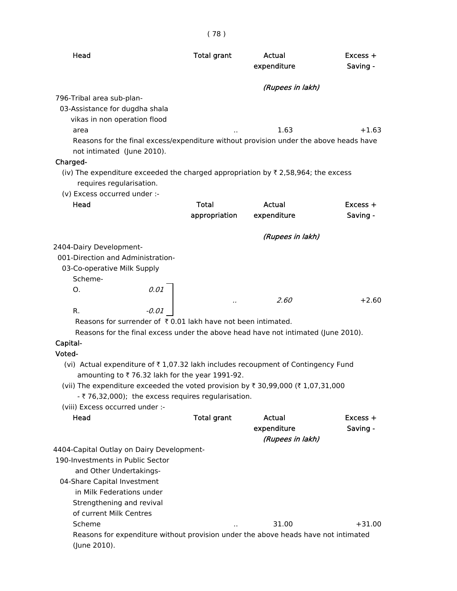| ۰.<br>-<br>×<br>×. |  |  |  |
|--------------------|--|--|--|
|--------------------|--|--|--|

| Head                                                                                                                                              | <b>Total grant</b>     | Actual<br>expenditure | Excess +<br>Saving - |
|---------------------------------------------------------------------------------------------------------------------------------------------------|------------------------|-----------------------|----------------------|
|                                                                                                                                                   |                        | (Rupees in lakh)      |                      |
| 796-Tribal area sub-plan-<br>03-Assistance for dugdha shala<br>vikas in non operation flood                                                       |                        |                       |                      |
| area                                                                                                                                              |                        | 1.63                  | $+1.63$              |
| Reasons for the final excess/expenditure without provision under the above heads have<br>not intimated (June 2010).<br>Charged-                   |                        |                       |                      |
| (iv) The expenditure exceeded the charged appropriation by $\bar{\tau}$ 2,58,964; the excess<br>requires regularisation.                          |                        |                       |                      |
| (v) Excess occurred under :-                                                                                                                      |                        |                       |                      |
| Head                                                                                                                                              | Total<br>appropriation | Actual<br>expenditure | Excess +<br>Saving - |
|                                                                                                                                                   |                        | (Rupees in lakh)      |                      |
| 2404-Dairy Development-                                                                                                                           |                        |                       |                      |
| 001-Direction and Administration-                                                                                                                 |                        |                       |                      |
| 03-Co-operative Milk Supply                                                                                                                       |                        |                       |                      |
| Scheme-                                                                                                                                           |                        |                       |                      |
| 0.01<br>0.                                                                                                                                        |                        |                       |                      |
|                                                                                                                                                   |                        | 2.60                  | $+2.60$              |
| -0.01<br>R.                                                                                                                                       |                        |                       |                      |
| Reasons for surrender of ₹0.01 lakh have not been intimated.<br>Reasons for the final excess under the above head have not intimated (June 2010). |                        |                       |                      |
| Capital-                                                                                                                                          |                        |                       |                      |
| Voted-                                                                                                                                            |                        |                       |                      |
| (vi) Actual expenditure of ₹1,07.32 lakh includes recoupment of Contingency Fund                                                                  |                        |                       |                      |
| amounting to ₹76.32 lakh for the year 1991-92.<br>(vii) The expenditure exceeded the voted provision by ₹ 30,99,000 (₹ 1,07,31,000                |                        |                       |                      |
| - ₹76,32,000); the excess requires regularisation.                                                                                                |                        |                       |                      |
| (viii) Excess occurred under :-                                                                                                                   |                        |                       |                      |
| Head                                                                                                                                              | <b>Total grant</b>     | Actual                | Excess +             |
|                                                                                                                                                   |                        | expenditure           | Saving -             |
|                                                                                                                                                   |                        | (Rupees in lakh)      |                      |
| 4404-Capital Outlay on Dairy Development-                                                                                                         |                        |                       |                      |
| 190-Investments in Public Sector                                                                                                                  |                        |                       |                      |
| and Other Undertakings-                                                                                                                           |                        |                       |                      |
| 04-Share Capital Investment                                                                                                                       |                        |                       |                      |
| in Milk Federations under                                                                                                                         |                        |                       |                      |
| Strengthening and revival                                                                                                                         |                        |                       |                      |
| of current Milk Centres                                                                                                                           |                        |                       |                      |
| Scheme                                                                                                                                            |                        | 31.00                 | $+31.00$             |
| Reasons for expenditure without provision under the above heads have not intimated<br>(June 2010).                                                |                        |                       |                      |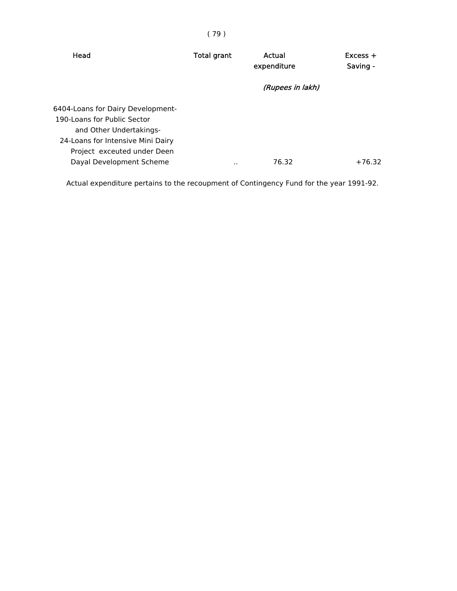| Head                                                                                                                             | <b>Total grant</b> | Actual<br>expenditure | $Excess +$<br>Saving - |
|----------------------------------------------------------------------------------------------------------------------------------|--------------------|-----------------------|------------------------|
|                                                                                                                                  |                    | (Rupees in lakh)      |                        |
| 6404-Loans for Dairy Development-<br>190-Loans for Public Sector<br>and Other Undertakings-<br>24-Loans for Intensive Mini Dairy |                    |                       |                        |
| Project exceuted under Deen<br>Dayal Development Scheme                                                                          | . .                | 76.32                 | $+76.32$               |

Actual expenditure pertains to the recoupment of Contingency Fund for the year 1991-92.

# ( 79 )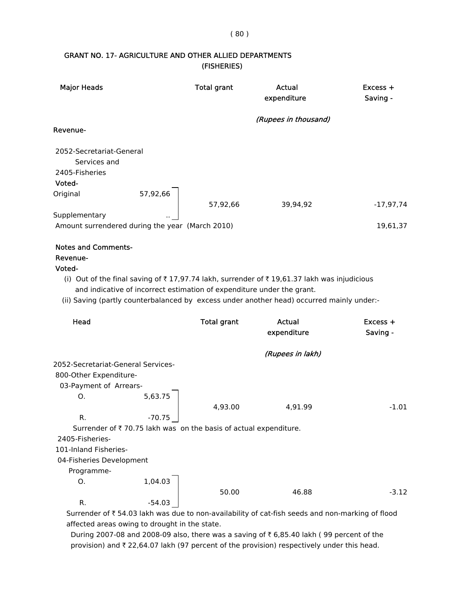### GRANT NO. 17- AGRICULTURE AND OTHER ALLIED DEPARTMENTS (FISHERIES)

| <b>Major Heads</b>                                                                                                                                                                       |                                                                                         | <b>Total grant</b> | Actual<br>expenditure                                                                                                                                                                   | $Excess +$<br>Saving - |
|------------------------------------------------------------------------------------------------------------------------------------------------------------------------------------------|-----------------------------------------------------------------------------------------|--------------------|-----------------------------------------------------------------------------------------------------------------------------------------------------------------------------------------|------------------------|
|                                                                                                                                                                                          |                                                                                         |                    | (Rupees in thousand)                                                                                                                                                                    |                        |
| Revenue-                                                                                                                                                                                 |                                                                                         |                    |                                                                                                                                                                                         |                        |
| 2052-Secretariat-General<br>Services and<br>2405-Fisheries<br>Voted-<br>Original<br>Supplementary                                                                                        | 57,92,66                                                                                | 57,92,66           | 39,94,92                                                                                                                                                                                | $-17,97,74$            |
|                                                                                                                                                                                          | Amount surrendered during the year (March 2010)                                         |                    |                                                                                                                                                                                         | 19,61,37               |
| <b>Notes and Comments-</b><br>Revenue-<br>Voted-                                                                                                                                         | and indicative of incorrect estimation of expenditure under the grant.                  |                    | (i) Out of the final saving of ₹17,97.74 lakh, surrender of ₹19,61.37 lakh was injudicious<br>(ii) Saving (partly counterbalanced by excess under another head) occurred mainly under:- |                        |
| Head                                                                                                                                                                                     |                                                                                         | <b>Total grant</b> | <b>Actual</b>                                                                                                                                                                           | Excess +               |
|                                                                                                                                                                                          |                                                                                         |                    | expenditure                                                                                                                                                                             | Saving -               |
|                                                                                                                                                                                          |                                                                                         |                    | (Rupees in lakh)                                                                                                                                                                        |                        |
| 2052-Secretariat-General Services-<br>800-Other Expenditure-<br>03-Payment of Arrears-<br>О.<br>R.<br>2405-Fisheries-<br>101-Inland Fisheries-<br>04-Fisheries Development<br>Programme- | 5,63.75<br>$-70.75$<br>Surrender of ₹70.75 lakh was on the basis of actual expenditure. | 4,93.00            | 4,91.99                                                                                                                                                                                 | $-1.01$                |
| 0.<br>R.                                                                                                                                                                                 | 1,04.03<br>$-54.03$                                                                     | 50.00              | 46.88                                                                                                                                                                                   | $-3.12$                |

Surrender of ₹ 54.03 lakh was due to non-availability of cat-fish seeds and non-marking of flood affected areas owing to drought in the state.

During 2007-08 and 2008-09 also, there was a saving of  $\bar{\tau}$  6,85.40 lakh (99 percent of the provision) and  $\bar{\tau}$  22,64.07 lakh (97 percent of the provision) respectively under this head.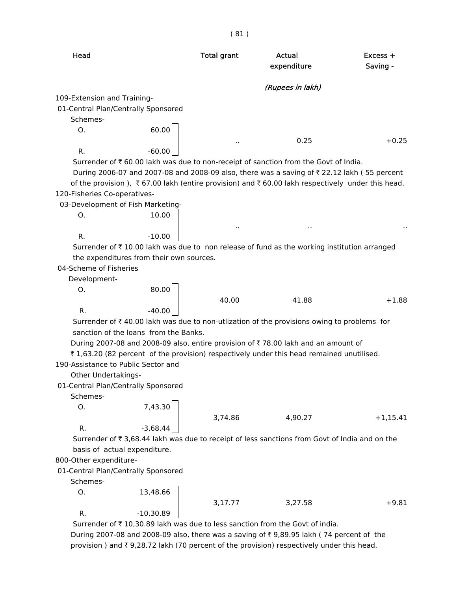|                                     |                                          | (81)               |                                                                                                 |                        |
|-------------------------------------|------------------------------------------|--------------------|-------------------------------------------------------------------------------------------------|------------------------|
| Head                                |                                          | <b>Total grant</b> | Actual<br>expenditure                                                                           | $Excess +$<br>Saving - |
|                                     |                                          |                    | (Rupees in lakh)                                                                                |                        |
| 109-Extension and Training-         |                                          |                    |                                                                                                 |                        |
| 01-Central Plan/Centrally Sponsored |                                          |                    |                                                                                                 |                        |
| Schemes-                            |                                          |                    |                                                                                                 |                        |
| Ο.                                  | 60.00                                    |                    |                                                                                                 |                        |
| R.                                  | $-60.00$                                 |                    | 0.25                                                                                            | $+0.25$                |
|                                     |                                          |                    | Surrender of ₹60.00 lakh was due to non-receipt of sanction from the Govt of India.             |                        |
|                                     |                                          |                    | During 2006-07 and 2007-08 and 2008-09 also, there was a saving of ₹22.12 lakh (55 percent      |                        |
|                                     |                                          |                    | of the provision), ₹67.00 lakh (entire provision) and ₹60.00 lakh respectively under this head. |                        |
| 120-Fisheries Co-operatives-        |                                          |                    |                                                                                                 |                        |
|                                     | 03-Development of Fish Marketing-        |                    |                                                                                                 |                        |
| 0.                                  | 10.00                                    |                    |                                                                                                 |                        |
|                                     |                                          |                    |                                                                                                 |                        |
| R.                                  | $-10.00$                                 |                    |                                                                                                 |                        |
|                                     |                                          |                    | Surrender of ₹10.00 lakh was due to non release of fund as the working institution arranged     |                        |
|                                     | the expenditures from their own sources. |                    |                                                                                                 |                        |
| 04-Scheme of Fisheries              |                                          |                    |                                                                                                 |                        |
| Development-                        |                                          |                    |                                                                                                 |                        |
| Ο.                                  | 80.00                                    |                    |                                                                                                 |                        |
|                                     |                                          | 40.00              | 41.88                                                                                           | $+1.88$                |
| R.                                  | $-40.00$                                 |                    |                                                                                                 |                        |
|                                     |                                          |                    | Surrender of ₹40.00 lakh was due to non-utlization of the provisions owing to problems for      |                        |
|                                     | sanction of the loans from the Banks.    |                    |                                                                                                 |                        |
|                                     |                                          |                    | During 2007-08 and 2008-09 also, entire provision of ₹78.00 lakh and an amount of               |                        |
|                                     |                                          |                    | ₹ 1,63.20 (82 percent of the provision) respectively under this head remained unutilised.       |                        |
| 190-Assistance to Public Sector and |                                          |                    |                                                                                                 |                        |
| Other Undertakings-                 |                                          |                    |                                                                                                 |                        |
| 01-Central Plan/Centrally Sponsored |                                          |                    |                                                                                                 |                        |
| Schemes-                            |                                          |                    |                                                                                                 |                        |
| О.                                  | 7,43.30                                  |                    |                                                                                                 |                        |
|                                     |                                          | 3,74.86            | 4,90.27                                                                                         | $+1,15.41$             |
| R.                                  | $-3,68.44$                               |                    |                                                                                                 |                        |
|                                     |                                          |                    | Surrender of ₹ 3,68.44 lakh was due to receipt of less sanctions from Govt of India and on the  |                        |
|                                     | basis of actual expenditure.             |                    |                                                                                                 |                        |
| 800-Other expenditure-              |                                          |                    |                                                                                                 |                        |
| 01-Central Plan/Centrally Sponsored |                                          |                    |                                                                                                 |                        |
| Schemes-                            |                                          |                    |                                                                                                 |                        |
| О.                                  | 13,48.66                                 |                    |                                                                                                 |                        |
|                                     |                                          | 3,17.77            | 3,27.58                                                                                         | $+9.81$                |
| R.                                  | $-10,30.89$                              |                    |                                                                                                 |                        |

Surrender of  $\bar{\tau}$  10,30.89 lakh was due to less sanction from the Govt of india. During 2007-08 and 2008-09 also, there was a saving of  $\bar{\tau}$  9,89.95 lakh (74 percent of the provision ) and  $\bar{\tau}$  9,28.72 lakh (70 percent of the provision) respectively under this head.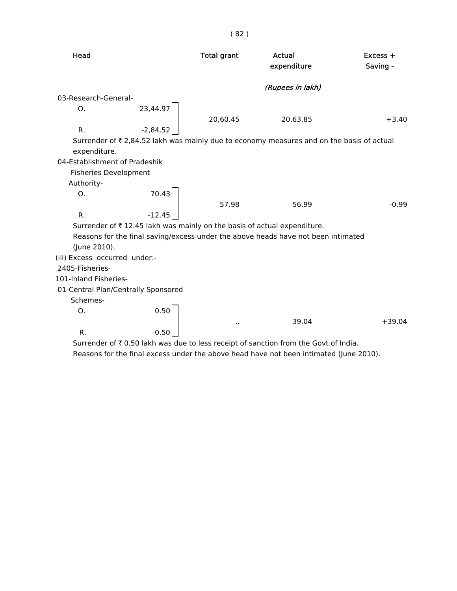| Head                                |            | <b>Total grant</b>   | Actual<br>expenditure                                                                    | $Excess +$<br>Saving - |
|-------------------------------------|------------|----------------------|------------------------------------------------------------------------------------------|------------------------|
|                                     |            |                      | (Rupees in lakh)                                                                         |                        |
| 03-Research-General-                |            |                      |                                                                                          |                        |
| O.                                  | 23,44.97   | 20,60.45             | 20,63.85                                                                                 | $+3.40$                |
| R.                                  | $-2,84.52$ |                      |                                                                                          |                        |
| expenditure.                        |            |                      | Surrender of ₹2,84.52 lakh was mainly due to economy measures and on the basis of actual |                        |
| 04-Establishment of Pradeshik       |            |                      |                                                                                          |                        |
| <b>Fisheries Development</b>        |            |                      |                                                                                          |                        |
| Authority-                          |            |                      |                                                                                          |                        |
| O.                                  | 70.43      |                      |                                                                                          |                        |
|                                     |            | 57.98                | 56.99                                                                                    | $-0.99$                |
| R.                                  | $-12.45$   |                      |                                                                                          |                        |
|                                     |            |                      | Surrender of ₹12.45 lakh was mainly on the basis of actual expenditure.                  |                        |
| (June 2010).                        |            |                      | Reasons for the final saving/excess under the above heads have not been intimated        |                        |
| (iii) Excess occurred under:-       |            |                      |                                                                                          |                        |
| 2405-Fisheries-                     |            |                      |                                                                                          |                        |
| 101-Inland Fisheries-               |            |                      |                                                                                          |                        |
| 01-Central Plan/Centrally Sponsored |            |                      |                                                                                          |                        |
| Schemes-                            |            |                      |                                                                                          |                        |
| O.                                  | 0.50       | $\ddot{\phantom{a}}$ | 39.04                                                                                    | $+39.04$               |
| R.                                  | $-0.50$    |                      |                                                                                          |                        |

Surrender of  $\bar{\tau}$  0.50 lakh was due to less receipt of sanction from the Govt of India. Reasons for the final excess under the above head have not been intimated (June 2010).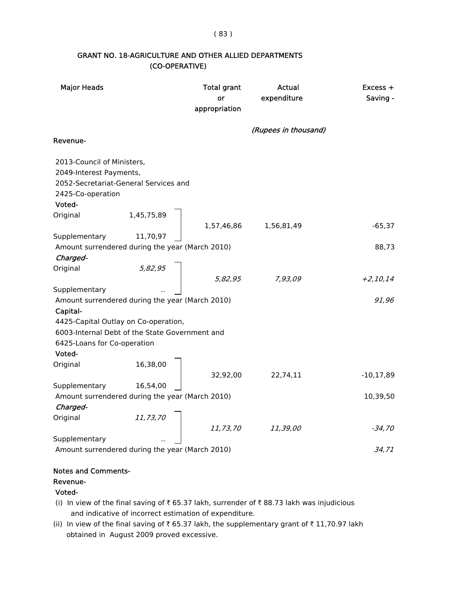( 83 )

## GRANT NO. 18-AGRICULTURE AND OTHER ALLIED DEPARTMENTS (CO-OPERATIVE)

| <b>Major Heads</b>                                          | <b>Total grant</b><br>or<br>appropriation | Actual<br>expenditure | $Excess +$<br>Saving - |
|-------------------------------------------------------------|-------------------------------------------|-----------------------|------------------------|
|                                                             |                                           | (Rupees in thousand)  |                        |
| Revenue-                                                    |                                           |                       |                        |
| 2013-Council of Ministers,                                  |                                           |                       |                        |
| 2049-Interest Payments,                                     |                                           |                       |                        |
| 2052-Secretariat-General Services and<br>2425-Co-operation  |                                           |                       |                        |
| Voted-                                                      |                                           |                       |                        |
| Original<br>1,45,75,89                                      |                                           |                       |                        |
|                                                             | 1,57,46,86                                | 1,56,81,49            | $-65,37$               |
| Supplementary<br>11,70,97                                   |                                           |                       | 88,73                  |
| Amount surrendered during the year (March 2010)<br>Charged- |                                           |                       |                        |
| Original<br>5,82,95                                         |                                           |                       |                        |
|                                                             | 5,82,95                                   | 7,93,09               | $+2,10,14$             |
| Supplementary                                               |                                           |                       |                        |
| Amount surrendered during the year (March 2010)             |                                           |                       | 91,96                  |
| Capital-                                                    |                                           |                       |                        |
| 4425-Capital Outlay on Co-operation,                        |                                           |                       |                        |
| 6003-Internal Debt of the State Government and              |                                           |                       |                        |
| 6425-Loans for Co-operation                                 |                                           |                       |                        |
| Voted-                                                      |                                           |                       |                        |
| Original<br>16,38,00                                        |                                           |                       |                        |
| Supplementary<br>16,54,00                                   | 32,92,00                                  | 22,74,11              | $-10, 17, 89$          |
| Amount surrendered during the year (March 2010)             |                                           |                       | 10,39,50               |
| Charged-                                                    |                                           |                       |                        |
| Original<br>11,73,70                                        |                                           |                       |                        |
|                                                             | 11,73,70                                  | 11,39,00              | $-34,70$               |
| Supplementary                                               |                                           |                       |                        |
| Amount surrendered during the year (March 2010)             |                                           |                       | 34,71                  |

#### Notes and Comments-

#### Revenue-

## Voted-

- (i) In view of the final saving of  $\bar{\tau}$  65.37 lakh, surrender of  $\bar{\tau}$  88.73 lakh was injudicious and indicative of incorrect estimation of expenditure.
- (ii) In view of the final saving of  $\bar{\tau}$  65.37 lakh, the supplementary grant of  $\bar{\tau}$  11,70.97 lakh obtained in August 2009 proved excessive.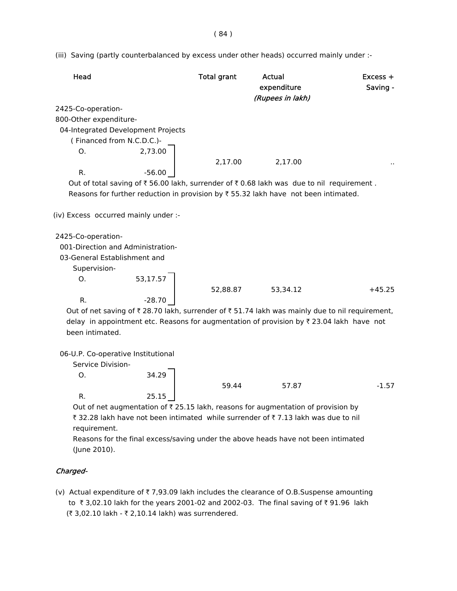( 84 )

(iii) Saving (partly counterbalanced by excess under other heads) occurred mainly under :-

| Head                                 |          | <b>Total grant</b> | Actual<br>expenditure<br>(Rupees in lakh)                                                                               | $Excess +$<br>Saving - |
|--------------------------------------|----------|--------------------|-------------------------------------------------------------------------------------------------------------------------|------------------------|
| 2425-Co-operation-                   |          |                    |                                                                                                                         |                        |
| 800-Other expenditure-               |          |                    |                                                                                                                         |                        |
| 04-Integrated Development Projects   |          |                    |                                                                                                                         |                        |
| (Financed from N.C.D.C.)-            |          |                    |                                                                                                                         |                        |
| O <sub>1</sub>                       | 2,73.00  |                    |                                                                                                                         |                        |
|                                      |          | 2,17.00            | 2,17.00                                                                                                                 |                        |
| R.                                   | $-56.00$ |                    |                                                                                                                         |                        |
|                                      |          |                    | Out of total saving of $\overline{\xi}$ 56.00 lakh, surrender of $\overline{\xi}$ 0.68 lakh was due to nil requirement. |                        |
|                                      |          |                    | Reasons for further reduction in provision by $\overline{\tau}$ 55.32 lakh have not been intimated.                     |                        |
| (iv) Excess occurred mainly under :- |          |                    |                                                                                                                         |                        |
| 2425-Co-operation-                   |          |                    |                                                                                                                         |                        |
| 001-Direction and Administration-    |          |                    |                                                                                                                         |                        |
| 03-General Establishment and         |          |                    |                                                                                                                         |                        |
| Supervision-                         |          |                    |                                                                                                                         |                        |
| O.                                   | 53,17.57 |                    |                                                                                                                         |                        |
|                                      |          | 52,88.87           | 53,34.12                                                                                                                | $+45.25$               |
| R.                                   | $-28.70$ |                    |                                                                                                                         |                        |

Out of net saving of  $\bar{\tau}$  28.70 lakh, surrender of  $\bar{\tau}$  51.74 lakh was mainly due to nil requirement, delay in appointment etc. Reasons for augmentation of provision by  $\bar{\tau}$  23.04 lakh have not been intimated.

| 06-U.P. Co-operative Institutional |
|------------------------------------|
|------------------------------------|

| Service Division- |       |       |       |         |
|-------------------|-------|-------|-------|---------|
| Ő.                | 34.29 |       |       |         |
|                   |       | 59.44 | 57.87 | $-1.57$ |
| R.                | 25.15 |       |       |         |

Out of net augmentation of  $\bar{\tau}$  25.15 lakh, reasons for augmentation of provision by ₹ 32.28 lakh have not been intimated while surrender of ₹7.13 lakh was due to nil requirement.

 Reasons for the final excess/saving under the above heads have not been intimated (June 2010).

#### Charged-

(v) Actual expenditure of  $\bar{\tau}$  7,93.09 lakh includes the clearance of O.B.Suspense amounting to  $\bar{\tau}$  3,02.10 lakh for the years 2001-02 and 2002-03. The final saving of  $\bar{\tau}$  91.96 lakh (₹ 3,02.10 lakh - ₹ 2,10.14 lakh) was surrendered.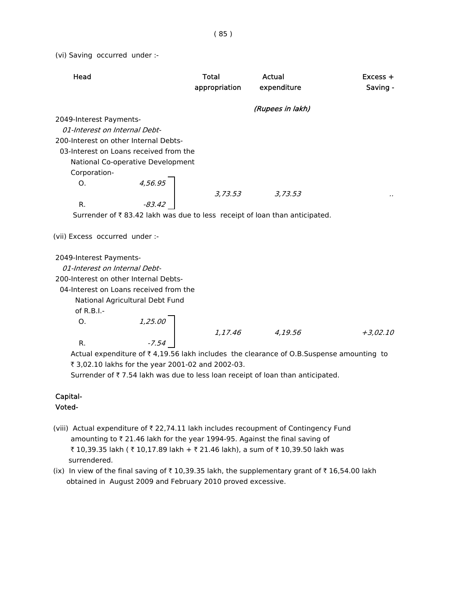(vi) Saving occurred under :-

| Head                                                                                                | <b>Total</b><br>appropriation | Actual<br>expenditure | $Excess +$<br>Saving - |
|-----------------------------------------------------------------------------------------------------|-------------------------------|-----------------------|------------------------|
|                                                                                                     |                               | (Rupees in lakh)      |                        |
| 2049-Interest Payments-                                                                             |                               |                       |                        |
| 01-Interest on Internal Debt-                                                                       |                               |                       |                        |
| 200-Interest on other Internal Debts-                                                               |                               |                       |                        |
| 03-Interest on Loans received from the                                                              |                               |                       |                        |
| National Co-operative Development                                                                   |                               |                       |                        |
| Corporation-                                                                                        |                               |                       |                        |
| $4,56.95$<br>$-83.42$<br>O <sub>1</sub>                                                             |                               |                       |                        |
|                                                                                                     | 3,73.53                       | 3,73.53               |                        |
| R.                                                                                                  |                               |                       |                        |
| Surrender of ₹83.42 lakh was due to less receipt of loan than anticipated.                          |                               |                       |                        |
| (vii) Excess occurred under :-                                                                      |                               |                       |                        |
| 2049-Interest Payments-                                                                             |                               |                       |                        |
| 01-Interest on Internal Debt-                                                                       |                               |                       |                        |
| 200-Interest on other Internal Debts-                                                               |                               |                       |                        |
| 04-Interest on Loans received from the                                                              |                               |                       |                        |
| National Agricultural Debt Fund                                                                     |                               |                       |                        |
| of R.B.I.-                                                                                          |                               |                       |                        |
| O <sub>1</sub>                                                                                      |                               |                       |                        |
| $1,25.00$<br>$-7.54$                                                                                | 1,17.46                       | 4,19.56               | $+3,02.10$             |
| R.                                                                                                  |                               |                       |                        |
| Actual expenditure of $\bar{\tau}$ 4,19.56 lakh includes the clearance of O.B.Suspense amounting to |                               |                       |                        |

₹ 3,02.10 lakhs for the year 2001-02 and 2002-03.

Surrender of  $\bar{\tau}$  7.54 lakh was due to less loan receipt of loan than anticipated.

#### Capital- Voted-

- (viii) Actual expenditure of  $\bar{\tau}$  22,74.11 lakh includes recoupment of Contingency Fund amounting to  $\bar{\tau}$  21.46 lakh for the year 1994-95. Against the final saving of ₹ 10,39.35 lakh ( ₹ 10,17.89 lakh + ₹ 21.46 lakh), a sum of ₹ 10,39.50 lakh was
	- surrendered. (ix) In view of the final saving of  $\bar{\tau}$  10,39.35 lakh, the supplementary grant of  $\bar{\tau}$  16,54.00 lakh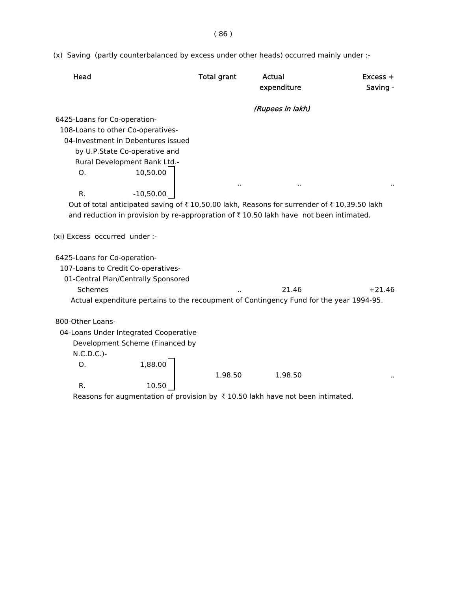( 86 )

(x) Saving (partly counterbalanced by excess under other heads) occurred mainly under :-

| Head                               |                                       | <b>Total grant</b> | Actual<br>expenditure                                                                      | $Excess +$<br>Saving - |
|------------------------------------|---------------------------------------|--------------------|--------------------------------------------------------------------------------------------|------------------------|
|                                    |                                       |                    | (Rupees in lakh)                                                                           |                        |
| 6425-Loans for Co-operation-       |                                       |                    |                                                                                            |                        |
| 108-Loans to other Co-operatives-  |                                       |                    |                                                                                            |                        |
|                                    | 04-Investment in Debentures issued    |                    |                                                                                            |                        |
|                                    | by U.P.State Co-operative and         |                    |                                                                                            |                        |
|                                    | Rural Development Bank Ltd.-          |                    |                                                                                            |                        |
| O <sub>1</sub>                     | 10,50.00                              |                    |                                                                                            |                        |
| R.                                 | $-10,50.00$                           |                    |                                                                                            |                        |
|                                    |                                       |                    |                                                                                            |                        |
|                                    |                                       |                    | Out of total anticipated saving of ₹10,50.00 lakh, Reasons for surrender of ₹10,39.50 lakh |                        |
|                                    |                                       |                    | and reduction in provision by re-appropration of ₹ 10.50 lakh have not been intimated.     |                        |
| (xi) Excess occurred under :-      |                                       |                    |                                                                                            |                        |
| 6425-Loans for Co-operation-       |                                       |                    |                                                                                            |                        |
| 107-Loans to Credit Co-operatives- |                                       |                    |                                                                                            |                        |
|                                    | 01-Central Plan/Centrally Sponsored   |                    |                                                                                            |                        |
| Schemes                            |                                       |                    | 21.46                                                                                      | $+21.46$               |
|                                    |                                       |                    | Actual expenditure pertains to the recoupment of Contingency Fund for the year 1994-95.    |                        |
|                                    |                                       |                    |                                                                                            |                        |
| 800-Other Loans-                   |                                       |                    |                                                                                            |                        |
|                                    | 04-Loans Under Integrated Cooperative |                    |                                                                                            |                        |
|                                    | Development Scheme (Financed by       |                    |                                                                                            |                        |
| $N.C.D.C.$ )-                      |                                       |                    |                                                                                            |                        |
| Ο.                                 | 1,88.00                               |                    |                                                                                            |                        |
|                                    |                                       | 1,98.50            | 1,98.50                                                                                    |                        |
| R.                                 | 10.50                                 |                    |                                                                                            |                        |
|                                    |                                       |                    |                                                                                            |                        |

Reasons for augmentation of provision by  $\bar{\tau}$  10.50 lakh have not been intimated.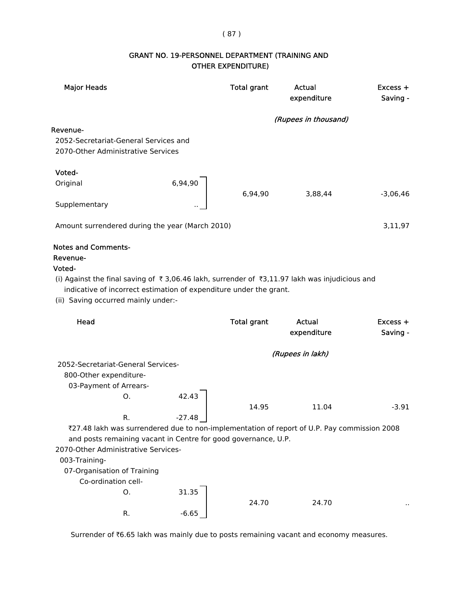## ( 87 )

## GRANT NO. 19-PERSONNEL DEPARTMENT (TRAINING AND OTHER EXPENDITURE)

| <b>Major Heads</b>                                                                            |          | <b>Total grant</b> | Actual<br>expenditure | Excess +<br>Saving - |
|-----------------------------------------------------------------------------------------------|----------|--------------------|-----------------------|----------------------|
|                                                                                               |          |                    | (Rupees in thousand)  |                      |
| Revenue-                                                                                      |          |                    |                       |                      |
| 2052-Secretariat-General Services and                                                         |          |                    |                       |                      |
| 2070-Other Administrative Services                                                            |          |                    |                       |                      |
| Voted-                                                                                        |          |                    |                       |                      |
| Original                                                                                      | 6,94,90  |                    |                       |                      |
| Supplementary                                                                                 |          | 6,94,90            | 3,88,44               | $-3,06,46$           |
|                                                                                               |          |                    |                       |                      |
| Amount surrendered during the year (March 2010)                                               |          |                    |                       | 3,11,97              |
| <b>Notes and Comments-</b><br>Revenue-                                                        |          |                    |                       |                      |
| Voted-                                                                                        |          |                    |                       |                      |
| (i) Against the final saving of ₹3,06.46 lakh, surrender of ₹3,11.97 lakh was injudicious and |          |                    |                       |                      |
| indicative of incorrect estimation of expenditure under the grant.                            |          |                    |                       |                      |
| (ii) Saving occurred mainly under:-                                                           |          |                    |                       |                      |
|                                                                                               |          |                    |                       |                      |
| Head                                                                                          |          | <b>Total grant</b> | Actual                | $Excess +$           |
|                                                                                               |          |                    | expenditure           | Saving -             |
|                                                                                               |          |                    | (Rupees in lakh)      |                      |
| 2052-Secretariat-General Services-                                                            |          |                    |                       |                      |
| 800-Other expenditure-                                                                        |          |                    |                       |                      |
| 03-Payment of Arrears-                                                                        |          |                    |                       |                      |
| Ο.                                                                                            | 42.43    |                    |                       |                      |
|                                                                                               |          | 14.95              | 11.04                 | $-3.91$              |
| R.                                                                                            | $-27.48$ |                    |                       |                      |
| ₹27.48 lakh was surrendered due to non-implementation of report of U.P. Pay commission 2008   |          |                    |                       |                      |
| and posts remaining vacant in Centre for good governance, U.P.                                |          |                    |                       |                      |
| 2070-Other Administrative Services-                                                           |          |                    |                       |                      |
| 003-Training-                                                                                 |          |                    |                       |                      |
| 07-Organisation of Training                                                                   |          |                    |                       |                      |
| Co-ordination cell-                                                                           |          |                    |                       |                      |
| 0.                                                                                            | 31.35    | 24.70              | 24.70                 |                      |

Surrender of ₹6.65 lakh was mainly due to posts remaining vacant and economy measures.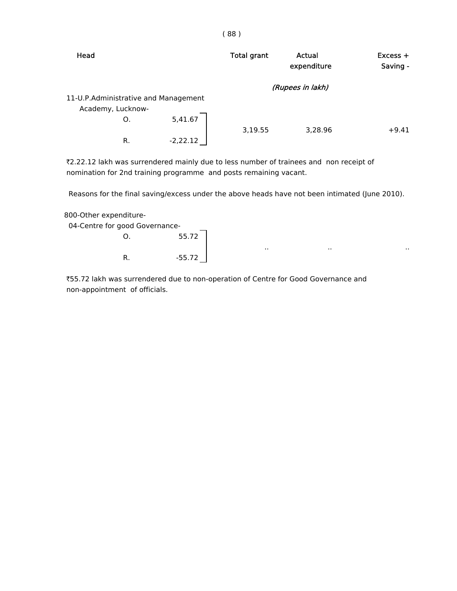| Head                                 |            | <b>Total grant</b> | Actual<br>expenditure | Excess +<br>Saving - |
|--------------------------------------|------------|--------------------|-----------------------|----------------------|
|                                      |            |                    | (Rupees in lakh)      |                      |
| 11-U.P.Administrative and Management |            |                    |                       |                      |
| Academy, Lucknow-                    |            |                    |                       |                      |
| O.                                   | 5,41.67    |                    |                       |                      |
|                                      |            | 3,19.55            | 3,28.96               | $+9.41$              |
| R.                                   | $-2,22.12$ |                    |                       |                      |

₹2.22.12 lakh was surrendered mainly due to less number of trainees and non receipt of nomination for 2nd training programme and posts remaining vacant.

Reasons for the final saving/excess under the above heads have not been intimated (June 2010).

800-Other expenditure-

|    | 55.72    |                                |     |     |
|----|----------|--------------------------------|-----|-----|
|    |          | . .                            | . . | . . |
| R. | $-55.72$ |                                |     |     |
|    |          | 04-Centre for good Governance- |     |     |

 `55.72 lakh was surrendered due to non-operation of Centre for Good Governance and non-appointment of officials.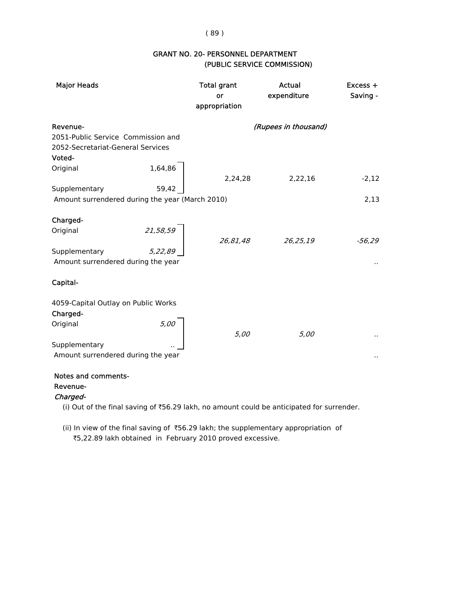# (PUBLIC SERVICE COMMISSION) GRANT NO. 20- PERSONNEL DEPARTMENT

| <b>Major Heads</b>                                                                            |                     | <b>Total grant</b><br>or<br>appropriation | Actual<br>expenditure | Excess +<br>Saving - |
|-----------------------------------------------------------------------------------------------|---------------------|-------------------------------------------|-----------------------|----------------------|
| Revenue-<br>2051-Public Service Commission and<br>2052-Secretariat-General Services<br>Voted- |                     |                                           | (Rupees in thousand)  |                      |
| Original                                                                                      | 1,64,86             | 2,24,28                                   | 2,22,16               | $-2,12$              |
| Supplementary<br>Amount surrendered during the year (March 2010)                              | 59,42               |                                           |                       | 2,13                 |
| Charged-<br>Original<br>Supplementary<br>Amount surrendered during the year                   | 21,58,59<br>5,22,89 | 26,81,48                                  | 26,25,19              | $-56,29$             |
| Capital-<br>4059-Capital Outlay on Public Works                                               |                     |                                           |                       |                      |
| Charged-<br>Original<br>Supplementary<br>Amount surrendered during the year                   | 5,00                | 5,00                                      | 5,00                  |                      |

### Notes and comments-

#### Revenue-

Charged-

(i) Out of the final saving of  $\text{\texttt{56.29}}$  lakh, no amount could be anticipated for surrender.

 (ii) In view of the final saving of `56.29 lakh; the supplementary appropriation of `5,22.89 lakh obtained in February 2010 proved excessive.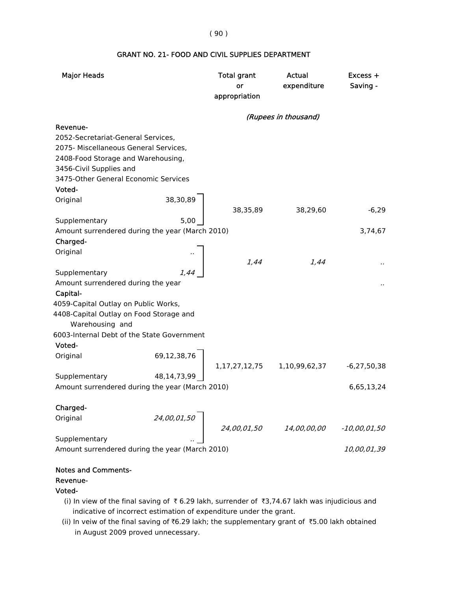### GRANT NO. 21- FOOD AND CIVIL SUPPLIES DEPARTMENT

| <b>Major Heads</b>                                               |             | <b>Total grant</b><br>or<br>appropriation | <b>Actual</b><br>expenditure | Excess +<br>Saving - |
|------------------------------------------------------------------|-------------|-------------------------------------------|------------------------------|----------------------|
|                                                                  |             |                                           | (Rupees in thousand)         |                      |
| Revenue-                                                         |             |                                           |                              |                      |
| 2052-Secretariat-General Services,                               |             |                                           |                              |                      |
| 2075- Miscellaneous General Services,                            |             |                                           |                              |                      |
| 2408-Food Storage and Warehousing,                               |             |                                           |                              |                      |
| 3456-Civil Supplies and                                          |             |                                           |                              |                      |
| 3475-Other General Economic Services                             |             |                                           |                              |                      |
| Voted-                                                           |             |                                           |                              |                      |
| Original                                                         | 38,30,89    |                                           |                              |                      |
|                                                                  |             | 38,35,89                                  | 38,29,60                     | $-6,29$              |
| Supplementary                                                    | 5,00        |                                           |                              |                      |
| Amount surrendered during the year (March 2010)                  |             |                                           |                              | 3,74,67              |
| Charged-<br>Original                                             |             |                                           |                              |                      |
|                                                                  |             | 1.44                                      | 1.44                         |                      |
| Supplementary                                                    | 1.44        |                                           |                              |                      |
| Amount surrendered during the year                               |             |                                           |                              |                      |
| Capital-                                                         |             |                                           |                              |                      |
| 4059-Capital Outlay on Public Works,                             |             |                                           |                              |                      |
| 4408-Capital Outlay on Food Storage and<br>Warehousing and       |             |                                           |                              |                      |
| 6003-Internal Debt of the State Government                       |             |                                           |                              |                      |
| Voted-                                                           |             |                                           |                              |                      |
| Original                                                         | 69,12,38,76 |                                           |                              |                      |
|                                                                  |             | 1, 17, 27, 12, 75                         | 1,10,99,62,37                | $-6,27,50,38$        |
| Supplementary                                                    | 48,14,73,99 |                                           |                              |                      |
| Amount surrendered during the year (March 2010)                  |             |                                           |                              | 6,65,13,24           |
|                                                                  |             |                                           |                              |                      |
| Charged-                                                         |             |                                           |                              |                      |
| Original                                                         | 24,00,01,50 |                                           |                              |                      |
|                                                                  |             | 24,00,01,50                               | <i>14,00,00,00</i>           | -10,00,01,50         |
| Supplementary<br>Amount surrendered during the year (March 2010) |             |                                           |                              |                      |
|                                                                  |             |                                           |                              | 10,00,01,39          |
|                                                                  |             |                                           |                              |                      |

#### Notes and Comments-

#### Revenue-

#### Voted-

- (i) In view of the final saving of  $\bar{\tau}$  6.29 lakh, surrender of  $\bar{\tau}$ 3,74.67 lakh was injudicious and indicative of incorrect estimation of expenditure under the grant.
- in August 2009 proved unnecessary. (ii) In veiw of the final saving of  $\bar{t}6.29$  lakh; the supplementary grant of  $\bar{t}5.00$  lakh obtained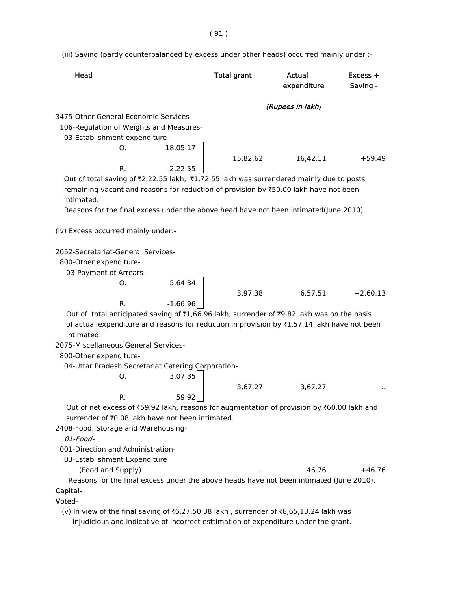(iii) Saving (partly counterbalanced by excess under other heads) occurred mainly under :-

| Head                                                                                                                                                                                                                                                                                         |            | <b>Total grant</b> | Actual<br>expenditure | $Excess +$<br>Saving - |
|----------------------------------------------------------------------------------------------------------------------------------------------------------------------------------------------------------------------------------------------------------------------------------------------|------------|--------------------|-----------------------|------------------------|
|                                                                                                                                                                                                                                                                                              |            |                    | (Rupees in lakh)      |                        |
| 3475-Other General Economic Services-<br>106-Regulation of Weights and Measures-<br>03-Establishment expenditure-<br>0.                                                                                                                                                                      |            |                    |                       |                        |
|                                                                                                                                                                                                                                                                                              | 18,05.17   | 15,82.62           | 16,42.11              | $+59.49$               |
| R.<br>Out of total saving of ₹2,22.55 lakh, ₹1,72.55 lakh was surrendered mainly due to posts<br>remaining vacant and reasons for reduction of provision by ₹50.00 lakh have not been<br>intimated.<br>Reasons for the final excess under the above head have not been intimated(June 2010). | $-2,22.55$ |                    |                       |                        |
| (iv) Excess occurred mainly under:-                                                                                                                                                                                                                                                          |            |                    |                       |                        |
| 2052-Secretariat-General Services-<br>800-Other expenditure-<br>03-Payment of Arrears-                                                                                                                                                                                                       |            |                    |                       |                        |
| O.                                                                                                                                                                                                                                                                                           | 5,64.34    |                    |                       |                        |
|                                                                                                                                                                                                                                                                                              |            | 3,97.38            | 6,57.51               | $+2,60.13$             |
| R.                                                                                                                                                                                                                                                                                           | $-1,66.96$ |                    |                       |                        |
| Out of total anticipated saving of ₹1,66.96 lakh; surrender of ₹9.82 lakh was on the basis<br>of actual expenditure and reasons for reduction in provision by ₹1,57.14 lakh have not been<br>intimated.                                                                                      |            |                    |                       |                        |
| 2075-Miscellaneous General Services-                                                                                                                                                                                                                                                         |            |                    |                       |                        |
| 800-Other expenditure-                                                                                                                                                                                                                                                                       |            |                    |                       |                        |
| 04-Uttar Pradesh Secretariat Catering Corporation-                                                                                                                                                                                                                                           |            |                    |                       |                        |
| O.                                                                                                                                                                                                                                                                                           | 3,07.35    |                    |                       |                        |
|                                                                                                                                                                                                                                                                                              |            | 3,67.27            | 3,67.27               |                        |
| R.                                                                                                                                                                                                                                                                                           | 59.92      |                    |                       |                        |
| Out of net excess of ₹59.92 lakh, reasons for augmentation of provision by ₹60.00 lakh and                                                                                                                                                                                                   |            |                    |                       |                        |
| surrender of ₹0.08 lakh have not been intimated.                                                                                                                                                                                                                                             |            |                    |                       |                        |
| 2408-Food, Storage and Warehousing-                                                                                                                                                                                                                                                          |            |                    |                       |                        |
| 01-Food-<br>001-Direction and Administration-                                                                                                                                                                                                                                                |            |                    |                       |                        |
| 03-Establishment Expenditure                                                                                                                                                                                                                                                                 |            |                    |                       |                        |
| (Food and Supply)                                                                                                                                                                                                                                                                            |            |                    | 46.76                 | $+46.76$               |
| Reasons for the final excess under the above heads have not been intimated (June 2010).                                                                                                                                                                                                      |            |                    |                       |                        |
| Capital-                                                                                                                                                                                                                                                                                     |            |                    |                       |                        |
| Voted-                                                                                                                                                                                                                                                                                       |            |                    |                       |                        |
| (v) In view of the final saving of ₹6,27,50.38 lakh, surrender of ₹6,65,13.24 lakh was                                                                                                                                                                                                       |            |                    |                       |                        |

injudicious and indicative of incorrect esttimation of expenditure under the grant.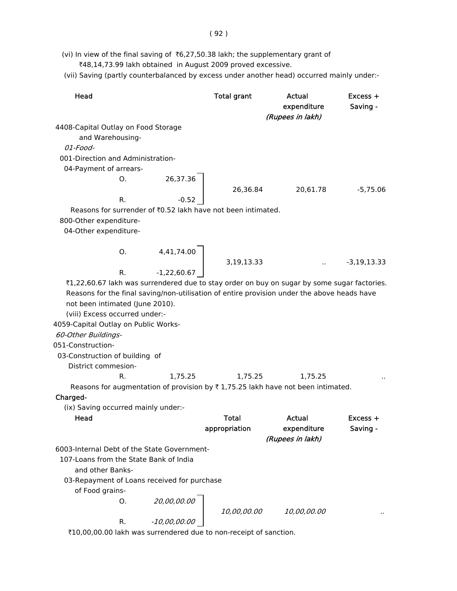(vii) Saving (partly counterbalanced by excess under another head) occurred mainly under:-

| Head                                                                                        |                                     | <b>Total grant</b> | Actual<br>expenditure | Excess +<br>Saving - |
|---------------------------------------------------------------------------------------------|-------------------------------------|--------------------|-----------------------|----------------------|
|                                                                                             |                                     |                    | (Rupees in lakh)      |                      |
| 4408-Capital Outlay on Food Storage                                                         |                                     |                    |                       |                      |
| and Warehousing-                                                                            |                                     |                    |                       |                      |
| $01$ -Food-                                                                                 |                                     |                    |                       |                      |
| 001-Direction and Administration-                                                           |                                     |                    |                       |                      |
| 04-Payment of arrears-                                                                      |                                     |                    |                       |                      |
|                                                                                             |                                     | 26,36.84           |                       |                      |
|                                                                                             | 0. $26,37.36$<br>R. $-0.52$         |                    | 20,61.78              | $-5,75.06$           |
|                                                                                             |                                     |                    |                       |                      |
| Reasons for surrender of ₹0.52 lakh have not been intimated.                                |                                     |                    |                       |                      |
| 800-Other expenditure-                                                                      |                                     |                    |                       |                      |
| 04-Other expenditure-                                                                       |                                     |                    |                       |                      |
|                                                                                             |                                     |                    |                       |                      |
|                                                                                             |                                     |                    |                       |                      |
|                                                                                             | 0. $4,41,74.00$<br>R. $-1,22,60.67$ | 3,19,13.33         |                       | $\ldots$ -3,19,13.33 |
|                                                                                             |                                     |                    |                       |                      |
| ₹1,22,60.67 lakh was surrendered due to stay order on buy on sugar by some sugar factories. |                                     |                    |                       |                      |
| Reasons for the final saving/non-utilisation of entire provision under the above heads have |                                     |                    |                       |                      |
| not been intimated (June 2010).                                                             |                                     |                    |                       |                      |
| (viii) Excess occurred under:-                                                              |                                     |                    |                       |                      |
| 4059-Capital Outlay on Public Works-                                                        |                                     |                    |                       |                      |
| 60-Other Buildings-                                                                         |                                     |                    |                       |                      |
| 051-Construction-                                                                           |                                     |                    |                       |                      |
| 03-Construction of building of                                                              |                                     |                    |                       |                      |
| District commesion-                                                                         |                                     |                    |                       |                      |
| R.                                                                                          | 1,75.25                             |                    | 1,75.25<br>1,75.25    |                      |
| Reasons for augmentation of provision by ₹1,75.25 lakh have not been intimated.             |                                     |                    |                       |                      |
| Charged-                                                                                    |                                     |                    |                       |                      |
| (ix) Saving occurred mainly under:-                                                         |                                     |                    |                       |                      |
| Head                                                                                        |                                     | Total              | Actual                | Excess +             |
|                                                                                             |                                     | appropriation      | expenditure           | Saving -             |
|                                                                                             |                                     |                    | (Rupees in lakh)      |                      |
| 6003-Internal Debt of the State Government-                                                 |                                     |                    |                       |                      |
| 107-Loans from the State Bank of India                                                      |                                     |                    |                       |                      |
| and other Banks-                                                                            |                                     |                    |                       |                      |
| 03-Repayment of Loans received for purchase                                                 |                                     |                    |                       |                      |
| of Food grains-                                                                             |                                     |                    |                       |                      |
| Ο.                                                                                          |                                     |                    |                       |                      |
|                                                                                             | 20,00,00.00<br>-10,00,00.00         | 10,00,00.00        | 10,00,00.00           |                      |
| R.                                                                                          |                                     |                    |                       |                      |
| ₹10,00,00.00 lakh was surrendered due to non-receipt of sanction.                           |                                     |                    |                       |                      |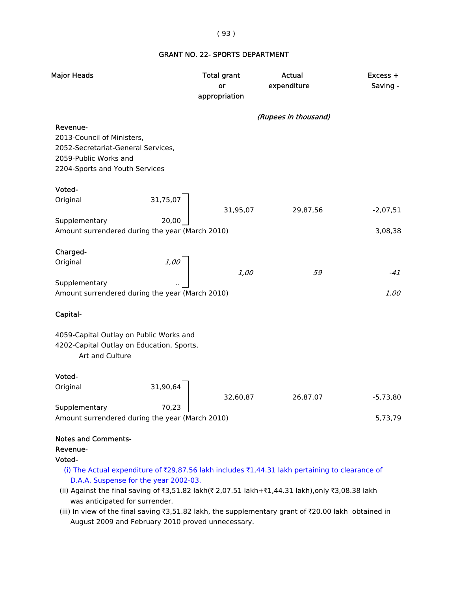#### ( 93 )

### GRANT NO. 22- SPORTS DEPARTMENT

| Major Heads                                                                                                                                                                                                                               | <b>Total grant</b><br>or<br>appropriation | <b>Actual</b><br>expenditure | Excess +<br>Saving - |
|-------------------------------------------------------------------------------------------------------------------------------------------------------------------------------------------------------------------------------------------|-------------------------------------------|------------------------------|----------------------|
|                                                                                                                                                                                                                                           |                                           | (Rupees in thousand)         |                      |
| Revenue-<br>2013-Council of Ministers,<br>2052-Secretariat-General Services,<br>2059-Public Works and<br>2204-Sports and Youth Services                                                                                                   |                                           |                              |                      |
| Voted-                                                                                                                                                                                                                                    |                                           |                              |                      |
| 31,75,07<br>Original                                                                                                                                                                                                                      | 31,95,07                                  | 29,87,56                     | $-2,07,51$           |
| Supplementary<br>20,00                                                                                                                                                                                                                    |                                           |                              |                      |
| Amount surrendered during the year (March 2010)                                                                                                                                                                                           |                                           |                              | 3,08,38              |
| Charged-                                                                                                                                                                                                                                  |                                           |                              |                      |
| 1,00<br>Original                                                                                                                                                                                                                          |                                           |                              |                      |
|                                                                                                                                                                                                                                           | 1,00                                      | 59                           | -41                  |
| Supplementary<br>Amount surrendered during the year (March 2010)                                                                                                                                                                          |                                           |                              | 1,00                 |
| Capital-                                                                                                                                                                                                                                  |                                           |                              |                      |
| 4059-Capital Outlay on Public Works and<br>4202-Capital Outlay on Education, Sports,<br>Art and Culture                                                                                                                                   |                                           |                              |                      |
| Voted-                                                                                                                                                                                                                                    |                                           |                              |                      |
| Original<br>31,90,64                                                                                                                                                                                                                      | 32,60,87                                  | 26,87,07                     | $-5,73,80$           |
| Supplementary<br>70,23<br>Amount surrendered during the year (March 2010)                                                                                                                                                                 |                                           |                              | 5,73,79              |
| <b>Notes and Comments-</b><br>Revenue-<br>Voted-                                                                                                                                                                                          |                                           |                              |                      |
| (i) The Actual expenditure of ₹29,87.56 lakh includes ₹1,44.31 lakh pertaining to clearance of<br>D.A.A. Suspense for the year 2002-03.<br>(ii) Against the final saving of ₹3.51.82 lakh(₹2.07.51 lakh+₹1.44.31 lakh) only ₹3.08.38 lakh |                                           |                              |                      |

- (ii) Against the final saving of ₹3,51.82 lakh(₹2,07.51 lakh+₹1,44.31 lakh),only ₹3,08.38 lakh was anticipated for surrender.
- (iii) In view of the final saving  $\overline{3}$ ,51.82 lakh, the supplementary grant of  $\overline{2}$ 0.00 lakh obtained in August 2009 and February 2010 proved unnecessary.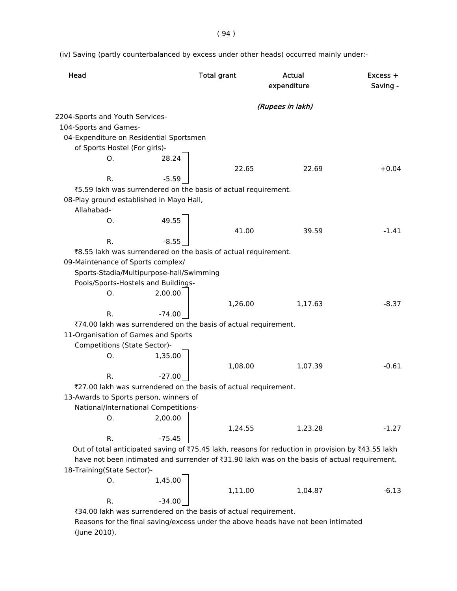( 94 )

(iv) Saving (partly counterbalanced by excess under other heads) occurred mainly under:-

| Head                                                                                                      | <b>Total grant</b> | Actual<br>expenditure | $Excess +$<br>Saving - |
|-----------------------------------------------------------------------------------------------------------|--------------------|-----------------------|------------------------|
|                                                                                                           |                    | (Rupees in lakh)      |                        |
| 2204-Sports and Youth Services-                                                                           |                    |                       |                        |
| 104-Sports and Games-                                                                                     |                    |                       |                        |
| 04-Expenditure on Residential Sportsmen                                                                   |                    |                       |                        |
| of Sports Hostel (For girls)-                                                                             |                    |                       |                        |
| О.<br>28.24                                                                                               |                    |                       |                        |
|                                                                                                           | 22.65              | 22.69                 | $+0.04$                |
| R.<br>$-5.59$                                                                                             |                    |                       |                        |
| ₹5.59 lakh was surrendered on the basis of actual requirement.                                            |                    |                       |                        |
| 08-Play ground established in Mayo Hall,                                                                  |                    |                       |                        |
| Allahabad-                                                                                                |                    |                       |                        |
| 49.55<br>O.                                                                                               |                    |                       |                        |
|                                                                                                           | 41.00              | 39.59                 | $-1.41$                |
| R.<br>$-8.55$                                                                                             |                    |                       |                        |
| ₹8.55 lakh was surrendered on the basis of actual requirement.                                            |                    |                       |                        |
| 09-Maintenance of Sports complex/                                                                         |                    |                       |                        |
| Sports-Stadia/Multipurpose-hall/Swimming                                                                  |                    |                       |                        |
| Pools/Sports-Hostels and Buildings-                                                                       |                    |                       |                        |
| 2,00.00<br>O.                                                                                             |                    |                       |                        |
|                                                                                                           | 1,26.00            | 1,17.63               | $-8.37$                |
| $-74.00$<br>R.                                                                                            |                    |                       |                        |
| ₹74.00 lakh was surrendered on the basis of actual requirement.                                           |                    |                       |                        |
| 11-Organisation of Games and Sports                                                                       |                    |                       |                        |
| Competitions (State Sector)-                                                                              |                    |                       |                        |
| 1,35.00<br>O.                                                                                             |                    |                       |                        |
|                                                                                                           | 1,08.00            | 1,07.39               | $-0.61$                |
| R.<br>$-27.00$                                                                                            |                    |                       |                        |
| ₹27.00 lakh was surrendered on the basis of actual requirement.<br>13-Awards to Sports person, winners of |                    |                       |                        |
| National/International Competitions-                                                                      |                    |                       |                        |
| 2,00.00<br>О.                                                                                             |                    |                       |                        |
|                                                                                                           | 1,24.55            | 1,23.28               | $-1.27$                |
| R.<br>$-75.45$                                                                                            |                    |                       |                        |
| Out of total anticipated saving of ₹75.45 lakh, reasons for reduction in provision by ₹43.55 lakh         |                    |                       |                        |
| have not been intimated and surrender of ₹31.90 lakh was on the basis of actual requirement.              |                    |                       |                        |
| 18-Training(State Sector)-                                                                                |                    |                       |                        |
| 1,45.00<br>О.                                                                                             |                    |                       |                        |
|                                                                                                           | 1,11.00            | 1,04.87               | $-6.13$                |
| R.<br>$-34.00$                                                                                            |                    |                       |                        |
| ₹34.00 lakh was surrendered on the basis of actual requirement.                                           |                    |                       |                        |

 Reasons for the final saving/excess under the above heads have not been intimated (June 2010).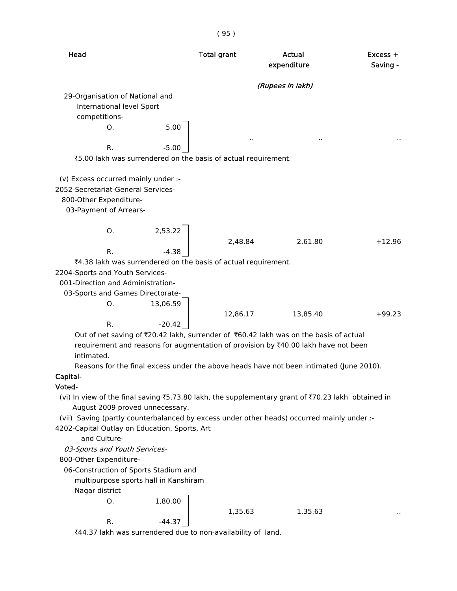| Head                                                           |          | <b>Total grant</b> | Actual<br>expenditure                                                                              | $Excess +$<br>Saving - |
|----------------------------------------------------------------|----------|--------------------|----------------------------------------------------------------------------------------------------|------------------------|
|                                                                |          |                    | (Rupees in lakh)                                                                                   |                        |
| 29-Organisation of National and                                |          |                    |                                                                                                    |                        |
| International level Sport                                      |          |                    |                                                                                                    |                        |
| competitions-                                                  |          |                    |                                                                                                    |                        |
| Ο.                                                             | 5.00     |                    |                                                                                                    |                        |
|                                                                |          |                    |                                                                                                    |                        |
| R.                                                             | $-5.00$  |                    |                                                                                                    |                        |
| ₹5.00 lakh was surrendered on the basis of actual requirement. |          |                    |                                                                                                    |                        |
| (v) Excess occurred mainly under :-                            |          |                    |                                                                                                    |                        |
| 2052-Secretariat-General Services-                             |          |                    |                                                                                                    |                        |
| 800-Other Expenditure-                                         |          |                    |                                                                                                    |                        |
| 03-Payment of Arrears-                                         |          |                    |                                                                                                    |                        |
|                                                                |          |                    |                                                                                                    |                        |
| O.                                                             | 2,53.22  |                    |                                                                                                    |                        |
|                                                                |          | 2,48.84            | 2,61.80                                                                                            | $+12.96$               |
| R.                                                             | $-4.38$  |                    |                                                                                                    |                        |
| ₹4.38 lakh was surrendered on the basis of actual requirement. |          |                    |                                                                                                    |                        |
| 2204-Sports and Youth Services-                                |          |                    |                                                                                                    |                        |
| 001-Direction and Administration-                              |          |                    |                                                                                                    |                        |
| 03-Sports and Games Directorate-                               |          |                    |                                                                                                    |                        |
| О.                                                             | 13,06.59 |                    |                                                                                                    |                        |
|                                                                |          | 12,86.17           | 13,85.40                                                                                           | $+99.23$               |
| R.                                                             | $-20.42$ |                    |                                                                                                    |                        |
|                                                                |          |                    | Out of net saving of ₹20.42 lakh, surrender of ₹60.42 lakh was on the basis of actual              |                        |
|                                                                |          |                    | requirement and reasons for augmentation of provision by ₹40.00 lakh have not been                 |                        |
| intimated.                                                     |          |                    |                                                                                                    |                        |
|                                                                |          |                    | Reasons for the final excess under the above heads have not been intimated (June 2010).            |                        |
| Capital-                                                       |          |                    |                                                                                                    |                        |
| Voted-                                                         |          |                    |                                                                                                    |                        |
|                                                                |          |                    | (vi) In view of the final saving ₹5,73.80 lakh, the supplementary grant of ₹70.23 lakh obtained in |                        |
| August 2009 proved unnecessary.                                |          |                    | (vii) Saving (partly counterbalanced by excess under other heads) occurred mainly under :-         |                        |
| 4202-Capital Outlay on Education, Sports, Art                  |          |                    |                                                                                                    |                        |
| and Culture-                                                   |          |                    |                                                                                                    |                        |
| 03-Sports and Youth Services-                                  |          |                    |                                                                                                    |                        |
| 800-Other Expenditure-                                         |          |                    |                                                                                                    |                        |
| 06-Construction of Sports Stadium and                          |          |                    |                                                                                                    |                        |
| multipurpose sports hall in Kanshiram                          |          |                    |                                                                                                    |                        |
|                                                                |          |                    |                                                                                                    |                        |

Nagar district

O. 1,80.00

# 1,35.63 1,35.63 ..

R.  $-44.37$ 

 $\overline{44.37}$  lakh was surrendered due to non-availability of land.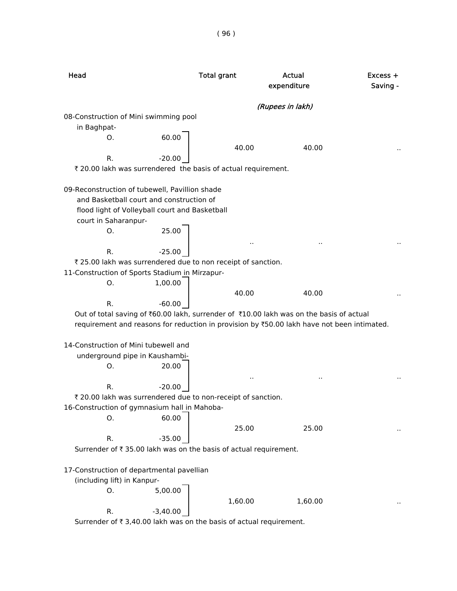Head **Total grant** Actual Actual Excess + expenditure Saving -(Rupees in lakh) 08-Construction of Mini swimming pool in Baghpat-O. 60.00 40.00 40.00 R.  $-20.00$ ₹ 20.00 lakh was surrendered the basis of actual requirement. 09-Reconstruction of tubewell, Pavillion shade and Basketball court and construction of flood light of Volleyball court and Basketball court in Saharanpur-O. 25.00 .. .. .. R.  $-25.00$ ₹ 25.00 lakh was surrendered due to non receipt of sanction. 11-Construction of Sports Stadium in Mirzapur-O. 1,00.00 40.00 40.00 ... R.  $-60.00$ Out of total saving of  $\text{\texttt{00.00}}$  lakh, surrender of  $\text{\texttt{0.00}}$  lakh was on the basis of actual requirement and reasons for reduction in provision by ₹50.00 lakh have not been intimated. 14-Construction of Mini tubewell and underground pipe in Kaushambi-O. 20.00 .. .. .. R.  $-20.00$ ₹ 20.00 lakh was surrendered due to non-receipt of sanction. 16-Construction of gymnasium hall in Mahoba-O. 60.00 25.00 25.00 R.  $-35.00$ Surrender of  $\bar{\tau}$  35.00 lakh was on the basis of actual requirement. 17-Construction of departmental pavellian (including lift) in Kanpur-O. 5,00.00 1,60.00 1,60.00 R.  $-3,40.00$ Surrender of  $\bar{\tau}$  3,40.00 lakh was on the basis of actual requirement.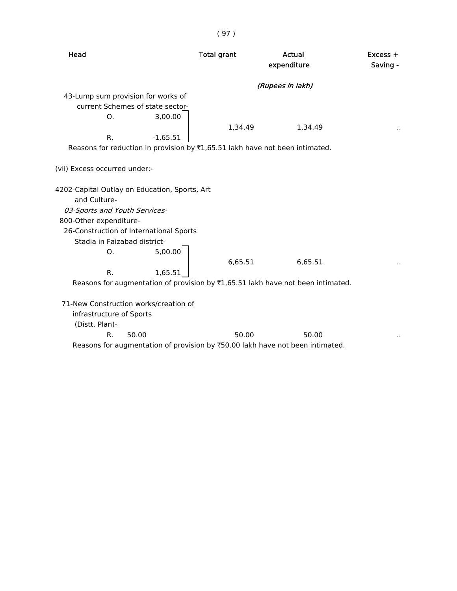| Head                          |                                                                                 | <b>Total grant</b> | <b>Actual</b><br>expenditure | $Excess +$<br>Saving - |
|-------------------------------|---------------------------------------------------------------------------------|--------------------|------------------------------|------------------------|
|                               |                                                                                 |                    | (Rupees in lakh)             |                        |
|                               | 43-Lump sum provision for works of                                              |                    |                              |                        |
|                               | current Schemes of state sector-                                                |                    |                              |                        |
| О.                            | 3,00.00                                                                         |                    |                              |                        |
|                               |                                                                                 | 1,34.49            | 1,34.49                      |                        |
| R.                            | $-1,65.51$                                                                      |                    |                              |                        |
|                               | Reasons for reduction in provision by ₹1,65.51 lakh have not been intimated.    |                    |                              |                        |
| (vii) Excess occurred under:- |                                                                                 |                    |                              |                        |
|                               | 4202-Capital Outlay on Education, Sports, Art                                   |                    |                              |                        |
| and Culture-                  |                                                                                 |                    |                              |                        |
| 03-Sports and Youth Services- |                                                                                 |                    |                              |                        |
| 800-Other expenditure-        |                                                                                 |                    |                              |                        |
|                               | 26-Construction of International Sports                                         |                    |                              |                        |
| Stadia in Faizabad district-  |                                                                                 |                    |                              |                        |
| O.                            | 5,00.00                                                                         |                    |                              |                        |
|                               |                                                                                 | 6,65.51            | 6,65.51                      |                        |
| R.                            | 1,65.51                                                                         |                    |                              |                        |
|                               | Reasons for augmentation of provision by ₹1,65.51 lakh have not been intimated. |                    |                              |                        |
|                               |                                                                                 |                    |                              |                        |
|                               | 71-New Construction works/creation of                                           |                    |                              |                        |
| infrastructure of Sports      |                                                                                 |                    |                              |                        |
| (Distt. Plan)-                |                                                                                 |                    |                              |                        |
| R.                            | 50.00                                                                           | 50.00              | 50.00                        |                        |
|                               | Reasons for augmentation of provision by ₹50.00 lakh have not been intimated.   |                    |                              |                        |

( 97 )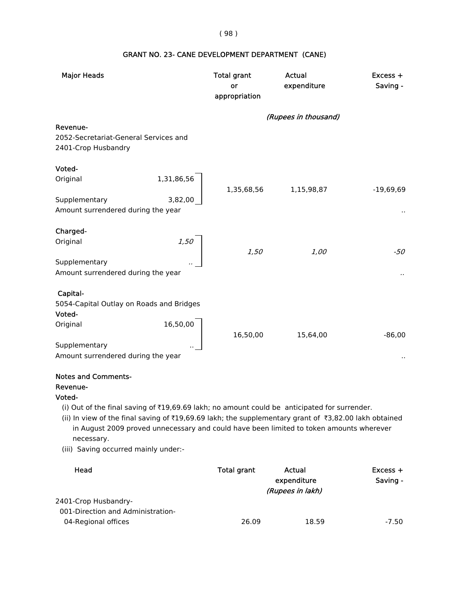#### ( 98 )

# Major Heads **National Excess + Total grant** Actual Actual Excess + or expenditure Saving appropriation (Rupees in thousand) Revenue- 2052-Secretariat-General Services and 2401-Crop Husbandry Voted- Original 1,31,86,56 1,35,68,56 1,15,98,87 -19,69,69 Supplementary 3,82,00 Amount surrendered during the year ... The state of the state of the state of the state of the state of the state of the state of the state of the state of the state of the state of the state of the state of the state of t Charged- Original 2,50 1,50 1,00 -50 **Supplementary** Amount surrendered during the year ... The state of the state of the state of the state of the state of the state of the state of the state of the state of the state of the state of the state of the state of the state of t Capital- 5054-Capital Outlay on Roads and Bridges Voted- Original 16,50,00 16,50,00 15,64,00 -86,00 **Supplementary** Amount surrendered during the year ... **Amount surrendered during the year** ... **Amount surrendered** during the year

#### GRANT NO. 23- CANE DEVELOPMENT DEPARTMENT (CANE)

#### Notes and Comments-

#### Revenue-

#### Voted-

- (i) Out of the final saving of  $\bar{x}$ 19,69.69 lakh; no amount could be anticipated for surrender.
- (ii) In view of the final saving of ₹19,69.69 lakh; the supplementary grant of ₹3,82.00 lakh obtained in August 2009 proved unnecessary and could have been limited to token amounts wherever necessary.
- (iii) Saving occurred mainly under:-

| Head                              | Total grant | Actual           | $Excess +$ |
|-----------------------------------|-------------|------------------|------------|
|                                   |             | expenditure      | Saving -   |
|                                   |             | (Rupees in lakh) |            |
| 2401-Crop Husbandry-              |             |                  |            |
| 001-Direction and Administration- |             |                  |            |
| 04-Regional offices               | 26.09       | 18.59            | $-7.50$    |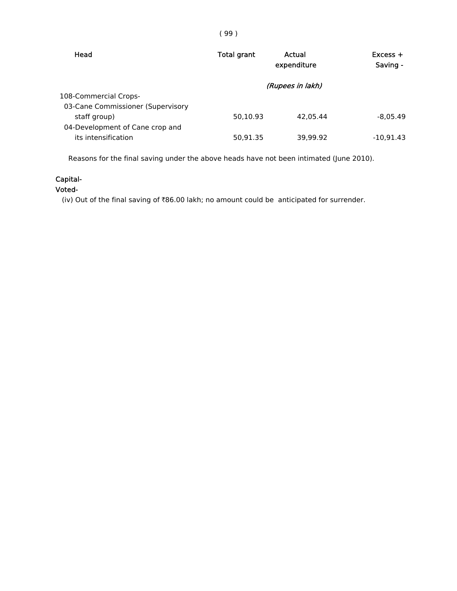| Head                                            | <b>Total grant</b> | Actual<br>expenditure | $Excess +$<br>Saving - |
|-------------------------------------------------|--------------------|-----------------------|------------------------|
| 108-Commercial Crops-                           |                    | (Rupees in lakh)      |                        |
| 03-Cane Commissioner (Supervisory               |                    |                       |                        |
| staff group)<br>04-Development of Cane crop and | 50.10.93           | 42.05.44              | $-8.05.49$             |
| its intensification                             | 50,91.35           | 39.99.92              | $-10.91.43$            |

Reasons for the final saving under the above heads have not been intimated (June 2010).

# Capital-

Voted-

(iv) Out of the final saving of  $\bar{e}86.00$  lakh; no amount could be anticipated for surrender.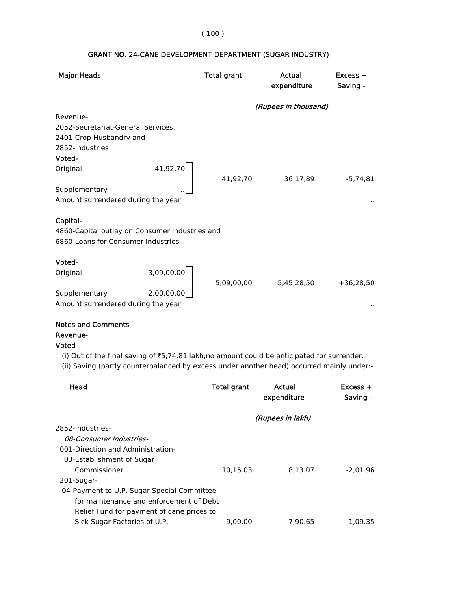### ( 100 )

| <b>Major Heads</b>                             |            | <b>Total grant</b> | Actual<br>expenditure | Excess +<br>Saving - |
|------------------------------------------------|------------|--------------------|-----------------------|----------------------|
|                                                |            |                    | (Rupees in thousand)  |                      |
| Revenue-                                       |            |                    |                       |                      |
| 2052-Secretariat-General Services,             |            |                    |                       |                      |
| 2401-Crop Husbandry and                        |            |                    |                       |                      |
| 2852-Industries                                |            |                    |                       |                      |
| Voted-                                         |            |                    |                       |                      |
| Original                                       | 41,92,70   |                    |                       |                      |
|                                                |            | 41,92,70           | 36,17,89              | $-5,74,81$           |
| Supplementary                                  |            |                    |                       |                      |
| Amount surrendered during the year             |            |                    |                       | $\cdot$ .            |
|                                                |            |                    |                       |                      |
| Capital-                                       |            |                    |                       |                      |
| 4860-Capital outlay on Consumer Industries and |            |                    |                       |                      |
| 6860-Loans for Consumer Industries             |            |                    |                       |                      |
|                                                |            |                    |                       |                      |
| Voted-                                         |            |                    |                       |                      |
| Original                                       | 3,09,00,00 |                    |                       |                      |
|                                                |            | 5,09,00,00         | 5,45,28,50            | $+36.28.50$          |
| Supplementary                                  | 2,00,00,00 |                    |                       |                      |
| Amount surrendered during the year             |            |                    |                       | $\ddot{\phantom{1}}$ |
|                                                |            |                    |                       |                      |

### GRANT NO. 24-CANE DEVELOPMENT DEPARTMENT (SUGAR INDUSTRY)

# Notes and Comments- Revenue-

### Voted-

- (i) Out of the final saving of  $\text{\texttt{35,74.81}}$  lakh;no amount could be anticipated for surrender.
- (ii) Saving (partly counterbalanced by excess under another head) occurred mainly under:-

| Head                                       | <b>Total grant</b> | Actual<br>expenditure | $Excess +$<br>Saving - |
|--------------------------------------------|--------------------|-----------------------|------------------------|
|                                            |                    | (Rupees in lakh)      |                        |
| 2852-Industries-                           |                    |                       |                        |
| <i>08-Consumer Industries-</i>             |                    |                       |                        |
| 001-Direction and Administration-          |                    |                       |                        |
| 03-Establishment of Sugar                  |                    |                       |                        |
| Commissioner                               | 10,15.03           | 8,13.07               | -2.01.96               |
| 201-Sugar-                                 |                    |                       |                        |
| 04-Payment to U.P. Sugar Special Committee |                    |                       |                        |
| for maintenance and enforcement of Debt    |                    |                       |                        |
| Relief Fund for payment of cane prices to  |                    |                       |                        |
| Sick Sugar Factories of U.P.               | 9.00.00            | 7.90.65               | -1.09.35               |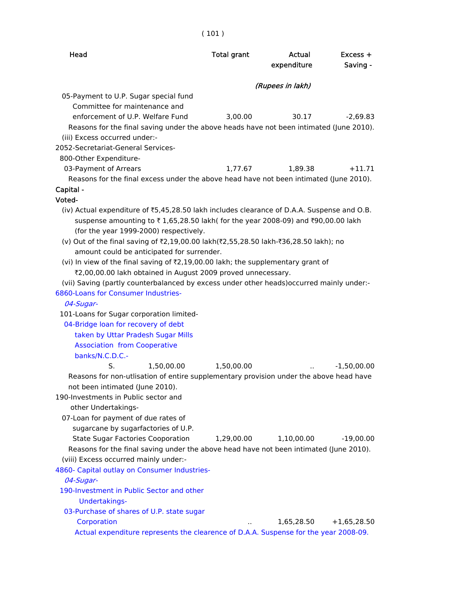| ٠ | ×<br>۰, | × |
|---|---------|---|
|   |         |   |

| Head                                                                                                                                                                                                                                                      | <b>Total grant</b> | Actual<br>expenditure | Excess +<br>Saving - |
|-----------------------------------------------------------------------------------------------------------------------------------------------------------------------------------------------------------------------------------------------------------|--------------------|-----------------------|----------------------|
|                                                                                                                                                                                                                                                           |                    | (Rupees in lakh)      |                      |
| 05-Payment to U.P. Sugar special fund<br>Committee for maintenance and<br>enforcement of U.P. Welfare Fund<br>Reasons for the final saving under the above heads have not been intimated (June 2010).<br>(iii) Excess occurred under:-                    | 3,00.00            | 30.17                 | $-2,69.83$           |
| 2052-Secretariat-General Services-                                                                                                                                                                                                                        |                    |                       |                      |
| 800-Other Expenditure-                                                                                                                                                                                                                                    |                    |                       |                      |
| 03-Payment of Arrears                                                                                                                                                                                                                                     | 1,77.67            | 1,89.38               | $+11.71$             |
| Reasons for the final excess under the above head have not been intimated (June 2010).                                                                                                                                                                    |                    |                       |                      |
| Capital -                                                                                                                                                                                                                                                 |                    |                       |                      |
| Voted-                                                                                                                                                                                                                                                    |                    |                       |                      |
| (iv) Actual expenditure of ₹5,45,28.50 lakh includes clearance of D.A.A. Suspense and O.B.<br>suspense amounting to ₹1,65,28.50 lakh( for the year 2008-09) and ₹90,00.00 lakh<br>(for the year 1999-2000) respectively.                                  |                    |                       |                      |
| (v) Out of the final saving of ₹2,19,00.00 lakh(₹2,55,28.50 lakh-₹36,28.50 lakh); no<br>amount could be anticipated for surrender.                                                                                                                        |                    |                       |                      |
| (vi) In view of the final saving of ₹2,19,00.00 lakh; the supplementary grant of                                                                                                                                                                          |                    |                       |                      |
| ₹2,00,00.00 lakh obtained in August 2009 proved unnecessary.                                                                                                                                                                                              |                    |                       |                      |
| (vii) Saving (partly counterbalanced by excess under other heads) occurred mainly under:-                                                                                                                                                                 |                    |                       |                      |
| 6860-Loans for Consumer Industries-                                                                                                                                                                                                                       |                    |                       |                      |
| 04-Sugar-                                                                                                                                                                                                                                                 |                    |                       |                      |
| 101-Loans for Sugar corporation limited-                                                                                                                                                                                                                  |                    |                       |                      |
| 04-Bridge loan for recovery of debt                                                                                                                                                                                                                       |                    |                       |                      |
| taken by Uttar Pradesh Sugar Mills                                                                                                                                                                                                                        |                    |                       |                      |
| <b>Association from Cooperative</b>                                                                                                                                                                                                                       |                    |                       |                      |
| banks/N.C.D.C.-<br>S.                                                                                                                                                                                                                                     |                    |                       |                      |
| 1,50,00.00<br>Reasons for non-utlisation of entire supplementary provision under the above head have<br>not been intimated (June 2010).                                                                                                                   | 1,50,00.00         |                       | $-1,50,00.00$        |
| 190-Investments in Public sector and                                                                                                                                                                                                                      |                    |                       |                      |
| other Undertakings-                                                                                                                                                                                                                                       |                    |                       |                      |
| 07-Loan for payment of due rates of<br>sugarcane by sugarfactories of U.P.<br><b>State Sugar Factories Cooporation</b><br>Reasons for the final saving under the above head have not been intimated (June 2010).<br>(viii) Excess occurred mainly under:- | 1,29,00.00         | 1,10,00.00            | $-19,00.00$          |
| 4860- Capital outlay on Consumer Industries-                                                                                                                                                                                                              |                    |                       |                      |
| 04-Sugar-                                                                                                                                                                                                                                                 |                    |                       |                      |
| 190-Investment in Public Sector and other<br>Undertakings-                                                                                                                                                                                                |                    |                       |                      |
| 03-Purchase of shares of U.P. state sugar                                                                                                                                                                                                                 |                    |                       |                      |
| Corporation                                                                                                                                                                                                                                               |                    | 1,65,28.50            | $+1,65,28.50$        |
| Actual expenditure represents the clearence of D.A.A. Suspense for the year 2008-09.                                                                                                                                                                      |                    |                       |                      |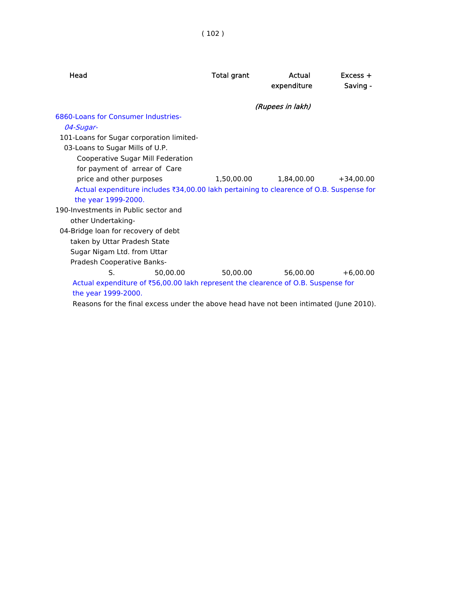| Head                                                                                    | <b>Total grant</b> | Actual<br>expenditure | $Excess +$<br>Saving - |
|-----------------------------------------------------------------------------------------|--------------------|-----------------------|------------------------|
|                                                                                         |                    | (Rupees in lakh)      |                        |
| 6860-Loans for Consumer Industries-                                                     |                    |                       |                        |
| 04-Sugar-                                                                               |                    |                       |                        |
| 101-Loans for Sugar corporation limited-                                                |                    |                       |                        |
| 03-Loans to Sugar Mills of U.P.                                                         |                    |                       |                        |
| Cooperative Sugar Mill Federation                                                       |                    |                       |                        |
| for payment of arrear of Care                                                           |                    |                       |                        |
| price and other purposes                                                                | 1,50,00.00         | 1,84,00.00            | $+34.00.00$            |
| Actual expenditure includes ₹34,00.00 lakh pertaining to clearence of O.B. Suspense for |                    |                       |                        |
| the year 1999-2000.                                                                     |                    |                       |                        |
| 190-Investments in Public sector and                                                    |                    |                       |                        |
| other Undertaking-                                                                      |                    |                       |                        |
| 04-Bridge loan for recovery of debt                                                     |                    |                       |                        |
| taken by Uttar Pradesh State                                                            |                    |                       |                        |
| Sugar Nigam Ltd. from Uttar                                                             |                    |                       |                        |
| Pradesh Cooperative Banks-                                                              |                    |                       |                        |
| S.<br>50.00.00                                                                          | 50.00.00           | 56.00.00              | $+6.00.00$             |
| Actual expenditure of ₹56,00.00 lakh represent the clearence of O.B. Suspense for       |                    |                       |                        |
| the year 1999-2000.                                                                     |                    |                       |                        |
| Reasons for the final excess under the above head have not been intimated (June 2010).  |                    |                       |                        |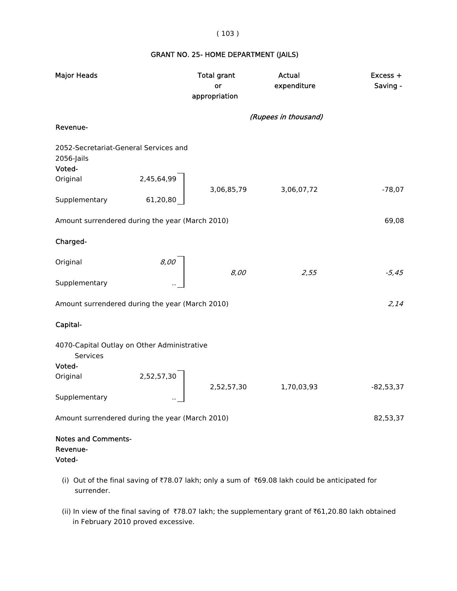( 103 )

## GRANT NO. 25- HOME DEPARTMENT (JAILS)

| <b>Major Heads</b>                                            | <b>Total grant</b><br>or<br>appropriation | Actual<br>expenditure | Excess +<br>Saving - |
|---------------------------------------------------------------|-------------------------------------------|-----------------------|----------------------|
|                                                               |                                           | (Rupees in thousand)  |                      |
| Revenue-                                                      |                                           |                       |                      |
| 2052-Secretariat-General Services and<br>2056-Jails<br>Voted- |                                           |                       |                      |
| 2,45,64,99<br>Original                                        | 3,06,85,79                                | 3,06,07,72            | $-78,07$             |
| Supplementary<br>61,20,80                                     |                                           |                       |                      |
| Amount surrendered during the year (March 2010)               |                                           |                       | 69,08                |
| Charged-                                                      |                                           |                       |                      |
| 8,00<br>Original                                              |                                           |                       |                      |
| Supplementary                                                 | 8,00                                      | 2,55                  | $-5,45$              |
| Amount surrendered during the year (March 2010)               |                                           |                       | 2,14                 |
| Capital-                                                      |                                           |                       |                      |
| 4070-Capital Outlay on Other Administrative<br>Services       |                                           |                       |                      |
| Voted-                                                        |                                           |                       |                      |
| 2,52,57,30<br>Original                                        | 2,52,57,30                                | 1,70,03,93            | $-82,53,37$          |
| Supplementary                                                 |                                           |                       |                      |
| Amount surrendered during the year (March 2010)               |                                           |                       | 82,53,37             |
| <b>Notes and Comments-</b><br>Revenue-<br>Voted-              |                                           |                       |                      |

- (i) Out of the final saving of  $\overline{78.07}$  lakh; only a sum of  $\overline{569.08}$  lakh could be anticipated for surrender.
- (ii) In view of the final saving of  $\overline{78.07}$  lakh; the supplementary grant of  $\overline{61,20.80}$  lakh obtained in February 2010 proved excessive.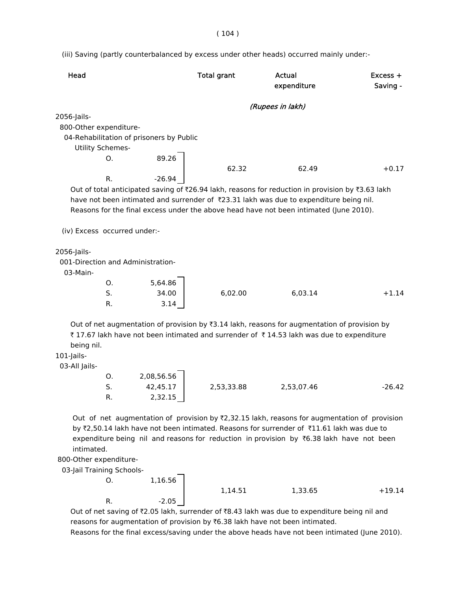( 104 )

(iii) Saving (partly counterbalanced by excess under other heads) occurred mainly under:-

| Head                                             | <b>Total grant</b>     |                  | Actual<br>expenditure                                                                                     | $Excess +$<br>Saving - |
|--------------------------------------------------|------------------------|------------------|-----------------------------------------------------------------------------------------------------------|------------------------|
|                                                  |                        | (Rupees in lakh) |                                                                                                           |                        |
| 2056-Jails-                                      |                        |                  |                                                                                                           |                        |
| 800-Other expenditure-                           |                        |                  |                                                                                                           |                        |
| 04-Rehabilitation of prisoners by Public         |                        |                  |                                                                                                           |                        |
| <b>Utility Schemes-</b>                          |                        |                  |                                                                                                           |                        |
| O.                                               | 89.26                  |                  |                                                                                                           |                        |
| R.                                               | $-26.94$               | 62.32            | 62.49                                                                                                     | $+0.17$                |
|                                                  |                        |                  | Out of total anticipated saving of ₹26.94 lakh, reasons for reduction in provision by ₹3.63 lakh          |                        |
|                                                  |                        |                  | have not been intimated and surrender of ₹23.31 lakh was due to expenditure being nil.                    |                        |
|                                                  |                        |                  | Reasons for the final excess under the above head have not been intimated (June 2010).                    |                        |
|                                                  |                        |                  |                                                                                                           |                        |
| (iv) Excess occurred under:-                     |                        |                  |                                                                                                           |                        |
|                                                  |                        |                  |                                                                                                           |                        |
| 2056-Jails-<br>001-Direction and Administration- |                        |                  |                                                                                                           |                        |
| 03-Main-                                         |                        |                  |                                                                                                           |                        |
| O.                                               | 5,64.86                |                  |                                                                                                           |                        |
| S.                                               | 34.00                  | 6,02.00          | 6,03.14                                                                                                   | $+1.14$                |
| R.                                               | 3.14                   |                  |                                                                                                           |                        |
|                                                  |                        |                  |                                                                                                           |                        |
|                                                  |                        |                  | Out of net augmentation of provision by $\overline{3}3.14$ lakh, reasons for augmentation of provision by |                        |
| being nil.                                       |                        |                  | ₹17.67 lakh have not been intimated and surrender of ₹14.53 lakh was due to expenditure                   |                        |
| 101-Jails-                                       |                        |                  |                                                                                                           |                        |
| 03-All Jails-                                    |                        |                  |                                                                                                           |                        |
| 0.                                               | 2,08,56.56             |                  |                                                                                                           |                        |
| S.                                               | 42,45.17<br>2,53,33.88 |                  | 2,53,07.46                                                                                                | $-26.42$               |
| R.                                               | 2,32.15                |                  |                                                                                                           |                        |
|                                                  |                        |                  |                                                                                                           |                        |
|                                                  |                        |                  | Out of net augmentation of provision by ₹2,32.15 lakh, reasons for augmentation of provision              |                        |
|                                                  |                        |                  | by ₹2,50.14 lakh have not been intimated. Reasons for surrender of ₹11.61 lakh was due to                 |                        |
| intimated.                                       |                        |                  | expenditure being nil and reasons for reduction in provision by ₹6.38 lakh have not been                  |                        |
| 800-Other expenditure-                           |                        |                  |                                                                                                           |                        |
| 03-Jail Training Schools-                        |                        |                  |                                                                                                           |                        |
| 0.                                               | 1,16.56                |                  |                                                                                                           |                        |
|                                                  |                        | 1,14.51          | 1,33.65                                                                                                   | $+19.14$               |
| R.                                               | $-2.05$                |                  |                                                                                                           |                        |
|                                                  |                        |                  | Out of net saving of ₹2.05 lakh, surrender of ₹8.43 lakh was due to expenditure being nil and             |                        |

reasons for augmentation of provision by  $\bar{\tau}$ 6.38 lakh have not been intimated.

Reasons for the final excess/saving under the above heads have not been intimated (June 2010).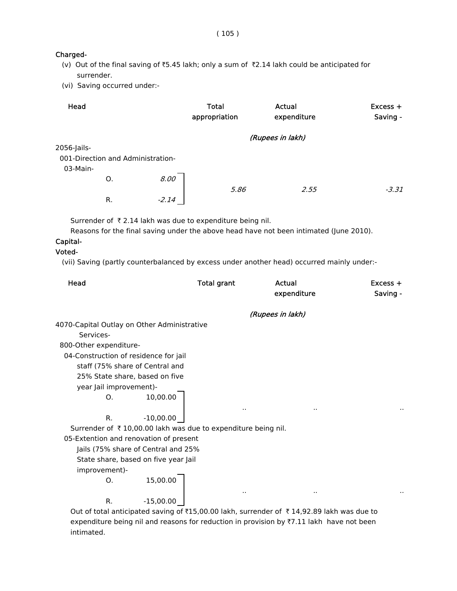( 105 )

#### Charged-

- (v) Out of the final saving of  $\overline{5.45}$  lakh; only a sum of  $\overline{52.14}$  lakh could be anticipated for surrender.
- (vi) Saving occurred under:-

| Head        |    |                                   | <b>Total</b><br>appropriation | Actual<br>expenditure | Excess +<br>Saving - |
|-------------|----|-----------------------------------|-------------------------------|-----------------------|----------------------|
|             |    |                                   |                               | (Rupees in lakh)      |                      |
| 2056-Jails- |    |                                   |                               |                       |                      |
|             |    | 001-Direction and Administration- |                               |                       |                      |
| 03-Main-    |    |                                   |                               |                       |                      |
|             | 0. | 8.00                              |                               |                       |                      |
|             |    |                                   | 5.86                          | 2.55                  | $-3.31$              |
|             | R. | $-2.14$                           |                               |                       |                      |

Surrender of  $\bar{\tau}$  2.14 lakh was due to expenditure being nil.

Reasons for the final saving under the above head have not been intimated (June 2010).

### Capital-

## Voted-

(vii) Saving (partly counterbalanced by excess under another head) occurred mainly under:-

| Head                                                                                                        |             | <b>Total grant</b> |                  | Actual<br>expenditure | $Excess +$<br>Saving - |
|-------------------------------------------------------------------------------------------------------------|-------------|--------------------|------------------|-----------------------|------------------------|
|                                                                                                             |             |                    | (Rupees in lakh) |                       |                        |
| 4070-Capital Outlay on Other Administrative                                                                 |             |                    |                  |                       |                        |
| Services-                                                                                                   |             |                    |                  |                       |                        |
| 800-Other expenditure-                                                                                      |             |                    |                  |                       |                        |
| 04-Construction of residence for jail                                                                       |             |                    |                  |                       |                        |
| staff (75% share of Central and                                                                             |             |                    |                  |                       |                        |
| 25% State share, based on five                                                                              |             |                    |                  |                       |                        |
| year Jail improvement)-                                                                                     |             |                    |                  |                       |                        |
| O.                                                                                                          | 10,00.00    |                    | $\sim$           |                       | $\sim$                 |
| R.                                                                                                          | $-10,00.00$ |                    |                  |                       |                        |
| Surrender of ₹10,00.00 lakh was due to expenditure being nil.                                               |             |                    |                  |                       |                        |
| 05-Extention and renovation of present                                                                      |             |                    |                  |                       |                        |
| Jails (75% share of Central and 25%                                                                         |             |                    |                  |                       |                        |
| State share, based on five year Jail                                                                        |             |                    |                  |                       |                        |
| improvement)-                                                                                               |             |                    |                  |                       |                        |
| O.                                                                                                          | 15,00.00    |                    |                  |                       |                        |
| R.                                                                                                          | $-15,00.00$ |                    |                  |                       |                        |
| Out of total anticipated saving of $\bar{x}$ 15,00.00 lakh, surrender of $\bar{x}$ 14,92.89 lakh was due to |             |                    |                  |                       |                        |

expenditure being nil and reasons for reduction in provision by  $\overline{z}7.11$  lakh have not been intimated.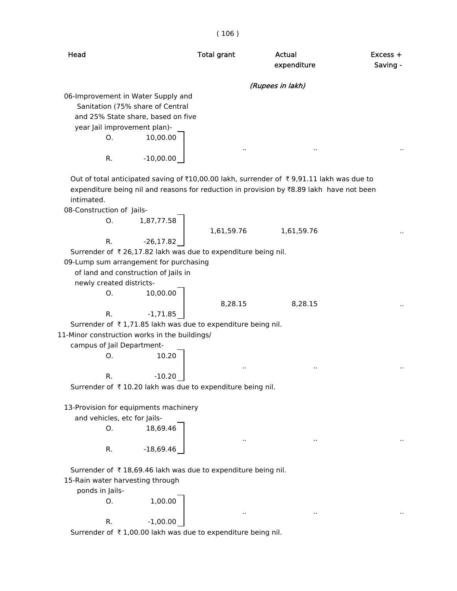( 106 )

| Head                                                                                                                                                                                                                            | <b>Total grant</b>   | Actual<br>expenditure | $Excess +$<br>Saving - |
|---------------------------------------------------------------------------------------------------------------------------------------------------------------------------------------------------------------------------------|----------------------|-----------------------|------------------------|
|                                                                                                                                                                                                                                 |                      | (Rupees in lakh)      |                        |
| 06-Improvement in Water Supply and<br>Sanitation (75% share of Central<br>and 25% State share, based on five<br>year Jail improvement plan)-<br>10,00.00<br>O.                                                                  |                      |                       |                        |
| $-10,00.00$<br>R.                                                                                                                                                                                                               | $\ddot{\phantom{0}}$ |                       |                        |
| Out of total anticipated saving of ₹10,00.00 lakh, surrender of ₹9,91.11 lakh was due to<br>expenditure being nil and reasons for reduction in provision by ₹8.89 lakh have not been<br>intimated.<br>08-Construction of Jails- |                      |                       |                        |
| Ο.<br>1,87,77.58                                                                                                                                                                                                                | 1,61,59.76           | 1,61,59.76            |                        |
| $-26, 17.82$<br>R.                                                                                                                                                                                                              |                      |                       |                        |
| Surrender of ₹26,17.82 lakh was due to expenditure being nil.<br>09-Lump sum arrangement for purchasing                                                                                                                         |                      |                       |                        |
| of land and construction of Jails in                                                                                                                                                                                            |                      |                       |                        |
| newly created districts-                                                                                                                                                                                                        |                      |                       |                        |
| 10,00.00<br>O.                                                                                                                                                                                                                  |                      |                       |                        |
| R.<br>$-1,71.85$                                                                                                                                                                                                                | 8,28.15              | 8,28.15               |                        |
| Surrender of ₹1,71.85 lakh was due to expenditure being nil.                                                                                                                                                                    |                      |                       |                        |
| 11-Minor construction works in the buildings/                                                                                                                                                                                   |                      |                       |                        |
| campus of Jail Department-                                                                                                                                                                                                      |                      |                       |                        |
| 10.20<br>0.                                                                                                                                                                                                                     |                      |                       |                        |
|                                                                                                                                                                                                                                 |                      |                       |                        |
| $-10.20$                                                                                                                                                                                                                        |                      |                       |                        |
| Surrender of ₹10.20 lakh was due to expenditure being nil.                                                                                                                                                                      |                      |                       |                        |
|                                                                                                                                                                                                                                 |                      |                       |                        |
| 13-Provision for equipments machinery                                                                                                                                                                                           |                      |                       |                        |
| and vehicles, etc for Jails-<br>O.<br>18,69.46                                                                                                                                                                                  |                      |                       |                        |
|                                                                                                                                                                                                                                 |                      |                       |                        |
| $-18,69.46$<br>R.                                                                                                                                                                                                               |                      |                       |                        |
| Surrender of ₹18,69.46 lakh was due to expenditure being nil.                                                                                                                                                                   |                      |                       |                        |
| 15-Rain water harvesting through                                                                                                                                                                                                |                      |                       |                        |
| ponds in Jails-                                                                                                                                                                                                                 |                      |                       |                        |
| 1,00.00<br>0.                                                                                                                                                                                                                   |                      |                       |                        |
|                                                                                                                                                                                                                                 |                      |                       |                        |
| $-1,00.00$<br>R.                                                                                                                                                                                                                |                      |                       |                        |
| Surrender of ₹1,00.00 lakh was due to expenditure being nil.                                                                                                                                                                    |                      |                       |                        |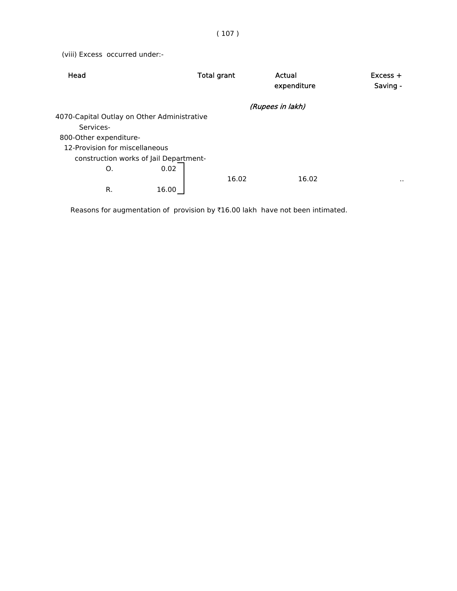(viii) Excess occurred under:-

|                                             |       | Actual<br>expenditure | $Excess +$<br>Saving - |
|---------------------------------------------|-------|-----------------------|------------------------|
|                                             |       |                       |                        |
| 4070-Capital Outlay on Other Administrative |       |                       |                        |
|                                             |       |                       |                        |
|                                             |       |                       |                        |
| 12-Provision for miscellaneous              |       |                       |                        |
| construction works of Jail Department-      |       |                       |                        |
| 0.02                                        |       |                       |                        |
|                                             | 16.02 | 16.02                 | $\cdot$ .              |
| 16.00                                       |       |                       |                        |
|                                             |       | <b>Total grant</b>    | (Rupees in lakh)       |

Reasons for augmentation of provision by  $\bar{\tau}16.00$  lakh have not been intimated.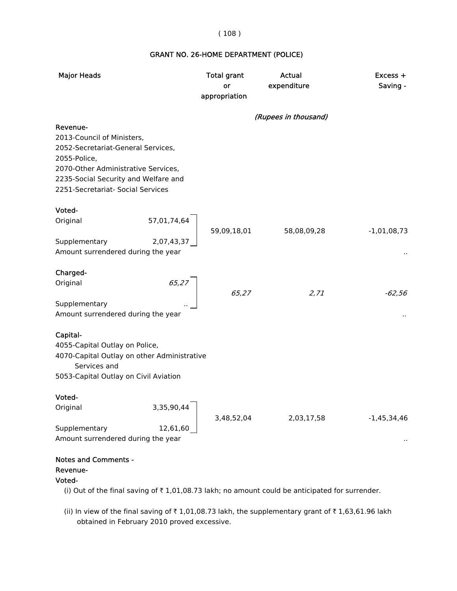#### ( 108 )

## GRANT NO. 26-HOME DEPARTMENT (POLICE)

| <b>Major Heads</b>                                                                                                                                                                                               | <b>Total grant</b><br>or<br>appropriation | Actual<br>expenditure | $Excess +$<br>Saving - |
|------------------------------------------------------------------------------------------------------------------------------------------------------------------------------------------------------------------|-------------------------------------------|-----------------------|------------------------|
|                                                                                                                                                                                                                  |                                           | (Rupees in thousand)  |                        |
| Revenue-<br>2013-Council of Ministers,<br>2052-Secretariat-General Services,<br>2055-Police,<br>2070-Other Administrative Services,<br>2235-Social Security and Welfare and<br>2251-Secretariat- Social Services |                                           |                       |                        |
| Voted-                                                                                                                                                                                                           |                                           |                       |                        |
| 57,01,74,64<br>Original                                                                                                                                                                                          |                                           |                       |                        |
| Supplementary<br>2,07,43,37                                                                                                                                                                                      | 59,09,18,01                               | 58,08,09,28           | $-1,01,08,73$          |
| Amount surrendered during the year                                                                                                                                                                               |                                           |                       |                        |
| Charged-                                                                                                                                                                                                         |                                           |                       |                        |
| 65,27<br>Original                                                                                                                                                                                                |                                           |                       |                        |
|                                                                                                                                                                                                                  | 65,27                                     | 2,71                  | $-62,56$               |
| Supplementary<br>Amount surrendered during the year                                                                                                                                                              |                                           |                       |                        |
| Capital-                                                                                                                                                                                                         |                                           |                       |                        |
| 4055-Capital Outlay on Police,                                                                                                                                                                                   |                                           |                       |                        |
| 4070-Capital Outlay on other Administrative                                                                                                                                                                      |                                           |                       |                        |
| Services and<br>5053-Capital Outlay on Civil Aviation                                                                                                                                                            |                                           |                       |                        |
|                                                                                                                                                                                                                  |                                           |                       |                        |
| Voted-                                                                                                                                                                                                           |                                           |                       |                        |
| Original<br>3,35,90,44                                                                                                                                                                                           | 3,48,52,04                                | 2,03,17,58            | $-1,45,34,46$          |
| Supplementary<br>12,61,60                                                                                                                                                                                        |                                           |                       |                        |
| Amount surrendered during the year                                                                                                                                                                               |                                           |                       |                        |
| <b>Notes and Comments -</b><br>Revenue-<br>Voted-                                                                                                                                                                |                                           |                       |                        |
| (i) Out of the final saving of ₹1,01,08.73 lakh; no amount could be anticipated for surrender.                                                                                                                   |                                           |                       |                        |

(ii) In view of the final saving of  $\bar{\tau}$  1,01,08.73 lakh, the supplementary grant of  $\bar{\tau}$  1,63,61.96 lakh obtained in February 2010 proved excessive.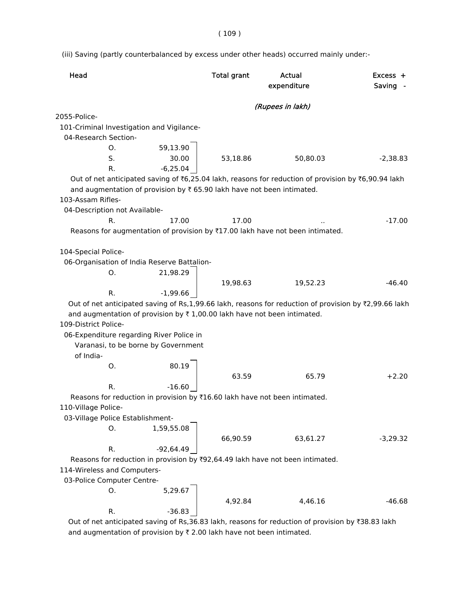$(109)$ 

(iii) Saving (partly counterbalanced by excess under other heads) occurred mainly under:-

| Head                                                                       |             | <b>Total grant</b> | Actual<br>expenditure                                                                                 | $Excess +$<br>Saving - |
|----------------------------------------------------------------------------|-------------|--------------------|-------------------------------------------------------------------------------------------------------|------------------------|
|                                                                            |             |                    | (Rupees in lakh)                                                                                      |                        |
| 2055-Police-                                                               |             |                    |                                                                                                       |                        |
| 101-Criminal Investigation and Vigilance-                                  |             |                    |                                                                                                       |                        |
| 04-Research Section-                                                       |             |                    |                                                                                                       |                        |
| 0.                                                                         | 59,13.90    |                    |                                                                                                       |                        |
| S.                                                                         | 30.00       | 53,18.86           | 50,80.03                                                                                              | $-2,38.83$             |
| R.                                                                         | $-6,25.04$  |                    |                                                                                                       |                        |
|                                                                            |             |                    | Out of net anticipated saving of ₹6,25.04 lakh, reasons for reduction of provision by ₹6,90.94 lakh   |                        |
| and augmentation of provision by ₹ 65.90 lakh have not been intimated.     |             |                    |                                                                                                       |                        |
| 103-Assam Rifles-                                                          |             |                    |                                                                                                       |                        |
| 04-Description not Available-                                              |             |                    |                                                                                                       |                        |
| R.                                                                         | 17.00       | 17.00              |                                                                                                       | $-17.00$               |
|                                                                            |             |                    | Reasons for augmentation of provision by ₹17.00 lakh have not been intimated.                         |                        |
|                                                                            |             |                    |                                                                                                       |                        |
| 104-Special Police-                                                        |             |                    |                                                                                                       |                        |
| 06-Organisation of India Reserve Battalion-                                |             |                    |                                                                                                       |                        |
| 0.                                                                         | 21,98.29    |                    |                                                                                                       |                        |
|                                                                            |             | 19,98.63           | 19,52.23                                                                                              | $-46.40$               |
| R.                                                                         | $-1,99.66$  |                    | Out of net anticipated saving of Rs,1,99.66 lakh, reasons for reduction of provision by ₹2,99.66 lakh |                        |
| and augmentation of provision by ₹1,00.00 lakh have not been intimated.    |             |                    |                                                                                                       |                        |
| 109-District Police-                                                       |             |                    |                                                                                                       |                        |
| 06-Expenditure regarding River Police in                                   |             |                    |                                                                                                       |                        |
| Varanasi, to be borne by Government                                        |             |                    |                                                                                                       |                        |
| of India-                                                                  |             |                    |                                                                                                       |                        |
| O.                                                                         | 80.19       |                    |                                                                                                       |                        |
|                                                                            |             | 63.59              | 65.79                                                                                                 | $+2.20$                |
| R.                                                                         | $-16.60$    |                    |                                                                                                       |                        |
| Reasons for reduction in provision by ₹16.60 lakh have not been intimated. |             |                    |                                                                                                       |                        |
| 110-Village Police-                                                        |             |                    |                                                                                                       |                        |
| 03-Village Police Establishment-                                           |             |                    |                                                                                                       |                        |
| О.                                                                         | 1,59,55.08  |                    |                                                                                                       |                        |
|                                                                            |             | 66,90.59           | 63,61.27                                                                                              | $-3,29.32$             |
| R.                                                                         | $-92,64.49$ |                    |                                                                                                       |                        |
|                                                                            |             |                    | Reasons for reduction in provision by ₹92,64.49 lakh have not been intimated.                         |                        |
| 114-Wireless and Computers-                                                |             |                    |                                                                                                       |                        |
| 03-Police Computer Centre-                                                 |             |                    |                                                                                                       |                        |
| 0.                                                                         | 5,29.67     |                    |                                                                                                       |                        |
|                                                                            |             | 4,92.84            | 4,46.16                                                                                               | $-46.68$               |
| R.                                                                         | $-36.83$    |                    |                                                                                                       |                        |

Out of net anticipated saving of Rs,36.83 lakh, reasons for reduction of provision by ₹38.83 lakh and augmentation of provision by  $\bar{\tau}$  2.00 lakh have not been intimated.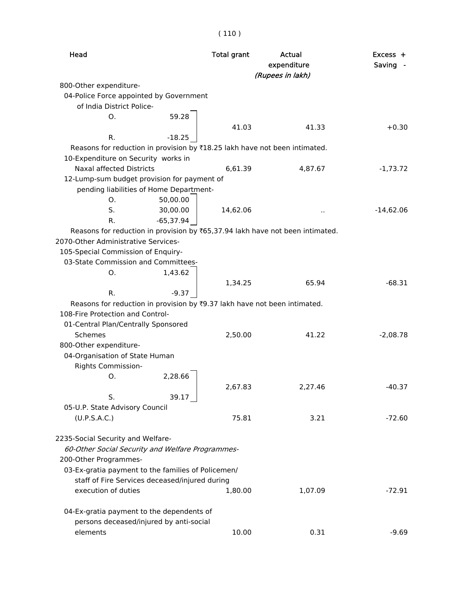| × |  | ×. |
|---|--|----|

| Head                                                                          | <b>Total grant</b> | Actual<br>expenditure | Excess +<br>Saving - |
|-------------------------------------------------------------------------------|--------------------|-----------------------|----------------------|
|                                                                               |                    | (Rupees in lakh)      |                      |
| 800-Other expenditure-                                                        |                    |                       |                      |
| 04-Police Force appointed by Government                                       |                    |                       |                      |
| of India District Police-                                                     |                    |                       |                      |
| Ο.<br>59.28                                                                   |                    |                       |                      |
| R.<br>$-18.25$                                                                | 41.03              | 41.33                 | $+0.30$              |
| Reasons for reduction in provision by ₹18.25 lakh have not been intimated.    |                    |                       |                      |
| 10-Expenditure on Security works in                                           |                    |                       |                      |
| Naxal affected Districts                                                      | 6,61.39            | 4,87.67               | $-1,73.72$           |
| 12-Lump-sum budget provision for payment of                                   |                    |                       |                      |
| pending liabilities of Home Department-                                       |                    |                       |                      |
| 50,00.00<br>O.                                                                |                    |                       |                      |
| S.<br>30,00.00                                                                | 14,62.06           |                       | $-14,62.06$          |
| R.<br>-65,37.94                                                               |                    |                       |                      |
| Reasons for reduction in provision by ₹65,37.94 lakh have not been intimated. |                    |                       |                      |
| 2070-Other Administrative Services-                                           |                    |                       |                      |
| 105-Special Commission of Enquiry-                                            |                    |                       |                      |
| 03-State Commission and Committees-                                           |                    |                       |                      |
| 1,43.62<br>O.                                                                 |                    |                       |                      |
|                                                                               | 1,34.25            | 65.94                 | $-68.31$             |
| R.<br>$-9.37$                                                                 |                    |                       |                      |
| Reasons for reduction in provision by ₹9.37 lakh have not been intimated.     |                    |                       |                      |
| 108-Fire Protection and Control-                                              |                    |                       |                      |
| 01-Central Plan/Centrally Sponsored                                           |                    |                       |                      |
| Schemes                                                                       | 2,50.00            | 41.22                 | $-2,08.78$           |
| 800-Other expenditure-                                                        |                    |                       |                      |
| 04-Organisation of State Human                                                |                    |                       |                      |
| <b>Rights Commission-</b>                                                     |                    |                       |                      |
| 2,28.66<br>0.                                                                 |                    |                       |                      |
|                                                                               | 2,67.83            | 2,27.46               | $-40.37$             |
| S.<br>39.17                                                                   |                    |                       |                      |
| 05-U.P. State Advisory Council                                                |                    | 3.21                  | $-72.60$             |
| (U.P.S.A.C.)                                                                  | 75.81              |                       |                      |
| 2235-Social Security and Welfare-                                             |                    |                       |                      |
| 60-Other Social Security and Welfare Programmes-                              |                    |                       |                      |
| 200-Other Programmes-                                                         |                    |                       |                      |
| 03-Ex-gratia payment to the families of Policemen/                            |                    |                       |                      |
| staff of Fire Services deceased/injured during                                |                    |                       |                      |
| execution of duties                                                           | 1,80.00            | 1,07.09               | $-72.91$             |
|                                                                               |                    |                       |                      |
| 04-Ex-gratia payment to the dependents of                                     |                    |                       |                      |
| persons deceased/injured by anti-social                                       |                    |                       |                      |
| elements                                                                      | 10.00              | 0.31                  | $-9.69$              |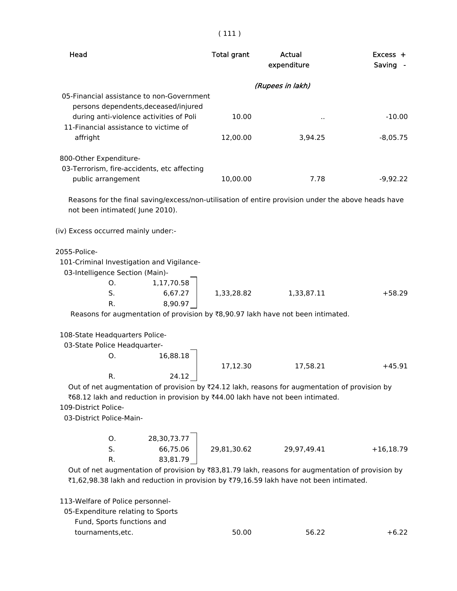| × | × |
|---|---|

Head **Total grant** Actual Actual Excess +

|                                                                                                                    |             | expenditure      | Saving      |
|--------------------------------------------------------------------------------------------------------------------|-------------|------------------|-------------|
|                                                                                                                    |             | (Rupees in lakh) |             |
| 05-Financial assistance to non-Government                                                                          |             |                  |             |
| persons dependents, deceased/injured<br>during anti-violence activities of Poli                                    | 10.00       |                  | $-10.00$    |
| 11-Financial assistance to victime of                                                                              |             |                  |             |
| affright                                                                                                           | 12,00.00    | 3,94.25          | $-8,05.75$  |
|                                                                                                                    |             |                  |             |
| 800-Other Expenditure-                                                                                             |             |                  |             |
| 03-Terrorism, fire-accidents, etc affecting<br>public arrangement                                                  | 10,00.00    | 7.78             | $-9,92.22$  |
|                                                                                                                    |             |                  |             |
| Reasons for the final saving/excess/non-utilisation of entire provision under the above heads have                 |             |                  |             |
| not been intimated( June 2010).                                                                                    |             |                  |             |
|                                                                                                                    |             |                  |             |
| (iv) Excess occurred mainly under:-                                                                                |             |                  |             |
| 2055-Police-                                                                                                       |             |                  |             |
| 101-Criminal Investigation and Vigilance-                                                                          |             |                  |             |
| 03-Intelligence Section (Main)-                                                                                    |             |                  |             |
| 1,17,70.58<br>0.                                                                                                   |             |                  |             |
| 6,67.27<br>S.                                                                                                      | 1,33,28.82  | 1,33,87.11       | $+58.29$    |
| 8,90.97<br>R.<br>Reasons for augmentation of provision by ₹8,90.97 lakh have not been intimated.                   |             |                  |             |
|                                                                                                                    |             |                  |             |
| 108-State Headquarters Police-                                                                                     |             |                  |             |
| 03-State Police Headquarter-                                                                                       |             |                  |             |
| 16,88.18<br>O.                                                                                                     |             |                  |             |
|                                                                                                                    | 17,12.30    | 17,58.21         | $+45.91$    |
| R.<br>24.12<br>Out of net augmentation of provision by ₹24.12 lakh, reasons for augmentation of provision by       |             |                  |             |
| ₹68.12 lakh and reduction in provision by ₹44.00 lakh have not been intimated.                                     |             |                  |             |
| 109-District Police-                                                                                               |             |                  |             |
| 03-District Police-Main-                                                                                           |             |                  |             |
|                                                                                                                    |             |                  |             |
| O.<br>28,30,73.77                                                                                                  |             |                  |             |
| S.<br>66,75.06                                                                                                     | 29,81,30.62 | 29,97,49.41      | $+16,18.79$ |
| R.<br>83,81.79<br>Out of net augmentation of provision by ₹83,81.79 lakh, reasons for augmentation of provision by |             |                  |             |
| ₹1,62,98.38 lakh and reduction in provision by ₹79,16.59 lakh have not been intimated.                             |             |                  |             |
|                                                                                                                    |             |                  |             |
| 113-Welfare of Police personnel-                                                                                   |             |                  |             |
| 05-Expenditure relating to Sports                                                                                  |             |                  |             |
| Fund, Sports functions and                                                                                         |             |                  |             |
| tournaments, etc.                                                                                                  | 50.00       | 56.22            | $+6.22$     |
|                                                                                                                    |             |                  |             |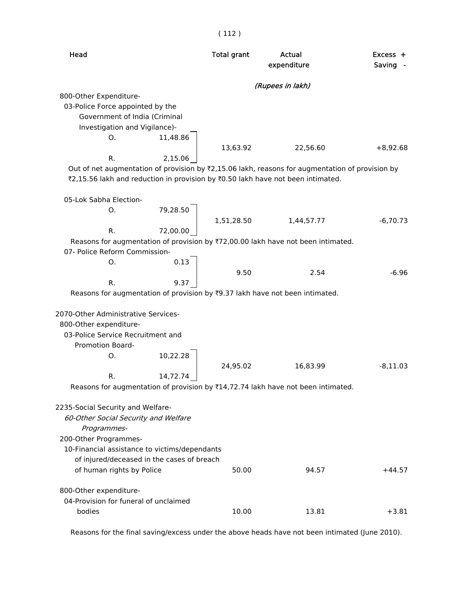|                                                                                                 | \ ++4 /            |                       |                      |
|-------------------------------------------------------------------------------------------------|--------------------|-----------------------|----------------------|
| Head                                                                                            | <b>Total grant</b> | Actual<br>expenditure | $Excess +$<br>Saving |
|                                                                                                 |                    | (Rupees in lakh)      |                      |
| 800-Other Expenditure-                                                                          |                    |                       |                      |
| 03-Police Force appointed by the                                                                |                    |                       |                      |
| Government of India (Criminal                                                                   |                    |                       |                      |
| Investigation and Vigilance)-                                                                   |                    |                       |                      |
| 11,48.86<br>O.                                                                                  |                    |                       |                      |
| R.<br>2,15.06                                                                                   | 13,63.92           | 22,56.60              | $+8,92.68$           |
| Out of net augmentation of provision by ₹2,15.06 lakh, reasons for augmentation of provision by |                    |                       |                      |
| ₹2,15.56 lakh and reduction in provision by ₹0.50 lakh have not been intimated.                 |                    |                       |                      |
| 05-Lok Sabha Election-                                                                          |                    |                       |                      |
| 79,28.50<br>O.                                                                                  |                    |                       |                      |
|                                                                                                 | 1,51,28.50         | 1,44,57.77            | $-6,70.73$           |
| R.<br>72,00.00                                                                                  |                    |                       |                      |
| Reasons for augmentation of provision by ₹72,00.00 lakh have not been intimated.                |                    |                       |                      |
| 07- Police Reform Commission-                                                                   |                    |                       |                      |
| 0.13<br>Ο.                                                                                      |                    |                       | $-6.96$              |
| 9.37<br>R.                                                                                      | 9.50               | 2.54                  |                      |
| Reasons for augmentation of provision by ₹9.37 lakh have not been intimated.                    |                    |                       |                      |
|                                                                                                 |                    |                       |                      |
| 2070-Other Administrative Services-                                                             |                    |                       |                      |
| 800-Other expenditure-                                                                          |                    |                       |                      |
| 03-Police Service Recruitment and                                                               |                    |                       |                      |
| <b>Promotion Board-</b>                                                                         |                    |                       |                      |
| 10,22.28<br>Ο.                                                                                  |                    |                       |                      |
|                                                                                                 | 24,95.02           | 16,83.99              | $-8,11.03$           |
| 14,72.74<br>R.                                                                                  |                    |                       |                      |
| Reasons for augmentation of provision by ₹14,72.74 lakh have not been intimated.                |                    |                       |                      |
|                                                                                                 |                    |                       |                      |
| 2235-Social Security and Welfare-<br>60-Other Social Security and Welfare                       |                    |                       |                      |
| Programmes-                                                                                     |                    |                       |                      |
| 200-Other Programmes-                                                                           |                    |                       |                      |
| 10-Financial assistance to victims/dependants                                                   |                    |                       |                      |
| of injured/deceased in the cases of breach                                                      |                    |                       |                      |
| of human rights by Police                                                                       | 50.00              | 94.57                 | $+44.57$             |
|                                                                                                 |                    |                       |                      |
| 800-Other expenditure-<br>04-Provision for funeral of unclaimed                                 |                    |                       |                      |
| bodies                                                                                          | 10.00              | 13.81                 | $+3.81$              |
|                                                                                                 |                    |                       |                      |
|                                                                                                 |                    |                       |                      |

Reasons for the final saving/excess under the above heads have not been intimated (June 2010).

( 112 )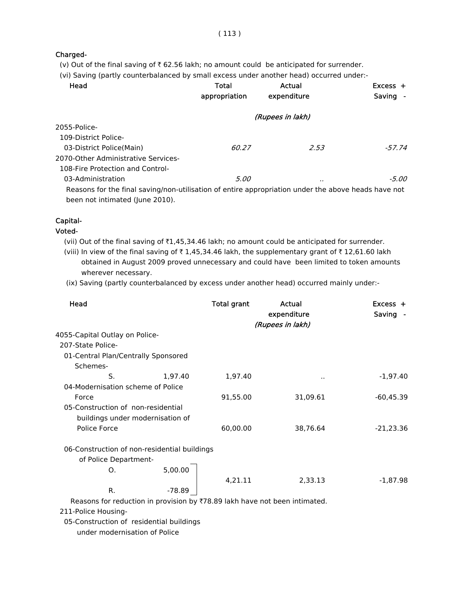## Charged-

(v) Out of the final saving of  $\bar{\tau}$  62.56 lakh; no amount could be anticipated for surrender.

(vi) Saving (partly counterbalanced by small excess under another head) occurred under:-

| Head                                                                                                | Total<br>appropriation | Actual<br>expenditure | $Excess +$<br>Saving - |
|-----------------------------------------------------------------------------------------------------|------------------------|-----------------------|------------------------|
|                                                                                                     |                        | (Rupees in lakh)      |                        |
| 2055-Police-                                                                                        |                        |                       |                        |
| 109-District Police-                                                                                |                        |                       |                        |
| 03-District Police(Main)                                                                            | 60.27                  | 2.53                  | $-57.74$               |
| 2070-Other Administrative Services-                                                                 |                        |                       |                        |
| 108-Fire Protection and Control-                                                                    |                        |                       |                        |
| 03-Administration                                                                                   | 5.00                   |                       | -5.00                  |
| Reasons for the final saving/non-utilisation of entire appropriation under the above heads have not |                        |                       |                        |
| been not intimated (June 2010).                                                                     |                        |                       |                        |

### Capital-

### Voted-

(vii) Out of the final saving of ₹1,45,34.46 lakh; no amount could be anticipated for surrender.

(viii) In view of the final saving of  $\bar{\tau}$  1,45,34.46 lakh, the supplementary grant of  $\bar{\tau}$  12,61.60 lakh obtained in August 2009 proved unnecessary and could have been limited to token amounts wherever necessary.

(ix) Saving (partly counterbalanced by excess under another head) occurred mainly under:-

| Head                                                                   |         | <b>Total grant</b> | Actual<br>expenditure<br>(Rupees in lakh) | Excess +<br>Saving - |
|------------------------------------------------------------------------|---------|--------------------|-------------------------------------------|----------------------|
| 4055-Capital Outlay on Police-                                         |         |                    |                                           |                      |
| 207-State Police-                                                      |         |                    |                                           |                      |
| 01-Central Plan/Centrally Sponsored                                    |         |                    |                                           |                      |
| Schemes-                                                               |         |                    |                                           |                      |
| S.                                                                     | 1,97.40 | 1,97.40            | $\ddot{\phantom{a}}$                      | $-1,97.40$           |
| 04-Modernisation scheme of Police                                      |         |                    |                                           |                      |
| Force                                                                  |         | 91,55.00           | 31,09.61                                  | $-60,45.39$          |
| 05-Construction of non-residential<br>buildings under modernisation of |         |                    |                                           |                      |
| Police Force                                                           |         | 60,00.00           | 38,76.64                                  | $-21,23.36$          |
| 06-Construction of non-residential buildings<br>of Police Department-  |         |                    |                                           |                      |
| O.                                                                     | 5,00.00 |                    |                                           |                      |
|                                                                        |         | 4,21.11            | 2,33.13                                   | $-1,87.98$           |
| R.                                                                     | -78.89  |                    |                                           |                      |

Reasons for reduction in provision by  $\overline{7}78.89$  lakh have not been intimated.

211-Police Housing-

05-Construction of residential buildings

under modernisation of Police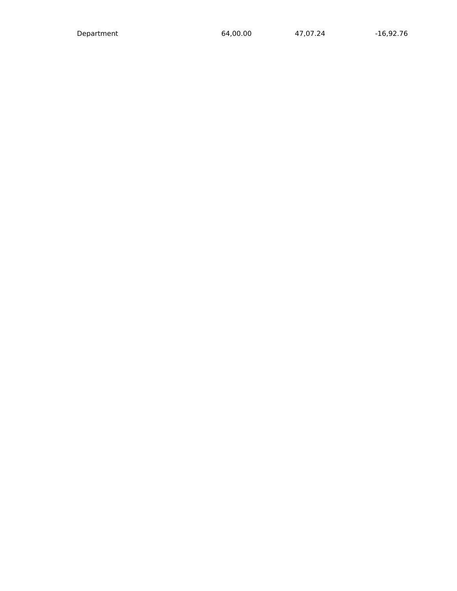Department 64,00.00 47,07.24 -16,92.76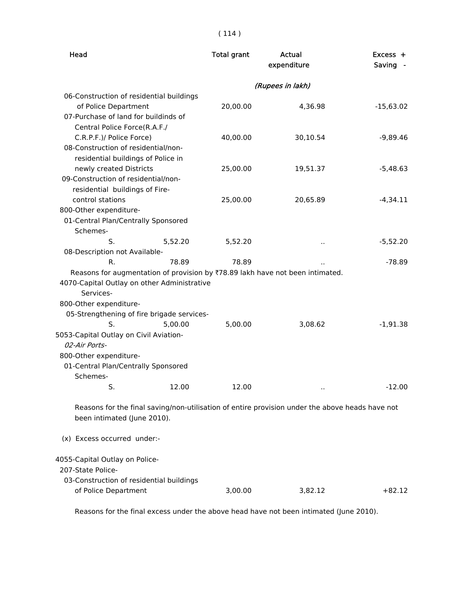( 114 )

| Head                                                                                                                                                                | <b>Total grant</b> | Actual<br>expenditure | Excess +<br>Saving - |
|---------------------------------------------------------------------------------------------------------------------------------------------------------------------|--------------------|-----------------------|----------------------|
|                                                                                                                                                                     |                    | (Rupees in lakh)      |                      |
| 06-Construction of residential buildings<br>of Police Department                                                                                                    | 20,00.00           | 4,36.98               | $-15,63.02$          |
| 07-Purchase of land for buildinds of<br>Central Police Force(R.A.F./                                                                                                |                    |                       |                      |
| C.R.P.F.)/ Police Force)                                                                                                                                            | 40,00.00           | 30,10.54              | $-9,89.46$           |
| 08-Construction of residential/non-                                                                                                                                 |                    |                       |                      |
| residential buildings of Police in                                                                                                                                  |                    |                       |                      |
| newly created Districts                                                                                                                                             | 25,00.00           | 19,51.37              | $-5,48.63$           |
| 09-Construction of residential/non-                                                                                                                                 |                    |                       |                      |
| residential buildings of Fire-                                                                                                                                      |                    |                       |                      |
| control stations                                                                                                                                                    | 25,00.00           | 20,65.89              | $-4,34.11$           |
| 800-Other expenditure-                                                                                                                                              |                    |                       |                      |
| 01-Central Plan/Centrally Sponsored                                                                                                                                 |                    |                       |                      |
| Schemes-                                                                                                                                                            |                    |                       |                      |
| S.<br>5,52.20                                                                                                                                                       | 5,52.20            | $\ddot{\phantom{1}}$  | $-5,52.20$           |
| 08-Description not Available-                                                                                                                                       |                    |                       |                      |
| 78.89<br>R.                                                                                                                                                         | 78.89              |                       | $-78.89$             |
| Reasons for augmentation of provision by ₹78.89 lakh have not been intimated.<br>4070-Capital Outlay on other Administrative<br>Services-<br>800-Other expenditure- |                    |                       |                      |
| 05-Strengthening of fire brigade services-                                                                                                                          |                    |                       |                      |
| S.<br>5,00.00                                                                                                                                                       | 5,00.00            | 3,08.62               | $-1,91.38$           |
| 5053-Capital Outlay on Civil Aviation-                                                                                                                              |                    |                       |                      |
| 02-Air Ports-                                                                                                                                                       |                    |                       |                      |
| 800-Other expenditure-                                                                                                                                              |                    |                       |                      |
| 01-Central Plan/Centrally Sponsored                                                                                                                                 |                    |                       |                      |
| Schemes-                                                                                                                                                            |                    |                       |                      |
| S.                                                                                                                                                                  | 12.00<br>12.00     | $\ddot{\phantom{1}}$  | $-12.00$             |
| Reasons for the final saving/non-utilisation of entire provision under the above heads have not<br>been intimated (June 2010).                                      |                    |                       |                      |
| (x) Excess occurred under:-                                                                                                                                         |                    |                       |                      |
| 4055-Capital Outlay on Police-<br>207-State Police-                                                                                                                 |                    |                       |                      |
| 03-Construction of residential buildings<br>of Police Department                                                                                                    | 3,00.00            | 3,82.12               | $+82.12$             |

Reasons for the final excess under the above head have not been intimated (June 2010).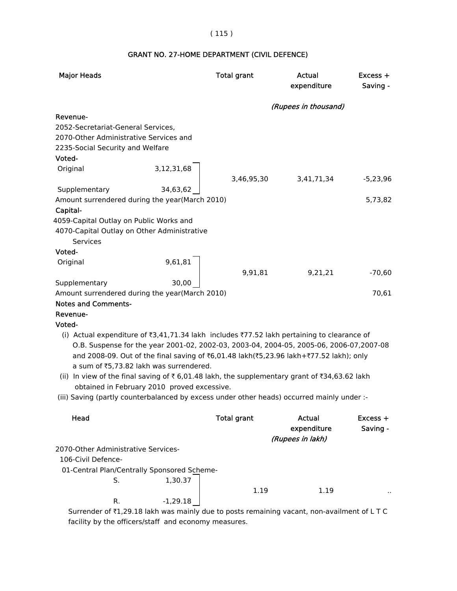# ( 115 )

# GRANT NO. 27-HOME DEPARTMENT (CIVIL DEFENCE)

| <b>Major Heads</b>                                                                                                                                                                                                                                                                                                                                                                                                                                                                                                                                                        | <b>Total grant</b>       | Actual<br>expenditure                     | Excess +<br>Saving -   |
|---------------------------------------------------------------------------------------------------------------------------------------------------------------------------------------------------------------------------------------------------------------------------------------------------------------------------------------------------------------------------------------------------------------------------------------------------------------------------------------------------------------------------------------------------------------------------|--------------------------|-------------------------------------------|------------------------|
|                                                                                                                                                                                                                                                                                                                                                                                                                                                                                                                                                                           |                          | (Rupees in thousand)                      |                        |
| Revenue-<br>2052-Secretariat-General Services,<br>2070-Other Administrative Services and<br>2235-Social Security and Welfare                                                                                                                                                                                                                                                                                                                                                                                                                                              |                          |                                           |                        |
| Voted-                                                                                                                                                                                                                                                                                                                                                                                                                                                                                                                                                                    |                          |                                           |                        |
| Original                                                                                                                                                                                                                                                                                                                                                                                                                                                                                                                                                                  | 3,12,31,68<br>3,46,95,30 | 3,41,71,34                                | $-5,23,96$             |
| Supplementary<br>Amount surrendered during the year(March 2010)<br>Capital-<br>4059-Capital Outlay on Public Works and                                                                                                                                                                                                                                                                                                                                                                                                                                                    | 34,63,62                 |                                           | 5,73,82                |
| 4070-Capital Outlay on Other Administrative<br><b>Services</b><br>Voted-                                                                                                                                                                                                                                                                                                                                                                                                                                                                                                  |                          |                                           |                        |
| Original                                                                                                                                                                                                                                                                                                                                                                                                                                                                                                                                                                  | 9,61,81<br>9,91,81       | 9,21,21                                   | $-70,60$               |
| Supplementary                                                                                                                                                                                                                                                                                                                                                                                                                                                                                                                                                             | 30,00                    |                                           |                        |
| Amount surrendered during the year(March 2010)                                                                                                                                                                                                                                                                                                                                                                                                                                                                                                                            |                          |                                           | 70,61                  |
| <b>Notes and Comments-</b>                                                                                                                                                                                                                                                                                                                                                                                                                                                                                                                                                |                          |                                           |                        |
| Revenue-                                                                                                                                                                                                                                                                                                                                                                                                                                                                                                                                                                  |                          |                                           |                        |
| Voted-                                                                                                                                                                                                                                                                                                                                                                                                                                                                                                                                                                    |                          |                                           |                        |
| (i) Actual expenditure of ₹3,41,71.34 lakh includes ₹77.52 lakh pertaining to clearance of<br>O.B. Suspense for the year 2001-02, 2002-03, 2003-04, 2004-05, 2005-06, 2006-07, 2007-08<br>and 2008-09. Out of the final saving of ₹6,01.48 lakh(₹5,23.96 lakh+₹77.52 lakh); only<br>a sum of ₹5,73.82 lakh was surrendered.<br>(ii) In view of the final saving of ₹ 6,01.48 lakh, the supplementary grant of ₹34,63.62 lakh<br>obtained in February 2010 proved excessive.<br>(iii) Saving (partly counterbalanced by excess under other heads) occurred mainly under :- |                          |                                           |                        |
|                                                                                                                                                                                                                                                                                                                                                                                                                                                                                                                                                                           |                          |                                           |                        |
| Head                                                                                                                                                                                                                                                                                                                                                                                                                                                                                                                                                                      | <b>Total grant</b>       | Actual<br>expenditure<br>(Rupees in lakh) | $Excess +$<br>Saving - |
| 2070-Other Administrative Services-                                                                                                                                                                                                                                                                                                                                                                                                                                                                                                                                       |                          |                                           |                        |
| 106-Civil Defence-                                                                                                                                                                                                                                                                                                                                                                                                                                                                                                                                                        |                          |                                           |                        |
| 01-Central Plan/Centrally Sponsored Scheme-                                                                                                                                                                                                                                                                                                                                                                                                                                                                                                                               |                          |                                           |                        |
| S.                                                                                                                                                                                                                                                                                                                                                                                                                                                                                                                                                                        | 1,30.37                  |                                           |                        |
|                                                                                                                                                                                                                                                                                                                                                                                                                                                                                                                                                                           | 1.19                     | 1.19                                      |                        |
| R.                                                                                                                                                                                                                                                                                                                                                                                                                                                                                                                                                                        | $-1,29.18$               |                                           |                        |
| Surrender of ₹1,29.18 lakh was mainly due to posts remaining vacant, non-availment of LTC                                                                                                                                                                                                                                                                                                                                                                                                                                                                                 |                          |                                           |                        |

facility by the officers/staff and economy measures.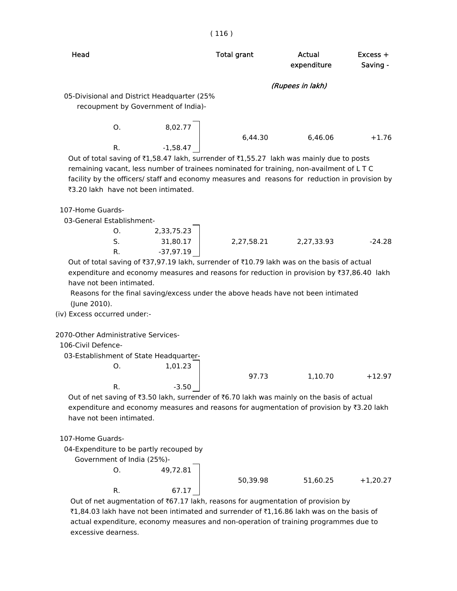| Head                                                                                                                                                                                                                                                                                                                                                     | <b>Total grant</b> | Actual<br>expenditure | Excess +<br>Saving - |
|----------------------------------------------------------------------------------------------------------------------------------------------------------------------------------------------------------------------------------------------------------------------------------------------------------------------------------------------------------|--------------------|-----------------------|----------------------|
|                                                                                                                                                                                                                                                                                                                                                          |                    | (Rupees in lakh)      |                      |
| 05-Divisional and District Headquarter (25%<br>recoupment by Government of India)-                                                                                                                                                                                                                                                                       |                    |                       |                      |
| 8,02.77<br>0.<br>$-1,58.47$<br>R.<br>Out of total saving of ₹1,58.47 lakh, surrender of ₹1,55.27 lakh was mainly due to posts<br>remaining vacant, less number of trainees nominated for training, non-availment of LTC<br>facility by the officers/ staff and economy measures and reasons for reduction in provision by                                | 6,44.30            | 6,46.06               | $+1.76$              |
| ₹3.20 lakh have not been intimated.                                                                                                                                                                                                                                                                                                                      |                    |                       |                      |
| 107-Home Guards-<br>03-General Establishment-<br>2,33,75.23<br>0.                                                                                                                                                                                                                                                                                        |                    |                       |                      |
| S.<br>31,80.17<br>$-37,97.19$<br>R.                                                                                                                                                                                                                                                                                                                      | 2,27,58.21         | 2,27,33.93            | $-24.28$             |
| Out of total saving of ₹37,97.19 lakh, surrender of ₹10.79 lakh was on the basis of actual<br>expenditure and economy measures and reasons for reduction in provision by ₹37,86.40 lakh<br>have not been intimated.<br>Reasons for the final saving/excess under the above heads have not been intimated<br>(June 2010).<br>(iv) Excess occurred under:- |                    |                       |                      |
| 2070-Other Administrative Services-<br>106-Civil Defence-<br>03-Establishment of State Headquarter-                                                                                                                                                                                                                                                      |                    |                       |                      |
| Ο.<br>1,01.23                                                                                                                                                                                                                                                                                                                                            | 97.73              | 1,10.70               | $+12.97$             |
| $-3.50$<br>R.<br>Out of net saving of ₹3.50 lakh, surrender of ₹6.70 lakh was mainly on the basis of actual<br>expenditure and economy measures and reasons for augmentation of provision by ₹3.20 lakh<br>have not been intimated.                                                                                                                      |                    |                       |                      |
| 107-Home Guards-<br>04-Expenditure to be partly recouped by                                                                                                                                                                                                                                                                                              |                    |                       |                      |
| Government of India (25%)-                                                                                                                                                                                                                                                                                                                               |                    |                       |                      |
| 49,72.81<br>0.                                                                                                                                                                                                                                                                                                                                           |                    |                       |                      |
|                                                                                                                                                                                                                                                                                                                                                          | 50,39.98           | 51,60.25              | $+1,20.27$           |
| R.<br>67.17<br>Out of net augmentation of ₹67.17 lakh, reasons for augmentation of provision by                                                                                                                                                                                                                                                          |                    |                       |                      |

₹1,84.03 lakh have not been intimated and surrender of ₹1,16.86 lakh was on the basis of actual expenditure, economy measures and non-operation of training programmes due to excessive dearness.

# ( 116 )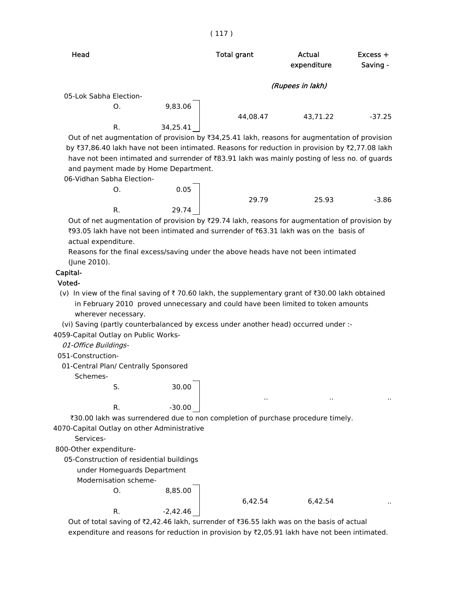|         | <b>Total grant</b>     | Actual<br>expenditure | $Excess +$<br>Saving - |
|---------|------------------------|-----------------------|------------------------|
|         |                        |                       |                        |
|         |                        |                       |                        |
| 9,83.06 |                        |                       |                        |
|         |                        |                       |                        |
|         | 44,08.47               | 43,71.22              | $-37.25$               |
|         | 05-Lok Sabha Election- |                       | (Rupees in lakh)       |

Out of net augmentation of provision by  $\bar{\tau}$ 34,25.41 lakh, reasons for augmentation of provision by ₹37,86.40 lakh have not been intimated. Reasons for reduction in provision by ₹2,77.08 lakh have not been intimated and surrender of  $\bar{8}3.91$  lakh was mainly posting of less no. of guards and payment made by Home Department.

06-Vidhan Sabha Election-

| Ο. | 0.05  |       |       |         |
|----|-------|-------|-------|---------|
|    |       | 29.79 | 25.93 | $-3.86$ |
| R. | 29.74 |       |       |         |

Out of net augmentation of provision by  $\overline{29.74}$  lakh, reasons for augmentation of provision by  $\overline{3}93.05$  lakh have not been intimated and surrender of  $\overline{3}63.31$  lakh was on the basis of actual expenditure.

 Reasons for the final excess/saving under the above heads have not been intimated (June 2010).

#### Capital-

#### Voted-

(v) In view of the final saving of  $\bar{\tau}$  70.60 lakh, the supplementary grant of  $\bar{\tau}$ 30.00 lakh obtained in February 2010 proved unnecessary and could have been limited to token amounts wherever necessary.

(vi) Saving (partly counterbalanced by excess under another head) occurred under :-

4059-Capital Outlay on Public Works-

01-Office Buildings-

051-Construction-

01-Central Plan/ Centrally Sponsored

Schemes-

S. 30.00

R.  $-30.00$ 

`30.00 lakh was surrendered due to non completion of purchase procedure timely.

4070-Capital Outlay on other Administrative

Services-

800-Other expenditure-

05-Construction of residential buildings

under Homeguards Department

Modernisation scheme-

O. 8,85.00  $R.$   $-2,42.46$ 

6,42.54 6,42.54 ..

.. .. ..

Out of total saving of  $Z$ ,42.46 lakh, surrender of  $Z$ 36.55 lakh was on the basis of actual expenditure and reasons for reduction in provision by  $\bar{\tau}$ 2,05.91 lakh have not been intimated.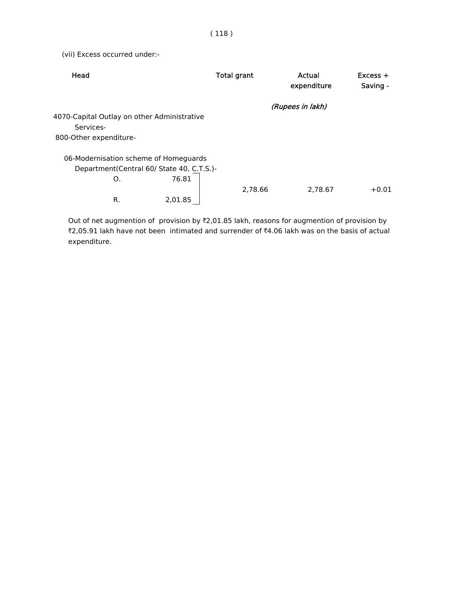(vii) Excess occurred under:-

| Head                                        | <b>Total grant</b> | Actual<br>expenditure | $Excess +$<br>Saving - |
|---------------------------------------------|--------------------|-----------------------|------------------------|
|                                             |                    | (Rupees in lakh)      |                        |
| 4070-Capital Outlay on other Administrative |                    |                       |                        |
| Services-                                   |                    |                       |                        |
| 800-Other expenditure-                      |                    |                       |                        |
| 06-Modernisation scheme of Homeguards       |                    |                       |                        |
| Department(Central 60/ State 40, C.T.S.)-   |                    |                       |                        |
| 76.81<br>O.                                 |                    |                       |                        |
|                                             | 2.78.66            | 2.78.67               | $+0.01$                |
| 2,01.85<br>R.                               |                    |                       |                        |

Out of net augmention of provision by  $Z,01.85$  lakh, reasons for augmention of provision by ₹2,05.91 lakh have not been intimated and surrender of ₹4.06 lakh was on the basis of actual expenditure.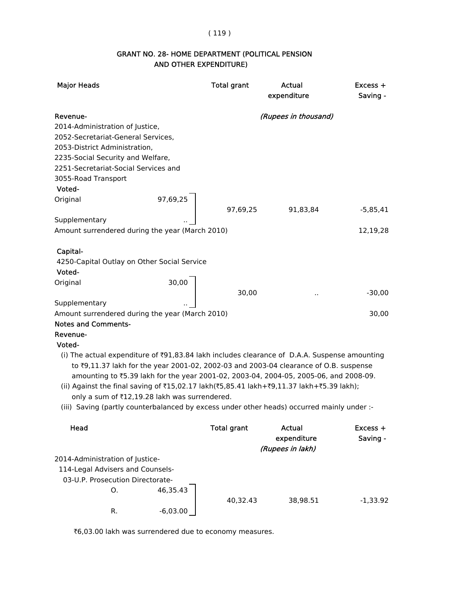### ( 119 )

# AND OTHER EXPENDITURE) GRANT NO. 28- HOME DEPARTMENT (POLITICAL PENSION

| <b>Major Heads</b>                                                                           | <b>Total grant</b> | Actual<br>expenditure | Excess +<br>Saving - |
|----------------------------------------------------------------------------------------------|--------------------|-----------------------|----------------------|
| Revenue-                                                                                     |                    | (Rupees in thousand)  |                      |
| 2014-Administration of Justice,                                                              |                    |                       |                      |
| 2052-Secretariat-General Services,                                                           |                    |                       |                      |
| 2053-District Administration,                                                                |                    |                       |                      |
| 2235-Social Security and Welfare,                                                            |                    |                       |                      |
| 2251-Secretariat-Social Services and                                                         |                    |                       |                      |
| 3055-Road Transport                                                                          |                    |                       |                      |
| Voted-                                                                                       |                    |                       |                      |
| 97,69,25<br>Original                                                                         |                    |                       |                      |
|                                                                                              | 97,69,25           | 91,83,84              | $-5,85,41$           |
| Supplementary                                                                                |                    |                       |                      |
| Amount surrendered during the year (March 2010)                                              |                    |                       | 12,19,28             |
| Capital-                                                                                     |                    |                       |                      |
| 4250-Capital Outlay on Other Social Service                                                  |                    |                       |                      |
| Voted-                                                                                       |                    |                       |                      |
| Original                                                                                     | 30,00              |                       |                      |
|                                                                                              | 30,00              |                       | $-30,00$             |
| Supplementary                                                                                |                    | $\ddot{\phantom{0}}$  |                      |
| Amount surrendered during the year (March 2010)                                              |                    |                       | 30,00                |
| <b>Notes and Comments-</b>                                                                   |                    |                       |                      |
| Revenue-                                                                                     |                    |                       |                      |
| Voted-                                                                                       |                    |                       |                      |
| (i) The actual expenditure of ₹91,83.84 lakh includes clearance of D.A.A. Suspense amounting |                    |                       |                      |
| to ₹9,11.37 lakh for the year 2001-02, 2002-03 and 2003-04 clearance of O.B. suspense        |                    |                       |                      |

amounting to `5.39 lakh for the year 2001-02, 2003-04, 2004-05, 2005-06, and 2008-09.

- (ii) Against the final saving of ₹15,02.17 lakh(₹5,85.41 lakh+₹9,11.37 lakh+₹5.39 lakh); only a sum of ₹12,19.28 lakh was surrendered.
- (iii) Saving (partly counterbalanced by excess under other heads) occurred mainly under :-

| Head                             |            | <b>Total grant</b> | Actual<br>expenditure<br>(Rupees in lakh) | $Excess +$<br>Saving - |
|----------------------------------|------------|--------------------|-------------------------------------------|------------------------|
| 2014-Administration of Justice-  |            |                    |                                           |                        |
| 114-Legal Advisers and Counsels- |            |                    |                                           |                        |
| 03-U.P. Prosecution Directorate- |            |                    |                                           |                        |
| O.                               | 46.35.43   |                    |                                           |                        |
|                                  |            | 40.32.43           | 38,98.51                                  | $-1,33.92$             |
| R.                               | $-6,03.00$ |                    |                                           |                        |

₹6,03.00 lakh was surrendered due to economy measures.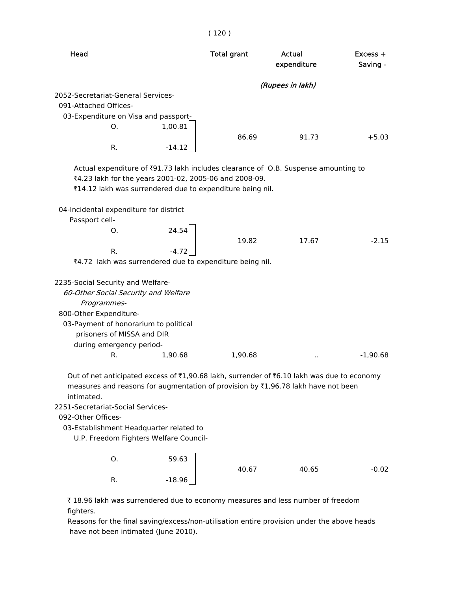| Head                                                                                                                                                                                                                                                                                                                                          |          | <b>Total grant</b> | Actual<br>expenditure | $Excess +$<br>Saving - |
|-----------------------------------------------------------------------------------------------------------------------------------------------------------------------------------------------------------------------------------------------------------------------------------------------------------------------------------------------|----------|--------------------|-----------------------|------------------------|
|                                                                                                                                                                                                                                                                                                                                               |          |                    | (Rupees in lakh)      |                        |
| 2052-Secretariat-General Services-                                                                                                                                                                                                                                                                                                            |          |                    |                       |                        |
| 091-Attached Offices-                                                                                                                                                                                                                                                                                                                         |          |                    |                       |                        |
| 03-Expenditure on Visa and passport-                                                                                                                                                                                                                                                                                                          |          |                    |                       |                        |
| O.                                                                                                                                                                                                                                                                                                                                            | 1,00.81  |                    |                       |                        |
|                                                                                                                                                                                                                                                                                                                                               |          | 86.69              | 91.73                 | $+5.03$                |
| R.                                                                                                                                                                                                                                                                                                                                            | $-14.12$ |                    |                       |                        |
| Actual expenditure of ₹91.73 lakh includes clearance of O.B. Suspense amounting to<br>₹4.23 lakh for the years 2001-02, 2005-06 and 2008-09.<br>₹14.12 lakh was surrendered due to expenditure being nil.                                                                                                                                     |          |                    |                       |                        |
| 04-Incidental expenditure for district                                                                                                                                                                                                                                                                                                        |          |                    |                       |                        |
| Passport cell-                                                                                                                                                                                                                                                                                                                                |          |                    |                       |                        |
| O.                                                                                                                                                                                                                                                                                                                                            | 24.54    |                    |                       |                        |
| R.                                                                                                                                                                                                                                                                                                                                            | $-4.72$  | 19.82              | 17.67                 | $-2.15$                |
| ₹4.72 lakh was surrendered due to expenditure being nil.                                                                                                                                                                                                                                                                                      |          |                    |                       |                        |
|                                                                                                                                                                                                                                                                                                                                               |          |                    |                       |                        |
| 2235-Social Security and Welfare-<br>60-Other Social Security and Welfare<br>Programmes-                                                                                                                                                                                                                                                      |          |                    |                       |                        |
| 800-Other Expenditure-<br>03-Payment of honorarium to political                                                                                                                                                                                                                                                                               |          |                    |                       |                        |
| prisoners of MISSA and DIR                                                                                                                                                                                                                                                                                                                    |          |                    |                       |                        |
| during emergency period-                                                                                                                                                                                                                                                                                                                      |          |                    |                       |                        |
| R.                                                                                                                                                                                                                                                                                                                                            | 1,90.68  | 1,90.68            |                       | $-1,90.68$             |
| Out of net anticipated excess of ₹1,90.68 lakh, surrender of ₹6.10 lakh was due to economy<br>measures and reasons for augmentation of provision by ₹1,96.78 lakh have not been<br>intimated.<br>2251-Secretariat-Social Services-<br>092-Other Offices-<br>03-Establishment Headquarter related to<br>U.P. Freedom Fighters Welfare Council- |          |                    |                       |                        |
| 0.                                                                                                                                                                                                                                                                                                                                            | 59.63    | 40.67              | 40.65                 | $-0.02$                |
| R.                                                                                                                                                                                                                                                                                                                                            | $-18.96$ |                    |                       |                        |

₹ 18.96 lakh was surrendered due to economy measures and less number of freedom fighters.

 Reasons for the final saving/excess/non-utilisation entire provision under the above heads have not been intimated (June 2010).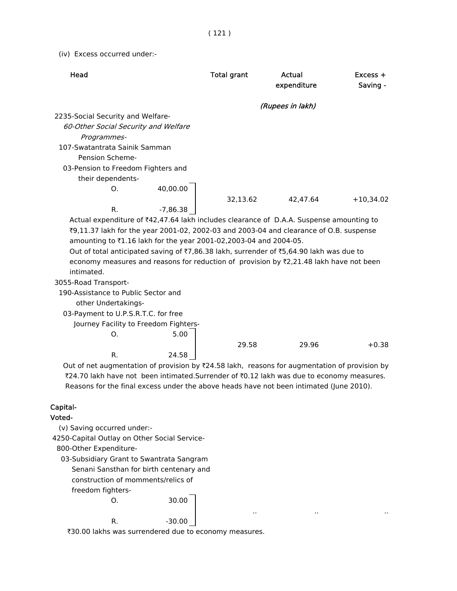(iv) Excess occurred under:-

| Head                                                                                          |            | <b>Total grant</b> | Actual<br>expenditure | Excess +<br>Saving - |
|-----------------------------------------------------------------------------------------------|------------|--------------------|-----------------------|----------------------|
|                                                                                               |            |                    | (Rupees in lakh)      |                      |
| 2235-Social Security and Welfare-                                                             |            |                    |                       |                      |
| 60-Other Social Security and Welfare                                                          |            |                    |                       |                      |
| Programmes-                                                                                   |            |                    |                       |                      |
| 107-Swatantrata Sainik Samman                                                                 |            |                    |                       |                      |
| Pension Scheme-                                                                               |            |                    |                       |                      |
| 03-Pension to Freedom Fighters and                                                            |            |                    |                       |                      |
| their dependents-                                                                             |            |                    |                       |                      |
| О.                                                                                            | 40,00.00   |                    |                       |                      |
|                                                                                               |            | 32,13.62           | 42,47.64              | $+10,34.02$          |
| R.                                                                                            | $-7,86.38$ |                    |                       |                      |
| Actual expenditure of ₹42,47.64 lakh includes clearance of D.A.A. Suspense amounting to       |            |                    |                       |                      |
| ₹9,11.37 lakh for the year 2001-02, 2002-03 and 2003-04 and clearance of O.B. suspense        |            |                    |                       |                      |
| amounting to ₹1.16 lakh for the year 2001-02,2003-04 and 2004-05.                             |            |                    |                       |                      |
| Out of total anticipated saving of ₹7,86.38 lakh, surrender of ₹5,64.90 lakh was due to       |            |                    |                       |                      |
| economy measures and reasons for reduction of provision by ₹2,21.48 lakh have not been        |            |                    |                       |                      |
| intimated.                                                                                    |            |                    |                       |                      |
| 3055-Road Transport-                                                                          |            |                    |                       |                      |
| 190-Assistance to Public Sector and                                                           |            |                    |                       |                      |
| other Undertakings-                                                                           |            |                    |                       |                      |
| 03-Payment to U.P.S.R.T.C. for free                                                           |            |                    |                       |                      |
| Journey Facility to Freedom Fighters-                                                         |            |                    |                       |                      |
| O.                                                                                            | 5.00       |                    |                       |                      |
|                                                                                               |            | 29.58              | 29.96                 | $+0.38$              |
| R.                                                                                            | 24.58      |                    |                       |                      |
| Out of net augmentation of provision by ₹24.58 lakh, reasons for augmentation of provision by |            |                    |                       |                      |
| ₹24.70 lakh have not been intimated. Surrender of ₹0.12 lakh was due to economy measures.     |            |                    |                       |                      |
| Reasons for the final excess under the above heads have not been intimated (June 2010).       |            |                    |                       |                      |
|                                                                                               |            |                    |                       |                      |
| Capital-<br>りんトヘー                                                                             |            |                    |                       |                      |

.. .. ..

# Voted-

(v) Saving occurred under:-

4250-Capital Outlay on Other Social Service-

800-Other Expenditure-

 03-Subsidiary Grant to Swantrata Sangram Senani Sansthan for birth centenary and construction of momments/relics of freedom fighters-

```
O. 30.00
R. -30.00
```
`30.00 lakhs was surrendered due to economy measures.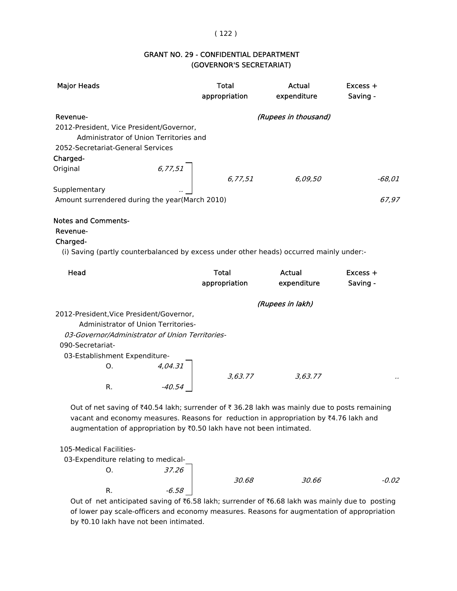### ( 122 )

# (GOVERNOR'S SECRETARIAT) GRANT NO. 29 - CONFIDENTIAL DEPARTMENT

| <b>Major Heads</b>                                                                                          |                                            | <b>Total</b><br>appropriation | Actual<br>expenditure        | $Excess +$<br>Saving - |
|-------------------------------------------------------------------------------------------------------------|--------------------------------------------|-------------------------------|------------------------------|------------------------|
|                                                                                                             |                                            |                               |                              |                        |
| Revenue-                                                                                                    |                                            |                               | (Rupees in thousand)         |                        |
| 2012-President, Vice President/Governor,                                                                    | Administrator of Union Territories and     |                               |                              |                        |
| 2052-Secretariat-General Services                                                                           |                                            |                               |                              |                        |
| Charged-                                                                                                    |                                            |                               |                              |                        |
| Original                                                                                                    | 6, 77, 51                                  |                               |                              |                        |
|                                                                                                             |                                            | 6,77,51                       | 6,09,50                      | $-68,01$               |
| Supplementary                                                                                               |                                            |                               |                              |                        |
| Amount surrendered during the year(March 2010)                                                              |                                            |                               |                              | 67,97                  |
| Charged-<br>(i) Saving (partly counterbalanced by excess under other heads) occurred mainly under:-<br>Head |                                            | <b>Total</b><br>appropriation | <b>Actual</b><br>expenditure | Excess +<br>Saving -   |
|                                                                                                             |                                            |                               | (Rupees in lakh)             |                        |
| 2012-President, Vice President/Governor,                                                                    |                                            |                               |                              |                        |
|                                                                                                             | <b>Administrator of Union Territories-</b> |                               |                              |                        |
| 03-Governor/Administrator of Union Territories-                                                             |                                            |                               |                              |                        |
| 090-Secretariat-                                                                                            |                                            |                               |                              |                        |
| 03-Establishment Expenditure-                                                                               |                                            |                               |                              |                        |
| О.                                                                                                          | 4,04.31                                    |                               |                              |                        |
|                                                                                                             |                                            | 3,63.77                       | 3,63.77                      |                        |
| R.                                                                                                          | $-40.54$                                   |                               |                              |                        |

Out of net saving of  $*40.54$  lakh; surrender of  $*36.28$  lakh was mainly due to posts remaining vacant and economy measures. Reasons for reduction in appropriation by  $*4.76$  lakh and augmentation of appropriation by  $\bar{x}$ 0.50 lakh have not been intimated.

105-Medical Facilities-

| 03-Expenditure relating to medical- |       |       |       |         |
|-------------------------------------|-------|-------|-------|---------|
|                                     | 37.26 |       |       |         |
|                                     |       | 30.68 | 30.66 | $-0.02$ |
|                                     | -6.58 |       |       |         |

Out of net anticipated saving of  $\text{\texttt{R6.58}}$  lakh; surrender of  $\text{\texttt{R6.68}}$  lakh was mainly due to posting of lower pay scale-officers and economy measures. Reasons for augmentation of appropriation by  $\bar{z}0.10$  lakh have not been intimated.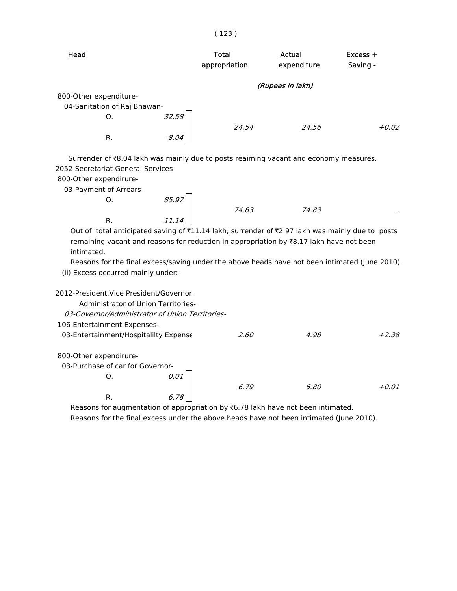### ( 123 )

| Head                                                                                                                                                                                                        | <b>Total</b><br>appropriation | Actual<br>expenditure | $Excess +$<br>Saving - |
|-------------------------------------------------------------------------------------------------------------------------------------------------------------------------------------------------------------|-------------------------------|-----------------------|------------------------|
|                                                                                                                                                                                                             |                               | (Rupees in lakh)      |                        |
| 800-Other expenditure-                                                                                                                                                                                      |                               |                       |                        |
| 04-Sanitation of Raj Bhawan-                                                                                                                                                                                |                               |                       |                        |
| Ο.                                                                                                                                                                                                          | 32.58                         |                       |                        |
|                                                                                                                                                                                                             | 24.54                         | 24.56                 | $+0.02$                |
| R.                                                                                                                                                                                                          | -8.04                         |                       |                        |
| Surrender of ₹8.04 lakh was mainly due to posts reaiming vacant and economy measures.<br>2052-Secretariat-General Services-<br>800-Other expendirure-<br>03-Payment of Arrears-                             |                               |                       |                        |
| Ο.                                                                                                                                                                                                          | 85.97                         |                       |                        |
|                                                                                                                                                                                                             | 74.83                         | 74.83                 |                        |
| R.                                                                                                                                                                                                          | $-11.14$                      |                       |                        |
| Out of total anticipated saving of ₹11.14 lakh; surrender of ₹2.97 lakh was mainly due to posts<br>remaining vacant and reasons for reduction in appropriation by $E$ 8.17 lakh have not been<br>intimated. |                               |                       |                        |
| Reasons for the final excess/saving under the above heads have not been intimated (June 2010).                                                                                                              |                               |                       |                        |
| (ii) Excess occurred mainly under:-                                                                                                                                                                         |                               |                       |                        |
| 2012-President, Vice President/Governor,<br>Administrator of Union Territories-<br>03-Governor/Administrator of Union Territories-<br>106-Entertainment Expenses-                                           |                               |                       |                        |

03-Entertainment/Hospitalilty Expense 2.60 4.98 +2.38 800-Other expendirure- 03-Purchase of car for Governor-O. 0.01 6.79 6.80 +0.01 R. 6.78

Reasons for augmentation of appropriation by  $\bar{\tau}$ 6.78 lakh have not been intimated. Reasons for the final excess under the above heads have not been intimated (June 2010).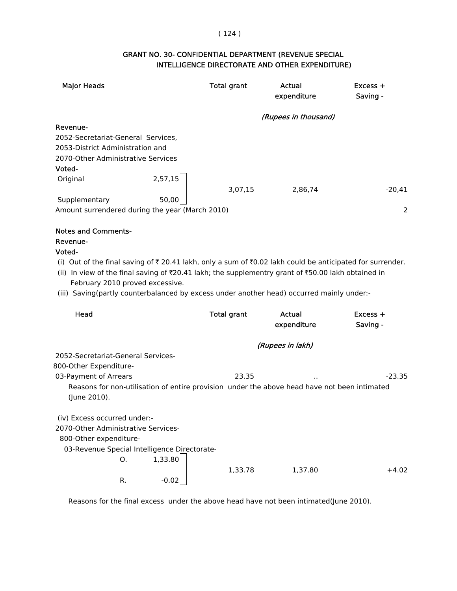### ( 124 )

# INTELLIGENCE DIRECTORATE AND OTHER EXPENDITURE) GRANT NO. 30- CONFIDENTIAL DEPARTMENT (REVENUE SPECIAL

| <b>Major Heads</b>                                                                                        |         | <b>Total grant</b> | Actual<br>expenditure | Excess +<br>Saving - |
|-----------------------------------------------------------------------------------------------------------|---------|--------------------|-----------------------|----------------------|
|                                                                                                           |         |                    | (Rupees in thousand)  |                      |
| Revenue-                                                                                                  |         |                    |                       |                      |
| 2052-Secretariat-General Services,                                                                        |         |                    |                       |                      |
| 2053-District Administration and                                                                          |         |                    |                       |                      |
| 2070-Other Administrative Services                                                                        |         |                    |                       |                      |
| Voted-                                                                                                    |         |                    |                       |                      |
| 2,57,15<br>Original                                                                                       |         |                    |                       |                      |
|                                                                                                           |         | 3,07,15            | 2,86,74               | $-20,41$             |
| Supplementary                                                                                             | 50,00   |                    |                       |                      |
| Amount surrendered during the year (March 2010)                                                           |         |                    |                       | 2                    |
|                                                                                                           |         |                    |                       |                      |
| <b>Notes and Comments-</b>                                                                                |         |                    |                       |                      |
| Revenue-                                                                                                  |         |                    |                       |                      |
| Voted-                                                                                                    |         |                    |                       |                      |
| (i) Out of the final saving of ₹ 20.41 lakh, only a sum of ₹0.02 lakh could be anticipated for surrender. |         |                    |                       |                      |
| (ii) In view of the final saving of ₹20.41 lakh; the supplementry grant of ₹50.00 lakh obtained in        |         |                    |                       |                      |
| February 2010 proved excessive.                                                                           |         |                    |                       |                      |
| (iii) Saving(partly counterbalanced by excess under another head) occurred mainly under:-                 |         |                    |                       |                      |
|                                                                                                           |         |                    |                       |                      |
| Head                                                                                                      |         | <b>Total grant</b> | Actual                | Excess +             |
|                                                                                                           |         |                    | expenditure           | Saving -             |
|                                                                                                           |         |                    | (Rupees in lakh)      |                      |
| 2052-Secretariat-General Services-                                                                        |         |                    |                       |                      |
| 800-Other Expenditure-                                                                                    |         |                    |                       |                      |
| 03-Payment of Arrears                                                                                     |         | 23.35              |                       | $-23.35$             |
| Reasons for non-utilisation of entire provision under the above head have not been intimated              |         |                    |                       |                      |
| (June 2010).                                                                                              |         |                    |                       |                      |
|                                                                                                           |         |                    |                       |                      |
| (iv) Excess occurred under:-                                                                              |         |                    |                       |                      |
| 2070-Other Administrative Services-                                                                       |         |                    |                       |                      |
| 800-Other expenditure-                                                                                    |         |                    |                       |                      |
| 03-Revenue Special Intelligence Directorate-                                                              |         |                    |                       |                      |
| О.<br>1,33.80                                                                                             |         |                    |                       |                      |
|                                                                                                           |         | 1,33.78            | 1,37.80               | $+4.02$              |
| R.                                                                                                        | $-0.02$ |                    |                       |                      |

Reasons for the final excess under the above head have not been intimated(June 2010).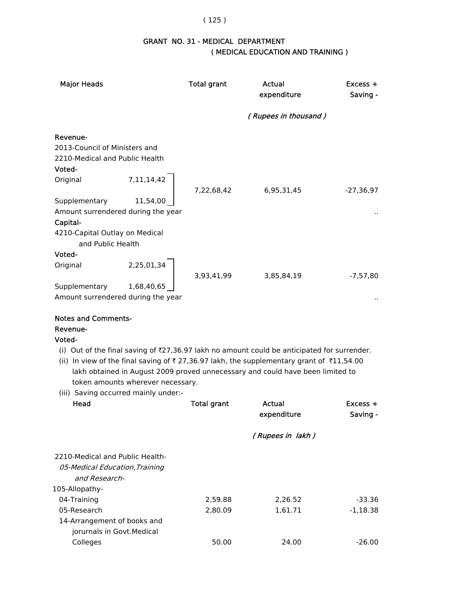#### ( 125 )

# GRANT NO. 31 - MEDICAL DEPARTMENT ( MEDICAL EDUCATION AND TRAINING )

| <b>Major Heads</b>                                                                                                                                       |                                   | <b>Total grant</b> | Actual<br>expenditure                                                                                                                                                                                                                                                                           | Excess +<br>Saving -   |
|----------------------------------------------------------------------------------------------------------------------------------------------------------|-----------------------------------|--------------------|-------------------------------------------------------------------------------------------------------------------------------------------------------------------------------------------------------------------------------------------------------------------------------------------------|------------------------|
|                                                                                                                                                          |                                   |                    | (Rupees in thousand)                                                                                                                                                                                                                                                                            |                        |
| Revenue-<br>2013-Council of Ministers and<br>2210-Medical and Public Health<br>Voted-<br>Original<br>Supplementary<br>Amount surrendered during the year | 7, 11, 14, 42<br>11,54,00         | 7,22,68,42         | 6,95,31,45                                                                                                                                                                                                                                                                                      | $-27,36,97$            |
| Capital-<br>4210-Capital Outlay on Medical<br>and Public Health<br>Voted-                                                                                |                                   |                    |                                                                                                                                                                                                                                                                                                 |                        |
| Original<br>Supplementary<br>Amount surrendered during the year                                                                                          | 2,25,01,34<br>1,68,40,65          | 3,93,41,99         | 3,85,84,19                                                                                                                                                                                                                                                                                      | $-7,57,80$             |
| <b>Notes and Comments-</b><br>Revenue-<br>Voted-<br>(iii) Saving occurred mainly under:-<br>Head                                                         | token amounts wherever necessary. | <b>Total grant</b> | (i) Out of the final saving of $\overline{27,36.97}$ lakh no amount could be anticipated for surrender.<br>(ii) In view of the final saving of ₹27,36.97 lakh, the supplementary grant of ₹11,54.00<br>lakh obtained in August 2009 proved unnecessary and could have been limited to<br>Actual | $Excess +$             |
|                                                                                                                                                          |                                   |                    | expenditure<br>(Rupees in lakh)                                                                                                                                                                                                                                                                 | Saving -               |
| 2210-Medical and Public Health-<br>05-Medical Education, Training<br>and Research-                                                                       |                                   |                    |                                                                                                                                                                                                                                                                                                 |                        |
| 105-Allopathy-<br>04-Training<br>05-Research                                                                                                             |                                   | 2,59.88<br>2,80.09 | 2,26.52<br>1,61.71                                                                                                                                                                                                                                                                              | $-33.36$<br>$-1,18.38$ |

Colleges 50.00 24.00 -26.00

 14-Arrangement of books and jorurnals in Govt.Medical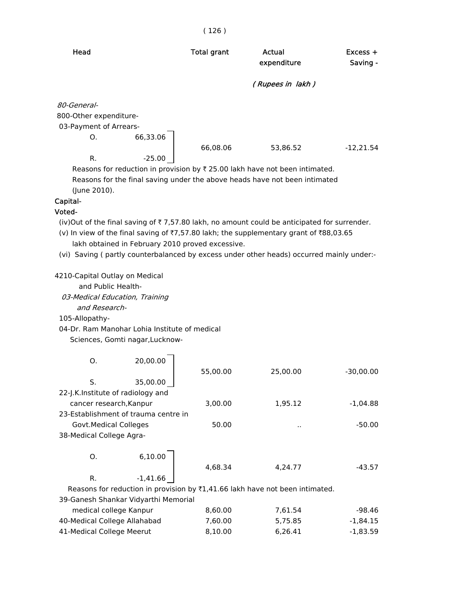| <b>Total grant</b> | Actual<br>expenditure | Excess +<br>Saving - |
|--------------------|-----------------------|----------------------|
|                    | (Rupees in lakh)      |                      |
|                    |                       |                      |
|                    |                       |                      |
|                    |                       |                      |
|                    |                       |                      |
| 66,08.06           | 53,86.52              | $-12,21.54$          |
|                    |                       |                      |
|                    | 66,33.06<br>$-25.00$  |                      |

( 126 )

Reasons for reduction in provision by  $\bar{\tau}$  25.00 lakh have not been intimated. Reasons for the final saving under the above heads have not been intimated (June 2010).

# Capital-

#### Voted-

(iv)Out of the final saving of  $\bar{\tau}$  7,57.80 lakh, no amount could be anticipated for surrender.

- (v) In view of the final saving of  $\overline{77,57.80}$  lakh; the supplementary grant of  $\overline{788,03.65}$ lakh obtained in February 2010 proved excessive.
- (vi) Saving ( partly counterbalanced by excess under other heads) occurred mainly under:-

4210-Capital Outlay on Medical

and Public Health-

 03-Medical Education, Training and Research-

105-Allopathy-

04-Dr. Ram Manohar Lohia Institute of medical

Sciences, Gomti nagar,Lucknow-

| O.                                | 20,00.00                             | 55,00.00                                                                                  | 25,00.00  | $-30,00.00$ |
|-----------------------------------|--------------------------------------|-------------------------------------------------------------------------------------------|-----------|-------------|
| S.                                | 35,00.00                             |                                                                                           |           |             |
| 22-J.K.Institute of radiology and |                                      |                                                                                           |           |             |
| cancer research, Kanpur           |                                      | 3,00.00                                                                                   | 1,95.12   | $-1.04.88$  |
|                                   | 23-Establishment of trauma centre in |                                                                                           |           |             |
| Govt. Medical Colleges            |                                      | 50.00                                                                                     | $\cdot$ . | $-50.00$    |
| 38-Medical College Agra-          |                                      |                                                                                           |           |             |
| O.                                | 6,10.00                              |                                                                                           |           |             |
|                                   |                                      | 4.68.34                                                                                   | 4,24.77   | $-43.57$    |
| R.                                | $-1,41.66$                           |                                                                                           |           |             |
|                                   |                                      | Reasons for reduction in provision by $\overline{z}1,41.66$ lakh have not been intimated. |           |             |
|                                   | 39-Ganesh Shankar Vidyarthi Memorial |                                                                                           |           |             |
|                                   |                                      |                                                                                           |           |             |

| medical college Kanpur       | 8.60.00 | 7.61.54 | -98.46   |
|------------------------------|---------|---------|----------|
| 40-Medical College Allahabad | 7.60.00 | 5.75.85 | -1.84.15 |
| 41-Medical College Meerut    | 8.10.00 | 6.26.41 | -1.83.59 |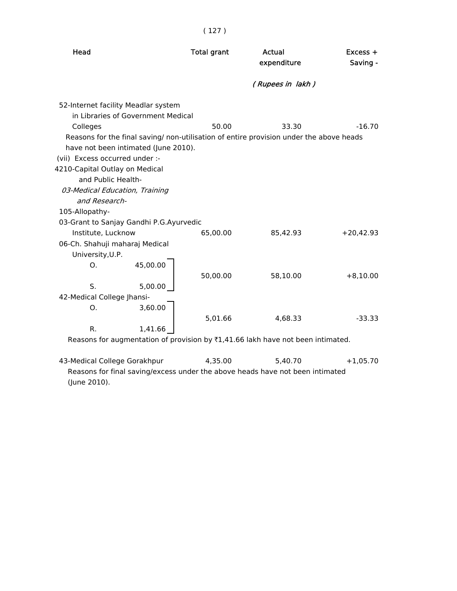| Head                                                                                                                                                                                                                                                                                                                                                                  | <b>Total grant</b> | Actual<br>expenditure | $Excess +$<br>Saving - |
|-----------------------------------------------------------------------------------------------------------------------------------------------------------------------------------------------------------------------------------------------------------------------------------------------------------------------------------------------------------------------|--------------------|-----------------------|------------------------|
|                                                                                                                                                                                                                                                                                                                                                                       |                    | (Rupees in lakh)      |                        |
| 52-Internet facility Meadlar system<br>in Libraries of Government Medical<br>Colleges<br>Reasons for the final saving/ non-utilisation of entire provision under the above heads<br>have not been intimated (June 2010).<br>(vii) Excess occurred under :-<br>4210-Capital Outlay on Medical<br>and Public Health-<br>03-Medical Education, Training<br>and Research- | 50.00              | 33.30                 | $-16.70$               |
| 105-Allopathy-<br>03-Grant to Sanjay Gandhi P.G.Ayurvedic                                                                                                                                                                                                                                                                                                             |                    |                       |                        |
| Institute, Lucknow<br>06-Ch. Shahuji maharaj Medical<br>University, U.P.<br>45,00.00<br>O.                                                                                                                                                                                                                                                                            | 65,00.00           | 85,42.93              | $+20,42.93$            |
| S.<br>5,00.00<br>42-Medical College Jhansi-<br>3,60.00<br>Ο.                                                                                                                                                                                                                                                                                                          | 50,00.00           | 58,10.00              | $+8,10.00$             |
| R.<br>1,41.66<br>Reasons for augmentation of provision by $\overline{x}1,41.66$ lakh have not been intimated.                                                                                                                                                                                                                                                         | 5,01.66            | 4,68.33               | $-33.33$               |

43-Medical College Gorakhpur 4,35.00 5,40.70 +1,05.70 Reasons for final saving/excess under the above heads have not been intimated (June 2010).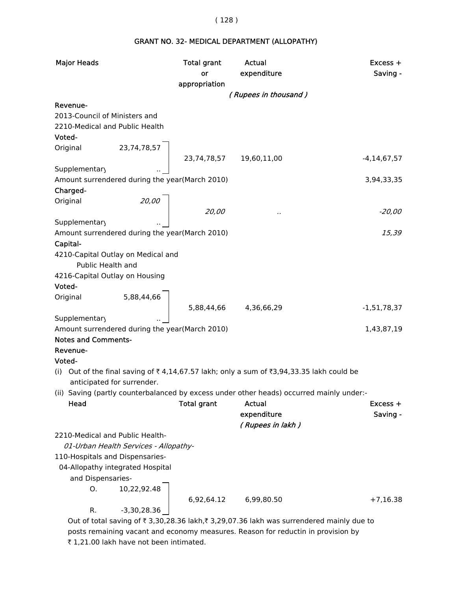#### ( 128 )

# GRANT NO. 32- MEDICAL DEPARTMENT (ALLOPATHY)

| <b>Major Heads</b>                             |                                       | <b>Total grant</b>       | <b>Actual</b>                                                                            | $Excess +$       |
|------------------------------------------------|---------------------------------------|--------------------------|------------------------------------------------------------------------------------------|------------------|
|                                                |                                       | or                       | expenditure                                                                              | Saving -         |
|                                                |                                       | appropriation            |                                                                                          |                  |
|                                                |                                       |                          | (Rupees in thousand)                                                                     |                  |
| Revenue-                                       |                                       |                          |                                                                                          |                  |
| 2013-Council of Ministers and                  |                                       |                          |                                                                                          |                  |
| 2210-Medical and Public Health                 |                                       |                          |                                                                                          |                  |
| Voted-                                         |                                       |                          |                                                                                          |                  |
| Original                                       | 23,74,78,57                           |                          |                                                                                          |                  |
|                                                |                                       | 23,74,78,57  19,60,11,00 |                                                                                          | $-4, 14, 67, 57$ |
| Supplementary                                  |                                       |                          |                                                                                          |                  |
| Amount surrendered during the year(March 2010) |                                       |                          |                                                                                          | 3,94,33,35       |
| Charged-                                       |                                       |                          |                                                                                          |                  |
| Original                                       | 20,00                                 |                          |                                                                                          |                  |
|                                                |                                       | 20,00                    |                                                                                          | $-20,00$         |
| Supplementary                                  |                                       |                          |                                                                                          |                  |
| Amount surrendered during the year(March 2010) |                                       |                          |                                                                                          | 15,39            |
| Capital-                                       |                                       |                          |                                                                                          |                  |
| 4210-Capital Outlay on Medical and             |                                       |                          |                                                                                          |                  |
| Public Health and                              |                                       |                          |                                                                                          |                  |
| 4216-Capital Outlay on Housing                 |                                       |                          |                                                                                          |                  |
| Voted-                                         |                                       |                          |                                                                                          |                  |
| Original                                       | 5,88,44,66                            |                          |                                                                                          |                  |
|                                                |                                       | 5,88,44,66               | 4,36,66,29                                                                               | $-1,51,78,37$    |
| Supplementary                                  |                                       |                          |                                                                                          |                  |
| Amount surrendered during the year(March 2010) |                                       |                          |                                                                                          | 1,43,87,19       |
| <b>Notes and Comments-</b>                     |                                       |                          |                                                                                          |                  |
| Revenue-                                       |                                       |                          |                                                                                          |                  |
| Voted-                                         |                                       |                          |                                                                                          |                  |
| (i)                                            |                                       |                          | Out of the final saving of ₹4,14,67.57 lakh; only a sum of ₹3,94,33.35 lakh could be     |                  |
| anticipated for surrender.                     |                                       |                          |                                                                                          |                  |
|                                                |                                       |                          | (ii) Saving (partly counterbalanced by excess under other heads) occurred mainly under:- |                  |
| Head                                           |                                       | <b>Total grant</b>       | Actual                                                                                   | $Excess +$       |
|                                                |                                       |                          | expenditure                                                                              | Saving -         |
|                                                |                                       |                          | (Rupees in lakh)                                                                         |                  |
| 2210-Medical and Public Health-                |                                       |                          |                                                                                          |                  |
|                                                | 01-Urban Health Services - Allopathy- |                          |                                                                                          |                  |
| 110-Hospitals and Dispensaries-                |                                       |                          |                                                                                          |                  |
|                                                | 04-Allopathy integrated Hospital      |                          |                                                                                          |                  |
| and Dispensaries-                              |                                       |                          |                                                                                          |                  |
| O.                                             | 10,22,92.48                           |                          |                                                                                          |                  |
|                                                |                                       | 6,92,64.12               | 6,99,80.50                                                                               | $+7,16.38$       |
| R.                                             | $-3,30,28.36$                         |                          |                                                                                          |                  |
|                                                |                                       |                          | Out of total saving of ₹ 3,30,28.36 lakh,₹ 3,29,07.36 lakh was surrendered mainly due to |                  |

 posts remaining vacant and economy measures. Reason for reductin in provision by ₹ 1,21.00 lakh have not been intimated.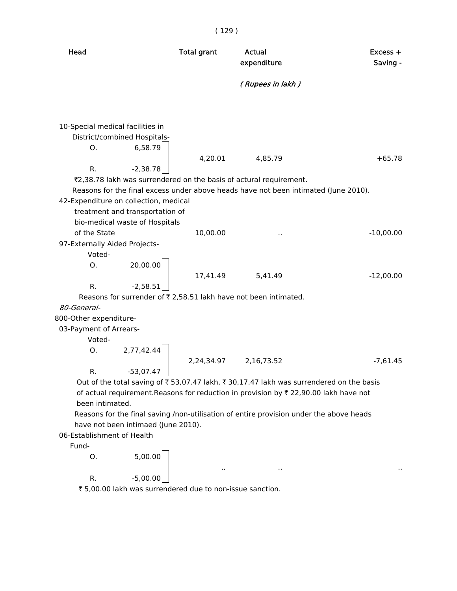Head **Total grant** Actual **Actual Excess +** expenditure Saving - ( Rupees in lakh ) 10-Special medical facilities in District/combined Hospitals- O. 6,58.79 4,20.01 4,85.79 +65.78 R.  $-2,38.78$ ₹2,38.78 lakh was surrendered on the basis of actural requirement. Reasons for the final excess under above heads have not been intimated (June 2010). 42-Expenditure on collection, medical treatment and transportation of bio-medical waste of Hospitals of the State 10,00.00 .. -10,00.00 97-Externally Aided Projects- Voted-  $0. 20,00.00$ 17,41.49 5,41.49 -12,00.00 R.  $-2,58.51$ Reasons for surrender of  $\bar{\tau}$  2,58.51 lakh have not been intimated. 80-General- 800-Other expenditure- 03-Payment of Arrears- Voted-  $O. 2,77,42.44$ 2,24,34.97 2,16,73.52 -7,61.45 R.  $-53,07.47$  | Out of the total saving of  $\bar{\tau}$  53,07.47 lakh,  $\bar{\tau}$  30,17.47 lakh was surrendered on the basis of actual requirement.Reasons for reduction in provision by  $\bar{\tau}$  22,90.00 lakh have not been intimated. Reasons for the final saving /non-utilisation of entire provision under the above heads have not been intimaed (June 2010). 06-Establishment of Health Fund-  $0.5,00.00$ .. .. ..

R.  $-5,00.00$ 

₹ 5,00.00 lakh was surrendered due to non-issue sanction.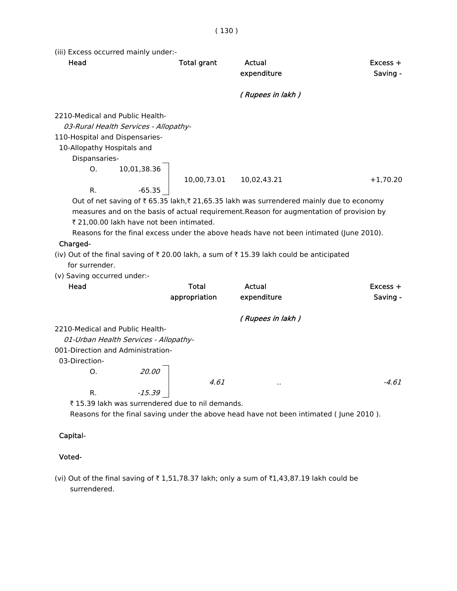(iii) Excess occurred mainly under:-

| Head                                                              |                                          | <b>Total grant</b> | Actual<br>expenditure                                                                                                                                                               | Excess +<br>Saving - |
|-------------------------------------------------------------------|------------------------------------------|--------------------|-------------------------------------------------------------------------------------------------------------------------------------------------------------------------------------|----------------------|
|                                                                   |                                          |                    | (Rupees in lakh)                                                                                                                                                                    |                      |
| 2210-Medical and Public Health-<br>110-Hospital and Dispensaries- | 03-Rural Health Services - Allopathy-    |                    |                                                                                                                                                                                     |                      |
| 10-Allopathy Hospitals and                                        |                                          |                    |                                                                                                                                                                                     |                      |
| Dispansaries-                                                     |                                          |                    |                                                                                                                                                                                     |                      |
| O <sub>1</sub>                                                    | 10,01,38.36                              | 10,00,73.01        | 10,02,43.21                                                                                                                                                                         | $+1,70.20$           |
| R.                                                                | $-65.35$                                 |                    |                                                                                                                                                                                     |                      |
|                                                                   |                                          |                    | Out of net saving of ₹ 65.35 lakh,₹ 21,65.35 lakh was surrendered mainly due to economy<br>measures and on the basis of actual requirement. Reason for augmentation of provision by |                      |
|                                                                   | ₹ 21,00.00 lakh have not been intimated. |                    |                                                                                                                                                                                     |                      |
|                                                                   |                                          |                    | Reasons for the final excess under the above heads have not been intimated (June 2010).                                                                                             |                      |
| Charged-                                                          |                                          |                    |                                                                                                                                                                                     |                      |
|                                                                   |                                          |                    | (iv) Out of the final saving of $\overline{x}$ 20.00 lakh, a sum of $\overline{x}$ 15.39 lakh could be anticipated                                                                  |                      |
| for surrender.                                                    |                                          |                    |                                                                                                                                                                                     |                      |
| (v) Saving occurred under:-                                       |                                          |                    |                                                                                                                                                                                     |                      |
| Head                                                              |                                          | <b>Total</b>       | <b>Actual</b>                                                                                                                                                                       | $Excess +$           |
|                                                                   |                                          | appropriation      | expenditure                                                                                                                                                                         | Saving -             |
|                                                                   |                                          |                    | (Rupees in lakh)                                                                                                                                                                    |                      |
| 2210-Medical and Public Health-                                   |                                          |                    |                                                                                                                                                                                     |                      |
|                                                                   | 01-Urban Health Services - Allopathy-    |                    |                                                                                                                                                                                     |                      |
|                                                                   | 001-Direction and Administration-        |                    |                                                                                                                                                                                     |                      |
| 03-Direction-                                                     |                                          |                    |                                                                                                                                                                                     |                      |
| O <sub>1</sub>                                                    | 20.00                                    |                    |                                                                                                                                                                                     |                      |
| R.                                                                | $-15.39$                                 | 4.61               |                                                                                                                                                                                     | -4.61                |

₹ 15.39 lakh was surrendered due to nil demands.

Reasons for the final saving under the above head have not been intimated ( June 2010 ).

#### Capital-

### Voted-

(vi) Out of the final saving of  $\bar{\tau}$  1,51,78.37 lakh; only a sum of  $\bar{\tau}$ 1,43,87.19 lakh could be surrendered.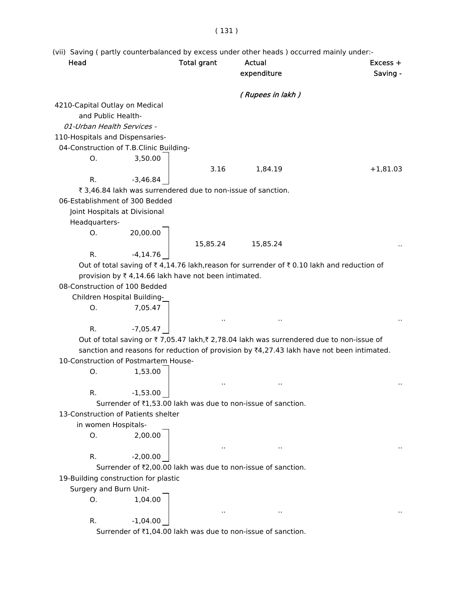# ( 131 )

(vii) Saving ( partly counterbalanced by excess under other heads ) occurred mainly under:-

| Head                            |                                                              | <b>Total grant</b> | Actual<br>expenditure                                                                     | $Excess +$<br>Saving - |
|---------------------------------|--------------------------------------------------------------|--------------------|-------------------------------------------------------------------------------------------|------------------------|
|                                 |                                                              |                    | (Rupees in lakh)                                                                          |                        |
| 4210-Capital Outlay on Medical  |                                                              |                    |                                                                                           |                        |
| and Public Health-              |                                                              |                    |                                                                                           |                        |
| 01-Urban Health Services -      |                                                              |                    |                                                                                           |                        |
| 110-Hospitals and Dispensaries- |                                                              |                    |                                                                                           |                        |
|                                 | 04-Construction of T.B.Clinic Building-                      |                    |                                                                                           |                        |
| O.                              | 3,50.00                                                      |                    |                                                                                           |                        |
|                                 |                                                              | 3.16               | 1,84.19                                                                                   | $+1,81.03$             |
| R.                              | $-3,46.84$                                                   |                    |                                                                                           |                        |
|                                 | ₹ 3,46.84 lakh was surrendered due to non-issue of sanction. |                    |                                                                                           |                        |
|                                 | 06-Establishment of 300 Bedded                               |                    |                                                                                           |                        |
|                                 | Joint Hospitals at Divisional                                |                    |                                                                                           |                        |
| Headquarters-                   |                                                              |                    |                                                                                           |                        |
| О.                              | 20,00.00                                                     |                    |                                                                                           |                        |
|                                 |                                                              |                    |                                                                                           |                        |
| R.                              |                                                              | 15,85.24           | 15,85.24                                                                                  |                        |
|                                 | $-4, 14.76$                                                  |                    |                                                                                           |                        |
|                                 |                                                              |                    | Out of total saving of ₹4,14.76 lakh, reason for surrender of ₹0.10 lakh and reduction of |                        |
| 08-Construction of 100 Bedded   | provision by ₹4,14.66 lakh have not been intimated.          |                    |                                                                                           |                        |
|                                 |                                                              |                    |                                                                                           |                        |
|                                 | Children Hospital Building-                                  |                    |                                                                                           |                        |
| O.                              | 7,05.47                                                      |                    |                                                                                           |                        |
|                                 |                                                              |                    |                                                                                           |                        |
| R.                              | $-7,05.47$                                                   |                    |                                                                                           |                        |
|                                 |                                                              |                    | Out of total saving or ₹7,05.47 lakh,₹2,78.04 lakh was surrendered due to non-issue of    |                        |
|                                 |                                                              |                    | sanction and reasons for reduction of provision by ₹4,27.43 lakh have not been intimated. |                        |
|                                 | 10-Construction of Postmartem House-                         |                    |                                                                                           |                        |
| О.                              | 1,53.00                                                      |                    |                                                                                           |                        |
|                                 |                                                              |                    |                                                                                           |                        |
| R.                              | $-1,53.00$                                                   |                    |                                                                                           |                        |
|                                 |                                                              |                    | Surrender of ₹1,53.00 lakh was due to non-issue of sanction.                              |                        |
|                                 | 13-Construction of Patients shelter                          |                    |                                                                                           |                        |
| in women Hospitals-             |                                                              |                    |                                                                                           |                        |
| О.                              | 2,00.00                                                      |                    |                                                                                           |                        |
|                                 |                                                              |                    |                                                                                           |                        |
| R.                              | $-2,00.00$                                                   |                    |                                                                                           |                        |
|                                 |                                                              |                    | Surrender of ₹2,00.00 lakh was due to non-issue of sanction.                              |                        |
|                                 | 19-Building construction for plastic                         |                    |                                                                                           |                        |
| Surgery and Burn Unit-          |                                                              |                    |                                                                                           |                        |
| O.                              | 1,04.00                                                      |                    |                                                                                           |                        |
|                                 |                                                              |                    |                                                                                           |                        |
| R.                              | $-1,04.00$                                                   |                    |                                                                                           |                        |
|                                 |                                                              |                    | Surrender of ₹1,04.00 lakh was due to non-issue of sanction.                              |                        |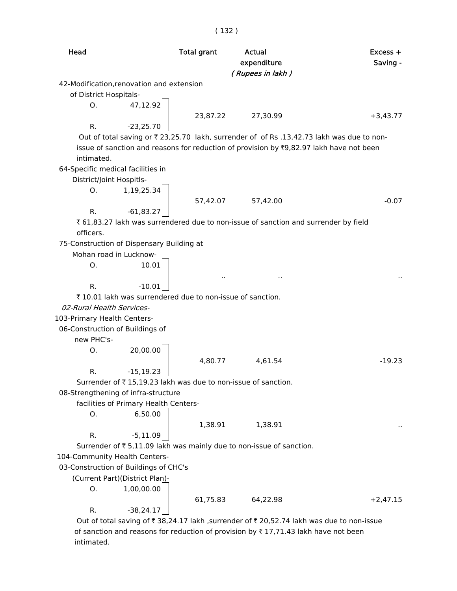| Head                        |                                           | <b>Total grant</b>                                            | Actual<br>expenditure<br>(Rupees in lakh)                                                | Excess +<br>Saving - |
|-----------------------------|-------------------------------------------|---------------------------------------------------------------|------------------------------------------------------------------------------------------|----------------------|
|                             | 42-Modification, renovation and extension |                                                               |                                                                                          |                      |
| of District Hospitals-      |                                           |                                                               |                                                                                          |                      |
| O.                          | 47,12.92                                  |                                                               |                                                                                          |                      |
|                             |                                           | 23,87.22                                                      | 27,30.99                                                                                 | $+3,43.77$           |
| R.                          | $-23,25.70$                               |                                                               |                                                                                          |                      |
|                             |                                           |                                                               | Out of total saving or ₹23,25.70 lakh, surrender of of Rs .13,42.73 lakh was due to non- |                      |
|                             |                                           |                                                               | issue of sanction and reasons for reduction of provision by ₹9,82.97 lakh have not been  |                      |
| intimated.                  |                                           |                                                               |                                                                                          |                      |
|                             | 64-Specific medical facilities in         |                                                               |                                                                                          |                      |
| District/Joint Hospitls-    |                                           |                                                               |                                                                                          |                      |
| O <sub>1</sub>              | 1,19,25.34                                |                                                               |                                                                                          |                      |
|                             |                                           | 57,42.07                                                      | 57,42.00                                                                                 | $-0.07$              |
| R.                          | $-61,83.27$                               |                                                               |                                                                                          |                      |
|                             |                                           |                                                               | ₹ 61,83.27 lakh was surrendered due to non-issue of sanction and surrender by field      |                      |
| officers.                   |                                           |                                                               |                                                                                          |                      |
|                             | 75-Construction of Dispensary Building at |                                                               |                                                                                          |                      |
|                             | Mohan road in Lucknow-                    |                                                               |                                                                                          |                      |
| O.                          | 10.01                                     |                                                               |                                                                                          |                      |
|                             |                                           |                                                               |                                                                                          |                      |
| R.                          | $-10.01$                                  |                                                               |                                                                                          |                      |
|                             |                                           | ₹10.01 lakh was surrendered due to non-issue of sanction.     |                                                                                          |                      |
| 02-Rural Health Services-   |                                           |                                                               |                                                                                          |                      |
| 103-Primary Health Centers- |                                           |                                                               |                                                                                          |                      |
|                             | 06-Construction of Buildings of           |                                                               |                                                                                          |                      |
| new PHC's-                  |                                           |                                                               |                                                                                          |                      |
| О.                          | 20,00.00                                  |                                                               |                                                                                          |                      |
|                             |                                           | 4,80.77                                                       | 4,61.54                                                                                  | $-19.23$             |
| R.                          | $-15, 19.23$                              |                                                               |                                                                                          |                      |
|                             |                                           | Surrender of ₹15,19.23 lakh was due to non-issue of sanction. |                                                                                          |                      |
|                             | 08-Strengthening of infra-structure       |                                                               |                                                                                          |                      |
|                             | facilities of Primary Health Centers-     |                                                               |                                                                                          |                      |
| О.                          | 6,50.00                                   |                                                               |                                                                                          |                      |
|                             |                                           | 1,38.91                                                       | 1,38.91                                                                                  |                      |
| R.                          | $-5,11.09$                                |                                                               |                                                                                          |                      |
|                             |                                           |                                                               | Surrender of ₹ 5,11.09 lakh was mainly due to non-issue of sanction.                     |                      |
|                             | 104-Community Health Centers-             |                                                               |                                                                                          |                      |
|                             | 03-Construction of Buildings of CHC's     |                                                               |                                                                                          |                      |
|                             | (Current Part)(District Plan)-            |                                                               |                                                                                          |                      |
| O.                          | 1,00,00.00                                |                                                               |                                                                                          |                      |
|                             |                                           | 61,75.83                                                      | 64,22.98                                                                                 | $+2,47.15$           |
| R.                          | $-38,24.17$                               |                                                               |                                                                                          |                      |
|                             |                                           |                                                               | Out of total saving of ₹38,24.17 lakh ,surrender of ₹20,52.74 lakh was due to non-issue  |                      |
|                             |                                           |                                                               | of sanction and reasons for reduction of provision by ₹17,71.43 lakh have not been       |                      |

intimated.

( 132 )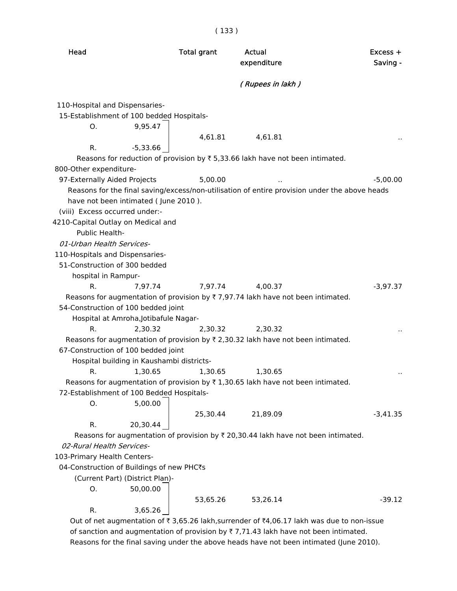| Head                                                                                                                                                                                    |                                                                 | <b>Total grant</b> | Actual<br>expenditure                                                                                       | $Excess +$<br>Saving - |
|-----------------------------------------------------------------------------------------------------------------------------------------------------------------------------------------|-----------------------------------------------------------------|--------------------|-------------------------------------------------------------------------------------------------------------|------------------------|
|                                                                                                                                                                                         |                                                                 |                    | ( Rupees in lakh )                                                                                          |                        |
| 110-Hospital and Dispensaries-<br>15-Establishment of 100 bedded Hospitals-<br>O.<br>R.<br>800-Other expenditure-                                                                       | 9,95.47<br>$-5,33.66$                                           | 4,61.81            | 4,61.81<br>Reasons for reduction of provision by $\overline{\tau}$ 5,33.66 lakh have not been intimated.    |                        |
| 97-Externally Aided Projects                                                                                                                                                            |                                                                 | 5,00.00            |                                                                                                             | $-5,00.00$             |
| (viii) Excess occurred under:-<br>4210-Capital Outlay on Medical and<br>Public Health-<br>01-Urban Health Services-<br>110-Hospitals and Dispensaries-<br>51-Construction of 300 bedded | have not been intimated (June 2010).                            |                    | Reasons for the final saving/excess/non-utilisation of entire provision under the above heads               |                        |
| hospital in Rampur-                                                                                                                                                                     |                                                                 |                    |                                                                                                             |                        |
| R.<br>54-Construction of 100 bedded joint                                                                                                                                               | 7,97.74<br>Hospital at Amroha, Jotibafule Nagar-                | 7,97.74            | 4,00.37<br>Reasons for augmentation of provision by $\overline{\tau}$ 7,97.74 lakh have not been intimated. | $-3,97.37$             |
| R.<br>67-Construction of 100 bedded joint<br>R.                                                                                                                                         | 2,30.32<br>Hospital building in Kaushambi districts-<br>1,30.65 | 2,30.32<br>1,30.65 | 2,30.32<br>Reasons for augmentation of provision by ₹ 2,30.32 lakh have not been intimated.<br>1,30.65      |                        |
| 72-Establishment of 100 Bedded Hospitals-<br>О.                                                                                                                                         | 5,00.00                                                         |                    | Reasons for augmentation of provision by $\overline{\tau}$ 1,30.65 lakh have not been intimated.            |                        |
| R.                                                                                                                                                                                      | 20,30.44                                                        | 25,30.44           | 21,89.09<br>Reasons for augmentation of provision by ₹ 20,30.44 lakh have not been intimated.               | $-3,41.35$             |
| 02-Rural Health Services-                                                                                                                                                               |                                                                 |                    |                                                                                                             |                        |
| 103-Primary Health Centers-                                                                                                                                                             |                                                                 |                    |                                                                                                             |                        |
| 04-Construction of Buildings of new PHC₹s                                                                                                                                               |                                                                 |                    |                                                                                                             |                        |
|                                                                                                                                                                                         | (Current Part) (District Plan)-                                 |                    |                                                                                                             |                        |
| O.                                                                                                                                                                                      | 50,00.00                                                        | 53,65.26           | 53,26.14                                                                                                    | $-39.12$               |
| R.                                                                                                                                                                                      | 3,65.26                                                         |                    |                                                                                                             |                        |
|                                                                                                                                                                                         |                                                                 |                    | Out of net augmentation of ₹ 3,65.26 lakh, surrender of ₹4,06.17 lakh was due to non-issue                  |                        |

Out of net augmentation of  $\bar{\tau}$  3,65.26 lakh,surrender of  $\bar{\tau}$ 4,06.17 lakh was due to non-issue of sanction and augmentation of provision by  $\bar{\tau}$  7,71.43 lakh have not been intimated. Reasons for the final saving under the above heads have not been intimated (June 2010).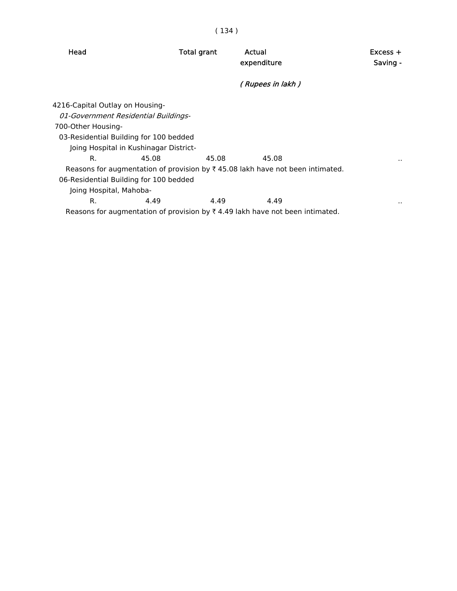Head **Total grant** Actual **Actual** Excess + expenditure Saving - ( Rupees in lakh ) 4216-Capital Outlay on Housing- 01-Government Residential Buildings- 700-Other Housing- 03-Residential Building for 100 bedded Joing Hospital in Kushinagar District- R. 45.08 45.08 45.08 ... Reasons for augmentation of provision by  $\bar{\tau}$  45.08 lakh have not been intimated. 06-Residential Building for 100 bedded Joing Hospital, Mahoba- R. 4.49 4.49 4.49 ... Reasons for augmentation of provision by  $\bar{\tau}$  4.49 lakh have not been intimated.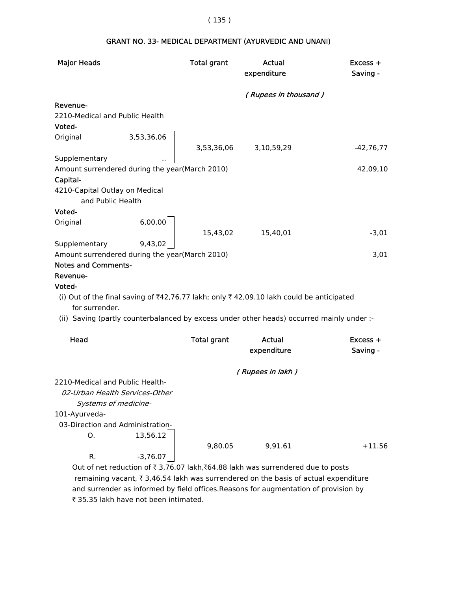| <b>Major Heads</b>             |                                                | <b>Total grant</b> | Actual<br>expenditure                                                                     | Excess +<br>Saving - |
|--------------------------------|------------------------------------------------|--------------------|-------------------------------------------------------------------------------------------|----------------------|
|                                |                                                |                    | (Rupees in thousand)                                                                      |                      |
| Revenue-                       |                                                |                    |                                                                                           |                      |
|                                | 2210-Medical and Public Health                 |                    |                                                                                           |                      |
| Voted-                         |                                                |                    |                                                                                           |                      |
| Original                       | 3,53,36,06                                     |                    |                                                                                           |                      |
|                                |                                                | 3,53,36,06         | 3,10,59,29                                                                                | $-42,76,77$          |
| Supplementary                  |                                                |                    |                                                                                           |                      |
|                                | Amount surrendered during the year(March 2010) |                    |                                                                                           | 42,09,10             |
| Capital-                       |                                                |                    |                                                                                           |                      |
| 4210-Capital Outlay on Medical | and Public Health                              |                    |                                                                                           |                      |
| Voted-                         |                                                |                    |                                                                                           |                      |
| Original                       | 6,00,00                                        |                    |                                                                                           |                      |
|                                |                                                | 15,43,02           | 15,40,01                                                                                  | $-3,01$              |
| Supplementary                  | 9,43,02                                        |                    |                                                                                           |                      |
|                                | Amount surrendered during the year(March 2010) |                    |                                                                                           | 3,01                 |
| <b>Notes and Comments-</b>     |                                                |                    |                                                                                           |                      |
| Revenue-                       |                                                |                    |                                                                                           |                      |
| Voted-                         |                                                |                    |                                                                                           |                      |
|                                |                                                |                    | (i) Out of the final saving of ₹42,76.77 lakh; only ₹42,09.10 lakh could be anticipated   |                      |
| for surrender.                 |                                                |                    |                                                                                           |                      |
|                                |                                                |                    | (ii) Saving (partly counterbalanced by excess under other heads) occurred mainly under :- |                      |
| Head                           |                                                | <b>Total grant</b> | Actual                                                                                    | Excess +             |
|                                |                                                |                    | expenditure                                                                               | Saving -             |
|                                |                                                |                    |                                                                                           |                      |
|                                |                                                |                    | (Rupees in lakh)                                                                          |                      |
|                                | 2210-Medical and Public Health-                |                    |                                                                                           |                      |
|                                | 02-Urban Health Services-Other                 |                    |                                                                                           |                      |
|                                | Systems of medicine-                           |                    |                                                                                           |                      |
| 101-Ayurveda-                  | 03-Direction and Administration-               |                    |                                                                                           |                      |
| Ο.                             | 13,56.12                                       |                    |                                                                                           |                      |
|                                |                                                | 9,80.05            | 9,91.61                                                                                   |                      |
|                                |                                                |                    |                                                                                           | $+11.56$             |
| R.                             | $-3,76.07$                                     |                    |                                                                                           |                      |

# GRANT NO. 33- MEDICAL DEPARTMENT (AYURVEDIC AND UNANI)

Out of net reduction of  $\bar{\tau}$  3,76.07 lakh, $\bar{\tau}$ 64.88 lakh was surrendered due to posts remaining vacant,  $\bar{\tau}$  3,46.54 lakh was surrendered on the basis of actual expenditure and surrender as informed by field offices.Reasons for augmentation of provision by ₹ 35.35 lakh have not been intimated.

#### ( 135 )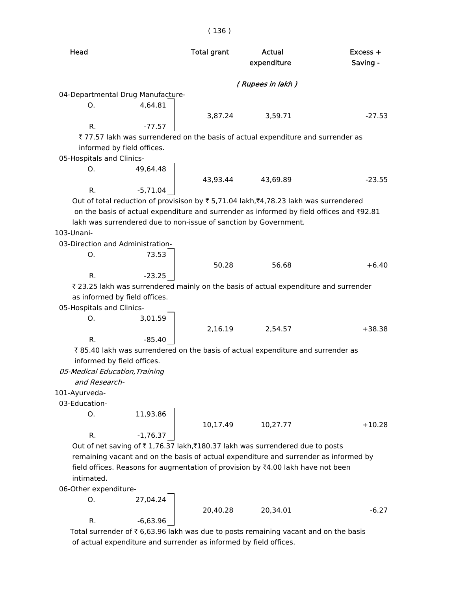| Head                              |            | <b>Total grant</b>                                               | Actual<br>expenditure                                                                    | Excess +<br>Saving - |
|-----------------------------------|------------|------------------------------------------------------------------|------------------------------------------------------------------------------------------|----------------------|
|                                   |            |                                                                  | (Rupees in lakh )                                                                        |                      |
| 04-Departmental Drug Manufacture- |            |                                                                  |                                                                                          |                      |
| Ο.                                | 4,64.81    |                                                                  |                                                                                          |                      |
|                                   |            | 3,87.24                                                          | 3,59.71                                                                                  | $-27.53$             |
| R.                                | $-77.57$   |                                                                  |                                                                                          |                      |
|                                   |            |                                                                  | ₹77.57 lakh was surrendered on the basis of actual expenditure and surrender as          |                      |
| informed by field offices.        |            |                                                                  |                                                                                          |                      |
| 05-Hospitals and Clinics-         |            |                                                                  |                                                                                          |                      |
| Ο.                                | 49,64.48   |                                                                  |                                                                                          |                      |
|                                   |            | 43,93.44                                                         | 43,69.89                                                                                 | $-23.55$             |
| R.                                | $-5,71.04$ |                                                                  |                                                                                          |                      |
|                                   |            |                                                                  | Out of total reduction of provisison by ₹5,71.04 lakh,₹4,78.23 lakh was surrendered      |                      |
|                                   |            |                                                                  | on the basis of actual expenditure and surrender as informed by field offices and ₹92.81 |                      |
|                                   |            | lakh was surrendered due to non-issue of sanction by Government. |                                                                                          |                      |
| 103-Unani-                        |            |                                                                  |                                                                                          |                      |
| 03-Direction and Administration-  |            |                                                                  |                                                                                          |                      |
| О.                                | 73.53      |                                                                  |                                                                                          |                      |
|                                   |            | 50.28                                                            | 56.68                                                                                    | $+6.40$              |
| R.                                | $-23.25$   |                                                                  |                                                                                          |                      |
|                                   |            |                                                                  | ₹ 23.25 lakh was surrendered mainly on the basis of actual expenditure and surrender     |                      |
| as informed by field offices.     |            |                                                                  |                                                                                          |                      |
| 05-Hospitals and Clinics-         |            |                                                                  |                                                                                          |                      |
| O.                                | 3,01.59    |                                                                  |                                                                                          |                      |
|                                   |            | 2,16.19                                                          | 2,54.57                                                                                  | $+38.38$             |
| R.                                | $-85.40$   |                                                                  |                                                                                          |                      |
|                                   |            |                                                                  | ₹85.40 lakh was surrendered on the basis of actual expenditure and surrender as          |                      |
| informed by field offices.        |            |                                                                  |                                                                                          |                      |
| 05-Medical Education, Training    |            |                                                                  |                                                                                          |                      |
| and Research-                     |            |                                                                  |                                                                                          |                      |
| 101-Ayurveda-                     |            |                                                                  |                                                                                          |                      |
| 03-Education-                     |            |                                                                  |                                                                                          |                      |
| Ο.                                | 11,93.86   |                                                                  |                                                                                          |                      |
|                                   |            | 10,17.49                                                         | 10,27.77                                                                                 | $+10.28$             |
| R.                                | $-1,76.37$ |                                                                  |                                                                                          |                      |
|                                   |            |                                                                  | Out of net saving of ₹1,76.37 lakh,₹180.37 lakh was surrendered due to posts             |                      |
|                                   |            |                                                                  | remaining vacant and on the basis of actual expenditure and surrender as informed by     |                      |
|                                   |            |                                                                  | field offices. Reasons for augmentation of provision by ₹4.00 lakh have not been         |                      |
| intimated.                        |            |                                                                  |                                                                                          |                      |
| 06-Other expenditure-             |            |                                                                  |                                                                                          |                      |
| 0.                                | 27,04.24   |                                                                  |                                                                                          |                      |
|                                   |            | 20,40.28                                                         | 20,34.01                                                                                 | $-6.27$              |
| R.                                | $-6,63.96$ |                                                                  |                                                                                          |                      |

Total surrender of  $\bar{\tau}$  6,63.96 lakh was due to posts remaining vacant and on the basis of actual expenditure and surrender as informed by field offices.

### ( 136 )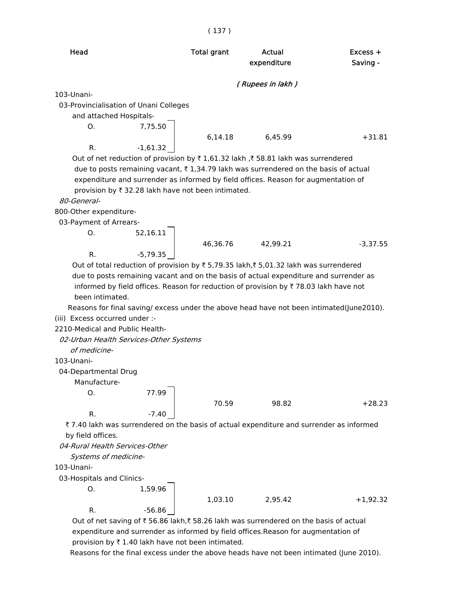| Head                                   |            | <b>Total grant</b> | Actual<br>expenditure                                                           | Excess +<br>Saving - |
|----------------------------------------|------------|--------------------|---------------------------------------------------------------------------------|----------------------|
|                                        |            |                    | (Rupees in lakh)                                                                |                      |
| 103-Unani-                             |            |                    |                                                                                 |                      |
| 03-Provincialisation of Unani Colleges |            |                    |                                                                                 |                      |
| and attached Hospitals-                |            |                    |                                                                                 |                      |
| O.                                     | 7,75.50    |                    |                                                                                 |                      |
|                                        |            | 6,14.18            | 6.45.99                                                                         | $+31.81$             |
| R.                                     | $-1,61.32$ |                    |                                                                                 |                      |
|                                        |            |                    | Out of net reduction of provision by ₹1,61.32 lakh ,₹58.81 lakh was surrendered |                      |

Out of net reduction of provision by ₹1,61.32 lakh ,₹58.81 lakh was surrendered due to posts remaining vacant,  $\bar{\tau}$  1,34.79 lakh was surrendered on the basis of actual expenditure and surrender as informed by field offices. Reason for augmentation of provision by  $\bar{\tau}$  32.28 lakh have not been intimated.

80-General-

800-Other expenditure-

03-Payment of Arrears-

 O. 52,16.11 46,36.76 42,99.21 -3,37.55 R. -5,79.35

Out of total reduction of provision by  $\bar{\tau}$  5,79.35 lakh, $\bar{\tau}$  5,01.32 lakh was surrendered due to posts remaining vacant and on the basis of actual expenditure and surrender as informed by field offices. Reason for reduction of provision by  $\bar{\tau}$  78.03 lakh have not been intimated.

 Reasons for final saving/ excess under the above head have not been intimated(June2010). (iii) Excess occurred under :-

2210-Medical and Public Health-

02-Urban Health Services-Other Systems

of medicine-

103-Unani-

04-Departmental Drug

Manufacture-

O. 77.99

70.59 98.82 +28.23

 ` 7.40 lakh was surrendered on the basis of actual expenditure and surrender as informed by field offices.

04-Rural Health Services-Other

R. 37.40

Systems of medicine-

103-Unani-

03-Hospitals and Clinics-

 O. 1,59.96 R.  $-56.86$ 

1,03.10 2,95.42 +1,92.32

Out of net saving of  $\bar{z}$  56.86 lakh, $\bar{z}$  58.26 lakh was surrendered on the basis of actual expenditure and surrender as informed by field offices.Reason for augmentation of provision by  $\bar{\tau}$  1.40 lakh have not been intimated.

Reasons for the final excess under the above heads have not been intimated (June 2010).

#### ( 137 )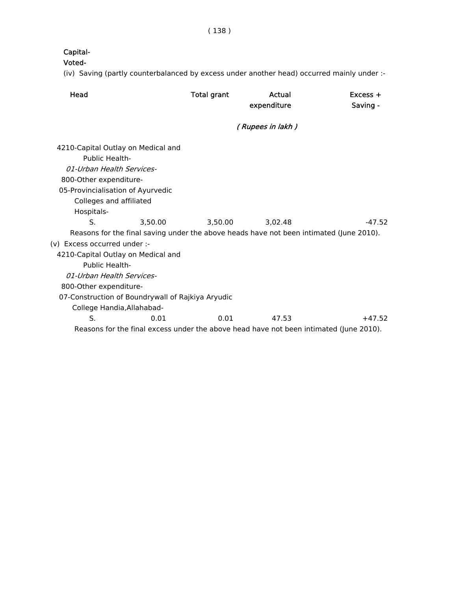# Capital-

### Voted-

(iv) Saving (partly counterbalanced by excess under another head) occurred mainly under :-

| Head                                                                                                                                                                                      |         | <b>Total grant</b> | Actual<br>expenditure                                                                   | $Excess +$<br>Saving - |
|-------------------------------------------------------------------------------------------------------------------------------------------------------------------------------------------|---------|--------------------|-----------------------------------------------------------------------------------------|------------------------|
|                                                                                                                                                                                           |         |                    | (Rupees in lakh)                                                                        |                        |
| 4210-Capital Outlay on Medical and<br>Public Health-<br>01-Urban Health Services-<br>800-Other expenditure-<br>05-Provincialisation of Ayurvedic<br>Colleges and affiliated<br>Hospitals- |         |                    |                                                                                         |                        |
| S.                                                                                                                                                                                        | 3.50.00 | 3.50.00            | 3.02.48                                                                                 | $-47.52$               |
|                                                                                                                                                                                           |         |                    | Reasons for the final saving under the above heads have not been intimated (June 2010). |                        |
| (v) Excess occurred under :-                                                                                                                                                              |         |                    |                                                                                         |                        |
| 4210-Capital Outlay on Medical and                                                                                                                                                        |         |                    |                                                                                         |                        |
| Public Health-                                                                                                                                                                            |         |                    |                                                                                         |                        |
| 01-Urban Health Services-                                                                                                                                                                 |         |                    |                                                                                         |                        |
| 800-Other expenditure-                                                                                                                                                                    |         |                    |                                                                                         |                        |
| 07-Construction of Boundrywall of Rajkiya Aryudic                                                                                                                                         |         |                    |                                                                                         |                        |
| College Handia, Allahabad-                                                                                                                                                                |         |                    |                                                                                         |                        |
| S.                                                                                                                                                                                        | 0.01    | 0.01               | 47.53                                                                                   | $+47.52$               |
|                                                                                                                                                                                           |         |                    | Reasons for the final excess under the above head have not been intimated (June 2010).  |                        |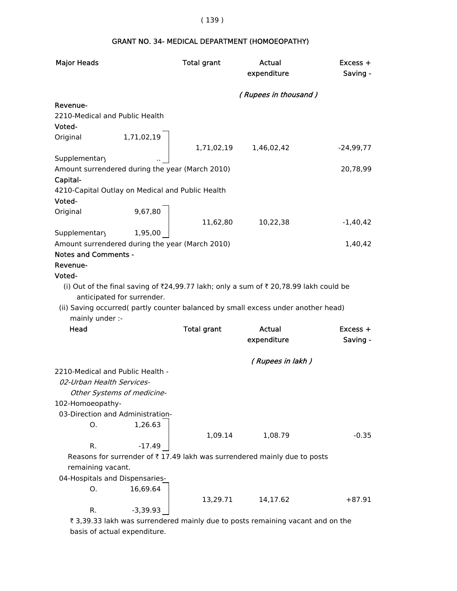# ( 139 )

# GRANT NO. 34- MEDICAL DEPARTMENT (HOMOEOPATHY)

|                                                  |                                  | <b>Total grant</b> | <b>Actual</b>                                                                         | Excess +    |
|--------------------------------------------------|----------------------------------|--------------------|---------------------------------------------------------------------------------------|-------------|
|                                                  |                                  |                    | expenditure                                                                           | Saving -    |
|                                                  |                                  |                    | (Rupees in thousand)                                                                  |             |
| Revenue-                                         |                                  |                    |                                                                                       |             |
| 2210-Medical and Public Health                   |                                  |                    |                                                                                       |             |
| Voted-                                           |                                  |                    |                                                                                       |             |
| Original                                         | 1,71,02,19                       |                    |                                                                                       |             |
|                                                  |                                  | 1,71,02,19         | 1,46,02,42                                                                            | $-24,99,77$ |
| Supplementary                                    |                                  |                    |                                                                                       |             |
| Amount surrendered during the year (March 2010)  |                                  |                    |                                                                                       | 20,78,99    |
| Capital-                                         |                                  |                    |                                                                                       |             |
| 4210-Capital Outlay on Medical and Public Health |                                  |                    |                                                                                       |             |
| Voted-                                           |                                  |                    |                                                                                       |             |
| Original                                         | 9,67,80                          |                    |                                                                                       |             |
|                                                  |                                  | 11,62,80           | 10,22,38                                                                              | $-1,40,42$  |
| Supplementary                                    | 1,95,00                          |                    |                                                                                       |             |
| Amount surrendered during the year (March 2010)  |                                  |                    |                                                                                       | 1,40,42     |
| <b>Notes and Comments -</b>                      |                                  |                    |                                                                                       |             |
| Revenue-                                         |                                  |                    |                                                                                       |             |
| Voted-                                           |                                  |                    |                                                                                       |             |
|                                                  |                                  |                    | (i) Out of the final saving of ₹24,99.77 lakh; only a sum of ₹ 20,78.99 lakh could be |             |
| anticipated for surrender.                       |                                  |                    |                                                                                       |             |
|                                                  |                                  |                    |                                                                                       |             |
|                                                  |                                  |                    | (ii) Saving occurred( partly counter balanced by small excess under another head)     |             |
| mainly under :-                                  |                                  |                    |                                                                                       |             |
| Head                                             |                                  | <b>Total grant</b> | Actual                                                                                | Excess +    |
|                                                  |                                  |                    | expenditure                                                                           | Saving -    |
|                                                  |                                  |                    | (Rupees in lakh)                                                                      |             |
| 2210-Medical and Public Health -                 |                                  |                    |                                                                                       |             |
| 02-Urban Health Services-                        |                                  |                    |                                                                                       |             |
|                                                  | Other Systems of medicine-       |                    |                                                                                       |             |
| 102-Homoeopathy-                                 |                                  |                    |                                                                                       |             |
|                                                  | 03-Direction and Administration- |                    |                                                                                       |             |
| 0.                                               | 1,26.63                          |                    |                                                                                       |             |
|                                                  |                                  | 1,09.14            | 1,08.79                                                                               | $-0.35$     |
| R.                                               | $-17.49$                         |                    |                                                                                       |             |
|                                                  |                                  |                    | Reasons for surrender of ₹17.49 lakh was surrendered mainly due to posts              |             |
| remaining vacant.                                |                                  |                    |                                                                                       |             |
| 04-Hospitals and Dispensaries-                   |                                  |                    |                                                                                       |             |
| O.                                               | 16,69.64                         |                    |                                                                                       |             |
|                                                  |                                  | 13,29.71           | 14,17.62                                                                              | $+87.91$    |

₹ 3,39.33 lakh was surrendered mainly due to posts remaining vacant and on the basis of actual expenditure.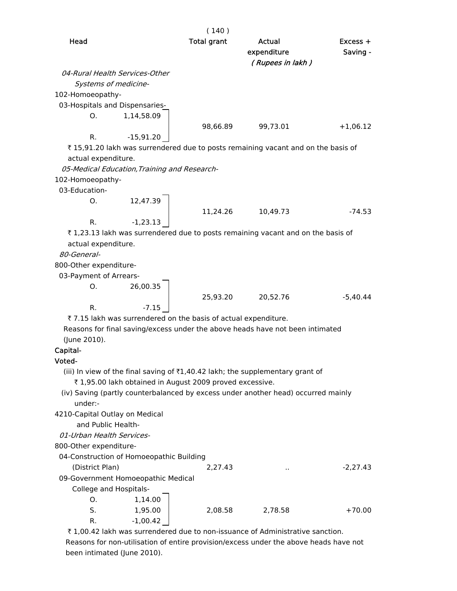|                                                                                                                                                                                                                                                           | (140)              |                                                                |                        |
|-----------------------------------------------------------------------------------------------------------------------------------------------------------------------------------------------------------------------------------------------------------|--------------------|----------------------------------------------------------------|------------------------|
| Head                                                                                                                                                                                                                                                      | <b>Total grant</b> | Actual<br>expenditure<br>(Rupees in lakh)                      | $Excess +$<br>Saving - |
| 04-Rural Health Services-Other<br>Systems of medicine-<br>102-Homoeopathy-<br>03-Hospitals and Dispensaries-                                                                                                                                              |                    |                                                                |                        |
| 1,14,58.09<br>O.<br>R.<br>$-15,91.20$                                                                                                                                                                                                                     | 98,66.89           | 99,73.01                                                       | $+1,06.12$             |
| ₹15,91.20 lakh was surrendered due to posts remaining vacant and on the basis of<br>actual expenditure.<br>05-Medical Education, Training and Research-                                                                                                   |                    |                                                                |                        |
| 102-Homoeopathy-<br>03-Education-                                                                                                                                                                                                                         |                    |                                                                |                        |
| 12,47.39<br>O.<br>$-1,23.13$<br>R.                                                                                                                                                                                                                        | 11,24.26           | 10,49.73                                                       | $-74.53$               |
| ₹1,23.13 lakh was surrendered due to posts remaining vacant and on the basis of<br>actual expenditure.<br>80-General-                                                                                                                                     |                    |                                                                |                        |
| 800-Other expenditure-<br>03-Payment of Arrears-                                                                                                                                                                                                          |                    |                                                                |                        |
| 26,00.35<br>0.<br>R.<br>$-7.15$                                                                                                                                                                                                                           | 25,93.20           | 20,52.76                                                       | $-5,40.44$             |
| ₹7.15 lakh was surrendered on the basis of actual expenditure.<br>Reasons for final saving/excess under the above heads have not been intimated<br>(June 2010).                                                                                           |                    |                                                                |                        |
| Capital-<br>Voted-                                                                                                                                                                                                                                        |                    |                                                                |                        |
| (iii) In view of the final saving of $\overline{\tau}1,40.42$ lakh; the supplementary grant of<br>₹1,95.00 lakh obtained in August 2009 proved excessive.<br>(iv) Saving (partly counterbalanced by excess under another head) occurred mainly<br>under:- |                    |                                                                |                        |
| 4210-Capital Outlay on Medical<br>and Public Health-<br>01-Urban Health Services-                                                                                                                                                                         |                    |                                                                |                        |
| 800-Other expenditure-                                                                                                                                                                                                                                    |                    |                                                                |                        |
| 04-Construction of Homoeopathic Building<br>(District Plan)<br>09-Government Homoeopathic Medical<br>College and Hospitals-                                                                                                                               | 2,27.43            | $\cdot$ .                                                      | $-2,27.43$             |
| 1,14.00<br>O.<br>S.<br>1,95.00<br>$-1,00.42$<br>R.                                                                                                                                                                                                        | 2,08.58            | 2,78.58<br>dered due to non iccuonce of Administrative consti- | $+70.00$               |

₹ 1,00.42 lakh was surrendered due to non-issuance of Administrative sanction. Reasons for non-utilisation of entire provision/excess under the above heads have not been intimated (June 2010).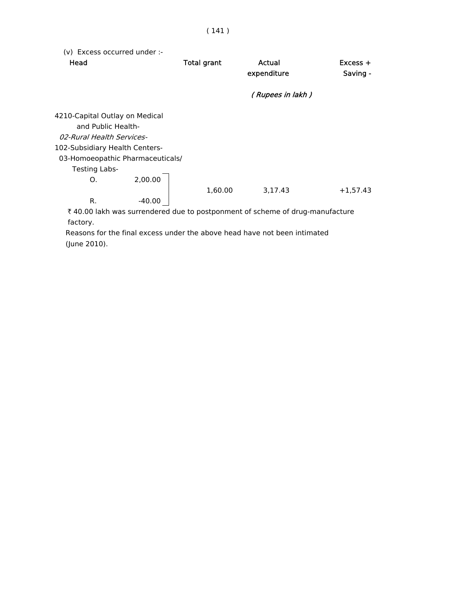| (v) Excess occurred under :-<br>Head | <b>Total grant</b> | Actual<br>expenditure<br>(Rupees in lakh) | $Excess +$<br>Saving - |
|--------------------------------------|--------------------|-------------------------------------------|------------------------|
| 4210-Capital Outlay on Medical       |                    |                                           |                        |
| and Public Health-                   |                    |                                           |                        |
| 02-Rural Health Services-            |                    |                                           |                        |
| 102-Subsidiary Health Centers-       |                    |                                           |                        |
| 03-Homoeopathic Pharmaceuticals/     |                    |                                           |                        |
| Testing Labs-                        |                    |                                           |                        |
| 2,00.00<br>O.                        |                    |                                           |                        |
| R.<br>$-40.00$                       | 1,60.00            | 3,17.43                                   | $+1,57.43$             |

₹ 40.00 lakh was surrendered due to postponment of scheme of drug-manufacture factory.

 Reasons for the final excess under the above head have not been intimated (June 2010).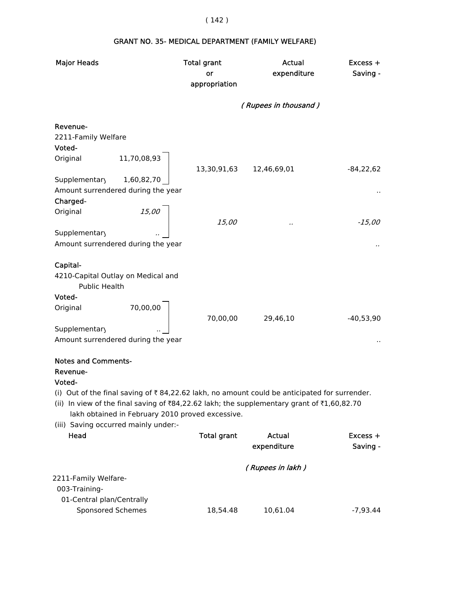### GRANT NO. 35- MEDICAL DEPARTMENT (FAMILY WELFARE)

| <b>Major Heads</b>                                                                                                   | <b>Total grant</b> | <b>Actual</b>        | Excess +    |
|----------------------------------------------------------------------------------------------------------------------|--------------------|----------------------|-------------|
|                                                                                                                      | or                 | expenditure          | Saving -    |
|                                                                                                                      | appropriation      |                      |             |
|                                                                                                                      |                    |                      |             |
|                                                                                                                      |                    | (Rupees in thousand) |             |
| Revenue-                                                                                                             |                    |                      |             |
| 2211-Family Welfare                                                                                                  |                    |                      |             |
| Voted-                                                                                                               |                    |                      |             |
| Original<br>11,70,08,93                                                                                              | 13,30,91,63        | 12,46,69,01          | $-84,22,62$ |
| Supplementary<br>1,60,82,70                                                                                          |                    |                      |             |
| Amount surrendered during the year<br>Charged-                                                                       |                    |                      |             |
| 15,00<br>Original                                                                                                    | 15,00              |                      | $-15,00$    |
| Supplementary                                                                                                        |                    |                      |             |
| Amount surrendered during the year                                                                                   |                    |                      |             |
|                                                                                                                      |                    |                      |             |
| Capital-                                                                                                             |                    |                      |             |
| 4210-Capital Outlay on Medical and<br>Public Health                                                                  |                    |                      |             |
| Voted-                                                                                                               |                    |                      |             |
| 70,00,00<br>Original                                                                                                 | 70,00,00           | 29,46,10             | $-40,53,90$ |
| Supplementary                                                                                                        |                    |                      |             |
| Amount surrendered during the year                                                                                   |                    |                      |             |
| <b>Notes and Comments-</b>                                                                                           |                    |                      |             |
| Revenue-                                                                                                             |                    |                      |             |
| Voted-                                                                                                               |                    |                      |             |
| (i) Out of the final saving of $\bar{\tau}$ 84,22.62 lakh, no amount could be anticipated for surrender.             |                    |                      |             |
| (ii) In view of the final saving of $\overline{884,22.62}$ lakh; the supplementary grant of $\overline{81,60,82.70}$ |                    |                      |             |
| lakh obtained in February 2010 proved excessive.                                                                     |                    |                      |             |
| (iii) Saving occurred mainly under:-                                                                                 |                    |                      |             |
| Head                                                                                                                 | <b>Total grant</b> | <b>Actual</b>        | Excess +    |
|                                                                                                                      |                    | expenditure          | Saving -    |
|                                                                                                                      |                    |                      |             |
|                                                                                                                      |                    | (Rupees in lakh)     |             |
| 2211-Family Welfare-<br>003-Training-                                                                                |                    |                      |             |
| 01-Central plan/Centrally                                                                                            |                    |                      |             |
| Sponsored Schemes                                                                                                    | 18,54.48           | 10,61.04             | $-7,93.44$  |
|                                                                                                                      |                    |                      |             |

# ( 142 )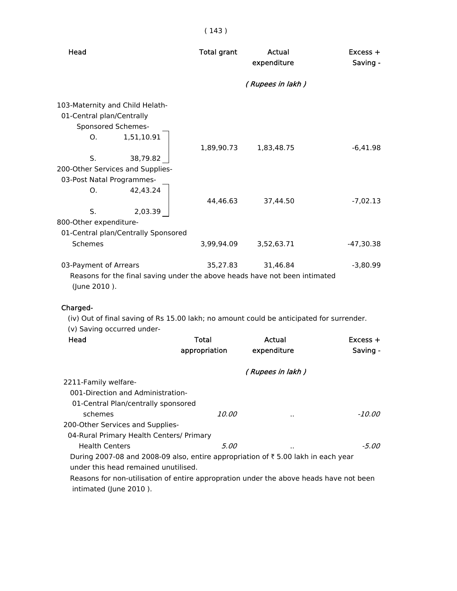| Head                                                                                                                                                                                                                                                      | <b>Total grant</b> | Actual<br>expenditure | Excess +<br>Saving - |
|-----------------------------------------------------------------------------------------------------------------------------------------------------------------------------------------------------------------------------------------------------------|--------------------|-----------------------|----------------------|
|                                                                                                                                                                                                                                                           |                    | (Rupees in lakh)      |                      |
| 103-Maternity and Child Helath-<br>01-Central plan/Centrally<br>Sponsored Schemes-<br>1,51,10.91<br>O.<br>S.<br>38,79.82<br>200-Other Services and Supplies-<br>03-Post Natal Programmes-<br>42,43.24<br>O.                                               | 1,89,90.73         | 1,83,48.75            | $-6,41.98$           |
|                                                                                                                                                                                                                                                           | 44,46.63           | 37,44.50              | $-7,02.13$           |
| S.<br>2,03.39<br>800-Other expenditure-<br>01-Central plan/Centrally Sponsored                                                                                                                                                                            |                    |                       |                      |
| <b>Schemes</b>                                                                                                                                                                                                                                            | 3,99,94.09         | 3,52,63.71            | $-47,30.38$          |
| 03-Payment of Arrears<br>Reasons for the final saving under the above heads have not been intimated<br>(June 2010).<br>Charged-<br>(iv) Out of final saving of Rs 15.00 lakh; no amount could be anticipated for surrender.<br>(v) Saving occurred under- | 35,27.83           | 31,46.84              | $-3,80.99$           |
| Head                                                                                                                                                                                                                                                      | <b>Total</b>       | Actual                | $Excess +$           |
|                                                                                                                                                                                                                                                           | appropriation      | expenditure           | Saving -             |
| 2211-Family welfare-<br>001-Direction and Administration-<br>01-Central Plan/centrally sponsored                                                                                                                                                          |                    | (Rupees in lakh)      |                      |
| schemes                                                                                                                                                                                                                                                   | <i>10.00</i>       |                       | -10.00               |
| 200-Other Services and Supplies-<br>04-Rural Primary Health Centers/ Primary                                                                                                                                                                              |                    |                       |                      |
| <b>Health Centers</b>                                                                                                                                                                                                                                     | 5.00               |                       | -5.00                |
| During 2007-08 and 2008-09 also, entire appropriation of ₹5.00 lakh in each year<br>under this head remained unutilised.<br>Reasons for non-utilisation of entire appropration under the above heads have not been<br>intimated (June 2010).              |                    |                       |                      |

### ( 143 )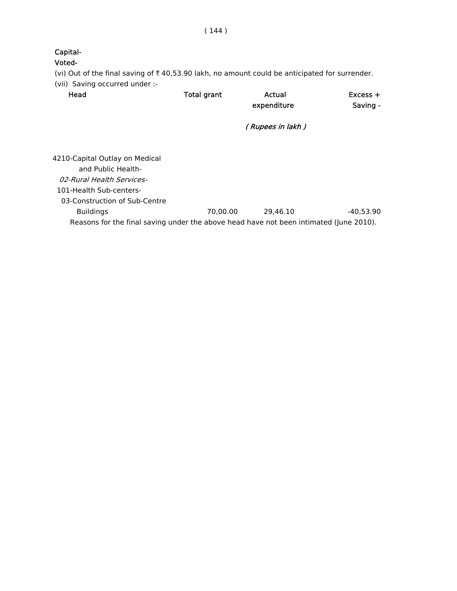Voted- (vi) Out of the final saving of  $\bar{\tau}$  40,53.90 lakh, no amount could be anticipated for surrender. (vii) Saving occurred under :- Head **Total grant** Actual **Excess +** expenditure Saving - ( Rupees in lakh ) 4210-Capital Outlay on Medical

 and Public Health- 02-Rural Health Services- 101-Health Sub-centers- 03-Construction of Sub-Centre Buildings 70,00.00 29,46.10 -40,53.90 Reasons for the final saving under the above head have not been intimated (June 2010).

Capital-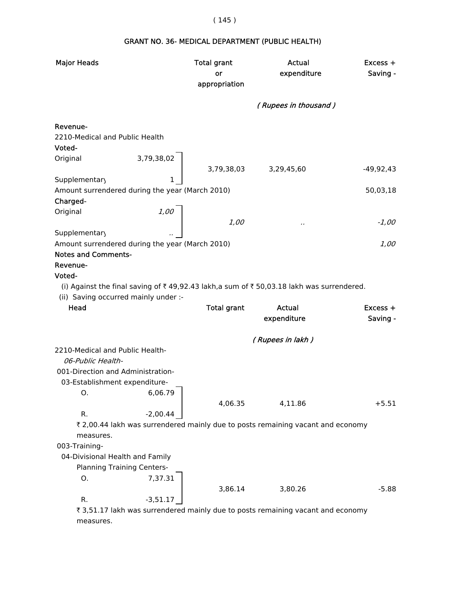## ( 145 )

# Major Heads **National Excess + Total grant** Actual Actual Excess +

# GRANT NO. 36- MEDICAL DEPARTMENT (PUBLIC HEALTH)

|                                                                                                     | or<br>appropriation | expenditure          | Saving -    |
|-----------------------------------------------------------------------------------------------------|---------------------|----------------------|-------------|
|                                                                                                     |                     | (Rupees in thousand) |             |
| Revenue-                                                                                            |                     |                      |             |
| 2210-Medical and Public Health                                                                      |                     |                      |             |
| Voted-                                                                                              |                     |                      |             |
| 3,79,38,02<br>Original                                                                              | 3,79,38,03          | 3,29,45,60           | $-49,92,43$ |
| 1<br>Supplementary                                                                                  |                     |                      |             |
| Amount surrendered during the year (March 2010)                                                     |                     |                      | 50,03,18    |
| Charged-                                                                                            |                     |                      |             |
| Original<br>1,00                                                                                    |                     |                      |             |
|                                                                                                     | <i>1,00</i>         |                      | $-1,00$     |
| Supplementary                                                                                       |                     |                      |             |
| Amount surrendered during the year (March 2010)                                                     |                     |                      | 1,00        |
| <b>Notes and Comments-</b><br>Revenue-                                                              |                     |                      |             |
| Voted-                                                                                              |                     |                      |             |
| (i) Against the final saving of ₹49,92.43 lakh,a sum of ₹50,03.18 lakh was surrendered.             |                     |                      |             |
| (ii) Saving occurred mainly under :-                                                                |                     |                      |             |
| Head                                                                                                | <b>Total grant</b>  | Actual               | $Excess +$  |
|                                                                                                     |                     | expenditure          | Saving -    |
|                                                                                                     |                     |                      |             |
|                                                                                                     |                     | (Rupees in lakh)     |             |
| 2210-Medical and Public Health-                                                                     |                     |                      |             |
| 06-Public Health-                                                                                   |                     |                      |             |
| 001-Direction and Administration-                                                                   |                     |                      |             |
| 03-Establishment expenditure-                                                                       |                     |                      |             |
| Ο.<br>6,06.79                                                                                       |                     |                      |             |
|                                                                                                     | 4,06.35             | 4,11.86              | $+5.51$     |
| $-2,00.44$<br>R.<br>₹ 2,00.44 lakh was surrendered mainly due to posts remaining vacant and economy |                     |                      |             |
| measures.                                                                                           |                     |                      |             |
| 003-Training-                                                                                       |                     |                      |             |
| 04-Divisional Health and Family                                                                     |                     |                      |             |
| <b>Planning Training Centers-</b>                                                                   |                     |                      |             |
| 7,37.31<br>O.                                                                                       |                     |                      |             |
|                                                                                                     | 3,86.14             | 3,80.26              | $-5.88$     |
| R.<br>$-3,51.17$                                                                                    |                     |                      |             |
|                                                                                                     |                     |                      |             |

₹ 3,51.17 lakh was surrendered mainly due to posts remaining vacant and economy measures.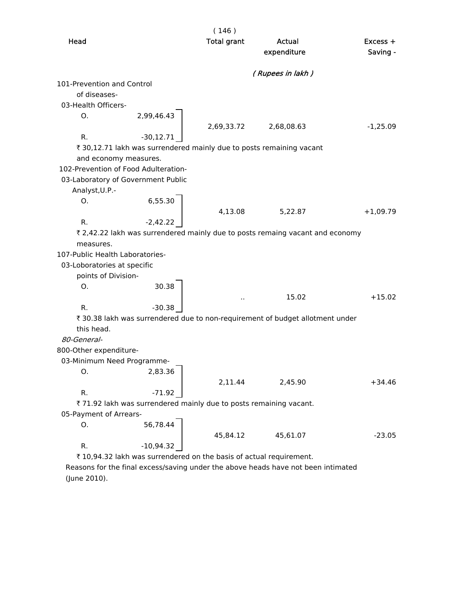|                                                                                | (146)                |                  |            |
|--------------------------------------------------------------------------------|----------------------|------------------|------------|
| Head                                                                           | <b>Total grant</b>   | Actual           | $Excess +$ |
|                                                                                |                      | expenditure      | Saving -   |
|                                                                                |                      | (Rupees in lakh) |            |
| 101-Prevention and Control                                                     |                      |                  |            |
| of diseases-                                                                   |                      |                  |            |
| 03-Health Officers-                                                            |                      |                  |            |
| 2,99,46.43<br>О.                                                               |                      |                  |            |
|                                                                                | 2,69,33.72           | 2,68,08.63       | $-1,25.09$ |
| R.<br>$-30,12.71$                                                              |                      |                  |            |
| ₹ 30,12.71 lakh was surrendered mainly due to posts remaining vacant           |                      |                  |            |
| and economy measures.                                                          |                      |                  |            |
| 102-Prevention of Food Adulteration-                                           |                      |                  |            |
| 03-Laboratory of Government Public                                             |                      |                  |            |
| Analyst, U.P.-                                                                 |                      |                  |            |
| 6,55.30<br>О.                                                                  |                      |                  |            |
|                                                                                | 4,13.08              | 5,22.87          | $+1,09.79$ |
| R.<br>$-2,42.22$                                                               |                      |                  |            |
| ₹ 2,42.22 lakh was surrendered mainly due to posts remaing vacant and economy  |                      |                  |            |
| measures.                                                                      |                      |                  |            |
| 107-Public Health Laboratories-                                                |                      |                  |            |
| 03-Loboratories at specific                                                    |                      |                  |            |
| points of Division-                                                            |                      |                  |            |
| 30.38<br>Ο.                                                                    |                      |                  |            |
|                                                                                | $\ddot{\phantom{1}}$ | 15.02            | $+15.02$   |
| R.<br>$-30.38$                                                                 |                      |                  |            |
| ₹ 30.38 lakh was surrendered due to non-requirement of budget allotment under  |                      |                  |            |
| this head.<br>80-General-                                                      |                      |                  |            |
|                                                                                |                      |                  |            |
| 800-Other expenditure-                                                         |                      |                  |            |
| 03-Minimum Need Programme-<br>2,83.36                                          |                      |                  |            |
| O.                                                                             | 2,11.44              |                  | $+34.46$   |
| R.                                                                             |                      | 2,45.90          |            |
| $-71.92$<br>₹ 71.92 lakh was surrendered mainly due to posts remaining vacant. |                      |                  |            |
| 05-Payment of Arrears-                                                         |                      |                  |            |
| 56,78.44<br>О.                                                                 |                      |                  |            |
|                                                                                | 45,84.12             | 45,61.07         | $-23.05$   |
| R.<br>$-10,94.32$                                                              |                      |                  |            |
| ₹ 10,94.32 lakh was surrendered on the basis of actual requirement.            |                      |                  |            |

 Reasons for the final excess/saving under the above heads have not been intimated (June 2010).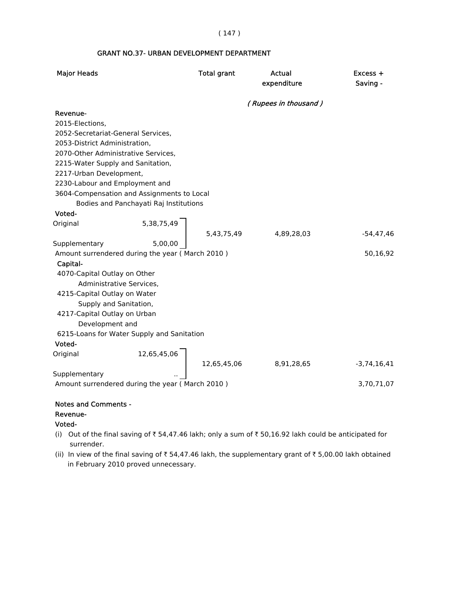#### ( 147 )

#### GRANT NO.37- URBAN DEVELOPMENT DEPARTMENT

| <b>Major Heads</b>                  |                                                 | <b>Total grant</b> | Actual<br>expenditure | Excess +<br>Saving - |
|-------------------------------------|-------------------------------------------------|--------------------|-----------------------|----------------------|
|                                     |                                                 |                    | (Rupees in thousand)  |                      |
| Revenue-                            |                                                 |                    |                       |                      |
| 2015-Elections,                     |                                                 |                    |                       |                      |
| 2052-Secretariat-General Services,  |                                                 |                    |                       |                      |
| 2053-District Administration,       |                                                 |                    |                       |                      |
| 2070-Other Administrative Services, |                                                 |                    |                       |                      |
| 2215-Water Supply and Sanitation,   |                                                 |                    |                       |                      |
| 2217-Urban Development,             |                                                 |                    |                       |                      |
| 2230-Labour and Employment and      |                                                 |                    |                       |                      |
|                                     | 3604-Compensation and Assignments to Local      |                    |                       |                      |
|                                     | Bodies and Panchayati Raj Institutions          |                    |                       |                      |
| Voted-                              |                                                 |                    |                       |                      |
| Original                            | 5,38,75,49                                      |                    |                       |                      |
|                                     |                                                 | 5,43,75,49         | 4,89,28,03            | $-54, 47, 46$        |
| Supplementary                       | 5,00,00                                         |                    |                       |                      |
|                                     | Amount surrendered during the year (March 2010) |                    |                       | 50,16,92             |
| Capital-                            |                                                 |                    |                       |                      |
| 4070-Capital Outlay on Other        |                                                 |                    |                       |                      |
| Administrative Services,            |                                                 |                    |                       |                      |
| 4215-Capital Outlay on Water        |                                                 |                    |                       |                      |
| Supply and Sanitation,              |                                                 |                    |                       |                      |
| 4217-Capital Outlay on Urban        |                                                 |                    |                       |                      |
| Development and                     |                                                 |                    |                       |                      |
|                                     | 6215-Loans for Water Supply and Sanitation      |                    |                       |                      |
| Voted-                              |                                                 |                    |                       |                      |
| Original                            | 12,65,45,06                                     |                    |                       |                      |
|                                     |                                                 | 12,65,45,06        | 8,91,28,65            | $-3,74,16,41$        |
| Supplementary                       |                                                 |                    |                       |                      |
|                                     | Amount surrendered during the year (March 2010) |                    |                       | 3,70,71,07           |
|                                     |                                                 |                    |                       |                      |

#### Notes and Comments -

#### Revenue-

Voted-

- (i) Out of the final saving of  $\bar{\tau}$  54,47.46 lakh; only a sum of  $\bar{\tau}$  50,16.92 lakh could be anticipated for surrender.
- (ii) In view of the final saving of  $\bar{\tau}$  54,47.46 lakh, the supplementary grant of  $\bar{\tau}$  5,00.00 lakh obtained in February 2010 proved unnecessary.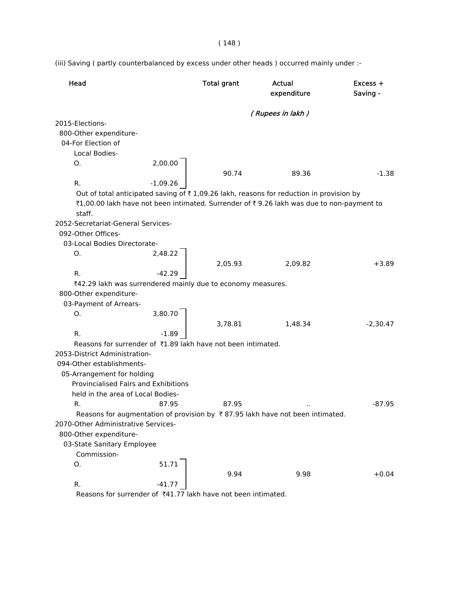( 148 )

(iii) Saving ( partly counterbalanced by excess under other heads ) occurred mainly under :-

| Head                                                                      |            | <b>Total grant</b> | Actual<br>expenditure                                                                     | Excess +<br>Saving - |
|---------------------------------------------------------------------------|------------|--------------------|-------------------------------------------------------------------------------------------|----------------------|
|                                                                           |            |                    | (Rupees in lakh)                                                                          |                      |
| 2015-Elections-                                                           |            |                    |                                                                                           |                      |
| 800-Other expenditure-                                                    |            |                    |                                                                                           |                      |
| 04-For Election of                                                        |            |                    |                                                                                           |                      |
| Local Bodies-                                                             |            |                    |                                                                                           |                      |
| O.                                                                        | 2,00.00    |                    |                                                                                           |                      |
|                                                                           |            | 90.74              | 89.36                                                                                     | $-1.38$              |
| R.                                                                        | $-1,09.26$ |                    |                                                                                           |                      |
|                                                                           |            |                    | Out of total anticipated saving of ₹1,09.26 lakh, reasons for reduction in provision by   |                      |
|                                                                           |            |                    | ₹1,00.00 lakh have not been intimated. Surrender of ₹9.26 lakh was due to non-payment to  |                      |
| staff.                                                                    |            |                    |                                                                                           |                      |
| 2052-Secretariat-General Services-                                        |            |                    |                                                                                           |                      |
| 092-Other Offices-                                                        |            |                    |                                                                                           |                      |
| 03-Local Bodies Directorate-                                              |            |                    |                                                                                           |                      |
| Ο.                                                                        | 2,48.22    |                    |                                                                                           |                      |
|                                                                           |            | 2,05.93            | 2,09.82                                                                                   | $+3.89$              |
| R.                                                                        | $-42.29$   |                    |                                                                                           |                      |
| ₹42.29 lakh was surrendered mainly due to economy measures.               |            |                    |                                                                                           |                      |
| 800-Other expenditure-                                                    |            |                    |                                                                                           |                      |
| 03-Payment of Arrears-                                                    |            |                    |                                                                                           |                      |
| О.                                                                        | 3,80.70    |                    |                                                                                           |                      |
|                                                                           |            | 3,78.81            | 1,48.34                                                                                   | $-2,30.47$           |
| R.                                                                        | $-1.89$    |                    |                                                                                           |                      |
| Reasons for surrender of ₹1.89 lakh have not been intimated.              |            |                    |                                                                                           |                      |
| 2053-District Administration-                                             |            |                    |                                                                                           |                      |
| 094-Other establishments-                                                 |            |                    |                                                                                           |                      |
| 05-Arrangement for holding                                                |            |                    |                                                                                           |                      |
| Provincialised Fairs and Exhibitions                                      |            |                    |                                                                                           |                      |
| held in the area of Local Bodies-                                         |            |                    |                                                                                           |                      |
| R.                                                                        | 87.95      | 87.95              |                                                                                           | $-87.95$             |
|                                                                           |            |                    | Reasons for augmentation of provision by $\bar{\tau}$ 87.95 lakh have not been intimated. |                      |
| 2070-Other Administrative Services-                                       |            |                    |                                                                                           |                      |
| 800-Other expenditure-                                                    |            |                    |                                                                                           |                      |
| 03-State Sanitary Employee                                                |            |                    |                                                                                           |                      |
| Commission-                                                               |            |                    |                                                                                           |                      |
| О.                                                                        | 51.71      |                    |                                                                                           |                      |
| R.                                                                        | $-41.77$   | 9.94               | 9.98                                                                                      | $+0.04$              |
| Reasons for surrender of $\overline{z}41$ 77 lakh have not been intimated |            |                    |                                                                                           |                      |

Reasons for surrender of  $\overline{4}41.77$  lakh have not been intimated.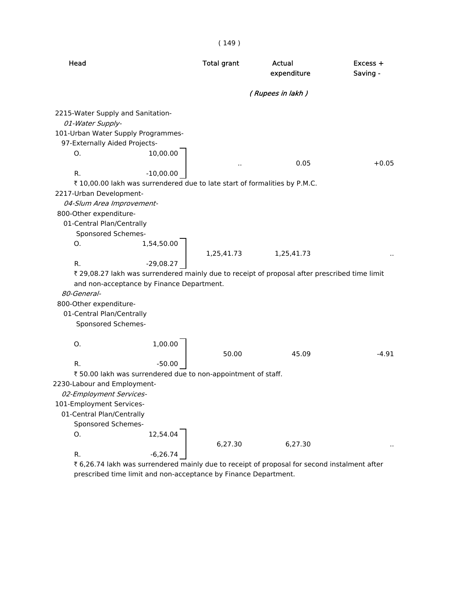| Head                                                                                                                                                                                                                                                                                                                                  |                                 | <b>Total grant</b> | Actual<br>expenditure                                                                                       | Excess +<br>Saving - |
|---------------------------------------------------------------------------------------------------------------------------------------------------------------------------------------------------------------------------------------------------------------------------------------------------------------------------------------|---------------------------------|--------------------|-------------------------------------------------------------------------------------------------------------|----------------------|
|                                                                                                                                                                                                                                                                                                                                       |                                 |                    | (Rupees in lakh)                                                                                            |                      |
| 2215-Water Supply and Sanitation-<br>01-Water Supply-<br>101-Urban Water Supply Programmes-<br>97-Externally Aided Projects-<br>О.<br>R.<br>₹ 10,00.00 lakh was surrendered due to late start of formalities by P.M.C.<br>2217-Urban Development-<br>04-Slum Area Improvement-<br>800-Other expenditure-<br>01-Central Plan/Centrally | 10,00.00<br>$-10,00.00$         |                    | 0.05                                                                                                        | $+0.05$              |
| Sponsored Schemes-<br>Ο.<br>R.<br>and non-acceptance by Finance Department.<br>80-General-<br>800-Other expenditure-<br>01-Central Plan/Centrally<br>Sponsored Schemes-                                                                                                                                                               | 1,54,50.00<br>$-29,08.27$       | 1,25,41.73         | 1,25,41.73<br>₹ 29,08.27 lakh was surrendered mainly due to receipt of proposal after prescribed time limit |                      |
| O.<br>R.<br>₹50.00 lakh was surrendered due to non-appointment of staff.<br>2230-Labour and Employment-<br>02-Employment Services-<br>101-Employment Services-<br>01-Central Plan/Centrally<br>Sponsored Schemes-<br>О.                                                                                                               | 1,00.00<br>$-50.00$<br>12,54.04 | 50.00              | 45.09                                                                                                       | $-4.91$              |
| R.                                                                                                                                                                                                                                                                                                                                    | $-6,26.74$                      | 6,27.30            | 6,27.30                                                                                                     |                      |

 $(149)$ 

₹ 6,26.74 lakh was surrendered mainly due to receipt of proposal for second instalment after prescribed time limit and non-acceptance by Finance Department.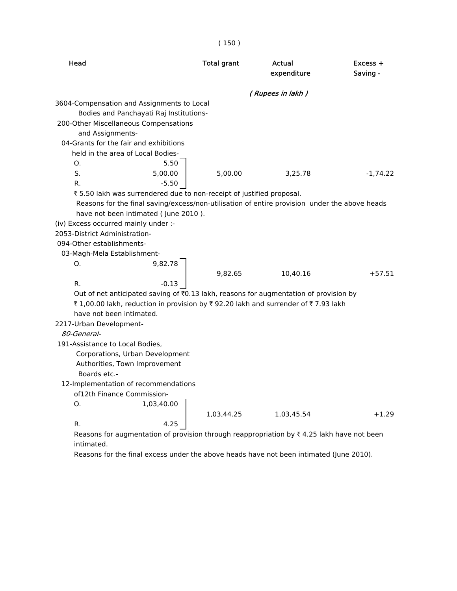| Head                                                                                          | <b>Total grant</b> | Actual<br>expenditure                                                                                                                  | Excess +<br>Saving - |
|-----------------------------------------------------------------------------------------------|--------------------|----------------------------------------------------------------------------------------------------------------------------------------|----------------------|
|                                                                                               |                    | (Rupees in lakh)                                                                                                                       |                      |
| 3604-Compensation and Assignments to Local                                                    |                    |                                                                                                                                        |                      |
| Bodies and Panchayati Raj Institutions-                                                       |                    |                                                                                                                                        |                      |
| 200-Other Miscellaneous Compensations                                                         |                    |                                                                                                                                        |                      |
| and Assignments-                                                                              |                    |                                                                                                                                        |                      |
| 04-Grants for the fair and exhibitions                                                        |                    |                                                                                                                                        |                      |
| held in the area of Local Bodies-                                                             |                    |                                                                                                                                        |                      |
| 5.50<br>O.                                                                                    |                    |                                                                                                                                        |                      |
| S.<br>5,00.00                                                                                 | 5,00.00            | 3,25.78                                                                                                                                | $-1,74.22$           |
| R.<br>$-5.50$                                                                                 |                    |                                                                                                                                        |                      |
| ₹5.50 lakh was surrendered due to non-receipt of justified proposal.                          |                    |                                                                                                                                        |                      |
| Reasons for the final saving/excess/non-utilisation of entire provision under the above heads |                    |                                                                                                                                        |                      |
| have not been intimated (June 2010).                                                          |                    |                                                                                                                                        |                      |
| (iv) Excess occurred mainly under :-                                                          |                    |                                                                                                                                        |                      |
| 2053-District Administration-                                                                 |                    |                                                                                                                                        |                      |
| 094-Other establishments-                                                                     |                    |                                                                                                                                        |                      |
| 03-Magh-Mela Establishment-                                                                   |                    |                                                                                                                                        |                      |
| О.<br>9,82.78                                                                                 |                    |                                                                                                                                        |                      |
|                                                                                               | 9,82.65            | 10,40.16                                                                                                                               | $+57.51$             |
| R.<br>$-0.13$                                                                                 |                    |                                                                                                                                        |                      |
| Out of net anticipated saving of ₹0.13 lakh, reasons for augmentation of provision by         |                    |                                                                                                                                        |                      |
| ₹1,00.00 lakh, reduction in provision by ₹92.20 lakh and surrender of ₹7.93 lakh              |                    |                                                                                                                                        |                      |
| have not been intimated.                                                                      |                    |                                                                                                                                        |                      |
| 2217-Urban Development-                                                                       |                    |                                                                                                                                        |                      |
| 80-General-                                                                                   |                    |                                                                                                                                        |                      |
| 191-Assistance to Local Bodies,                                                               |                    |                                                                                                                                        |                      |
| Corporations, Urban Development                                                               |                    |                                                                                                                                        |                      |
| Authorities, Town Improvement                                                                 |                    |                                                                                                                                        |                      |
| Boards etc.-                                                                                  |                    |                                                                                                                                        |                      |
| 12-Implementation of recommendations                                                          |                    |                                                                                                                                        |                      |
| of12th Finance Commission-                                                                    |                    |                                                                                                                                        |                      |
| 1,03,40.00<br>O.                                                                              |                    |                                                                                                                                        |                      |
|                                                                                               | 1,03,44.25         | 1,03,45.54                                                                                                                             | $+1.29$              |
| R.<br>4.25                                                                                    |                    | $\mathcal{F} \cup \mathcal{F} \cup \mathcal{F}$ . The set of the set of the set of the set of the set of the set of the set of the set |                      |

( 150 )

Reasons for augmentation of provision through reappropriation by  $\bar{\tau}$  4.25 lakh have not been intimated.

Reasons for the final excess under the above heads have not been intimated (June 2010).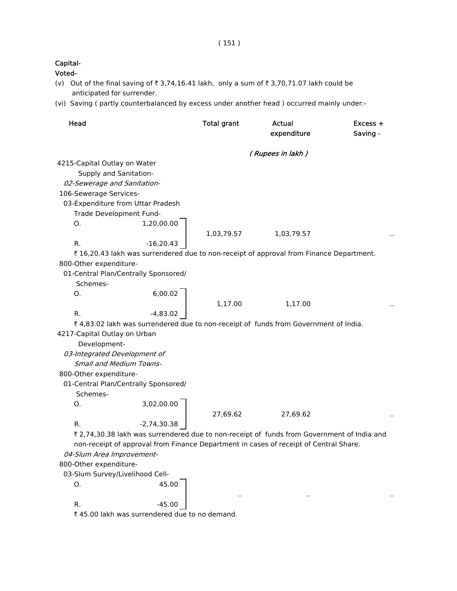| apital- |
|---------|
|         |

- (v) Out of the final saving of  $\bar{\tau}$  3,74,16.41 lakh, only a sum of  $\bar{\tau}$  3,70,71.07 lakh could be anticipated for surrender.
- (vi) Saving ( partly counterbalanced by excess under another head ) occurred mainly under:-

| Head                         |                                                                                            | <b>Total grant</b> | Actual<br>expenditure | Excess +<br>Saving - |
|------------------------------|--------------------------------------------------------------------------------------------|--------------------|-----------------------|----------------------|
|                              |                                                                                            |                    | (Rupees in lakh)      |                      |
| 4215-Capital Outlay on Water |                                                                                            |                    |                       |                      |
| Supply and Sanitation-       |                                                                                            |                    |                       |                      |
| 02-Sewerage and Sanitation-  |                                                                                            |                    |                       |                      |
| 106-Sewerage Services-       |                                                                                            |                    |                       |                      |
|                              | 03-Expenditure from Uttar Pradesh                                                          |                    |                       |                      |
|                              | Trade Development Fund-                                                                    |                    |                       |                      |
| O.                           | 1,20,00.00                                                                                 | 1,03,79.57         | 1,03,79.57            |                      |
| R.                           | $-16,20.43$                                                                                |                    |                       |                      |
|                              | ₹ 16,20.43 lakh was surrendered due to non-receipt of approval from Finance Department.    |                    |                       |                      |
| 800-Other expenditure-       |                                                                                            |                    |                       |                      |
|                              | 01-Central Plan/Centrally Sponsored/                                                       |                    |                       |                      |
| Schemes-                     |                                                                                            |                    |                       |                      |
| Ο.                           | 6,00.02                                                                                    |                    |                       |                      |
|                              |                                                                                            | 1,17.00            | 1,17.00               |                      |
| R.                           | $-4,83.02$                                                                                 |                    |                       |                      |
|                              | ₹4,83.02 lakh was surrendered due to non-receipt of funds from Government of India.        |                    |                       |                      |
| 4217-Capital Outlay on Urban |                                                                                            |                    |                       |                      |
| Development-                 |                                                                                            |                    |                       |                      |
| 03-Integrated Development of |                                                                                            |                    |                       |                      |
|                              | <b>Small and Medium Towns-</b>                                                             |                    |                       |                      |
| 800-Other expenditure-       |                                                                                            |                    |                       |                      |
|                              | 01-Central Plan/Centrally Sponsored/                                                       |                    |                       |                      |
| Schemes-                     |                                                                                            |                    |                       |                      |
| О.                           | 3,02,00.00                                                                                 |                    |                       |                      |
|                              |                                                                                            | 27,69.62           | 27,69.62              |                      |
| R.                           | $-2,74,30.38$                                                                              |                    |                       |                      |
|                              | ₹ 2,74,30.38 lakh was surrendered due to non-receipt of funds from Government of India and |                    |                       |                      |
|                              | non-receipt of approval from Finance Department in cases of receipt of Central Share.      |                    |                       |                      |
| 04-Slum Area Improvement-    |                                                                                            |                    |                       |                      |
| 800-Other expenditure-       |                                                                                            |                    |                       |                      |
|                              | 03-Slum Survey/Livelihood Cell-                                                            |                    |                       |                      |
| О.                           | 45.00                                                                                      |                    |                       |                      |
|                              |                                                                                            | $\cdot$ .          | $\cdot$ .             |                      |
| R.                           | $-45.00$                                                                                   |                    |                       |                      |
|                              | ₹ 45.00 lakh was surrendered due to no demand.                                             |                    |                       |                      |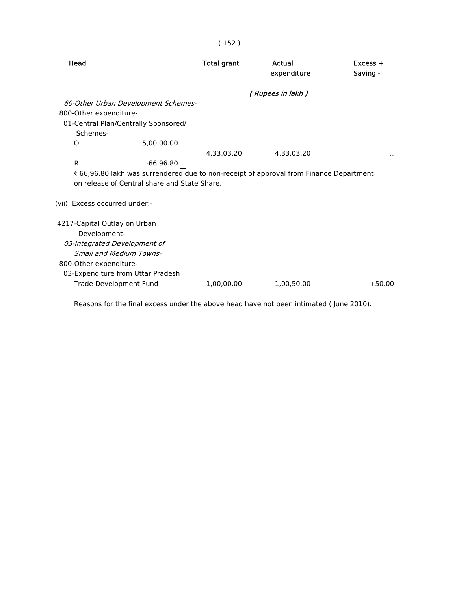| Head                                                                                  | <b>Total grant</b> | Actual<br>expenditure | $Excess +$<br>Saving - |
|---------------------------------------------------------------------------------------|--------------------|-----------------------|------------------------|
|                                                                                       |                    | (Rupees in lakh)      |                        |
| 60-Other Urban Development Schemes-                                                   |                    |                       |                        |
| 800-Other expenditure-                                                                |                    |                       |                        |
| 01-Central Plan/Centrally Sponsored/                                                  |                    |                       |                        |
| Schemes-                                                                              |                    |                       |                        |
| 5,00,00.00<br>O <sub>1</sub>                                                          |                    |                       |                        |
|                                                                                       | 4,33,03.20         | 4,33,03.20            |                        |
| R.<br>$-66,96.80$                                                                     |                    |                       |                        |
| ₹66,96.80 lakh was surrendered due to non-receipt of approval from Finance Department |                    |                       |                        |
| on release of Central share and State Share.                                          |                    |                       |                        |
| (vii) Excess occurred under:-                                                         |                    |                       |                        |
| 4217-Capital Outlay on Urban                                                          |                    |                       |                        |
| Development-                                                                          |                    |                       |                        |
| 03-Integrated Development of                                                          |                    |                       |                        |
| <b>Small and Medium Towns-</b>                                                        |                    |                       |                        |
| 800-Other expenditure-                                                                |                    |                       |                        |
| 03-Expenditure from Uttar Pradesh                                                     |                    |                       |                        |
| Trade Development Fund                                                                | 1,00,00.00         | 1,00,50.00            | $+50.00$               |
|                                                                                       |                    |                       |                        |

Reasons for the final excess under the above head have not been intimated ( June 2010).

# ( 152 )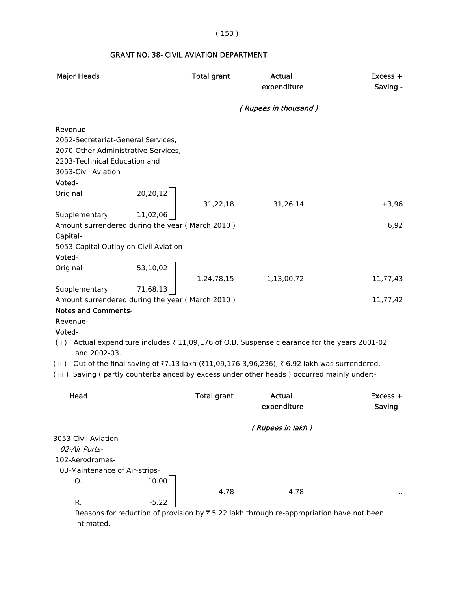( 153 )

#### GRANT NO. 38- CIVIL AVIATION DEPARTMENT

| <b>Major Heads</b>                                                                                                                                     |          | <b>Total grant</b> | Actual<br>expenditure                                                                                                                                                                      | $Excess +$<br>Saving - |
|--------------------------------------------------------------------------------------------------------------------------------------------------------|----------|--------------------|--------------------------------------------------------------------------------------------------------------------------------------------------------------------------------------------|------------------------|
|                                                                                                                                                        |          |                    | (Rupees in thousand)                                                                                                                                                                       |                        |
| Revenue-<br>2052-Secretariat-General Services,<br>2070-Other Administrative Services,<br>2203-Technical Education and<br>3053-Civil Aviation<br>Voted- |          |                    |                                                                                                                                                                                            |                        |
| Original                                                                                                                                               | 20,20,12 |                    |                                                                                                                                                                                            |                        |
| Supplementary                                                                                                                                          | 11,02,06 | 31,22,18           | 31,26,14                                                                                                                                                                                   | $+3,96$                |
| Amount surrendered during the year (March 2010)                                                                                                        |          |                    |                                                                                                                                                                                            | 6,92                   |
| Capital-<br>5053-Capital Outlay on Civil Aviation                                                                                                      |          |                    |                                                                                                                                                                                            |                        |
| Voted-                                                                                                                                                 |          |                    |                                                                                                                                                                                            |                        |
| Original                                                                                                                                               | 53,10,02 |                    |                                                                                                                                                                                            |                        |
| Supplementary                                                                                                                                          | 71,68,13 | 1,24,78,15         | 1,13,00,72                                                                                                                                                                                 | $-11,77,43$            |
| Amount surrendered during the year (March 2010)                                                                                                        |          |                    |                                                                                                                                                                                            | 11,77,42               |
| <b>Notes and Comments-</b>                                                                                                                             |          |                    |                                                                                                                                                                                            |                        |
| Revenue-                                                                                                                                               |          |                    |                                                                                                                                                                                            |                        |
| Voted-<br>and 2002-03.                                                                                                                                 |          |                    | (i) Actual expenditure includes ₹11,09,176 of O.B. Suspense clearance for the years 2001-02                                                                                                |                        |
|                                                                                                                                                        |          |                    | (ii) Out of the final saving of ₹7.13 lakh (₹11,09,176-3,96,236); ₹6.92 lakh was surrendered.<br>(iii) Saving (partly counterbalanced by excess under other heads) occurred mainly under:- |                        |
| Head                                                                                                                                                   |          | <b>Total grant</b> | Actual<br>expenditure                                                                                                                                                                      | $Excess +$<br>Saving - |
|                                                                                                                                                        |          |                    | (Rupees in lakh)                                                                                                                                                                           |                        |
| 3053-Civil Aviation-                                                                                                                                   |          |                    |                                                                                                                                                                                            |                        |
| 02-Air Ports-                                                                                                                                          |          |                    |                                                                                                                                                                                            |                        |
| 102-Aerodromes-                                                                                                                                        |          |                    |                                                                                                                                                                                            |                        |
| 03-Maintenance of Air-strips-<br>О.                                                                                                                    | 10.00    |                    |                                                                                                                                                                                            |                        |
|                                                                                                                                                        |          | 4.78               | 4.78                                                                                                                                                                                       |                        |
| R.                                                                                                                                                     | $-5.22$  |                    |                                                                                                                                                                                            |                        |
| intimated.                                                                                                                                             |          |                    | Reasons for reduction of provision by $\overline{\tau}$ 5.22 lakh through re-appropriation have not been                                                                                   |                        |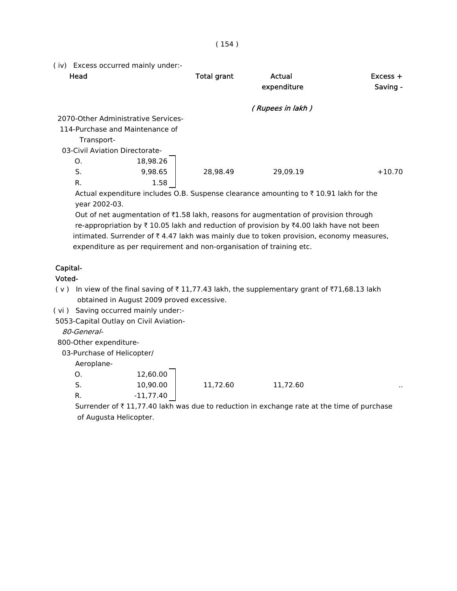( iv) Excess occurred mainly under:-

| Head                                |          | <b>Total grant</b> | Actual<br>expenditure                                                                                            | $Excess +$<br>Saving - |
|-------------------------------------|----------|--------------------|------------------------------------------------------------------------------------------------------------------|------------------------|
|                                     |          |                    | (Rupees in lakh)                                                                                                 |                        |
| 2070-Other Administrative Services- |          |                    |                                                                                                                  |                        |
| 114-Purchase and Maintenance of     |          |                    |                                                                                                                  |                        |
| Transport-                          |          |                    |                                                                                                                  |                        |
| 03-Civil Aviation Directorate-      |          |                    |                                                                                                                  |                        |
| O.                                  | 18,98.26 |                    |                                                                                                                  |                        |
| S.                                  | 9,98.65  | 28,98.49           | 29,09.19                                                                                                         | $+10.70$               |
| R.                                  | 1.58     |                    |                                                                                                                  |                        |
|                                     |          |                    | $\lambda$ ctual expenditure includes $\cap$ P. Cuspanse slearance amounting to $\overline{z}$ 10.01 lakb for the |                        |

Actual expenditure includes O.B. Suspense clearance amounting to  $\bar{\tau}$  10.91 lakh for the year 2002-03.

Out of net augmentation of  $\bar{\tau}1.58$  lakh, reasons for augmentation of provision through re-appropriation by  $\bar{\tau}$  10.05 lakh and reduction of provision by  $\bar{\tau}$ 4.00 lakh have not been intimated. Surrender of  $\bar{\tau}$  4.47 lakh was mainly due to token provision, economy measures, expenditure as per requirement and non-organisation of training etc.

### Capital-

#### Voted-

- ( $v$ ) In view of the final saving of  $\overline{x}$  11,77.43 lakh, the supplementary grant of  $\overline{x}$ 71,68.13 lakh obtained in August 2009 proved excessive.
- ( vi ) Saving occurred mainly under:-

5053-Capital Outlay on Civil Aviation-

80-General-

800-Other expenditure-

03-Purchase of Helicopter/

Aeroplane-

| O.                             | 12,60.00 |          |          |     |
|--------------------------------|----------|----------|----------|-----|
| $\overline{\phantom{0}}$<br>5. | 10,90.00 | 11,72.60 | 11,72.60 | . . |

R.  $-11,77.40$ 

Surrender of  $\bar{\tau}$  11,77.40 lakh was due to reduction in exchange rate at the time of purchase of Augusta Helicopter.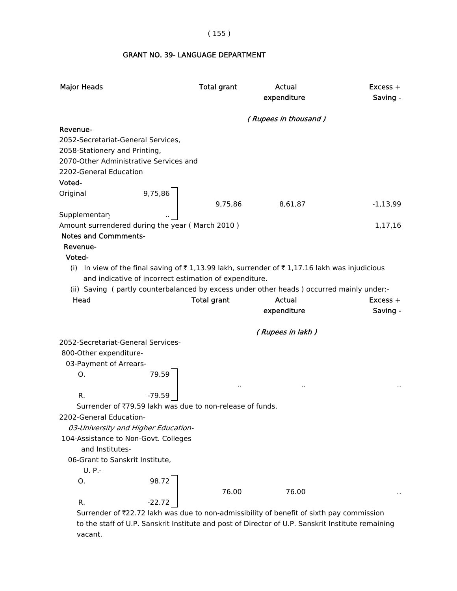GRANT NO. 39- LANGUAGE DEPARTMENT

| <b>Major Heads</b>                                      |          | <b>Total grant</b>                                        | Actual<br>expenditure                                                                                                                                                                    | $Excess +$<br>Saving - |
|---------------------------------------------------------|----------|-----------------------------------------------------------|------------------------------------------------------------------------------------------------------------------------------------------------------------------------------------------|------------------------|
|                                                         |          |                                                           | (Rupees in thousand)                                                                                                                                                                     |                        |
| Revenue-                                                |          |                                                           |                                                                                                                                                                                          |                        |
| 2052-Secretariat-General Services,                      |          |                                                           |                                                                                                                                                                                          |                        |
| 2058-Stationery and Printing,                           |          |                                                           |                                                                                                                                                                                          |                        |
| 2070-Other Administrative Services and                  |          |                                                           |                                                                                                                                                                                          |                        |
| 2202-General Education                                  |          |                                                           |                                                                                                                                                                                          |                        |
| Voted-                                                  |          |                                                           |                                                                                                                                                                                          |                        |
| Original                                                | 9,75,86  |                                                           |                                                                                                                                                                                          |                        |
|                                                         |          | 9,75,86                                                   | 8,61,87                                                                                                                                                                                  | $-1,13,99$             |
| Supplementary                                           |          |                                                           |                                                                                                                                                                                          |                        |
| Amount surrendered during the year (March 2010)         |          |                                                           |                                                                                                                                                                                          | 1,17,16                |
| <b>Notes and Commments-</b>                             |          |                                                           |                                                                                                                                                                                          |                        |
| Revenue-                                                |          |                                                           |                                                                                                                                                                                          |                        |
| Voted-                                                  |          |                                                           |                                                                                                                                                                                          |                        |
|                                                         |          | and indicative of incorrect estimation of expenditure.    | (i) In view of the final saving of ₹1,13.99 lakh, surrender of ₹1,17.16 lakh was injudicious<br>(ii) Saving (partly counterbalanced by excess under other heads) occurred mainly under:- |                        |
| Head                                                    |          | <b>Total grant</b>                                        | Actual                                                                                                                                                                                   | $Excess +$             |
|                                                         |          |                                                           | expenditure                                                                                                                                                                              | Saving -               |
|                                                         |          |                                                           | (Rupees in lakh)                                                                                                                                                                         |                        |
| 2052-Secretariat-General Services-                      |          |                                                           |                                                                                                                                                                                          |                        |
| 800-Other expenditure-                                  |          |                                                           |                                                                                                                                                                                          |                        |
| 03-Payment of Arrears-                                  |          |                                                           |                                                                                                                                                                                          |                        |
| 0.                                                      | 79.59    |                                                           |                                                                                                                                                                                          |                        |
|                                                         |          | $\cdot$                                                   | $\ddot{\phantom{1}}$                                                                                                                                                                     |                        |
| $R_{\cdot}$                                             | $-79.59$ |                                                           |                                                                                                                                                                                          |                        |
|                                                         |          | Surrender of ₹79.59 lakh was due to non-release of funds. |                                                                                                                                                                                          |                        |
| 2202-General Education-                                 |          |                                                           |                                                                                                                                                                                          |                        |
| 03-University and Higher Education-                     |          |                                                           |                                                                                                                                                                                          |                        |
| 104-Assistance to Non-Govt. Colleges<br>and Institutes- |          |                                                           |                                                                                                                                                                                          |                        |
| 06-Grant to Sanskrit Institute,                         |          |                                                           |                                                                                                                                                                                          |                        |
| $U. P. -$                                               |          |                                                           |                                                                                                                                                                                          |                        |
| Ο.                                                      | 98.72    |                                                           |                                                                                                                                                                                          |                        |
|                                                         |          | 76.00                                                     | 76.00                                                                                                                                                                                    |                        |
| R.                                                      |          |                                                           |                                                                                                                                                                                          |                        |
|                                                         | $-22.72$ |                                                           |                                                                                                                                                                                          |                        |

 Surrender of `22.72 lakh was due to non-admissibility of benefit of sixth pay commission to the staff of U.P. Sanskrit Institute and post of Director of U.P. Sanskrit Institute remaining vacant.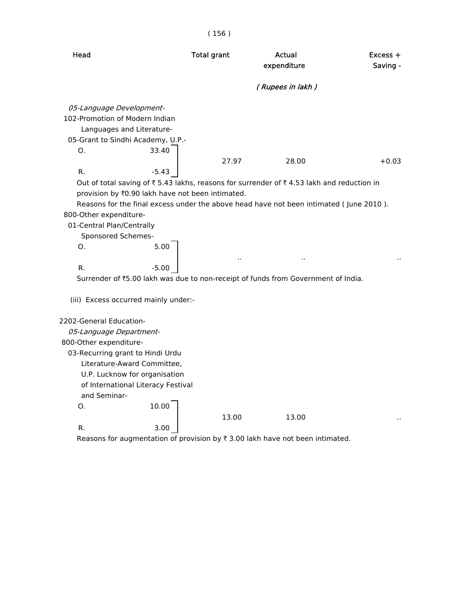|                                                                                              |                                                                                                                                        | (156)                                                                    |                                                                                                                                                                                      |                        |
|----------------------------------------------------------------------------------------------|----------------------------------------------------------------------------------------------------------------------------------------|--------------------------------------------------------------------------|--------------------------------------------------------------------------------------------------------------------------------------------------------------------------------------|------------------------|
| Head                                                                                         |                                                                                                                                        | <b>Total grant</b>                                                       | <b>Actual</b><br>expenditure                                                                                                                                                         | $Excess +$<br>Saving - |
|                                                                                              |                                                                                                                                        |                                                                          | (Rupees in lakh)                                                                                                                                                                     |                        |
| 05-Language Development-<br>102-Promotion of Modern Indian<br>O.                             | Languages and Literature-<br>05-Grant to Sindhi Academy, U.P.-<br>33.40                                                                |                                                                          |                                                                                                                                                                                      |                        |
|                                                                                              |                                                                                                                                        | 27.97                                                                    | 28.00                                                                                                                                                                                | $+0.03$                |
| R.<br>800-Other expenditure-<br>01-Central Plan/Centrally<br>Sponsored Schemes-<br>Ο.        | $-5.43$<br>5.00                                                                                                                        | provision by ₹0.90 lakh have not been intimated.<br>$\ddot{\phantom{1}}$ | Out of total saving of ₹ 5.43 lakhs, reasons for surrender of ₹ 4.53 lakh and reduction in<br>Reasons for the final excess under the above head have not been intimated (June 2010). |                        |
| R.                                                                                           | $-5.00$                                                                                                                                |                                                                          |                                                                                                                                                                                      |                        |
|                                                                                              |                                                                                                                                        |                                                                          | Surrender of ₹5.00 lakh was due to non-receipt of funds from Government of India.                                                                                                    |                        |
|                                                                                              | (iii) Excess occurred mainly under:-                                                                                                   |                                                                          |                                                                                                                                                                                      |                        |
| 2202-General Education-<br>05-Language Department-<br>800-Other expenditure-<br>and Seminar- | 03-Recurring grant to Hindi Urdu<br>Literature-Award Committee,<br>U.P. Lucknow for organisation<br>of International Literacy Festival |                                                                          |                                                                                                                                                                                      |                        |
| 0.                                                                                           | 10.00                                                                                                                                  | 13.00                                                                    | 13.00                                                                                                                                                                                |                        |
| R.                                                                                           | 3.00                                                                                                                                   |                                                                          |                                                                                                                                                                                      |                        |

Reasons for augmentation of provision by  $\bar{\tau}$  3.00 lakh have not been intimated.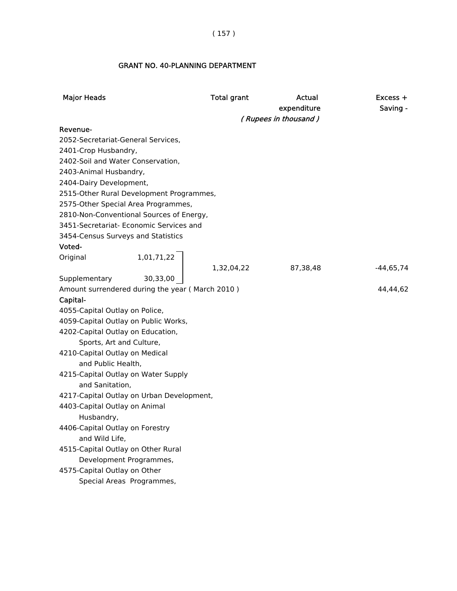( 157 )

#### GRANT NO. 40-PLANNING DEPARTMENT

| <b>Major Heads</b>                                        |            | <b>Total grant</b> | Actual               | $Excess +$  |
|-----------------------------------------------------------|------------|--------------------|----------------------|-------------|
|                                                           |            |                    | expenditure          | Saving -    |
|                                                           |            |                    | (Rupees in thousand) |             |
| Revenue-<br>2052-Secretariat-General Services,            |            |                    |                      |             |
|                                                           |            |                    |                      |             |
| 2401-Crop Husbandry,<br>2402-Soil and Water Conservation, |            |                    |                      |             |
| 2403-Animal Husbandry,                                    |            |                    |                      |             |
| 2404-Dairy Development,                                   |            |                    |                      |             |
| 2515-Other Rural Development Programmes,                  |            |                    |                      |             |
| 2575-Other Special Area Programmes,                       |            |                    |                      |             |
| 2810-Non-Conventional Sources of Energy,                  |            |                    |                      |             |
| 3451-Secretariat- Economic Services and                   |            |                    |                      |             |
| 3454-Census Surveys and Statistics                        |            |                    |                      |             |
| Voted-                                                    |            |                    |                      |             |
| Original                                                  | 1,01,71,22 |                    |                      |             |
|                                                           |            | 1,32,04,22         | 87,38,48             | $-44,65,74$ |
| Supplementary                                             | 30,33,00   |                    |                      |             |
| Amount surrendered during the year (March 2010)           |            |                    |                      | 44,44,62    |
| Capital-                                                  |            |                    |                      |             |
| 4055-Capital Outlay on Police,                            |            |                    |                      |             |
| 4059-Capital Outlay on Public Works,                      |            |                    |                      |             |
| 4202-Capital Outlay on Education,                         |            |                    |                      |             |
| Sports, Art and Culture,                                  |            |                    |                      |             |
| 4210-Capital Outlay on Medical                            |            |                    |                      |             |
| and Public Health,                                        |            |                    |                      |             |
| 4215-Capital Outlay on Water Supply                       |            |                    |                      |             |
| and Sanitation,                                           |            |                    |                      |             |
| 4217-Capital Outlay on Urban Development,                 |            |                    |                      |             |
| 4403-Capital Outlay on Animal                             |            |                    |                      |             |
| Husbandry,<br>4406-Capital Outlay on Forestry             |            |                    |                      |             |
| and Wild Life,                                            |            |                    |                      |             |
| 4515-Capital Outlay on Other Rural                        |            |                    |                      |             |
| Development Programmes,                                   |            |                    |                      |             |
| 4575-Capital Outlay on Other                              |            |                    |                      |             |
| Special Areas Programmes,                                 |            |                    |                      |             |
|                                                           |            |                    |                      |             |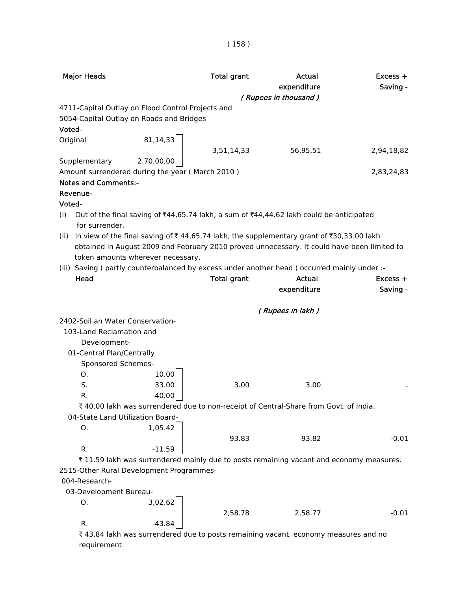| <b>Major Heads</b>               |                                                   | <b>Total grant</b> | Actual<br>expenditure                                                                              | Excess +<br>Saving - |
|----------------------------------|---------------------------------------------------|--------------------|----------------------------------------------------------------------------------------------------|----------------------|
|                                  |                                                   |                    | (Rupees in thousand)                                                                               |                      |
|                                  | 4711-Capital Outlay on Flood Control Projects and |                    |                                                                                                    |                      |
|                                  | 5054-Capital Outlay on Roads and Bridges          |                    |                                                                                                    |                      |
| Voted-                           |                                                   |                    |                                                                                                    |                      |
| Original                         | 81,14,33                                          |                    |                                                                                                    |                      |
|                                  |                                                   | 3,51,14,33         | 56,95,51                                                                                           | $-2,94,18,82$        |
| Supplementary                    | 2,70,00,00                                        |                    |                                                                                                    |                      |
|                                  | Amount surrendered during the year (March 2010)   |                    |                                                                                                    | 2,83,24,83           |
| <b>Notes and Comments:-</b>      |                                                   |                    |                                                                                                    |                      |
| Revenue-                         |                                                   |                    |                                                                                                    |                      |
| Voted-                           |                                                   |                    |                                                                                                    |                      |
| (i)                              |                                                   |                    | Out of the final saving of ₹44,65.74 lakh, a sum of ₹44,44.62 lakh could be anticipated            |                      |
| for surrender.                   |                                                   |                    |                                                                                                    |                      |
| (ii)                             |                                                   |                    | In view of the final saving of ₹44,65.74 lakh, the supplementary grant of ₹30,33.00 lakh           |                      |
|                                  |                                                   |                    | obtained in August 2009 and February 2010 proved unnecessary. It could have been limited to        |                      |
|                                  | token amounts wherever necessary.                 |                    |                                                                                                    |                      |
|                                  |                                                   |                    | (iii) Saving (partly counterbalanced by excess under another head) occurred mainly under :-        |                      |
| Head                             |                                                   | <b>Total grant</b> | <b>Actual</b>                                                                                      | $Excess +$           |
|                                  |                                                   |                    | expenditure                                                                                        | Saving -             |
|                                  |                                                   |                    | (Rupees in lakh)                                                                                   |                      |
| 2402-Soil an Water Conservation- |                                                   |                    |                                                                                                    |                      |
| 103-Land Reclamation and         |                                                   |                    |                                                                                                    |                      |
| Development-                     |                                                   |                    |                                                                                                    |                      |
| 01-Central Plan/Centrally        |                                                   |                    |                                                                                                    |                      |
| Sponsored Schemes-               |                                                   |                    |                                                                                                    |                      |
| 0.                               | 10.00                                             |                    |                                                                                                    |                      |
| S.                               | 33.00                                             | 3.00               | 3.00                                                                                               |                      |
| R.                               | $-40.00$                                          |                    |                                                                                                    |                      |
|                                  |                                                   |                    | ₹40.00 lakh was surrendered due to non-receipt of Central-Share from Govt. of India.               |                      |
| 04-State Land Utilization Board- |                                                   |                    |                                                                                                    |                      |
| Ο.                               | 1,05.42                                           |                    |                                                                                                    |                      |
|                                  |                                                   | 93.83              | 93.82                                                                                              | $-0.01$              |
| R.                               | $-11.59$                                          |                    |                                                                                                    |                      |
|                                  |                                                   |                    | ₹11.59 lakh was surrendered mainly due to posts remaining vacant and economy measures.             |                      |
|                                  | 2515-Other Rural Development Programmes-          |                    |                                                                                                    |                      |
| 004-Research-                    |                                                   |                    |                                                                                                    |                      |
| 03-Development Bureau-           |                                                   |                    |                                                                                                    |                      |
| 0.                               | 3,02.62                                           |                    |                                                                                                    |                      |
|                                  |                                                   | 2,58.78            | 2,58.77                                                                                            | $-0.01$              |
| R.                               | $-43.84$                                          |                    |                                                                                                    |                      |
|                                  |                                                   |                    | $\overline{\xi}$ 43.84 lakh was surrendered due to posts remaining vacant, economy measures and no |                      |

as surrendered due to posts remaining vacant, economy measures and no requirement.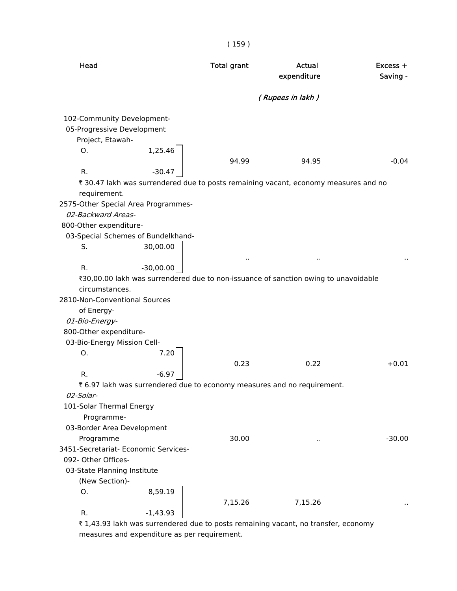| Head                                                                                                                                                                                                                                   | <b>Total grant</b>                                                                                                  | <b>Actual</b><br>expenditure | $Excess +$<br>Saving - |
|----------------------------------------------------------------------------------------------------------------------------------------------------------------------------------------------------------------------------------------|---------------------------------------------------------------------------------------------------------------------|------------------------------|------------------------|
|                                                                                                                                                                                                                                        |                                                                                                                     | (Rupees in lakh)             |                        |
| 102-Community Development-<br>05-Progressive Development<br>Project, Etawah-<br>0.<br>R.<br>requirement.<br>2575-Other Special Area Programmes-                                                                                        | 1,25.46<br>94.99<br>$-30.47$<br>₹ 30.47 lakh was surrendered due to posts remaining vacant, economy measures and no | 94.95                        | $-0.04$                |
| 02-Backward Areas-<br>800-Other expenditure-<br>03-Special Schemes of Bundelkhand-<br>30,00.00<br>S.<br>$-30,00.00$<br>R.<br>circumstances.<br>2810-Non-Conventional Sources<br>of Energy-<br>01-Bio-Energy-<br>800-Other expenditure- | ₹30,00.00 lakh was surrendered due to non-issuance of sanction owing to unavoidable                                 | ٠.                           |                        |
| 03-Bio-Energy Mission Cell-<br>Ο.<br>R.<br>02-Solar-                                                                                                                                                                                   | 7.20<br>0.23<br>$-6.97$<br>₹ 6.97 lakh was surrendered due to economy measures and no requirement.                  | 0.22                         | $+0.01$                |
| 101-Solar Thermal Energy<br>Programme-<br>03-Border Area Development<br>Programme<br>3451-Secretariat- Economic Services-<br>092- Other Offices-<br>03-State Planning Institute<br>(New Section)-                                      | 30.00                                                                                                               | ٠.                           | $-30.00$               |
| Ο.<br>$-1,43.93$<br>R.                                                                                                                                                                                                                 | 8,59.19<br>7,15.26                                                                                                  | 7,15.26                      |                        |

 $\bar{\tau}$  1,43.93 lakh was surrendered due to posts remaining vacant, no transfer, economy measures and expenditure as per requirement.

( 159 )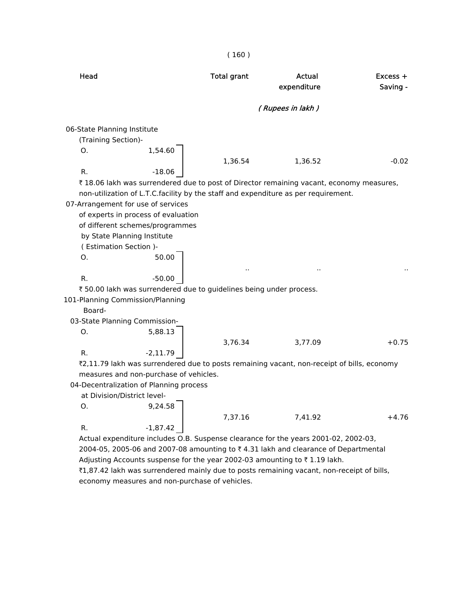| Head                        |                                                                     | <b>Total grant</b> | Actual<br>expenditure                                                                      | $Excess +$<br>Saving - |
|-----------------------------|---------------------------------------------------------------------|--------------------|--------------------------------------------------------------------------------------------|------------------------|
|                             |                                                                     |                    | (Rupees in lakh)                                                                           |                        |
| 06-State Planning Institute |                                                                     |                    |                                                                                            |                        |
| (Training Section)-         |                                                                     |                    |                                                                                            |                        |
| Ο.                          | 1,54.60                                                             |                    |                                                                                            |                        |
|                             |                                                                     | 1,36.54            | 1,36.52                                                                                    | $-0.02$                |
| R.                          | $-18.06$                                                            |                    |                                                                                            |                        |
|                             |                                                                     |                    | ₹18.06 lakh was surrendered due to post of Director remaining vacant, economy measures,    |                        |
|                             |                                                                     |                    | non-utilization of L.T.C.facility by the staff and expenditure as per requirement.         |                        |
|                             | 07-Arrangement for use of services                                  |                    |                                                                                            |                        |
|                             | of experts in process of evaluation                                 |                    |                                                                                            |                        |
|                             | of different schemes/programmes<br>by State Planning Institute      |                    |                                                                                            |                        |
| (Estimation Section)-       |                                                                     |                    |                                                                                            |                        |
| Ο.                          | 50.00                                                               |                    |                                                                                            |                        |
|                             |                                                                     |                    |                                                                                            |                        |
| R.                          | $-50.00$                                                            | ٠.                 |                                                                                            |                        |
|                             | ₹ 50.00 lakh was surrendered due to guidelines being under process. |                    |                                                                                            |                        |
|                             | 101-Planning Commission/Planning                                    |                    |                                                                                            |                        |
| Board-                      |                                                                     |                    |                                                                                            |                        |
|                             | 03-State Planning Commission-                                       |                    |                                                                                            |                        |
| Ο.                          | 5,88.13                                                             |                    |                                                                                            |                        |
|                             |                                                                     | 3,76.34            | 3,77.09                                                                                    | $+0.75$                |
| R.                          | $-2, 11.79$                                                         |                    |                                                                                            |                        |
|                             |                                                                     |                    | ₹2,11.79 lakh was surrendered due to posts remaining vacant, non-receipt of bills, economy |                        |
|                             | measures and non-purchase of vehicles.                              |                    |                                                                                            |                        |
|                             | 04-Decentralization of Planning process                             |                    |                                                                                            |                        |
|                             | at Division/District level-                                         |                    |                                                                                            |                        |
| О.                          | 9,24.58                                                             |                    |                                                                                            |                        |
|                             |                                                                     | 7,37.16            | 7,41.92                                                                                    | $+4.76$                |
| R.                          | $-1,87.42$                                                          |                    |                                                                                            |                        |
|                             |                                                                     |                    | Actual expenditure includes O.B. Suspense clearance for the years 2001-02, 2002-03,        |                        |
|                             |                                                                     |                    | 2004-05, 2005-06 and 2007-08 amounting to ₹4.31 lakh and clearance of Departmental         |                        |
|                             |                                                                     |                    | Adjusting Accounts suspense for the year 2002-03 amounting to ₹1.19 lakh.                  |                        |
|                             |                                                                     |                    | ₹1,87.42 lakh was surrendered mainly due to posts remaining vacant, non-receipt of bills,  |                        |

economy measures and non-purchase of vehicles.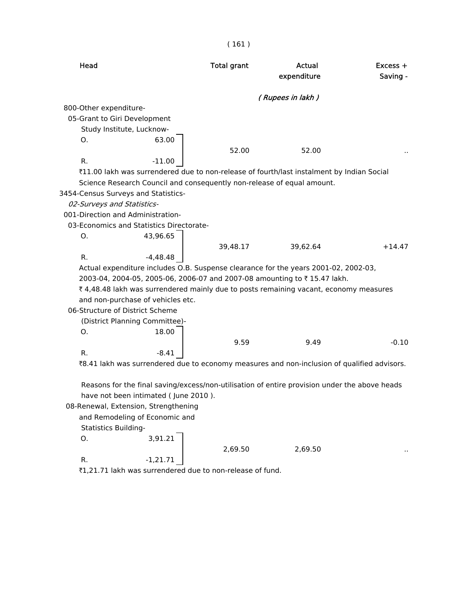| Head                                |                                          | <b>Total grant</b> | Actual<br>expenditure                                                                         | $Excess +$<br>Saving - |
|-------------------------------------|------------------------------------------|--------------------|-----------------------------------------------------------------------------------------------|------------------------|
|                                     |                                          |                    | (Rupees in lakh)                                                                              |                        |
| 800-Other expenditure-              |                                          |                    |                                                                                               |                        |
| 05-Grant to Giri Development        |                                          |                    |                                                                                               |                        |
| Study Institute, Lucknow-           |                                          |                    |                                                                                               |                        |
| Ο.                                  | 63.00                                    |                    |                                                                                               |                        |
|                                     |                                          | 52.00              | 52.00                                                                                         |                        |
| R.                                  | $-11.00$                                 |                    |                                                                                               |                        |
|                                     |                                          |                    | ₹11.00 lakh was surrendered due to non-release of fourth/last instalment by Indian Social     |                        |
|                                     |                                          |                    | Science Research Council and consequently non-release of equal amount.                        |                        |
| 3454-Census Surveys and Statistics- |                                          |                    |                                                                                               |                        |
| 02-Surveys and Statistics-          |                                          |                    |                                                                                               |                        |
| 001-Direction and Administration-   |                                          |                    |                                                                                               |                        |
|                                     | 03-Economics and Statistics Directorate- |                    |                                                                                               |                        |
| Ο.                                  | 43,96.65                                 |                    |                                                                                               |                        |
|                                     |                                          | 39,48.17           | 39,62.64                                                                                      | $+14.47$               |
| R.                                  | $-4,48.48$                               |                    |                                                                                               |                        |
|                                     |                                          |                    | Actual expenditure includes O.B. Suspense clearance for the years 2001-02, 2002-03,           |                        |
|                                     |                                          |                    | 2003-04, 2004-05, 2005-06, 2006-07 and 2007-08 amounting to ₹15.47 lakh.                      |                        |
|                                     |                                          |                    | ₹4,48.48 lakh was surrendered mainly due to posts remaining vacant, economy measures          |                        |
|                                     | and non-purchase of vehicles etc.        |                    |                                                                                               |                        |
| 06-Structure of District Scheme     |                                          |                    |                                                                                               |                        |
|                                     | (District Planning Committee)-           |                    |                                                                                               |                        |
| Ο.                                  | 18.00                                    |                    |                                                                                               |                        |
|                                     |                                          | 9.59               | 9.49                                                                                          | $-0.10$                |
| R.                                  | $-8.41$                                  |                    |                                                                                               |                        |
|                                     |                                          |                    | ₹8.41 lakh was surrendered due to economy measures and non-inclusion of qualified advisors.   |                        |
|                                     |                                          |                    | Reasons for the final saving/excess/non-utilisation of entire provision under the above heads |                        |
|                                     | have not been intimated (June 2010).     |                    |                                                                                               |                        |
|                                     | 08-Renewal, Extension, Strengthening     |                    |                                                                                               |                        |
|                                     | and Remodeling of Economic and           |                    |                                                                                               |                        |
| <b>Statistics Building-</b>         |                                          |                    |                                                                                               |                        |
| О.                                  | 3,91.21                                  |                    |                                                                                               |                        |
| R.                                  | $-1,21.71$                               | 2,69.50            | 2,69.50                                                                                       |                        |

₹1,21.71 lakh was surrendered due to non-release of fund.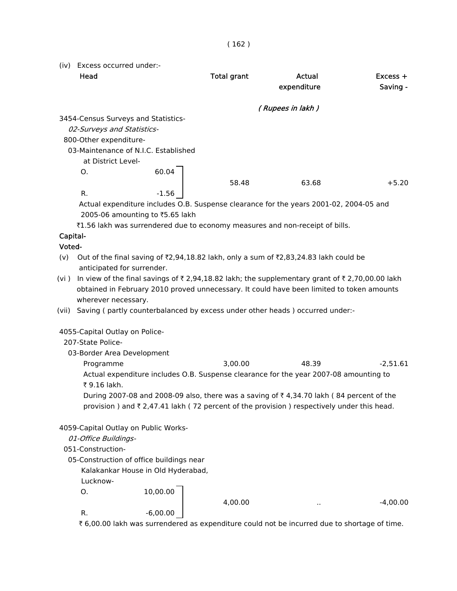(iv) Excess occurred under:- Head **Total grant** Actual **Excess +** expenditure Saving - ( Rupees in lakh ) 3454-Census Surveys and Statistics- 02-Surveys and Statistics- 800-Other expenditure- 03-Maintenance of N.I.C. Established at District Level-O. 60.04 58.48 63.68 +5.20 R.  $-1.56$  Actual expenditure includes O.B. Suspense clearance for the years 2001-02, 2004-05 and 2005-06 amounting to  $\overline{55.65}$  lakh ₹1.56 lakh was surrendered due to economy measures and non-receipt of bills. Capital- Voted- (v) Out of the final saving of  $\bar{\ell}$ ,94,18.82 lakh, only a sum of  $\bar{\ell}$ ,83,24.83 lakh could be anticipated for surrender. (vi ) In view of the final savings of  $\bar{\tau}$  2,94,18.82 lakh; the supplementary grant of  $\bar{\tau}$  2,70,00.00 lakh obtained in February 2010 proved unnecessary. It could have been limited to token amounts wherever necessary. (vii) Saving ( partly counterbalanced by excess under other heads ) occurred under:- 4055-Capital Outlay on Police- 207-State Police- 03-Border Area Development Programme 3,00.00 48.39 -2,51.61 Actual expenditure includes O.B. Suspense clearance for the year 2007-08 amounting to ₹ 9.16 lakh.

During 2007-08 and 2008-09 also, there was a saving of  $\bar{\tau}$  4,34.70 lakh (84 percent of the provision ) and  $\bar{\tau}$  2,47.41 lakh (72 percent of the provision ) respectively under this head.

### 4059-Capital Outlay on Public Works-

### 01-Office Buildings-

### 051-Construction-

- 05-Construction of office buildings near
	- Kalakankar House in Old Hyderabad,

Lucknow-

O. 10,00.00

4,00.00 .. -4,00.00

R.  $-6,00.00$ 

₹6,00.00 lakh was surrendered as expenditure could not be incurred due to shortage of time.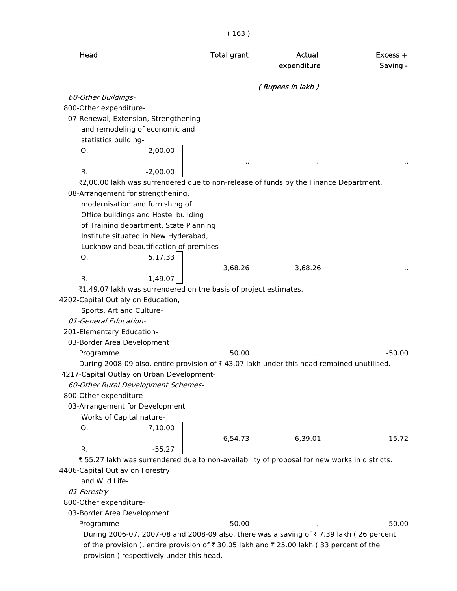( 163 )

| Head                                                                                        | <b>Total grant</b> | Actual<br>expenditure | Excess +<br>Saving - |
|---------------------------------------------------------------------------------------------|--------------------|-----------------------|----------------------|
|                                                                                             |                    | (Rupees in lakh)      |                      |
| 60-Other Buildings-                                                                         |                    |                       |                      |
| 800-Other expenditure-                                                                      |                    |                       |                      |
| 07-Renewal, Extension, Strengthening                                                        |                    |                       |                      |
| and remodeling of economic and                                                              |                    |                       |                      |
| statistics building-                                                                        |                    |                       |                      |
| 2,00.00<br>Ο.                                                                               |                    |                       |                      |
| R.<br>$-2,00.00$                                                                            |                    |                       |                      |
| ₹2,00.00 lakh was surrendered due to non-release of funds by the Finance Department.        |                    |                       |                      |
| 08-Arrangement for strengthening,                                                           |                    |                       |                      |
| modernisation and furnishing of                                                             |                    |                       |                      |
| Office buildings and Hostel building                                                        |                    |                       |                      |
| of Training department, State Planning                                                      |                    |                       |                      |
| Institute situated in New Hyderabad,                                                        |                    |                       |                      |
| Lucknow and beautification of premises-                                                     |                    |                       |                      |
| 5,17.33<br>Ο.                                                                               |                    |                       |                      |
|                                                                                             | 3,68.26            | 3,68.26               |                      |
| R.<br>$-1,49.07$                                                                            |                    |                       |                      |
| ₹1,49.07 lakh was surrendered on the basis of project estimates.                            |                    |                       |                      |
| 4202-Capital Outlaly on Education,                                                          |                    |                       |                      |
| Sports, Art and Culture-                                                                    |                    |                       |                      |
| 01-General Education-                                                                       |                    |                       |                      |
| 201-Elementary Education-                                                                   |                    |                       |                      |
| 03-Border Area Development                                                                  |                    |                       |                      |
| Programme                                                                                   | 50.00              |                       | $-50.00$             |
| During 2008-09 also, entire provision of ₹43.07 lakh under this head remained unutilised.   |                    |                       |                      |
| 4217-Capital Outlay on Urban Development-                                                   |                    |                       |                      |
| 60-Other Rural Development Schemes-                                                         |                    |                       |                      |
| 800-Other expenditure-                                                                      |                    |                       |                      |
| 03-Arrangement for Development                                                              |                    |                       |                      |
| Works of Capital nature-<br>7,10.00<br>0.                                                   |                    |                       |                      |
|                                                                                             | 6,54.73            | 6,39.01               | $-15.72$             |
| R.<br>$-55.27$                                                                              |                    |                       |                      |
| ₹55.27 lakh was surrendered due to non-availability of proposal for new works in districts. |                    |                       |                      |
| 4406-Capital Outlay on Forestry                                                             |                    |                       |                      |
| and Wild Life-                                                                              |                    |                       |                      |
| 01-Forestry-                                                                                |                    |                       |                      |
| 800-Other expenditure-                                                                      |                    |                       |                      |
| 03-Border Area Development                                                                  |                    |                       |                      |
| Programme                                                                                   | 50.00              |                       | $-50.00$             |
| During 2006-07, 2007-08 and 2008-09 also, there was a saving of ₹7.39 lakh (26 percent      |                    |                       |                      |
| of the provision ), entire provision of ₹ 30.05 lakh and ₹ 25.00 lakh (33 percent of the    |                    |                       |                      |
| provision) respectively under this head.                                                    |                    |                       |                      |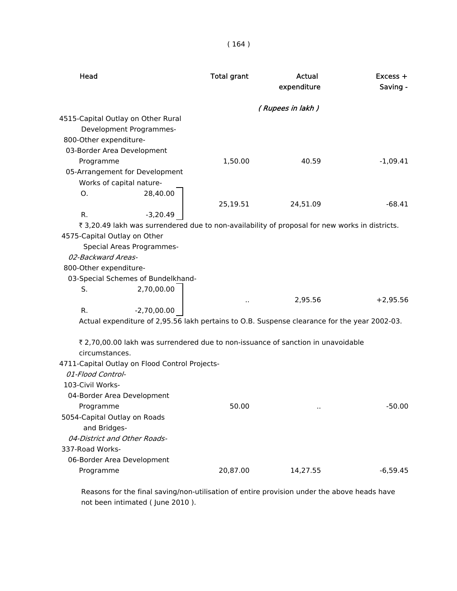| Head                                                                                           | <b>Total grant</b> | Actual<br>expenditure | $Excess +$<br>Saving - |
|------------------------------------------------------------------------------------------------|--------------------|-----------------------|------------------------|
|                                                                                                |                    | (Rupees in lakh)      |                        |
| 4515-Capital Outlay on Other Rural                                                             |                    |                       |                        |
| Development Programmes-                                                                        |                    |                       |                        |
| 800-Other expenditure-                                                                         |                    |                       |                        |
| 03-Border Area Development                                                                     |                    |                       |                        |
| Programme                                                                                      | 1,50.00            | 40.59                 | $-1,09.41$             |
| 05-Arrangement for Development                                                                 |                    |                       |                        |
| Works of capital nature-                                                                       |                    |                       |                        |
| 28,40.00<br>О.                                                                                 |                    |                       |                        |
|                                                                                                | 25,19.51           | 24,51.09              | $-68.41$               |
| $-3,20.49$<br>R.                                                                               |                    |                       |                        |
| ₹ 3,20.49 lakh was surrendered due to non-availability of proposal for new works in districts. |                    |                       |                        |
| 4575-Capital Outlay on Other                                                                   |                    |                       |                        |
| Special Areas Programmes-                                                                      |                    |                       |                        |
| 02-Backward Areas-                                                                             |                    |                       |                        |
| 800-Other expenditure-                                                                         |                    |                       |                        |
| 03-Special Schemes of Bundelkhand-                                                             |                    |                       |                        |
| S.<br>2,70,00.00                                                                               |                    |                       |                        |
|                                                                                                | $\cdot$ .          | 2,95.56               | $+2,95.56$             |
| R.<br>$-2,70,00.00$                                                                            |                    |                       |                        |
| Actual expenditure of 2,95.56 lakh pertains to O.B. Suspense clearance for the year 2002-03.   |                    |                       |                        |
|                                                                                                |                    |                       |                        |
| ₹ 2,70,00.00 lakh was surrendered due to non-issuance of sanction in unavoidable               |                    |                       |                        |
| circumstances.                                                                                 |                    |                       |                        |
| 4711-Capital Outlay on Flood Control Projects-<br>01-Flood Control-                            |                    |                       |                        |
| 103-Civil Works-                                                                               |                    |                       |                        |
| 04-Border Area Development                                                                     |                    |                       |                        |
| Programme                                                                                      | 50.00              |                       | $-50.00$               |
| 5054-Capital Outlay on Roads                                                                   |                    |                       |                        |
| and Bridges-                                                                                   |                    |                       |                        |
| 04-District and Other Roads-                                                                   |                    |                       |                        |
| 337-Road Works-                                                                                |                    |                       |                        |
| 06-Border Area Development                                                                     |                    |                       |                        |
| Programme                                                                                      | 20,87.00           | 14,27.55              | $-6,59.45$             |
|                                                                                                |                    |                       |                        |

 Reasons for the final saving/non-utilisation of entire provision under the above heads have not been intimated ( June 2010 ).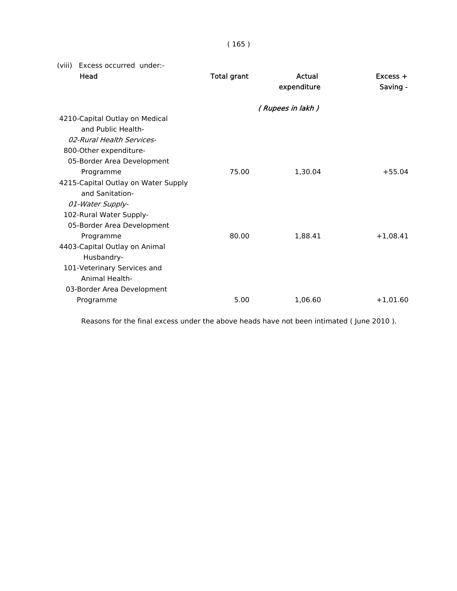| × | I<br>× | ×. |
|---|--------|----|

(viii) Excess occurred under:-

| Head                                | <b>Total grant</b> | Actual<br>expenditure | $Excess +$<br>Saving - |
|-------------------------------------|--------------------|-----------------------|------------------------|
|                                     |                    | (Rupees in lakh)      |                        |
| 4210-Capital Outlay on Medical      |                    |                       |                        |
| and Public Health-                  |                    |                       |                        |
| 02-Rural Health Services-           |                    |                       |                        |
| 800-Other expenditure-              |                    |                       |                        |
| 05-Border Area Development          |                    |                       |                        |
| Programme                           | 75.00              | 1.30.04               | $+55.04$               |
| 4215-Capital Outlay on Water Supply |                    |                       |                        |
| and Sanitation-                     |                    |                       |                        |
| 01-Water Supply-                    |                    |                       |                        |
| 102-Rural Water Supply-             |                    |                       |                        |
| 05-Border Area Development          |                    |                       |                        |
| Programme                           | 80.00              | 1,88.41               | $+1,08.41$             |
| 4403-Capital Outlay on Animal       |                    |                       |                        |
| Husbandry-                          |                    |                       |                        |
| 101-Veterinary Services and         |                    |                       |                        |
| Animal Health-                      |                    |                       |                        |
| 03-Border Area Development          |                    |                       |                        |
| Programme                           | 5.00               | 1,06.60               | $+1,01.60$             |
|                                     |                    |                       |                        |

Reasons for the final excess under the above heads have not been intimated ( June 2010 ).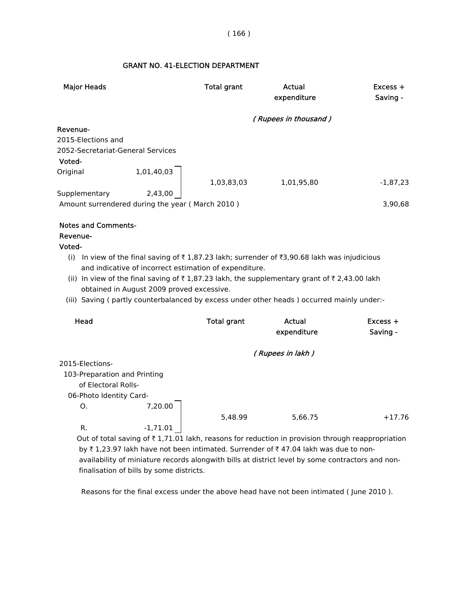# GRANT NO. 41-ELECTION DEPARTMENT

| <b>Major Heads</b>                                                                                |                                           | <b>Total grant</b>                                     | Actual<br>expenditure                                                                                                                                                                                                                                                                                                                                        | Excess +<br>Saving -   |
|---------------------------------------------------------------------------------------------------|-------------------------------------------|--------------------------------------------------------|--------------------------------------------------------------------------------------------------------------------------------------------------------------------------------------------------------------------------------------------------------------------------------------------------------------------------------------------------------------|------------------------|
|                                                                                                   |                                           |                                                        | (Rupees in thousand)                                                                                                                                                                                                                                                                                                                                         |                        |
| Revenue-<br>2015-Elections and<br>2052-Secretariat-General Services<br>Voted-                     |                                           |                                                        |                                                                                                                                                                                                                                                                                                                                                              |                        |
| Original                                                                                          | 1,01,40,03                                | 1,03,83,03                                             | 1,01,95,80                                                                                                                                                                                                                                                                                                                                                   | $-1,87,23$             |
| Supplementary<br>Amount surrendered during the year (March 2010)                                  | 2,43,00                                   |                                                        |                                                                                                                                                                                                                                                                                                                                                              | 3,90,68                |
| <b>Notes and Comments-</b><br>Revenue-<br>Voted-                                                  | obtained in August 2009 proved excessive. | and indicative of incorrect estimation of expenditure. | (i) In view of the final saving of $\overline{\tau}$ 1,87.23 lakh; surrender of $\overline{\tau}$ 3,90.68 lakh was injudicious<br>(ii) In view of the final saving of $\overline{\tau}$ 1,87.23 lakh, the supplementary grant of $\overline{\tau}$ 2,43.00 lakh<br>(iii) Saving (partly counterbalanced by excess under other heads) occurred mainly under:- |                        |
| Head                                                                                              |                                           | <b>Total grant</b>                                     | <b>Actual</b><br>expenditure                                                                                                                                                                                                                                                                                                                                 | $Excess +$<br>Saving - |
|                                                                                                   |                                           |                                                        | (Rupees in lakh)                                                                                                                                                                                                                                                                                                                                             |                        |
| 2015-Elections-<br>103-Preparation and Printing<br>of Electoral Rolls-<br>06-Photo Identity Card- |                                           |                                                        |                                                                                                                                                                                                                                                                                                                                                              |                        |
| O <sub>1</sub><br>R.                                                                              | 7,20.00<br>$-1,71.01$                     | 5,48.99                                                | 5,66.75                                                                                                                                                                                                                                                                                                                                                      | $+17.76$               |

Out of total saving of  $\bar{\tau}$  1,71.01 lakh, reasons for reduction in provision through reappropriation by  $\bar{\tau}$  1,23.97 lakh have not been intimated. Surrender of  $\bar{\tau}$  47.04 lakh was due to non availability of miniature records alongwith bills at district level by some contractors and non finalisation of bills by some districts.

Reasons for the final excess under the above head have not been intimated ( June 2010 ).

#### ( 166 )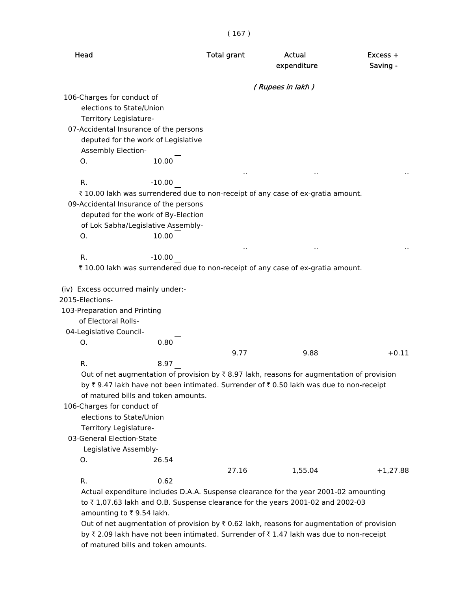( 167 )

| Head                                                                             | <b>Total grant</b> | Actual<br>expenditure                                                                                                                                                              | $Excess +$<br>Saving - |
|----------------------------------------------------------------------------------|--------------------|------------------------------------------------------------------------------------------------------------------------------------------------------------------------------------|------------------------|
|                                                                                  |                    | (Rupees in lakh)                                                                                                                                                                   |                        |
| 106-Charges for conduct of                                                       |                    |                                                                                                                                                                                    |                        |
| elections to State/Union                                                         |                    |                                                                                                                                                                                    |                        |
| Territory Legislature-                                                           |                    |                                                                                                                                                                                    |                        |
| 07-Accidental Insurance of the persons                                           |                    |                                                                                                                                                                                    |                        |
| deputed for the work of Legislative                                              |                    |                                                                                                                                                                                    |                        |
| Assembly Election-                                                               |                    |                                                                                                                                                                                    |                        |
| О.                                                                               | 10.00              |                                                                                                                                                                                    |                        |
|                                                                                  |                    |                                                                                                                                                                                    |                        |
| R.<br>$-10.00$                                                                   |                    |                                                                                                                                                                                    |                        |
| ₹ 10.00 lakh was surrendered due to non-receipt of any case of ex-gratia amount. |                    |                                                                                                                                                                                    |                        |
| 09-Accidental Insurance of the persons                                           |                    |                                                                                                                                                                                    |                        |
| deputed for the work of By-Election                                              |                    |                                                                                                                                                                                    |                        |
| of Lok Sabha/Legislative Assembly-                                               |                    |                                                                                                                                                                                    |                        |
| Ο.                                                                               | 10.00              |                                                                                                                                                                                    |                        |
|                                                                                  |                    |                                                                                                                                                                                    |                        |
| R.<br>$-10.00$                                                                   |                    |                                                                                                                                                                                    |                        |
| ₹ 10.00 lakh was surrendered due to non-receipt of any case of ex-gratia amount. |                    |                                                                                                                                                                                    |                        |
|                                                                                  |                    |                                                                                                                                                                                    |                        |
| (iv) Excess occurred mainly under:-                                              |                    |                                                                                                                                                                                    |                        |
| 2015-Elections-                                                                  |                    |                                                                                                                                                                                    |                        |
| 103-Preparation and Printing                                                     |                    |                                                                                                                                                                                    |                        |
| of Electoral Rolls-                                                              |                    |                                                                                                                                                                                    |                        |
| 04-Legislative Council-                                                          |                    |                                                                                                                                                                                    |                        |
| Ο.                                                                               | 0.80               |                                                                                                                                                                                    |                        |
|                                                                                  | 9.77<br>8.97       | 9.88                                                                                                                                                                               | $+0.11$                |
| R.                                                                               |                    |                                                                                                                                                                                    |                        |
|                                                                                  |                    | Out of net augmentation of provision by ₹8.97 lakh, reasons for augmentation of provision<br>by ₹9.47 lakh have not been intimated. Surrender of ₹0.50 lakh was due to non-receipt |                        |
| of matured bills and token amounts.                                              |                    |                                                                                                                                                                                    |                        |
| 106-Charges for conduct of                                                       |                    |                                                                                                                                                                                    |                        |
| elections to State/Union                                                         |                    |                                                                                                                                                                                    |                        |
| Territory Legislature-                                                           |                    |                                                                                                                                                                                    |                        |
| 03-General Election-State                                                        |                    |                                                                                                                                                                                    |                        |
| Legislative Assembly-                                                            |                    |                                                                                                                                                                                    |                        |
| О.                                                                               | 26.54              |                                                                                                                                                                                    |                        |
|                                                                                  | 27.16              | 1,55.04                                                                                                                                                                            | $+1,27.88$             |
| R.                                                                               | 0.62               |                                                                                                                                                                                    |                        |
|                                                                                  |                    | Actual expenditure includes D.A.A. Suspense clearance for the year 2001-02 amounting                                                                                               |                        |
|                                                                                  |                    |                                                                                                                                                                                    |                        |

to  $\bar{\tau}$  1,07.63 lakh and O.B. Suspense clearance for the years 2001-02 and 2002-03 amounting to  $\bar{\tau}$  9.54 lakh.

Out of net augmentation of provision by  $\bar{\tau}$  0.62 lakh, reasons for augmentation of provision by ₹ 2.09 lakh have not been intimated. Surrender of ₹ 1.47 lakh was due to non-receipt of matured bills and token amounts.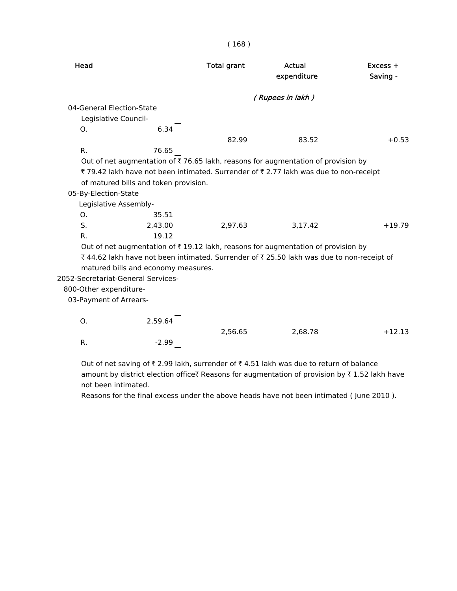| <b>Total grant</b>                    | Actual<br>expenditure               | $Excess +$<br>Saving -                                                                                                                                                                                                                                                                                                                                                     |
|---------------------------------------|-------------------------------------|----------------------------------------------------------------------------------------------------------------------------------------------------------------------------------------------------------------------------------------------------------------------------------------------------------------------------------------------------------------------------|
|                                       |                                     |                                                                                                                                                                                                                                                                                                                                                                            |
|                                       |                                     |                                                                                                                                                                                                                                                                                                                                                                            |
|                                       |                                     |                                                                                                                                                                                                                                                                                                                                                                            |
|                                       |                                     |                                                                                                                                                                                                                                                                                                                                                                            |
| 82.99                                 | 83.52                               | $+0.53$                                                                                                                                                                                                                                                                                                                                                                    |
|                                       |                                     |                                                                                                                                                                                                                                                                                                                                                                            |
|                                       |                                     |                                                                                                                                                                                                                                                                                                                                                                            |
|                                       |                                     |                                                                                                                                                                                                                                                                                                                                                                            |
| of matured bills and token provision. |                                     |                                                                                                                                                                                                                                                                                                                                                                            |
|                                       |                                     |                                                                                                                                                                                                                                                                                                                                                                            |
|                                       |                                     |                                                                                                                                                                                                                                                                                                                                                                            |
|                                       |                                     |                                                                                                                                                                                                                                                                                                                                                                            |
| 2.97.63                               | 3.17.42                             | $+19.79$                                                                                                                                                                                                                                                                                                                                                                   |
|                                       |                                     |                                                                                                                                                                                                                                                                                                                                                                            |
|                                       |                                     |                                                                                                                                                                                                                                                                                                                                                                            |
|                                       |                                     |                                                                                                                                                                                                                                                                                                                                                                            |
|                                       |                                     |                                                                                                                                                                                                                                                                                                                                                                            |
|                                       |                                     |                                                                                                                                                                                                                                                                                                                                                                            |
|                                       |                                     |                                                                                                                                                                                                                                                                                                                                                                            |
|                                       | matured bills and economy measures. | (Rupees in lakh)<br>Out of net augmentation of ₹76.65 lakh, reasons for augmentation of provision by<br>₹79.42 lakh have not been intimated. Surrender of ₹2.77 lakh was due to non-receipt<br>Out of net augmentation of ₹19.12 lakh, reasons for augmentation of provision by<br>₹44.62 lakh have not been intimated. Surrender of ₹25.50 lakh was due to non-receipt of |

03-Payment of Arrears-

| Ο. | 2,59.64 |         |         |          |
|----|---------|---------|---------|----------|
|    |         | 2,56.65 | 2,68.78 | $+12.13$ |
| R. | $-2.99$ |         |         |          |

Out of net saving of  $\bar{\tau}$  2.99 lakh, surrender of  $\bar{\tau}$  4.51 lakh was due to return of balance amount by district election office Reasons for augmentation of provision by  $\bar{\tau}$  1.52 lakh have not been intimated.

Reasons for the final excess under the above heads have not been intimated ( June 2010 ).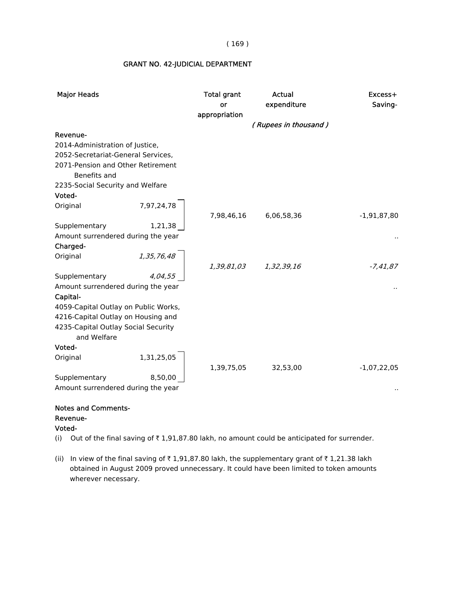| <b>Major Heads</b>                                 | <b>Total grant</b><br>or<br>appropriation | <b>Actual</b><br>expenditure | Excess+<br>Saving- |
|----------------------------------------------------|-------------------------------------------|------------------------------|--------------------|
|                                                    |                                           | (Rupees in thousand)         |                    |
| Revenue-                                           |                                           |                              |                    |
| 2014-Administration of Justice,                    |                                           |                              |                    |
| 2052-Secretariat-General Services,                 |                                           |                              |                    |
| 2071-Pension and Other Retirement<br>Benefits and  |                                           |                              |                    |
| 2235-Social Security and Welfare                   |                                           |                              |                    |
| Voted-                                             |                                           |                              |                    |
| 7,97,24,78<br>Original                             | 7,98,46,16                                | 6,06,58,36                   | $-1,91,87,80$      |
| Supplementary<br>1,21,38                           |                                           |                              |                    |
| Amount surrendered during the year                 |                                           |                              |                    |
| Charged-                                           |                                           |                              |                    |
| 1,35,76,48<br>Original                             |                                           |                              |                    |
|                                                    | 1,39,81,03                                | 1,32,39,16                   | $-7,41,87$         |
| Supplementary<br>4,04,55                           |                                           |                              |                    |
| Amount surrendered during the year                 |                                           |                              |                    |
| Capital-                                           |                                           |                              |                    |
| 4059-Capital Outlay on Public Works,               |                                           |                              |                    |
| 4216-Capital Outlay on Housing and                 |                                           |                              |                    |
| 4235-Capital Outlay Social Security<br>and Welfare |                                           |                              |                    |
| Voted-                                             |                                           |                              |                    |
| 1,31,25,05<br>Original                             | 1,39,75,05                                | 32,53,00                     | $-1,07,22,05$      |
| Supplementary<br>8,50,00                           |                                           |                              |                    |
| Amount surrendered during the year                 |                                           |                              |                    |

#### GRANT NO. 42-JUDICIAL DEPARTMENT

#### Notes and Comments- Revenue-

#### Voted-

(i) Out of the final saving of  $\bar{\tau}$  1,91,87.80 lakh, no amount could be anticipated for surrender.

(ii) In view of the final saving of  $\bar{\tau}$  1,91,87.80 lakh, the supplementary grant of  $\bar{\tau}$  1,21.38 lakh obtained in August 2009 proved unnecessary. It could have been limited to token amounts wherever necessary.

#### ( 169 )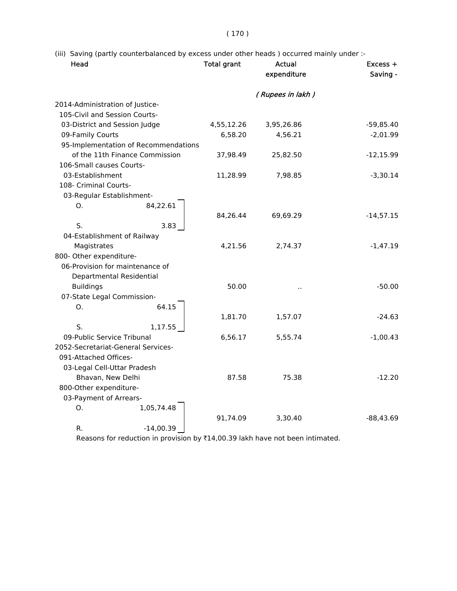(iii) Saving (partly counterbalanced by excess under other heads ) occurred mainly under :-

| Head                            |                                      | <b>Total grant</b> | Actual<br>expenditure | Excess +<br>Saving - |
|---------------------------------|--------------------------------------|--------------------|-----------------------|----------------------|
|                                 |                                      |                    | (Rupees in lakh)      |                      |
| 2014-Administration of Justice- |                                      |                    |                       |                      |
| 105-Civil and Session Courts-   |                                      |                    |                       |                      |
| 03-District and Session Judge   |                                      | 4,55,12.26         | 3,95,26.86            | $-59,85.40$          |
| 09-Family Courts                |                                      | 6,58.20            | 4,56.21               | $-2,01.99$           |
|                                 | 95-Implementation of Recommendations |                    |                       |                      |
|                                 | of the 11th Finance Commission       | 37,98.49           | 25,82.50              | $-12,15.99$          |
| 106-Small causes Courts-        |                                      |                    |                       |                      |
| 03-Establishment                |                                      | 11,28.99           | 7,98.85               | $-3,30.14$           |
| 108- Criminal Courts-           |                                      |                    |                       |                      |
| 03-Regular Establishment-       |                                      |                    |                       |                      |
| O.                              | 84,22.61                             |                    |                       |                      |
|                                 |                                      | 84,26.44           | 69,69.29              | $-14, 57.15$         |
| S.                              | 3.83                                 |                    |                       |                      |
| 04-Establishment of Railway     |                                      |                    |                       |                      |
| Magistrates                     |                                      | 4,21.56            | 2,74.37               | $-1,47.19$           |
| 800- Other expenditure-         |                                      |                    |                       |                      |
|                                 | 06-Provision for maintenance of      |                    |                       |                      |
|                                 | Departmental Residential             |                    |                       |                      |
| <b>Buildings</b>                |                                      | 50.00              |                       | $-50.00$             |
| 07-State Legal Commission-      |                                      |                    |                       |                      |
| O.                              | 64.15                                |                    |                       |                      |
|                                 |                                      | 1,81.70            | 1,57.07               | $-24.63$             |
| S.                              | 1,17.55                              |                    |                       |                      |
| 09-Public Service Tribunal      |                                      | 6,56.17            | 5,55.74               | $-1,00.43$           |
|                                 | 2052-Secretariat-General Services-   |                    |                       |                      |
| 091-Attached Offices-           |                                      |                    |                       |                      |
| 03-Legal Cell-Uttar Pradesh     |                                      |                    |                       |                      |
| Bhavan, New Delhi               |                                      | 87.58              | 75.38                 | $-12.20$             |
| 800-Other expenditure-          |                                      |                    |                       |                      |
| 03-Payment of Arrears-          |                                      |                    |                       |                      |
| O.                              | 1,05,74.48                           |                    |                       |                      |
|                                 |                                      | 91,74.09           | 3,30.40               | $-88,43.69$          |
| R.                              | $-14,00.39$                          |                    |                       |                      |

Reasons for reduction in provision by  $\bar{\tau}14,00.39$  lakh have not been intimated.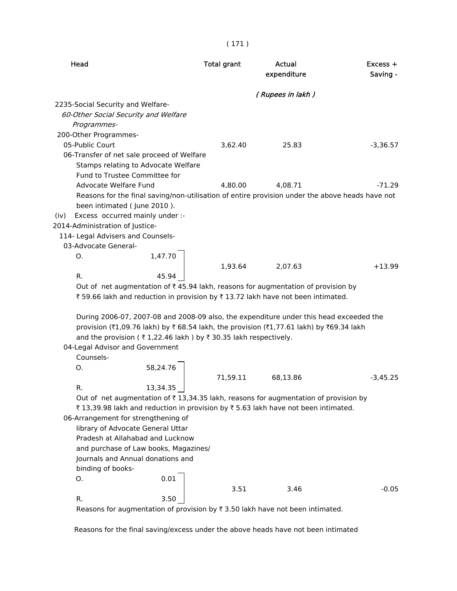| (Rupees in lakh)<br>2235-Social Security and Welfare-<br>60-Other Social Security and Welfare<br>Programmes-<br>200-Other Programmes-<br>05-Public Court<br>3,62.40<br>25.83<br>$-3,36.57$<br>06-Transfer of net sale proceed of Welfare<br>Stamps relating to Advocate Welfare<br>Fund to Trustee Committee for<br>Advocate Welfare Fund<br>4,80.00<br>4,08.71<br>-71.29<br>Reasons for the final saving/non-utilisation of entire provision under the above heads have not<br>been intimated (June 2010).<br>Excess occurred mainly under :-<br>(iv)<br>2014-Administration of Justice-<br>114- Legal Advisers and Counsels-<br>03-Advocate General-<br>1,47.70<br>O.<br>1,93.64<br>2,07.63<br>$+13.99$<br>R.<br>45.94<br>Out of net augmentation of $\bar{\tau}$ 45.94 lakh, reasons for augmentation of provision by<br>₹59.66 lakh and reduction in provision by ₹13.72 lakh have not been intimated.<br>During 2006-07, 2007-08 and 2008-09 also, the expenditure under this head exceeded the<br>provision (₹1,09.76 lakh) by ₹ 68.54 lakh, the provision (₹1,77.61 lakh) by ₹69.34 lakh<br>and the provision (₹1,22.46 lakh) by ₹30.35 lakh respectively.<br>04-Legal Advisor and Government<br>Counsels-<br>58,24.76<br>Ο.<br>71,59.11<br>68,13.86<br>$-3,45.25$<br>13,34.35<br>R<br>Out of net augmentation of $\bar{\tau}$ 13,34.35 lakh, reasons for augmentation of provision by<br>₹13,39.98 lakh and reduction in provision by ₹5.63 lakh have not been intimated.<br>06-Arrangement for strengthening of<br>library of Advocate General Uttar<br>Pradesh at Allahabad and Lucknow<br>and purchase of Law books, Magazines/<br>Journals and Annual donations and<br>binding of books-<br>0.01<br>О.<br>3.51<br>$-0.05$<br>3.46<br>R.<br>3.50<br>Because for augmentation of provision by $\overline{z}$ 2.50 lakh have not been intimated | Head | <b>Total grant</b> | Actual<br>expenditure | $Excess +$<br>Saving - |
|----------------------------------------------------------------------------------------------------------------------------------------------------------------------------------------------------------------------------------------------------------------------------------------------------------------------------------------------------------------------------------------------------------------------------------------------------------------------------------------------------------------------------------------------------------------------------------------------------------------------------------------------------------------------------------------------------------------------------------------------------------------------------------------------------------------------------------------------------------------------------------------------------------------------------------------------------------------------------------------------------------------------------------------------------------------------------------------------------------------------------------------------------------------------------------------------------------------------------------------------------------------------------------------------------------------------------------------------------------------------------------------------------------------------------------------------------------------------------------------------------------------------------------------------------------------------------------------------------------------------------------------------------------------------------------------------------------------------------------------------------------------------------------------------------------------------------------------------------------|------|--------------------|-----------------------|------------------------|
|                                                                                                                                                                                                                                                                                                                                                                                                                                                                                                                                                                                                                                                                                                                                                                                                                                                                                                                                                                                                                                                                                                                                                                                                                                                                                                                                                                                                                                                                                                                                                                                                                                                                                                                                                                                                                                                          |      |                    |                       |                        |
|                                                                                                                                                                                                                                                                                                                                                                                                                                                                                                                                                                                                                                                                                                                                                                                                                                                                                                                                                                                                                                                                                                                                                                                                                                                                                                                                                                                                                                                                                                                                                                                                                                                                                                                                                                                                                                                          |      |                    |                       |                        |
|                                                                                                                                                                                                                                                                                                                                                                                                                                                                                                                                                                                                                                                                                                                                                                                                                                                                                                                                                                                                                                                                                                                                                                                                                                                                                                                                                                                                                                                                                                                                                                                                                                                                                                                                                                                                                                                          |      |                    |                       |                        |
|                                                                                                                                                                                                                                                                                                                                                                                                                                                                                                                                                                                                                                                                                                                                                                                                                                                                                                                                                                                                                                                                                                                                                                                                                                                                                                                                                                                                                                                                                                                                                                                                                                                                                                                                                                                                                                                          |      |                    |                       |                        |
|                                                                                                                                                                                                                                                                                                                                                                                                                                                                                                                                                                                                                                                                                                                                                                                                                                                                                                                                                                                                                                                                                                                                                                                                                                                                                                                                                                                                                                                                                                                                                                                                                                                                                                                                                                                                                                                          |      |                    |                       |                        |
|                                                                                                                                                                                                                                                                                                                                                                                                                                                                                                                                                                                                                                                                                                                                                                                                                                                                                                                                                                                                                                                                                                                                                                                                                                                                                                                                                                                                                                                                                                                                                                                                                                                                                                                                                                                                                                                          |      |                    |                       |                        |
|                                                                                                                                                                                                                                                                                                                                                                                                                                                                                                                                                                                                                                                                                                                                                                                                                                                                                                                                                                                                                                                                                                                                                                                                                                                                                                                                                                                                                                                                                                                                                                                                                                                                                                                                                                                                                                                          |      |                    |                       |                        |
|                                                                                                                                                                                                                                                                                                                                                                                                                                                                                                                                                                                                                                                                                                                                                                                                                                                                                                                                                                                                                                                                                                                                                                                                                                                                                                                                                                                                                                                                                                                                                                                                                                                                                                                                                                                                                                                          |      |                    |                       |                        |
|                                                                                                                                                                                                                                                                                                                                                                                                                                                                                                                                                                                                                                                                                                                                                                                                                                                                                                                                                                                                                                                                                                                                                                                                                                                                                                                                                                                                                                                                                                                                                                                                                                                                                                                                                                                                                                                          |      |                    |                       |                        |
|                                                                                                                                                                                                                                                                                                                                                                                                                                                                                                                                                                                                                                                                                                                                                                                                                                                                                                                                                                                                                                                                                                                                                                                                                                                                                                                                                                                                                                                                                                                                                                                                                                                                                                                                                                                                                                                          |      |                    |                       |                        |
|                                                                                                                                                                                                                                                                                                                                                                                                                                                                                                                                                                                                                                                                                                                                                                                                                                                                                                                                                                                                                                                                                                                                                                                                                                                                                                                                                                                                                                                                                                                                                                                                                                                                                                                                                                                                                                                          |      |                    |                       |                        |
|                                                                                                                                                                                                                                                                                                                                                                                                                                                                                                                                                                                                                                                                                                                                                                                                                                                                                                                                                                                                                                                                                                                                                                                                                                                                                                                                                                                                                                                                                                                                                                                                                                                                                                                                                                                                                                                          |      |                    |                       |                        |
|                                                                                                                                                                                                                                                                                                                                                                                                                                                                                                                                                                                                                                                                                                                                                                                                                                                                                                                                                                                                                                                                                                                                                                                                                                                                                                                                                                                                                                                                                                                                                                                                                                                                                                                                                                                                                                                          |      |                    |                       |                        |
|                                                                                                                                                                                                                                                                                                                                                                                                                                                                                                                                                                                                                                                                                                                                                                                                                                                                                                                                                                                                                                                                                                                                                                                                                                                                                                                                                                                                                                                                                                                                                                                                                                                                                                                                                                                                                                                          |      |                    |                       |                        |
|                                                                                                                                                                                                                                                                                                                                                                                                                                                                                                                                                                                                                                                                                                                                                                                                                                                                                                                                                                                                                                                                                                                                                                                                                                                                                                                                                                                                                                                                                                                                                                                                                                                                                                                                                                                                                                                          |      |                    |                       |                        |
|                                                                                                                                                                                                                                                                                                                                                                                                                                                                                                                                                                                                                                                                                                                                                                                                                                                                                                                                                                                                                                                                                                                                                                                                                                                                                                                                                                                                                                                                                                                                                                                                                                                                                                                                                                                                                                                          |      |                    |                       |                        |
|                                                                                                                                                                                                                                                                                                                                                                                                                                                                                                                                                                                                                                                                                                                                                                                                                                                                                                                                                                                                                                                                                                                                                                                                                                                                                                                                                                                                                                                                                                                                                                                                                                                                                                                                                                                                                                                          |      |                    |                       |                        |
|                                                                                                                                                                                                                                                                                                                                                                                                                                                                                                                                                                                                                                                                                                                                                                                                                                                                                                                                                                                                                                                                                                                                                                                                                                                                                                                                                                                                                                                                                                                                                                                                                                                                                                                                                                                                                                                          |      |                    |                       |                        |
|                                                                                                                                                                                                                                                                                                                                                                                                                                                                                                                                                                                                                                                                                                                                                                                                                                                                                                                                                                                                                                                                                                                                                                                                                                                                                                                                                                                                                                                                                                                                                                                                                                                                                                                                                                                                                                                          |      |                    |                       |                        |
|                                                                                                                                                                                                                                                                                                                                                                                                                                                                                                                                                                                                                                                                                                                                                                                                                                                                                                                                                                                                                                                                                                                                                                                                                                                                                                                                                                                                                                                                                                                                                                                                                                                                                                                                                                                                                                                          |      |                    |                       |                        |
|                                                                                                                                                                                                                                                                                                                                                                                                                                                                                                                                                                                                                                                                                                                                                                                                                                                                                                                                                                                                                                                                                                                                                                                                                                                                                                                                                                                                                                                                                                                                                                                                                                                                                                                                                                                                                                                          |      |                    |                       |                        |
|                                                                                                                                                                                                                                                                                                                                                                                                                                                                                                                                                                                                                                                                                                                                                                                                                                                                                                                                                                                                                                                                                                                                                                                                                                                                                                                                                                                                                                                                                                                                                                                                                                                                                                                                                                                                                                                          |      |                    |                       |                        |
|                                                                                                                                                                                                                                                                                                                                                                                                                                                                                                                                                                                                                                                                                                                                                                                                                                                                                                                                                                                                                                                                                                                                                                                                                                                                                                                                                                                                                                                                                                                                                                                                                                                                                                                                                                                                                                                          |      |                    |                       |                        |
|                                                                                                                                                                                                                                                                                                                                                                                                                                                                                                                                                                                                                                                                                                                                                                                                                                                                                                                                                                                                                                                                                                                                                                                                                                                                                                                                                                                                                                                                                                                                                                                                                                                                                                                                                                                                                                                          |      |                    |                       |                        |
|                                                                                                                                                                                                                                                                                                                                                                                                                                                                                                                                                                                                                                                                                                                                                                                                                                                                                                                                                                                                                                                                                                                                                                                                                                                                                                                                                                                                                                                                                                                                                                                                                                                                                                                                                                                                                                                          |      |                    |                       |                        |
|                                                                                                                                                                                                                                                                                                                                                                                                                                                                                                                                                                                                                                                                                                                                                                                                                                                                                                                                                                                                                                                                                                                                                                                                                                                                                                                                                                                                                                                                                                                                                                                                                                                                                                                                                                                                                                                          |      |                    |                       |                        |
|                                                                                                                                                                                                                                                                                                                                                                                                                                                                                                                                                                                                                                                                                                                                                                                                                                                                                                                                                                                                                                                                                                                                                                                                                                                                                                                                                                                                                                                                                                                                                                                                                                                                                                                                                                                                                                                          |      |                    |                       |                        |
|                                                                                                                                                                                                                                                                                                                                                                                                                                                                                                                                                                                                                                                                                                                                                                                                                                                                                                                                                                                                                                                                                                                                                                                                                                                                                                                                                                                                                                                                                                                                                                                                                                                                                                                                                                                                                                                          |      |                    |                       |                        |
|                                                                                                                                                                                                                                                                                                                                                                                                                                                                                                                                                                                                                                                                                                                                                                                                                                                                                                                                                                                                                                                                                                                                                                                                                                                                                                                                                                                                                                                                                                                                                                                                                                                                                                                                                                                                                                                          |      |                    |                       |                        |
|                                                                                                                                                                                                                                                                                                                                                                                                                                                                                                                                                                                                                                                                                                                                                                                                                                                                                                                                                                                                                                                                                                                                                                                                                                                                                                                                                                                                                                                                                                                                                                                                                                                                                                                                                                                                                                                          |      |                    |                       |                        |
|                                                                                                                                                                                                                                                                                                                                                                                                                                                                                                                                                                                                                                                                                                                                                                                                                                                                                                                                                                                                                                                                                                                                                                                                                                                                                                                                                                                                                                                                                                                                                                                                                                                                                                                                                                                                                                                          |      |                    |                       |                        |
|                                                                                                                                                                                                                                                                                                                                                                                                                                                                                                                                                                                                                                                                                                                                                                                                                                                                                                                                                                                                                                                                                                                                                                                                                                                                                                                                                                                                                                                                                                                                                                                                                                                                                                                                                                                                                                                          |      |                    |                       |                        |
|                                                                                                                                                                                                                                                                                                                                                                                                                                                                                                                                                                                                                                                                                                                                                                                                                                                                                                                                                                                                                                                                                                                                                                                                                                                                                                                                                                                                                                                                                                                                                                                                                                                                                                                                                                                                                                                          |      |                    |                       |                        |
|                                                                                                                                                                                                                                                                                                                                                                                                                                                                                                                                                                                                                                                                                                                                                                                                                                                                                                                                                                                                                                                                                                                                                                                                                                                                                                                                                                                                                                                                                                                                                                                                                                                                                                                                                                                                                                                          |      |                    |                       |                        |
|                                                                                                                                                                                                                                                                                                                                                                                                                                                                                                                                                                                                                                                                                                                                                                                                                                                                                                                                                                                                                                                                                                                                                                                                                                                                                                                                                                                                                                                                                                                                                                                                                                                                                                                                                                                                                                                          |      |                    |                       |                        |
|                                                                                                                                                                                                                                                                                                                                                                                                                                                                                                                                                                                                                                                                                                                                                                                                                                                                                                                                                                                                                                                                                                                                                                                                                                                                                                                                                                                                                                                                                                                                                                                                                                                                                                                                                                                                                                                          |      |                    |                       |                        |
|                                                                                                                                                                                                                                                                                                                                                                                                                                                                                                                                                                                                                                                                                                                                                                                                                                                                                                                                                                                                                                                                                                                                                                                                                                                                                                                                                                                                                                                                                                                                                                                                                                                                                                                                                                                                                                                          |      |                    |                       |                        |
|                                                                                                                                                                                                                                                                                                                                                                                                                                                                                                                                                                                                                                                                                                                                                                                                                                                                                                                                                                                                                                                                                                                                                                                                                                                                                                                                                                                                                                                                                                                                                                                                                                                                                                                                                                                                                                                          |      |                    |                       |                        |
|                                                                                                                                                                                                                                                                                                                                                                                                                                                                                                                                                                                                                                                                                                                                                                                                                                                                                                                                                                                                                                                                                                                                                                                                                                                                                                                                                                                                                                                                                                                                                                                                                                                                                                                                                                                                                                                          |      |                    |                       |                        |
|                                                                                                                                                                                                                                                                                                                                                                                                                                                                                                                                                                                                                                                                                                                                                                                                                                                                                                                                                                                                                                                                                                                                                                                                                                                                                                                                                                                                                                                                                                                                                                                                                                                                                                                                                                                                                                                          |      |                    |                       |                        |
|                                                                                                                                                                                                                                                                                                                                                                                                                                                                                                                                                                                                                                                                                                                                                                                                                                                                                                                                                                                                                                                                                                                                                                                                                                                                                                                                                                                                                                                                                                                                                                                                                                                                                                                                                                                                                                                          |      |                    |                       |                        |

Reasons for augmentation of provision by  $\bar{\tau}$  3.50 lakh have not been intimated.

Reasons for the final saving/excess under the above heads have not been intimated

### ( 171 )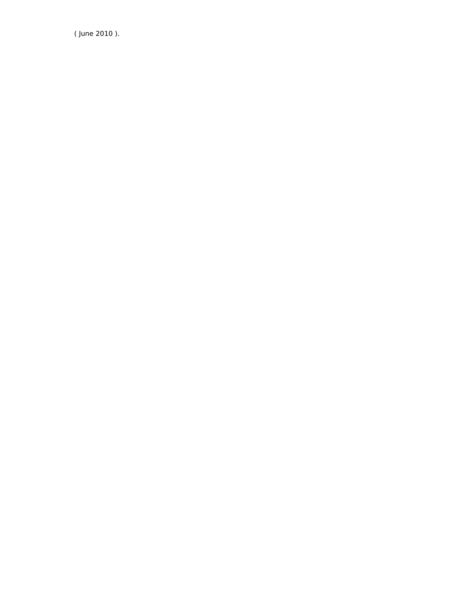( June 2010 ).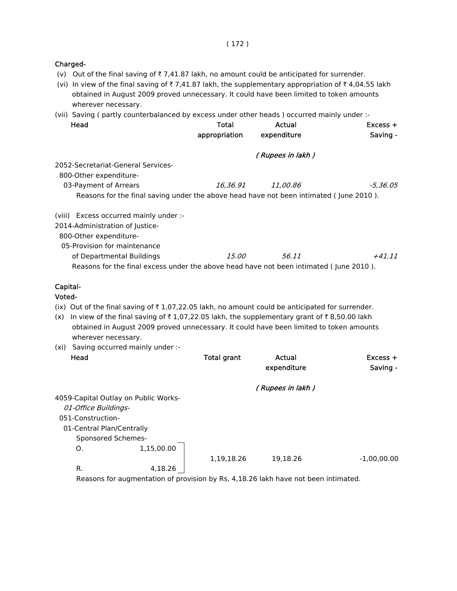#### Charged-

- (v) Out of the final saving of  $\bar{\tau}$  7,41.87 lakh, no amount could be anticipated for surrender.
- (vi) In view of the final saving of  $\bar{\tau}$  7,41.87 lakh, the supplementary appropriation of  $\bar{\tau}$  4,04.55 lakh obtained in August 2009 proved unnecessary. It could have been limited to token amounts wherever necessary.
- (vii) Saving ( partly counterbalanced by excess under other heads ) occurred mainly under :-

| Head                                                                                   | Total<br>appropriation | Actual<br>expenditure | $Excess +$<br>Saving - |
|----------------------------------------------------------------------------------------|------------------------|-----------------------|------------------------|
|                                                                                        |                        |                       |                        |
| 2052-Secretariat-General Services-<br>800-Other expenditure-                           |                        | (Rupees in lakh)      |                        |
| 03-Payment of Arrears                                                                  | 16.36.91               | <i>11.00.86</i>       | -5,36,05               |
| Reasons for the final saving under the above head have not been intimated (June 2010). |                        |                       |                        |
| (viii) Excess occurred mainly under :-                                                 |                        |                       |                        |
| 2014-Administration of Justice-                                                        |                        |                       |                        |
| 800-Other expenditure-                                                                 |                        |                       |                        |
| 05-Provision for maintenance                                                           |                        |                       |                        |
| of Departmental Buildings                                                              | <i>15.00</i>           | 56.11                 | $+41.11$               |
| Reasons for the final excess under the above head have not been intimated (June 2010). |                        |                       |                        |
| Canital-                                                                               |                        |                       |                        |

### Capital-

Voted-

(ix) Out of the final saving of  $\bar{\tau}$  1,07,22.05 lakh, no amount could be anticipated for surrender.

- (x) In view of the final saving of  $\bar{\tau}$  1,07,22.05 lakh, the supplementary grant of  $\bar{\tau}$  8,50.00 lakh obtained in August 2009 proved unnecessary. It could have been limited to token amounts wherever necessary.
- (xi) Saving occurred mainly under :-

| Head                                 | <b>Total grant</b> | Actual<br>expenditure | $Excess +$<br>Saving - |
|--------------------------------------|--------------------|-----------------------|------------------------|
|                                      |                    | (Rupees in lakh)      |                        |
| 4059-Capital Outlay on Public Works- |                    |                       |                        |
| 01-Office Buildings-                 |                    |                       |                        |
| 051-Construction-                    |                    |                       |                        |
| 01-Central Plan/Centrally            |                    |                       |                        |
| Sponsored Schemes-                   |                    |                       |                        |
| 1,15,00.00<br>O.                     |                    |                       |                        |
|                                      | 1,19,18.26         | 19.18.26              | $-1,00,00.00$          |
| R.<br>4,18.26                        |                    |                       |                        |

Reasons for augmentation of provision by Rs, 4,18.26 lakh have not been intimated.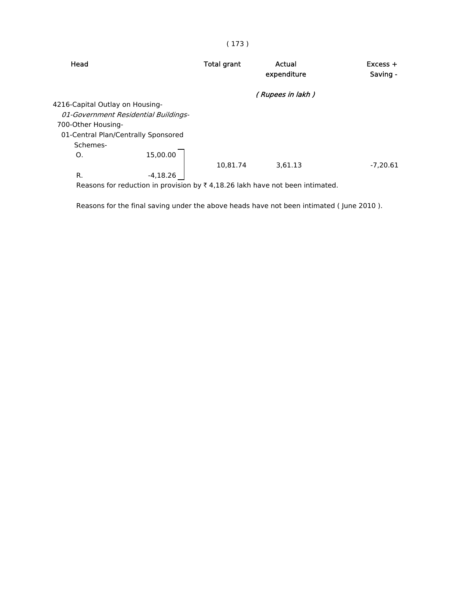| Head                                                                                     | <b>Total grant</b> | Actual<br>expenditure | $Excess +$<br>Saving - |
|------------------------------------------------------------------------------------------|--------------------|-----------------------|------------------------|
|                                                                                          |                    | (Rupees in lakh)      |                        |
| 4216-Capital Outlay on Housing-                                                          |                    |                       |                        |
| 01-Government Residential Buildings-                                                     |                    |                       |                        |
| 700-Other Housing-                                                                       |                    |                       |                        |
| 01-Central Plan/Centrally Sponsored                                                      |                    |                       |                        |
| Schemes-                                                                                 |                    |                       |                        |
| 15,00.00<br>O.                                                                           |                    |                       |                        |
|                                                                                          | 10,81.74           | 3,61.13               | $-7.20.61$             |
| R.<br>$-4,18.26$                                                                         |                    |                       |                        |
| Reasons for reduction in provision by $\bar{\tau}$ 4,18.26 lakh have not been intimated. |                    |                       |                        |

Reasons for the final saving under the above heads have not been intimated ( June 2010 ).

### ( 173 )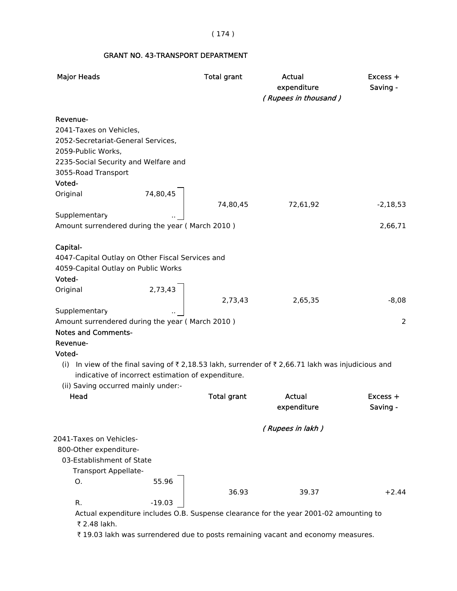### ( 174 )

### GRANT NO. 43-TRANSPORT DEPARTMENT

| <b>Major Heads</b>                                                                                 | <b>Total grant</b> | Actual<br>expenditure<br>(Rupees in thousand) | Excess +<br>Saving - |
|----------------------------------------------------------------------------------------------------|--------------------|-----------------------------------------------|----------------------|
| Revenue-                                                                                           |                    |                                               |                      |
| 2041-Taxes on Vehicles,                                                                            |                    |                                               |                      |
| 2052-Secretariat-General Services,                                                                 |                    |                                               |                      |
| 2059-Public Works,                                                                                 |                    |                                               |                      |
| 2235-Social Security and Welfare and                                                               |                    |                                               |                      |
| 3055-Road Transport                                                                                |                    |                                               |                      |
| Voted-                                                                                             |                    |                                               |                      |
| 74,80,45<br>Original                                                                               |                    |                                               |                      |
|                                                                                                    | 74,80,45           | 72,61,92                                      | $-2,18,53$           |
| Supplementary                                                                                      |                    |                                               |                      |
| Amount surrendered during the year (March 2010)                                                    |                    |                                               | 2,66,71              |
|                                                                                                    |                    |                                               |                      |
| Capital-<br>4047-Capital Outlay on Other Fiscal Services and                                       |                    |                                               |                      |
| 4059-Capital Outlay on Public Works                                                                |                    |                                               |                      |
| Voted-                                                                                             |                    |                                               |                      |
| Original                                                                                           |                    |                                               |                      |
| 2,73,43                                                                                            | 2,73,43            | 2,65,35                                       | $-8,08$              |
| Supplementary                                                                                      |                    |                                               |                      |
| Amount surrendered during the year (March 2010)                                                    |                    |                                               | $\overline{2}$       |
| <b>Notes and Comments-</b>                                                                         |                    |                                               |                      |
| Revenue-                                                                                           |                    |                                               |                      |
| Voted-                                                                                             |                    |                                               |                      |
| (i) In view of the final saving of ₹ 2,18.53 lakh, surrender of ₹ 2,66.71 lakh was injudicious and |                    |                                               |                      |
| indicative of incorrect estimation of expenditure.                                                 |                    |                                               |                      |
| (ii) Saving occurred mainly under:-                                                                |                    |                                               |                      |
| Head                                                                                               | <b>Total grant</b> | Actual                                        | Excess +             |
|                                                                                                    |                    | expenditure                                   | Saving -             |
|                                                                                                    |                    |                                               |                      |
| 2041-Taxes on Vehicles-                                                                            |                    | (Rupees in lakh)                              |                      |
| 800-Other expenditure-                                                                             |                    |                                               |                      |
| 03-Establishment of State                                                                          |                    |                                               |                      |
| Transport Appellate-                                                                               |                    |                                               |                      |
| 55.96<br>Ο.                                                                                        |                    |                                               |                      |
|                                                                                                    | 36.93              | 39.37                                         | $+2.44$              |
| R.<br>$-19.03$                                                                                     |                    |                                               |                      |
| Actual expenditure includes O.B. Suspense clearance for the year 2001-02 amounting to              |                    |                                               |                      |

₹ 2.48 lakh.

₹ 19.03 lakh was surrendered due to posts remaining vacant and economy measures.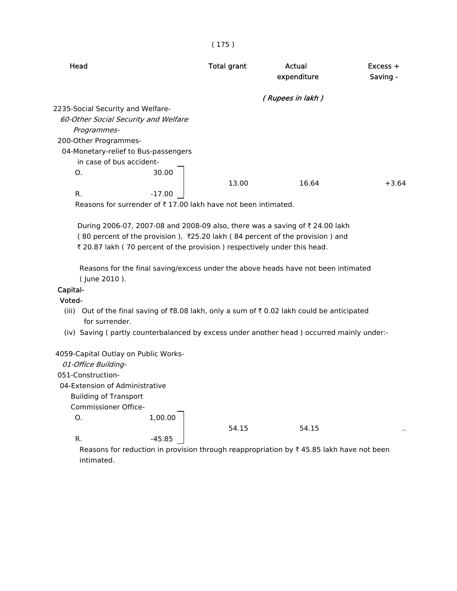| Head                                 | <b>Total grant</b> | Actual<br>expenditure | $Excess +$<br>Saving - |
|--------------------------------------|--------------------|-----------------------|------------------------|
|                                      |                    | (Rupees in lakh)      |                        |
| 2235-Social Security and Welfare-    |                    |                       |                        |
| 60-Other Social Security and Welfare |                    |                       |                        |
| Programmes-                          |                    |                       |                        |
| 200-Other Programmes-                |                    |                       |                        |
| 04-Monetary-relief to Bus-passengers |                    |                       |                        |
| in case of bus accident-             |                    |                       |                        |
| 30.00<br>O.                          |                    |                       |                        |
|                                      | 13.00              | 16.64                 | $+3.64$                |
| R.<br>$-17.00$                       |                    |                       |                        |

( 175 )

Reasons for surrender of  $\bar{\tau}$  17.00 lakh have not been intimated.

During 2006-07, 2007-08 and 2008-09 also, there was a saving of ₹ 24.00 lakh ( 80 percent of the provision ), `25.20 lakh ( 84 percent of the provision ) and ₹ 20.87 lakh (70 percent of the provision) respectively under this head.

 Reasons for the final saving/excess under the above heads have not been intimated ( June 2010 ).

### Capital-

### Voted-

- (iii) Out of the final saving of  $\overline{88.08}$  lakh, only a sum of  $\overline{80.02}$  lakh could be anticipated for surrender.
- (iv) Saving ( partly counterbalanced by excess under another head ) occurred mainly under:-

4059-Capital Outlay on Public Works-

| 4059-Capital Outlay on Public Works- |         |       |                                                                                                     |    |
|--------------------------------------|---------|-------|-----------------------------------------------------------------------------------------------------|----|
| 01-Office Building-                  |         |       |                                                                                                     |    |
| 051-Construction-                    |         |       |                                                                                                     |    |
| 04-Extension of Administrative       |         |       |                                                                                                     |    |
| <b>Building of Transport</b>         |         |       |                                                                                                     |    |
| Commissioner Office-                 |         |       |                                                                                                     |    |
| O.                                   | 1.00.00 |       |                                                                                                     |    |
|                                      |         | 54.15 | 54.15                                                                                               | ٠, |
| R.                                   | -45.85  |       |                                                                                                     |    |
|                                      |         |       | Reasons for reduction in provision through reappropriation by $\bar{\tau}$ 45.85 lakh have not been |    |

igh reappropriation by ₹ 45.85 lakh have not been intimated.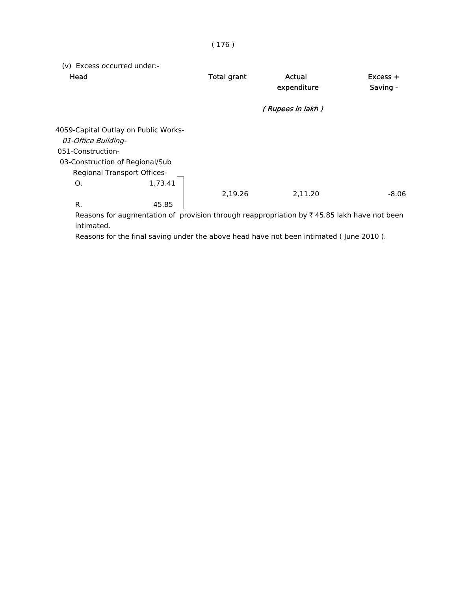| (v) Excess occurred under:-<br>Head  | <b>Total grant</b> | Actual<br>expenditure | $Excess +$<br>Saving - |
|--------------------------------------|--------------------|-----------------------|------------------------|
|                                      |                    | (Rupees in lakh)      |                        |
| 4059-Capital Outlay on Public Works- |                    |                       |                        |
| 01-Office Building-                  |                    |                       |                        |
| 051-Construction-                    |                    |                       |                        |
| 03-Construction of Regional/Sub      |                    |                       |                        |
| <b>Regional Transport Offices-</b>   |                    |                       |                        |
| 1,73.41<br>O.                        |                    |                       |                        |
|                                      | 2,19.26            | 2,11.20               | $-8.06$                |
| R.<br>45.85                          |                    |                       |                        |

Reasons for augmentation of provision through reappropriation by  $\bar{\tau}$  45.85 lakh have not been intimated.

Reasons for the final saving under the above head have not been intimated ( June 2010 ).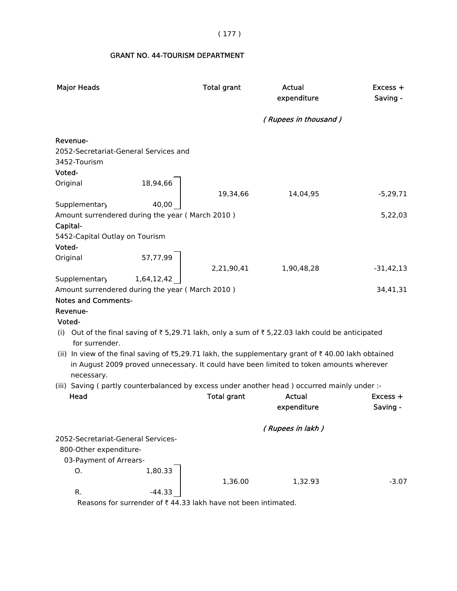( 177 )

# GRANT NO. 44-TOURISM DEPARTMENT

| <b>Major Heads</b>                                                |            | <b>Total grant</b> | Actual<br>expenditure                                                                              | Excess +<br>Saving - |
|-------------------------------------------------------------------|------------|--------------------|----------------------------------------------------------------------------------------------------|----------------------|
|                                                                   |            |                    | (Rupees in thousand)                                                                               |                      |
| Revenue-<br>2052-Secretariat-General Services and<br>3452-Tourism |            |                    |                                                                                                    |                      |
| Voted-                                                            |            |                    |                                                                                                    |                      |
| Original                                                          | 18,94,66   |                    |                                                                                                    |                      |
|                                                                   |            | 19,34,66           | 14,04,95                                                                                           | $-5,29,71$           |
| Supplementary                                                     | 40,00      |                    |                                                                                                    |                      |
| Amount surrendered during the year (March 2010)                   |            |                    |                                                                                                    | 5,22,03              |
| Capital-                                                          |            |                    |                                                                                                    |                      |
| 5452-Capital Outlay on Tourism                                    |            |                    |                                                                                                    |                      |
| Voted-                                                            |            |                    |                                                                                                    |                      |
| Original                                                          | 57,77,99   | 2,21,90,41         | 1,90,48,28                                                                                         | $-31,42,13$          |
| Supplementary                                                     | 1,64,12,42 |                    |                                                                                                    |                      |
| Amount surrendered during the year (March 2010)                   |            |                    |                                                                                                    | 34,41,31             |
| <b>Notes and Comments-</b>                                        |            |                    |                                                                                                    |                      |
| Revenue-                                                          |            |                    |                                                                                                    |                      |
| Voted-                                                            |            |                    |                                                                                                    |                      |
| for surrender.                                                    |            |                    | (i) Out of the final saving of ₹ 5,29.71 lakh, only a sum of ₹ 5,22.03 lakh could be anticipated   |                      |
|                                                                   |            |                    | (ii) In view of the final saving of ₹5,29.71 lakh, the supplementary grant of ₹40.00 lakh obtained |                      |
| necessary.                                                        |            |                    | in August 2009 proved unnecessary. It could have been limited to token amounts wherever            |                      |
|                                                                   |            |                    | (iii) Saving (partly counterbalanced by excess under another head) occurred mainly under :-        |                      |
| Head                                                              |            | <b>Total grant</b> | <b>Actual</b>                                                                                      | Excess +             |
|                                                                   |            |                    | expenditure                                                                                        | Saving -             |
|                                                                   |            |                    | (Rupees in lakh)                                                                                   |                      |
| 2052-Secretariat-General Services-                                |            |                    |                                                                                                    |                      |
| 800-Other expenditure-                                            |            |                    |                                                                                                    |                      |
| 03-Payment of Arrears-                                            |            |                    |                                                                                                    |                      |
| Ο.                                                                | 1,80.33    | 1,36.00            | 1,32.93                                                                                            | $-3.07$              |
| R.                                                                | $-44.33$   |                    |                                                                                                    |                      |

Reasons for surrender of  $\bar{\tau}$  44.33 lakh have not been intimated.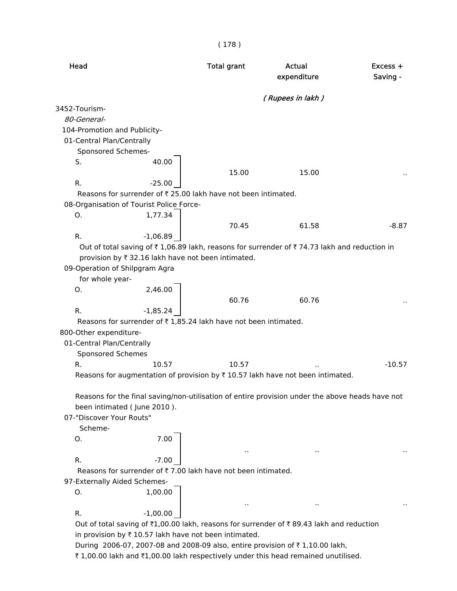| Head                                                                                                                | <b>Total grant</b> | Actual<br>expenditure | Excess +<br>Saving - |
|---------------------------------------------------------------------------------------------------------------------|--------------------|-----------------------|----------------------|
|                                                                                                                     |                    | (Rupees in lakh)      |                      |
| 3452-Tourism-                                                                                                       |                    |                       |                      |
| 80-General-                                                                                                         |                    |                       |                      |
| 104-Promotion and Publicity-                                                                                        |                    |                       |                      |
| 01-Central Plan/Centrally                                                                                           |                    |                       |                      |
| Sponsored Schemes-                                                                                                  |                    |                       |                      |
| 40.00<br>S.                                                                                                         |                    |                       |                      |
|                                                                                                                     | 15.00              | 15.00                 |                      |
| R.<br>$-25.00$                                                                                                      |                    |                       |                      |
| Reasons for surrender of ₹ 25.00 lakh have not been intimated.                                                      |                    |                       |                      |
| 08-Organisation of Tourist Police Force-                                                                            |                    |                       |                      |
| 1,77.34<br>O.                                                                                                       |                    |                       |                      |
|                                                                                                                     | 70.45              | 61.58                 | $-8.87$              |
| R.<br>$-1,06.89$                                                                                                    |                    |                       |                      |
| Out of total saving of $\bar{\tau}$ 1,06.89 lakh, reasons for surrender of $\bar{\tau}$ 74.73 lakh and reduction in |                    |                       |                      |
| provision by ₹ 32.16 lakh have not been intimated.                                                                  |                    |                       |                      |
| 09-Operation of Shilpgram Agra                                                                                      |                    |                       |                      |
| for whole year-                                                                                                     |                    |                       |                      |
| 2,46.00<br>O.                                                                                                       |                    |                       |                      |
|                                                                                                                     | 60.76              | 60.76                 |                      |
| R.<br>$-1,85.24$                                                                                                    |                    |                       |                      |
| Reasons for surrender of ₹1,85.24 lakh have not been intimated.                                                     |                    |                       |                      |
| 800-Other expenditure-                                                                                              |                    |                       |                      |
| 01-Central Plan/Centrally                                                                                           |                    |                       |                      |
| Sponsored Schemes                                                                                                   |                    |                       |                      |
| R.<br>10.57                                                                                                         | 10.57              |                       | $-10.57$             |
| Reasons for augmentation of provision by $\bar{\tau}$ 10.57 lakh have not been intimated.                           |                    |                       |                      |
|                                                                                                                     |                    |                       |                      |
| Reasons for the final saving/non-utilisation of entire provision under the above heads have not                     |                    |                       |                      |
| been intimated (June 2010).                                                                                         |                    |                       |                      |
| 07-"Discover Your Routs"                                                                                            |                    |                       |                      |
| Scheme-                                                                                                             |                    |                       |                      |
| 7.00<br>O.                                                                                                          |                    |                       |                      |
|                                                                                                                     | $\sim$             | $\cdot$ .             |                      |
| $-7.00$<br>R.                                                                                                       |                    |                       |                      |
| Reasons for surrender of ₹7.00 lakh have not been intimated.                                                        |                    |                       |                      |
| 97-Externally Aided Schemes-                                                                                        |                    |                       |                      |
| 1,00.00<br>О.                                                                                                       |                    |                       |                      |
|                                                                                                                     |                    | $\ddot{\phantom{a}}$  |                      |
| $-1,00.00$<br>R.                                                                                                    |                    |                       |                      |
| Out of total saving of ₹1,00.00 lakh, reasons for surrender of ₹89.43 lakh and reduction                            |                    |                       |                      |
| in provision by ₹ 10.57 lakh have not been intimated.                                                               |                    |                       |                      |
| During 2006-07, 2007-08 and 2008-09 also, entire provision of ₹1,10.00 lakh,                                        |                    |                       |                      |
| ₹1,00.00 lakh and ₹1,00.00 lakh respectively under this head remained unutilised.                                   |                    |                       |                      |

( 178 )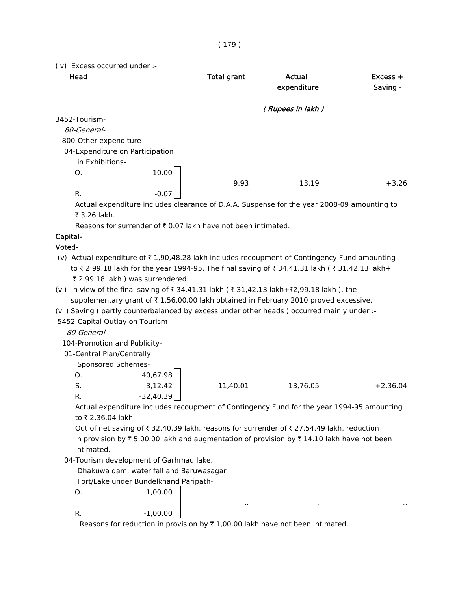| (iv) Excess occurred under :-   |         |                    |                  |            |
|---------------------------------|---------|--------------------|------------------|------------|
| Head                            |         | <b>Total grant</b> | Actual           | $Excess +$ |
|                                 |         |                    | expenditure      | Saving -   |
|                                 |         |                    | (Rupees in lakh) |            |
| 3452-Tourism-                   |         |                    |                  |            |
| 80-General-                     |         |                    |                  |            |
| 800-Other expenditure-          |         |                    |                  |            |
| 04-Expenditure on Participation |         |                    |                  |            |
| in Exhibitions-                 |         |                    |                  |            |
| O.                              | 10.00   |                    |                  |            |
|                                 |         | 9.93               | 13.19            | $+3.26$    |
| R.                              | $-0.07$ |                    |                  |            |

 Actual expenditure includes clearance of D.A.A. Suspense for the year 2008-09 amounting to  $\overline{3}$  3.26 lakh.

Reasons for surrender of  $\bar{\tau}$  0.07 lakh have not been intimated.

# Capital-

# Voted-

- (v) Actual expenditure of  $\bar{\tau}$  1,90,48.28 lakh includes recoupment of Contingency Fund amounting to ₹ 2,99.18 lakh for the year 1994-95. The final saving of ₹ 34,41.31 lakh ( ₹ 31,42.13 lakh+ ₹ 2,99.18 lakh ) was surrendered.
- (vi) In view of the final saving of ₹ 34,41.31 lakh ( ₹ 31,42.13 lakh+₹2,99.18 lakh ), the supplementary grant of  $\bar{\tau}$  1,56,00.00 lakh obtained in February 2010 proved excessive.
- (vii) Saving ( partly counterbalanced by excess under other heads ) occurred mainly under :-

5452-Capital Outlay on Tourism-

80-General-

104-Promotion and Publicity-

01-Central Plan/Centrally

Sponsored Schemes-

|    | 40,67.98  |          |          |            |
|----|-----------|----------|----------|------------|
| C. | 3,12.42   | 11,40.01 | 13,76.05 | $+2,36.04$ |
|    | -32,40.39 |          |          |            |

 Actual expenditure includes recoupment of Contingency Fund for the year 1994-95 amounting to ₹ 2,36.04 lakh.

Out of net saving of  $\bar{\tau}$  32,40.39 lakh, reasons for surrender of  $\bar{\tau}$  27,54.49 lakh, reduction in provision by  $\bar{\tau}$  5,00.00 lakh and augmentation of provision by  $\bar{\tau}$  14.10 lakh have not been intimated.

.. .. ..

04-Tourism development of Garhmau lake,

Dhakuwa dam, water fall and Baruwasagar

Fort/Lake under Bundelkhand Paripath-

O. 1,00.00

R.  $-1,00.00$ 

Reasons for reduction in provision by  $\bar{\tau}$  1,00.00 lakh have not been intimated.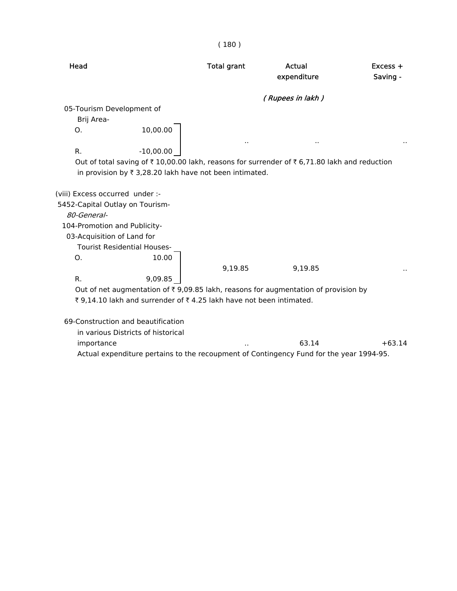( 180 )

| Head                            |                                                                      | <b>Total grant</b> | Actual<br>expenditure                                                                               | Excess +<br>Saving - |
|---------------------------------|----------------------------------------------------------------------|--------------------|-----------------------------------------------------------------------------------------------------|----------------------|
|                                 |                                                                      |                    | (Rupees in lakh)                                                                                    |                      |
| 05-Tourism Development of       |                                                                      |                    |                                                                                                     |                      |
| Brij Area-                      |                                                                      |                    |                                                                                                     |                      |
| O.                              | 10,00.00                                                             |                    |                                                                                                     |                      |
|                                 |                                                                      |                    |                                                                                                     |                      |
| R.                              | $-10,00.00$                                                          |                    |                                                                                                     |                      |
|                                 |                                                                      |                    | Out of total saving of ₹10,00.00 lakh, reasons for surrender of ₹6,71.80 lakh and reduction         |                      |
|                                 | in provision by ₹ 3,28.20 lakh have not been intimated.              |                    |                                                                                                     |                      |
|                                 |                                                                      |                    |                                                                                                     |                      |
| (viii) Excess occurred under :- |                                                                      |                    |                                                                                                     |                      |
| 5452-Capital Outlay on Tourism- |                                                                      |                    |                                                                                                     |                      |
| 80-General-                     |                                                                      |                    |                                                                                                     |                      |
| 104-Promotion and Publicity-    |                                                                      |                    |                                                                                                     |                      |
| 03-Acquisition of Land for      |                                                                      |                    |                                                                                                     |                      |
|                                 | <b>Tourist Residential Houses-</b>                                   |                    |                                                                                                     |                      |
| O.                              | 10.00                                                                |                    |                                                                                                     |                      |
|                                 |                                                                      | 9,19.85            | 9,19.85                                                                                             |                      |
| R.                              | 9,09.85                                                              |                    |                                                                                                     |                      |
|                                 |                                                                      |                    | Out of net augmentation of $\overline{\tau}$ 9,09.85 lakh, reasons for augmentation of provision by |                      |
|                                 | ₹ 9,14.10 lakh and surrender of ₹ 4.25 lakh have not been intimated. |                    |                                                                                                     |                      |
|                                 |                                                                      |                    |                                                                                                     |                      |
|                                 | 69-Construction and beautification                                   |                    |                                                                                                     |                      |
|                                 | in various Districts of historical                                   |                    |                                                                                                     |                      |
| importance                      |                                                                      |                    | 63.14                                                                                               | $+63.14$             |
|                                 |                                                                      |                    | Actual expenditure pertains to the recoupment of Contingency Fund for the year 1994-95.             |                      |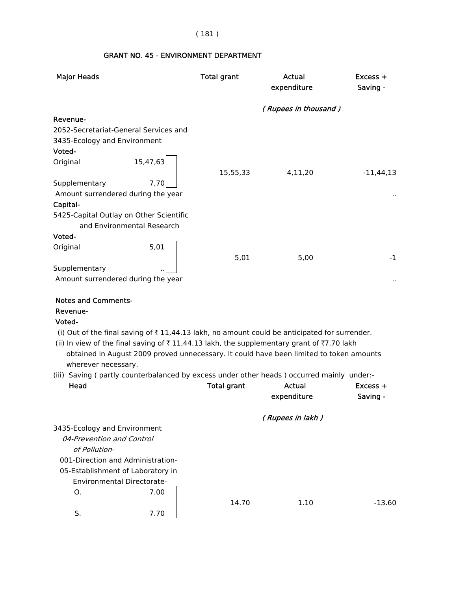# ( 181 )

# GRANT NO. 45 - ENVIRONMENT DEPARTMENT

| <b>Major Heads</b>                                                                                                                                                                              | <b>Total grant</b>                                                                                                                                                                                                                                                                               | <b>Actual</b><br>expenditure | $Excess +$<br>Saving - |
|-------------------------------------------------------------------------------------------------------------------------------------------------------------------------------------------------|--------------------------------------------------------------------------------------------------------------------------------------------------------------------------------------------------------------------------------------------------------------------------------------------------|------------------------------|------------------------|
|                                                                                                                                                                                                 |                                                                                                                                                                                                                                                                                                  | (Rupees in thousand)         |                        |
| Revenue-                                                                                                                                                                                        |                                                                                                                                                                                                                                                                                                  |                              |                        |
| 2052-Secretariat-General Services and                                                                                                                                                           |                                                                                                                                                                                                                                                                                                  |                              |                        |
| 3435-Ecology and Environment                                                                                                                                                                    |                                                                                                                                                                                                                                                                                                  |                              |                        |
| Voted-                                                                                                                                                                                          |                                                                                                                                                                                                                                                                                                  |                              |                        |
| 15,47,63<br>Original                                                                                                                                                                            | 15,55,33                                                                                                                                                                                                                                                                                         | 4,11,20                      | $-11,44,13$            |
| Supplementary                                                                                                                                                                                   | 7,70                                                                                                                                                                                                                                                                                             |                              |                        |
| Amount surrendered during the year                                                                                                                                                              |                                                                                                                                                                                                                                                                                                  |                              |                        |
| Capital-                                                                                                                                                                                        |                                                                                                                                                                                                                                                                                                  |                              |                        |
| 5425-Capital Outlay on Other Scientific<br>and Environmental Research                                                                                                                           |                                                                                                                                                                                                                                                                                                  |                              |                        |
| Voted-                                                                                                                                                                                          |                                                                                                                                                                                                                                                                                                  |                              |                        |
| Original                                                                                                                                                                                        | 5,01<br>5,01                                                                                                                                                                                                                                                                                     | 5,00                         | $-1$                   |
| Supplementary                                                                                                                                                                                   |                                                                                                                                                                                                                                                                                                  |                              |                        |
| Amount surrendered during the year                                                                                                                                                              |                                                                                                                                                                                                                                                                                                  |                              |                        |
| <b>Notes and Comments-</b><br>Revenue-<br>Voted-<br>wherever necessary.                                                                                                                         | (i) Out of the final saving of $\bar{\tau}$ 11,44.13 lakh, no amount could be anticipated for surrender.<br>(ii) In view of the final saving of ₹11,44.13 lakh, the supplementary grant of ₹7.70 lakh<br>obtained in August 2009 proved unnecessary. It could have been limited to token amounts |                              |                        |
| (iii) Saving (partly counterbalanced by excess under other heads) occurred mainly under:-                                                                                                       |                                                                                                                                                                                                                                                                                                  |                              |                        |
| Head                                                                                                                                                                                            | <b>Total grant</b>                                                                                                                                                                                                                                                                               | <b>Actual</b>                | Excess +               |
|                                                                                                                                                                                                 |                                                                                                                                                                                                                                                                                                  | expenditure                  | Saving -               |
|                                                                                                                                                                                                 |                                                                                                                                                                                                                                                                                                  | (Rupees in lakh)             |                        |
| 3435-Ecology and Environment<br>04-Prevention and Control<br>of Pollution-<br>001-Direction and Administration-<br>05-Establishment of Laboratory in<br><b>Environmental Directorate-</b><br>Ο. | 7.00                                                                                                                                                                                                                                                                                             |                              |                        |
| S.                                                                                                                                                                                              | 14.70<br>7.70                                                                                                                                                                                                                                                                                    | 1.10                         | $-13.60$               |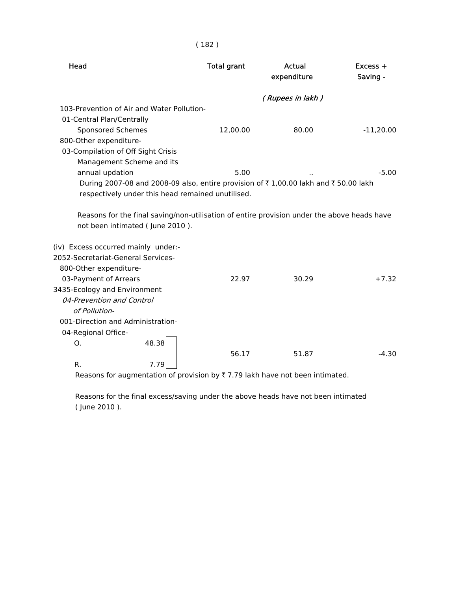| Head                                       |                                 | <b>Total grant</b>                                                                          | Actual<br>expenditure | $Excess +$<br>Saving - |
|--------------------------------------------|---------------------------------|---------------------------------------------------------------------------------------------|-----------------------|------------------------|
|                                            |                                 |                                                                                             | (Rupees in lakh)      |                        |
| 103-Prevention of Air and Water Pollution- |                                 |                                                                                             |                       |                        |
| 01-Central Plan/Centrally                  |                                 |                                                                                             |                       |                        |
| <b>Sponsored Schemes</b>                   |                                 | 12,00.00                                                                                    | 80.00                 | $-11,20.00$            |
| 800-Other expenditure-                     |                                 |                                                                                             |                       |                        |
| 03-Compilation of Off Sight Crisis         |                                 |                                                                                             |                       |                        |
|                                            | Management Scheme and its       |                                                                                             |                       |                        |
| annual updation                            |                                 | 5.00                                                                                        |                       | $-5.00$                |
|                                            |                                 | During 2007-08 and 2008-09 also, entire provision of ₹1,00.00 lakh and ₹50.00 lakh          |                       |                        |
|                                            |                                 | respectively under this head remained unutilised.                                           |                       |                        |
|                                            | not been intimated (June 2010). | Reasons for the final saving/non-utilisation of entire provision under the above heads have |                       |                        |
| (iv) Excess occurred mainly under:-        |                                 |                                                                                             |                       |                        |
| 2052-Secretariat-General Services-         |                                 |                                                                                             |                       |                        |
| 800-Other expenditure-                     |                                 |                                                                                             |                       |                        |
| 03-Payment of Arrears                      |                                 | 22.97                                                                                       | 30.29                 | $+7.32$                |
| 3435-Ecology and Environment               |                                 |                                                                                             |                       |                        |
| 04-Prevention and Control<br>of Pollution- |                                 |                                                                                             |                       |                        |
| 001-Direction and Administration-          |                                 |                                                                                             |                       |                        |
| 04-Regional Office-                        |                                 |                                                                                             |                       |                        |
| Ο.                                         | 48.38                           | 56.17                                                                                       | 51.87                 | $-4.30$                |
| R.                                         | 7.79                            |                                                                                             |                       |                        |
|                                            |                                 |                                                                                             |                       |                        |

Reasons for augmentation of provision by  $\bar{\tau}$  7.79 lakh have not been intimated.

 Reasons for the final excess/saving under the above heads have not been intimated ( June 2010 ).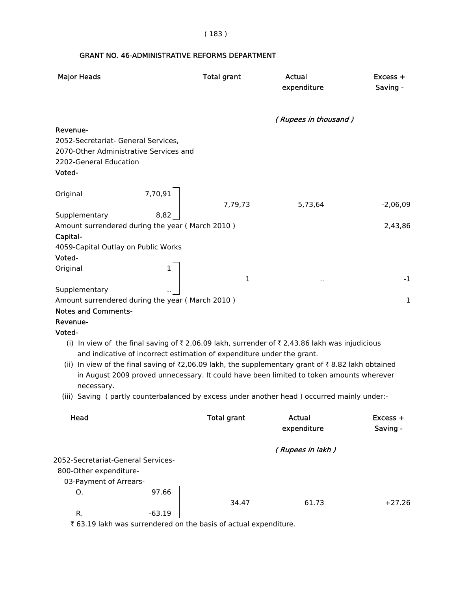( 183 )

# GRANT NO. 46-ADMINISTRATIVE REFORMS DEPARTMENT

| <b>Major Heads</b>                                                                                                            |          | <b>Total grant</b> | <b>Actual</b><br>expenditure                                                                                                                                                                 | $Excess +$<br>Saving - |
|-------------------------------------------------------------------------------------------------------------------------------|----------|--------------------|----------------------------------------------------------------------------------------------------------------------------------------------------------------------------------------------|------------------------|
|                                                                                                                               |          |                    | (Rupees in thousand)                                                                                                                                                                         |                        |
| Revenue-<br>2052-Secretariat- General Services,<br>2070-Other Administrative Services and<br>2202-General Education<br>Voted- |          |                    |                                                                                                                                                                                              |                        |
| Original                                                                                                                      | 7,70,91  | 7,79,73            | 5,73,64                                                                                                                                                                                      | $-2,06,09$             |
| Supplementary                                                                                                                 | 8,82     |                    |                                                                                                                                                                                              |                        |
| Amount surrendered during the year (March 2010)                                                                               |          |                    |                                                                                                                                                                                              | 2,43,86                |
| Capital-                                                                                                                      |          |                    |                                                                                                                                                                                              |                        |
| 4059-Capital Outlay on Public Works<br>Voted-                                                                                 |          |                    |                                                                                                                                                                                              |                        |
| Original                                                                                                                      |          |                    |                                                                                                                                                                                              |                        |
|                                                                                                                               |          | $\mathbf 1$        |                                                                                                                                                                                              | $-1$                   |
| Supplementary                                                                                                                 |          |                    |                                                                                                                                                                                              |                        |
| Amount surrendered during the year (March 2010)                                                                               |          |                    |                                                                                                                                                                                              | $\mathbf{1}$           |
| <b>Notes and Comments-</b>                                                                                                    |          |                    |                                                                                                                                                                                              |                        |
| Revenue-                                                                                                                      |          |                    |                                                                                                                                                                                              |                        |
| Voted-                                                                                                                        |          |                    |                                                                                                                                                                                              |                        |
| and indicative of incorrect estimation of expenditure under the grant.                                                        |          |                    | (i) In view of the final saving of ₹2,06.09 lakh, surrender of ₹2,43.86 lakh was injudicious                                                                                                 |                        |
| necessary.                                                                                                                    |          |                    | (ii) In view of the final saving of ₹2,06.09 lakh, the supplementary grant of ₹8.82 lakh obtained<br>in August 2009 proved unnecessary. It could have been limited to token amounts wherever |                        |
|                                                                                                                               |          |                    | (iii) Saving (partly counterbalanced by excess under another head) occurred mainly under:-                                                                                                   |                        |
| Head                                                                                                                          |          | <b>Total grant</b> | Actual<br>expenditure                                                                                                                                                                        | Excess +<br>Saving -   |
|                                                                                                                               |          |                    | (Rupees in lakh)                                                                                                                                                                             |                        |
| 2052-Secretariat-General Services-                                                                                            |          |                    |                                                                                                                                                                                              |                        |
| 800-Other expenditure-                                                                                                        |          |                    |                                                                                                                                                                                              |                        |
| 03-Payment of Arrears-                                                                                                        |          |                    |                                                                                                                                                                                              |                        |
| O.                                                                                                                            | 97.66    | 34.47              | 61.73                                                                                                                                                                                        | $+27.26$               |
| R.                                                                                                                            | $-63.19$ |                    |                                                                                                                                                                                              |                        |

₹ 63.19 lakh was surrendered on the basis of actual expenditure.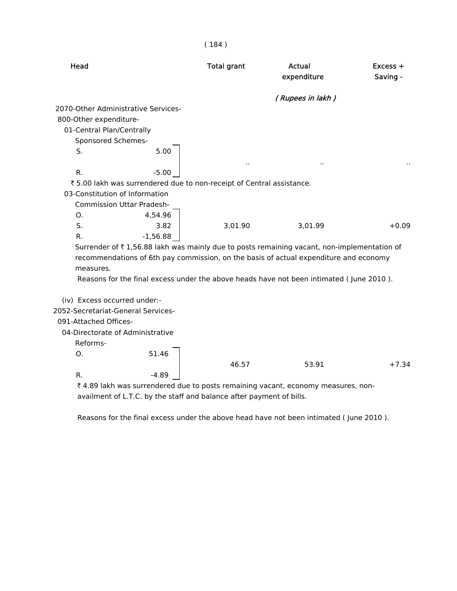#### ( 184 )

| Head                                |                                  | <b>Total grant</b>                                                    | Actual<br>expenditure                                                                      | $Excess +$<br>Saving - |
|-------------------------------------|----------------------------------|-----------------------------------------------------------------------|--------------------------------------------------------------------------------------------|------------------------|
|                                     |                                  |                                                                       | (Rupees in lakh)                                                                           |                        |
| 2070-Other Administrative Services- |                                  |                                                                       |                                                                                            |                        |
| 800-Other expenditure-              |                                  |                                                                       |                                                                                            |                        |
| 01-Central Plan/Centrally           |                                  |                                                                       |                                                                                            |                        |
| Sponsored Schemes-                  |                                  |                                                                       |                                                                                            |                        |
| S.                                  | 5.00                             |                                                                       |                                                                                            |                        |
| R.                                  | $-5.00$                          |                                                                       |                                                                                            |                        |
|                                     |                                  | ₹ 5.00 lakh was surrendered due to non-receipt of Central assistance. |                                                                                            |                        |
| 03-Constitution of Information      |                                  |                                                                       |                                                                                            |                        |
|                                     | <b>Commission Uttar Pradesh-</b> |                                                                       |                                                                                            |                        |
| O <sub>1</sub>                      | 4,54.96                          |                                                                       |                                                                                            |                        |
| S.                                  | 3.82                             | 3,01.90                                                               | 3,01.99                                                                                    | $+0.09$                |
| R.                                  | $-1,56.88$                       |                                                                       |                                                                                            |                        |
|                                     |                                  |                                                                       | Surrender of ₹1,56.88 lakh was mainly due to posts remaining vacant, non-implementation of |                        |
|                                     |                                  |                                                                       | recommendations of 6th pay commission, on the basis of actual expenditure and economy      |                        |
| measures.                           |                                  |                                                                       |                                                                                            |                        |
|                                     |                                  |                                                                       | Reasons for the final excess under the above heads have not been intimated (June 2010).    |                        |
|                                     |                                  |                                                                       |                                                                                            |                        |
| (iv) Excess occurred under:-        |                                  |                                                                       |                                                                                            |                        |
| 2052-Secretariat-General Services-  |                                  |                                                                       |                                                                                            |                        |
| 091-Attached Offices-               |                                  |                                                                       |                                                                                            |                        |
| 04-Directorate of Administrative    |                                  |                                                                       |                                                                                            |                        |
| Reforms-                            |                                  |                                                                       |                                                                                            |                        |
| O <sub>1</sub>                      | 51.46                            |                                                                       |                                                                                            |                        |
|                                     |                                  | 46.57                                                                 | 53.91                                                                                      | $+7.34$                |
| R.                                  | $-4.89$                          |                                                                       |                                                                                            |                        |
| F A O O L L                         | ndarad dua ta naat               |                                                                       |                                                                                            |                        |

₹4.89 lakh was surrendered due to posts remaining vacant, economy measures, nonavailment of L.T.C. by the staff and balance after payment of bills.

Reasons for the final excess under the above head have not been intimated ( June 2010 ).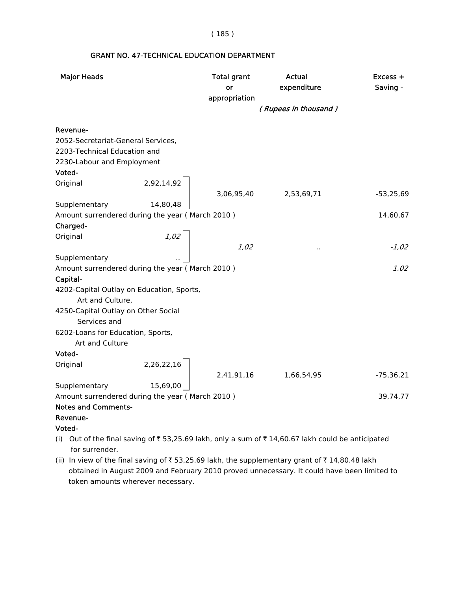( 185 )

# Major Heads **Total grant** Actual **Actual Excess +** or expenditure Saving appropriation ( Rupees in thousand ) Revenue- 2052-Secretariat-General Services, 2203-Technical Education and 2230-Labour and Employment Voted- Original 2,92,14,92 3,06,95,40 2,53,69,71 -53,25,69 Supplementary 14,80,48 Amount surrendered during the year (March 2010 ) 14,60,67 Charged- Original 2,02 1,02 .. -1,02 Supplementary Amount surrendered during the year (March 2010 ) 4.02 Capital- 4202-Capital Outlay on Education, Sports, Art and Culture, 4250-Capital Outlay on Other Social Services and 6202-Loans for Education, Sports, Art and Culture Voted- Original 2,26,22,16 2,41,91,16 1,66,54,95 -75,36,21 Supplementary 15,69,00 Amount surrendered during the year (March 2010 ) 39,74,77 Notes and Comments- Revenue- Voted- (i) Out of the final saving of  $\overline{5}$  53,25.69 lakh, only a sum of  $\overline{5}$  14,60.67 lakh could be anticipated for surrender.

#### GRANT NO. 47-TECHNICAL EDUCATION DEPARTMENT

(ii) In view of the final saving of  $\bar{\tau}$  53,25.69 lakh, the supplementary grant of  $\bar{\tau}$  14,80.48 lakh obtained in August 2009 and February 2010 proved unnecessary. It could have been limited to token amounts wherever necessary.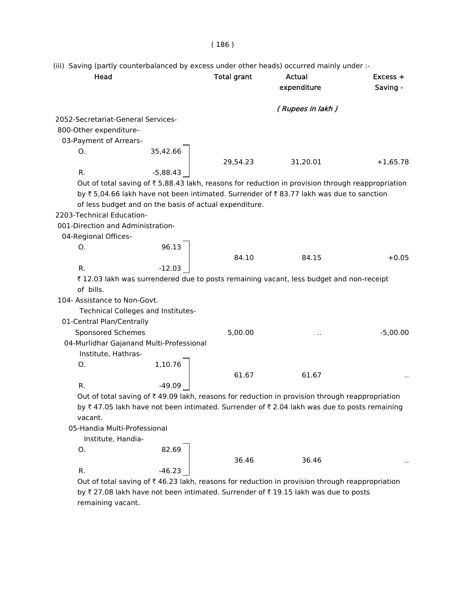(iii) Saving (partly counterbalanced by excess under other heads) occurred mainly under :-

| Head                                     |                                                        | <b>Total grant</b> | Actual<br>expenditure                                                                                             | Excess +<br>Saving - |
|------------------------------------------|--------------------------------------------------------|--------------------|-------------------------------------------------------------------------------------------------------------------|----------------------|
|                                          |                                                        |                    | (Rupees in lakh)                                                                                                  |                      |
| 2052-Secretariat-General Services-       |                                                        |                    |                                                                                                                   |                      |
| 800-Other expenditure-                   |                                                        |                    |                                                                                                                   |                      |
| 03-Payment of Arrears-                   |                                                        |                    |                                                                                                                   |                      |
| 0.                                       | 35,42.66                                               |                    |                                                                                                                   |                      |
|                                          |                                                        | 29,54.23           | 31,20.01                                                                                                          | $+1,65.78$           |
| R.                                       | $-5,88.43$                                             |                    |                                                                                                                   |                      |
|                                          |                                                        |                    | Out of total saving of $\overline{\tau}$ 5,88.43 lakh, reasons for reduction in provision through reappropriation |                      |
|                                          |                                                        |                    | by ₹5,04.66 lakh have not been intimated. Surrender of ₹83.77 lakh was due to sanction                            |                      |
|                                          | of less budget and on the basis of actual expenditure. |                    |                                                                                                                   |                      |
| 2203-Technical Education-                |                                                        |                    |                                                                                                                   |                      |
| 001-Direction and Administration-        |                                                        |                    |                                                                                                                   |                      |
| 04-Regional Offices-                     |                                                        |                    |                                                                                                                   |                      |
| О.                                       | 96.13                                                  |                    |                                                                                                                   |                      |
|                                          |                                                        | 84.10              | 84.15                                                                                                             | $+0.05$              |
| R.                                       | $-12.03$                                               |                    |                                                                                                                   |                      |
| of bills.                                |                                                        |                    | ₹12.03 lakh was surrendered due to posts remaining vacant, less budget and non-receipt                            |                      |
| 104- Assistance to Non-Govt.             |                                                        |                    |                                                                                                                   |                      |
|                                          | Technical Colleges and Institutes-                     |                    |                                                                                                                   |                      |
| 01-Central Plan/Centrally                |                                                        |                    |                                                                                                                   |                      |
| Sponsored Schemes                        |                                                        | 5,00.00            |                                                                                                                   | $-5,00.00$           |
| 04-Murlidhar Gajanand Multi-Professional |                                                        |                    |                                                                                                                   |                      |
| Institute, Hathras-                      |                                                        |                    |                                                                                                                   |                      |
| Ο.                                       | 1,10.76                                                |                    |                                                                                                                   |                      |
|                                          |                                                        | 61.67              | 61.67                                                                                                             |                      |
| R.                                       | $-49.09$                                               |                    |                                                                                                                   |                      |
|                                          |                                                        |                    | Out of total saving of ₹49.09 lakh, reasons for reduction in provision through reappropriation                    |                      |
|                                          |                                                        |                    | by ₹47.05 lakh have not been intimated. Surrender of ₹2.04 lakh was due to posts remaining                        |                      |
| vacant.                                  |                                                        |                    |                                                                                                                   |                      |
| 05-Handia Multi-Professional             |                                                        |                    |                                                                                                                   |                      |
| Institute, Handia-                       |                                                        |                    |                                                                                                                   |                      |
| Ο.                                       | 82.69                                                  |                    |                                                                                                                   |                      |
|                                          |                                                        | 36.46              | 36.46                                                                                                             |                      |
| R.                                       | -46.23                                                 |                    |                                                                                                                   |                      |
|                                          |                                                        |                    |                                                                                                                   |                      |

Out of total saving of  $\bar{\tau}$  46.23 lakh, reasons for reduction in provision through reappropriation by ₹ 27.08 lakh have not been intimated. Surrender of ₹ 19.15 lakh was due to posts remaining vacant.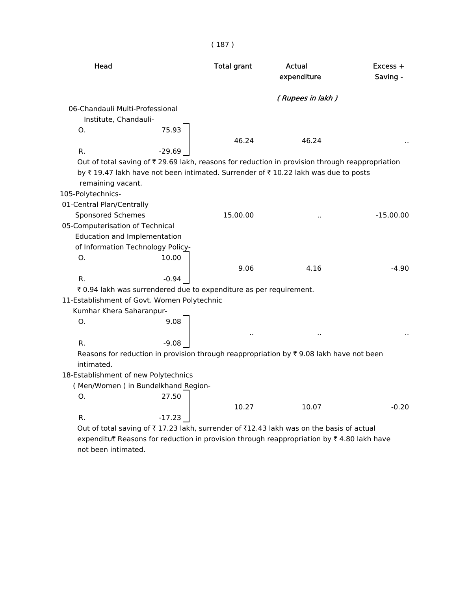| Head                                                                                            | <b>Total grant</b> | <b>Actual</b><br>expenditure | Excess +<br>Saving - |
|-------------------------------------------------------------------------------------------------|--------------------|------------------------------|----------------------|
|                                                                                                 |                    | (Rupees in lakh)             |                      |
| 06-Chandauli Multi-Professional                                                                 |                    |                              |                      |
| Institute, Chandauli-                                                                           |                    |                              |                      |
| 75.93<br>O.                                                                                     |                    |                              |                      |
|                                                                                                 | 46.24              | 46.24                        |                      |
| R.<br>$-29.69$                                                                                  |                    |                              |                      |
| Out of total saving of ₹ 29.69 lakh, reasons for reduction in provision through reappropriation |                    |                              |                      |
| by ₹19.47 lakh have not been intimated. Surrender of ₹10.22 lakh was due to posts               |                    |                              |                      |
| remaining vacant.                                                                               |                    |                              |                      |
| 105-Polytechnics-                                                                               |                    |                              |                      |
| 01-Central Plan/Centrally                                                                       |                    |                              |                      |
| Sponsored Schemes                                                                               | 15,00.00           |                              | $-15,00.00$          |
| 05-Computerisation of Technical                                                                 |                    |                              |                      |
| Education and Implementation                                                                    |                    |                              |                      |
| of Information Technology Policy-                                                               |                    |                              |                      |
| 0.<br>10.00                                                                                     |                    |                              |                      |
|                                                                                                 | 9.06               | 4.16                         | $-4.90$              |
| R.<br>$-0.94$                                                                                   |                    |                              |                      |
| ₹ 0.94 lakh was surrendered due to expenditure as per requirement.                              |                    |                              |                      |
| 11-Establishment of Govt. Women Polytechnic                                                     |                    |                              |                      |
| Kumhar Khera Saharanpur-                                                                        |                    |                              |                      |
| O.<br>9.08                                                                                      |                    |                              |                      |
|                                                                                                 |                    |                              |                      |
| R.<br>$-9.08$                                                                                   |                    |                              |                      |
| Reasons for reduction in provision through reappropriation by ₹ 9.08 lakh have not been         |                    |                              |                      |
| intimated.                                                                                      |                    |                              |                      |
| 18-Establishment of new Polytechnics                                                            |                    |                              |                      |
| (Men/Women) in Bundelkhand Region-                                                              |                    |                              |                      |
| 27.50<br>Ο.                                                                                     |                    |                              |                      |
|                                                                                                 | 10.27              | 10.07                        | $-0.20$              |
| R.<br>-17.23                                                                                    |                    |                              |                      |
| Out of total saving of ₹17.23 lakh, surrender of ₹12.43 lakh was on the basis of actual         |                    |                              |                      |

expenditu $\bar{\tau}$  Reasons for reduction in provision through reappropriation by  $\bar{\tau}$  4.80 lakh have not been intimated.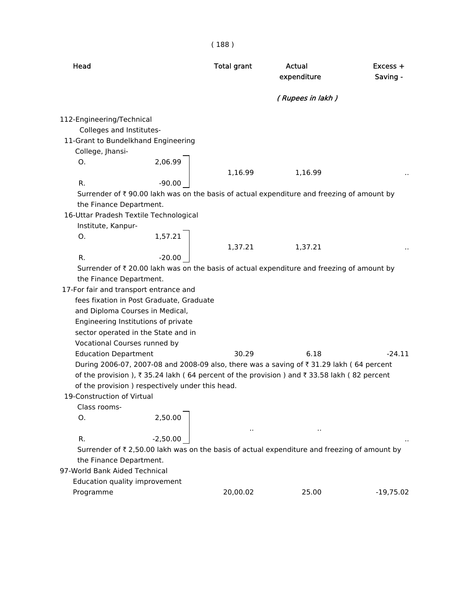|                                        |                                                 | (188)              |                                                                                                       |                        |
|----------------------------------------|-------------------------------------------------|--------------------|-------------------------------------------------------------------------------------------------------|------------------------|
| Head                                   |                                                 | <b>Total grant</b> | Actual<br>expenditure                                                                                 | $Excess +$<br>Saving - |
|                                        |                                                 |                    | (Rupees in lakh)                                                                                      |                        |
| 112-Engineering/Technical              |                                                 |                    |                                                                                                       |                        |
| Colleges and Institutes-               |                                                 |                    |                                                                                                       |                        |
| 11-Grant to Bundelkhand Engineering    |                                                 |                    |                                                                                                       |                        |
| College, Jhansi-                       |                                                 |                    |                                                                                                       |                        |
| O.                                     | 2,06.99                                         |                    |                                                                                                       |                        |
|                                        |                                                 | 1,16.99            | 1,16.99                                                                                               |                        |
| R.                                     | $-90.00$                                        |                    |                                                                                                       |                        |
|                                        |                                                 |                    | Surrender of ₹90.00 lakh was on the basis of actual expenditure and freezing of amount by             |                        |
| the Finance Department.                |                                                 |                    |                                                                                                       |                        |
|                                        | 16-Uttar Pradesh Textile Technological          |                    |                                                                                                       |                        |
| Institute, Kanpur-                     |                                                 |                    |                                                                                                       |                        |
| О.                                     | 1,57.21                                         |                    |                                                                                                       |                        |
|                                        |                                                 | 1,37.21            | 1,37.21                                                                                               |                        |
| R.                                     | $-20.00$                                        |                    |                                                                                                       |                        |
|                                        |                                                 |                    | Surrender of $\bar{\tau}$ 20.00 lakh was on the basis of actual expenditure and freezing of amount by |                        |
| the Finance Department.                |                                                 |                    |                                                                                                       |                        |
| 17-For fair and transport entrance and |                                                 |                    |                                                                                                       |                        |
|                                        | fees fixation in Post Graduate, Graduate        |                    |                                                                                                       |                        |
|                                        | and Diploma Courses in Medical,                 |                    |                                                                                                       |                        |
|                                        | Engineering Institutions of private             |                    |                                                                                                       |                        |
|                                        | sector operated in the State and in             |                    |                                                                                                       |                        |
| Vocational Courses runned by           |                                                 |                    |                                                                                                       |                        |
| <b>Education Department</b>            |                                                 | 30.29              | 6.18                                                                                                  | $-24.11$               |
|                                        |                                                 |                    | During 2006-07, 2007-08 and 2008-09 also, there was a saving of ₹31.29 lakh (64 percent               |                        |
|                                        |                                                 |                    | of the provision), ₹35.24 lakh (64 percent of the provision) and ₹33.58 lakh (82 percent              |                        |
|                                        | of the provision) respectively under this head. |                    |                                                                                                       |                        |
| 19-Construction of Virtual             |                                                 |                    |                                                                                                       |                        |
| Class rooms-                           |                                                 |                    |                                                                                                       |                        |
| Ο.                                     | 2,50.00                                         |                    |                                                                                                       |                        |
|                                        |                                                 |                    |                                                                                                       |                        |
| R.                                     | $-2,50.00$                                      |                    |                                                                                                       |                        |
|                                        |                                                 |                    | Surrender of ₹ 2,50.00 lakh was on the basis of actual expenditure and freezing of amount by          |                        |
| the Finance Department.                |                                                 |                    |                                                                                                       |                        |
| 97-World Bank Aided Technical          |                                                 |                    |                                                                                                       |                        |
| Education quality improvement          |                                                 |                    |                                                                                                       |                        |
| Programme                              |                                                 | 20,00.02           | 25.00                                                                                                 | $-19,75.02$            |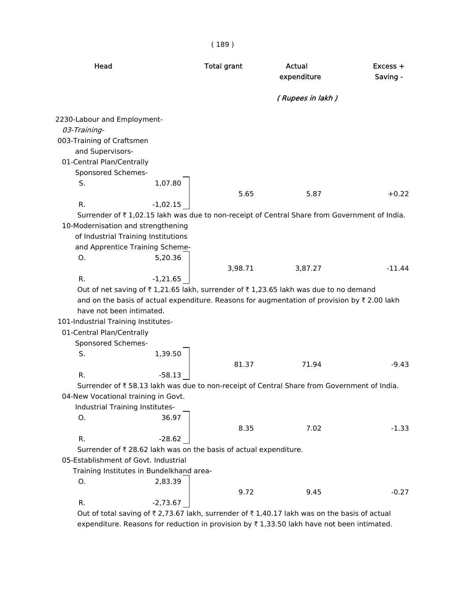| Head                                     |            | <b>Total grant</b>                                                | <b>Actual</b><br>expenditure                                                                                  | Excess +<br>Saving - |
|------------------------------------------|------------|-------------------------------------------------------------------|---------------------------------------------------------------------------------------------------------------|----------------------|
|                                          |            |                                                                   | (Rupees in lakh)                                                                                              |                      |
| 2230-Labour and Employment-              |            |                                                                   |                                                                                                               |                      |
| 03-Training-                             |            |                                                                   |                                                                                                               |                      |
| 003-Training of Craftsmen                |            |                                                                   |                                                                                                               |                      |
| and Supervisors-                         |            |                                                                   |                                                                                                               |                      |
| 01-Central Plan/Centrally                |            |                                                                   |                                                                                                               |                      |
| Sponsored Schemes-                       |            |                                                                   |                                                                                                               |                      |
| S.                                       | 1,07.80    |                                                                   |                                                                                                               |                      |
|                                          |            | 5.65                                                              | 5.87                                                                                                          | $+0.22$              |
| R.                                       | $-1,02.15$ |                                                                   |                                                                                                               |                      |
|                                          |            |                                                                   | Surrender of ₹1,02.15 lakh was due to non-receipt of Central Share from Government of India.                  |                      |
| 10-Modernisation and strengthening       |            |                                                                   |                                                                                                               |                      |
| of Industrial Training Institutions      |            |                                                                   |                                                                                                               |                      |
| and Apprentice Training Scheme-          |            |                                                                   |                                                                                                               |                      |
| O.                                       | 5,20.36    |                                                                   |                                                                                                               |                      |
|                                          |            | 3,98.71                                                           | 3,87.27                                                                                                       | $-11.44$             |
| R.                                       | $-1,21.65$ |                                                                   |                                                                                                               |                      |
|                                          |            |                                                                   | Out of net saving of ₹1,21.65 lakh, surrender of ₹1,23.65 lakh was due to no demand                           |                      |
|                                          |            |                                                                   | and on the basis of actual expenditure. Reasons for augmentation of provision by ₹ 2.00 lakh                  |                      |
| have not been intimated.                 |            |                                                                   |                                                                                                               |                      |
| 101-Industrial Training Institutes-      |            |                                                                   |                                                                                                               |                      |
| 01-Central Plan/Centrally                |            |                                                                   |                                                                                                               |                      |
| Sponsored Schemes-<br>S.                 | 1,39.50    |                                                                   |                                                                                                               |                      |
|                                          |            | 81.37                                                             | 71.94                                                                                                         | $-9.43$              |
| R.                                       | $-58.13$   |                                                                   |                                                                                                               |                      |
|                                          |            |                                                                   | Surrender of ₹58.13 lakh was due to non-receipt of Central Share from Government of India.                    |                      |
| 04-New Vocational training in Govt.      |            |                                                                   |                                                                                                               |                      |
| Industrial Training Institutes-          |            |                                                                   |                                                                                                               |                      |
| О.                                       | 36.97      |                                                                   |                                                                                                               |                      |
|                                          |            | 8.35                                                              | 7.02                                                                                                          | $-1.33$              |
| R.                                       | $-28.62$   |                                                                   |                                                                                                               |                      |
|                                          |            | Surrender of ₹ 28.62 lakh was on the basis of actual expenditure. |                                                                                                               |                      |
| 05-Establishment of Govt. Industrial     |            |                                                                   |                                                                                                               |                      |
| Training Institutes in Bundelkhand area- |            |                                                                   |                                                                                                               |                      |
| О.                                       | 2,83.39    |                                                                   |                                                                                                               |                      |
|                                          |            | 9.72                                                              | 9.45                                                                                                          | $-0.27$              |
| R.                                       | $-2,73.67$ |                                                                   |                                                                                                               |                      |
|                                          |            |                                                                   | Out of total saving of $\bar{z}$ 2.73.67 lakh, surrender of $\bar{z}$ 1.40.17 lakh was on the basis of actual |                      |

Out of total saving of  $\bar{\tau}$  2,73.67 lakh, surrender of  $\bar{\tau}$  1,40.17 lakh was on the basis of actual expenditure. Reasons for reduction in provision by  $\bar{\tau}$  1,33.50 lakh have not been intimated.

( 189 )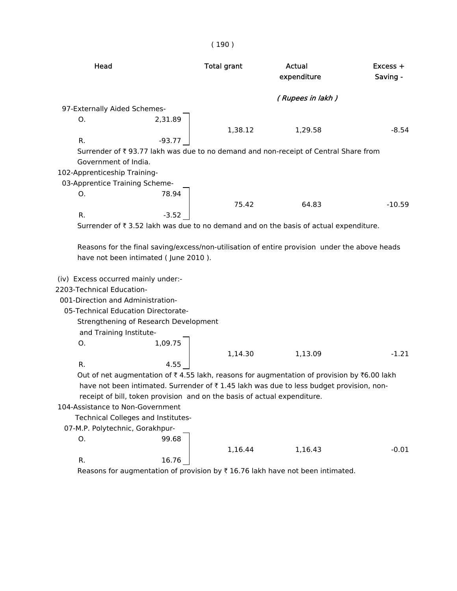|                                                                                                                                                                               |                                                                                          | (190)                                                                    |                                                                                                                                                                                       |                        |
|-------------------------------------------------------------------------------------------------------------------------------------------------------------------------------|------------------------------------------------------------------------------------------|--------------------------------------------------------------------------|---------------------------------------------------------------------------------------------------------------------------------------------------------------------------------------|------------------------|
| Head                                                                                                                                                                          |                                                                                          | <b>Total grant</b>                                                       | <b>Actual</b><br>expenditure                                                                                                                                                          | $Excess +$<br>Saving - |
|                                                                                                                                                                               |                                                                                          |                                                                          | (Rupees in lakh)                                                                                                                                                                      |                        |
| 97-Externally Aided Schemes-                                                                                                                                                  |                                                                                          |                                                                          |                                                                                                                                                                                       |                        |
| О.                                                                                                                                                                            | 2,31.89                                                                                  |                                                                          |                                                                                                                                                                                       |                        |
|                                                                                                                                                                               |                                                                                          | 1,38.12                                                                  | 1,29.58                                                                                                                                                                               | $-8.54$                |
| R.                                                                                                                                                                            | $-93.77$                                                                                 |                                                                          |                                                                                                                                                                                       |                        |
|                                                                                                                                                                               |                                                                                          |                                                                          | Surrender of ₹ 93.77 lakh was due to no demand and non-receipt of Central Share from                                                                                                  |                        |
| Government of India.                                                                                                                                                          |                                                                                          |                                                                          |                                                                                                                                                                                       |                        |
| 102-Apprenticeship Training-                                                                                                                                                  |                                                                                          |                                                                          |                                                                                                                                                                                       |                        |
| 03-Apprentice Training Scheme-<br>О.                                                                                                                                          | 78.94                                                                                    |                                                                          |                                                                                                                                                                                       |                        |
|                                                                                                                                                                               |                                                                                          | 75.42                                                                    | 64.83                                                                                                                                                                                 | $-10.59$               |
| R.                                                                                                                                                                            | $-3.52$                                                                                  |                                                                          |                                                                                                                                                                                       |                        |
|                                                                                                                                                                               |                                                                                          |                                                                          | Surrender of ₹3.52 lakh was due to no demand and on the basis of actual expenditure.                                                                                                  |                        |
| (iv) Excess occurred mainly under:-<br>2203-Technical Education-<br>001-Direction and Administration-<br>05-Technical Education Directorate-<br>and Training Institute-<br>О. | have not been intimated (June 2010).<br>Strengthening of Research Development<br>1,09.75 |                                                                          | Reasons for the final saving/excess/non-utilisation of entire provision under the above heads                                                                                         |                        |
|                                                                                                                                                                               |                                                                                          | 1,14.30                                                                  | 1,13.09                                                                                                                                                                               | $-1.21$                |
| R.                                                                                                                                                                            | 4.55                                                                                     |                                                                          |                                                                                                                                                                                       |                        |
| 104-Assistance to Non-Government<br>07-M.P. Polytechnic, Gorakhpur-                                                                                                           | Technical Colleges and Institutes-                                                       | receipt of bill, token provision and on the basis of actual expenditure. | Out of net augmentation of ₹4.55 lakh, reasons for augmentation of provision by ₹6.00 lakh<br>have not been intimated. Surrender of ₹1.45 lakh was due to less budget provision, non- |                        |
| О.                                                                                                                                                                            | 99.68                                                                                    |                                                                          |                                                                                                                                                                                       |                        |
|                                                                                                                                                                               |                                                                                          | 1,16.44                                                                  | 1,16.43                                                                                                                                                                               | $-0.01$                |
| R.                                                                                                                                                                            | 16.76                                                                                    |                                                                          |                                                                                                                                                                                       |                        |

Reasons for augmentation of provision by  $\bar{\tau}$  16.76 lakh have not been intimated.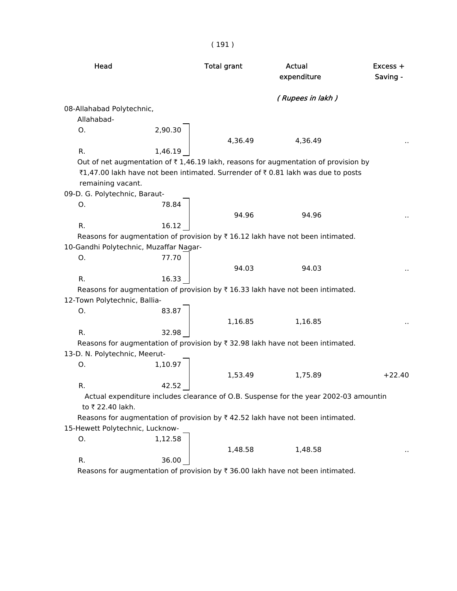| Head                                   |         | <b>Total grant</b> | Actual<br>expenditure                                                                               | Excess +<br>Saving - |
|----------------------------------------|---------|--------------------|-----------------------------------------------------------------------------------------------------|----------------------|
|                                        |         |                    | (Rupees in lakh)                                                                                    |                      |
| 08-Allahabad Polytechnic,              |         |                    |                                                                                                     |                      |
| Allahabad-                             |         |                    |                                                                                                     |                      |
| O.                                     | 2,90.30 | 4,36.49            | 4,36.49                                                                                             |                      |
| R.                                     | 1,46.19 |                    |                                                                                                     |                      |
|                                        |         |                    | Out of net augmentation of $\overline{\tau}$ 1,46.19 lakh, reasons for augmentation of provision by |                      |
|                                        |         |                    | ₹1,47.00 lakh have not been intimated. Surrender of ₹0.81 lakh was due to posts                     |                      |
| remaining vacant.                      |         |                    |                                                                                                     |                      |
| 09-D. G. Polytechnic, Baraut-          |         |                    |                                                                                                     |                      |
| O.                                     | 78.84   |                    |                                                                                                     |                      |
|                                        |         | 94.96              | 94.96                                                                                               |                      |
| R.                                     | 16.12   |                    |                                                                                                     |                      |
|                                        |         |                    | Reasons for augmentation of provision by $\bar{\tau}$ 16.12 lakh have not been intimated.           |                      |
| 10-Gandhi Polytechnic, Muzaffar Nagar- |         |                    |                                                                                                     |                      |
| О.                                     | 77.70   |                    |                                                                                                     |                      |
|                                        |         | 94.03              | 94.03                                                                                               |                      |
| R.                                     | 16.33   |                    |                                                                                                     |                      |
|                                        |         |                    | Reasons for augmentation of provision by ₹ 16.33 lakh have not been intimated.                      |                      |
| 12-Town Polytechnic, Ballia-           |         |                    |                                                                                                     |                      |
| O.                                     | 83.87   |                    |                                                                                                     |                      |
|                                        |         | 1,16.85            | 1,16.85                                                                                             |                      |
| R.                                     | 32.98   |                    |                                                                                                     |                      |
|                                        |         |                    | Reasons for augmentation of provision by ₹ 32.98 lakh have not been intimated.                      |                      |
| 13-D. N. Polytechnic, Meerut-          |         |                    |                                                                                                     |                      |
| 0.                                     | 1,10.97 |                    |                                                                                                     |                      |
|                                        |         | 1,53.49            | 1,75.89                                                                                             | $+22.40$             |
| R.                                     | 42.52   |                    |                                                                                                     |                      |
|                                        |         |                    | Actual expenditure includes clearance of O.B. Suspense for the year 2002-03 amountin                |                      |
| to ₹ 22.40 lakh.                       |         |                    |                                                                                                     |                      |
|                                        |         |                    | Reasons for augmentation of provision by $\bar{\tau}$ 42.52 lakh have not been intimated.           |                      |
| 15-Hewett Polytechnic, Lucknow-        |         |                    |                                                                                                     |                      |
| О.                                     | 1,12.58 |                    |                                                                                                     |                      |
|                                        |         | 1,48.58            | 1,48.58                                                                                             |                      |
| R.                                     | 36.00   |                    |                                                                                                     |                      |
|                                        |         |                    | Reasons for augmentation of provision by ₹ 36.00 lakh have not been intimated.                      |                      |

( 191 )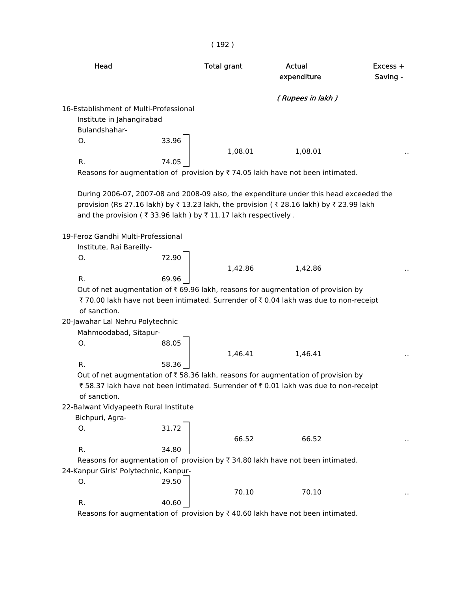|                                                | (192)                                                                                                                                                                                                 |                                                                                                                |                                                                                                                                                                                                                                                                                                                                                                                                                                                                                                                                                                                                                                                                                                                                                      |
|------------------------------------------------|-------------------------------------------------------------------------------------------------------------------------------------------------------------------------------------------------------|----------------------------------------------------------------------------------------------------------------|------------------------------------------------------------------------------------------------------------------------------------------------------------------------------------------------------------------------------------------------------------------------------------------------------------------------------------------------------------------------------------------------------------------------------------------------------------------------------------------------------------------------------------------------------------------------------------------------------------------------------------------------------------------------------------------------------------------------------------------------------|
|                                                | <b>Total grant</b>                                                                                                                                                                                    | <b>Actual</b><br>expenditure                                                                                   | Excess +<br>Saving -                                                                                                                                                                                                                                                                                                                                                                                                                                                                                                                                                                                                                                                                                                                                 |
|                                                |                                                                                                                                                                                                       | (Rupees in lakh)                                                                                               |                                                                                                                                                                                                                                                                                                                                                                                                                                                                                                                                                                                                                                                                                                                                                      |
|                                                |                                                                                                                                                                                                       |                                                                                                                |                                                                                                                                                                                                                                                                                                                                                                                                                                                                                                                                                                                                                                                                                                                                                      |
|                                                |                                                                                                                                                                                                       |                                                                                                                |                                                                                                                                                                                                                                                                                                                                                                                                                                                                                                                                                                                                                                                                                                                                                      |
|                                                |                                                                                                                                                                                                       |                                                                                                                |                                                                                                                                                                                                                                                                                                                                                                                                                                                                                                                                                                                                                                                                                                                                                      |
|                                                |                                                                                                                                                                                                       |                                                                                                                |                                                                                                                                                                                                                                                                                                                                                                                                                                                                                                                                                                                                                                                                                                                                                      |
|                                                |                                                                                                                                                                                                       |                                                                                                                |                                                                                                                                                                                                                                                                                                                                                                                                                                                                                                                                                                                                                                                                                                                                                      |
|                                                |                                                                                                                                                                                                       |                                                                                                                |                                                                                                                                                                                                                                                                                                                                                                                                                                                                                                                                                                                                                                                                                                                                                      |
|                                                |                                                                                                                                                                                                       |                                                                                                                |                                                                                                                                                                                                                                                                                                                                                                                                                                                                                                                                                                                                                                                                                                                                                      |
|                                                |                                                                                                                                                                                                       |                                                                                                                |                                                                                                                                                                                                                                                                                                                                                                                                                                                                                                                                                                                                                                                                                                                                                      |
|                                                |                                                                                                                                                                                                       |                                                                                                                |                                                                                                                                                                                                                                                                                                                                                                                                                                                                                                                                                                                                                                                                                                                                                      |
|                                                |                                                                                                                                                                                                       |                                                                                                                |                                                                                                                                                                                                                                                                                                                                                                                                                                                                                                                                                                                                                                                                                                                                                      |
|                                                |                                                                                                                                                                                                       |                                                                                                                |                                                                                                                                                                                                                                                                                                                                                                                                                                                                                                                                                                                                                                                                                                                                                      |
|                                                |                                                                                                                                                                                                       |                                                                                                                |                                                                                                                                                                                                                                                                                                                                                                                                                                                                                                                                                                                                                                                                                                                                                      |
|                                                |                                                                                                                                                                                                       |                                                                                                                |                                                                                                                                                                                                                                                                                                                                                                                                                                                                                                                                                                                                                                                                                                                                                      |
|                                                |                                                                                                                                                                                                       |                                                                                                                |                                                                                                                                                                                                                                                                                                                                                                                                                                                                                                                                                                                                                                                                                                                                                      |
|                                                |                                                                                                                                                                                                       |                                                                                                                |                                                                                                                                                                                                                                                                                                                                                                                                                                                                                                                                                                                                                                                                                                                                                      |
|                                                |                                                                                                                                                                                                       |                                                                                                                |                                                                                                                                                                                                                                                                                                                                                                                                                                                                                                                                                                                                                                                                                                                                                      |
|                                                |                                                                                                                                                                                                       |                                                                                                                |                                                                                                                                                                                                                                                                                                                                                                                                                                                                                                                                                                                                                                                                                                                                                      |
| 88.05                                          |                                                                                                                                                                                                       |                                                                                                                |                                                                                                                                                                                                                                                                                                                                                                                                                                                                                                                                                                                                                                                                                                                                                      |
|                                                | 1,46.41                                                                                                                                                                                               | 1,46.41                                                                                                        |                                                                                                                                                                                                                                                                                                                                                                                                                                                                                                                                                                                                                                                                                                                                                      |
| 58.36                                          |                                                                                                                                                                                                       |                                                                                                                |                                                                                                                                                                                                                                                                                                                                                                                                                                                                                                                                                                                                                                                                                                                                                      |
|                                                |                                                                                                                                                                                                       |                                                                                                                |                                                                                                                                                                                                                                                                                                                                                                                                                                                                                                                                                                                                                                                                                                                                                      |
|                                                |                                                                                                                                                                                                       |                                                                                                                |                                                                                                                                                                                                                                                                                                                                                                                                                                                                                                                                                                                                                                                                                                                                                      |
|                                                |                                                                                                                                                                                                       |                                                                                                                |                                                                                                                                                                                                                                                                                                                                                                                                                                                                                                                                                                                                                                                                                                                                                      |
|                                                |                                                                                                                                                                                                       |                                                                                                                |                                                                                                                                                                                                                                                                                                                                                                                                                                                                                                                                                                                                                                                                                                                                                      |
|                                                |                                                                                                                                                                                                       |                                                                                                                |                                                                                                                                                                                                                                                                                                                                                                                                                                                                                                                                                                                                                                                                                                                                                      |
|                                                |                                                                                                                                                                                                       |                                                                                                                |                                                                                                                                                                                                                                                                                                                                                                                                                                                                                                                                                                                                                                                                                                                                                      |
|                                                |                                                                                                                                                                                                       |                                                                                                                |                                                                                                                                                                                                                                                                                                                                                                                                                                                                                                                                                                                                                                                                                                                                                      |
|                                                |                                                                                                                                                                                                       |                                                                                                                |                                                                                                                                                                                                                                                                                                                                                                                                                                                                                                                                                                                                                                                                                                                                                      |
| 34.80                                          |                                                                                                                                                                                                       |                                                                                                                |                                                                                                                                                                                                                                                                                                                                                                                                                                                                                                                                                                                                                                                                                                                                                      |
|                                                |                                                                                                                                                                                                       | Reasons for augmentation of provision by $\overline{\xi}$ 34.80 lakh have not been intimated.                  |                                                                                                                                                                                                                                                                                                                                                                                                                                                                                                                                                                                                                                                                                                                                                      |
| 24-Kanpur Girls' Polytechnic, Kanpur-<br>29.50 |                                                                                                                                                                                                       |                                                                                                                |                                                                                                                                                                                                                                                                                                                                                                                                                                                                                                                                                                                                                                                                                                                                                      |
|                                                | 70.10                                                                                                                                                                                                 | 70.10                                                                                                          |                                                                                                                                                                                                                                                                                                                                                                                                                                                                                                                                                                                                                                                                                                                                                      |
|                                                | Institute in Jahangirabad<br>33.96<br>74.05<br>19-Feroz Gandhi Multi-Professional<br>Institute, Rai Bareilly-<br>72.90<br>69.96<br>20-Jawahar Lal Nehru Polytechnic<br>Mahmoodabad, Sitapur-<br>31.72 | 16-Establishment of Multi-Professional<br>1,08.01<br>1,42.86<br>22-Balwant Vidyapeeth Rural Institute<br>66.52 | 1,08.01<br>Reasons for augmentation of provision by $\overline{\tau}$ 74.05 lakh have not been intimated.<br>During 2006-07, 2007-08 and 2008-09 also, the expenditure under this head exceeded the<br>provision (Rs 27.16 lakh) by ₹13.23 lakh, the provision (₹28.16 lakh) by ₹23.99 lakh<br>and the provision (₹33.96 lakh) by ₹11.17 lakh respectively.<br>1,42.86<br>Out of net augmentation of $\bar{\tau}$ 69.96 lakh, reasons for augmentation of provision by<br>₹ 70.00 lakh have not been intimated. Surrender of ₹ 0.04 lakh was due to non-receipt<br>Out of net augmentation of ₹ 58.36 lakh, reasons for augmentation of provision by<br>₹58.37 lakh have not been intimated. Surrender of ₹0.01 lakh was due to non-receipt<br>66.52 |

Reasons for augmentation of provision by  $\bar{\tau}$  40.60 lakh have not been intimated.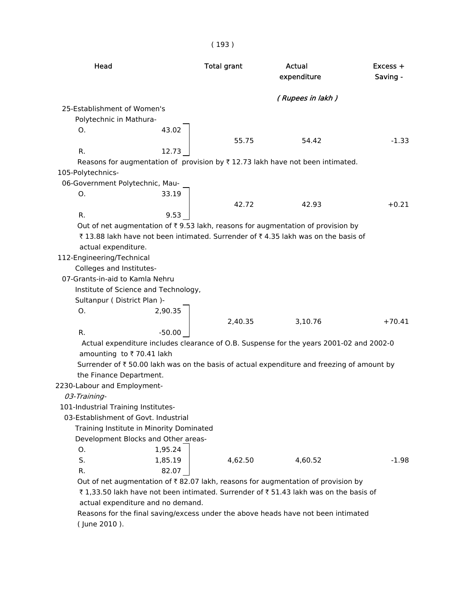| Head                                                                                                                                                                                                                                                                                                                                                                     | <b>Total grant</b> | Actual<br>expenditure | Excess +<br>Saving - |  |
|--------------------------------------------------------------------------------------------------------------------------------------------------------------------------------------------------------------------------------------------------------------------------------------------------------------------------------------------------------------------------|--------------------|-----------------------|----------------------|--|
|                                                                                                                                                                                                                                                                                                                                                                          |                    | (Rupees in lakh)      |                      |  |
| 25-Establishment of Women's                                                                                                                                                                                                                                                                                                                                              |                    |                       |                      |  |
| Polytechnic in Mathura-                                                                                                                                                                                                                                                                                                                                                  |                    |                       |                      |  |
| О.<br>43.02                                                                                                                                                                                                                                                                                                                                                              |                    |                       |                      |  |
|                                                                                                                                                                                                                                                                                                                                                                          | 55.75              | 54.42                 | $-1.33$              |  |
| R.<br>12.73                                                                                                                                                                                                                                                                                                                                                              |                    |                       |                      |  |
| Reasons for augmentation of provision by $\overline{\tau}$ 12.73 lakh have not been intimated.                                                                                                                                                                                                                                                                           |                    |                       |                      |  |
| 105-Polytechnics-                                                                                                                                                                                                                                                                                                                                                        |                    |                       |                      |  |
| 06-Government Polytechnic, Mau-                                                                                                                                                                                                                                                                                                                                          |                    |                       |                      |  |
| 33.19<br>О.                                                                                                                                                                                                                                                                                                                                                              |                    |                       |                      |  |
|                                                                                                                                                                                                                                                                                                                                                                          | 42.72              | 42.93                 | $+0.21$              |  |
| R.<br>9.53                                                                                                                                                                                                                                                                                                                                                               |                    |                       |                      |  |
| Out of net augmentation of $\bar{\tau}$ 9.53 lakh, reasons for augmentation of provision by<br>₹13.88 lakh have not been intimated. Surrender of ₹4.35 lakh was on the basis of<br>actual expenditure.<br>112-Engineering/Technical<br>Colleges and Institutes-<br>07-Grants-in-aid to Kamla Nehru<br>Institute of Science and Technology,<br>Sultanpur (District Plan)- |                    |                       |                      |  |
| O.<br>2,90.35                                                                                                                                                                                                                                                                                                                                                            |                    |                       |                      |  |
|                                                                                                                                                                                                                                                                                                                                                                          | 2,40.35            | 3,10.76               | $+70.41$             |  |
| R.<br>$-50.00$                                                                                                                                                                                                                                                                                                                                                           |                    |                       |                      |  |
| Actual expenditure includes clearance of O.B. Suspense for the years 2001-02 and 2002-0<br>amounting to ₹70.41 lakh                                                                                                                                                                                                                                                      |                    |                       |                      |  |
| Surrender of $\bar{\tau}$ 50.00 lakh was on the basis of actual expenditure and freezing of amount by                                                                                                                                                                                                                                                                    |                    |                       |                      |  |
| the Finance Department.                                                                                                                                                                                                                                                                                                                                                  |                    |                       |                      |  |
| 2230-Labour and Employment-                                                                                                                                                                                                                                                                                                                                              |                    |                       |                      |  |
| 03-Training-                                                                                                                                                                                                                                                                                                                                                             |                    |                       |                      |  |
| 101-Industrial Training Institutes-                                                                                                                                                                                                                                                                                                                                      |                    |                       |                      |  |
| 03-Establishment of Govt. Industrial                                                                                                                                                                                                                                                                                                                                     |                    |                       |                      |  |
| Training Institute in Minority Dominated                                                                                                                                                                                                                                                                                                                                 |                    |                       |                      |  |
| Development Blocks and Other areas-                                                                                                                                                                                                                                                                                                                                      |                    |                       |                      |  |
| 1,95.24<br>О.                                                                                                                                                                                                                                                                                                                                                            |                    |                       |                      |  |
| S.<br>1,85.19                                                                                                                                                                                                                                                                                                                                                            | 4,62.50            | 4,60.52               | $-1.98$              |  |
| R.<br>82.07                                                                                                                                                                                                                                                                                                                                                              |                    |                       |                      |  |
| Out of net augmentation of $\bar{\tau}$ 82.07 lakh, reasons for augmentation of provision by                                                                                                                                                                                                                                                                             |                    |                       |                      |  |
| ₹1,33.50 lakh have not been intimated. Surrender of ₹51.43 lakh was on the basis of<br>actual expenditure and no demand.                                                                                                                                                                                                                                                 |                    |                       |                      |  |
| Reasons for the final saving/excess under the above heads have not been intimated                                                                                                                                                                                                                                                                                        |                    |                       |                      |  |

( 193 )

 Reasons for the final saving/excess under the above heads have not been intimated ( June 2010 ).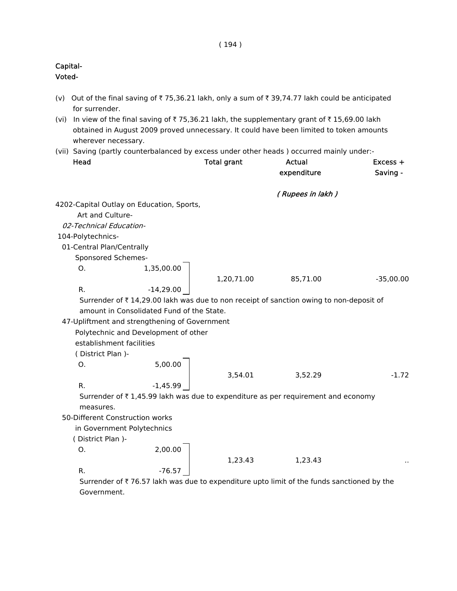# Capital- Voted- (v) Out of the final saving of  $\overline{\tau}$  75,36.21 lakh, only a sum of  $\overline{\tau}$  39,74.77 lakh could be anticipated for surrender. (vi) In view of the final saving of  $\bar{\tau}$  75,36.21 lakh, the supplementary grant of  $\bar{\tau}$  15,69.00 lakh obtained in August 2009 proved unnecessary. It could have been limited to token amounts wherever necessary. (vii) Saving (partly counterbalanced by excess under other heads ) occurred mainly under:- Head **Total grant** Actual Actual Excess + expenditure Saving - ( Rupees in lakh ) 4202-Capital Outlay on Education, Sports, Art and Culture- 02-Technical Education- 104-Polytechnics- 01-Central Plan/Centrally Sponsored Schemes-O. 1,35,00.00 1,20,71.00 85,71.00 -35,00.00 R.  $-14,29.00$ Surrender of  $\bar{z}$  14,29.00 lakh was due to non receipt of sanction owing to non-deposit of amount in Consolidated Fund of the State. 47-Upliftment and strengthening of Government Polytechnic and Development of other establishment facilities ( District Plan )-  $0.$  5,00.00  $\Bigg|$ 3,54.01 3,52.29 -1.72 R.  $-1,45.99$ Surrender of  $\bar{\tau}$  1,45.99 lakh was due to expenditure as per requirement and economy measures. 50-Different Construction works in Government Polytechnics ( District Plan )- O. 2,00.00 1,23.43 1,23.43 .. R.  $-76.57$

Surrender of  $\bar{\tau}$  76.57 lakh was due to expenditure upto limit of the funds sanctioned by the Government.

#### ( 194 )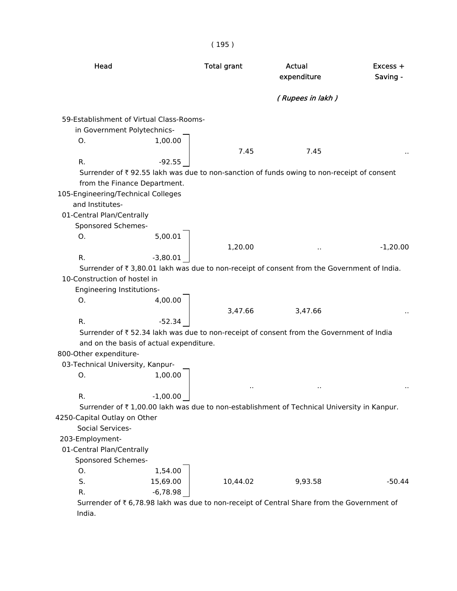| Head                                                                                        | <b>Total grant</b> | <b>Actual</b><br>expenditure | Excess +<br>Saving - |
|---------------------------------------------------------------------------------------------|--------------------|------------------------------|----------------------|
|                                                                                             |                    | (Rupees in lakh)             |                      |
| 59-Establishment of Virtual Class-Rooms-                                                    |                    |                              |                      |
| in Government Polytechnics-                                                                 |                    |                              |                      |
| 1,00.00<br>O.                                                                               |                    |                              |                      |
|                                                                                             | 7.45               | 7.45                         |                      |
| $-92.55$<br>R.                                                                              |                    |                              |                      |
| Surrender of ₹92.55 lakh was due to non-sanction of funds owing to non-receipt of consent   |                    |                              |                      |
| from the Finance Department.                                                                |                    |                              |                      |
| 105-Engineering/Technical Colleges                                                          |                    |                              |                      |
| and Institutes-                                                                             |                    |                              |                      |
| 01-Central Plan/Centrally                                                                   |                    |                              |                      |
| Sponsored Schemes-                                                                          |                    |                              |                      |
| 5,00.01<br>O.                                                                               |                    |                              |                      |
|                                                                                             | 1,20.00            |                              | $-1,20.00$           |
| $-3,80.01$<br>R.                                                                            |                    |                              |                      |
| Surrender of ₹ 3,80.01 lakh was due to non-receipt of consent from the Government of India. |                    |                              |                      |
| 10-Construction of hostel in                                                                |                    |                              |                      |
| Engineering Institutions-                                                                   |                    |                              |                      |
| 4,00.00<br>O.                                                                               |                    |                              |                      |
|                                                                                             | 3,47.66            | 3,47.66                      |                      |
| $-52.34$<br>R.                                                                              |                    |                              |                      |
| Surrender of ₹52.34 lakh was due to non-receipt of consent from the Government of India     |                    |                              |                      |
| and on the basis of actual expenditure.                                                     |                    |                              |                      |
| 800-Other expenditure-                                                                      |                    |                              |                      |
| 03-Technical University, Kanpur-                                                            |                    |                              |                      |
| 1,00.00<br>Ο.                                                                               |                    |                              |                      |
|                                                                                             |                    |                              |                      |
| $-1,00.00$<br>R.                                                                            |                    |                              |                      |
| Surrender of ₹1,00.00 lakh was due to non-establishment of Technical University in Kanpur.  |                    |                              |                      |
| 4250-Capital Outlay on Other                                                                |                    |                              |                      |
| Social Services-                                                                            |                    |                              |                      |
| 203-Employment-                                                                             |                    |                              |                      |
| 01-Central Plan/Centrally                                                                   |                    |                              |                      |
| Sponsored Schemes-                                                                          |                    |                              |                      |
| 1,54.00<br>0.                                                                               |                    |                              |                      |
| S.<br>15,69.00                                                                              | 10,44.02           | 9,93.58                      | $-50.44$             |
| $-6,78.98$<br>R.                                                                            |                    |                              |                      |
| Surrender of ₹ 6,78.98 lakh was due to non-receipt of Central Share from the Government of  |                    |                              |                      |

India.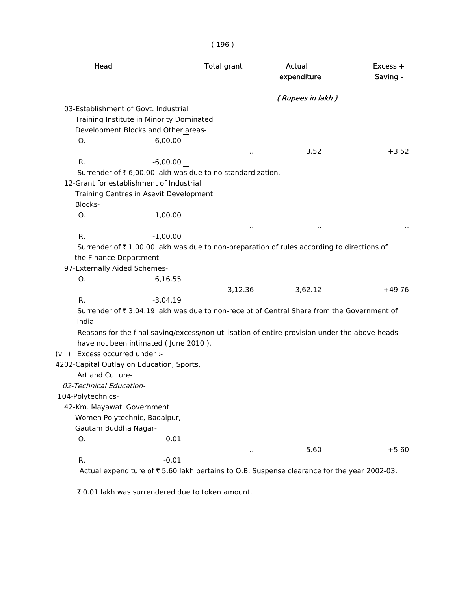| Head                                                                                                                | <b>Total grant</b> | Actual<br>expenditure | Excess +<br>Saving - |
|---------------------------------------------------------------------------------------------------------------------|--------------------|-----------------------|----------------------|
|                                                                                                                     |                    | (Rupees in lakh)      |                      |
| 03-Establishment of Govt, Industrial                                                                                |                    |                       |                      |
| Training Institute in Minority Dominated                                                                            |                    |                       |                      |
| Development Blocks and Other areas-                                                                                 |                    |                       |                      |
| 6,00.00<br>О.                                                                                                       |                    |                       |                      |
|                                                                                                                     | $\bar{a}$          | 3.52                  | $+3.52$              |
| R.<br>$-6,00.00$                                                                                                    |                    |                       |                      |
| Surrender of ₹6,00.00 lakh was due to no standardization.                                                           |                    |                       |                      |
| 12-Grant for establishment of Industrial                                                                            |                    |                       |                      |
| Training Centres in Asevit Development                                                                              |                    |                       |                      |
| Blocks-                                                                                                             |                    |                       |                      |
| 1,00.00<br>Ο.                                                                                                       |                    |                       |                      |
|                                                                                                                     | $\sim$             |                       |                      |
| R.<br>$-1,00.00$                                                                                                    |                    |                       |                      |
| Surrender of ₹1,00.00 lakh was due to non-preparation of rules according to directions of<br>the Finance Department |                    |                       |                      |
| 97-Externally Aided Schemes-                                                                                        |                    |                       |                      |
| 6,16.55<br>0.                                                                                                       |                    |                       |                      |
|                                                                                                                     | 3,12.36            | 3,62.12               | $+49.76$             |
| $-3,04.19$<br>R.                                                                                                    |                    |                       |                      |
| Surrender of ₹ 3,04.19 lakh was due to non-receipt of Central Share from the Government of                          |                    |                       |                      |
| India.                                                                                                              |                    |                       |                      |
| Reasons for the final saving/excess/non-utilisation of entire provision under the above heads                       |                    |                       |                      |
| have not been intimated (June 2010).                                                                                |                    |                       |                      |
| (viii) Excess occurred under :-                                                                                     |                    |                       |                      |
| 4202-Capital Outlay on Education, Sports,                                                                           |                    |                       |                      |
| Art and Culture-                                                                                                    |                    |                       |                      |
| <i>02-Technical Education-</i>                                                                                      |                    |                       |                      |
| 104-Polytechnics-                                                                                                   |                    |                       |                      |
| 42-Km. Mayawati Government                                                                                          |                    |                       |                      |
| Women Polytechnic, Badalpur,                                                                                        |                    |                       |                      |
| Gautam Buddha Nagar-                                                                                                |                    |                       |                      |
| 0.01<br>О.                                                                                                          |                    |                       |                      |
|                                                                                                                     | $\sim$             | 5.60                  | $+5.60$              |
| $-0.01$<br>R.                                                                                                       |                    |                       |                      |
| Actual expenditure of ₹5.60 lakh pertains to O.B. Suspense clearance for the year 2002-03.                          |                    |                       |                      |

( 196 )

₹ 0.01 lakh was surrendered due to token amount.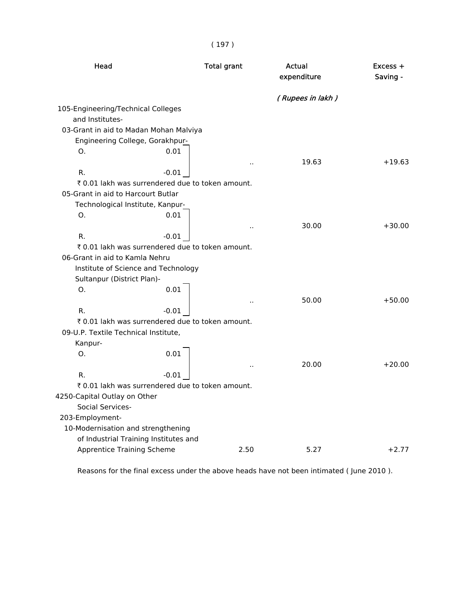| Head                                                  |         | <b>Total grant</b> | <b>Actual</b><br>expenditure | Excess +<br>Saving - |
|-------------------------------------------------------|---------|--------------------|------------------------------|----------------------|
|                                                       |         |                    | (Rupees in lakh)             |                      |
| 105-Engineering/Technical Colleges<br>and Institutes- |         |                    |                              |                      |
| 03-Grant in aid to Madan Mohan Malviya                |         |                    |                              |                      |
| Engineering College, Gorakhpur-                       |         |                    |                              |                      |
| O.                                                    | 0.01    |                    |                              |                      |
|                                                       |         |                    | 19.63                        | $+19.63$             |
| R.                                                    | $-0.01$ |                    |                              |                      |
| ₹ 0.01 lakh was surrendered due to token amount.      |         |                    |                              |                      |
| 05-Grant in aid to Harcourt Butlar                    |         |                    |                              |                      |
| Technological Institute, Kanpur-                      |         |                    |                              |                      |
| O.                                                    | 0.01    |                    |                              |                      |
|                                                       |         |                    | 30.00                        | $+30.00$             |
| R.                                                    | $-0.01$ |                    |                              |                      |
| ₹ 0.01 lakh was surrendered due to token amount.      |         |                    |                              |                      |
| 06-Grant in aid to Kamla Nehru                        |         |                    |                              |                      |
| Institute of Science and Technology                   |         |                    |                              |                      |
| Sultanpur (District Plan)-                            |         |                    |                              |                      |
| O.                                                    | 0.01    |                    |                              |                      |
|                                                       |         |                    | 50.00                        | $+50.00$             |
| R.                                                    | $-0.01$ |                    |                              |                      |
| ₹ 0.01 lakh was surrendered due to token amount.      |         |                    |                              |                      |
| 09-U.P. Textile Technical Institute,                  |         |                    |                              |                      |
| Kanpur-                                               |         |                    |                              |                      |
| Ο.                                                    | 0.01    |                    |                              |                      |
|                                                       |         |                    | 20.00                        | $+20.00$             |
| R.                                                    | $-0.01$ |                    |                              |                      |
| ₹ 0.01 lakh was surrendered due to token amount.      |         |                    |                              |                      |
| 4250-Capital Outlay on Other                          |         |                    |                              |                      |
| Social Services-                                      |         |                    |                              |                      |
| 203-Employment-                                       |         |                    |                              |                      |
| 10-Modernisation and strengthening                    |         |                    |                              |                      |
| of Industrial Training Institutes and                 |         |                    |                              |                      |
| <b>Apprentice Training Scheme</b>                     |         | 2.50               | 5.27                         | $+2.77$              |

Reasons for the final excess under the above heads have not been intimated ( June 2010 ).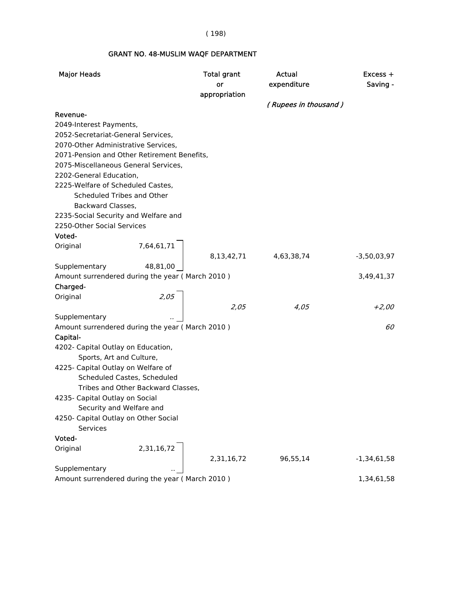( 198)

#### GRANT NO. 48-MUSLIM WAQF DEPARTMENT

| <b>Major Heads</b>                                               |                                    | <b>Total grant</b><br>or | Actual<br>expenditure | $Excess +$<br>Saving - |
|------------------------------------------------------------------|------------------------------------|--------------------------|-----------------------|------------------------|
|                                                                  |                                    | appropriation            | (Rupees in thousand)  |                        |
| Revenue-                                                         |                                    |                          |                       |                        |
| 2049-Interest Payments,                                          |                                    |                          |                       |                        |
| 2052-Secretariat-General Services,                               |                                    |                          |                       |                        |
| 2070-Other Administrative Services,                              |                                    |                          |                       |                        |
| 2071-Pension and Other Retirement Benefits,                      |                                    |                          |                       |                        |
| 2075-Miscellaneous General Services,                             |                                    |                          |                       |                        |
| 2202-General Education,                                          |                                    |                          |                       |                        |
| 2225-Welfare of Scheduled Castes,                                |                                    |                          |                       |                        |
| Scheduled Tribes and Other                                       |                                    |                          |                       |                        |
| Backward Classes,                                                |                                    |                          |                       |                        |
| 2235-Social Security and Welfare and                             |                                    |                          |                       |                        |
| 2250-Other Social Services                                       |                                    |                          |                       |                        |
| Voted-                                                           |                                    |                          |                       |                        |
| Original                                                         | 7,64,61,71                         |                          |                       |                        |
|                                                                  |                                    | 8,13,42,71               | 4,63,38,74            | $-3,50,03,97$          |
| Supplementary                                                    | 48,81,00                           |                          |                       |                        |
| Amount surrendered during the year (March 2010)                  |                                    |                          |                       | 3,49,41,37             |
| Charged-                                                         |                                    |                          |                       |                        |
| Original                                                         | 2,05                               |                          |                       |                        |
|                                                                  |                                    | 2,05                     | 4,05                  | +2,00                  |
| Supplementary                                                    |                                    |                          |                       |                        |
| Amount surrendered during the year (March 2010)                  |                                    |                          |                       | 60                     |
| Capital-                                                         |                                    |                          |                       |                        |
| 4202- Capital Outlay on Education,                               |                                    |                          |                       |                        |
| Sports, Art and Culture,                                         |                                    |                          |                       |                        |
| 4225- Capital Outlay on Welfare of                               |                                    |                          |                       |                        |
| Scheduled Castes, Scheduled                                      |                                    |                          |                       |                        |
|                                                                  | Tribes and Other Backward Classes, |                          |                       |                        |
| 4235- Capital Outlay on Social                                   |                                    |                          |                       |                        |
| Security and Welfare and                                         |                                    |                          |                       |                        |
| 4250- Capital Outlay on Other Social                             |                                    |                          |                       |                        |
| Services                                                         |                                    |                          |                       |                        |
| Voted-                                                           |                                    |                          |                       |                        |
| Original                                                         | 2,31,16,72                         |                          |                       |                        |
|                                                                  |                                    | 2,31,16,72               | 96,55,14              | $-1,34,61,58$          |
| Supplementary<br>Amount surrendered during the year (March 2010) |                                    |                          |                       | 1,34,61,58             |
|                                                                  |                                    |                          |                       |                        |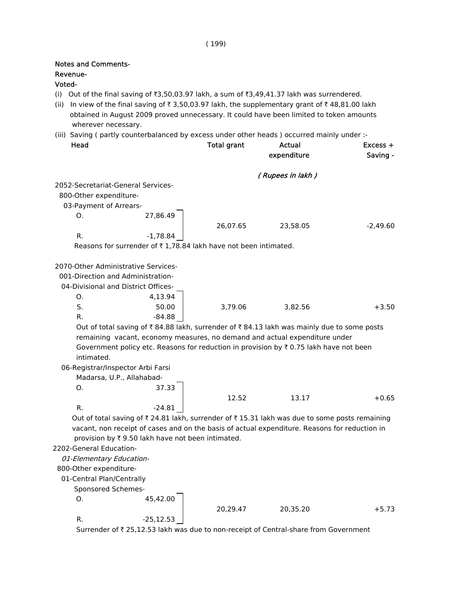| <b>Notes and Comments-</b><br>Revenue-<br>Voted- |                                                                 |                    |                                                                                                                                                                                                                                                                                      |                        |
|--------------------------------------------------|-----------------------------------------------------------------|--------------------|--------------------------------------------------------------------------------------------------------------------------------------------------------------------------------------------------------------------------------------------------------------------------------------|------------------------|
| (ii)<br>wherever necessary.                      |                                                                 |                    | (i) Out of the final saving of ₹3,50,03.97 lakh, a sum of ₹3,49,41.37 lakh was surrendered.<br>In view of the final saving of ₹3,50,03.97 lakh, the supplementary grant of ₹48,81.00 lakh<br>obtained in August 2009 proved unnecessary. It could have been limited to token amounts |                        |
| Head                                             |                                                                 | <b>Total grant</b> | (iii) Saving (partly counterbalanced by excess under other heads) occurred mainly under :-<br>Actual<br>expenditure                                                                                                                                                                  | $Excess +$<br>Saving - |
|                                                  |                                                                 |                    | (Rupees in lakh)                                                                                                                                                                                                                                                                     |                        |
|                                                  | 2052-Secretariat-General Services-                              |                    |                                                                                                                                                                                                                                                                                      |                        |
| 800-Other expenditure-                           |                                                                 |                    |                                                                                                                                                                                                                                                                                      |                        |
| 03-Payment of Arrears-                           |                                                                 |                    |                                                                                                                                                                                                                                                                                      |                        |
| Ο.                                               | 27,86.49                                                        |                    |                                                                                                                                                                                                                                                                                      |                        |
|                                                  |                                                                 | 26,07.65           | 23,58.05                                                                                                                                                                                                                                                                             | $-2,49.60$             |
| R.                                               | $-1,78.84$                                                      |                    |                                                                                                                                                                                                                                                                                      |                        |
|                                                  | Reasons for surrender of ₹1,78.84 lakh have not been intimated. |                    |                                                                                                                                                                                                                                                                                      |                        |
|                                                  |                                                                 |                    |                                                                                                                                                                                                                                                                                      |                        |
|                                                  | 2070-Other Administrative Services-                             |                    |                                                                                                                                                                                                                                                                                      |                        |
|                                                  | 001-Direction and Administration-                               |                    |                                                                                                                                                                                                                                                                                      |                        |
|                                                  | 04-Divisional and District Offices-                             |                    |                                                                                                                                                                                                                                                                                      |                        |
| О.                                               | 4,13.94                                                         |                    |                                                                                                                                                                                                                                                                                      |                        |
| S.                                               | 50.00                                                           | 3,79.06            | 3,82.56                                                                                                                                                                                                                                                                              | $+3.50$                |
| R.                                               | $-84.88$                                                        |                    |                                                                                                                                                                                                                                                                                      |                        |
|                                                  |                                                                 |                    | Out of total saving of ₹84.88 lakh, surrender of ₹84.13 lakh was mainly due to some posts                                                                                                                                                                                            |                        |
|                                                  |                                                                 |                    | remaining vacant, economy measures, no demand and actual expenditure under                                                                                                                                                                                                           |                        |
|                                                  |                                                                 |                    | Government policy etc. Reasons for reduction in provision by ₹0.75 lakh have not been                                                                                                                                                                                                |                        |
| intimated.                                       |                                                                 |                    |                                                                                                                                                                                                                                                                                      |                        |
|                                                  | 06-Registrar/Inspector Arbi Farsi                               |                    |                                                                                                                                                                                                                                                                                      |                        |
|                                                  | Madarsa, U.P., Allahabad-                                       |                    |                                                                                                                                                                                                                                                                                      |                        |
| Ο.                                               | 37.33                                                           |                    |                                                                                                                                                                                                                                                                                      |                        |
|                                                  |                                                                 | 12.52              | 13.17                                                                                                                                                                                                                                                                                | $+0.65$                |
| R.                                               | $-24.81$                                                        |                    |                                                                                                                                                                                                                                                                                      |                        |
|                                                  |                                                                 |                    | Out of total saving of ₹24.81 lakh, surrender of ₹15.31 lakh was due to some posts remaining<br>vacant, non receipt of cases and on the basis of actual expenditure. Reasons for reduction in                                                                                        |                        |
|                                                  | provision by ₹9.50 lakh have not been intimated.                |                    |                                                                                                                                                                                                                                                                                      |                        |
| 2202-General Education-                          |                                                                 |                    |                                                                                                                                                                                                                                                                                      |                        |
| 01-Elementary Education-                         |                                                                 |                    |                                                                                                                                                                                                                                                                                      |                        |
| 800-Other expenditure-                           |                                                                 |                    |                                                                                                                                                                                                                                                                                      |                        |
| 01-Central Plan/Centrally                        |                                                                 |                    |                                                                                                                                                                                                                                                                                      |                        |
| Sponsored Schemes-                               |                                                                 |                    |                                                                                                                                                                                                                                                                                      |                        |
| Ο.                                               | 45,42.00                                                        |                    |                                                                                                                                                                                                                                                                                      |                        |
|                                                  |                                                                 | 20,29.47           | 20,35.20                                                                                                                                                                                                                                                                             | $+5.73$                |
| R.                                               | $-25,12.53$                                                     |                    |                                                                                                                                                                                                                                                                                      |                        |

Surrender of ₹ 25,12.53 lakh was due to non-receipt of Central-share from Government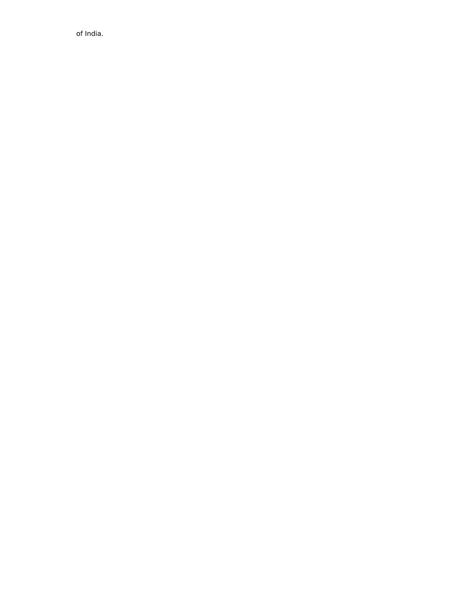of India.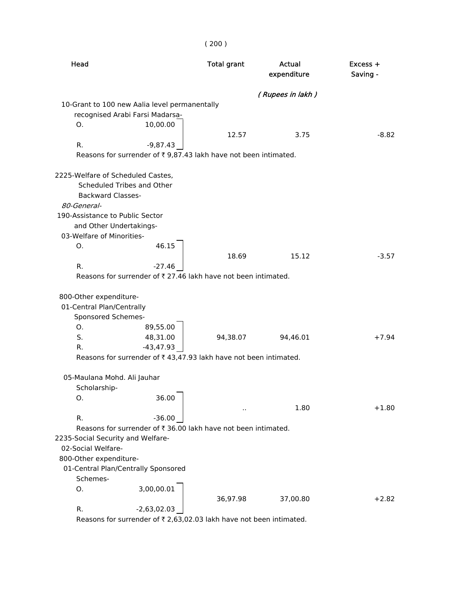| Head                                                                      |                                                                               | <b>Total grant</b> | Actual<br>expenditure | $Excess +$<br>Saving - |
|---------------------------------------------------------------------------|-------------------------------------------------------------------------------|--------------------|-----------------------|------------------------|
|                                                                           |                                                                               |                    | (Rupees in lakh)      |                        |
|                                                                           | 10-Grant to 100 new Aalia level permanentally                                 |                    |                       |                        |
|                                                                           | recognised Arabi Farsi Madarsa-                                               |                    |                       |                        |
| 0.                                                                        | 10,00.00                                                                      |                    |                       |                        |
|                                                                           |                                                                               | 12.57              | 3.75                  | $-8.82$                |
| R.                                                                        | $-9,87.43$<br>Reasons for surrender of ₹9,87.43 lakh have not been intimated. |                    |                       |                        |
|                                                                           |                                                                               |                    |                       |                        |
|                                                                           | 2225-Welfare of Scheduled Castes,<br>Scheduled Tribes and Other               |                    |                       |                        |
| <b>Backward Classes-</b><br>80-General-                                   |                                                                               |                    |                       |                        |
| 190-Assistance to Public Sector                                           |                                                                               |                    |                       |                        |
|                                                                           | and Other Undertakings-                                                       |                    |                       |                        |
| 03-Welfare of Minorities-                                                 |                                                                               |                    |                       |                        |
| Ο.                                                                        | 46.15                                                                         |                    |                       |                        |
|                                                                           |                                                                               | 18.69              | 15.12                 | $-3.57$                |
| R.                                                                        | $-27.46$                                                                      |                    |                       |                        |
|                                                                           | Reasons for surrender of ₹ 27.46 lakh have not been intimated.                |                    |                       |                        |
| 800-Other expenditure-<br>01-Central Plan/Centrally<br>Sponsored Schemes- |                                                                               |                    |                       |                        |
| Ο.                                                                        | 89,55.00                                                                      |                    |                       |                        |
| S.                                                                        | 48,31.00                                                                      | 94,38.07           | 94,46.01              | $+7.94$                |
| R.                                                                        | $-43,47.93$                                                                   |                    |                       |                        |
|                                                                           | Reasons for surrender of ₹43,47.93 lakh have not been intimated.              |                    |                       |                        |
| 05-Maulana Mohd. Ali Jauhar<br>Scholarship-                               |                                                                               |                    |                       |                        |
| 0.                                                                        | 36.00                                                                         |                    |                       |                        |
|                                                                           |                                                                               |                    | 1.80                  | $+1.80$                |
| R.                                                                        | $-36.00$                                                                      |                    |                       |                        |
|                                                                           | Reasons for surrender of ₹ 36.00 lakh have not been intimated.                |                    |                       |                        |
| 2235-Social Security and Welfare-                                         |                                                                               |                    |                       |                        |
| 02-Social Welfare-                                                        |                                                                               |                    |                       |                        |
| 800-Other expenditure-                                                    |                                                                               |                    |                       |                        |
|                                                                           | 01-Central Plan/Centrally Sponsored                                           |                    |                       |                        |
| Schemes-                                                                  |                                                                               |                    |                       |                        |
| О.                                                                        | 3,00,00.01                                                                    |                    |                       |                        |
|                                                                           |                                                                               | 36,97.98           | 37,00.80              | $+2.82$                |
| R.                                                                        | $-2,63,02.03$                                                                 |                    |                       |                        |

Reasons for surrender of  $\bar{\tau}$  2,63,02.03 lakh have not been intimated.

( 200 )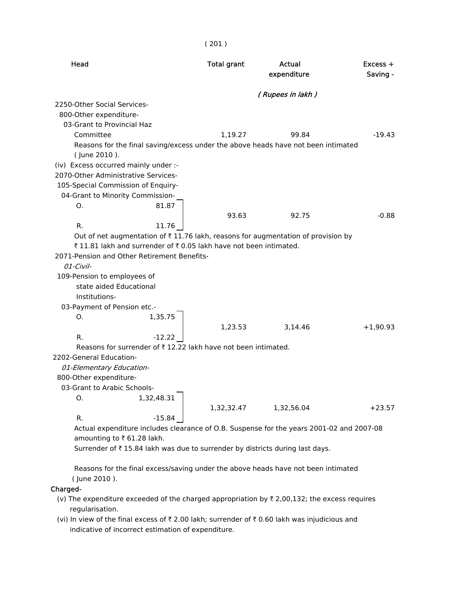| Head                                                             |            | <b>Total grant</b>                                            | Actual<br>expenditure                                                                        | Excess +<br>Saving - |
|------------------------------------------------------------------|------------|---------------------------------------------------------------|----------------------------------------------------------------------------------------------|----------------------|
|                                                                  |            |                                                               | (Rupees in lakh)                                                                             |                      |
| 2250-Other Social Services-                                      |            |                                                               |                                                                                              |                      |
| 800-Other expenditure-                                           |            |                                                               |                                                                                              |                      |
| 03-Grant to Provincial Haz                                       |            |                                                               |                                                                                              |                      |
| Committee                                                        |            | 1,19.27                                                       | 99.84                                                                                        | $-19.43$             |
|                                                                  |            |                                                               | Reasons for the final saving/excess under the above heads have not been intimated            |                      |
| (June 2010).                                                     |            |                                                               |                                                                                              |                      |
| (iv) Excess occurred mainly under :-                             |            |                                                               |                                                                                              |                      |
| 2070-Other Administrative Services-                              |            |                                                               |                                                                                              |                      |
| 105-Special Commission of Enquiry-                               |            |                                                               |                                                                                              |                      |
| 04-Grant to Minority Commission-                                 |            |                                                               |                                                                                              |                      |
| О.                                                               | 81.87      |                                                               |                                                                                              |                      |
|                                                                  |            | 93.63                                                         | 92.75                                                                                        | $-0.88$              |
| R.                                                               | 11.76      |                                                               |                                                                                              |                      |
|                                                                  |            |                                                               | Out of net augmentation of $\bar{\tau}$ 11.76 lakh, reasons for augmentation of provision by |                      |
| ₹11.81 lakh and surrender of ₹0.05 lakh have not been intimated. |            |                                                               |                                                                                              |                      |
| 2071-Pension and Other Retirement Benefits-                      |            |                                                               |                                                                                              |                      |
| $01$ -Civil-                                                     |            |                                                               |                                                                                              |                      |
| 109-Pension to employees of                                      |            |                                                               |                                                                                              |                      |
| state aided Educational                                          |            |                                                               |                                                                                              |                      |
| Institutions-                                                    |            |                                                               |                                                                                              |                      |
| 03-Payment of Pension etc.-                                      |            |                                                               |                                                                                              |                      |
| Ο.                                                               | 1,35.75    |                                                               |                                                                                              |                      |
|                                                                  |            | 1,23.53                                                       | 3,14.46                                                                                      | $+1,90.93$           |
| R.                                                               | $-12.22$   |                                                               |                                                                                              |                      |
|                                                                  |            | Reasons for surrender of ₹12.22 lakh have not been intimated. |                                                                                              |                      |
| 2202-General Education-                                          |            |                                                               |                                                                                              |                      |
| 01-Elementary Education-                                         |            |                                                               |                                                                                              |                      |
| 800-Other expenditure-                                           |            |                                                               |                                                                                              |                      |
| 03-Grant to Arabic Schools-                                      |            |                                                               |                                                                                              |                      |
| О.                                                               | 1,32,48.31 |                                                               |                                                                                              |                      |
|                                                                  |            | 1,32,32.47                                                    | 1,32,56.04                                                                                   | $+23.57$             |
| R.                                                               | $-15.84$   |                                                               |                                                                                              |                      |
|                                                                  |            |                                                               | Actual expenditure includes clearance of O.B. Suspense for the years 2001-02 and 2007-08     |                      |
| amounting to ₹61.28 lakh.                                        |            |                                                               |                                                                                              |                      |
|                                                                  |            |                                                               | Surrender of ₹15.84 lakh was due to surrender by districts during last days.                 |                      |

( 201 )

 Reasons for the final excess/saving under the above heads have not been intimated ( June 2010 ).

#### Charged-

- (v) The expenditure exceeded of the charged appropriation by  $\bar{\tau}$  2,00,132; the excess requires regularisation.
- (vi) In view of the final excess of  $\bar{\tau}$  2.00 lakh; surrender of  $\bar{\tau}$  0.60 lakh was injudicious and indicative of incorrect estimation of expenditure.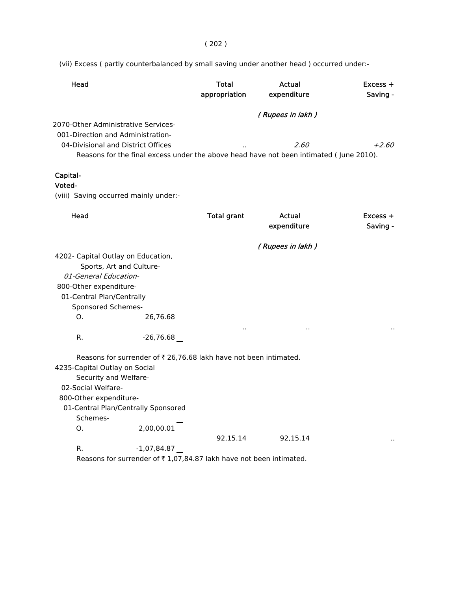( 202 )

(vii) Excess ( partly counterbalanced by small saving under another head ) occurred under:-

| Head                                            |                                                                   | <b>Total</b><br>appropriation | Actual<br>expenditure                                                                  | Excess +<br>Saving -   |
|-------------------------------------------------|-------------------------------------------------------------------|-------------------------------|----------------------------------------------------------------------------------------|------------------------|
| 2070-Other Administrative Services-             |                                                                   |                               | (Rupees in lakh)                                                                       |                        |
| 001-Direction and Administration-               |                                                                   |                               |                                                                                        |                        |
|                                                 | 04-Divisional and District Offices                                |                               | 2.60                                                                                   | $+2.60$                |
|                                                 |                                                                   |                               | Reasons for the final excess under the above head have not been intimated (June 2010). |                        |
|                                                 |                                                                   |                               |                                                                                        |                        |
| Capital-                                        |                                                                   |                               |                                                                                        |                        |
| Voted-                                          |                                                                   |                               |                                                                                        |                        |
|                                                 | (viii) Saving occurred mainly under:-                             |                               |                                                                                        |                        |
| Head                                            |                                                                   | <b>Total grant</b>            | Actual<br>expenditure                                                                  | $Excess +$<br>Saving - |
|                                                 |                                                                   |                               | (Rupees in lakh)                                                                       |                        |
| 4202- Capital Outlay on Education,              |                                                                   |                               |                                                                                        |                        |
|                                                 | Sports, Art and Culture-                                          |                               |                                                                                        |                        |
| 01-General Education-                           |                                                                   |                               |                                                                                        |                        |
| 800-Other expenditure-                          |                                                                   |                               |                                                                                        |                        |
| 01-Central Plan/Centrally<br>Sponsored Schemes- |                                                                   |                               |                                                                                        |                        |
| Ο.                                              | 26,76.68                                                          |                               |                                                                                        |                        |
|                                                 |                                                                   |                               |                                                                                        |                        |
| R.                                              | $-26,76.68$                                                       |                               |                                                                                        |                        |
|                                                 | Reasons for surrender of ₹ 26,76.68 lakh have not been intimated. |                               |                                                                                        |                        |
| 4235-Capital Outlay on Social                   |                                                                   |                               |                                                                                        |                        |
| Security and Welfare-                           |                                                                   |                               |                                                                                        |                        |
| 02-Social Welfare-                              |                                                                   |                               |                                                                                        |                        |
| 800-Other expenditure-                          |                                                                   |                               |                                                                                        |                        |
|                                                 | 01-Central Plan/Centrally Sponsored                               |                               |                                                                                        |                        |
| Schemes-                                        |                                                                   |                               |                                                                                        |                        |
| Ο.                                              | 2,00,00.01                                                        | 92,15.14                      | 92,15.14                                                                               |                        |
| R.                                              | $-1,07,84.87$                                                     |                               |                                                                                        |                        |

Reasons for surrender of  $\bar{\tau}$  1,07,84.87 lakh have not been intimated.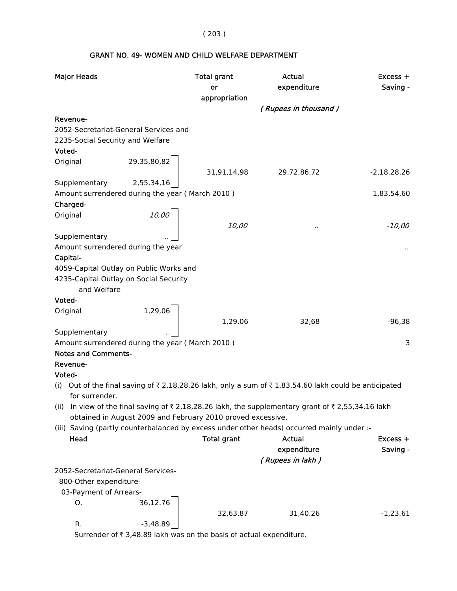( 203 )

# GRANT NO. 49- WOMEN AND CHILD WELFARE DEPARTMENT

| <b>Major Heads</b>                                                                                   | <b>Total grant</b><br>or | Actual<br>expenditure | $Excess +$<br>Saving - |
|------------------------------------------------------------------------------------------------------|--------------------------|-----------------------|------------------------|
|                                                                                                      | appropriation            | (Rupees in thousand)  |                        |
| Revenue-                                                                                             |                          |                       |                        |
| 2052-Secretariat-General Services and                                                                |                          |                       |                        |
| 2235-Social Security and Welfare                                                                     |                          |                       |                        |
| Voted-                                                                                               |                          |                       |                        |
| 29,35,80,82<br>Original                                                                              |                          |                       |                        |
|                                                                                                      | 31,91,14,98              | 29,72,86,72           | $-2,18,28,26$          |
| Supplementary<br>2,55,34,16                                                                          |                          |                       |                        |
| Amount surrendered during the year (March 2010)                                                      |                          |                       | 1,83,54,60             |
| Charged-                                                                                             |                          |                       |                        |
| 10,00<br>Original                                                                                    |                          |                       |                        |
|                                                                                                      | 10,00                    |                       | $-10,00$               |
| Supplementary                                                                                        |                          |                       |                        |
| Amount surrendered during the year                                                                   |                          |                       |                        |
| Capital-                                                                                             |                          |                       |                        |
| 4059-Capital Outlay on Public Works and                                                              |                          |                       |                        |
| 4235-Capital Outlay on Social Security                                                               |                          |                       |                        |
| and Welfare                                                                                          |                          |                       |                        |
| Voted-                                                                                               |                          |                       |                        |
| 1,29,06<br>Original                                                                                  |                          |                       |                        |
|                                                                                                      | 1,29,06                  | 32,68                 | $-96,38$               |
| Supplementary                                                                                        |                          |                       |                        |
| Amount surrendered during the year (March 2010)                                                      |                          |                       | 3                      |
| <b>Notes and Comments-</b>                                                                           |                          |                       |                        |
| Revenue-                                                                                             |                          |                       |                        |
| Voted-                                                                                               |                          |                       |                        |
| (i) Out of the final saving of ₹2,18,28.26 lakh, only a sum of ₹1,83,54.60 lakh could be anticipated |                          |                       |                        |
| for surrender.                                                                                       |                          |                       |                        |
| (ii) In view of the final saving of ₹2,18,28.26 lakh, the supplementary grant of ₹2,55,34.16 lakh    |                          |                       |                        |
| obtained in August 2009 and February 2010 proved excessive.                                          |                          |                       |                        |
| (iii) Saving (partly counterbalanced by excess under other heads) occurred mainly under :-           |                          |                       |                        |
| Head                                                                                                 | <b>Total grant</b>       | <b>Actual</b>         | Excess +               |
|                                                                                                      |                          | expenditure           | Saving -               |
| 2052-Secretariat-General Services-                                                                   |                          | (Rupees in lakh)      |                        |
|                                                                                                      |                          |                       |                        |
| 800-Other expenditure-                                                                               |                          |                       |                        |
| 03-Payment of Arrears-<br>36,12.76                                                                   |                          |                       |                        |
| О.                                                                                                   |                          |                       |                        |
| $-3,48.89$<br>R.                                                                                     | 32,63.87                 | 31,40.26              | $-1,23.61$             |

Surrender of  $\bar{\tau}$  3,48.89 lakh was on the basis of actual expenditure.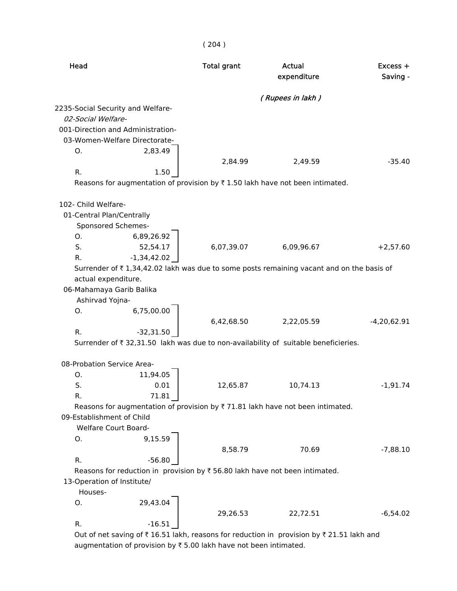|                            |                                                                                                                    | (204)              |                                                                                                |                      |
|----------------------------|--------------------------------------------------------------------------------------------------------------------|--------------------|------------------------------------------------------------------------------------------------|----------------------|
| Head                       |                                                                                                                    | <b>Total grant</b> | Actual<br>expenditure                                                                          | Excess +<br>Saving - |
|                            |                                                                                                                    |                    | (Rupees in lakh)                                                                               |                      |
| 02-Social Welfare-<br>O.   | 2235-Social Security and Welfare-<br>001-Direction and Administration-<br>03-Women-Welfare Directorate-<br>2,83.49 |                    |                                                                                                |                      |
| R.                         |                                                                                                                    | 2,84.99            | 2,49.59                                                                                        | $-35.40$             |
|                            | 1.50                                                                                                               |                    | Reasons for augmentation of provision by ₹1.50 lakh have not been intimated.                   |                      |
|                            |                                                                                                                    |                    |                                                                                                |                      |
| 102- Child Welfare-        |                                                                                                                    |                    |                                                                                                |                      |
| 01-Central Plan/Centrally  | Sponsored Schemes-                                                                                                 |                    |                                                                                                |                      |
| O.                         | 6,89,26.92                                                                                                         |                    |                                                                                                |                      |
| S.                         | 52,54.17                                                                                                           | 6,07,39.07         | 6,09,96.67                                                                                     | $+2,57.60$           |
| R.                         | $-1,34,42.02$                                                                                                      |                    |                                                                                                |                      |
|                            |                                                                                                                    |                    | Surrender of ₹1,34,42.02 lakh was due to some posts remaining vacant and on the basis of       |                      |
| actual expenditure.        |                                                                                                                    |                    |                                                                                                |                      |
| 06-Mahamaya Garib Balika   |                                                                                                                    |                    |                                                                                                |                      |
| Ashirvad Yojna-            |                                                                                                                    |                    |                                                                                                |                      |
| O.                         | 6,75,00.00                                                                                                         | 6,42,68.50         |                                                                                                | $-4,20,62.91$        |
| R.                         | $-32,31.50$                                                                                                        |                    | 2,22,05.59                                                                                     |                      |
|                            |                                                                                                                    |                    | Surrender of ₹32,31.50 lakh was due to non-availability of suitable beneficieries.             |                      |
|                            |                                                                                                                    |                    |                                                                                                |                      |
| 08-Probation Service Area- |                                                                                                                    |                    |                                                                                                |                      |
| O.                         | 11,94.05                                                                                                           |                    |                                                                                                |                      |
| S.                         | 0.01                                                                                                               | 12,65.87           | 10,74.13                                                                                       | $-1,91.74$           |
| R.                         | 71.81                                                                                                              |                    |                                                                                                |                      |
| 09-Establishment of Child  |                                                                                                                    |                    | Reasons for augmentation of provision by $\overline{\tau}$ 71.81 lakh have not been intimated. |                      |
|                            | <b>Welfare Court Board-</b>                                                                                        |                    |                                                                                                |                      |
| 0.                         | 9,15.59                                                                                                            |                    |                                                                                                |                      |
|                            |                                                                                                                    | 8,58.79            | 70.69                                                                                          | $-7,88.10$           |
| R.                         | $-56.80$                                                                                                           |                    |                                                                                                |                      |
|                            | Reasons for reduction in provision by ₹ 56.80 lakh have not been intimated.                                        |                    |                                                                                                |                      |
| 13-Operation of Institute/ |                                                                                                                    |                    |                                                                                                |                      |
| Houses-                    |                                                                                                                    |                    |                                                                                                |                      |
| О.                         | 29,43.04                                                                                                           |                    |                                                                                                |                      |
|                            |                                                                                                                    | 29,26.53           | 22,72.51                                                                                       | $-6,54.02$           |
| R.                         | $-16.51$                                                                                                           |                    |                                                                                                |                      |
|                            |                                                                                                                    |                    | Out of net saving of ₹16.51 lakh, reasons for reduction in provision by ₹21.51 lakh and        |                      |

augmentation of provision by  $\bar{\tau}$  5.00 lakh have not been intimated.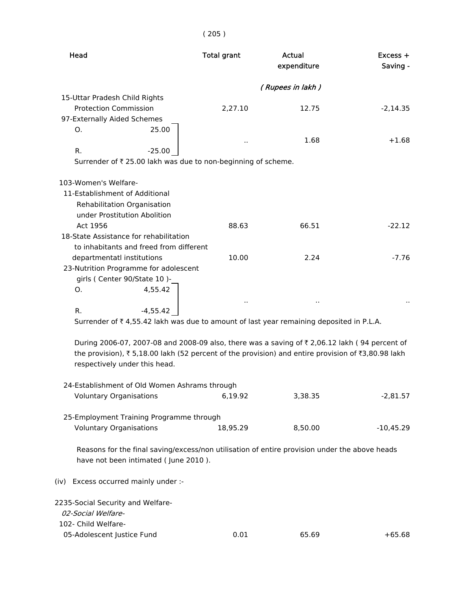# ( 205 )

| <b>Head</b>                                                                                                   | <b>Total grant</b>   | <b>Actual</b><br>expenditure | Excess +<br>Saving - |
|---------------------------------------------------------------------------------------------------------------|----------------------|------------------------------|----------------------|
|                                                                                                               |                      |                              |                      |
| 15-Uttar Pradesh Child Rights                                                                                 |                      | (Rupees in lakh)             |                      |
| <b>Protection Commission</b>                                                                                  | 2,27.10              | 12.75                        | $-2,14.35$           |
| 97-Externally Aided Schemes                                                                                   |                      |                              |                      |
| 25.00<br>O.                                                                                                   |                      |                              |                      |
|                                                                                                               | ٠.                   | 1.68                         | $+1.68$              |
| $-25.00$<br>R.                                                                                                |                      |                              |                      |
| Surrender of ₹ 25.00 lakh was due to non-beginning of scheme.                                                 |                      |                              |                      |
| 103-Women's Welfare-                                                                                          |                      |                              |                      |
| 11-Establishment of Additional                                                                                |                      |                              |                      |
| Rehabilitation Organisation                                                                                   |                      |                              |                      |
| under Prostitution Abolition                                                                                  |                      |                              |                      |
| Act 1956                                                                                                      | 88.63                | 66.51                        | $-22.12$             |
| 18-State Assistance for rehabilitation                                                                        |                      |                              |                      |
| to inhabitants and freed from different                                                                       |                      |                              |                      |
| departmentatl institutions                                                                                    | 10.00                | 2.24                         | $-7.76$              |
| 23-Nutrition Programme for adolescent                                                                         |                      |                              |                      |
| girls (Center 90/State 10)-                                                                                   |                      |                              |                      |
| 4,55.42<br>O.                                                                                                 |                      |                              |                      |
| $-4,55.42$<br>R.                                                                                              | $\ddot{\phantom{0}}$ |                              |                      |
| Surrender of ₹4,55.42 lakh was due to amount of last year remaining deposited in P.L.A.                       |                      |                              |                      |
|                                                                                                               |                      |                              |                      |
| During 2006-07, 2007-08 and 2008-09 also, there was a saving of $\overline{\tau}$ 2,06.12 lakh (94 percent of |                      |                              |                      |
| the provision), ₹5,18.00 lakh (52 percent of the provision) and entire provision of ₹3,80.98 lakh             |                      |                              |                      |
| respectively under this head.                                                                                 |                      |                              |                      |
|                                                                                                               |                      |                              |                      |
| 24-Establishment of Old Women Ashrams through                                                                 |                      |                              |                      |
| <b>Voluntary Organisations</b>                                                                                | 6,19.92              | 3,38.35                      | $-2,81.57$           |
|                                                                                                               |                      |                              |                      |
| 25-Employment Training Programme through                                                                      |                      |                              |                      |
| <b>Voluntary Organisations</b>                                                                                | 18,95.29             | 8,50.00                      | $-10,45.29$          |
| Reasons for the final saving/excess/non utilisation of entire provision under the above heads                 |                      |                              |                      |
| have not been intimated (June 2010).                                                                          |                      |                              |                      |
| (iv) Excess occurred mainly under :-                                                                          |                      |                              |                      |
| 2235-Social Security and Welfare-                                                                             |                      |                              |                      |
| 02-Social Welfare-                                                                                            |                      |                              |                      |
| 102- Child Welfare-                                                                                           |                      |                              |                      |
| 05-Adolescent Justice Fund                                                                                    | 0.01                 | 65.69                        | $+65.68$             |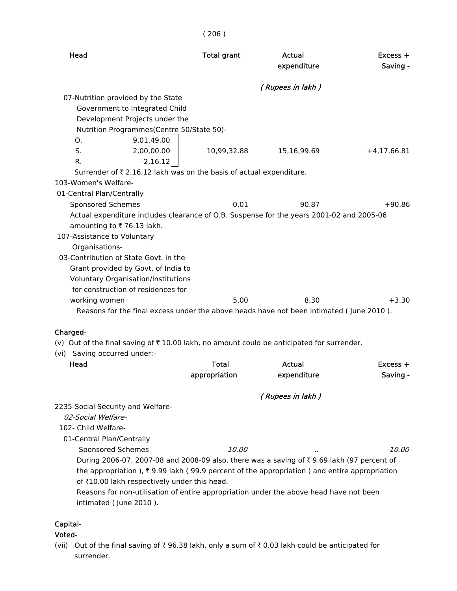| Head                                                                                                                   | <b>Total grant</b> | Actual<br>expenditure | $Excess +$<br>Saving - |
|------------------------------------------------------------------------------------------------------------------------|--------------------|-----------------------|------------------------|
|                                                                                                                        |                    | (Rupees in lakh)      |                        |
| 07-Nutrition provided by the State                                                                                     |                    |                       |                        |
| Government to Integrated Child                                                                                         |                    |                       |                        |
| Development Projects under the                                                                                         |                    |                       |                        |
| Nutrition Programmes(Centre 50/State 50)-                                                                              |                    |                       |                        |
| 9,01,49.00<br>O.                                                                                                       |                    |                       |                        |
| S.<br>2,00,00.00                                                                                                       | 10,99,32.88        | 15,16,99.69           | $+4,17,66.81$          |
| $-2,16.12$<br>R.                                                                                                       |                    |                       |                        |
| Surrender of ₹ 2,16.12 lakh was on the basis of actual expenditure.                                                    |                    |                       |                        |
| 103-Women's Welfare-                                                                                                   |                    |                       |                        |
| 01-Central Plan/Centrally                                                                                              |                    |                       |                        |
| <b>Sponsored Schemes</b>                                                                                               | 0.01               | 90.87                 | $+90.86$               |
| Actual expenditure includes clearance of O.B. Suspense for the years 2001-02 and 2005-06                               |                    |                       |                        |
| amounting to ₹76.13 lakh.                                                                                              |                    |                       |                        |
| 107-Assistance to Voluntary                                                                                            |                    |                       |                        |
| Organisations-                                                                                                         |                    |                       |                        |
| 03-Contribution of State Govt. in the                                                                                  |                    |                       |                        |
| Grant provided by Govt. of India to                                                                                    |                    |                       |                        |
| Voluntary Organisation/Institutions                                                                                    |                    |                       |                        |
| for construction of residences for                                                                                     |                    |                       |                        |
| working women                                                                                                          | 5.00               | 8.30                  | $+3.30$                |
| Reasons for the final excess under the above heads have not been intimated (June 2010).                                |                    |                       |                        |
|                                                                                                                        |                    |                       |                        |
| Charged-<br>(v) Out of the final saving of $\overline{\tau}$ 10.00 lakh, no amount could be anticipated for surrender. |                    |                       |                        |
| (vi) Saving occurred under:-                                                                                           |                    |                       |                        |
| Head                                                                                                                   | <b>Total</b>       | Actual                | $Excess +$             |
|                                                                                                                        | appropriation      | expenditure           | Saving -               |
|                                                                                                                        |                    |                       |                        |
|                                                                                                                        |                    | (Rupees in lakh)      |                        |
| 2235-Social Security and Welfare-                                                                                      |                    |                       |                        |
| 02-Social Welfare-                                                                                                     |                    |                       |                        |
| 102- Child Welfare-                                                                                                    |                    |                       |                        |
| 01-Central Plan/Centrally                                                                                              |                    |                       |                        |
| Sponsored Schemes                                                                                                      | 10.00              |                       | $-10.00$               |
| During 2006-07, 2007-08 and 2008-09 also, there was a saving of ₹9.69 lakh (97 percent of                              |                    |                       |                        |
| the appropriation ), $\overline{\xi}$ 9.99 lakh (99.9 percent of the appropriation ) and entire appropriation          |                    |                       |                        |
| of ₹10.00 lakh respectively under this head.                                                                           |                    |                       |                        |
| Reasons for non-utilisation of entire appropriation under the above head have not been                                 |                    |                       |                        |
| intimated (June 2010).                                                                                                 |                    |                       |                        |
| Capital-                                                                                                               |                    |                       |                        |
|                                                                                                                        |                    |                       |                        |

( 206 )

# Voted-

(vii) Out of the final saving of  $\bar{\tau}$  96.38 lakh, only a sum of  $\bar{\tau}$  0.03 lakh could be anticipated for surrender.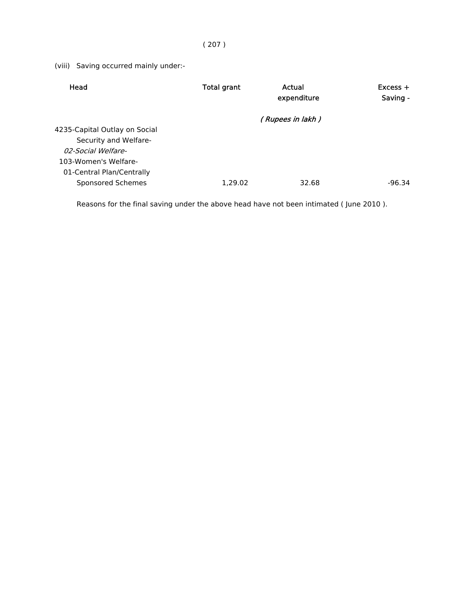## ( 207 )

(viii) Saving occurred mainly under:-

| Head                          | <b>Total grant</b> | Actual<br>expenditure | $Excess +$<br>Saving - |
|-------------------------------|--------------------|-----------------------|------------------------|
|                               |                    | (Rupees in lakh)      |                        |
| 4235-Capital Outlay on Social |                    |                       |                        |
| Security and Welfare-         |                    |                       |                        |
| 02-Social Welfare-            |                    |                       |                        |
| 103-Women's Welfare-          |                    |                       |                        |
| 01-Central Plan/Centrally     |                    |                       |                        |
| Sponsored Schemes             | 1.29.02            | 32.68                 | $-96.34$               |

Reasons for the final saving under the above head have not been intimated ( June 2010 ).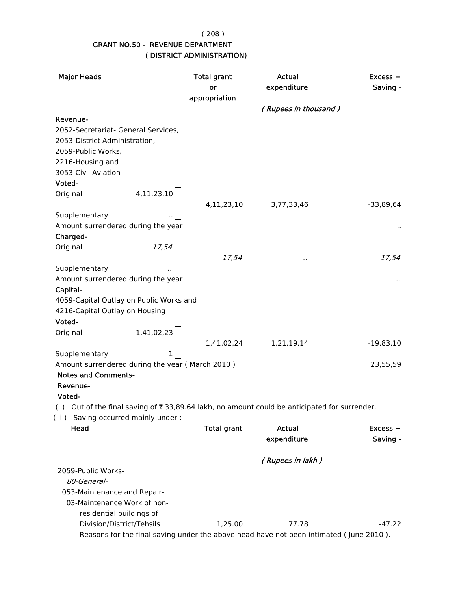( 208 )

## GRANT NO.50 - REVENUE DEPARTMENT ( DISTRICT ADMINISTRATION)

| <b>Major Heads</b>                                                                                           |                                          | <b>Total grant</b><br>or | Actual<br>expenditure                                                                  | $Excess +$<br>Saving - |
|--------------------------------------------------------------------------------------------------------------|------------------------------------------|--------------------------|----------------------------------------------------------------------------------------|------------------------|
|                                                                                                              |                                          | appropriation            |                                                                                        |                        |
|                                                                                                              |                                          |                          | (Rupees in thousand)                                                                   |                        |
| Revenue-                                                                                                     |                                          |                          |                                                                                        |                        |
| 2052-Secretariat- General Services,                                                                          |                                          |                          |                                                                                        |                        |
| 2053-District Administration,                                                                                |                                          |                          |                                                                                        |                        |
| 2059-Public Works,                                                                                           |                                          |                          |                                                                                        |                        |
| 2216-Housing and                                                                                             |                                          |                          |                                                                                        |                        |
| 3053-Civil Aviation                                                                                          |                                          |                          |                                                                                        |                        |
| Voted-                                                                                                       |                                          |                          |                                                                                        |                        |
| Original                                                                                                     | 4,11,23,10                               | 4,11,23,10               | 3,77,33,46                                                                             | $-33,89,64$            |
| Supplementary                                                                                                |                                          |                          |                                                                                        |                        |
| Amount surrendered during the year                                                                           |                                          |                          |                                                                                        |                        |
| Charged-                                                                                                     |                                          |                          |                                                                                        |                        |
| Original                                                                                                     |                                          |                          |                                                                                        |                        |
|                                                                                                              | $\begin{array}{c} 17.54 \\  \end{array}$ | 17,54                    |                                                                                        | $-17,54$               |
| Supplementary                                                                                                |                                          |                          |                                                                                        |                        |
| Amount surrendered during the year                                                                           |                                          |                          |                                                                                        |                        |
| Capital-                                                                                                     |                                          |                          |                                                                                        |                        |
| 4059-Capital Outlay on Public Works and                                                                      |                                          |                          |                                                                                        |                        |
| 4216-Capital Outlay on Housing                                                                               |                                          |                          |                                                                                        |                        |
| Voted-                                                                                                       |                                          |                          |                                                                                        |                        |
| Original                                                                                                     | 1,41,02,23                               |                          |                                                                                        |                        |
|                                                                                                              |                                          | 1,41,02,24               | 1,21,19,14                                                                             | $-19,83,10$            |
| Supplementary                                                                                                |                                          |                          |                                                                                        |                        |
| Amount surrendered during the year (March 2010)                                                              |                                          |                          |                                                                                        | 23,55,59               |
| <b>Notes and Comments-</b>                                                                                   |                                          |                          |                                                                                        |                        |
| Revenue-                                                                                                     |                                          |                          |                                                                                        |                        |
| Voted-                                                                                                       |                                          |                          |                                                                                        |                        |
| (i) Out of the final saving of $\overline{\xi}$ 33,89.64 lakh, no amount could be anticipated for surrender. |                                          |                          |                                                                                        |                        |
| (ii) Saving occurred mainly under :-<br>Head                                                                 |                                          | <b>Total grant</b>       | Actual                                                                                 |                        |
|                                                                                                              |                                          |                          | expenditure                                                                            | Excess +<br>Saving -   |
|                                                                                                              |                                          |                          |                                                                                        |                        |
|                                                                                                              |                                          |                          | (Rupees in lakh)                                                                       |                        |
| 2059-Public Works-                                                                                           |                                          |                          |                                                                                        |                        |
| 80-General-                                                                                                  |                                          |                          |                                                                                        |                        |
| 053-Maintenance and Repair-                                                                                  |                                          |                          |                                                                                        |                        |
| 03-Maintenance Work of non-                                                                                  |                                          |                          |                                                                                        |                        |
| residential buildings of                                                                                     |                                          |                          |                                                                                        |                        |
| Division/District/Tehsils                                                                                    |                                          | 1,25.00                  | 77.78                                                                                  | $-47.22$               |
|                                                                                                              |                                          |                          | Reasons for the final saving under the above head have not been intimated (June 2010). |                        |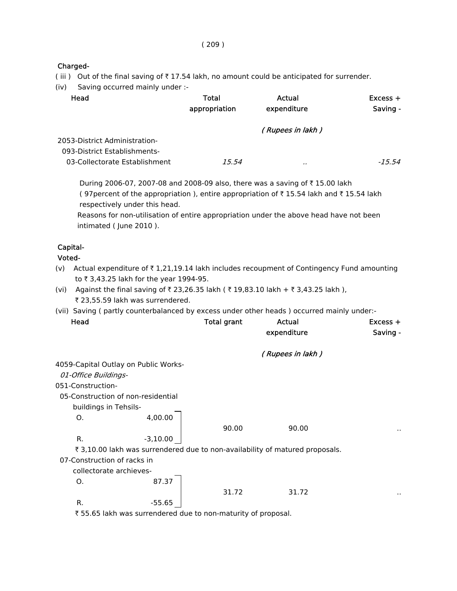## Charged-

- (iii) Out of the final saving of  $\bar{\tau}$  17.54 lakh, no amount could be anticipated for surrender.
- (iv) Saving occurred mainly under :-

| Head                                                          | Total<br>appropriation | Actual<br>expenditure | $Excess +$<br>Saving - |
|---------------------------------------------------------------|------------------------|-----------------------|------------------------|
| 2053-District Administration-<br>093-District Establishments- |                        | (Rupees in lakh)      |                        |
| 03-Collectorate Establishment                                 | 15.54                  |                       | $-15.54$               |

During 2006-07, 2007-08 and 2008-09 also, there was a saving of ₹15.00 lakh (97 percent of the appropriation), entire appropriation of  $\bar{\tau}$  15.54 lakh and  $\bar{\tau}$  15.54 lakh respectively under this head.

 Reasons for non-utilisation of entire appropriation under the above head have not been intimated ( June 2010 ).

## Capital-

#### Voted-

- (v) Actual expenditure of  $\bar{\tau}$  1,21,19.14 lakh includes recoupment of Contingency Fund amounting to ₹3,43.25 lakh for the year 1994-95.
- (vi) Against the final saving of ₹ 23,26.35 lakh ( ₹ 19,83.10 lakh + ₹ 3,43.25 lakh ), ₹ 23,55.59 lakh was surrendered.
- (vii) Saving ( partly counterbalanced by excess under other heads ) occurred mainly under:-

| Head                                 |                                                              | <b>Total grant</b> | Actual                                                                       | $Excess +$ |
|--------------------------------------|--------------------------------------------------------------|--------------------|------------------------------------------------------------------------------|------------|
|                                      |                                                              |                    | expenditure                                                                  | Saving -   |
|                                      |                                                              |                    | (Rupees in lakh)                                                             |            |
| 4059-Capital Outlay on Public Works- |                                                              |                    |                                                                              |            |
| 01-Office Buildings-                 |                                                              |                    |                                                                              |            |
| 051-Construction-                    |                                                              |                    |                                                                              |            |
| 05-Construction of non-residential   |                                                              |                    |                                                                              |            |
| buildings in Tehsils-                |                                                              |                    |                                                                              |            |
| O.                                   | 4,00.00                                                      |                    |                                                                              |            |
|                                      |                                                              | 90.00              | 90.00                                                                        | . .        |
| R.                                   | $-3,10.00$                                                   |                    |                                                                              |            |
|                                      |                                                              |                    | ₹ 3,10.00 lakh was surrendered due to non-availability of matured proposals. |            |
| 07-Construction of racks in          |                                                              |                    |                                                                              |            |
| collectorate archieves-              |                                                              |                    |                                                                              |            |
| O.                                   | 87.37                                                        |                    |                                                                              |            |
|                                      |                                                              | 31.72              | 31.72                                                                        | $\sim$     |
| R.                                   | -55.65                                                       |                    |                                                                              |            |
|                                      | ₹55.65 lakh was surrendered due to non-maturity of proposal. |                    |                                                                              |            |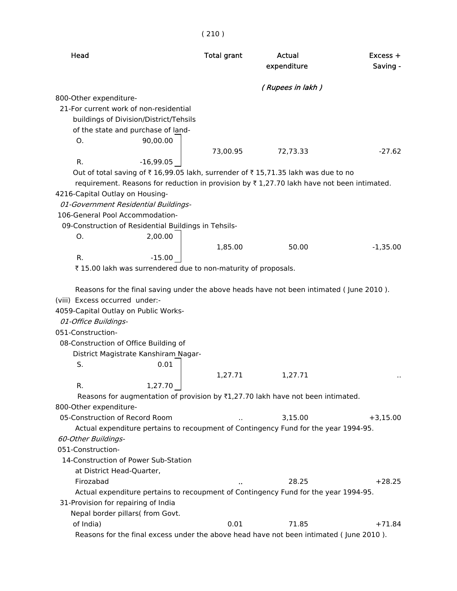| Head                                                                                                                                                                                                                                                                                                          | <b>Total grant</b> | Actual<br>expenditure | $Excess +$<br>Saving - |
|---------------------------------------------------------------------------------------------------------------------------------------------------------------------------------------------------------------------------------------------------------------------------------------------------------------|--------------------|-----------------------|------------------------|
|                                                                                                                                                                                                                                                                                                               |                    | (Rupees in lakh)      |                        |
| 800-Other expenditure-                                                                                                                                                                                                                                                                                        |                    |                       |                        |
| 21-For current work of non-residential                                                                                                                                                                                                                                                                        |                    |                       |                        |
| buildings of Division/District/Tehsils                                                                                                                                                                                                                                                                        |                    |                       |                        |
| of the state and purchase of land-                                                                                                                                                                                                                                                                            |                    |                       |                        |
| 90,00.00<br>Ο.                                                                                                                                                                                                                                                                                                |                    |                       |                        |
|                                                                                                                                                                                                                                                                                                               | 73,00.95           | 72,73.33              | $-27.62$               |
| R.<br>$-16,99.05$                                                                                                                                                                                                                                                                                             |                    |                       |                        |
| Out of total saving of ₹16,99.05 lakh, surrender of ₹15,71.35 lakh was due to no                                                                                                                                                                                                                              |                    |                       |                        |
| requirement. Reasons for reduction in provision by ₹1,27.70 lakh have not been intimated.                                                                                                                                                                                                                     |                    |                       |                        |
| 4216-Capital Outlay on Housing-                                                                                                                                                                                                                                                                               |                    |                       |                        |
| 01-Government Residential Buildings-                                                                                                                                                                                                                                                                          |                    |                       |                        |
| 106-General Pool Accommodation-                                                                                                                                                                                                                                                                               |                    |                       |                        |
| 09-Construction of Residential Buildings in Tehsils-                                                                                                                                                                                                                                                          |                    |                       |                        |
| 2,00.00<br>Ο.                                                                                                                                                                                                                                                                                                 |                    |                       |                        |
|                                                                                                                                                                                                                                                                                                               | 1,85.00            | 50.00                 | $-1,35.00$             |
| R.<br>$-15.00$                                                                                                                                                                                                                                                                                                |                    |                       |                        |
| ₹15.00 lakh was surrendered due to non-maturity of proposals.                                                                                                                                                                                                                                                 |                    |                       |                        |
| Reasons for the final saving under the above heads have not been intimated (June 2010).<br>(viii) Excess occurred under:-<br>4059-Capital Outlay on Public Works-<br>01-Office Buildings-<br>051-Construction-<br>08-Construction of Office Building of<br>District Magistrate Kanshiram Nagar-<br>0.01<br>S. |                    |                       |                        |
|                                                                                                                                                                                                                                                                                                               | 1,27.71            | 1,27.71               |                        |
| R.<br>1,27.70                                                                                                                                                                                                                                                                                                 |                    |                       |                        |
| Reasons for augmentation of provision by $\overline{x}1,27.70$ lakh have not been intimated.                                                                                                                                                                                                                  |                    |                       |                        |
| 800-Other expenditure-                                                                                                                                                                                                                                                                                        |                    |                       |                        |
| 05-Construction of Record Room                                                                                                                                                                                                                                                                                |                    | 3,15.00               | $+3,15.00$             |
| Actual expenditure pertains to recoupment of Contingency Fund for the year 1994-95.                                                                                                                                                                                                                           |                    |                       |                        |
| 60-Other Buildings-                                                                                                                                                                                                                                                                                           |                    |                       |                        |
| 051-Construction-                                                                                                                                                                                                                                                                                             |                    |                       |                        |
| 14-Construction of Power Sub-Station                                                                                                                                                                                                                                                                          |                    |                       |                        |
| at District Head-Quarter,                                                                                                                                                                                                                                                                                     |                    |                       |                        |
| Firozabad                                                                                                                                                                                                                                                                                                     |                    | 28.25                 | $+28.25$               |
| Actual expenditure pertains to recoupment of Contingency Fund for the year 1994-95.                                                                                                                                                                                                                           |                    |                       |                        |
| 31-Provision for repairing of India                                                                                                                                                                                                                                                                           |                    |                       |                        |
| Nepal border pillars( from Govt.                                                                                                                                                                                                                                                                              |                    |                       |                        |
| of India)                                                                                                                                                                                                                                                                                                     | 0.01               | 71.85                 | $+71.84$               |
| Reasons for the final excess under the above head have not been intimated (June 2010).                                                                                                                                                                                                                        |                    |                       |                        |

## $(210)$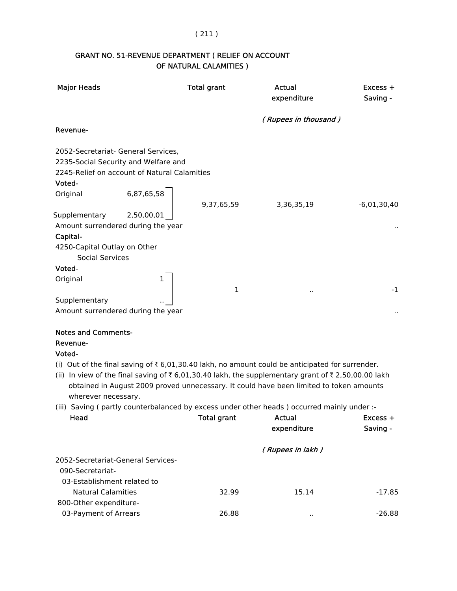## ( 211 )

## GRANT NO. 51-REVENUE DEPARTMENT ( RELIEF ON ACCOUNT OF NATURAL CALAMITIES )

| <b>Major Heads</b>                                  |            | <b>Total grant</b> | Actual<br>expenditure                                                                                               | Excess +<br>Saving - |
|-----------------------------------------------------|------------|--------------------|---------------------------------------------------------------------------------------------------------------------|----------------------|
|                                                     |            |                    | (Rupees in thousand)                                                                                                |                      |
| Revenue-                                            |            |                    |                                                                                                                     |                      |
| 2052-Secretariat- General Services,                 |            |                    |                                                                                                                     |                      |
| 2235-Social Security and Welfare and                |            |                    |                                                                                                                     |                      |
| 2245-Relief on account of Natural Calamities        |            |                    |                                                                                                                     |                      |
| Voted-<br>Original                                  | 6,87,65,58 |                    |                                                                                                                     |                      |
|                                                     |            | 9,37,65,59         | 3,36,35,19                                                                                                          | $-6,01,30,40$        |
| Supplementary                                       | 2,50,00,01 |                    |                                                                                                                     |                      |
| Amount surrendered during the year                  |            |                    |                                                                                                                     |                      |
| Capital-                                            |            |                    |                                                                                                                     |                      |
| 4250-Capital Outlay on Other                        |            |                    |                                                                                                                     |                      |
| <b>Social Services</b>                              |            |                    |                                                                                                                     |                      |
| Voted-                                              |            |                    |                                                                                                                     |                      |
| Original                                            | 1          |                    |                                                                                                                     |                      |
|                                                     |            | 1                  |                                                                                                                     | $-1$                 |
| Supplementary<br>Amount surrendered during the year |            |                    |                                                                                                                     |                      |
|                                                     |            |                    |                                                                                                                     |                      |
| <b>Notes and Comments-</b>                          |            |                    |                                                                                                                     |                      |
| Revenue-                                            |            |                    |                                                                                                                     |                      |
| Voted-                                              |            |                    |                                                                                                                     |                      |
|                                                     |            |                    | (i) Out of the final saving of $\overline{\epsilon}$ 6,01,30.40 lakh, no amount could be anticipated for surrender. |                      |
|                                                     |            |                    | (ii) In view of the final saving of ₹6,01,30.40 lakh, the supplementary grant of ₹2,50,00.00 lakh                   |                      |
|                                                     |            |                    | obtained in August 2009 proved unnecessary. It could have been limited to token amounts                             |                      |
| wherever necessary.                                 |            |                    |                                                                                                                     |                      |
|                                                     |            |                    | (iii) Saving (partly counterbalanced by excess under other heads) occurred mainly under :-                          |                      |
| Head                                                |            | Total grant        | Actual<br>expenditure                                                                                               | Excess +<br>Saving - |
|                                                     |            |                    |                                                                                                                     |                      |
|                                                     |            |                    | (Rupees in lakh)                                                                                                    |                      |
| 2052-Secretariat-General Services-                  |            |                    |                                                                                                                     |                      |
| 090-Secretariat-                                    |            |                    |                                                                                                                     |                      |
| 03-Establishment related to                         |            |                    |                                                                                                                     |                      |
| <b>Natural Calamities</b>                           |            | 32.99              | 15.14                                                                                                               | $-17.85$             |
| 800-Other expenditure-                              |            |                    |                                                                                                                     |                      |
| 03-Payment of Arrears                               |            | 26.88              |                                                                                                                     | $-26.88$             |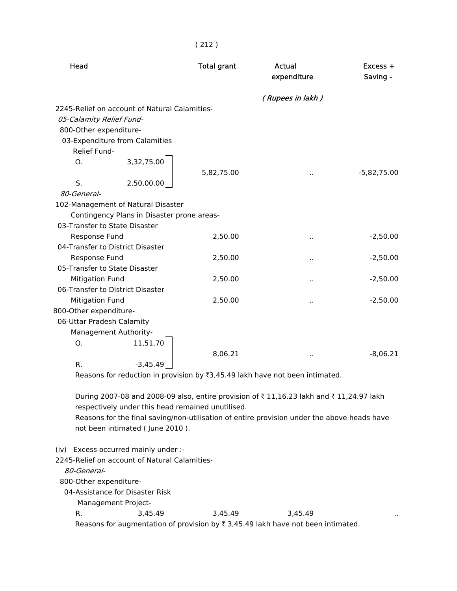( 212 )

| Head                   |                                                                                                                                                                                                                                                                               | <b>Total grant</b> | Actual<br>expenditure | Excess +<br>Saving - |
|------------------------|-------------------------------------------------------------------------------------------------------------------------------------------------------------------------------------------------------------------------------------------------------------------------------|--------------------|-----------------------|----------------------|
|                        |                                                                                                                                                                                                                                                                               |                    | (Rupees in lakh)      |                      |
|                        | 2245-Relief on account of Natural Calamities-                                                                                                                                                                                                                                 |                    |                       |                      |
|                        | 05-Calamity Relief Fund-                                                                                                                                                                                                                                                      |                    |                       |                      |
|                        | 800-Other expenditure-                                                                                                                                                                                                                                                        |                    |                       |                      |
|                        | 03-Expenditure from Calamities                                                                                                                                                                                                                                                |                    |                       |                      |
| Relief Fund-           |                                                                                                                                                                                                                                                                               |                    |                       |                      |
| $\Omega$ .             | 3,32,75.00                                                                                                                                                                                                                                                                    |                    |                       |                      |
|                        |                                                                                                                                                                                                                                                                               | 5,82,75.00         |                       | $-5,82,75.00$        |
| S.                     | 2,50,00.00                                                                                                                                                                                                                                                                    |                    |                       |                      |
| 80-General-            |                                                                                                                                                                                                                                                                               |                    |                       |                      |
|                        | 102-Management of Natural Disaster                                                                                                                                                                                                                                            |                    |                       |                      |
|                        | Contingency Plans in Disaster prone areas-                                                                                                                                                                                                                                    |                    |                       |                      |
|                        | 03-Transfer to State Disaster                                                                                                                                                                                                                                                 |                    |                       |                      |
|                        | Response Fund                                                                                                                                                                                                                                                                 | 2,50.00            | $\ddot{\phantom{a}}$  | $-2,50.00$           |
|                        | 04-Transfer to District Disaster                                                                                                                                                                                                                                              |                    |                       |                      |
|                        | Response Fund                                                                                                                                                                                                                                                                 | 2,50.00            |                       | $-2,50.00$           |
|                        | 05-Transfer to State Disaster                                                                                                                                                                                                                                                 |                    |                       |                      |
|                        | <b>Mitigation Fund</b>                                                                                                                                                                                                                                                        | 2,50.00            | $\ddot{\phantom{a}}$  | $-2,50.00$           |
|                        | 06-Transfer to District Disaster                                                                                                                                                                                                                                              |                    |                       |                      |
|                        | <b>Mitigation Fund</b>                                                                                                                                                                                                                                                        | 2,50.00            | $\ddot{\phantom{0}}$  | $-2,50.00$           |
| 800-Other expenditure- |                                                                                                                                                                                                                                                                               |                    |                       |                      |
|                        | 06-Uttar Pradesh Calamity                                                                                                                                                                                                                                                     |                    |                       |                      |
|                        | Management Authority-                                                                                                                                                                                                                                                         |                    |                       |                      |
| O.                     | 11,51.70                                                                                                                                                                                                                                                                      |                    |                       |                      |
|                        |                                                                                                                                                                                                                                                                               | 8,06.21            |                       | $-8,06.21$           |
| R.                     | $-3,45.49$                                                                                                                                                                                                                                                                    |                    |                       |                      |
|                        | Reasons for reduction in provision by ₹3,45.49 lakh have not been intimated.                                                                                                                                                                                                  |                    |                       |                      |
|                        | During 2007-08 and 2008-09 also, entire provision of ₹11,16.23 lakh and ₹11,24.97 lakh<br>respectively under this head remained unutilised.<br>Reasons for the final saving/non-utilisation of entire provision under the above heads have<br>not been intimated (June 2010). |                    |                       |                      |

(iv) Excess occurred mainly under :-

2245-Relief on account of Natural Calamities-

80-General-

800-Other expenditure-

04-Assistance for Disaster Risk

Management Project-

R. 3,45.49 3,45.49 3,45.49 ... Reasons for augmentation of provision by  $\bar{\tau}$  3,45.49 lakh have not been intimated.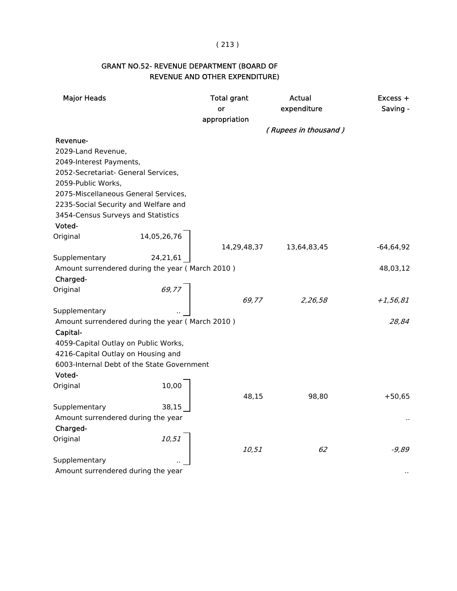#### ( 213 )

## GRANT NO.52- REVENUE DEPARTMENT (BOARD OF REVENUE AND OTHER EXPENDITURE)

| <b>Major Heads</b>                   |                                                 | <b>Total grant</b><br>or | Actual<br>expenditure | Excess +<br>Saving - |
|--------------------------------------|-------------------------------------------------|--------------------------|-----------------------|----------------------|
|                                      |                                                 | appropriation            |                       |                      |
|                                      |                                                 |                          | (Rupees in thousand)  |                      |
| Revenue-                             |                                                 |                          |                       |                      |
| 2029-Land Revenue,                   |                                                 |                          |                       |                      |
| 2049-Interest Payments,              |                                                 |                          |                       |                      |
| 2052-Secretariat- General Services,  |                                                 |                          |                       |                      |
| 2059-Public Works,                   |                                                 |                          |                       |                      |
|                                      | 2075-Miscellaneous General Services,            |                          |                       |                      |
|                                      | 2235-Social Security and Welfare and            |                          |                       |                      |
| 3454-Census Surveys and Statistics   |                                                 |                          |                       |                      |
| Voted-                               |                                                 |                          |                       |                      |
| Original                             | 14,05,26,76                                     |                          |                       |                      |
|                                      |                                                 | 14,29,48,37              | 13,64,83,45           | $-64,64,92$          |
| Supplementary                        | 24,21,61                                        |                          |                       |                      |
|                                      | Amount surrendered during the year (March 2010) |                          |                       | 48,03,12             |
| Charged-                             |                                                 |                          |                       |                      |
| Original                             | 69,77                                           |                          |                       |                      |
|                                      |                                                 | 69,77                    | 2,26,58               | $+1,56,81$           |
| Supplementary                        |                                                 |                          |                       |                      |
|                                      | Amount surrendered during the year (March 2010) |                          |                       | 28,84                |
| Capital-                             |                                                 |                          |                       |                      |
| 4059-Capital Outlay on Public Works, |                                                 |                          |                       |                      |
| 4216-Capital Outlay on Housing and   |                                                 |                          |                       |                      |
|                                      | 6003-Internal Debt of the State Government      |                          |                       |                      |
| Voted-                               |                                                 |                          |                       |                      |
| Original                             | 10,00                                           |                          |                       |                      |
|                                      |                                                 | 48,15                    | 98,80                 | $+50,65$             |
| Supplementary                        | 38,15                                           |                          |                       |                      |
| Amount surrendered during the year   |                                                 |                          |                       |                      |
| Charged-                             |                                                 |                          |                       |                      |
| Original                             | 10,51                                           |                          |                       |                      |
|                                      |                                                 | 10,51                    | 62                    | -9.89                |
| Supplementary                        |                                                 |                          |                       |                      |
| Amount surrendered during the year   |                                                 |                          |                       |                      |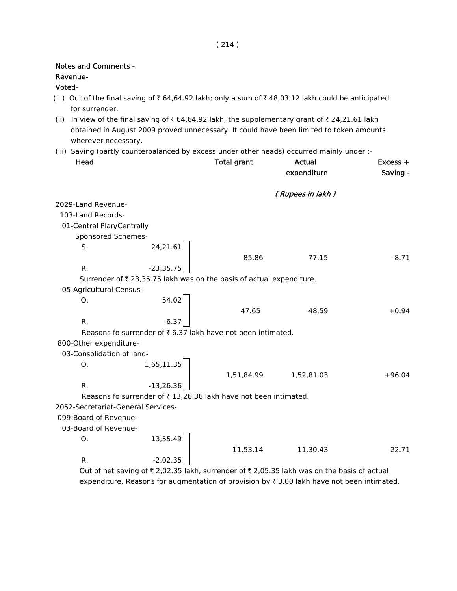| <b>Notes and Comments -</b>        |             |                                                                      |                                                                                                                                                                                            |                        |
|------------------------------------|-------------|----------------------------------------------------------------------|--------------------------------------------------------------------------------------------------------------------------------------------------------------------------------------------|------------------------|
| Revenue-                           |             |                                                                      |                                                                                                                                                                                            |                        |
| Voted-                             |             |                                                                      |                                                                                                                                                                                            |                        |
| for surrender.                     |             |                                                                      | (i) Out of the final saving of $\bar{\tau}$ 64,64.92 lakh; only a sum of $\bar{\tau}$ 48,03.12 lakh could be anticipated                                                                   |                        |
| wherever necessary.                |             |                                                                      | (ii) In view of the final saving of ₹ 64,64.92 lakh, the supplementary grant of ₹ 24,21.61 lakh<br>obtained in August 2009 proved unnecessary. It could have been limited to token amounts |                        |
|                                    |             |                                                                      | (iii) Saving (partly counterbalanced by excess under other heads) occurred mainly under :-                                                                                                 |                        |
| Head                               |             | <b>Total grant</b>                                                   | Actual<br>expenditure                                                                                                                                                                      | $Excess +$<br>Saving - |
|                                    |             |                                                                      | (Rupees in lakh)                                                                                                                                                                           |                        |
| 2029-Land Revenue-                 |             |                                                                      |                                                                                                                                                                                            |                        |
| 103-Land Records-                  |             |                                                                      |                                                                                                                                                                                            |                        |
| 01-Central Plan/Centrally          |             |                                                                      |                                                                                                                                                                                            |                        |
| Sponsored Schemes-                 |             |                                                                      |                                                                                                                                                                                            |                        |
| S.                                 | 24,21.61    |                                                                      |                                                                                                                                                                                            |                        |
|                                    |             | 85.86                                                                | 77.15                                                                                                                                                                                      | $-8.71$                |
| R.                                 | $-23,35.75$ |                                                                      |                                                                                                                                                                                            |                        |
|                                    |             | Surrender of ₹ 23,35.75 lakh was on the basis of actual expenditure. |                                                                                                                                                                                            |                        |
| 05-Agricultural Census-            |             |                                                                      |                                                                                                                                                                                            |                        |
| Ο.                                 | 54.02       |                                                                      |                                                                                                                                                                                            |                        |
|                                    |             | 47.65                                                                | 48.59                                                                                                                                                                                      | $+0.94$                |
| R.                                 | $-6.37$     |                                                                      |                                                                                                                                                                                            |                        |
|                                    |             | Reasons fo surrender of ₹6.37 lakh have not been intimated.          |                                                                                                                                                                                            |                        |
| 800-Other expenditure-             |             |                                                                      |                                                                                                                                                                                            |                        |
| 03-Consolidation of land-          |             |                                                                      |                                                                                                                                                                                            |                        |
| Ο.                                 | 1,65,11.35  |                                                                      |                                                                                                                                                                                            |                        |
|                                    |             | 1,51,84.99                                                           | 1,52,81.03                                                                                                                                                                                 | $+96.04$               |
| R.                                 | $-13,26.36$ |                                                                      |                                                                                                                                                                                            |                        |
|                                    |             | Reasons fo surrender of ₹13,26.36 lakh have not been intimated.      |                                                                                                                                                                                            |                        |
| 2052-Secretariat-General Services- |             |                                                                      |                                                                                                                                                                                            |                        |
| 099-Board of Revenue-              |             |                                                                      |                                                                                                                                                                                            |                        |
| 03-Board of Revenue-               |             |                                                                      |                                                                                                                                                                                            |                        |
| Ο.                                 | 13,55.49    |                                                                      |                                                                                                                                                                                            |                        |
|                                    |             | 11,53.14                                                             | 11,30.43                                                                                                                                                                                   | $-22.71$               |
| R.                                 | $-2,02.35$  |                                                                      |                                                                                                                                                                                            |                        |

Out of net saving of  $\bar{\tau}$  2,02.35 lakh, surrender of  $\bar{\tau}$  2,05.35 lakh was on the basis of actual expenditure. Reasons for augmentation of provision by  $\bar{\tau}$  3.00 lakh have not been intimated.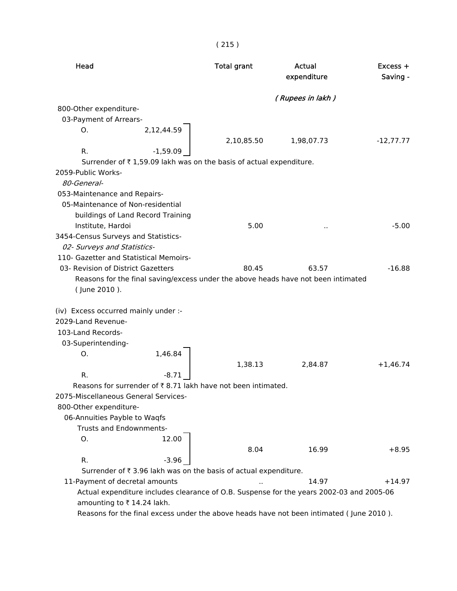| Head                                                                                     |            | <b>Total grant</b> | Actual<br>expenditure | $Excess +$<br>Saving - |
|------------------------------------------------------------------------------------------|------------|--------------------|-----------------------|------------------------|
|                                                                                          |            |                    | (Rupees in lakh )     |                        |
| 800-Other expenditure-                                                                   |            |                    |                       |                        |
| 03-Payment of Arrears-                                                                   |            |                    |                       |                        |
| Ο.                                                                                       | 2,12,44.59 |                    |                       |                        |
|                                                                                          |            | 2,10,85.50         | 1,98,07.73            | $-12,77.77$            |
| R.                                                                                       | $-1,59.09$ |                    |                       |                        |
| Surrender of ₹1,59.09 lakh was on the basis of actual expenditure.                       |            |                    |                       |                        |
| 2059-Public Works-                                                                       |            |                    |                       |                        |
| 80-General-                                                                              |            |                    |                       |                        |
| 053-Maintenance and Repairs-                                                             |            |                    |                       |                        |
| 05-Maintenance of Non-residential                                                        |            |                    |                       |                        |
| buildings of Land Record Training                                                        |            |                    |                       |                        |
| Institute, Hardoi                                                                        |            | 5.00               | $\cdot$ .             | $-5.00$                |
| 3454-Census Surveys and Statistics-                                                      |            |                    |                       |                        |
| 02- Surveys and Statistics-                                                              |            |                    |                       |                        |
| 110- Gazetter and Statistical Memoirs-                                                   |            |                    |                       |                        |
| 03- Revision of District Gazetters                                                       |            | 80.45              | 63.57                 | $-16.88$               |
| Reasons for the final saving/excess under the above heads have not been intimated        |            |                    |                       |                        |
| (June 2010).                                                                             |            |                    |                       |                        |
|                                                                                          |            |                    |                       |                        |
| (iv) Excess occurred mainly under :-                                                     |            |                    |                       |                        |
| 2029-Land Revenue-                                                                       |            |                    |                       |                        |
| 103-Land Records-                                                                        |            |                    |                       |                        |
| 03-Superintending-                                                                       |            |                    |                       |                        |
| О.                                                                                       | 1,46.84    |                    |                       |                        |
|                                                                                          |            | 1,38.13            | 2,84.87               | $+1,46.74$             |
| R.                                                                                       | $-8.71$    |                    |                       |                        |
| Reasons for surrender of ₹8.71 lakh have not been intimated.                             |            |                    |                       |                        |
| 2075-Miscellaneous General Services-                                                     |            |                    |                       |                        |
| 800-Other expenditure-                                                                   |            |                    |                       |                        |
| 06-Annuities Payble to Waqfs                                                             |            |                    |                       |                        |
| Trusts and Endownments-                                                                  |            |                    |                       |                        |
|                                                                                          | 12.00      |                    |                       |                        |
| О.                                                                                       |            |                    |                       |                        |
| R.                                                                                       | $-3.96$    | 8.04               | 16.99                 | $+8.95$                |
| Surrender of ₹3.96 lakh was on the basis of actual expenditure.                          |            |                    |                       |                        |
| 11-Payment of decretal amounts                                                           |            |                    |                       | $+14.97$               |
| Actual expenditure includes clearance of O.B. Suspense for the years 2002-03 and 2005-06 |            |                    | 14.97                 |                        |
| amounting to ₹14.24 lakh.                                                                |            |                    |                       |                        |
| Reasons for the final excess under the above heads have not been intimated (June 2010).  |            |                    |                       |                        |
|                                                                                          |            |                    |                       |                        |

( 215 )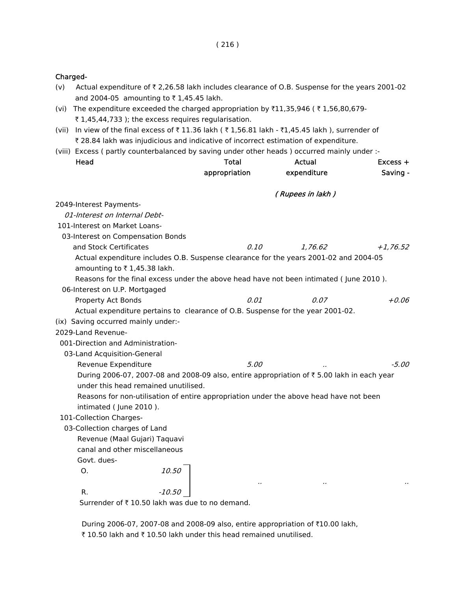#### Charged-

- (v) Actual expenditure of  $\bar{\tau}$  2,26.58 lakh includes clearance of O.B. Suspense for the years 2001-02 and 2004-05 amounting to  $\bar{\tau}$  1,45.45 lakh.
- (vi) The expenditure exceeded the charged appropriation by  $\bar{\tau}11,35,946$  ( $\bar{\tau}1,56,80,679$ - $\bar{\tau}$  1,45,44,733 ); the excess requires regularisation.
- (vii) In view of the final excess of  $\bar{\tau}$  11.36 lakh ( $\bar{\tau}$  1,56.81 lakh  $\bar{\tau}$ 1,45.45 lakh ), surrender of ₹ 28.84 lakh was injudicious and indicative of incorrect estimation of expenditure.
- (viii) Excess ( partly counterbalanced by saving under other heads ) occurred mainly under :-

| Head                                                                                   |        | Total         | Actual                                                                                    | Excess +   |
|----------------------------------------------------------------------------------------|--------|---------------|-------------------------------------------------------------------------------------------|------------|
|                                                                                        |        | appropriation | expenditure                                                                               | Saving -   |
|                                                                                        |        |               | (Rupees in lakh)                                                                          |            |
| 2049-Interest Payments-                                                                |        |               |                                                                                           |            |
| 01-Interest on Internal Debt-                                                          |        |               |                                                                                           |            |
| 101-Interest on Market Loans-                                                          |        |               |                                                                                           |            |
| 03-Interest on Compensation Bonds                                                      |        |               |                                                                                           |            |
| and Stock Certificates                                                                 |        | 0.10          | 1.76.62                                                                                   | $+1,76.52$ |
| Actual expenditure includes O.B. Suspense clearance for the years 2001-02 and 2004-05  |        |               |                                                                                           |            |
| amounting to ₹1,45.38 lakh.                                                            |        |               |                                                                                           |            |
| Reasons for the final excess under the above head have not been intimated (June 2010). |        |               |                                                                                           |            |
| 06-Interest on U.P. Mortgaged                                                          |        |               |                                                                                           |            |
| Property Act Bonds                                                                     |        | 0.01          | 0.07                                                                                      | $+0.06$    |
| Actual expenditure pertains to clearance of O.B. Suspense for the year 2001-02.        |        |               |                                                                                           |            |
| (ix) Saving occurred mainly under:-                                                    |        |               |                                                                                           |            |
| 2029-Land Revenue-                                                                     |        |               |                                                                                           |            |
| 001-Direction and Administration-                                                      |        |               |                                                                                           |            |
| 03-Land Acquisition-General                                                            |        |               |                                                                                           |            |
| Revenue Expenditure                                                                    |        | 5.00          |                                                                                           | $-5.00$    |
|                                                                                        |        |               | During 2006-07, 2007-08 and 2008-09 also, entire appropriation of ₹5.00 lakh in each year |            |
| under this head remained unutilised.                                                   |        |               |                                                                                           |            |
|                                                                                        |        |               | Reasons for non-utilisation of entire appropriation under the above head have not been    |            |
| intimated (June 2010).                                                                 |        |               |                                                                                           |            |
| 101-Collection Charges-                                                                |        |               |                                                                                           |            |
| 03-Collection charges of Land                                                          |        |               |                                                                                           |            |
| Revenue (Maal Gujari) Taquavi                                                          |        |               |                                                                                           |            |
| canal and other miscellaneous                                                          |        |               |                                                                                           |            |
| Govt. dues-                                                                            |        |               |                                                                                           |            |
| O <sub>r</sub>                                                                         | 10.50  |               |                                                                                           |            |
|                                                                                        |        |               |                                                                                           |            |
| R.                                                                                     | -10.50 |               |                                                                                           |            |

Surrender of  $\bar{\tau}$  10.50 lakh was due to no demand.

During 2006-07, 2007-08 and 2008-09 also, entire appropriation of ₹10.00 lakh, ₹ 10.50 lakh and ₹ 10.50 lakh under this head remained unutilised.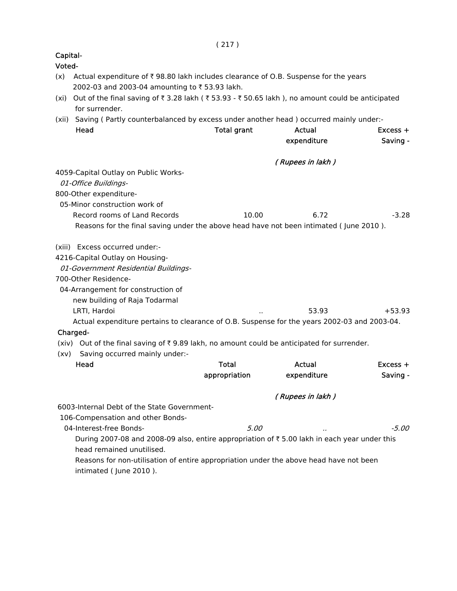| Capital-<br>Voted- |                                                                                                                                      |                    |                       |                        |
|--------------------|--------------------------------------------------------------------------------------------------------------------------------------|--------------------|-----------------------|------------------------|
| (x)                | Actual expenditure of ₹98.80 lakh includes clearance of O.B. Suspense for the years<br>2002-03 and 2003-04 amounting to ₹53.93 lakh. |                    |                       |                        |
| (xi)               | Out of the final saving of ₹3.28 lakh (₹53.93 - ₹50.65 lakh), no amount could be anticipated<br>for surrender.                       |                    |                       |                        |
| (xii)              | Saving (Partly counterbalanced by excess under another head) occurred mainly under:-                                                 |                    |                       |                        |
|                    | Head                                                                                                                                 | <b>Total grant</b> | Actual<br>expenditure | $Excess +$<br>Saving - |
|                    |                                                                                                                                      |                    | (Rupees in lakh)      |                        |
|                    | 4059-Capital Outlay on Public Works-                                                                                                 |                    |                       |                        |
|                    | 01-Office Buildings-                                                                                                                 |                    |                       |                        |
|                    | 800-Other expenditure-                                                                                                               |                    |                       |                        |
|                    | 05-Minor construction work of                                                                                                        |                    |                       |                        |
|                    | Record rooms of Land Records                                                                                                         | 10.00              | 6.72                  | $-3.28$                |
|                    | Reasons for the final saving under the above head have not been intimated (June 2010).                                               |                    |                       |                        |
|                    | (xiii) Excess occurred under:-                                                                                                       |                    |                       |                        |
|                    | 4216-Capital Outlay on Housing-                                                                                                      |                    |                       |                        |
|                    | 01-Government Residential Buildings-                                                                                                 |                    |                       |                        |
|                    | 700-Other Residence-                                                                                                                 |                    |                       |                        |
|                    | 04-Arrangement for construction of                                                                                                   |                    |                       |                        |
|                    | new building of Raja Todarmal                                                                                                        |                    |                       |                        |
|                    | LRTI, Hardoi                                                                                                                         |                    | 53.93                 | $+53.93$               |
|                    | Actual expenditure pertains to clearance of O.B. Suspense for the years 2002-03 and 2003-04.                                         |                    |                       |                        |
|                    | Charged-                                                                                                                             |                    |                       |                        |
|                    | (xiv) Out of the final saving of ₹9.89 lakh, no amount could be anticipated for surrender.                                           |                    |                       |                        |
|                    | (xv) Saving occurred mainly under:-                                                                                                  |                    |                       |                        |
|                    | Head                                                                                                                                 | <b>Total</b>       | Actual                | $Excess +$             |
|                    |                                                                                                                                      | appropriation      | expenditure           | Saving -               |
|                    |                                                                                                                                      |                    | (Rupees in lakh)      |                        |
|                    | 6003-Internal Debt of the State Government-                                                                                          |                    |                       |                        |
|                    | 106-Compensation and other Bonds-                                                                                                    |                    |                       |                        |
|                    | 04-Interest-free Bonds-                                                                                                              | 5.00               |                       | -5.00                  |
|                    | During 2007-08 and 2008-09 also, entire appropriation of ₹5.00 lakh in each year under this                                          |                    |                       |                        |
|                    | head remained unutilised.                                                                                                            |                    |                       |                        |
|                    | Reasons for non-utilisation of entire appropriation under the above head have not been                                               |                    |                       |                        |
|                    | intimated (June 2010).                                                                                                               |                    |                       |                        |
|                    |                                                                                                                                      |                    |                       |                        |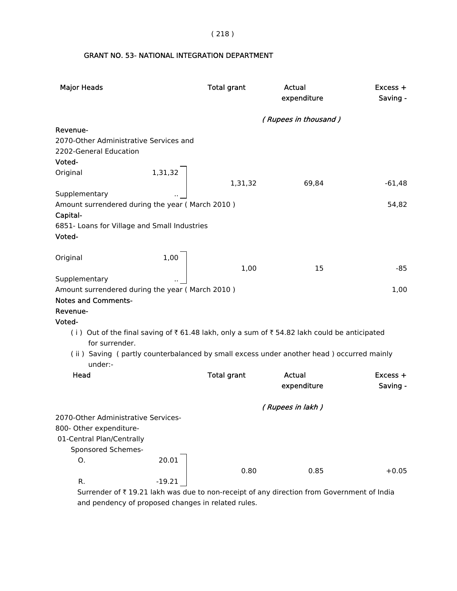( 218 )

# GRANT NO. 53- NATIONAL INTEGRATION DEPARTMENT

| <b>Major Heads</b>                              |          | <b>Total grant</b> | <b>Actual</b><br>expenditure                                                                 | Excess +<br>Saving - |
|-------------------------------------------------|----------|--------------------|----------------------------------------------------------------------------------------------|----------------------|
|                                                 |          |                    | (Rupees in thousand)                                                                         |                      |
| Revenue-                                        |          |                    |                                                                                              |                      |
| 2070-Other Administrative Services and          |          |                    |                                                                                              |                      |
| 2202-General Education                          |          |                    |                                                                                              |                      |
| Voted-                                          |          |                    |                                                                                              |                      |
| Original                                        | 1,31,32  |                    |                                                                                              |                      |
|                                                 |          | 1,31,32            | 69,84                                                                                        | $-61,48$             |
| Supplementary                                   |          |                    |                                                                                              |                      |
| Amount surrendered during the year (March 2010) |          |                    |                                                                                              | 54,82                |
| Capital-                                        |          |                    |                                                                                              |                      |
| 6851- Loans for Village and Small Industries    |          |                    |                                                                                              |                      |
| Voted-                                          |          |                    |                                                                                              |                      |
|                                                 |          |                    |                                                                                              |                      |
| Original                                        | 1,00     |                    |                                                                                              |                      |
|                                                 |          | 1,00               | 15                                                                                           | $-85$                |
| Supplementary                                   |          |                    |                                                                                              |                      |
| Amount surrendered during the year (March 2010) |          |                    |                                                                                              | 1,00                 |
| <b>Notes and Comments-</b>                      |          |                    |                                                                                              |                      |
| Revenue-                                        |          |                    |                                                                                              |                      |
| Voted-                                          |          |                    |                                                                                              |                      |
| for surrender.                                  |          |                    | (i) Out of the final saving of ₹ 61.48 lakh, only a sum of ₹ 54.82 lakh could be anticipated |                      |
| under:-                                         |          |                    | (ii) Saving (partly counterbalanced by small excess under another head) occurred mainly      |                      |
| <b>Head</b>                                     |          | <b>Total grant</b> | <b>Actual</b>                                                                                | Excess +             |
|                                                 |          |                    | expenditure                                                                                  | Saving -             |
|                                                 |          |                    |                                                                                              |                      |
|                                                 |          |                    | (Rupees in lakh)                                                                             |                      |
| 2070-Other Administrative Services-             |          |                    |                                                                                              |                      |
| 800- Other expenditure-                         |          |                    |                                                                                              |                      |
| 01-Central Plan/Centrally                       |          |                    |                                                                                              |                      |
| Sponsored Schemes-                              |          |                    |                                                                                              |                      |
| 0.                                              | 20.01    |                    |                                                                                              |                      |
|                                                 |          | 0.80               | 0.85                                                                                         | $+0.05$              |
| R.                                              | $-19.21$ |                    |                                                                                              |                      |
|                                                 |          |                    | Surrender of ₹19.21 lakh was due to non-receipt of any direction from Government of India    |                      |

 Surrender of ` 19.21 lakh was due to non-receipt of any direction from Government of India and pendency of proposed changes in related rules.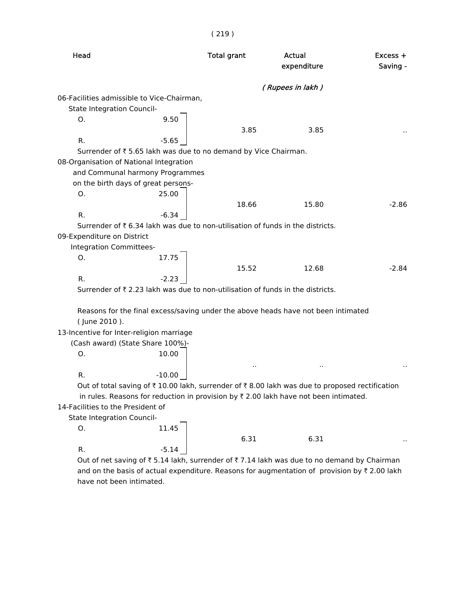| Head                                       |          | <b>Total grant</b>                                              | Actual<br>expenditure                                                                                                 | $Excess +$<br>Saving - |
|--------------------------------------------|----------|-----------------------------------------------------------------|-----------------------------------------------------------------------------------------------------------------------|------------------------|
|                                            |          |                                                                 | (Rupees in lakh)                                                                                                      |                        |
| 06-Facilities admissible to Vice-Chairman, |          |                                                                 |                                                                                                                       |                        |
| State Integration Council-                 |          |                                                                 |                                                                                                                       |                        |
| Ο.                                         | 9.50     |                                                                 |                                                                                                                       |                        |
|                                            |          | 3.85                                                            | 3.85                                                                                                                  |                        |
| R.                                         | $-5.65$  |                                                                 |                                                                                                                       |                        |
|                                            |          | Surrender of ₹ 5.65 lakh was due to no demand by Vice Chairman. |                                                                                                                       |                        |
| 08-Organisation of National Integration    |          |                                                                 |                                                                                                                       |                        |
| and Communal harmony Programmes            |          |                                                                 |                                                                                                                       |                        |
| on the birth days of great persons-        |          |                                                                 |                                                                                                                       |                        |
| О.                                         | 25.00    |                                                                 |                                                                                                                       |                        |
|                                            |          | 18.66                                                           | 15.80                                                                                                                 | $-2.86$                |
| R.                                         | $-6.34$  |                                                                 |                                                                                                                       |                        |
|                                            |          |                                                                 | Surrender of ₹6.34 lakh was due to non-utilisation of funds in the districts.                                         |                        |
| 09-Expenditure on District                 |          |                                                                 |                                                                                                                       |                        |
| Integration Committees-                    |          |                                                                 |                                                                                                                       |                        |
| О.                                         | 17.75    |                                                                 |                                                                                                                       |                        |
|                                            |          | 15.52                                                           | 12.68                                                                                                                 | $-2.84$                |
| R.                                         | $-2.23$  |                                                                 |                                                                                                                       |                        |
|                                            |          |                                                                 | Surrender of ₹2.23 lakh was due to non-utilisation of funds in the districts.                                         |                        |
|                                            |          |                                                                 | Reasons for the final excess/saving under the above heads have not been intimated                                     |                        |
| (June 2010).                               |          |                                                                 |                                                                                                                       |                        |
| 13-Incentive for Inter-religion marriage   |          |                                                                 |                                                                                                                       |                        |
| (Cash award) (State Share 100%)-           |          |                                                                 |                                                                                                                       |                        |
| O.                                         | 10.00    |                                                                 |                                                                                                                       |                        |
|                                            |          |                                                                 |                                                                                                                       |                        |
| R.                                         | $-10.00$ |                                                                 |                                                                                                                       |                        |
|                                            |          |                                                                 | Out of total saving of $\bar{\tau}$ 10.00 lakh, surrender of $\bar{\tau}$ 8.00 lakh was due to proposed rectification |                        |
|                                            |          |                                                                 | in rules. Reasons for reduction in provision by ₹ 2.00 lakh have not been intimated.                                  |                        |
| 14-Facilities to the President of          |          |                                                                 |                                                                                                                       |                        |
| State Integration Council-                 |          |                                                                 |                                                                                                                       |                        |
| О.                                         | 11.45    |                                                                 |                                                                                                                       |                        |
|                                            |          | 6.31                                                            | 6.31                                                                                                                  |                        |
| R.                                         | $-5.14$  |                                                                 |                                                                                                                       |                        |

( 219 )

Out of net saving of  $\bar{\tau}$  5.14 lakh, surrender of  $\bar{\tau}$  7.14 lakh was due to no demand by Chairman and on the basis of actual expenditure. Reasons for augmentation of provision by  $\bar{\tau}$  2.00 lakh have not been intimated.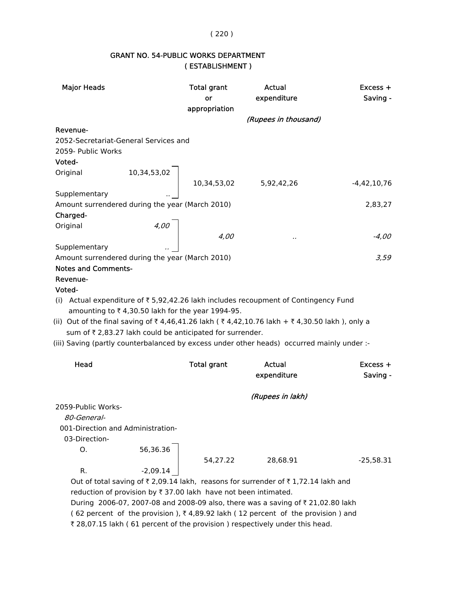( 220 )

## GRANT NO. 54-PUBLIC WORKS DEPARTMENT ( ESTABLISHMENT )

| <b>Major Heads</b>                                                                                                                                                                                                                                                                                                  |             | <b>Total grant</b><br>or<br>appropriation | Actual<br>expenditure<br>(Rupees in thousand)                                      | $Excess +$<br>Saving - |
|---------------------------------------------------------------------------------------------------------------------------------------------------------------------------------------------------------------------------------------------------------------------------------------------------------------------|-------------|-------------------------------------------|------------------------------------------------------------------------------------|------------------------|
| Revenue-                                                                                                                                                                                                                                                                                                            |             |                                           |                                                                                    |                        |
| 2052-Secretariat-General Services and                                                                                                                                                                                                                                                                               |             |                                           |                                                                                    |                        |
| 2059- Public Works                                                                                                                                                                                                                                                                                                  |             |                                           |                                                                                    |                        |
| Voted-                                                                                                                                                                                                                                                                                                              |             |                                           |                                                                                    |                        |
| Original                                                                                                                                                                                                                                                                                                            |             |                                           |                                                                                    |                        |
|                                                                                                                                                                                                                                                                                                                     | 10,34,53,02 |                                           | 10,34,53,02 5,92,42,26                                                             | $-4,42,10,76$          |
| Supplementary                                                                                                                                                                                                                                                                                                       |             |                                           |                                                                                    |                        |
| Amount surrendered during the year (March 2010)                                                                                                                                                                                                                                                                     |             |                                           |                                                                                    | 2,83,27                |
| Charged-                                                                                                                                                                                                                                                                                                            |             |                                           |                                                                                    |                        |
| Original                                                                                                                                                                                                                                                                                                            |             |                                           |                                                                                    |                        |
|                                                                                                                                                                                                                                                                                                                     | 4,00        | 4,00                                      |                                                                                    | $-4,00$                |
| Supplementary                                                                                                                                                                                                                                                                                                       |             |                                           |                                                                                    |                        |
| Amount surrendered during the year (March 2010)                                                                                                                                                                                                                                                                     |             |                                           |                                                                                    | 3,59                   |
| <b>Notes and Comments-</b>                                                                                                                                                                                                                                                                                          |             |                                           |                                                                                    |                        |
| Revenue-                                                                                                                                                                                                                                                                                                            |             |                                           |                                                                                    |                        |
| Voted-                                                                                                                                                                                                                                                                                                              |             |                                           |                                                                                    |                        |
| (i) Actual expenditure of $\overline{\tau}$ 5,92,42.26 lakh includes recoupment of Contingency Fund<br>amounting to ₹4,30.50 lakh for the year 1994-95.<br>(ii) Out of the final saving of ₹4,46,41.26 lakh (₹4,42,10.76 lakh + ₹4,30.50 lakh), only a<br>sum of ₹ 2,83.27 lakh could be anticipated for surrender. |             |                                           |                                                                                    |                        |
| (iii) Saving (partly counterbalanced by excess under other heads) occurred mainly under :-                                                                                                                                                                                                                          |             |                                           |                                                                                    |                        |
|                                                                                                                                                                                                                                                                                                                     |             |                                           |                                                                                    |                        |
| Head                                                                                                                                                                                                                                                                                                                |             | <b>Total grant</b>                        | Actual                                                                             | Excess +               |
|                                                                                                                                                                                                                                                                                                                     |             |                                           | expenditure                                                                        | Saving -               |
|                                                                                                                                                                                                                                                                                                                     |             |                                           |                                                                                    |                        |
|                                                                                                                                                                                                                                                                                                                     |             |                                           | (Rupees in lakh)                                                                   |                        |
| 2059-Public Works-                                                                                                                                                                                                                                                                                                  |             |                                           |                                                                                    |                        |
| 80-General-                                                                                                                                                                                                                                                                                                         |             |                                           |                                                                                    |                        |
| 001-Direction and Administration-                                                                                                                                                                                                                                                                                   |             |                                           |                                                                                    |                        |
| 03-Direction-                                                                                                                                                                                                                                                                                                       |             |                                           |                                                                                    |                        |
| О.                                                                                                                                                                                                                                                                                                                  | 56,36.36    |                                           |                                                                                    |                        |
|                                                                                                                                                                                                                                                                                                                     | $-2,09.14$  | 54,27.22                                  | 28,68.91                                                                           | $-25,58.31$            |
| R.                                                                                                                                                                                                                                                                                                                  |             |                                           |                                                                                    |                        |
|                                                                                                                                                                                                                                                                                                                     |             |                                           | Out of total saving of ₹ 2,09.14 lakh, reasons for surrender of ₹ 1,72.14 lakh and |                        |
| reduction of provision by ₹ 37.00 lakh have not been intimated.                                                                                                                                                                                                                                                     |             |                                           |                                                                                    |                        |
|                                                                                                                                                                                                                                                                                                                     |             |                                           | During 2006-07, 2007-08 and 2008-09 also, there was a saving of ₹ 21,02.80 lakh    |                        |
|                                                                                                                                                                                                                                                                                                                     |             |                                           | (62 percent of the provision), ₹4,89.92 lakh (12 percent of the provision) and     |                        |

₹ 28,07.15 lakh ( 61 percent of the provision ) respectively under this head.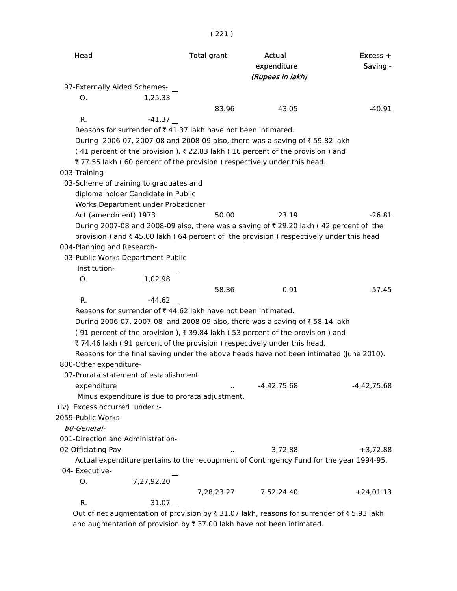( 221 )

| Head                                                                                              | <b>Total grant</b> | Actual<br>expenditure<br>(Rupees in lakh) | $Excess +$<br>Saving - |
|---------------------------------------------------------------------------------------------------|--------------------|-------------------------------------------|------------------------|
| 97-Externally Aided Schemes-                                                                      |                    |                                           |                        |
| 1,25.33<br>O.                                                                                     |                    |                                           |                        |
|                                                                                                   | 83.96              | 43.05                                     | $-40.91$               |
| $-41.37$<br>R.                                                                                    |                    |                                           |                        |
| Reasons for surrender of ₹41.37 lakh have not been intimated.                                     |                    |                                           |                        |
| During 2006-07, 2007-08 and 2008-09 also, there was a saving of ₹59.82 lakh                       |                    |                                           |                        |
| (41 percent of the provision), ₹22.83 lakh (16 percent of the provision) and                      |                    |                                           |                        |
| ₹77.55 lakh (60 percent of the provision) respectively under this head.                           |                    |                                           |                        |
| 003-Training-                                                                                     |                    |                                           |                        |
| 03-Scheme of training to graduates and                                                            |                    |                                           |                        |
| diploma holder Candidate in Public                                                                |                    |                                           |                        |
| Works Department under Probationer                                                                |                    |                                           |                        |
| Act (amendment) 1973                                                                              | 50.00              | 23.19                                     | $-26.81$               |
| During 2007-08 and 2008-09 also, there was a saving of ₹29.20 lakh (42 percent of the             |                    |                                           |                        |
| provision) and $\bar{\tau}$ 45.00 lakh (64 percent of the provision) respectively under this head |                    |                                           |                        |
| 004-Planning and Research-                                                                        |                    |                                           |                        |
| 03-Public Works Department-Public                                                                 |                    |                                           |                        |
| Institution-                                                                                      |                    |                                           |                        |
| O.                                                                                                |                    |                                           |                        |
| 1,02.98                                                                                           | 58.36              | 0.91                                      | $-57.45$               |
| R.                                                                                                |                    |                                           |                        |
| Reasons for surrender of ₹44.62 lakh have not been intimated.                                     |                    |                                           |                        |
| During 2006-07, 2007-08 and 2008-09 also, there was a saving of ₹58.14 lakh                       |                    |                                           |                        |
| (91 percent of the provision), ₹39.84 lakh (53 percent of the provision) and                      |                    |                                           |                        |
| ₹74.46 lakh (91 percent of the provision) respectively under this head.                           |                    |                                           |                        |
| Reasons for the final saving under the above heads have not been intimated (June 2010).           |                    |                                           |                        |
| 800-Other expenditure-                                                                            |                    |                                           |                        |
| 07-Prorata statement of establishment                                                             |                    |                                           |                        |
| expenditure                                                                                       |                    | $-4,42,75.68$                             | $-4,42,75.68$          |
| Minus expenditure is due to prorata adjustment.                                                   |                    |                                           |                        |
| (iv) Excess occurred under :-                                                                     |                    |                                           |                        |
| 2059-Public Works-                                                                                |                    |                                           |                        |
| 80-General-                                                                                       |                    |                                           |                        |
| 001-Direction and Administration-                                                                 |                    |                                           |                        |
| 02-Officiating Pay                                                                                |                    | 3,72.88                                   | $+3,72.88$             |
| Actual expenditure pertains to the recoupment of Contingency Fund for the year 1994-95.           |                    |                                           |                        |
| 04- Executive-                                                                                    |                    |                                           |                        |
| 7,27,92.20<br>О.                                                                                  |                    |                                           |                        |
|                                                                                                   | 7,28,23.27         | 7,52,24.40                                | $+24,01.13$            |
| 31.07<br>R.                                                                                       |                    |                                           |                        |

Out of net augmentation of provision by  $\bar{\tau}$  31.07 lakh, reasons for surrender of  $\bar{\tau}$  5.93 lakh and augmentation of provision by  $\bar{\tau}$  37.00 lakh have not been intimated.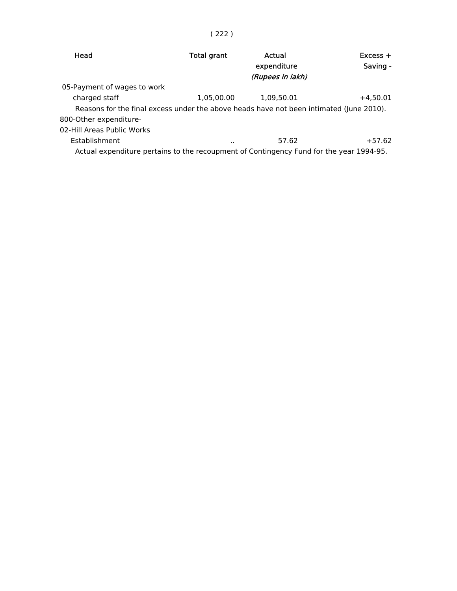# ( 222 )

| Head                        | <b>Total grant</b>                                                                      | Actual<br>expenditure<br>(Rupees in lakh) | $Excess +$<br>Saving - |
|-----------------------------|-----------------------------------------------------------------------------------------|-------------------------------------------|------------------------|
| 05-Payment of wages to work |                                                                                         |                                           |                        |
| charged staff               | 1,05,00.00                                                                              | 1,09,50.01                                | $+4.50.01$             |
|                             | Reasons for the final excess under the above heads have not been intimated (June 2010). |                                           |                        |
| 800-Other expenditure-      |                                                                                         |                                           |                        |
| 02-Hill Areas Public Works  |                                                                                         |                                           |                        |
| <b>Establishment</b>        | $\cdot$ .                                                                               | 57.62                                     | $+57.62$               |
|                             | Actual expenditure pertains to the recoupment of Contingency Fund for the year 1994-95. |                                           |                        |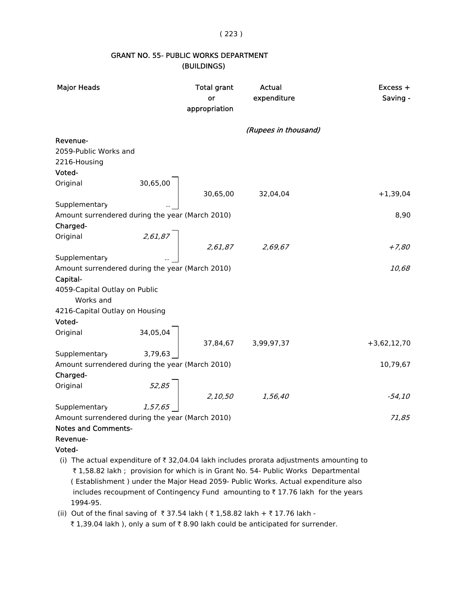( 223 )

#### GRANT NO. 55- PUBLIC WORKS DEPARTMENT (BUILDINGS)

| <b>Major Heads</b>                              |                                      | <b>Total grant</b><br>or<br>appropriation | Actual<br>expenditure                                                                              | $Excess +$<br>Saving - |
|-------------------------------------------------|--------------------------------------|-------------------------------------------|----------------------------------------------------------------------------------------------------|------------------------|
|                                                 |                                      |                                           | (Rupees in thousand)                                                                               |                        |
| Revenue-                                        |                                      |                                           |                                                                                                    |                        |
| 2059-Public Works and                           |                                      |                                           |                                                                                                    |                        |
| 2216-Housing                                    |                                      |                                           |                                                                                                    |                        |
| Voted-                                          |                                      |                                           |                                                                                                    |                        |
| Original                                        | 30,65,00                             |                                           |                                                                                                    |                        |
|                                                 |                                      |                                           | 30,65,00 32,04,04                                                                                  | $+1,39,04$             |
| Supplementary                                   |                                      |                                           |                                                                                                    |                        |
| Amount surrendered during the year (March 2010) |                                      |                                           |                                                                                                    | 8,90                   |
| Charged-                                        |                                      |                                           |                                                                                                    |                        |
| Original                                        | 2,61,87                              |                                           |                                                                                                    |                        |
|                                                 |                                      |                                           | $2,61,87$ 2,69,67                                                                                  | $+7,80$                |
| Supplementary                                   |                                      |                                           |                                                                                                    |                        |
| Amount surrendered during the year (March 2010) |                                      |                                           |                                                                                                    | 10,68                  |
| Capital-                                        |                                      |                                           |                                                                                                    |                        |
| 4059-Capital Outlay on Public                   |                                      |                                           |                                                                                                    |                        |
| Works and                                       |                                      |                                           |                                                                                                    |                        |
| 4216-Capital Outlay on Housing                  |                                      |                                           |                                                                                                    |                        |
| Voted-                                          |                                      |                                           |                                                                                                    |                        |
| Original                                        | $34,05,04$<br>37,84,67<br>3,99,97,37 |                                           |                                                                                                    |                        |
|                                                 |                                      |                                           |                                                                                                    | $+3,62,12,70$          |
| Supplementary                                   | 3,79,63                              |                                           |                                                                                                    |                        |
| Amount surrendered during the year (March 2010) |                                      |                                           |                                                                                                    | 10,79,67               |
| Charged-                                        |                                      |                                           |                                                                                                    |                        |
| Original                                        |                                      |                                           |                                                                                                    |                        |
|                                                 | 52,85                                |                                           | 2,10,50 1,56,40                                                                                    | $-54, 10$              |
| Supplementary                                   | 1,57,65                              |                                           |                                                                                                    |                        |
| Amount surrendered during the year (March 2010) |                                      |                                           |                                                                                                    | 71,85                  |
| <b>Notes and Comments-</b>                      |                                      |                                           |                                                                                                    |                        |
| Revenue-                                        |                                      |                                           |                                                                                                    |                        |
| Voted-                                          |                                      |                                           |                                                                                                    |                        |
|                                                 |                                      |                                           | (i) The actual expenditure of $\bar{\tau}$ 32 04 04 lakh includes prorata adjustments amounting to |                        |

- (i) The actual expenditure of  $\zeta$  32,04.04 lakh includes prorata adjustments amounting to ` 1,58.82 lakh ; provision for which is in Grant No. 54- Public Works Departmental ( Establishment ) under the Major Head 2059- Public Works. Actual expenditure also includes recoupment of Contingency Fund amounting to  $\bar{\tau}$  17.76 lakh for the years 1994-95.
- (ii) Out of the final saving of ₹37.54 lakh (₹1,58.82 lakh + ₹17.76 lakh -₹ 1,39.04 lakh ), only a sum of ₹ 8.90 lakh could be anticipated for surrender.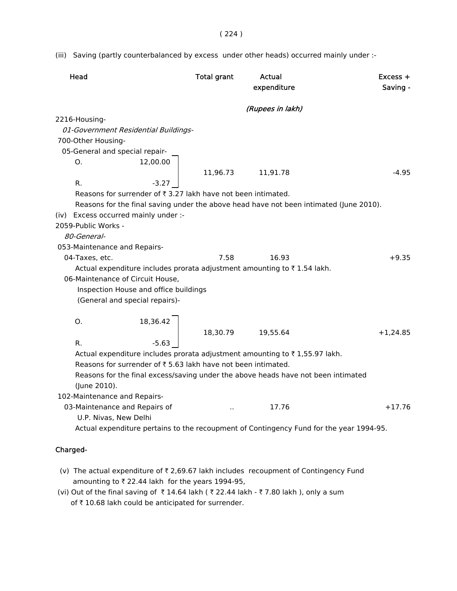( 224 )

(iii) Saving (partly counterbalanced by excess under other heads) occurred mainly under :-

| Head                                                         |          | <b>Total grant</b>   | Actual<br>expenditure                                                             | $Excess +$<br>Saving -                                                                  |
|--------------------------------------------------------------|----------|----------------------|-----------------------------------------------------------------------------------|-----------------------------------------------------------------------------------------|
|                                                              |          |                      | (Rupees in lakh)                                                                  |                                                                                         |
| 2216-Housing-                                                |          |                      |                                                                                   |                                                                                         |
| 01-Government Residential Buildings-                         |          |                      |                                                                                   |                                                                                         |
| 700-Other Housing-                                           |          |                      |                                                                                   |                                                                                         |
| 05-General and special repair-                               |          |                      |                                                                                   |                                                                                         |
| O.                                                           | 12,00.00 |                      |                                                                                   |                                                                                         |
|                                                              |          | 11,96.73             | 11,91.78                                                                          | $-4.95$                                                                                 |
| R.                                                           | $-3.27$  |                      |                                                                                   |                                                                                         |
| Reasons for surrender of ₹3.27 lakh have not been intimated. |          |                      |                                                                                   |                                                                                         |
|                                                              |          |                      |                                                                                   | Reasons for the final saving under the above head have not been intimated (June 2010).  |
| (iv) Excess occurred mainly under :-                         |          |                      |                                                                                   |                                                                                         |
| 2059-Public Works -                                          |          |                      |                                                                                   |                                                                                         |
| 80-General-                                                  |          |                      |                                                                                   |                                                                                         |
| 053-Maintenance and Repairs-                                 |          |                      |                                                                                   |                                                                                         |
| 04-Taxes, etc.                                               |          | 7.58                 | 16.93                                                                             | $+9.35$                                                                                 |
|                                                              |          |                      | Actual expenditure includes prorata adjustment amounting to ₹1.54 lakh.           |                                                                                         |
| 06-Maintenance of Circuit House,                             |          |                      |                                                                                   |                                                                                         |
| Inspection House and office buildings                        |          |                      |                                                                                   |                                                                                         |
| (General and special repairs)-                               |          |                      |                                                                                   |                                                                                         |
|                                                              |          |                      |                                                                                   |                                                                                         |
| Ο.                                                           | 18,36.42 |                      |                                                                                   |                                                                                         |
|                                                              |          | 18,30.79             | 19,55.64                                                                          | $+1,24.85$                                                                              |
| R.                                                           | $-5.63$  |                      |                                                                                   |                                                                                         |
|                                                              |          |                      | Actual expenditure includes prorata adjustment amounting to ₹1,55.97 lakh.        |                                                                                         |
| Reasons for surrender of ₹5.63 lakh have not been intimated. |          |                      |                                                                                   |                                                                                         |
|                                                              |          |                      | Reasons for the final excess/saving under the above heads have not been intimated |                                                                                         |
| (June 2010).                                                 |          |                      |                                                                                   |                                                                                         |
| 102-Maintenance and Repairs-                                 |          |                      |                                                                                   |                                                                                         |
| 03-Maintenance and Repairs of                                |          | $\ddot{\phantom{a}}$ | 17.76                                                                             | $+17.76$                                                                                |
| U.P. Nivas, New Delhi                                        |          |                      |                                                                                   |                                                                                         |
|                                                              |          |                      |                                                                                   | Actual expenditure pertains to the recoupment of Contingency Fund for the year 1994-95. |
| Charged-                                                     |          |                      |                                                                                   |                                                                                         |

- (v) The actual expenditure of  $\bar{\tau}$  2,69.67 lakh includes recoupment of Contingency Fund amounting to  $\bar{z}$  22.44 lakh for the years 1994-95, (vi) Out of the final saving of  $\bar{\tau}$  14.64 lakh (  $\bar{\tau}$  22.44 lakh -  $\bar{\tau}$  7.80 lakh ), only a sum
- of  $\bar{\tau}$  10.68 lakh could be anticipated for surrender.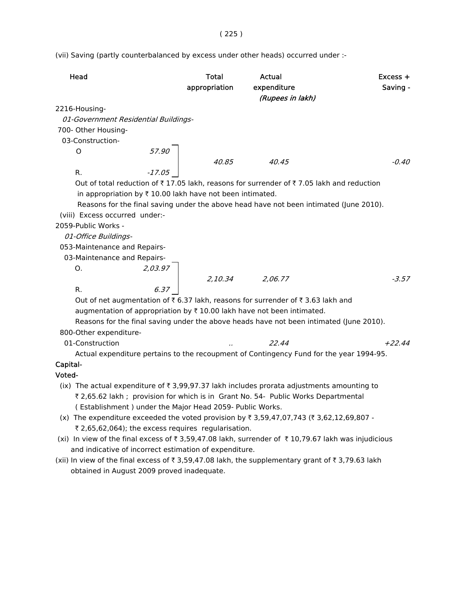(vii) Saving (partly counterbalanced by excess under other heads) occurred under :-

| Head                                                                                                            | <b>Total</b><br>appropriation | Actual<br>expenditure<br>(Rupees in lakh)                                                                                                                                          | $Excess +$<br>Saving - |
|-----------------------------------------------------------------------------------------------------------------|-------------------------------|------------------------------------------------------------------------------------------------------------------------------------------------------------------------------------|------------------------|
| 2216-Housing-                                                                                                   |                               |                                                                                                                                                                                    |                        |
| 01-Government Residential Buildings-                                                                            |                               |                                                                                                                                                                                    |                        |
| 700- Other Housing-                                                                                             |                               |                                                                                                                                                                                    |                        |
| 03-Construction-                                                                                                |                               |                                                                                                                                                                                    |                        |
| O                                                                                                               | $57.90$<br>$-17.05$           |                                                                                                                                                                                    |                        |
|                                                                                                                 |                               | 40.85 40.45                                                                                                                                                                        | -0.40                  |
| R.                                                                                                              |                               |                                                                                                                                                                                    |                        |
| in appropriation by ₹ 10.00 lakh have not been intimated.<br>(viii) Excess occurred under:-                     |                               | Out of total reduction of ₹17.05 lakh, reasons for surrender of ₹7.05 lakh and reduction<br>Reasons for the final saving under the above head have not been intimated (June 2010). |                        |
| 2059-Public Works -                                                                                             |                               |                                                                                                                                                                                    |                        |
| 01-Office Buildings-                                                                                            |                               |                                                                                                                                                                                    |                        |
| 053-Maintenance and Repairs-                                                                                    |                               |                                                                                                                                                                                    |                        |
| 03-Maintenance and Repairs-                                                                                     |                               |                                                                                                                                                                                    |                        |
| 2,03.97<br>О.                                                                                                   |                               |                                                                                                                                                                                    |                        |
|                                                                                                                 |                               |                                                                                                                                                                                    | $-3.57$                |
| R.                                                                                                              |                               | 2,10.34 2,06.77                                                                                                                                                                    |                        |
|                                                                                                                 |                               | Out of net augmentation of ₹6.37 lakh, reasons for surrender of ₹3.63 lakh and                                                                                                     |                        |
|                                                                                                                 |                               | augmentation of appropriation by ₹ 10.00 lakh have not been intimated.                                                                                                             |                        |
|                                                                                                                 |                               | Reasons for the final saving under the above heads have not been intimated (June 2010).                                                                                            |                        |
| 800-Other expenditure-                                                                                          |                               |                                                                                                                                                                                    |                        |
| 01-Construction                                                                                                 |                               | 22.44                                                                                                                                                                              | $+22.44$               |
|                                                                                                                 |                               | Actual expenditure pertains to the recoupment of Contingency Fund for the year 1994-95.                                                                                            |                        |
| Capital-                                                                                                        |                               |                                                                                                                                                                                    |                        |
| Voted-                                                                                                          |                               |                                                                                                                                                                                    |                        |
| (ix) The actual expenditure of $\overline{\tau}$ 3,99,97.37 lakh includes prorata adjustments amounting to      |                               |                                                                                                                                                                                    |                        |
|                                                                                                                 |                               | ₹ 2,65.62 lakh ; provision for which is in Grant No. 54- Public Works Departmental                                                                                                 |                        |
| (Establishment) under the Major Head 2059- Public Works.                                                        |                               |                                                                                                                                                                                    |                        |
| (x) The expenditure exceeded the voted provision by $\bar{\tau}$ 3,59,47,07,743 ( $\bar{\tau}$ 3,62,12,69,807 - |                               |                                                                                                                                                                                    |                        |
| ₹ 2,65,62,064); the excess requires regularisation.                                                             |                               |                                                                                                                                                                                    |                        |

- (xi) In view of the final excess of  $\bar{\tau}$  3,59,47.08 lakh, surrender of  $\bar{\tau}$  10,79.67 lakh was injudicious and indicative of incorrect estimation of expenditure.
- (xii) In view of the final excess of  $\bar{\tau}$  3,59,47.08 lakh, the supplementary grant of  $\bar{\tau}$  3,79.63 lakh obtained in August 2009 proved inadequate.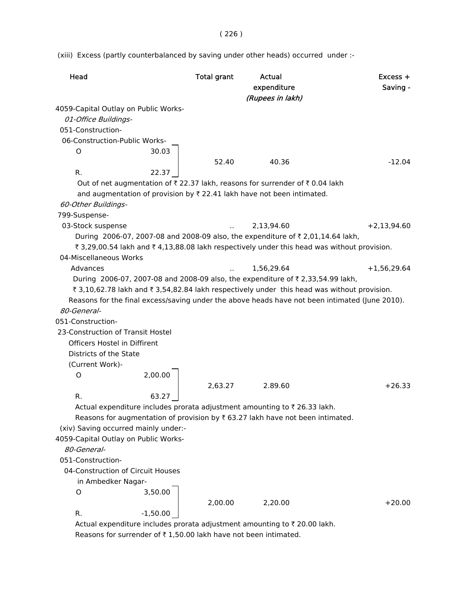( 226 )

(xiii) Excess (partly counterbalanced by saving under other heads) occurred under :-

| Head                                                                                                | <b>Total grant</b>   | Actual<br>expenditure<br>(Rupees in lakh) | $Excess +$<br>Saving - |
|-----------------------------------------------------------------------------------------------------|----------------------|-------------------------------------------|------------------------|
| 4059-Capital Outlay on Public Works-                                                                |                      |                                           |                        |
| 01-Office Buildings-                                                                                |                      |                                           |                        |
| 051-Construction-                                                                                   |                      |                                           |                        |
| 06-Construction-Public Works-                                                                       |                      |                                           |                        |
| 30.03<br>O                                                                                          |                      |                                           |                        |
|                                                                                                     | 52.40                | 40.36                                     | $-12.04$               |
| R.<br>22.37                                                                                         |                      |                                           |                        |
| Out of net augmentation of $\bar{\tau}$ 22.37 lakh, reasons for surrender of $\bar{\tau}$ 0.04 lakh |                      |                                           |                        |
| and augmentation of provision by ₹ 22.41 lakh have not been intimated.                              |                      |                                           |                        |
| 60-Other Buildings-                                                                                 |                      |                                           |                        |
| 799-Suspense-                                                                                       |                      |                                           |                        |
| 03-Stock suspense                                                                                   |                      | 2,13,94.60                                | $+2,13,94.60$          |
| During 2006-07, 2007-08 and 2008-09 also, the expenditure of ₹ 2,01,14.64 lakh,                     |                      |                                           |                        |
| ₹ 3,29,00.54 lakh and ₹ 4,13,88.08 lakh respectively under this head was without provision.         |                      |                                           |                        |
| 04-Miscellaneous Works                                                                              |                      |                                           |                        |
|                                                                                                     |                      |                                           |                        |
| Advances                                                                                            | $\ddot{\phantom{a}}$ | 1,56,29.64                                | $+1,56,29.64$          |
| During 2006-07, 2007-08 and 2008-09 also, the expenditure of ₹ 2,33,54.99 lakh,                     |                      |                                           |                        |
| ₹ 3,10,62.78 lakh and ₹ 3,54,82.84 lakh respectively under this head was without provision.         |                      |                                           |                        |
| Reasons for the final excess/saving under the above heads have not been intimated (June 2010).      |                      |                                           |                        |
| 80-General-                                                                                         |                      |                                           |                        |
| 051-Construction-                                                                                   |                      |                                           |                        |
| 23-Construction of Transit Hostel                                                                   |                      |                                           |                        |
| Officers Hostel in Diffirent                                                                        |                      |                                           |                        |
| Districts of the State                                                                              |                      |                                           |                        |
| (Current Work)-                                                                                     |                      |                                           |                        |
| 2,00.00<br>O                                                                                        |                      |                                           |                        |
|                                                                                                     | 2,63.27              | 2.89.60                                   | $+26.33$               |
| R.<br>63.27                                                                                         |                      |                                           |                        |
| Actual expenditure includes prorata adjustment amounting to ₹ 26.33 lakh.                           |                      |                                           |                        |
| Reasons for augmentation of provision by $\bar{\tau}$ 63.27 lakh have not been intimated.           |                      |                                           |                        |
| (xiv) Saving occurred mainly under:-                                                                |                      |                                           |                        |
| 4059-Capital Outlay on Public Works-                                                                |                      |                                           |                        |
| 80-General-                                                                                         |                      |                                           |                        |
| 051-Construction-                                                                                   |                      |                                           |                        |
| 04-Construction of Circuit Houses                                                                   |                      |                                           |                        |
| in Ambedker Nagar-                                                                                  |                      |                                           |                        |
| 3,50.00<br>O                                                                                        |                      |                                           |                        |
|                                                                                                     | 2,00.00              | 2,20.00                                   | $+20.00$               |
| R.<br>$-1,50.00$                                                                                    |                      |                                           |                        |
| Actual expenditure includes prorata adjustment amounting to ₹ 20.00 lakh.                           |                      |                                           |                        |

Reasons for surrender of  $\bar{\tau}$  1,50.00 lakh have not been intimated.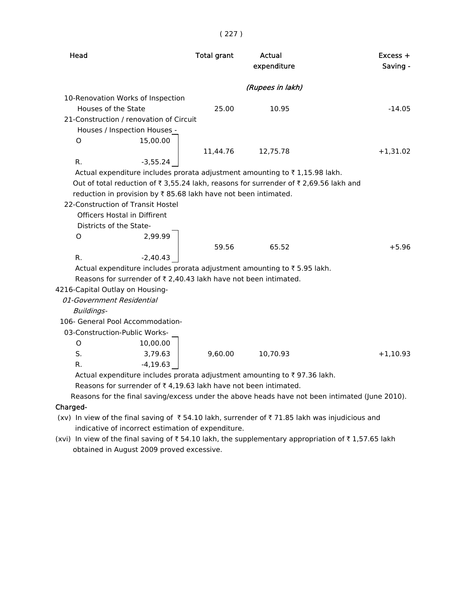| Head                                                                                           | <b>Total grant</b> | Actual           | $Excess +$ |
|------------------------------------------------------------------------------------------------|--------------------|------------------|------------|
|                                                                                                |                    | expenditure      | Saving -   |
|                                                                                                |                    |                  |            |
|                                                                                                |                    | (Rupees in lakh) |            |
| 10-Renovation Works of Inspection                                                              |                    |                  |            |
| Houses of the State                                                                            | 25.00              | 10.95            | $-14.05$   |
| 21-Construction / renovation of Circuit                                                        |                    |                  |            |
| Houses / Inspection Houses -                                                                   |                    |                  |            |
| 15,00.00<br>$\circ$                                                                            |                    |                  |            |
|                                                                                                | 11,44.76           | 12,75.78         | $+1,31.02$ |
| R.<br>$-3,55.24$                                                                               |                    |                  |            |
| Actual expenditure includes prorata adjustment amounting to ₹1,15.98 lakh.                     |                    |                  |            |
| Out of total reduction of ₹ 3,55.24 lakh, reasons for surrender of ₹ 2,69.56 lakh and          |                    |                  |            |
| reduction in provision by ₹85.68 lakh have not been intimated.                                 |                    |                  |            |
| 22-Construction of Transit Hostel                                                              |                    |                  |            |
| <b>Officers Hostal in Diffirent</b>                                                            |                    |                  |            |
| Districts of the State-                                                                        |                    |                  |            |
| 2,99.99<br>O                                                                                   |                    |                  |            |
|                                                                                                | 59.56              | 65.52            | $+5.96$    |
| R.<br>$-2,40.43$                                                                               |                    |                  |            |
| Actual expenditure includes prorata adjustment amounting to ₹5.95 lakh.                        |                    |                  |            |
| Reasons for surrender of ₹2,40.43 lakh have not been intimated.                                |                    |                  |            |
| 4216-Capital Outlay on Housing-                                                                |                    |                  |            |
| 01-Government Residential                                                                      |                    |                  |            |
| Buildings-                                                                                     |                    |                  |            |
| 106- General Pool Accommodation-                                                               |                    |                  |            |
| 03-Construction-Public Works-                                                                  |                    |                  |            |
| O<br>10,00.00                                                                                  |                    |                  |            |
| S.<br>3,79.63                                                                                  | 9,60.00            | 10,70.93         | $+1,10.93$ |
| R.<br>$-4, 19.63$                                                                              |                    |                  |            |
| $\lambda$ ctual expenditure includes pressta adjustment amounting to $\overline{z}$ 07.26 lakh |                    |                  |            |

( 227 )

Actual expenditure includes prorata adjustment amounting to  $\bar{\tau}$  97.36 lakh.

Reasons for surrender of  $\bar{\tau}$  4,19.63 lakh have not been intimated.

Reasons for the final saving/excess under the above heads have not been intimated (June 2010).

### Charged-

- (xv) In view of the final saving of  $\bar{\tau}$  54.10 lakh, surrender of  $\bar{\tau}$  71.85 lakh was injudicious and indicative of incorrect estimation of expenditure.
- (xvi) In view of the final saving of  $\bar{\tau}$  54.10 lakh, the supplementary appropriation of  $\bar{\tau}$  1,57.65 lakh obtained in August 2009 proved excessive.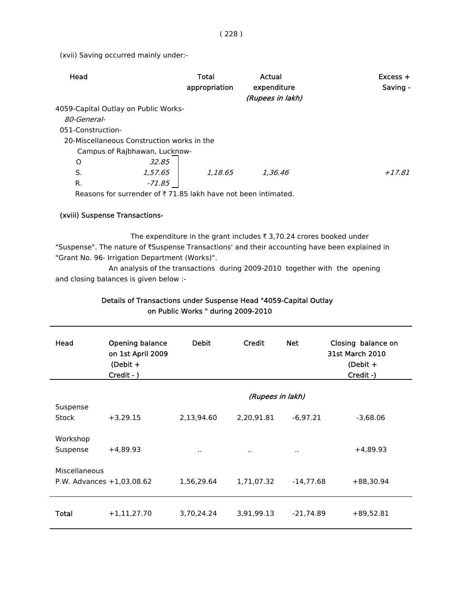(xvii) Saving occurred mainly under:-

| Head                                       |                               | Total<br>appropriation | Actual<br>expenditure<br>(Rupees in lakh) | $Excess +$<br>Saving - |
|--------------------------------------------|-------------------------------|------------------------|-------------------------------------------|------------------------|
| 4059-Capital Outlay on Public Works-       |                               |                        |                                           |                        |
| 80-General-                                |                               |                        |                                           |                        |
| 051-Construction-                          |                               |                        |                                           |                        |
| 20-Miscellaneous Construction works in the |                               |                        |                                           |                        |
|                                            | Campus of Rajbhawan, Lucknow- |                        |                                           |                        |
| O                                          | 32.85                         |                        |                                           |                        |
| S.                                         | 1,57,65                       | 1.18.65                | 1,36.46                                   | $+17.81$               |
| R.                                         | -71.85                        |                        |                                           |                        |
|                                            |                               |                        |                                           |                        |

Reasons for surrender of  $\bar{\tau}$  71.85 lakh have not been intimated.

#### (xviii) Suspense Transactions-

The expenditure in the grant includes  $\bar{\tau}$  3,70.24 crores booked under "Suspense". The nature of ₹Suspense Transactions' and their accounting have been explained in "Grant No. 96- Irrigation Department (Works)".

An analysis of the transactions during 2009-2010 together with the opening and closing balances is given below :-

| Details of Transactions under Suspense Head "4059-Capital Outlay |
|------------------------------------------------------------------|
| on Public Works " during 2009-2010                               |

| Head                 | Opening balance<br>on 1st April 2009<br>(Debit $+$<br>Credit - ) | <b>Debit</b>     | Credit     | <b>Net</b>  | Closing balance on<br><b>31st March 2010</b><br>(Debit $+$<br>Credit -) |
|----------------------|------------------------------------------------------------------|------------------|------------|-------------|-------------------------------------------------------------------------|
|                      |                                                                  | (Rupees in lakh) |            |             |                                                                         |
| Suspense<br>Stock    | $+3,29.15$                                                       | 2,13,94.60       | 2,20,91.81 | $-6,97.21$  | $-3,68.06$                                                              |
| Workshop<br>Suspense | $+4,89.93$                                                       | $\sim$           | $\sim$     | $\cdot$ .   | $+4,89.93$                                                              |
| Miscellaneous        | P.W. Advances $+1,03,08.62$                                      | 1,56,29.64       | 1,71,07.32 | $-14,77.68$ | $+88,30.94$                                                             |
| <b>Total</b>         | $+1,11,27.70$                                                    | 3,70,24.24       | 3,91,99.13 | $-21,74.89$ | $+89,52.81$                                                             |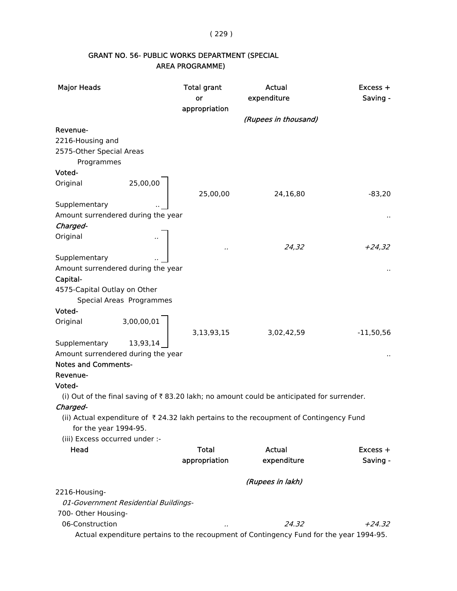( 229 )

# GRANT NO. 56- PUBLIC WORKS DEPARTMENT (SPECIAL AREA PROGRAMME)

| <b>Major Heads</b>                     |                                      | <b>Total grant</b> | Actual                                                                                    | Excess +    |
|----------------------------------------|--------------------------------------|--------------------|-------------------------------------------------------------------------------------------|-------------|
|                                        |                                      | or                 | expenditure                                                                               | Saving -    |
|                                        |                                      | appropriation      |                                                                                           |             |
|                                        |                                      |                    | (Rupees in thousand)                                                                      |             |
| Revenue-                               |                                      |                    |                                                                                           |             |
| 2216-Housing and                       |                                      |                    |                                                                                           |             |
| 2575-Other Special Areas               |                                      |                    |                                                                                           |             |
| Programmes                             |                                      |                    |                                                                                           |             |
| Voted-                                 |                                      |                    |                                                                                           |             |
| Original                               | 25,00,00                             |                    |                                                                                           |             |
|                                        |                                      | 25,00,00           | 24,16,80                                                                                  | $-83,20$    |
| Supplementary                          |                                      |                    |                                                                                           |             |
| Amount surrendered during the year     |                                      |                    |                                                                                           |             |
| Charged-                               |                                      |                    |                                                                                           |             |
| Original                               |                                      |                    |                                                                                           |             |
|                                        |                                      | .,                 | 24,32                                                                                     | $+24,32$    |
| Supplementary                          |                                      |                    |                                                                                           |             |
| Amount surrendered during the year     |                                      |                    |                                                                                           |             |
| Capital-                               |                                      |                    |                                                                                           |             |
| 4575-Capital Outlay on Other           |                                      |                    |                                                                                           |             |
|                                        | Special Areas Programmes             |                    |                                                                                           |             |
| Voted-                                 |                                      |                    |                                                                                           |             |
| Original                               | 3,00,00,01                           |                    |                                                                                           |             |
|                                        |                                      | 3,13,93,15         | 3,02,42,59                                                                                | $-11,50,56$ |
| Supplementary                          | 13,93,14                             |                    |                                                                                           |             |
| Amount surrendered during the year     |                                      |                    |                                                                                           |             |
| <b>Notes and Comments-</b>             |                                      |                    |                                                                                           |             |
| Revenue-                               |                                      |                    |                                                                                           |             |
| Voted-                                 |                                      |                    |                                                                                           |             |
|                                        |                                      |                    | (i) Out of the final saving of ₹83.20 lakh; no amount could be anticipated for surrender. |             |
| Charged-                               |                                      |                    |                                                                                           |             |
|                                        |                                      |                    | (ii) Actual expenditure of ₹24.32 lakh pertains to the recoupment of Contingency Fund     |             |
| for the year 1994-95.                  |                                      |                    |                                                                                           |             |
| (iii) Excess occurred under :-         |                                      |                    |                                                                                           |             |
| Head                                   |                                      | <b>Total</b>       | Actual                                                                                    | $Excess +$  |
|                                        |                                      | appropriation      | expenditure                                                                               | Saving -    |
|                                        |                                      |                    |                                                                                           |             |
|                                        |                                      |                    | (Rupees in lakh)                                                                          |             |
| 2216-Housing-                          |                                      |                    |                                                                                           |             |
|                                        | 01-Government Residential Buildings- |                    |                                                                                           |             |
|                                        |                                      |                    |                                                                                           |             |
| 700- Other Housing-<br>06-Construction |                                      |                    |                                                                                           |             |
|                                        |                                      |                    | 24.32                                                                                     | $+24.32$    |
|                                        |                                      |                    | Actual expenditure pertains to the recoupment of Contingency Fund for the year 1994-95.   |             |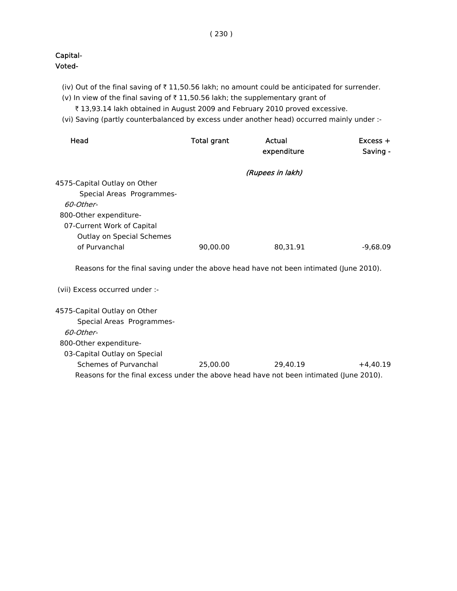- (iv) Out of the final saving of  $\bar{\tau}$  11,50.56 lakh; no amount could be anticipated for surrender.
- (v) In view of the final saving of  $\bar{\tau}$  11,50.56 lakh; the supplementary grant of
	- ₹ 13,93.14 lakh obtained in August 2009 and February 2010 proved excessive.
- (vi) Saving (partly counterbalanced by excess under another head) occurred mainly under :-

| Head                                                                                   | <b>Total grant</b> | Actual           | $Excess +$ |
|----------------------------------------------------------------------------------------|--------------------|------------------|------------|
|                                                                                        |                    | expenditure      | Saving -   |
|                                                                                        |                    | (Rupees in lakh) |            |
| 4575-Capital Outlay on Other                                                           |                    |                  |            |
| Special Areas Programmes-                                                              |                    |                  |            |
| 60-Other-                                                                              |                    |                  |            |
| 800-Other expenditure-                                                                 |                    |                  |            |
| 07-Current Work of Capital                                                             |                    |                  |            |
| Outlay on Special Schemes                                                              |                    |                  |            |
| of Purvanchal                                                                          | 90,00.00           | 80,31.91         | $-9,68.09$ |
| Reasons for the final saving under the above head have not been intimated (June 2010). |                    |                  |            |
| (vii) Excess occurred under :-                                                         |                    |                  |            |
| 4575-Capital Outlay on Other                                                           |                    |                  |            |
| Special Areas Programmes-                                                              |                    |                  |            |
| 60-Other-                                                                              |                    |                  |            |
| 800-Other expenditure-                                                                 |                    |                  |            |
| 03-Capital Outlay on Special                                                           |                    |                  |            |
| Schemes of Purvanchal                                                                  | 25,00.00           | 29,40.19         | $+4,40.19$ |
| Reasons for the final excess under the above head have not been intimated (June 2010). |                    |                  |            |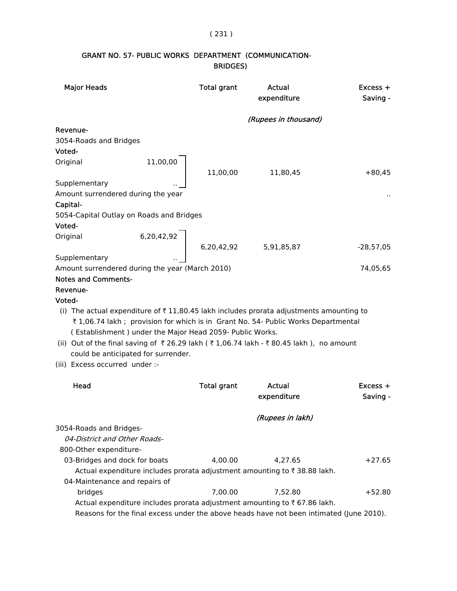## ( 231 )

# GRANT NO. 57- PUBLIC WORKS DEPARTMENT (COMMUNICATION- BRIDGES)

| <b>Major Heads</b>                                                    |                                                          | <b>Total grant</b> | Actual<br>expenditure                                                                                                                                                                                                                                                           | Excess +<br>Saving - |
|-----------------------------------------------------------------------|----------------------------------------------------------|--------------------|---------------------------------------------------------------------------------------------------------------------------------------------------------------------------------------------------------------------------------------------------------------------------------|----------------------|
|                                                                       |                                                          |                    | (Rupees in thousand)                                                                                                                                                                                                                                                            |                      |
| Revenue-                                                              |                                                          |                    |                                                                                                                                                                                                                                                                                 |                      |
| 3054-Roads and Bridges                                                |                                                          |                    |                                                                                                                                                                                                                                                                                 |                      |
| Voted-                                                                |                                                          |                    |                                                                                                                                                                                                                                                                                 |                      |
| Original                                                              | $\begin{array}{c c} 11,00,00 \end{array}$                | 11,00,00           | 11,80,45                                                                                                                                                                                                                                                                        | $+80,45$             |
| Supplementary                                                         |                                                          |                    |                                                                                                                                                                                                                                                                                 |                      |
| Amount surrendered during the year                                    |                                                          |                    |                                                                                                                                                                                                                                                                                 |                      |
| Capital-                                                              |                                                          |                    |                                                                                                                                                                                                                                                                                 |                      |
| 5054-Capital Outlay on Roads and Bridges                              |                                                          |                    |                                                                                                                                                                                                                                                                                 |                      |
| Voted-                                                                |                                                          |                    |                                                                                                                                                                                                                                                                                 |                      |
| Original                                                              |                                                          |                    |                                                                                                                                                                                                                                                                                 |                      |
|                                                                       |                                                          |                    |                                                                                                                                                                                                                                                                                 | $-28,57,05$          |
| Supplementary                                                         |                                                          |                    |                                                                                                                                                                                                                                                                                 |                      |
| Amount surrendered during the year (March 2010)                       |                                                          |                    |                                                                                                                                                                                                                                                                                 | 74,05,65             |
| <b>Notes and Comments-</b>                                            |                                                          |                    |                                                                                                                                                                                                                                                                                 |                      |
| Revenue-                                                              |                                                          |                    |                                                                                                                                                                                                                                                                                 |                      |
| Voted-                                                                |                                                          |                    |                                                                                                                                                                                                                                                                                 |                      |
|                                                                       | (Establishment) under the Major Head 2059- Public Works. |                    | (i) The actual expenditure of $\bar{\tau}$ 11,80.45 lakh includes prorata adjustments amounting to<br>₹1,06.74 lakh ; provision for which is in Grant No. 54- Public Works Departmental<br>(ii) Out of the final saving of ₹26.29 lakh (₹1,06.74 lakh - ₹80.45 lakh), no amount |                      |
| could be anticipated for surrender.<br>(iii) Excess occurred under :- |                                                          |                    |                                                                                                                                                                                                                                                                                 |                      |
|                                                                       |                                                          |                    |                                                                                                                                                                                                                                                                                 |                      |
| Head                                                                  |                                                          | <b>Total grant</b> | Actual                                                                                                                                                                                                                                                                          | $Excess +$           |
|                                                                       |                                                          |                    | expenditure                                                                                                                                                                                                                                                                     | Saving -             |
|                                                                       |                                                          |                    | (Rupees in lakh)                                                                                                                                                                                                                                                                |                      |
| 3054-Roads and Bridges-                                               |                                                          |                    |                                                                                                                                                                                                                                                                                 |                      |
| 04-District and Other Roads-                                          |                                                          |                    |                                                                                                                                                                                                                                                                                 |                      |
| 800-Other expenditure-                                                |                                                          |                    |                                                                                                                                                                                                                                                                                 |                      |
| 03-Bridges and dock for boats                                         |                                                          | 4,00.00            | 4,27.65                                                                                                                                                                                                                                                                         | $+27.65$             |
|                                                                       |                                                          |                    | Actual expenditure includes prorata adjustment amounting to ₹38.88 lakh.                                                                                                                                                                                                        |                      |
| 04-Maintenance and repairs of                                         |                                                          |                    |                                                                                                                                                                                                                                                                                 |                      |
| bridges                                                               |                                                          | 7,00.00            | 7,52.80                                                                                                                                                                                                                                                                         | $+52.80$             |
|                                                                       |                                                          |                    | Actual expenditure includes prorata adjustment amounting to ₹67.86 lakh.                                                                                                                                                                                                        |                      |
|                                                                       |                                                          |                    | Reasons for the final excess under the above heads have not been intimated (June 2010).                                                                                                                                                                                         |                      |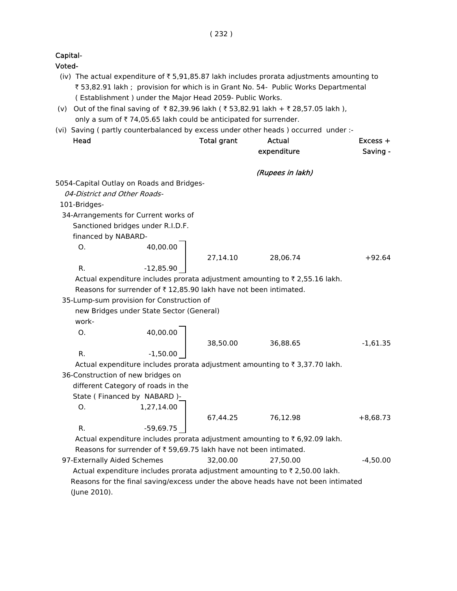Voted-

- (iv) The actual expenditure of  $\bar{z}$  5,91,85.87 lakh includes prorata adjustments amounting to ₹ 53,82.91 lakh ; provision for which is in Grant No. 54- Public Works Departmental ( Establishment ) under the Major Head 2059- Public Works.
- (v) Out of the final saving of ₹82,39.96 lakh (₹53,82.91 lakh + ₹28,57.05 lakh ), only a sum of  $\bar{\tau}$  74,05.65 lakh could be anticipated for surrender.
- (vi) Saving ( partly counterbalanced by excess under other heads ) occurred under :-

| Head                         |                                                                   | <b>Total grant</b> | <b>Actual</b><br>expenditure                                                      | $Excess +$<br>Saving - |
|------------------------------|-------------------------------------------------------------------|--------------------|-----------------------------------------------------------------------------------|------------------------|
|                              |                                                                   |                    |                                                                                   |                        |
|                              | 5054-Capital Outlay on Roads and Bridges-                         |                    | (Rupees in lakh)                                                                  |                        |
| 04-District and Other Roads- |                                                                   |                    |                                                                                   |                        |
| 101-Bridges-                 |                                                                   |                    |                                                                                   |                        |
|                              | 34-Arrangements for Current works of                              |                    |                                                                                   |                        |
|                              | Sanctioned bridges under R.I.D.F.                                 |                    |                                                                                   |                        |
| financed by NABARD-          |                                                                   |                    |                                                                                   |                        |
| Ο.                           | 40,00.00                                                          |                    |                                                                                   |                        |
|                              |                                                                   | 27,14.10           | 28,06.74                                                                          | $+92.64$               |
| R.                           | $-12,85.90$                                                       |                    |                                                                                   |                        |
|                              |                                                                   |                    | Actual expenditure includes prorata adjustment amounting to ₹2,55.16 lakh.        |                        |
|                              | Reasons for surrender of ₹12,85.90 lakh have not been intimated.  |                    |                                                                                   |                        |
|                              | 35-Lump-sum provision for Construction of                         |                    |                                                                                   |                        |
|                              | new Bridges under State Sector (General)                          |                    |                                                                                   |                        |
| work-                        |                                                                   |                    |                                                                                   |                        |
| O.                           | 40,00.00                                                          |                    |                                                                                   |                        |
|                              |                                                                   | 38,50.00           | 36,88.65                                                                          | $-1,61.35$             |
| R.                           | $-1,50.00$                                                        |                    |                                                                                   |                        |
|                              |                                                                   |                    | Actual expenditure includes prorata adjustment amounting to ₹ 3,37.70 lakh.       |                        |
|                              | 36-Construction of new bridges on                                 |                    |                                                                                   |                        |
|                              | different Category of roads in the                                |                    |                                                                                   |                        |
|                              | State (Financed by NABARD)-                                       |                    |                                                                                   |                        |
| O.                           | 1,27,14.00                                                        |                    |                                                                                   |                        |
|                              |                                                                   |                    | 67,44.25 76,12.98                                                                 | $+8,68.73$             |
| R.                           | $-59,69.75$                                                       |                    |                                                                                   |                        |
|                              |                                                                   |                    | Actual expenditure includes prorata adjustment amounting to ₹6,92.09 lakh.        |                        |
|                              | Reasons for surrender of ₹ 59,69.75 lakh have not been intimated. |                    |                                                                                   |                        |
| 97-Externally Aided Schemes  |                                                                   | 32,00.00           | 27,50.00                                                                          | $-4,50.00$             |
|                              |                                                                   |                    | Actual expenditure includes prorata adjustment amounting to ₹ 2,50.00 lakh.       |                        |
|                              |                                                                   |                    | Reasons for the final saving/excess under the above heads have not been intimated |                        |
| (June 2010).                 |                                                                   |                    |                                                                                   |                        |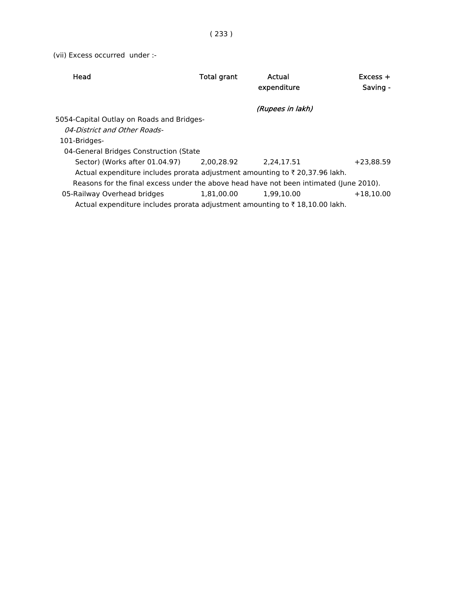(vii) Excess occurred under :-

| Head                                                                                    | Total grant | Actual           | $Excess +$  |
|-----------------------------------------------------------------------------------------|-------------|------------------|-------------|
|                                                                                         |             | expenditure      | Saving -    |
|                                                                                         |             |                  |             |
|                                                                                         |             | (Rupees in lakh) |             |
| 5054-Capital Outlay on Roads and Bridges-                                               |             |                  |             |
| 04-District and Other Roads-                                                            |             |                  |             |
| 101-Bridges-                                                                            |             |                  |             |
| 04-General Bridges Construction (State                                                  |             |                  |             |
| Sector) (Works after 01.04.97)                                                          | 2.00.28.92  | 2.24.17.51       | $+23.88.59$ |
| Actual expenditure includes prorata adjustment amounting to ₹20,37.96 lakh.             |             |                  |             |
| Reasons for the final excess under the above head have not been intimated (June 2010).  |             |                  |             |
| 05-Railway Overhead bridges                                                             | 1.81.00.00  | 1.99.10.00       | $+18.10.00$ |
| Actual expenditure includes prorata adjustment amounting to $\bar{\tau}$ 18,10.00 lakh. |             |                  |             |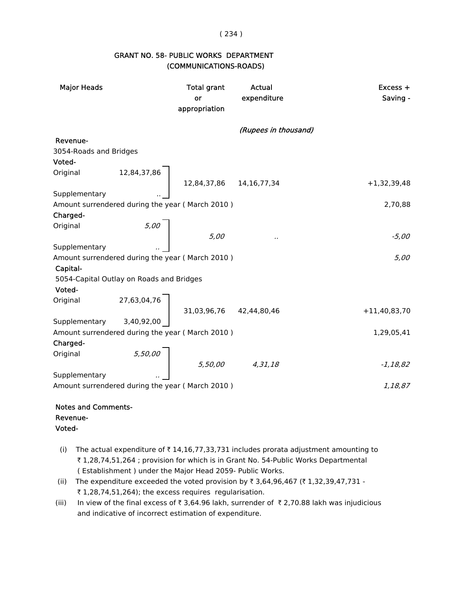#### ( 234 )

## GRANT NO. 58- PUBLIC WORKS DEPARTMENT (COMMUNICATIONS-ROADS)

| <b>Major Heads</b>                                     |            | <b>Total grant</b><br>or<br>appropriation                                        | Actual<br>expenditure | Excess +<br>Saving - |
|--------------------------------------------------------|------------|----------------------------------------------------------------------------------|-----------------------|----------------------|
|                                                        |            |                                                                                  | (Rupees in thousand)  |                      |
| Revenue-                                               |            |                                                                                  |                       |                      |
| 3054-Roads and Bridges                                 |            |                                                                                  |                       |                      |
|                                                        |            |                                                                                  |                       |                      |
| Voted-<br>Original 12,84,37,86 12,84,37,86 14,16,77,34 |            |                                                                                  |                       |                      |
|                                                        |            |                                                                                  |                       | $+1,32,39,48$        |
|                                                        |            |                                                                                  |                       |                      |
| Amount surrendered during the year (March 2010)        |            |                                                                                  |                       | 2,70,88              |
| Charged-                                               |            |                                                                                  |                       |                      |
| Original                                               | 5,00       |                                                                                  |                       |                      |
| Supplementary                                          |            | 5,00                                                                             | .,                    | -5,00                |
| Amount surrendered during the year (March 2010)        |            |                                                                                  |                       | 5,00                 |
| Capital-                                               |            |                                                                                  |                       |                      |
| 5054-Capital Outlay on Roads and Bridges               |            |                                                                                  |                       |                      |
| Voted-                                                 |            |                                                                                  |                       |                      |
| Original                                               |            |                                                                                  |                       |                      |
|                                                        |            | $27,63,04,76$<br>31,03,96,76 42,44,80,46                                         |                       | $+11,40,83,70$       |
| Supplementary                                          | 3,40,92,00 |                                                                                  |                       |                      |
| Amount surrendered during the year (March 2010)        |            |                                                                                  |                       | 1,29,05,41           |
| Charged-                                               |            |                                                                                  |                       |                      |
| Original                                               |            |                                                                                  |                       |                      |
|                                                        |            | $\left\{ \begin{array}{ccc} 5,50,00 & & 5,50,00 & & 4,31,18 \end{array} \right.$ |                       | $-1,18,82$           |
| Supplementary                                          |            |                                                                                  |                       |                      |
| Amount surrendered during the year (March 2010)        |            |                                                                                  |                       | 1,18,87              |
|                                                        |            |                                                                                  |                       |                      |
| <b>Notes and Comments-</b>                             |            |                                                                                  |                       |                      |

Revenue-

- Voted-
- (i) The actual expenditure of  $\bar{\tau}$  14,16,77,33,731 includes prorata adjustment amounting to ₹ 1,28,74,51,264 ; provision for which is in Grant No. 54-Public Works Departmental ( Establishment ) under the Major Head 2059- Public Works.
- (ii) The expenditure exceeded the voted provision by ₹ 3,64,96,467 (₹ 1,32,39,47,731 - $\bar{\tau}$  1,28,74,51,264); the excess requires regularisation.
- (iii) In view of the final excess of  $\bar{x}$  3,64.96 lakh, surrender of  $\bar{x}$  2,70.88 lakh was injudicious and indicative of incorrect estimation of expenditure.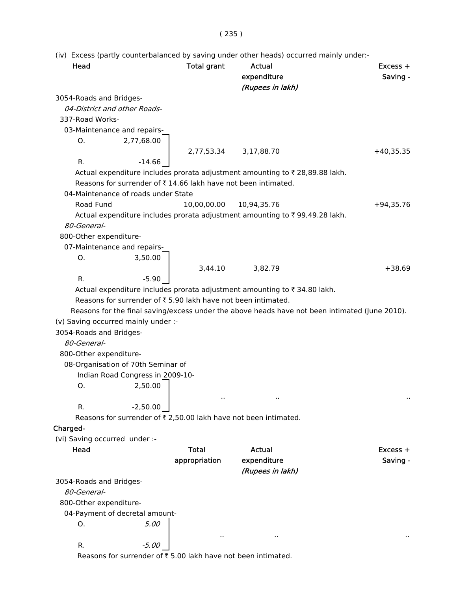# ( 235 )

(iv) Excess (partly counterbalanced by saving under other heads) occurred mainly under:-

| Head                                                                                           | <b>Total grant</b> | Actual<br>expenditure<br>(Rupees in lakh) | $Excess +$<br>Saving - |
|------------------------------------------------------------------------------------------------|--------------------|-------------------------------------------|------------------------|
| 3054-Roads and Bridges-                                                                        |                    |                                           |                        |
| 04-District and other Roads-                                                                   |                    |                                           |                        |
| 337-Road Works-                                                                                |                    |                                           |                        |
| 03-Maintenance and repairs-                                                                    |                    |                                           |                        |
| 2,77,68.00<br>О.                                                                               |                    |                                           |                        |
|                                                                                                | 2,77,53.34         | 3,17,88.70                                | $+40,35.35$            |
| R.<br>$-14.66$                                                                                 |                    |                                           |                        |
| Actual expenditure includes prorata adjustment amounting to ₹28,89.88 lakh.                    |                    |                                           |                        |
| Reasons for surrender of ₹14.66 lakh have not been intimated.                                  |                    |                                           |                        |
| 04-Maintenance of roads under State                                                            |                    |                                           |                        |
| Road Fund                                                                                      | 10,00,00.00        | 10,94,35.76                               | $+94,35.76$            |
| Actual expenditure includes prorata adjustment amounting to ₹99,49.28 lakh.                    |                    |                                           |                        |
| 80-General-                                                                                    |                    |                                           |                        |
| 800-Other expenditure-                                                                         |                    |                                           |                        |
| 07-Maintenance and repairs-                                                                    |                    |                                           |                        |
| Ο.<br>3,50.00                                                                                  |                    |                                           |                        |
|                                                                                                | 3,44.10            | 3,82.79                                   | $+38.69$               |
| R.<br>$-5.90$                                                                                  |                    |                                           |                        |
| Actual expenditure includes prorata adjustment amounting to ₹34.80 lakh.                       |                    |                                           |                        |
| Reasons for surrender of ₹5.90 lakh have not been intimated.                                   |                    |                                           |                        |
| Reasons for the final saving/excess under the above heads have not been intimated (June 2010). |                    |                                           |                        |
| (v) Saving occurred mainly under :-                                                            |                    |                                           |                        |
| 3054-Roads and Bridges-                                                                        |                    |                                           |                        |
| 80-General-                                                                                    |                    |                                           |                        |
| 800-Other expenditure-                                                                         |                    |                                           |                        |
| 08-Organisation of 70th Seminar of                                                             |                    |                                           |                        |
| Indian Road Congress in 2009-10-                                                               |                    |                                           |                        |
| 2,50.00<br>О.                                                                                  |                    |                                           |                        |
|                                                                                                |                    |                                           |                        |
| $-2,50.00$<br>R.                                                                               |                    |                                           |                        |
| Reasons for surrender of ₹ 2,50.00 lakh have not been intimated.                               |                    |                                           |                        |
| Charged-                                                                                       |                    |                                           |                        |
| (vi) Saving occurred under :-                                                                  |                    |                                           |                        |
| Head                                                                                           | <b>Total</b>       | Actual                                    | $Excess +$             |
|                                                                                                | appropriation      | expenditure                               | Saving -               |
|                                                                                                |                    | (Rupees in lakh)                          |                        |
| 3054-Roads and Bridges-<br>80-General-                                                         |                    |                                           |                        |
|                                                                                                |                    |                                           |                        |
| 800-Other expenditure-                                                                         |                    |                                           |                        |
| 04-Payment of decretal amount-<br>5.00<br>О.                                                   |                    |                                           |                        |
|                                                                                                |                    |                                           |                        |
| $-5.00$<br>R.                                                                                  |                    |                                           |                        |
| Reasons for surrender of ₹5.00 lakh have not been intimated.                                   |                    |                                           |                        |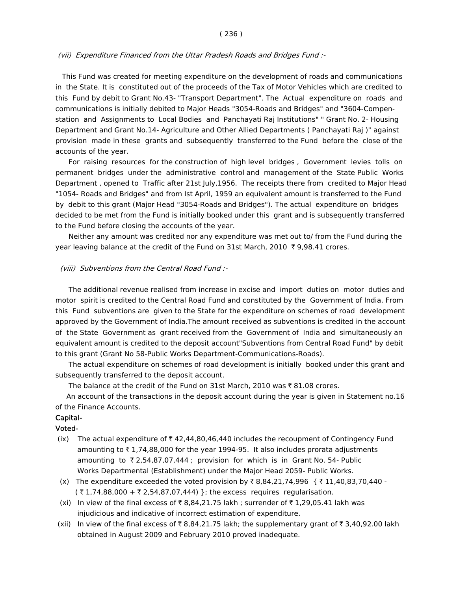#### ( 236 )

#### (vii) Expenditure Financed from the Uttar Pradesh Roads and Bridges Fund :-

 This Fund was created for meeting expenditure on the development of roads and communications in the State. It is constituted out of the proceeds of the Tax of Motor Vehicles which are credited to this Fund by debit to Grant No.43- "Transport Department". The Actual expenditure on roads and communications is initially debited to Major Heads "3054-Roads and Bridges" and "3604-Compen station and Assignments to Local Bodies and Panchayati Raj Institutions" " Grant No. 2- Housing Department and Grant No.14- Agriculture and Other Allied Departments ( Panchayati Raj )" against provision made in these grants and subsequently transferred to the Fund before the close of the accounts of the year.

 For raising resources for the construction of high level bridges , Government levies tolls on permanent bridges under the administrative control and management of the State Public Works Department , opened to Traffic after 21st July,1956. The receipts there from credited to Major Head "1054- Roads and Bridges" and from Ist April, 1959 an equivalent amount is transferred to the Fund by debit to this grant (Major Head "3054-Roads and Bridges"). The actual expenditure on bridges decided to be met from the Fund is initially booked under this grant and is subsequently transferred to the Fund before closing the accounts of the year.

 Neither any amount was credited nor any expenditure was met out to/ from the Fund during the year leaving balance at the credit of the Fund on 31st March, 2010  $\bar{\tau}$  9,98.41 crores.

#### (viii) Subventions from the Central Road Fund :-

 The additional revenue realised from increase in excise and import duties on motor duties and motor spirit is credited to the Central Road Fund and constituted by the Government of India. From this Fund subventions are given to the State for the expenditure on schemes of road development approved by the Government of India.The amount received as subventions is credited in the account of the State Government as grant received from the Government of India and simultaneously an equivalent amount is credited to the deposit account"Subventions from Central Road Fund" by debit to this grant (Grant No 58-Public Works Department-Communications-Roads).

 The actual expenditure on schemes of road development is initially booked under this grant and subsequently transferred to the deposit account.

The balance at the credit of the Fund on 31st March, 2010 was  $\bar{\tau}$  81.08 crores.

 An account of the transactions in the deposit account during the year is given in Statement no.16 of the Finance Accounts.

### Capital-

#### Voted-

- (ix) The actual expenditure of  $\bar{\tau}$  42,44,80,46,440 includes the recoupment of Contingency Fund amounting to  $\bar{\tau}$  1,74,88,000 for the year 1994-95. It also includes prorata adjustments amounting to  $\overline{z}$  2,54,87,07,444; provision for which is in Grant No. 54- Public Works Departmental (Establishment) under the Major Head 2059- Public Works.
- (x) The expenditure exceeded the voted provision by  $\bar{x}$  8,84,21,74,996 {  $\bar{x}$  11,40,83,70,440 - $($  ₹ 1,74,88,000 + ₹ 2,54,87,07,444) }; the excess requires regularisation.
- (xi) In view of the final excess of  $\bar{\tau}$  8,84,21.75 lakh ; surrender of  $\bar{\tau}$  1,29,05.41 lakh was injudicious and indicative of incorrect estimation of expenditure.
- (xii) In view of the final excess of  $\bar{\tau}$  8,84,21.75 lakh; the supplementary grant of  $\bar{\tau}$  3,40,92.00 lakh obtained in August 2009 and February 2010 proved inadequate.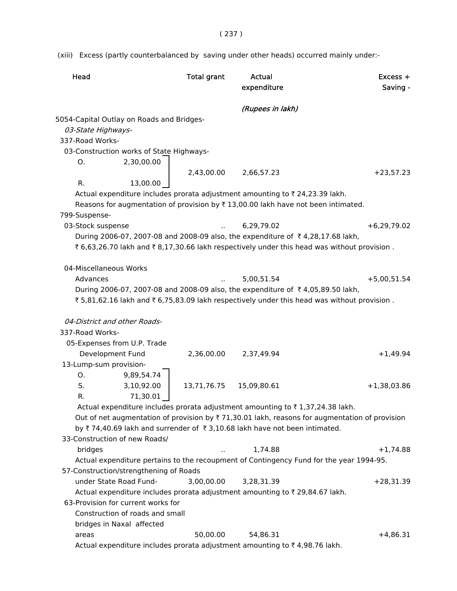( 237 )

(xiii) Excess (partly counterbalanced by saving under other heads) occurred mainly under:-

| Head                   |                                           | <b>Total grant</b> | Actual<br>expenditure                                                            | $Excess +$<br>Saving -                                                                                         |
|------------------------|-------------------------------------------|--------------------|----------------------------------------------------------------------------------|----------------------------------------------------------------------------------------------------------------|
|                        |                                           |                    | (Rupees in lakh)                                                                 |                                                                                                                |
|                        | 5054-Capital Outlay on Roads and Bridges- |                    |                                                                                  |                                                                                                                |
| 03-State Highways-     |                                           |                    |                                                                                  |                                                                                                                |
| 337-Road Works-        |                                           |                    |                                                                                  |                                                                                                                |
|                        | 03-Construction works of State Highways-  |                    |                                                                                  |                                                                                                                |
| Ο.                     | 2,30,00.00                                |                    |                                                                                  |                                                                                                                |
|                        |                                           | 2,43,00.00         | 2,66,57.23                                                                       | $+23,57.23$                                                                                                    |
| R.                     | 13,00.00                                  |                    |                                                                                  |                                                                                                                |
|                        |                                           |                    | Actual expenditure includes prorata adjustment amounting to ₹24,23.39 lakh.      |                                                                                                                |
|                        |                                           |                    | Reasons for augmentation of provision by ₹13,00.00 lakh have not been intimated. |                                                                                                                |
| 799-Suspense-          |                                           |                    |                                                                                  |                                                                                                                |
| 03-Stock suspense      |                                           |                    | 6,29,79.02                                                                       | $+6,29,79.02$                                                                                                  |
|                        |                                           |                    | During 2006-07, 2007-08 and 2008-09 also, the expenditure of ₹4,28,17.68 lakh,   |                                                                                                                |
|                        |                                           |                    |                                                                                  | ₹ 6,63,26.70 lakh and ₹ 8,17,30.66 lakh respectively under this head was without provision.                    |
|                        |                                           |                    |                                                                                  |                                                                                                                |
| 04-Miscellaneous Works |                                           |                    |                                                                                  |                                                                                                                |
| Advances               |                                           |                    | 5,00,51.54                                                                       | $+5,00,51.54$                                                                                                  |
|                        |                                           |                    | During 2006-07, 2007-08 and 2008-09 also, the expenditure of ₹4,05,89.50 lakh,   |                                                                                                                |
|                        |                                           |                    |                                                                                  | ₹5,81,62.16 lakh and ₹6,75,83.09 lakh respectively under this head was without provision.                      |
|                        |                                           |                    |                                                                                  |                                                                                                                |
|                        | 04-District and other Roads-              |                    |                                                                                  |                                                                                                                |
| 337-Road Works-        |                                           |                    |                                                                                  |                                                                                                                |
|                        | 05-Expenses from U.P. Trade               |                    |                                                                                  |                                                                                                                |
|                        | Development Fund                          | 2,36,00.00         | 2,37,49.94                                                                       | $+1,49.94$                                                                                                     |
| 13-Lump-sum provision- |                                           |                    |                                                                                  |                                                                                                                |
| О.                     | 9,89,54.74                                |                    |                                                                                  |                                                                                                                |
| S.                     | 3,10,92.00                                | 13,71,76.75        | 15,09,80.61                                                                      | $+1,38,03.86$                                                                                                  |
| R.                     | 71,30.01                                  |                    |                                                                                  |                                                                                                                |
|                        |                                           |                    | Actual expenditure includes prorata adjustment amounting to ₹1,37,24.38 lakh.    |                                                                                                                |
|                        |                                           |                    |                                                                                  | Out of net augmentation of provision by $\overline{\tau}$ 71,30.01 lakh, reasons for augmentation of provision |
|                        |                                           |                    | by ₹74,40.69 lakh and surrender of ₹3,10.68 lakh have not been intimated.        |                                                                                                                |
|                        | 33-Construction of new Roads/             |                    |                                                                                  |                                                                                                                |
| bridges                |                                           |                    | 1,74.88                                                                          | $+1,74.88$                                                                                                     |
|                        |                                           |                    |                                                                                  | Actual expenditure pertains to the recoupment of Contingency Fund for the year 1994-95.                        |
|                        | 57-Construction/strengthening of Roads    |                    |                                                                                  |                                                                                                                |
|                        | under State Road Fund-                    | 3,00,00.00         | 3,28,31.39                                                                       | $+28,31.39$                                                                                                    |
|                        |                                           |                    | Actual expenditure includes prorata adjustment amounting to ₹29,84.67 lakh.      |                                                                                                                |
|                        | 63-Provision for current works for        |                    |                                                                                  |                                                                                                                |
|                        | Construction of roads and small           |                    |                                                                                  |                                                                                                                |
|                        | bridges in Naxal affected                 |                    |                                                                                  |                                                                                                                |
| areas                  |                                           | 50,00.00           | 54,86.31                                                                         | $+4,86.31$                                                                                                     |
|                        |                                           |                    | Actual expenditure includes prorata adjustment amounting to ₹4,98.76 lakh.       |                                                                                                                |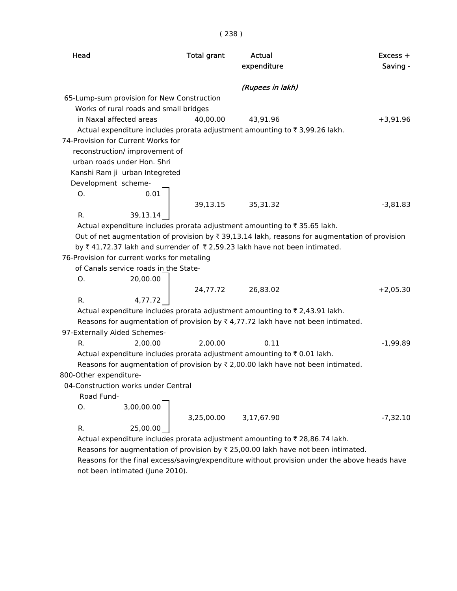| ×<br>۰<br>× |  |  |  |
|-------------|--|--|--|
|-------------|--|--|--|

| Head                   |                                             | <b>Total grant</b> | Actual<br>expenditure                                                                            | $Excess +$<br>Saving - |
|------------------------|---------------------------------------------|--------------------|--------------------------------------------------------------------------------------------------|------------------------|
|                        |                                             |                    | (Rupees in lakh)                                                                                 |                        |
|                        | 65-Lump-sum provision for New Construction  |                    |                                                                                                  |                        |
|                        | Works of rural roads and small bridges      |                    |                                                                                                  |                        |
|                        | in Naxal affected areas                     | 40,00.00           | 43,91.96                                                                                         | $+3,91.96$             |
|                        |                                             |                    | Actual expenditure includes prorata adjustment amounting to ₹3,99.26 lakh.                       |                        |
|                        | 74-Provision for Current Works for          |                    |                                                                                                  |                        |
|                        | reconstruction/ improvement of              |                    |                                                                                                  |                        |
|                        | urban roads under Hon. Shri                 |                    |                                                                                                  |                        |
|                        | Kanshi Ram ji urban Integreted              |                    |                                                                                                  |                        |
| Development scheme-    |                                             |                    |                                                                                                  |                        |
| Ο.                     | 0.01                                        |                    |                                                                                                  |                        |
|                        |                                             | 39,13.15           | 35,31.32                                                                                         | $-3,81.83$             |
| R.                     | 39,13.14                                    |                    |                                                                                                  |                        |
|                        |                                             |                    | Actual expenditure includes prorata adjustment amounting to ₹35.65 lakh.                         |                        |
|                        |                                             |                    | Out of net augmentation of provision by ₹ 39,13.14 lakh, reasons for augmentation of provision   |                        |
|                        |                                             |                    | by ₹41,72.37 lakh and surrender of ₹2,59.23 lakh have not been intimated.                        |                        |
|                        | 76-Provision for current works for metaling |                    |                                                                                                  |                        |
|                        | of Canals service roads in the State-       |                    |                                                                                                  |                        |
| Ο.                     | 20,00.00                                    |                    |                                                                                                  |                        |
|                        |                                             | 24,77.72           | 26,83.02                                                                                         | $+2,05.30$             |
| R.                     | 4,77.72                                     |                    |                                                                                                  |                        |
|                        |                                             |                    | Actual expenditure includes prorata adjustment amounting to ₹ 2,43.91 lakh.                      |                        |
|                        | 97-Externally Aided Schemes-                |                    | Reasons for augmentation of provision by $\overline{\tau}$ 4,77.72 lakh have not been intimated. |                        |
| R.                     | 2,00.00                                     | 2,00.00            | 0.11                                                                                             | $-1,99.89$             |
|                        |                                             |                    | Actual expenditure includes prorata adjustment amounting to ₹0.01 lakh.                          |                        |
|                        |                                             |                    | Reasons for augmentation of provision by $\overline{x}$ 2,00.00 lakh have not been intimated.    |                        |
| 800-Other expenditure- |                                             |                    |                                                                                                  |                        |
|                        | 04-Construction works under Central         |                    |                                                                                                  |                        |
| Road Fund-             |                                             |                    |                                                                                                  |                        |
| Ο.                     | 3,00,00.00                                  |                    |                                                                                                  |                        |
|                        |                                             | 3,25,00.00         | 3,17,67.90                                                                                       | $-7,32.10$             |
| R.                     | 25,00.00                                    |                    |                                                                                                  |                        |
|                        |                                             |                    | Actual expenditure includes prorata adjustment amounting to ₹ 28,86.74 lakh.                     |                        |
|                        |                                             |                    | Reasons for augmentation of provision by ₹ 25,00.00 lakh have not been intimated.                |                        |
|                        |                                             |                    | Reasons for the final excess/saving/expenditure without provision under the above heads have     |                        |
|                        | not been intimated (June 2010).             |                    |                                                                                                  |                        |
|                        |                                             |                    |                                                                                                  |                        |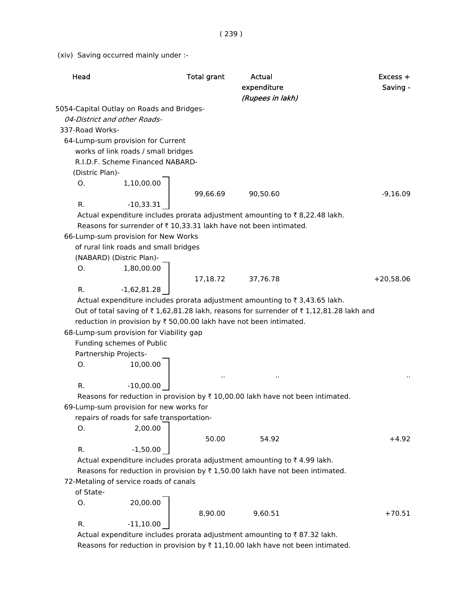( 239 )

(xiv) Saving occurred mainly under :-

| Head                  |                                           | <b>Total grant</b> | <b>Actual</b><br>expenditure<br>(Rupees in lakh)                                               | $Excess +$<br>Saving - |
|-----------------------|-------------------------------------------|--------------------|------------------------------------------------------------------------------------------------|------------------------|
|                       | 5054-Capital Outlay on Roads and Bridges- |                    |                                                                                                |                        |
|                       | 04-District and other Roads-              |                    |                                                                                                |                        |
| 337-Road Works-       |                                           |                    |                                                                                                |                        |
|                       | 64-Lump-sum provision for Current         |                    |                                                                                                |                        |
|                       | works of link roads / small bridges       |                    |                                                                                                |                        |
|                       | R.I.D.F. Scheme Financed NABARD-          |                    |                                                                                                |                        |
| (Distric Plan)-       |                                           |                    |                                                                                                |                        |
| Ο.                    | 1,10,00.00                                |                    |                                                                                                |                        |
|                       |                                           | 99,66.69           | 90,50.60                                                                                       | $-9,16.09$             |
| R.                    | $-10,33.31$                               |                    |                                                                                                |                        |
|                       |                                           |                    | Actual expenditure includes prorata adjustment amounting to ₹8,22.48 lakh.                     |                        |
|                       |                                           |                    | Reasons for surrender of ₹10,33.31 lakh have not been intimated.                               |                        |
|                       | 66-Lump-sum provision for New Works       |                    |                                                                                                |                        |
|                       | of rural link roads and small bridges     |                    |                                                                                                |                        |
|                       | (NABARD) (Distric Plan)-                  |                    |                                                                                                |                        |
| Ο.                    | 1,80,00.00                                |                    |                                                                                                |                        |
|                       |                                           | 17,18.72           | 37,76.78                                                                                       | $+20,58.06$            |
| R.                    | $-1,62,81.28$                             |                    |                                                                                                |                        |
|                       |                                           |                    | Actual expenditure includes prorata adjustment amounting to ₹ 3,43.65 lakh.                    |                        |
|                       |                                           |                    | Out of total saving of ₹1,62,81.28 lakh, reasons for surrender of ₹1,12,81.28 lakh and         |                        |
|                       |                                           |                    | reduction in provision by ₹ 50,00.00 lakh have not been intimated.                             |                        |
|                       | 68-Lump-sum provision for Viability gap   |                    |                                                                                                |                        |
|                       | Funding schemes of Public                 |                    |                                                                                                |                        |
| Partnership Projects- |                                           |                    |                                                                                                |                        |
| 0.                    | 10,00.00                                  |                    |                                                                                                |                        |
|                       |                                           |                    |                                                                                                |                        |
| R.                    | $-10,00.00$                               |                    |                                                                                                |                        |
|                       |                                           |                    | Reasons for reduction in provision by $\overline{\tau}$ 10,00.00 lakh have not been intimated. |                        |
|                       | 69-Lump-sum provision for new works for   |                    |                                                                                                |                        |
|                       | repairs of roads for safe transportation- |                    |                                                                                                |                        |
| Ο.                    | 2,00.00                                   |                    |                                                                                                |                        |
|                       |                                           | 50.00              | 54.92                                                                                          | $+4.92$                |
| R.                    | $-1,50.00$                                |                    |                                                                                                |                        |
|                       |                                           |                    | Actual expenditure includes prorata adjustment amounting to ₹4.99 lakh.                        |                        |
|                       |                                           |                    | Reasons for reduction in provision by $\overline{\tau}$ 1,50.00 lakh have not been intimated.  |                        |
|                       | 72-Metaling of service roads of canals    |                    |                                                                                                |                        |
| of State-             |                                           |                    |                                                                                                |                        |
| 0.                    | 20,00.00                                  |                    |                                                                                                |                        |
|                       |                                           | 8,90.00            | 9,60.51                                                                                        | $+70.51$               |
| R.                    | $-11,10.00$                               |                    |                                                                                                |                        |
|                       |                                           |                    | Actual expenditure includes prorata adjustment amounting to ₹87.32 lakh.                       |                        |

Reasons for reduction in provision by  $\bar{\tau}$  11,10.00 lakh have not been intimated.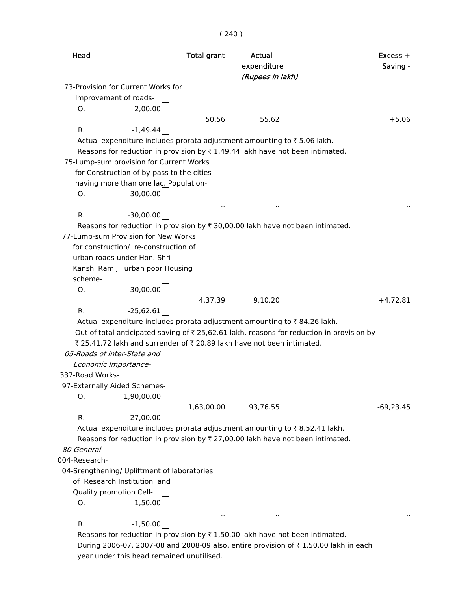# ( 240 )

| 73-Provision for Current Works for<br>Improvement of roads-<br>2,00.00<br>O.<br>50.56<br>$+5.06$<br>55.62<br>R.<br>$-1,49.44$<br>Actual expenditure includes prorata adjustment amounting to ₹5.06 lakh.<br>Reasons for reduction in provision by $\overline{\tau}$ 1,49.44 lakh have not been intimated.<br>75-Lump-sum provision for Current Works<br>for Construction of by-pass to the cities<br>having more than one lac, Population-<br>30,00.00<br>O.<br>$\cdot$<br>R.<br>$-30,00.00$<br>Reasons for reduction in provision by $\overline{\tau}$ 30,00.00 lakh have not been intimated.<br>77-Lump-sum Provision for New Works<br>for construction/ re-construction of<br>urban roads under Hon. Shri<br>Kanshi Ram ji urban poor Housing<br>scheme-<br>30,00.00<br>O.<br>4,37.39<br>9,10.20<br>$+4,72.81$<br>R.<br>$-25,62.61$<br>Actual expenditure includes prorata adjustment amounting to ₹84.26 lakh.<br>Out of total anticipated saving of ₹ 25,62.61 lakh, reasons for reduction in provision by<br>₹ 25,41.72 lakh and surrender of ₹ 20.89 lakh have not been intimated.<br>05-Roads of Inter-State and<br>Economic Importance-<br>337-Road Works-<br>97-Externally Aided Schemes-<br>1,90,00.00<br>0.<br>1,63,00.00<br>93,76.55<br>$-69,23.45$<br>$-27,00.00$<br>R.<br>Actual expenditure includes prorata adjustment amounting to ₹8,52.41 lakh.<br>Reasons for reduction in provision by $\overline{\tau}$ 27,00.00 lakh have not been intimated.<br>80-General-<br>004-Research-<br>04-Srengthening/ Upliftment of laboratories<br>of Research Institution and<br>Quality promotion Cell-<br>О.<br>1,50.00<br>$-1,50.00$<br>R.<br>Reasons for reduction in provision by $\bar{\tau}$ 1,50.00 lakh have not been intimated. | Head | <b>Total grant</b> | Actual<br>expenditure<br>(Rupees in lakh) | $Excess +$<br>Saving - |
|-------------------------------------------------------------------------------------------------------------------------------------------------------------------------------------------------------------------------------------------------------------------------------------------------------------------------------------------------------------------------------------------------------------------------------------------------------------------------------------------------------------------------------------------------------------------------------------------------------------------------------------------------------------------------------------------------------------------------------------------------------------------------------------------------------------------------------------------------------------------------------------------------------------------------------------------------------------------------------------------------------------------------------------------------------------------------------------------------------------------------------------------------------------------------------------------------------------------------------------------------------------------------------------------------------------------------------------------------------------------------------------------------------------------------------------------------------------------------------------------------------------------------------------------------------------------------------------------------------------------------------------------------------------------------------------------------------------------------------------------------|------|--------------------|-------------------------------------------|------------------------|
|                                                                                                                                                                                                                                                                                                                                                                                                                                                                                                                                                                                                                                                                                                                                                                                                                                                                                                                                                                                                                                                                                                                                                                                                                                                                                                                                                                                                                                                                                                                                                                                                                                                                                                                                                 |      |                    |                                           |                        |
|                                                                                                                                                                                                                                                                                                                                                                                                                                                                                                                                                                                                                                                                                                                                                                                                                                                                                                                                                                                                                                                                                                                                                                                                                                                                                                                                                                                                                                                                                                                                                                                                                                                                                                                                                 |      |                    |                                           |                        |
|                                                                                                                                                                                                                                                                                                                                                                                                                                                                                                                                                                                                                                                                                                                                                                                                                                                                                                                                                                                                                                                                                                                                                                                                                                                                                                                                                                                                                                                                                                                                                                                                                                                                                                                                                 |      |                    |                                           |                        |
|                                                                                                                                                                                                                                                                                                                                                                                                                                                                                                                                                                                                                                                                                                                                                                                                                                                                                                                                                                                                                                                                                                                                                                                                                                                                                                                                                                                                                                                                                                                                                                                                                                                                                                                                                 |      |                    |                                           |                        |
|                                                                                                                                                                                                                                                                                                                                                                                                                                                                                                                                                                                                                                                                                                                                                                                                                                                                                                                                                                                                                                                                                                                                                                                                                                                                                                                                                                                                                                                                                                                                                                                                                                                                                                                                                 |      |                    |                                           |                        |
|                                                                                                                                                                                                                                                                                                                                                                                                                                                                                                                                                                                                                                                                                                                                                                                                                                                                                                                                                                                                                                                                                                                                                                                                                                                                                                                                                                                                                                                                                                                                                                                                                                                                                                                                                 |      |                    |                                           |                        |
|                                                                                                                                                                                                                                                                                                                                                                                                                                                                                                                                                                                                                                                                                                                                                                                                                                                                                                                                                                                                                                                                                                                                                                                                                                                                                                                                                                                                                                                                                                                                                                                                                                                                                                                                                 |      |                    |                                           |                        |
|                                                                                                                                                                                                                                                                                                                                                                                                                                                                                                                                                                                                                                                                                                                                                                                                                                                                                                                                                                                                                                                                                                                                                                                                                                                                                                                                                                                                                                                                                                                                                                                                                                                                                                                                                 |      |                    |                                           |                        |
|                                                                                                                                                                                                                                                                                                                                                                                                                                                                                                                                                                                                                                                                                                                                                                                                                                                                                                                                                                                                                                                                                                                                                                                                                                                                                                                                                                                                                                                                                                                                                                                                                                                                                                                                                 |      |                    |                                           |                        |
|                                                                                                                                                                                                                                                                                                                                                                                                                                                                                                                                                                                                                                                                                                                                                                                                                                                                                                                                                                                                                                                                                                                                                                                                                                                                                                                                                                                                                                                                                                                                                                                                                                                                                                                                                 |      |                    |                                           |                        |
|                                                                                                                                                                                                                                                                                                                                                                                                                                                                                                                                                                                                                                                                                                                                                                                                                                                                                                                                                                                                                                                                                                                                                                                                                                                                                                                                                                                                                                                                                                                                                                                                                                                                                                                                                 |      |                    |                                           |                        |
|                                                                                                                                                                                                                                                                                                                                                                                                                                                                                                                                                                                                                                                                                                                                                                                                                                                                                                                                                                                                                                                                                                                                                                                                                                                                                                                                                                                                                                                                                                                                                                                                                                                                                                                                                 |      |                    |                                           |                        |
|                                                                                                                                                                                                                                                                                                                                                                                                                                                                                                                                                                                                                                                                                                                                                                                                                                                                                                                                                                                                                                                                                                                                                                                                                                                                                                                                                                                                                                                                                                                                                                                                                                                                                                                                                 |      |                    |                                           |                        |
|                                                                                                                                                                                                                                                                                                                                                                                                                                                                                                                                                                                                                                                                                                                                                                                                                                                                                                                                                                                                                                                                                                                                                                                                                                                                                                                                                                                                                                                                                                                                                                                                                                                                                                                                                 |      |                    |                                           |                        |
|                                                                                                                                                                                                                                                                                                                                                                                                                                                                                                                                                                                                                                                                                                                                                                                                                                                                                                                                                                                                                                                                                                                                                                                                                                                                                                                                                                                                                                                                                                                                                                                                                                                                                                                                                 |      |                    |                                           |                        |
|                                                                                                                                                                                                                                                                                                                                                                                                                                                                                                                                                                                                                                                                                                                                                                                                                                                                                                                                                                                                                                                                                                                                                                                                                                                                                                                                                                                                                                                                                                                                                                                                                                                                                                                                                 |      |                    |                                           |                        |
|                                                                                                                                                                                                                                                                                                                                                                                                                                                                                                                                                                                                                                                                                                                                                                                                                                                                                                                                                                                                                                                                                                                                                                                                                                                                                                                                                                                                                                                                                                                                                                                                                                                                                                                                                 |      |                    |                                           |                        |
|                                                                                                                                                                                                                                                                                                                                                                                                                                                                                                                                                                                                                                                                                                                                                                                                                                                                                                                                                                                                                                                                                                                                                                                                                                                                                                                                                                                                                                                                                                                                                                                                                                                                                                                                                 |      |                    |                                           |                        |
|                                                                                                                                                                                                                                                                                                                                                                                                                                                                                                                                                                                                                                                                                                                                                                                                                                                                                                                                                                                                                                                                                                                                                                                                                                                                                                                                                                                                                                                                                                                                                                                                                                                                                                                                                 |      |                    |                                           |                        |
|                                                                                                                                                                                                                                                                                                                                                                                                                                                                                                                                                                                                                                                                                                                                                                                                                                                                                                                                                                                                                                                                                                                                                                                                                                                                                                                                                                                                                                                                                                                                                                                                                                                                                                                                                 |      |                    |                                           |                        |
|                                                                                                                                                                                                                                                                                                                                                                                                                                                                                                                                                                                                                                                                                                                                                                                                                                                                                                                                                                                                                                                                                                                                                                                                                                                                                                                                                                                                                                                                                                                                                                                                                                                                                                                                                 |      |                    |                                           |                        |
|                                                                                                                                                                                                                                                                                                                                                                                                                                                                                                                                                                                                                                                                                                                                                                                                                                                                                                                                                                                                                                                                                                                                                                                                                                                                                                                                                                                                                                                                                                                                                                                                                                                                                                                                                 |      |                    |                                           |                        |
|                                                                                                                                                                                                                                                                                                                                                                                                                                                                                                                                                                                                                                                                                                                                                                                                                                                                                                                                                                                                                                                                                                                                                                                                                                                                                                                                                                                                                                                                                                                                                                                                                                                                                                                                                 |      |                    |                                           |                        |
|                                                                                                                                                                                                                                                                                                                                                                                                                                                                                                                                                                                                                                                                                                                                                                                                                                                                                                                                                                                                                                                                                                                                                                                                                                                                                                                                                                                                                                                                                                                                                                                                                                                                                                                                                 |      |                    |                                           |                        |
|                                                                                                                                                                                                                                                                                                                                                                                                                                                                                                                                                                                                                                                                                                                                                                                                                                                                                                                                                                                                                                                                                                                                                                                                                                                                                                                                                                                                                                                                                                                                                                                                                                                                                                                                                 |      |                    |                                           |                        |
|                                                                                                                                                                                                                                                                                                                                                                                                                                                                                                                                                                                                                                                                                                                                                                                                                                                                                                                                                                                                                                                                                                                                                                                                                                                                                                                                                                                                                                                                                                                                                                                                                                                                                                                                                 |      |                    |                                           |                        |
|                                                                                                                                                                                                                                                                                                                                                                                                                                                                                                                                                                                                                                                                                                                                                                                                                                                                                                                                                                                                                                                                                                                                                                                                                                                                                                                                                                                                                                                                                                                                                                                                                                                                                                                                                 |      |                    |                                           |                        |
|                                                                                                                                                                                                                                                                                                                                                                                                                                                                                                                                                                                                                                                                                                                                                                                                                                                                                                                                                                                                                                                                                                                                                                                                                                                                                                                                                                                                                                                                                                                                                                                                                                                                                                                                                 |      |                    |                                           |                        |
|                                                                                                                                                                                                                                                                                                                                                                                                                                                                                                                                                                                                                                                                                                                                                                                                                                                                                                                                                                                                                                                                                                                                                                                                                                                                                                                                                                                                                                                                                                                                                                                                                                                                                                                                                 |      |                    |                                           |                        |
|                                                                                                                                                                                                                                                                                                                                                                                                                                                                                                                                                                                                                                                                                                                                                                                                                                                                                                                                                                                                                                                                                                                                                                                                                                                                                                                                                                                                                                                                                                                                                                                                                                                                                                                                                 |      |                    |                                           |                        |
|                                                                                                                                                                                                                                                                                                                                                                                                                                                                                                                                                                                                                                                                                                                                                                                                                                                                                                                                                                                                                                                                                                                                                                                                                                                                                                                                                                                                                                                                                                                                                                                                                                                                                                                                                 |      |                    |                                           |                        |
|                                                                                                                                                                                                                                                                                                                                                                                                                                                                                                                                                                                                                                                                                                                                                                                                                                                                                                                                                                                                                                                                                                                                                                                                                                                                                                                                                                                                                                                                                                                                                                                                                                                                                                                                                 |      |                    |                                           |                        |
|                                                                                                                                                                                                                                                                                                                                                                                                                                                                                                                                                                                                                                                                                                                                                                                                                                                                                                                                                                                                                                                                                                                                                                                                                                                                                                                                                                                                                                                                                                                                                                                                                                                                                                                                                 |      |                    |                                           |                        |
|                                                                                                                                                                                                                                                                                                                                                                                                                                                                                                                                                                                                                                                                                                                                                                                                                                                                                                                                                                                                                                                                                                                                                                                                                                                                                                                                                                                                                                                                                                                                                                                                                                                                                                                                                 |      |                    |                                           |                        |
|                                                                                                                                                                                                                                                                                                                                                                                                                                                                                                                                                                                                                                                                                                                                                                                                                                                                                                                                                                                                                                                                                                                                                                                                                                                                                                                                                                                                                                                                                                                                                                                                                                                                                                                                                 |      |                    |                                           |                        |
|                                                                                                                                                                                                                                                                                                                                                                                                                                                                                                                                                                                                                                                                                                                                                                                                                                                                                                                                                                                                                                                                                                                                                                                                                                                                                                                                                                                                                                                                                                                                                                                                                                                                                                                                                 |      |                    |                                           |                        |
|                                                                                                                                                                                                                                                                                                                                                                                                                                                                                                                                                                                                                                                                                                                                                                                                                                                                                                                                                                                                                                                                                                                                                                                                                                                                                                                                                                                                                                                                                                                                                                                                                                                                                                                                                 |      |                    |                                           |                        |
|                                                                                                                                                                                                                                                                                                                                                                                                                                                                                                                                                                                                                                                                                                                                                                                                                                                                                                                                                                                                                                                                                                                                                                                                                                                                                                                                                                                                                                                                                                                                                                                                                                                                                                                                                 |      |                    |                                           |                        |
|                                                                                                                                                                                                                                                                                                                                                                                                                                                                                                                                                                                                                                                                                                                                                                                                                                                                                                                                                                                                                                                                                                                                                                                                                                                                                                                                                                                                                                                                                                                                                                                                                                                                                                                                                 |      |                    |                                           |                        |
|                                                                                                                                                                                                                                                                                                                                                                                                                                                                                                                                                                                                                                                                                                                                                                                                                                                                                                                                                                                                                                                                                                                                                                                                                                                                                                                                                                                                                                                                                                                                                                                                                                                                                                                                                 |      |                    |                                           |                        |
|                                                                                                                                                                                                                                                                                                                                                                                                                                                                                                                                                                                                                                                                                                                                                                                                                                                                                                                                                                                                                                                                                                                                                                                                                                                                                                                                                                                                                                                                                                                                                                                                                                                                                                                                                 |      |                    |                                           |                        |
|                                                                                                                                                                                                                                                                                                                                                                                                                                                                                                                                                                                                                                                                                                                                                                                                                                                                                                                                                                                                                                                                                                                                                                                                                                                                                                                                                                                                                                                                                                                                                                                                                                                                                                                                                 |      |                    |                                           |                        |
|                                                                                                                                                                                                                                                                                                                                                                                                                                                                                                                                                                                                                                                                                                                                                                                                                                                                                                                                                                                                                                                                                                                                                                                                                                                                                                                                                                                                                                                                                                                                                                                                                                                                                                                                                 |      |                    |                                           |                        |
| During 2006-07, 2007-08 and 2008-09 also, entire provision of ₹1,50.00 lakh in each                                                                                                                                                                                                                                                                                                                                                                                                                                                                                                                                                                                                                                                                                                                                                                                                                                                                                                                                                                                                                                                                                                                                                                                                                                                                                                                                                                                                                                                                                                                                                                                                                                                             |      |                    |                                           |                        |

year under this head remained unutilised.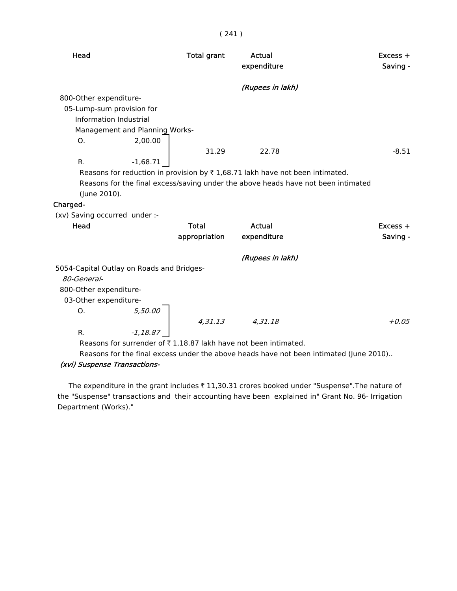| ۰<br>× |  |  |  |
|--------|--|--|--|
|--------|--|--|--|

| Head                                      |            | <b>Total grant</b> | Actual<br>expenditure                                                                    | $Excess +$<br>Saving -                                                                 |
|-------------------------------------------|------------|--------------------|------------------------------------------------------------------------------------------|----------------------------------------------------------------------------------------|
|                                           |            |                    | (Rupees in lakh)                                                                         |                                                                                        |
| 800-Other expenditure-                    |            |                    |                                                                                          |                                                                                        |
| 05-Lump-sum provision for                 |            |                    |                                                                                          |                                                                                        |
| Information Industrial                    |            |                    |                                                                                          |                                                                                        |
| Management and Planning Works-            |            |                    |                                                                                          |                                                                                        |
| Ο.                                        | 2,00.00    |                    |                                                                                          |                                                                                        |
|                                           |            | 31.29              | 22.78                                                                                    | $-8.51$                                                                                |
| R.                                        | $-1,68.71$ |                    |                                                                                          |                                                                                        |
|                                           |            |                    | Reasons for reduction in provision by $\bar{\tau}$ 1,68.71 lakh have not been intimated. |                                                                                        |
|                                           |            |                    | Reasons for the final excess/saving under the above heads have not been intimated        |                                                                                        |
| (June 2010).                              |            |                    |                                                                                          |                                                                                        |
| Charged-                                  |            |                    |                                                                                          |                                                                                        |
| (xv) Saving occurred under :-             |            |                    |                                                                                          |                                                                                        |
| Head                                      |            | <b>Total</b>       | Actual                                                                                   | $Excess +$                                                                             |
|                                           |            | appropriation      | expenditure                                                                              | Saving -                                                                               |
|                                           |            |                    | (Rupees in lakh)                                                                         |                                                                                        |
| 5054-Capital Outlay on Roads and Bridges- |            |                    |                                                                                          |                                                                                        |
| 80-General-                               |            |                    |                                                                                          |                                                                                        |
| 800-Other expenditure-                    |            |                    |                                                                                          |                                                                                        |
| 03-Other expenditure-                     |            |                    |                                                                                          |                                                                                        |
| 0.                                        | 5,50.00    |                    |                                                                                          |                                                                                        |
|                                           |            | 4,31.13            | 4,31.18                                                                                  | $+0.05$                                                                                |
| R.                                        | $-1,18.87$ |                    |                                                                                          |                                                                                        |
|                                           |            |                    | Reasons for surrender of ₹1,18.87 lakh have not been intimated.                          |                                                                                        |
|                                           |            |                    |                                                                                          | Reasons for the final excess under the above heads have not been intimated (June 2010) |

#### (xvi) Suspense Transactions-

The expenditure in the grant includes  $\bar{\tau}$  11,30.31 crores booked under "Suspense". The nature of the "Suspense" transactions and their accounting have been explained in" Grant No. 96- Irrigation Department (Works)."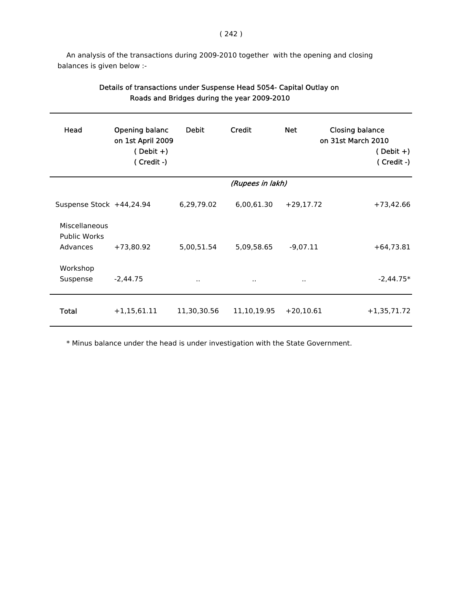An analysis of the transactions during 2009-2010 together with the opening and closing balances is given below :-

| Head                                             | Opening balanc<br>on 1st April 2009<br>$(Debit +)$<br>$(Credit -)$ | <b>Debit</b>         | Credit           | <b>Net</b>  | <b>Closing balance</b><br>on 31st March 2010<br>$(Debit +)$<br>(Credit -) |
|--------------------------------------------------|--------------------------------------------------------------------|----------------------|------------------|-------------|---------------------------------------------------------------------------|
|                                                  |                                                                    |                      | (Rupees in lakh) |             |                                                                           |
| Suspense Stock +44,24.94                         |                                                                    | 6,29,79.02           | 6,00,61.30       | $+29,17.72$ | $+73,42.66$                                                               |
| Miscellaneous<br><b>Public Works</b><br>Advances | $+73,80.92$                                                        | 5,00,51.54           | 5,09,58.65       | $-9,07.11$  | $+64,73.81$                                                               |
| Workshop<br>Suspense                             | $-2,44.75$                                                         | $\ddot{\phantom{a}}$ | $\sim$           | $\sim$      | $-2,44.75*$                                                               |
| <b>Total</b>                                     | $+1,15,61.11$                                                      | 11,30,30.56          | 11,10,19.95      | $+20,10.61$ | $+1,35,71.72$                                                             |

## Details of transactions under Suspense Head 5054- Capital Outlay on Roads and Bridges during the year 2009-2010

\* Minus balance under the head is under investigation with the State Government.

#### ( 242 )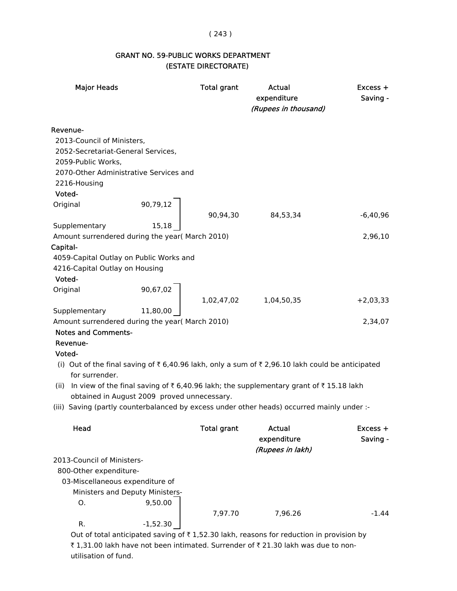#### ( 243 )

## GRANT NO. 59-PUBLIC WORKS DEPARTMENT (ESTATE DIRECTORATE)

| <b>Major Heads</b>                                                                                        |                                             | <b>Total grant</b> | Actual<br>expenditure<br>(Rupees in thousand)                                                  | $Excess +$<br>Saving - |
|-----------------------------------------------------------------------------------------------------------|---------------------------------------------|--------------------|------------------------------------------------------------------------------------------------|------------------------|
| <b>Revenue-</b><br>2013-Council of Ministers,<br>2052-Secretariat-General Services,<br>2059-Public Works, | 2070-Other Administrative Services and      |                    |                                                                                                |                        |
| 2216-Housing<br>Voted-                                                                                    |                                             |                    |                                                                                                |                        |
| Original                                                                                                  | 90,79,12                                    | 90,94,30           | 84,53,34                                                                                       | $-6,40,96$             |
| Supplementary                                                                                             | 15,18                                       |                    |                                                                                                |                        |
| Amount surrendered during the year( March 2010)                                                           |                                             |                    |                                                                                                | 2,96,10                |
| Capital-                                                                                                  |                                             |                    |                                                                                                |                        |
| 4059-Capital Outlay on Public Works and                                                                   |                                             |                    |                                                                                                |                        |
| 4216-Capital Outlay on Housing                                                                            |                                             |                    |                                                                                                |                        |
| Voted-                                                                                                    | 90,67,02                                    |                    |                                                                                                |                        |
| Original                                                                                                  |                                             | 1,02,47,02         | 1,04,50,35                                                                                     | $+2,03,33$             |
| Supplementary                                                                                             | 11,80,00                                    |                    |                                                                                                |                        |
| Amount surrendered during the year( March 2010)                                                           |                                             |                    |                                                                                                | 2,34,07                |
| <b>Notes and Comments-</b>                                                                                |                                             |                    |                                                                                                |                        |
| Revenue-                                                                                                  |                                             |                    |                                                                                                |                        |
| Voted-                                                                                                    |                                             |                    |                                                                                                |                        |
| for surrender.                                                                                            |                                             |                    | (i) Out of the final saving of ₹6,40.96 lakh, only a sum of ₹2,96.10 lakh could be anticipated |                        |
|                                                                                                           |                                             |                    | (ii) In view of the final saving of ₹6,40.96 lakh; the supplementary grant of ₹15.18 lakh      |                        |
|                                                                                                           | obtained in August 2009 proved unnecessary. |                    |                                                                                                |                        |
|                                                                                                           |                                             |                    | (iii) Saving (partly counterbalanced by excess under other heads) occurred mainly under :-     |                        |
| Head                                                                                                      |                                             | <b>Total grant</b> | Actual<br>expenditure                                                                          | Excess +<br>Saving -   |
|                                                                                                           |                                             |                    | (Rupees in lakh)                                                                               |                        |
| 2013-Council of Ministers-                                                                                |                                             |                    |                                                                                                |                        |
| 800-Other expenditure-                                                                                    |                                             |                    |                                                                                                |                        |
| 03-Miscellaneous expenditure of                                                                           |                                             |                    |                                                                                                |                        |
|                                                                                                           | Ministers and Deputy Ministers-             |                    |                                                                                                |                        |
| Ο.                                                                                                        | 9,50.00                                     | 7,97.70            | 7,96.26                                                                                        | $-1.44$                |
| R.                                                                                                        | $-1,52.30$                                  |                    |                                                                                                |                        |

Out of total anticipated saving of  $\bar{\tau}$  1,52.30 lakh, reasons for reduction in provision by ₹ 1,31.00 lakh have not been intimated. Surrender of ₹ 21.30 lakh was due to nonutilisation of fund.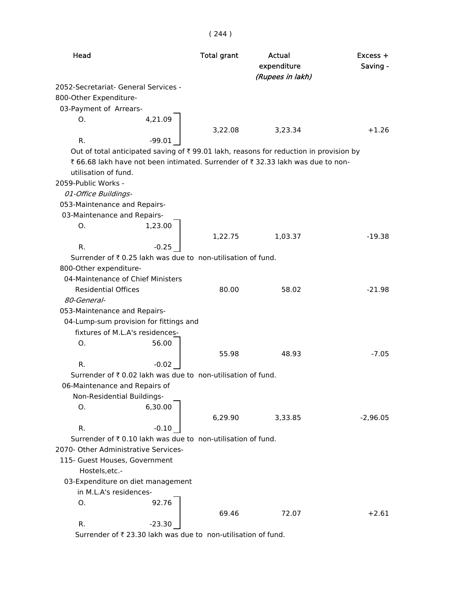| Head                                 |                                                              | <b>Total grant</b> | Actual<br>expenditure<br>(Rupees in lakh)                                             | Excess +<br>Saving - |
|--------------------------------------|--------------------------------------------------------------|--------------------|---------------------------------------------------------------------------------------|----------------------|
| 2052-Secretariat- General Services - |                                                              |                    |                                                                                       |                      |
| 800-Other Expenditure-               |                                                              |                    |                                                                                       |                      |
| 03-Payment of Arrears-               |                                                              |                    |                                                                                       |                      |
| О.                                   | 4,21.09                                                      |                    |                                                                                       |                      |
|                                      |                                                              | 3,22.08            | 3,23.34                                                                               | $+1.26$              |
| R.                                   | $-99.01$                                                     |                    |                                                                                       |                      |
|                                      |                                                              |                    | Out of total anticipated saving of ₹99.01 lakh, reasons for reduction in provision by |                      |
|                                      |                                                              |                    | ₹ 66.68 lakh have not been intimated. Surrender of ₹ 32.33 lakh was due to non-       |                      |
| utilisation of fund.                 |                                                              |                    |                                                                                       |                      |
| 2059-Public Works -                  |                                                              |                    |                                                                                       |                      |
| 01-Office Buildings-                 |                                                              |                    |                                                                                       |                      |
| 053-Maintenance and Repairs-         |                                                              |                    |                                                                                       |                      |
| 03-Maintenance and Repairs-          |                                                              |                    |                                                                                       |                      |
| Ο.                                   | 1,23.00                                                      |                    |                                                                                       |                      |
|                                      |                                                              | 1,22.75            | 1,03.37                                                                               | $-19.38$             |
| R.                                   | $-0.25$                                                      |                    |                                                                                       |                      |
|                                      | Surrender of ₹ 0.25 lakh was due to non-utilisation of fund. |                    |                                                                                       |                      |
| 800-Other expenditure-               |                                                              |                    |                                                                                       |                      |
| 04-Maintenance of Chief Ministers    |                                                              |                    |                                                                                       |                      |
| <b>Residential Offices</b>           |                                                              | 80.00              | 58.02                                                                                 | $-21.98$             |
| 80-General-                          |                                                              |                    |                                                                                       |                      |
| 053-Maintenance and Repairs-         |                                                              |                    |                                                                                       |                      |
|                                      | 04-Lump-sum provision for fittings and                       |                    |                                                                                       |                      |
|                                      | fixtures of M.L.A's residences-                              |                    |                                                                                       |                      |
| 0.                                   | 56.00                                                        |                    |                                                                                       |                      |
|                                      |                                                              | 55.98              | 48.93                                                                                 | $-7.05$              |
| R.                                   | $-0.02$                                                      |                    |                                                                                       |                      |
|                                      | Surrender of ₹ 0.02 lakh was due to non-utilisation of fund. |                    |                                                                                       |                      |
| 06-Maintenance and Repairs of        |                                                              |                    |                                                                                       |                      |
| Non-Residential Buildings-           |                                                              |                    |                                                                                       |                      |
| O.                                   | 6,30.00                                                      |                    |                                                                                       |                      |
|                                      |                                                              | 6,29.90            | 3,33.85                                                                               | $-2,96.05$           |
| R.                                   | $-0.10$                                                      |                    |                                                                                       |                      |
|                                      | Surrender of ₹ 0.10 lakh was due to non-utilisation of fund. |                    |                                                                                       |                      |
| 2070- Other Administrative Services- |                                                              |                    |                                                                                       |                      |
| 115- Guest Houses, Government        |                                                              |                    |                                                                                       |                      |
| Hostels, etc.-                       |                                                              |                    |                                                                                       |                      |
|                                      | 03-Expenditure on diet management                            |                    |                                                                                       |                      |
| in M.L.A's residences-               |                                                              |                    |                                                                                       |                      |
| O.                                   | 92.76                                                        |                    |                                                                                       |                      |
|                                      |                                                              | 69.46              | 72.07                                                                                 | $+2.61$              |
| R.                                   | $-23.30$                                                     |                    |                                                                                       |                      |
|                                      |                                                              |                    |                                                                                       |                      |

Surrender of  $\bar{\tau}$  23.30 lakh was due to non-utilisation of fund.

( 244 )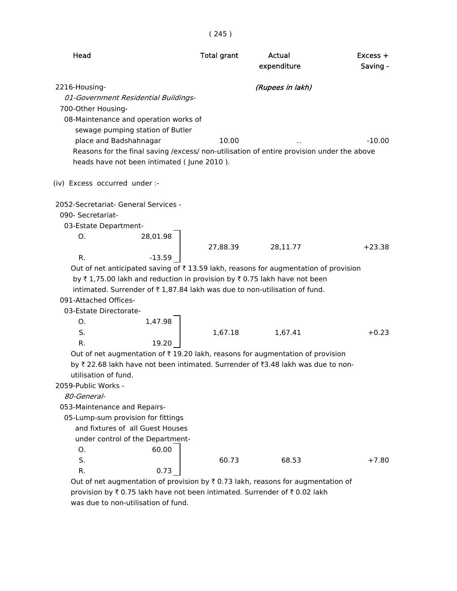| Head                                                                                                                                                                                                                                                                                                                                                           | <b>Total grant</b> | <b>Actual</b><br>expenditure | $Excess +$<br>Saving - |
|----------------------------------------------------------------------------------------------------------------------------------------------------------------------------------------------------------------------------------------------------------------------------------------------------------------------------------------------------------------|--------------------|------------------------------|------------------------|
| 2216-Housing-<br>01-Government Residential Buildings-<br>700-Other Housing-<br>08-Maintenance and operation works of<br>sewage pumping station of Butler<br>place and Badshahnagar<br>Reasons for the final saving /excess/ non-utilisation of entire provision under the above<br>heads have not been intimated (June 2010).<br>(iv) Excess occurred under :- | 10.00              | (Rupees in lakh)             | $-10.00$               |
| 2052-Secretariat- General Services -                                                                                                                                                                                                                                                                                                                           |                    |                              |                        |
| 090- Secretariat-                                                                                                                                                                                                                                                                                                                                              |                    |                              |                        |
| 03-Estate Department-                                                                                                                                                                                                                                                                                                                                          |                    |                              |                        |
| 0.<br>28,01.98                                                                                                                                                                                                                                                                                                                                                 |                    |                              |                        |
|                                                                                                                                                                                                                                                                                                                                                                | 27,88.39           | 28,11.77                     | $+23.38$               |
| R.<br>$-13.59$                                                                                                                                                                                                                                                                                                                                                 |                    |                              |                        |
| Out of net anticipated saving of $\overline{\tau}$ 13.59 lakh, reasons for augmentation of provision<br>by ₹1,75.00 lakh and reduction in provision by ₹0.75 lakh have not been<br>intimated. Surrender of ₹1,87.84 lakh was due to non-utilisation of fund.<br>091-Attached Offices-<br>03-Estate Directorate-<br>1,47.98<br>О.                               |                    |                              |                        |
| S.                                                                                                                                                                                                                                                                                                                                                             | 1,67.18            | 1,67.41                      | $+0.23$                |
| R.<br>19.20                                                                                                                                                                                                                                                                                                                                                    |                    |                              |                        |
| Out of net augmentation of ₹19.20 lakh, reasons for augmentation of provision<br>by ₹ 22.68 lakh have not been intimated. Surrender of ₹3.48 lakh was due to non-<br>utilisation of fund.                                                                                                                                                                      |                    |                              |                        |
| 2059-Public Works -                                                                                                                                                                                                                                                                                                                                            |                    |                              |                        |
| 80-General-                                                                                                                                                                                                                                                                                                                                                    |                    |                              |                        |
| 053-Maintenance and Repairs-                                                                                                                                                                                                                                                                                                                                   |                    |                              |                        |
| 05-Lump-sum provision for fittings                                                                                                                                                                                                                                                                                                                             |                    |                              |                        |
| and fixtures of all Guest Houses                                                                                                                                                                                                                                                                                                                               |                    |                              |                        |
| under control of the Department-                                                                                                                                                                                                                                                                                                                               |                    |                              |                        |
| 60.00<br>O.                                                                                                                                                                                                                                                                                                                                                    |                    |                              |                        |
| S.                                                                                                                                                                                                                                                                                                                                                             | 60.73              | 68.53                        | $+7.80$                |
| R.<br>0.73                                                                                                                                                                                                                                                                                                                                                     |                    |                              |                        |
| Out of net augmentation of provision by $\bar{\tau}$ 0.73 lakh, reasons for augmentation of                                                                                                                                                                                                                                                                    |                    |                              |                        |

provision by  $\bar{\tau}$  0.75 lakh have not been intimated. Surrender of  $\bar{\tau}$  0.02 lakh was due to non-utilisation of fund.

( 245 )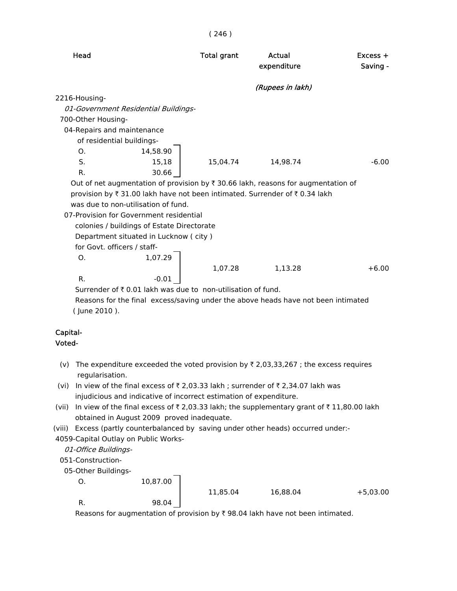| Head                                                                                         | <b>Total grant</b> | Actual<br>expenditure | $Excess +$<br>Saving - |
|----------------------------------------------------------------------------------------------|--------------------|-----------------------|------------------------|
|                                                                                              |                    | (Rupees in lakh)      |                        |
| 2216-Housing-                                                                                |                    |                       |                        |
| 01-Government Residential Buildings-                                                         |                    |                       |                        |
| 700-Other Housing-                                                                           |                    |                       |                        |
| 04-Repairs and maintenance                                                                   |                    |                       |                        |
| of residential buildings-                                                                    |                    |                       |                        |
| O <sub>1</sub><br>14,58.90                                                                   |                    |                       |                        |
| S.<br>15,18                                                                                  | 15.04.74           | 14.98.74              | $-6.00$                |
| $R_{\cdot}$<br>30.66                                                                         |                    |                       |                        |
| Out of net augmentation of provision by $\bar{\tau}$ 30.66 lakh, reasons for augmentation of |                    |                       |                        |
| provision by ₹ 31.00 lakh have not been intimated. Surrender of ₹ 0.34 lakh                  |                    |                       |                        |
| was due to non-utilisation of fund.                                                          |                    |                       |                        |
| 07-Provision for Government residential                                                      |                    |                       |                        |
| colonies / buildings of Estate Directorate                                                   |                    |                       |                        |
| Department situated in Lucknow (city)                                                        |                    |                       |                        |
| for Govt. officers / staff-                                                                  |                    |                       |                        |
| 1,07.29<br>O <sub>1</sub>                                                                    |                    |                       |                        |
|                                                                                              | 1,07.28            | 1,13.28               | $+6.00$                |
| $R_{\cdot}$<br>$-0.01$                                                                       |                    |                       |                        |
| Surrender of ₹ 0.01 lakh was due to non-utilisation of fund.                                 |                    |                       |                        |
| Reasons for the final excess/saving under the above heads have not been intimated            |                    |                       |                        |
| (June 2010).                                                                                 |                    |                       |                        |

#### Capital- Voted-

- (v) The expenditure exceeded the voted provision by  $\bar{\tau}$  2,03,33,267 ; the excess requires regularisation.
- (vi) In view of the final excess of  $\bar{\tau}$  2,03.33 lakh ; surrender of  $\bar{\tau}$  2,34.07 lakh was injudicious and indicative of incorrect estimation of expenditure.
- (vii) In view of the final excess of  $\bar{\tau}$  2,03.33 lakh; the supplementary grant of  $\bar{\tau}$  11,80.00 lakh obtained in August 2009 proved inadequate.
- (viii) Excess (partly counterbalanced by saving under other heads) occurred under:-
- 4059-Capital Outlay on Public Works-

01-Office Buildings-

051-Construction-

05-Other Buildings-

O. 10,87.00

11,85.04 16,88.04 +5,03.00

R. 98.04

Reasons for augmentation of provision by  $\bar{\tau}$  98.04 lakh have not been intimated.

( 246 )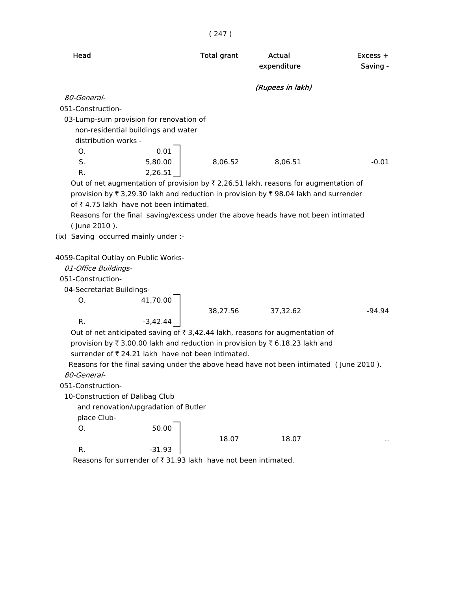| Head<br><b>Total grant</b><br><b>Actual</b><br>$Excess +$<br>expenditure<br>Saving -<br>(Rupees in lakh)<br>80-General-<br>051-Construction-<br>03-Lump-sum provision for renovation of<br>non-residential buildings and water<br>distribution works -<br>0.01<br>Ο.<br>S.<br>5,80.00<br>8,06.52<br>8,06.51<br>$-0.01$<br>R.<br>2,26.51<br>Out of net augmentation of provision by $\overline{\zeta}$ 2,26.51 lakh, reasons for augmentation of<br>provision by ₹3,29.30 lakh and reduction in provision by ₹98.04 lakh and surrender<br>of ₹4.75 lakh have not been intimated.<br>Reasons for the final saving/excess under the above heads have not been intimated<br>(June 2010).<br>(ix) Saving occurred mainly under :-<br>4059-Capital Outlay on Public Works-<br>01-Office Buildings-<br>051-Construction-<br>04-Secretariat Buildings-<br>Ο.<br>41,70.00<br>38,27.56<br>37,32.62<br>-94.94<br>R.<br>$-3,42.44$<br>Out of net anticipated saving of ₹ 3,42.44 lakh, reasons for augmentation of<br>provision by ₹ 3,00.00 lakh and reduction in provision by ₹ 6,18.23 lakh and<br>surrender of ₹ 24.21 lakh have not been intimated.<br>Reasons for the final saving under the above head have not been intimated (June 2010).<br>80-General-<br>051-Construction-<br>10-Construction of Dalibag Club<br>and renovation/upgradation of Butler<br>place Club-<br>50.00<br>0.<br>18.07<br>18.07<br>R.<br>$-31.93$ |  | (247) |  |
|-------------------------------------------------------------------------------------------------------------------------------------------------------------------------------------------------------------------------------------------------------------------------------------------------------------------------------------------------------------------------------------------------------------------------------------------------------------------------------------------------------------------------------------------------------------------------------------------------------------------------------------------------------------------------------------------------------------------------------------------------------------------------------------------------------------------------------------------------------------------------------------------------------------------------------------------------------------------------------------------------------------------------------------------------------------------------------------------------------------------------------------------------------------------------------------------------------------------------------------------------------------------------------------------------------------------------------------------------------------------------------------------------------------------------|--|-------|--|
|                                                                                                                                                                                                                                                                                                                                                                                                                                                                                                                                                                                                                                                                                                                                                                                                                                                                                                                                                                                                                                                                                                                                                                                                                                                                                                                                                                                                                         |  |       |  |
|                                                                                                                                                                                                                                                                                                                                                                                                                                                                                                                                                                                                                                                                                                                                                                                                                                                                                                                                                                                                                                                                                                                                                                                                                                                                                                                                                                                                                         |  |       |  |
|                                                                                                                                                                                                                                                                                                                                                                                                                                                                                                                                                                                                                                                                                                                                                                                                                                                                                                                                                                                                                                                                                                                                                                                                                                                                                                                                                                                                                         |  |       |  |
|                                                                                                                                                                                                                                                                                                                                                                                                                                                                                                                                                                                                                                                                                                                                                                                                                                                                                                                                                                                                                                                                                                                                                                                                                                                                                                                                                                                                                         |  |       |  |
|                                                                                                                                                                                                                                                                                                                                                                                                                                                                                                                                                                                                                                                                                                                                                                                                                                                                                                                                                                                                                                                                                                                                                                                                                                                                                                                                                                                                                         |  |       |  |
|                                                                                                                                                                                                                                                                                                                                                                                                                                                                                                                                                                                                                                                                                                                                                                                                                                                                                                                                                                                                                                                                                                                                                                                                                                                                                                                                                                                                                         |  |       |  |
|                                                                                                                                                                                                                                                                                                                                                                                                                                                                                                                                                                                                                                                                                                                                                                                                                                                                                                                                                                                                                                                                                                                                                                                                                                                                                                                                                                                                                         |  |       |  |
|                                                                                                                                                                                                                                                                                                                                                                                                                                                                                                                                                                                                                                                                                                                                                                                                                                                                                                                                                                                                                                                                                                                                                                                                                                                                                                                                                                                                                         |  |       |  |
|                                                                                                                                                                                                                                                                                                                                                                                                                                                                                                                                                                                                                                                                                                                                                                                                                                                                                                                                                                                                                                                                                                                                                                                                                                                                                                                                                                                                                         |  |       |  |
|                                                                                                                                                                                                                                                                                                                                                                                                                                                                                                                                                                                                                                                                                                                                                                                                                                                                                                                                                                                                                                                                                                                                                                                                                                                                                                                                                                                                                         |  |       |  |
|                                                                                                                                                                                                                                                                                                                                                                                                                                                                                                                                                                                                                                                                                                                                                                                                                                                                                                                                                                                                                                                                                                                                                                                                                                                                                                                                                                                                                         |  |       |  |
|                                                                                                                                                                                                                                                                                                                                                                                                                                                                                                                                                                                                                                                                                                                                                                                                                                                                                                                                                                                                                                                                                                                                                                                                                                                                                                                                                                                                                         |  |       |  |
|                                                                                                                                                                                                                                                                                                                                                                                                                                                                                                                                                                                                                                                                                                                                                                                                                                                                                                                                                                                                                                                                                                                                                                                                                                                                                                                                                                                                                         |  |       |  |
|                                                                                                                                                                                                                                                                                                                                                                                                                                                                                                                                                                                                                                                                                                                                                                                                                                                                                                                                                                                                                                                                                                                                                                                                                                                                                                                                                                                                                         |  |       |  |
|                                                                                                                                                                                                                                                                                                                                                                                                                                                                                                                                                                                                                                                                                                                                                                                                                                                                                                                                                                                                                                                                                                                                                                                                                                                                                                                                                                                                                         |  |       |  |
|                                                                                                                                                                                                                                                                                                                                                                                                                                                                                                                                                                                                                                                                                                                                                                                                                                                                                                                                                                                                                                                                                                                                                                                                                                                                                                                                                                                                                         |  |       |  |
|                                                                                                                                                                                                                                                                                                                                                                                                                                                                                                                                                                                                                                                                                                                                                                                                                                                                                                                                                                                                                                                                                                                                                                                                                                                                                                                                                                                                                         |  |       |  |
|                                                                                                                                                                                                                                                                                                                                                                                                                                                                                                                                                                                                                                                                                                                                                                                                                                                                                                                                                                                                                                                                                                                                                                                                                                                                                                                                                                                                                         |  |       |  |
|                                                                                                                                                                                                                                                                                                                                                                                                                                                                                                                                                                                                                                                                                                                                                                                                                                                                                                                                                                                                                                                                                                                                                                                                                                                                                                                                                                                                                         |  |       |  |
| Reasons for surrender of ₹ 31.93 lakh have not been intimated.                                                                                                                                                                                                                                                                                                                                                                                                                                                                                                                                                                                                                                                                                                                                                                                                                                                                                                                                                                                                                                                                                                                                                                                                                                                                                                                                                          |  |       |  |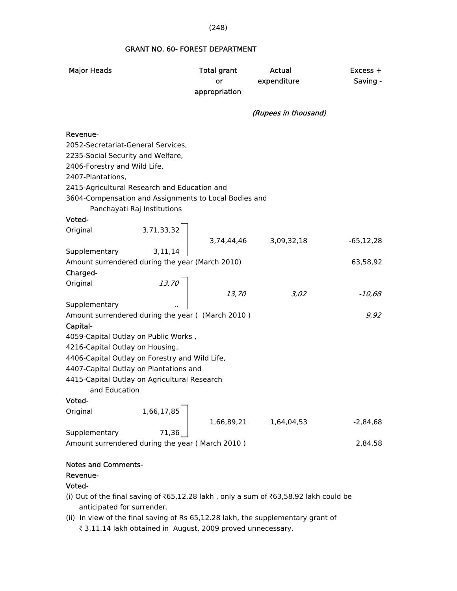### GRANT NO. 60- FOREST DEPARTMENT

| <b>Major Heads</b>                                                                       |                                      | <b>Total grant</b><br>or<br>appropriation | Actual<br>expenditure | $Excess +$<br>Saving - |
|------------------------------------------------------------------------------------------|--------------------------------------|-------------------------------------------|-----------------------|------------------------|
|                                                                                          |                                      |                                           | (Rupees in thousand)  |                        |
| Revenue-                                                                                 |                                      |                                           |                       |                        |
| 2052-Secretariat-General Services,                                                       |                                      |                                           |                       |                        |
| 2235-Social Security and Welfare,                                                        |                                      |                                           |                       |                        |
| 2406-Forestry and Wild Life,                                                             |                                      |                                           |                       |                        |
| 2407-Plantations,                                                                        |                                      |                                           |                       |                        |
| 2415-Agricultural Research and Education and                                             |                                      |                                           |                       |                        |
| 3604-Compensation and Assignments to Local Bodies and                                    | Panchayati Raj Institutions          |                                           |                       |                        |
| Voted-                                                                                   |                                      |                                           |                       |                        |
| Original                                                                                 | 3,71,33,32                           |                                           |                       |                        |
|                                                                                          |                                      |                                           | 3,74,44,46 3,09,32,18 | $-65, 12, 28$          |
| Supplementary                                                                            | 3,11,14                              |                                           |                       |                        |
| Amount surrendered during the year (March 2010)                                          |                                      |                                           |                       | 63,58,92               |
| Charged-                                                                                 |                                      |                                           |                       |                        |
| Original                                                                                 | $\begin{array}{c} 13,70 \end{array}$ |                                           |                       |                        |
|                                                                                          |                                      | 13,70                                     | 3,02                  | -10,68                 |
| Supplementary                                                                            |                                      |                                           |                       |                        |
| Amount surrendered during the year ( (March 2010)                                        |                                      |                                           |                       | 9,92                   |
| Capital-                                                                                 |                                      |                                           |                       |                        |
| 4059-Capital Outlay on Public Works,                                                     |                                      |                                           |                       |                        |
| 4216-Capital Outlay on Housing,                                                          |                                      |                                           |                       |                        |
| 4406-Capital Outlay on Forestry and Wild Life,<br>4407-Capital Outlay on Plantations and |                                      |                                           |                       |                        |
| 4415-Capital Outlay on Agricultural Research                                             |                                      |                                           |                       |                        |
| and Education                                                                            |                                      |                                           |                       |                        |
| Voted-                                                                                   |                                      |                                           |                       |                        |
| Original                                                                                 | 1,66,17,85                           |                                           |                       |                        |
|                                                                                          |                                      | 1,66,89,21                                | 1,64,04,53            | $-2,84,68$             |
| Supplementary                                                                            | 71,36                                |                                           |                       |                        |
| Amount surrendered during the year (March 2010)                                          |                                      |                                           |                       | 2,84,58                |
|                                                                                          |                                      |                                           |                       |                        |
| Notes and Comments.                                                                      |                                      |                                           |                       |                        |

#### Notes and Comments-

Revenue-

## Voted-

- (i) Out of the final saving of  $\text{\texttt{\$65,12.28}}$  lakh, only a sum of  $\text{\texttt{\$63,58.92}}$  lakh could be anticipated for surrender.
- (ii) In view of the final saving of Rs 65,12.28 lakh, the supplementary grant of ₹ 3,11.14 lakh obtained in August, 2009 proved unnecessary.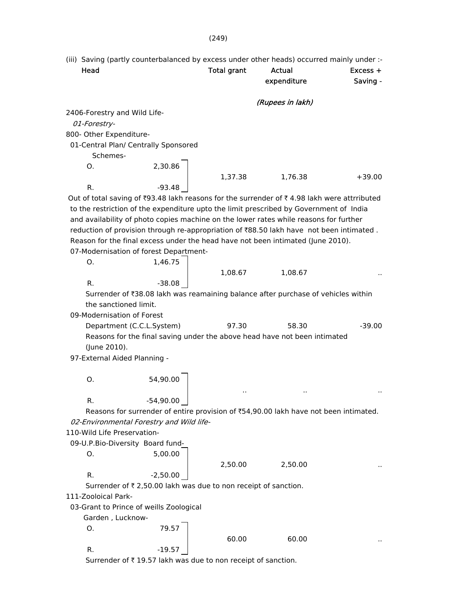(249)

- (iii) Saving (partly counterbalanced by excess under other heads) occurred mainly under :- Head **Total grant** Actual Excess + expenditure Saving - (Rupees in lakh) 2406-Forestry and Wild Life- 01-Forestry- 800- Other Expenditure- 01-Central Plan/ Centrally Sponsored Schemes-O. 2,30.86 1,37.38 1,76.38 +39.00 R.  $-93.48$ Out of total saving of  $\overline{8}93.48$  lakh reasons for the surrender of  $\overline{8}$  4.98 lakh were attrributed to the restriction of the expenditure upto the limit prescribed by Government of India and availability of photo copies machine on the lower rates while reasons for further reduction of provision through re-appropriation of  $\bar{x}88.50$  lakh have not been intimated . Reason for the final excess under the head have not been intimated (June 2010). 07-Modernisation of forest Department-O. 1,46.75 1,08.67 1,08.67 R. 38.08 Surrender of ₹38.08 lakh was reamaining balance after purchase of vehicles within the sanctioned limit. 09-Modernisation of Forest Department (C.C.L.System) 97.30 58.30 -39.00 Reasons for the final saving under the above head have not been intimated (June 2010). 97-External Aided Planning - O. 54,90.00 .. .. .. R.  $-54,90.00$ Reasons for surrender of entire provision of  $\text{\texttt{554,90.00}}$  lakh have not been intimated. 02-Environmental Forestry and Wild life- 110-Wild Life Preservation- 09-U.P.Bio-Diversity Board fund-O. 5,00.00 2,50.00 2,50.00 R.  $-2,50.00$ Surrender of  $\bar{\tau}$  2,50.00 lakh was due to non receipt of sanction. 111-Zooloical Park- 03-Grant to Prince of weills Zoological
	- Garden , Lucknow-
	- O. 79.57

60.00 60.00 .. R.  $-19.57$ 

Surrender of  $\bar{\tau}$  19.57 lakh was due to non receipt of sanction.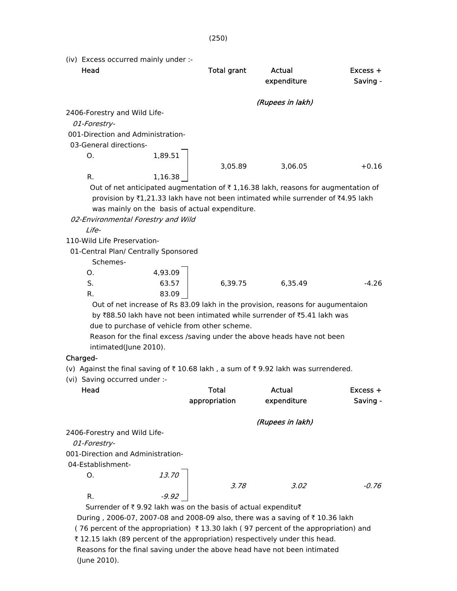| (iv) Excess occurred mainly under :-                                                                                                                                                                                                                                                                              |                                                                                                                                                                                                                                                                                                                                                                                                                    |                       |                      |  |  |
|-------------------------------------------------------------------------------------------------------------------------------------------------------------------------------------------------------------------------------------------------------------------------------------------------------------------|--------------------------------------------------------------------------------------------------------------------------------------------------------------------------------------------------------------------------------------------------------------------------------------------------------------------------------------------------------------------------------------------------------------------|-----------------------|----------------------|--|--|
| Head                                                                                                                                                                                                                                                                                                              | <b>Total grant</b>                                                                                                                                                                                                                                                                                                                                                                                                 | Actual<br>expenditure | Excess +<br>Saving - |  |  |
|                                                                                                                                                                                                                                                                                                                   |                                                                                                                                                                                                                                                                                                                                                                                                                    | (Rupees in lakh)      |                      |  |  |
| 2406-Forestry and Wild Life-                                                                                                                                                                                                                                                                                      |                                                                                                                                                                                                                                                                                                                                                                                                                    |                       |                      |  |  |
| 01-Forestry-                                                                                                                                                                                                                                                                                                      |                                                                                                                                                                                                                                                                                                                                                                                                                    |                       |                      |  |  |
| 001-Direction and Administration-                                                                                                                                                                                                                                                                                 |                                                                                                                                                                                                                                                                                                                                                                                                                    |                       |                      |  |  |
| 03-General directions-                                                                                                                                                                                                                                                                                            |                                                                                                                                                                                                                                                                                                                                                                                                                    |                       |                      |  |  |
| 1,89.51<br>O.                                                                                                                                                                                                                                                                                                     |                                                                                                                                                                                                                                                                                                                                                                                                                    |                       |                      |  |  |
|                                                                                                                                                                                                                                                                                                                   | 3,05.89                                                                                                                                                                                                                                                                                                                                                                                                            | 3,06.05               | $+0.16$              |  |  |
| R.<br>1,16.38                                                                                                                                                                                                                                                                                                     |                                                                                                                                                                                                                                                                                                                                                                                                                    |                       |                      |  |  |
| Out of net anticipated augmentation of $\bar{\tau}$ 1,16.38 lakh, reasons for augmentation of<br>provision by ₹1,21.33 lakh have not been intimated while surrender of ₹4.95 lakh<br>was mainly on the basis of actual expenditure.<br>02-Environmental Forestry and Wild<br>Life-<br>110-Wild Life Preservation- |                                                                                                                                                                                                                                                                                                                                                                                                                    |                       |                      |  |  |
|                                                                                                                                                                                                                                                                                                                   |                                                                                                                                                                                                                                                                                                                                                                                                                    |                       |                      |  |  |
| 01-Central Plan/ Centrally Sponsored<br>Schemes-                                                                                                                                                                                                                                                                  |                                                                                                                                                                                                                                                                                                                                                                                                                    |                       |                      |  |  |
| 4,93.09<br>Ο.                                                                                                                                                                                                                                                                                                     |                                                                                                                                                                                                                                                                                                                                                                                                                    |                       |                      |  |  |
| S.<br>63.57                                                                                                                                                                                                                                                                                                       | 6,39.75                                                                                                                                                                                                                                                                                                                                                                                                            | 6,35.49               | $-4.26$              |  |  |
| 83.09<br>R.                                                                                                                                                                                                                                                                                                       |                                                                                                                                                                                                                                                                                                                                                                                                                    |                       |                      |  |  |
| intimated(June 2010).<br>Charged-<br>(vi) Saving occurred under :-<br>Head                                                                                                                                                                                                                                        | Out of net increase of Rs 83.09 lakh in the provision, reasons for augumentaion<br>by ₹88.50 lakh have not been intimated while surrender of ₹5.41 lakh was<br>due to purchase of vehicle from other scheme.<br>Reason for the final excess /saving under the above heads have not been<br>(v) Against the final saving of ₹10.68 lakh, a sum of ₹9.92 lakh was surrendered.<br><b>Total</b><br>Actual<br>Excess + |                       |                      |  |  |
|                                                                                                                                                                                                                                                                                                                   | appropriation                                                                                                                                                                                                                                                                                                                                                                                                      | expenditure           | Saving -             |  |  |
|                                                                                                                                                                                                                                                                                                                   |                                                                                                                                                                                                                                                                                                                                                                                                                    | (Rupees in lakh)      |                      |  |  |
| 2406-Forestry and Wild Life-<br>01-Forestry-                                                                                                                                                                                                                                                                      |                                                                                                                                                                                                                                                                                                                                                                                                                    |                       |                      |  |  |
| 001-Direction and Administration-                                                                                                                                                                                                                                                                                 |                                                                                                                                                                                                                                                                                                                                                                                                                    |                       |                      |  |  |

04-Establishment-

|                                                                         | 3.78 | 3.02 | -0.76 |
|-------------------------------------------------------------------------|------|------|-------|
| -9.92                                                                   |      |      |       |
| Surrander of $\bar{z}$ 0.02 lakh was on the hasis of actual expenditure |      |      |       |

Surrender of  $\bar{\tau}$  9.92 lakh was on the basis of actual expenditu $\bar{\tau}$ During , 2006-07, 2007-08 and 2008-09 also, there was a saving of  $\bar{\tau}$  10.36 lakh (76 percent of the appropriation)  $\bar{\tau}$  13.30 lakh (97 percent of the appropriation) and ₹ 12.15 lakh (89 percent of the appropriation) respectively under this head. Reasons for the final saving under the above head have not been intimated (June 2010).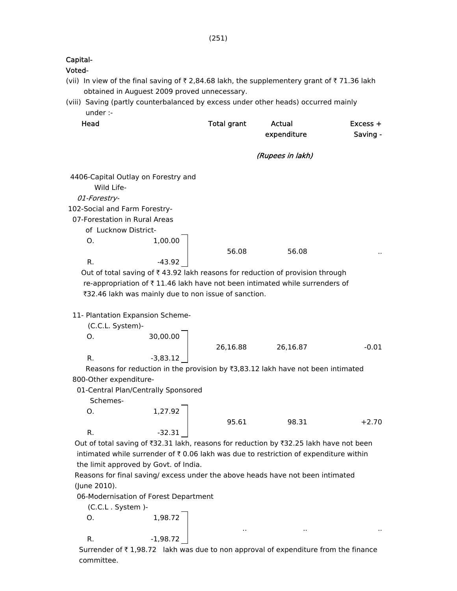| Capital-<br>Voted-            |                                                                                              |                    |                              |                      |
|-------------------------------|----------------------------------------------------------------------------------------------|--------------------|------------------------------|----------------------|
|                               | (vii) In view of the final saving of ₹ 2,84.68 lakh, the supplementery grant of ₹ 71.36 lakh |                    |                              |                      |
|                               | obtained in Auguest 2009 proved unnecessary.                                                 |                    |                              |                      |
|                               | (viii) Saving (partly counterbalanced by excess under other heads) occurred mainly           |                    |                              |                      |
| under :-                      |                                                                                              |                    |                              |                      |
| Head                          |                                                                                              | <b>Total grant</b> | <b>Actual</b><br>expenditure | Excess +<br>Saving - |
|                               |                                                                                              |                    | (Rupees in lakh)             |                      |
| Wild Life-                    | 4406-Capital Outlay on Forestry and                                                          |                    |                              |                      |
| 01-Forestry-                  |                                                                                              |                    |                              |                      |
| 102-Social and Farm Forestry- |                                                                                              |                    |                              |                      |
|                               | 07-Forestation in Rural Areas                                                                |                    |                              |                      |
| of Lucknow District-          |                                                                                              |                    |                              |                      |
| Ο.                            | 1,00.00                                                                                      |                    |                              |                      |
|                               |                                                                                              | 56.08              | 56.08                        |                      |
| R.                            | $-43.92$                                                                                     |                    |                              |                      |
|                               | Out of total saving of ₹43.92 lakh reasons for reduction of provision through                |                    |                              |                      |
|                               | re-appropriation of ₹11.46 lakh have not been intimated while surrenders of                  |                    |                              |                      |
|                               | ₹32.46 lakh was mainly due to non issue of sanction.                                         |                    |                              |                      |
|                               |                                                                                              |                    |                              |                      |
| (C.C.L. System)-              | 11- Plantation Expansion Scheme-                                                             |                    |                              |                      |
| О.                            | 30,00.00                                                                                     |                    |                              |                      |
|                               |                                                                                              | 26,16.88           | 26,16.87                     | $-0.01$              |
| R.                            | $-3,83.12$                                                                                   |                    |                              |                      |
|                               | Reasons for reduction in the provision by $\overline{3}$ ,83.12 lakh have not been intimated |                    |                              |                      |
| 800-Other expenditure-        |                                                                                              |                    |                              |                      |
|                               | 01-Central Plan/Centrally Sponsored                                                          |                    |                              |                      |
| Schemes-                      |                                                                                              |                    |                              |                      |
| Ο.                            | 1,27.92                                                                                      |                    |                              |                      |
|                               |                                                                                              | 95.61              | 98.31                        | $+2.70$              |
| R.                            | $-32.31$                                                                                     |                    |                              |                      |
|                               | Out of total saving of ₹32.31 lakh, reasons for reduction by ₹32.25 lakh have not been       |                    |                              |                      |
|                               | intimated while surrender of ₹0.06 lakh was due to restriction of expenditure within         |                    |                              |                      |
|                               | the limit approved by Govt. of India.                                                        |                    |                              |                      |
|                               | Reasons for final saving/ excess under the above heads have not been intimated               |                    |                              |                      |
| (June 2010).                  |                                                                                              |                    |                              |                      |
|                               | 06-Modernisation of Forest Department                                                        |                    |                              |                      |
| (C.C.L. System )-             |                                                                                              |                    |                              |                      |
| О.                            | 1,98.72                                                                                      |                    |                              |                      |
| R.                            | $-1,98.72$                                                                                   |                    |                              |                      |
|                               |                                                                                              |                    |                              |                      |

Surrender of  $\bar{\tau}$  1,98.72 lakh was due to non approval of expenditure from the finance committee.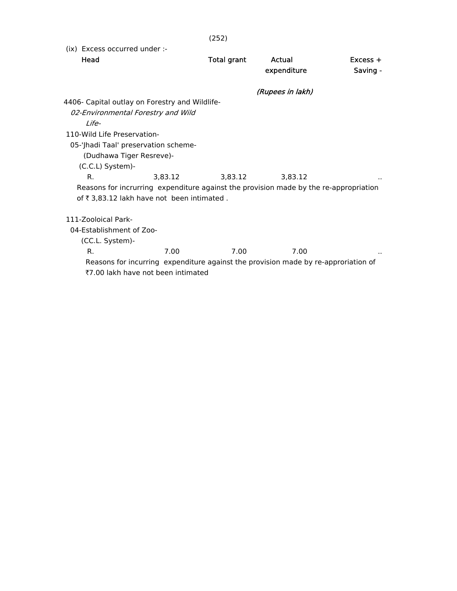(252)

(ix) Excess occurred under :-

| Head                                                                                  |         | <b>Total grant</b> | Actual           | $Excess +$ |
|---------------------------------------------------------------------------------------|---------|--------------------|------------------|------------|
|                                                                                       |         |                    | expenditure      | Saving -   |
|                                                                                       |         |                    | (Rupees in lakh) |            |
| 4406- Capital outlay on Forestry and Wildlife-                                        |         |                    |                  |            |
| 02-Environmental Forestry and Wild                                                    |         |                    |                  |            |
| I ife-                                                                                |         |                    |                  |            |
| 110-Wild Life Preservation-                                                           |         |                    |                  |            |
| 05-'Jhadi Taal' preservation scheme-                                                  |         |                    |                  |            |
| (Dudhawa Tiger Resreve)-                                                              |         |                    |                  |            |
| (C.C.L) System)-                                                                      |         |                    |                  |            |
| R.                                                                                    | 3,83.12 | 3,83.12            | 3,83.12          |            |
| Reasons for incrurring expenditure against the provision made by the re-appropriation |         |                    |                  |            |
| of ₹ 3,83.12 lakh have not been intimated.                                            |         |                    |                  |            |
|                                                                                       |         |                    |                  |            |
| 111-Zooloical Park-                                                                   |         |                    |                  |            |
| 04-Establishment of Zoo-                                                              |         |                    |                  |            |
| (CC.L. System)-                                                                       |         |                    |                  |            |
| R.                                                                                    | 7.00    | 7.00               | 7.00             |            |
| Reasons for incurring expenditure against the provision made by re-approriation of    |         |                    |                  |            |
| ₹7.00 lakh have not been intimated                                                    |         |                    |                  |            |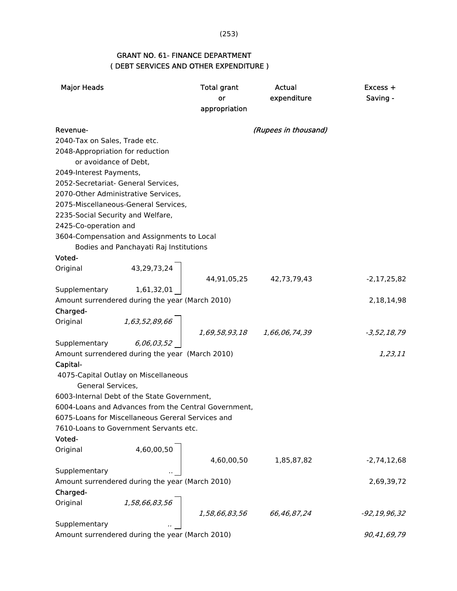## (253)

## GRANT NO. 61- FINANCE DEPARTMENT ( DEBT SERVICES AND OTHER EXPENDITURE )

| <b>Major Heads</b>               |                                                                                                                                                | <b>Total grant</b>      | Actual               | Excess +         |
|----------------------------------|------------------------------------------------------------------------------------------------------------------------------------------------|-------------------------|----------------------|------------------|
|                                  |                                                                                                                                                | or                      | expenditure          | Saving -         |
|                                  |                                                                                                                                                | appropriation           |                      |                  |
| Revenue-                         |                                                                                                                                                |                         | (Rupees in thousand) |                  |
| 2040-Tax on Sales, Trade etc.    |                                                                                                                                                |                         |                      |                  |
| 2048-Appropriation for reduction |                                                                                                                                                |                         |                      |                  |
| or avoidance of Debt,            |                                                                                                                                                |                         |                      |                  |
| 2049-Interest Payments,          |                                                                                                                                                |                         |                      |                  |
|                                  | 2052-Secretariat- General Services,                                                                                                            |                         |                      |                  |
|                                  | 2070-Other Administrative Services,                                                                                                            |                         |                      |                  |
|                                  | 2075-Miscellaneous-General Services,                                                                                                           |                         |                      |                  |
|                                  | 2235-Social Security and Welfare,                                                                                                              |                         |                      |                  |
| 2425-Co-operation and            |                                                                                                                                                |                         |                      |                  |
|                                  | 3604-Compensation and Assignments to Local                                                                                                     |                         |                      |                  |
|                                  | Bodies and Panchayati Raj Institutions                                                                                                         |                         |                      |                  |
| Voted-                           |                                                                                                                                                |                         |                      |                  |
| Original                         | 43,29,73,24                                                                                                                                    |                         |                      |                  |
|                                  |                                                                                                                                                | 44,91,05,25 42,73,79,43 |                      | $-2, 17, 25, 82$ |
|                                  | Supplementary 1,61,32,01                                                                                                                       |                         |                      |                  |
|                                  | Amount surrendered during the year (March 2010)                                                                                                |                         |                      | 2,18,14,98       |
| Charged-                         |                                                                                                                                                |                         |                      |                  |
| Original                         | $\begin{bmatrix} 1,63,52,89,66 \\ 6,06,03,52 \end{bmatrix}$ $\begin{bmatrix} 1,69,58,93,18 & 1,66,06,74,39 \\ 0 & 1,66,06,74,39 \end{bmatrix}$ |                         |                      |                  |
|                                  |                                                                                                                                                |                         |                      | $-3,52,18,79$    |
| Supplementary                    |                                                                                                                                                |                         |                      |                  |
|                                  | Amount surrendered during the year (March 2010)                                                                                                |                         |                      | 1,23,11          |
| Capital-                         |                                                                                                                                                |                         |                      |                  |
|                                  | 4075-Capital Outlay on Miscellaneous                                                                                                           |                         |                      |                  |
| General Services,                |                                                                                                                                                |                         |                      |                  |
|                                  | 6003-Internal Debt of the State Government,                                                                                                    |                         |                      |                  |
|                                  | 6004-Loans and Advances from the Central Government,                                                                                           |                         |                      |                  |
|                                  | 6075-Loans for Miscellaneous Gereral Services and                                                                                              |                         |                      |                  |
|                                  | 7610-Loans to Government Servants etc.                                                                                                         |                         |                      |                  |
| Voted-                           |                                                                                                                                                |                         |                      |                  |
| Original                         | 4,60,00,50                                                                                                                                     |                         |                      |                  |
|                                  |                                                                                                                                                | 4,60,00,50              | 1,85,87,82           | $-2,74,12,68$    |
| Supplementary                    |                                                                                                                                                |                         |                      |                  |
| Charged-                         | Amount surrendered during the year (March 2010)                                                                                                |                         |                      | 2,69,39,72       |
|                                  |                                                                                                                                                |                         |                      |                  |
| Original                         | 1,58,66,83,56                                                                                                                                  |                         | 66,46,87,24          |                  |
| Supplementary                    |                                                                                                                                                | 1,58,66,83,56           |                      | -92,19,96,32     |
|                                  |                                                                                                                                                |                         |                      | 90,41,69,79      |
|                                  | Amount surrendered during the year (March 2010)                                                                                                |                         |                      |                  |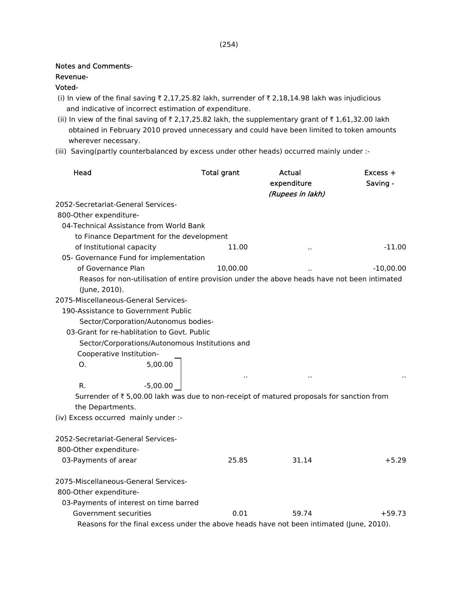## Notes and Comments-

#### Revenue-

### Voted-

- (i) In view of the final saving  $\bar{\tau}$  2,17,25.82 lakh, surrender of  $\bar{\tau}$  2,18,14.98 lakh was injudicious and indicative of incorrect estimation of expenditure.
- (ii) In view of the final saving of  $\bar{\tau}$  2,17,25.82 lakh, the supplementary grant of  $\bar{\tau}$  1,61,32.00 lakh obtained in February 2010 proved unnecessary and could have been limited to token amounts wherever necessary.
- (iii) Saving(partly counterbalanced by excess under other heads) occurred mainly under :-

| Head                                                                                                          | <b>Total grant</b>   | Actual<br>expenditure | Excess +<br>Saving - |
|---------------------------------------------------------------------------------------------------------------|----------------------|-----------------------|----------------------|
|                                                                                                               |                      | (Rupees in lakh)      |                      |
| 2052-Secretariat-General Services-                                                                            |                      |                       |                      |
| 800-Other expenditure-                                                                                        |                      |                       |                      |
| 04-Technical Assistance from World Bank                                                                       |                      |                       |                      |
| to Finance Department for the development                                                                     |                      |                       |                      |
| of Institutional capacity                                                                                     | 11.00                |                       | $-11.00$             |
| 05- Governance Fund for implementation                                                                        |                      |                       |                      |
| of Governance Plan                                                                                            | 10,00.00             |                       | $-10,00.00$          |
| Reasos for non-utilisation of entire provision under the above heads have not been intimated<br>(June, 2010). |                      |                       |                      |
| 2075-Miscellaneous-General Services-                                                                          |                      |                       |                      |
| 190-Assistance to Government Public                                                                           |                      |                       |                      |
| Sector/Corporation/Autonomus bodies-                                                                          |                      |                       |                      |
| 03-Grant for re-hablitation to Govt. Public                                                                   |                      |                       |                      |
| Sector/Corporations/Autonomous Institutions and                                                               |                      |                       |                      |
| Cooperative Institution-                                                                                      |                      |                       |                      |
| 5,00.00<br>O.                                                                                                 |                      |                       |                      |
|                                                                                                               | $\ddot{\phantom{1}}$ |                       |                      |
| $-5,00.00$<br>R.                                                                                              |                      |                       |                      |
| Surrender of ₹5,00.00 lakh was due to non-receipt of matured proposals for sanction from                      |                      |                       |                      |
| the Departments.                                                                                              |                      |                       |                      |
| (iv) Excess occurred mainly under :-                                                                          |                      |                       |                      |
|                                                                                                               |                      |                       |                      |
| 2052-Secretariat-General Services-                                                                            |                      |                       |                      |
| 800-Other expenditure-                                                                                        |                      |                       |                      |
| 03-Payments of arear                                                                                          | 25.85                | 31.14                 | $+5.29$              |
|                                                                                                               |                      |                       |                      |
| 2075-Miscellaneous-General Services-                                                                          |                      |                       |                      |
| 800-Other expenditure-                                                                                        |                      |                       |                      |
| 03-Payments of interest on time barred                                                                        |                      |                       |                      |
| Government securities                                                                                         | 0.01                 | 59.74                 | $+59.73$             |
| Reasons for the final excess under the above heads have not been intimated (June, 2010).                      |                      |                       |                      |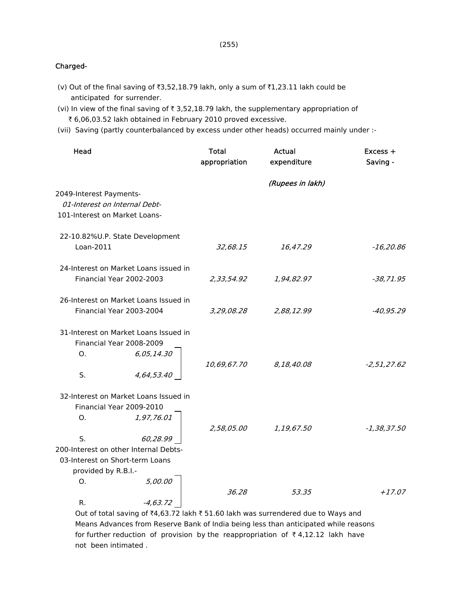(255)

## Charged-

- (v) Out of the final saving of  $\overline{3,52,18.79}$  lakh, only a sum of  $\overline{31,23.11}$  lakh could be anticipated for surrender.
- (vi) In view of the final saving of  $\bar{\tau}$  3,52,18.79 lakh, the supplementary appropriation of ₹ 6,06,03.52 lakh obtained in February 2010 proved excessive.
- (vii) Saving (partly counterbalanced by excess under other heads) occurred mainly under :-

| Head                                  | <b>Total</b><br>appropriation | Actual<br>expenditure | Excess +<br>Saving - |
|---------------------------------------|-------------------------------|-----------------------|----------------------|
|                                       |                               | (Rupees in lakh)      |                      |
| 2049-Interest Payments-               |                               |                       |                      |
| 01-Interest on Internal Debt-         |                               |                       |                      |
| 101-Interest on Market Loans-         |                               |                       |                      |
| 22-10.82%U.P. State Development       |                               |                       |                      |
| Loan-2011                             | 32,68.15                      | 16,47.29              | $-16,20.86$          |
| 24-Interest on Market Loans issued in |                               |                       |                      |
| Financial Year 2002-2003              | 2,33,54.92                    | 1,94,82.97            | $-38, 71.95$         |
| 26-Interest on Market Loans Issued in |                               |                       |                      |
| Financial Year 2003-2004              | 3,29,08.28                    | 2,88,12.99            | $-40,95.29$          |
| 31-Interest on Market Loans Issued in |                               |                       |                      |
| Financial Year 2008-2009              |                               |                       |                      |
| 6,05,14.30<br>O <sub>1</sub>          |                               |                       |                      |
|                                       | 10,69,67.70                   | 8,18,40.08            | $-2,51,27.62$        |
| S.<br>4,64,53.40                      |                               |                       |                      |
| 32-Interest on Market Loans Issued in |                               |                       |                      |
| Financial Year 2009-2010              |                               |                       |                      |
| 1,97,76.01<br>Ο.                      |                               |                       |                      |
|                                       | 2,58,05.00                    | 1,19,67.50            | $-1,38,37.50$        |
| S.<br>60,28.99                        |                               |                       |                      |
| 200-Interest on other Internal Debts- |                               |                       |                      |
| 03-Interest on Short-term Loans       |                               |                       |                      |
| provided by R.B.I.-                   |                               |                       |                      |
| 5,00.00<br>Ο.                         | 36.28                         | 53.35                 | $+17.07$             |
| $-4, 63, 72$<br>R.                    |                               |                       |                      |

Out of total saving of  $\bar{t}4,63.72$  lakh  $\bar{t}51.60$  lakh was surrendered due to Ways and Means Advances from Reserve Bank of India being less than anticipated while reasons for further reduction of provision by the reappropriation of  $\bar{\tau}$  4,12.12 lakh have not been intimated .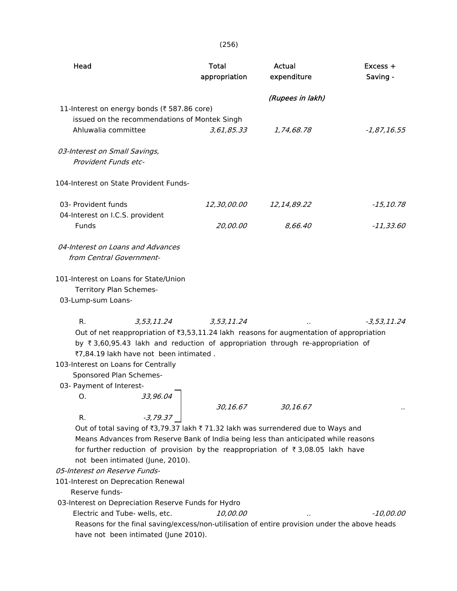(256)

| Head                                                                                                                                                                                                                                                                                                                                                                                                                                                                                                  | <b>Total</b><br>appropriation | Actual<br>expenditure | Excess +<br>Saving - |
|-------------------------------------------------------------------------------------------------------------------------------------------------------------------------------------------------------------------------------------------------------------------------------------------------------------------------------------------------------------------------------------------------------------------------------------------------------------------------------------------------------|-------------------------------|-----------------------|----------------------|
| 11-Interest on energy bonds (₹ 587.86 core)<br>issued on the recommendations of Montek Singh                                                                                                                                                                                                                                                                                                                                                                                                          |                               | (Rupees in lakh)      |                      |
| Ahluwalia committee<br>03-Interest on Small Savings,<br>Provident Funds etc-                                                                                                                                                                                                                                                                                                                                                                                                                          | 3,61,85.33                    | 1,74,68.78            | $-1,87,16.55$        |
| 104-Interest on State Provident Funds-                                                                                                                                                                                                                                                                                                                                                                                                                                                                |                               |                       |                      |
| 03- Provident funds<br>04-Interest on I.C.S. provident                                                                                                                                                                                                                                                                                                                                                                                                                                                | <i>12,30,00.00</i>            | 12,14,89.22           | $-15, 10.78$         |
| Funds                                                                                                                                                                                                                                                                                                                                                                                                                                                                                                 | 20,00.00                      | 8,66.40               | $-11,33.60$          |
| 04-Interest on Loans and Advances<br>from Central Government-                                                                                                                                                                                                                                                                                                                                                                                                                                         |                               |                       |                      |
| 101-Interest on Loans for State/Union<br>Territory Plan Schemes-<br>03-Lump-sum Loans-                                                                                                                                                                                                                                                                                                                                                                                                                |                               |                       |                      |
| 3,53,11.24<br>R.<br>Out of net reappropriation of ₹3,53,11.24 lakh reasons for augmentation of appropriation<br>by ₹3,60,95.43 lakh and reduction of appropriation through re-appropriation of<br>₹7,84.19 lakh have not been intimated.<br>103-Interest on Loans for Centrally<br>Sponsored Plan Schemes-<br>03- Payment of Interest-<br>33,96.04<br>Ο.                                                                                                                                              | 3,53,11.24                    |                       | -3,53,11.24          |
|                                                                                                                                                                                                                                                                                                                                                                                                                                                                                                       | 30,16.67                      | 30,16.67              |                      |
| $-3,79.37$<br>R.<br>Out of total saving of ₹3,79.37 lakh ₹71.32 lakh was surrendered due to Ways and<br>Means Advances from Reserve Bank of India being less than anticipated while reasons<br>for further reduction of provision by the reappropriation of ₹3,08.05 lakh have<br>not been intimated (June, 2010).<br>05-Interest on Reserve Funds-<br>101-Interest on Deprecation Renewal<br>Reserve funds-<br>03-Interest on Depreciation Reserve Funds for Hydro<br>Electric and Tube- wells, etc. | <i>10,00.00</i>               |                       | -10,00.00            |
| Reasons for the final saving/excess/non-utilisation of entire provision under the above heads<br>have not been intimated (June 2010).                                                                                                                                                                                                                                                                                                                                                                 |                               |                       |                      |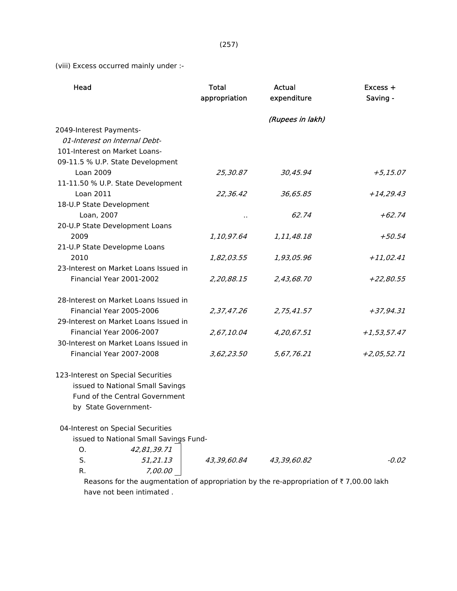(viii) Excess occurred mainly under :-

| Head                                   | Total<br>appropriation | Actual<br>expenditure | Excess +<br>Saving - |
|----------------------------------------|------------------------|-----------------------|----------------------|
|                                        |                        | (Rupees in lakh)      |                      |
| 2049-Interest Payments-                |                        |                       |                      |
| 01-Interest on Internal Debt-          |                        |                       |                      |
| 101-Interest on Market Loans-          |                        |                       |                      |
| 09-11.5 % U.P. State Development       |                        |                       |                      |
| Loan 2009                              | 25,30.87               | 30,45.94              | $+5,15.07$           |
| 11-11.50 % U.P. State Development      |                        |                       |                      |
| Loan 2011                              | 22,36.42               | 36,65.85              | $+14,29.43$          |
| 18-U.P State Development               |                        |                       |                      |
| Loan, 2007                             |                        | 62.74                 | $+62.74$             |
| 20-U.P State Development Loans         |                        |                       |                      |
| 2009                                   | 1,10,97.64             | 1,11,48.18            | $+50.54$             |
| 21-U.P State Developme Loans           |                        |                       |                      |
| 2010                                   | 1,82,03.55             | 1,93,05.96            | $+11,02.41$          |
| 23-Interest on Market Loans Issued in  |                        |                       |                      |
| Financial Year 2001-2002               | 2,20,88.15             | 2,43,68.70            | $+22,80.55$          |
| 28-Interest on Market Loans Issued in  |                        |                       |                      |
| Financial Year 2005-2006               | 2,37,47.26             | 2,75,41.57            | +37,94.31            |
| 29-Interest on Market Loans Issued in  |                        |                       |                      |
| Financial Year 2006-2007               | 2,67,10.04             | 4,20,67.51            | $+1,53,57.47$        |
| 30-Interest on Market Loans Issued in  |                        |                       |                      |
| Financial Year 2007-2008               | 3,62,23.50             | 5,67,76.21            | $+2,05,52.71$        |
| 123-Interest on Special Securities     |                        |                       |                      |
| issued to National Small Savings       |                        |                       |                      |
| Fund of the Central Government         |                        |                       |                      |
| by State Government-                   |                        |                       |                      |
| 04-Interest on Special Securities      |                        |                       |                      |
| issued to National Small Savings Fund- |                        |                       |                      |
| 42,81,39.71<br>Ο.                      |                        |                       |                      |
| S.<br>51,21.13                         | 43,39,60.84            | 43,39,60.82           | $-0.02$              |
| R.<br>7,00.00                          |                        |                       |                      |

Reasons for the augmentation of appropriation by the re-appropriation of  $\bar{\tau}$  7,00.00 lakh have not been intimated .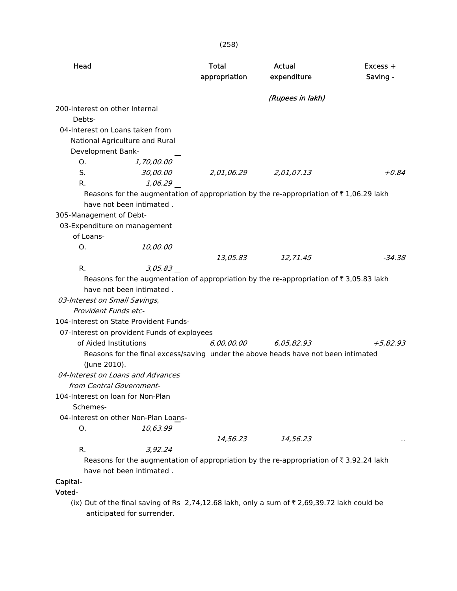| Head                              |                                             | Total<br>appropriation | Actual<br>expenditure                                                                              | Excess +<br>Saving - |
|-----------------------------------|---------------------------------------------|------------------------|----------------------------------------------------------------------------------------------------|----------------------|
|                                   |                                             |                        | (Rupees in lakh)                                                                                   |                      |
| 200-Interest on other Internal    |                                             |                        |                                                                                                    |                      |
| Debts-                            |                                             |                        |                                                                                                    |                      |
| 04-Interest on Loans taken from   |                                             |                        |                                                                                                    |                      |
|                                   | National Agriculture and Rural              |                        |                                                                                                    |                      |
| Development Bank-                 |                                             |                        |                                                                                                    |                      |
| O.                                | 1,70,00.00                                  |                        |                                                                                                    |                      |
| S.                                | 30,00.00                                    | 2,01,06.29             | 2,01,07.13                                                                                         | $+0.84$              |
| R.                                | 1,06.29                                     |                        |                                                                                                    |                      |
|                                   |                                             |                        | Reasons for the augmentation of appropriation by the re-appropriation of $\bar{\tau}$ 1,06.29 lakh |                      |
|                                   | have not been intimated.                    |                        |                                                                                                    |                      |
| 305-Management of Debt-           |                                             |                        |                                                                                                    |                      |
| 03-Expenditure on management      |                                             |                        |                                                                                                    |                      |
| of Loans-                         |                                             |                        |                                                                                                    |                      |
| Ο.                                | 10,00.00                                    |                        |                                                                                                    |                      |
|                                   |                                             | 13,05.83               | 12,71.45                                                                                           | $-34.38$             |
| R.                                | 3,05.83                                     |                        |                                                                                                    |                      |
|                                   |                                             |                        | Reasons for the augmentation of appropriation by the re-appropriation of $\bar{\tau}$ 3,05.83 lakh |                      |
|                                   | have not been intimated.                    |                        |                                                                                                    |                      |
| 03-Interest on Small Savings,     |                                             |                        |                                                                                                    |                      |
| Provident Funds etc-              |                                             |                        |                                                                                                    |                      |
|                                   | 104-Interest on State Provident Funds-      |                        |                                                                                                    |                      |
|                                   | 07-Interest on provident Funds of exployees |                        |                                                                                                    |                      |
| of Aided Institutions             |                                             | 6,00,00.00             | 6,05,82.93                                                                                         | $+5,82.93$           |
|                                   |                                             |                        | Reasons for the final excess/saving under the above heads have not been intimated                  |                      |
| (June 2010).                      |                                             |                        |                                                                                                    |                      |
|                                   | 04-Interest on Loans and Advances           |                        |                                                                                                    |                      |
| from Central Government-          |                                             |                        |                                                                                                    |                      |
| 104-Interest on loan for Non-Plan |                                             |                        |                                                                                                    |                      |
| Schemes-                          |                                             |                        |                                                                                                    |                      |
|                                   | 04-Interest on other Non-Plan Loans-        |                        |                                                                                                    |                      |
| 0.                                | 10,63.99                                    |                        |                                                                                                    |                      |
|                                   |                                             | 14,56.23               | 14,56.23                                                                                           |                      |
| R.                                | 3,92.24                                     |                        |                                                                                                    |                      |
|                                   |                                             |                        | Reasons for the augmentation of appropriation by the re-appropriation of ₹ 3,92.24 lakh            |                      |
|                                   | have not been intimated.                    |                        |                                                                                                    |                      |

(258)

Capital-

### Voted-

(ix) Out of the final saving of Rs 2,74,12.68 lakh, only a sum of  $\bar{\tau}$  2,69,39.72 lakh could be anticipated for surrender.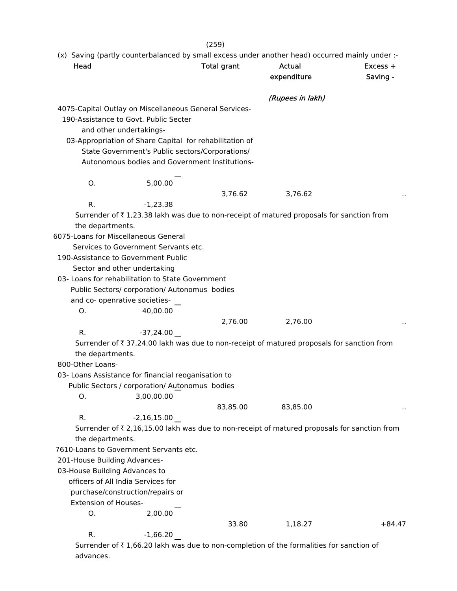$(259)$ <br>small exce (x) Saving (partly counterbalanced by small excess under another head) occurred mainly under :-

| Head                                 |                                                                                                       | <b>Total grant</b> | (x) Saving (partly counterbalanced by small excess under another head) occurred mainly under :-<br><b>Actual</b> | Excess + |
|--------------------------------------|-------------------------------------------------------------------------------------------------------|--------------------|------------------------------------------------------------------------------------------------------------------|----------|
|                                      |                                                                                                       |                    | expenditure                                                                                                      | Saving - |
|                                      |                                                                                                       |                    | (Rupees in lakh)                                                                                                 |          |
|                                      | 4075-Capital Outlay on Miscellaneous General Services-                                                |                    |                                                                                                                  |          |
|                                      | 190-Assistance to Govt. Public Secter                                                                 |                    |                                                                                                                  |          |
|                                      | and other undertakings-                                                                               |                    |                                                                                                                  |          |
|                                      | 03-Appropriation of Share Capital for rehabilitation of                                               |                    |                                                                                                                  |          |
|                                      | State Government's Public sectors/Corporations/                                                       |                    |                                                                                                                  |          |
|                                      | Autonomous bodies and Government Institutions-                                                        |                    |                                                                                                                  |          |
|                                      |                                                                                                       |                    |                                                                                                                  |          |
| О.                                   | 5,00.00                                                                                               |                    |                                                                                                                  |          |
|                                      |                                                                                                       | 3,76.62            | 3,76.62                                                                                                          |          |
| R.                                   | $-1,23.38$                                                                                            |                    |                                                                                                                  |          |
|                                      |                                                                                                       |                    | Surrender of ₹1,23.38 lakh was due to non-receipt of matured proposals for sanction from                         |          |
| the departments.                     |                                                                                                       |                    |                                                                                                                  |          |
|                                      | 6075-Loans for Miscellaneous General                                                                  |                    |                                                                                                                  |          |
|                                      | Services to Government Servants etc.                                                                  |                    |                                                                                                                  |          |
|                                      | 190-Assistance to Government Public                                                                   |                    |                                                                                                                  |          |
|                                      | Sector and other undertaking                                                                          |                    |                                                                                                                  |          |
|                                      | 03- Loans for rehabilitation to State Government                                                      |                    |                                                                                                                  |          |
|                                      | Public Sectors/ corporation/ Autonomus bodies                                                         |                    |                                                                                                                  |          |
|                                      | and co- openrative societies-                                                                         |                    |                                                                                                                  |          |
| О.                                   | 40,00.00                                                                                              |                    |                                                                                                                  |          |
|                                      |                                                                                                       | 2,76.00            | 2,76.00                                                                                                          |          |
| R.                                   | $-37,24.00$                                                                                           |                    |                                                                                                                  |          |
|                                      |                                                                                                       |                    | Surrender of ₹ 37,24.00 lakh was due to non-receipt of matured proposals for sanction from                       |          |
| the departments.<br>800-Other Loans- |                                                                                                       |                    |                                                                                                                  |          |
|                                      |                                                                                                       |                    |                                                                                                                  |          |
|                                      | 03- Loans Assistance for financial reoganisation to<br>Public Sectors / corporation/ Autonomus bodies |                    |                                                                                                                  |          |
| О.                                   | 3,00,00.00                                                                                            |                    |                                                                                                                  |          |
|                                      |                                                                                                       | 83,85.00           | 83,85.00                                                                                                         |          |
| R.                                   | $-2,16,15.00$                                                                                         |                    |                                                                                                                  |          |
|                                      |                                                                                                       |                    | Surrender of ₹ 2,16,15.00 lakh was due to non-receipt of matured proposals for sanction from                     |          |
| the departments.                     |                                                                                                       |                    |                                                                                                                  |          |
|                                      | 7610-Loans to Government Servants etc.                                                                |                    |                                                                                                                  |          |
| 201-House Building Advances-         |                                                                                                       |                    |                                                                                                                  |          |
| 03-House Building Advances to        |                                                                                                       |                    |                                                                                                                  |          |
|                                      | officers of All India Services for                                                                    |                    |                                                                                                                  |          |
|                                      | purchase/construction/repairs or                                                                      |                    |                                                                                                                  |          |
| <b>Extension of Houses-</b>          |                                                                                                       |                    |                                                                                                                  |          |
| 0.                                   | 2,00.00                                                                                               |                    |                                                                                                                  |          |
|                                      |                                                                                                       | 33.80              | 1,18.27                                                                                                          | $+84.47$ |
| R.                                   | $-1,66.20$                                                                                            |                    |                                                                                                                  |          |
|                                      |                                                                                                       |                    |                                                                                                                  |          |

Surrender of  $\bar{\tau}$  1,66.20 lakh was due to non-completion of the formalities for sanction of advances.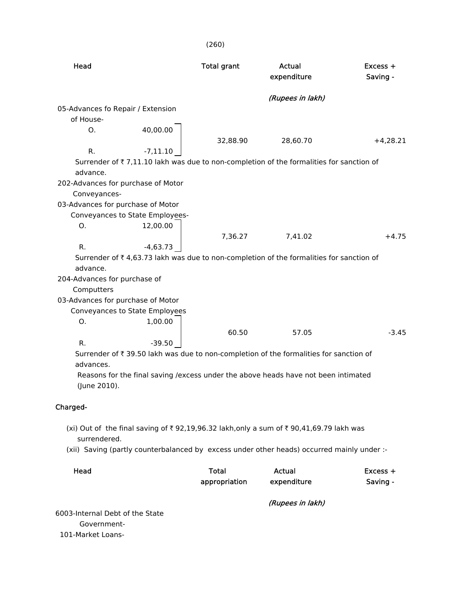|                              |                                    | (260)              |                                                                                            |                      |
|------------------------------|------------------------------------|--------------------|--------------------------------------------------------------------------------------------|----------------------|
| Head                         |                                    | <b>Total grant</b> | <b>Actual</b><br>expenditure                                                               | Excess +<br>Saving - |
|                              |                                    |                    | (Rupees in lakh)                                                                           |                      |
|                              | 05-Advances fo Repair / Extension  |                    |                                                                                            |                      |
| of House-                    |                                    |                    |                                                                                            |                      |
| Ο.                           | 40,00.00                           |                    |                                                                                            |                      |
|                              |                                    | 32,88.90           | 28,60.70                                                                                   | $+4,28.21$           |
| R.                           | $-7,11.10$                         |                    |                                                                                            |                      |
|                              |                                    |                    | Surrender of ₹7,11.10 lakh was due to non-completion of the formalities for sanction of    |                      |
| advance.                     |                                    |                    |                                                                                            |                      |
|                              | 202-Advances for purchase of Motor |                    |                                                                                            |                      |
| Conveyances-                 |                                    |                    |                                                                                            |                      |
|                              | 03-Advances for purchase of Motor  |                    |                                                                                            |                      |
|                              | Conveyances to State Employees-    |                    |                                                                                            |                      |
| Ο.                           | 12,00.00                           | 7,36.27            | 7,41.02                                                                                    | $+4.75$              |
| R.                           | $-4,63.73$                         |                    |                                                                                            |                      |
|                              |                                    |                    | Surrender of ₹4,63.73 lakh was due to non-completion of the formalities for sanction of    |                      |
| advance.                     |                                    |                    |                                                                                            |                      |
| 204-Advances for purchase of |                                    |                    |                                                                                            |                      |
| Computters                   |                                    |                    |                                                                                            |                      |
|                              | 03-Advances for purchase of Motor  |                    |                                                                                            |                      |
|                              | Conveyances to State Employees     |                    |                                                                                            |                      |
| 0.                           | 1,00.00                            |                    |                                                                                            |                      |
|                              |                                    | 60.50              | 57.05                                                                                      | $-3.45$              |
| R.                           | $-39.50$                           |                    |                                                                                            |                      |
|                              |                                    |                    | Surrender of ₹39.50 lakh was due to non-completion of the formalities for sanction of      |                      |
| advances.                    |                                    |                    |                                                                                            |                      |
| (June 2010).                 |                                    |                    | Reasons for the final saving /excess under the above heads have not been intimated         |                      |
| Charged-                     |                                    |                    |                                                                                            |                      |
| surrendered.                 |                                    |                    | (xi) Out of the final saving of ₹92,19,96.32 lakh,only a sum of ₹90,41,69.79 lakh was      |                      |
|                              |                                    |                    | (xii) Saving (partly counterbalanced by excess under other heads) occurred mainly under :- |                      |

| Head | Total         | Actual      | $Excess +$ |
|------|---------------|-------------|------------|
|      | appropriation | expenditure | Saving -   |
|      |               |             |            |

(Rupees in lakh)

 6003-Internal Debt of the State Government- 101-Market Loans-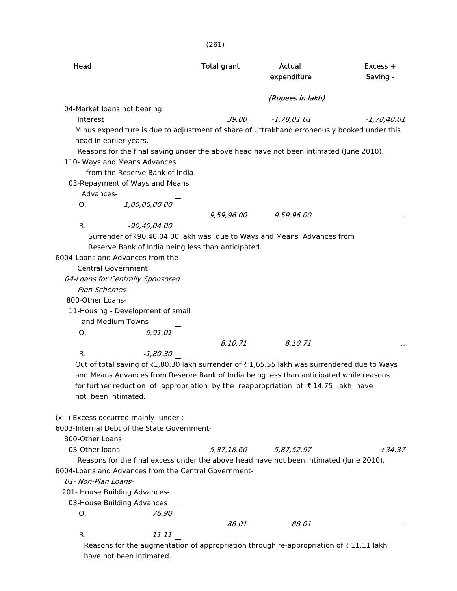|                             |                                                                                               | (261)              |                  |               |
|-----------------------------|-----------------------------------------------------------------------------------------------|--------------------|------------------|---------------|
| Head                        |                                                                                               | <b>Total grant</b> | <b>Actual</b>    | Excess +      |
|                             |                                                                                               |                    | expenditure      | Saving -      |
|                             |                                                                                               |                    | (Rupees in lakh) |               |
| 04-Market loans not bearing |                                                                                               |                    |                  |               |
| Interest                    |                                                                                               | 39.00              | $-1,78,01.01$    | $-1,78,40.01$ |
|                             | Minus expenditure is due to adjustment of share of Uttrakhand erroneously booked under this   |                    |                  |               |
| head in earlier years.      |                                                                                               |                    |                  |               |
|                             | Reasons for the final saving under the above head have not been intimated (June 2010).        |                    |                  |               |
|                             | 110- Ways and Means Advances                                                                  |                    |                  |               |
|                             | from the Reserve Bank of India                                                                |                    |                  |               |
|                             | 03-Repayment of Ways and Means                                                                |                    |                  |               |
| Advances-                   |                                                                                               |                    |                  |               |
| O.                          |                                                                                               |                    |                  |               |
|                             | 1,00,00,00.00<br>-90,40,04.00                                                                 | 9,59,96.00         | 9,59,96.00       |               |
| R.                          |                                                                                               |                    |                  |               |
|                             | Surrender of ₹90,40,04.00 lakh was due to Ways and Means Advances from                        |                    |                  |               |
|                             | Reserve Bank of India being less than anticipated.                                            |                    |                  |               |
|                             | 6004-Loans and Advances from the-                                                             |                    |                  |               |
| <b>Central Government</b>   |                                                                                               |                    |                  |               |
|                             | 04-Loans for Centrally Sponsored                                                              |                    |                  |               |
| Plan Schemes-               |                                                                                               |                    |                  |               |
| 800-Other Loans-            |                                                                                               |                    |                  |               |
|                             | 11-Housing - Development of small                                                             |                    |                  |               |
|                             | and Medium Towns-                                                                             |                    |                  |               |
| O.                          |                                                                                               |                    |                  |               |
|                             |                                                                                               | 8,10.71            | 8,10.71          |               |
| R.                          | 9,91.01<br>-1,80.30                                                                           |                    |                  |               |
|                             | Out of total saving of ₹1,80.30 lakh surrender of ₹1,65.55 lakh was surrendered due to Ways   |                    |                  |               |
|                             | and Means Advances from Reserve Bank of India being less than anticipated while reasons       |                    |                  |               |
|                             | for further reduction of appropriation by the reappropriation of $\bar{\tau}$ 14.75 lakh have |                    |                  |               |
| not been intimated.         |                                                                                               |                    |                  |               |
|                             |                                                                                               |                    |                  |               |
|                             | (xiii) Excess occurred mainly under :-                                                        |                    |                  |               |
|                             | 6003-Internal Debt of the State Government-                                                   |                    |                  |               |
| 800-Other Loans             |                                                                                               |                    |                  |               |
| 03-Other loans-             |                                                                                               | 5,87,18.60         | 5,87,52.97       | $+34.37$      |
|                             | Reasons for the final excess under the above head have not been intimated (June 2010).        |                    |                  |               |
|                             | 6004-Loans and Advances from the Central Government-                                          |                    |                  |               |
| 01- Non-Plan Loans-         |                                                                                               |                    |                  |               |
|                             |                                                                                               |                    |                  |               |
|                             | 201- House Building Advances-                                                                 |                    |                  |               |
|                             | 03-House Building Advances                                                                    |                    |                  |               |
| O.                          | 76.90                                                                                         |                    |                  |               |
|                             |                                                                                               | 88.01              | 88.01            |               |
| R.                          | 11.11                                                                                         |                    |                  |               |
|                             | Reasons for the augmentation of appropriation through re-appropriation of ₹11.11 lakh         |                    |                  |               |

have not been intimated.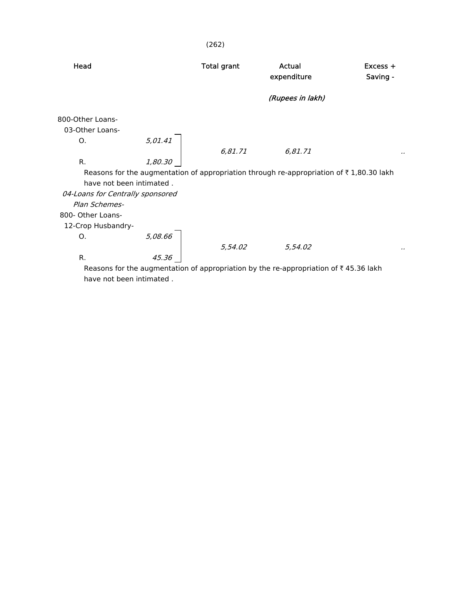| Head                                              |         | <b>Total grant</b> | Actual<br>expenditure                                                                               | $Excess +$<br>Saving - |
|---------------------------------------------------|---------|--------------------|-----------------------------------------------------------------------------------------------------|------------------------|
|                                                   |         |                    | (Rupees in lakh)                                                                                    |                        |
| 800-Other Loans-<br>03-Other Loans-               |         |                    |                                                                                                     |                        |
| Ο.                                                | 5,01.41 | 6,81.71            | 6,81.71                                                                                             |                        |
| R.                                                | 1,80.30 |                    |                                                                                                     |                        |
| have not been intimated.                          |         |                    | Reasons for the augmentation of appropriation through re-appropriation of $\bar{\tau}$ 1,80.30 lakh |                        |
| 04-Loans for Centrally sponsored<br>Plan Schemes- |         |                    |                                                                                                     |                        |
| 800- Other Loans-                                 |         |                    |                                                                                                     |                        |
| 12-Crop Husbandry-                                |         |                    |                                                                                                     |                        |
| Ο.                                                | 5,08.66 |                    |                                                                                                     |                        |
|                                                   |         | 5,54.02            | 5,54.02                                                                                             | .,                     |
| R.                                                | 45.36   |                    |                                                                                                     |                        |
|                                                   |         |                    | Reasons for the augmentation of appropriation by the re-appropriation of ₹45.36 lakh                |                        |
| have not been intimated.                          |         |                    |                                                                                                     |                        |

(262)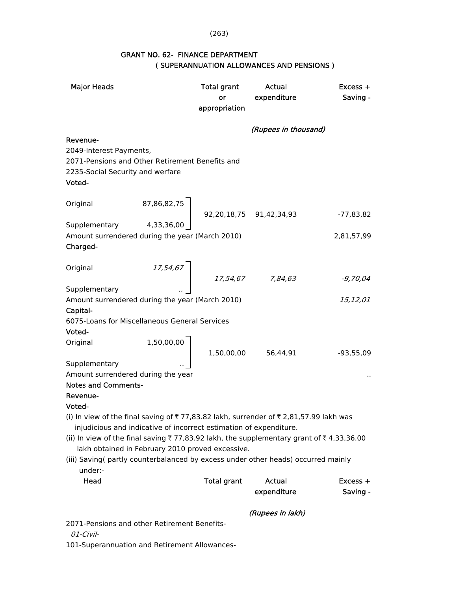### (263)

| <b>Major Heads</b>                                                                      |            | Total grant<br>or<br>appropriation                                                                | Actual<br>expenditure | $Excess +$<br>Saving - |  |  |
|-----------------------------------------------------------------------------------------|------------|---------------------------------------------------------------------------------------------------|-----------------------|------------------------|--|--|
|                                                                                         |            |                                                                                                   |                       |                        |  |  |
|                                                                                         |            |                                                                                                   | (Rupees in thousand)  |                        |  |  |
| Revenue-                                                                                |            |                                                                                                   |                       |                        |  |  |
| 2049-Interest Payments,<br>2071-Pensions and Other Retirement Benefits and              |            |                                                                                                   |                       |                        |  |  |
| 2235-Social Security and werfare                                                        |            |                                                                                                   |                       |                        |  |  |
| Voted-                                                                                  |            |                                                                                                   |                       |                        |  |  |
|                                                                                         |            |                                                                                                   |                       |                        |  |  |
| Original                                                                                |            | $\left\lceil \begin{array}{c} 87,86,82,75 \\ 92,20,18,75 \\ 91,42,34,93 \end{array} \right\rceil$ |                       |                        |  |  |
|                                                                                         |            |                                                                                                   |                       | $-77,83,82$            |  |  |
| Supplementary 4,33,36,00<br>Amount surrendered during the year (March 2010)             |            |                                                                                                   |                       | 2,81,57,99             |  |  |
| Charged-                                                                                |            |                                                                                                   |                       |                        |  |  |
|                                                                                         |            |                                                                                                   |                       |                        |  |  |
| Original                                                                                |            | $\left[ \begin{array}{ccc} 17.54.67 & & 17.54.67 & & 7.84.63 \end{array} \right]$                 |                       |                        |  |  |
|                                                                                         |            |                                                                                                   |                       | $-9,70,04$             |  |  |
| Supplementary                                                                           |            |                                                                                                   |                       |                        |  |  |
| Amount surrendered during the year (March 2010)                                         |            |                                                                                                   |                       | 15,12,01               |  |  |
| Capital-<br>6075-Loans for Miscellaneous General Services                               |            |                                                                                                   |                       |                        |  |  |
| Voted-                                                                                  |            |                                                                                                   |                       |                        |  |  |
| Original                                                                                |            |                                                                                                   |                       |                        |  |  |
|                                                                                         | 1,50,00,00 |                                                                                                   | 1,50,00,00 56,44,91   | $-93,55,09$            |  |  |
| Supplementary                                                                           |            |                                                                                                   |                       |                        |  |  |
| Amount surrendered during the year                                                      |            |                                                                                                   |                       |                        |  |  |
| <b>Notes and Comments-</b>                                                              |            |                                                                                                   |                       |                        |  |  |
| Revenue-<br>Voted-                                                                      |            |                                                                                                   |                       |                        |  |  |
| (i) In view of the final saving of ₹77,83.82 lakh, surrender of ₹2,81,57.99 lakh was    |            |                                                                                                   |                       |                        |  |  |
| injudicious and indicative of incorrect estimation of expenditure.                      |            |                                                                                                   |                       |                        |  |  |
| (ii) In view of the final saving ₹77,83.92 lakh, the supplementary grant of ₹4,33,36.00 |            |                                                                                                   |                       |                        |  |  |
| lakh obtained in February 2010 proved excessive.                                        |            |                                                                                                   |                       |                        |  |  |
| (iii) Saving( partly counterbalanced by excess under other heads) occurred mainly       |            |                                                                                                   |                       |                        |  |  |
| under:-                                                                                 |            |                                                                                                   |                       |                        |  |  |
| Head                                                                                    |            | <b>Total grant</b>                                                                                | <b>Actual</b>         | Excess +               |  |  |
|                                                                                         |            |                                                                                                   | expenditure           | Saving -               |  |  |
|                                                                                         |            |                                                                                                   | (Rupees in lakh)      |                        |  |  |

## GRANT NO. 62- FINANCE DEPARTMENT ( SUPERANNUATION ALLOWANCES AND PENSIONS )

2071-Pensions and other Retirement Benefits-

01-Civil-

101-Superannuation and Retirement Allowances-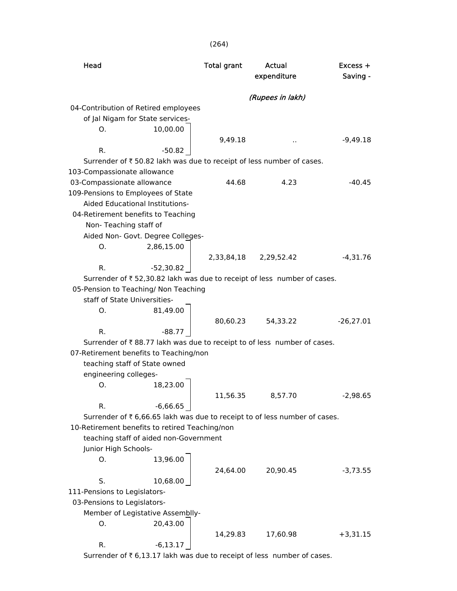| Head                                                                                                            | <b>Total grant</b> | Actual<br>expenditure | $Excess +$<br>Saving - |
|-----------------------------------------------------------------------------------------------------------------|--------------------|-----------------------|------------------------|
|                                                                                                                 |                    | (Rupees in lakh)      |                        |
| 04-Contribution of Retired employees                                                                            |                    |                       |                        |
| of Jal Nigam for State services-                                                                                |                    |                       |                        |
| 10,00.00<br>Ο.                                                                                                  |                    |                       |                        |
|                                                                                                                 | 9,49.18            |                       | $-9,49.18$             |
| $-50.82$<br>R.                                                                                                  |                    |                       |                        |
| Surrender of ₹ 50.82 lakh was due to receipt of less number of cases.                                           |                    |                       |                        |
| 103-Compassionate allowance                                                                                     |                    |                       |                        |
| 03-Compassionate allowance                                                                                      | 44.68              | 4.23                  | $-40.45$               |
| 109-Pensions to Employees of State                                                                              |                    |                       |                        |
| Aided Educational Institutions-                                                                                 |                    |                       |                        |
| 04-Retirement benefits to Teaching                                                                              |                    |                       |                        |
| Non-Teaching staff of                                                                                           |                    |                       |                        |
| Aided Non- Govt. Degree Colleges-                                                                               |                    |                       |                        |
| 2,86,15.00<br>O.                                                                                                |                    |                       |                        |
|                                                                                                                 |                    | 2,33,84,18 2,29,52.42 | $-4,31.76$             |
| $-52,30.82$<br>R.                                                                                               |                    |                       |                        |
| Surrender of ₹52,30.82 lakh was due to receipt of less number of cases.<br>05-Pension to Teaching/ Non Teaching |                    |                       |                        |
| staff of State Universities-                                                                                    |                    |                       |                        |
| 81,49.00<br>O.                                                                                                  |                    |                       |                        |
|                                                                                                                 |                    | 80,60.23 54,33.22     | $-26,27.01$            |
| R.<br>$-88.77$                                                                                                  |                    |                       |                        |
| Surrender of ₹88.77 lakh was due to receipt to of less number of cases.                                         |                    |                       |                        |
| 07-Retirement benefits to Teaching/non                                                                          |                    |                       |                        |
| teaching staff of State owned                                                                                   |                    |                       |                        |
| engineering colleges-                                                                                           |                    |                       |                        |
| 18,23.00<br>O.                                                                                                  |                    |                       |                        |
|                                                                                                                 | 11,56.35           | 8,57.70               | $-2,98.65$             |
| $-6,66.65$<br>R.                                                                                                |                    |                       |                        |
| Surrender of ₹ 6,66.65 lakh was due to receipt to of less number of cases.                                      |                    |                       |                        |
| 10-Retirement benefits to retired Teaching/non                                                                  |                    |                       |                        |
| teaching staff of aided non-Government                                                                          |                    |                       |                        |
| Junior High Schools-                                                                                            |                    |                       |                        |
| 13,96.00<br>О.                                                                                                  |                    |                       |                        |
|                                                                                                                 | 24,64.00           | 20,90.45              | $-3,73.55$             |
| S.<br>10,68.00                                                                                                  |                    |                       |                        |
| 111-Pensions to Legislators-                                                                                    |                    |                       |                        |
| 03-Pensions to Legislators-                                                                                     |                    |                       |                        |
| Member of Legistative Assemblly-                                                                                |                    |                       |                        |
| 20,43.00<br>О.                                                                                                  |                    |                       |                        |
|                                                                                                                 | 14,29.83           | 17,60.98              | $+3,31.15$             |
| $-6,13.17$<br>R.                                                                                                |                    |                       |                        |

Surrender of  $\bar{\tau}$  6,13.17 lakh was due to receipt of less number of cases.

(264)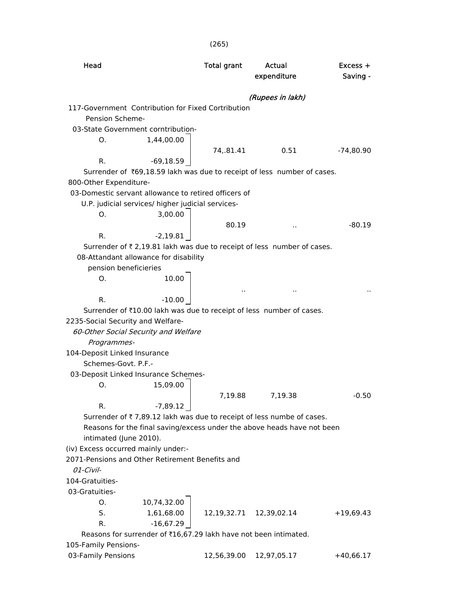| Head                                                                                                      | <b>Total grant</b> | Actual<br>expenditure | Excess +<br>Saving - |
|-----------------------------------------------------------------------------------------------------------|--------------------|-----------------------|----------------------|
|                                                                                                           |                    | (Rupees in lakh)      |                      |
| 117-Government Contribution for Fixed Cortribution<br>Pension Scheme-                                     |                    |                       |                      |
| 03-State Government corntribution-<br>1,44,00.00<br>Ο.                                                    |                    |                       |                      |
| R.<br>$-69,18.59$                                                                                         | 74,.81.41          | 0.51                  | $-74,80.90$          |
| Surrender of ₹69,18.59 lakh was due to receipt of less number of cases.<br>800-Other Expenditure-         |                    |                       |                      |
| 03-Domestic servant allowance to retired officers of                                                      |                    |                       |                      |
| U.P. judicial services/ higher judicial services-                                                         |                    |                       |                      |
| 3,00.00<br>Ο.                                                                                             |                    |                       |                      |
|                                                                                                           | 80.19              |                       | $-80.19$             |
| $-2,19.81$<br>R.                                                                                          |                    |                       |                      |
| Surrender of ₹ 2,19.81 lakh was due to receipt of less number of cases.                                   |                    |                       |                      |
| 08-Attandant allowance for disability                                                                     |                    |                       |                      |
| pension beneficieries                                                                                     |                    |                       |                      |
| 10.00<br>Ο.                                                                                               |                    |                       |                      |
|                                                                                                           | ٠.                 |                       |                      |
| R.<br>$-10.00$                                                                                            |                    |                       |                      |
| Surrender of ₹10.00 lakh was due to receipt of less number of cases.<br>2235-Social Security and Welfare- |                    |                       |                      |
| 60-Other Social Security and Welfare                                                                      |                    |                       |                      |
| Programmes-                                                                                               |                    |                       |                      |
| 104-Deposit Linked Insurance                                                                              |                    |                       |                      |
| Schemes-Govt. P.F.-                                                                                       |                    |                       |                      |
| 03-Deposit Linked Insurance Schemes-                                                                      |                    |                       |                      |
| 15,09.00<br>O.                                                                                            |                    |                       |                      |
|                                                                                                           | 7,19.88            | 7,19.38               | $-0.50$              |
| R.<br>$-7,89.12$                                                                                          |                    |                       |                      |
| Surrender of ₹7,89.12 lakh was due to receipt of less numbe of cases.                                     |                    |                       |                      |
| Reasons for the final saving/excess under the above heads have not been                                   |                    |                       |                      |
| intimated (June 2010).                                                                                    |                    |                       |                      |
| (iv) Excess occurred mainly under:-                                                                       |                    |                       |                      |
| 2071-Pensions and Other Retirement Benefits and                                                           |                    |                       |                      |
| 01-Civil-                                                                                                 |                    |                       |                      |
| 104-Gratuities-                                                                                           |                    |                       |                      |
| 03-Gratuities-<br>10,74,32.00<br>Ο.                                                                       |                    |                       |                      |
| S.<br>1,61,68.00                                                                                          | 12,19,32.71        | 12,39,02.14           | $+19,69.43$          |
| $-16,67.29$<br>R.                                                                                         |                    |                       |                      |
| Reasons for surrender of ₹16,67.29 lakh have not been intimated.                                          |                    |                       |                      |
| 105-Family Pensions-                                                                                      |                    |                       |                      |
| 03-Family Pensions                                                                                        | 12,56,39.00        | 12,97,05.17           | $+40,66.17$          |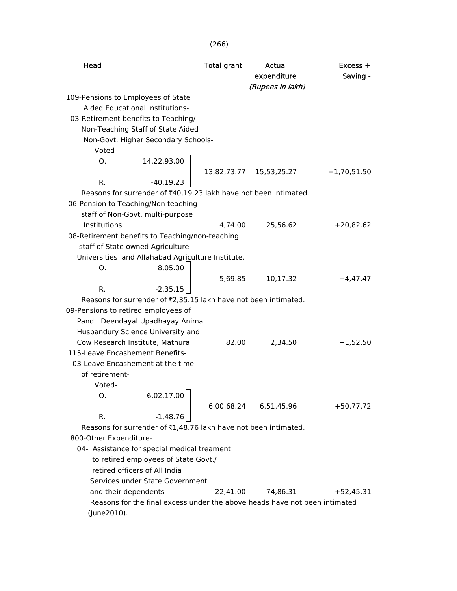| Head                                |                                                                            | <b>Total grant</b> | Actual<br>expenditure<br>(Rupees in lakh) | $Excess +$<br>Saving - |
|-------------------------------------|----------------------------------------------------------------------------|--------------------|-------------------------------------------|------------------------|
| 109-Pensions to Employees of State  |                                                                            |                    |                                           |                        |
|                                     | Aided Educational Institutions-                                            |                    |                                           |                        |
|                                     | 03-Retirement benefits to Teaching/                                        |                    |                                           |                        |
|                                     | Non-Teaching Staff of State Aided                                          |                    |                                           |                        |
|                                     | Non-Govt. Higher Secondary Schools-                                        |                    |                                           |                        |
| Voted-                              |                                                                            |                    |                                           |                        |
| O.                                  | 14,22,93.00                                                                |                    |                                           |                        |
|                                     |                                                                            |                    | 13,82,73.77   15,53,25.27                 | $+1,70,51.50$          |
| R.                                  | $-40, 19.23$                                                               |                    |                                           |                        |
|                                     | Reasons for surrender of ₹40,19.23 lakh have not been intimated.           |                    |                                           |                        |
|                                     | 06-Pension to Teaching/Non teaching                                        |                    |                                           |                        |
|                                     | staff of Non-Govt. multi-purpose                                           |                    |                                           |                        |
| Institutions                        |                                                                            | 4,74.00            | 25,56.62                                  | $+20,82.62$            |
|                                     | 08-Retirement benefits to Teaching/non-teaching                            |                    |                                           |                        |
|                                     | staff of State owned Agriculture                                           |                    |                                           |                        |
|                                     | Universities and Allahabad Agriculture Institute.                          |                    |                                           |                        |
| 0.                                  | 8,05.00                                                                    |                    |                                           |                        |
|                                     |                                                                            | 5,69.85            | 10,17.32                                  | $+4,47.47$             |
| R.                                  | $-2,35.15$                                                                 |                    |                                           |                        |
|                                     | Reasons for surrender of ₹2,35.15 lakh have not been intimated.            |                    |                                           |                        |
| 09-Pensions to retired employees of |                                                                            |                    |                                           |                        |
|                                     | Pandit Deendayal Upadhayay Animal                                          |                    |                                           |                        |
|                                     | Husbandury Science University and                                          |                    |                                           |                        |
|                                     | Cow Research Institute, Mathura                                            | 82.00              | 2,34.50                                   | $+1,52.50$             |
| 115-Leave Encashement Benefits-     |                                                                            |                    |                                           |                        |
|                                     | 03-Leave Encashement at the time                                           |                    |                                           |                        |
| of retirement-                      |                                                                            |                    |                                           |                        |
| Voted-                              |                                                                            |                    |                                           |                        |
| O.                                  | ┓<br>6,02,17.00                                                            |                    |                                           |                        |
|                                     |                                                                            | 6,00,68.24         | 6,51,45.96                                | $+50,77.72$            |
| R.                                  | $-1,48.76$                                                                 |                    |                                           |                        |
|                                     | Reasons for surrender of ₹1,48.76 lakh have not been intimated.            |                    |                                           |                        |
| 800-Other Expenditure-              |                                                                            |                    |                                           |                        |
|                                     | 04- Assistance for special medical treament                                |                    |                                           |                        |
|                                     | to retired employees of State Govt./                                       |                    |                                           |                        |
|                                     | retired officers of All India                                              |                    |                                           |                        |
|                                     | Services under State Government                                            |                    |                                           |                        |
| and their dependents                |                                                                            | 22,41.00           | 74,86.31                                  | $+52,45.31$            |
|                                     | Reasons for the final excess under the above heads have not been intimated |                    |                                           |                        |
| (June2010).                         |                                                                            |                    |                                           |                        |

### (266)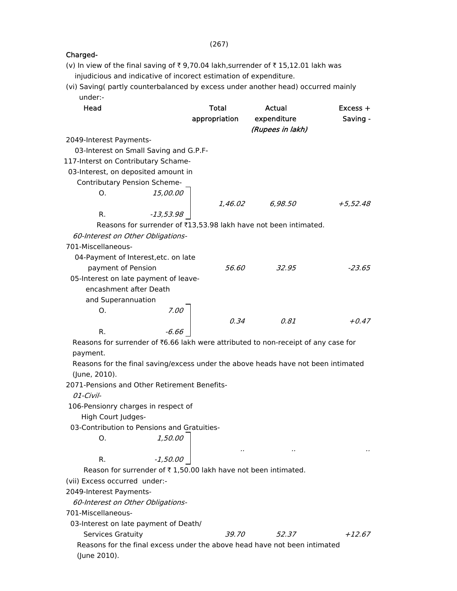| (v) In view of the final saving of ₹9,70.04 lakh, surrender of ₹15,12.01 lakh was  |             |               |                                                                  |            |
|------------------------------------------------------------------------------------|-------------|---------------|------------------------------------------------------------------|------------|
| injudicious and indicative of incorect estimation of expenditure.                  |             |               |                                                                  |            |
| (vi) Saving(partly counterbalanced by excess under another head) occurred mainly   |             |               |                                                                  |            |
| under:-                                                                            |             |               |                                                                  |            |
| Head                                                                               |             | <b>Total</b>  | <b>Actual</b>                                                    | $Excess +$ |
|                                                                                    |             | appropriation | expenditure                                                      | Saving -   |
|                                                                                    |             |               | (Rupees in lakh)                                                 |            |
| 2049-Interest Payments-                                                            |             |               |                                                                  |            |
| 03-Interest on Small Saving and G.P.F-                                             |             |               |                                                                  |            |
| 117-Interst on Contributary Schame-                                                |             |               |                                                                  |            |
| 03-Interest, on deposited amount in                                                |             |               |                                                                  |            |
| Contributary Pension Scheme-                                                       |             |               |                                                                  |            |
| O.                                                                                 | 15,00.00    |               |                                                                  |            |
|                                                                                    |             | 1,46.02       | 6,98.50                                                          | $+5,52.48$ |
| R.                                                                                 | $-13,53.98$ |               |                                                                  |            |
|                                                                                    |             |               | Reasons for surrender of ₹13,53.98 lakh have not been intimated. |            |
| 60-Interest on Other Obligations-                                                  |             |               |                                                                  |            |
| 701-Miscellaneous-                                                                 |             |               |                                                                  |            |
| 04-Payment of Interest, etc. on late                                               |             |               |                                                                  |            |
| payment of Pension                                                                 |             | 56.60         | 32.95                                                            | $-23.65$   |
| 05-Interest on late payment of leave-                                              |             |               |                                                                  |            |
| encashment after Death                                                             |             |               |                                                                  |            |
| and Superannuation                                                                 |             |               |                                                                  |            |
| О.                                                                                 | 7.00        |               |                                                                  |            |
|                                                                                    |             | 0.34          | 0.81                                                             | $+0.47$    |
| R.                                                                                 |             |               |                                                                  |            |
| Reasons for surrender of ₹6.66 lakh were attributed to non-receipt of any case for |             |               |                                                                  |            |
| payment.                                                                           |             |               |                                                                  |            |
| Reasons for the final saving/excess under the above heads have not been intimated  |             |               |                                                                  |            |
| (June, 2010).                                                                      |             |               |                                                                  |            |
| 2071-Pensions and Other Retirement Benefits-                                       |             |               |                                                                  |            |
| 01-Civil-                                                                          |             |               |                                                                  |            |
| 106-Pensionry charges in respect of                                                |             |               |                                                                  |            |
| High Court Judges-                                                                 |             |               |                                                                  |            |
| 03-Contribution to Pensions and Gratuities-                                        |             |               |                                                                  |            |
| O.                                                                                 | 1,50.00     |               |                                                                  |            |
|                                                                                    |             |               |                                                                  |            |
| R.                                                                                 | $-1,50.00$  |               |                                                                  |            |
| Reason for surrender of ₹1,50.00 lakh have not been intimated.                     |             |               |                                                                  |            |
| (vii) Excess occurred under:-                                                      |             |               |                                                                  |            |
| 2049-Interest Payments-                                                            |             |               |                                                                  |            |
| 60-Interest on Other Obligations-                                                  |             |               |                                                                  |            |
| 701-Miscellaneous-                                                                 |             |               |                                                                  |            |
| 03-Interest on late payment of Death/                                              |             |               |                                                                  |            |
| Services Gratuity                                                                  |             | 39.70         | 52.37                                                            | $+12.67$   |
| Reasons for the final excess under the above head have not been intimated          |             |               |                                                                  |            |
| (June 2010).                                                                       |             |               |                                                                  |            |

## Charged-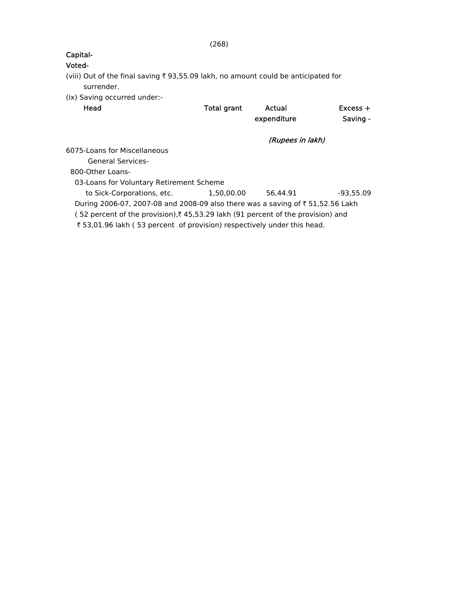# Voted-

(viii) Out of the final saving  $\bar{\tau}$  93,55.09 lakh, no amount could be anticipated for surrender.

(ix) Saving occurred under:-

| Head                                                                                       | <b>Total grant</b> | Actual<br>expenditure | $Excess +$<br>Saving - |
|--------------------------------------------------------------------------------------------|--------------------|-----------------------|------------------------|
|                                                                                            |                    | (Rupees in lakh)      |                        |
| 6075-Loans for Miscellaneous                                                               |                    |                       |                        |
| <b>General Services-</b>                                                                   |                    |                       |                        |
| 800-Other Loans-                                                                           |                    |                       |                        |
| 03-Loans for Voluntary Retirement Scheme                                                   |                    |                       |                        |
| to Sick-Corporations, etc.                                                                 | 1.50.00.00         | 56.44.91              | $-93.55.09$            |
| During 2006-07, 2007-08 and 2008-09 also there was a saving of ₹ 51,52.56 Lakh             |                    |                       |                        |
| (52 percent of the provision), $\bar{\xi}$ 45,53.29 lakh (91 percent of the provision) and |                    |                       |                        |
| ₹53,01.96 lakh (53 percent of provision) respectively under this head.                     |                    |                       |                        |
|                                                                                            |                    |                       |                        |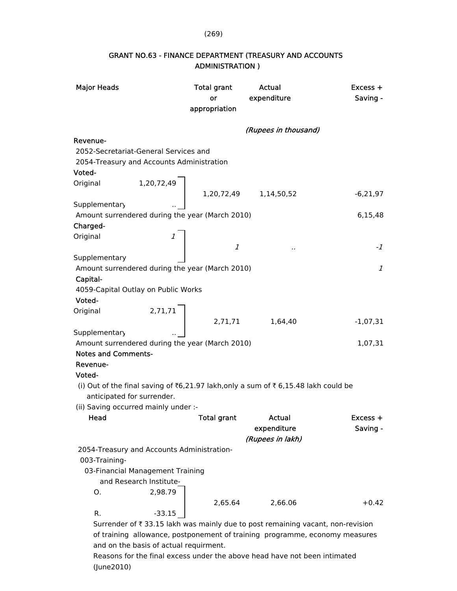#### (269)

| <b>Major Heads</b>                              | <b>Total grant</b>                                                                 | <b>Actual</b>         | Excess +   |
|-------------------------------------------------|------------------------------------------------------------------------------------|-----------------------|------------|
|                                                 | or                                                                                 | expenditure           | Saving -   |
|                                                 | appropriation                                                                      |                       |            |
|                                                 |                                                                                    |                       |            |
|                                                 |                                                                                    | (Rupees in thousand)  |            |
| Revenue-                                        |                                                                                    |                       |            |
| 2052-Secretariat-General Services and           |                                                                                    |                       |            |
| 2054-Treasury and Accounts Administration       |                                                                                    |                       |            |
| Voted-                                          |                                                                                    |                       |            |
| 1,20,72,49<br>Original                          |                                                                                    |                       |            |
|                                                 |                                                                                    | 1,20,72,49 1,14,50,52 | $-6,21,97$ |
| Supplementary                                   |                                                                                    |                       |            |
| Amount surrendered during the year (March 2010) |                                                                                    |                       | 6,15,48    |
| Charged-                                        |                                                                                    |                       |            |
| Original                                        | 1                                                                                  |                       |            |
|                                                 | $\boldsymbol{1}$                                                                   |                       | -1         |
| Supplementary                                   |                                                                                    |                       |            |
| Amount surrendered during the year (March 2010) |                                                                                    |                       | 1          |
| Capital-                                        |                                                                                    |                       |            |
| 4059-Capital Outlay on Public Works             |                                                                                    |                       |            |
| Voted-                                          |                                                                                    |                       |            |
| Original                                        | 2,71,71                                                                            |                       |            |
|                                                 | 2,71,71                                                                            | 1,64,40               | $-1,07,31$ |
|                                                 |                                                                                    |                       |            |
| Supplementary                                   |                                                                                    |                       |            |
|                                                 | Amount surrendered during the year (March 2010)                                    |                       | 1,07,31    |
| <b>Notes and Comments-</b>                      |                                                                                    |                       |            |
| Revenue-                                        |                                                                                    |                       |            |
| Voted-                                          |                                                                                    |                       |            |
|                                                 | (i) Out of the final saving of ₹6,21.97 lakh, only a sum of ₹6,15.48 lakh could be |                       |            |
| anticipated for surrender.                      |                                                                                    |                       |            |
| (ii) Saving occurred mainly under :-            |                                                                                    |                       |            |
| Head                                            | <b>Total grant</b>                                                                 | Actual                | Excess +   |
|                                                 |                                                                                    | expenditure           | Saving -   |
|                                                 |                                                                                    | (Rupees in lakh)      |            |
| 2054-Treasury and Accounts Administration-      |                                                                                    |                       |            |
| 003-Training-                                   |                                                                                    |                       |            |
| 03-Financial Management Training                |                                                                                    |                       |            |
| and Research Institute-                         |                                                                                    |                       |            |
| О.                                              | 2,98.79                                                                            |                       |            |
|                                                 | 2,65.64                                                                            | 2,66.06               | $+0.42$    |
| R.                                              | $-33.15$                                                                           |                       |            |
|                                                 | Surrender of ₹33.15 lakh was mainly due to post remaining vacant, non-revision     |                       |            |
|                                                 | of training allowance, postponement of training programme, economy measures        |                       |            |
|                                                 | and on the basis of actual requirment.                                             |                       |            |

### GRANT NO.63 - FINANCE DEPARTMENT (TREASURY AND ACCOUNTS ADMINISTRATION )

 Reasons for the final excess under the above head have not been intimated (June2010)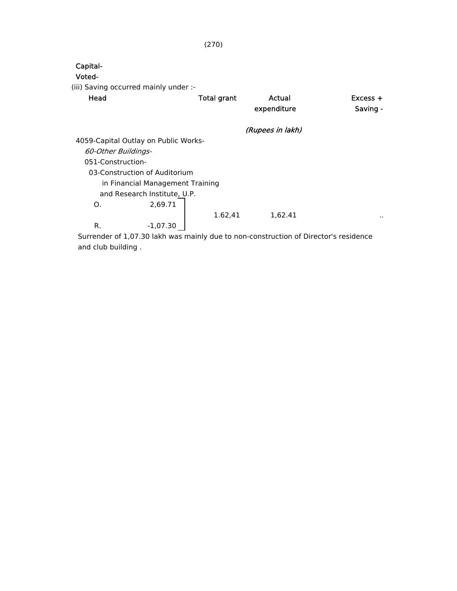| Capital-                              |                                  |                    |                                                                                      |                      |
|---------------------------------------|----------------------------------|--------------------|--------------------------------------------------------------------------------------|----------------------|
| Voted-                                |                                  |                    |                                                                                      |                      |
| (iii) Saving occurred mainly under :- |                                  |                    |                                                                                      |                      |
| Head                                  |                                  | <b>Total grant</b> | Actual                                                                               | $Excess +$           |
|                                       |                                  |                    | expenditure                                                                          | Saving -             |
|                                       |                                  |                    | (Rupees in lakh)                                                                     |                      |
| 4059-Capital Outlay on Public Works-  |                                  |                    |                                                                                      |                      |
| 60-Other Buildings-                   |                                  |                    |                                                                                      |                      |
| 051-Construction-                     |                                  |                    |                                                                                      |                      |
|                                       | 03-Construction of Auditorium    |                    |                                                                                      |                      |
|                                       | in Financial Management Training |                    |                                                                                      |                      |
|                                       | and Research Institute, U.P.     |                    |                                                                                      |                      |
| Ο.                                    | 2,69.71                          |                    |                                                                                      |                      |
|                                       |                                  | 1.62,41            | 1,62.41                                                                              | $\ddot{\phantom{a}}$ |
| R.                                    | $-1,07.30$                       |                    |                                                                                      |                      |
|                                       |                                  |                    | Surrender of 1.07.30 lakh was mainly due to non-construction of Director's residence |                      |

 Surrender of 1,07.30 lakh was mainly due to non-construction of Director's residence and club building .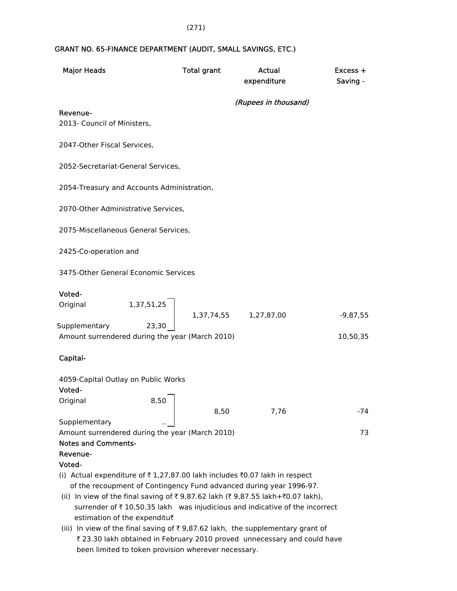#### (271)

### GRANT NO. 65-FINANCE DEPARTMENT (AUDIT, SMALL SAVINGS, ETC.)

| <b>Major Heads</b>                                                                                                              | <b>Total grant</b> | Actual<br>expenditure | Excess +<br>Saving - |
|---------------------------------------------------------------------------------------------------------------------------------|--------------------|-----------------------|----------------------|
|                                                                                                                                 |                    | (Rupees in thousand)  |                      |
| Revenue-<br>2013- Council of Ministers,                                                                                         |                    |                       |                      |
| 2047-Other Fiscal Services,                                                                                                     |                    |                       |                      |
| 2052-Secretariat-General Services,                                                                                              |                    |                       |                      |
| 2054-Treasury and Accounts Administration,                                                                                      |                    |                       |                      |
| 2070-Other Administrative Services,                                                                                             |                    |                       |                      |
| 2075-Miscellaneous General Services,                                                                                            |                    |                       |                      |
| 2425-Co-operation and                                                                                                           |                    |                       |                      |
| 3475-Other General Economic Services                                                                                            |                    |                       |                      |
| Voted-<br>1,37,51,25<br>Original                                                                                                |                    |                       |                      |
|                                                                                                                                 | 1,37,74,55         | 1,27,87,00            | $-9,87,55$           |
| Supplementary<br>23,30<br>Amount surrendered during the year (March 2010)                                                       |                    |                       | 10,50,35             |
| Capital-                                                                                                                        |                    |                       |                      |
| 4059-Capital Outlay on Public Works<br>Voted-                                                                                   |                    |                       |                      |
| Original<br>8,50                                                                                                                | 8,50               | 7,76                  | -74                  |
| Supplementary                                                                                                                   |                    |                       |                      |
| Amount surrendered during the year (March 2010)                                                                                 |                    |                       | 73                   |
| <b>Notes and Comments-</b><br>Revenue-                                                                                          |                    |                       |                      |
| Voted-                                                                                                                          |                    |                       |                      |
| (i) Actual expenditure of ₹1,27,87.00 lakh includes ₹0.07 lakh in respect                                                       |                    |                       |                      |
| of the recoupment of Contingency Fund advanced during year 1996-97.                                                             |                    |                       |                      |
| (ii) In view of the final saving of ₹9,87.62 lakh (₹9,87.55 lakh+₹0.07 lakh),                                                   |                    |                       |                      |
| surrender of ₹10,50.35 lakh was injudicious and indicative of the incorrect                                                     |                    |                       |                      |
| estimation of the expenditu₹                                                                                                    |                    |                       |                      |
| (iii) In view of the final saving of $\overline{\tau}$ 9,87.62 lakh, the supplementary grant of                                 |                    |                       |                      |
| ₹ 23.30 lakh obtained in February 2010 proved unnecessary and could have<br>been limited to token provision wherever necessary. |                    |                       |                      |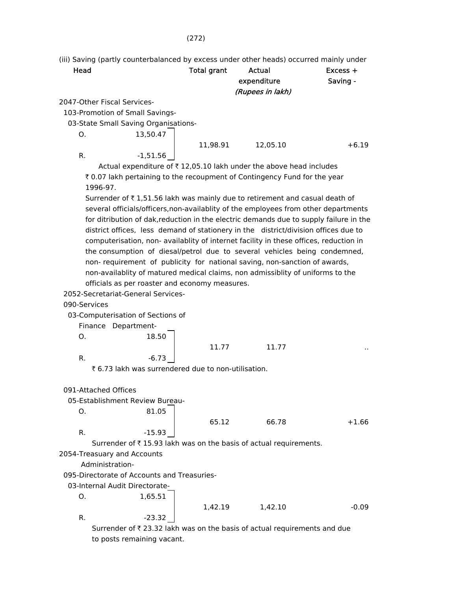#### (272)

(iii) Saving (partly counterbalanced by excess under other heads) occurred mainly under

| Head |                                                                    | <b>Total grant</b> | Actual<br>expenditure<br>(Rupees in lakh) | $Excess +$<br>Saving - |
|------|--------------------------------------------------------------------|--------------------|-------------------------------------------|------------------------|
|      | 2047-Other Fiscal Services-                                        |                    |                                           |                        |
|      | 103-Promotion of Small Savings-                                    |                    |                                           |                        |
|      | 03-State Small Saving Organisations-                               |                    |                                           |                        |
| O.   | 13,50.47                                                           |                    |                                           |                        |
|      |                                                                    | 11.98.91           | 12.05.10                                  | $+6.19$                |
| R.   | $-1,51.56$                                                         |                    |                                           |                        |
|      | Actual expenditure of ₹12,05.10 lakh under the above head includes |                    |                                           |                        |

₹ 0.07 lakh pertaining to the recoupment of Contingency Fund for the year 1996-97.

Surrender of  $\bar{\tau}$  1,51.56 lakh was mainly due to retirement and casual death of several officials/officers,non-availablity of the employees from other departments for ditribution of dak,reduction in the electric demands due to supply failure in the district offices, less demand of stationery in the district/division offices due to computerisation, non- availablity of internet facility in these offices, reduction in the consumption of diesal/petrol due to several vehicles being condemned, non- requirement of publicity for national saving, non-sanction of awards, non-availablity of matured medical claims, non admissiblity of uniforms to the officials as per roaster and economy measures.

2052-Secretariat-General Services-

#### 090-Services

03-Computerisation of Sections of

Finance Department-

O. 18.50

11.77 11.77

R.

₹ 6.73 lakh was surrendered due to non-utilisation.

091-Attached Offices

05-Establishment Review Bureau-

O. 81.05 R. -15.93

Surrender of  $\bar{\tau}$  15.93 lakh was on the basis of actual requirements.

2054-Treasuary and Accounts

Administration-

095-Directorate of Accounts and Treasuries-

03-Internal Audit Directorate-

O. 1,65.51 R. -23.32

$$
1,42.19 \t 1,42.10 \t -0.09
$$

65.12 66.78 +1.66

Surrender of  $\bar{\tau}$  23.32 lakh was on the basis of actual requirements and due to posts remaining vacant.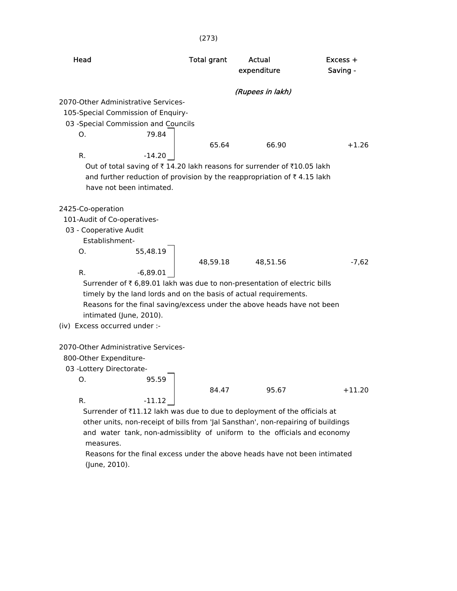|                                                                                                                                                                                | (273)                                                                                                                                                                                                                                 |                           |                      |
|--------------------------------------------------------------------------------------------------------------------------------------------------------------------------------|---------------------------------------------------------------------------------------------------------------------------------------------------------------------------------------------------------------------------------------|---------------------------|----------------------|
| Head                                                                                                                                                                           | <b>Total grant</b>                                                                                                                                                                                                                    | Actual<br>expenditure     | Excess +<br>Saving - |
| 2070-Other Administrative Services-<br>105-Special Commission of Enquiry-<br>03 - Special Commission and Councils<br>O.<br>R.<br>$-14.20$<br>have not been intimated.          | 79.84<br>65.64<br>Out of total saving of ₹ 14.20 lakh reasons for surrender of ₹10.05 lakh<br>and further reduction of provision by the reappropriation of ₹4.15 lakh                                                                 | (Rupees in lakh)<br>66.90 | $+1.26$              |
| 2425-Co-operation<br>101-Audit of Co-operatives-<br>03 - Cooperative Audit<br>Establishment-<br>55,48.19<br>Ο.<br>$-6,89.01$<br>R.                                             | 48,59.18<br>Surrender of ₹ 6,89.01 lakh was due to non-presentation of electric bills<br>timely by the land lords and on the basis of actual requirements.<br>Reasons for the final saving/excess under the above heads have not been | 48,51.56                  | $-7,62$              |
| intimated (June, 2010).<br>(iv) Excess occurred under :-<br>2070-Other Administrative Services-<br>800-Other Expenditure-<br>03 - Lottery Directorate-<br>0.<br>R.<br>$-11.12$ | 95.59<br>84.47<br>Surrender of ₹11.12 lakh was due to due to deployment of the officials at<br>other units, non-receipt of bills from 'Jal Sansthan', non-repairing of buildings                                                      | 95.67                     | $+11.20$             |
| measures.                                                                                                                                                                      | and water tank, non-admissiblity of uniform to the officials and economy                                                                                                                                                              |                           |                      |

 Reasons for the final excess under the above heads have not been intimated (June, 2010).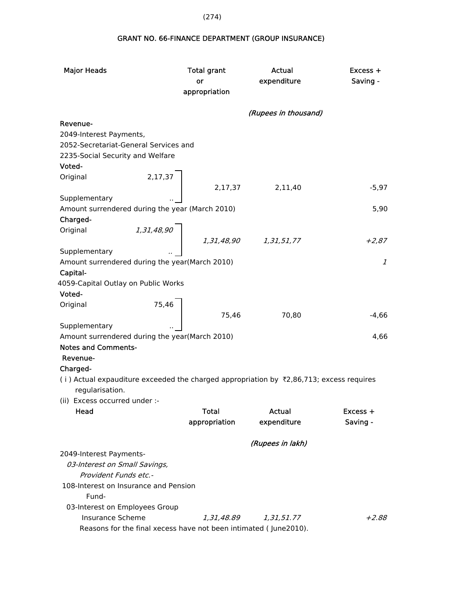GRANT NO. 66-FINANCE DEPARTMENT (GROUP INSURANCE)

| <b>Major Heads</b>                                              |           | <b>Total grant</b><br>or<br>appropriation                                             | Actual<br>expenditure                                                                                 | $Excess +$<br>Saving - |
|-----------------------------------------------------------------|-----------|---------------------------------------------------------------------------------------|-------------------------------------------------------------------------------------------------------|------------------------|
|                                                                 |           |                                                                                       |                                                                                                       |                        |
|                                                                 |           |                                                                                       | (Rupees in thousand)                                                                                  |                        |
| Revenue-                                                        |           |                                                                                       |                                                                                                       |                        |
| 2049-Interest Payments,                                         |           |                                                                                       |                                                                                                       |                        |
| 2052-Secretariat-General Services and                           |           |                                                                                       |                                                                                                       |                        |
| 2235-Social Security and Welfare                                |           |                                                                                       |                                                                                                       |                        |
| Voted-                                                          |           |                                                                                       |                                                                                                       |                        |
| Original                                                        | $2,17,37$ |                                                                                       |                                                                                                       |                        |
|                                                                 |           | 2,17,37                                                                               | 2,11,40                                                                                               | $-5,97$                |
| Supplementary                                                   |           |                                                                                       |                                                                                                       |                        |
| Amount surrendered during the year (March 2010)                 |           |                                                                                       |                                                                                                       | 5,90                   |
| Charged-                                                        |           |                                                                                       |                                                                                                       |                        |
| Original                                                        |           | $\left.\begin{array}{cc} 1.31.48.90 & & 1.31.48.90 & & 1.31.51.77 \end{array}\right.$ |                                                                                                       |                        |
|                                                                 |           |                                                                                       |                                                                                                       | $+2,87$                |
| Supplementary                                                   |           |                                                                                       |                                                                                                       |                        |
| Amount surrendered during the year(March 2010)                  |           |                                                                                       |                                                                                                       | $\mathcal{I}$          |
| Capital-                                                        |           |                                                                                       |                                                                                                       |                        |
| 4059-Capital Outlay on Public Works                             |           |                                                                                       |                                                                                                       |                        |
| Voted-                                                          |           |                                                                                       |                                                                                                       |                        |
| Original                                                        | 75,46     |                                                                                       |                                                                                                       |                        |
|                                                                 |           | 75,46                                                                                 | 70,80                                                                                                 | $-4,66$                |
| Supplementary<br>Amount surrendered during the year(March 2010) |           |                                                                                       |                                                                                                       | 4,66                   |
| <b>Notes and Comments-</b>                                      |           |                                                                                       |                                                                                                       |                        |
| Revenue-                                                        |           |                                                                                       |                                                                                                       |                        |
| Charged-                                                        |           |                                                                                       |                                                                                                       |                        |
|                                                                 |           |                                                                                       | (i) Actual expauditure exceeded the charged appropriation by $\overline{z}$ , 86,713; excess requires |                        |
| regularisation.                                                 |           |                                                                                       |                                                                                                       |                        |
| (ii) Excess occurred under :-                                   |           |                                                                                       |                                                                                                       |                        |
| Head                                                            |           | <b>Total</b>                                                                          | Actual                                                                                                | $Excess +$             |
|                                                                 |           | appropriation                                                                         | expenditure                                                                                           | Saving -               |
|                                                                 |           |                                                                                       |                                                                                                       |                        |
|                                                                 |           |                                                                                       | (Rupees in lakh)                                                                                      |                        |
| 2049-Interest Payments-                                         |           |                                                                                       |                                                                                                       |                        |
| 03-Interest on Small Savings,                                   |           |                                                                                       |                                                                                                       |                        |
| Provident Funds etc.-                                           |           |                                                                                       |                                                                                                       |                        |
| 108-Interest on Insurance and Pension                           |           |                                                                                       |                                                                                                       |                        |
| Fund-                                                           |           |                                                                                       |                                                                                                       |                        |
| 03-Interest on Employees Group                                  |           |                                                                                       |                                                                                                       |                        |
| <b>Insurance Scheme</b>                                         |           | 1,31,48.89                                                                            | 1,31,51.77                                                                                            | $+2.88$                |
|                                                                 |           |                                                                                       | Reasons for the final xecess have not been intimated (June2010).                                      |                        |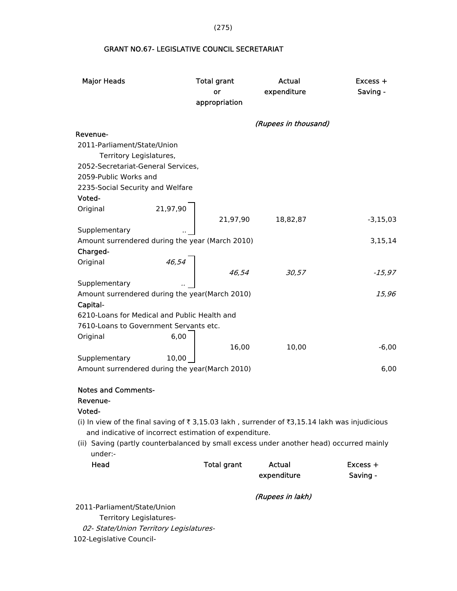GRANT NO.67- LEGISLATIVE COUNCIL SECRETARIAT

| <b>Major Heads</b>                              | <b>Total grant</b><br>or<br>appropriation | Actual<br>expenditure | Excess +<br>Saving - |
|-------------------------------------------------|-------------------------------------------|-----------------------|----------------------|
|                                                 |                                           | (Rupees in thousand)  |                      |
| Revenue-                                        |                                           |                       |                      |
| 2011-Parliament/State/Union                     |                                           |                       |                      |
| Territory Legislatures,                         |                                           |                       |                      |
| 2052-Secretariat-General Services,              |                                           |                       |                      |
| 2059-Public Works and                           |                                           |                       |                      |
| 2235-Social Security and Welfare                |                                           |                       |                      |
| Voted-                                          |                                           |                       |                      |
| Original                                        | 21,97,90                                  |                       |                      |
|                                                 | 21,97,90                                  | 18,82,87              | $-3,15,03$           |
| Supplementary                                   |                                           |                       |                      |
| Amount surrendered during the year (March 2010) |                                           |                       | 3,15,14              |
| Charged-                                        |                                           |                       |                      |
| Original                                        | 46,54                                     |                       |                      |
|                                                 | 46,54                                     | 30,57                 | $-15,97$             |
| Supplementary                                   |                                           |                       |                      |
| Amount surrendered during the year(March 2010)  |                                           |                       | 15,96                |
| Capital-                                        |                                           |                       |                      |
| 6210-Loans for Medical and Public Health and    |                                           |                       |                      |
| 7610-Loans to Government Servants etc.          |                                           |                       |                      |
| Original                                        | 6,00                                      |                       |                      |
|                                                 | 16,00                                     | 10,00                 | $-6,00$              |
| Supplementary                                   | 10,00                                     |                       |                      |
| Amount surrendered during the year(March 2010)  |                                           |                       | 6,00                 |
|                                                 |                                           |                       |                      |
| <b>Notes and Comments-</b>                      |                                           |                       |                      |
| Revenue-                                        |                                           |                       |                      |
| Voted-                                          |                                           |                       |                      |

- (i) In view of the final saving of  $\bar{\tau}$  3,15.03 lakh, surrender of  $\bar{\tau}$ 3,15.14 lakh was injudicious and indicative of incorrect estimation of expenditure.
- (ii) Saving (partly counterbalanced by small excess under another head) occurred mainly under:-

| Head | Total grant | Actual      | $Excess +$ |
|------|-------------|-------------|------------|
|      |             | expenditure | Saving -   |

(Rupees in lakh)

2011-Parliament/State/Union

Territory Legislatures-

02- State/Union Territory Legislatures-

102-Legislative Council-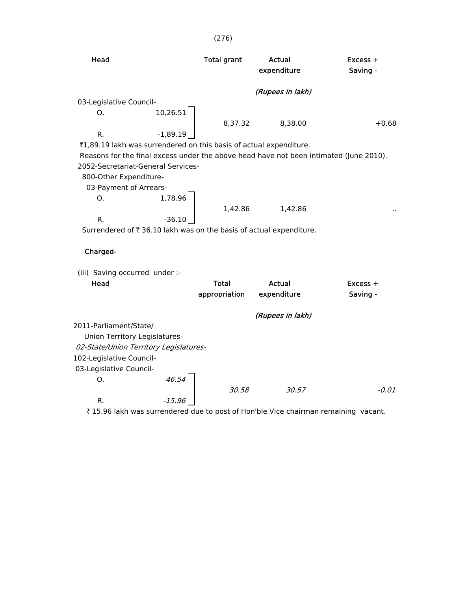| Head                           |                                                                    | <b>Total grant</b> | Actual<br>expenditure                                              | $Excess +$<br>Saving -                                                                 |
|--------------------------------|--------------------------------------------------------------------|--------------------|--------------------------------------------------------------------|----------------------------------------------------------------------------------------|
|                                |                                                                    |                    | (Rupees in lakh)                                                   |                                                                                        |
| 03-Legislative Council-        |                                                                    |                    |                                                                    |                                                                                        |
| O.                             | 10,26.51                                                           |                    |                                                                    |                                                                                        |
|                                |                                                                    | 8,37.32            | 8,38.00                                                            | $+0.68$                                                                                |
| R.                             | $-1,89.19$                                                         |                    |                                                                    |                                                                                        |
|                                | ₹1,89.19 lakh was surrendered on this basis of actual expenditure. |                    |                                                                    |                                                                                        |
|                                |                                                                    |                    |                                                                    | Reasons for the final excess under the above head have not been intimated (June 2010). |
|                                | 2052-Secretariat-General Services-                                 |                    |                                                                    |                                                                                        |
| 800-Other Expenditure-         |                                                                    |                    |                                                                    |                                                                                        |
| 03-Payment of Arrears-         |                                                                    |                    |                                                                    |                                                                                        |
| Ο.                             | 1,78.96                                                            |                    |                                                                    |                                                                                        |
|                                |                                                                    | 1.42.86            | 1.42.86                                                            |                                                                                        |
| $R_{\cdot}$                    | $-36.10$                                                           |                    |                                                                    |                                                                                        |
|                                |                                                                    |                    | Surrendered of ₹36.10 lakh was on the basis of actual expenditure. |                                                                                        |
|                                |                                                                    |                    |                                                                    |                                                                                        |
| Charged-                       |                                                                    |                    |                                                                    |                                                                                        |
|                                |                                                                    |                    |                                                                    |                                                                                        |
| (iii) Saving occurred under :- |                                                                    |                    |                                                                    |                                                                                        |
| Head                           |                                                                    | Total              | Actual                                                             | $Excess +$                                                                             |
|                                |                                                                    |                    |                                                                    |                                                                                        |

|                                        |        | appropriation | expenditure      | Saving - |
|----------------------------------------|--------|---------------|------------------|----------|
|                                        |        |               | (Rupees in lakh) |          |
| 2011-Parliament/State/                 |        |               |                  |          |
| Union Territory Legislatures-          |        |               |                  |          |
| 02-State/Union Territory Legislatures- |        |               |                  |          |
| 102-Legislative Council-               |        |               |                  |          |
| 03-Legislative Council-                |        |               |                  |          |
| O.                                     | 46.54  |               |                  |          |
|                                        |        | 30.58         | 30.57            | $-0.01$  |
| R.                                     | -15.96 |               |                  |          |

 $\bar{\tau}$  15.96 lakh was surrendered due to post of Hon'ble Vice chairman remaining vacant.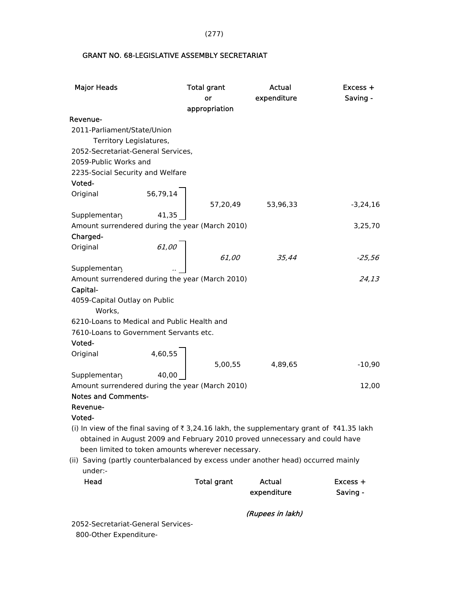(277)

### GRANT NO. 68-LEGISLATIVE ASSEMBLY SECRETARIAT

| <b>Major Heads</b>                                                                           | <b>Total grant</b> | Actual           | Excess +   |
|----------------------------------------------------------------------------------------------|--------------------|------------------|------------|
|                                                                                              | or                 | expenditure      | Saving -   |
|                                                                                              | appropriation      |                  |            |
| Revenue-                                                                                     |                    |                  |            |
| 2011-Parliament/State/Union                                                                  |                    |                  |            |
| Territory Legislatures,                                                                      |                    |                  |            |
| 2052-Secretariat-General Services,                                                           |                    |                  |            |
| 2059-Public Works and                                                                        |                    |                  |            |
| 2235-Social Security and Welfare                                                             |                    |                  |            |
| Voted-                                                                                       |                    |                  |            |
| 56,79,14<br>Original                                                                         |                    |                  |            |
|                                                                                              | 57,20,49           | 53,96,33         | $-3,24,16$ |
| Supplementary<br>41,35                                                                       |                    |                  |            |
| Amount surrendered during the year (March 2010)                                              |                    |                  | 3,25,70    |
| Charged-                                                                                     |                    |                  |            |
| Original<br>61,00                                                                            |                    |                  |            |
|                                                                                              | 61,00              | 35,44            | $-25,56$   |
| Supplementary                                                                                |                    |                  |            |
| Amount surrendered during the year (March 2010)                                              |                    |                  | 24,13      |
| Capital-                                                                                     |                    |                  |            |
| 4059-Capital Outlay on Public                                                                |                    |                  |            |
| Works,                                                                                       |                    |                  |            |
| 6210-Loans to Medical and Public Health and                                                  |                    |                  |            |
| 7610-Loans to Government Servants etc.                                                       |                    |                  |            |
| Voted-                                                                                       |                    |                  |            |
| 4,60,55<br>Original                                                                          |                    |                  |            |
|                                                                                              | 5,00,55            | 4,89,65          | $-10,90$   |
| Supplementary<br>40.00                                                                       |                    |                  |            |
| Amount surrendered during the year (March 2010)                                              |                    |                  | 12,00      |
| <b>Notes and Comments-</b>                                                                   |                    |                  |            |
| Revenue-                                                                                     |                    |                  |            |
| Voted-                                                                                       |                    |                  |            |
| (i) In view of the final saving of ₹3,24.16 lakh, the supplementary grant of ₹41.35 lakh     |                    |                  |            |
| obtained in August 2009 and February 2010 proved unnecessary and could have                  |                    |                  |            |
| been limited to token amounts wherever necessary.                                            |                    |                  |            |
| (ii) Saving (partly counterbalanced by excess under another head) occurred mainly<br>under:- |                    |                  |            |
| Head                                                                                         | <b>Total grant</b> | <b>Actual</b>    | Excess +   |
|                                                                                              |                    | expenditure      | Saving -   |
|                                                                                              |                    |                  |            |
|                                                                                              |                    | (Rupees in lakh) |            |

 2052-Secretariat-General Services- 800-Other Expenditure-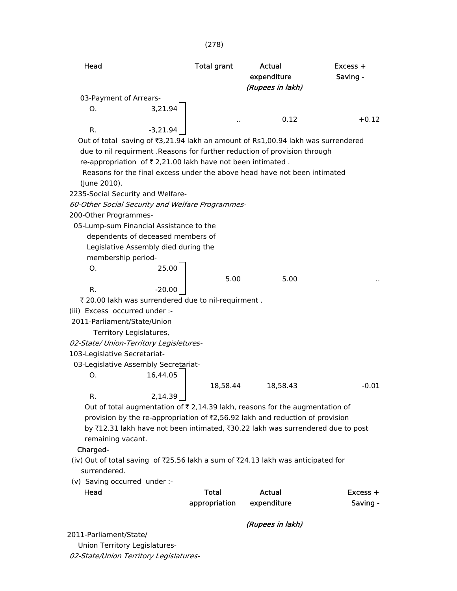#### (278)

| Head                                                                                        | <b>Total grant</b> | Actual<br>expenditure | Excess +<br>Saving - |
|---------------------------------------------------------------------------------------------|--------------------|-----------------------|----------------------|
|                                                                                             |                    | (Rupees in lakh)      |                      |
| 03-Payment of Arrears-                                                                      |                    |                       |                      |
| O.<br>3,21.94                                                                               |                    |                       |                      |
| $-3,21.94$<br>R.                                                                            |                    | 0.12                  | $+0.12$              |
| Out of total saving of ₹3,21.94 lakh an amount of Rs1,00.94 lakh was surrendered            |                    |                       |                      |
| due to nil requirment . Reasons for further reduction of provision through                  |                    |                       |                      |
| re-appropriation of $\bar{\tau}$ 2,21.00 lakh have not been intimated.                      |                    |                       |                      |
| Reasons for the final excess under the above head have not been intimated                   |                    |                       |                      |
| (June 2010).                                                                                |                    |                       |                      |
| 2235-Social Security and Welfare-                                                           |                    |                       |                      |
| 60-Other Social Security and Welfare Programmes-                                            |                    |                       |                      |
| 200-Other Programmes-                                                                       |                    |                       |                      |
|                                                                                             |                    |                       |                      |
| 05-Lump-sum Financial Assistance to the<br>dependents of deceased members of                |                    |                       |                      |
| Legislative Assembly died during the                                                        |                    |                       |                      |
| membership period-                                                                          |                    |                       |                      |
| O.<br>25.00                                                                                 |                    |                       |                      |
|                                                                                             | 5.00               | 5.00                  |                      |
| R.<br>$-20.00$                                                                              |                    |                       |                      |
| ₹ 20.00 lakh was surrendered due to nil-requirment.                                         |                    |                       |                      |
| (iii) Excess occurred under :-                                                              |                    |                       |                      |
| 2011-Parliament/State/Union                                                                 |                    |                       |                      |
| Territory Legislatures,                                                                     |                    |                       |                      |
| 02-State/ Union-Territory Legisletures-                                                     |                    |                       |                      |
| 103-Legislative Secretariat-                                                                |                    |                       |                      |
| 03-Legislative Assembly Secretariat-                                                        |                    |                       |                      |
| 16,44.05<br>O.                                                                              |                    |                       |                      |
|                                                                                             | 18,58.44           | 18,58.43              | $-0.01$              |
| 2,14.39<br>R.                                                                               |                    |                       |                      |
| Out of total augmentation of $\overline{\xi}$ 2,14.39 lakh, reasons for the augmentation of |                    |                       |                      |
| provision by the re-appropriation of ₹2,56.92 lakh and reduction of provision               |                    |                       |                      |
| by ₹12.31 lakh have not been intimated, ₹30.22 lakh was surrendered due to post             |                    |                       |                      |
| remaining vacant.                                                                           |                    |                       |                      |
| Charged-                                                                                    |                    |                       |                      |
| (iv) Out of total saving of ₹25.56 lakh a sum of ₹24.13 lakh was anticipated for            |                    |                       |                      |
| surrendered.                                                                                |                    |                       |                      |
| (v) Saving occurred under :-                                                                |                    |                       |                      |
| Head                                                                                        | <b>Total</b>       | Actual                | $Excess +$           |
|                                                                                             | appropriation      | expenditure           | Saving -             |
|                                                                                             |                    |                       |                      |
|                                                                                             |                    | (Rupees in lakh)      |                      |
| 2011-Parliament/State/                                                                      |                    |                       |                      |
| Union Territory Legislatures-                                                               |                    |                       |                      |

02-State/Union Territory Legislatures-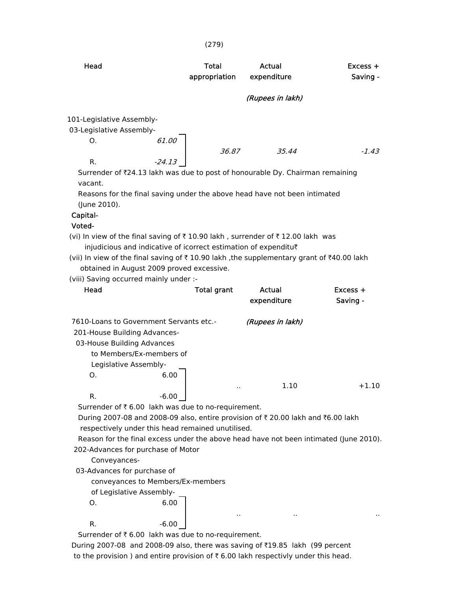| Head                      |                                                                             | Total<br>appropriation | Actual<br>expenditure                                                                     | $Excess +$<br>Saving - |
|---------------------------|-----------------------------------------------------------------------------|------------------------|-------------------------------------------------------------------------------------------|------------------------|
|                           |                                                                             |                        | (Rupees in lakh)                                                                          |                        |
| 101-Legislative Assembly- |                                                                             |                        |                                                                                           |                        |
| 03-Legislative Assembly-  |                                                                             |                        |                                                                                           |                        |
| O.                        | 61.00                                                                       |                        |                                                                                           |                        |
|                           |                                                                             | 36.87                  | 35.44                                                                                     | $-1.43$                |
| R.                        | $-24.13$                                                                    |                        |                                                                                           |                        |
|                           |                                                                             |                        | Surrender of $\bar{\tau}$ 24.13 lakh was due to post of honourable Dy. Chairman remaining |                        |
| vacant.                   |                                                                             |                        |                                                                                           |                        |
|                           |                                                                             |                        | Reasons for the final saving under the above head have not been intimated                 |                        |
| (June 2010).              |                                                                             |                        |                                                                                           |                        |
| Capital-                  |                                                                             |                        |                                                                                           |                        |
| Voted-                    |                                                                             |                        |                                                                                           |                        |
|                           | injudicious and indicative of icorrect estimation of expenditu $\bar{\tau}$ |                        | (vi) In view of the final saving of ₹10.90 lakh, surrender of ₹12.00 lakh was             |                        |
|                           |                                                                             |                        |                                                                                           |                        |

(vii) In view of the final saving of  $\bar{\tau}$  10.90 lakh, the supplementary grant of  $\bar{\tau}$ 40.00 lakh obtained in August 2009 proved excessive.

(viii) Saving occurred mainly under :-

| Head                                    | <b>Total grant</b>                                             | Actual<br>expenditure | $Excess +$<br>Saving - |
|-----------------------------------------|----------------------------------------------------------------|-----------------------|------------------------|
| 7610-Loans to Government Servants etc.- |                                                                | (Rupees in lakh)      |                        |
| 201-House Building Advances-            |                                                                |                       |                        |
| 03-House Building Advances              |                                                                |                       |                        |
| to Members/Ex-members of                |                                                                |                       |                        |
| Legislative Assembly-                   |                                                                |                       |                        |
| O.                                      | 6.00                                                           |                       |                        |
|                                         |                                                                | 1.10<br>$\cdot$ .     | $+1.10$                |
| R.                                      | $-6.00$                                                        |                       |                        |
|                                         | Surrender of $\bar{\tau}$ 6.00 lakh was due to no-requirement. |                       |                        |

During 2007-08 and 2008-09 also, entire provision of ₹ 20.00 lakh and ₹6.00 lakh respectively under this head remained unutilised.

 Reason for the final excess under the above head have not been intimated (June 2010). 202-Advances for purchase of Motor

.. .. ..

Conveyances-

03-Advances for purchase of

conveyances to Members/Ex-members

of Legislative Assembly-

O. 6.00

 $R.$  -6.00

Surrender of  $\bar{t}$  6.00 lakh was due to no-requirement.

During 2007-08 and 2008-09 also, there was saving of ₹19.85 lakh (99 percent to the provision ) and entire provision of  $\bar{\tau}$  6.00 lakh respectivly under this head.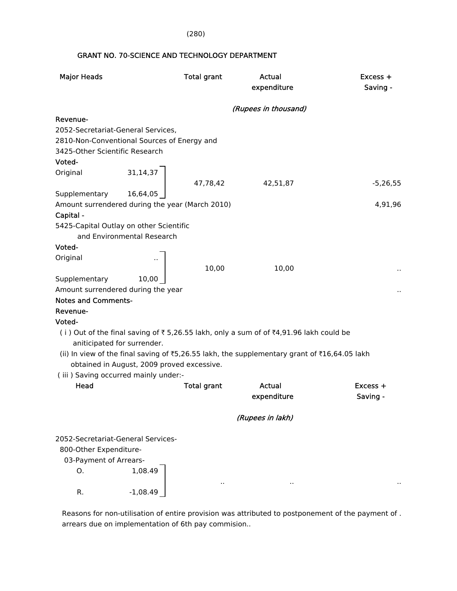(280)

### GRANT NO. 70-SCIENCE AND TECHNOLOGY DEPARTMENT

| <b>Major Heads</b>                                               | <b>Total grant</b>                              |          | Actual<br>expenditure                                                                        | Excess +<br>Saving - |
|------------------------------------------------------------------|-------------------------------------------------|----------|----------------------------------------------------------------------------------------------|----------------------|
|                                                                  |                                                 |          | (Rupees in thousand)                                                                         |                      |
| Revenue-                                                         |                                                 |          |                                                                                              |                      |
| 2052-Secretariat-General Services,                               |                                                 |          |                                                                                              |                      |
|                                                                  | 2810-Non-Conventional Sources of Energy and     |          |                                                                                              |                      |
| 3425-Other Scientific Research                                   |                                                 |          |                                                                                              |                      |
| Voted-                                                           |                                                 |          |                                                                                              |                      |
| Original                                                         | 31, 14, 37                                      |          |                                                                                              |                      |
|                                                                  |                                                 | 47,78,42 | 42,51,87                                                                                     | $-5,26,55$           |
| Supplementary                                                    | 16,64,05                                        |          |                                                                                              |                      |
|                                                                  | Amount surrendered during the year (March 2010) |          |                                                                                              | 4,91,96              |
| Capital -                                                        |                                                 |          |                                                                                              |                      |
|                                                                  | 5425-Capital Outlay on other Scientific         |          |                                                                                              |                      |
|                                                                  | and Environmental Research                      |          |                                                                                              |                      |
| Voted-                                                           |                                                 |          |                                                                                              |                      |
| Original                                                         |                                                 |          |                                                                                              |                      |
|                                                                  |                                                 | 10,00    | 10,00                                                                                        |                      |
| Supplementary                                                    | 10,00                                           |          |                                                                                              |                      |
| Amount surrendered during the year<br><b>Notes and Comments-</b> |                                                 |          |                                                                                              |                      |
|                                                                  |                                                 |          |                                                                                              |                      |
| Revenue-                                                         |                                                 |          |                                                                                              |                      |
| Voted-<br>aniticipated for surrender.                            |                                                 |          | (i) Out of the final saving of ₹5,26.55 lakh, only a sum of of ₹4,91.96 lakh could be        |                      |
|                                                                  |                                                 |          | (ii) In view of the final saving of ₹5,26.55 lakh, the supplementary grant of ₹16,64.05 lakh |                      |
|                                                                  | obtained in August, 2009 proved excessive.      |          |                                                                                              |                      |
|                                                                  | (iii) Saving occurred mainly under:-            |          |                                                                                              |                      |
| Head                                                             | <b>Total grant</b>                              |          | <b>Actual</b>                                                                                | Excess +             |
|                                                                  |                                                 |          | expenditure                                                                                  | Saving -             |
|                                                                  |                                                 |          | (Rupees in lakh)                                                                             |                      |
|                                                                  |                                                 |          |                                                                                              |                      |
| 2052-Secretariat-General Services-                               |                                                 |          |                                                                                              |                      |
| 800-Other Expenditure-                                           |                                                 |          |                                                                                              |                      |
| 03-Payment of Arrears-                                           |                                                 |          |                                                                                              |                      |
| Ο.                                                               | 1,08.49                                         |          |                                                                                              |                      |
| R.                                                               | $-1,08.49$                                      | . .      | $\cdot$ .                                                                                    |                      |

 Reasons for non-utilisation of entire provision was attributed to postponement of the payment of . arrears due on implementation of 6th pay commision..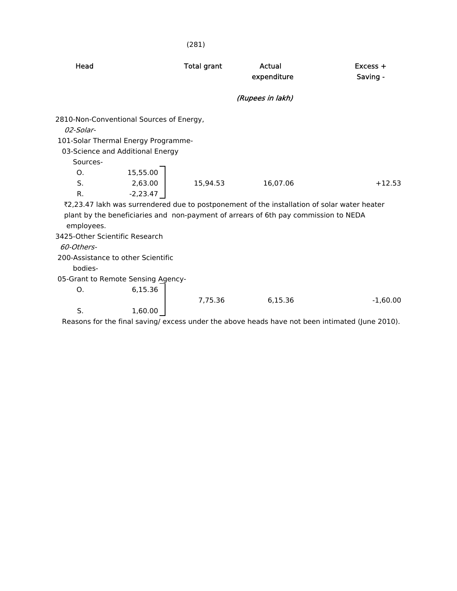|                                              |                                                                                                                     | (281)              |                                                                                                                                                                                    |                        |
|----------------------------------------------|---------------------------------------------------------------------------------------------------------------------|--------------------|------------------------------------------------------------------------------------------------------------------------------------------------------------------------------------|------------------------|
| Head                                         |                                                                                                                     | <b>Total grant</b> | Actual<br>expenditure                                                                                                                                                              | $Excess +$<br>Saving - |
|                                              |                                                                                                                     |                    | (Rupees in lakh)                                                                                                                                                                   |                        |
| 02-Solar-<br>Sources-                        | 2810-Non-Conventional Sources of Energy,<br>101-Solar Thermal Energy Programme-<br>03-Science and Additional Energy |                    |                                                                                                                                                                                    |                        |
| Ο.<br>S.<br>R.                               | 15,55.00<br>2,63.00<br>$-2,23.47$                                                                                   | 15,94.53           | 16,07.06                                                                                                                                                                           | $+12.53$               |
| employees.                                   |                                                                                                                     |                    | ₹2,23.47 lakh was surrendered due to postponement of the installation of solar water heater<br>plant by the beneficiaries and non-payment of arrears of 6th pay commission to NEDA |                        |
| 3425-Other Scientific Research<br>60-Others- | 200-Assistance to other Scientific                                                                                  |                    |                                                                                                                                                                                    |                        |
| bodies-                                      | 05-Grant to Remote Sensing Agency-                                                                                  |                    |                                                                                                                                                                                    |                        |
| Ο.                                           | 6,15.36                                                                                                             | 7,75.36            | 6,15.36                                                                                                                                                                            | $-1,60.00$             |
| S.                                           | 1,60.00                                                                                                             |                    |                                                                                                                                                                                    |                        |
|                                              |                                                                                                                     |                    | Reasons for the final saving/ excess under the above heads have not been intimated (June 2010).                                                                                    |                        |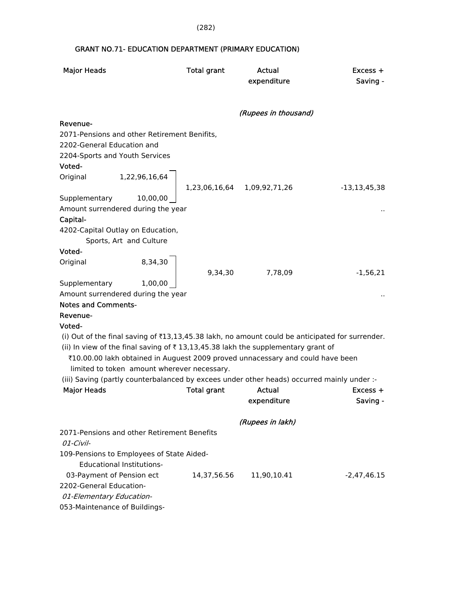(282)

### GRANT NO.71- EDUCATION DEPARTMENT (PRIMARY EDUCATION)

| <b>Major Heads</b>                                                                              | <b>Total grant</b> | Actual                      | Excess +          |
|-------------------------------------------------------------------------------------------------|--------------------|-----------------------------|-------------------|
|                                                                                                 |                    | expenditure                 | Saving -          |
|                                                                                                 |                    |                             |                   |
|                                                                                                 |                    | (Rupees in thousand)        |                   |
| Revenue-                                                                                        |                    |                             |                   |
| 2071-Pensions and other Retirement Benifits,                                                    |                    |                             |                   |
| 2202-General Education and                                                                      |                    |                             |                   |
| 2204-Sports and Youth Services                                                                  |                    |                             |                   |
| Voted-                                                                                          |                    |                             |                   |
| 1,22,96,16,64<br>Original                                                                       |                    |                             |                   |
|                                                                                                 |                    | 1,23,06,16,64 1,09,92,71,26 | $-13, 13, 45, 38$ |
| Supplementary<br>10,00,00                                                                       |                    |                             |                   |
| Amount surrendered during the year                                                              |                    |                             |                   |
| Capital-                                                                                        |                    |                             |                   |
| 4202-Capital Outlay on Education,                                                               |                    |                             |                   |
| Sports, Art and Culture                                                                         |                    |                             |                   |
| Voted-                                                                                          |                    |                             |                   |
| 8,34,30<br>Original                                                                             |                    |                             |                   |
|                                                                                                 | 9,34,30            | 7,78,09                     | $-1,56,21$        |
| Supplementary<br>1,00,00                                                                        |                    |                             |                   |
| Amount surrendered during the year                                                              |                    |                             |                   |
| <b>Notes and Comments-</b>                                                                      |                    |                             |                   |
| Revenue-                                                                                        |                    |                             |                   |
| Voted-                                                                                          |                    |                             |                   |
| (i) Out of the final saving of ₹13,13,45.38 lakh, no amount could be anticipated for surrender. |                    |                             |                   |
| (ii) In view of the final saving of $\bar{\tau}$ 13,13,45.38 lakh the supplementary grant of    |                    |                             |                   |
| ₹10.00.00 lakh obtained in Auguest 2009 proved unnacessary and could have been                  |                    |                             |                   |
| limited to token amount wherever necessary.                                                     |                    |                             |                   |
| (iii) Saving (partly counterbalanced by excees under other heads) occurred mainly under :-      |                    |                             |                   |
| <b>Major Heads</b>                                                                              | <b>Total grant</b> | Actual                      | $Excess +$        |
|                                                                                                 |                    | expenditure                 | Saving -          |
|                                                                                                 |                    | (Rupees in lakh)            |                   |
| 2071-Pensions and other Retirement Benefits                                                     |                    |                             |                   |
| 01-Civil-                                                                                       |                    |                             |                   |
| 109-Pensions to Employees of State Aided-                                                       |                    |                             |                   |
| <b>Educational Institutions-</b>                                                                |                    |                             |                   |
| 03-Payment of Pension ect                                                                       | 14,37,56.56        | 11,90,10.41                 | -2,47,46.15       |
| 2202-General Education-                                                                         |                    |                             |                   |
| 01-Elementary Education-                                                                        |                    |                             |                   |
| 053-Maintenance of Buildings-                                                                   |                    |                             |                   |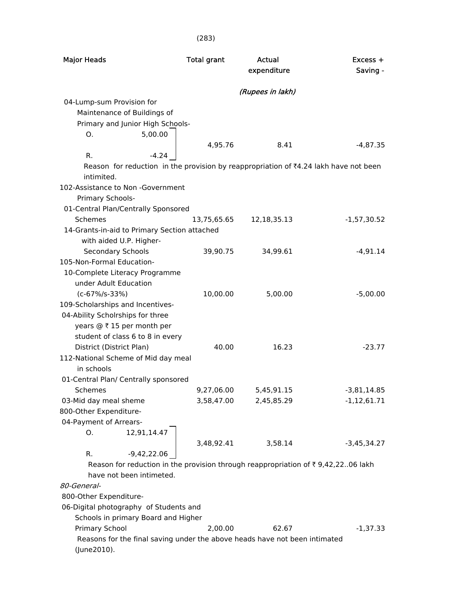| <b>Major Heads</b>                                                                                 | <b>Total grant</b> | Actual<br>expenditure | $Excess +$<br>Saving - |
|----------------------------------------------------------------------------------------------------|--------------------|-----------------------|------------------------|
|                                                                                                    |                    | (Rupees in lakh)      |                        |
| 04-Lump-sum Provision for                                                                          |                    |                       |                        |
| Maintenance of Buildings of                                                                        |                    |                       |                        |
| Primary and Junior High Schools-                                                                   |                    |                       |                        |
| 5,00.00<br>O.                                                                                      |                    |                       |                        |
|                                                                                                    | 4,95.76            | 8.41                  | $-4,87.35$             |
| R.<br>$-4.24$                                                                                      |                    |                       |                        |
| Reason for reduction in the provision by reappropriation of ₹4.24 lakh have not been<br>intimited. |                    |                       |                        |
| 102-Assistance to Non -Government                                                                  |                    |                       |                        |
| Primary Schools-                                                                                   |                    |                       |                        |
| 01-Central Plan/Centrally Sponsored                                                                |                    |                       |                        |
| <b>Schemes</b>                                                                                     | 13,75,65.65        | 12, 18, 35. 13        | $-1,57,30.52$          |
| 14-Grants-in-aid to Primary Section attached                                                       |                    |                       |                        |
| with aided U.P. Higher-                                                                            |                    |                       |                        |
| <b>Secondary Schools</b>                                                                           | 39,90.75           | 34,99.61              | $-4,91.14$             |
| 105-Non-Formal Education-                                                                          |                    |                       |                        |
| 10-Complete Literacy Programme                                                                     |                    |                       |                        |
| under Adult Education                                                                              |                    |                       |                        |
| $(c - 67\%/s - 33\%)$                                                                              | 10,00.00           | 5,00.00               | $-5,00.00$             |
| 109-Scholarships and Incentives-                                                                   |                    |                       |                        |
| 04-Ability Scholrships for three                                                                   |                    |                       |                        |
| years @ ₹ 15 per month per                                                                         |                    |                       |                        |
| student of class 6 to 8 in every<br>District (District Plan)                                       | 40.00              | 16.23                 | $-23.77$               |
| 112-National Scheme of Mid day meal                                                                |                    |                       |                        |
| in schools                                                                                         |                    |                       |                        |
| 01-Central Plan/ Centrally sponsored                                                               |                    |                       |                        |
| Schemes                                                                                            | 9,27,06.00         | 5,45,91.15            | $-3,81,14.85$          |
| 03-Mid day meal sheme                                                                              | 3,58,47.00         | 2,45,85.29            | $-1,12,61.71$          |
| 800-Other Expenditure-                                                                             |                    |                       |                        |
| 04-Payment of Arrears-                                                                             |                    |                       |                        |
| 12,91,14.47<br>О.                                                                                  |                    |                       |                        |
|                                                                                                    | 3,48,92.41         | 3,58.14               | $-3,45,34.27$          |
| R.<br>$-9,42,22.06$                                                                                |                    |                       |                        |
| Reason for reduction in the provision through reappropriation of $\bar{\tau}$ 9,42,2206 lakh       |                    |                       |                        |
| have not been intimeted.                                                                           |                    |                       |                        |
| 80-General-                                                                                        |                    |                       |                        |
| 800-Other Expenditure-                                                                             |                    |                       |                        |
| 06-Digital photography of Students and                                                             |                    |                       |                        |
| Schools in primary Board and Higher                                                                |                    |                       |                        |
| Primary School                                                                                     | 2,00.00            | 62.67                 | $-1,37.33$             |
| Reasons for the final saving under the above heads have not been intimated                         |                    |                       |                        |
| (June2010).                                                                                        |                    |                       |                        |

### (283)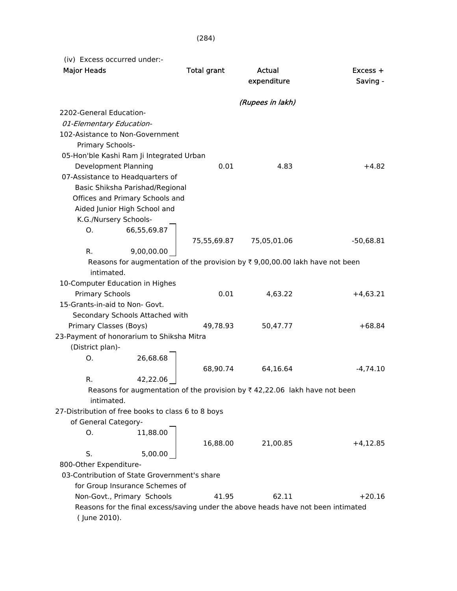(iv) Excess occurred under:-

| <b>Major Heads</b>                                                                                         | <b>Total grant</b> | <b>Actual</b>    | Excess +    |
|------------------------------------------------------------------------------------------------------------|--------------------|------------------|-------------|
|                                                                                                            |                    | expenditure      | Saving -    |
|                                                                                                            |                    | (Rupees in lakh) |             |
| 2202-General Education-                                                                                    |                    |                  |             |
| 01-Elementary Education-                                                                                   |                    |                  |             |
| 102-Asistance to Non-Government                                                                            |                    |                  |             |
| Primary Schools-                                                                                           |                    |                  |             |
| 05-Hon'ble Kashi Ram Ji Integrated Urban                                                                   |                    |                  |             |
| Development Planning                                                                                       | 0.01               | 4.83             | $+4.82$     |
| 07-Assistance to Headquarters of                                                                           |                    |                  |             |
| Basic Shiksha Parishad/Regional                                                                            |                    |                  |             |
| Offices and Primary Schools and                                                                            |                    |                  |             |
| Aided Junior High School and                                                                               |                    |                  |             |
| K.G./Nursery Schools-                                                                                      |                    |                  |             |
| 66,55,69.87<br>О.                                                                                          |                    |                  |             |
|                                                                                                            | 75,55,69.87        | 75,05,01.06      | $-50,68.81$ |
| 9,00,00.00<br>R.                                                                                           |                    |                  |             |
| Reasons for augmentation of the provision by $\overline{\tau}$ 9,00,00.00 lakh have not been<br>intimated. |                    |                  |             |
| 10-Computer Education in Highes                                                                            |                    |                  |             |
| <b>Primary Schools</b>                                                                                     | 0.01               | 4,63.22          | $+4,63.21$  |
| 15-Grants-in-aid to Non- Govt.                                                                             |                    |                  |             |
| Secondary Schools Attached with                                                                            |                    |                  |             |
| Primary Classes (Boys)                                                                                     | 49,78.93           | 50,47.77         | $+68.84$    |
| 23-Payment of honorarium to Shiksha Mitra                                                                  |                    |                  |             |
| (District plan)-                                                                                           |                    |                  |             |
| 26,68.68<br>О.                                                                                             |                    |                  |             |
|                                                                                                            | 68,90.74           | 64,16.64         | $-4,74.10$  |
| 42,22.06<br>R.                                                                                             |                    |                  |             |
| Reasons for augmentation of the provision by $\bar{\tau}$ 42,22.06 lakh have not been                      |                    |                  |             |
| intimated.                                                                                                 |                    |                  |             |
| 27-Distribution of free books to class 6 to 8 boys                                                         |                    |                  |             |
| of General Category-                                                                                       |                    |                  |             |
| 11,88.00<br>Ο.                                                                                             |                    |                  |             |
|                                                                                                            | 16,88.00           | 21,00.85         | +4,12.85    |
| S.<br>5,00.00                                                                                              |                    |                  |             |
| 800-Other Expenditure-                                                                                     |                    |                  |             |
| 03-Contribution of State Grovernment's share                                                               |                    |                  |             |
| for Group Insurance Schemes of                                                                             |                    |                  |             |
| Non-Govt., Primary Schools                                                                                 | 41.95              | 62.11            | $+20.16$    |
| Reasons for the final excess/saving under the above heads have not been intimated                          |                    |                  |             |
| (June 2010).                                                                                               |                    |                  |             |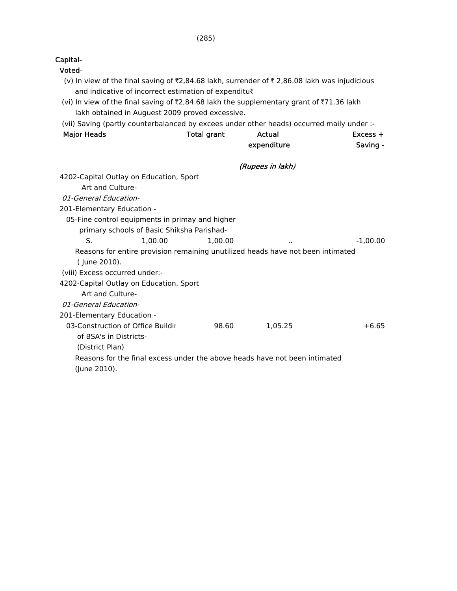| Voted-                                                                                                                                               |                    |                  |            |
|------------------------------------------------------------------------------------------------------------------------------------------------------|--------------------|------------------|------------|
| (v) In view of the final saving of ₹2,84.68 lakh, surrender of ₹2,86.08 lakh was injudicious<br>and indicative of incorrect estimation of expenditu₹ |                    |                  |            |
| (vi) In view of the final saving of ₹2,84.68 lakh the supplementary grant of ₹71.36 lakh                                                             |                    |                  |            |
| lakh obtained in Auguest 2009 proved excessive.                                                                                                      |                    |                  |            |
| (vii) Saving (partly counterbalanced by excees under other heads) occurred maily under :-                                                            |                    |                  |            |
| <b>Major Heads</b>                                                                                                                                   | <b>Total grant</b> | Actual           | $Excess +$ |
|                                                                                                                                                      |                    | expenditure      | Saving -   |
|                                                                                                                                                      |                    | (Rupees in lakh) |            |
| 4202-Capital Outlay on Education, Sport                                                                                                              |                    |                  |            |
| Art and Culture-                                                                                                                                     |                    |                  |            |
| 01-General Education-                                                                                                                                |                    |                  |            |
| 201-Elementary Education -                                                                                                                           |                    |                  |            |
| 05-Fine control equipments in primay and higher                                                                                                      |                    |                  |            |
| primary schools of Basic Shiksha Parishad-                                                                                                           |                    |                  |            |
| S.<br>1,00.00                                                                                                                                        | 1,00.00            |                  | $-1,00.00$ |
| Reasons for entire provision remaining unutilized heads have not been intimated                                                                      |                    |                  |            |
| (June 2010).                                                                                                                                         |                    |                  |            |
| (viii) Excess occurred under:-                                                                                                                       |                    |                  |            |
| 4202-Capital Outlay on Education, Sport                                                                                                              |                    |                  |            |
| Art and Culture-                                                                                                                                     |                    |                  |            |
| 01-General Education-                                                                                                                                |                    |                  |            |
| 201-Elementary Education -                                                                                                                           |                    |                  |            |
| 03-Construction of Office Buildir                                                                                                                    | 98.60              | 1,05.25          | $+6.65$    |
| of BSA's in Districts-                                                                                                                               |                    |                  |            |
| (District Plan)                                                                                                                                      |                    |                  |            |
| Reasons for the final excess under the above heads have not been intimated                                                                           |                    |                  |            |

(285)

Capital-

(June 2010).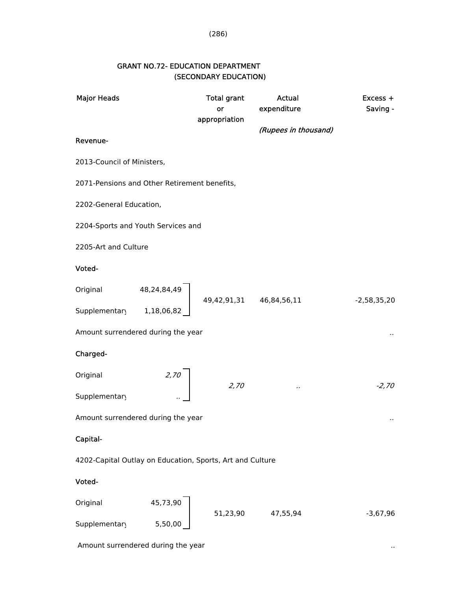### GRANT NO.72- EDUCATION DEPARTMENT (SECONDARY EDUCATION)

| <b>Major Heads</b>                                        |             | <b>Total grant</b>       | Actual               | Excess +      |  |  |
|-----------------------------------------------------------|-------------|--------------------------|----------------------|---------------|--|--|
|                                                           |             | or                       | expenditure          | Saving -      |  |  |
|                                                           |             | appropriation            |                      |               |  |  |
| Revenue-                                                  |             |                          | (Rupees in thousand) |               |  |  |
| 2013-Council of Ministers,                                |             |                          |                      |               |  |  |
| 2071-Pensions and Other Retirement benefits,              |             |                          |                      |               |  |  |
| 2202-General Education,                                   |             |                          |                      |               |  |  |
| 2204-Sports and Youth Services and                        |             |                          |                      |               |  |  |
| 2205-Art and Culture                                      |             |                          |                      |               |  |  |
| Voted-                                                    |             |                          |                      |               |  |  |
| Original                                                  | 48,24,84,49 |                          |                      |               |  |  |
| Supplementary                                             | 1,18,06,82  | 49,42,91,31  46,84,56,11 |                      | $-2,58,35,20$ |  |  |
| Amount surrendered during the year                        |             |                          |                      |               |  |  |
| Charged-                                                  |             |                          |                      |               |  |  |
| Original                                                  | 2,70        |                          |                      |               |  |  |
| Supplementary                                             |             | 2,70                     |                      | $-2,70$       |  |  |
| Amount surrendered during the year                        |             |                          |                      |               |  |  |
| Capital-                                                  |             |                          |                      |               |  |  |
| 4202-Capital Outlay on Education, Sports, Art and Culture |             |                          |                      |               |  |  |
| Voted-                                                    |             |                          |                      |               |  |  |
| Original                                                  | 45,73,90    |                          |                      |               |  |  |
| Supplementary                                             | 5,50,00     | 51,23,90                 | 47,55,94             | $-3,67,96$    |  |  |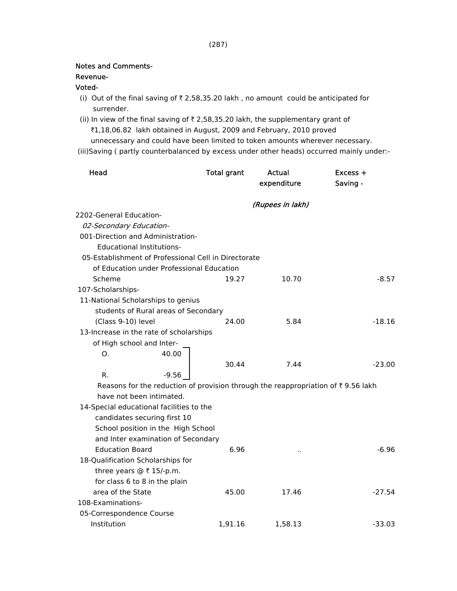#### Notes and Comments-

### Revenue-

#### Voted-

- (i) Out of the final saving of  $\bar{\tau}$  2,58,35.20 lakh, no amount could be anticipated for surrender.
- (ii) In view of the final saving of  $\bar{\tau}$  2,58,35.20 lakh, the supplementary grant of ₹1,18,06.82 lakh obtained in August, 2009 and February, 2010 proved unnecessary and could have been limited to token amounts wherever necessary.
- (iii)Saving ( partly counterbalanced by excess under other heads) occurred mainly under:-

| Head                                                                                              | <b>Total grant</b> | Actual<br>expenditure | Excess +<br>Saving - |
|---------------------------------------------------------------------------------------------------|--------------------|-----------------------|----------------------|
|                                                                                                   |                    | (Rupees in lakh)      |                      |
| 2202-General Education-                                                                           |                    |                       |                      |
| 02-Secondary Education-                                                                           |                    |                       |                      |
| 001-Direction and Administration-                                                                 |                    |                       |                      |
| <b>Educational Institutions-</b>                                                                  |                    |                       |                      |
| 05-Establishment of Professional Cell in Directorate                                              |                    |                       |                      |
| of Education under Professional Education                                                         |                    |                       |                      |
| Scheme                                                                                            | 19.27              | 10.70                 | $-8.57$              |
| 107-Scholarships-                                                                                 |                    |                       |                      |
| 11-National Scholarships to genius                                                                |                    |                       |                      |
| students of Rural areas of Secondary                                                              |                    |                       |                      |
| (Class 9-10) level                                                                                | 24.00              | 5.84                  | $-18.16$             |
| 13-Increase in the rate of scholarships                                                           |                    |                       |                      |
| of High school and Inter-                                                                         |                    |                       |                      |
| 0.<br>40.00                                                                                       |                    |                       |                      |
|                                                                                                   | 30.44              | 7.44                  | $-23.00$             |
| R.<br>$-9.56$                                                                                     |                    |                       |                      |
| Reasons for the reduction of provision through the reappropriation of $\overline{\tau}$ 9.56 lakh |                    |                       |                      |
| have not been intimated.                                                                          |                    |                       |                      |
| 14-Special educational facilities to the                                                          |                    |                       |                      |
| candidates securing first 10                                                                      |                    |                       |                      |
| School position in the High School                                                                |                    |                       |                      |
| and Inter examination of Secondary                                                                |                    |                       |                      |
| <b>Education Board</b>                                                                            | 6.96               | ٠.                    | -6.96                |
| 18-Qualification Scholarships for                                                                 |                    |                       |                      |
| three years $@ \t{7} 15/-p.m.$                                                                    |                    |                       |                      |
| for class 6 to 8 in the plain                                                                     |                    |                       |                      |
| area of the State                                                                                 | 45.00              | 17.46                 | $-27.54$             |
| 108-Examinations-                                                                                 |                    |                       |                      |
| 05-Correspondence Course                                                                          |                    |                       |                      |
| Institution                                                                                       | 1,91.16            | 1,58.13               | $-33.03$             |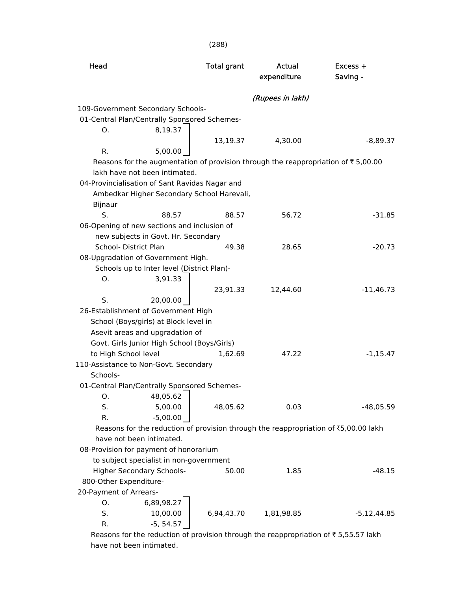| Head                   |                                                | <b>Total grant</b> | Actual<br>expenditure                                                               | Excess +<br>Saving -                                                                          |
|------------------------|------------------------------------------------|--------------------|-------------------------------------------------------------------------------------|-----------------------------------------------------------------------------------------------|
|                        |                                                |                    | (Rupees in lakh)                                                                    |                                                                                               |
|                        | 109-Government Secondary Schools-              |                    |                                                                                     |                                                                                               |
|                        | 01-Central Plan/Centrally Sponsored Schemes-   |                    |                                                                                     |                                                                                               |
| O.                     | 8,19.37                                        |                    |                                                                                     |                                                                                               |
|                        |                                                | 13,19.37           | 4,30.00                                                                             | $-8,89.37$                                                                                    |
| R.                     | 5,00.00                                        |                    |                                                                                     |                                                                                               |
|                        |                                                |                    |                                                                                     | Reasons for the augmentation of provision through the reappropriation of $\bar{\tau}$ 5,00.00 |
|                        | lakh have not been intimated.                  |                    |                                                                                     |                                                                                               |
|                        | 04-Provincialisation of Sant Ravidas Nagar and |                    |                                                                                     |                                                                                               |
|                        | Ambedkar Higher Secondary School Harevali,     |                    |                                                                                     |                                                                                               |
| Bijnaur                |                                                |                    |                                                                                     |                                                                                               |
| S.                     | 88.57                                          | 88.57              | 56.72                                                                               | $-31.85$                                                                                      |
|                        | 06-Opening of new sections and inclusion of    |                    |                                                                                     |                                                                                               |
|                        | new subjects in Govt. Hr. Secondary            |                    |                                                                                     |                                                                                               |
| School- District Plan  |                                                | 49.38              | 28.65                                                                               | $-20.73$                                                                                      |
|                        | 08-Upgradation of Government High.             |                    |                                                                                     |                                                                                               |
|                        | Schools up to Inter level (District Plan)-     |                    |                                                                                     |                                                                                               |
| O.                     | 3,91.33                                        |                    |                                                                                     |                                                                                               |
|                        |                                                | 23,91.33           | 12,44.60                                                                            | $-11,46.73$                                                                                   |
| S.                     | 20,00.00                                       |                    |                                                                                     |                                                                                               |
|                        | 26-Establishment of Government High            |                    |                                                                                     |                                                                                               |
|                        | School (Boys/girls) at Block level in          |                    |                                                                                     |                                                                                               |
|                        | Asevit areas and upgradation of                |                    |                                                                                     |                                                                                               |
|                        | Govt. Girls Junior High School (Boys/Girls)    |                    |                                                                                     |                                                                                               |
| to High School level   |                                                | 1,62.69            | 47.22                                                                               | $-1,15.47$                                                                                    |
|                        | 110-Assistance to Non-Govt. Secondary          |                    |                                                                                     |                                                                                               |
| Schools-               |                                                |                    |                                                                                     |                                                                                               |
|                        | 01-Central Plan/Centrally Sponsored Schemes-   |                    |                                                                                     |                                                                                               |
| Ο.                     | 48,05.62                                       |                    |                                                                                     |                                                                                               |
| S.                     | 5,00.00                                        | 48,05.62           | 0.03                                                                                | $-48,05.59$                                                                                   |
| R.                     | $-5,00.00$                                     |                    |                                                                                     |                                                                                               |
|                        |                                                |                    |                                                                                     | Reasons for the reduction of provision through the reappropriation of ₹5,00.00 lakh           |
|                        | have not been intimated.                       |                    |                                                                                     |                                                                                               |
|                        | 08-Provision for payment of honorarium         |                    |                                                                                     |                                                                                               |
|                        | to subject specialist in non-government        |                    |                                                                                     |                                                                                               |
|                        | Higher Secondary Schools-                      | 50.00              | 1.85                                                                                | $-48.15$                                                                                      |
| 800-Other Expenditure- |                                                |                    |                                                                                     |                                                                                               |
| 20-Payment of Arrears- |                                                |                    |                                                                                     |                                                                                               |
| O.                     | 6,89,98.27                                     |                    |                                                                                     |                                                                                               |
| S.                     | 10,00.00                                       | 6,94,43.70         | 1,81,98.85                                                                          | $-5,12,44.85$                                                                                 |
| R.                     | $-5, 54.57$                                    |                    |                                                                                     |                                                                                               |
|                        |                                                |                    | Reasons for the reduction of provision through the reappropriation of ₹5,55.57 lakh |                                                                                               |

 Reasons for the reduction of provision through the reappropriation of ` 5,55.57 lakh have not been intimated.

(288)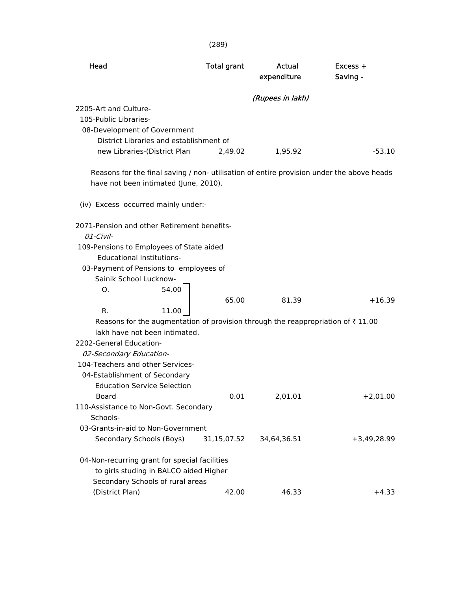| Head                                                                                                                               | <b>Total grant</b> | Actual<br>expenditure | $Excess +$<br>Saving - |
|------------------------------------------------------------------------------------------------------------------------------------|--------------------|-----------------------|------------------------|
|                                                                                                                                    |                    | (Rupees in lakh)      |                        |
| 2205-Art and Culture-                                                                                                              |                    |                       |                        |
| 105-Public Libraries-                                                                                                              |                    |                       |                        |
| 08-Development of Government                                                                                                       |                    |                       |                        |
| District Libraries and establishment of                                                                                            |                    |                       |                        |
| new Libraries-(District Plan                                                                                                       | 2,49.02            | 1,95.92               | $-53.10$               |
| Reasons for the final saving / non- utilisation of entire provision under the above heads<br>have not been intimated (June, 2010). |                    |                       |                        |
| (iv) Excess occurred mainly under:-                                                                                                |                    |                       |                        |
| 2071-Pension and other Retirement benefits-                                                                                        |                    |                       |                        |
| $01$ -Civil-                                                                                                                       |                    |                       |                        |
| 109-Pensions to Employees of State aided                                                                                           |                    |                       |                        |
| <b>Educational Institutions-</b>                                                                                                   |                    |                       |                        |
| 03-Payment of Pensions to employees of                                                                                             |                    |                       |                        |
| Sainik School Lucknow-                                                                                                             |                    |                       |                        |
| 54.00<br>O.                                                                                                                        |                    |                       |                        |
|                                                                                                                                    | 65.00              | 81.39                 | $+16.39$               |
| R.<br>11.00                                                                                                                        |                    |                       |                        |
| Reasons for the augmentation of provision through the reappropriation of $\bar{\tau}$ 11.00<br>lakh have not been intimated.       |                    |                       |                        |
| 2202-General Education-                                                                                                            |                    |                       |                        |
| 02-Secondary Education-                                                                                                            |                    |                       |                        |
| 104-Teachers and other Services-                                                                                                   |                    |                       |                        |
| 04-Establishment of Secondary                                                                                                      |                    |                       |                        |
| <b>Education Service Selection</b>                                                                                                 |                    |                       |                        |
| Board                                                                                                                              | 0.01               | 2,01.01               | $+2,01.00$             |
| 110-Assistance to Non-Govt. Secondary                                                                                              |                    |                       |                        |
| Schools-                                                                                                                           |                    |                       |                        |
| 03-Grants-in-aid to Non-Government                                                                                                 |                    |                       |                        |
| Secondary Schools (Boys)                                                                                                           | 31,15,07.52        | 34,64,36.51           | $+3,49,28.99$          |
| 04-Non-recurring grant for special facilities<br>to girls studing in BALCO aided Higher<br>Secondary Schools of rural areas        |                    |                       |                        |
| (District Plan)                                                                                                                    | 42.00              | 46.33                 | $+4.33$                |

(289)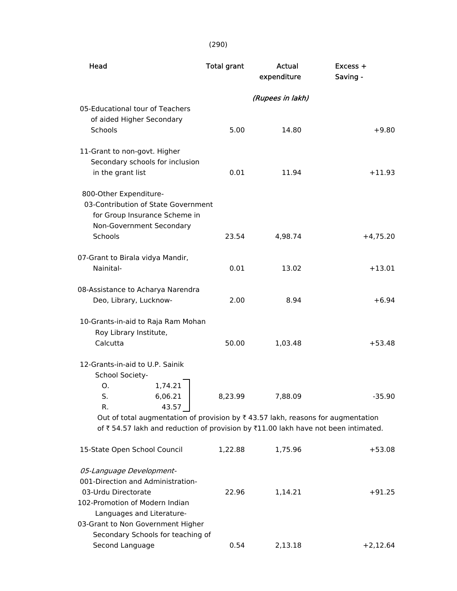### (290)

| Head                                                                              | <b>Total grant</b> | <b>Actual</b><br>expenditure | Excess +<br>Saving - |
|-----------------------------------------------------------------------------------|--------------------|------------------------------|----------------------|
|                                                                                   |                    | (Rupees in lakh)             |                      |
| 05-Educational tour of Teachers                                                   |                    |                              |                      |
| of aided Higher Secondary                                                         |                    |                              |                      |
| Schools                                                                           | 5.00               | 14.80                        | $+9.80$              |
| 11-Grant to non-govt. Higher                                                      |                    |                              |                      |
| Secondary schools for inclusion                                                   |                    |                              |                      |
| in the grant list                                                                 | 0.01               | 11.94                        | $+11.93$             |
| 800-Other Expenditure-                                                            |                    |                              |                      |
| 03-Contribution of State Government                                               |                    |                              |                      |
| for Group Insurance Scheme in                                                     |                    |                              |                      |
| Non-Government Secondary                                                          |                    |                              |                      |
| <b>Schools</b>                                                                    | 23.54              | 4,98.74                      | $+4,75.20$           |
| 07-Grant to Birala vidya Mandir,                                                  |                    |                              |                      |
| Nainital-                                                                         | 0.01               | 13.02                        | $+13.01$             |
| 08-Assistance to Acharya Narendra                                                 |                    |                              |                      |
| Deo, Library, Lucknow-                                                            | 2.00               | 8.94                         | $+6.94$              |
| 10-Grants-in-aid to Raja Ram Mohan                                                |                    |                              |                      |
| Roy Library Institute,                                                            |                    |                              |                      |
| Calcutta                                                                          | 50.00              | 1,03.48                      | $+53.48$             |
| 12-Grants-in-aid to U.P. Sainik                                                   |                    |                              |                      |
| School Society-                                                                   |                    |                              |                      |
| 1,74.21<br>О.                                                                     |                    |                              |                      |
| S.<br>6,06.21                                                                     | 8,23.99            | 7,88.09                      | $-35.90$             |
| 43.57<br>R.                                                                       |                    |                              |                      |
| Out of total augmentation of provision by ₹43.57 lakh, reasons for augmentation   |                    |                              |                      |
| of ₹54.57 lakh and reduction of provision by ₹11.00 lakh have not been intimated. |                    |                              |                      |
| 15-State Open School Council                                                      | 1,22.88            | 1,75.96                      | $+53.08$             |
| 05-Language Development-                                                          |                    |                              |                      |
| 001-Direction and Administration-                                                 |                    |                              |                      |
| 03-Urdu Directorate                                                               | 22.96              | 1,14.21                      | $+91.25$             |
| 102-Promotion of Modern Indian                                                    |                    |                              |                      |
| Languages and Literature-                                                         |                    |                              |                      |
| 03-Grant to Non Government Higher                                                 |                    |                              |                      |
| Secondary Schools for teaching of                                                 |                    |                              |                      |
| Second Language                                                                   | 0.54               | 2,13.18                      | $+2,12.64$           |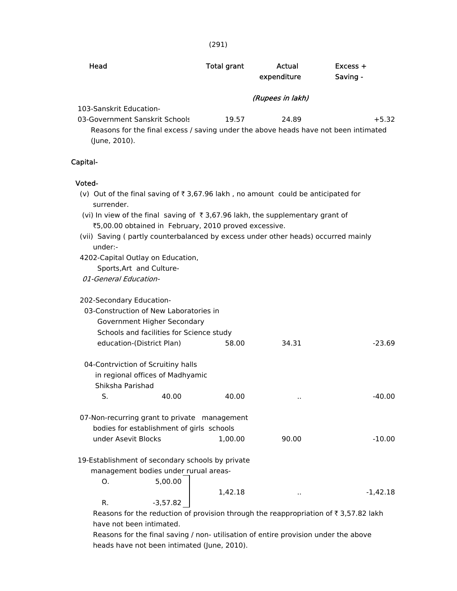| ۰,<br>×<br>×.<br>× |
|--------------------|
|--------------------|

| Head                                                                                                                                                              |            | Total grant | Actual<br>expenditure | $Excess +$<br>Saving - |
|-------------------------------------------------------------------------------------------------------------------------------------------------------------------|------------|-------------|-----------------------|------------------------|
|                                                                                                                                                                   |            |             | (Rupees in lakh)      |                        |
| 103-Sanskrit Education-<br>03-Government Sanskrit Schools<br>Reasons for the final excess / saving under the above heads have not been intimated<br>(June, 2010). |            | 19.57       | 24.89                 | $+5.32$                |
| Capital-                                                                                                                                                          |            |             |                       |                        |
| Voted-                                                                                                                                                            |            |             |                       |                        |
| (v) Out of the final saving of $\overline{\tau}$ 3,67.96 lakh, no amount could be anticipated for<br>surrender.                                                   |            |             |                       |                        |
| (vi) In view of the final saving of ₹3,67.96 lakh, the supplementary grant of<br>₹5,00.00 obtained in February, 2010 proved excessive.                            |            |             |                       |                        |
| (vii) Saving (partly counterbalanced by excess under other heads) occurred mainly<br>under:-                                                                      |            |             |                       |                        |
| 4202-Capital Outlay on Education,<br>Sports, Art and Culture-                                                                                                     |            |             |                       |                        |
| 01-General Education-                                                                                                                                             |            |             |                       |                        |
| 202-Secondary Education-                                                                                                                                          |            |             |                       |                        |
| 03-Construction of New Laboratories in<br>Government Higher Secondary                                                                                             |            |             |                       |                        |
| Schools and facilities for Science study                                                                                                                          |            |             |                       |                        |
| education-(District Plan)                                                                                                                                         |            | 58.00       | 34.31                 | $-23.69$               |
| 04-Contrviction of Scruitiny halls                                                                                                                                |            |             |                       |                        |
| in regional offices of Madhyamic<br>Shiksha Parishad                                                                                                              |            |             |                       |                        |
| S.                                                                                                                                                                | 40.00      | 40.00       | Ω,                    | $-40.00$               |
| 07-Non-recurring grant to private management                                                                                                                      |            |             |                       |                        |
| bodies for establishment of girls schools                                                                                                                         |            |             |                       |                        |
| under Asevit Blocks                                                                                                                                               |            | 1,00.00     | 90.00                 | $-10.00$               |
| 19-Establishment of secondary schools by private                                                                                                                  |            |             |                       |                        |
| management bodies under rurual areas-<br>О.                                                                                                                       | 5,00.00    |             |                       |                        |
|                                                                                                                                                                   |            | 1,42.18     | ٠.                    | $-1,42.18$             |
| R.                                                                                                                                                                | $-3,57.82$ |             |                       |                        |

Reasons for the reduction of provision through the reappropriation of  $\bar{\tau}$  3,57.82 lakh have not been intimated.

 Reasons for the final saving / non- utilisation of entire provision under the above heads have not been intimated (June, 2010).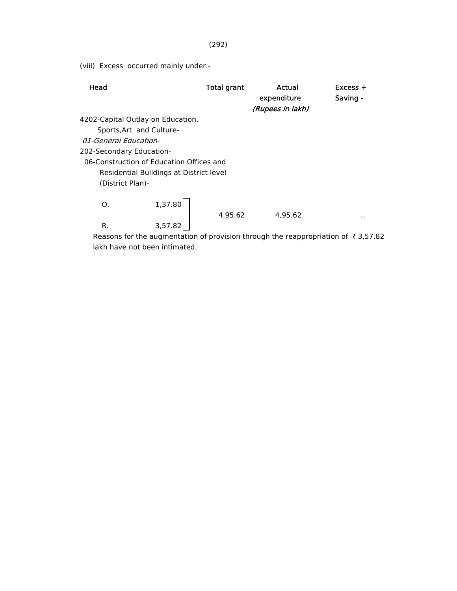(viii) Excess occurred mainly under:-

| Head                                                                                                    | <b>Total grant</b> | Actual<br>expenditure<br>(Rupees in lakh) | $Excess +$<br>Saving - |
|---------------------------------------------------------------------------------------------------------|--------------------|-------------------------------------------|------------------------|
| 4202-Capital Outlay on Education,                                                                       |                    |                                           |                        |
| Sports, Art and Culture-                                                                                |                    |                                           |                        |
| <i>01-General Education-</i>                                                                            |                    |                                           |                        |
| 202-Secondary Education-                                                                                |                    |                                           |                        |
| 06-Construction of Education Offices and<br>Residential Buildings at District level<br>(District Plan)- |                    |                                           |                        |
| 1,37.80<br>O.                                                                                           | 4.95.62            | 4.95.62                                   | . .                    |
| R.<br>3,57.82                                                                                           |                    |                                           |                        |
| Reasons for the augmentation of provision through the reappropriation of $\bar{\tau}$ 3,57.82           |                    |                                           |                        |

lakh have not been intimated.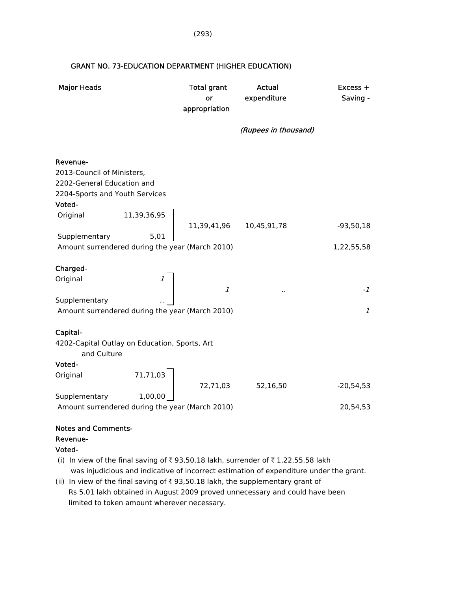| <b>Major Heads</b>                                                                                               | <b>Total grant</b><br>or<br>appropriation | Actual<br>expenditure | Excess +<br>Saving - |
|------------------------------------------------------------------------------------------------------------------|-------------------------------------------|-----------------------|----------------------|
|                                                                                                                  |                                           | (Rupees in thousand)  |                      |
| Revenue-<br>2013-Council of Ministers,<br>2202-General Education and<br>2204-Sports and Youth Services<br>Voted- |                                           |                       |                      |
| 11,39,36,95<br>Original                                                                                          | 11,39,41,96                               | 10,45,91,78           | $-93,50,18$          |
| 5,01<br>Supplementary<br>Amount surrendered during the year (March 2010)                                         |                                           |                       | 1,22,55,58           |
| Charged-<br>Original                                                                                             | $\mathcal{I}$                             |                       | $-1$                 |
| Supplementary<br>Amount surrendered during the year (March 2010)                                                 |                                           |                       | $\mathcal{I}$        |
| Capital-<br>4202-Capital Outlay on Education, Sports, Art<br>and Culture                                         |                                           |                       |                      |
| Voted-<br>71,71,03<br>Original                                                                                   |                                           |                       |                      |
|                                                                                                                  | 72,71,03                                  | 52,16,50              | $-20,54,53$          |
| Supplementary<br>1,00,00<br>Amount surrendered during the year (March 2010)                                      |                                           |                       | 20,54,53             |
| <b>Notes and Comments-</b><br>Revenue-                                                                           |                                           |                       |                      |

#### GRANT NO. 73-EDUCATION DEPARTMENT (HIGHER EDUCATION)

Voted-

(i) In view of the final saving of  $\bar{\tau}$  93,50.18 lakh, surrender of  $\bar{\tau}$  1,22,55.58 lakh was injudicious and indicative of incorrect estimation of expenditure under the grant.

(ii) In view of the final saving of  $\bar{\tau}$  93,50.18 lakh, the supplementary grant of Rs 5.01 lakh obtained in August 2009 proved unnecessary and could have been limited to token amount wherever necessary.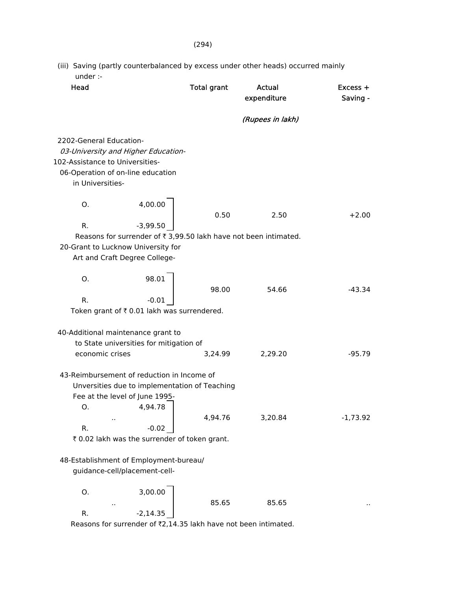(iii) Saving (partly counterbalanced by excess under other heads) occurred mainly under :-

| Head                                                                                                                |                                                                                            | <b>Total grant</b> | <b>Actual</b><br>expenditure                                     | $Excess +$<br>Saving - |
|---------------------------------------------------------------------------------------------------------------------|--------------------------------------------------------------------------------------------|--------------------|------------------------------------------------------------------|------------------------|
|                                                                                                                     |                                                                                            |                    | (Rupees in lakh)                                                 |                        |
| 2202-General Education-<br>102-Assistance to Universities-<br>06-Operation of on-line education<br>in Universities- | 03-University and Higher Education-                                                        |                    |                                                                  |                        |
| O.                                                                                                                  | 4,00.00                                                                                    | 0.50               | 2.50                                                             | $+2.00$                |
| R.                                                                                                                  | $-3,99.50$                                                                                 |                    |                                                                  |                        |
| 20-Grant to Lucknow University for                                                                                  | Art and Craft Degree College-                                                              |                    | Reasons for surrender of ₹ 3,99.50 lakh have not been intimated. |                        |
| O.                                                                                                                  | 98.01                                                                                      | 98.00              | 54.66                                                            | $-43.34$               |
| R.                                                                                                                  | $-0.01$                                                                                    |                    |                                                                  |                        |
|                                                                                                                     | Token grant of ₹ 0.01 lakh was surrendered.                                                |                    |                                                                  |                        |
| 40-Additional maintenance grant to                                                                                  |                                                                                            |                    |                                                                  |                        |
|                                                                                                                     | to State universities for mitigation of                                                    |                    |                                                                  |                        |
| economic crises                                                                                                     |                                                                                            | 3,24.99            | 2,29.20                                                          | $-95.79$               |
| 43-Reimbursement of reduction in Income of<br>O.                                                                    | Unversities due to implementation of Teaching<br>Fee at the level of June 1995-<br>4,94.78 |                    |                                                                  |                        |
| R.                                                                                                                  | $-0.02$                                                                                    | 4,94.76            | 3,20.84                                                          | $-1,73.92$             |
|                                                                                                                     | ₹ 0.02 lakh was the surrender of token grant.                                              |                    |                                                                  |                        |
| 48-Establishment of Employment-bureau/                                                                              | guidance-cell/placement-cell-                                                              |                    |                                                                  |                        |
| 0.                                                                                                                  | 3,00.00                                                                                    | 85.65              | 85.65                                                            |                        |
| R.                                                                                                                  | $-2,14.35$                                                                                 |                    |                                                                  |                        |

Reasons for surrender of  $\sqrt[3]{2,14.35}$  lakh have not been intimated.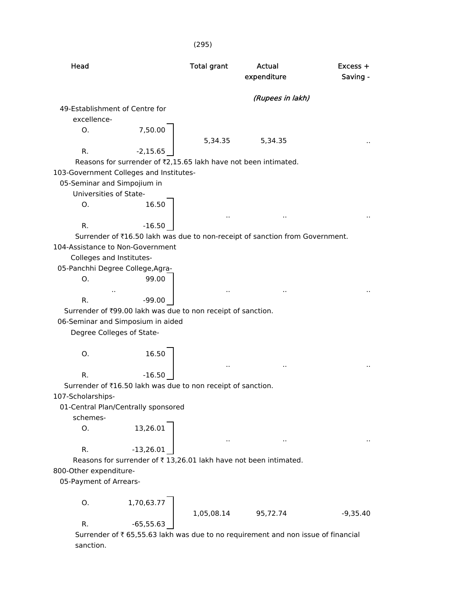(295) Head **Total grant** Actual **Excess +** expenditure Saving - (Rupees in lakh) 49-Establishment of Centre for excellence- O. 7,50.00 5,34.35 ... 5,34.35 R.  $-2,15.65$ Reasons for surrender of  $\bar{z}$ 2,15.65 lakh have not been intimated. 103-Government Colleges and Institutes- 05-Seminar and Simpojium in Universities of State- O. 16.50 .. .. .. R.  $-16.50$ Surrender of ₹16.50 lakh was due to non-receipt of sanction from Government. 104-Assistance to Non-Government Colleges and Institutes- 05-Panchhi Degree College,Agra- O. 99.00 .. .. .. .. R.  $-99.00$ Surrender of ₹99.00 lakh was due to non receipt of sanction. 06-Seminar and Simposium in aided Degree Colleges of State- O. 16.50 .. .. .. R.  $-16.50$ Surrender of  $\bar{\tau}16.50$  lakh was due to non receipt of sanction. 107-Scholarships- 01-Central Plan/Centrally sponsored schemes-  $0. 13,26.01$ .. .. .. R. -13,26.01 Reasons for surrender of  $\bar{\tau}$  13,26.01 lakh have not been intimated. 800-Other expenditure- 05-Payment of Arrears- O. 1,70,63.77 1,05,08.14 95,72.74 -9,35.40 R.  $-65,55.63$ Surrender of  $\bar{\tau}$  65,55.63 lakh was due to no requirement and non issue of financial sanction.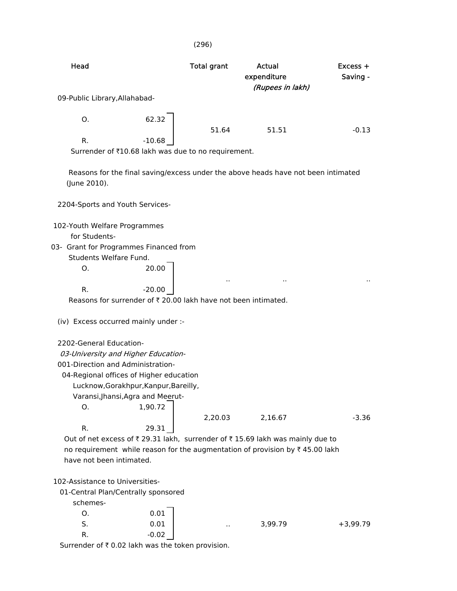| Head                                                                                                                                                                                                                                          | <b>Total grant</b> | <b>Actual</b><br>expenditure<br>(Rupees in lakh) | $Excess +$<br>Saving - |
|-----------------------------------------------------------------------------------------------------------------------------------------------------------------------------------------------------------------------------------------------|--------------------|--------------------------------------------------|------------------------|
| 09-Public Library, Allahabad-                                                                                                                                                                                                                 |                    |                                                  |                        |
| O.                                                                                                                                                                                                                                            | 62.32<br>51.64     | 51.51                                            | $-0.13$                |
| R.<br>$-10.68$<br>Surrender of ₹10.68 lakh was due to no requirement.                                                                                                                                                                         |                    |                                                  |                        |
| Reasons for the final saving/excess under the above heads have not been intimated<br>(June 2010).                                                                                                                                             |                    |                                                  |                        |
| 2204-Sports and Youth Services-                                                                                                                                                                                                               |                    |                                                  |                        |
| 102-Youth Welfare Programmes<br>for Students-<br>03- Grant for Programmes Financed from<br>Students Welfare Fund.<br>O.                                                                                                                       | 20.00              |                                                  |                        |
| R.<br>$-20.00$<br>Reasons for surrender of ₹ 20.00 lakh have not been intimated.                                                                                                                                                              |                    | $\sim$                                           |                        |
| (iv) Excess occurred mainly under :-                                                                                                                                                                                                          |                    |                                                  |                        |
| 2202-General Education-<br>03-University and Higher Education-<br>001-Direction and Administration-<br>04-Regional offices of Higher education<br>Lucknow, Gorakhpur, Kanpur, Bareilly,<br>Varansi, Jhansi, Agra and Meerut-<br>1,90.72<br>О. |                    |                                                  |                        |
|                                                                                                                                                                                                                                               | 2,20.03            | 2,16.67                                          | $-3.36$                |
| R.<br>Out of net excess of ₹ 29.31 lakh, surrender of ₹ 15.69 lakh was mainly due to<br>no requirement while reason for the augmentation of provision by ₹45.00 lakh<br>have not been intimated.                                              | 29.31              |                                                  |                        |
| 102-Assistance to Universities-<br>01-Central Plan/Centrally sponsored<br>schemes-<br>O.                                                                                                                                                      | 0.01               |                                                  |                        |
| S.<br>R.                                                                                                                                                                                                                                      | 0.01<br>$-0.02$    | 3,99.79                                          | $+3,99.79$             |

Surrender of  $\bar{x}$  0.02 lakh was the token provision.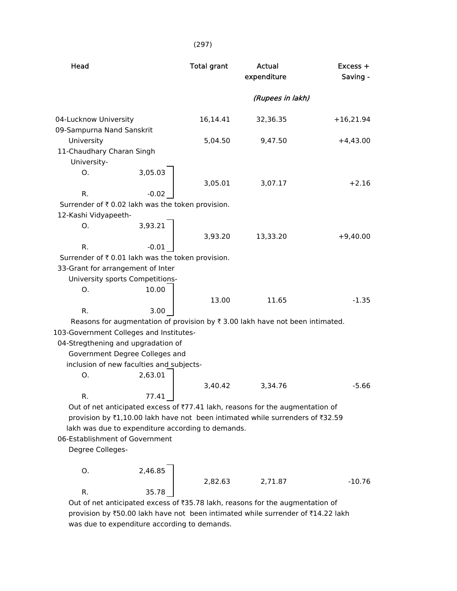| Head                                             |                                                   | <b>Total grant</b> | <b>Actual</b><br>expenditure                                                                  | $Excess +$<br>Saving - |
|--------------------------------------------------|---------------------------------------------------|--------------------|-----------------------------------------------------------------------------------------------|------------------------|
|                                                  |                                                   |                    | (Rupees in lakh)                                                                              |                        |
| 04-Lucknow University                            |                                                   | 16,14.41           | 32,36.35                                                                                      | $+16,21.94$            |
| 09-Sampurna Nand Sanskrit                        |                                                   |                    |                                                                                               |                        |
| University                                       |                                                   | 5,04.50            | 9,47.50                                                                                       | $+4,43.00$             |
| 11-Chaudhary Charan Singh                        |                                                   |                    |                                                                                               |                        |
| University-                                      |                                                   |                    |                                                                                               |                        |
| Ο.                                               | 3,05.03                                           | 3,05.01            | 3,07.17                                                                                       | $+2.16$                |
| R.                                               | $-0.02$                                           |                    |                                                                                               |                        |
| Surrender of ₹0.02 lakh was the token provision. |                                                   |                    |                                                                                               |                        |
| 12-Kashi Vidyapeeth-                             |                                                   |                    |                                                                                               |                        |
| O.                                               | 3,93.21                                           |                    |                                                                                               |                        |
|                                                  |                                                   | 3,93.20            | 13,33.20                                                                                      | $+9,40.00$             |
| R.                                               | $-0.01$                                           |                    |                                                                                               |                        |
| Surrender of ₹0.01 lakh was the token provision. |                                                   |                    |                                                                                               |                        |
| 33-Grant for arrangement of Inter                |                                                   |                    |                                                                                               |                        |
|                                                  | University sports Competitions-                   |                    |                                                                                               |                        |
| Ο.                                               | 10.00                                             |                    |                                                                                               |                        |
|                                                  |                                                   | 13.00              | 11.65                                                                                         | $-1.35$                |
| R.                                               | 3.00                                              |                    |                                                                                               |                        |
|                                                  |                                                   |                    | Reasons for augmentation of provision by $\overline{\tau}$ 3.00 lakh have not been intimated. |                        |
| 103-Government Colleges and Institutes-          |                                                   |                    |                                                                                               |                        |
| 04-Stregthening and upgradation of               |                                                   |                    |                                                                                               |                        |
|                                                  | Government Degree Colleges and                    |                    |                                                                                               |                        |
|                                                  | inclusion of new faculties and subjects-          |                    |                                                                                               |                        |
| О.                                               | 2,63.01                                           |                    |                                                                                               |                        |
|                                                  |                                                   | 3,40.42            | 3,34.76                                                                                       | $-5.66$                |
| R.                                               | 77.41                                             |                    |                                                                                               |                        |
|                                                  |                                                   |                    | Out of net anticipated excess of ₹77.41 lakh, reasons for the augmentation of                 |                        |
|                                                  |                                                   |                    | provision by ₹1,10.00 lakh have not been intimated while surrenders of ₹32.59                 |                        |
|                                                  | lakh was due to expenditure according to demands. |                    |                                                                                               |                        |
| 06-Establishment of Government                   |                                                   |                    |                                                                                               |                        |
| Degree Colleges-                                 |                                                   |                    |                                                                                               |                        |
|                                                  |                                                   |                    |                                                                                               |                        |
| O.                                               | 2,46.85                                           |                    |                                                                                               |                        |
|                                                  |                                                   | 2,82.63            | 2,71.87                                                                                       | $-10.76$               |
| R.                                               | 35.78                                             |                    |                                                                                               |                        |

Out of net anticipated excess of ₹35.78 lakh, reasons for the augmentation of provision by ₹50.00 lakh have not been intimated while surrender of ₹14.22 lakh was due to expenditure according to demands.

(297)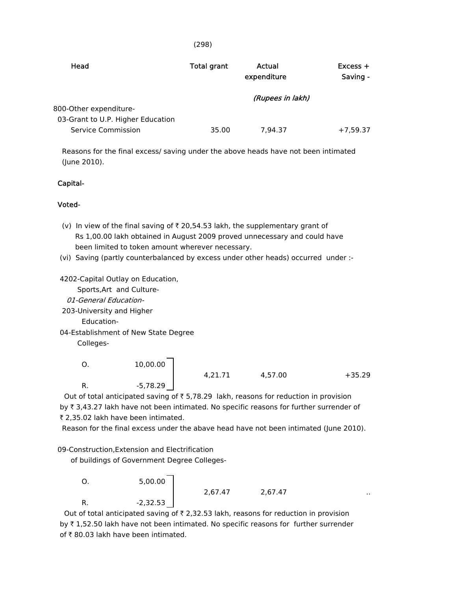| × | × | ×. |
|---|---|----|

| Head                              | Total grant | Actual<br>expenditure | $Excess +$<br>Saving - |
|-----------------------------------|-------------|-----------------------|------------------------|
|                                   |             | (Rupees in lakh)      |                        |
| 800-Other expenditure-            |             |                       |                        |
| 03-Grant to U.P. Higher Education |             |                       |                        |
| Service Commission                | 35.00       | 7.94.37               | $+7,59.37$             |

 Reasons for the final excess/ saving under the above heads have not been intimated (June 2010).

#### Capital-

#### Voted-

- (v) In view of the final saving of  $\bar{\tau}$  20,54.53 lakh, the supplementary grant of Rs 1,00.00 lakh obtained in August 2009 proved unnecessary and could have been limited to token amount wherever necessary.
- (vi) Saving (partly counterbalanced by excess under other heads) occurred under :-

4202-Capital Outlay on Education,

Sports,Art and Culture-

- 01-General Education-
- 203-University and Higher

Education-

04-Establishment of New State Degree

Colleges-

O. 
$$
10,00.00
$$
  
R.  $-5,78.29$   $4,21.71$   $4,57.00$   $+35.29$ 

2,67.47 2,67.47 ..

Out of total anticipated saving of  $\overline{\xi}$  5,78.29 lakh, reasons for reduction in provision by ₹ 3,43.27 lakh have not been intimated. No specific reasons for further surrender of ₹ 2,35.02 lakh have been intimated.

Reason for the final excess under the abave head have not been intimated (June 2010).

09-Construction,Extension and Electrification

of buildings of Government Degree Colleges-

 O. 5,00.00 R. -2,32.53

Out of total anticipated saving of  $\bar{\tau}$  2,32.53 lakh, reasons for reduction in provision by  $\bar{\tau}$  1,52.50 lakh have not been intimated. No specific reasons for further surrender of  $\bar{\tau}$  80.03 lakh have been intimated.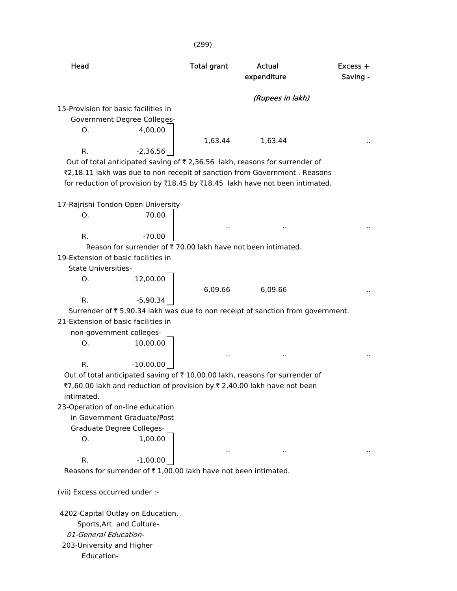|                                                   |                                                                 | (299)              |                                                                                         |          |
|---------------------------------------------------|-----------------------------------------------------------------|--------------------|-----------------------------------------------------------------------------------------|----------|
|                                                   |                                                                 |                    |                                                                                         |          |
| Head                                              |                                                                 | <b>Total grant</b> | <b>Actual</b>                                                                           | Excess + |
|                                                   |                                                                 |                    | expenditure                                                                             | Saving - |
|                                                   |                                                                 |                    | (Rupees in lakh)                                                                        |          |
| 15-Provision for basic facilities in              |                                                                 |                    |                                                                                         |          |
|                                                   | <b>Government Degree Colleges-</b>                              |                    |                                                                                         |          |
| Ο.                                                | 4,00.00                                                         |                    |                                                                                         |          |
|                                                   |                                                                 | 1,63.44            | 1,63.44                                                                                 |          |
| R.                                                | $-2,36.56$                                                      |                    |                                                                                         |          |
|                                                   |                                                                 |                    | Out of total anticipated saving of ₹2,36.56 lakh, reasons for surrender of              |          |
|                                                   |                                                                 |                    | ₹2,18.11 lakh was due to non recepit of sanction from Government. Reasons               |          |
|                                                   |                                                                 |                    | for reduction of provision by ₹18.45 by ₹18.45 lakh have not been intimated.            |          |
|                                                   |                                                                 |                    |                                                                                         |          |
| 17-Rajrishi Tondon Open University-               |                                                                 |                    |                                                                                         |          |
| O.                                                | 70.00                                                           |                    |                                                                                         |          |
|                                                   |                                                                 |                    |                                                                                         |          |
| R.                                                | $-70.00$                                                        |                    | Reason for surrender of ₹70.00 lakh have not been intimated.                            |          |
| 19-Extension of basic facilities in               |                                                                 |                    |                                                                                         |          |
| <b>State Universities-</b>                        |                                                                 |                    |                                                                                         |          |
| O.                                                | 12,00.00                                                        |                    |                                                                                         |          |
|                                                   |                                                                 | 6,09.66            | 6,09.66                                                                                 |          |
| R.                                                | $-5,90.34$                                                      |                    |                                                                                         |          |
|                                                   |                                                                 |                    | Surrender of ₹5,90.34 lakh was due to non receipt of sanction from government.          |          |
| 21-Extension of basic facilities in               |                                                                 |                    |                                                                                         |          |
| non-government colleges-                          |                                                                 |                    |                                                                                         |          |
| О.                                                | 10,00.00                                                        |                    |                                                                                         |          |
|                                                   |                                                                 |                    |                                                                                         |          |
| R.                                                | $-10.00.00$                                                     |                    |                                                                                         |          |
|                                                   |                                                                 |                    | Out of total anticipated saving of $\bar{\tau}$ 10,00.00 lakh, reasons for surrender of |          |
|                                                   |                                                                 |                    | ₹7,60.00 lakh and reduction of provision by ₹ 2,40.00 lakh have not been                |          |
| intimated.                                        |                                                                 |                    |                                                                                         |          |
| 23-Operation of on-line education                 |                                                                 |                    |                                                                                         |          |
|                                                   | in Government Graduate/Post                                     |                    |                                                                                         |          |
| Graduate Degree Colleges-                         |                                                                 |                    |                                                                                         |          |
| О.                                                | 1,00.00                                                         |                    |                                                                                         |          |
|                                                   |                                                                 |                    |                                                                                         |          |
| R.                                                | $-1,00.00$                                                      |                    |                                                                                         |          |
|                                                   | Reasons for surrender of ₹1,00.00 lakh have not been intimated. |                    |                                                                                         |          |
| (vii) Excess occurred under :-                    |                                                                 |                    |                                                                                         |          |
|                                                   |                                                                 |                    |                                                                                         |          |
| 4202-Capital Outlay on Education,                 |                                                                 |                    |                                                                                         |          |
| Sports, Art and Culture-<br>01-General Education- |                                                                 |                    |                                                                                         |          |
|                                                   |                                                                 |                    |                                                                                         |          |
| 203-University and Higher                         |                                                                 |                    |                                                                                         |          |

Education-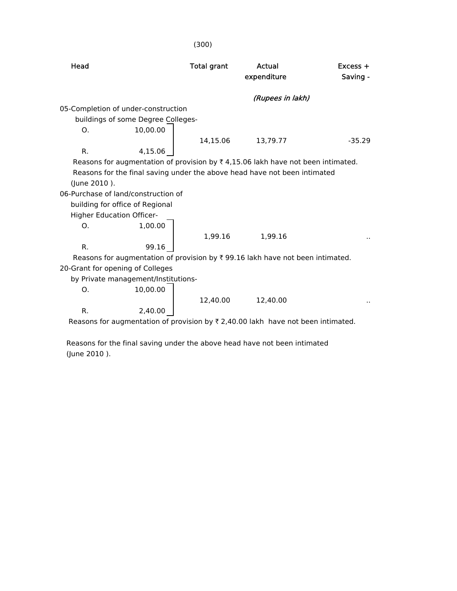|                |                                     | (300)              |                                                                                                  |                        |
|----------------|-------------------------------------|--------------------|--------------------------------------------------------------------------------------------------|------------------------|
| Head           |                                     | <b>Total grant</b> | Actual<br>expenditure                                                                            | $Excess +$<br>Saving - |
|                |                                     |                    | (Rupees in lakh)                                                                                 |                        |
|                | 05-Completion of under-construction |                    |                                                                                                  |                        |
|                | buildings of some Degree Colleges-  |                    |                                                                                                  |                        |
| O.             | 10,00.00                            |                    |                                                                                                  |                        |
|                |                                     | 14,15.06           | 13,79.77                                                                                         | $-35.29$               |
| R.             | 4,15.06                             |                    |                                                                                                  |                        |
|                |                                     |                    | Reasons for augmentation of provision by $\overline{\xi}$ 4,15.06 lakh have not been intimated.  |                        |
|                |                                     |                    | Reasons for the final saving under the above head have not been intimated                        |                        |
| (June 2010).   |                                     |                    |                                                                                                  |                        |
|                | 06-Purchase of land/construction of |                    |                                                                                                  |                        |
|                | building for office of Regional     |                    |                                                                                                  |                        |
|                | <b>Higher Education Officer-</b>    |                    |                                                                                                  |                        |
| O <sub>1</sub> | 1,00.00                             |                    |                                                                                                  |                        |
|                |                                     | 1,99.16            | 1,99.16                                                                                          |                        |
| R.             | 99.16                               |                    |                                                                                                  |                        |
|                |                                     |                    | Reasons for augmentation of provision by ₹ 99.16 lakh have not been intimated.                   |                        |
|                | 20-Grant for opening of Colleges    |                    |                                                                                                  |                        |
|                | by Private management/Institutions- |                    |                                                                                                  |                        |
| O.             | 10,00.00                            |                    |                                                                                                  |                        |
|                |                                     | 12,40.00           | 12,40.00                                                                                         |                        |
| $R_{\cdot}$    | 2,40.00                             |                    |                                                                                                  |                        |
|                |                                     |                    | Reasons for augmentation of provision by $\overline{\tau}$ 2,40.00 lakh have not been intimated. |                        |

 Reasons for the final saving under the above head have not been intimated (June 2010 ).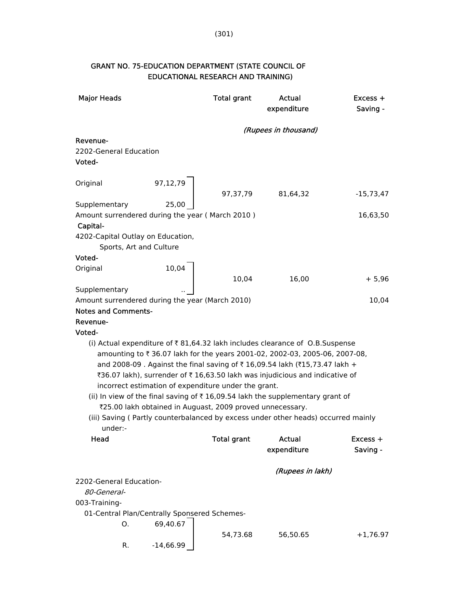| <b>Major Heads</b>                                           |                                                           | <b>Total grant</b> | Actual<br>expenditure                                                                                                                                                                                                                                                                                                  | $Excess +$<br>Saving - |
|--------------------------------------------------------------|-----------------------------------------------------------|--------------------|------------------------------------------------------------------------------------------------------------------------------------------------------------------------------------------------------------------------------------------------------------------------------------------------------------------------|------------------------|
|                                                              |                                                           |                    | (Rupees in thousand)                                                                                                                                                                                                                                                                                                   |                        |
| Revenue-<br>2202-General Education<br>Voted-                 |                                                           |                    |                                                                                                                                                                                                                                                                                                                        |                        |
| Original                                                     | 97,12,79                                                  | 97,37,79           | 81,64,32                                                                                                                                                                                                                                                                                                               | -15,73,47              |
| Supplementary                                                | 25,00                                                     |                    |                                                                                                                                                                                                                                                                                                                        |                        |
| Amount surrendered during the year (March 2010)<br>Capital-  |                                                           |                    |                                                                                                                                                                                                                                                                                                                        | 16,63,50               |
| 4202-Capital Outlay on Education,<br>Sports, Art and Culture |                                                           |                    |                                                                                                                                                                                                                                                                                                                        |                        |
| Voted-                                                       |                                                           |                    |                                                                                                                                                                                                                                                                                                                        |                        |
| Original                                                     | 10,04                                                     | 10,04              |                                                                                                                                                                                                                                                                                                                        |                        |
| Supplementary                                                |                                                           |                    | 16,00                                                                                                                                                                                                                                                                                                                  | $+5,96$                |
| Amount surrendered during the year (March 2010)              |                                                           |                    |                                                                                                                                                                                                                                                                                                                        | 10,04                  |
| <b>Notes and Comments-</b>                                   |                                                           |                    |                                                                                                                                                                                                                                                                                                                        |                        |
| Revenue-                                                     |                                                           |                    |                                                                                                                                                                                                                                                                                                                        |                        |
| Voted-                                                       |                                                           |                    |                                                                                                                                                                                                                                                                                                                        |                        |
|                                                              | incorrect estimation of expenditure under the grant.      |                    | (i) Actual expenditure of ₹81,64.32 lakh includes clearance of O.B.Suspense<br>amounting to ₹36.07 lakh for the years 2001-02, 2002-03, 2005-06, 2007-08,<br>and 2008-09. Against the final saving of ₹16,09.54 lakh (₹15,73.47 lakh +<br>₹36.07 lakh), surrender of ₹ 16,63.50 lakh was injudicious and indicative of |                        |
|                                                              | ₹25.00 lakh obtained in Auguast, 2009 proved unnecessary. |                    | (ii) In view of the final saving of $\bar{\tau}$ 16,09.54 lakh the supplementary grant of                                                                                                                                                                                                                              |                        |
| under:-                                                      |                                                           |                    | (iii) Saving (Partly counterbalanced by excess under other heads) occurred mainly                                                                                                                                                                                                                                      |                        |
| Head                                                         |                                                           | <b>Total grant</b> | Actual<br>expenditure                                                                                                                                                                                                                                                                                                  | $Excess +$<br>Saving - |
|                                                              |                                                           |                    | (Rupees in lakh)                                                                                                                                                                                                                                                                                                       |                        |
| 2202-General Education-<br>80-General-<br>003-Training-      |                                                           |                    |                                                                                                                                                                                                                                                                                                                        |                        |
|                                                              | 01-Central Plan/Centrally Sponsered Schemes-              |                    |                                                                                                                                                                                                                                                                                                                        |                        |
| O.<br>R.                                                     | 69,40.67<br>$-14,66.99$                                   | 54,73.68           | 56,50.65                                                                                                                                                                                                                                                                                                               | $+1,76.97$             |
|                                                              |                                                           |                    |                                                                                                                                                                                                                                                                                                                        |                        |

## GRANT NO. 75-EDUCATION DEPARTMENT (STATE COUNCIL OF EDUCATIONAL RESEARCH AND TRAINING)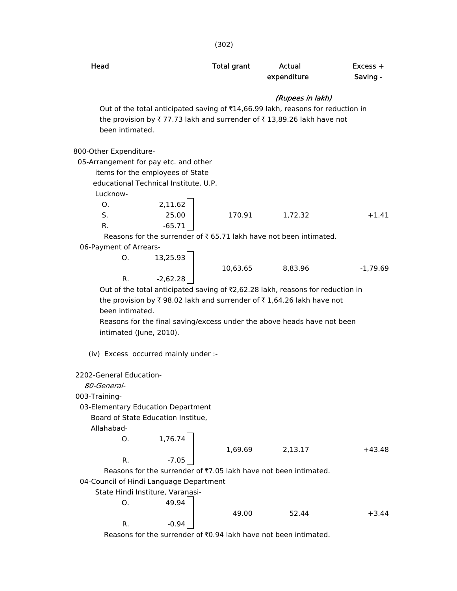| Head                                  |                                         | <b>Total grant</b> | Actual<br>expenditure                                                                               | $Excess +$<br>Saving - |
|---------------------------------------|-----------------------------------------|--------------------|-----------------------------------------------------------------------------------------------------|------------------------|
|                                       |                                         |                    | (Rupees in lakh)<br>Out of the total anticipated saving of ₹14,66.99 lakh, reasons for reduction in |                        |
| been intimated.                       |                                         |                    | the provision by ₹77.73 lakh and surrender of ₹13,89.26 lakh have not                               |                        |
| 800-Other Expenditure-                |                                         |                    |                                                                                                     |                        |
| 05-Arrangement for pay etc. and other |                                         |                    |                                                                                                     |                        |
|                                       | items for the employees of State        |                    |                                                                                                     |                        |
|                                       | educational Technical Institute, U.P.   |                    |                                                                                                     |                        |
| Lucknow-                              |                                         |                    |                                                                                                     |                        |
| O.                                    | 2,11.62                                 |                    |                                                                                                     |                        |
| S.                                    | 25.00                                   | 170.91             | 1,72.32                                                                                             | $+1.41$                |
| R.                                    | $-65.71$                                |                    |                                                                                                     |                        |
|                                       |                                         |                    | Reasons for the surrender of ₹65.71 lakh have not been intimated.                                   |                        |
| 06-Payment of Arrears-                |                                         |                    |                                                                                                     |                        |
| O.                                    | 13,25.93                                |                    |                                                                                                     |                        |
|                                       |                                         | 10,63.65           | 8,83.96                                                                                             | $-1,79.69$             |
| R.                                    | $-2,62.28$                              |                    |                                                                                                     |                        |
|                                       |                                         |                    | Out of the total anticipated saving of ₹2,62.28 lakh, reasons for reduction in                      |                        |
|                                       |                                         |                    | the provision by ₹ 98.02 lakh and surrender of ₹ 1,64.26 lakh have not                              |                        |
| been intimated.                       |                                         |                    |                                                                                                     |                        |
|                                       |                                         |                    | Reasons for the final saving/excess under the above heads have not been                             |                        |
| intimated (June, 2010).               |                                         |                    |                                                                                                     |                        |
|                                       |                                         |                    |                                                                                                     |                        |
|                                       | (iv) Excess occurred mainly under :-    |                    |                                                                                                     |                        |
| 2202-General Education-               |                                         |                    |                                                                                                     |                        |
| <i>80-General-</i>                    |                                         |                    |                                                                                                     |                        |
| 003-Training-                         |                                         |                    |                                                                                                     |                        |
|                                       | 03-Elementary Education Department      |                    |                                                                                                     |                        |
|                                       | Board of State Education Institue,      |                    |                                                                                                     |                        |
| Allahabad-                            |                                         |                    |                                                                                                     |                        |
| O.                                    | 1,76.74                                 |                    |                                                                                                     |                        |
|                                       |                                         |                    |                                                                                                     | $+43.48$               |
| R.                                    | $-7.05$                                 | 1,69.69            | 2,13.17                                                                                             |                        |
|                                       |                                         |                    | Reasons for the surrender of ₹7.05 lakh have not been intimated.                                    |                        |
|                                       |                                         |                    |                                                                                                     |                        |
|                                       | 04-Council of Hindi Language Department |                    |                                                                                                     |                        |
|                                       | State Hindi Institure, Varanasi-        |                    |                                                                                                     |                        |
| Ο.                                    | 49.94                                   |                    |                                                                                                     |                        |
| R.                                    | $-0.94$                                 | 49.00              | 52.44                                                                                               | $+3.44$                |
|                                       |                                         |                    |                                                                                                     |                        |
|                                       |                                         |                    | Reasons for the surrender of ₹0.94 lakh have not been intimated.                                    |                        |

(302)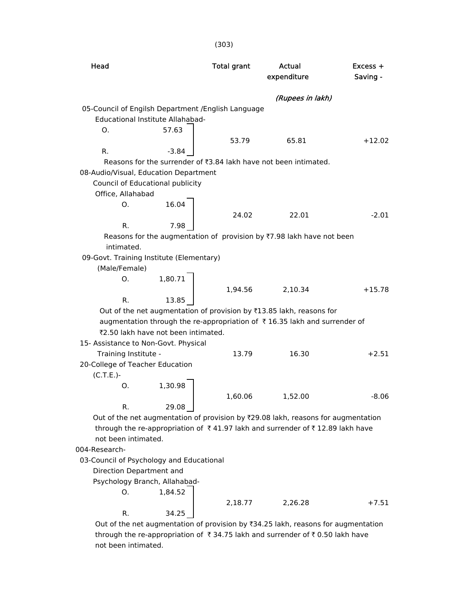| Head                                                |                                     | <b>Total grant</b> | <b>Actual</b>                                                                     | Excess + |
|-----------------------------------------------------|-------------------------------------|--------------------|-----------------------------------------------------------------------------------|----------|
|                                                     |                                     |                    | expenditure                                                                       | Saving - |
|                                                     |                                     |                    | (Rupees in lakh)                                                                  |          |
| 05-Council of Engilsh Department / English Language |                                     |                    |                                                                                   |          |
|                                                     | Educational Institute Allahabad-    |                    |                                                                                   |          |
| Ο.                                                  | 57.63                               |                    |                                                                                   |          |
|                                                     |                                     | 53.79              | 65.81                                                                             | $+12.02$ |
| R.                                                  | $-3.84$                             |                    |                                                                                   |          |
|                                                     |                                     |                    | Reasons for the surrender of ₹3.84 lakh have not been intimated.                  |          |
| 08-Audio/Visual, Education Department               |                                     |                    |                                                                                   |          |
|                                                     | Council of Educational publicity    |                    |                                                                                   |          |
| Office, Allahabad                                   |                                     |                    |                                                                                   |          |
| O.                                                  | 16.04                               |                    |                                                                                   |          |
|                                                     |                                     | 24.02              | 22.01                                                                             | $-2.01$  |
| R.                                                  | 7.98                                |                    |                                                                                   |          |
|                                                     |                                     |                    | Reasons for the augmentation of provision by ₹7.98 lakh have not been             |          |
| intimated.                                          |                                     |                    |                                                                                   |          |
| 09-Govt. Training Institute (Elementary)            |                                     |                    |                                                                                   |          |
| (Male/Female)<br>Ο.                                 | 1,80.71                             |                    |                                                                                   |          |
|                                                     |                                     | 1,94.56            | 2,10.34                                                                           | $+15.78$ |
| R.                                                  | 13.85                               |                    |                                                                                   |          |
|                                                     |                                     |                    | Out of the net augmentation of provision by ₹13.85 lakh, reasons for              |          |
|                                                     |                                     |                    | augmentation through the re-appropriation of ₹16.35 lakh and surrender of         |          |
|                                                     | ₹2.50 lakh have not been intimated. |                    |                                                                                   |          |
| 15- Assistance to Non-Govt. Physical                |                                     |                    |                                                                                   |          |
| Training Institute -                                |                                     | 13.79              | 16.30                                                                             | $+2.51$  |
| 20-College of Teacher Education                     |                                     |                    |                                                                                   |          |
| $(C.T.E.)-$                                         |                                     |                    |                                                                                   |          |
| О.                                                  | 1,30.98                             |                    |                                                                                   |          |
|                                                     |                                     | 1,60.06            | 1,52.00                                                                           | -8.06    |
| R.                                                  | 29.08                               |                    |                                                                                   |          |
|                                                     |                                     |                    | Out of the net augmentation of provision by ₹29.08 lakh, reasons for augmentation |          |
|                                                     |                                     |                    | through the re-appropriation of ₹41.97 lakh and surrender of ₹12.89 lakh have     |          |
| not been intimated.                                 |                                     |                    |                                                                                   |          |
| 004-Research-                                       |                                     |                    |                                                                                   |          |
| 03-Council of Psychology and Educational            |                                     |                    |                                                                                   |          |
| Direction Department and                            |                                     |                    |                                                                                   |          |
|                                                     | Psychology Branch, Allahabad-       |                    |                                                                                   |          |
| O.                                                  | 1,84.52                             |                    |                                                                                   |          |
|                                                     |                                     | 2,18.77            | 2,26.28                                                                           | $+7.51$  |
| R.                                                  | 34.25                               |                    |                                                                                   |          |
|                                                     |                                     |                    | Out of the net augmentation of provision by ₹34.25 lakh, reasons for augmentation |          |

through the re-appropriation of  $\bar{\tau}$  34.75 lakh and surrender of  $\bar{\tau}$  0.50 lakh have not been intimated.

(303)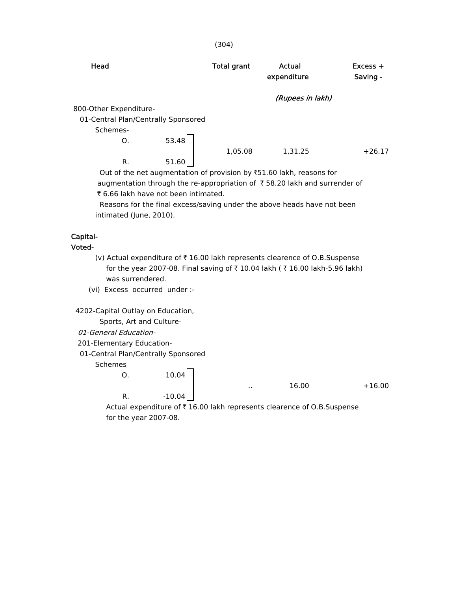| Head                                |       | <b>Total grant</b> | Actual<br>expenditure                                                                        | $Excess +$<br>Saving - |
|-------------------------------------|-------|--------------------|----------------------------------------------------------------------------------------------|------------------------|
|                                     |       |                    | (Rupees in lakh)                                                                             |                        |
| 800-Other Expenditure-              |       |                    |                                                                                              |                        |
| 01-Central Plan/Centrally Sponsored |       |                    |                                                                                              |                        |
| Schemes-                            |       |                    |                                                                                              |                        |
| O.                                  | 53.48 |                    |                                                                                              |                        |
|                                     |       | 1,05.08            | 1,31.25                                                                                      | $+26.17$               |
| R.                                  | 51.60 |                    |                                                                                              |                        |
|                                     |       |                    | $Q_{ijk}$ of the net currentesting of grounds at $\mathbb{R}^{n}$ 1.00 let $k$ is access for |                        |

Out of the net augmentation of provision by  $\text{\texttt{F51.60}}$  lakh, reasons for augmentation through the re-appropriation of  $\bar{\tau}$  58.20 lakh and surrender of ₹ 6.66 lakh have not been intimated.

 Reasons for the final excess/saving under the above heads have not been intimated (June, 2010).

#### Capital-

Voted-

- (v) Actual expenditure of  $\bar{\tau}$  16.00 lakh represents clearence of O.B.Suspense for the year 2007-08. Final saving of ₹10.04 lakh ( ₹16.00 lakh-5.96 lakh) was surrendered.
- (vi) Excess occurred under :-

4202-Capital Outlay on Education,

Sports, Art and Culture-

- 01-General Education-
- 201-Elementary Education-
- 01-Central Plan/Centrally Sponsored

#### Schemes

O. 10.04

R. -10.04

 $16.00 +16.00$ 

Actual expenditure of  $\bar{\tau}$  16.00 lakh represents clearence of O.B.Suspense for the year 2007-08.

(304)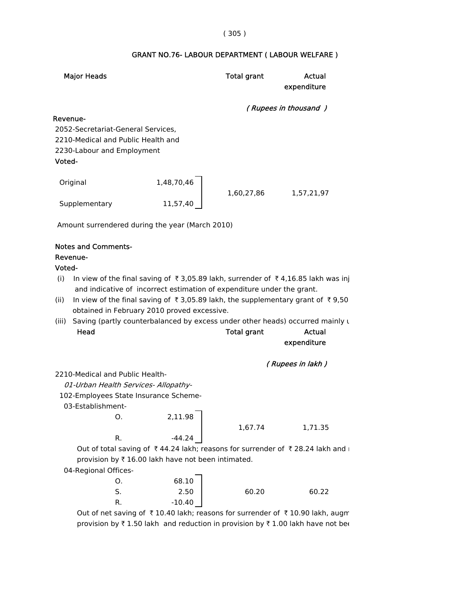#### ( 305 )

# GRANT NO.76- LABOUR DEPARTMENT ( LABOUR WELFARE )

| <b>Major Heads</b>                                                                                                                                                                                                                                                                                                                                                                                                                                               |                   | <b>Total grant</b> | Actual<br>expenditure |
|------------------------------------------------------------------------------------------------------------------------------------------------------------------------------------------------------------------------------------------------------------------------------------------------------------------------------------------------------------------------------------------------------------------------------------------------------------------|-------------------|--------------------|-----------------------|
|                                                                                                                                                                                                                                                                                                                                                                                                                                                                  |                   |                    | (Rupees in thousand)  |
| Revenue-<br>2052-Secretariat-General Services,<br>2210-Medical and Public Health and<br>2230-Labour and Employment<br>Voted-                                                                                                                                                                                                                                                                                                                                     |                   |                    |                       |
| Original                                                                                                                                                                                                                                                                                                                                                                                                                                                         | 1,48,70,46        | 1,60,27,86         | 1,57,21,97            |
| Supplementary                                                                                                                                                                                                                                                                                                                                                                                                                                                    | 11,57,40          |                    |                       |
| Amount surrendered during the year (March 2010)                                                                                                                                                                                                                                                                                                                                                                                                                  |                   |                    |                       |
| <b>Notes and Comments-</b><br>Revenue-<br>Voted-<br>In view of the final saving of ₹3,05.89 lakh, surrender of ₹4,16.85 lakh was inj<br>(i)<br>and indicative of incorrect estimation of expenditure under the grant.<br>In view of the final saving of ₹3,05.89 lakh, the supplementary grant of ₹9,50<br>(ii)<br>obtained in February 2010 proved excessive.<br>Saving (partly counterbalanced by excess under other heads) occurred mainly L<br>(iii)<br>Head |                   | <b>Total grant</b> | Actual<br>expenditure |
|                                                                                                                                                                                                                                                                                                                                                                                                                                                                  |                   |                    | (Rupees in lakh)      |
| 2210-Medical and Public Health-<br>01-Urban Health Services- Allopathy-<br>102-Employees State Insurance Scheme-<br>03-Establishment-<br>Ο.                                                                                                                                                                                                                                                                                                                      | 2,11.98           |                    |                       |
|                                                                                                                                                                                                                                                                                                                                                                                                                                                                  |                   | 1,67.74            | 1,71.35               |
| R.<br>Out of total saving of ₹44.24 lakh; reasons for surrender of ₹28.24 lakh and i<br>provision by ₹16.00 lakh have not been intimated.<br>04-Regional Offices-<br>0.                                                                                                                                                                                                                                                                                          | $-44.24$<br>68.10 |                    |                       |
| S.<br>R.                                                                                                                                                                                                                                                                                                                                                                                                                                                         | 2.50<br>$-10.40$  | 60.20              | 60.22                 |

Out of net saving of  $\bar{\tau}$  10.40 lakh; reasons for surrender of  $\bar{\tau}$  10.90 lakh, augm provision by  $\bar{\tau}$  1.50 lakh and reduction in provision by  $\bar{\tau}$  1.00 lakh have not bee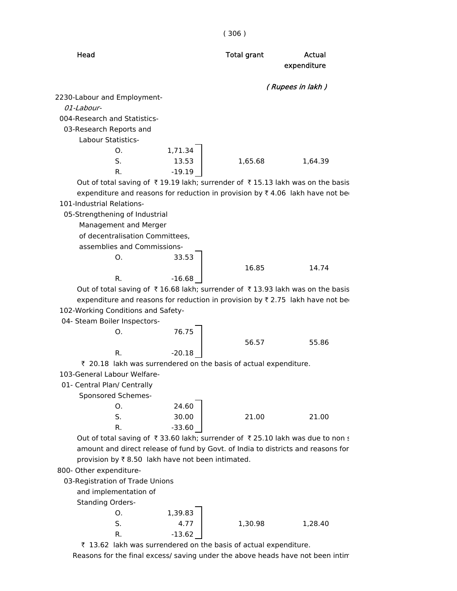|                                                                                  |          | (306)              |                  |
|----------------------------------------------------------------------------------|----------|--------------------|------------------|
| Head                                                                             |          | <b>Total grant</b> | Actual           |
|                                                                                  |          |                    | expenditure      |
|                                                                                  |          |                    |                  |
| 2230-Labour and Employment-                                                      |          |                    | (Rupees in lakh) |
| 01-Labour-                                                                       |          |                    |                  |
| 004-Research and Statistics-                                                     |          |                    |                  |
| 03-Research Reports and                                                          |          |                    |                  |
| Labour Statistics-                                                               |          |                    |                  |
| Ο.                                                                               | 1,71.34  |                    |                  |
| S.                                                                               | 13.53    | 1,65.68            | 1,64.39          |
| R.                                                                               | $-19.19$ |                    |                  |
| Out of total saving of ₹19.19 lakh; surrender of ₹15.13 lakh was on the basis    |          |                    |                  |
| expenditure and reasons for reduction in provision by ₹4.06 lakh have not be     |          |                    |                  |
| 101-Industrial Relations-                                                        |          |                    |                  |
| 05-Strengthening of Industrial                                                   |          |                    |                  |
| Management and Merger                                                            |          |                    |                  |
| of decentralisation Committees,                                                  |          |                    |                  |
| assemblies and Commissions-                                                      |          |                    |                  |
| Ο.                                                                               | 33.53    |                    |                  |
|                                                                                  |          | 16.85              | 14.74            |
| R.                                                                               | $-16.68$ |                    |                  |
| Out of total saving of ₹16.68 lakh; surrender of ₹13.93 lakh was on the basis    |          |                    |                  |
| expenditure and reasons for reduction in provision by ₹2.75 lakh have not be     |          |                    |                  |
| 102-Working Conditions and Safety-                                               |          |                    |                  |
| 04- Steam Boiler Inspectors-                                                     |          |                    |                  |
| Ο.                                                                               | 76.75    |                    |                  |
|                                                                                  |          | 56.57              | 55.86            |
| R.                                                                               | $-20.18$ |                    |                  |
| ₹ 20.18 lakh was surrendered on the basis of actual expenditure.                 |          |                    |                  |
| 103-General Labour Welfare-                                                      |          |                    |                  |
| 01- Central Plan/ Centrally                                                      |          |                    |                  |
| Sponsored Schemes-                                                               |          |                    |                  |
| Ο.                                                                               | 24.60    |                    |                  |
| S.                                                                               | 30.00    | 21.00              | 21.00            |
| R.                                                                               | $-33.60$ |                    |                  |
| Out of total saving of ₹33.60 lakh; surrender of ₹25.10 lakh was due to non s    |          |                    |                  |
| amount and direct release of fund by Govt. of India to districts and reasons for |          |                    |                  |
| provision by ₹8.50 lakh have not been intimated.                                 |          |                    |                  |
| 800- Other expenditure-                                                          |          |                    |                  |
| 03-Registration of Trade Unions                                                  |          |                    |                  |
| and implementation of                                                            |          |                    |                  |
| <b>Standing Orders-</b>                                                          |          |                    |                  |
| O.                                                                               | 1,39.83  |                    |                  |
| S.                                                                               | 4.77     | 1,30.98            | 1,28.40          |
| R.                                                                               | $-13.62$ |                    |                  |

 $\bar{\tau}$  13.62 lakh was surrendered on the basis of actual expenditure.

Reasons for the final excess/ saving under the above heads have not been intim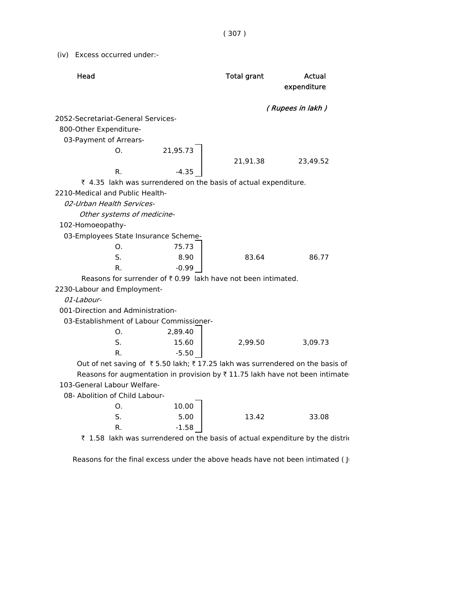( 307 )

(iv) Excess occurred under:-

| Head                                                                          |          | <b>Total grant</b> | Actual<br>expenditure |
|-------------------------------------------------------------------------------|----------|--------------------|-----------------------|
|                                                                               |          |                    | (Rupees in lakh)      |
| 2052-Secretariat-General Services-                                            |          |                    |                       |
| 800-Other Expenditure-                                                        |          |                    |                       |
| 03-Payment of Arrears-                                                        |          |                    |                       |
| Ο.                                                                            | 21,95.73 |                    |                       |
|                                                                               |          | 21,91.38           | 23,49.52              |
| R.                                                                            | $-4.35$  |                    |                       |
| ₹ 4.35 lakh was surrendered on the basis of actual expenditure.               |          |                    |                       |
| 2210-Medical and Public Health-                                               |          |                    |                       |
| 02-Urban Health Services-                                                     |          |                    |                       |
| Other systems of medicine-                                                    |          |                    |                       |
| 102-Homoeopathy-                                                              |          |                    |                       |
| 03-Employees State Insurance Scheme-                                          |          |                    |                       |
| Ο.                                                                            | 75.73    |                    |                       |
| S.                                                                            | 8.90     | 83.64              | 86.77                 |
| $R_{\odot}$                                                                   | $-0.99$  |                    |                       |
| Reasons for surrender of ₹0.99 lakh have not been intimated.                  |          |                    |                       |
| 2230-Labour and Employment-                                                   |          |                    |                       |
| 01-Labour-                                                                    |          |                    |                       |
| 001-Direction and Administration-                                             |          |                    |                       |
| 03-Establishment of Labour Commissioner-                                      |          |                    |                       |
| Ο.                                                                            | 2,89.40  |                    |                       |
| S.                                                                            | 15.60    | 2,99.50            | 3,09.73               |
| R.                                                                            | $-5.50$  |                    |                       |
| Out of net saving of ₹5.50 lakh; ₹17.25 lakh was surrendered on the basis of  |          |                    |                       |
| Reasons for augmentation in provision by ₹11.75 lakh have not been intimate   |          |                    |                       |
| 103-General Labour Welfare-                                                   |          |                    |                       |
| 08- Abolition of Child Labour-                                                |          |                    |                       |
| Ο.                                                                            | 10.00    |                    |                       |
| S.                                                                            | 5.00     | 13.42              | 33.08                 |
| R.                                                                            | $-1.58$  |                    |                       |
| ₹ 1.58 lakh was surrendered on the basis of actual expenditure by the distric |          |                    |                       |

Reasons for the final excess under the above heads have not been intimated ( J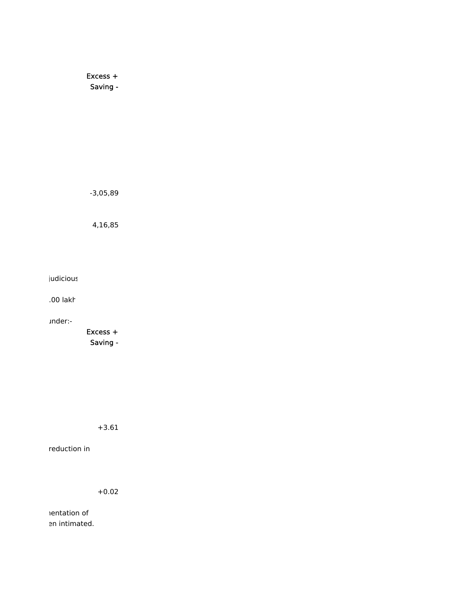Excess + Saving -

-3,05,89

4,16,85

judicious

.00 lakh

under:-

 Excess + Saving -

+3.61

reduction in

+0.02

nentation of en intimated.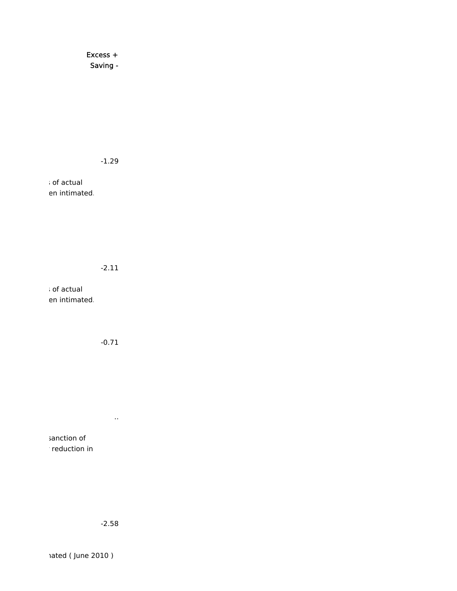Excess + Saving -

-1.29

s of actual en intimated.

#### -2.11

s of actual en intimated.

-0.71

..

sanction of r reduction in

-2.58

mated ( June 2010 )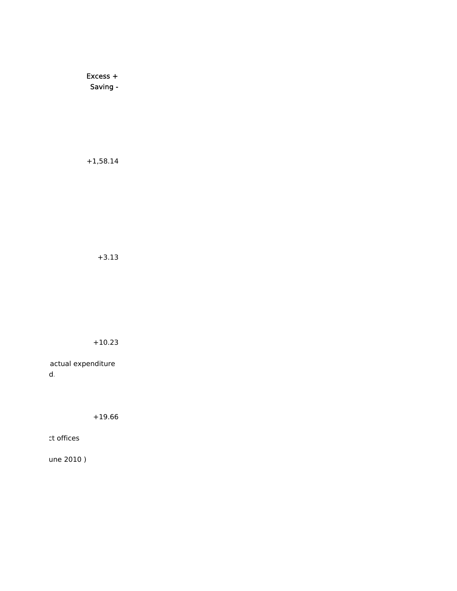Excess + Saving -

+1,58.14

+3.13

+10.23

actual expenditure d.

+19.66

ct offices

une 2010 )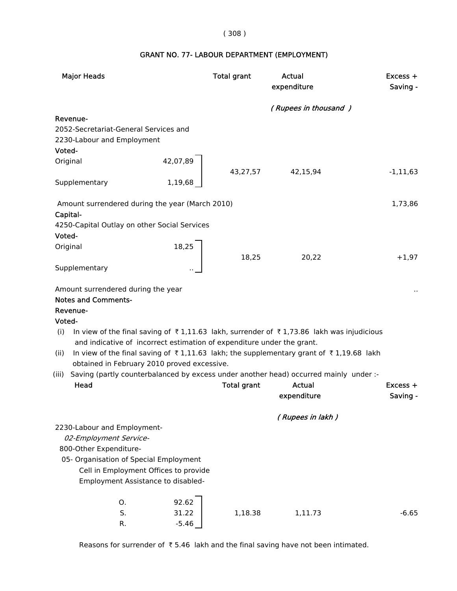#### ( 308 )

# GRANT NO. 77- LABOUR DEPARTMENT (EMPLOYMENT)

| <b>Major Heads</b>                                                                                     |                                      | <b>Total grant</b> | Actual<br>expenditure | $Excess +$<br>Saving - |
|--------------------------------------------------------------------------------------------------------|--------------------------------------|--------------------|-----------------------|------------------------|
|                                                                                                        |                                      |                    | (Rupees in thousand)  |                        |
| Revenue-                                                                                               |                                      |                    |                       |                        |
| 2052-Secretariat-General Services and                                                                  |                                      |                    |                       |                        |
| 2230-Labour and Employment                                                                             |                                      |                    |                       |                        |
| Voted-                                                                                                 |                                      |                    |                       |                        |
| Original                                                                                               | 42,07,89                             |                    |                       |                        |
| Supplementary                                                                                          | 1,19,68                              | 43,27,57           | 42,15,94              | $-1, 11, 63$           |
| Amount surrendered during the year (March 2010)                                                        |                                      |                    |                       | 1,73,86                |
| Capital-                                                                                               |                                      |                    |                       |                        |
| 4250-Capital Outlay on other Social Services                                                           |                                      |                    |                       |                        |
| Voted-                                                                                                 |                                      |                    |                       |                        |
| Original                                                                                               | $\begin{array}{c} 18,25 \end{array}$ |                    |                       |                        |
| Supplementary                                                                                          |                                      | 18,25              | 20,22                 | $+1,97$                |
| Amount surrendered during the year                                                                     |                                      |                    |                       |                        |
| <b>Notes and Comments-</b>                                                                             |                                      |                    |                       |                        |
| Revenue-                                                                                               |                                      |                    |                       |                        |
| Voted-                                                                                                 |                                      |                    |                       |                        |
| In view of the final saving of ₹1,11.63 lakh, surrender of ₹1,73.86 lakh was injudicious<br>(i)        |                                      |                    |                       |                        |
| and indicative of incorrect estimation of expenditure under the grant.                                 |                                      |                    |                       |                        |
| In view of the final saving of ₹1,11.63 lakh; the supplementary grant of ₹1,19.68 lakh<br>(ii)         |                                      |                    |                       |                        |
| obtained in February 2010 proved excessive.                                                            |                                      |                    |                       |                        |
| Saving (partly counterbalanced by excess under another head) occurred mainly under :-<br>(iii)<br>Head |                                      | <b>Total grant</b> | Actual<br>expenditure | $Excess +$<br>Saving - |
|                                                                                                        |                                      |                    | (Rupees in lakh)      |                        |
| 2230-Labour and Employment-                                                                            |                                      |                    |                       |                        |
| 02-Employment Service-                                                                                 |                                      |                    |                       |                        |
| 800-Other Expenditure-                                                                                 |                                      |                    |                       |                        |
| 05- Organisation of Special Employment                                                                 |                                      |                    |                       |                        |
| Cell in Employment Offices to provide                                                                  |                                      |                    |                       |                        |
| Employment Assistance to disabled-                                                                     |                                      |                    |                       |                        |
|                                                                                                        | 92.62                                |                    |                       |                        |
| Ο.<br>S.                                                                                               | 31.22                                | 1,18.38            | 1,11.73               | $-6.65$                |
| R.                                                                                                     | $-5.46$                              |                    |                       |                        |

Reasons for surrender of  $\bar{\tau}$  5.46 lakh and the final saving have not been intimated.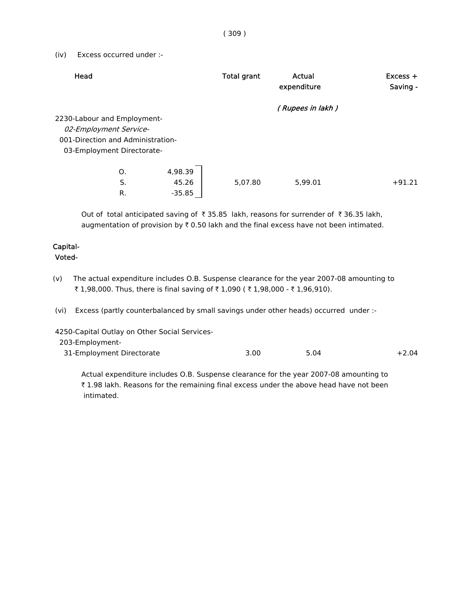( 309 )

(iv) Excess occurred under :-

| Head                              | <b>Total grant</b> | Actual<br>expenditure | $Excess +$<br>Saving - |
|-----------------------------------|--------------------|-----------------------|------------------------|
|                                   |                    | (Rupees in lakh)      |                        |
| 2230-Labour and Employment-       |                    |                       |                        |
| 02-Employment Service-            |                    |                       |                        |
| 001-Direction and Administration- |                    |                       |                        |
| 03-Employment Directorate-        |                    |                       |                        |
|                                   |                    |                       |                        |
| 4,98.39<br>Ο.                     |                    |                       |                        |
| S.<br>45.26                       | 5,07.80            | 5.99.01               | $+91.21$               |
| R.<br>$-35.85$                    |                    |                       |                        |

Out of total anticipated saving of  $\bar{\tau}$  35.85 lakh, reasons for surrender of  $\bar{\tau}$  36.35 lakh, augmentation of provision by  $\bar{\tau}$  0.50 lakh and the final excess have not been intimated.

# Capital-

#### Voted-

- (v) The actual expenditure includes O.B. Suspense clearance for the year 2007-08 amounting to ₹ 1,98,000. Thus, there is final saving of ₹ 1,090 ( ₹ 1,98,000 - ₹ 1,96,910).
- (vi) Excess (partly counterbalanced by small savings under other heads) occurred under :-

4250-Capital Outlay on Other Social Services-

203-Employment-

| 31-Employment Directorate | 3.00 | 5.04<br>$+2.04$ |
|---------------------------|------|-----------------|
|---------------------------|------|-----------------|

 Actual expenditure includes O.B. Suspense clearance for the year 2007-08 amounting to ₹ 1.98 lakh. Reasons for the remaining final excess under the above head have not been intimated.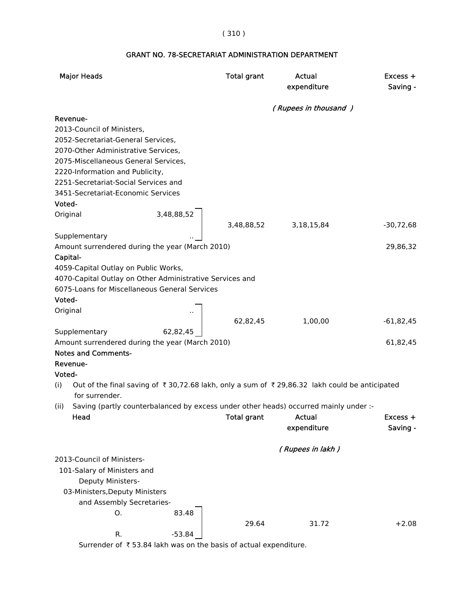#### ( 310 )

# Major Heads **Total grant** Actual Excess + expenditure Saving - ( Rupees in thousand ) Revenue- 2013-Council of Ministers, 2052-Secretariat-General Services, 2070-Other Administrative Services, 2075-Miscellaneous General Services, 2220-Information and Publicity, 2251-Secretariat-Social Services and 3451-Secretariat-Economic Services Voted- Original 3,48,88,52 3,48,88,52 3,18,15,84 -30,72,68 **Supplementary**  Amount surrendered during the year (March 2010) 29,86,32 Capital- 4059-Capital Outlay on Public Works, 4070-Capital Outlay on Other Administrative Services and 6075-Loans for Miscellaneous General Services Voted- **Original** 62,82,45 1,00,00 -61,82,45 Supplementary 62,82,45 Amount surrendered during the year (March 2010) 61,82,45 Notes and Comments- Revenue- Voted- (i) Out of the final saving of  $\bar{\tau}$  30,72.68 lakh, only a sum of  $\bar{\tau}$  29,86.32 lakh could be anticipated for surrender. (ii) Saving (partly counterbalanced by excess under other heads) occurred mainly under :- Head **Total grant** Actual Excess + expenditure Saving - ( Rupees in lakh ) 2013-Council of Ministers- 101-Salary of Ministers and Deputy Ministers- 03-Ministers,Deputy Ministers and Assembly Secretaries-

#### GRANT NO. 78-SECRETARIAT ADMINISTRATION DEPARTMENT

R.  $-53.84$ Surrender of  $\bar{\tau}$  53.84 lakh was on the basis of actual expenditure.

O. 83.48

29.64 31.72 +2.08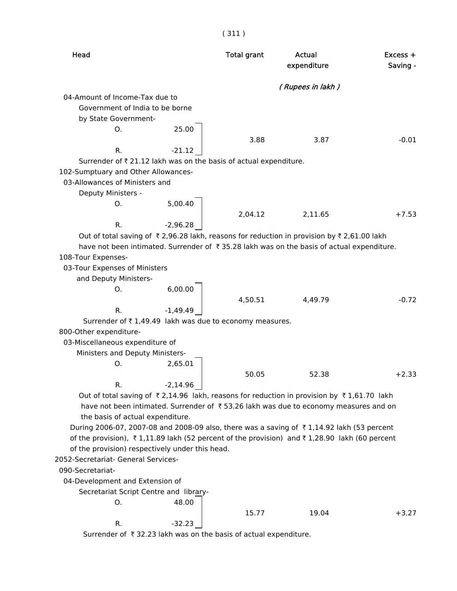| Head                                                                                         | <b>Total grant</b> | Actual<br>expenditure | $Excess +$<br>Saving - |
|----------------------------------------------------------------------------------------------|--------------------|-----------------------|------------------------|
|                                                                                              |                    | (Rupees in lakh)      |                        |
| 04-Amount of Income-Tax due to                                                               |                    |                       |                        |
| Government of India to be borne                                                              |                    |                       |                        |
| by State Government-                                                                         |                    |                       |                        |
| 25.00<br>O.                                                                                  |                    |                       |                        |
|                                                                                              | 3.88               | 3.87                  | $-0.01$                |
| R.<br>$-21.12$                                                                               |                    |                       |                        |
| Surrender of ₹21.12 lakh was on the basis of actual expenditure.                             |                    |                       |                        |
| 102-Sumptuary and Other Allowances-                                                          |                    |                       |                        |
| 03-Allowances of Ministers and                                                               |                    |                       |                        |
| Deputy Ministers -                                                                           |                    |                       |                        |
| 5,00.40<br>0.                                                                                |                    |                       |                        |
|                                                                                              | 2,04.12            | 2,11.65               | $+7.53$                |
| $-2,96.28$<br>R.                                                                             |                    |                       |                        |
| Out of total saving of ₹2,96.28 lakh, reasons for reduction in provision by ₹2,61.00 lakh    |                    |                       |                        |
| have not been intimated. Surrender of ₹35.28 lakh was on the basis of actual expenditure.    |                    |                       |                        |
| 108-Tour Expenses-                                                                           |                    |                       |                        |
| 03-Tour Expenses of Ministers<br>and Deputy Ministers-                                       |                    |                       |                        |
| 6,00.00<br>O.                                                                                |                    |                       |                        |
|                                                                                              | 4,50.51            | 4,49.79               | $-0.72$                |
| $-1,49.49$<br>R.                                                                             |                    |                       |                        |
| Surrender of ₹1,49.49 lakh was due to economy measures.                                      |                    |                       |                        |
| 800-Other expenditure-                                                                       |                    |                       |                        |
| 03-Miscellaneous expenditure of                                                              |                    |                       |                        |
| Ministers and Deputy Ministers-                                                              |                    |                       |                        |
| 2,65.01<br>O.                                                                                |                    |                       |                        |
|                                                                                              | 50.05              | 52.38                 | $+2.33$                |
| $-2,14.96$<br>R.                                                                             |                    |                       |                        |
| Out of total saving of ₹2,14.96 lakh, reasons for reduction in provision by ₹1,61.70 lakh    |                    |                       |                        |
| have not been intimated. Surrender of ₹53.26 lakh was due to economy measures and on         |                    |                       |                        |
| the basis of actual expenditure.                                                             |                    |                       |                        |
| During 2006-07, 2007-08 and 2008-09 also, there was a saving of ₹1,14.92 lakh (53 percent    |                    |                       |                        |
| of the provision), ₹1,11.89 lakh (52 percent of the provision) and ₹1,28.90 lakh (60 percent |                    |                       |                        |
| of the provision) respectively under this head.                                              |                    |                       |                        |
| 2052-Secretariat- General Services-                                                          |                    |                       |                        |
| 090-Secretariat-                                                                             |                    |                       |                        |
| 04-Development and Extension of                                                              |                    |                       |                        |
| Secretariat Script Centre and library-                                                       |                    |                       |                        |
| 48.00<br>0.                                                                                  |                    |                       |                        |
|                                                                                              | 15.77              | 19.04                 | $+3.27$                |
| R.<br>$-32.23$                                                                               |                    |                       |                        |
| Surrender of ₹32.23 lakh was on the basis of actual expenditure.                             |                    |                       |                        |

( 311 )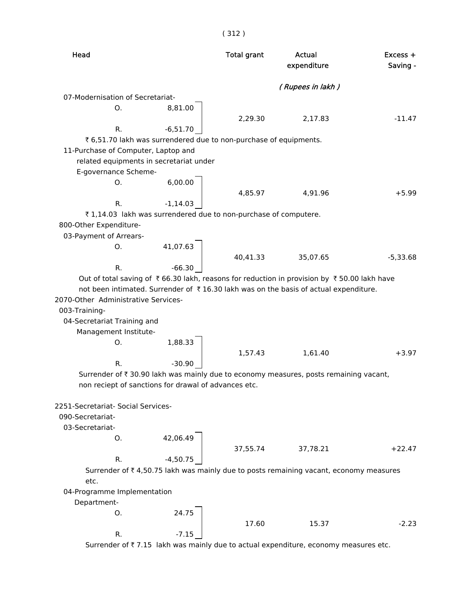| Head                                                 |                        | <b>Total grant</b>                                                | Actual<br>expenditure                                                                      | $Excess +$<br>Saving - |
|------------------------------------------------------|------------------------|-------------------------------------------------------------------|--------------------------------------------------------------------------------------------|------------------------|
|                                                      |                        |                                                                   | (Rupees in lakh)                                                                           |                        |
| 07-Modernisation of Secretariat-                     |                        |                                                                   |                                                                                            |                        |
| O.                                                   | 8,81.00                |                                                                   |                                                                                            |                        |
|                                                      |                        | 2,29.30                                                           | 2,17.83                                                                                    | $-11.47$               |
| R.                                                   | $-6,51.70$             |                                                                   |                                                                                            |                        |
|                                                      |                        | ₹ 6,51.70 lakh was surrendered due to non-purchase of equipments. |                                                                                            |                        |
| 11-Purchase of Computer, Laptop and                  |                        |                                                                   |                                                                                            |                        |
| related equipments in secretariat under              |                        |                                                                   |                                                                                            |                        |
| E-governance Scheme-                                 |                        |                                                                   |                                                                                            |                        |
| Ο.                                                   | 6,00.00                |                                                                   |                                                                                            |                        |
|                                                      |                        | 4,85.97                                                           | 4,91.96                                                                                    | $+5.99$                |
| R.                                                   | $-1,14.03$             |                                                                   |                                                                                            |                        |
|                                                      |                        | ₹1,14.03 lakh was surrendered due to non-purchase of computere.   |                                                                                            |                        |
| 800-Other Expenditure-                               |                        |                                                                   |                                                                                            |                        |
| 03-Payment of Arrears-                               |                        |                                                                   |                                                                                            |                        |
| O.                                                   | 41,07.63               |                                                                   |                                                                                            |                        |
|                                                      |                        | 40,41.33                                                          | 35,07.65                                                                                   | $-5,33.68$             |
| R.                                                   | $-66.30$               |                                                                   |                                                                                            |                        |
|                                                      |                        |                                                                   | Out of total saving of ₹66.30 lakh, reasons for reduction in provision by ₹50.00 lakh have |                        |
|                                                      |                        |                                                                   | not been intimated. Surrender of ₹16.30 lakh was on the basis of actual expenditure.       |                        |
| 2070-Other Administrative Services-                  |                        |                                                                   |                                                                                            |                        |
| 003-Training-                                        |                        |                                                                   |                                                                                            |                        |
| 04-Secretariat Training and                          |                        |                                                                   |                                                                                            |                        |
|                                                      |                        |                                                                   |                                                                                            |                        |
| Management Institute-                                |                        |                                                                   |                                                                                            |                        |
| O.                                                   | 1,88.33                |                                                                   |                                                                                            |                        |
|                                                      |                        | 1,57.43                                                           | 1,61.40                                                                                    | $+3.97$                |
| R.                                                   | $-30.90$               |                                                                   |                                                                                            |                        |
|                                                      |                        |                                                                   | Surrender of ₹30.90 lakh was mainly due to economy measures, posts remaining vacant,       |                        |
| non reciept of sanctions for drawal of advances etc. |                        |                                                                   |                                                                                            |                        |
|                                                      |                        |                                                                   |                                                                                            |                        |
| 2251-Secretariat- Social Services-                   |                        |                                                                   |                                                                                            |                        |
| 090-Secretariat-                                     |                        |                                                                   |                                                                                            |                        |
| 03-Secretariat-                                      |                        |                                                                   |                                                                                            |                        |
| 0.                                                   | $42,06.49$<br>-4,50.75 |                                                                   |                                                                                            |                        |
|                                                      |                        | 37,55.74                                                          | 37,78.21                                                                                   | $+22.47$               |
| R.                                                   |                        |                                                                   |                                                                                            |                        |
|                                                      |                        |                                                                   | Surrender of ₹4,50.75 lakh was mainly due to posts remaining vacant, economy measures      |                        |
| etc.                                                 |                        |                                                                   |                                                                                            |                        |
| 04-Programme Implementation                          |                        |                                                                   |                                                                                            |                        |
| Department-                                          |                        |                                                                   |                                                                                            |                        |
| O.                                                   | 24.75                  |                                                                   |                                                                                            |                        |
|                                                      |                        | 17.60                                                             | 15.37                                                                                      | $-2.23$                |
| R.                                                   | $-7.15$                |                                                                   |                                                                                            |                        |
|                                                      |                        |                                                                   | Surrender of ₹7.15 lakh was mainly due to actual expenditure, economy measures etc.        |                        |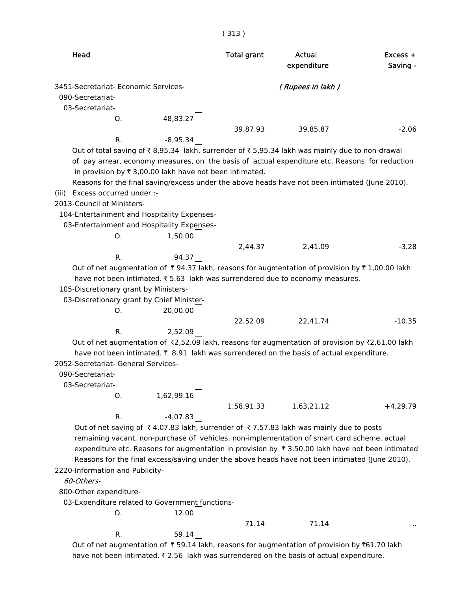| Head                                            |                                                         | <b>Total grant</b> | Actual<br>expenditure                                                                                                                                                                                  | $Excess +$<br>Saving - |
|-------------------------------------------------|---------------------------------------------------------|--------------------|--------------------------------------------------------------------------------------------------------------------------------------------------------------------------------------------------------|------------------------|
| 3451-Secretariat- Economic Services-            |                                                         |                    | (Rupees in lakh)                                                                                                                                                                                       |                        |
| 090-Secretariat-                                |                                                         |                    |                                                                                                                                                                                                        |                        |
| 03-Secretariat-                                 |                                                         |                    |                                                                                                                                                                                                        |                        |
| O.                                              | 48,83.27                                                |                    |                                                                                                                                                                                                        |                        |
|                                                 |                                                         | 39,87.93           | 39,85.87                                                                                                                                                                                               | $-2.06$                |
| R.                                              | $-8,95.34$                                              |                    |                                                                                                                                                                                                        |                        |
|                                                 |                                                         |                    | Out of total saving of ₹8,95.34 lakh, surrender of ₹5,95.34 lakh was mainly due to non-drawal                                                                                                          |                        |
|                                                 |                                                         |                    | of pay arrear, economy measures, on the basis of actual expenditure etc. Reasons for reduction                                                                                                         |                        |
|                                                 | in provision by ₹ 3,00.00 lakh have not been intimated. |                    |                                                                                                                                                                                                        |                        |
|                                                 |                                                         |                    | Reasons for the final saving/excess under the above heads have not been intimated (June 2010).                                                                                                         |                        |
| Excess occurred under :-<br>(iii)               |                                                         |                    |                                                                                                                                                                                                        |                        |
| 2013-Council of Ministers-                      |                                                         |                    |                                                                                                                                                                                                        |                        |
| 104-Entertainment and Hospitality Expenses-     |                                                         |                    |                                                                                                                                                                                                        |                        |
| 03-Entertainment and Hospitality Expenses-      |                                                         |                    |                                                                                                                                                                                                        |                        |
| Ο.                                              | 1,50.00                                                 |                    |                                                                                                                                                                                                        |                        |
|                                                 |                                                         | 2,44.37            | 2,41.09                                                                                                                                                                                                | $-3.28$                |
| $R_{\cdot}$                                     | 94.37                                                   |                    |                                                                                                                                                                                                        |                        |
|                                                 |                                                         |                    | Out of net augmentation of $\bar{\tau}$ 94.37 lakh, reasons for augmentation of provision by $\bar{\tau}$ 1,00.00 lakh<br>have not been intimated. ₹5.63 lakh was surrendered due to economy measures. |                        |
| 105-Discretionary grant by Ministers-           |                                                         |                    |                                                                                                                                                                                                        |                        |
| 03-Discretionary grant by Chief Minister-       |                                                         |                    |                                                                                                                                                                                                        |                        |
| O.                                              | 20,00.00                                                |                    |                                                                                                                                                                                                        |                        |
|                                                 |                                                         | 22,52.09           | 22,41.74                                                                                                                                                                                               | $-10.35$               |
| R.                                              | 2,52.09                                                 |                    |                                                                                                                                                                                                        |                        |
|                                                 |                                                         |                    | Out of net augmentation of $\overline{x}$ 2,52.09 lakh, reasons for augmentation of provision by $\overline{x}$ 2,61.00 lakh                                                                           |                        |
|                                                 |                                                         |                    | have not been intimated. ₹ 8.91 lakh was surrendered on the basis of actual expenditure.                                                                                                               |                        |
| 2052-Secretariat- General Services-             |                                                         |                    |                                                                                                                                                                                                        |                        |
| 090-Secretariat-                                |                                                         |                    |                                                                                                                                                                                                        |                        |
| 03-Secretariat-                                 |                                                         |                    |                                                                                                                                                                                                        |                        |
| O.                                              | 1,62,99.16                                              |                    |                                                                                                                                                                                                        |                        |
|                                                 |                                                         | 1,58,91.33         | 1,63,21.12                                                                                                                                                                                             | $+4,29.79$             |
| R.                                              | $-4,07.83$                                              |                    |                                                                                                                                                                                                        |                        |
|                                                 |                                                         |                    | Out of net saving of ₹4,07.83 lakh, surrender of ₹7,57.83 lakh was mainly due to posts                                                                                                                 |                        |
|                                                 |                                                         |                    | remaining vacant, non-purchase of vehicles, non-implementation of smart card scheme, actual                                                                                                            |                        |
|                                                 |                                                         |                    | expenditure etc. Reasons for augmentation in provision by $\bar{\tau}$ 3,50.00 lakh have not been intimated                                                                                            |                        |
|                                                 |                                                         |                    | Reasons for the final excess/saving under the above heads have not been intimated (June 2010).                                                                                                         |                        |
| 2220-Information and Publicity-                 |                                                         |                    |                                                                                                                                                                                                        |                        |
| 60-Others-                                      |                                                         |                    |                                                                                                                                                                                                        |                        |
| 800-Other expenditure-                          |                                                         |                    |                                                                                                                                                                                                        |                        |
| 03-Expenditure related to Government functions- |                                                         |                    |                                                                                                                                                                                                        |                        |
| 0.                                              | 12.00                                                   |                    |                                                                                                                                                                                                        |                        |
|                                                 |                                                         | 71.14              | 71.14                                                                                                                                                                                                  |                        |
| R.                                              | 59.14                                                   |                    |                                                                                                                                                                                                        |                        |

( 313 )

Out of net augmentation of  $\bar{\tau}$  59.14 lakh, reasons for augmentation of provision by  $\bar{\tau}$ 61.70 lakh have not been intimated.  $\bar{\tau}$  2.56 lakh was surrendered on the basis of actual expenditure.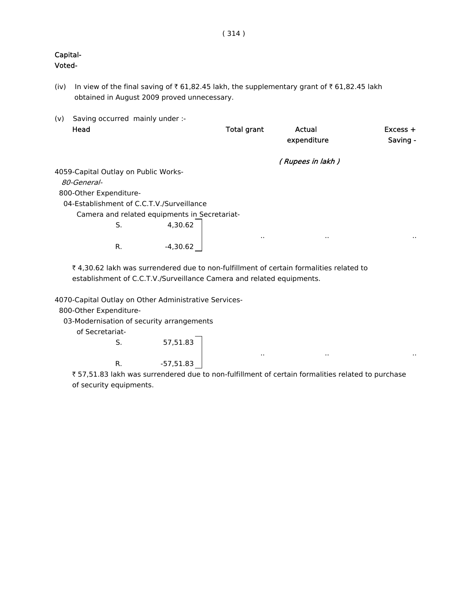# Capital-

Voted-

- (iv) In view of the final saving of  $\bar{\tau}$  61,82.45 lakh, the supplementary grant of  $\bar{\tau}$  61,82.45 lakh obtained in August 2009 proved unnecessary.
- (v) Saving occurred mainly under :- Head **Total grant** Actual Excess + expenditure Saving - ( Rupees in lakh ) 4059-Capital Outlay on Public Works- 80-General- 800-Other Expenditure- 04-Establishment of C.C.T.V./Surveillance Camera and related equipments in Secretariat-S. 4,30.62 .. .. .. R.  $-4,30.62$

₹ 4,30.62 lakh was surrendered due to non-fulfillment of certain formalities related to establishment of C.C.T.V./Surveillance Camera and related equipments.

4070-Capital Outlay on Other Administrative Services-

800-Other Expenditure-

03-Modernisation of security arrangements

of Secretariat-

S. 57,51.83 R. -57,51.83

 ` 57,51.83 lakh was surrendered due to non-fulfillment of certain formalities related to purchase of security equipments.

.. .. ..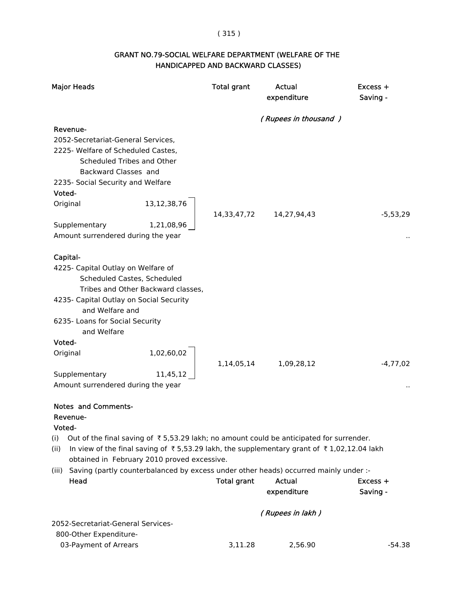## ( 315 )

#### GRANT NO.79-SOCIAL WELFARE DEPARTMENT (WELFARE OF THE HANDICAPPED AND BACKWARD CLASSES)

| <b>Major Heads</b>                                                                                                                                                                                                                                                                                                                                                                                                                                                | <b>Total grant</b> | Actual<br>expenditure        | Excess +<br>Saving -   |
|-------------------------------------------------------------------------------------------------------------------------------------------------------------------------------------------------------------------------------------------------------------------------------------------------------------------------------------------------------------------------------------------------------------------------------------------------------------------|--------------------|------------------------------|------------------------|
|                                                                                                                                                                                                                                                                                                                                                                                                                                                                   |                    | (Rupees in thousand)         |                        |
| Revenue-<br>2052-Secretariat-General Services,<br>2225- Welfare of Scheduled Castes,<br>Scheduled Tribes and Other<br>Backward Classes and<br>2235- Social Security and Welfare<br>Voted-<br>13, 12, 38, 76<br>Original                                                                                                                                                                                                                                           |                    |                              |                        |
| Supplementary<br>1,21,08,96<br>Amount surrendered during the year                                                                                                                                                                                                                                                                                                                                                                                                 | 14,33,47,72        | 14,27,94,43                  | $-5,53,29$             |
| Capital-<br>4225- Capital Outlay on Welfare of<br>Scheduled Castes, Scheduled<br>Tribes and Other Backward classes,<br>4235- Capital Outlay on Social Security<br>and Welfare and<br>6235- Loans for Social Security<br>and Welfare<br>Voted-<br>1,02,60,02<br>Original<br>Supplementary<br>11,45,12                                                                                                                                                              | 1,14,05,14         | 1,09,28,12                   | $-4,77,02$             |
| Amount surrendered during the year<br><b>Notes and Comments-</b><br>Revenue-<br>Voted-<br>Out of the final saving of $\bar{\tau}$ 5,53.29 lakh; no amount could be anticipated for surrender.<br>(i)<br>In view of the final saving of ₹5,53.29 lakh, the supplementary grant of ₹1,02,12.04 lakh<br>(ii)<br>obtained in February 2010 proved excessive.<br>Saving (partly counterbalanced by excess under other heads) occurred mainly under :-<br>(iii)<br>Head | <b>Total grant</b> | <b>Actual</b><br>expenditure | $Excess +$<br>Saving - |
|                                                                                                                                                                                                                                                                                                                                                                                                                                                                   |                    | (Rupees in lakh)             |                        |
| 2052-Secretariat-General Services-<br>800-Other Expenditure-                                                                                                                                                                                                                                                                                                                                                                                                      |                    |                              |                        |
| 03-Payment of Arrears                                                                                                                                                                                                                                                                                                                                                                                                                                             | 3,11.28            | 2,56.90                      | $-54.38$               |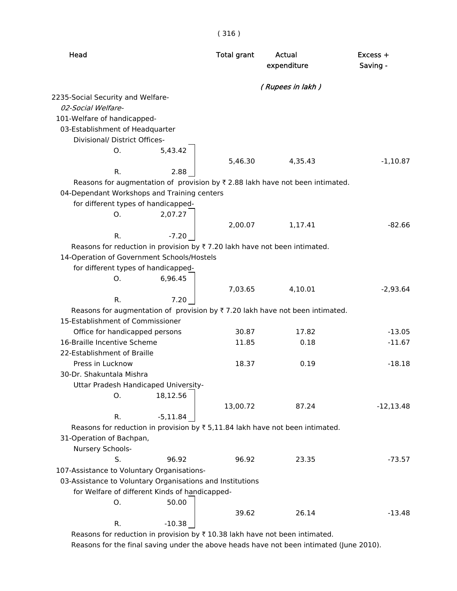| Head                                                                                          | <b>Total grant</b> | Actual<br>expenditure | Excess +<br>Saving - |
|-----------------------------------------------------------------------------------------------|--------------------|-----------------------|----------------------|
|                                                                                               |                    | (Rupees in lakh)      |                      |
| 2235-Social Security and Welfare-                                                             |                    |                       |                      |
| 02-Social Welfare-                                                                            |                    |                       |                      |
| 101-Welfare of handicapped-                                                                   |                    |                       |                      |
| 03-Establishment of Headquarter                                                               |                    |                       |                      |
| Divisional/ District Offices-                                                                 |                    |                       |                      |
| Ο.                                                                                            | 5,43.42            |                       |                      |
|                                                                                               | 5,46.30            | 4,35.43               | $-1,10.87$           |
| R.                                                                                            | 2.88               |                       |                      |
| Reasons for augmentation of provision by $\bar{\tau}$ 2.88 lakh have not been intimated.      |                    |                       |                      |
| 04-Dependant Workshops and Training centers                                                   |                    |                       |                      |
| for different types of handicapped-                                                           |                    |                       |                      |
| Ο.                                                                                            | 2,07.27            |                       |                      |
|                                                                                               | 2,00.07            | 1,17.41               | $-82.66$             |
| R.                                                                                            | $-7.20$            |                       |                      |
| Reasons for reduction in provision by $\overline{\tau}$ 7.20 lakh have not been intimated.    |                    |                       |                      |
| 14-Operation of Government Schools/Hostels                                                    |                    |                       |                      |
| for different types of handicapped-                                                           |                    |                       |                      |
| Ο.                                                                                            | 6,96.45<br>7,03.65 | 4,10.01               | $-2,93.64$           |
| R.                                                                                            | 7.20               |                       |                      |
| Reasons for augmentation of provision by $\overline{\tau}$ 7.20 lakh have not been intimated. |                    |                       |                      |
| 15-Establishment of Commissioner                                                              |                    |                       |                      |
| Office for handicapped persons                                                                | 30.87              | 17.82                 | $-13.05$             |
| 16-Braille Incentive Scheme                                                                   | 11.85              | 0.18                  | $-11.67$             |
| 22-Establishment of Braille                                                                   |                    |                       |                      |
| Press in Lucknow                                                                              | 18.37              | 0.19                  | $-18.18$             |
| 30-Dr. Shakuntala Mishra                                                                      |                    |                       |                      |
| Uttar Pradesh Handicaped University-                                                          |                    |                       |                      |
| 0.                                                                                            | 18,12.56           |                       |                      |
|                                                                                               | 13,00.72           | 87.24                 | $-12, 13.48$         |
| R.                                                                                            | $-5,11.84$         |                       |                      |
| Reasons for reduction in provision by $\overline{\tau}$ 5,11.84 lakh have not been intimated. |                    |                       |                      |
| 31-Operation of Bachpan,                                                                      |                    |                       |                      |
| Nursery Schools-                                                                              |                    |                       |                      |
| S.                                                                                            | 96.92<br>96.92     | 23.35                 | $-73.57$             |
| 107-Assistance to Voluntary Organisations-                                                    |                    |                       |                      |
| 03-Assistance to Voluntary Organisations and Institutions                                     |                    |                       |                      |
| for Welfare of different Kinds of handicapped-                                                |                    |                       |                      |
| Ο.                                                                                            | 50.00              |                       |                      |
|                                                                                               | 39.62              | 26.14                 | $-13.48$             |
| R.                                                                                            | $-10.38$           |                       |                      |
| Reasons for reduction in provision by ₹ 10.38 lakh have not been intimated.                   |                    |                       |                      |

( 316 )

Reasons for the final saving under the above heads have not been intimated (June 2010).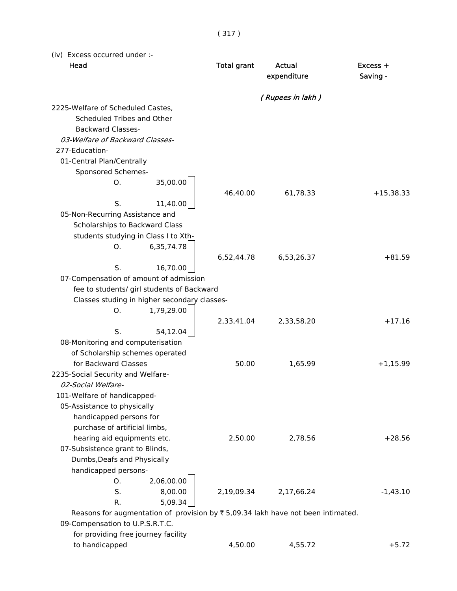( 317 )

(iv) Excess occurred under :-

| Head                                                                                            | <b>Total grant</b> | Actual<br>expenditure | $Excess +$<br>Saving - |
|-------------------------------------------------------------------------------------------------|--------------------|-----------------------|------------------------|
|                                                                                                 |                    | (Rupees in lakh)      |                        |
| 2225-Welfare of Scheduled Castes,                                                               |                    |                       |                        |
| Scheduled Tribes and Other                                                                      |                    |                       |                        |
| <b>Backward Classes-</b>                                                                        |                    |                       |                        |
| 03-Welfare of Backward Classes-                                                                 |                    |                       |                        |
| 277-Education-                                                                                  |                    |                       |                        |
| 01-Central Plan/Centrally                                                                       |                    |                       |                        |
| Sponsored Schemes-                                                                              |                    |                       |                        |
| О.<br>35,00.00                                                                                  | 46,40.00           | 61,78.33              | $+15,38.33$            |
| S.<br>11,40.00                                                                                  |                    |                       |                        |
| 05-Non-Recurring Assistance and                                                                 |                    |                       |                        |
| Scholarships to Backward Class                                                                  |                    |                       |                        |
| students studying in Class I to Xth-                                                            |                    |                       |                        |
| Ο.<br>6,35,74.78                                                                                |                    |                       |                        |
|                                                                                                 | 6,52,44.78         | 6,53,26.37            | $+81.59$               |
| S.<br>16,70.00                                                                                  |                    |                       |                        |
| 07-Compensation of amount of admission                                                          |                    |                       |                        |
| fee to students/ girl students of Backward                                                      |                    |                       |                        |
| Classes studing in higher secondary classes-                                                    |                    |                       |                        |
| Ο.<br>1,79,29.00                                                                                |                    |                       |                        |
| S.                                                                                              | 2,33,41.04         | 2,33,58.20            | $+17.16$               |
| 54,12.04<br>08-Monitoring and computerisation                                                   |                    |                       |                        |
| of Scholarship schemes operated                                                                 |                    |                       |                        |
| for Backward Classes                                                                            | 50.00              | 1,65.99               | $+1,15.99$             |
| 2235-Social Security and Welfare-                                                               |                    |                       |                        |
| 02-Social Welfare-                                                                              |                    |                       |                        |
| 101-Welfare of handicapped-                                                                     |                    |                       |                        |
| 05-Assistance to physically                                                                     |                    |                       |                        |
| handicapped persons for                                                                         |                    |                       |                        |
| purchase of artificial limbs,                                                                   |                    |                       |                        |
| hearing aid equipments etc.                                                                     | 2,50.00            | 2,78.56               | $+28.56$               |
| 07-Subsistence grant to Blinds,                                                                 |                    |                       |                        |
| Dumbs, Deafs and Physically                                                                     |                    |                       |                        |
| handicapped persons-                                                                            |                    |                       |                        |
| 2,06,00.00<br>О.                                                                                |                    |                       |                        |
| S.<br>8,00.00                                                                                   | 2,19,09.34         | 2,17,66.24            | $-1,43.10$             |
| 5,09.34<br>R.                                                                                   |                    |                       |                        |
| Reasons for augmentation of provision by $\overline{\xi}$ 5,09.34 lakh have not been intimated. |                    |                       |                        |
| 09-Compensation to U.P.S.R.T.C.                                                                 |                    |                       |                        |

 for providing free journey facility to handicapped **4,50.00** 4,55.72 +5.72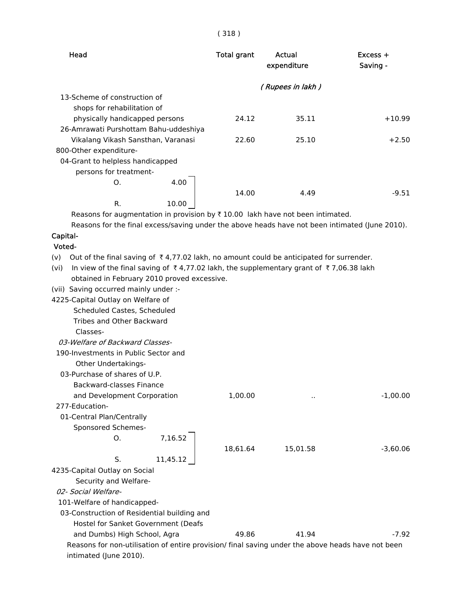#### ( 318 )

| Head                                                                                                           | <b>Total grant</b> | Actual<br>expenditure | Excess +<br>Saving - |
|----------------------------------------------------------------------------------------------------------------|--------------------|-----------------------|----------------------|
|                                                                                                                |                    | (Rupees in lakh)      |                      |
| 13-Scheme of construction of                                                                                   |                    |                       |                      |
| shops for rehabilitation of                                                                                    |                    |                       |                      |
| physically handicapped persons                                                                                 | 24.12              | 35.11                 | $+10.99$             |
| 26-Amrawati Purshottam Bahu-uddeshiya                                                                          |                    |                       |                      |
| Vikalang Vikash Sansthan, Varanasi                                                                             | 22.60              | 25.10                 | $+2.50$              |
| 800-Other expenditure-                                                                                         |                    |                       |                      |
| 04-Grant to helpless handicapped                                                                               |                    |                       |                      |
| persons for treatment-                                                                                         |                    |                       |                      |
| 4.00<br>O.                                                                                                     |                    |                       |                      |
| R.                                                                                                             | 14.00              | 4.49                  | $-9.51$              |
| 10.00<br>Reasons for augmentation in provision by ₹10.00 lakh have not been intimated.                         |                    |                       |                      |
| Reasons for the final excess/saving under the above heads have not been intimated (June 2010).                 |                    |                       |                      |
| Capital-                                                                                                       |                    |                       |                      |
| Voted-                                                                                                         |                    |                       |                      |
| Out of the final saving of $\overline{\xi}$ 4,77.02 lakh, no amount could be anticipated for surrender.<br>(v) |                    |                       |                      |
| In view of the final saving of ₹4,77.02 lakh, the supplementary grant of ₹7,06.38 lakh<br>(vi)                 |                    |                       |                      |
| obtained in February 2010 proved excessive.                                                                    |                    |                       |                      |
| (vii) Saving occurred mainly under :-                                                                          |                    |                       |                      |
| 4225-Capital Outlay on Welfare of                                                                              |                    |                       |                      |
| Scheduled Castes, Scheduled                                                                                    |                    |                       |                      |
| Tribes and Other Backward                                                                                      |                    |                       |                      |
| Classes-                                                                                                       |                    |                       |                      |
| 03-Welfare of Backward Classes-                                                                                |                    |                       |                      |
| 190-Investments in Public Sector and                                                                           |                    |                       |                      |
| Other Undertakings-                                                                                            |                    |                       |                      |
| 03-Purchase of shares of U.P.                                                                                  |                    |                       |                      |
| Backward-classes Finance                                                                                       |                    |                       |                      |
| and Development Corporation                                                                                    | 1,00.00            | ٠.                    | $-1,00.00$           |
| 277-Education-                                                                                                 |                    |                       |                      |
| 01-Central Plan/Centrally                                                                                      |                    |                       |                      |

Sponsored Schemes-

O. 7,16.52 18,61.64 15,01.58 -3,60.06 S. 11,45.12 4235-Capital Outlay on Social Security and Welfare- 02- Social Welfare- 101-Welfare of handicapped- 03-Construction of Residential building and Hostel for Sanket Government (Deafs and Dumbs) High School, Agra 49.86 41.94 -7.92

 Reasons for non-utilisation of entire provision/ final saving under the above heads have not been intimated (June 2010).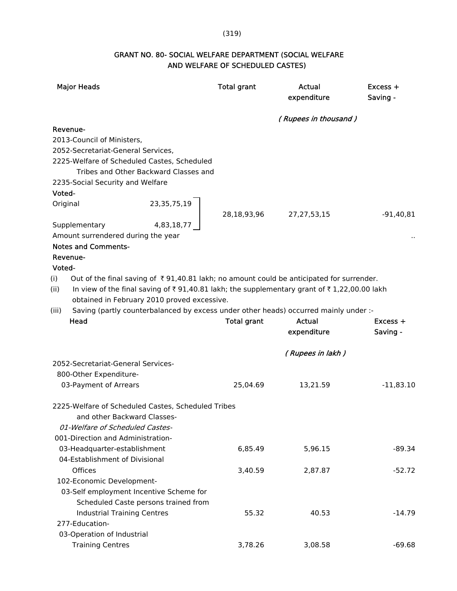#### (319)

# GRANT NO. 80- SOCIAL WELFARE DEPARTMENT (SOCIAL WELFARE AND WELFARE OF SCHEDULED CASTES)

| <b>Major Heads</b>                                                                                                                                                                                                                                               | <b>Total grant</b> | Actual<br>expenditure        | $Excess +$<br>Saving - |
|------------------------------------------------------------------------------------------------------------------------------------------------------------------------------------------------------------------------------------------------------------------|--------------------|------------------------------|------------------------|
|                                                                                                                                                                                                                                                                  |                    | (Rupees in thousand)         |                        |
| Revenue-                                                                                                                                                                                                                                                         |                    |                              |                        |
| 2013-Council of Ministers,                                                                                                                                                                                                                                       |                    |                              |                        |
| 2052-Secretariat-General Services,                                                                                                                                                                                                                               |                    |                              |                        |
| 2225-Welfare of Scheduled Castes, Scheduled<br>Tribes and Other Backward Classes and                                                                                                                                                                             |                    |                              |                        |
| 2235-Social Security and Welfare                                                                                                                                                                                                                                 |                    |                              |                        |
| Voted-                                                                                                                                                                                                                                                           |                    |                              |                        |
| 23,35,75,19<br>Original                                                                                                                                                                                                                                          | 28,18,93,96        | 27, 27, 53, 15               | $-91,40,81$            |
| 4,83,18,77<br>Supplementary                                                                                                                                                                                                                                      |                    |                              |                        |
| Amount surrendered during the year                                                                                                                                                                                                                               |                    |                              |                        |
| <b>Notes and Comments-</b>                                                                                                                                                                                                                                       |                    |                              |                        |
| Revenue-                                                                                                                                                                                                                                                         |                    |                              |                        |
| Voted-                                                                                                                                                                                                                                                           |                    |                              |                        |
| Out of the final saving of $\bar{\tau}$ 91,40.81 lakh; no amount could be anticipated for surrender.<br>(i)<br>In view of the final saving of ₹91,40.81 lakh; the supplementary grant of ₹1,22,00.00 lakh<br>(ii)<br>obtained in February 2010 proved excessive. |                    |                              |                        |
| Saving (partly counterbalanced by excess under other heads) occurred mainly under :-<br>(iii)                                                                                                                                                                    |                    |                              |                        |
| Head                                                                                                                                                                                                                                                             | <b>Total grant</b> | <b>Actual</b><br>expenditure | $Excess +$<br>Saving - |
|                                                                                                                                                                                                                                                                  |                    | (Rupees in lakh)             |                        |
| 2052-Secretariat-General Services-                                                                                                                                                                                                                               |                    |                              |                        |
| 800-Other Expenditure-                                                                                                                                                                                                                                           |                    |                              |                        |
| 03-Payment of Arrears                                                                                                                                                                                                                                            | 25,04.69           | 13,21.59                     | $-11,83.10$            |
| 2225-Welfare of Scheduled Castes, Scheduled Tribes                                                                                                                                                                                                               |                    |                              |                        |
| and other Backward Classes-                                                                                                                                                                                                                                      |                    |                              |                        |
| 01-Welfare of Scheduled Castes-                                                                                                                                                                                                                                  |                    |                              |                        |
| 001-Direction and Administration-                                                                                                                                                                                                                                |                    |                              |                        |
| 03-Headquarter-establishment                                                                                                                                                                                                                                     | 6,85.49            | 5,96.15                      | $-89.34$               |
| 04-Establishment of Divisional                                                                                                                                                                                                                                   |                    |                              |                        |
| <b>Offices</b>                                                                                                                                                                                                                                                   | 3,40.59            | 2,87.87                      | $-52.72$               |
| 102-Economic Development-                                                                                                                                                                                                                                        |                    |                              |                        |
| 03-Self employment Incentive Scheme for                                                                                                                                                                                                                          |                    |                              |                        |
| Scheduled Caste persons trained from                                                                                                                                                                                                                             |                    |                              |                        |
| <b>Industrial Training Centres</b>                                                                                                                                                                                                                               | 55.32              | 40.53                        | $-14.79$               |
| 277-Education-                                                                                                                                                                                                                                                   |                    |                              |                        |
| 03-Operation of Industrial                                                                                                                                                                                                                                       |                    |                              |                        |
| <b>Training Centres</b>                                                                                                                                                                                                                                          | 3,78.26            | 3,08.58                      | $-69.68$               |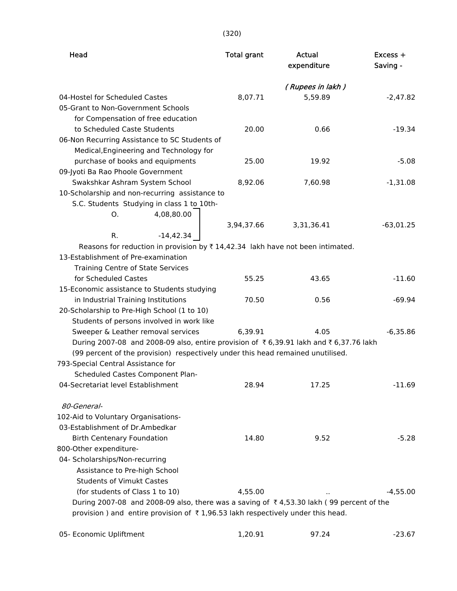| Head                                                                                            | <b>Total grant</b> | Actual<br>expenditure | Excess +<br>Saving - |
|-------------------------------------------------------------------------------------------------|--------------------|-----------------------|----------------------|
|                                                                                                 |                    | (Rupees in lakh)      |                      |
| 04-Hostel for Scheduled Castes                                                                  | 8,07.71            | 5,59.89               | $-2,47.82$           |
| 05-Grant to Non-Government Schools                                                              |                    |                       |                      |
| for Compensation of free education                                                              |                    |                       |                      |
| to Scheduled Caste Students                                                                     | 20.00              | 0.66                  | $-19.34$             |
| 06-Non Recurring Assistance to SC Students of                                                   |                    |                       |                      |
| Medical, Engineering and Technology for                                                         |                    |                       |                      |
| purchase of books and equipments                                                                | 25.00              | 19.92                 | $-5.08$              |
| 09-Jyoti Ba Rao Phoole Government                                                               |                    |                       |                      |
| Swakshkar Ashram System School                                                                  | 8,92.06            | 7,60.98               | $-1,31.08$           |
| 10-Scholarship and non-recurring assistance to                                                  |                    |                       |                      |
| S.C. Students Studying in class 1 to 10th-                                                      |                    |                       |                      |
| О.<br>4,08,80.00                                                                                |                    |                       |                      |
|                                                                                                 | 3,94,37.66         | 3,31,36.41            | $-63,01.25$          |
| R.<br>$-14,42.34$                                                                               |                    |                       |                      |
| Reasons for reduction in provision by $\bar{\tau}$ 14,42.34 lakh have not been intimated.       |                    |                       |                      |
| 13-Establishment of Pre-examination                                                             |                    |                       |                      |
| Training Centre of State Services                                                               |                    |                       |                      |
| for Scheduled Castes                                                                            | 55.25              | 43.65                 | $-11.60$             |
| 15-Economic assistance to Students studying                                                     |                    |                       |                      |
| in Industrial Training Institutions                                                             | 70.50              | 0.56                  | $-69.94$             |
| 20-Scholarship to Pre-High School (1 to 10)                                                     |                    |                       |                      |
| Students of persons involved in work like                                                       |                    |                       |                      |
| Sweeper & Leather removal services                                                              | 6,39.91            | 4.05                  | $-6,35.86$           |
| During 2007-08 and 2008-09 also, entire provision of ₹6,39.91 lakh and ₹6,37.76 lakh            |                    |                       |                      |
| (99 percent of the provision) respectively under this head remained unutilised.                 |                    |                       |                      |
| 793-Special Central Assistance for                                                              |                    |                       |                      |
| Scheduled Castes Component Plan-                                                                |                    |                       |                      |
| 04-Secretariat level Establishment                                                              | 28.94              | 17.25                 | $-11.69$             |
| 80-General-                                                                                     |                    |                       |                      |
| 102-Aid to Voluntary Organisations-                                                             |                    |                       |                      |
| 03-Establishment of Dr.Ambedkar                                                                 |                    |                       |                      |
| <b>Birth Centenary Foundation</b>                                                               | 14.80              | 9.52                  | $-5.28$              |
| 800-Other expenditure-                                                                          |                    |                       |                      |
| 04- Scholarships/Non-recurring                                                                  |                    |                       |                      |
| Assistance to Pre-high School                                                                   |                    |                       |                      |
| <b>Students of Vimukt Castes</b>                                                                |                    |                       |                      |
| (for students of Class 1 to 10)                                                                 | 4,55.00            |                       | $-4,55.00$           |
| During 2007-08 and 2008-09 also, there was a saving of ₹4,53.30 lakh (99 percent of the         |                    |                       |                      |
| provision) and entire provision of $\overline{\tau}$ 1,96.53 lakh respectively under this head. |                    |                       |                      |
|                                                                                                 |                    |                       |                      |

| 05- Economic Upliftment | 1,20.91 | 97.24 | $-23.67$ |
|-------------------------|---------|-------|----------|
|                         |         |       |          |

(320)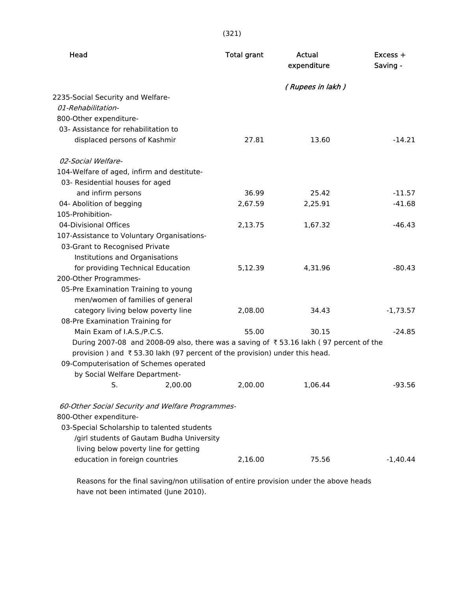(321)

| Head                                                                                  | <b>Total grant</b> | Actual<br>expenditure | $Excess +$<br>Saving - |
|---------------------------------------------------------------------------------------|--------------------|-----------------------|------------------------|
|                                                                                       |                    | (Rupees in lakh)      |                        |
| 2235-Social Security and Welfare-                                                     |                    |                       |                        |
| 01-Rehabilitation-                                                                    |                    |                       |                        |
| 800-Other expenditure-                                                                |                    |                       |                        |
| 03- Assistance for rehabilitation to                                                  |                    |                       |                        |
| displaced persons of Kashmir                                                          | 27.81              | 13.60                 | $-14.21$               |
| 02-Social Welfare-                                                                    |                    |                       |                        |
| 104-Welfare of aged, infirm and destitute-                                            |                    |                       |                        |
| 03- Residential houses for aged                                                       |                    |                       |                        |
| and infirm persons                                                                    | 36.99              | 25.42                 | $-11.57$               |
| 04- Abolition of begging                                                              | 2,67.59            | 2,25.91               | $-41.68$               |
| 105-Prohibition-                                                                      |                    |                       |                        |
| 04-Divisional Offices                                                                 | 2,13.75            | 1,67.32               | $-46.43$               |
| 107-Assistance to Voluntary Organisations-                                            |                    |                       |                        |
| 03-Grant to Recognised Private                                                        |                    |                       |                        |
| Institutions and Organisations                                                        |                    |                       |                        |
| for providing Technical Education                                                     | 5,12.39            | 4,31.96               | $-80.43$               |
| 200-Other Programmes-                                                                 |                    |                       |                        |
| 05-Pre Examination Training to young                                                  |                    |                       |                        |
| men/women of families of general                                                      |                    |                       |                        |
| category living below poverty line                                                    | 2,08.00            | 34.43                 | $-1,73.57$             |
| 08-Pre Examination Training for                                                       |                    |                       |                        |
| Main Exam of I.A.S./P.C.S.                                                            | 55.00              | 30.15                 | $-24.85$               |
| During 2007-08 and 2008-09 also, there was a saving of ₹53.16 lakh (97 percent of the |                    |                       |                        |
| provision) and ₹53.30 lakh (97 percent of the provision) under this head.             |                    |                       |                        |
| 09-Computerisation of Schemes operated                                                |                    |                       |                        |
| by Social Welfare Department-                                                         |                    |                       |                        |
| S.<br>2,00.00                                                                         | 2,00.00            | 1,06.44               | $-93.56$               |
| 60-Other Social Security and Welfare Programmes-                                      |                    |                       |                        |
| 800-Other expenditure-                                                                |                    |                       |                        |
| 03-Special Scholarship to talented students                                           |                    |                       |                        |
| /girl students of Gautam Budha University                                             |                    |                       |                        |
| living below poverty line for getting                                                 |                    |                       |                        |
| education in foreign countries                                                        | 2,16.00            | 75.56                 | $-1,40.44$             |

 Reasons for the final saving/non utilisation of entire provision under the above heads have not been intimated (June 2010).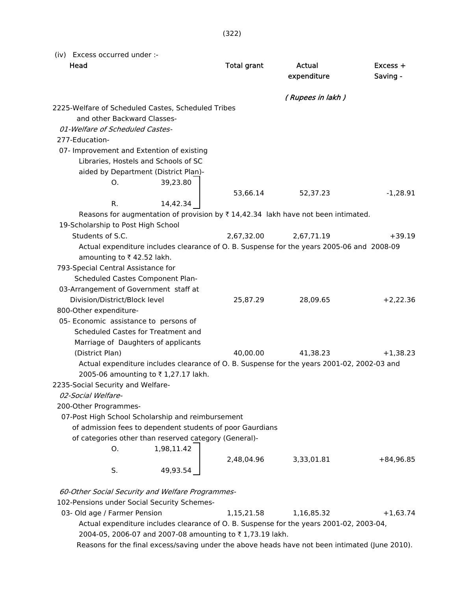(322)

(iv) Excess occurred under :-

| Head                                                                                           | <b>Total grant</b> | Actual<br>expenditure | Excess +<br>Saving - |
|------------------------------------------------------------------------------------------------|--------------------|-----------------------|----------------------|
|                                                                                                |                    | (Rupees in lakh)      |                      |
| 2225-Welfare of Scheduled Castes, Scheduled Tribes                                             |                    |                       |                      |
| and other Backward Classes-                                                                    |                    |                       |                      |
| 01-Welfare of Scheduled Castes-                                                                |                    |                       |                      |
| 277-Education-                                                                                 |                    |                       |                      |
| 07- Improvement and Extention of existing                                                      |                    |                       |                      |
| Libraries, Hostels and Schools of SC                                                           |                    |                       |                      |
| aided by Department (District Plan)-                                                           |                    |                       |                      |
| 39,23.80<br>0.                                                                                 |                    |                       |                      |
|                                                                                                | 53,66.14           | 52,37.23              | $-1,28.91$           |
| R.<br>14,42.34                                                                                 |                    |                       |                      |
| Reasons for augmentation of provision by ₹14,42.34 lakh have not been intimated.               |                    |                       |                      |
| 19-Scholarship to Post High School                                                             |                    |                       |                      |
| Students of S.C.                                                                               | 2,67,32.00         | 2,67,71.19            | $+39.19$             |
| Actual expenditure includes clearance of O. B. Suspense for the years 2005-06 and 2008-09      |                    |                       |                      |
| amounting to ₹42.52 lakh.                                                                      |                    |                       |                      |
| 793-Special Central Assistance for                                                             |                    |                       |                      |
| Scheduled Castes Component Plan-                                                               |                    |                       |                      |
| 03-Arrangement of Government staff at                                                          |                    |                       |                      |
| Division/District/Block level                                                                  | 25,87.29           | 28,09.65              | $+2,22.36$           |
| 800-Other expenditure-                                                                         |                    |                       |                      |
| 05- Economic assistance to persons of                                                          |                    |                       |                      |
| Scheduled Castes for Treatment and                                                             |                    |                       |                      |
| Marriage of Daughters of applicants                                                            |                    |                       |                      |
| (District Plan)                                                                                | 40,00.00           | 41,38.23              | $+1,38.23$           |
| Actual expenditure includes clearance of O. B. Suspense for the years 2001-02, 2002-03 and     |                    |                       |                      |
| 2005-06 amounting to ₹1,27.17 lakh.                                                            |                    |                       |                      |
| 2235-Social Security and Welfare-                                                              |                    |                       |                      |
| 02-Social Welfare-                                                                             |                    |                       |                      |
| 200-Other Programmes-                                                                          |                    |                       |                      |
| 07-Post High School Scholarship and reimbursement                                              |                    |                       |                      |
| of admission fees to dependent students of poor Gaurdians                                      |                    |                       |                      |
| of categories other than reserved category (General)-                                          |                    |                       |                      |
| O.<br>1,98,11.42                                                                               |                    |                       |                      |
|                                                                                                | 2,48,04.96         | 3,33,01.81            | $+84,96.85$          |
| S.<br>49,93.54                                                                                 |                    |                       |                      |
| 60-Other Social Security and Welfare Programmes-                                               |                    |                       |                      |
| 102-Pensions under Social Security Schemes-                                                    |                    |                       |                      |
| 03- Old age / Farmer Pension                                                                   | 1,15,21.58         | 1,16,85.32            | $+1,63.74$           |
| Actual expenditure includes clearance of O. B. Suspense for the years 2001-02, 2003-04,        |                    |                       |                      |
| 2004-05, 2006-07 and 2007-08 amounting to ₹1,73.19 lakh.                                       |                    |                       |                      |
| Reasons for the final excess/saving under the above heads have not been intimated (June 2010). |                    |                       |                      |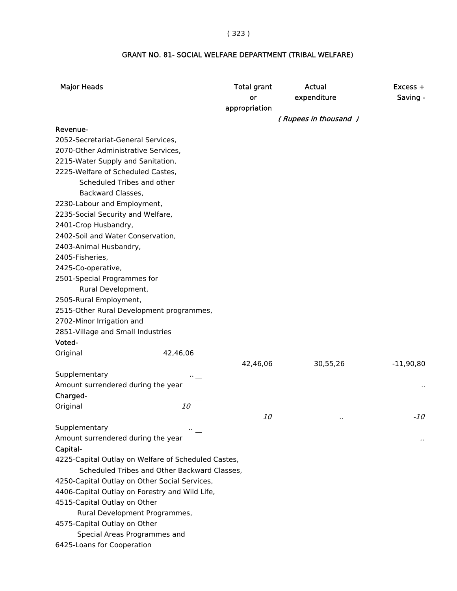#### ( 323 )

# GRANT NO. 81- SOCIAL WELFARE DEPARTMENT (TRIBAL WELFARE)

| <b>Major Heads</b>                                  | <b>Total grant</b><br><b>or</b> | Actual<br>expenditure | $Excess +$<br>Saving - |
|-----------------------------------------------------|---------------------------------|-----------------------|------------------------|
|                                                     | appropriation                   |                       |                        |
|                                                     |                                 | (Rupees in thousand)  |                        |
| Revenue-                                            |                                 |                       |                        |
| 2052-Secretariat-General Services,                  |                                 |                       |                        |
| 2070-Other Administrative Services,                 |                                 |                       |                        |
| 2215-Water Supply and Sanitation,                   |                                 |                       |                        |
| 2225-Welfare of Scheduled Castes,                   |                                 |                       |                        |
| Scheduled Tribes and other                          |                                 |                       |                        |
| Backward Classes,                                   |                                 |                       |                        |
| 2230-Labour and Employment,                         |                                 |                       |                        |
| 2235-Social Security and Welfare,                   |                                 |                       |                        |
| 2401-Crop Husbandry,                                |                                 |                       |                        |
| 2402-Soil and Water Conservation,                   |                                 |                       |                        |
| 2403-Animal Husbandry,                              |                                 |                       |                        |
| 2405-Fisheries,                                     |                                 |                       |                        |
| 2425-Co-operative,                                  |                                 |                       |                        |
| 2501-Special Programmes for                         |                                 |                       |                        |
| Rural Development,                                  |                                 |                       |                        |
| 2505-Rural Employment,                              |                                 |                       |                        |
| 2515-Other Rural Development programmes,            |                                 |                       |                        |
| 2702-Minor Irrigation and                           |                                 |                       |                        |
| 2851-Village and Small Industries<br>Voted-         |                                 |                       |                        |
| 42,46,06<br>Original                                |                                 |                       |                        |
|                                                     | 42,46,06                        | 30,55,26              | $-11,90,80$            |
| Supplementary                                       |                                 |                       |                        |
| Amount surrendered during the year                  |                                 |                       |                        |
| Charged-                                            |                                 |                       |                        |
| Original<br><i>10</i>                               |                                 |                       |                        |
|                                                     | <i>10</i>                       |                       | -10                    |
| Supplementary                                       |                                 |                       |                        |
| Amount surrendered during the year                  |                                 |                       |                        |
| Capital-                                            |                                 |                       |                        |
| 4225-Capital Outlay on Welfare of Scheduled Castes, |                                 |                       |                        |
| Scheduled Tribes and Other Backward Classes,        |                                 |                       |                        |
| 4250-Capital Outlay on Other Social Services,       |                                 |                       |                        |
| 4406-Capital Outlay on Forestry and Wild Life,      |                                 |                       |                        |
| 4515-Capital Outlay on Other                        |                                 |                       |                        |
| Rural Development Programmes,                       |                                 |                       |                        |
| 4575-Capital Outlay on Other                        |                                 |                       |                        |
| Special Areas Programmes and                        |                                 |                       |                        |
| 6425-Loans for Cooperation                          |                                 |                       |                        |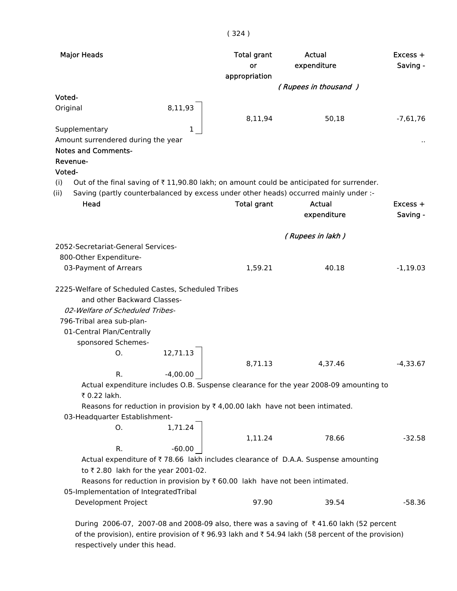| <b>Major Heads</b>                                                                                                                                                                                                               | <b>Total grant</b><br>or<br>appropriation | Actual<br>expenditure | $Excess +$<br>Saving - |
|----------------------------------------------------------------------------------------------------------------------------------------------------------------------------------------------------------------------------------|-------------------------------------------|-----------------------|------------------------|
|                                                                                                                                                                                                                                  |                                           | (Rupees in thousand)  |                        |
| Voted-<br>8,11,93<br>Original                                                                                                                                                                                                    | 8,11,94                                   | 50,18                 | $-7,61,76$             |
| Supplementary<br>1<br>Amount surrendered during the year<br><b>Notes and Comments-</b><br>Revenue-<br>Voted-<br>Out of the final saving of $\overline{\tau}$ 11,90.80 lakh; on amount could be anticipated for surrender.<br>(i) |                                           |                       |                        |
| Saving (partly counterbalanced by excess under other heads) occurred mainly under :-<br>(ii)<br>Head                                                                                                                             | <b>Total grant</b>                        | Actual<br>expenditure | $Excess +$<br>Saving - |
|                                                                                                                                                                                                                                  |                                           |                       |                        |
|                                                                                                                                                                                                                                  |                                           | (Rupees in lakh)      |                        |
| 2052-Secretariat-General Services-                                                                                                                                                                                               |                                           |                       |                        |
| 800-Other Expenditure-                                                                                                                                                                                                           |                                           |                       |                        |
| 03-Payment of Arrears                                                                                                                                                                                                            | 1,59.21                                   | 40.18                 | $-1,19.03$             |
| 2225-Welfare of Scheduled Castes, Scheduled Tribes<br>and other Backward Classes-<br>02-Welfare of Scheduled Tribes-<br>796-Tribal area sub-plan-<br>01-Central Plan/Centrally<br>sponsored Schemes-                             |                                           |                       |                        |
| 12,71.13<br>Ο.                                                                                                                                                                                                                   |                                           |                       |                        |
|                                                                                                                                                                                                                                  | 8,71.13                                   | 4,37.46               | $-4,33.67$             |
| $-4,00.00$<br>R.<br>Actual expenditure includes O.B. Suspense clearance for the year 2008-09 amounting to<br>₹ 0.22 lakh.<br>Reasons for reduction in provision by $\overline{\tau}$ 4,00.00 lakh have not been intimated.       |                                           |                       |                        |
| 03-Headquarter Establishment-<br>1,71.24                                                                                                                                                                                         |                                           |                       |                        |
| 0.<br>R.<br>$-60.00$                                                                                                                                                                                                             | 1,11.24                                   | 78.66                 | $-32.58$               |
| Actual expenditure of ₹78.66 lakh includes clearance of D.A.A. Suspense amounting<br>to ₹2.80 lakh for the year 2001-02.<br>Reasons for reduction in provision by ₹60.00 lakh have not been intimated.                           |                                           |                       |                        |
| 05-Implementation of IntegratedTribal<br>Development Project                                                                                                                                                                     | 97.90                                     | 39.54                 | $-58.36$               |
|                                                                                                                                                                                                                                  |                                           |                       |                        |

During 2006-07, 2007-08 and 2008-09 also, there was a saving of ₹41.60 lakh (52 percent of the provision), entire provision of  $\bar{\tau}$  96.93 lakh and  $\bar{\tau}$  54.94 lakh (58 percent of the provision) respectively under this head.

#### ( 324 )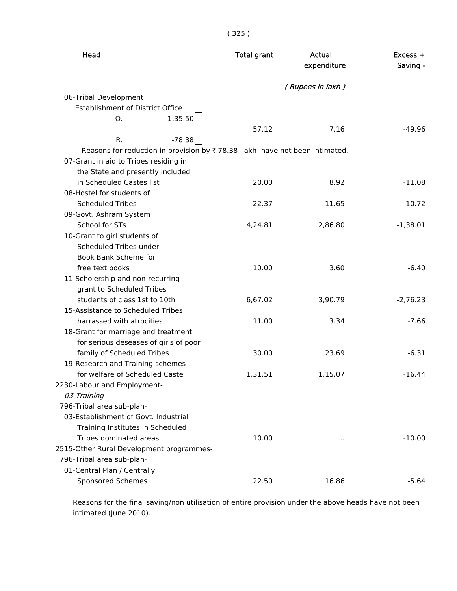| ×<br>I<br>ł<br>×<br>× |  |
|-----------------------|--|
|-----------------------|--|

| Head                                                                       | <b>Total grant</b> | Actual<br>expenditure | $Excess +$<br>Saving - |
|----------------------------------------------------------------------------|--------------------|-----------------------|------------------------|
|                                                                            |                    | (Rupees in lakh)      |                        |
| 06-Tribal Development                                                      |                    |                       |                        |
| <b>Establishment of District Office</b>                                    |                    |                       |                        |
| 1,35.50<br>0.                                                              |                    |                       |                        |
|                                                                            | 57.12              | 7.16                  | $-49.96$               |
| R.<br>$-78.38$                                                             |                    |                       |                        |
| Reasons for reduction in provision by ₹78.38 lakh have not been intimated. |                    |                       |                        |
| 07-Grant in aid to Tribes residing in                                      |                    |                       |                        |
| the State and presently included                                           |                    |                       |                        |
| in Scheduled Castes list                                                   | 20.00              | 8.92                  | $-11.08$               |
| 08-Hostel for students of                                                  |                    |                       |                        |
| <b>Scheduled Tribes</b>                                                    | 22.37              | 11.65                 | $-10.72$               |
| 09-Govt. Ashram System                                                     |                    |                       |                        |
| <b>School for STs</b>                                                      | 4,24.81            | 2,86.80               | $-1,38.01$             |
| 10-Grant to girl students of                                               |                    |                       |                        |
| Scheduled Tribes under                                                     |                    |                       |                        |
| Book Bank Scheme for                                                       |                    |                       |                        |
| free text books                                                            | 10.00              | 3.60                  | $-6.40$                |
| 11-Scholership and non-recurring                                           |                    |                       |                        |
| grant to Scheduled Tribes                                                  |                    |                       |                        |
| students of class 1st to 10th                                              | 6,67.02            | 3,90.79               | $-2,76.23$             |
| 15-Assistance to Scheduled Tribes                                          |                    |                       |                        |
| harrassed with atrocities                                                  | 11.00              | 3.34                  | $-7.66$                |
| 18-Grant for marriage and treatment                                        |                    |                       |                        |
| for serious deseases of girls of poor                                      |                    |                       |                        |
| family of Scheduled Tribes                                                 | 30.00              | 23.69                 | $-6.31$                |
| 19-Research and Training schemes                                           |                    |                       |                        |
| for welfare of Scheduled Caste                                             | 1,31.51            | 1,15.07               | $-16.44$               |
| 2230-Labour and Employment-                                                |                    |                       |                        |
| 03-Training-                                                               |                    |                       |                        |
| 796-Tribal area sub-plan-                                                  |                    |                       |                        |
| 03-Establishment of Govt. Industrial                                       |                    |                       |                        |
| Training Institutes in Scheduled                                           |                    |                       |                        |
| Tribes dominated areas                                                     | 10.00              | $\cdot$ .             | $-10.00$               |
| 2515-Other Rural Development programmes-                                   |                    |                       |                        |
| 796-Tribal area sub-plan-                                                  |                    |                       |                        |
| 01-Central Plan / Centrally                                                |                    |                       |                        |
| <b>Sponsored Schemes</b>                                                   | 22.50              | 16.86                 | $-5.64$                |

 Reasons for the final saving/non utilisation of entire provision under the above heads have not been intimated (June 2010).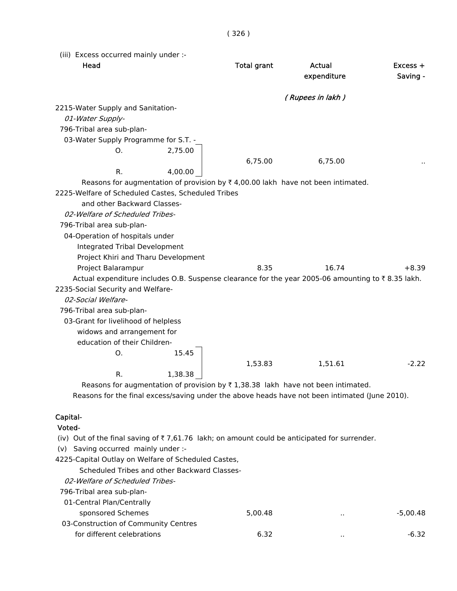| (iii) Excess occurred mainly under :-                                                             |                    |                       |                        |
|---------------------------------------------------------------------------------------------------|--------------------|-----------------------|------------------------|
| Head                                                                                              | <b>Total grant</b> | Actual<br>expenditure | $Excess +$<br>Saving - |
|                                                                                                   |                    | (Rupees in lakh)      |                        |
| 2215-Water Supply and Sanitation-                                                                 |                    |                       |                        |
| 01-Water Supply-                                                                                  |                    |                       |                        |
| 796-Tribal area sub-plan-                                                                         |                    |                       |                        |
| 03-Water Supply Programme for S.T. -                                                              |                    |                       |                        |
| 2,75.00<br>0.                                                                                     |                    |                       |                        |
|                                                                                                   | 6,75.00            | 6,75.00               |                        |
| R.<br>4,00.00                                                                                     |                    |                       |                        |
| Reasons for augmentation of provision by $\bar{\tau}$ 4,00.00 lakh have not been intimated.       |                    |                       |                        |
| 2225-Welfare of Scheduled Castes, Scheduled Tribes                                                |                    |                       |                        |
| and other Backward Classes-                                                                       |                    |                       |                        |
| 02-Welfare of Scheduled Tribes-                                                                   |                    |                       |                        |
| 796-Tribal area sub-plan-                                                                         |                    |                       |                        |
| 04-Operation of hospitals under                                                                   |                    |                       |                        |
| Integrated Tribal Development                                                                     |                    |                       |                        |
| Project Khiri and Tharu Development                                                               |                    |                       |                        |
| Project Balarampur                                                                                | 8.35               | 16.74                 | $+8.39$                |
| Actual expenditure includes O.B. Suspense clearance for the year 2005-06 amounting to ₹8.35 lakh. |                    |                       |                        |
| 2235-Social Security and Welfare-                                                                 |                    |                       |                        |
| 02-Social Welfare-                                                                                |                    |                       |                        |
| 796-Tribal area sub-plan-                                                                         |                    |                       |                        |
| 03-Grant for livelihood of helpless                                                               |                    |                       |                        |
| widows and arrangement for                                                                        |                    |                       |                        |
| education of their Children-                                                                      |                    |                       |                        |
| 15.45<br>0.                                                                                       |                    |                       |                        |
|                                                                                                   | 1,53.83            | 1,51.61               | $-2.22$                |
| 1,38.38<br>R.                                                                                     |                    |                       |                        |
| Reasons for augmentation of provision by ₹1,38.38 lakh have not been intimated.                   |                    |                       |                        |

Reasons for the final excess/saving under the above heads have not been intimated (June 2010).

## Capital-

#### Voted-

(iv) Out of the final saving of  $\bar{\tau}$  7,61.76 lakh; on amount could be anticipated for surrender.

(v) Saving occurred mainly under :-

4225-Capital Outlay on Welfare of Scheduled Castes,

Scheduled Tribes and other Backward Classes-

02-Welfare of Scheduled Tribes-

796-Tribal area sub-plan-

| 01-Central Plan/Centrally            |         |        |          |
|--------------------------------------|---------|--------|----------|
| sponsored Schemes                    | 5.00.48 | $\sim$ | -5.00.48 |
| 03-Construction of Community Centres |         |        |          |
| for different celebrations           | 6.32    |        | -6.32    |
|                                      |         |        |          |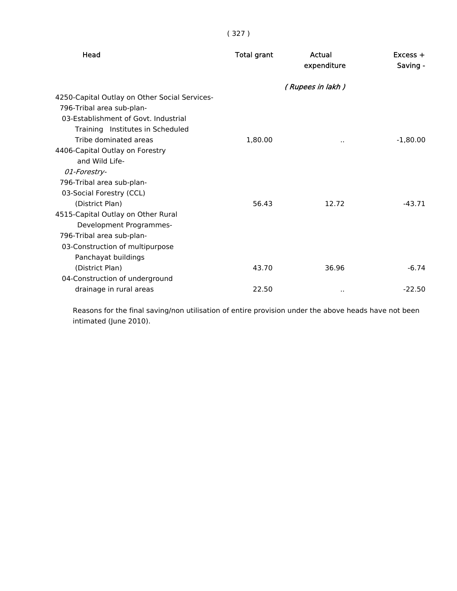| Head                                          | <b>Total grant</b> | Actual<br>expenditure | $Excess +$<br>Saving - |
|-----------------------------------------------|--------------------|-----------------------|------------------------|
|                                               |                    | (Rupees in lakh)      |                        |
| 4250-Capital Outlay on Other Social Services- |                    |                       |                        |
| 796-Tribal area sub-plan-                     |                    |                       |                        |
| 03-Establishment of Govt, Industrial          |                    |                       |                        |
| Training Institutes in Scheduled              |                    |                       |                        |
| Tribe dominated areas                         | 1,80.00            |                       | $-1,80.00$             |
| 4406-Capital Outlay on Forestry               |                    |                       |                        |
| and Wild Life-                                |                    |                       |                        |
| 01-Forestry-                                  |                    |                       |                        |
| 796-Tribal area sub-plan-                     |                    |                       |                        |
| 03-Social Forestry (CCL)                      |                    |                       |                        |
| (District Plan)                               | 56.43              | 12.72                 | $-43.71$               |
| 4515-Capital Outlay on Other Rural            |                    |                       |                        |
| Development Programmes-                       |                    |                       |                        |
| 796-Tribal area sub-plan-                     |                    |                       |                        |
| 03-Construction of multipurpose               |                    |                       |                        |
| Panchayat buildings                           |                    |                       |                        |
| (District Plan)                               | 43.70              | 36.96                 | $-6.74$                |
| 04-Construction of underground                |                    |                       |                        |
| drainage in rural areas                       | 22.50              | $\cdot$ .             | $-22.50$               |

 Reasons for the final saving/non utilisation of entire provision under the above heads have not been intimated (June 2010).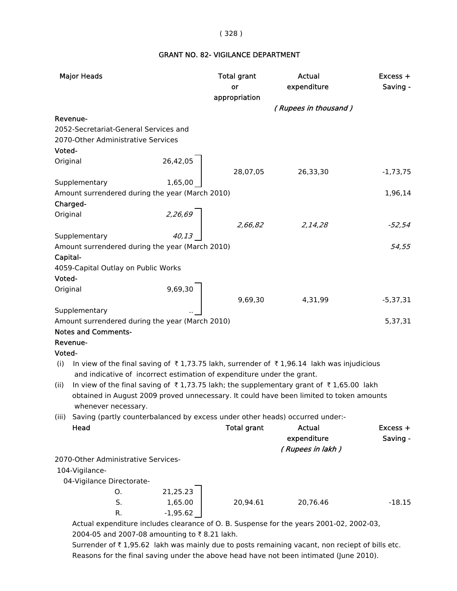#### ( 328 )

## GRANT NO. 82- VIGILANCE DEPARTMENT

| <b>Major Heads</b>                                                                              |            | <b>Total grant</b><br>or | <b>Actual</b><br>expenditure | Excess +<br>Saving - |
|-------------------------------------------------------------------------------------------------|------------|--------------------------|------------------------------|----------------------|
|                                                                                                 |            | appropriation            |                              |                      |
|                                                                                                 |            |                          | (Rupees in thousand)         |                      |
| Revenue-                                                                                        |            |                          |                              |                      |
| 2052-Secretariat-General Services and                                                           |            |                          |                              |                      |
| 2070-Other Administrative Services                                                              |            |                          |                              |                      |
| Voted-                                                                                          |            |                          |                              |                      |
| Original                                                                                        | 26,42,05   |                          |                              |                      |
|                                                                                                 |            | 28,07,05                 | 26,33,30                     | $-1,73,75$           |
| Supplementary                                                                                   | 1,65,00    |                          |                              |                      |
| Amount surrendered during the year (March 2010)                                                 |            |                          |                              | 1,96,14              |
| Charged-                                                                                        |            |                          |                              |                      |
| Original                                                                                        | 2,26,69    |                          |                              |                      |
|                                                                                                 |            | 2,66,82                  | 2,14,28                      | -52,54               |
| Supplementary                                                                                   |            |                          |                              | 54,55                |
| Amount surrendered during the year (March 2010)                                                 |            |                          |                              |                      |
| Capital-<br>4059-Capital Outlay on Public Works                                                 |            |                          |                              |                      |
| Voted-                                                                                          |            |                          |                              |                      |
| Original                                                                                        |            |                          |                              |                      |
|                                                                                                 | 9,69,30    | 9,69,30                  | 4,31,99                      | $-5,37,31$           |
| Supplementary                                                                                   |            |                          |                              |                      |
| Amount surrendered during the year (March 2010)                                                 |            |                          |                              | 5,37,31              |
| <b>Notes and Comments-</b>                                                                      |            |                          |                              |                      |
| Revenue-                                                                                        |            |                          |                              |                      |
| Voted-                                                                                          |            |                          |                              |                      |
| In view of the final saving of ₹1,73.75 lakh, surrender of ₹1,96.14 lakh was injudicious<br>(i) |            |                          |                              |                      |
| and indicative of incorrect estimation of expenditure under the grant.                          |            |                          |                              |                      |
| In view of the final saving of ₹1,73.75 lakh; the supplementary grant of ₹1,65.00 lakh<br>(ii)  |            |                          |                              |                      |
| obtained in August 2009 proved unnecessary. It could have been limited to token amounts         |            |                          |                              |                      |
| whenever necessary.                                                                             |            |                          |                              |                      |
| Saving (partly counterbalanced by excess under other heads) occurred under:-<br>(iii)           |            |                          |                              |                      |
| Head                                                                                            |            | <b>Total grant</b>       | <b>Actual</b>                | Excess +             |
|                                                                                                 |            |                          | expenditure                  | Saving -             |
|                                                                                                 |            |                          | (Rupees in lakh)             |                      |
| 2070-Other Administrative Services-                                                             |            |                          |                              |                      |
| 104-Vigilance-                                                                                  |            |                          |                              |                      |
| 04-Vigilance Directorate-                                                                       |            |                          |                              |                      |
| O.                                                                                              | 21,25.23   |                          |                              |                      |
| S.                                                                                              | 1,65.00    | 20,94.61                 | 20,76.46                     | $-18.15$             |
| R.                                                                                              | $-1,95.62$ |                          |                              |                      |
| Actual expenditure includes clearance of O. B. Suspense for the years 2001-02, 2002-03,         |            |                          |                              |                      |

2004-05 and 2007-08 amounting to ₹8.21 lakh.

Surrender of  $\bar{\tau}$  1,95.62 lakh was mainly due to posts remaining vacant, non reciept of bills etc. Reasons for the final saving under the above head have not been intimated (June 2010).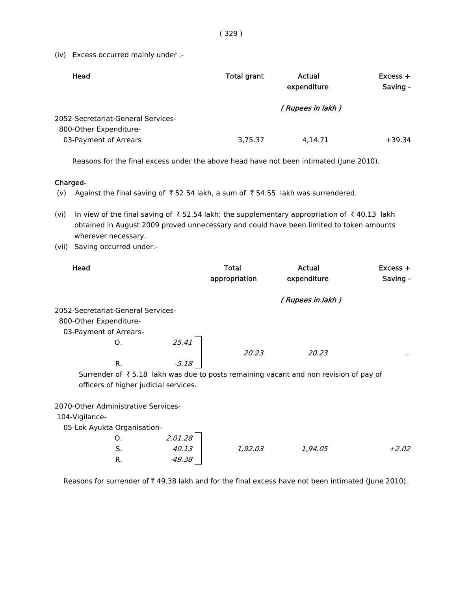(iv) Excess occurred mainly under :-

| Head                                            | <b>Total grant</b> | Actual<br>expenditure | $Excess +$<br>Saving - |
|-------------------------------------------------|--------------------|-----------------------|------------------------|
| 2052-Secretariat-General Services-              |                    | (Rupees in lakh)      |                        |
| 800-Other Expenditure-<br>03-Payment of Arrears | 3,75.37            | 4.14.71               | $+39.34$               |

Reasons for the final excess under the above head have not been intimated (June 2010).

#### Charged-

(v) Against the final saving of  $\overline{\tau}$  52.54 lakh, a sum of  $\overline{\tau}$  54.55 lakh was surrendered.

(vi) In view of the final saving of  $\bar{\tau}$  52.54 lakh; the supplementary appropriation of  $\bar{\tau}$  40.13 lakh obtained in August 2009 proved unnecessary and could have been limited to token amounts wherever necessary.

(vii) Saving occurred under:-

| Head                                |    |                                       | Total<br>appropriation | Actual<br>expenditure                                                                | $Excess +$<br>Saving - |
|-------------------------------------|----|---------------------------------------|------------------------|--------------------------------------------------------------------------------------|------------------------|
|                                     |    |                                       |                        | (Rupees in lakh)                                                                     |                        |
| 2052-Secretariat-General Services-  |    |                                       |                        |                                                                                      |                        |
| 800-Other Expenditure-              |    |                                       |                        |                                                                                      |                        |
| 03-Payment of Arrears-              |    |                                       |                        |                                                                                      |                        |
|                                     | Ο. | 25.41                                 |                        |                                                                                      |                        |
|                                     |    |                                       | 20.23                  | 20.23                                                                                |                        |
|                                     | R. | $-5.18$                               |                        |                                                                                      |                        |
|                                     |    |                                       |                        | Surrender of ₹5.18 lakh was due to posts remaining vacant and non revision of pay of |                        |
|                                     |    | officers of higher judicial services. |                        |                                                                                      |                        |
|                                     |    |                                       |                        |                                                                                      |                        |
| 2070-Other Administrative Services- |    |                                       |                        |                                                                                      |                        |
| 104-Vigilance-                      |    |                                       |                        |                                                                                      |                        |
| 05-Lok Ayukta Organisation-         |    |                                       |                        |                                                                                      |                        |
|                                     | O. | 2,01.28                               |                        |                                                                                      |                        |
|                                     | S. | 40.13                                 | 1,92.03                | 1,94.05                                                                              | $+2.02$                |
|                                     | R. | $-49.38$                              |                        |                                                                                      |                        |

Reasons for surrender of  $\bar{\tau}$  49.38 lakh and for the final excess have not been intimated (June 2010).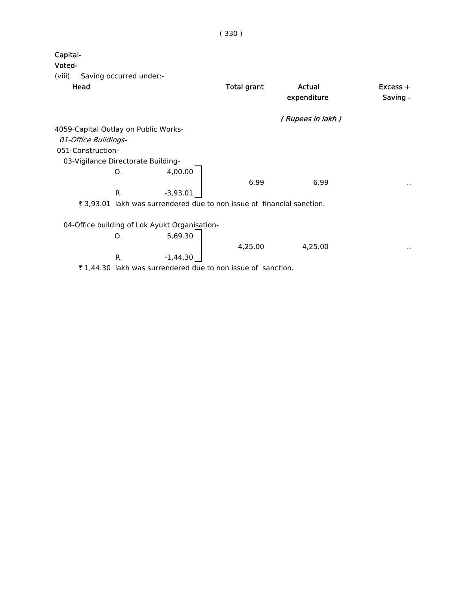| Capital-<br>Voted-                   |                                    |                                                                        |                    |                       |                      |
|--------------------------------------|------------------------------------|------------------------------------------------------------------------|--------------------|-----------------------|----------------------|
| (viii)                               | Saving occurred under:-            |                                                                        |                    |                       |                      |
| Head                                 |                                    |                                                                        | <b>Total grant</b> | Actual<br>expenditure | Excess +<br>Saving - |
|                                      |                                    |                                                                        |                    | ( Rupees in lakh )    |                      |
| 4059-Capital Outlay on Public Works- |                                    |                                                                        |                    |                       |                      |
| 01-Office Buildings-                 |                                    |                                                                        |                    |                       |                      |
| 051-Construction-                    |                                    |                                                                        |                    |                       |                      |
|                                      | 03-Vigilance Directorate Building- |                                                                        |                    |                       |                      |
|                                      | O.                                 | 4,00.00                                                                |                    |                       |                      |
|                                      |                                    |                                                                        | 6.99               | 6.99                  | $\sim$               |
|                                      | R.                                 | $-3,93.01$                                                             |                    |                       |                      |
|                                      |                                    | ₹ 3,93.01 lakh was surrendered due to non issue of financial sanction. |                    |                       |                      |
|                                      |                                    |                                                                        |                    |                       |                      |
|                                      |                                    | 04-Office building of Lok Ayukt Organisation-                          |                    |                       |                      |
|                                      | Ο.                                 | 5,69.30                                                                |                    |                       |                      |
|                                      |                                    |                                                                        | 4,25.00            | 4,25.00               | $\sim$               |
|                                      | R.                                 | $-1,44.30$                                                             |                    |                       |                      |
|                                      |                                    | ₹1,44.30 lakh was surrendered due to non issue of sanction.            |                    |                       |                      |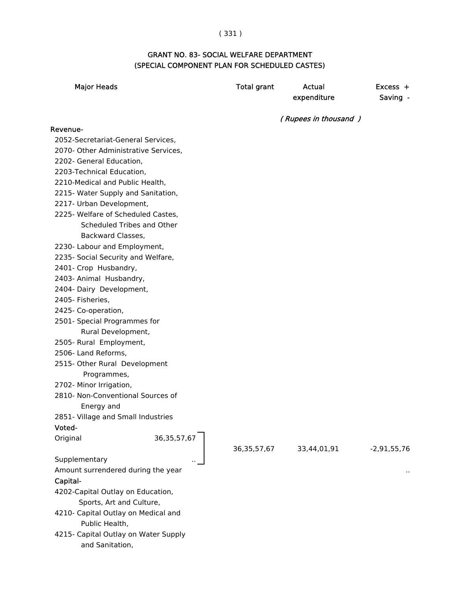# ( 331 )

## GRANT NO. 83- SOCIAL WELFARE DEPARTMENT (SPECIAL COMPONENT PLAN FOR SCHEDULED CASTES)

| <b>Major Heads</b>                   |                | <b>Total grant</b> | <b>Actual</b><br>expenditure | $Excess +$<br>Saving - |
|--------------------------------------|----------------|--------------------|------------------------------|------------------------|
|                                      |                |                    | (Rupees in thousand)         |                        |
| Revenue-                             |                |                    |                              |                        |
| 2052-Secretariat-General Services,   |                |                    |                              |                        |
| 2070- Other Administrative Services, |                |                    |                              |                        |
| 2202- General Education,             |                |                    |                              |                        |
| 2203-Technical Education,            |                |                    |                              |                        |
| 2210-Medical and Public Health,      |                |                    |                              |                        |
| 2215- Water Supply and Sanitation,   |                |                    |                              |                        |
| 2217- Urban Development,             |                |                    |                              |                        |
| 2225- Welfare of Scheduled Castes,   |                |                    |                              |                        |
| Scheduled Tribes and Other           |                |                    |                              |                        |
| Backward Classes,                    |                |                    |                              |                        |
| 2230- Labour and Employment,         |                |                    |                              |                        |
| 2235- Social Security and Welfare,   |                |                    |                              |                        |
| 2401- Crop Husbandry,                |                |                    |                              |                        |
| 2403- Animal Husbandry,              |                |                    |                              |                        |
| 2404- Dairy Development,             |                |                    |                              |                        |
| 2405- Fisheries,                     |                |                    |                              |                        |
| 2425- Co-operation,                  |                |                    |                              |                        |
| 2501- Special Programmes for         |                |                    |                              |                        |
| Rural Development,                   |                |                    |                              |                        |
| 2505- Rural Employment,              |                |                    |                              |                        |
| 2506- Land Reforms,                  |                |                    |                              |                        |
| 2515- Other Rural Development        |                |                    |                              |                        |
| Programmes,                          |                |                    |                              |                        |
| 2702- Minor Irrigation,              |                |                    |                              |                        |
| 2810- Non-Conventional Sources of    |                |                    |                              |                        |
| Energy and                           |                |                    |                              |                        |
| 2851- Village and Small Industries   |                |                    |                              |                        |
| Voted-                               |                |                    |                              |                        |
| Original                             | 36, 35, 57, 67 | 36, 35, 57, 67     | 33,44,01,91                  | $-2,91,55,76$          |
| Supplementary                        |                |                    |                              |                        |
| Amount surrendered during the year   |                |                    |                              |                        |
| Capital-                             |                |                    |                              |                        |
| 4202-Capital Outlay on Education,    |                |                    |                              |                        |
| Sports, Art and Culture,             |                |                    |                              |                        |
| 4210- Capital Outlay on Medical and  |                |                    |                              |                        |
| Public Health,                       |                |                    |                              |                        |
| 4215- Capital Outlay on Water Supply |                |                    |                              |                        |
| and Sanitation,                      |                |                    |                              |                        |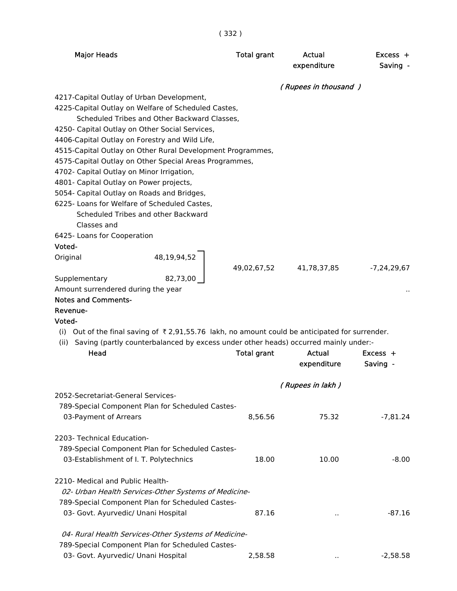| × | ۰. | m. |
|---|----|----|
|---|----|----|

| <b>Major Heads</b>                                                                                         |                                                                                     | <b>Total grant</b> | Actual<br>expenditure | $Excess +$<br>Saving - |
|------------------------------------------------------------------------------------------------------------|-------------------------------------------------------------------------------------|--------------------|-----------------------|------------------------|
| 4217-Capital Outlay of Urban Development,                                                                  |                                                                                     |                    | (Rupees in thousand)  |                        |
| 4225-Capital Outlay on Welfare of Scheduled Castes,                                                        |                                                                                     |                    |                       |                        |
|                                                                                                            | Scheduled Tribes and Other Backward Classes,                                        |                    |                       |                        |
| 4250- Capital Outlay on Other Social Services,                                                             |                                                                                     |                    |                       |                        |
| 4406-Capital Outlay on Forestry and Wild Life,                                                             |                                                                                     |                    |                       |                        |
| 4515-Capital Outlay on Other Rural Development Programmes,                                                 |                                                                                     |                    |                       |                        |
| 4575-Capital Outlay on Other Special Areas Programmes,                                                     |                                                                                     |                    |                       |                        |
| 4702- Capital Outlay on Minor Irrigation,<br>4801- Capital Outlay on Power projects,                       |                                                                                     |                    |                       |                        |
| 5054- Capital Outlay on Roads and Bridges,                                                                 |                                                                                     |                    |                       |                        |
| 6225- Loans for Welfare of Scheduled Castes,                                                               |                                                                                     |                    |                       |                        |
|                                                                                                            | Scheduled Tribes and other Backward                                                 |                    |                       |                        |
| Classes and                                                                                                |                                                                                     |                    |                       |                        |
| 6425- Loans for Cooperation                                                                                |                                                                                     |                    |                       |                        |
| Voted-                                                                                                     |                                                                                     |                    |                       |                        |
| Original                                                                                                   | 48,19,94,52                                                                         |                    |                       |                        |
|                                                                                                            |                                                                                     | 49,02,67,52        | 41,78,37,85           | $-7,24,29,67$          |
| Supplementary                                                                                              | 82,73,00                                                                            |                    |                       |                        |
| Amount surrendered during the year                                                                         |                                                                                     |                    |                       |                        |
| <b>Notes and Comments-</b><br>Revenue-                                                                     |                                                                                     |                    |                       |                        |
| Voted-                                                                                                     |                                                                                     |                    |                       |                        |
| (i) Out of the final saving of $\bar{\tau}$ 2,91,55.76 lakh, no amount could be anticipated for surrender. |                                                                                     |                    |                       |                        |
| (ii)                                                                                                       | Saving (partly counterbalanced by excess under other heads) occurred mainly under:- |                    |                       |                        |
| Head                                                                                                       |                                                                                     | <b>Total grant</b> | Actual                | $Excess +$             |
|                                                                                                            |                                                                                     |                    | expenditure           | Saving -               |
|                                                                                                            |                                                                                     |                    | (Rupees in lakh)      |                        |
| 2052-Secretariat-General Services-                                                                         |                                                                                     |                    |                       |                        |
| 789-Special Component Plan for Scheduled Castes-                                                           |                                                                                     |                    |                       |                        |
| 03-Payment of Arrears                                                                                      |                                                                                     | 8,56.56            | 75.32                 | $-7,81.24$             |
| 2203- Technical Education-                                                                                 |                                                                                     |                    |                       |                        |
| 789-Special Component Plan for Scheduled Castes-                                                           |                                                                                     |                    |                       |                        |
| 03-Establishment of I. T. Polytechnics                                                                     |                                                                                     |                    |                       |                        |
|                                                                                                            |                                                                                     | 18.00              | 10.00                 | $-8.00$                |
| 2210- Medical and Public Health-                                                                           |                                                                                     |                    |                       |                        |
|                                                                                                            | 02- Urban Health Services-Other Systems of Medicine-                                |                    |                       |                        |
| 789-Special Component Plan for Scheduled Castes-                                                           |                                                                                     |                    |                       |                        |
| 03- Govt. Ayurvedic/ Unani Hospital                                                                        |                                                                                     | 87.16              |                       | $-87.16$               |
|                                                                                                            | 04- Rural Health Services-Other Systems of Medicine-                                |                    |                       |                        |
| 789-Special Component Plan for Scheduled Castes-                                                           |                                                                                     |                    |                       |                        |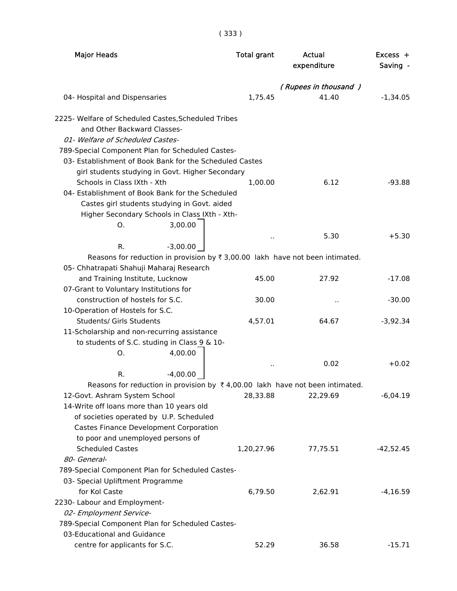( 333 )

| <b>Major Heads</b>                                                                                                                                                         | <b>Total grant</b>   | <b>Actual</b><br>expenditure | Excess +<br>Saving - |
|----------------------------------------------------------------------------------------------------------------------------------------------------------------------------|----------------------|------------------------------|----------------------|
|                                                                                                                                                                            | (Rupees in thousand) |                              |                      |
| 04- Hospital and Dispensaries                                                                                                                                              | 1,75.45              | 41.40                        | $-1,34.05$           |
| 2225- Welfare of Scheduled Castes, Scheduled Tribes<br>and Other Backward Classes-<br>01- Welfare of Scheduled Castes-<br>789-Special Component Plan for Scheduled Castes- |                      |                              |                      |
| 03- Establishment of Book Bank for the Scheduled Castes                                                                                                                    |                      |                              |                      |
| girl students studying in Govt. Higher Secondary                                                                                                                           |                      |                              |                      |
| Schools in Class IXth - Xth                                                                                                                                                | 1,00.00              | 6.12                         | $-93.88$             |
| 04- Establishment of Book Bank for the Scheduled                                                                                                                           |                      |                              |                      |
| Castes girl students studying in Govt. aided                                                                                                                               |                      |                              |                      |
| Higher Secondary Schools in Class IXth - Xth-                                                                                                                              |                      |                              |                      |
| 3,00.00<br>O.                                                                                                                                                              |                      |                              |                      |
|                                                                                                                                                                            | $\ddot{\phantom{a}}$ | 5.30                         | $+5.30$              |
| $-3,00.00$<br>R.                                                                                                                                                           |                      |                              |                      |
| Reasons for reduction in provision by $\overline{\tau}$ 3,00.00 lakh have not been intimated.                                                                              |                      |                              |                      |
| 05- Chhatrapati Shahuji Maharaj Research                                                                                                                                   |                      |                              |                      |
| and Training Institute, Lucknow                                                                                                                                            | 45.00                | 27.92                        | $-17.08$             |
| 07-Grant to Voluntary Institutions for                                                                                                                                     |                      |                              |                      |
| construction of hostels for S.C.                                                                                                                                           | 30.00                |                              | $-30.00$             |
| 10-Operation of Hostels for S.C.                                                                                                                                           |                      |                              |                      |
| Students/ Girls Students                                                                                                                                                   | 4,57.01              | 64.67                        | $-3,92.34$           |
| 11-Scholarship and non-recurring assistance                                                                                                                                |                      |                              |                      |
| to students of S.C. studing in Class 9 & 10-                                                                                                                               |                      |                              |                      |
| 4,00.00<br>О.                                                                                                                                                              |                      |                              |                      |
|                                                                                                                                                                            |                      | 0.02                         | $+0.02$              |
| $-4,00.00$<br>R.                                                                                                                                                           |                      |                              |                      |
| Reasons for reduction in provision by $\bar{\tau}$ 4,00.00 lakh have not been intimated.                                                                                   |                      |                              |                      |
| 12-Govt. Ashram System School                                                                                                                                              | 28,33.88             | 22,29.69                     | $-6,04.19$           |
| 14-Write off loans more than 10 years old                                                                                                                                  |                      |                              |                      |
| of societies operated by U.P. Scheduled                                                                                                                                    |                      |                              |                      |
| Castes Finance Development Corporation                                                                                                                                     |                      |                              |                      |
| to poor and unemployed persons of                                                                                                                                          |                      |                              |                      |
| <b>Scheduled Castes</b>                                                                                                                                                    | 1,20,27.96           | 77,75.51                     | $-42,52.45$          |
| 80- General-                                                                                                                                                               |                      |                              |                      |
| 789-Special Component Plan for Scheduled Castes-                                                                                                                           |                      |                              |                      |
| 03- Special Upliftment Programme                                                                                                                                           |                      |                              |                      |
| for Kol Caste                                                                                                                                                              | 6,79.50              | 2,62.91                      | $-4,16.59$           |
| 2230- Labour and Employment-                                                                                                                                               |                      |                              |                      |
| 02- Employment Service-                                                                                                                                                    |                      |                              |                      |
| 789-Special Component Plan for Scheduled Castes-                                                                                                                           |                      |                              |                      |
| 03-Educational and Guidance                                                                                                                                                |                      |                              |                      |
| centre for applicants for S.C.                                                                                                                                             | 52.29                | 36.58                        | $-15.71$             |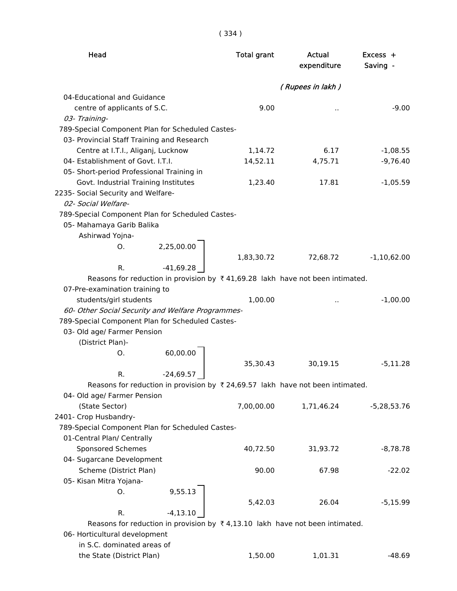| ۰,<br>۰<br>× |  |  |  |  |
|--------------|--|--|--|--|
|--------------|--|--|--|--|

| Head                                                                                          | <b>Total grant</b> | Actual<br>expenditure | Excess +<br>Saving - |
|-----------------------------------------------------------------------------------------------|--------------------|-----------------------|----------------------|
|                                                                                               |                    | (Rupees in lakh)      |                      |
| 04-Educational and Guidance                                                                   |                    |                       |                      |
| centre of applicants of S.C.                                                                  | 9.00               |                       | $-9.00$              |
| 03- Training-                                                                                 |                    |                       |                      |
| 789-Special Component Plan for Scheduled Castes-                                              |                    |                       |                      |
| 03- Provincial Staff Training and Research                                                    |                    |                       |                      |
| Centre at I.T.I., Aliganj, Lucknow                                                            | 1,14.72            | 6.17                  | $-1,08.55$           |
| 04- Establishment of Govt. I.T.I.                                                             | 14,52.11           | 4,75.71               | $-9,76.40$           |
| 05- Short-period Professional Training in                                                     |                    |                       |                      |
| Govt. Industrial Training Institutes                                                          | 1,23.40            | 17.81                 | $-1,05.59$           |
| 2235- Social Security and Welfare-                                                            |                    |                       |                      |
| 02- Social Welfare-                                                                           |                    |                       |                      |
| 789-Special Component Plan for Scheduled Castes-                                              |                    |                       |                      |
| 05- Mahamaya Garib Balika                                                                     |                    |                       |                      |
| Ashirwad Yojna-                                                                               |                    |                       |                      |
| 2,25,00.00<br>O.                                                                              |                    |                       |                      |
|                                                                                               | 1,83,30.72         | 72,68.72              | $-1,10,62.00$        |
| $-41,69.28$<br>R.                                                                             |                    |                       |                      |
| Reasons for reduction in provision by $\bar{x}$ 41,69.28 lakh have not been intimated.        |                    |                       |                      |
| 07-Pre-examination training to                                                                |                    |                       |                      |
| students/girl students                                                                        | 1,00.00            |                       | $-1,00.00$           |
| 60- Other Social Security and Welfare Programmes-                                             |                    |                       |                      |
| 789-Special Component Plan for Scheduled Castes-                                              |                    |                       |                      |
| 03- Old age/ Farmer Pension                                                                   |                    |                       |                      |
| (District Plan)-                                                                              |                    |                       |                      |
| O.                                                                                            |                    |                       |                      |
| 60,00.00                                                                                      | 35,30.43           | 30,19.15              | $-5,11.28$           |
| $-24,69.57$<br>R.                                                                             |                    |                       |                      |
| Reasons for reduction in provision by $\bar{\tau}$ 24,69.57 lakh have not been intimated.     |                    |                       |                      |
| 04- Old age/ Farmer Pension                                                                   |                    |                       |                      |
| (State Sector)                                                                                | 7,00,00.00         | 1,71,46.24            | $-5,28,53.76$        |
| 2401- Crop Husbandry-                                                                         |                    |                       |                      |
| 789-Special Component Plan for Scheduled Castes-                                              |                    |                       |                      |
| 01-Central Plan/ Centrally                                                                    |                    |                       |                      |
| Sponsored Schemes                                                                             | 40,72.50           | 31,93.72              | $-8,78.78$           |
| 04- Sugarcane Development                                                                     |                    |                       |                      |
| Scheme (District Plan)                                                                        | 90.00              | 67.98                 | $-22.02$             |
| 05- Kisan Mitra Yojana-                                                                       |                    |                       |                      |
| 9,55.13<br>O.                                                                                 |                    |                       |                      |
|                                                                                               | 5,42.03            | 26.04                 | $-5,15.99$           |
| R.<br>$-4, 13.10$                                                                             |                    |                       |                      |
| Reasons for reduction in provision by $\overline{\tau}$ 4,13.10 lakh have not been intimated. |                    |                       |                      |
| 06- Horticultural development                                                                 |                    |                       |                      |
| in S.C. dominated areas of                                                                    |                    |                       |                      |
| the State (District Plan)                                                                     | 1,50.00            | 1,01.31               | $-48.69$             |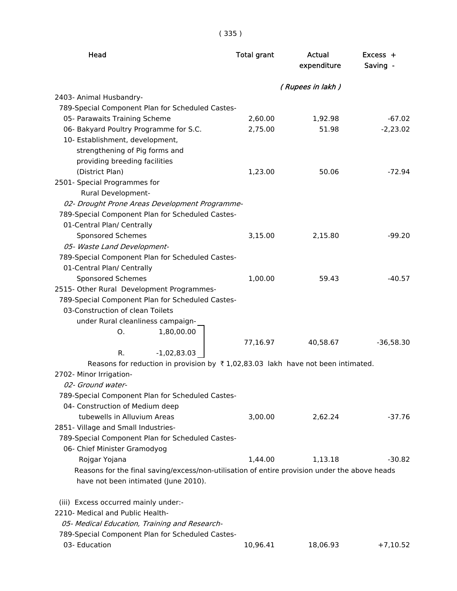| Head                                                                                             | <b>Total grant</b> | Actual<br>expenditure | $Excess +$<br>Saving - |
|--------------------------------------------------------------------------------------------------|--------------------|-----------------------|------------------------|
|                                                                                                  |                    | (Rupees in lakh)      |                        |
| 2403- Animal Husbandry-                                                                          |                    |                       |                        |
| 789-Special Component Plan for Scheduled Castes-                                                 |                    |                       |                        |
| 05- Parawaits Training Scheme                                                                    | 2,60.00            | 1,92.98               | $-67.02$               |
| 06- Bakyard Poultry Programme for S.C.                                                           | 2,75.00            | 51.98                 | $-2,23.02$             |
| 10- Establishment, development,                                                                  |                    |                       |                        |
| strengthening of Pig forms and                                                                   |                    |                       |                        |
| providing breeding facilities                                                                    |                    |                       |                        |
| (District Plan)                                                                                  | 1,23.00            | 50.06                 | $-72.94$               |
| 2501- Special Programmes for                                                                     |                    |                       |                        |
| Rural Development-                                                                               |                    |                       |                        |
| 02- Drought Prone Areas Development Programme-                                                   |                    |                       |                        |
| 789-Special Component Plan for Scheduled Castes-                                                 |                    |                       |                        |
| 01-Central Plan/ Centrally                                                                       |                    |                       |                        |
| Sponsored Schemes                                                                                | 3,15.00            | 2,15.80               | $-99.20$               |
| 05- Waste Land Development-                                                                      |                    |                       |                        |
| 789-Special Component Plan for Scheduled Castes-                                                 |                    |                       |                        |
| 01-Central Plan/ Centrally                                                                       | 1,00.00            | 59.43                 | $-40.57$               |
| Sponsored Schemes<br>2515- Other Rural Development Programmes-                                   |                    |                       |                        |
| 789-Special Component Plan for Scheduled Castes-                                                 |                    |                       |                        |
| 03-Construction of clean Toilets                                                                 |                    |                       |                        |
| under Rural cleanliness campaign-                                                                |                    |                       |                        |
| 1,80,00.00<br>O.                                                                                 |                    |                       |                        |
|                                                                                                  | 77,16.97           | 40,58.67              | $-36,58.30$            |
| $-1,02,83.03$<br>R.                                                                              |                    |                       |                        |
| Reasons for reduction in provision by $\overline{\tau}$ 1,02,83.03 lakh have not been intimated. |                    |                       |                        |
| 2702- Minor Irrigation-                                                                          |                    |                       |                        |
| 02- Ground water-                                                                                |                    |                       |                        |
| 789-Special Component Plan for Scheduled Castes-                                                 |                    |                       |                        |
| 04- Construction of Medium deep                                                                  |                    |                       |                        |
| tubewells in Alluvium Areas                                                                      | 3,00.00            | 2,62.24               | $-37.76$               |
| 2851- Village and Small Industries-                                                              |                    |                       |                        |
| 789-Special Component Plan for Scheduled Castes-                                                 |                    |                       |                        |
| 06- Chief Minister Gramodyog                                                                     |                    |                       |                        |
| Rojgar Yojana                                                                                    | 1,44.00            | 1,13.18               | $-30.82$               |
| Reasons for the final saving/excess/non-utilisation of entire provision under the above heads    |                    |                       |                        |
| have not been intimated (June 2010).                                                             |                    |                       |                        |
| (iii) Excess occurred mainly under:-                                                             |                    |                       |                        |
| 2210- Medical and Public Health-                                                                 |                    |                       |                        |
| 05- Medical Education, Training and Research-                                                    |                    |                       |                        |
| 789-Special Component Plan for Scheduled Castes-                                                 |                    |                       |                        |
| 03- Education                                                                                    | 10,96.41           | 18,06.93              | $+7,10.52$             |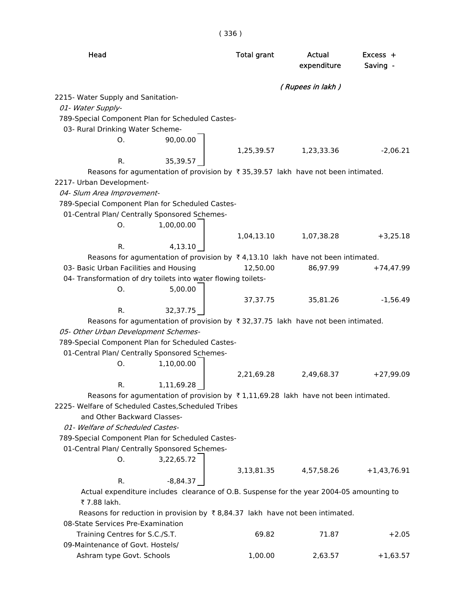| Head                                                                                                        | <b>Total grant</b> | Actual<br>expenditure | Excess +<br>Saving - |
|-------------------------------------------------------------------------------------------------------------|--------------------|-----------------------|----------------------|
|                                                                                                             |                    | (Rupees in lakh)      |                      |
| 2215- Water Supply and Sanitation-<br>01- Water Supply-                                                     |                    |                       |                      |
| 789-Special Component Plan for Scheduled Castes-                                                            |                    |                       |                      |
| 03- Rural Drinking Water Scheme-                                                                            |                    |                       |                      |
| 90,00.00<br>O.                                                                                              |                    |                       |                      |
|                                                                                                             |                    | 1,25,39.57 1,23,33.36 | $-2,06.21$           |
| 35,39.57<br>R.                                                                                              |                    |                       |                      |
| Reasons for agumentation of provision by ₹35,39.57 lakh have not been intimated.                            |                    |                       |                      |
| 2217- Urban Development-                                                                                    |                    |                       |                      |
| 04- Slum Area Improvement-<br>789-Special Component Plan for Scheduled Castes-                              |                    |                       |                      |
| 01-Central Plan/ Centrally Sponsored Schemes-                                                               |                    |                       |                      |
| 1,00,00.00<br>Ο.                                                                                            |                    |                       |                      |
|                                                                                                             | 1,04,13.10         | 1,07,38.28            | $+3,25.18$           |
| R.<br>4,13.10                                                                                               |                    |                       |                      |
| Reasons for agumentation of provision by $\bar{\tau}$ 4,13.10 lakh have not been intimated.                 |                    |                       |                      |
| 03- Basic Urban Facilities and Housing                                                                      | 12,50.00           | 86,97.99              | $+74,47.99$          |
| 04- Transformation of dry toilets into water flowing toilets-                                               |                    |                       |                      |
| 5,00.00<br>О.                                                                                               |                    |                       |                      |
|                                                                                                             | 37,37.75           | 35,81.26              | $-1,56.49$           |
| R.<br>32,37.75                                                                                              |                    |                       |                      |
| Reasons for agumentation of provision by $\bar{\tau}$ 32,37.75 lakh have not been intimated.                |                    |                       |                      |
| 05- Other Urban Development Schemes-                                                                        |                    |                       |                      |
| 789-Special Component Plan for Scheduled Castes-                                                            |                    |                       |                      |
| 01-Central Plan/ Centrally Sponsored Schemes-                                                               |                    |                       |                      |
| 1,10,00.00<br>О.                                                                                            |                    |                       |                      |
|                                                                                                             | 2,21,69.28         | 2,49,68.37            | $+27,99.09$          |
| 1,11,69.28<br>R.                                                                                            |                    |                       |                      |
| Reasons for agumentation of provision by $\overline{x}$ 1,11,69.28 lakh have not been intimated.            |                    |                       |                      |
| 2225- Welfare of Scheduled Castes, Scheduled Tribes                                                         |                    |                       |                      |
| and Other Backward Classes-                                                                                 |                    |                       |                      |
| 01- Welfare of Scheduled Castes-                                                                            |                    |                       |                      |
| 789-Special Component Plan for Scheduled Castes-                                                            |                    |                       |                      |
| 01-Central Plan/ Centrally Sponsored Schemes-                                                               |                    |                       |                      |
| 3,22,65.72<br>Ο.                                                                                            |                    |                       |                      |
|                                                                                                             | 3,13,81.35         | 4,57,58.26            | $+1,43,76.91$        |
| R.<br>$-8,84.37$                                                                                            |                    |                       |                      |
| Actual expenditure includes clearance of O.B. Suspense for the year 2004-05 amounting to                    |                    |                       |                      |
| ₹7.88 lakh.<br>Reasons for reduction in provision by $\overline{\xi}$ 8,84.37 lakh have not been intimated. |                    |                       |                      |
| 08-State Services Pre-Examination                                                                           |                    |                       |                      |
| Training Centres for S.C./S.T.                                                                              | 69.82              | 71.87                 | $+2.05$              |
| 09-Maintenance of Govt. Hostels/                                                                            |                    |                       |                      |
| Ashram type Govt. Schools                                                                                   | 1,00.00            | 2,63.57               | $+1,63.57$           |
|                                                                                                             |                    |                       |                      |

( 336 )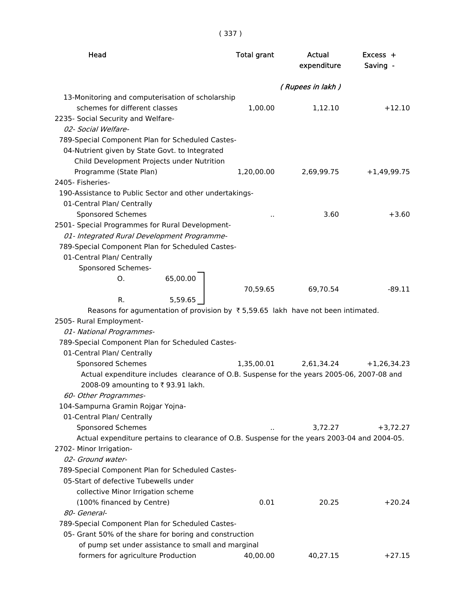( 337 )

| Head                                                                                               | <b>Total grant</b> | Actual<br>expenditure | $Excess +$<br>Saving - |
|----------------------------------------------------------------------------------------------------|--------------------|-----------------------|------------------------|
|                                                                                                    |                    | (Rupees in lakh)      |                        |
| 13-Monitoring and computerisation of scholarship                                                   |                    |                       |                        |
| schemes for different classes                                                                      | 1,00.00            | 1,12.10               | $+12.10$               |
| 2235- Social Security and Welfare-                                                                 |                    |                       |                        |
| 02- Social Welfare-                                                                                |                    |                       |                        |
| 789-Special Component Plan for Scheduled Castes-<br>04-Nutrient given by State Govt. to Integrated |                    |                       |                        |
| Child Development Projects under Nutrition                                                         |                    |                       |                        |
| Programme (State Plan)                                                                             | 1,20,00.00         | 2,69,99.75            | $+1,49,99.75$          |
| 2405- Fisheries-                                                                                   |                    |                       |                        |
| 190-Assistance to Public Sector and other undertakings-                                            |                    |                       |                        |
| 01-Central Plan/ Centrally                                                                         |                    |                       |                        |
| Sponsored Schemes                                                                                  |                    | 3.60                  | $+3.60$                |
| 2501- Special Programmes for Rural Development-                                                    |                    |                       |                        |
| 01- Integrated Rural Development Programme-                                                        |                    |                       |                        |
| 789-Special Component Plan for Scheduled Castes-                                                   |                    |                       |                        |
| 01-Central Plan/ Centrally                                                                         |                    |                       |                        |
| Sponsored Schemes-                                                                                 |                    |                       |                        |
| 65,00.00<br>Ο.                                                                                     |                    |                       |                        |
| 5,59.65                                                                                            | 70,59.65           | 69,70.54              | $-89.11$               |
| R.<br>Reasons for agumentation of provision by ₹5,59.65 lakh have not been intimated.              |                    |                       |                        |
| 2505- Rural Employment-                                                                            |                    |                       |                        |
| 01- National Programmes-                                                                           |                    |                       |                        |
| 789-Special Component Plan for Scheduled Castes-                                                   |                    |                       |                        |
| 01-Central Plan/ Centrally                                                                         |                    |                       |                        |
| <b>Sponsored Schemes</b>                                                                           | 1,35,00.01         | 2,61,34.24            | $+1,26,34.23$          |
| Actual expenditure includes clearance of O.B. Suspense for the years 2005-06, 2007-08 and          |                    |                       |                        |
| 2008-09 amounting to ₹93.91 lakh.                                                                  |                    |                       |                        |
| 60- Other Programmes-                                                                              |                    |                       |                        |
| 104-Sampurna Gramin Rojgar Yojna-                                                                  |                    |                       |                        |
| 01-Central Plan/ Centrally                                                                         |                    |                       |                        |
| Sponsored Schemes                                                                                  |                    | 3,72.27               | $+3,72.27$             |
| Actual expenditure pertains to clearance of O.B. Suspense for the years 2003-04 and 2004-05.       |                    |                       |                        |
| 2702- Minor Irrigation-                                                                            |                    |                       |                        |
| 02- Ground water-                                                                                  |                    |                       |                        |
| 789-Special Component Plan for Scheduled Castes-                                                   |                    |                       |                        |
| 05-Start of defective Tubewells under                                                              |                    |                       |                        |
| collective Minor Irrigation scheme<br>(100% financed by Centre)                                    | 0.01               | 20.25                 | $+20.24$               |
| 80- General-                                                                                       |                    |                       |                        |
| 789-Special Component Plan for Scheduled Castes-                                                   |                    |                       |                        |
| 05- Grant 50% of the share for boring and construction                                             |                    |                       |                        |
| of pump set under assistance to small and marginal                                                 |                    |                       |                        |
| formers for agriculture Production                                                                 | 40,00.00           | 40,27.15              | $+27.15$               |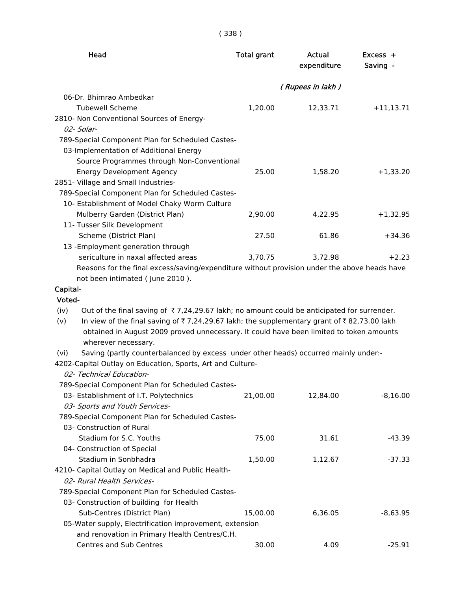| Head                                                                                                                | <b>Total grant</b> | Actual<br>expenditure | $Excess +$<br>Saving - |
|---------------------------------------------------------------------------------------------------------------------|--------------------|-----------------------|------------------------|
|                                                                                                                     |                    | (Rupees in lakh)      |                        |
| 06-Dr. Bhimrao Ambedkar                                                                                             |                    |                       |                        |
| <b>Tubewell Scheme</b>                                                                                              | 1,20.00            | 12,33.71              | $+11,13.71$            |
| 2810- Non Conventional Sources of Energy-                                                                           |                    |                       |                        |
| 02- Solar-                                                                                                          |                    |                       |                        |
| 789-Special Component Plan for Scheduled Castes-                                                                    |                    |                       |                        |
| 03-Implementation of Additional Energy                                                                              |                    |                       |                        |
| Source Programmes through Non-Conventional                                                                          |                    |                       |                        |
| <b>Energy Development Agency</b>                                                                                    | 25.00              | 1,58.20               | $+1,33.20$             |
| 2851- Village and Small Industries-                                                                                 |                    |                       |                        |
| 789-Special Component Plan for Scheduled Castes-                                                                    |                    |                       |                        |
| 10- Establishment of Model Chaky Worm Culture                                                                       |                    |                       |                        |
| Mulberry Garden (District Plan)                                                                                     | 2,90.00            | 4,22.95               | $+1,32.95$             |
| 11- Tusser Silk Development                                                                                         |                    |                       |                        |
| Scheme (District Plan)                                                                                              | 27.50              | 61.86                 | $+34.36$               |
| 13 - Employment generation through                                                                                  |                    |                       |                        |
| sericulture in naxal affected areas                                                                                 | 3,70.75            | 3,72.98               | $+2.23$                |
| Reasons for the final excess/saving/expenditure without provision under the above heads have                        |                    |                       |                        |
| not been intimated (June 2010).                                                                                     |                    |                       |                        |
| Capital-                                                                                                            |                    |                       |                        |
| Voted-                                                                                                              |                    |                       |                        |
| Out of the final saving of $\overline{\tau}$ 7,24,29.67 lakh; no amount could be anticipated for surrender.<br>(iv) |                    |                       |                        |
| In view of the final saving of ₹7,24,29.67 lakh; the supplementary grant of ₹82,73.00 lakh<br>(v)                   |                    |                       |                        |
| obtained in August 2009 proved unnecessary. It could have been limited to token amounts                             |                    |                       |                        |
| wherever necessary.                                                                                                 |                    |                       |                        |
| Saving (partly counterbalanced by excess under other heads) occurred mainly under:-<br>(vi)                         |                    |                       |                        |
| 4202-Capital Outlay on Education, Sports, Art and Culture-                                                          |                    |                       |                        |
| 02- Technical Education-                                                                                            |                    |                       |                        |
| 789-Special Component Plan for Scheduled Castes-                                                                    |                    |                       |                        |
| 03- Establishment of I.T. Polytechnics                                                                              | 21,00.00           | 12,84.00              | $-8,16.00$             |
| 03- Sports and Youth Services-                                                                                      |                    |                       |                        |
| 789-Special Component Plan for Scheduled Castes-                                                                    |                    |                       |                        |
| 03- Construction of Rural                                                                                           |                    |                       |                        |
| Stadium for S.C. Youths                                                                                             | 75.00              | 31.61                 | $-43.39$               |
| 04- Construction of Special                                                                                         |                    |                       |                        |
| Stadium in Sonbhadra                                                                                                | 1,50.00            | 1,12.67               | -37.33                 |
| 4210- Capital Outlay on Medical and Public Health-                                                                  |                    |                       |                        |
| 02- Rural Health Services-                                                                                          |                    |                       |                        |
| 789-Special Component Plan for Scheduled Castes-                                                                    |                    |                       |                        |
| 03- Construction of building for Health                                                                             |                    |                       |                        |
| Sub-Centres (District Plan)                                                                                         | 15,00.00           | 6,36.05               | $-8,63.95$             |
| 05-Water supply, Electrification improvement, extension                                                             |                    |                       |                        |
| and renovation in Primary Health Centres/C.H.                                                                       |                    |                       |                        |
| Centres and Sub Centres                                                                                             | 30.00              | 4.09                  | $-25.91$               |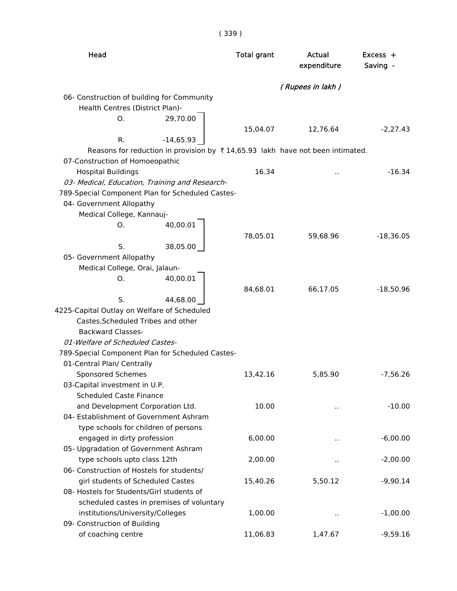| × | ۰ |
|---|---|
|   |   |

| Head                                                                                   |             | <b>Total grant</b> | Actual<br>expenditure | $Excess +$<br>Saving - |
|----------------------------------------------------------------------------------------|-------------|--------------------|-----------------------|------------------------|
|                                                                                        |             |                    | (Rupees in lakh)      |                        |
| 06- Construction of building for Community                                             |             |                    |                       |                        |
| Health Centres (District Plan)-                                                        |             |                    |                       |                        |
| Ο.                                                                                     | 29,70.00    |                    |                       |                        |
|                                                                                        |             | 15,04.07           | 12,76.64              | $-2,27.43$             |
| R.                                                                                     | $-14,65.93$ |                    |                       |                        |
| Reasons for reduction in provision by $\bar{x}$ 14,65.93 lakh have not been intimated. |             |                    |                       |                        |
| 07-Construction of Homoeopathic                                                        |             |                    |                       |                        |
| <b>Hospital Buildings</b>                                                              |             | 16.34              |                       | $-16.34$               |
| 03- Medical, Education, Training and Research-                                         |             |                    |                       |                        |
| 789-Special Component Plan for Scheduled Castes-                                       |             |                    |                       |                        |
| 04- Government Allopathy                                                               |             |                    |                       |                        |
| Medical College, Kannauj-                                                              |             |                    |                       |                        |
| O.                                                                                     | 40,00.01    |                    |                       |                        |
|                                                                                        |             | 78,05.01           | 59,68.96              | $-18,36.05$            |
| S.                                                                                     | 38,05.00    |                    |                       |                        |
| 05- Government Allopathy                                                               |             |                    |                       |                        |
| Medical College, Orai, Jalaun-                                                         |             |                    |                       |                        |
| О.                                                                                     | 40,00.01    |                    |                       |                        |
|                                                                                        |             | 84,68.01           | 66,17.05              | $-18,50.96$            |
| S.                                                                                     | 44,68.00    |                    |                       |                        |
| 4225-Capital Outlay on Welfare of Scheduled                                            |             |                    |                       |                        |
| Castes, Scheduled Tribes and other                                                     |             |                    |                       |                        |
| <b>Backward Classes-</b>                                                               |             |                    |                       |                        |
| 01-Welfare of Scheduled Castes-                                                        |             |                    |                       |                        |
| 789-Special Component Plan for Scheduled Castes-                                       |             |                    |                       |                        |
| 01-Central Plan/ Centrally                                                             |             |                    |                       |                        |
| Sponsored Schemes                                                                      |             | 13,42.16           | 5,85.90               | $-7,56.26$             |
| 03-Capital investment in U.P.                                                          |             |                    |                       |                        |
| <b>Scheduled Caste Finance</b>                                                         |             |                    |                       |                        |
| and Development Corporation Ltd.                                                       |             | 10.00              | .,                    | $-10.00$               |
| 04- Establishment of Government Ashram                                                 |             |                    |                       |                        |
| type schools for children of persons                                                   |             |                    |                       |                        |
| engaged in dirty profession                                                            |             | 6,00.00            | ٠.                    | $-6,00.00$             |
| 05- Upgradation of Government Ashram                                                   |             |                    |                       |                        |
| type schools upto class 12th<br>06- Construction of Hostels for students/              |             | 2,00.00            |                       | $-2,00.00$             |
|                                                                                        |             |                    |                       |                        |
| girl students of Scheduled Castes<br>08- Hostels for Students/Girl students of         |             | 15,40.26           | 5,50.12               | $-9,90.14$             |
|                                                                                        |             |                    |                       |                        |
| scheduled castes in premises of voluntary<br>institutions/University/Colleges          |             | 1,00.00            |                       | $-1,00.00$             |
| 09- Construction of Building                                                           |             |                    | ٠.                    |                        |
| of coaching centre                                                                     |             | 11,06.83           | 1,47.67               | $-9,59.16$             |
|                                                                                        |             |                    |                       |                        |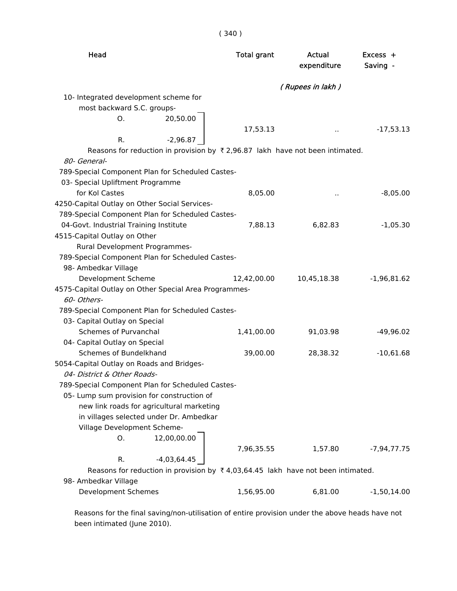| Head                                                                                            | <b>Total grant</b> | Actual<br>expenditure | Excess +<br>Saving - |
|-------------------------------------------------------------------------------------------------|--------------------|-----------------------|----------------------|
|                                                                                                 |                    | (Rupees in lakh)      |                      |
| 10- Integrated development scheme for                                                           |                    |                       |                      |
| most backward S.C. groups-                                                                      |                    |                       |                      |
| 20,50.00<br>O.                                                                                  |                    |                       |                      |
|                                                                                                 | 17,53.13           | $\ddot{\phantom{1}}$  | $-17,53.13$          |
| $-2,96.87$<br>R.                                                                                |                    |                       |                      |
| Reasons for reduction in provision by ₹2,96.87 lakh have not been intimated.                    |                    |                       |                      |
| 80- General-                                                                                    |                    |                       |                      |
| 789-Special Component Plan for Scheduled Castes-                                                |                    |                       |                      |
| 03- Special Upliftment Programme                                                                |                    |                       |                      |
| for Kol Castes                                                                                  | 8,05.00            | .,                    | $-8,05.00$           |
| 4250-Capital Outlay on Other Social Services-                                                   |                    |                       |                      |
| 789-Special Component Plan for Scheduled Castes-                                                |                    |                       |                      |
| 04-Govt. Industrial Training Institute                                                          | 7,88.13            | 6,82.83               | $-1,05.30$           |
| 4515-Capital Outlay on Other                                                                    |                    |                       |                      |
| Rural Development Programmes-                                                                   |                    |                       |                      |
| 789-Special Component Plan for Scheduled Castes-                                                |                    |                       |                      |
| 98- Ambedkar Village                                                                            |                    |                       |                      |
| Development Scheme                                                                              | 12,42,00.00        | 10,45,18.38           | $-1,96,81.62$        |
| 4575-Capital Outlay on Other Special Area Programmes-                                           |                    |                       |                      |
| 60- Others-                                                                                     |                    |                       |                      |
| 789-Special Component Plan for Scheduled Castes-                                                |                    |                       |                      |
| 03- Capital Outlay on Special                                                                   |                    |                       |                      |
| Schemes of Purvanchal                                                                           | 1,41,00.00         | 91,03.98              | $-49,96.02$          |
| 04- Capital Outlay on Special                                                                   |                    |                       |                      |
| Schemes of Bundelkhand                                                                          | 39,00.00           | 28,38.32              | $-10,61.68$          |
| 5054-Capital Outlay on Roads and Bridges-                                                       |                    |                       |                      |
| 04- District & Other Roads-                                                                     |                    |                       |                      |
| 789-Special Component Plan for Scheduled Castes-                                                |                    |                       |                      |
| 05- Lump sum provision for construction of                                                      |                    |                       |                      |
| new link roads for agricultural marketing                                                       |                    |                       |                      |
| in villages selected under Dr. Ambedkar                                                         |                    |                       |                      |
| Village Development Scheme-                                                                     |                    |                       |                      |
| 12,00,00.00<br>О.                                                                               |                    |                       |                      |
|                                                                                                 | 7,96,35.55         | 1,57.80               | $-7,94,77.75$        |
| $-4,03,64.45$<br>R.                                                                             |                    |                       |                      |
| Reasons for reduction in provision by $\overline{\xi}$ 4,03,64.45 lakh have not been intimated. |                    |                       |                      |
| 98- Ambedkar Village                                                                            |                    |                       |                      |
| <b>Development Schemes</b>                                                                      | 1,56,95.00         | 6,81.00               | $-1,50,14.00$        |

 Reasons for the final saving/non-utilisation of entire provision under the above heads have not been intimated (June 2010).

( 340 )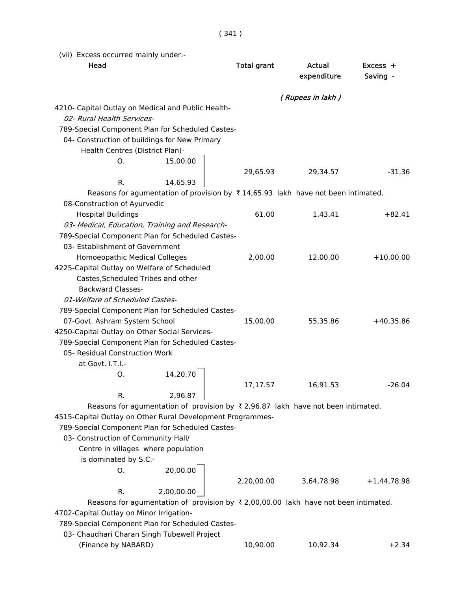( 341 )

(vii) Excess occurred mainly under:-

| Head                                                                                                | <b>Total grant</b> | Actual<br>expenditure | Excess +<br>Saving - |
|-----------------------------------------------------------------------------------------------------|--------------------|-----------------------|----------------------|
|                                                                                                     |                    | (Rupees in lakh)      |                      |
| 4210- Capital Outlay on Medical and Public Health-                                                  |                    |                       |                      |
| 02- Rural Health Services-                                                                          |                    |                       |                      |
| 789-Special Component Plan for Scheduled Castes-                                                    |                    |                       |                      |
| 04- Construction of buildings for New Primary                                                       |                    |                       |                      |
| Health Centres (District Plan)-                                                                     |                    |                       |                      |
| 15,00.00<br>O.                                                                                      |                    |                       |                      |
| R.<br>14,65.93                                                                                      | 29,65.93           | 29,34.57              | $-31.36$             |
| Reasons for agumentation of provision by $\bar{\tau}$ 14,65.93 lakh have not been intimated.        |                    |                       |                      |
| 08-Construction of Ayurvedic                                                                        |                    |                       |                      |
| <b>Hospital Buildings</b>                                                                           | 61.00              | 1,43.41               | $+82.41$             |
| 03- Medical, Education, Training and Research-                                                      |                    |                       |                      |
| 789-Special Component Plan for Scheduled Castes-                                                    |                    |                       |                      |
| 03- Establishment of Government                                                                     |                    |                       |                      |
| Homoeopathic Medical Colleges                                                                       | 2,00.00            | 12,00.00              | $+10,00.00$          |
| 4225-Capital Outlay on Welfare of Scheduled                                                         |                    |                       |                      |
| Castes, Scheduled Tribes and other                                                                  |                    |                       |                      |
| <b>Backward Classes-</b>                                                                            |                    |                       |                      |
| 01-Welfare of Scheduled Castes-                                                                     |                    |                       |                      |
| 789-Special Component Plan for Scheduled Castes-                                                    |                    |                       |                      |
| 07-Govt. Ashram System School                                                                       | 15,00.00           | 55,35.86              | $+40,35.86$          |
| 4250-Capital Outlay on Other Social Services-                                                       |                    |                       |                      |
| 789-Special Component Plan for Scheduled Castes-                                                    |                    |                       |                      |
| 05- Residual Construction Work                                                                      |                    |                       |                      |
| at Govt. I.T.I.-                                                                                    |                    |                       |                      |
| 14,20.70<br>O.                                                                                      |                    |                       |                      |
|                                                                                                     | 17,17.57           | 16,91.53              | $-26.04$             |
| 2,96.87<br>R.                                                                                       |                    |                       |                      |
| Reasons for agumentation of provision by $\overline{x}$ 2,96.87 lakh have not been intimated.       |                    |                       |                      |
| 4515-Capital Outlay on Other Rural Development Programmes-                                          |                    |                       |                      |
| 789-Special Component Plan for Scheduled Castes-                                                    |                    |                       |                      |
| 03- Construction of Community Hall/                                                                 |                    |                       |                      |
| Centre in villages where population                                                                 |                    |                       |                      |
| is dominated by S.C.-                                                                               |                    |                       |                      |
| 20,00.00<br>O.                                                                                      |                    |                       |                      |
|                                                                                                     | 2,20,00.00         | 3,64,78.98            | $+1,44,78.98$        |
| 2,00,00.00<br>R.                                                                                    |                    |                       |                      |
| Reasons for agumentation of provision by $\overline{\tau}$ 2,00,00.00 lakh have not been intimated. |                    |                       |                      |
| 4702-Capital Outlay on Minor Irrigation-                                                            |                    |                       |                      |
| 789-Special Component Plan for Scheduled Castes-                                                    |                    |                       |                      |
| 03- Chaudhari Charan Singh Tubewell Project                                                         |                    |                       |                      |
| (Finance by NABARD)                                                                                 | 10,90.00           | 10,92.34              | $+2.34$              |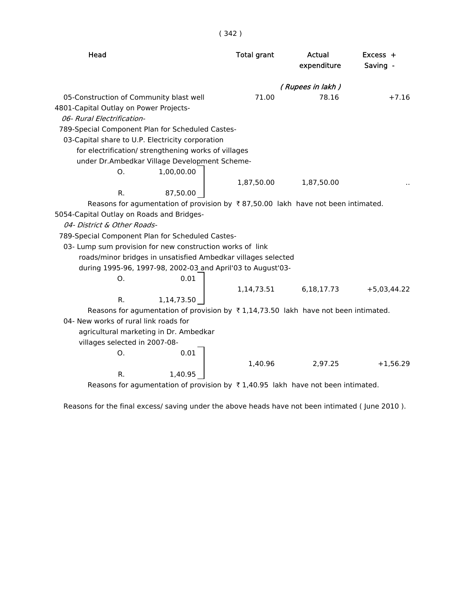| Head                                                                                                | <b>Total grant</b> | Actual<br>expenditure | Excess +<br>Saving - |
|-----------------------------------------------------------------------------------------------------|--------------------|-----------------------|----------------------|
|                                                                                                     |                    | (Rupees in lakh)      |                      |
| 05-Construction of Community blast well                                                             | 71.00              | 78.16                 | $+7.16$              |
| 4801-Capital Outlay on Power Projects-<br>06- Rural Electrification-                                |                    |                       |                      |
| 789-Special Component Plan for Scheduled Castes-                                                    |                    |                       |                      |
| 03-Capital share to U.P. Electricity corporation                                                    |                    |                       |                      |
| for electrification/ strengthening works of villages                                                |                    |                       |                      |
| under Dr.Ambedkar Village Development Scheme-                                                       |                    |                       |                      |
| 1,00,00.00<br>Ο.                                                                                    |                    |                       |                      |
|                                                                                                     | 1,87,50.00         | 1,87,50.00            |                      |
| 87,50.00<br>R.                                                                                      |                    |                       |                      |
| Reasons for agumentation of provision by ₹87,50.00 lakh have not been intimated.                    |                    |                       |                      |
| 5054-Capital Outlay on Roads and Bridges-                                                           |                    |                       |                      |
| 04- District & Other Roads-                                                                         |                    |                       |                      |
| 789-Special Component Plan for Scheduled Castes-                                                    |                    |                       |                      |
| 03- Lump sum provision for new construction works of link                                           |                    |                       |                      |
| roads/minor bridges in unsatisfied Ambedkar villages selected                                       |                    |                       |                      |
| during 1995-96, 1997-98, 2002-03 and April'03 to August'03-                                         |                    |                       |                      |
| 0.01<br>0.                                                                                          |                    |                       |                      |
|                                                                                                     | 1,14,73.51         | 6,18,17.73            | $+5,03,44.22$        |
| 1,14,73.50<br>R.                                                                                    |                    |                       |                      |
| Reasons for agumentation of provision by $\overline{\tau}$ 1,14,73.50 lakh have not been intimated. |                    |                       |                      |
| 04- New works of rural link roads for                                                               |                    |                       |                      |
| agricultural marketing in Dr. Ambedkar                                                              |                    |                       |                      |
| villages selected in 2007-08-                                                                       |                    |                       |                      |
| 0.01<br>O.                                                                                          |                    |                       |                      |
|                                                                                                     | 1,40.96            | 2,97.25               | $+1,56.29$           |
| R.<br>1,40.95                                                                                       |                    |                       |                      |
| Reasons for agumentation of provision by ₹1,40.95 lakh have not been intimated.                     |                    |                       |                      |

Reasons for the final excess/ saving under the above heads have not been intimated ( June 2010 ).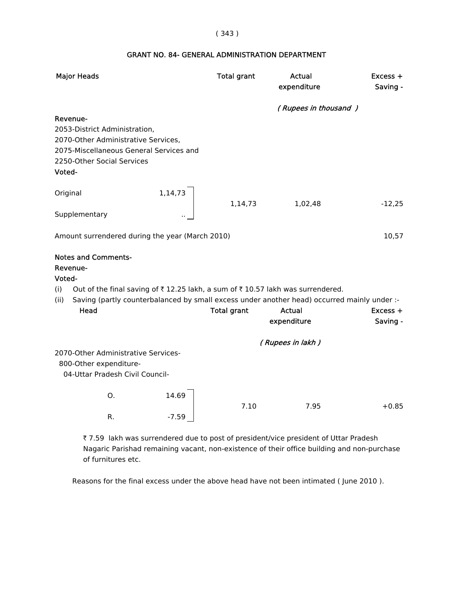#### ( 343 )

# GRANT NO. 84- GENERAL ADMINISTRATION DEPARTMENT

| <b>Major Heads</b>                                                                                                                                                                                                                                                                        |                  | <b>Total grant</b> | Actual<br>expenditure | Excess +<br>Saving -   |
|-------------------------------------------------------------------------------------------------------------------------------------------------------------------------------------------------------------------------------------------------------------------------------------------|------------------|--------------------|-----------------------|------------------------|
| Revenue-<br>2053-District Administration,<br>2070-Other Administrative Services,<br>2075-Miscellaneous General Services and<br>2250-Other Social Services<br>Voted-                                                                                                                       |                  |                    | (Rupees in thousand)  |                        |
| Original<br>Supplementary                                                                                                                                                                                                                                                                 | 1,14,73          | 1,14,73            | 1,02,48               | $-12,25$               |
| Amount surrendered during the year (March 2010)                                                                                                                                                                                                                                           |                  |                    |                       | 10,57                  |
| <b>Notes and Comments-</b><br>Revenue-<br>Voted-<br>Out of the final saving of $\overline{\tau}$ 12.25 lakh, a sum of $\overline{\tau}$ 10.57 lakh was surrendered.<br>(i)<br>Saving (partly counterbalanced by small excess under another head) occurred mainly under :-<br>(ii)<br>Head |                  | <b>Total grant</b> | Actual<br>expenditure | $Excess +$<br>Saving - |
| 2070-Other Administrative Services-<br>800-Other expenditure-<br>04-Uttar Pradesh Civil Council-                                                                                                                                                                                          |                  |                    | (Rupees in lakh)      |                        |
| O.<br>R.                                                                                                                                                                                                                                                                                  | 14.69<br>$-7.59$ | 7.10               | 7.95                  | $+0.85$                |

₹ 7.59 lakh was surrendered due to post of president/vice president of Uttar Pradesh Nagaric Parishad remaining vacant, non-existence of their office building and non-purchase of furnitures etc.

Reasons for the final excess under the above head have not been intimated ( June 2010 ).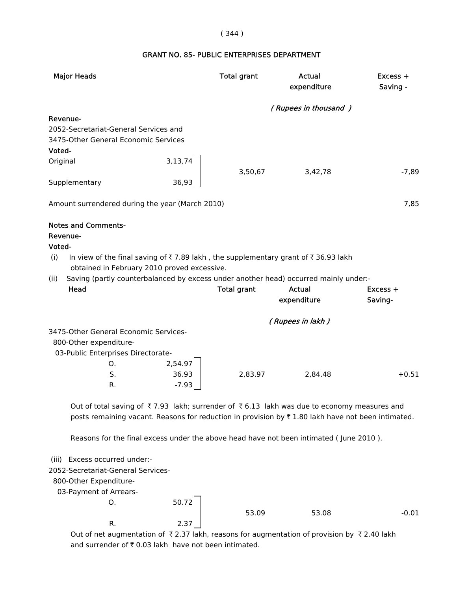## ( 344 )

# GRANT NO. 85- PUBLIC ENTERPRISES DEPARTMENT

| <b>Major Heads</b>                                                                                                 |         | <b>Total grant</b> | <b>Actual</b><br>expenditure | Excess +<br>Saving - |
|--------------------------------------------------------------------------------------------------------------------|---------|--------------------|------------------------------|----------------------|
|                                                                                                                    |         |                    | (Rupees in thousand)         |                      |
| Revenue-                                                                                                           |         |                    |                              |                      |
| 2052-Secretariat-General Services and                                                                              |         |                    |                              |                      |
| 3475-Other General Economic Services                                                                               |         |                    |                              |                      |
| Voted-                                                                                                             |         |                    |                              |                      |
| Original                                                                                                           | 3,13,74 |                    |                              |                      |
|                                                                                                                    |         | 3,50,67            | 3,42,78                      | $-7,89$              |
| Supplementary                                                                                                      | 36,93   |                    |                              |                      |
| Amount surrendered during the year (March 2010)                                                                    |         |                    |                              | 7,85                 |
| <b>Notes and Comments-</b>                                                                                         |         |                    |                              |                      |
| Revenue-                                                                                                           |         |                    |                              |                      |
| Voted-                                                                                                             |         |                    |                              |                      |
| In view of the final saving of ₹7.89 lakh, the supplementary grant of ₹36.93 lakh<br>(i)                           |         |                    |                              |                      |
| obtained in February 2010 proved excessive.                                                                        |         |                    |                              |                      |
| Saving (partly counterbalanced by excess under another head) occurred mainly under:-<br>(ii)<br>Head               |         | <b>Total grant</b> | <b>Actual</b>                | Excess +             |
|                                                                                                                    |         |                    | expenditure                  | Saving-              |
|                                                                                                                    |         |                    |                              |                      |
|                                                                                                                    |         |                    | (Rupees in lakh)             |                      |
| 3475-Other General Economic Services-                                                                              |         |                    |                              |                      |
| 800-Other expenditure-                                                                                             |         |                    |                              |                      |
| 03-Public Enterprises Directorate-                                                                                 |         |                    |                              |                      |
| O.                                                                                                                 | 2,54.97 |                    |                              |                      |
| S.                                                                                                                 | 36.93   | 2,83.97            | 2,84.48                      | $+0.51$              |
| R.                                                                                                                 | $-7.93$ |                    |                              |                      |
| Out of total saving of $\bar{\tau}$ 7.93 lakh; surrender of $\bar{\tau}$ 6.13 lakh was due to economy measures and |         |                    |                              |                      |
| posts remaining vacant. Reasons for reduction in provision by ₹1.80 lakh have not been intimated.                  |         |                    |                              |                      |
| Reasons for the final excess under the above head have not been intimated (June 2010).                             |         |                    |                              |                      |
| (iii) Excess occurred under:-                                                                                      |         |                    |                              |                      |
| 2052-Secretariat-General Services-                                                                                 |         |                    |                              |                      |
| 800-Other Expenditure-                                                                                             |         |                    |                              |                      |
| 03-Payment of Arrears-                                                                                             |         |                    |                              |                      |
| O.                                                                                                                 | 50.72   |                    |                              |                      |
|                                                                                                                    |         | 53.09              | 53.08                        | $-0.01$              |
| R.                                                                                                                 | 2.37    |                    |                              |                      |

Out of net augmentation of  $\bar{\tau}$  2.37 lakh, reasons for augmentation of provision by  $\bar{\tau}$  2.40 lakh and surrender of  $\bar{\tau}$  0.03 lakh have not been intimated.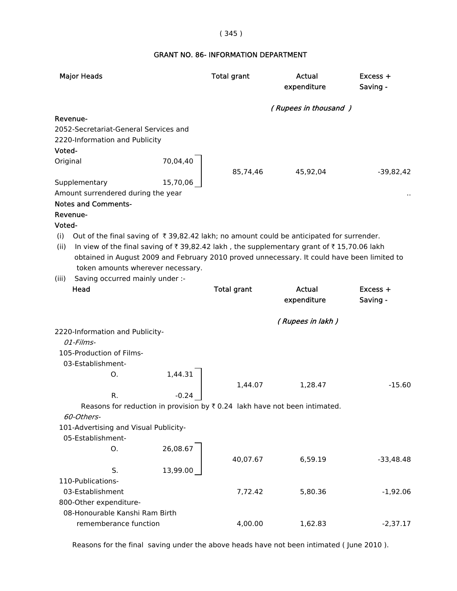# ( 345 )

# GRANT NO. 86- INFORMATION DEPARTMENT

| <b>Major Heads</b>                                                                                                                                                                                                                                                                                                                                                                                                                    | <b>Total grant</b>               | Actual<br>expenditure | $Excess +$<br>Saving - |
|---------------------------------------------------------------------------------------------------------------------------------------------------------------------------------------------------------------------------------------------------------------------------------------------------------------------------------------------------------------------------------------------------------------------------------------|----------------------------------|-----------------------|------------------------|
|                                                                                                                                                                                                                                                                                                                                                                                                                                       |                                  | (Rupees in thousand)  |                        |
| Revenue-<br>2052-Secretariat-General Services and<br>2220-Information and Publicity<br>Voted-<br>Original<br>Supplementary                                                                                                                                                                                                                                                                                                            | 70,04,40<br>85,74,46<br>15,70,06 | 45,92,04              | $-39,82,42$            |
| Amount surrendered during the year<br><b>Notes and Comments-</b><br>Revenue-<br>Voted-<br>Out of the final saving of $\overline{\tau}$ 39,82.42 lakh; no amount could be anticipated for surrender.<br>(i)<br>In view of the final saving of $\bar{\tau}$ 39,82.42 lakh, the supplementary grant of $\bar{\tau}$ 15,70.06 lakh<br>(ii)<br>obtained in August 2009 and February 2010 proved unnecessary. It could have been limited to |                                  |                       |                        |
| token amounts wherever necessary.                                                                                                                                                                                                                                                                                                                                                                                                     |                                  |                       |                        |
| (iii)<br>Saving occurred mainly under :-<br>Head                                                                                                                                                                                                                                                                                                                                                                                      | <b>Total grant</b>               | Actual<br>expenditure | $Excess +$<br>Saving - |
|                                                                                                                                                                                                                                                                                                                                                                                                                                       |                                  | (Rupees in lakh)      |                        |
| 2220-Information and Publicity-<br>01-Films-<br>105-Production of Films-<br>03-Establishment-<br>O.<br>R.<br>Reasons for reduction in provision by ₹0.24 lakh have not been intimated.<br>60-Others-<br>101-Advertising and Visual Publicity-<br>05-Establishment-                                                                                                                                                                    | 1,44.31<br>1,44.07<br>$-0.24$    | 1,28.47               | $-15.60$               |
| О.                                                                                                                                                                                                                                                                                                                                                                                                                                    | 26,08.67<br>40,07.67             | 6,59.19               | $-33,48.48$            |
| S.<br>110-Publications-<br>03-Establishment<br>800-Other expenditure-                                                                                                                                                                                                                                                                                                                                                                 | 13,99.00<br>7,72.42              | 5,80.36               | $-1,92.06$             |
| 08-Honourable Kanshi Ram Birth<br>rememberance function                                                                                                                                                                                                                                                                                                                                                                               | 4,00.00                          | 1,62.83               | $-2,37.17$             |

Reasons for the final saving under the above heads have not been intimated ( June 2010 ).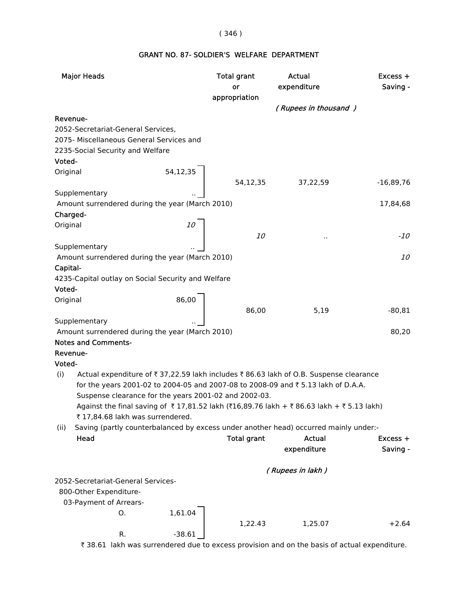## ( 346 )

# GRANT NO. 87- SOLDIER'S WELFARE DEPARTMENT

| <b>Major Heads</b>                                                                            | <b>Total grant</b><br>or | <b>Actual</b><br>expenditure | Excess +<br>Saving - |
|-----------------------------------------------------------------------------------------------|--------------------------|------------------------------|----------------------|
|                                                                                               | appropriation            |                              |                      |
|                                                                                               |                          | (Rupees in thousand)         |                      |
| Revenue-                                                                                      |                          |                              |                      |
| 2052-Secretariat-General Services,<br>2075- Miscellaneous General Services and                |                          |                              |                      |
| 2235-Social Security and Welfare                                                              |                          |                              |                      |
| Voted-                                                                                        |                          |                              |                      |
| Original                                                                                      |                          |                              |                      |
| 54,12,35                                                                                      | 54,12,35                 | 37,22,59                     | $-16,89,76$          |
| Supplementary                                                                                 |                          |                              |                      |
| Amount surrendered during the year (March 2010)                                               |                          |                              | 17,84,68             |
| Charged-                                                                                      |                          |                              |                      |
| Original                                                                                      |                          |                              |                      |
|                                                                                               | <i>10</i>                |                              | -10                  |
| Supplementary                                                                                 |                          |                              |                      |
| Amount surrendered during the year (March 2010)                                               |                          |                              | <i>10</i>            |
| Capital-                                                                                      |                          |                              |                      |
| 4235-Capital outlay on Social Security and Welfare                                            |                          |                              |                      |
| Voted-                                                                                        |                          |                              |                      |
| $\begin{array}{c} 86,00 \end{array}$<br>Original                                              |                          |                              |                      |
| Supplementary                                                                                 | 86,00                    | 5,19                         | $-80, 81$            |
| Amount surrendered during the year (March 2010)                                               |                          |                              | 80,20                |
| <b>Notes and Comments-</b>                                                                    |                          |                              |                      |
| Revenue-                                                                                      |                          |                              |                      |
| Voted-                                                                                        |                          |                              |                      |
| (i)<br>Actual expenditure of ₹ 37,22.59 lakh includes ₹ 86.63 lakh of O.B. Suspense clearance |                          |                              |                      |
| for the years 2001-02 to 2004-05 and 2007-08 to 2008-09 and ₹5.13 lakh of D.A.A.              |                          |                              |                      |
| Suspense clearance for the years 2001-02 and 2002-03.                                         |                          |                              |                      |
| Against the final saving of ₹17,81.52 lakh (₹16,89.76 lakh + ₹86.63 lakh + ₹5.13 lakh)        |                          |                              |                      |
| ₹ 17,84.68 lakh was surrendered.                                                              |                          |                              |                      |
| Saving (partly counterbalanced by excess under another head) occurred mainly under:-<br>(ii)  |                          |                              |                      |
| Head                                                                                          | <b>Total grant</b>       | Actual                       | $Excess +$           |
|                                                                                               |                          | expenditure                  | Saving -             |
|                                                                                               |                          | (Rupees in lakh)             |                      |
| 2052-Secretariat-General Services-                                                            |                          |                              |                      |
| 800-Other Expenditure-                                                                        |                          |                              |                      |
| 03-Payment of Arrears-                                                                        |                          |                              |                      |
| 1,61.04<br>O.                                                                                 |                          |                              |                      |
|                                                                                               | 1,22.43                  | 1,25.07                      | $+2.64$              |
| R.<br>$-38.61$                                                                                |                          |                              |                      |

₹ 38.61 lakh was surrendered due to excess provision and on the basis of actual expenditure.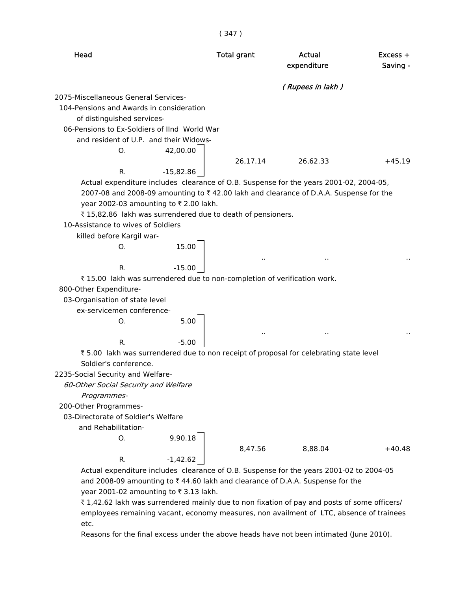| Head                                                                                         | <b>Total grant</b> | Actual<br>expenditure | $Excess +$<br>Saving - |
|----------------------------------------------------------------------------------------------|--------------------|-----------------------|------------------------|
|                                                                                              |                    | (Rupees in lakh)      |                        |
| 2075-Miscellaneous General Services-                                                         |                    |                       |                        |
| 104-Pensions and Awards in consideration                                                     |                    |                       |                        |
| of distinguished services-                                                                   |                    |                       |                        |
| 06-Pensions to Ex-Soldiers of IInd World War                                                 |                    |                       |                        |
| and resident of U.P. and their Widows-                                                       |                    |                       |                        |
| 42,00.00<br>O.                                                                               |                    |                       |                        |
|                                                                                              | 26,17.14           | 26,62.33              | $+45.19$               |
| $-15,82.86$<br>R.                                                                            |                    |                       |                        |
| Actual expenditure includes clearance of O.B. Suspense for the years 2001-02, 2004-05,       |                    |                       |                        |
| 2007-08 and 2008-09 amounting to ₹42.00 lakh and clearance of D.A.A. Suspense for the        |                    |                       |                        |
| year 2002-03 amounting to ₹2.00 lakh.                                                        |                    |                       |                        |
| ₹15,82.86 lakh was surrendered due to death of pensioners.                                   |                    |                       |                        |
| 10-Assistance to wives of Soldiers                                                           |                    |                       |                        |
| killed before Kargil war-                                                                    |                    |                       |                        |
| 15.00<br>0.                                                                                  |                    |                       |                        |
|                                                                                              |                    |                       |                        |
| $-15.00$<br>R.                                                                               |                    |                       |                        |
| ₹ 15.00 lakh was surrendered due to non-completion of verification work.                     |                    |                       |                        |
| 800-Other Expenditure-                                                                       |                    |                       |                        |
| 03-Organisation of state level                                                               |                    |                       |                        |
| ex-servicemen conference-                                                                    |                    |                       |                        |
| 5.00<br>O.                                                                                   |                    |                       |                        |
|                                                                                              |                    |                       |                        |
| R.<br>$-5.00$                                                                                |                    |                       |                        |
| ₹5.00 lakh was surrendered due to non receipt of proposal for celebrating state level        |                    |                       |                        |
| Soldier's conference.                                                                        |                    |                       |                        |
| 2235-Social Security and Welfare-                                                            |                    |                       |                        |
| 60-Other Social Security and Welfare                                                         |                    |                       |                        |
| Programmes-                                                                                  |                    |                       |                        |
| 200-Other Programmes-                                                                        |                    |                       |                        |
| 03-Directorate of Soldier's Welfare                                                          |                    |                       |                        |
| and Rehabilitation-                                                                          |                    |                       |                        |
| 9,90.18<br>O.                                                                                |                    |                       |                        |
|                                                                                              | 8,47.56            | 8,88.04               | $+40.48$               |
| $-1,42.62$<br>R.                                                                             |                    |                       |                        |
| Actual expenditure includes clearance of O.B. Suspense for the years 2001-02 to 2004-05      |                    |                       |                        |
| and 2008-09 amounting to ₹44.60 lakh and clearance of D.A.A. Suspense for the                |                    |                       |                        |
| year 2001-02 amounting to ₹3.13 lakh.                                                        |                    |                       |                        |
| ₹ 1,42.62 lakh was surrendered mainly due to non fixation of pay and posts of some officers/ |                    |                       |                        |
| employees remaining vacant, economy measures, non availment of LTC, absence of trainees      |                    |                       |                        |
| etc.                                                                                         |                    |                       |                        |
|                                                                                              |                    |                       |                        |

Reasons for the final excess under the above heads have not been intimated (June 2010).

( 347 )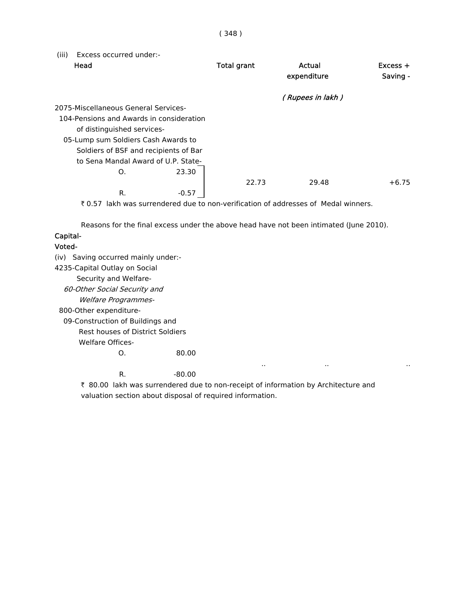(iii) Excess occurred under:-

| Head                                     | <b>Total grant</b> | Actual<br>expenditure | $Excess +$<br>Saving - |
|------------------------------------------|--------------------|-----------------------|------------------------|
|                                          |                    | (Rupees in lakh)      |                        |
| 2075-Miscellaneous General Services-     |                    |                       |                        |
| 104-Pensions and Awards in consideration |                    |                       |                        |
| of distinguished services-               |                    |                       |                        |
| 05-Lump sum Soldiers Cash Awards to      |                    |                       |                        |
| Soldiers of BSF and recipients of Bar    |                    |                       |                        |
| to Sena Mandal Award of U.P. State-      |                    |                       |                        |
| 23.30<br>O.                              |                    |                       |                        |
|                                          | 22.73              | 29.48                 | $+6.75$                |
| R.<br>$-0.57$                            |                    |                       |                        |

` 0.57 lakh was surrendered due to non-verification of addresses of Medal winners.

Reasons for the final excess under the above head have not been intimated (June 2010).

## Capital-

### Voted-

 (iv) Saving occurred mainly under:- 4235-Capital Outlay on Social Security and Welfare- 60-Other Social Security and Welfare Programmes- 800-Other expenditure- 09-Construction of Buildings and Rest houses of District Soldiers Welfare Offices-O. 80.00 .. .. .. R.  $-80.00$ 

₹ 80.00 lakh was surrendered due to non-receipt of information by Architecture and valuation section about disposal of required information.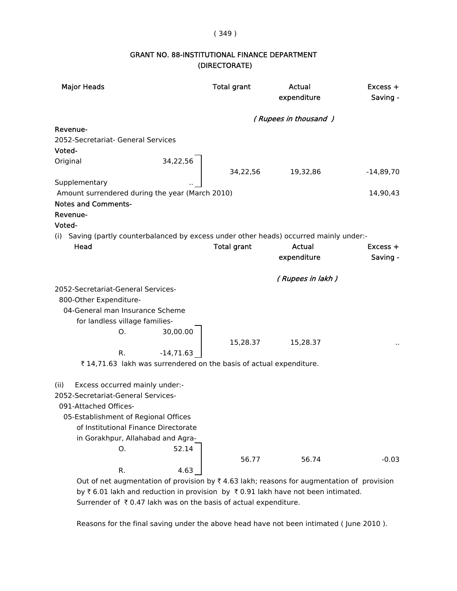#### ( 349 )

# GRANT NO. 88-INSTITUTIONAL FINANCE DEPARTMENT (DIRECTORATE)

| <b>Major Heads</b>                                                                      | <b>Total grant</b> | Actual<br>expenditure | Excess +<br>Saving - |
|-----------------------------------------------------------------------------------------|--------------------|-----------------------|----------------------|
|                                                                                         |                    | (Rupees in thousand)  |                      |
| Revenue-                                                                                |                    |                       |                      |
| 2052-Secretariat- General Services                                                      |                    |                       |                      |
| Voted-                                                                                  |                    |                       |                      |
| Original                                                                                | 34,22,56           |                       |                      |
|                                                                                         | 34,22,56           | 19,32,86              | $-14,89,70$          |
| Supplementary                                                                           |                    |                       |                      |
| Amount surrendered during the year (March 2010)                                         |                    |                       | 14,90,43             |
| <b>Notes and Comments-</b>                                                              |                    |                       |                      |
| Revenue-                                                                                |                    |                       |                      |
| Voted-                                                                                  |                    |                       |                      |
| (i) Saving (partly counterbalanced by excess under other heads) occurred mainly under:- |                    |                       |                      |
| Head                                                                                    | <b>Total grant</b> | Actual                | $Excess +$           |
|                                                                                         |                    | expenditure           | Saving -             |
|                                                                                         |                    | (Rupees in lakh)      |                      |
| 2052-Secretariat-General Services-                                                      |                    |                       |                      |
| 800-Other Expenditure-                                                                  |                    |                       |                      |
| 04-General man Insurance Scheme                                                         |                    |                       |                      |
| for landless village families-                                                          |                    |                       |                      |
| О.                                                                                      | 30,00.00           |                       |                      |
|                                                                                         | 15,28.37           | 15,28.37              |                      |
| R.<br>$-14,71.63$                                                                       |                    |                       |                      |
| ₹14,71.63 lakh was surrendered on the basis of actual expenditure.                      |                    |                       |                      |
| Excess occurred mainly under:-<br>(ii)                                                  |                    |                       |                      |
| 2052-Secretariat-General Services-                                                      |                    |                       |                      |
| 091-Attached Offices-                                                                   |                    |                       |                      |
| 05-Establishment of Regional Offices                                                    |                    |                       |                      |
| of Institutional Finance Directorate                                                    |                    |                       |                      |
| in Gorakhpur, Allahabad and Agra-                                                       |                    |                       |                      |
| 0.                                                                                      | 52.14              |                       |                      |
|                                                                                         | 56.77              | 56.74                 | $-0.03$              |
| R.                                                                                      | 4.63               |                       |                      |

Out of net augmentation of provision by  $\bar{\tau}$  4.63 lakh; reasons for augmentation of provision by  $\bar{\tau}$  6.01 lakh and reduction in provision by  $\bar{\tau}$  0.91 lakh have not been intimated. Surrender of  $\bar{\tau}$  0.47 lakh was on the basis of actual expenditure.

Reasons for the final saving under the above head have not been intimated ( June 2010 ).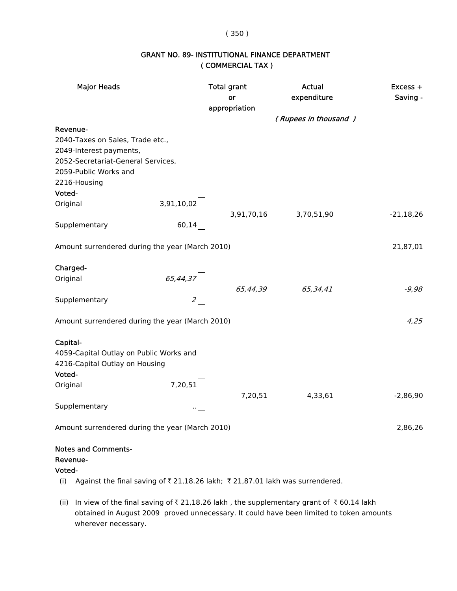## ( 350 )

# GRANT NO. 89- INSTITUTIONAL FINANCE DEPARTMENT ( COMMERCIAL TAX )

| <b>Major Heads</b>                                                                   | <b>Total grant</b><br>or | <b>Actual</b><br>expenditure | Excess +<br>Saving - |
|--------------------------------------------------------------------------------------|--------------------------|------------------------------|----------------------|
|                                                                                      | appropriation            |                              |                      |
|                                                                                      |                          | (Rupees in thousand)         |                      |
| Revenue-                                                                             |                          |                              |                      |
| 2040-Taxes on Sales, Trade etc.,                                                     |                          |                              |                      |
| 2049-Interest payments,                                                              |                          |                              |                      |
| 2052-Secretariat-General Services,<br>2059-Public Works and                          |                          |                              |                      |
| 2216-Housing                                                                         |                          |                              |                      |
| Voted-                                                                               |                          |                              |                      |
| Original                                                                             |                          |                              |                      |
|                                                                                      |                          | 3,91,70,16 3,70,51,90        | $-21,18,26$          |
| Supplementary                                                                        | $3,91,10,02$<br>$60,14$  |                              |                      |
|                                                                                      |                          |                              |                      |
| Amount surrendered during the year (March 2010)                                      |                          |                              | 21,87,01             |
|                                                                                      |                          |                              |                      |
| Charged-                                                                             |                          |                              |                      |
| Original                                                                             | 65,44,37                 |                              | $-9,98$              |
| Supplementary                                                                        |                          | $65,44,39$ $65,34,41$        |                      |
|                                                                                      |                          |                              |                      |
| Amount surrendered during the year (March 2010)                                      |                          |                              | 4,25                 |
|                                                                                      |                          |                              |                      |
| Capital-                                                                             |                          |                              |                      |
| 4059-Capital Outlay on Public Works and                                              |                          |                              |                      |
| 4216-Capital Outlay on Housing<br>Voted-                                             |                          |                              |                      |
| Original                                                                             |                          |                              |                      |
|                                                                                      | 7,20,51<br>7,20,51       | 4,33,61                      | $-2,86,90$           |
| Supplementary                                                                        |                          |                              |                      |
|                                                                                      |                          |                              |                      |
| Amount surrendered during the year (March 2010)                                      |                          |                              | 2,86,26              |
| <b>Notes and Comments-</b>                                                           |                          |                              |                      |
| Revenue-                                                                             |                          |                              |                      |
| Voted-                                                                               |                          |                              |                      |
| Against the final saving of ₹ 21,18.26 lakh; ₹ 21,87.01 lakh was surrendered.<br>(i) |                          |                              |                      |

(ii) In view of the final saving of  $\bar{z}$  21,18.26 lakh, the supplementary grant of  $\bar{z}$  60.14 lakh obtained in August 2009 proved unnecessary. It could have been limited to token amounts wherever necessary.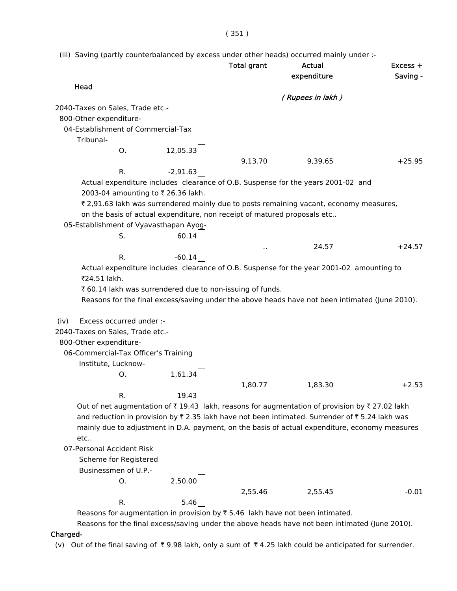( 351 )

(iii) Saving (partly counterbalanced by excess under other heads) occurred mainly under :-

|                                                                          |            | <b>Total grant</b> | <b>Actual</b><br>expenditure                                                                   | Excess +<br>Saving - |
|--------------------------------------------------------------------------|------------|--------------------|------------------------------------------------------------------------------------------------|----------------------|
| Head                                                                     |            |                    | (Rupees in lakh)                                                                               |                      |
| 2040-Taxes on Sales, Trade etc.-                                         |            |                    |                                                                                                |                      |
| 800-Other expenditure-                                                   |            |                    |                                                                                                |                      |
| 04-Establishment of Commercial-Tax                                       |            |                    |                                                                                                |                      |
| Tribunal-                                                                |            |                    |                                                                                                |                      |
| O <sub>r</sub>                                                           | 12,05.33   |                    |                                                                                                |                      |
|                                                                          |            | 9,13.70            | 9,39.65                                                                                        | $+25.95$             |
| R.                                                                       | $-2,91.63$ |                    |                                                                                                |                      |
|                                                                          |            |                    | Actual expenditure includes clearance of O.B. Suspense for the years 2001-02 and               |                      |
| 2003-04 amounting to ₹ 26.36 lakh.                                       |            |                    |                                                                                                |                      |
|                                                                          |            |                    | ₹ 2,91.63 lakh was surrendered mainly due to posts remaining vacant, economy measures,         |                      |
| on the basis of actual expenditure, non receipt of matured proposals etc |            |                    |                                                                                                |                      |
| 05-Establishment of Vyavasthapan Ayog-                                   |            |                    |                                                                                                |                      |
| S.                                                                       | 60.14      |                    |                                                                                                |                      |
|                                                                          |            |                    | 24.57                                                                                          | $+24.57$             |
| R.                                                                       | $-60.14$   |                    |                                                                                                |                      |
|                                                                          |            |                    | Actual expenditure includes clearance of O.B. Suspense for the year 2001-02 amounting to       |                      |
| ₹24.51 lakh.                                                             |            |                    |                                                                                                |                      |
| ₹ 60.14 lakh was surrendered due to non-issuing of funds.                |            |                    |                                                                                                |                      |
|                                                                          |            |                    | Reasons for the final excess/saving under the above heads have not been intimated (June 2010). |                      |
|                                                                          |            |                    |                                                                                                |                      |
| Excess occurred under :-<br>(iv)                                         |            |                    |                                                                                                |                      |
| 2040-Taxes on Sales, Trade etc.-                                         |            |                    |                                                                                                |                      |
| 800-Other expenditure-                                                   |            |                    |                                                                                                |                      |
| 06-Commercial-Tax Officer's Training                                     |            |                    |                                                                                                |                      |
|                                                                          |            |                    |                                                                                                |                      |
| Institute, Lucknow-                                                      |            |                    |                                                                                                |                      |
| О.                                                                       | 1,61.34    |                    |                                                                                                |                      |
|                                                                          |            | 1,80.77            | 1,83.30                                                                                        | $+2.53$              |
| к.                                                                       | 19.43      |                    |                                                                                                |                      |
|                                                                          |            |                    | Out of net augmentation of ₹19.43 lakh, reasons for augmentation of provision by ₹27.02 lakh   |                      |
|                                                                          |            |                    | and reduction in provision by ₹2.35 lakh have not been intimated. Surrender of ₹5.24 lakh was  |                      |
|                                                                          |            |                    | mainly due to adjustment in D.A. payment, on the basis of actual expenditure, economy measures |                      |
| etc                                                                      |            |                    |                                                                                                |                      |
| 07-Personal Accident Risk                                                |            |                    |                                                                                                |                      |
| Scheme for Registered                                                    |            |                    |                                                                                                |                      |
| Businessmen of U.P.-                                                     |            |                    |                                                                                                |                      |
| 0.                                                                       | 2,50.00    |                    |                                                                                                |                      |
|                                                                          |            | 2,55.46            | 2,55.45                                                                                        | $-0.01$              |
| R.                                                                       | 5.46       |                    |                                                                                                |                      |
|                                                                          |            |                    |                                                                                                |                      |

Reasons for augmentation in provision by  $\bar{\tau}$  5.46 lakh have not been intimated.

Reasons for the final excess/saving under the above heads have not been intimated (June 2010).

## Charged-

(v) Out of the final saving of  $\bar{\tau}$  9.98 lakh, only a sum of  $\bar{\tau}$  4.25 lakh could be anticipated for surrender.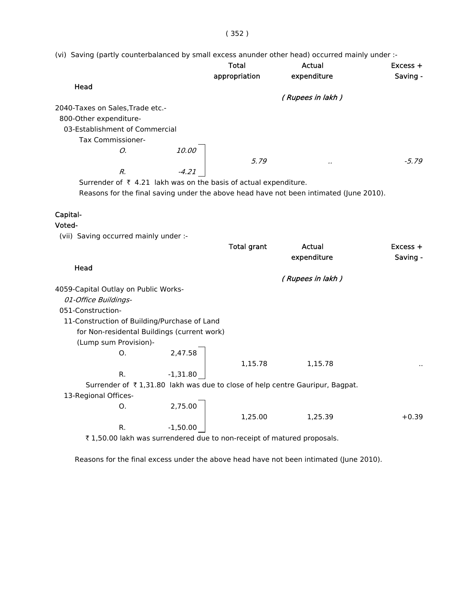( 352 )

(vi) Saving (partly counterbalanced by small excess anunder other head) occurred mainly under :-

|                                                                             |              | <b>Total</b><br>appropriation | Actual<br>expenditure | $Excess +$<br>Saving - |
|-----------------------------------------------------------------------------|--------------|-------------------------------|-----------------------|------------------------|
| Head                                                                        |              |                               |                       |                        |
|                                                                             |              |                               | (Rupees in lakh)      |                        |
| 2040-Taxes on Sales, Trade etc.-                                            |              |                               |                       |                        |
| 800-Other expenditure-                                                      |              |                               |                       |                        |
| 03-Establishment of Commercial                                              |              |                               |                       |                        |
| <b>Tax Commissioner-</b>                                                    |              |                               |                       |                        |
| О.                                                                          | <i>10.00</i> |                               |                       |                        |
|                                                                             |              | 5.79                          |                       | $-5.79$                |
| R.                                                                          | $-4.21$      |                               |                       |                        |
| Surrender of $\bar{\tau}$ 4.21 lakh was on the basis of actual expenditure. |              |                               |                       |                        |

Reasons for the final saving under the above head have not been intimated (June 2010).

## Capital-

#### Voted-

(vii) Saving occurred mainly under :-

|                                                                        |            | <b>Total grant</b> | Actual                                                                       | Excess + |
|------------------------------------------------------------------------|------------|--------------------|------------------------------------------------------------------------------|----------|
|                                                                        |            |                    | expenditure                                                                  | Saving - |
| Head                                                                   |            |                    |                                                                              |          |
|                                                                        |            |                    | (Rupees in lakh )                                                            |          |
| 4059-Capital Outlay on Public Works-                                   |            |                    |                                                                              |          |
| 01-Office Buildings-                                                   |            |                    |                                                                              |          |
| 051-Construction-                                                      |            |                    |                                                                              |          |
| 11-Construction of Building/Purchase of Land                           |            |                    |                                                                              |          |
| for Non-residental Buildings (current work)                            |            |                    |                                                                              |          |
| (Lump sum Provision)-                                                  |            |                    |                                                                              |          |
| O.                                                                     | 2,47.58    |                    |                                                                              |          |
|                                                                        |            | 1,15.78            | 1,15.78                                                                      | . .      |
| R.                                                                     | $-1,31.80$ |                    |                                                                              |          |
|                                                                        |            |                    | Surrender of ₹1,31.80 lakh was due to close of help centre Gauripur, Bagpat. |          |
| 13-Regional Offices-                                                   |            |                    |                                                                              |          |
| O.                                                                     | 2,75.00    |                    |                                                                              |          |
|                                                                        |            | 1,25.00            | 1,25.39                                                                      | $+0.39$  |
| R.                                                                     | $-1,50.00$ |                    |                                                                              |          |
| ₹1,50.00 lakh was surrendered due to non-receipt of matured proposals. |            |                    |                                                                              |          |

Reasons for the final excess under the above head have not been intimated (June 2010).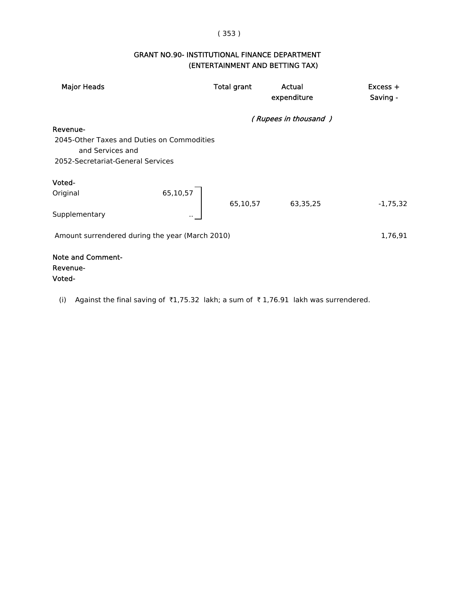# ( 353 )

# GRANT NO.90- INSTITUTIONAL FINANCE DEPARTMENT (ENTERTAINMENT AND BETTING TAX)

| <b>Major Heads</b>                                                                                                  | <b>Total grant</b> | Actual<br>expenditure | $Excess +$<br>Saving - |
|---------------------------------------------------------------------------------------------------------------------|--------------------|-----------------------|------------------------|
|                                                                                                                     |                    | (Rupees in thousand)  |                        |
| Revenue-                                                                                                            |                    |                       |                        |
| 2045-Other Taxes and Duties on Commodities<br>and Services and                                                      |                    |                       |                        |
| 2052-Secretariat-General Services                                                                                   |                    |                       |                        |
| Voted-                                                                                                              |                    |                       |                        |
| 65,10,57<br>Original                                                                                                | 65,10,57           | 63,35,25              | $-1,75,32$             |
| Supplementary                                                                                                       |                    |                       |                        |
| Amount surrendered during the year (March 2010)                                                                     |                    |                       | 1,76,91                |
| <b>Note and Comment-</b><br>Revenue-                                                                                |                    |                       |                        |
| Voted-                                                                                                              |                    |                       |                        |
| Against the final saving of $\overline{3}1,75.32$ lakh; a sum of $\overline{3}1,76.91$ lakh was surrendered.<br>(i) |                    |                       |                        |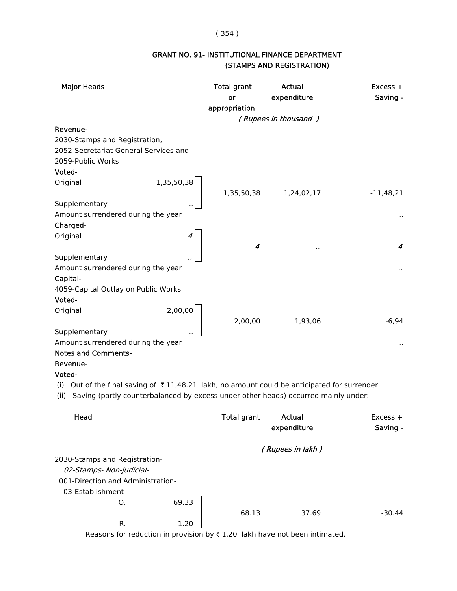## ( 354 )

# GRANT NO. 91- INSTITUTIONAL FINANCE DEPARTMENT (STAMPS AND REGISTRATION)

| <b>Major Heads</b>                                                                                               |            | <b>Total grant</b><br>or | <b>Actual</b><br>expenditure | Excess +<br>Saving - |
|------------------------------------------------------------------------------------------------------------------|------------|--------------------------|------------------------------|----------------------|
|                                                                                                                  |            | appropriation            |                              |                      |
| Revenue-                                                                                                         |            |                          | (Rupees in thousand)         |                      |
| 2030-Stamps and Registration,                                                                                    |            |                          |                              |                      |
| 2052-Secretariat-General Services and                                                                            |            |                          |                              |                      |
| 2059-Public Works                                                                                                |            |                          |                              |                      |
| Voted-                                                                                                           |            |                          |                              |                      |
| Original                                                                                                         | 1,35,50,38 |                          |                              |                      |
|                                                                                                                  |            | 1,35,50,38               | 1,24,02,17                   | $-11,48,21$          |
| Supplementary                                                                                                    |            |                          |                              |                      |
| Amount surrendered during the year                                                                               |            |                          |                              | $\cdot$ .            |
| Charged-                                                                                                         |            |                          |                              |                      |
| Original                                                                                                         |            |                          |                              |                      |
|                                                                                                                  |            | 4                        |                              | -4                   |
| Supplementary                                                                                                    |            |                          |                              |                      |
| Amount surrendered during the year                                                                               |            |                          |                              |                      |
| Capital-                                                                                                         |            |                          |                              |                      |
| 4059-Capital Outlay on Public Works                                                                              |            |                          |                              |                      |
| Voted-                                                                                                           | 2,00,00    |                          |                              |                      |
| Original                                                                                                         |            | 2,00,00                  | 1,93,06                      | $-6,94$              |
| Supplementary                                                                                                    |            |                          |                              |                      |
| Amount surrendered during the year                                                                               |            |                          |                              |                      |
| <b>Notes and Comments-</b>                                                                                       |            |                          |                              |                      |
| Revenue-                                                                                                         |            |                          |                              |                      |
| Voted-                                                                                                           |            |                          |                              |                      |
| Out of the final saving of $\overline{\tau}$ 11,48.21 lakh, no amount could be anticipated for surrender.<br>(i) |            |                          |                              |                      |
| Saving (partly counterbalanced by excess under other heads) occurred mainly under:-<br>(ii)                      |            |                          |                              |                      |
| Head                                                                                                             |            | Total grant              | <b>Actual</b>                | Excess +             |
|                                                                                                                  |            |                          | expenditure                  | Saving -             |
|                                                                                                                  |            |                          |                              |                      |
|                                                                                                                  |            |                          | (Rupees in lakh)             |                      |
| 2030-Stamps and Registration-                                                                                    |            |                          |                              |                      |
| 02-Stamps- Non-Judicial-                                                                                         |            |                          |                              |                      |
| 001-Direction and Administration-                                                                                |            |                          |                              |                      |
| 03-Establishment-                                                                                                |            |                          |                              |                      |
| O.                                                                                                               | 69.33      |                          |                              |                      |
|                                                                                                                  |            | 68.13                    | 37.69                        | $-30.44$             |
| R.                                                                                                               | $-1.20$    |                          |                              |                      |

Reasons for reduction in provision by  $\bar{\tau}$  1.20 lakh have not been intimated.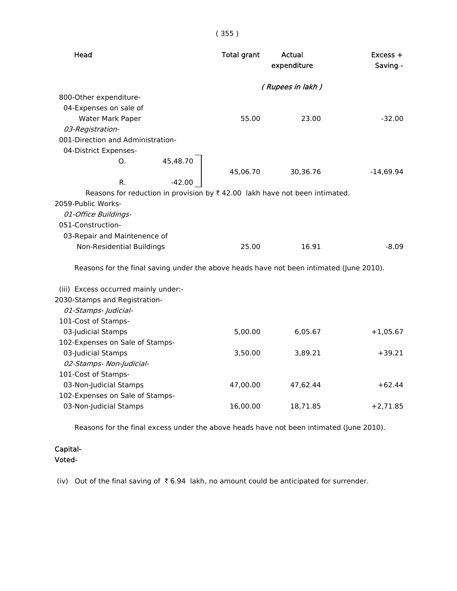| Head                                                                                    | <b>Total grant</b> | Actual<br>expenditure | $Excess +$<br>Saving - |
|-----------------------------------------------------------------------------------------|--------------------|-----------------------|------------------------|
|                                                                                         |                    | (Rupees in lakh)      |                        |
| 800-Other expenditure-                                                                  |                    |                       |                        |
| 04-Expenses on sale of                                                                  |                    |                       |                        |
| Water Mark Paper                                                                        | 55.00              | 23.00                 | $-32.00$               |
| 03-Registration-                                                                        |                    |                       |                        |
| 001-Direction and Administration-                                                       |                    |                       |                        |
| 04-District Expenses-                                                                   |                    |                       |                        |
| 45,48.70<br>O <sub>1</sub>                                                              |                    |                       |                        |
|                                                                                         | 45,06.70           | 30,36.76              | $-14,69.94$            |
| $-42.00$<br>R.                                                                          |                    |                       |                        |
| Reasons for reduction in provision by $\bar{\tau}$ 42.00 lakh have not been intimated.  |                    |                       |                        |
| 2059-Public Works-                                                                      |                    |                       |                        |
| 01-Office Buildings-                                                                    |                    |                       |                        |
| 051-Construction-                                                                       |                    |                       |                        |
| 03-Repair and Maintenence of                                                            |                    |                       |                        |
| Non-Residential Buildings                                                               | 25.00              | 16.91                 | $-8.09$                |
| Reasons for the final saving under the above heads have not been intimated (June 2010). |                    |                       |                        |
| (iii) Excess occurred mainly under:-                                                    |                    |                       |                        |
| 2030-Stamps and Registration-                                                           |                    |                       |                        |
| 01-Stamps- Judicial-                                                                    |                    |                       |                        |
| 101-Cost of Stamps-                                                                     |                    |                       |                        |
| 03-Judicial Stamps                                                                      | 5,00.00            | 6,05.67               | $+1,05.67$             |
| 102-Expenses on Sale of Stamps-                                                         |                    |                       |                        |
| 03-Judicial Stamps                                                                      | 3,50.00            | 3,89.21               | $+39.21$               |
| 02-Stamps- Non-Judicial-                                                                |                    |                       |                        |
| 101-Cost of Stamps-                                                                     |                    |                       |                        |
| 03-Non-Judicial Stamps                                                                  | 47,00.00           | 47,62.44              | $+62.44$               |
| 102-Expenses on Sale of Stamps-                                                         |                    |                       |                        |
| 03-Non-Judicial Stamps                                                                  | 16,00.00           | 18,71.85              | $+2,71.85$             |

( 355 )

Reasons for the final excess under the above heads have not been intimated (June 2010).

## Capital- Voted-

(iv) Out of the final saving of  $\bar{\tau}$  6.94 lakh, no amount could be anticipated for surrender.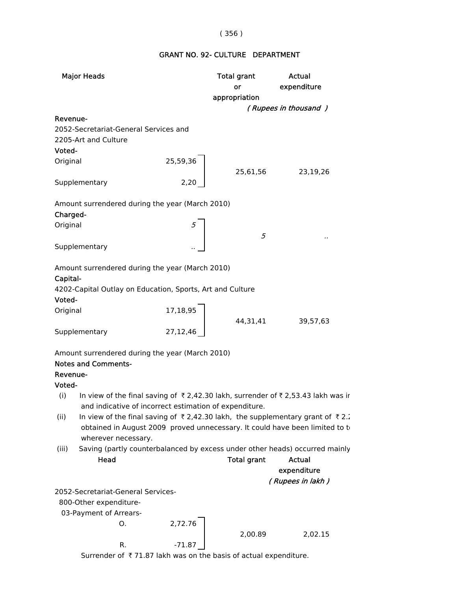# ( 356 )

# GRANT NO. 92- CULTURE DEPARTMENT

| <b>Major Heads</b>                                                                     |          | Total grant<br>or  | <b>Actual</b><br>expenditure |
|----------------------------------------------------------------------------------------|----------|--------------------|------------------------------|
|                                                                                        |          | appropriation      |                              |
|                                                                                        |          |                    | (Rupees in thousand)         |
| Revenue-                                                                               |          |                    |                              |
| 2052-Secretariat-General Services and                                                  |          |                    |                              |
| 2205-Art and Culture                                                                   |          |                    |                              |
| Voted-                                                                                 |          |                    |                              |
| Original                                                                               | 25,59,36 |                    |                              |
| Supplementary                                                                          | 2,20     | 25,61,56           | 23,19,26                     |
|                                                                                        |          |                    |                              |
| Amount surrendered during the year (March 2010)                                        |          |                    |                              |
| Charged-                                                                               |          |                    |                              |
| Original                                                                               |          |                    |                              |
|                                                                                        |          | 5                  |                              |
| Supplementary                                                                          |          |                    |                              |
| Amount surrendered during the year (March 2010)                                        |          |                    |                              |
| Capital-                                                                               |          |                    |                              |
| 4202-Capital Outlay on Education, Sports, Art and Culture                              |          |                    |                              |
| Voted-                                                                                 |          |                    |                              |
| Original                                                                               | 17,18,95 |                    |                              |
|                                                                                        |          | 44,31,41           | 39,57,63                     |
| Supplementary                                                                          | 27,12,46 |                    |                              |
|                                                                                        |          |                    |                              |
| Amount surrendered during the year (March 2010)                                        |          |                    |                              |
| <b>Notes and Comments-</b>                                                             |          |                    |                              |
| Revenue-                                                                               |          |                    |                              |
| Voted-                                                                                 |          |                    |                              |
| In view of the final saving of ₹2,42.30 lakh, surrender of ₹2,53.43 lakh was ir<br>(i) |          |                    |                              |
| and indicative of incorrect estimation of expenditure.                                 |          |                    |                              |
| (ii)<br>In view of the final saving of ₹2,42.30 lakh, the supplementary grant of ₹2    |          |                    |                              |
| obtained in August 2009 proved unnecessary. It could have been limited to to           |          |                    |                              |
| wherever necessary.                                                                    |          |                    |                              |
| Saving (partly counterbalanced by excess under other heads) occurred mainly<br>(iii)   |          |                    |                              |
| Head                                                                                   |          | <b>Total grant</b> | <b>Actual</b>                |
|                                                                                        |          |                    | expenditure                  |
|                                                                                        |          |                    | (Rupees in lakh)             |
| 2052-Secretariat-General Services-                                                     |          |                    |                              |
| 800-Other expenditure-                                                                 |          |                    |                              |
| 03-Payment of Arrears-                                                                 |          |                    |                              |
| О.                                                                                     | 2,72.76  |                    |                              |
|                                                                                        |          | 2,00.89            | 2,02.15                      |
| R.                                                                                     | $-71.87$ |                    |                              |

Surrender of  $\bar{\tau}$  71.87 lakh was on the basis of actual expenditure.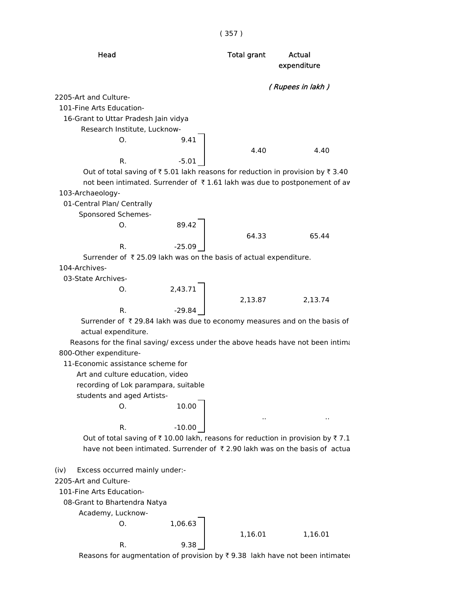

Reasons for augmentation of provision by  $\bar{\tau}$  9.38 lakh have not been intimated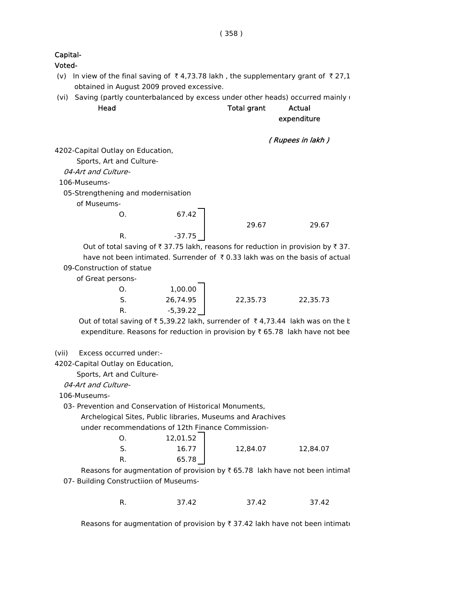## Capital-

Voted-

- (v) In view of the final saving of  $\bar{\tau}$  4,73.78 lakh, the supplementary grant of  $\bar{\tau}$  27,1 obtained in August 2009 proved excessive.
- (vi) Saving (partly counterbalanced by excess under other heads) occurred mainly  $\mathsf{I}$ 
	- Head **Total grant** Actual

expenditure

```
( Rupees in lakh )
```
4202-Capital Outlay on Education,

Sports, Art and Culture-

04-Art and Culture-

106-Museums-

05-Strengthening and modernisation

of Museums-

| O. | 67.42    |       |       |
|----|----------|-------|-------|
|    |          | 29.67 | 29.67 |
| D  | $-37.75$ |       |       |

Out of total saving of  $\bar{\tau}$  37.75 lakh, reasons for reduction in provision by  $\bar{\tau}$  37. have not been intimated. Surrender of  $\bar{\tau}$  0.33 lakh was on the basis of actual 09-Construction of statue

of Great persons-

| 1,00.00    |          |          |
|------------|----------|----------|
| 26,74.95   | 22,35.73 | 22,35.73 |
| $-5,39.22$ |          |          |

Out of total saving of  $\overline{\xi}$  5,39.22 lakh, surrender of  $\overline{\xi}$  4,73.44 lakh was on the k expenditure. Reasons for reduction in provision by  $\bar{\tau}$  65.78 lakh have not bee

(vii) Excess occurred under:-

4202-Capital Outlay on Education,

Sports, Art and Culture-

04-Art and Culture-

106-Museums-

03- Prevention and Conservation of Historical Monuments,

Archelogical Sites, Public libraries, Museums and Arachives

under recommendations of 12th Finance Commission-

| Ο. | 12,01.52 |          |          |
|----|----------|----------|----------|
| S. | 16.77    | 12,84.07 | 12,84.07 |
| R. | 65.78    |          |          |

Reasons for augmentation of provision by  $\bar{\tau}$  65.78 lakh have not been intimat 07- Building Constructiion of Museums-

| R. | 37.42 | 37.42 | 37.42 |
|----|-------|-------|-------|
|    |       |       |       |

Reasons for augmentation of provision by  $\bar{\tau}$  37.42 lakh have not been intimate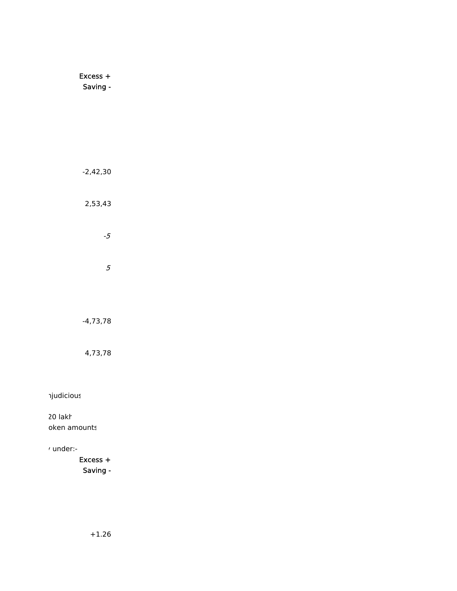Excess + Saving - $-2,42,30$ 2,53,43  $-5$  $\overline{5}$  $-4,73,78$ 4,73,78 *njudicious* 

20 lakh oken amounts

## , under:-

Excess + Saving -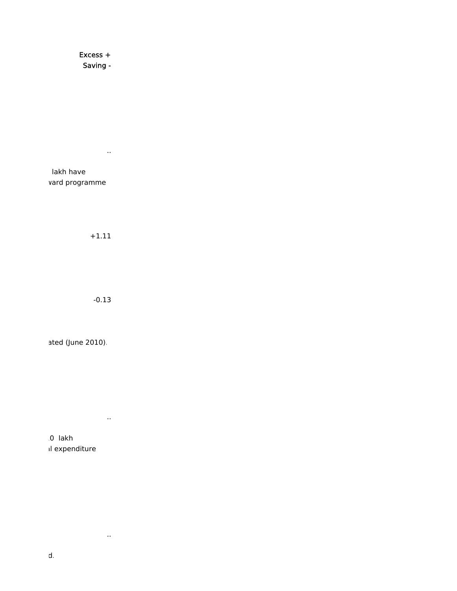Excess + Saving -

lakh have vard programme

 $+1.11$ 

 $\alpha$  ,  $\alpha$  ,  $\alpha$ 

 $-0.13$ 

ated (June 2010).

 $\sim 10^7$ 

 $\sim 10^7$ 

0 lakh il expenditure

 $\mathsf{d}$ .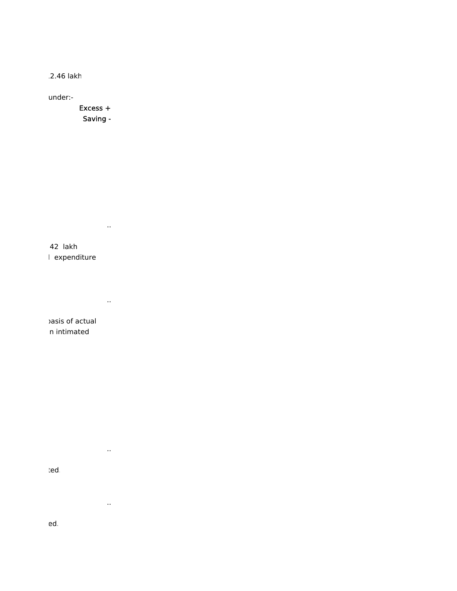2.46 lakh

under:-

Excess + Saving -

 $\sim 100$ 

 $\sim 10^7$ 

 $\sim 10^{-11}$ 

 $\sim 10^7$ 

42 lakh l expenditure

asis of actual n intimated

ted

ed.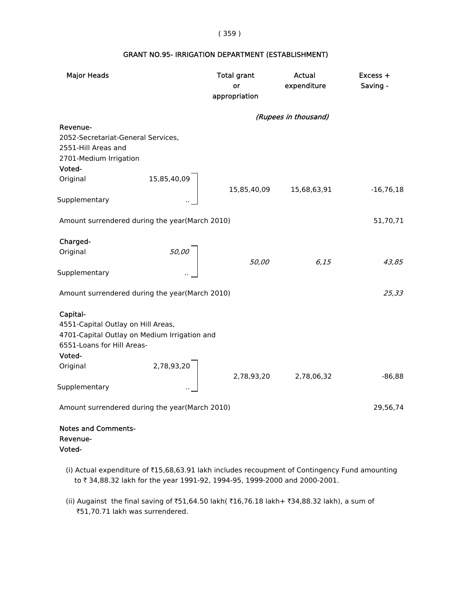#### ( 359 )

## GRANT NO.95- IRRIGATION DEPARTMENT (ESTABLISHMENT)

| <b>Major Heads</b>                                                                                                                                 |                                       | <b>Total grant</b><br>or | Actual<br>expenditure | Excess +<br>Saving - |
|----------------------------------------------------------------------------------------------------------------------------------------------------|---------------------------------------|--------------------------|-----------------------|----------------------|
|                                                                                                                                                    |                                       | appropriation            |                       |                      |
|                                                                                                                                                    |                                       |                          | (Rupees in thousand)  |                      |
| Revenue-<br>2052-Secretariat-General Services,<br>2551-Hill Areas and<br>2701-Medium Irrigation<br>Voted-                                          |                                       |                          |                       |                      |
| Original                                                                                                                                           | 15,85,40,09                           | 15,85,40,09              | 15,68,63,91           | $-16,76,18$          |
| Supplementary                                                                                                                                      |                                       |                          |                       |                      |
| Amount surrendered during the year(March 2010)                                                                                                     |                                       |                          |                       | 51,70,71             |
| Charged-                                                                                                                                           |                                       |                          |                       |                      |
| Original                                                                                                                                           | $\begin{bmatrix} 50,00 \end{bmatrix}$ | 50,00                    | 6,15                  | 43,85                |
| Supplementary                                                                                                                                      |                                       |                          |                       |                      |
| Amount surrendered during the year(March 2010)                                                                                                     |                                       |                          |                       | 25,33                |
| Capital-<br>4551-Capital Outlay on Hill Areas,<br>4701-Capital Outlay on Medium Irrigation and<br>6551-Loans for Hill Areas-<br>Voted-<br>Original | 2,78,93,20                            |                          |                       |                      |
| Supplementary                                                                                                                                      |                                       |                          | 2,78,93,20 2,78,06,32 | $-86,88$             |
| Amount surrendered during the year(March 2010)                                                                                                     |                                       |                          |                       | 29,56,74             |
| <b>Notes and Comments-</b><br>Revenue-<br>Voted-                                                                                                   |                                       |                          |                       |                      |

- (i) Actual expenditure of `15,68,63.91 lakh includes recoupment of Contingency Fund amounting to ₹ 34,88.32 lakh for the year 1991-92, 1994-95, 1999-2000 and 2000-2001.
- (ii) Augainst the final saving of ₹51,64.50 lakh( ₹16,76.18 lakh+ ₹34,88.32 lakh), a sum of ₹51,70.71 lakh was surrendered.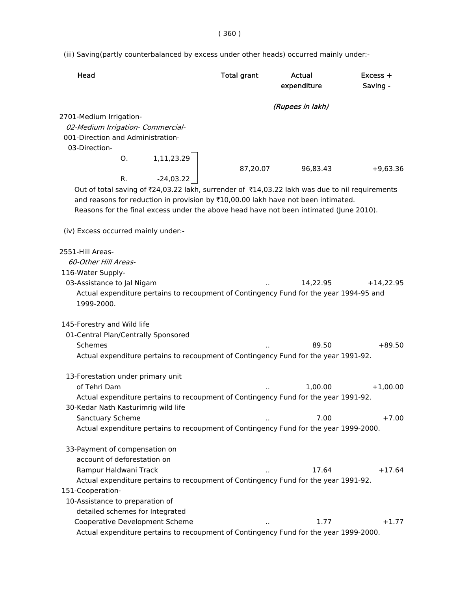( 360 )

(iii) Saving(partly counterbalanced by excess under other heads) occurred mainly under:-

| Head                                                                                           | <b>Total grant</b> | Actual           | $Excess +$  |
|------------------------------------------------------------------------------------------------|--------------------|------------------|-------------|
|                                                                                                |                    | expenditure      | Saving -    |
|                                                                                                |                    | (Rupees in lakh) |             |
| 2701-Medium Irrigation-                                                                        |                    |                  |             |
| 02-Medium Irrigation- Commercial-                                                              |                    |                  |             |
| 001-Direction and Administration-                                                              |                    |                  |             |
| 03-Direction-                                                                                  |                    |                  |             |
| 1,11,23.29<br>0.                                                                               |                    |                  |             |
|                                                                                                | 87,20.07           | 96,83.43         | $+9,63.36$  |
| -24,03.22<br>R.                                                                                |                    |                  |             |
| Out of total saving of ₹24,03.22 lakh, surrender of ₹14,03.22 lakh was due to nil requirements |                    |                  |             |
| and reasons for reduction in provision by ₹10,00.00 lakh have not been intimated.              |                    |                  |             |
| Reasons for the final excess under the above head have not been intimated (June 2010).         |                    |                  |             |
| (iv) Excess occurred mainly under:-                                                            |                    |                  |             |
| 2551-Hill Areas-                                                                               |                    |                  |             |
| 60-Other Hill Areas-                                                                           |                    |                  |             |
| 116-Water Supply-                                                                              |                    |                  |             |
| 03-Assistance to Jal Nigam                                                                     |                    | 14,22.95         | $+14,22.95$ |
| Actual expenditure pertains to recoupment of Contingency Fund for the year 1994-95 and         |                    |                  |             |
| 1999-2000.                                                                                     |                    |                  |             |
| 145-Forestry and Wild life                                                                     |                    |                  |             |
| 01-Central Plan/Centrally Sponsored                                                            |                    |                  |             |
| Schemes                                                                                        |                    | 89.50            | $+89.50$    |
| Actual expenditure pertains to recoupment of Contingency Fund for the year 1991-92.            |                    |                  |             |
| 13-Forestation under primary unit                                                              |                    |                  |             |
| of Tehri Dam                                                                                   |                    | 1,00.00          | $+1,00.00$  |
| Actual expenditure pertains to recoupment of Contingency Fund for the year 1991-92.            |                    |                  |             |
| 30-Kedar Nath Kasturimrig wild life                                                            |                    |                  |             |
| Sanctuary Scheme                                                                               |                    | 7.00             | $+7.00$     |
| Actual expenditure pertains to recoupment of Contingency Fund for the year 1999-2000.          |                    |                  |             |
|                                                                                                |                    |                  |             |
| 33-Payment of compensation on                                                                  |                    |                  |             |
| account of deforestation on                                                                    |                    |                  |             |
| Rampur Haldwani Track                                                                          |                    | 17.64            | $+17.64$    |
| Actual expenditure pertains to recoupment of Contingency Fund for the year 1991-92.            |                    |                  |             |
| 151-Cooperation-                                                                               |                    |                  |             |
| 10-Assistance to preparation of                                                                |                    |                  |             |
| detailed schemes for Integrated                                                                |                    |                  |             |
| Cooperative Development Scheme                                                                 |                    | 1.77             | $+1.77$     |
| Actual expenditure pertains to recoupment of Contingency Fund for the year 1999-2000.          |                    |                  |             |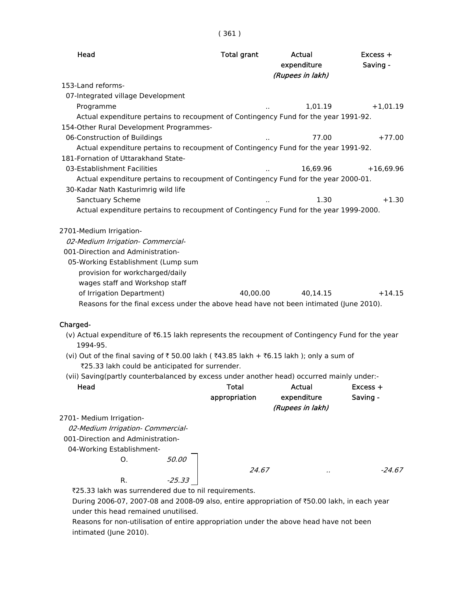| Head                                                                                                                                                                                                         | <b>Total grant</b> | Actual<br>expenditure<br>(Rupees in lakh) | $Excess +$<br>Saving - |
|--------------------------------------------------------------------------------------------------------------------------------------------------------------------------------------------------------------|--------------------|-------------------------------------------|------------------------|
| 153-Land reforms-                                                                                                                                                                                            |                    |                                           |                        |
| 07-Integrated village Development                                                                                                                                                                            |                    |                                           |                        |
| Programme                                                                                                                                                                                                    |                    | 1,01.19                                   | $+1,01.19$             |
| Actual expenditure pertains to recoupment of Contingency Fund for the year 1991-92.                                                                                                                          |                    |                                           |                        |
| 154-Other Rural Development Programmes-                                                                                                                                                                      |                    |                                           |                        |
| 06-Construction of Buildings                                                                                                                                                                                 |                    | 77.00                                     | $+77.00$               |
| Actual expenditure pertains to recoupment of Contingency Fund for the year 1991-92.                                                                                                                          |                    |                                           |                        |
| 181-Fornation of Uttarakhand State-                                                                                                                                                                          |                    |                                           |                        |
| 03-Establishment Facilities                                                                                                                                                                                  |                    | 16,69.96                                  | $+16,69.96$            |
| Actual expenditure pertains to recoupment of Contingency Fund for the year 2000-01.<br>30-Kadar Nath Kasturimrig wild life                                                                                   |                    |                                           |                        |
| Sanctuary Scheme                                                                                                                                                                                             |                    | 1.30                                      | $+1.30$                |
| Actual expenditure pertains to recoupment of Contingency Fund for the year 1999-2000.                                                                                                                        |                    |                                           |                        |
| 2701-Medium Irrigation-<br>02-Medium Irrigation- Commercial-<br>001-Direction and Administration-<br>05-Working Establishment (Lump sum<br>provision for workcharged/daily<br>wages staff and Workshop staff |                    |                                           |                        |
| of Irrigation Department)                                                                                                                                                                                    | 40.00.00           | 40,14.15                                  | $+14.15$               |
| Reasons for the final excess under the above head have not been intimated (June 2010).                                                                                                                       |                    |                                           |                        |
| Charged-                                                                                                                                                                                                     |                    |                                           |                        |
| (v) Actual expenditure of ₹6.15 lakh represents the recoupment of Contingency Fund for the year<br>1994-95.                                                                                                  |                    |                                           |                        |
| (vi) Out of the final saving of ₹ 50.00 lakh ( ₹43.85 lakh + ₹6.15 lakh); only a sum of<br>₹25.33 lakh could be anticipated for surrender.                                                                   |                    |                                           |                        |
| (vii) Saving(partly counterbalanced by excess under another head) occurred mainly under:-                                                                                                                    |                    |                                           |                        |
| Head                                                                                                                                                                                                         | <b>Total</b>       | <b>Actual</b>                             | $Excess +$             |
|                                                                                                                                                                                                              | appropriation      | expenditure                               | Saving -               |
|                                                                                                                                                                                                              |                    | (Rupees in lakh)                          |                        |
| 2701- Medium Irrigation-                                                                                                                                                                                     |                    |                                           |                        |
| 02-Medium Irrigation- Commercial-                                                                                                                                                                            |                    |                                           |                        |
| 001-Direction and Administration-                                                                                                                                                                            |                    |                                           |                        |
| 04-Working Establishment-                                                                                                                                                                                    |                    |                                           |                        |
| 50.00<br>O.                                                                                                                                                                                                  |                    |                                           |                        |
|                                                                                                                                                                                                              | 24.67              |                                           | -24.67                 |
| $-25.33$<br>R.                                                                                                                                                                                               |                    |                                           |                        |
| ₹25.33 lakh was surrendered due to nil requirements.                                                                                                                                                         |                    |                                           |                        |

During 2006-07, 2007-08 and 2008-09 also, entire appropriation of ₹50.00 lakh, in each year under this head remained unutilised.

 Reasons for non-utilisation of entire appropriation under the above head have not been intimated (June 2010).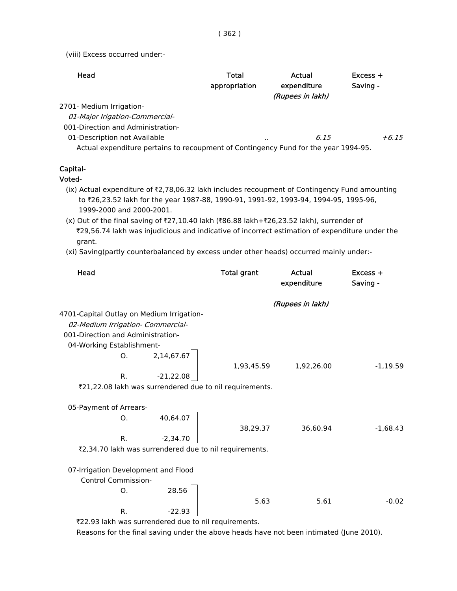( 362 )

(viii) Excess occurred under:-

| Head                                                                                | Total<br>appropriation | Actual<br>expenditure<br>(Rupees in lakh) | $Excess +$<br>Saving - |
|-------------------------------------------------------------------------------------|------------------------|-------------------------------------------|------------------------|
| 2701- Medium Irrigation-                                                            |                        |                                           |                        |
| 01-Major Irigation-Commercial-                                                      |                        |                                           |                        |
| 001-Direction and Administration-                                                   |                        |                                           |                        |
| 01-Description not Available                                                        |                        | 6.15<br>                                  | $+6.15$                |
| Actual expenditure pertains to recoupment of Contingency Fund for the year 1994-95. |                        |                                           |                        |

#### Capital-

#### Voted-

- (ix) Actual expenditure of  $z$ ,78,06.32 lakh includes recoupment of Contingency Fund amounting to `26,23.52 lakh for the year 1987-88, 1990-91, 1991-92, 1993-94, 1994-95, 1995-96, 1999-2000 and 2000-2001.
- (x) Out of the final saving of ₹27,10.40 lakh (₹86.88 lakh+₹26,23.52 lakh), surrender of `29,56.74 lakh was injudicious and indicative of incorrect estimation of expenditure under the grant.
- (xi) Saving(partly counterbalanced by excess under other heads) occurred mainly under:-

| Head                                                       |             | <b>Total grant</b> | Actual<br>expenditure | Excess +<br>Saving - |
|------------------------------------------------------------|-------------|--------------------|-----------------------|----------------------|
|                                                            |             |                    | (Rupees in lakh)      |                      |
| 4701-Capital Outlay on Medium Irrigation-                  |             |                    |                       |                      |
| 02-Medium Irrigation- Commercial-                          |             |                    |                       |                      |
| 001-Direction and Administration-                          |             |                    |                       |                      |
| 04-Working Establishment-                                  |             |                    |                       |                      |
| O <sub>1</sub>                                             | 2,14,67.67  |                    |                       |                      |
|                                                            |             | 1,93,45.59         | 1,92,26.00            | $-1,19.59$           |
| R.                                                         | $-21,22.08$ |                    |                       |                      |
| ₹21,22.08 lakh was surrendered due to nil requirements.    |             |                    |                       |                      |
|                                                            |             |                    |                       |                      |
| 05-Payment of Arrears-                                     |             |                    |                       |                      |
| O.                                                         | 40,64.07    |                    |                       |                      |
|                                                            |             | 38,29.37           | 36,60.94              | $-1,68.43$           |
| R.                                                         | $-2,34.70$  |                    |                       |                      |
| ₹2,34.70 lakh was surrendered due to nil requirements.     |             |                    |                       |                      |
|                                                            |             |                    |                       |                      |
| 07-Irrigation Development and Flood                        |             |                    |                       |                      |
| <b>Control Commission-</b>                                 |             |                    |                       |                      |
| O.                                                         | 28.56       |                    |                       |                      |
|                                                            |             | 5.63               | 5.61                  | $-0.02$              |
| R.                                                         | $-22.93$    |                    |                       |                      |
| <b>EXAMPLE IN THE ELEMAN DEALER AND THE SCHOOL CO. CCE</b> |             |                    |                       |                      |

`22.93 lakh was surrendered due to nil requirements.

Reasons for the final saving under the above heads have not been intimated (June 2010).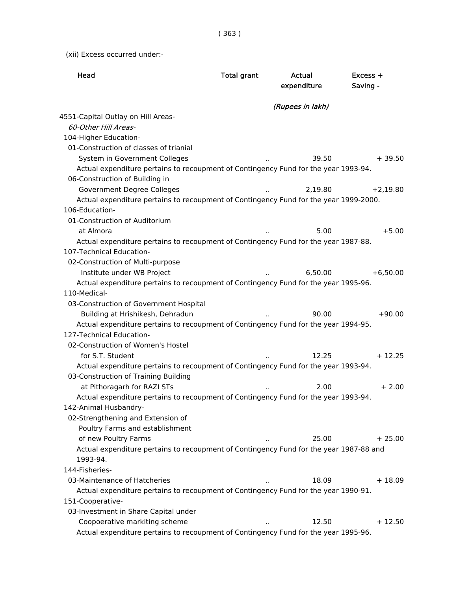( 363 )

(xii) Excess occurred under:-

| Head                                                                                   | <b>Total grant</b> | Actual<br>expenditure | $Excess +$<br>Saving - |
|----------------------------------------------------------------------------------------|--------------------|-----------------------|------------------------|
|                                                                                        |                    |                       |                        |
|                                                                                        |                    | (Rupees in lakh)      |                        |
| 4551-Capital Outlay on Hill Areas-                                                     |                    |                       |                        |
| 60-Other Hill Areas-                                                                   |                    |                       |                        |
| 104-Higher Education-                                                                  |                    |                       |                        |
| 01-Construction of classes of trianial                                                 |                    |                       |                        |
| System in Government Colleges                                                          |                    | 39.50                 | $+39.50$               |
| Actual expenditure pertains to recoupment of Contingency Fund for the year 1993-94.    |                    |                       |                        |
| 06-Construction of Building in                                                         |                    |                       |                        |
| Government Degree Colleges                                                             |                    | 2,19.80               | $+2,19.80$             |
| Actual expenditure pertains to recoupment of Contingency Fund for the year 1999-2000.  |                    |                       |                        |
| 106-Education-                                                                         |                    |                       |                        |
| 01-Construction of Auditorium                                                          |                    |                       |                        |
| at Almora                                                                              |                    | 5.00                  | $+5.00$                |
| Actual expenditure pertains to recoupment of Contingency Fund for the year 1987-88.    |                    |                       |                        |
| 107-Technical Education-                                                               |                    |                       |                        |
| 02-Construction of Multi-purpose                                                       |                    |                       |                        |
| Institute under WB Project                                                             |                    | 6,50.00               | $+6,50.00$             |
| Actual expenditure pertains to recoupment of Contingency Fund for the year 1995-96.    |                    |                       |                        |
| 110-Medical-                                                                           |                    |                       |                        |
| 03-Construction of Government Hospital                                                 |                    |                       |                        |
| Building at Hrishikesh, Dehradun                                                       |                    | 90.00                 | $+90.00$               |
| Actual expenditure pertains to recoupment of Contingency Fund for the year 1994-95.    |                    |                       |                        |
| 127-Technical Education-                                                               |                    |                       |                        |
| 02-Construction of Women's Hostel                                                      |                    |                       |                        |
| for S.T. Student                                                                       |                    | 12.25                 | $+12.25$               |
| Actual expenditure pertains to recoupment of Contingency Fund for the year 1993-94.    |                    |                       |                        |
| 03-Construction of Training Building                                                   |                    |                       |                        |
| at Pithoragarh for RAZI STs                                                            |                    | 2.00                  | $+2.00$                |
| Actual expenditure pertains to recoupment of Contingency Fund for the year 1993-94.    |                    |                       |                        |
| 142-Animal Husbandry-                                                                  |                    |                       |                        |
| 02-Strengthening and Extension of                                                      |                    |                       |                        |
| Poultry Farms and establishment                                                        |                    |                       |                        |
| of new Poultry Farms                                                                   |                    | 25.00                 | $+25.00$               |
| Actual expenditure pertains to recoupment of Contingency Fund for the year 1987-88 and |                    |                       |                        |
| 1993-94.                                                                               |                    |                       |                        |
| 144-Fisheries-                                                                         |                    |                       |                        |
| 03-Maintenance of Hatcheries                                                           |                    | 18.09                 | $+18.09$               |
| Actual expenditure pertains to recoupment of Contingency Fund for the year 1990-91.    |                    |                       |                        |
| 151-Cooperative-                                                                       |                    |                       |                        |
| 03-Investment in Share Capital under                                                   |                    |                       |                        |
| Coopoerative markiting scheme                                                          |                    | 12.50                 | $+12.50$               |
| Actual expenditure pertains to recoupment of Contingency Fund for the year 1995-96.    |                    |                       |                        |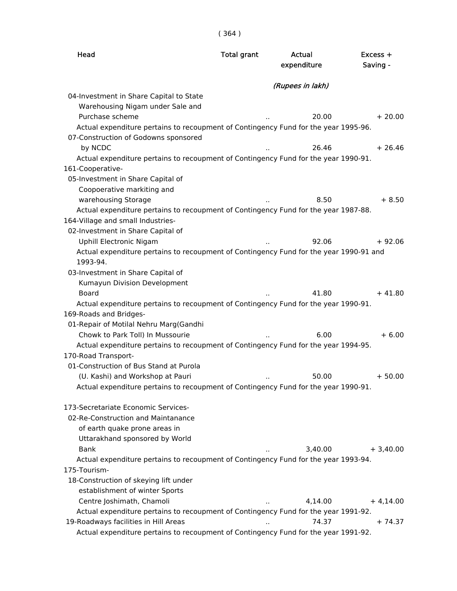( 364 )

| Head                                                                                               | <b>Total grant</b>   | Actual<br>expenditure | $Excess +$<br>Saving - |
|----------------------------------------------------------------------------------------------------|----------------------|-----------------------|------------------------|
|                                                                                                    |                      | (Rupees in lakh)      |                        |
| 04-Investment in Share Capital to State                                                            |                      |                       |                        |
| Warehousing Nigam under Sale and                                                                   |                      |                       |                        |
| Purchase scheme                                                                                    |                      | 20.00                 | $+20.00$               |
| Actual expenditure pertains to recoupment of Contingency Fund for the year 1995-96.                |                      |                       |                        |
| 07-Construction of Godowns sponsored                                                               |                      |                       |                        |
| by NCDC                                                                                            |                      | 26.46                 | $+26.46$               |
| Actual expenditure pertains to recoupment of Contingency Fund for the year 1990-91.                |                      |                       |                        |
| 161-Cooperative-                                                                                   |                      |                       |                        |
| 05-Investment in Share Capital of                                                                  |                      |                       |                        |
| Coopoerative markiting and                                                                         |                      |                       |                        |
| warehousing Storage                                                                                |                      | 8.50                  | $+8.50$                |
| Actual expenditure pertains to recoupment of Contingency Fund for the year 1987-88.                |                      |                       |                        |
| 164-Village and small Industries-                                                                  |                      |                       |                        |
| 02-Investment in Share Capital of                                                                  |                      |                       |                        |
| Uphill Electronic Nigam                                                                            |                      | 92.06                 | $+92.06$               |
| Actual expenditure pertains to recoupment of Contingency Fund for the year 1990-91 and<br>1993-94. |                      |                       |                        |
| 03-Investment in Share Capital of                                                                  |                      |                       |                        |
| Kumayun Division Development                                                                       |                      |                       |                        |
| <b>Board</b>                                                                                       |                      | 41.80                 | $+41.80$               |
| Actual expenditure pertains to recoupment of Contingency Fund for the year 1990-91.                |                      |                       |                        |
| 169-Roads and Bridges-                                                                             |                      |                       |                        |
| 01-Repair of Motilal Nehru Marg(Gandhi                                                             |                      |                       |                        |
| Chowk to Park Toll) In Mussourie                                                                   |                      | 6.00                  | $+6.00$                |
| Actual expenditure pertains to recoupment of Contingency Fund for the year 1994-95.                |                      |                       |                        |
| 170-Road Transport-                                                                                |                      |                       |                        |
| 01-Construction of Bus Stand at Purola                                                             |                      |                       |                        |
| (U. Kashi) and Workshop at Pauri                                                                   | $\ddot{\phantom{1}}$ | 50.00                 | $+50.00$               |
| Actual expenditure pertains to recoupment of Contingency Fund for the year 1990-91.                |                      |                       |                        |
| 173-Secretariate Economic Services-                                                                |                      |                       |                        |
| 02-Re-Construction and Maintanance                                                                 |                      |                       |                        |
| of earth quake prone areas in                                                                      |                      |                       |                        |
| Uttarakhand sponsored by World                                                                     |                      |                       |                        |
| <b>Bank</b>                                                                                        |                      | 3,40.00               | $+3,40.00$             |
| Actual expenditure pertains to recoupment of Contingency Fund for the year 1993-94.                |                      |                       |                        |
| 175-Tourism-                                                                                       |                      |                       |                        |
| 18-Construction of skeying lift under                                                              |                      |                       |                        |
| establishment of winter Sports                                                                     |                      |                       |                        |
| Centre Joshimath, Chamoli                                                                          |                      | 4,14.00               | $+4,14.00$             |
| Actual expenditure pertains to recoupment of Contingency Fund for the year 1991-92.                |                      |                       |                        |
| 19-Roadways facilities in Hill Areas                                                               |                      | 74.37                 | $+74.37$               |
| Actual expenditure pertains to recoupment of Contingency Fund for the year 1991-92.                |                      |                       |                        |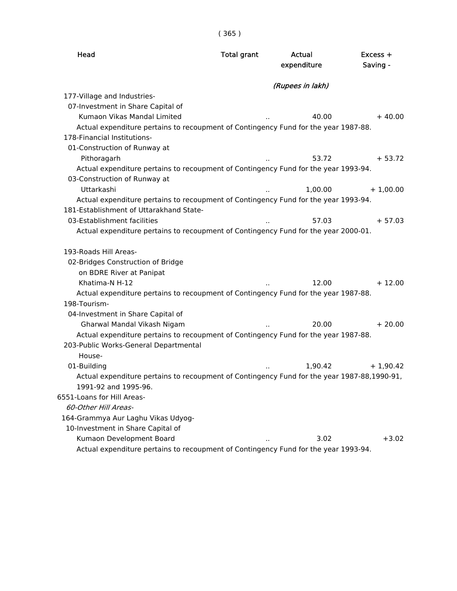| Head                                                                                        | <b>Total grant</b> | Actual<br>expenditure | $Excess +$<br>Saving - |
|---------------------------------------------------------------------------------------------|--------------------|-----------------------|------------------------|
|                                                                                             |                    | (Rupees in lakh)      |                        |
| 177-Village and Industries-                                                                 |                    |                       |                        |
| 07-Investment in Share Capital of                                                           |                    |                       |                        |
| Kumaon Vikas Mandal Limited                                                                 |                    | 40.00                 | $+40.00$               |
| Actual expenditure pertains to recoupment of Contingency Fund for the year 1987-88.         |                    |                       |                        |
| 178-Financial Institutions-                                                                 |                    |                       |                        |
| 01-Construction of Runway at                                                                |                    |                       |                        |
| Pithoragarh                                                                                 |                    | 53.72                 | $+ 53.72$              |
| Actual expenditure pertains to recoupment of Contingency Fund for the year 1993-94.         |                    |                       |                        |
| 03-Construction of Runway at                                                                |                    |                       |                        |
| Uttarkashi                                                                                  |                    | 1,00.00               | $+1,00.00$             |
| Actual expenditure pertains to recoupment of Contingency Fund for the year 1993-94.         |                    |                       |                        |
| 181-Establishment of Uttarakhand State-                                                     |                    |                       |                        |
| 03-Establishment facilities                                                                 |                    | 57.03                 | $+57.03$               |
| Actual expenditure pertains to recoupment of Contingency Fund for the year 2000-01.         |                    |                       |                        |
| 193-Roads Hill Areas-                                                                       |                    |                       |                        |
| 02-Bridges Construction of Bridge                                                           |                    |                       |                        |
| on BDRE River at Panipat                                                                    |                    |                       |                        |
| Khatima-N H-12                                                                              |                    | 12.00                 | $+12.00$               |
| Actual expenditure pertains to recoupment of Contingency Fund for the year 1987-88.         |                    |                       |                        |
| 198-Tourism-                                                                                |                    |                       |                        |
| 04-Investment in Share Capital of                                                           |                    |                       |                        |
| Gharwal Mandal Vikash Nigam                                                                 |                    | 20.00                 | $+20.00$               |
| Actual expenditure pertains to recoupment of Contingency Fund for the year 1987-88.         |                    |                       |                        |
| 203-Public Works-General Departmental                                                       |                    |                       |                        |
| House-                                                                                      |                    |                       |                        |
| 01-Building                                                                                 |                    | 1.90.42               | $+1,90.42$             |
| Actual expenditure pertains to recoupment of Contingency Fund for the year 1987-88,1990-91, |                    |                       |                        |
| 1991-92 and 1995-96.                                                                        |                    |                       |                        |
| 6551-Loans for Hill Areas-                                                                  |                    |                       |                        |
| 60-Other Hill Areas-                                                                        |                    |                       |                        |
| 164-Grammya Aur Laghu Vikas Udyog-                                                          |                    |                       |                        |
| 10-Investment in Share Capital of                                                           |                    |                       |                        |
| Kumaon Development Board                                                                    |                    | 3.02                  | $+3.02$                |
| Actual expenditure pertains to recoupment of Contingency Fund for the year 1993-94.         |                    |                       |                        |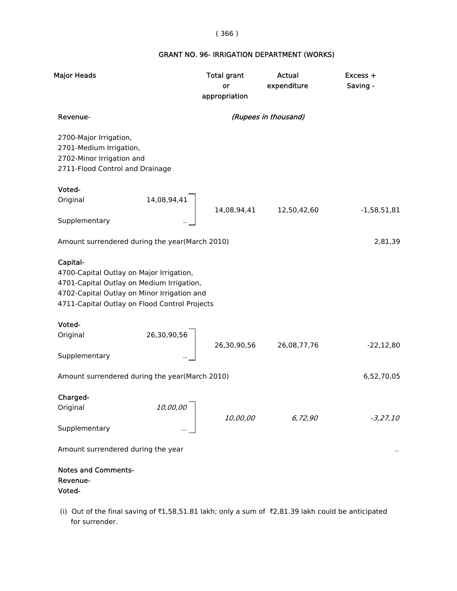## ( 366 )

### GRANT NO. 96- IRRIGATION DEPARTMENT (WORKS)

| <b>Major Heads</b>                                                                                                                                                                                | <b>Total grant</b><br>or<br>appropriation | Actual<br>expenditure | Excess +<br>Saving - |
|---------------------------------------------------------------------------------------------------------------------------------------------------------------------------------------------------|-------------------------------------------|-----------------------|----------------------|
| Revenue-                                                                                                                                                                                          |                                           | (Rupees in thousand)  |                      |
| 2700-Major Irrigation,<br>2701-Medium Irrigation,<br>2702-Minor Irrigation and<br>2711-Flood Control and Drainage                                                                                 |                                           |                       |                      |
| Voted-                                                                                                                                                                                            |                                           |                       |                      |
| 14,08,94,41<br>Original                                                                                                                                                                           | 14,08,94,41                               | 12,50,42,60           | $-1,58,51,81$        |
| Supplementary                                                                                                                                                                                     |                                           |                       |                      |
| Amount surrendered during the year(March 2010)                                                                                                                                                    |                                           |                       | 2,81,39              |
| Capital-<br>4700-Capital Outlay on Major Irrigation,<br>4701-Capital Outlay on Medium Irrigation,<br>4702-Capital Outlay on Minor Irrigation and<br>4711-Capital Outlay on Flood Control Projects |                                           |                       |                      |
| Voted-                                                                                                                                                                                            |                                           |                       |                      |
| 26,30,90,56<br>Original                                                                                                                                                                           | 26,30,90,56                               | 26,08,77,76           | $-22,12,80$          |
| Supplementary                                                                                                                                                                                     |                                           |                       |                      |
| Amount surrendered during the year(March 2010)                                                                                                                                                    |                                           |                       | 6,52,70,05           |
| Charged-<br>10,00,00<br>Original                                                                                                                                                                  | 10,00,00                                  | 6,72,90               | $-3,27,10$           |
| Supplementary                                                                                                                                                                                     |                                           |                       |                      |
| Amount surrendered during the year                                                                                                                                                                |                                           |                       |                      |
| <b>Notes and Comments-</b><br>Revenue-<br>Voted-                                                                                                                                                  |                                           |                       |                      |

(i) Out of the final saving of ₹1,58,51.81 lakh; only a sum of  $\bar{\tau}$ 2,81.39 lakh could be anticipated for surrender.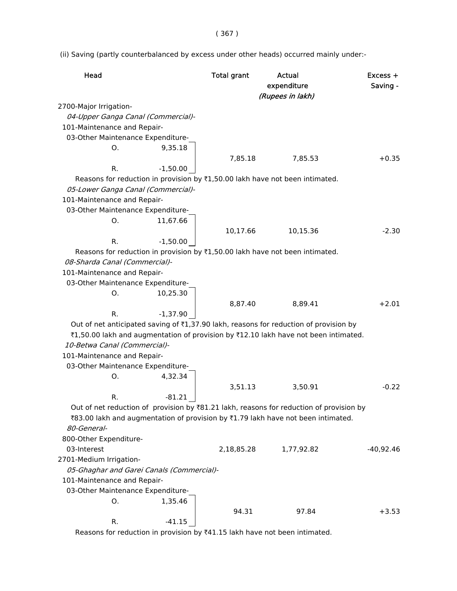( 367 )

(ii) Saving (partly counterbalanced by excess under other heads) occurred mainly under:-

| Head                               |                                           | <b>Total grant</b> | Actual<br>expenditure<br>(Rupees in lakh)                                                            | Excess +<br>Saving - |
|------------------------------------|-------------------------------------------|--------------------|------------------------------------------------------------------------------------------------------|----------------------|
| 2700-Major Irrigation-             |                                           |                    |                                                                                                      |                      |
| 04-Upper Ganga Canal (Commercial)- |                                           |                    |                                                                                                      |                      |
| 101-Maintenance and Repair-        |                                           |                    |                                                                                                      |                      |
| 03-Other Maintenance Expenditure-  |                                           |                    |                                                                                                      |                      |
| 0.                                 | 9,35.18                                   |                    |                                                                                                      |                      |
|                                    |                                           | 7,85.18            | 7,85.53                                                                                              | $+0.35$              |
| R.                                 | $-1,50.00$                                |                    |                                                                                                      |                      |
|                                    |                                           |                    | Reasons for reduction in provision by ₹1,50.00 lakh have not been intimated.                         |                      |
| 05-Lower Ganga Canal (Commercial)- |                                           |                    |                                                                                                      |                      |
| 101-Maintenance and Repair-        |                                           |                    |                                                                                                      |                      |
| 03-Other Maintenance Expenditure-  |                                           |                    |                                                                                                      |                      |
| O.                                 | 11,67.66                                  |                    |                                                                                                      |                      |
|                                    |                                           | 10,17.66           | 10,15.36                                                                                             | $-2.30$              |
| R.                                 | $-1,50.00$                                |                    |                                                                                                      |                      |
|                                    |                                           |                    | Reasons for reduction in provision by ₹1,50.00 lakh have not been intimated.                         |                      |
| 08-Sharda Canal (Commercial)-      |                                           |                    |                                                                                                      |                      |
| 101-Maintenance and Repair-        |                                           |                    |                                                                                                      |                      |
| 03-Other Maintenance Expenditure-  |                                           |                    |                                                                                                      |                      |
| Ο.                                 | 10,25.30                                  |                    |                                                                                                      |                      |
|                                    |                                           | 8,87.40            | 8,89.41                                                                                              | $+2.01$              |
| R.                                 | $-1,37.90$                                |                    |                                                                                                      |                      |
|                                    |                                           |                    | Out of net anticipated saving of ₹1,37.90 lakh, reasons for reduction of provision by                |                      |
|                                    |                                           |                    | ₹1,50.00 lakh and augmentation of provision by ₹12.10 lakh have not been intimated.                  |                      |
| 10-Betwa Canal (Commercial)-       |                                           |                    |                                                                                                      |                      |
| 101-Maintenance and Repair-        |                                           |                    |                                                                                                      |                      |
| 03-Other Maintenance Expenditure-  |                                           |                    |                                                                                                      |                      |
| 0.                                 | 4,32.34                                   |                    |                                                                                                      |                      |
|                                    |                                           | 3,51.13            | 3,50.91                                                                                              | $-0.22$              |
| R.                                 | $-81.21$                                  |                    |                                                                                                      |                      |
|                                    |                                           |                    | Out of net reduction of provision by $\overline{8}81.21$ lakh, reasons for reduction of provision by |                      |
|                                    |                                           |                    | ₹83.00 lakh and augmentation of provision by ₹1.79 lakh have not been intimated.                     |                      |
| 80-General-                        |                                           |                    |                                                                                                      |                      |
| 800-Other Expenditure-             |                                           |                    |                                                                                                      |                      |
| 03-Interest                        |                                           | 2,18,85.28         | 1,77,92.82                                                                                           | $-40,92.46$          |
| 2701-Medium Irrigation-            |                                           |                    |                                                                                                      |                      |
|                                    | 05-Ghaghar and Garei Canals (Commercial)- |                    |                                                                                                      |                      |
| 101-Maintenance and Repair-        |                                           |                    |                                                                                                      |                      |
| 03-Other Maintenance Expenditure-  |                                           |                    |                                                                                                      |                      |
| 0.                                 | 1,35.46                                   |                    |                                                                                                      |                      |
|                                    |                                           | 94.31              | 97.84                                                                                                | $+3.53$              |
| R.                                 | $-41.15$                                  |                    |                                                                                                      |                      |

Reasons for reduction in provision by  $*41.15$  lakh have not been intimated.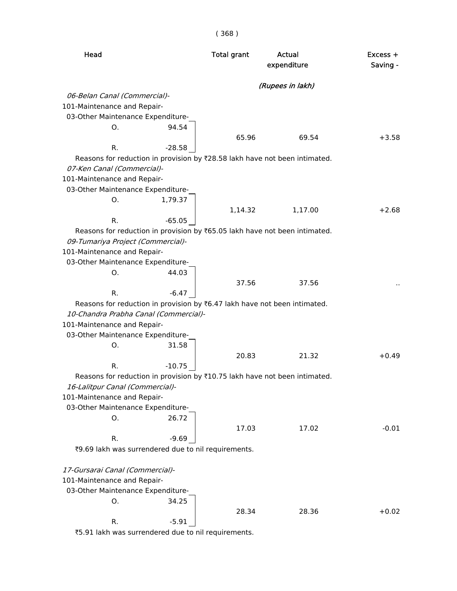| Head                                                                       | <b>Total grant</b> | Actual<br>expenditure | Excess +<br>Saving - |
|----------------------------------------------------------------------------|--------------------|-----------------------|----------------------|
|                                                                            |                    | (Rupees in lakh)      |                      |
| 06-Belan Canal (Commercial)-                                               |                    |                       |                      |
| 101-Maintenance and Repair-                                                |                    |                       |                      |
| 03-Other Maintenance Expenditure-                                          |                    |                       |                      |
| 94.54<br>Ο.                                                                |                    |                       |                      |
|                                                                            | 65.96              | 69.54                 | $+3.58$              |
| R.<br>$-28.58$                                                             |                    |                       |                      |
| Reasons for reduction in provision by ₹28.58 lakh have not been intimated. |                    |                       |                      |
| 07-Ken Canal (Commercial)-                                                 |                    |                       |                      |
| 101-Maintenance and Repair-                                                |                    |                       |                      |
| 03-Other Maintenance Expenditure-                                          |                    |                       |                      |
| 1,79.37<br>0.                                                              |                    |                       |                      |
|                                                                            | 1,14.32            | 1,17.00               | $+2.68$              |
| $-65.05$<br>R.                                                             |                    |                       |                      |
| Reasons for reduction in provision by ₹65.05 lakh have not been intimated. |                    |                       |                      |
| 09-Tumariya Project (Commercial)-                                          |                    |                       |                      |
| 101-Maintenance and Repair-                                                |                    |                       |                      |
| 03-Other Maintenance Expenditure-                                          |                    |                       |                      |
| 44.03<br>O.                                                                |                    |                       |                      |
|                                                                            | 37.56              | 37.56                 |                      |
| R.<br>$-6.47$                                                              |                    |                       |                      |
| Reasons for reduction in provision by ₹6.47 lakh have not been intimated.  |                    |                       |                      |
| 10-Chandra Prabha Canal (Commercial)-                                      |                    |                       |                      |
| 101-Maintenance and Repair-                                                |                    |                       |                      |
| 03-Other Maintenance Expenditure-                                          |                    |                       |                      |
| 31.58<br>О.                                                                |                    |                       |                      |
|                                                                            | 20.83              | 21.32                 | $+0.49$              |
| R.<br>$-10.75$                                                             |                    |                       |                      |
| Reasons for reduction in provision by ₹10.75 lakh have not been intimated. |                    |                       |                      |
| 16-Lalitpur Canal (Commercial)-                                            |                    |                       |                      |
| 101-Maintenance and Repair-                                                |                    |                       |                      |
| 03-Other Maintenance Expenditure-                                          |                    |                       |                      |
| 26.72<br>О.                                                                |                    |                       |                      |
|                                                                            | 17.03              | 17.02                 | $-0.01$              |
| R.<br>$-9.69$                                                              |                    |                       |                      |
| ₹9.69 lakh was surrendered due to nil requirements.                        |                    |                       |                      |
| 17-Gursarai Canal (Commercial)-                                            |                    |                       |                      |
| 101-Maintenance and Repair-                                                |                    |                       |                      |
| 03-Other Maintenance Expenditure-                                          |                    |                       |                      |
| 34.25<br>0.                                                                |                    |                       |                      |
|                                                                            | 28.34              | 28.36                 | $+0.02$              |
| $-5.91$<br>R.                                                              |                    |                       |                      |
|                                                                            |                    |                       |                      |

`5.91 lakh was surrendered due to nil requirements.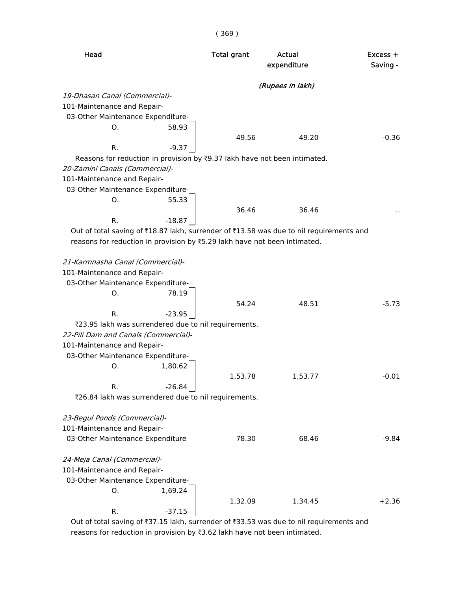| Head                           |                                                                                         | <b>Total grant</b> | Actual<br>expenditure | $Excess +$<br>Saving - |
|--------------------------------|-----------------------------------------------------------------------------------------|--------------------|-----------------------|------------------------|
|                                |                                                                                         |                    | (Rupees in lakh)      |                        |
| 19-Dhasan Canal (Commercial)-  |                                                                                         |                    |                       |                        |
| 101-Maintenance and Repair-    |                                                                                         |                    |                       |                        |
|                                | 03-Other Maintenance Expenditure-                                                       |                    |                       |                        |
| 0.                             | 58.93                                                                                   |                    |                       |                        |
|                                |                                                                                         | 49.56              | 49.20                 | $-0.36$                |
| R.                             | $-9.37$                                                                                 |                    |                       |                        |
|                                | Reasons for reduction in provision by ₹9.37 lakh have not been intimated.               |                    |                       |                        |
| 20-Zamini Canals (Commercial)- |                                                                                         |                    |                       |                        |
| 101-Maintenance and Repair-    |                                                                                         |                    |                       |                        |
|                                | 03-Other Maintenance Expenditure-                                                       |                    |                       |                        |
| O.                             | 55.33                                                                                   |                    |                       |                        |
|                                |                                                                                         | 36.46              | 36.46                 |                        |
| R.                             | $-18.87$                                                                                |                    |                       |                        |
|                                | Out of total saving of ₹18.87 lakh, surrender of ₹13.58 was due to nil requirements and |                    |                       |                        |
|                                | reasons for reduction in provision by ₹5.29 lakh have not been intimated.               |                    |                       |                        |
|                                |                                                                                         |                    |                       |                        |
|                                | 21-Karmnasha Canal (Commercial)-                                                        |                    |                       |                        |
| 101-Maintenance and Repair-    |                                                                                         |                    |                       |                        |
|                                | 03-Other Maintenance Expenditure-                                                       |                    |                       |                        |
| Ο.                             | 78.19                                                                                   |                    |                       |                        |
|                                |                                                                                         | 54.24              | 48.51                 | $-5.73$                |
| R.                             | $-23.95$                                                                                |                    |                       |                        |
|                                | ₹23.95 lakh was surrendered due to nil requirements.                                    |                    |                       |                        |
|                                | 22-Pili Dam and Canals (Commercial)-                                                    |                    |                       |                        |
| 101-Maintenance and Repair-    |                                                                                         |                    |                       |                        |
|                                | 03-Other Maintenance Expenditure-                                                       |                    |                       |                        |
| 0.                             | 1,80.62                                                                                 |                    |                       |                        |
|                                |                                                                                         | 1,53.78            | 1,53.77               | $-0.01$                |
| R.                             | $-26.84$                                                                                |                    |                       |                        |
|                                | ₹26.84 lakh was surrendered due to nil requirements.                                    |                    |                       |                        |
|                                |                                                                                         |                    |                       |                        |
| 23-Begul Ponds (Commercial)-   |                                                                                         |                    |                       |                        |
| 101-Maintenance and Repair-    |                                                                                         | 78.30              |                       |                        |
|                                | 03-Other Maintenance Expenditure                                                        |                    | 68.46                 | $-9.84$                |
| 24-Meja Canal (Commercial)-    |                                                                                         |                    |                       |                        |
| 101-Maintenance and Repair-    |                                                                                         |                    |                       |                        |
|                                | 03-Other Maintenance Expenditure-                                                       |                    |                       |                        |
| 0.                             | 1,69.24                                                                                 |                    |                       |                        |
|                                |                                                                                         |                    |                       |                        |
|                                |                                                                                         | 1,32.09            | 1,34.45               | $+2.36$                |
| R.                             | $-37.15$                                                                                |                    |                       |                        |

Out of total saving of  $\overline{37.15}$  lakh, surrender of  $\overline{33.53}$  was due to nil requirements and reasons for reduction in provision by  $\overline{3.62}$  lakh have not been intimated.

( 369 )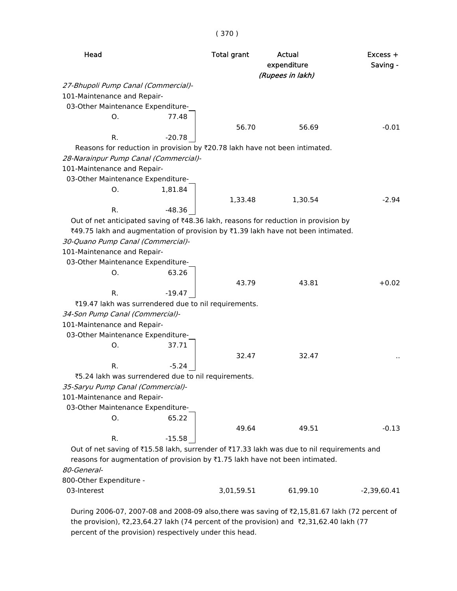| Head                                                                                       |          | <b>Total grant</b> | Actual<br>expenditure<br>(Rupees in lakh) | $Excess +$<br>Saving - |
|--------------------------------------------------------------------------------------------|----------|--------------------|-------------------------------------------|------------------------|
| 27-Bhupoli Pump Canal (Commercial)-                                                        |          |                    |                                           |                        |
| 101-Maintenance and Repair-                                                                |          |                    |                                           |                        |
| 03-Other Maintenance Expenditure-                                                          |          |                    |                                           |                        |
| O.                                                                                         | 77.48    |                    |                                           |                        |
|                                                                                            |          | 56.70              | 56.69                                     | $-0.01$                |
| R.                                                                                         | $-20.78$ |                    |                                           |                        |
| Reasons for reduction in provision by ₹20.78 lakh have not been intimated.                 |          |                    |                                           |                        |
| 28-Narainpur Pump Canal (Commercial)-                                                      |          |                    |                                           |                        |
| 101-Maintenance and Repair-                                                                |          |                    |                                           |                        |
| 03-Other Maintenance Expenditure-                                                          |          |                    |                                           |                        |
| 0.                                                                                         | 1,81.84  |                    |                                           |                        |
|                                                                                            |          | 1,33.48            | 1,30.54                                   | $-2.94$                |
| R.                                                                                         | $-48.36$ |                    |                                           |                        |
| Out of net anticipated saving of ₹48.36 lakh, reasons for reduction in provision by        |          |                    |                                           |                        |
| ₹49.75 lakh and augmentation of provision by ₹1.39 lakh have not been intimated.           |          |                    |                                           |                        |
| 30-Quano Pump Canal (Commercial)-                                                          |          |                    |                                           |                        |
| 101-Maintenance and Repair-                                                                |          |                    |                                           |                        |
| 03-Other Maintenance Expenditure-                                                          |          |                    |                                           |                        |
| 0.                                                                                         | 63.26    |                    |                                           |                        |
|                                                                                            |          | 43.79              | 43.81                                     | $+0.02$                |
| R.                                                                                         | $-19.47$ |                    |                                           |                        |
| ₹19.47 lakh was surrendered due to nil requirements.                                       |          |                    |                                           |                        |
| 34-Son Pump Canal (Commercial)-                                                            |          |                    |                                           |                        |
| 101-Maintenance and Repair-                                                                |          |                    |                                           |                        |
| 03-Other Maintenance Expenditure-                                                          |          |                    |                                           |                        |
| О.                                                                                         | 37.71    |                    |                                           |                        |
|                                                                                            |          | 32.47              | 32.47                                     |                        |
| R.                                                                                         | $-5.24$  |                    |                                           |                        |
| ₹5.24 lakh was surrendered due to nil requirements.                                        |          |                    |                                           |                        |
| 35-Saryu Pump Canal (Commercial)-                                                          |          |                    |                                           |                        |
| 101-Maintenance and Repair-                                                                |          |                    |                                           |                        |
| 03-Other Maintenance Expenditure-                                                          |          |                    |                                           |                        |
| 0.                                                                                         | 65.22    |                    |                                           |                        |
|                                                                                            |          | 49.64              | 49.51                                     | $-0.13$                |
| R.                                                                                         | $-15.58$ |                    |                                           |                        |
| Out of net saving of ₹15.58 lakh, surrender of ₹17.33 lakh was due to nil requirements and |          |                    |                                           |                        |
| reasons for augmentation of provision by ₹1.75 lakh have not been intimated.               |          |                    |                                           |                        |
| 80-General-                                                                                |          |                    |                                           |                        |
| 800-Other Expenditure -                                                                    |          |                    |                                           |                        |

03-Interest 3,01,59.51 61,99.10 -2,39,60.41

During 2006-07, 2007-08 and 2008-09 also,there was saving of ₹2,15,81.67 lakh (72 percent of the provision),  $\overline{2}$ ,23,64.27 lakh (74 percent of the provision) and  $\overline{2}$ ,31,62.40 lakh (77 percent of the provision) respectively under this head.

### ( 370 )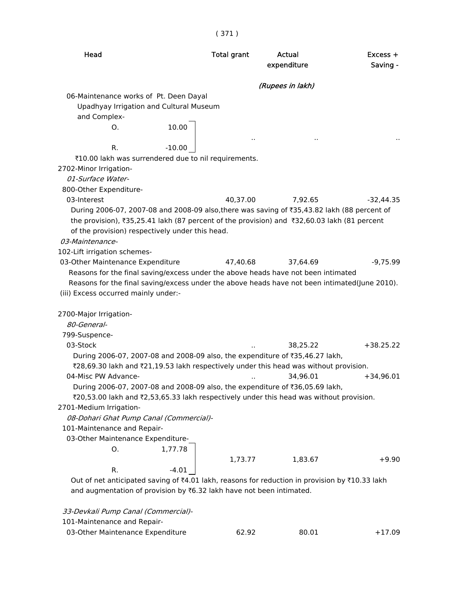# ( 371 )

| Head                                                                                           |          | <b>Total grant</b> | Actual<br>expenditure | Excess +<br>Saving - |
|------------------------------------------------------------------------------------------------|----------|--------------------|-----------------------|----------------------|
|                                                                                                |          |                    | (Rupees in lakh)      |                      |
| 06-Maintenance works of Pt. Deen Dayal                                                         |          |                    |                       |                      |
| Upadhyay Irrigation and Cultural Museum                                                        |          |                    |                       |                      |
| and Complex-                                                                                   |          |                    |                       |                      |
| Ο.                                                                                             | 10.00    |                    |                       |                      |
| R.                                                                                             | $-10.00$ |                    | $\cdot$ .             |                      |
| ₹10.00 lakh was surrendered due to nil requirements.                                           |          |                    |                       |                      |
| 2702-Minor Irrigation-                                                                         |          |                    |                       |                      |
| 01-Surface Water-                                                                              |          |                    |                       |                      |
| 800-Other Expenditure-                                                                         |          |                    |                       |                      |
| 03-Interest                                                                                    |          | 40,37.00           | 7,92.65               | $-32,44.35$          |
| During 2006-07, 2007-08 and 2008-09 also,there was saving of ₹35,43.82 lakh (88 percent of     |          |                    |                       |                      |
| the provision), ₹35,25.41 lakh (87 percent of the provision) and ₹32,60.03 lakh (81 percent    |          |                    |                       |                      |
| of the provision) respectively under this head.<br>03-Maintenance-                             |          |                    |                       |                      |
| 102-Lift irrigation schemes-                                                                   |          |                    |                       |                      |
| 03-Other Maintenance Expenditure                                                               |          | 47,40.68           | 37,64.69              | $-9,75.99$           |
| Reasons for the final saving/excess under the above heads have not been intimated              |          |                    |                       |                      |
| Reasons for the final saving/excess under the above heads have not been intimated(June 2010).  |          |                    |                       |                      |
| (iii) Excess occurred mainly under:-                                                           |          |                    |                       |                      |
|                                                                                                |          |                    |                       |                      |
| 2700-Major Irrigation-                                                                         |          |                    |                       |                      |
| 80-General-                                                                                    |          |                    |                       |                      |
| 799-Suspence-                                                                                  |          |                    |                       |                      |
| 03-Stock                                                                                       |          |                    | 38,25.22              | $+38.25.22$          |
| During 2006-07, 2007-08 and 2008-09 also, the expenditure of ₹35,46.27 lakh,                   |          |                    |                       |                      |
| ₹28,69.30 lakh and ₹21,19.53 lakh respectively under this head was without provision.          |          |                    |                       |                      |
| 04-Misc PW Advance-                                                                            |          | $\sim$             | 34,96.01              | $+34,96.01$          |
| During 2006-07, 2007-08 and 2008-09 also, the expenditure of ₹36,05.69 lakh,                   |          |                    |                       |                      |
| ₹20,53.00 lakh and ₹2,53,65.33 lakh respectively under this head was without provision.        |          |                    |                       |                      |
| 2701-Medium Irrigation-                                                                        |          |                    |                       |                      |
| 08-Dohari Ghat Pump Canal (Commercial)-                                                        |          |                    |                       |                      |
| 101-Maintenance and Repair-                                                                    |          |                    |                       |                      |
| 03-Other Maintenance Expenditure-                                                              |          |                    |                       |                      |
| 0.                                                                                             | 1,77.78  |                    |                       |                      |
|                                                                                                |          | 1,73.77            | 1,83.67               | $+9.90$              |
| R.                                                                                             | $-4.01$  |                    |                       |                      |
| Out of net anticipated saving of ₹4.01 lakh, reasons for reduction in provision by ₹10.33 lakh |          |                    |                       |                      |
| and augmentation of provision by ₹6.32 lakh have not been intimated.                           |          |                    |                       |                      |
| 33-Devkali Pump Canal (Commercial)-                                                            |          |                    |                       |                      |
| 101-Maintenance and Repair-                                                                    |          |                    |                       |                      |
| 03-Other Maintenance Expenditure                                                               |          | 62.92              | 80.01                 | $+17.09$             |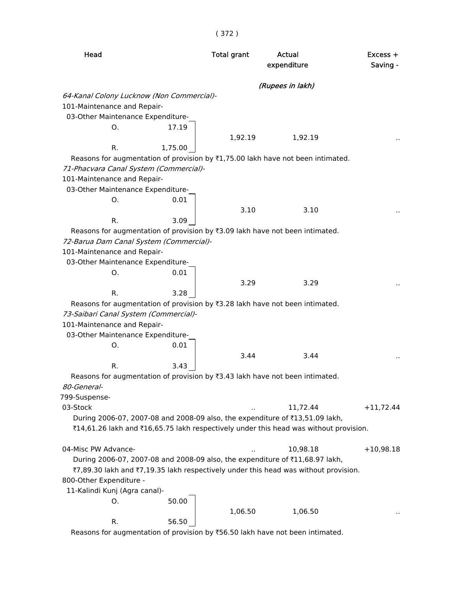| Head                                                                                  | <b>Total grant</b> | Actual<br>expenditure | Excess +<br>Saving - |
|---------------------------------------------------------------------------------------|--------------------|-----------------------|----------------------|
|                                                                                       |                    | (Rupees in lakh)      |                      |
| 64-Kanal Colony Lucknow (Non Commercial)-                                             |                    |                       |                      |
| 101-Maintenance and Repair-                                                           |                    |                       |                      |
| 03-Other Maintenance Expenditure-                                                     |                    |                       |                      |
| 17.19<br>О.                                                                           |                    |                       |                      |
|                                                                                       | 1,92.19            | 1,92.19               |                      |
| R.<br>1,75.00                                                                         |                    |                       |                      |
| Reasons for augmentation of provision by ₹1,75.00 lakh have not been intimated.       |                    |                       |                      |
| 71-Phacvara Canal System (Commercial)-                                                |                    |                       |                      |
| 101-Maintenance and Repair-                                                           |                    |                       |                      |
| 03-Other Maintenance Expenditure-                                                     |                    |                       |                      |
| 0.01<br>О.                                                                            |                    |                       |                      |
|                                                                                       | 3.10               | 3.10                  |                      |
| R.<br>3.09                                                                            |                    |                       |                      |
| Reasons for augmentation of provision by ₹3.09 lakh have not been intimated.          |                    |                       |                      |
| 72-Barua Dam Canal System (Commercial)-                                               |                    |                       |                      |
| 101-Maintenance and Repair-                                                           |                    |                       |                      |
| 03-Other Maintenance Expenditure-                                                     |                    |                       |                      |
| 0.01<br>Ο.                                                                            |                    |                       |                      |
|                                                                                       | 3.29               | 3.29                  |                      |
| 3.28<br>R.                                                                            |                    |                       |                      |
| Reasons for augmentation of provision by ₹3.28 lakh have not been intimated.          |                    |                       |                      |
| 73-Saibari Canal System (Commercial)-                                                 |                    |                       |                      |
| 101-Maintenance and Repair-                                                           |                    |                       |                      |
| 03-Other Maintenance Expenditure-                                                     |                    |                       |                      |
| 0.01<br>О.                                                                            |                    |                       |                      |
|                                                                                       | 3.44               | 3.44                  |                      |
| R.<br>3.43                                                                            |                    |                       |                      |
| Reasons for augmentation of provision by ₹3.43 lakh have not been intimated.          |                    |                       |                      |
| 80-General-                                                                           |                    |                       |                      |
| 799-Suspense-                                                                         |                    |                       |                      |
| 03-Stock                                                                              |                    | 11,72.44              | $+11,72.44$          |
| During 2006-07, 2007-08 and 2008-09 also, the expenditure of ₹13,51.09 lakh,          |                    |                       |                      |
| ₹14,61.26 lakh and ₹16,65.75 lakh respectively under this head was without provision. |                    |                       |                      |
|                                                                                       |                    |                       |                      |
| 04-Misc PW Advance-                                                                   |                    | 10,98.18              | $+10,98.18$          |
| During 2006-07, 2007-08 and 2008-09 also, the expenditure of ₹11,68.97 lakh,          |                    |                       |                      |
|                                                                                       |                    |                       |                      |
| ₹7,89.30 lakh and ₹7,19.35 lakh respectively under this head was without provision.   |                    |                       |                      |
| 800-Other Expenditure -                                                               |                    |                       |                      |
| 11-Kalindi Kunj (Agra canal)-                                                         |                    |                       |                      |
| 50.00<br>О.                                                                           |                    |                       |                      |
|                                                                                       | 1,06.50            | 1,06.50               |                      |
| 56.50<br>R.                                                                           |                    |                       |                      |
| Reasons for augmentation of provision by ₹56.50 lakh have not been intimated.         |                    |                       |                      |

# ( 372 )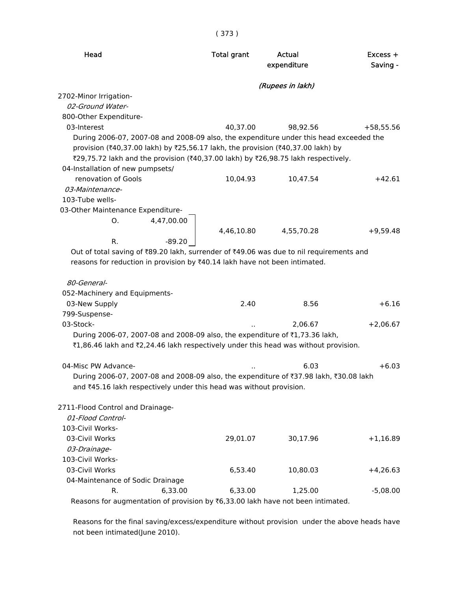| Head                                                                                    | <b>Total grant</b> | Actual<br>expenditure | Excess +<br>Saving - |
|-----------------------------------------------------------------------------------------|--------------------|-----------------------|----------------------|
|                                                                                         |                    | (Rupees in lakh)      |                      |
| 2702-Minor Irrigation-                                                                  |                    |                       |                      |
| 02-Ground Water-                                                                        |                    |                       |                      |
| 800-Other Expenditure-                                                                  |                    |                       |                      |
| 03-Interest                                                                             | 40,37.00           | 98,92.56              | $+58,55.56$          |
| During 2006-07, 2007-08 and 2008-09 also, the expenditure under this head exceeded the  |                    |                       |                      |
| provision (₹40,37.00 lakh) by ₹25,56.17 lakh, the provision (₹40,37.00 lakh) by         |                    |                       |                      |
| ₹29,75.72 lakh and the provision (₹40,37.00 lakh) by ₹26,98.75 lakh respectively.       |                    |                       |                      |
| 04-Installation of new pumpsets/                                                        |                    |                       |                      |
| renovation of Gools                                                                     | 10,04.93           | 10,47.54              | $+42.61$             |
| 03-Maintenance-                                                                         |                    |                       |                      |
| 103-Tube wells-                                                                         |                    |                       |                      |
| 03-Other Maintenance Expenditure-                                                       |                    |                       |                      |
| 4,47,00.00<br>О.                                                                        |                    |                       |                      |
|                                                                                         | 4,46,10.80         | 4,55,70.28            | $+9,59.48$           |
| R.<br>$-89.20$                                                                          |                    |                       |                      |
| Out of total saving of ₹89.20 lakh, surrender of ₹49.06 was due to nil requirements and |                    |                       |                      |
| reasons for reduction in provision by ₹40.14 lakh have not been intimated.              |                    |                       |                      |
|                                                                                         |                    |                       |                      |
| 80-General-                                                                             |                    |                       |                      |
| 052-Machinery and Equipments-                                                           |                    |                       |                      |
| 03-New Supply                                                                           | 2.40               | 8.56                  | $+6.16$              |
| 799-Suspense-                                                                           |                    |                       |                      |
| 03-Stock-                                                                               |                    | 2,06.67               | $+2,06.67$           |
| During 2006-07, 2007-08 and 2008-09 also, the expenditure of ₹1,73.36 lakh,             |                    |                       |                      |
| ₹1,86.46 lakh and ₹2,24.46 lakh respectively under this head was without provision.     |                    |                       |                      |
| 04-Misc PW Advance-                                                                     |                    | 6.03                  | $+6.03$              |
| During 2006-07, 2007-08 and 2008-09 also, the expenditure of ₹37.98 lakh, ₹30.08 lakh   |                    |                       |                      |
| and ₹45.16 lakh respectively under this head was without provision.                     |                    |                       |                      |
|                                                                                         |                    |                       |                      |
| 2711-Flood Control and Drainage-                                                        |                    |                       |                      |
| 01-Flood Control-                                                                       |                    |                       |                      |
| 103-Civil Works-                                                                        |                    |                       |                      |
| 03-Civil Works                                                                          | 29,01.07           | 30,17.96              | $+1,16.89$           |
| 03-Drainage-                                                                            |                    |                       |                      |
| 103-Civil Works-                                                                        |                    |                       |                      |
| 03-Civil Works                                                                          | 6,53.40            | 10,80.03              | $+4,26.63$           |
| 04-Maintenance of Sodic Drainage                                                        |                    |                       |                      |
| 6,33.00<br>R.                                                                           | 6,33.00            | 1,25.00               | $-5,08.00$           |
| Reasons for augmentation of provision by ₹6,33.00 lakh have not been intimated.         |                    |                       |                      |
|                                                                                         |                    |                       |                      |

 Reasons for the final saving/excess/expenditure without provision under the above heads have not been intimated(June 2010).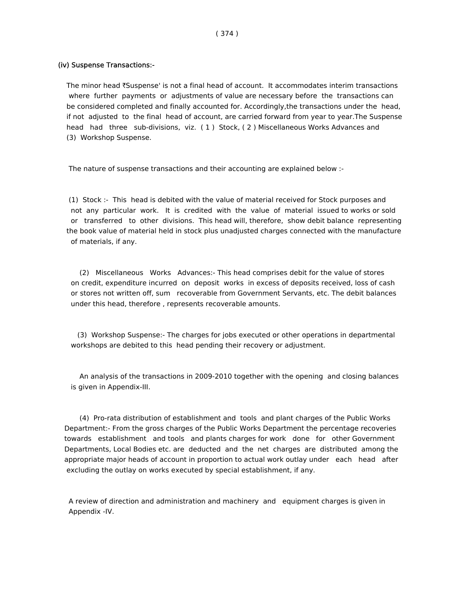#### (iv) Suspense Transactions:-

The minor head  $\bar{\tau}$ Suspense' is not a final head of account. It accommodates interim transactions where further payments or adjustments of value are necessary before the transactions can be considered completed and finally accounted for. Accordingly,the transactions under the head, if not adjusted to the final head of account, are carried forward from year to year.The Suspense head had three sub-divisions, viz. (1) Stock, (2) Miscellaneous Works Advances and (3) Workshop Suspense.

The nature of suspense transactions and their accounting are explained below :-

 (1) Stock :- This head is debited with the value of material received for Stock purposes and not any particular work. It is credited with the value of material issued to works or sold or transferred to other divisions. This head will, therefore, show debit balance representing the book value of material held in stock plus unadjusted charges connected with the manufacture of materials, if any.

 (2) Miscellaneous Works Advances:- This head comprises debit for the value of stores on credit, expenditure incurred on deposit works in excess of deposits received, loss of cash or stores not written off, sum recoverable from Government Servants, etc. The debit balances under this head, therefore , represents recoverable amounts.

 (3) Workshop Suspense:- The charges for jobs executed or other operations in departmental workshops are debited to this head pending their recovery or adjustment.

 An analysis of the transactions in 2009-2010 together with the opening and closing balances is given in Appendix-III.

 (4) Pro-rata distribution of establishment and tools and plant charges of the Public Works Department:- From the gross charges of the Public Works Department the percentage recoveries towards establishment and tools and plants charges for work done for other Government Departments, Local Bodies etc. are deducted and the net charges are distributed among the appropriate major heads of account in proportion to actual work outlay under each head after excluding the outlay on works executed by special establishment, if any.

 A review of direction and administration and machinery and equipment charges is given in Appendix -IV.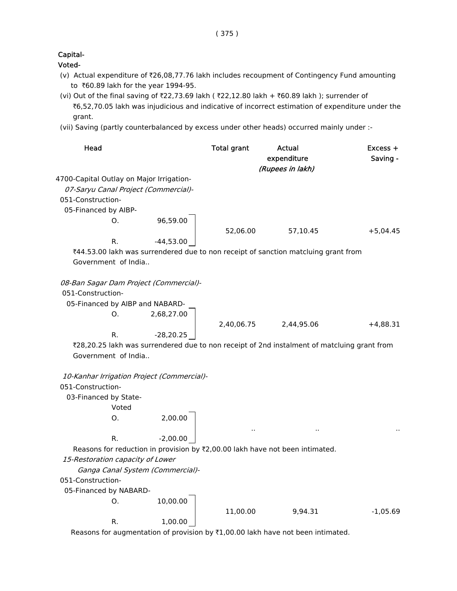## Capital-

Voted-

- (v) Actual expenditure of `26,08,77.76 lakh includes recoupment of Contingency Fund amounting to ₹60.89 lakh for the year 1994-95.
- (vi) Out of the final saving of ₹22,73.69 lakh (  $\overline{*}22,12.80$  lakh +  $\overline{*}60.89$  lakh ); surrender of ₹6,52,70.05 lakh was injudicious and indicative of incorrect estimation of expenditure under the grant.
- (vii) Saving (partly counterbalanced by excess under other heads) occurred mainly under :-

| Head                                                        |             | <b>Total grant</b> | Actual<br>expenditure<br>(Rupees in lakh)                                                   | Excess +<br>Saving - |
|-------------------------------------------------------------|-------------|--------------------|---------------------------------------------------------------------------------------------|----------------------|
| 4700-Capital Outlay on Major Irrigation-                    |             |                    |                                                                                             |                      |
| 07-Saryu Canal Project (Commercial)-                        |             |                    |                                                                                             |                      |
| 051-Construction-                                           |             |                    |                                                                                             |                      |
| 05-Financed by AIBP-                                        |             |                    |                                                                                             |                      |
| O.                                                          | 96,59.00    |                    |                                                                                             |                      |
|                                                             |             | 52,06.00           | 57,10.45                                                                                    | $+5,04.45$           |
| R.                                                          | $-44,53.00$ |                    |                                                                                             |                      |
|                                                             |             |                    | ₹44.53.00 lakh was surrendered due to non receipt of sanction matcluing grant from          |                      |
| Government of India                                         |             |                    |                                                                                             |                      |
|                                                             |             |                    |                                                                                             |                      |
| 08-Ban Sagar Dam Project (Commercial)-<br>051-Construction- |             |                    |                                                                                             |                      |
| 05-Financed by AIBP and NABARD-                             |             |                    |                                                                                             |                      |
| O.                                                          | 2,68,27.00  |                    |                                                                                             |                      |
|                                                             |             | 2,40,06.75         | 2,44,95.06                                                                                  | $+4,88.31$           |
| R.                                                          | $-28,20.25$ |                    |                                                                                             |                      |
|                                                             |             |                    | ₹28,20.25 lakh was surrendered due to non receipt of 2nd instalment of matcluing grant from |                      |
| Government of India                                         |             |                    |                                                                                             |                      |
|                                                             |             |                    |                                                                                             |                      |
| 10-Kanhar Irrigation Project (Commercial)-                  |             |                    |                                                                                             |                      |
| 051-Construction-                                           |             |                    |                                                                                             |                      |
| 03-Financed by State-                                       |             |                    |                                                                                             |                      |
| Voted                                                       |             |                    |                                                                                             |                      |
| О.                                                          | 2,00.00     |                    |                                                                                             |                      |
|                                                             |             |                    |                                                                                             |                      |
| R.                                                          | $-2,00.00$  |                    |                                                                                             |                      |
|                                                             |             |                    | Reasons for reduction in provision by ₹2,00.00 lakh have not been intimated.                |                      |
| 15-Restoration capacity of Lower                            |             |                    |                                                                                             |                      |
| Ganga Canal System (Commercial)-                            |             |                    |                                                                                             |                      |
| 051-Construction-                                           |             |                    |                                                                                             |                      |
| 05-Financed by NABARD-                                      |             |                    |                                                                                             |                      |
| 0.                                                          | 10,00.00    |                    |                                                                                             |                      |
|                                                             |             | 11,00.00           | 9,94.31                                                                                     | $-1,05.69$           |
| R.                                                          | 1,00.00     |                    |                                                                                             |                      |
|                                                             |             |                    | Reasons for augmentation of provision by ₹1,00.00 lakh have not been intimated.             |                      |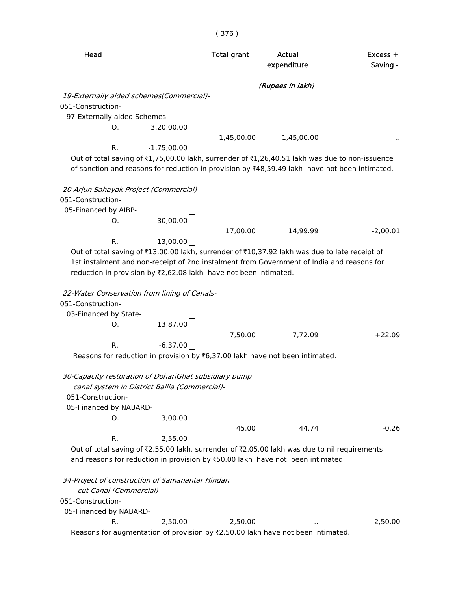# Head **Total grant** Actual **Excess +** expenditure Saving -(Rupees in lakh) 19-Externally aided schemes(Commercial)- 051-Construction- 97-Externally aided Schemes-O. 3,20,00.00 1,45,00.00 1,45,00.00 R. -1,75,00.00 Out of total saving of  $\text{\texttt{I},75,00.00}$  lakh, surrender of  $\text{\texttt{I},26,40.51}$  lakh was due to non-issuence

of sanction and reasons for reduction in provision by  $*48,59.49$  lakh have not been intimated.

 20-Arjun Sahayak Project (Commercial)- 051-Construction- 05-Financed by AIBP-O. 30,00.00 17,00.00 14,99.99 -2,00.01 R. -13,00.00 Out of total saving of ₹13,00.00 lakh, surrender of ₹10,37.92 lakh was due to late receipt of

 1st instalment and non-receipt of 2nd instalment from Government of India and reasons for reduction in provision by  $\overline{2}$ ,62.08 lakh have not been intimated.

22-Water Conservation from lining of Canals-

051-Construction-

03-Financed by State-

O. 13,87.00 7,50.00 7,72.09 +22.09 R.  $-6,37.00$ 

Reasons for reduction in provision by  $\bar{t}$ 6,37.00 lakh have not been intimated.

30-Capacity restoration of DohariGhat subsidiary pump

 canal system in District Ballia (Commercial)- 051-Construction- 05-Financed by NABARD-O. 3,00.00 45.00 44.74 -0.26 R.  $-2,55.00$ 

Out of total saving of  $\bar{\zeta}$ 2,55.00 lakh, surrender of  $\bar{\zeta}$ 2,05.00 lakh was due to nil requirements and reasons for reduction in provision by ₹50.00 lakh have not been intimated.

 34-Project of construction of Samanantar Hindan cut Canal (Commercial)- 051-Construction- 05-Financed by NABARD-R. 2,50.00 2,50.00 ... - 2,50.00 Reasons for augmentation of provision by  $Z$ ,50.00 lakh have not been intimated.

#### ( 376 )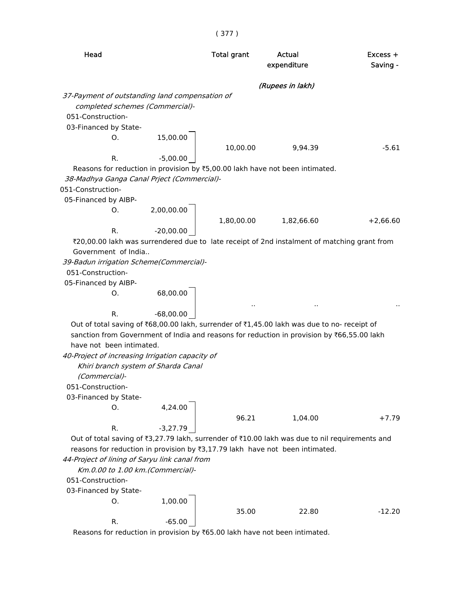|                                                                                                |            | (Rupees in lakh) |            |
|------------------------------------------------------------------------------------------------|------------|------------------|------------|
|                                                                                                |            |                  |            |
| 37-Payment of outstanding land compensation of                                                 |            |                  |            |
| completed schemes (Commercial)-                                                                |            |                  |            |
| 051-Construction-                                                                              |            |                  |            |
| 03-Financed by State-                                                                          |            |                  |            |
| 15,00.00<br>O.                                                                                 |            |                  |            |
|                                                                                                | 10,00.00   | 9,94.39          | $-5.61$    |
| R.<br>$-5,00.00$                                                                               |            |                  |            |
| Reasons for reduction in provision by ₹5,00.00 lakh have not been intimated.                   |            |                  |            |
| 38-Madhya Ganga Canal Prject (Commercial)-                                                     |            |                  |            |
| 051-Construction-                                                                              |            |                  |            |
| 05-Financed by AIBP-                                                                           |            |                  |            |
| 2,00,00.00<br>O.                                                                               |            |                  |            |
|                                                                                                | 1,80,00.00 | 1,82,66.60       | $+2,66.60$ |
| R.<br>$-20,00.00$                                                                              |            |                  |            |
| ₹20,00.00 lakh was surrendered due to late receipt of 2nd instalment of matching grant from    |            |                  |            |
| Government of India                                                                            |            |                  |            |
| 39-Badun irrigation Scheme(Commercial)-                                                        |            |                  |            |
| 051-Construction-                                                                              |            |                  |            |
| 05-Financed by AIBP-                                                                           |            |                  |            |
| 68,00.00<br>0.                                                                                 |            |                  |            |
|                                                                                                |            |                  |            |
| R.<br>$-68,00.00$                                                                              |            |                  |            |
| Out of total saving of ₹68,00.00 lakh, surrender of ₹1,45.00 lakh was due to no- receipt of    |            |                  |            |
| sanction from Government of India and reasons for reduction in provision by ₹66,55.00 lakh     |            |                  |            |
| have not been intimated.                                                                       |            |                  |            |
| 40-Project of increasing Irrigation capacity of                                                |            |                  |            |
| Khiri branch system of Sharda Canal                                                            |            |                  |            |
| (Commercial)-                                                                                  |            |                  |            |
| 051-Construction-                                                                              |            |                  |            |
| 03-Financed by State-                                                                          |            |                  |            |
| 4,24.00<br>0.                                                                                  |            |                  |            |
|                                                                                                | 96.21      | 1,04.00          | $+7.79$    |
| R.<br>$-3,27.79$                                                                               |            |                  |            |
| Out of total saving of ₹3,27.79 lakh, surrender of ₹10.00 lakh was due to nil requirements and |            |                  |            |
| reasons for reduction in provision by $\overline{3,17.79}$ lakh have not been intimated.       |            |                  |            |
| 44-Project of lining of Saryu link canal from                                                  |            |                  |            |
| Km.0.00 to 1.00 km. (Commercial)-                                                              |            |                  |            |
| 051-Construction-                                                                              |            |                  |            |
| 03-Financed by State-                                                                          |            |                  |            |
| 1,00.00<br>0.                                                                                  |            |                  |            |
|                                                                                                | 35.00      | 22.80            | $-12.20$   |
| R.<br>$-65.00$                                                                                 |            |                  |            |
| Reasons for reduction in provision by ₹65.00 lakh have not been intimated.                     |            |                  |            |

( 377 )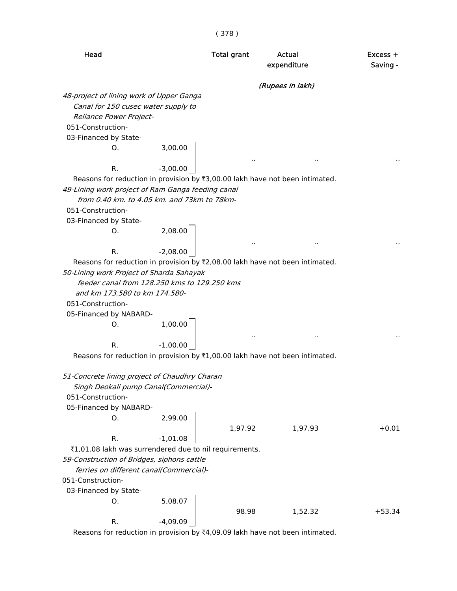|                                                                              |            | ( J / O <i>)</i>   |                       |                        |
|------------------------------------------------------------------------------|------------|--------------------|-----------------------|------------------------|
| Head                                                                         |            | <b>Total grant</b> | Actual<br>expenditure | $Excess +$<br>Saving - |
|                                                                              |            |                    | (Rupees in lakh)      |                        |
| 48-project of lining work of Upper Ganga                                     |            |                    |                       |                        |
| Canal for 150 cusec water supply to                                          |            |                    |                       |                        |
| Reliance Power Project-                                                      |            |                    |                       |                        |
| 051-Construction-                                                            |            |                    |                       |                        |
| 03-Financed by State-                                                        |            |                    |                       |                        |
| O.                                                                           | 3,00.00    |                    |                       |                        |
| R.                                                                           | $-3,00.00$ |                    |                       |                        |
| Reasons for reduction in provision by ₹3,00.00 lakh have not been intimated. |            |                    |                       |                        |
| 49-Lining work project of Ram Ganga feeding canal                            |            |                    |                       |                        |
| from 0.40 km. to 4.05 km. and 73km to 78km-                                  |            |                    |                       |                        |
| 051-Construction-                                                            |            |                    |                       |                        |
| 03-Financed by State-                                                        |            |                    |                       |                        |
| O.                                                                           | 2,08.00    |                    |                       |                        |
| R.                                                                           | $-2,08.00$ |                    |                       |                        |
| Reasons for reduction in provision by ₹2,08.00 lakh have not been intimated. |            |                    |                       |                        |
| 50-Lining work Project of Sharda Sahayak                                     |            |                    |                       |                        |
| feeder canal from 128.250 kms to 129.250 kms                                 |            |                    |                       |                        |
| and km 173.580 to km 174.580-                                                |            |                    |                       |                        |
| 051-Construction-                                                            |            |                    |                       |                        |
| 05-Financed by NABARD-                                                       |            |                    |                       |                        |
| Ο.                                                                           | 1,00.00    |                    | .,                    |                        |
| R.                                                                           | $-1,00.00$ |                    |                       |                        |
| Reasons for reduction in provision by ₹1,00.00 lakh have not been intimated. |            |                    |                       |                        |
| 51-Concrete lining project of Chaudhry Charan                                |            |                    |                       |                        |
| Singh Deokali pump Canal(Commercial)-                                        |            |                    |                       |                        |
| 051-Construction-                                                            |            |                    |                       |                        |
| 05-Financed by NABARD-                                                       |            |                    |                       |                        |
| О.                                                                           | 2,99.00    |                    |                       |                        |
|                                                                              |            | 1,97.92            | 1,97.93               | $+0.01$                |
| R.<br>₹1,01.08 lakh was surrendered due to nil requirements.                 | $-1,01.08$ |                    |                       |                        |
| 59-Construction of Bridges, siphons cattle                                   |            |                    |                       |                        |
| ferries on different canal(Commercial)-                                      |            |                    |                       |                        |
| 051-Construction-                                                            |            |                    |                       |                        |
| 03-Financed by State-                                                        |            |                    |                       |                        |
| О.                                                                           | 5,08.07    |                    |                       |                        |
|                                                                              |            | 98.98              | 1,52.32               | $+53.34$               |
| R.                                                                           | $-4,09.09$ |                    |                       |                        |
| Reasons for reduction in provision by ₹4,09.09 lakh have not been intimated. |            |                    |                       |                        |
|                                                                              |            |                    |                       |                        |

( 378 )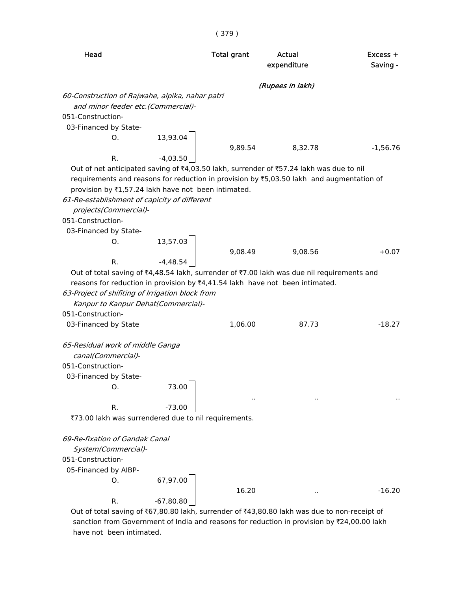| Head                                                                                                                                                                                                                                                                                                                                     | <b>Total grant</b>    | Actual<br>expenditure | $Excess +$<br>Saving - |
|------------------------------------------------------------------------------------------------------------------------------------------------------------------------------------------------------------------------------------------------------------------------------------------------------------------------------------------|-----------------------|-----------------------|------------------------|
|                                                                                                                                                                                                                                                                                                                                          |                       | (Rupees in lakh)      |                        |
| 60-Construction of Rajwahe, alpika, nahar patri                                                                                                                                                                                                                                                                                          |                       |                       |                        |
| and minor feeder etc. (Commercial)-                                                                                                                                                                                                                                                                                                      |                       |                       |                        |
| 051-Construction-                                                                                                                                                                                                                                                                                                                        |                       |                       |                        |
| 03-Financed by State-                                                                                                                                                                                                                                                                                                                    |                       |                       |                        |
| Ο.                                                                                                                                                                                                                                                                                                                                       | 13,93.04              |                       |                        |
| R.                                                                                                                                                                                                                                                                                                                                       | 9,89.54<br>$-4,03.50$ | 8,32.78               | $-1,56.76$             |
| Out of net anticipated saving of ₹4,03.50 lakh, surrender of ₹57.24 lakh was due to nil<br>requirements and reasons for reduction in provision by ₹5,03.50 lakh and augmentation of<br>provision by ₹1,57.24 lakh have not been intimated.<br>61-Re-establishment of capicity of different<br>projects(Commercial)-<br>051-Construction- |                       |                       |                        |
| 03-Financed by State-<br>Ο.                                                                                                                                                                                                                                                                                                              | 13,57.03              |                       |                        |
|                                                                                                                                                                                                                                                                                                                                          | 9,08.49               | 9,08.56               | $+0.07$                |
| R.                                                                                                                                                                                                                                                                                                                                       | $-4,48.54$            |                       |                        |
| reasons for reduction in provision by $\overline{z}4.41.54$ lakh have not been intimated.<br>63-Project of shifiting of Irrigation block from<br>Kanpur to Kanpur Dehat(Commercial)-<br>051-Construction-                                                                                                                                |                       |                       |                        |
| 03-Financed by State                                                                                                                                                                                                                                                                                                                     | 1,06.00               | 87.73                 | $-18.27$               |
| 65-Residual work of middle Ganga<br>canal(Commercial)-<br>051-Construction-<br>03-Financed by State-                                                                                                                                                                                                                                     |                       |                       |                        |
| О.                                                                                                                                                                                                                                                                                                                                       | 73.00                 |                       |                        |
| R.                                                                                                                                                                                                                                                                                                                                       | $-73.00$              |                       |                        |
| ₹73.00 lakh was surrendered due to nil requirements.                                                                                                                                                                                                                                                                                     |                       |                       |                        |
| 69-Re-fixation of Gandak Canal<br>System(Commercial)-<br>051-Construction-<br>05-Financed by AIBP-                                                                                                                                                                                                                                       |                       |                       |                        |
| O.                                                                                                                                                                                                                                                                                                                                       | 67,97.00              |                       |                        |
| R.                                                                                                                                                                                                                                                                                                                                       | 16.20<br>$-67,80.80$  |                       | $-16.20$               |

Out of total saving of ₹67,80.80 lakh, surrender of ₹43,80.80 lakh was due to non-receipt of sanction from Government of India and reasons for reduction in provision by ₹24,00.00 lakh have not been intimated.

( 379 )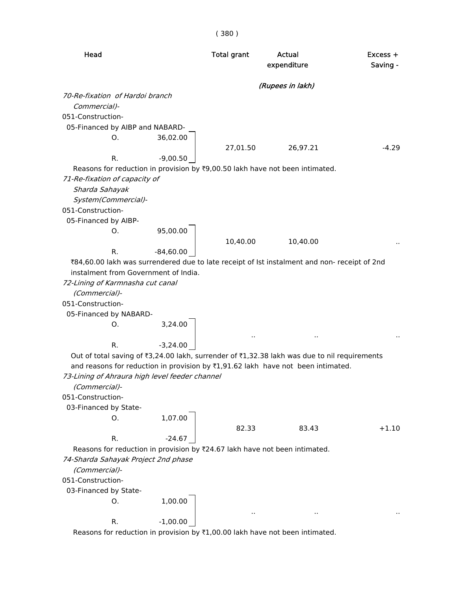| Head                                                                                         | <b>Total grant</b> | Actual<br>expenditure | $Excess +$<br>Saving - |
|----------------------------------------------------------------------------------------------|--------------------|-----------------------|------------------------|
|                                                                                              |                    | (Rupees in lakh)      |                        |
| 70-Re-fixation of Hardoi branch                                                              |                    |                       |                        |
| Commercial)-                                                                                 |                    |                       |                        |
| 051-Construction-                                                                            |                    |                       |                        |
| 05-Financed by AIBP and NABARD-                                                              |                    |                       |                        |
| 36,02.00<br>Ο.                                                                               |                    |                       |                        |
|                                                                                              | 27,01.50           | 26,97.21              | $-4.29$                |
| R.<br>$-9,00.50$                                                                             |                    |                       |                        |
| Reasons for reduction in provision by ₹9,00.50 lakh have not been intimated.                 |                    |                       |                        |
| 71-Re-fixation of capacity of                                                                |                    |                       |                        |
| Sharda Sahayak                                                                               |                    |                       |                        |
| System(Commercial)-                                                                          |                    |                       |                        |
| 051-Construction-                                                                            |                    |                       |                        |
| 05-Financed by AIBP-                                                                         |                    |                       |                        |
| 95,00.00<br>O.                                                                               |                    |                       |                        |
|                                                                                              | 10,40.00           | 10,40.00              |                        |
| R.<br>$-84,60.00$                                                                            |                    |                       |                        |
| ₹84,60.00 lakh was surrendered due to late receipt of Ist instalment and non- receipt of 2nd |                    |                       |                        |
| instalment from Government of India.                                                         |                    |                       |                        |
| 72-Lining of Karmnasha cut canal                                                             |                    |                       |                        |
| (Commercial)-                                                                                |                    |                       |                        |
| 051-Construction-                                                                            |                    |                       |                        |
| 05-Financed by NABARD-                                                                       |                    |                       |                        |
| 3,24.00<br>Ο.                                                                                |                    |                       |                        |
|                                                                                              |                    |                       |                        |
| R.<br>$-3,24.00$                                                                             |                    |                       |                        |
| Out of total saving of ₹3,24.00 lakh, surrender of ₹1,32.38 lakh was due to nil requirements |                    |                       |                        |
| and reasons for reduction in provision by ₹1,91.62 lakh have not been intimated.             |                    |                       |                        |
| 73-Lining of Ahraura high level feeder channel                                               |                    |                       |                        |
| (Commercial)-<br>051-Construction-                                                           |                    |                       |                        |
|                                                                                              |                    |                       |                        |
| 03-Financed by State-<br>1,07.00<br>O.                                                       |                    |                       |                        |
|                                                                                              | 82.33              | 83.43                 | $+1.10$                |
| R.<br>$-24.67$                                                                               |                    |                       |                        |
| Reasons for reduction in provision by ₹24.67 lakh have not been intimated.                   |                    |                       |                        |
| 74-Sharda Sahayak Project 2nd phase                                                          |                    |                       |                        |
| (Commercial)-                                                                                |                    |                       |                        |
| 051-Construction-                                                                            |                    |                       |                        |
| 03-Financed by State-                                                                        |                    |                       |                        |
| 1,00.00<br>0.                                                                                |                    |                       |                        |
|                                                                                              |                    |                       |                        |
| $-1,00.00$<br>R.                                                                             |                    |                       |                        |
| Reasons for reduction in provision by ₹1,00.00 lakh have not been intimated.                 |                    |                       |                        |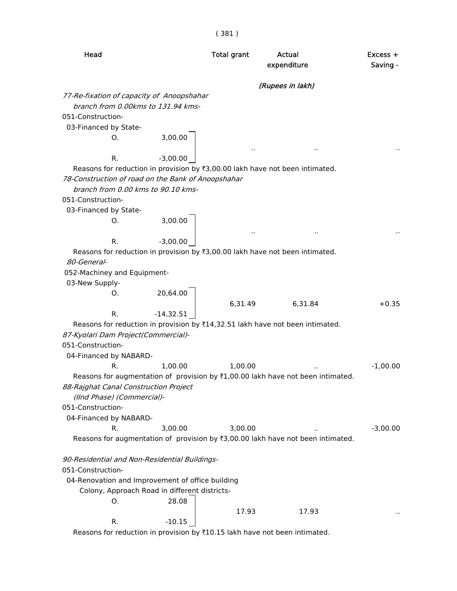|                                                          |             | (381)              |                                                                                           |                      |
|----------------------------------------------------------|-------------|--------------------|-------------------------------------------------------------------------------------------|----------------------|
| Head                                                     |             | <b>Total grant</b> | Actual<br>expenditure                                                                     | Excess +<br>Saving - |
|                                                          |             |                    | (Rupees in lakh)                                                                          |                      |
| 77-Re-fixation of capacity of Anoopshahar                |             |                    |                                                                                           |                      |
| branch from 0.00kms to 131.94 kms-                       |             |                    |                                                                                           |                      |
| 051-Construction-                                        |             |                    |                                                                                           |                      |
| 03-Financed by State-                                    |             |                    |                                                                                           |                      |
| O.                                                       | 3,00.00     |                    |                                                                                           |                      |
| R.                                                       | $-3,00.00$  |                    |                                                                                           |                      |
|                                                          |             |                    | Reasons for reduction in provision by ₹3,00.00 lakh have not been intimated.              |                      |
| 78-Construction of road on the Bank of Anoopshahar       |             |                    |                                                                                           |                      |
| branch from 0.00 kms to 90.10 kms-                       |             |                    |                                                                                           |                      |
| 051-Construction-                                        |             |                    |                                                                                           |                      |
| 03-Financed by State-                                    |             |                    |                                                                                           |                      |
| O.                                                       | 3,00.00     |                    |                                                                                           |                      |
|                                                          |             |                    | Ω,                                                                                        |                      |
| R.                                                       | $-3,00.00$  |                    |                                                                                           |                      |
|                                                          |             |                    | Reasons for reduction in provision by ₹3,00.00 lakh have not been intimated.              |                      |
| 80-General-                                              |             |                    |                                                                                           |                      |
| 052-Machiney and Equipment-                              |             |                    |                                                                                           |                      |
| 03-New Supply-                                           |             |                    |                                                                                           |                      |
| O.                                                       | 20,64.00    |                    |                                                                                           |                      |
|                                                          |             | 6,31.49            | 6,31.84                                                                                   | $+0.35$              |
| R.                                                       | $-14,32.51$ |                    |                                                                                           |                      |
|                                                          |             |                    | Reasons for reduction in provision by $\bar{\tau}$ 14,32.51 lakh have not been intimated. |                      |
| 87-Kyolari Dam Project(Commercial)-<br>051-Construction- |             |                    |                                                                                           |                      |
| 04-Financed by NABARD-                                   |             |                    |                                                                                           |                      |
| R.                                                       | 1,00.00     | 1,00.00            |                                                                                           | $-1,00.00$           |
|                                                          |             |                    | Reasons for augmentation of provision by ₹1,00.00 lakh have not been intimated.           |                      |
| 88-Rajghat Canal Construction Project                    |             |                    |                                                                                           |                      |
| (IInd Phase) (Commercial)-                               |             |                    |                                                                                           |                      |
| 051-Construction-                                        |             |                    |                                                                                           |                      |
| 04-Financed by NABARD-                                   |             |                    |                                                                                           |                      |
| R.                                                       | 3,00.00     | 3,00.00            |                                                                                           | $-3,00.00$           |
|                                                          |             |                    | Reasons for augmentation of provision by ₹3,00.00 lakh have not been intimated.           |                      |
| 90-Residential and Non-Residential Buildings-            |             |                    |                                                                                           |                      |
| 051-Construction-                                        |             |                    |                                                                                           |                      |
| 04-Renovation and Improvement of office building         |             |                    |                                                                                           |                      |
| Colony, Approach Road in different districts-            |             |                    |                                                                                           |                      |
| O.                                                       | 28.08       |                    |                                                                                           |                      |
|                                                          |             | 17.93              | 17.93                                                                                     |                      |
| R.                                                       | $-10.15$    |                    |                                                                                           |                      |

Reasons for reduction in provision by  $\text{\$10.15}$  lakh have not been intimated.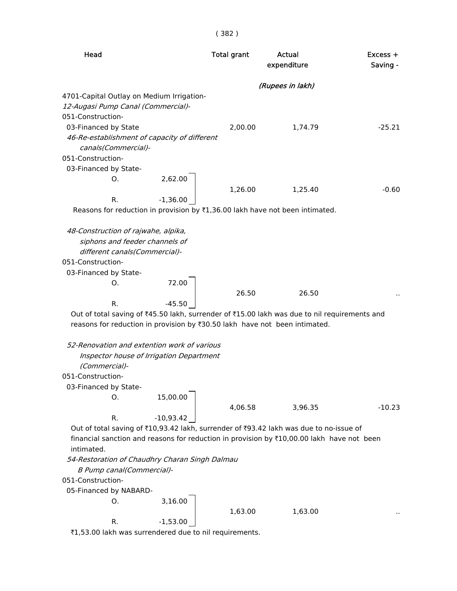| × | Ξ |
|---|---|
|   |   |

| Head                                                                                                                                                                                                                                                                                                                                                                  | <b>Total grant</b> | Actual<br>expenditure | Excess +<br>Saving - |
|-----------------------------------------------------------------------------------------------------------------------------------------------------------------------------------------------------------------------------------------------------------------------------------------------------------------------------------------------------------------------|--------------------|-----------------------|----------------------|
|                                                                                                                                                                                                                                                                                                                                                                       |                    | (Rupees in lakh)      |                      |
| 4701-Capital Outlay on Medium Irrigation-<br>12-Augasi Pump Canal (Commercial)-<br>051-Construction-                                                                                                                                                                                                                                                                  |                    |                       |                      |
| 03-Financed by State<br>46-Re-establishment of capacity of different<br>canals(Commercial)-<br>051-Construction-                                                                                                                                                                                                                                                      | 2,00.00            | 1,74.79               | $-25.21$             |
| 03-Financed by State-<br>2,62.00<br>O.<br>R.<br>$-1,36.00$                                                                                                                                                                                                                                                                                                            | 1,26.00            | 1,25.40               | $-0.60$              |
| Reasons for reduction in provision by ₹1,36.00 lakh have not been intimated.                                                                                                                                                                                                                                                                                          |                    |                       |                      |
| 48-Construction of rajwahe, alpika,<br>siphons and feeder channels of<br>different canals(Commercial)-<br>051-Construction-<br>03-Financed by State-<br>72.00<br>O.<br>R.<br>$-45.50$<br>Out of total saving of ₹45.50 lakh, surrender of ₹15.00 lakh was due to nil requirements and<br>reasons for reduction in provision by ₹30.50 lakh have not been intimated.   | 26.50              | 26.50                 |                      |
| 52-Renovation and extention work of various<br>Inspector house of Irrigation Department<br>(Commercial)-<br>051-Construction-<br>03-Financed by State-<br>15,00.00<br>О.                                                                                                                                                                                              | 4,06.58            | 3,96.35               | $-10.23$             |
| $-10,93.42$<br>R.<br>Out of total saving of ₹10,93.42 lakh, surrender of ₹93.42 lakh was due to no-issue of<br>financial sanction and reasons for reduction in provision by ₹10,00.00 lakh have not been<br>intimated.<br>54-Restoration of Chaudhry Charan Singh Dalmau<br>B Pump canal(Commercial)-<br>051-Construction-<br>05-Financed by NABARD-<br>3,16.00<br>О. |                    |                       |                      |
| R.<br>$-1,53.00$<br>₹1,53.00 lakh was surrendered due to nil requirements.                                                                                                                                                                                                                                                                                            | 1,63.00            | 1,63.00               |                      |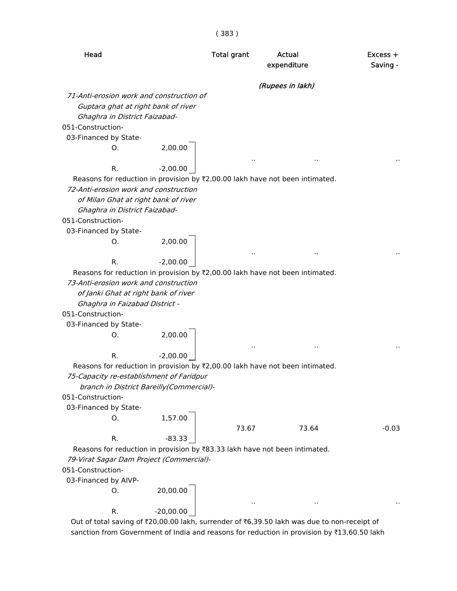Head **Total grant** Actual **Actual** Excess + expenditure Saving -(Rupees in lakh) 71-Anti-erosion work and construction of Guptara ghat at right bank of river Ghaghra in District Faizabad- 051-Construction- 03-Financed by State-O. 2,00.00 .. .. .. R. -2,00.00 Reasons for reduction in provision by  $\bar{z}$ 2,00.00 lakh have not been intimated. 72-Anti-erosion work and construction of Milan Ghat at right bank of river Ghaghra in District Faizabad- 051-Construction- 03-Financed by State-O. 2,00.00 .. .. .. R. -2,00.00 Reasons for reduction in provision by ₹2,00.00 lakh have not been intimated. 73-Anti-erosion work and construction of Janki Ghat at right bank of river Ghaghra in Faizabad District - 051-Construction- 03-Financed by State-O. 2,00.00 .. .. .. R.  $-2,00.00$ Reasons for reduction in provision by  $\overline{2}$ ,00.00 lakh have not been intimated. 75-Capacity re-establishment of Faridpur branch in District Bareilly(Commercial)- 051-Construction- 03-Financed by State-O. 1,57.00 73.67 73.64 -0.03 R.  $-83.33$ Reasons for reduction in provision by ₹83.33 lakh have not been intimated. 79-Virat Sagar Dam Project (Commercial)- 051-Construction- 03-Financed by AIVP-O. 20,00.00 .. .. .. R. -20,00.00

Out of total saving of  $\text{\texttt{720,00.00}}$  lakh, surrender of  $\text{\texttt{76,39.50}}$  lakh was due to non-receipt of sanction from Government of India and reasons for reduction in provision by ₹13,60.50 lakh

( 383 )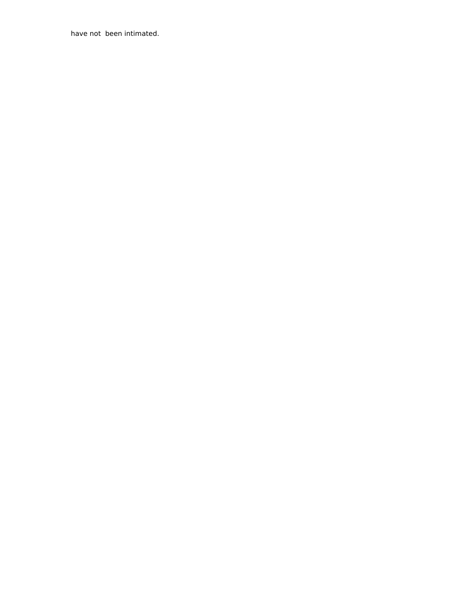have not been intimated.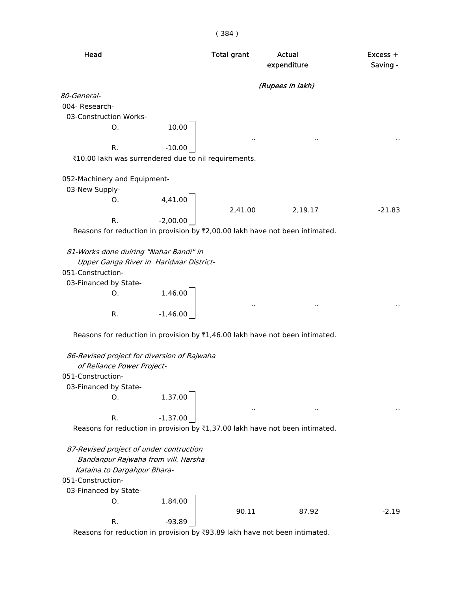| × | × | ×. |
|---|---|----|
|   |   |    |

| Head                                                                           |            | <b>Total grant</b> | Actual<br>expenditure                                                        | Excess +<br>Saving - |
|--------------------------------------------------------------------------------|------------|--------------------|------------------------------------------------------------------------------|----------------------|
|                                                                                |            |                    | (Rupees in lakh)                                                             |                      |
| 80-General-                                                                    |            |                    |                                                                              |                      |
| 004- Research-                                                                 |            |                    |                                                                              |                      |
| 03-Construction Works-                                                         |            |                    |                                                                              |                      |
| Ο.                                                                             | 10.00      |                    |                                                                              |                      |
|                                                                                |            |                    |                                                                              |                      |
| R.                                                                             | $-10.00$   |                    |                                                                              |                      |
| ₹10.00 lakh was surrendered due to nil requirements.                           |            |                    |                                                                              |                      |
| 052-Machinery and Equipment-                                                   |            |                    |                                                                              |                      |
| 03-New Supply-                                                                 |            |                    |                                                                              |                      |
| O.                                                                             | 4,41.00    |                    |                                                                              |                      |
|                                                                                |            | 2,41.00            | 2,19.17                                                                      | $-21.83$             |
| R.                                                                             | $-2,00.00$ |                    |                                                                              |                      |
|                                                                                |            |                    | Reasons for reduction in provision by ₹2,00.00 lakh have not been intimated. |                      |
|                                                                                |            |                    |                                                                              |                      |
| 81-Works done duiring "Nahar Bandi" in                                         |            |                    |                                                                              |                      |
| Upper Ganga River in Haridwar District-<br>051-Construction-                   |            |                    |                                                                              |                      |
| 03-Financed by State-                                                          |            |                    |                                                                              |                      |
| O.                                                                             | 1,46.00    |                    |                                                                              |                      |
|                                                                                |            |                    |                                                                              |                      |
| R.                                                                             | $-1,46.00$ |                    |                                                                              |                      |
|                                                                                |            |                    | Reasons for reduction in provision by ₹1,46.00 lakh have not been intimated. |                      |
|                                                                                |            |                    |                                                                              |                      |
| 86-Revised project for diversion of Rajwaha                                    |            |                    |                                                                              |                      |
| of Reliance Power Project-                                                     |            |                    |                                                                              |                      |
| 051-Construction-                                                              |            |                    |                                                                              |                      |
| 03-Financed by State-<br>0.                                                    | 1,37.00    |                    |                                                                              |                      |
|                                                                                |            |                    |                                                                              |                      |
| R.                                                                             | $-1,37.00$ |                    |                                                                              |                      |
|                                                                                |            |                    | Reasons for reduction in provision by ₹1,37.00 lakh have not been intimated. |                      |
|                                                                                |            |                    |                                                                              |                      |
| 87-Revised project of under contruction<br>Bandanpur Rajwaha from vill. Harsha |            |                    |                                                                              |                      |
| Kataina to Dargahpur Bhara-                                                    |            |                    |                                                                              |                      |
| 051-Construction-                                                              |            |                    |                                                                              |                      |
| 03-Financed by State-                                                          |            |                    |                                                                              |                      |
| О.                                                                             | 1,84.00    |                    |                                                                              |                      |
|                                                                                |            | 90.11              | 87.92                                                                        | $-2.19$              |
| R.                                                                             | $-93.89$   |                    |                                                                              |                      |
|                                                                                |            |                    |                                                                              |                      |

Reasons for reduction in provision by  $\text{\$93.89}$  lakh have not been intimated.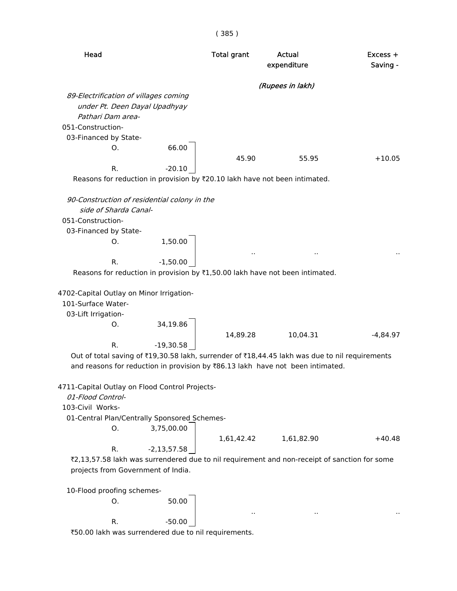| Head                                                                                                                                                                             | <b>Total grant</b> | Actual<br>expenditure                        | Excess +<br>Saving - |
|----------------------------------------------------------------------------------------------------------------------------------------------------------------------------------|--------------------|----------------------------------------------|----------------------|
|                                                                                                                                                                                  |                    | (Rupees in lakh)                             |                      |
| 89-Electrification of villages coming                                                                                                                                            |                    |                                              |                      |
| under Pt. Deen Dayal Upadhyay                                                                                                                                                    |                    |                                              |                      |
| Pathari Dam area-                                                                                                                                                                |                    |                                              |                      |
| 051-Construction-                                                                                                                                                                |                    |                                              |                      |
| 03-Financed by State-                                                                                                                                                            |                    |                                              |                      |
| Ο.                                                                                                                                                                               | 66.00<br>45.90     | 55.95                                        | $+10.05$             |
| R.                                                                                                                                                                               | $-20.10$           |                                              |                      |
| Reasons for reduction in provision by ₹20.10 lakh have not been intimated.                                                                                                       |                    |                                              |                      |
| 90-Construction of residential colony in the                                                                                                                                     |                    |                                              |                      |
| side of Sharda Canal-                                                                                                                                                            |                    |                                              |                      |
| 051-Construction-                                                                                                                                                                |                    |                                              |                      |
| 03-Financed by State-                                                                                                                                                            |                    |                                              |                      |
| 1,50.00<br>O.                                                                                                                                                                    |                    |                                              |                      |
| $-1,50.00$<br>R.                                                                                                                                                                 |                    | $\ddot{\phantom{1}}$<br>$\ddot{\phantom{1}}$ |                      |
| Reasons for reduction in provision by ₹1,50.00 lakh have not been intimated.                                                                                                     |                    |                                              |                      |
| 4702-Capital Outlay on Minor Irrigation-<br>101-Surface Water-<br>03-Lift Irrigation-<br>34,19.86<br>O.                                                                          |                    |                                              |                      |
|                                                                                                                                                                                  | 14,89.28           | 10,04.31                                     | $-4,84.97$           |
| R.<br>$-19,30.58$                                                                                                                                                                |                    |                                              |                      |
| Out of total saving of ₹19,30.58 lakh, surrender of ₹18,44.45 lakh was due to nil requirements<br>and reasons for reduction in provision by ₹86.13 lakh have not been intimated. |                    |                                              |                      |
| 4711-Capital Outlay on Flood Control Projects-<br>01-Flood Control-<br>103-Civil Works-<br>01-Central Plan/Centrally Sponsored Schemes-<br>3,75,00.00<br>O.                      |                    |                                              |                      |
|                                                                                                                                                                                  | 1,61,42.42         | 1,61,82.90                                   | $+40.48$             |
| R.<br>$-2,13,57.58$                                                                                                                                                              |                    |                                              |                      |
| ₹2,13,57.58 lakh was surrendered due to nil requirement and non-receipt of sanction for some<br>projects from Government of India.                                               |                    |                                              |                      |
| 10-Flood proofing schemes-                                                                                                                                                       |                    |                                              |                      |
| O.                                                                                                                                                                               | 50.00              |                                              |                      |
|                                                                                                                                                                                  |                    |                                              |                      |
| R.                                                                                                                                                                               | $-50.00$           |                                              |                      |

`50.00 lakh was surrendered due to nil requirements.

( 385 )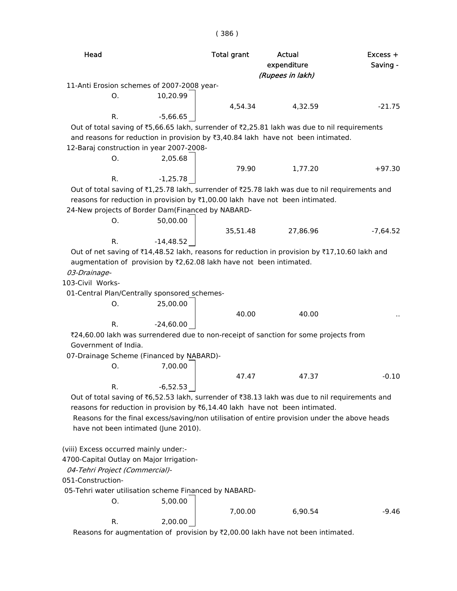| Head                                                |                                                                                                                                                                                  | <b>Total grant</b> | Actual<br>expenditure | $Excess +$<br>Saving - |
|-----------------------------------------------------|----------------------------------------------------------------------------------------------------------------------------------------------------------------------------------|--------------------|-----------------------|------------------------|
|                                                     |                                                                                                                                                                                  |                    | (Rupees in lakh)      |                        |
|                                                     | 11-Anti Erosion schemes of 2007-2008 year-                                                                                                                                       |                    |                       |                        |
| О.                                                  | 10,20.99                                                                                                                                                                         |                    |                       |                        |
|                                                     |                                                                                                                                                                                  | 4,54.34            | 4,32.59               | $-21.75$               |
| R.                                                  | $-5,66.65$                                                                                                                                                                       |                    |                       |                        |
|                                                     | Out of total saving of ₹5,66.65 lakh, surrender of ₹2,25.81 lakh was due to nil requirements<br>and reasons for reduction in provision by ₹3,40.84 lakh have not been intimated. |                    |                       |                        |
|                                                     | 12-Baraj construction in year 2007-2008-                                                                                                                                         |                    |                       |                        |
| O.                                                  | 2,05.68                                                                                                                                                                          |                    |                       |                        |
|                                                     |                                                                                                                                                                                  | 79.90              | 1,77.20               | $+97.30$               |
| R.                                                  | $-1,25.78$                                                                                                                                                                       |                    |                       |                        |
|                                                     | Out of total saving of ₹1,25.78 lakh, surrender of ₹25.78 lakh was due to nil requirements and                                                                                   |                    |                       |                        |
|                                                     | reasons for reduction in provision by ₹1,00.00 lakh have not been intimated.                                                                                                     |                    |                       |                        |
|                                                     | 24-New projects of Border Dam(Financed by NABARD-                                                                                                                                |                    |                       |                        |
| O.                                                  | 50,00.00                                                                                                                                                                         |                    |                       |                        |
| R.                                                  | $-14,48.52$                                                                                                                                                                      | 35,51.48           | 27,86.96              | $-7,64.52$             |
|                                                     | Out of net saving of ₹14,48.52 lakh, reasons for reduction in provision by ₹17,10.60 lakh and                                                                                    |                    |                       |                        |
|                                                     | augmentation of provision by ₹2,62.08 lakh have not been intimated.                                                                                                              |                    |                       |                        |
| 03-Drainage-                                        |                                                                                                                                                                                  |                    |                       |                        |
| 103-Civil Works-                                    |                                                                                                                                                                                  |                    |                       |                        |
|                                                     | 01-Central Plan/Centrally sponsored schemes-                                                                                                                                     |                    |                       |                        |
| O.                                                  | 25,00.00                                                                                                                                                                         |                    |                       |                        |
|                                                     |                                                                                                                                                                                  | 40.00              | 40.00                 |                        |
| R.                                                  | $-24,60.00$                                                                                                                                                                      |                    |                       |                        |
|                                                     | ₹24,60.00 lakh was surrendered due to non-receipt of sanction for some projects from                                                                                             |                    |                       |                        |
| Government of India.                                |                                                                                                                                                                                  |                    |                       |                        |
|                                                     | 07-Drainage Scheme (Financed by NABARD)-                                                                                                                                         |                    |                       |                        |
| Ο.                                                  | 7,00.00                                                                                                                                                                          |                    |                       |                        |
|                                                     |                                                                                                                                                                                  | 47.47              | 47.37                 | $-0.10$                |
| R.                                                  | $-6,52.53$                                                                                                                                                                       |                    |                       |                        |
|                                                     | Out of total saving of ₹6,52.53 lakh, surrender of ₹38.13 lakh was due to nil requirements and                                                                                   |                    |                       |                        |
|                                                     | reasons for reduction in provision by ₹6,14.40 lakh have not been intimated.                                                                                                     |                    |                       |                        |
|                                                     | Reasons for the final excess/saving/non utilisation of entire provision under the above heads                                                                                    |                    |                       |                        |
|                                                     | have not been intimated (June 2010).                                                                                                                                             |                    |                       |                        |
|                                                     |                                                                                                                                                                                  |                    |                       |                        |
| (viii) Excess occurred mainly under:-               |                                                                                                                                                                                  |                    |                       |                        |
|                                                     | 4700-Capital Outlay on Major Irrigation-                                                                                                                                         |                    |                       |                        |
| 04-Tehri Project (Commercial)-<br>051-Construction- |                                                                                                                                                                                  |                    |                       |                        |
|                                                     | 05-Tehri water utilisation scheme Financed by NABARD-                                                                                                                            |                    |                       |                        |
| Ο.                                                  | 5,00.00                                                                                                                                                                          |                    |                       |                        |
|                                                     |                                                                                                                                                                                  | 7,00.00            | 6,90.54               | $-9.46$                |
| R.                                                  | 2,00.00                                                                                                                                                                          |                    |                       |                        |

( 386 )

Reasons for augmentation of provision by  $\bar{\tau}$ 2,00.00 lakh have not been intimated.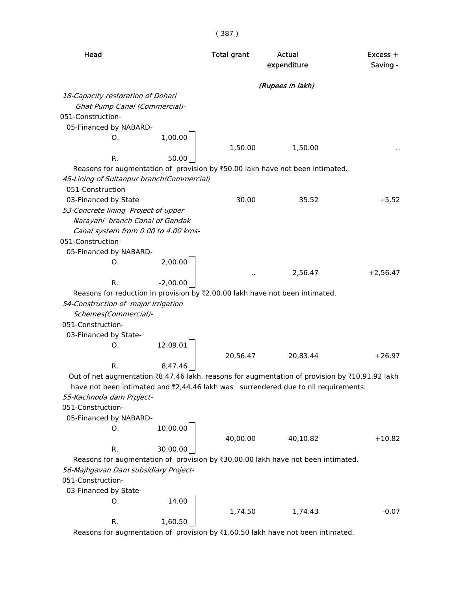| (Rupees in lakh)<br>18-Capacity restoration of Dohari<br>Ghat Pump Canal (Commercial)-<br>051-Construction-<br>05-Financed by NABARD-<br>1,00.00<br>O.<br>1,50.00<br>1,50.00<br>R.<br>50.00<br>Reasons for augmentation of provision by ₹50.00 lakh have not been intimated.<br>45-Lining of Sultanpur branch(Commercial)<br>051-Construction-<br>03-Financed by State<br>30.00<br>35.52<br>53-Concrete lining Project of upper<br>Narayani branch Canal of Gandak<br>Canal system from 0.00 to 4.00 kms-<br>051-Construction-<br>05-Financed by NABARD-<br>2,00.00<br>0.<br>2,56.47<br>$+2,56.47$<br>$-2,00.00$<br>R.<br>Reasons for reduction in provision by ₹2,00.00 lakh have not been intimated.<br>54-Construction of major Irrigation<br>Schemes(Commercial)-<br>051-Construction-<br>03-Financed by State-<br>12,09.01<br>0.<br>20,56.47<br>20,83.44<br>$+26.97$<br>8,47.46<br>R.<br>Out of net augmentation ₹8,47.46 lakh, reasons for augmentation of provision by ₹10,91.92 lakh<br>have not been intimated and ₹2,44.46 lakh was surrendered due to nil requirements.<br>55-Kachnoda dam Prpject-<br>051-Construction-<br>05-Financed by NABARD-<br>10,00.00<br>Ο.<br>40,00.00<br>40,10.82<br>$+10.82$<br>30,00.00<br>R.<br>Reasons for augmentation of provision by ₹30,00.00 lakh have not been intimated.<br>56-Majhgavan Dam subsidiary Project-<br>051-Construction- | Head | <b>Total grant</b> | Actual<br>expenditure | Excess +<br>Saving - |
|----------------------------------------------------------------------------------------------------------------------------------------------------------------------------------------------------------------------------------------------------------------------------------------------------------------------------------------------------------------------------------------------------------------------------------------------------------------------------------------------------------------------------------------------------------------------------------------------------------------------------------------------------------------------------------------------------------------------------------------------------------------------------------------------------------------------------------------------------------------------------------------------------------------------------------------------------------------------------------------------------------------------------------------------------------------------------------------------------------------------------------------------------------------------------------------------------------------------------------------------------------------------------------------------------------------------------------------------------------------------------------------|------|--------------------|-----------------------|----------------------|
|                                                                                                                                                                                                                                                                                                                                                                                                                                                                                                                                                                                                                                                                                                                                                                                                                                                                                                                                                                                                                                                                                                                                                                                                                                                                                                                                                                                        |      |                    |                       |                      |
|                                                                                                                                                                                                                                                                                                                                                                                                                                                                                                                                                                                                                                                                                                                                                                                                                                                                                                                                                                                                                                                                                                                                                                                                                                                                                                                                                                                        |      |                    |                       |                      |
|                                                                                                                                                                                                                                                                                                                                                                                                                                                                                                                                                                                                                                                                                                                                                                                                                                                                                                                                                                                                                                                                                                                                                                                                                                                                                                                                                                                        |      |                    |                       |                      |
|                                                                                                                                                                                                                                                                                                                                                                                                                                                                                                                                                                                                                                                                                                                                                                                                                                                                                                                                                                                                                                                                                                                                                                                                                                                                                                                                                                                        |      |                    |                       |                      |
|                                                                                                                                                                                                                                                                                                                                                                                                                                                                                                                                                                                                                                                                                                                                                                                                                                                                                                                                                                                                                                                                                                                                                                                                                                                                                                                                                                                        |      |                    |                       |                      |
|                                                                                                                                                                                                                                                                                                                                                                                                                                                                                                                                                                                                                                                                                                                                                                                                                                                                                                                                                                                                                                                                                                                                                                                                                                                                                                                                                                                        |      |                    |                       |                      |
|                                                                                                                                                                                                                                                                                                                                                                                                                                                                                                                                                                                                                                                                                                                                                                                                                                                                                                                                                                                                                                                                                                                                                                                                                                                                                                                                                                                        |      |                    |                       |                      |
|                                                                                                                                                                                                                                                                                                                                                                                                                                                                                                                                                                                                                                                                                                                                                                                                                                                                                                                                                                                                                                                                                                                                                                                                                                                                                                                                                                                        |      |                    |                       | $+5.52$              |
|                                                                                                                                                                                                                                                                                                                                                                                                                                                                                                                                                                                                                                                                                                                                                                                                                                                                                                                                                                                                                                                                                                                                                                                                                                                                                                                                                                                        |      |                    |                       |                      |
|                                                                                                                                                                                                                                                                                                                                                                                                                                                                                                                                                                                                                                                                                                                                                                                                                                                                                                                                                                                                                                                                                                                                                                                                                                                                                                                                                                                        |      |                    |                       |                      |
|                                                                                                                                                                                                                                                                                                                                                                                                                                                                                                                                                                                                                                                                                                                                                                                                                                                                                                                                                                                                                                                                                                                                                                                                                                                                                                                                                                                        |      |                    |                       |                      |
|                                                                                                                                                                                                                                                                                                                                                                                                                                                                                                                                                                                                                                                                                                                                                                                                                                                                                                                                                                                                                                                                                                                                                                                                                                                                                                                                                                                        |      |                    |                       |                      |
|                                                                                                                                                                                                                                                                                                                                                                                                                                                                                                                                                                                                                                                                                                                                                                                                                                                                                                                                                                                                                                                                                                                                                                                                                                                                                                                                                                                        |      |                    |                       |                      |
|                                                                                                                                                                                                                                                                                                                                                                                                                                                                                                                                                                                                                                                                                                                                                                                                                                                                                                                                                                                                                                                                                                                                                                                                                                                                                                                                                                                        |      |                    |                       |                      |
|                                                                                                                                                                                                                                                                                                                                                                                                                                                                                                                                                                                                                                                                                                                                                                                                                                                                                                                                                                                                                                                                                                                                                                                                                                                                                                                                                                                        |      |                    |                       |                      |
|                                                                                                                                                                                                                                                                                                                                                                                                                                                                                                                                                                                                                                                                                                                                                                                                                                                                                                                                                                                                                                                                                                                                                                                                                                                                                                                                                                                        |      |                    |                       |                      |
|                                                                                                                                                                                                                                                                                                                                                                                                                                                                                                                                                                                                                                                                                                                                                                                                                                                                                                                                                                                                                                                                                                                                                                                                                                                                                                                                                                                        |      |                    |                       |                      |
|                                                                                                                                                                                                                                                                                                                                                                                                                                                                                                                                                                                                                                                                                                                                                                                                                                                                                                                                                                                                                                                                                                                                                                                                                                                                                                                                                                                        |      |                    |                       |                      |
|                                                                                                                                                                                                                                                                                                                                                                                                                                                                                                                                                                                                                                                                                                                                                                                                                                                                                                                                                                                                                                                                                                                                                                                                                                                                                                                                                                                        |      |                    |                       |                      |
|                                                                                                                                                                                                                                                                                                                                                                                                                                                                                                                                                                                                                                                                                                                                                                                                                                                                                                                                                                                                                                                                                                                                                                                                                                                                                                                                                                                        |      |                    |                       |                      |
|                                                                                                                                                                                                                                                                                                                                                                                                                                                                                                                                                                                                                                                                                                                                                                                                                                                                                                                                                                                                                                                                                                                                                                                                                                                                                                                                                                                        |      |                    |                       |                      |
|                                                                                                                                                                                                                                                                                                                                                                                                                                                                                                                                                                                                                                                                                                                                                                                                                                                                                                                                                                                                                                                                                                                                                                                                                                                                                                                                                                                        |      |                    |                       |                      |
|                                                                                                                                                                                                                                                                                                                                                                                                                                                                                                                                                                                                                                                                                                                                                                                                                                                                                                                                                                                                                                                                                                                                                                                                                                                                                                                                                                                        |      |                    |                       |                      |
|                                                                                                                                                                                                                                                                                                                                                                                                                                                                                                                                                                                                                                                                                                                                                                                                                                                                                                                                                                                                                                                                                                                                                                                                                                                                                                                                                                                        |      |                    |                       |                      |
|                                                                                                                                                                                                                                                                                                                                                                                                                                                                                                                                                                                                                                                                                                                                                                                                                                                                                                                                                                                                                                                                                                                                                                                                                                                                                                                                                                                        |      |                    |                       |                      |
|                                                                                                                                                                                                                                                                                                                                                                                                                                                                                                                                                                                                                                                                                                                                                                                                                                                                                                                                                                                                                                                                                                                                                                                                                                                                                                                                                                                        |      |                    |                       |                      |
|                                                                                                                                                                                                                                                                                                                                                                                                                                                                                                                                                                                                                                                                                                                                                                                                                                                                                                                                                                                                                                                                                                                                                                                                                                                                                                                                                                                        |      |                    |                       |                      |
|                                                                                                                                                                                                                                                                                                                                                                                                                                                                                                                                                                                                                                                                                                                                                                                                                                                                                                                                                                                                                                                                                                                                                                                                                                                                                                                                                                                        |      |                    |                       |                      |
|                                                                                                                                                                                                                                                                                                                                                                                                                                                                                                                                                                                                                                                                                                                                                                                                                                                                                                                                                                                                                                                                                                                                                                                                                                                                                                                                                                                        |      |                    |                       |                      |
|                                                                                                                                                                                                                                                                                                                                                                                                                                                                                                                                                                                                                                                                                                                                                                                                                                                                                                                                                                                                                                                                                                                                                                                                                                                                                                                                                                                        |      |                    |                       |                      |
|                                                                                                                                                                                                                                                                                                                                                                                                                                                                                                                                                                                                                                                                                                                                                                                                                                                                                                                                                                                                                                                                                                                                                                                                                                                                                                                                                                                        |      |                    |                       |                      |
|                                                                                                                                                                                                                                                                                                                                                                                                                                                                                                                                                                                                                                                                                                                                                                                                                                                                                                                                                                                                                                                                                                                                                                                                                                                                                                                                                                                        |      |                    |                       |                      |
|                                                                                                                                                                                                                                                                                                                                                                                                                                                                                                                                                                                                                                                                                                                                                                                                                                                                                                                                                                                                                                                                                                                                                                                                                                                                                                                                                                                        |      |                    |                       |                      |
|                                                                                                                                                                                                                                                                                                                                                                                                                                                                                                                                                                                                                                                                                                                                                                                                                                                                                                                                                                                                                                                                                                                                                                                                                                                                                                                                                                                        |      |                    |                       |                      |
|                                                                                                                                                                                                                                                                                                                                                                                                                                                                                                                                                                                                                                                                                                                                                                                                                                                                                                                                                                                                                                                                                                                                                                                                                                                                                                                                                                                        |      |                    |                       |                      |
|                                                                                                                                                                                                                                                                                                                                                                                                                                                                                                                                                                                                                                                                                                                                                                                                                                                                                                                                                                                                                                                                                                                                                                                                                                                                                                                                                                                        |      |                    |                       |                      |
| 03-Financed by State-<br>14.00<br>O.                                                                                                                                                                                                                                                                                                                                                                                                                                                                                                                                                                                                                                                                                                                                                                                                                                                                                                                                                                                                                                                                                                                                                                                                                                                                                                                                                   |      |                    |                       |                      |
|                                                                                                                                                                                                                                                                                                                                                                                                                                                                                                                                                                                                                                                                                                                                                                                                                                                                                                                                                                                                                                                                                                                                                                                                                                                                                                                                                                                        |      |                    |                       |                      |
| 1,74.50<br>1,74.43<br>R.<br>1,60.50<br>of provision by $F1$ GO EQ lake have not been intimated                                                                                                                                                                                                                                                                                                                                                                                                                                                                                                                                                                                                                                                                                                                                                                                                                                                                                                                                                                                                                                                                                                                                                                                                                                                                                         |      |                    |                       | $-0.07$              |

Reasons for augmentation of provision by  $\bar{\tau}1,60.50$  lakh have not been intimated.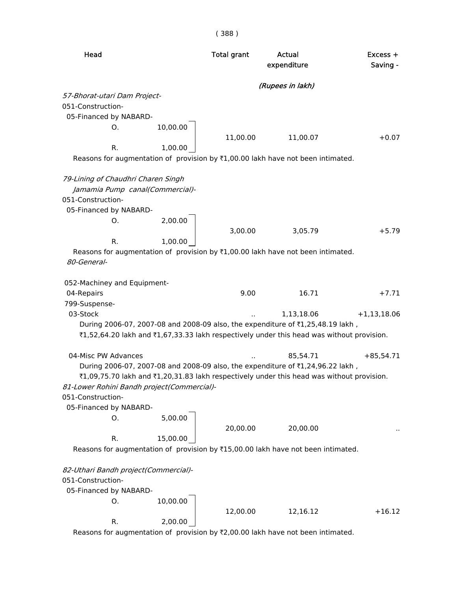| Head                                                                                            |          | <b>Total grant</b> | Actual<br>expenditure | $Excess +$<br>Saving - |
|-------------------------------------------------------------------------------------------------|----------|--------------------|-----------------------|------------------------|
|                                                                                                 |          |                    | (Rupees in lakh)      |                        |
| 57-Bhorat-utari Dam Project-                                                                    |          |                    |                       |                        |
| 051-Construction-                                                                               |          |                    |                       |                        |
| 05-Financed by NABARD-                                                                          |          |                    |                       |                        |
| 0.                                                                                              | 10,00.00 |                    |                       |                        |
|                                                                                                 |          | 11,00.00           | 11,00.07              | $+0.07$                |
| R.                                                                                              | 1,00.00  |                    |                       |                        |
| Reasons for augmentation of provision by $\overline{\tau}1,00.00$ lakh have not been intimated. |          |                    |                       |                        |
| 79-Lining of Chaudhri Charen Singh                                                              |          |                    |                       |                        |
| Jamamia Pump canal(Commercial)-                                                                 |          |                    |                       |                        |
| 051-Construction-                                                                               |          |                    |                       |                        |
| 05-Financed by NABARD-                                                                          |          |                    |                       |                        |
| 0.                                                                                              | 2,00.00  |                    |                       |                        |
|                                                                                                 |          | 3,00.00            | 3,05.79               | $+5.79$                |
| R.                                                                                              | 1,00.00  |                    |                       |                        |
| Reasons for augmentation of provision by $\bar{x}1,00.00$ lakh have not been intimated.         |          |                    |                       |                        |
| 80-General-                                                                                     |          |                    |                       |                        |
| 052-Machiney and Equipment-                                                                     |          |                    |                       |                        |
| 04-Repairs                                                                                      |          | 9.00               | 16.71                 | $+7.71$                |
| 799-Suspense-                                                                                   |          |                    |                       |                        |
| 03-Stock                                                                                        |          |                    | 1,13,18.06            | $+1,13,18.06$          |
| During 2006-07, 2007-08 and 2008-09 also, the expenditure of ₹1,25,48.19 lakh,                  |          |                    |                       |                        |
| ₹1,52,64.20 lakh and ₹1,67,33.33 lakh respectively under this head was without provision.       |          |                    |                       |                        |
| 04-Misc PW Advances                                                                             |          |                    | 85,54.71              | $+85,54.71$            |
| During 2006-07, 2007-08 and 2008-09 also, the expenditure of ₹1,24,96.22 lakh,                  |          |                    |                       |                        |
| ₹1,09,75.70 lakh and ₹1,20,31.83 lakh respectively under this head was without provision.       |          |                    |                       |                        |
| 81-Lower Rohini Bandh project(Commercial)-                                                      |          |                    |                       |                        |
| 051-Construction-                                                                               |          |                    |                       |                        |
| 05-Financed by NABARD-                                                                          |          |                    |                       |                        |
| O.                                                                                              | 5,00.00  |                    |                       |                        |
|                                                                                                 |          | 20,00.00           | 20,00.00              |                        |
| R.                                                                                              | 15,00.00 |                    |                       |                        |
| Reasons for augmentation of provision by ₹15,00.00 lakh have not been intimated.                |          |                    |                       |                        |
| 82-Uthari Bandh project(Commercial)-                                                            |          |                    |                       |                        |
| 051-Construction-                                                                               |          |                    |                       |                        |
| 05-Financed by NABARD-                                                                          |          |                    |                       |                        |
| О.                                                                                              | 10,00.00 |                    |                       |                        |
|                                                                                                 |          | 12,00.00           | 12,16.12              | $+16.12$               |
| R.                                                                                              | 2,00.00  |                    |                       |                        |
| Reasons for augmentation of provision by ₹2,00.00 lakh have not been intimated.                 |          |                    |                       |                        |

( 388 )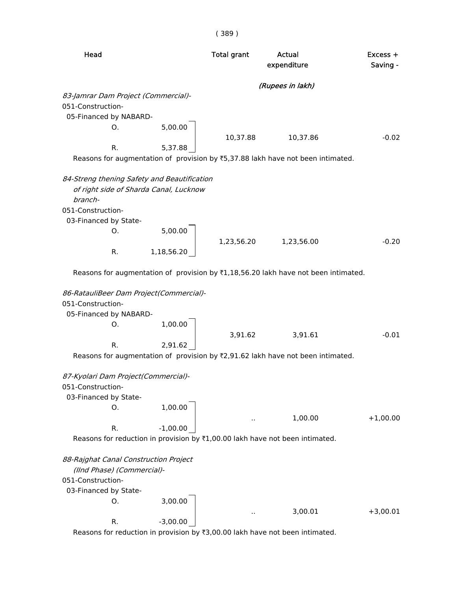| Head                                                                |                                        | <b>Total grant</b> | Actual<br>expenditure                                                                           | Excess +<br>Saving - |
|---------------------------------------------------------------------|----------------------------------------|--------------------|-------------------------------------------------------------------------------------------------|----------------------|
|                                                                     |                                        |                    | (Rupees in lakh)                                                                                |                      |
| 83-Jamrar Dam Project (Commercial)-<br>051-Construction-            |                                        |                    |                                                                                                 |                      |
| 05-Financed by NABARD-<br>0.                                        | 5,00.00                                |                    |                                                                                                 |                      |
|                                                                     |                                        | 10,37.88           | 10,37.86                                                                                        | $-0.02$              |
| R.                                                                  | 5,37.88                                |                    |                                                                                                 |                      |
|                                                                     |                                        |                    | Reasons for augmentation of provision by ₹5,37.88 lakh have not been intimated.                 |                      |
| 84-Streng thening Safety and Beautification<br>branch-              | of right side of Sharda Canal, Lucknow |                    |                                                                                                 |                      |
| 051-Construction-                                                   |                                        |                    |                                                                                                 |                      |
| 03-Financed by State-                                               |                                        |                    |                                                                                                 |                      |
| O <sub>r</sub>                                                      | 5,00.00                                | 1,23,56.20         | 1,23,56.00                                                                                      | $-0.20$              |
| R.                                                                  | 1,18,56.20                             |                    |                                                                                                 |                      |
| 86-RatauliBeer Dam Project(Commercial)-                             |                                        |                    | Reasons for augmentation of provision by $\overline{z}1,18,56.20$ lakh have not been intimated. |                      |
| 051-Construction-                                                   |                                        |                    |                                                                                                 |                      |
| 05-Financed by NABARD-                                              |                                        |                    |                                                                                                 |                      |
| O.                                                                  | 1,00.00                                |                    |                                                                                                 |                      |
|                                                                     |                                        | 3,91.62            | 3,91.61                                                                                         | $-0.01$              |
| R.                                                                  | 2,91.62                                |                    |                                                                                                 |                      |
|                                                                     |                                        |                    | Reasons for augmentation of provision by ₹2,91.62 lakh have not been intimated.                 |                      |
| 87-Kyolari Dam Project(Commercial)-                                 |                                        |                    |                                                                                                 |                      |
| 051-Construction-                                                   |                                        |                    |                                                                                                 |                      |
| 03-Financed by State-                                               |                                        |                    |                                                                                                 |                      |
| 0.                                                                  | 1,00.00                                |                    |                                                                                                 |                      |
| R.                                                                  | $-1,00.00$                             |                    | 1,00.00                                                                                         | $+1,00.00$           |
|                                                                     |                                        |                    | Reasons for reduction in provision by ₹1,00.00 lakh have not been intimated.                    |                      |
|                                                                     |                                        |                    |                                                                                                 |                      |
| 88-Rajghat Canal Construction Project<br>(IInd Phase) (Commercial)- |                                        |                    |                                                                                                 |                      |
| 051-Construction-                                                   |                                        |                    |                                                                                                 |                      |
| 03-Financed by State-                                               |                                        |                    |                                                                                                 |                      |
| Ο.                                                                  | 3,00.00                                |                    |                                                                                                 |                      |
| R.                                                                  | $-3,00.00$                             |                    | 3,00.01                                                                                         | $+3,00.01$           |
|                                                                     |                                        |                    |                                                                                                 |                      |

Reasons for reduction in provision by  $\overline{3}3,00.00$  lakh have not been intimated.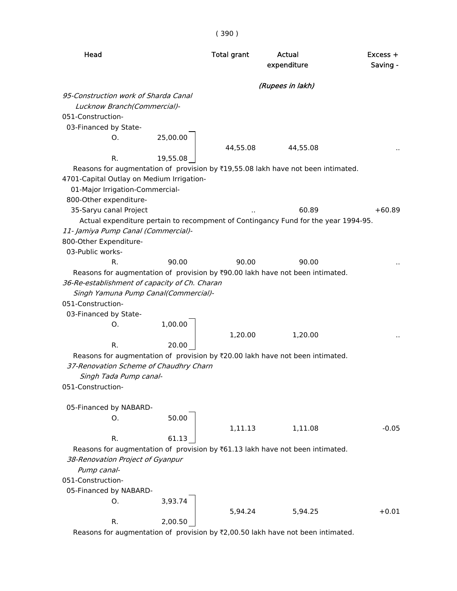| Head                                          |          | <b>Total grant</b> | Actual<br>expenditure                                                                           | Excess +<br>Saving - |
|-----------------------------------------------|----------|--------------------|-------------------------------------------------------------------------------------------------|----------------------|
|                                               |          |                    | (Rupees in lakh)                                                                                |                      |
| 95-Construction work of Sharda Canal          |          |                    |                                                                                                 |                      |
| Lucknow Branch(Commercial)-                   |          |                    |                                                                                                 |                      |
| 051-Construction-                             |          |                    |                                                                                                 |                      |
| 03-Financed by State-                         |          |                    |                                                                                                 |                      |
| O.                                            | 25,00.00 |                    |                                                                                                 |                      |
|                                               |          | 44,55.08           | 44,55.08                                                                                        |                      |
| R.                                            | 19,55.08 |                    |                                                                                                 |                      |
|                                               |          |                    | Reasons for augmentation of provision by ₹19,55.08 lakh have not been intimated.                |                      |
| 4701-Capital Outlay on Medium Irrigation-     |          |                    |                                                                                                 |                      |
| 01-Major Irrigation-Commercial-               |          |                    |                                                                                                 |                      |
| 800-Other expenditure-                        |          |                    |                                                                                                 |                      |
| 35-Saryu canal Project                        |          |                    | 60.89                                                                                           | $+60.89$             |
|                                               |          |                    | Actual expenditure pertain to recompment of Contingancy Fund for the year 1994-95.              |                      |
| 11- Jamiya Pump Canal (Commercial)-           |          |                    |                                                                                                 |                      |
| 800-Other Expenditure-<br>03-Public works-    |          |                    |                                                                                                 |                      |
| R.                                            | 90.00    | 90.00              | 90.00                                                                                           |                      |
|                                               |          |                    | Reasons for augmentation of provision by ₹90.00 lakh have not been intimated.                   |                      |
| 36-Re-establishment of capacity of Ch. Charan |          |                    |                                                                                                 |                      |
| Singh Yamuna Pump Canal(Commercial)-          |          |                    |                                                                                                 |                      |
| 051-Construction-                             |          |                    |                                                                                                 |                      |
| 03-Financed by State-                         |          |                    |                                                                                                 |                      |
| Ο.                                            | 1,00.00  |                    |                                                                                                 |                      |
|                                               |          | 1,20.00            | 1,20.00                                                                                         |                      |
| R.                                            | 20.00    |                    |                                                                                                 |                      |
|                                               |          |                    | Reasons for augmentation of provision by ₹20.00 lakh have not been intimated.                   |                      |
| 37-Renovation Scheme of Chaudhry Charn        |          |                    |                                                                                                 |                      |
| Singh Tada Pump canal-                        |          |                    |                                                                                                 |                      |
| 051-Construction-                             |          |                    |                                                                                                 |                      |
|                                               |          |                    |                                                                                                 |                      |
| 05-Financed by NABARD-                        |          |                    |                                                                                                 |                      |
| О.                                            | 50.00    |                    |                                                                                                 |                      |
|                                               |          | 1,11.13            | 1,11.08                                                                                         | $-0.05$              |
| R.                                            | 61.13    |                    |                                                                                                 |                      |
|                                               |          |                    | Reasons for augmentation of provision by $\text{\texttt{F61.13}}$ lakh have not been intimated. |                      |
| 38-Renovation Project of Gyanpur              |          |                    |                                                                                                 |                      |
| Pump canal-                                   |          |                    |                                                                                                 |                      |
| 051-Construction-                             |          |                    |                                                                                                 |                      |
| 05-Financed by NABARD-                        |          |                    |                                                                                                 |                      |
| О.                                            | 3,93.74  |                    |                                                                                                 |                      |
|                                               |          | 5,94.24            | 5,94.25                                                                                         | $+0.01$              |
| R.                                            | 2,00.50  |                    |                                                                                                 |                      |
|                                               |          |                    | Reasons for augmentation of provision by ₹2,00.50 lakh have not been intimated.                 |                      |

( 390 )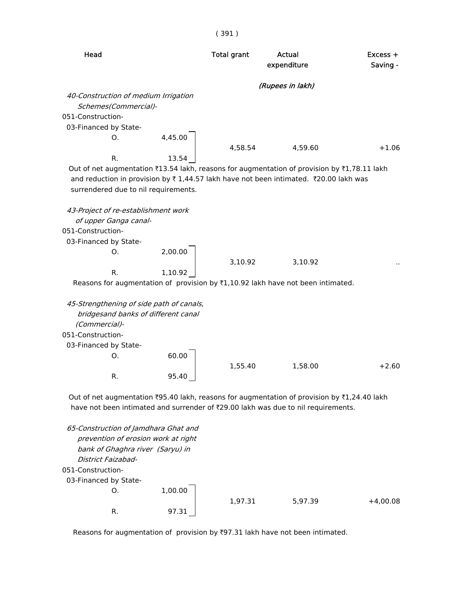|                                                                                             |         | (391)              |                       |                      |
|---------------------------------------------------------------------------------------------|---------|--------------------|-----------------------|----------------------|
| Head                                                                                        |         | <b>Total grant</b> | Actual<br>expenditure | Excess +<br>Saving - |
|                                                                                             |         |                    | (Rupees in lakh)      |                      |
| 40-Construction of medium Irrigation                                                        |         |                    |                       |                      |
| Schemes(Commercial)-                                                                        |         |                    |                       |                      |
| 051-Construction-                                                                           |         |                    |                       |                      |
| 03-Financed by State-                                                                       |         |                    |                       |                      |
| 0.                                                                                          | 4,45.00 |                    |                       |                      |
|                                                                                             |         | 4,58.54            | 4,59.60               | $+1.06$              |
| R.                                                                                          | 13.54   |                    |                       |                      |
| Out of net augmentation ₹13.54 lakh, reasons for augmentation of provision by ₹1,78.11 lakh |         |                    |                       |                      |
| and reduction in provision by ₹1,44.57 lakh have not been intimated. ₹20.00 lakh was        |         |                    |                       |                      |
| surrendered due to nil requirements.                                                        |         |                    |                       |                      |
| 43-Project of re-establishment work                                                         |         |                    |                       |                      |
| of upper Ganga canal-                                                                       |         |                    |                       |                      |
| 051-Construction-                                                                           |         |                    |                       |                      |
| 03-Financed by State-                                                                       |         |                    |                       |                      |
| 0.                                                                                          | 2,00.00 |                    |                       |                      |
|                                                                                             |         | 3,10.92            | 3,10.92               |                      |
| R.                                                                                          | 1,10.92 |                    |                       |                      |
| Reasons for augmentation of provision by ₹1,10.92 lakh have not been intimated.             |         |                    |                       |                      |
|                                                                                             |         |                    |                       |                      |
| 45-Strengthening of side path of canals,                                                    |         |                    |                       |                      |
| bridgesand banks of different canal                                                         |         |                    |                       |                      |
| (Commercial)-                                                                               |         |                    |                       |                      |
| 051-Construction-                                                                           |         |                    |                       |                      |
| 03-Financed by State-                                                                       |         |                    |                       |                      |
| Ο.                                                                                          | 60.00   |                    |                       |                      |
|                                                                                             |         | 1,55.40            | 1,58.00               | $+2.60$              |
| R.                                                                                          | 95.40   |                    |                       |                      |
| Out of net augmentation ₹95.40 lakh, reasons for augmentation of provision by ₹1,24.40 lakh |         |                    |                       |                      |
| have not been intimated and surrender of ₹29.00 lakh was due to nil requirements.           |         |                    |                       |                      |
|                                                                                             |         |                    |                       |                      |
| 65-Construction of Jamdhara Ghat and                                                        |         |                    |                       |                      |
| prevention of erosion work at right                                                         |         |                    |                       |                      |
| bank of Ghaghra river (Saryu) in                                                            |         |                    |                       |                      |
| District Faizabad-                                                                          |         |                    |                       |                      |
| 051-Construction-                                                                           |         |                    |                       |                      |
| 03-Financed by State-                                                                       |         |                    |                       |                      |
| 0.                                                                                          | 1,00.00 |                    |                       |                      |

R. 97.31

1,97.31 5,97.39 +4,00.08

Reasons for augmentation of provision by  $\overline{3}97.31$  lakh have not been intimated.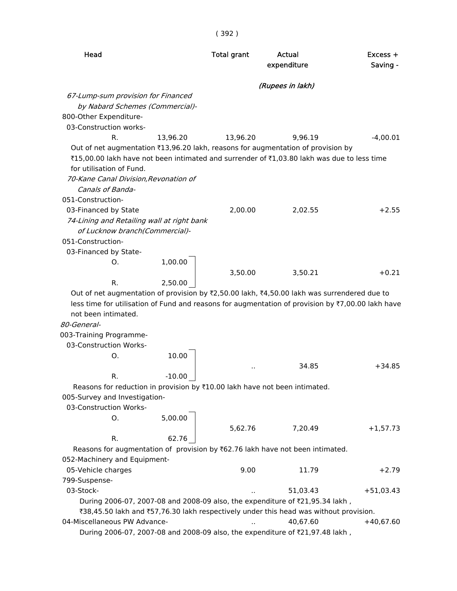|                                                                                                   |          | (392)              |                       |         |                        |
|---------------------------------------------------------------------------------------------------|----------|--------------------|-----------------------|---------|------------------------|
| Head                                                                                              |          | <b>Total grant</b> | Actual<br>expenditure |         | $Excess +$<br>Saving - |
|                                                                                                   |          |                    | (Rupees in lakh)      |         |                        |
| 67-Lump-sum provision for Financed                                                                |          |                    |                       |         |                        |
| by Nabard Schemes (Commercial)-                                                                   |          |                    |                       |         |                        |
| 800-Other Expenditure-                                                                            |          |                    |                       |         |                        |
| 03-Construction works-                                                                            |          |                    |                       |         |                        |
| $R_{\cdot}$                                                                                       | 13,96.20 | 13,96.20           |                       | 9,96.19 | $-4,00.01$             |
| Out of net augmentation ₹13,96.20 lakh, reasons for augmentation of provision by                  |          |                    |                       |         |                        |
| ₹15,00.00 lakh have not been intimated and surrender of ₹1,03.80 lakh was due to less time        |          |                    |                       |         |                        |
| for utilisation of Fund.                                                                          |          |                    |                       |         |                        |
| 70-Kane Canal Division, Revonation of<br>Canals of Banda-                                         |          |                    |                       |         |                        |
| 051-Construction-                                                                                 |          |                    |                       |         |                        |
| 03-Financed by State                                                                              |          | 2,00.00            |                       | 2,02.55 | $+2.55$                |
| 74-Lining and Retailing wall at right bank                                                        |          |                    |                       |         |                        |
| of Lucknow branch(Commercial)-                                                                    |          |                    |                       |         |                        |
| 051-Construction-                                                                                 |          |                    |                       |         |                        |
| 03-Financed by State-                                                                             |          |                    |                       |         |                        |
| Ο.                                                                                                | 1,00.00  |                    |                       |         |                        |
|                                                                                                   |          | 3,50.00            |                       | 3,50.21 | $+0.21$                |
| R.                                                                                                | 2,50.00  |                    |                       |         |                        |
| Out of net augmentation of provision by ₹2,50.00 lakh, ₹4,50.00 lakh was surrendered due to       |          |                    |                       |         |                        |
| less time for utilisation of Fund and reasons for augmentation of provision by ₹7,00.00 lakh have |          |                    |                       |         |                        |
| not been intimated.                                                                               |          |                    |                       |         |                        |
| 80-General-                                                                                       |          |                    |                       |         |                        |
| 003-Training Programme-                                                                           |          |                    |                       |         |                        |
| 03-Construction Works-                                                                            |          |                    |                       |         |                        |
| Ο.                                                                                                | 10.00    |                    |                       |         |                        |
|                                                                                                   |          |                    |                       | 34.85   | $+34.85$               |
| R.                                                                                                | $-10.00$ |                    |                       |         |                        |
| Reasons for reduction in provision by ₹10.00 lakh have not been intimated.                        |          |                    |                       |         |                        |
| 005-Survey and Investigation-                                                                     |          |                    |                       |         |                        |

03-Construction Works-

| O. | 5,00.00 |         |         |            |
|----|---------|---------|---------|------------|
|    |         | 5,62.76 | 7,20.49 | $+1,57.73$ |
| R. | 62.76   |         |         |            |

Reasons for augmentation of provision by  $\bar{c}$ 62.76 lakh have not been intimated. 052-Machinery and Equipment- 05-Vehicle charges 10.00 11.79 +2.79 799-Suspense- 03-Stock- .. 51,03.43 +51,03.43 During 2006-07, 2007-08 and 2008-09 also, the expenditure of ₹21,95.34 lakh, ₹38,45.50 lakh and ₹57,76.30 lakh respectively under this head was without provision. 04-Miscellaneous PW Advance- ... 40,67.60 +40,67.60 During 2006-07, 2007-08 and 2008-09 also, the expenditure of ₹21,97.48 lakh,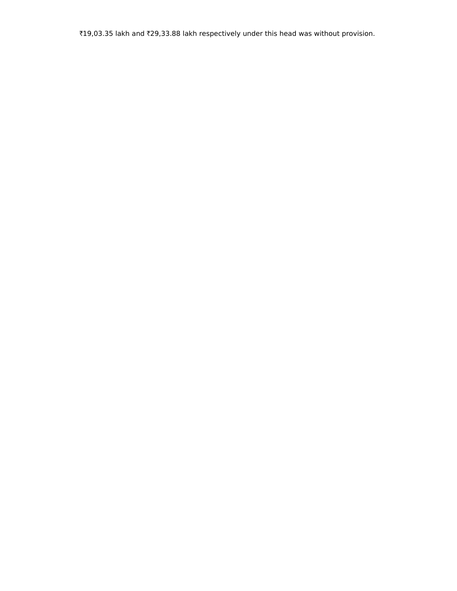₹19,03.35 lakh and ₹29,33.88 lakh respectively under this head was without provision.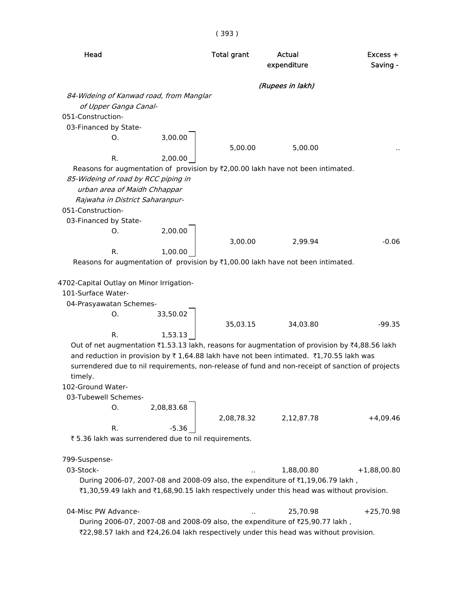| Head                                                                                                                                                                                                                                                                                                                                                                                                                                                              | <b>Total grant</b> | Actual<br>expenditure | Excess +<br>Saving - |
|-------------------------------------------------------------------------------------------------------------------------------------------------------------------------------------------------------------------------------------------------------------------------------------------------------------------------------------------------------------------------------------------------------------------------------------------------------------------|--------------------|-----------------------|----------------------|
|                                                                                                                                                                                                                                                                                                                                                                                                                                                                   |                    | (Rupees in lakh)      |                      |
| 84-Wideing of Kanwad road, from Manglar<br>of Upper Ganga Canal-<br>051-Construction-<br>03-Financed by State-                                                                                                                                                                                                                                                                                                                                                    |                    |                       |                      |
| 3,00.00<br>O.<br>2,00.00<br>R.                                                                                                                                                                                                                                                                                                                                                                                                                                    | 5,00.00            | 5,00.00               |                      |
| Reasons for augmentation of provision by ₹2,00.00 lakh have not been intimated.<br>85-Wideing of road by RCC piping in<br>urban area of Maidh Chhappar<br>Rajwaha in District Saharanpur-<br>051-Construction-<br>03-Financed by State-                                                                                                                                                                                                                           |                    |                       |                      |
| 2,00.00<br>O.<br>R.<br>1,00.00                                                                                                                                                                                                                                                                                                                                                                                                                                    | 3,00.00            | 2,99.94               | $-0.06$              |
| Reasons for augmentation of provision by $\overline{\tau}1,00.00$ lakh have not been intimated.                                                                                                                                                                                                                                                                                                                                                                   |                    |                       |                      |
| 4702-Capital Outlay on Minor Irrigation-<br>101-Surface Water-<br>04-Prasyawatan Schemes-<br>33,50.02<br>Ο.                                                                                                                                                                                                                                                                                                                                                       |                    |                       |                      |
|                                                                                                                                                                                                                                                                                                                                                                                                                                                                   | 35,03.15           | 34,03.80              | $-99.35$             |
| R.<br>1,53.13<br>Out of net augmentation ₹1.53.13 lakh, reasons for augmentation of provision by ₹4,88.56 lakh<br>and reduction in provision by ₹1,64.88 lakh have not been intimated. ₹1,70.55 lakh was<br>surrendered due to nil requirements, non-release of fund and non-receipt of sanction of projects<br>timely.<br>102-Ground Water-<br>03-Tubewell Schemes-<br>2,08,83.68<br>Ο.<br>R.<br>$-5.36$<br>₹ 5.36 lakh was surrendered due to nil requirements. | 2,08,78.32         | 2,12,87.78            | $+4,09.46$           |
| 799-Suspense-                                                                                                                                                                                                                                                                                                                                                                                                                                                     |                    |                       |                      |
| 03-Stock-<br>During 2006-07, 2007-08 and 2008-09 also, the expenditure of ₹1,19,06.79 lakh,<br>₹1,30,59.49 lakh and ₹1,68,90.15 lakh respectively under this head was without provision.                                                                                                                                                                                                                                                                          |                    | 1,88,00.80            | $+1,88,00.80$        |
| 04-Misc PW Advance-<br>During 2006-07, 2007-08 and 2008-09 also, the expenditure of ₹25,90.77 lakh,<br>₹22,98.57 lakh and ₹24,26.04 lakh respectively under this head was without provision.                                                                                                                                                                                                                                                                      |                    | 25,70.98              | $+25,70.98$          |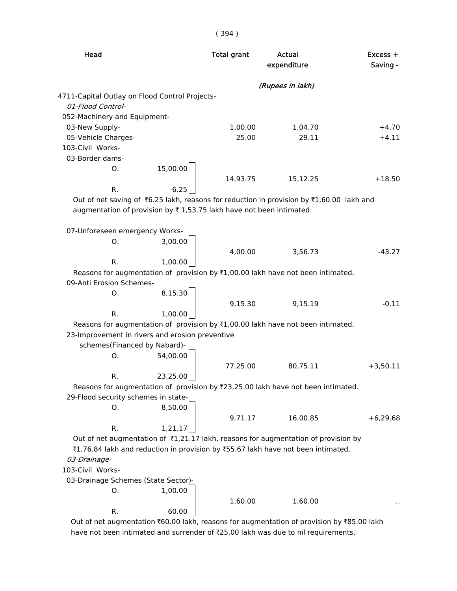( 394 )

| Head<br><b>Total grant</b>                                          |          | Actual<br>expenditure | $Excess +$<br>Saving -                                                                         |            |
|---------------------------------------------------------------------|----------|-----------------------|------------------------------------------------------------------------------------------------|------------|
|                                                                     |          |                       | (Rupees in lakh)                                                                               |            |
| 4711-Capital Outlay on Flood Control Projects-                      |          |                       |                                                                                                |            |
| 01-Flood Control-                                                   |          |                       |                                                                                                |            |
| 052-Machinery and Equipment-                                        |          |                       |                                                                                                |            |
| 03-New Supply-                                                      |          | 1,00.00               | 1,04.70                                                                                        | $+4.70$    |
| 05-Vehicle Charges-                                                 |          | 25.00                 | 29.11                                                                                          | $+4.11$    |
| 103-Civil Works-                                                    |          |                       |                                                                                                |            |
| 03-Border dams-                                                     |          |                       |                                                                                                |            |
| О.                                                                  | 15,00.00 |                       |                                                                                                |            |
|                                                                     |          | 14,93.75              | 15,12.25                                                                                       | $+18.50$   |
| R.                                                                  | $-6.25$  |                       |                                                                                                |            |
|                                                                     |          |                       | Out of net saving of ₹6.25 lakh, reasons for reduction in provision by ₹1,60.00 lakh and       |            |
| augmentation of provision by ₹1,53.75 lakh have not been intimated. |          |                       |                                                                                                |            |
|                                                                     |          |                       |                                                                                                |            |
| 07-Unforeseen emergency Works-<br>O.                                | 3,00.00  |                       |                                                                                                |            |
|                                                                     |          | 4,00.00               | 3,56.73                                                                                        | $-43.27$   |
| R.                                                                  | 1,00.00  |                       |                                                                                                |            |
|                                                                     |          |                       | Reasons for augmentation of provision by ₹1,00.00 lakh have not been intimated.                |            |
| 09-Anti Erosion Schemes-                                            |          |                       |                                                                                                |            |
| Ο.                                                                  | 8,15.30  |                       |                                                                                                |            |
|                                                                     |          | 9,15.30               | 9,15.19                                                                                        | $-0.11$    |
| R.                                                                  | 1,00.00  |                       |                                                                                                |            |
|                                                                     |          |                       | Reasons for augmentation of provision by ₹1,00.00 lakh have not been intimated.                |            |
| 23-Improvement in rivers and erosion preventive                     |          |                       |                                                                                                |            |
| schemes(Financed by Nabard)-                                        |          |                       |                                                                                                |            |
| Ο.                                                                  | 54,00.00 |                       |                                                                                                |            |
|                                                                     |          | 77,25.00              | 80,75.11                                                                                       | $+3,50.11$ |
| R.                                                                  | 23,25.00 |                       |                                                                                                |            |
|                                                                     |          |                       | Reasons for augmentation of provision by ₹23,25.00 lakh have not been intimated.               |            |
| 29-Flood security schemes in state-                                 |          |                       |                                                                                                |            |
| Ο.                                                                  | 8,50.00  |                       |                                                                                                |            |
|                                                                     |          | 9,71.17               | 16,00.85                                                                                       | $+6,29.68$ |
| R.                                                                  | 1,21.17  |                       |                                                                                                |            |
|                                                                     |          |                       | Out of net augmentation of $\bar{\tau}$ 1,21.17 lakh, reasons for augmentation of provision by |            |
|                                                                     |          |                       | ₹1,76.84 lakh and reduction in provision by ₹55.67 lakh have not been intimated.               |            |
| 03-Drainage-                                                        |          |                       |                                                                                                |            |
| 103-Civil Works-                                                    |          |                       |                                                                                                |            |
| 03-Drainage Schemes (State Sector)-                                 |          |                       |                                                                                                |            |
| Ο.                                                                  | 1,00.00  |                       |                                                                                                |            |
|                                                                     |          | 1,60.00               | 1,60.00                                                                                        |            |
| R.                                                                  | 60.00    |                       |                                                                                                |            |
|                                                                     |          |                       |                                                                                                |            |

Out of net augmentation ₹60.00 lakh, reasons for augmentation of provision by ₹85.00 lakh have not been intimated and surrender of ₹25.00 lakh was due to nil requirements.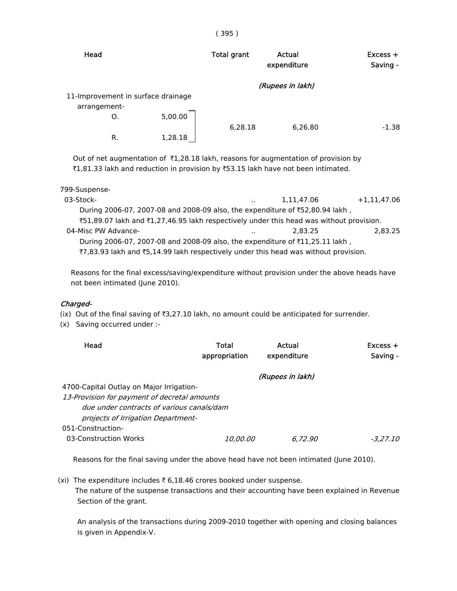| Head         |    |                                    | <b>Total grant</b> | Actual<br>expenditure | $Excess +$<br>Saving - |
|--------------|----|------------------------------------|--------------------|-----------------------|------------------------|
|              |    |                                    |                    | (Rupees in lakh)      |                        |
|              |    | 11-Improvement in surface drainage |                    |                       |                        |
| arrangement- |    |                                    |                    |                       |                        |
|              | O. | 5,00.00                            |                    |                       |                        |
|              |    |                                    | 6,28.18            | 6,26.80               | $-1.38$                |
|              | R. | 1,28.18                            |                    |                       |                        |

Out of net augmentation of  $\bar{\tau}1,28.18$  lakh, reasons for augmentation of provision by ₹1,81.33 lakh and reduction in provision by ₹53.15 lakh have not been intimated.

| 799-Suspense-                                                                           |               |            |               |
|-----------------------------------------------------------------------------------------|---------------|------------|---------------|
| 03-Stock-                                                                               | $\sim$ $\sim$ | 1.11.47.06 | $+1,11,47.06$ |
| During 2006-07, 2007-08 and 2008-09 also, the expenditure of ₹52,80.94 lakh,            |               |            |               |
| ₹51,89.07 lakh and ₹1,27,46.95 lakh respectively under this head was without provision. |               |            |               |
| 04-Misc PW Advance-                                                                     | $\ddotsc$     | 2.83.25    | 2,83.25       |
| During 2006-07, 2007-08 and 2008-09 also, the expenditure of ₹11,25.11 lakh,            |               |            |               |
| ₹7,83.93 lakh and ₹5,14.99 lakh respectively under this head was without provision.     |               |            |               |

 Reasons for the final excess/saving/expenditure without provision under the above heads have not been intimated (June 2010).

#### Charged-

(ix) Out of the final saving of  $\overline{3,27.10}$  lakh, no amount could be anticipated for surrender.

(x) Saving occurred under :-

| Head                                         | Total<br>appropriation | Actual<br>expenditure | $Excess +$<br>Saving - |
|----------------------------------------------|------------------------|-----------------------|------------------------|
|                                              |                        | (Rupees in lakh)      |                        |
| 4700-Capital Outlay on Major Irrigation-     |                        |                       |                        |
| 13-Provision for payment of decretal amounts |                        |                       |                        |
| due under contracts of various canals/dam    |                        |                       |                        |
| projects of Irrigation Department-           |                        |                       |                        |
| 051-Construction-                            |                        |                       |                        |
| 03-Construction Works                        | <i>10.00.00</i>        | 6.72.90               | -3.27.10               |

Reasons for the final saving under the above head have not been intimated (June 2010).

(xi) The expenditure includes  $\bar{\tau}$  6,18.46 crores booked under suspense. The nature of the suspense transactions and their accounting have been explained in Revenue Section of the grant.

 An analysis of the transactions during 2009-2010 together with opening and closing balances is given in Appendix-V.

#### ( 395 )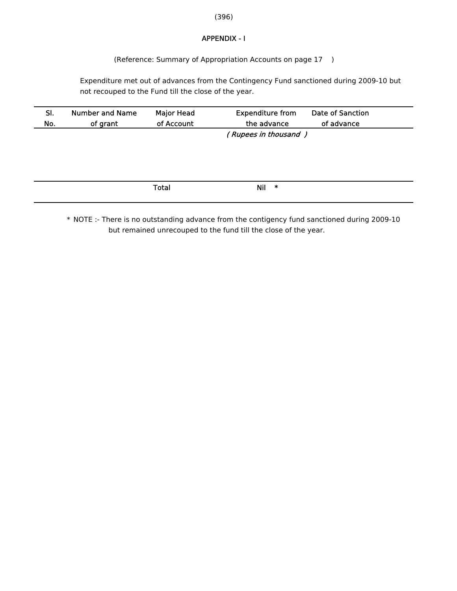(396)

### APPENDIX - I

(Reference: Summary of Appropriation Accounts on page 17 )

 Expenditure met out of advances from the Contingency Fund sanctioned during 2009-10 but not recouped to the Fund till the close of the year.

| SI.<br>No. | <b>Number and Name</b><br>of grant | <b>Major Head</b><br>of Account | <b>Expenditure from</b><br>the advance | Date of Sanction<br>of advance |
|------------|------------------------------------|---------------------------------|----------------------------------------|--------------------------------|
|            |                                    |                                 | (Rupees in thousand)                   |                                |
|            |                                    |                                 |                                        |                                |
|            |                                    |                                 |                                        |                                |
|            |                                    |                                 |                                        |                                |
|            |                                    |                                 |                                        |                                |
|            |                                    | <b>Total</b>                    | Nil<br>∗                               |                                |
|            |                                    |                                 |                                        |                                |

\* NOTE :- There is no outstanding advance from the contigency fund sanctioned during 2009-10 but remained unrecouped to the fund till the close of the year.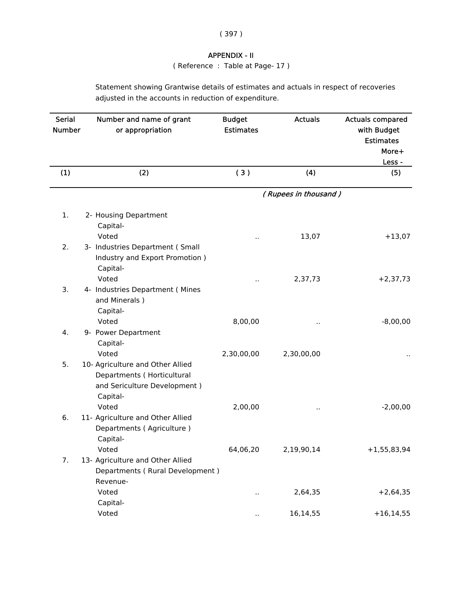| ۰,<br>× |  |
|---------|--|

## APPENDIX - II

( Reference : Table at Page- 17 )

Statement showing Grantwise details of estimates and actuals in respect of recoveries adjusted in the accounts in reduction of expenditure.

| <b>Serial</b><br><b>Number</b> | Number and name of grant<br>or appropriation                                                                                 | <b>Budget</b><br><b>Estimates</b> | <b>Actuals</b>       | <b>Actuals compared</b><br>with Budget<br><b>Estimates</b><br>More+ |
|--------------------------------|------------------------------------------------------------------------------------------------------------------------------|-----------------------------------|----------------------|---------------------------------------------------------------------|
|                                |                                                                                                                              |                                   |                      | Less -                                                              |
| (1)                            | (2)                                                                                                                          | (3)                               | (4)                  | (5)                                                                 |
|                                |                                                                                                                              |                                   | (Rupees in thousand) |                                                                     |
| 1.                             | 2- Housing Department<br>Capital-<br>Voted                                                                                   |                                   | 13,07                | $+13,07$                                                            |
| 2.                             | 3- Industries Department (Small<br>Industry and Export Promotion)<br>Capital-                                                |                                   |                      |                                                                     |
| 3.                             | Voted<br>4- Industries Department (Mines<br>and Minerals)<br>Capital-                                                        | Ω,                                | 2,37,73              | $+2,37,73$                                                          |
| 4.                             | Voted<br>9- Power Department<br>Capital-                                                                                     | 8,00,00                           |                      | $-8,00,00$                                                          |
| 5.                             | Voted<br>10- Agriculture and Other Allied<br>Departments (Horticultural<br>and Sericulture Development)<br>Capital-<br>Voted | 2,30,00,00<br>2,00,00             | 2,30,00,00<br>. .    | $-2,00,00$                                                          |
| 6.                             | 11- Agriculture and Other Allied<br>Departments (Agriculture)<br>Capital-                                                    |                                   |                      |                                                                     |
| 7.                             | Voted<br>13- Agriculture and Other Allied<br>Departments (Rural Development)<br>Revenue-                                     | 64,06,20                          | 2,19,90,14           | $+1,55,83,94$                                                       |
|                                | Voted                                                                                                                        |                                   | 2,64,35              | $+2,64,35$                                                          |
|                                | Capital-<br>Voted                                                                                                            |                                   | 16,14,55             | $+16, 14, 55$                                                       |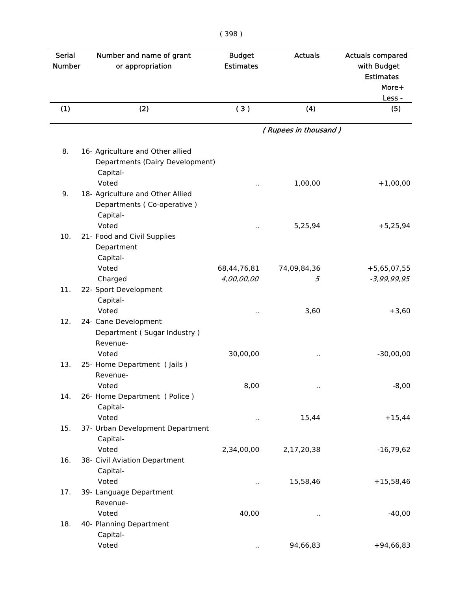| ×<br>۰<br>× |
|-------------|
|-------------|

| <b>Serial</b><br><b>Number</b> | Number and name of grant<br>or appropriation                                             | <b>Budget</b><br><b>Estimates</b> | <b>Actuals</b>       | <b>Actuals compared</b><br>with Budget<br><b>Estimates</b><br>More+ |
|--------------------------------|------------------------------------------------------------------------------------------|-----------------------------------|----------------------|---------------------------------------------------------------------|
| (1)                            | (2)                                                                                      | (3)                               | (4)                  | Less -<br>(5)                                                       |
|                                |                                                                                          |                                   | (Rupees in thousand) |                                                                     |
|                                |                                                                                          |                                   |                      |                                                                     |
| 8.                             | 16- Agriculture and Other allied<br>Departments (Dairy Development)<br>Capital-<br>Voted |                                   |                      |                                                                     |
| 9.                             | 18- Agriculture and Other Allied<br>Departments (Co-operative)<br>Capital-               |                                   | 1,00,00              | $+1,00,00$                                                          |
| 10.                            | Voted<br>21- Food and Civil Supplies<br>Department<br>Capital-                           |                                   | 5,25,94              | $+5,25,94$                                                          |
|                                | Voted<br>Charged                                                                         | 68,44,76,81<br>4,00,00,00         | 74,09,84,36<br>5     | $+5,65,07,55$<br>$-3,99,99,95$                                      |
| 11.                            | 22- Sport Development<br>Capital-<br>Voted                                               | ٠.                                | 3,60                 | $+3,60$                                                             |
| 12.                            | 24- Cane Development<br>Department (Sugar Industry)<br>Revenue-                          |                                   |                      |                                                                     |
| 13.                            | Voted<br>25- Home Department (Jails)<br>Revenue-                                         | 30,00,00                          |                      | $-30,00,00$                                                         |
| 14.                            | Voted<br>26- Home Department (Police)<br>Capital-                                        | 8,00                              | $\sim$               | $-8,00$                                                             |
| 15.                            | Voted<br>37- Urban Development Department                                                |                                   | 15,44                | $+15,44$                                                            |
| 16.                            | Capital-<br>Voted<br>38- Civil Aviation Department                                       | 2,34,00,00                        | 2,17,20,38           | $-16,79,62$                                                         |
|                                | Capital-<br>Voted                                                                        | н.                                | 15,58,46             | $+15,58,46$                                                         |
| 17.                            | 39- Language Department<br>Revenue-<br>Voted                                             | 40,00                             |                      | $-40,00$                                                            |
| 18.                            | 40- Planning Department<br>Capital-                                                      |                                   | $\sim$               |                                                                     |
|                                | Voted                                                                                    | $\ddot{\phantom{0}}$              | 94,66,83             | $+94,66,83$                                                         |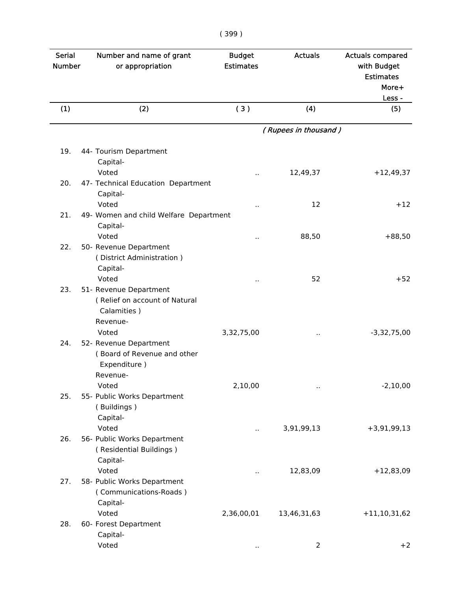| <b>Serial</b><br><b>Number</b> | Number and name of grant<br>or appropriation | <b>Budget</b><br><b>Estimates</b> | <b>Actuals</b>       | <b>Actuals compared</b><br>with Budget<br><b>Estimates</b><br>More+<br>Less - |
|--------------------------------|----------------------------------------------|-----------------------------------|----------------------|-------------------------------------------------------------------------------|
| (1)                            | (2)                                          | (3)                               | (4)                  | (5)                                                                           |
|                                |                                              |                                   | (Rupees in thousand) |                                                                               |
|                                |                                              |                                   |                      |                                                                               |
| 19.                            | 44- Tourism Department                       |                                   |                      |                                                                               |
|                                | Capital-                                     |                                   |                      |                                                                               |
|                                | Voted                                        |                                   | 12,49,37             | $+12,49,37$                                                                   |
| 20.                            | 47- Technical Education Department           |                                   |                      |                                                                               |
|                                | Capital-<br>Voted                            |                                   | 12                   | $+12$                                                                         |
| 21.                            | 49- Women and child Welfare Department       | .,                                |                      |                                                                               |
|                                | Capital-                                     |                                   |                      |                                                                               |
|                                | Voted                                        |                                   | 88,50                | $+88,50$                                                                      |
| 22.                            | 50- Revenue Department                       | $\cdot$ .                         |                      |                                                                               |
|                                | (District Administration)                    |                                   |                      |                                                                               |
|                                | Capital-                                     |                                   |                      |                                                                               |
|                                | Voted                                        |                                   | 52                   | $+52$                                                                         |
| 23.                            | 51- Revenue Department                       |                                   |                      |                                                                               |
|                                | (Relief on account of Natural                |                                   |                      |                                                                               |
|                                | Calamities)                                  |                                   |                      |                                                                               |
|                                | Revenue-                                     |                                   |                      |                                                                               |
|                                | Voted                                        | 3,32,75,00                        | Ω.                   | $-3,32,75,00$                                                                 |
| 24.                            | 52- Revenue Department                       |                                   |                      |                                                                               |
|                                | (Board of Revenue and other                  |                                   |                      |                                                                               |
|                                | Expenditure)                                 |                                   |                      |                                                                               |
|                                | Revenue-                                     |                                   |                      |                                                                               |
|                                | Voted                                        | 2,10,00                           | $\cdot$ .            | $-2,10,00$                                                                    |
| 25.                            | 55- Public Works Department                  |                                   |                      |                                                                               |
|                                | (Buildings)                                  |                                   |                      |                                                                               |
|                                | Capital-                                     |                                   |                      |                                                                               |
|                                | Voted                                        | н.                                | 3,91,99,13           | $+3,91,99,13$                                                                 |
| 26.                            | 56- Public Works Department                  |                                   |                      |                                                                               |
|                                | (Residential Buildings)                      |                                   |                      |                                                                               |
|                                | Capital-                                     |                                   |                      |                                                                               |
|                                | Voted                                        |                                   | 12,83,09             | $+12,83,09$                                                                   |
| 27.                            | 58- Public Works Department                  |                                   |                      |                                                                               |
|                                | (Communications-Roads)                       |                                   |                      |                                                                               |
|                                | Capital-                                     |                                   |                      |                                                                               |
|                                | Voted                                        | 2,36,00,01                        | 13,46,31,63          | $+11, 10, 31, 62$                                                             |
| 28.                            | 60- Forest Department                        |                                   |                      |                                                                               |
|                                | Capital-                                     |                                   |                      |                                                                               |
|                                | Voted                                        |                                   | 2                    | $+2$                                                                          |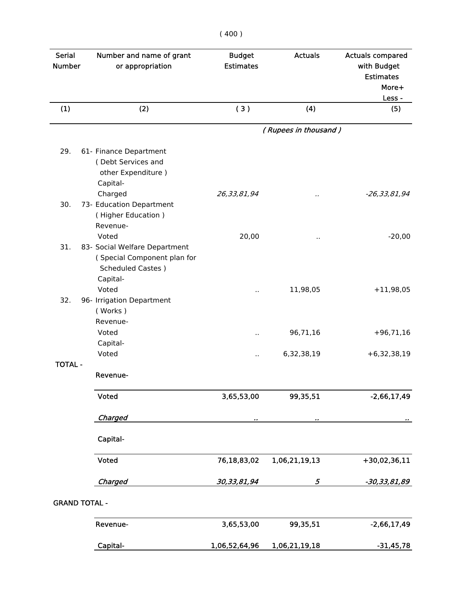| <b>Serial</b><br><b>Number</b> | Number and name of grant<br>or appropriation | <b>Budget</b><br><b>Estimates</b> | <b>Actuals</b>       | <b>Actuals compared</b><br>with Budget<br><b>Estimates</b><br>More+ |
|--------------------------------|----------------------------------------------|-----------------------------------|----------------------|---------------------------------------------------------------------|
|                                |                                              |                                   |                      | Less -                                                              |
| (1)                            | (2)                                          | (3)                               | (4)                  | (5)                                                                 |
|                                |                                              |                                   | (Rupees in thousand) |                                                                     |
| 29.                            | 61- Finance Department                       |                                   |                      |                                                                     |
|                                | (Debt Services and                           |                                   |                      |                                                                     |
|                                | other Expenditure)                           |                                   |                      |                                                                     |
|                                | Capital-                                     |                                   |                      |                                                                     |
|                                | Charged                                      | 26,33,81,94                       | .,                   | $-26, 33, 81, 94$                                                   |
| 30.                            | 73- Education Department                     |                                   |                      |                                                                     |
|                                | (Higher Education)                           |                                   |                      |                                                                     |
|                                | Revenue-                                     |                                   |                      |                                                                     |
|                                | Voted                                        | 20,00                             | $\cdot$              | $-20,00$                                                            |
| 31.                            | 83- Social Welfare Department                |                                   |                      |                                                                     |
|                                | (Special Component plan for                  |                                   |                      |                                                                     |
|                                | <b>Scheduled Castes</b> )                    |                                   |                      |                                                                     |
|                                | Capital-<br>Voted                            |                                   |                      |                                                                     |
| 32.                            |                                              | Ω,                                | 11,98,05             | $+11,98,05$                                                         |
|                                | 96- Irrigation Department<br>(Works)         |                                   |                      |                                                                     |
|                                | Revenue-                                     |                                   |                      |                                                                     |
|                                | Voted                                        | $\ddot{\phantom{a}}$              | 96,71,16             | $+96,71,16$                                                         |
|                                | Capital-                                     |                                   |                      |                                                                     |
|                                | Voted                                        |                                   | 6,32,38,19           | $+6,32,38,19$                                                       |
| <b>TOTAL -</b>                 |                                              |                                   |                      |                                                                     |
|                                | Revenue-                                     |                                   |                      |                                                                     |
|                                | Voted                                        | 3,65,53,00                        | 99,35,51             | $-2,66,17,49$                                                       |
|                                |                                              |                                   |                      |                                                                     |
|                                | Charged                                      | .,                                |                      |                                                                     |
|                                | Capital-                                     |                                   |                      |                                                                     |
|                                | Voted                                        | 76,18,83,02                       | 1,06,21,19,13        | +30,02,36,11                                                        |
|                                | Charged                                      | 30, 33, 81, 94                    | 5                    | -30,33,81,89                                                        |
|                                |                                              |                                   |                      |                                                                     |
|                                | <b>GRAND TOTAL -</b>                         |                                   |                      |                                                                     |
|                                | Revenue-                                     | 3,65,53,00                        | 99,35,51             | $-2,66,17,49$                                                       |
|                                | Capital-                                     | 1,06,52,64,96                     | 1,06,21,19,18        | $-31,45,78$                                                         |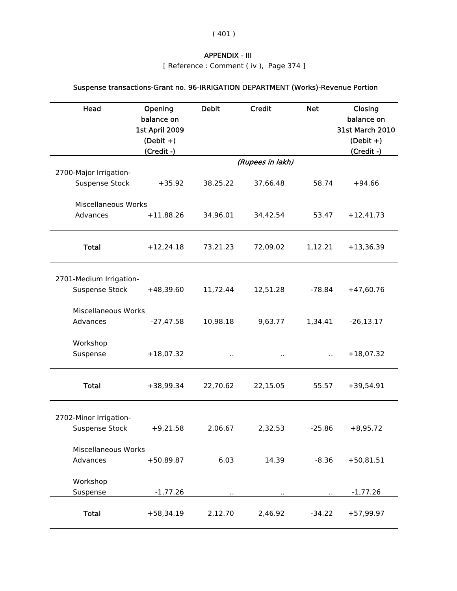( 401 )

## APPENDIX - III

[ Reference : Comment ( iv ), Page 374 ]

# Suspense transactions-Grant no. 96-IRRIGATION DEPARTMENT (Works)-Revenue Portion

| Head                                            | Opening<br>balance on<br>1st April 2009<br>$(Debit +)$<br>(Credit -) | <b>Debit</b> | <b>Credit</b>    | <b>Net</b> | Closing<br>balance on<br><b>31st March 2010</b><br>$(Debit +)$<br>(Credit -) |
|-------------------------------------------------|----------------------------------------------------------------------|--------------|------------------|------------|------------------------------------------------------------------------------|
|                                                 |                                                                      |              | (Rupees in lakh) |            |                                                                              |
| 2700-Major Irrigation-<br><b>Suspense Stock</b> | $+35.92$                                                             | 38,25.22     | 37,66.48         | 58.74      | $+94.66$                                                                     |
| <b>Miscellaneous Works</b>                      |                                                                      |              |                  |            |                                                                              |
| Advances                                        | $+11,88.26$                                                          | 34,96.01     | 34,42.54         | 53.47      | $+12,41.73$                                                                  |
| <b>Total</b>                                    | $+12,24.18$                                                          | 73,21.23     | 72,09.02         | 1,12.21    | $+13,36.39$                                                                  |
| 2701-Medium Irrigation-                         |                                                                      |              |                  |            |                                                                              |
| <b>Suspense Stock</b>                           | $+48,39.60$                                                          | 11,72.44     | 12,51.28         | $-78.84$   | $+47,60.76$                                                                  |
| Miscellaneous Works                             |                                                                      |              |                  |            |                                                                              |
| Advances                                        | $-27,47.58$                                                          | 10,98.18     | 9,63.77          | 1,34.41    | $-26, 13.17$                                                                 |
| Workshop<br>Suspense                            | $+18,07.32$                                                          | .,           |                  | П,         | $+18,07.32$                                                                  |
| <b>Total</b>                                    | +38,99.34                                                            | 22,70.62     | 22,15.05         | 55.57      | $+39,54.91$                                                                  |
| 2702-Minor Irrigation-                          |                                                                      |              |                  |            |                                                                              |
| <b>Suspense Stock</b>                           | $+9,21.58$                                                           | 2,06.67      | 2,32.53          | $-25.86$   | $+8,95.72$                                                                   |
| Miscellaneous Works                             |                                                                      |              |                  |            |                                                                              |
| Advances                                        | $+50,89.87$                                                          | 6.03         | 14.39            | $-8.36$    | $+50,81.51$                                                                  |
| Workshop<br>Suspense                            | $-1,77.26$                                                           |              |                  |            | $-1,77.26$                                                                   |
|                                                 |                                                                      |              |                  |            |                                                                              |
| <b>Total</b>                                    | $+58,34.19$                                                          | 2,12.70      | 2,46.92          | $-34.22$   | $+57,99.97$                                                                  |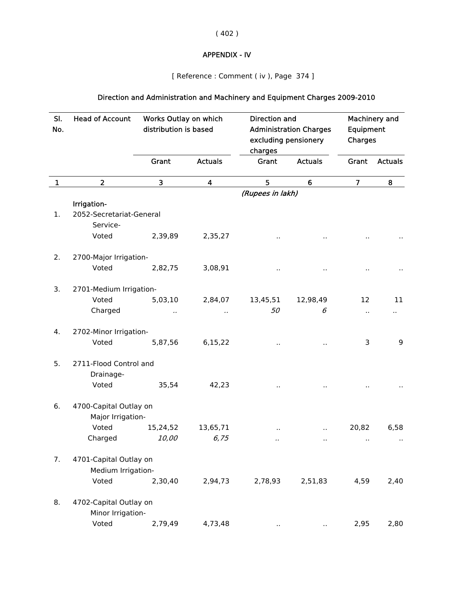( 402 )

# APPENDIX - IV

[ Reference : Comment ( iv ), Page 374 ]

# Direction and Administration and Machinery and Equipment Charges 2009-2010

| SI.<br>No.   | <b>Head of Account</b>   | Works Outlay on which<br>distribution is based |                | Direction and<br><b>Administration Charges</b><br>excluding pensionery<br>charges |                | Machinery and<br>Equipment<br>Charges |                |  |  |
|--------------|--------------------------|------------------------------------------------|----------------|-----------------------------------------------------------------------------------|----------------|---------------------------------------|----------------|--|--|
|              |                          | Grant                                          | <b>Actuals</b> | Grant                                                                             | <b>Actuals</b> | Grant                                 | <b>Actuals</b> |  |  |
| $\mathbf{1}$ | $\overline{2}$           | 3                                              | 4              | 5                                                                                 | 6              | $\overline{7}$                        | 8              |  |  |
|              |                          |                                                |                | (Rupees in lakh)                                                                  |                |                                       |                |  |  |
|              | Irrigation-              |                                                |                |                                                                                   |                |                                       |                |  |  |
| 1.           | 2052-Secretariat-General |                                                |                |                                                                                   |                |                                       |                |  |  |
|              | Service-                 |                                                |                |                                                                                   |                |                                       |                |  |  |
|              | Voted                    | 2,39,89                                        | 2,35,27        |                                                                                   |                |                                       |                |  |  |
| 2.           | 2700-Major Irrigation-   |                                                |                |                                                                                   |                |                                       |                |  |  |
|              | Voted                    | 2,82,75                                        | 3,08,91        |                                                                                   |                |                                       |                |  |  |
| 3.           | 2701-Medium Irrigation-  |                                                |                |                                                                                   |                |                                       |                |  |  |
|              | Voted                    | 5,03,10                                        | 2,84,07        | 13,45,51                                                                          | 12,98,49       | 12                                    | 11             |  |  |
|              | Charged                  |                                                |                | 50                                                                                | 6              |                                       | н.             |  |  |
| 4.           | 2702-Minor Irrigation-   |                                                |                |                                                                                   |                |                                       |                |  |  |
|              | Voted                    | 5,87,56                                        | 6,15,22        |                                                                                   |                | 3                                     | 9              |  |  |
| 5.           | 2711-Flood Control and   |                                                |                |                                                                                   |                |                                       |                |  |  |
|              | Drainage-<br>Voted       | 35,54                                          | 42,23          |                                                                                   |                |                                       |                |  |  |
|              |                          |                                                |                |                                                                                   |                |                                       |                |  |  |
| 6.           | 4700-Capital Outlay on   |                                                |                |                                                                                   |                |                                       |                |  |  |
|              | Major Irrigation-        |                                                |                |                                                                                   |                |                                       |                |  |  |
|              | Voted                    | 15,24,52                                       | 13,65,71       |                                                                                   |                | 20,82                                 | 6,58           |  |  |
|              | Charged                  | 10,00                                          | 6,75           | .,                                                                                | ٠.             | $\ddot{\phantom{1}}$                  | $\cdot$ .      |  |  |
| 7.           | 4701-Capital Outlay on   |                                                |                |                                                                                   |                |                                       |                |  |  |
|              | Medium Irrigation-       |                                                |                |                                                                                   |                |                                       |                |  |  |
|              | Voted                    | 2,30,40                                        | 2,94,73        | 2,78,93                                                                           | 2,51,83        | 4,59                                  | 2,40           |  |  |
| 8.           | 4702-Capital Outlay on   |                                                |                |                                                                                   |                |                                       |                |  |  |
|              | Minor Irrigation-        |                                                |                |                                                                                   |                |                                       |                |  |  |
|              | Voted                    | 2,79,49                                        | 4,73,48        | $\bullet$                                                                         | .,             | 2,95                                  | 2,80           |  |  |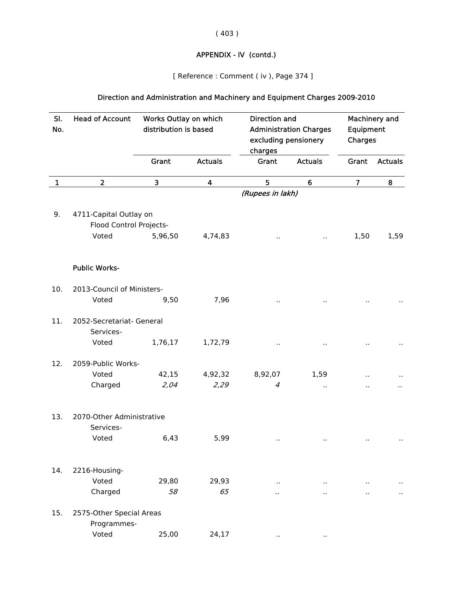( 403 )

# APPENDIX - IV (contd.)

[ Reference : Comment ( iv ), Page 374 ]

# Direction and Administration and Machinery and Equipment Charges 2009-2010

| SI.<br>No.   | <b>Head of Account</b>     | Works Outlay on which<br>distribution is based |                | <b>Direction and</b><br><b>Administration Charges</b><br>excluding pensionery<br>charges |                 | Machinery and<br>Equipment<br>Charges |                      |
|--------------|----------------------------|------------------------------------------------|----------------|------------------------------------------------------------------------------------------|-----------------|---------------------------------------|----------------------|
|              |                            | Grant                                          | <b>Actuals</b> | Grant                                                                                    | <b>Actuals</b>  | Grant                                 | <b>Actuals</b>       |
| $\mathbf{1}$ | $\overline{2}$             | 3                                              | 4              | 5                                                                                        | $6\phantom{1}6$ | $\overline{7}$                        | ${\bf 8}$            |
|              |                            |                                                |                | (Rupees in lakh)                                                                         |                 |                                       |                      |
| 9.           | 4711-Capital Outlay on     |                                                |                |                                                                                          |                 |                                       |                      |
|              | Flood Control Projects-    |                                                |                |                                                                                          |                 |                                       |                      |
|              | Voted                      | 5,96,50                                        | 4,74,83        |                                                                                          | . .             | 1,50                                  | 1,59                 |
|              | <b>Public Works-</b>       |                                                |                |                                                                                          |                 |                                       |                      |
| 10.          | 2013-Council of Ministers- |                                                |                |                                                                                          |                 |                                       |                      |
|              | Voted                      | 9,50                                           | 7,96           |                                                                                          |                 |                                       |                      |
| 11.          | 2052-Secretariat- General  |                                                |                |                                                                                          |                 |                                       |                      |
|              | Services-                  |                                                |                |                                                                                          |                 |                                       |                      |
|              | Voted                      | 1,76,17                                        | 1,72,79        |                                                                                          |                 |                                       |                      |
| 12.          | 2059-Public Works-         |                                                |                |                                                                                          |                 |                                       |                      |
|              | Voted                      | 42,15                                          | 4,92,32        | 8,92,07                                                                                  | 1,59            |                                       |                      |
|              | Charged                    | 2,04                                           | 2,29           | 4                                                                                        |                 |                                       |                      |
| 13.          | 2070-Other Administrative  |                                                |                |                                                                                          |                 |                                       |                      |
|              | Services-                  |                                                |                |                                                                                          |                 |                                       |                      |
|              | Voted                      | 6,43                                           | 5,99           | $\cdot$ .                                                                                |                 |                                       |                      |
| 14.          | 2216-Housing-              |                                                |                |                                                                                          |                 |                                       |                      |
|              | Voted                      | 29,80                                          | 29,93          | $\ddot{\phantom{a}}$                                                                     |                 |                                       |                      |
|              | Charged                    | 58                                             | 65             |                                                                                          |                 | н.                                    | $\ddot{\phantom{1}}$ |
| 15.          | 2575-Other Special Areas   |                                                |                |                                                                                          |                 |                                       |                      |
|              | Programmes-                |                                                |                |                                                                                          |                 |                                       |                      |
|              | Voted                      | 25,00                                          | 24,17          |                                                                                          |                 |                                       |                      |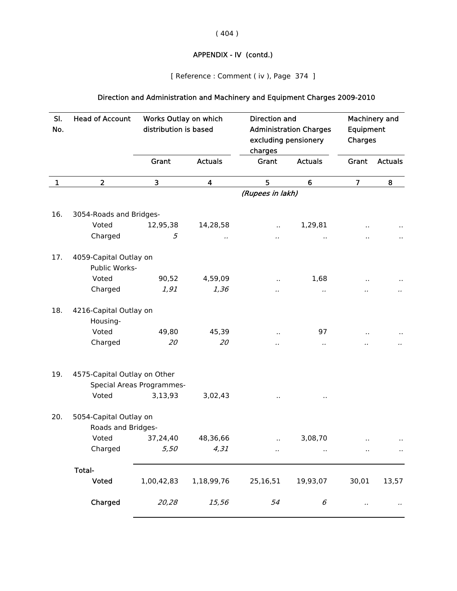( 404 )

# APPENDIX - IV (contd.)

[ Reference : Comment ( iv ), Page 374 ]

# Direction and Administration and Machinery and Equipment Charges 2009-2010

| SI.         | <b>Head of Account</b>                  | Works Outlay on which<br>distribution is based |                  | <b>Direction and</b><br><b>Administration Charges</b><br>excluding pensionery<br>charges |                      | Machinery and<br>Equipment<br>Charges |                      |  |
|-------------|-----------------------------------------|------------------------------------------------|------------------|------------------------------------------------------------------------------------------|----------------------|---------------------------------------|----------------------|--|
| No.         |                                         |                                                |                  |                                                                                          |                      |                                       |                      |  |
|             |                                         |                                                |                  |                                                                                          |                      |                                       |                      |  |
|             |                                         | Grant                                          | <b>Actuals</b>   | Grant                                                                                    | <b>Actuals</b>       | Grant                                 | <b>Actuals</b>       |  |
| $\mathbf 1$ | $\overline{2}$                          | 3                                              | $\boldsymbol{4}$ | 5                                                                                        | 6                    | $\overline{7}$                        | 8                    |  |
|             |                                         |                                                |                  | (Rupees in lakh)                                                                         |                      |                                       |                      |  |
| 16.         | 3054-Roads and Bridges-                 |                                                |                  |                                                                                          |                      |                                       |                      |  |
|             | Voted                                   | 12,95,38                                       | 14,28,58         |                                                                                          | 1,29,81              |                                       |                      |  |
|             | Charged                                 | 5                                              | $\cdot$          |                                                                                          |                      |                                       |                      |  |
|             |                                         |                                                |                  |                                                                                          |                      |                                       |                      |  |
| 17.         | 4059-Capital Outlay on<br>Public Works- |                                                |                  |                                                                                          |                      |                                       |                      |  |
|             | Voted                                   | 90,52                                          | 4,59,09          |                                                                                          | 1,68                 |                                       |                      |  |
|             | Charged                                 | 1,91                                           | 1,36             | ٠.                                                                                       |                      |                                       |                      |  |
|             |                                         |                                                |                  |                                                                                          | .,                   |                                       |                      |  |
| 18.         | 4216-Capital Outlay on                  |                                                |                  |                                                                                          |                      |                                       |                      |  |
|             | Housing-                                |                                                |                  |                                                                                          |                      |                                       |                      |  |
|             | Voted                                   | 49,80                                          | 45,39            |                                                                                          | 97                   |                                       |                      |  |
|             | Charged                                 | 20                                             | 20               |                                                                                          | $\ddot{\phantom{0}}$ |                                       |                      |  |
| 19.         | 4575-Capital Outlay on Other            |                                                |                  |                                                                                          |                      |                                       |                      |  |
|             |                                         | Special Areas Programmes-                      |                  |                                                                                          |                      |                                       |                      |  |
|             | Voted                                   | 3,13,93                                        | 3,02,43          |                                                                                          |                      |                                       |                      |  |
| 20.         | 5054-Capital Outlay on                  |                                                |                  |                                                                                          |                      |                                       |                      |  |
|             | Roads and Bridges-                      |                                                |                  |                                                                                          |                      |                                       |                      |  |
|             | Voted                                   | 37,24,40                                       | 48,36,66         |                                                                                          | 3,08,70              |                                       |                      |  |
|             | Charged                                 | 5,50                                           | 4,31             | $\ddot{\phantom{1}}$                                                                     | $\cdot$ .            | $\ddot{\phantom{1}}$                  | $\ddot{\phantom{1}}$ |  |
|             |                                         |                                                |                  |                                                                                          |                      |                                       |                      |  |
|             | Total-                                  |                                                |                  |                                                                                          |                      |                                       |                      |  |
|             | Voted                                   | 1,00,42,83                                     | 1,18,99,76       | 25,16,51                                                                                 | 19,93,07             | 30,01                                 | 13,57                |  |
|             | Charged                                 | 20,28                                          | 15,56            | 54                                                                                       | 6                    | $\cdot$                               | $\cdot$ .            |  |
|             |                                         |                                                |                  |                                                                                          |                      |                                       |                      |  |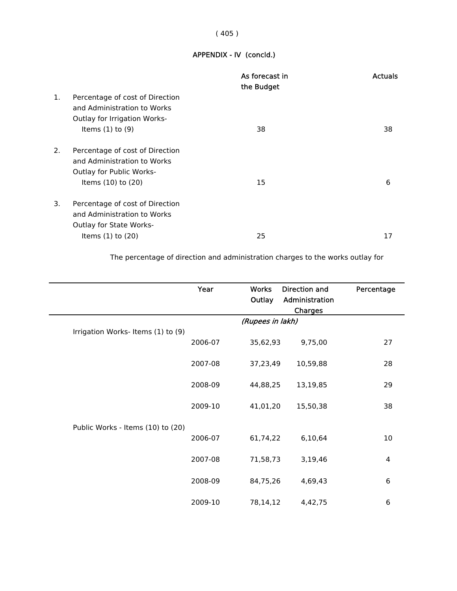## ( 405 )

## APPENDIX - IV (concld.)

|    |                                                                                                                               | As forecast in<br>the Budget | <b>Actuals</b> |
|----|-------------------------------------------------------------------------------------------------------------------------------|------------------------------|----------------|
| 1. | Percentage of cost of Direction<br>and Administration to Works<br><b>Outlay for Irrigation Works-</b><br>Items $(1)$ to $(9)$ | 38                           | 38             |
| 2. | Percentage of cost of Direction<br>and Administration to Works<br><b>Outlay for Public Works-</b><br>Items (10) to (20)       | 15                           | 6              |
| 3. | Percentage of cost of Direction<br>and Administration to Works<br><b>Outlay for State Works-</b><br>Items $(1)$ to $(20)$     | 25                           | 17             |

The percentage of direction and administration charges to the works outlay for

|                                   | Year             | <b>Works</b><br>Outlay | Direction and<br>Administration<br>Charges | Percentage |  |
|-----------------------------------|------------------|------------------------|--------------------------------------------|------------|--|
|                                   | (Rupees in lakh) |                        |                                            |            |  |
| Irrigation Works-Items (1) to (9) | 2006-07          | 35,62,93               | 9,75,00                                    | 27         |  |
|                                   | 2007-08          | 37,23,49               | 10,59,88                                   | 28         |  |
|                                   | 2008-09          | 44,88,25               | 13,19,85                                   | 29         |  |
|                                   | 2009-10          | 41,01,20               | 15,50,38                                   | 38         |  |
| Public Works - Items (10) to (20) |                  |                        |                                            |            |  |
|                                   | 2006-07          | 61,74,22               | 6,10,64                                    | 10         |  |
|                                   | 2007-08          | 71,58,73               | 3,19,46                                    | 4          |  |
|                                   | 2008-09          | 84,75,26               | 4,69,43                                    | 6          |  |
|                                   | 2009-10          | 78,14,12               | 4,42,75                                    | 6          |  |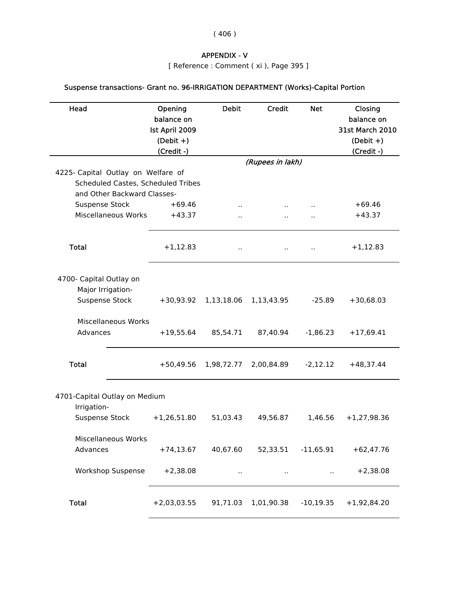( 406 )

## APPENDIX - V

[ Reference : Comment ( xi ), Page 395 ]

| Suspense transactions- Grant no. 96-IRRIGATION DEPARTMENT (Works)-Capital Portion |  |  |
|-----------------------------------------------------------------------------------|--|--|
|-----------------------------------------------------------------------------------|--|--|

| Head                                         | Opening<br>balance on<br>Ist April 2009<br>$(Debit +)$<br>(Credit -) | <b>Debit</b>         | <b>Credit</b>        | <b>Net</b>   | Closing<br>balance on<br><b>31st March 2010</b><br>$(Debit +)$<br>(Credit -) |
|----------------------------------------------|----------------------------------------------------------------------|----------------------|----------------------|--------------|------------------------------------------------------------------------------|
| 4225- Capital Outlay on Welfare of           |                                                                      |                      | (Rupees in lakh)     |              |                                                                              |
| Scheduled Castes, Scheduled Tribes           |                                                                      |                      |                      |              |                                                                              |
| and Other Backward Classes-                  |                                                                      |                      |                      |              |                                                                              |
| <b>Suspense Stock</b>                        | $+69.46$                                                             | Ω.                   |                      |              | $+69.46$                                                                     |
| Miscellaneous Works                          | $+43.37$                                                             | .,                   |                      |              | $+43.37$                                                                     |
| <b>Total</b>                                 | $+1,12.83$                                                           | $\cdot$ .            |                      |              | $+1,12.83$                                                                   |
| 4700- Capital Outlay on<br>Major Irrigation- |                                                                      |                      |                      |              |                                                                              |
| <b>Suspense Stock</b>                        | $+30,93.92$                                                          | 1,13,18.06           | 1,13,43.95           | $-25.89$     | $+30,68.03$                                                                  |
| Miscellaneous Works                          |                                                                      |                      |                      |              |                                                                              |
| Advances                                     | $+19,55.64$                                                          | 85,54.71             | 87,40.94             | $-1,86.23$   | $+17,69.41$                                                                  |
| <b>Total</b>                                 | $+50,49.56$                                                          | 1,98,72.77           | 2,00,84.89           | $-2,12.12$   | $+48,37.44$                                                                  |
| 4701-Capital Outlay on Medium                |                                                                      |                      |                      |              |                                                                              |
| Irrigation-<br><b>Suspense Stock</b>         | $+1,26,51.80$                                                        | 51,03.43             | 49,56.87             | 1,46.56      | $+1,27,98.36$                                                                |
| <b>Miscellaneous Works</b><br>Advances       | $+74,13.67$                                                          | 40,67.60             | 52,33.51             | $-11,65.91$  | $+62,47.76$                                                                  |
| <b>Workshop Suspense</b>                     | $+2,38.08$                                                           | $\ddot{\phantom{0}}$ | $\ddot{\phantom{1}}$ |              | $+2,38.08$                                                                   |
| <b>Total</b>                                 | $+2,03,03.55$                                                        | 91,71.03             | 1,01,90.38           | $-10, 19.35$ | $+1,92,84.20$                                                                |